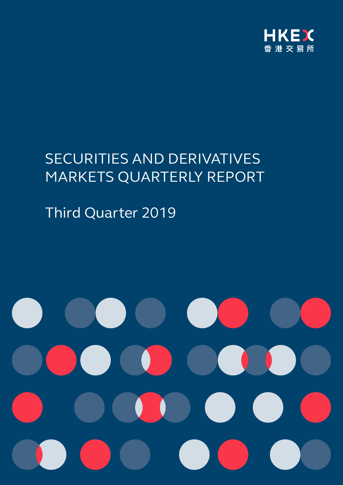

# SECURITIES AND DERIVATIVES MARKETS QUARTERLY REPORT

Third Quarter 2019

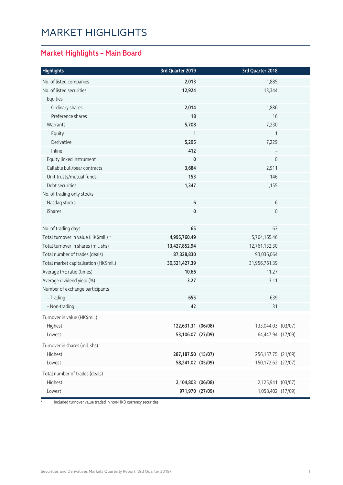# MARKET HIGHLIGHTS

### **Market Highlights – Main Board**

| <b>Highlights</b>                      | 3rd Quarter 2019   | 3rd Quarter 2018   |  |
|----------------------------------------|--------------------|--------------------|--|
| No. of listed companies                | 2,013              | 1,885              |  |
| No. of listed securities               | 12,924             | 13,344             |  |
| Equities                               |                    |                    |  |
| Ordinary shares                        | 2,014              | 1,886              |  |
| Preference shares                      | 18                 | 16                 |  |
| Warrants                               | 5,708              | 7,230              |  |
| Equity                                 | 1                  | 1                  |  |
| Derivative                             | 5,295              | 7,229              |  |
| Inline                                 | 412                |                    |  |
| Equity linked instrument               | $\mathbf 0$        | $\overline{0}$     |  |
| Callable bull/bear contracts           | 3,684              | 2,911              |  |
| Unit trusts/mutual funds               | 153                | 146                |  |
| Debt securities                        | 1,347              | 1,155              |  |
| No. of trading only stocks             |                    |                    |  |
| Nasdaq stocks                          | 6                  | 6                  |  |
| iShares                                | 0                  | 0                  |  |
| No. of trading days                    | 65                 | 63                 |  |
| Total turnover in value (HK\$mil.) *   | 4,995,760.49       | 5,764,165.46       |  |
| Total turnover in shares (mil. shs)    | 13,427,852.94      | 12,761,132.30      |  |
| Total number of trades (deals)         | 87,328,830         | 93,036,064         |  |
| Total market capitalisation (HK\$mil.) | 30,521,427.39      | 31,956,761.39      |  |
| Average P/E ratio (times)              | 10.66              | 11.27              |  |
| Average dividend yield (%)             | 3.27               | 3.11               |  |
| Number of exchange participants        |                    |                    |  |
| - Trading                              | 655                | 639                |  |
| - Non-trading                          | 42                 | 31                 |  |
| Turnover in value (HK\$mil.)           |                    |                    |  |
| Highest                                | 122,631.31 (06/08) | 133,044.03 (03/07) |  |
| Lowest                                 | 53,106.07 (27/09)  | 64,447.94 (17/09)  |  |
| Turnover in shares (mil. shs)          |                    |                    |  |
| Highest                                | 287,187.50 (15/07) | 256,157.75 (21/09) |  |
| Lowest                                 | 58,241.02 (05/09)  | 150,172.62 (27/07) |  |
| Total number of trades (deals)         |                    |                    |  |
| Highest                                | 2,104,803 (06/08)  | 2,125,941 (03/07)  |  |
| Lowest                                 | 971,970 (27/09)    | 1,058,402 (17/09)  |  |

\* Included turnover value traded in non-HKD currency securities.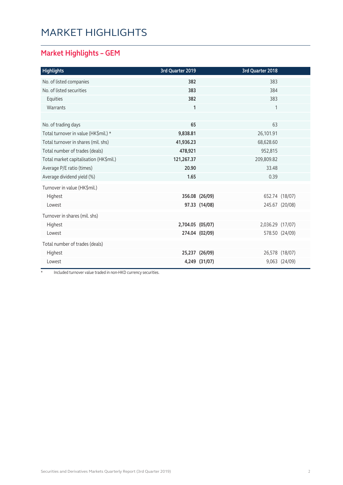# MARKET HIGHLIGHTS

### **Market Highlights – GEM**

| <b>Highlights</b>                      | 3rd Quarter 2019 |                | 3rd Quarter 2018 |                |
|----------------------------------------|------------------|----------------|------------------|----------------|
| No. of listed companies                | 382              |                | 383              |                |
| No. of listed securities               | 383              |                | 384              |                |
| Equities                               | 382              |                | 383              |                |
| Warrants                               | $\mathbf{1}$     |                | 1                |                |
|                                        |                  |                |                  |                |
| No. of trading days                    | 65               |                | 63               |                |
| Total turnover in value (HK\$mil.) *   | 9,838.81         |                | 26,101.91        |                |
| Total turnover in shares (mil. shs)    | 41,936.23        |                | 68,628.60        |                |
| Total number of trades (deals)         | 478,921          |                | 952,815          |                |
| Total market capitalisation (HK\$mil.) | 121,267.37       |                | 209,809.82       |                |
| Average P/E ratio (times)              | 20.90            |                | 33.48            |                |
| Average dividend yield (%)             | 1.65             |                | 0.39             |                |
| Turnover in value (HK\$mil.)           |                  |                |                  |                |
| Highest                                |                  | 356.08 (26/09) |                  | 652.74 (18/07) |
| Lowest                                 |                  | 97.33 (14/08)  |                  | 245.67 (20/08) |
| Turnover in shares (mil. shs)          |                  |                |                  |                |
| Highest                                | 2,704.05 (05/07) |                | 2,036.29 (17/07) |                |
| Lowest                                 |                  | 274.04 (02/09) |                  | 578.50 (24/09) |
| Total number of trades (deals)         |                  |                |                  |                |
| Highest                                |                  | 25,237 (26/09) |                  | 26,578 (18/07) |
| Lowest                                 |                  | 4,249 (31/07)  |                  | 9,063 (24/09)  |

\* Included turnover value traded in non-HKD currency securities.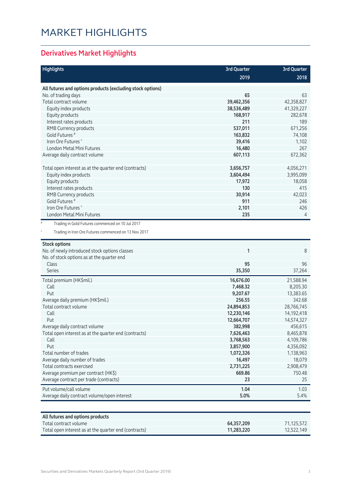# MARKET HIGHLIGHTS

### **Derivatives Market Highlights**

| <b>Highlights</b>                                          | 3rd Quarter            | <b>3rd Quarter</b>  |
|------------------------------------------------------------|------------------------|---------------------|
|                                                            | 2019                   | 2018                |
| All futures and options products (excluding stock options) |                        |                     |
| No. of trading days                                        | 65                     | 63                  |
| Total contract volume                                      | 39,462,356             | 42,358,827          |
| Equity index products                                      | 38,536,489             | 41,329,227          |
| Equity products                                            | 168,917                | 282,678             |
| Interest rates products                                    | 211                    | 189                 |
| RMB Currency products                                      | 537,011                | 671,256             |
| Gold Futures <sup>#</sup>                                  | 163,832                | 74,108              |
| Iron Ore Futures <sup>^</sup>                              | 39,416                 | 1,102               |
| London Metal Mini Futures                                  | 16,480                 | 267                 |
| Average daily contract volume                              | 607,113                | 672,362             |
| Total open interest as at the quarter end (contracts)      | 3,656,757              | 4,056,271           |
| Equity index products                                      | 3,604,494              | 3,995,099           |
| Equity products                                            | 17,972                 | 18,058              |
| Interest rates products                                    | 130                    | 415                 |
| RMB Currency products                                      | 30,914                 | 42,023              |
| Gold Futures <sup>#</sup>                                  | 911                    | 246                 |
| Iron Ore Futures <sup>^</sup>                              | 2,101                  | 426                 |
| London Metal Mini Futures                                  | 235                    | $\overline{4}$      |
| <b>Stock options</b>                                       |                        |                     |
| No. of newly introduced stock options classes              | 1                      | 8                   |
| No. of stock options as at the quarter end                 |                        |                     |
| Class                                                      | 95                     | 96                  |
| <b>Series</b>                                              | 35,350                 | 37,264              |
| Total premium (HK\$mil.)                                   | 16,676.00              | 21,588.94           |
| Call                                                       | 7,468.32               | 8,205.30            |
| Put                                                        | 9,207.67               | 13,383.65           |
| Average daily premium (HK\$mil.)                           | 256.55                 | 342.68              |
| Total contract volume                                      | 24,894,853             | 28,766,745          |
| Call                                                       | 12,230,146             | 14,192,418          |
| Put                                                        | 12,664,707             | 14,574,327          |
| Average daily contract volume                              | 382,998                | 456,615             |
| Total open interest as at the quarter end (contracts)      | 7,626,463              | 8,465,878           |
| Call<br>Put                                                | 3,768,563              | 4,109,786           |
| Total number of trades                                     | 3,857,900<br>1,072,326 | 4,356,092           |
| Average daily number of trades                             | 16,497                 | 1,138,963<br>18,079 |
| Total contracts exercised                                  | 2,731,225              | 2,908,479           |
| Average premium per contract (HK\$)                        | 669.86                 | 750.48              |
| Average contract per trade (contracts)                     | 23                     | 25                  |
| Put volume/call volume                                     | 1.04                   | 1.03                |
| Average daily contract volume/open interest                | 5.0%                   | 5.4%                |
| All futures and options products                           |                        |                     |

| All futures and options products                      |            |            |
|-------------------------------------------------------|------------|------------|
| Total contract volume                                 | 64.357.209 | 71.125.572 |
| Total open interest as at the quarter end (contracts) | 11.283.220 | 12,522,149 |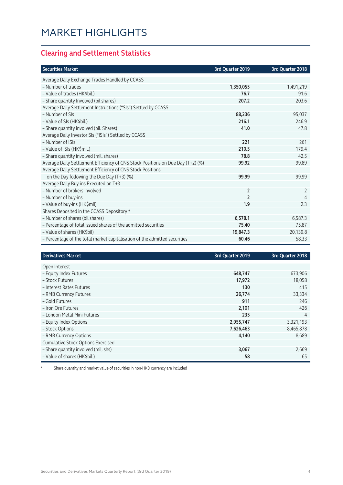### **Clearing and Settlement Statistics**

| <b>Securities Market</b>                                                        | 3rd Quarter 2019 | 3rd Quarter 2018 |
|---------------------------------------------------------------------------------|------------------|------------------|
| Average Daily Exchange Trades Handled by CCASS                                  |                  |                  |
| - Number of trades                                                              | 1,350,055        | 1,491,219        |
| - Value of trades (HK\$bil.)                                                    | 76.7             | 91.6             |
| - Share quantity Involved (bil shares)                                          | 207.2            | 203.6            |
| Average Daily Settlement Instructions ("SIs") Settled by CCASS                  |                  |                  |
| - Number of SIs                                                                 | 88,236           | 95,037           |
| - Value of SIs (HK\$bil.)                                                       | 216.1            | 246.9            |
| - Share quantity involved (bil. Shares)                                         | 41.0             | 47.8             |
| Average Daily Investor SIs ("ISIs") Settled by CCASS                            |                  |                  |
| - Number of ISIs                                                                | 221              | 261              |
| - Value of ISIs (HK\$mil.)                                                      | 210.5            | 179.4            |
| - Share quantity involved (mil. shares)                                         | 78.8             | 42.5             |
| Average Daily Settlement Efficiency of CNS Stock Positions on Due Day (T+2) (%) | 99.92            | 99.89            |
| Average Daily Settlement Efficiency of CNS Stock Positions                      |                  |                  |
| on the Day following the Due Day (T+3) (%)                                      | 99.99            | 99.99            |
| Average Daily Buy-ins Executed on T+3                                           |                  |                  |
| - Number of brokers involved                                                    | $\overline{2}$   | $\overline{2}$   |
| - Number of buy-ins                                                             | 2                | 4                |
| - Value of buy-ins (HK\$mil)                                                    | 1.9              | 2.3              |
| Shares Deposited in the CCASS Depository *                                      |                  |                  |
| - Number of shares (bil shares)                                                 | 6,578.1          | 6,587.3          |
| - Percentage of total issued shares of the admitted securities                  | 75.40            | 75.87            |
| - Value of shares (HK\$bil)                                                     | 19,847.3         | 20,139.8         |
| - Percentage of the total market capitalisation of the admitted securities      | 60.46            | 58.33            |

| <b>Derivatives Market</b>                 | 3rd Quarter 2019 | 3rd Quarter 2018 |
|-------------------------------------------|------------------|------------------|
| Open Interest                             |                  |                  |
| - Equity Index Futures                    | 648,747          | 673,906          |
| - Stock Futures                           | 17,972           | 18,058           |
| - Interest Rates Futures                  | 130              | 415              |
| - RMB Currency Futures                    | 26,774           | 33,334           |
| - Gold Futures                            | 911              | 246              |
| - Iron Ore Futures                        | 2,101            | 426              |
| - London Metal Mini Futures               | 235              | 4                |
| - Equity Index Options                    | 2,955,747        | 3,321,193        |
| - Stock Options                           | 7,626,463        | 8,465,878        |
| - RMB Currency Options                    | 4,140            | 8,689            |
| <b>Cumulative Stock Options Exercised</b> |                  |                  |
| - Share quantity involved (mil. shs)      | 3,067            | 2,669            |
| - Value of shares (HK\$bil.)              | 58               | 65               |

\* Share quantity and market value of securities in non-HKD currency are included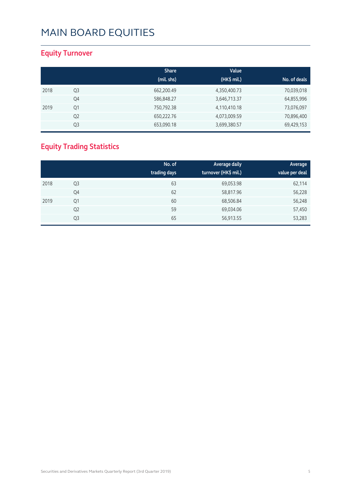### **Equity Turnover**

|      |                | <b>Share</b> | Value        |              |
|------|----------------|--------------|--------------|--------------|
|      |                | (mil. shs)   | (HK\$ mil.)  | No. of deals |
| 2018 | Q <sub>3</sub> | 662,200.49   | 4,350,400.73 | 70,039,018   |
|      | Q4             | 586,848.27   | 3,646,713.37 | 64,855,996   |
| 2019 | Q1             | 750,792.38   | 4,110,410.18 | 73,076,097   |
|      | Q <sub>2</sub> | 650,222.76   | 4,073,009.59 | 70,896,400   |
|      | Q3             | 653,090.18   | 3,699,380.57 | 69,429,153   |

### **Equity Trading Statistics**

|      |                | No. of<br>trading days | Average daily<br>turnover (HK\$ mil.) | Average<br>value per deal |
|------|----------------|------------------------|---------------------------------------|---------------------------|
| 2018 | Q3             | 63                     | 69,053.98                             | 62,114                    |
|      | Q4             | 62                     | 58,817.96                             | 56,228                    |
| 2019 | Q1             | 60                     | 68,506.84                             | 56,248                    |
|      | Q <sub>2</sub> | 59                     | 69,034.06                             | 57,450                    |
|      | Q3             | 65                     | 56,913.55                             | 53,283                    |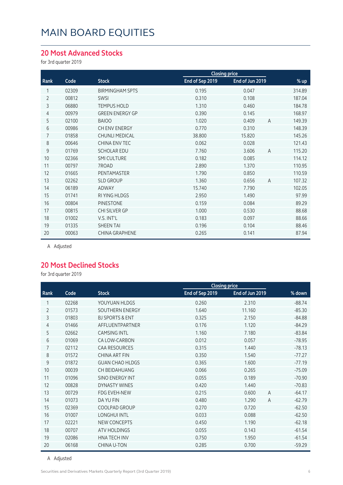#### **20 Most Advanced Stocks**

for 3rd quarter 2019

|      |       |                        | <b>Closing price</b> |                 |                |        |
|------|-------|------------------------|----------------------|-----------------|----------------|--------|
| Rank | Code  | <b>Stock</b>           | End of Sep 2019      | End of Jun 2019 |                | % up   |
| 1    | 02309 | <b>BIRMINGHAM SPTS</b> | 0.195                | 0.047           |                | 314.89 |
| 2    | 00812 | SWSI                   | 0.310                | 0.108           |                | 187.04 |
| 3    | 06880 | <b>TEMPUS HOLD</b>     | 1.310                | 0.460           |                | 184.78 |
| 4    | 00979 | <b>GREEN ENERGY GP</b> | 0.390                | 0.145           |                | 168.97 |
| 5    | 02100 | <b>BAIOO</b>           | 1.020                | 0.409           | $\overline{A}$ | 149.39 |
| 6    | 00986 | CH ENV ENERGY          | 0.770                | 0.310           |                | 148.39 |
| 7    | 01858 | <b>CHUNLI MEDICAL</b>  | 38.800               | 15.820          |                | 145.26 |
| 8    | 00646 | <b>CHINA ENV TEC</b>   | 0.062                | 0.028           |                | 121.43 |
| 9    | 01769 | <b>SCHOLAR EDU</b>     | 7.760                | 3.606           | $\overline{A}$ | 115.20 |
| 10   | 02366 | <b>SMI CULTURE</b>     | 0.182                | 0.085           |                | 114.12 |
| 11   | 00797 | 7ROAD                  | 2.890                | 1.370           |                | 110.95 |
| 12   | 01665 | PENTAMASTER            | 1.790                | 0.850           |                | 110.59 |
| 13   | 02262 | <b>SLD GROUP</b>       | 1.360                | 0.656           | $\overline{A}$ | 107.32 |
| 14   | 06189 | ADWAY                  | 15.740               | 7.790           |                | 102.05 |
| 15   | 01741 | RI YING HLDGS          | 2.950                | 1.490           |                | 97.99  |
| 16   | 00804 | <b>PINESTONE</b>       | 0.159                | 0.084           |                | 89.29  |
| 17   | 00815 | CHI SILVER GP          | 1.000                | 0.530           |                | 88.68  |
| 18   | 01002 | V.S. INT'L             | 0.183                | 0.097           |                | 88.66  |
| 19   | 01335 | <b>SHEEN TAI</b>       | 0.196                | 0.104           |                | 88.46  |
| 20   | 00063 | <b>CHINA GRAPHENE</b>  | 0.265                | 0.141           |                | 87.94  |

A Adjusted

#### **20 Most Declined Stocks**

for 3rd quarter 2019

|                |       |                            |                 | <b>Closing price</b> |          |
|----------------|-------|----------------------------|-----------------|----------------------|----------|
| Rank           | Code  | <b>Stock</b>               | End of Sep 2019 | End of Jun 2019      | % down   |
| 1              | 02268 | YOUYUAN HLDGS              | 0.260           | 2.310                | $-88.74$ |
| $\overline{2}$ | 01573 | SOUTHERN ENERGY            | 1.640           | 11.160               | $-85.30$ |
| 3              | 01803 | <b>BJ SPORTS &amp; ENT</b> | 0.325           | 2.150                | $-84.88$ |
| 4              | 01466 | AFFLUENTPARTNER            | 0.176           | 1.120                | $-84.29$ |
| 5              | 02662 | <b>CAMSING INTL</b>        | 1.160           | 7.180                | $-83.84$ |
| 6              | 01069 | CA LOW-CARBON              | 0.012           | 0.057                | $-78.95$ |
| 7              | 02112 | <b>CAA RESOURCES</b>       | 0.315           | 1.440                | $-78.13$ |
| 8              | 01572 | <b>CHINA ART FIN</b>       | 0.350           | 1.540                | $-77.27$ |
| 9              | 01872 | <b>GUAN CHAO HLDGS</b>     | 0.365           | 1.600                | $-77.19$ |
| 10             | 00039 | CH BEIDAHUANG              | 0.066           | 0.265                | $-75.09$ |
| 11             | 01096 | <b>SINO ENERGY INT</b>     | 0.055           | 0.189                | $-70.90$ |
| 12             | 00828 | <b>DYNASTY WINES</b>       | 0.420           | 1.440                | $-70.83$ |
| 13             | 00729 | <b>FDG EVEH-NEW</b>        | 0.215           | 0.600<br>A           | $-64.17$ |
| 14             | 01073 | DA YU FIN                  | 0.480           | 1.290<br>A           | $-62.79$ |
| 15             | 02369 | COOLPAD GROUP              | 0.270           | 0.720                | $-62.50$ |
| 16             | 01007 | <b>LONGHUI INTL</b>        | 0.033           | 0.088                | $-62.50$ |
| 17             | 02221 | <b>NEW CONCEPTS</b>        | 0.450           | 1.190                | $-62.18$ |
| 18             | 00707 | <b>ATV HOLDINGS</b>        | 0.055           | 0.143                | $-61.54$ |
| 19             | 02086 | HNA TECH INV               | 0.750           | 1.950                | $-61.54$ |
| 20             | 06168 | <b>CHINA U-TON</b>         | 0.285           | 0.700                | $-59.29$ |

A Adjusted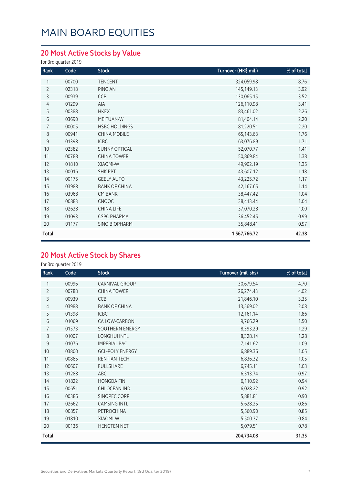### **20 Most Active Stocks by Value**

for 3rd quarter 2019

| Rank           | Code  | <b>Stock</b>         | Turnover (HK\$ mil.) | % of total |
|----------------|-------|----------------------|----------------------|------------|
| 1              | 00700 | <b>TENCENT</b>       | 324,059.98           | 8.76       |
| $\overline{2}$ | 02318 | PING AN              | 145,149.13           | 3.92       |
| 3              | 00939 | CCB                  | 130,065.15           | 3.52       |
| 4              | 01299 | AIA                  | 126,110.98           | 3.41       |
| 5              | 00388 | <b>HKEX</b>          | 83,461.02            | 2.26       |
| 6              | 03690 | MEITUAN-W            | 81,404.14            | 2.20       |
| $\overline{7}$ | 00005 | <b>HSBC HOLDINGS</b> | 81,220.51            | 2.20       |
| 8              | 00941 | <b>CHINA MOBILE</b>  | 65,143.63            | 1.76       |
| 9              | 01398 | <b>ICBC</b>          | 63,076.89            | 1.71       |
| 10             | 02382 | <b>SUNNY OPTICAL</b> | 52,070.77            | 1.41       |
| 11             | 00788 | <b>CHINA TOWER</b>   | 50,869.84            | 1.38       |
| 12             | 01810 | XIAOMI-W             | 49,902.19            | 1.35       |
| 13             | 00016 | <b>SHK PPT</b>       | 43,607.12            | 1.18       |
| 14             | 00175 | <b>GEELY AUTO</b>    | 43,225.72            | 1.17       |
| 15             | 03988 | <b>BANK OF CHINA</b> | 42,167.65            | 1.14       |
| 16             | 03968 | <b>CM BANK</b>       | 38,447.42            | 1.04       |
| 17             | 00883 | <b>CNOOC</b>         | 38,413.44            | 1.04       |
| 18             | 02628 | <b>CHINA LIFE</b>    | 37,070.28            | 1.00       |
| 19             | 01093 | <b>CSPC PHARMA</b>   | 36,452.45            | 0.99       |
| 20             | 01177 | <b>SINO BIOPHARM</b> | 35,848.41            | 0.97       |
| Total          |       |                      | 1,567,766.72         | 42.38      |

### **20 Most Active Stock by Shares**

| Rank           | Code  | <b>Stock</b>           | Turnover (mil. shs) | % of total |
|----------------|-------|------------------------|---------------------|------------|
|                | 00996 | <b>CARNIVAL GROUP</b>  | 30,679.54           | 4.70       |
| $\overline{2}$ | 00788 | <b>CHINA TOWER</b>     | 26,274.43           | 4.02       |
| 3              | 00939 | CCB                    | 21,846.10           | 3.35       |
| 4              | 03988 | <b>BANK OF CHINA</b>   | 13,569.02           | 2.08       |
| 5              | 01398 | <b>ICBC</b>            | 12,161.14           | 1.86       |
| 6              | 01069 | CA LOW-CARBON          | 9,766.29            | 1.50       |
| 7              | 01573 | SOUTHERN ENERGY        | 8,393.29            | 1.29       |
| 8              | 01007 | <b>LONGHUI INTL</b>    | 8,328.14            | 1.28       |
| 9              | 01076 | <b>IMPERIAL PAC</b>    | 7,141.62            | 1.09       |
| 10             | 03800 | <b>GCL-POLY ENERGY</b> | 6,889.36            | 1.05       |
| 11             | 00885 | RENTIAN TECH           | 6,836.32            | 1.05       |
| 12             | 00607 | <b>FULLSHARE</b>       | 6,745.11            | 1.03       |
| 13             | 01288 | ABC                    | 6,313.74            | 0.97       |
| 14             | 01822 | <b>HONGDA FIN</b>      | 6,110.92            | 0.94       |
| 15             | 00651 | CHI OCEAN IND          | 6,028.22            | 0.92       |
| 16             | 00386 | SINOPEC CORP           | 5,881.81            | 0.90       |
| 17             | 02662 | <b>CAMSING INTL</b>    | 5,628.25            | 0.86       |
| 18             | 00857 | PETROCHINA             | 5,560.90            | 0.85       |
| 19             | 01810 | <b>XIAOMI-W</b>        | 5,500.37            | 0.84       |
| 20             | 00136 | <b>HENGTEN NET</b>     | 5,079.51            | 0.78       |
| Total          |       |                        | 204,734.08          | 31.35      |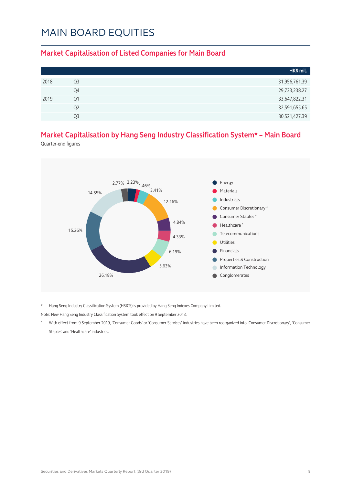#### **Market Capitalisation of Listed Companies for Main Board**

|      |                | HK\$ mil.     |
|------|----------------|---------------|
| 2018 | Q3             | 31,956,761.39 |
|      | Q4             | 29,723,238.27 |
| 2019 | Q1             | 33,647,822.31 |
|      | Q <sub>2</sub> | 32,591,655.65 |
|      | Q3             | 30,521,427.39 |

### **Market Capitalisation by Hang Seng Industry Classification System\* – Main Board**

Quarter-end figures



\* Hang Seng Industry Classification System (HSICS) is provided by Hang Seng Indexes Company Limited.

Note: New Hang Seng Industry Classification System took effect on 9 September 2013.

^ With effect from 9 September 2019, 'Consumer Goods' or 'Consumer Services' industries have been reorganized into 'Consumer Discretionary', 'Consumer Staples' and 'Healthcare' industries.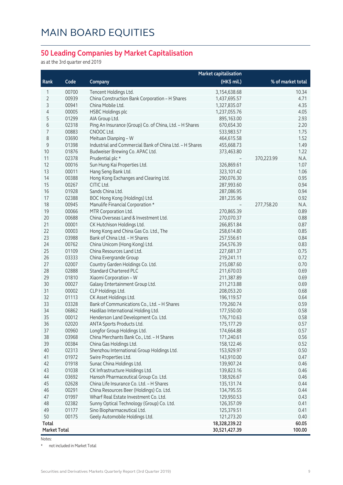#### **50 Leading Companies by Market Capitalisation**

as at the 3rd quarter end 2019

| (HK\$ mil.)<br>% of market total<br>Rank<br>Code<br>Company<br>00700<br>10.34<br>1<br>Tencent Holdings Ltd.<br>3,154,638.68<br>2<br>00939<br>China Construction Bank Corporation - H Shares<br>4.71<br>1,437,695.57<br>3<br>00941<br>China Mobile Ltd.<br>4.35<br>1,327,835.07<br>4<br>00005<br><b>HSBC Holdings plc</b><br>4.05<br>1,237,055.76<br>5<br>01299<br>AIA Group Ltd.<br>2.93<br>895,163.00<br>6<br>02318<br>Ping An Insurance (Group) Co. of China, Ltd. - H Shares<br>2.20<br>670,654.30<br>7<br>00883<br>CNOOC Ltd.<br>1.75<br>533,983.57<br>8<br>03690<br>Meituan Dianping - W<br>464,615.58<br>1.52<br>$\mathsf 9$<br>01398<br>Industrial and Commercial Bank of China Ltd. - H Shares<br>1.49<br>455,668.73<br>1.22<br>10<br>01876<br>Budweiser Brewing Co. APAC Ltd.<br>373,463.80<br>11<br>02378<br>Prudential plc *<br>370,223.99<br>N.A.<br>12<br>00016<br>Sun Hung Kai Properties Ltd.<br>1.07<br>326,869.61<br>13<br>00011<br>Hang Seng Bank Ltd.<br>1.06<br>323,101.42<br>14<br>00388<br>Hong Kong Exchanges and Clearing Ltd.<br>290,076.30<br>0.95<br>15<br>00267<br>0.94<br>CITIC Ltd.<br>287,993.60<br>16<br>01928<br>Sands China Ltd.<br>0.94<br>287,086.95<br>17<br>02388<br>BOC Hong Kong (Holdings) Ltd.<br>0.92<br>281,235.96<br>18<br>00945<br>277,758.20<br>N.A.<br>Manulife Financial Corporation *<br>19<br>00066<br>MTR Corporation Ltd.<br>270,865.39<br>0.89<br>20<br>00688<br>China Overseas Land & Investment Ltd.<br>270,070.37<br>0.88<br>21<br>00001<br>CK Hutchison Holdings Ltd.<br>266,851.84<br>0.87<br>22<br>00003<br>Hong Kong and China Gas Co. Ltd., The<br>0.85<br>258,614.80<br>23<br>03988<br>Bank of China Ltd. - H Shares<br>0.84<br>257,556.61<br>24<br>00762<br>0.83<br>China Unicom (Hong Kong) Ltd.<br>254,576.39<br>25<br>01109<br>China Resources Land Ltd.<br>0.75<br>227,681.37<br>26<br>03333<br>0.72<br>China Evergrande Group<br>219,241.11<br>27<br>02007<br>Country Garden Holdings Co. Ltd.<br>0.70<br>215,087.60<br>28<br>02888<br><b>Standard Chartered PLC</b><br>211,670.03<br>0.69<br>29<br>01810<br>Xiaomi Corporation - W<br>0.69<br>211,387.89<br>30<br>00027<br>Galaxy Entertainment Group Ltd.<br>0.69<br>211,213.88<br>31<br>00002<br>CLP Holdings Ltd.<br>208,053.20<br>0.68<br>32<br>01113<br>CK Asset Holdings Ltd.<br>0.64<br>196,119.57<br>33<br>03328<br>Bank of Communications Co., Ltd. - H Shares<br>0.59<br>179,260.74<br>34<br>06862<br>Haidilao International Holding Ltd.<br>0.58<br>177,550.00<br>35<br>00012<br>0.58<br>Henderson Land Development Co. Ltd.<br>176,710.63<br>36<br>02020<br>0.57<br>ANTA Sports Products Ltd.<br>175,177.29<br>00960<br>Longfor Group Holdings Ltd.<br>174,664.88<br>0.57<br>37<br>38<br>03968<br>0.56<br>China Merchants Bank Co., Ltd. - H Shares<br>171,240.61<br>39<br>00384<br>0.52<br>China Gas Holdings Ltd.<br>158,122.46<br>40<br>02313<br>Shenzhou International Group Holdings Ltd.<br>0.50<br>153,929.97<br>41<br>01972<br>Swire Properties Ltd.<br>143,910.00<br>0.47<br>42<br>01918<br>Sunac China Holdings Ltd.<br>139,907.24<br>0.46<br>43<br>01038<br>CK Infrastructure Holdings Ltd.<br>0.46<br>139,823.16<br>44<br>03692<br>Hansoh Pharmaceutical Group Co. Ltd.<br>138,926.67<br>0.46<br>45<br>02628<br>China Life Insurance Co. Ltd. - H Shares<br>135,131.74<br>0.44<br>46<br>00291<br>China Resources Beer (Holdings) Co. Ltd.<br>134,795.55<br>0.44<br>47<br>01997<br>Wharf Real Estate Investment Co. Ltd.<br>129,950.53<br>0.43<br>48<br>02382<br>Sunny Optical Technology (Group) Co. Ltd.<br>126,357.09<br>0.41<br>49<br>01177<br>Sino Biopharmaceutical Ltd.<br>125,379.51<br>0.41<br>50<br>00175<br>Geely Automobile Holdings Ltd.<br>0.40<br>121,273.20<br>Total<br>18,328,239.22<br>60.05<br><b>Market Total</b><br>100.00<br>30,521,427.39 |  | <b>Market capitalisation</b> |  |
|---------------------------------------------------------------------------------------------------------------------------------------------------------------------------------------------------------------------------------------------------------------------------------------------------------------------------------------------------------------------------------------------------------------------------------------------------------------------------------------------------------------------------------------------------------------------------------------------------------------------------------------------------------------------------------------------------------------------------------------------------------------------------------------------------------------------------------------------------------------------------------------------------------------------------------------------------------------------------------------------------------------------------------------------------------------------------------------------------------------------------------------------------------------------------------------------------------------------------------------------------------------------------------------------------------------------------------------------------------------------------------------------------------------------------------------------------------------------------------------------------------------------------------------------------------------------------------------------------------------------------------------------------------------------------------------------------------------------------------------------------------------------------------------------------------------------------------------------------------------------------------------------------------------------------------------------------------------------------------------------------------------------------------------------------------------------------------------------------------------------------------------------------------------------------------------------------------------------------------------------------------------------------------------------------------------------------------------------------------------------------------------------------------------------------------------------------------------------------------------------------------------------------------------------------------------------------------------------------------------------------------------------------------------------------------------------------------------------------------------------------------------------------------------------------------------------------------------------------------------------------------------------------------------------------------------------------------------------------------------------------------------------------------------------------------------------------------------------------------------------------------------------------------------------------------------------------------------------------------------------------------------------------------------------------------------------------------------------------------------------------------------------------------------------------------------------------------------------------------------------------------------------------------------------------------------------------------------------------------------------------------------------------------------------------------------------------------------------------------------------------------------------------------------------------------------|--|------------------------------|--|
|                                                                                                                                                                                                                                                                                                                                                                                                                                                                                                                                                                                                                                                                                                                                                                                                                                                                                                                                                                                                                                                                                                                                                                                                                                                                                                                                                                                                                                                                                                                                                                                                                                                                                                                                                                                                                                                                                                                                                                                                                                                                                                                                                                                                                                                                                                                                                                                                                                                                                                                                                                                                                                                                                                                                                                                                                                                                                                                                                                                                                                                                                                                                                                                                                                                                                                                                                                                                                                                                                                                                                                                                                                                                                                                                                                                                               |  |                              |  |
|                                                                                                                                                                                                                                                                                                                                                                                                                                                                                                                                                                                                                                                                                                                                                                                                                                                                                                                                                                                                                                                                                                                                                                                                                                                                                                                                                                                                                                                                                                                                                                                                                                                                                                                                                                                                                                                                                                                                                                                                                                                                                                                                                                                                                                                                                                                                                                                                                                                                                                                                                                                                                                                                                                                                                                                                                                                                                                                                                                                                                                                                                                                                                                                                                                                                                                                                                                                                                                                                                                                                                                                                                                                                                                                                                                                                               |  |                              |  |
|                                                                                                                                                                                                                                                                                                                                                                                                                                                                                                                                                                                                                                                                                                                                                                                                                                                                                                                                                                                                                                                                                                                                                                                                                                                                                                                                                                                                                                                                                                                                                                                                                                                                                                                                                                                                                                                                                                                                                                                                                                                                                                                                                                                                                                                                                                                                                                                                                                                                                                                                                                                                                                                                                                                                                                                                                                                                                                                                                                                                                                                                                                                                                                                                                                                                                                                                                                                                                                                                                                                                                                                                                                                                                                                                                                                                               |  |                              |  |
|                                                                                                                                                                                                                                                                                                                                                                                                                                                                                                                                                                                                                                                                                                                                                                                                                                                                                                                                                                                                                                                                                                                                                                                                                                                                                                                                                                                                                                                                                                                                                                                                                                                                                                                                                                                                                                                                                                                                                                                                                                                                                                                                                                                                                                                                                                                                                                                                                                                                                                                                                                                                                                                                                                                                                                                                                                                                                                                                                                                                                                                                                                                                                                                                                                                                                                                                                                                                                                                                                                                                                                                                                                                                                                                                                                                                               |  |                              |  |
|                                                                                                                                                                                                                                                                                                                                                                                                                                                                                                                                                                                                                                                                                                                                                                                                                                                                                                                                                                                                                                                                                                                                                                                                                                                                                                                                                                                                                                                                                                                                                                                                                                                                                                                                                                                                                                                                                                                                                                                                                                                                                                                                                                                                                                                                                                                                                                                                                                                                                                                                                                                                                                                                                                                                                                                                                                                                                                                                                                                                                                                                                                                                                                                                                                                                                                                                                                                                                                                                                                                                                                                                                                                                                                                                                                                                               |  |                              |  |
|                                                                                                                                                                                                                                                                                                                                                                                                                                                                                                                                                                                                                                                                                                                                                                                                                                                                                                                                                                                                                                                                                                                                                                                                                                                                                                                                                                                                                                                                                                                                                                                                                                                                                                                                                                                                                                                                                                                                                                                                                                                                                                                                                                                                                                                                                                                                                                                                                                                                                                                                                                                                                                                                                                                                                                                                                                                                                                                                                                                                                                                                                                                                                                                                                                                                                                                                                                                                                                                                                                                                                                                                                                                                                                                                                                                                               |  |                              |  |
|                                                                                                                                                                                                                                                                                                                                                                                                                                                                                                                                                                                                                                                                                                                                                                                                                                                                                                                                                                                                                                                                                                                                                                                                                                                                                                                                                                                                                                                                                                                                                                                                                                                                                                                                                                                                                                                                                                                                                                                                                                                                                                                                                                                                                                                                                                                                                                                                                                                                                                                                                                                                                                                                                                                                                                                                                                                                                                                                                                                                                                                                                                                                                                                                                                                                                                                                                                                                                                                                                                                                                                                                                                                                                                                                                                                                               |  |                              |  |
|                                                                                                                                                                                                                                                                                                                                                                                                                                                                                                                                                                                                                                                                                                                                                                                                                                                                                                                                                                                                                                                                                                                                                                                                                                                                                                                                                                                                                                                                                                                                                                                                                                                                                                                                                                                                                                                                                                                                                                                                                                                                                                                                                                                                                                                                                                                                                                                                                                                                                                                                                                                                                                                                                                                                                                                                                                                                                                                                                                                                                                                                                                                                                                                                                                                                                                                                                                                                                                                                                                                                                                                                                                                                                                                                                                                                               |  |                              |  |
|                                                                                                                                                                                                                                                                                                                                                                                                                                                                                                                                                                                                                                                                                                                                                                                                                                                                                                                                                                                                                                                                                                                                                                                                                                                                                                                                                                                                                                                                                                                                                                                                                                                                                                                                                                                                                                                                                                                                                                                                                                                                                                                                                                                                                                                                                                                                                                                                                                                                                                                                                                                                                                                                                                                                                                                                                                                                                                                                                                                                                                                                                                                                                                                                                                                                                                                                                                                                                                                                                                                                                                                                                                                                                                                                                                                                               |  |                              |  |
|                                                                                                                                                                                                                                                                                                                                                                                                                                                                                                                                                                                                                                                                                                                                                                                                                                                                                                                                                                                                                                                                                                                                                                                                                                                                                                                                                                                                                                                                                                                                                                                                                                                                                                                                                                                                                                                                                                                                                                                                                                                                                                                                                                                                                                                                                                                                                                                                                                                                                                                                                                                                                                                                                                                                                                                                                                                                                                                                                                                                                                                                                                                                                                                                                                                                                                                                                                                                                                                                                                                                                                                                                                                                                                                                                                                                               |  |                              |  |
|                                                                                                                                                                                                                                                                                                                                                                                                                                                                                                                                                                                                                                                                                                                                                                                                                                                                                                                                                                                                                                                                                                                                                                                                                                                                                                                                                                                                                                                                                                                                                                                                                                                                                                                                                                                                                                                                                                                                                                                                                                                                                                                                                                                                                                                                                                                                                                                                                                                                                                                                                                                                                                                                                                                                                                                                                                                                                                                                                                                                                                                                                                                                                                                                                                                                                                                                                                                                                                                                                                                                                                                                                                                                                                                                                                                                               |  |                              |  |
|                                                                                                                                                                                                                                                                                                                                                                                                                                                                                                                                                                                                                                                                                                                                                                                                                                                                                                                                                                                                                                                                                                                                                                                                                                                                                                                                                                                                                                                                                                                                                                                                                                                                                                                                                                                                                                                                                                                                                                                                                                                                                                                                                                                                                                                                                                                                                                                                                                                                                                                                                                                                                                                                                                                                                                                                                                                                                                                                                                                                                                                                                                                                                                                                                                                                                                                                                                                                                                                                                                                                                                                                                                                                                                                                                                                                               |  |                              |  |
|                                                                                                                                                                                                                                                                                                                                                                                                                                                                                                                                                                                                                                                                                                                                                                                                                                                                                                                                                                                                                                                                                                                                                                                                                                                                                                                                                                                                                                                                                                                                                                                                                                                                                                                                                                                                                                                                                                                                                                                                                                                                                                                                                                                                                                                                                                                                                                                                                                                                                                                                                                                                                                                                                                                                                                                                                                                                                                                                                                                                                                                                                                                                                                                                                                                                                                                                                                                                                                                                                                                                                                                                                                                                                                                                                                                                               |  |                              |  |
|                                                                                                                                                                                                                                                                                                                                                                                                                                                                                                                                                                                                                                                                                                                                                                                                                                                                                                                                                                                                                                                                                                                                                                                                                                                                                                                                                                                                                                                                                                                                                                                                                                                                                                                                                                                                                                                                                                                                                                                                                                                                                                                                                                                                                                                                                                                                                                                                                                                                                                                                                                                                                                                                                                                                                                                                                                                                                                                                                                                                                                                                                                                                                                                                                                                                                                                                                                                                                                                                                                                                                                                                                                                                                                                                                                                                               |  |                              |  |
|                                                                                                                                                                                                                                                                                                                                                                                                                                                                                                                                                                                                                                                                                                                                                                                                                                                                                                                                                                                                                                                                                                                                                                                                                                                                                                                                                                                                                                                                                                                                                                                                                                                                                                                                                                                                                                                                                                                                                                                                                                                                                                                                                                                                                                                                                                                                                                                                                                                                                                                                                                                                                                                                                                                                                                                                                                                                                                                                                                                                                                                                                                                                                                                                                                                                                                                                                                                                                                                                                                                                                                                                                                                                                                                                                                                                               |  |                              |  |
|                                                                                                                                                                                                                                                                                                                                                                                                                                                                                                                                                                                                                                                                                                                                                                                                                                                                                                                                                                                                                                                                                                                                                                                                                                                                                                                                                                                                                                                                                                                                                                                                                                                                                                                                                                                                                                                                                                                                                                                                                                                                                                                                                                                                                                                                                                                                                                                                                                                                                                                                                                                                                                                                                                                                                                                                                                                                                                                                                                                                                                                                                                                                                                                                                                                                                                                                                                                                                                                                                                                                                                                                                                                                                                                                                                                                               |  |                              |  |
|                                                                                                                                                                                                                                                                                                                                                                                                                                                                                                                                                                                                                                                                                                                                                                                                                                                                                                                                                                                                                                                                                                                                                                                                                                                                                                                                                                                                                                                                                                                                                                                                                                                                                                                                                                                                                                                                                                                                                                                                                                                                                                                                                                                                                                                                                                                                                                                                                                                                                                                                                                                                                                                                                                                                                                                                                                                                                                                                                                                                                                                                                                                                                                                                                                                                                                                                                                                                                                                                                                                                                                                                                                                                                                                                                                                                               |  |                              |  |
|                                                                                                                                                                                                                                                                                                                                                                                                                                                                                                                                                                                                                                                                                                                                                                                                                                                                                                                                                                                                                                                                                                                                                                                                                                                                                                                                                                                                                                                                                                                                                                                                                                                                                                                                                                                                                                                                                                                                                                                                                                                                                                                                                                                                                                                                                                                                                                                                                                                                                                                                                                                                                                                                                                                                                                                                                                                                                                                                                                                                                                                                                                                                                                                                                                                                                                                                                                                                                                                                                                                                                                                                                                                                                                                                                                                                               |  |                              |  |
|                                                                                                                                                                                                                                                                                                                                                                                                                                                                                                                                                                                                                                                                                                                                                                                                                                                                                                                                                                                                                                                                                                                                                                                                                                                                                                                                                                                                                                                                                                                                                                                                                                                                                                                                                                                                                                                                                                                                                                                                                                                                                                                                                                                                                                                                                                                                                                                                                                                                                                                                                                                                                                                                                                                                                                                                                                                                                                                                                                                                                                                                                                                                                                                                                                                                                                                                                                                                                                                                                                                                                                                                                                                                                                                                                                                                               |  |                              |  |
|                                                                                                                                                                                                                                                                                                                                                                                                                                                                                                                                                                                                                                                                                                                                                                                                                                                                                                                                                                                                                                                                                                                                                                                                                                                                                                                                                                                                                                                                                                                                                                                                                                                                                                                                                                                                                                                                                                                                                                                                                                                                                                                                                                                                                                                                                                                                                                                                                                                                                                                                                                                                                                                                                                                                                                                                                                                                                                                                                                                                                                                                                                                                                                                                                                                                                                                                                                                                                                                                                                                                                                                                                                                                                                                                                                                                               |  |                              |  |
|                                                                                                                                                                                                                                                                                                                                                                                                                                                                                                                                                                                                                                                                                                                                                                                                                                                                                                                                                                                                                                                                                                                                                                                                                                                                                                                                                                                                                                                                                                                                                                                                                                                                                                                                                                                                                                                                                                                                                                                                                                                                                                                                                                                                                                                                                                                                                                                                                                                                                                                                                                                                                                                                                                                                                                                                                                                                                                                                                                                                                                                                                                                                                                                                                                                                                                                                                                                                                                                                                                                                                                                                                                                                                                                                                                                                               |  |                              |  |
|                                                                                                                                                                                                                                                                                                                                                                                                                                                                                                                                                                                                                                                                                                                                                                                                                                                                                                                                                                                                                                                                                                                                                                                                                                                                                                                                                                                                                                                                                                                                                                                                                                                                                                                                                                                                                                                                                                                                                                                                                                                                                                                                                                                                                                                                                                                                                                                                                                                                                                                                                                                                                                                                                                                                                                                                                                                                                                                                                                                                                                                                                                                                                                                                                                                                                                                                                                                                                                                                                                                                                                                                                                                                                                                                                                                                               |  |                              |  |
|                                                                                                                                                                                                                                                                                                                                                                                                                                                                                                                                                                                                                                                                                                                                                                                                                                                                                                                                                                                                                                                                                                                                                                                                                                                                                                                                                                                                                                                                                                                                                                                                                                                                                                                                                                                                                                                                                                                                                                                                                                                                                                                                                                                                                                                                                                                                                                                                                                                                                                                                                                                                                                                                                                                                                                                                                                                                                                                                                                                                                                                                                                                                                                                                                                                                                                                                                                                                                                                                                                                                                                                                                                                                                                                                                                                                               |  |                              |  |
|                                                                                                                                                                                                                                                                                                                                                                                                                                                                                                                                                                                                                                                                                                                                                                                                                                                                                                                                                                                                                                                                                                                                                                                                                                                                                                                                                                                                                                                                                                                                                                                                                                                                                                                                                                                                                                                                                                                                                                                                                                                                                                                                                                                                                                                                                                                                                                                                                                                                                                                                                                                                                                                                                                                                                                                                                                                                                                                                                                                                                                                                                                                                                                                                                                                                                                                                                                                                                                                                                                                                                                                                                                                                                                                                                                                                               |  |                              |  |
|                                                                                                                                                                                                                                                                                                                                                                                                                                                                                                                                                                                                                                                                                                                                                                                                                                                                                                                                                                                                                                                                                                                                                                                                                                                                                                                                                                                                                                                                                                                                                                                                                                                                                                                                                                                                                                                                                                                                                                                                                                                                                                                                                                                                                                                                                                                                                                                                                                                                                                                                                                                                                                                                                                                                                                                                                                                                                                                                                                                                                                                                                                                                                                                                                                                                                                                                                                                                                                                                                                                                                                                                                                                                                                                                                                                                               |  |                              |  |
|                                                                                                                                                                                                                                                                                                                                                                                                                                                                                                                                                                                                                                                                                                                                                                                                                                                                                                                                                                                                                                                                                                                                                                                                                                                                                                                                                                                                                                                                                                                                                                                                                                                                                                                                                                                                                                                                                                                                                                                                                                                                                                                                                                                                                                                                                                                                                                                                                                                                                                                                                                                                                                                                                                                                                                                                                                                                                                                                                                                                                                                                                                                                                                                                                                                                                                                                                                                                                                                                                                                                                                                                                                                                                                                                                                                                               |  |                              |  |
|                                                                                                                                                                                                                                                                                                                                                                                                                                                                                                                                                                                                                                                                                                                                                                                                                                                                                                                                                                                                                                                                                                                                                                                                                                                                                                                                                                                                                                                                                                                                                                                                                                                                                                                                                                                                                                                                                                                                                                                                                                                                                                                                                                                                                                                                                                                                                                                                                                                                                                                                                                                                                                                                                                                                                                                                                                                                                                                                                                                                                                                                                                                                                                                                                                                                                                                                                                                                                                                                                                                                                                                                                                                                                                                                                                                                               |  |                              |  |
|                                                                                                                                                                                                                                                                                                                                                                                                                                                                                                                                                                                                                                                                                                                                                                                                                                                                                                                                                                                                                                                                                                                                                                                                                                                                                                                                                                                                                                                                                                                                                                                                                                                                                                                                                                                                                                                                                                                                                                                                                                                                                                                                                                                                                                                                                                                                                                                                                                                                                                                                                                                                                                                                                                                                                                                                                                                                                                                                                                                                                                                                                                                                                                                                                                                                                                                                                                                                                                                                                                                                                                                                                                                                                                                                                                                                               |  |                              |  |
|                                                                                                                                                                                                                                                                                                                                                                                                                                                                                                                                                                                                                                                                                                                                                                                                                                                                                                                                                                                                                                                                                                                                                                                                                                                                                                                                                                                                                                                                                                                                                                                                                                                                                                                                                                                                                                                                                                                                                                                                                                                                                                                                                                                                                                                                                                                                                                                                                                                                                                                                                                                                                                                                                                                                                                                                                                                                                                                                                                                                                                                                                                                                                                                                                                                                                                                                                                                                                                                                                                                                                                                                                                                                                                                                                                                                               |  |                              |  |
|                                                                                                                                                                                                                                                                                                                                                                                                                                                                                                                                                                                                                                                                                                                                                                                                                                                                                                                                                                                                                                                                                                                                                                                                                                                                                                                                                                                                                                                                                                                                                                                                                                                                                                                                                                                                                                                                                                                                                                                                                                                                                                                                                                                                                                                                                                                                                                                                                                                                                                                                                                                                                                                                                                                                                                                                                                                                                                                                                                                                                                                                                                                                                                                                                                                                                                                                                                                                                                                                                                                                                                                                                                                                                                                                                                                                               |  |                              |  |
|                                                                                                                                                                                                                                                                                                                                                                                                                                                                                                                                                                                                                                                                                                                                                                                                                                                                                                                                                                                                                                                                                                                                                                                                                                                                                                                                                                                                                                                                                                                                                                                                                                                                                                                                                                                                                                                                                                                                                                                                                                                                                                                                                                                                                                                                                                                                                                                                                                                                                                                                                                                                                                                                                                                                                                                                                                                                                                                                                                                                                                                                                                                                                                                                                                                                                                                                                                                                                                                                                                                                                                                                                                                                                                                                                                                                               |  |                              |  |
|                                                                                                                                                                                                                                                                                                                                                                                                                                                                                                                                                                                                                                                                                                                                                                                                                                                                                                                                                                                                                                                                                                                                                                                                                                                                                                                                                                                                                                                                                                                                                                                                                                                                                                                                                                                                                                                                                                                                                                                                                                                                                                                                                                                                                                                                                                                                                                                                                                                                                                                                                                                                                                                                                                                                                                                                                                                                                                                                                                                                                                                                                                                                                                                                                                                                                                                                                                                                                                                                                                                                                                                                                                                                                                                                                                                                               |  |                              |  |
|                                                                                                                                                                                                                                                                                                                                                                                                                                                                                                                                                                                                                                                                                                                                                                                                                                                                                                                                                                                                                                                                                                                                                                                                                                                                                                                                                                                                                                                                                                                                                                                                                                                                                                                                                                                                                                                                                                                                                                                                                                                                                                                                                                                                                                                                                                                                                                                                                                                                                                                                                                                                                                                                                                                                                                                                                                                                                                                                                                                                                                                                                                                                                                                                                                                                                                                                                                                                                                                                                                                                                                                                                                                                                                                                                                                                               |  |                              |  |
|                                                                                                                                                                                                                                                                                                                                                                                                                                                                                                                                                                                                                                                                                                                                                                                                                                                                                                                                                                                                                                                                                                                                                                                                                                                                                                                                                                                                                                                                                                                                                                                                                                                                                                                                                                                                                                                                                                                                                                                                                                                                                                                                                                                                                                                                                                                                                                                                                                                                                                                                                                                                                                                                                                                                                                                                                                                                                                                                                                                                                                                                                                                                                                                                                                                                                                                                                                                                                                                                                                                                                                                                                                                                                                                                                                                                               |  |                              |  |
|                                                                                                                                                                                                                                                                                                                                                                                                                                                                                                                                                                                                                                                                                                                                                                                                                                                                                                                                                                                                                                                                                                                                                                                                                                                                                                                                                                                                                                                                                                                                                                                                                                                                                                                                                                                                                                                                                                                                                                                                                                                                                                                                                                                                                                                                                                                                                                                                                                                                                                                                                                                                                                                                                                                                                                                                                                                                                                                                                                                                                                                                                                                                                                                                                                                                                                                                                                                                                                                                                                                                                                                                                                                                                                                                                                                                               |  |                              |  |
|                                                                                                                                                                                                                                                                                                                                                                                                                                                                                                                                                                                                                                                                                                                                                                                                                                                                                                                                                                                                                                                                                                                                                                                                                                                                                                                                                                                                                                                                                                                                                                                                                                                                                                                                                                                                                                                                                                                                                                                                                                                                                                                                                                                                                                                                                                                                                                                                                                                                                                                                                                                                                                                                                                                                                                                                                                                                                                                                                                                                                                                                                                                                                                                                                                                                                                                                                                                                                                                                                                                                                                                                                                                                                                                                                                                                               |  |                              |  |
|                                                                                                                                                                                                                                                                                                                                                                                                                                                                                                                                                                                                                                                                                                                                                                                                                                                                                                                                                                                                                                                                                                                                                                                                                                                                                                                                                                                                                                                                                                                                                                                                                                                                                                                                                                                                                                                                                                                                                                                                                                                                                                                                                                                                                                                                                                                                                                                                                                                                                                                                                                                                                                                                                                                                                                                                                                                                                                                                                                                                                                                                                                                                                                                                                                                                                                                                                                                                                                                                                                                                                                                                                                                                                                                                                                                                               |  |                              |  |
|                                                                                                                                                                                                                                                                                                                                                                                                                                                                                                                                                                                                                                                                                                                                                                                                                                                                                                                                                                                                                                                                                                                                                                                                                                                                                                                                                                                                                                                                                                                                                                                                                                                                                                                                                                                                                                                                                                                                                                                                                                                                                                                                                                                                                                                                                                                                                                                                                                                                                                                                                                                                                                                                                                                                                                                                                                                                                                                                                                                                                                                                                                                                                                                                                                                                                                                                                                                                                                                                                                                                                                                                                                                                                                                                                                                                               |  |                              |  |
|                                                                                                                                                                                                                                                                                                                                                                                                                                                                                                                                                                                                                                                                                                                                                                                                                                                                                                                                                                                                                                                                                                                                                                                                                                                                                                                                                                                                                                                                                                                                                                                                                                                                                                                                                                                                                                                                                                                                                                                                                                                                                                                                                                                                                                                                                                                                                                                                                                                                                                                                                                                                                                                                                                                                                                                                                                                                                                                                                                                                                                                                                                                                                                                                                                                                                                                                                                                                                                                                                                                                                                                                                                                                                                                                                                                                               |  |                              |  |
|                                                                                                                                                                                                                                                                                                                                                                                                                                                                                                                                                                                                                                                                                                                                                                                                                                                                                                                                                                                                                                                                                                                                                                                                                                                                                                                                                                                                                                                                                                                                                                                                                                                                                                                                                                                                                                                                                                                                                                                                                                                                                                                                                                                                                                                                                                                                                                                                                                                                                                                                                                                                                                                                                                                                                                                                                                                                                                                                                                                                                                                                                                                                                                                                                                                                                                                                                                                                                                                                                                                                                                                                                                                                                                                                                                                                               |  |                              |  |
|                                                                                                                                                                                                                                                                                                                                                                                                                                                                                                                                                                                                                                                                                                                                                                                                                                                                                                                                                                                                                                                                                                                                                                                                                                                                                                                                                                                                                                                                                                                                                                                                                                                                                                                                                                                                                                                                                                                                                                                                                                                                                                                                                                                                                                                                                                                                                                                                                                                                                                                                                                                                                                                                                                                                                                                                                                                                                                                                                                                                                                                                                                                                                                                                                                                                                                                                                                                                                                                                                                                                                                                                                                                                                                                                                                                                               |  |                              |  |
|                                                                                                                                                                                                                                                                                                                                                                                                                                                                                                                                                                                                                                                                                                                                                                                                                                                                                                                                                                                                                                                                                                                                                                                                                                                                                                                                                                                                                                                                                                                                                                                                                                                                                                                                                                                                                                                                                                                                                                                                                                                                                                                                                                                                                                                                                                                                                                                                                                                                                                                                                                                                                                                                                                                                                                                                                                                                                                                                                                                                                                                                                                                                                                                                                                                                                                                                                                                                                                                                                                                                                                                                                                                                                                                                                                                                               |  |                              |  |
|                                                                                                                                                                                                                                                                                                                                                                                                                                                                                                                                                                                                                                                                                                                                                                                                                                                                                                                                                                                                                                                                                                                                                                                                                                                                                                                                                                                                                                                                                                                                                                                                                                                                                                                                                                                                                                                                                                                                                                                                                                                                                                                                                                                                                                                                                                                                                                                                                                                                                                                                                                                                                                                                                                                                                                                                                                                                                                                                                                                                                                                                                                                                                                                                                                                                                                                                                                                                                                                                                                                                                                                                                                                                                                                                                                                                               |  |                              |  |
|                                                                                                                                                                                                                                                                                                                                                                                                                                                                                                                                                                                                                                                                                                                                                                                                                                                                                                                                                                                                                                                                                                                                                                                                                                                                                                                                                                                                                                                                                                                                                                                                                                                                                                                                                                                                                                                                                                                                                                                                                                                                                                                                                                                                                                                                                                                                                                                                                                                                                                                                                                                                                                                                                                                                                                                                                                                                                                                                                                                                                                                                                                                                                                                                                                                                                                                                                                                                                                                                                                                                                                                                                                                                                                                                                                                                               |  |                              |  |
|                                                                                                                                                                                                                                                                                                                                                                                                                                                                                                                                                                                                                                                                                                                                                                                                                                                                                                                                                                                                                                                                                                                                                                                                                                                                                                                                                                                                                                                                                                                                                                                                                                                                                                                                                                                                                                                                                                                                                                                                                                                                                                                                                                                                                                                                                                                                                                                                                                                                                                                                                                                                                                                                                                                                                                                                                                                                                                                                                                                                                                                                                                                                                                                                                                                                                                                                                                                                                                                                                                                                                                                                                                                                                                                                                                                                               |  |                              |  |
|                                                                                                                                                                                                                                                                                                                                                                                                                                                                                                                                                                                                                                                                                                                                                                                                                                                                                                                                                                                                                                                                                                                                                                                                                                                                                                                                                                                                                                                                                                                                                                                                                                                                                                                                                                                                                                                                                                                                                                                                                                                                                                                                                                                                                                                                                                                                                                                                                                                                                                                                                                                                                                                                                                                                                                                                                                                                                                                                                                                                                                                                                                                                                                                                                                                                                                                                                                                                                                                                                                                                                                                                                                                                                                                                                                                                               |  |                              |  |
|                                                                                                                                                                                                                                                                                                                                                                                                                                                                                                                                                                                                                                                                                                                                                                                                                                                                                                                                                                                                                                                                                                                                                                                                                                                                                                                                                                                                                                                                                                                                                                                                                                                                                                                                                                                                                                                                                                                                                                                                                                                                                                                                                                                                                                                                                                                                                                                                                                                                                                                                                                                                                                                                                                                                                                                                                                                                                                                                                                                                                                                                                                                                                                                                                                                                                                                                                                                                                                                                                                                                                                                                                                                                                                                                                                                                               |  |                              |  |
|                                                                                                                                                                                                                                                                                                                                                                                                                                                                                                                                                                                                                                                                                                                                                                                                                                                                                                                                                                                                                                                                                                                                                                                                                                                                                                                                                                                                                                                                                                                                                                                                                                                                                                                                                                                                                                                                                                                                                                                                                                                                                                                                                                                                                                                                                                                                                                                                                                                                                                                                                                                                                                                                                                                                                                                                                                                                                                                                                                                                                                                                                                                                                                                                                                                                                                                                                                                                                                                                                                                                                                                                                                                                                                                                                                                                               |  |                              |  |
|                                                                                                                                                                                                                                                                                                                                                                                                                                                                                                                                                                                                                                                                                                                                                                                                                                                                                                                                                                                                                                                                                                                                                                                                                                                                                                                                                                                                                                                                                                                                                                                                                                                                                                                                                                                                                                                                                                                                                                                                                                                                                                                                                                                                                                                                                                                                                                                                                                                                                                                                                                                                                                                                                                                                                                                                                                                                                                                                                                                                                                                                                                                                                                                                                                                                                                                                                                                                                                                                                                                                                                                                                                                                                                                                                                                                               |  |                              |  |
|                                                                                                                                                                                                                                                                                                                                                                                                                                                                                                                                                                                                                                                                                                                                                                                                                                                                                                                                                                                                                                                                                                                                                                                                                                                                                                                                                                                                                                                                                                                                                                                                                                                                                                                                                                                                                                                                                                                                                                                                                                                                                                                                                                                                                                                                                                                                                                                                                                                                                                                                                                                                                                                                                                                                                                                                                                                                                                                                                                                                                                                                                                                                                                                                                                                                                                                                                                                                                                                                                                                                                                                                                                                                                                                                                                                                               |  |                              |  |
|                                                                                                                                                                                                                                                                                                                                                                                                                                                                                                                                                                                                                                                                                                                                                                                                                                                                                                                                                                                                                                                                                                                                                                                                                                                                                                                                                                                                                                                                                                                                                                                                                                                                                                                                                                                                                                                                                                                                                                                                                                                                                                                                                                                                                                                                                                                                                                                                                                                                                                                                                                                                                                                                                                                                                                                                                                                                                                                                                                                                                                                                                                                                                                                                                                                                                                                                                                                                                                                                                                                                                                                                                                                                                                                                                                                                               |  |                              |  |
|                                                                                                                                                                                                                                                                                                                                                                                                                                                                                                                                                                                                                                                                                                                                                                                                                                                                                                                                                                                                                                                                                                                                                                                                                                                                                                                                                                                                                                                                                                                                                                                                                                                                                                                                                                                                                                                                                                                                                                                                                                                                                                                                                                                                                                                                                                                                                                                                                                                                                                                                                                                                                                                                                                                                                                                                                                                                                                                                                                                                                                                                                                                                                                                                                                                                                                                                                                                                                                                                                                                                                                                                                                                                                                                                                                                                               |  |                              |  |
|                                                                                                                                                                                                                                                                                                                                                                                                                                                                                                                                                                                                                                                                                                                                                                                                                                                                                                                                                                                                                                                                                                                                                                                                                                                                                                                                                                                                                                                                                                                                                                                                                                                                                                                                                                                                                                                                                                                                                                                                                                                                                                                                                                                                                                                                                                                                                                                                                                                                                                                                                                                                                                                                                                                                                                                                                                                                                                                                                                                                                                                                                                                                                                                                                                                                                                                                                                                                                                                                                                                                                                                                                                                                                                                                                                                                               |  |                              |  |

Notes:

\* not included in Market Total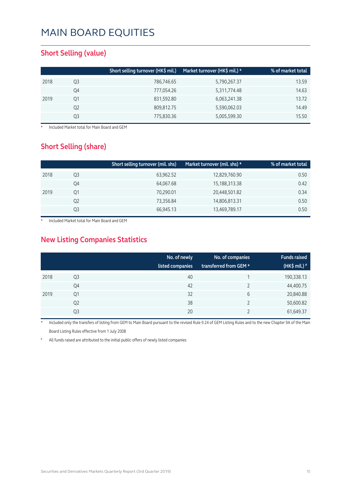#### **Short Selling (value)**

|    | Short selling turnover (HK\$ mil.) | Market turnover (HK\$ mil.) * | % of market total |
|----|------------------------------------|-------------------------------|-------------------|
| Q3 | 786,746.65                         | 5,790,267.37                  | 13.59             |
| Q4 | 777,054.26                         | 5,311,774.48                  | 14.63             |
| 01 | 831,592.80                         | 6,063,241.38                  | 13.72             |
| Q2 | 809,812.75                         | 5,590,062.03                  | 14.49             |
| Q3 | 775,830.36                         | 5,005,599.30                  | 15.50             |
|    |                                    |                               |                   |

**Included Market total for Main Board and GEM** 

#### **Short Selling (share)**

|      |    | Short selling turnover (mil. shs) | Market turnover (mil. shs) * | % of market total |
|------|----|-----------------------------------|------------------------------|-------------------|
| 2018 | Q3 | 63,962.52                         | 12,829,760.90                | 0.50              |
|      | Q4 | 64,067.68                         | 15,188,313.38                | 0.42              |
| 2019 | Q1 | 70,290.01                         | 20,448,501.82                | 0.34              |
|      | Q2 | 73,356.84                         | 14,806,813.31                | 0.50              |
|      | Q3 | 66,945.13                         | 13,469,789.17                | 0.50              |

Included Market total for Main Board and GEM

### **New Listing Companies Statistics**

|      |                | No. of newly<br>listed companies | No. of companies<br>transferred from GEM * | <b>Funds raised</b><br>(HK\$ mil.) $*$ |
|------|----------------|----------------------------------|--------------------------------------------|----------------------------------------|
| 2018 | Q <sub>3</sub> | 40                               |                                            | 190,338.13                             |
|      | Q4             | 42                               |                                            | 44,400.75                              |
| 2019 | Q1             | 32                               | 6                                          | 20,840.88                              |
|      | Q <sub>2</sub> | 38                               |                                            | 50,600.82                              |
|      | Q <sub>3</sub> | 20                               |                                            | 61,649.37                              |

Included only the transfers of listing from GEM to Main Board pursuant to the revised Rule 9.24 of GEM Listing Rules and to the new Chapter 9A of the Main Board Listing Rules effective from 1 July 2008

All funds raised are attributed to the initial public offers of newly listed companies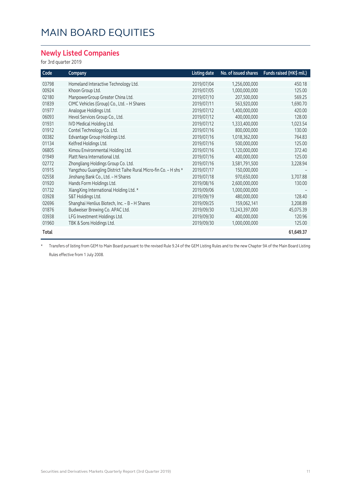#### **Newly Listed Companies**

for 3rd quarter 2019

| Code  | Company                                                         | <b>Listing date</b> | No. of issued shares | Funds raised (HK\$ mil.) |
|-------|-----------------------------------------------------------------|---------------------|----------------------|--------------------------|
| 03798 | Homeland Interactive Technology Ltd.                            | 2019/07/04          | 1,256,000,000        | 450.18                   |
| 00924 | Khoon Group Ltd.                                                | 2019/07/05          | 1,000,000,000        | 125.00                   |
| 02180 | ManpowerGroup Greater China Ltd.                                | 2019/07/10          | 207,500,000          | 569.25                   |
| 01839 | CIMC Vehicles (Group) Co., Ltd. - H Shares                      | 2019/07/11          | 563,920,000          | 1,690.70                 |
| 01977 | Analogue Holdings Ltd.                                          | 2019/07/12          | 1,400,000,000        | 420.00                   |
| 06093 | Hevol Services Group Co., Ltd.                                  | 2019/07/12          | 400,000,000          | 128.00                   |
| 01931 | IVD Medical Holding Ltd.                                        | 2019/07/12          | 1,333,400,000        | 1,023.54                 |
| 01912 | Contel Technology Co. Ltd.                                      | 2019/07/16          | 800,000,000          | 130.00                   |
| 00382 | Edvantage Group Holdings Ltd.                                   | 2019/07/16          | 1,018,362,000        | 764.83                   |
| 01134 | Kelfred Holdings Ltd.                                           | 2019/07/16          | 500,000,000          | 125.00                   |
| 06805 | Kimou Environmental Holding Ltd.                                | 2019/07/16          | 1,120,000,000        | 372.40                   |
| 01949 | Platt Nera International Ltd.                                   | 2019/07/16          | 400,000,000          | 125.00                   |
| 02772 | Zhongliang Holdings Group Co. Ltd.                              | 2019/07/16          | 3,581,791,500        | 3,228.94                 |
| 01915 | Yangzhou Guangling District Taihe Rural Micro-fin Co. - H shs * | 2019/07/17          | 150,000,000          |                          |
| 02558 | Jinshang Bank Co., Ltd. - H Shares                              | 2019/07/18          | 970,650,000          | 3,707.88                 |
| 01920 | Hands Form Holdings Ltd.                                        | 2019/08/16          | 2,600,000,000        | 130.00                   |
| 01732 | XiangXing International Holding Ltd. *                          | 2019/09/06          | 1,000,000,000        |                          |
| 03928 | S&T Holdings Ltd.                                               | 2019/09/19          | 480,000,000          | 128.40                   |
| 02696 | Shanghai Henlius Biotech, Inc. - B - H Shares                   | 2019/09/25          | 159,062,141          | 3,208.89                 |
| 01876 | Budweiser Brewing Co. APAC Ltd.                                 | 2019/09/30          | 13,243,397,000       | 45,075.39                |
| 03938 | LFG Investment Holdings Ltd.                                    | 2019/09/30          | 400,000,000          | 120.96                   |
| 01960 | TBK & Sons Holdings Ltd.                                        | 2019/09/30          | 1,000,000,000        | 125.00                   |
| Total |                                                                 |                     |                      | 61,649.37                |

\* Transfers of listing from GEM to Main Board pursuant to the revised Rule 9.24 of the GEM Listing Rules and to the new Chapter 9A of the Main Board Listing Rules effective from 1 July 2008.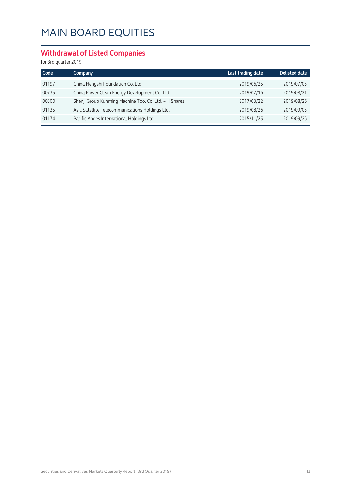### **Withdrawal of Listed Companies**

| Company                                               | Last trading date | <b>Delisted date</b> |
|-------------------------------------------------------|-------------------|----------------------|
| China Hengshi Foundation Co. Ltd.                     | 2019/06/25        | 2019/07/05           |
| China Power Clean Energy Development Co. Ltd.         | 2019/07/16        | 2019/08/21           |
| Shenji Group Kunming Machine Tool Co. Ltd. - H Shares | 2017/03/22        | 2019/08/26           |
| Asia Satellite Telecommunications Holdings Ltd.       | 2019/08/26        | 2019/09/05           |
| Pacific Andes International Holdings Ltd.             | 2015/11/25        | 2019/09/26           |
|                                                       |                   |                      |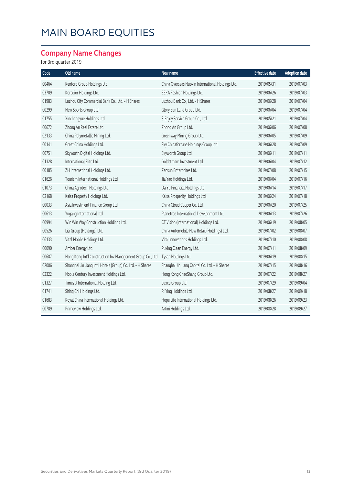### **Company Name Changes**

| Code  | Old name                                                    | New name                                          | <b>Effective date</b> | <b>Adoption date</b> |
|-------|-------------------------------------------------------------|---------------------------------------------------|-----------------------|----------------------|
| 00464 | Kenford Group Holdings Ltd.                                 | China Overseas Nuoxin International Holdings Ltd. | 2019/05/31            | 2019/07/03           |
| 03709 | Koradior Holdings Ltd.                                      | EEKA Fashion Holdings Ltd.                        | 2019/06/26            | 2019/07/03           |
| 01983 | Luzhou City Commercial Bank Co., Ltd. - H Shares            | Luzhou Bank Co., Ltd. - H Shares                  | 2019/06/28            | 2019/07/04           |
| 00299 | New Sports Group Ltd.                                       | Glory Sun Land Group Ltd.                         | 2019/06/04            | 2019/07/04           |
| 01755 | Xinchengyue Holdings Ltd.                                   | S-Enjoy Service Group Co., Ltd.                   | 2019/05/21            | 2019/07/04           |
| 00672 | Zhong An Real Estate Ltd.                                   | Zhong An Group Ltd.                               | 2019/06/06            | 2019/07/08           |
| 02133 | China Polymetallic Mining Ltd.                              | Greenway Mining Group Ltd.                        | 2019/06/05            | 2019/07/09           |
| 00141 | Great China Holdings Ltd.                                   | Sky Chinafortune Holdings Group Ltd.              | 2019/06/28            | 2019/07/09           |
| 00751 | Skyworth Digital Holdings Ltd.                              | Skyworth Group Ltd.                               | 2019/06/11            | 2019/07/11           |
| 01328 | International Elite Ltd.                                    | Goldstream Investment Ltd.                        | 2019/06/04            | 2019/07/12           |
| 00185 | ZH International Holdings Ltd.                              | Zensun Enterprises Ltd.                           | 2019/07/08            | 2019/07/15           |
| 01626 | Tourism International Holdings Ltd.                         | Jia Yao Holdings Ltd.                             | 2019/06/04            | 2019/07/16           |
| 01073 | China Agrotech Holdings Ltd.                                | Da Yu Financial Holdings Ltd.                     | 2019/06/14            | 2019/07/17           |
| 02168 | Kaisa Property Holdings Ltd.                                | Kaisa Prosperity Holdings Ltd.                    | 2019/06/24            | 2019/07/18           |
| 00033 | Asia Investment Finance Group Ltd.                          | China Cloud Copper Co. Ltd.                       | 2019/06/20            | 2019/07/25           |
| 00613 | Yugang International Ltd.                                   | Planetree International Development Ltd.          | 2019/06/13            | 2019/07/26           |
| 00994 | Win Win Way Construction Holdings Ltd.                      | CT Vision (International) Holdings Ltd.           | 2019/06/19            | 2019/08/05           |
| 00526 | Lisi Group (Holdings) Ltd.                                  | China Automobile New Retail (Holdings) Ltd.       | 2019/07/02            | 2019/08/07           |
| 06133 | Vital Mobile Holdings Ltd.                                  | Vital Innovations Holdings Ltd.                   | 2019/07/10            | 2019/08/08           |
| 00090 | Amber Energy Ltd.                                           | Puxing Clean Energy Ltd.                          | 2019/07/11            | 2019/08/09           |
| 00687 | Hong Kong Int'l Construction Inv Management Group Co., Ltd. | Tysan Holdings Ltd.                               | 2019/06/19            | 2019/08/15           |
| 02006 | Shanghai Jin Jiang Int'l Hotels (Group) Co. Ltd. - H Shares | Shanghai Jin Jiang Capital Co. Ltd. - H Shares    | 2019/07/15            | 2019/08/16           |
| 02322 | Noble Century Investment Holdings Ltd.                      | Hong Kong ChaoShang Group Ltd.                    | 2019/07/22            | 2019/08/27           |
| 01327 | Time2U International Holding Ltd.                           | Luxxu Group Ltd.                                  | 2019/07/29            | 2019/09/04           |
| 01741 | Shing Chi Holdings Ltd.                                     | Ri Ying Holdings Ltd.                             | 2019/08/27            | 2019/09/18           |
| 01683 | Royal China International Holdings Ltd.                     | Hope Life International Holdings Ltd.             | 2019/08/26            | 2019/09/23           |
| 00789 | Primeview Holdings Ltd.                                     | Artini Holdings Ltd.                              | 2019/08/28            | 2019/09/27           |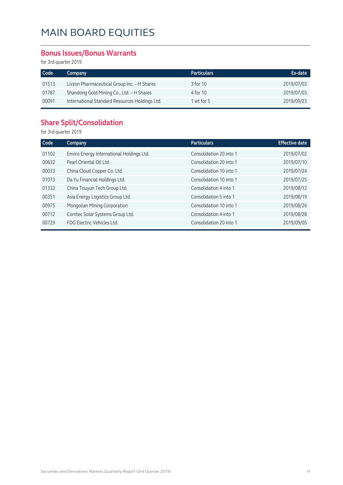#### **Bonus Issues/Bonus Warrants**

for 3rd quarter 2019

| Code  | Company                                        | <b>Particulars</b> | Ex-date    |
|-------|------------------------------------------------|--------------------|------------|
| 01513 | Livzon Pharmaceutical Group Inc. - H Shares    | 3 for 10           | 2019/07/03 |
| 01787 | Shandong Gold Mining Co., Ltd. - H Shares      | 4 for 10           | 2019/07/03 |
| 00091 | International Standard Resources Holdings Ltd. | 1 wt for 5         | 2019/09/23 |

#### **Share Split/Consolidation**

| Code  | Company                                   | <b>Particulars</b>      | <b>Effective date</b> |
|-------|-------------------------------------------|-------------------------|-----------------------|
| 01102 | Enviro Energy International Holdings Ltd. | Consolidation 20 into 1 | 2019/07/02            |
| 00632 | Pearl Oriental Oil Ltd.                   | Consolidation 20 into 1 | 2019/07/10            |
| 00033 | China Cloud Copper Co. Ltd.               | Consolidation 10 into 1 | 2019/07/24            |
| 01073 | Da Yu Financial Holdings Ltd.             | Consolidation 10 into 1 | 2019/07/25            |
| 01332 | China Touyun Tech Group Ltd.              | Consolidation 4 into 1  | 2019/08/12            |
| 00351 | Asia Energy Logistics Group Ltd.          | Consolidation 5 into 1  | 2019/08/19            |
| 00975 | Mongolian Mining Corporation              | Consolidation 10 into 1 | 2019/08/26            |
| 00712 | Comtec Solar Systems Group Ltd.           | Consolidation 4 into 1  | 2019/08/28            |
| 00729 | FDG Electric Vehicles Ltd.                | Consolidation 20 into 1 | 2019/09/05            |
|       |                                           |                         |                       |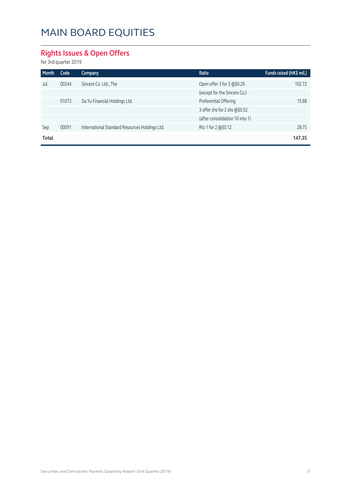### **Rights Issues & Open Offers**

| Month | Code  | <b>Company</b>                                 | <b>Ratio</b>                    | Funds raised (HK\$ mil.) |
|-------|-------|------------------------------------------------|---------------------------------|--------------------------|
| Jul   | 00244 | Sincere Co. Ltd., The                          | Open offer 3 for 5 @\$0.26      | 102.72                   |
|       |       |                                                | (except for the Sincere Co.)    |                          |
|       | 01073 | Da Yu Financial Holdings Ltd.                  | Preferential Offering           | 15.88                    |
|       |       |                                                | 3 offer shs for 2 shs @\$0.52   |                          |
|       |       |                                                | (after consolidation 10 into 1) |                          |
| Sep   | 00091 | International Standard Resources Holdings Ltd. | Rts 1 for 2 @\$0.12             | 28.75                    |
| Total |       |                                                |                                 | 147.35                   |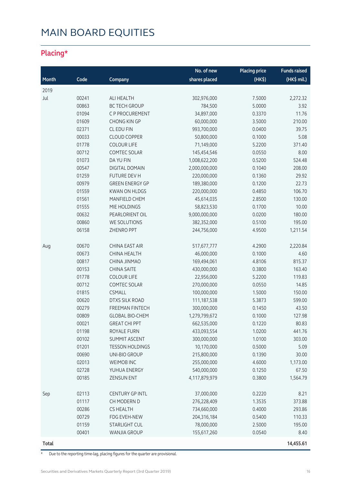### **Placing\***

|              |       |                        | No. of new    | <b>Placing price</b> | <b>Funds raised</b> |
|--------------|-------|------------------------|---------------|----------------------|---------------------|
| Month        | Code  | Company                | shares placed | $(HK\$               | (HK\$ mil.)         |
| 2019         |       |                        |               |                      |                     |
| Jul          | 00241 | <b>ALI HEALTH</b>      | 302,976,000   | 7.5000               | 2,272.32            |
|              | 00863 | <b>BC TECH GROUP</b>   | 784,500       | 5.0000               | 3.92                |
|              | 01094 | C P PROCUREMENT        | 34,897,000    | 0.3370               | 11.76               |
|              | 01609 | <b>CHONG KIN GP</b>    | 60,000,000    | 3.5000               | 210.00              |
|              | 02371 | CL EDU FIN             | 993,700,000   | 0.0400               | 39.75               |
|              | 00033 | <b>CLOUD COPPER</b>    | 50,800,000    | 0.1000               | 5.08                |
|              | 01778 | <b>COLOUR LIFE</b>     | 71,149,000    | 5.2200               | 371.40              |
|              | 00712 | COMTEC SOLAR           | 145,454,546   | 0.0550               | 8.00                |
|              | 01073 | DA YU FIN              | 1,008,622,200 | 0.5200               | 524.48              |
|              | 00547 | <b>DIGITAL DOMAIN</b>  | 2,000,000,000 | 0.1040               | 208.00              |
|              | 01259 | FUTURE DEV H           | 220,000,000   | 0.1360               | 29.92               |
|              | 00979 | <b>GREEN ENERGY GP</b> | 189,380,000   | 0.1200               | 22.73               |
|              | 01559 | <b>KWAN ON HLDGS</b>   | 220,000,000   | 0.4850               | 106.70              |
|              | 01561 | MANFIELD CHEM          | 45,614,035    | 2.8500               | 130.00              |
|              | 01555 | MIE HOLDINGS           | 58,823,530    | 0.1700               | 10.00               |
|              | 00632 | PEARLORIENT OIL        | 9,000,000,000 | 0.0200               | 180.00              |
|              | 00860 | WE SOLUTIONS           | 382,352,000   | 0.5100               | 195.00              |
|              | 06158 | ZHENRO PPT             | 244,756,000   | 4.9500               | 1,211.54            |
|              |       |                        |               |                      |                     |
| Aug          | 00670 | CHINA EAST AIR         | 517,677,777   | 4.2900               | 2,220.84            |
|              | 00673 | <b>CHINA HEALTH</b>    | 46,000,000    | 0.1000               | 4.60                |
|              | 00817 | CHINA JINMAO           | 169,494,061   | 4.8106               | 815.37              |
|              | 00153 | <b>CHINA SAITE</b>     | 430,000,000   | 0.3800               | 163.40              |
|              | 01778 | <b>COLOUR LIFE</b>     | 22,956,000    | 5.2200               | 119.83              |
|              | 00712 | <b>COMTEC SOLAR</b>    | 270,000,000   | 0.0550               | 14.85               |
|              | 01815 | <b>CSMALL</b>          | 100,000,000   | 1.5000               | 150.00              |
|              | 00620 | <b>DTXS SILK ROAD</b>  | 111, 187, 538 | 5.3873               | 599.00              |
|              | 00279 | FREEMAN FINTECH        | 300,000,000   | 0.1450               | 43.50               |
|              | 00809 | <b>GLOBAL BIO-CHEM</b> | 1,279,799,672 | 0.1000               | 127.98              |
|              | 00021 | <b>GREAT CHI PPT</b>   | 662,535,000   | 0.1220               | 80.83               |
|              | 01198 | <b>ROYALE FURN</b>     | 433,093,554   | 1.0200               | 441.76              |
|              | 00102 | <b>SUMMIT ASCENT</b>   | 300,000,000   | 1.0100               | 303.00              |
|              | 01201 | <b>TESSON HOLDINGS</b> | 10,170,000    | 0.5000               | 5.09                |
|              | 00690 | UNI-BIO GROUP          | 215,800,000   | 0.1390               | 30.00               |
|              | 02013 | WEIMOB INC             | 255,000,000   | 4.6000               | 1,173.00            |
|              | 02728 | YUHUA ENERGY           | 540,000,000   | 0.1250               | 67.50               |
|              | 00185 | <b>ZENSUN ENT</b>      | 4,117,879,979 | 0.3800               | 1,564.79            |
| Sep          | 02113 | <b>CENTURY GP INTL</b> | 37,000,000    | 0.2220               | 8.21                |
|              | 01117 | CH MODERN D            | 276,228,409   | 1.3535               | 373.88              |
|              | 00286 | <b>CS HEALTH</b>       | 734,660,000   | 0.4000               | 293.86              |
|              | 00729 | FDG EVEH-NEW           | 204,316,184   | 0.5400               | 110.33              |
|              | 01159 | STARLIGHT CUL          | 78,000,000    | 2.5000               | 195.00              |
|              | 00401 | WANJIA GROUP           | 155,617,260   | 0.0540               | 8.40                |
| <b>Total</b> |       |                        |               |                      | 14,455.61           |

\* Due to the reporting time-lag, placing figures for the quarter are provisional.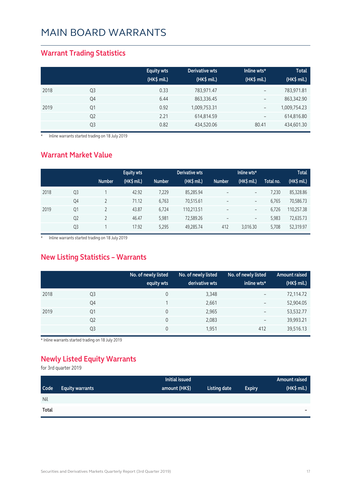#### **Warrant Trading Statistics**

|      |                | <b>Equity wts</b><br>(HK\$ mil.) | <b>Derivative wts</b><br>(HK\$ mil.) | Inline wts*<br>(HK\$ mil.) | <b>Total</b><br>(HK\$ mil.) |
|------|----------------|----------------------------------|--------------------------------------|----------------------------|-----------------------------|
| 2018 | Q <sub>3</sub> | 0.33                             | 783,971.47                           | $\overline{\phantom{m}}$   | 783,971.81                  |
|      | Q4             | 6.44                             | 863,336.45                           | $\overline{\phantom{m}}$   | 863,342.90                  |
| 2019 | Q1             | 0.92                             | 1,009,753.31                         | $\overline{\phantom{a}}$   | 1,009,754.23                |
|      | Q <sub>2</sub> | 2.21                             | 614,814.59                           | $\qquad \qquad -$          | 614,816.80                  |
|      | Q <sub>3</sub> | 0.82                             | 434,520.06                           | 80.41                      | 434,601.30                  |

\* Inline warrants started trading on 18 July 2019

#### **Warrant Market Value**

|      |                |               | <b>Equity wts</b> |               | Derivative wts |                          | Inline wts*              |           | <b>Total</b> |
|------|----------------|---------------|-------------------|---------------|----------------|--------------------------|--------------------------|-----------|--------------|
|      |                | <b>Number</b> | (HK\$ mil.)       | <b>Number</b> | (HK\$ mil.)    | <b>Number</b>            | $(HK$$ mil.)             | Total no. | (HK\$ mil.)  |
| 2018 | Q <sub>3</sub> |               | 42.92             | 7,229         | 85,285.94      | $\qquad \qquad -$        | $\qquad \qquad -$        | 7,230     | 85,328.86    |
|      | Q4             |               | 71.12             | 6,763         | 70,515.61      | $\qquad \qquad -$        | $\overline{\phantom{a}}$ | 6.765     | 70,586.73    |
| 2019 | Q1             |               | 43.87             | 6,724         | 110,213.51     | $\overline{\phantom{0}}$ | $\qquad \qquad -$        | 6.726     | 110,257.38   |
|      | Q <sub>2</sub> |               | 46.47             | 5.981         | 72,589.26      |                          | $\qquad \qquad -$        | 5,983     | 72,635.73    |
|      | Q <sub>3</sub> |               | 17.92             | 5,295         | 49,285.74      | 412                      | 3,016.30                 | 5,708     | 52,319.97    |

\* Inline warrants started trading on 18 July 2019

#### **New Listing Statistics – Warrants**

|      |                | No. of newly listed<br>equity wts | No. of newly listed<br>derivative wts | No. of newly listed<br>inline wts* | <b>Amount raised</b><br>(HK\$ mil.) |
|------|----------------|-----------------------------------|---------------------------------------|------------------------------------|-------------------------------------|
| 2018 | Q3             | 0                                 | 3,348                                 | $\overline{\phantom{0}}$           | 72,114.72                           |
|      | Q4             |                                   | 2,661                                 | $\qquad \qquad -$                  | 52,904.05                           |
| 2019 | Q <sub>1</sub> | 0                                 | 2,965                                 | $\qquad \qquad -$                  | 53,532.77                           |
|      | Q <sub>2</sub> | 0                                 | 2,083                                 | $\overline{\phantom{0}}$           | 39,993.21                           |
|      | Q <sub>3</sub> | 0                                 | 1,951                                 | 412                                | 39,516.13                           |

\* Inline warrants started trading on 18 July 2019

### **Newly Listed Equity Warrants**

|            |                        | Initial issued |              |               | Amount raised |
|------------|------------------------|----------------|--------------|---------------|---------------|
| Code       | <b>Equity warrants</b> | amount (HK\$)  | Listing date | <b>Expiry</b> | (HK\$ mil.)   |
| <b>Nil</b> |                        |                |              |               |               |
| Total      |                        |                |              |               | $\sim$        |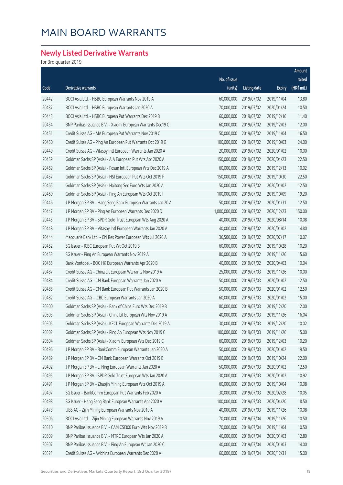### **Newly Listed Derivative Warrants**

|       |                                                              |               |                     |               | Amount      |
|-------|--------------------------------------------------------------|---------------|---------------------|---------------|-------------|
|       |                                                              | No. of issue  |                     |               | raised      |
| Code  | Derivative warrants                                          | (units)       | <b>Listing date</b> | <b>Expiry</b> | (HK\$ mil.) |
| 20442 | BOCI Asia Ltd. - HSBC European Warrants Nov 2019 A           | 60,000,000    | 2019/07/02          | 2019/11/04    | 13.80       |
| 20437 | BOCI Asia Ltd. - HSBC European Warrants Jan 2020 A           | 70,000,000    | 2019/07/02          | 2020/01/24    | 10.50       |
| 20443 | BOCI Asia Ltd. - HSBC European Put Warrants Dec 2019 B       | 60,000,000    | 2019/07/02          | 2019/12/16    | 11.40       |
| 20454 | BNP Paribas Issuance B.V. - Xiaomi European Warrants Dec19 C | 60,000,000    | 2019/07/02          | 2019/12/03    | 12.00       |
| 20451 | Credit Suisse AG - AIA European Put Warrants Nov 2019 C      | 50,000,000    | 2019/07/02          | 2019/11/04    | 16.50       |
| 20450 | Credit Suisse AG - Ping An European Put Warrants Oct 2019 G  | 100,000,000   | 2019/07/02          | 2019/10/03    | 24.00       |
| 20449 | Credit Suisse AG - Vitasoy Intl European Warrants Jan 2020 A | 20,000,000    | 2019/07/02          | 2020/01/02    | 10.00       |
| 20459 | Goldman Sachs SP (Asia) - AIA European Put Wts Apr 2020 A    | 150,000,000   | 2019/07/02          | 2020/04/23    | 22.50       |
| 20469 | Goldman Sachs SP (Asia) - Fosun Intl European Wts Dec 2019 A | 60,000,000    | 2019/07/02          | 2019/12/13    | 10.02       |
| 20457 | Goldman Sachs SP (Asia) - HSI European Put Wts Oct 2019 F    | 150,000,000   | 2019/07/02          | 2019/10/30    | 22.50       |
| 20465 | Goldman Sachs SP (Asia) - Haitong Sec Euro Wts Jan 2020 A    | 50,000,000    | 2019/07/02          | 2020/01/02    | 12.50       |
| 20460 | Goldman Sachs SP (Asia) - Ping An European Wts Oct 2019 I    | 100,000,000   | 2019/07/02          | 2019/10/09    | 19.20       |
| 20446 | J P Morgan SP BV - Hang Seng Bank European Warrants Jan 20 A | 50,000,000    | 2019/07/02          | 2020/01/31    | 12.50       |
| 20447 | J P Morgan SP BV - Ping An European Warrants Dec 2020 D      | 1,000,000,000 | 2019/07/02          | 2020/12/23    | 150.00      |
| 20445 | J P Morgan SP BV - SPDR Gold Trust European Wts Aug 2020 A   | 40,000,000    | 2019/07/02          | 2020/08/14    | 10.08       |
| 20448 | J P Morgan SP BV - Vitasoy Intl European Warrants Jan 2020 A | 40,000,000    | 2019/07/02          | 2020/01/02    | 14.80       |
| 20444 | Macquarie Bank Ltd. - Chi Res Power European Wts Jul 2020 A  | 36,500,000    | 2019/07/02          | 2020/07/17    | 10.07       |
| 20452 | SG Issuer - ICBC European Put Wt Oct 2019 B                  | 60,000,000    | 2019/07/02          | 2019/10/28    | 10.20       |
| 20453 | SG Issuer - Ping An European Warrants Nov 2019 A             | 80,000,000    | 2019/07/02          | 2019/11/26    | 15.60       |
| 20455 | Bank Vontobel - BOC HK European Warrants Apr 2020 B          | 40,000,000    | 2019/07/02          | 2020/04/03    | 10.04       |
| 20487 | Credit Suisse AG - China Lit European Warrants Nov 2019 A    | 25,000,000    | 2019/07/03          | 2019/11/26    | 10.00       |
| 20484 | Credit Suisse AG - CM Bank European Warrants Jan 2020 A      | 50,000,000    | 2019/07/03          | 2020/01/02    | 12.50       |
| 20488 | Credit Suisse AG - CM Bank European Put Warrants Jan 2020 B  | 50,000,000    | 2019/07/03          | 2020/01/02    | 12.50       |
| 20482 | Credit Suisse AG - ICBC European Warrants Jan 2020 A         | 60,000,000    | 2019/07/03          | 2020/01/02    | 15.00       |
| 20500 | Goldman Sachs SP (Asia) - Bank of China Euro Wts Dec 2019 B  | 80,000,000    | 2019/07/03          | 2019/12/20    | 12.00       |
| 20503 | Goldman Sachs SP (Asia) - China Lit European Wts Nov 2019 A  | 40,000,000    | 2019/07/03          | 2019/11/26    | 16.04       |
| 20505 | Goldman Sachs SP (Asia) - KECL European Warrants Dec 2019 A  | 30,000,000    | 2019/07/03          | 2019/12/20    | 10.02       |
| 20502 | Goldman Sachs SP (Asia) - Ping An European Wts Nov 2019 C    | 100,000,000   | 2019/07/03          | 2019/11/26    | 15.00       |
| 20504 | Goldman Sachs SP (Asia) - Xiaomi European Wts Dec 2019 C     | 60,000,000    | 2019/07/03          | 2019/12/03    | 10.20       |
| 20496 | J P Morgan SP BV - BankComm European Warrants Jan 2020 A     | 50,000,000    | 2019/07/03          | 2020/01/02    | 19.50       |
| 20489 | J P Morgan SP BV - CM Bank European Warrants Oct 2019 B      | 100,000,000   | 2019/07/03          | 2019/10/24    | 22.00       |
| 20492 | J P Morgan SP BV - Li Ning European Warrants Jan 2020 A      | 50,000,000    | 2019/07/03          | 2020/01/02    | 12.50       |
| 20495 | J P Morgan SP BV - SPDR Gold Trust European Wts Jan 2020 A   | 30,000,000    | 2019/07/03          | 2020/01/02    | 10.92       |
| 20491 | J P Morgan SP BV - Zhaojin Mining European Wts Oct 2019 A    | 60,000,000    | 2019/07/03          | 2019/10/04    | 10.08       |
| 20497 | SG Issuer - BankComm European Put Warrants Feb 2020 A        | 30,000,000    | 2019/07/03          | 2020/02/28    | 10.05       |
| 20498 | SG Issuer - Hang Seng Bank European Warrants Apr 2020 A      | 100,000,000   | 2019/07/03          | 2020/04/20    | 18.50       |
| 20473 | UBS AG - Zijin Mining European Warrants Nov 2019 A           | 40,000,000    | 2019/07/03          | 2019/11/26    | 10.08       |
| 20506 | BOCI Asia Ltd. - Zijin Mining European Warrants Nov 2019 A   | 70,000,000    | 2019/07/04          | 2019/11/26    | 10.50       |
| 20510 | BNP Paribas Issuance B.V. - CAM CSI300 Euro Wts Nov 2019 B   | 70,000,000    | 2019/07/04          | 2019/11/04    | 10.50       |
| 20509 | BNP Paribas Issuance B.V. - MTRC European Wts Jan 2020 A     | 40,000,000    | 2019/07/04          | 2020/01/03    | 12.80       |
| 20507 | BNP Paribas Issuance B.V. - Ping An European Wt Jan 2020 C   | 40,000,000    | 2019/07/04          | 2020/01/03    | 14.00       |
| 20521 | Credit Suisse AG - Avichina European Warrants Dec 2020 A     | 60,000,000    | 2019/07/04          | 2020/12/31    | 15.00       |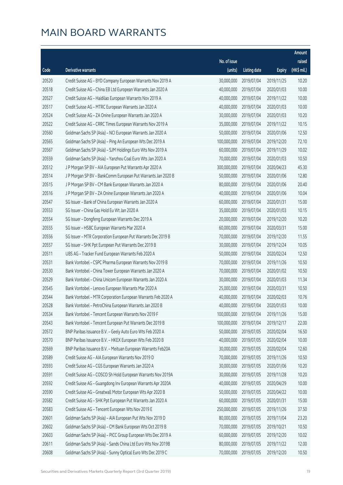|       |                                                              |              |                       |               | Amount      |
|-------|--------------------------------------------------------------|--------------|-----------------------|---------------|-------------|
|       |                                                              | No. of issue |                       |               | raised      |
| Code  | Derivative warrants                                          | (units)      | <b>Listing date</b>   | <b>Expiry</b> | (HK\$ mil.) |
| 20520 | Credit Suisse AG - BYD Company European Warrants Nov 2019 A  | 30,000,000   | 2019/07/04            | 2019/11/25    | 10.20       |
| 20518 | Credit Suisse AG - China EB Ltd European Warrants Jan 2020 A | 40,000,000   | 2019/07/04            | 2020/01/03    | 10.00       |
| 20527 | Credit Suisse AG - Haidilao European Warrants Nov 2019 A     | 40,000,000   | 2019/07/04            | 2019/11/22    | 10.00       |
| 20517 | Credit Suisse AG - MTRC European Warrants Jan 2020 A         | 40,000,000   | 2019/07/04            | 2020/01/03    | 10.00       |
| 20524 | Credit Suisse AG - ZA Onine European Warrants Jan 2020 A     | 30,000,000   | 2019/07/04            | 2020/01/03    | 10.20       |
| 20522 | Credit Suisse AG - CRRC Times European Warrants Nov 2019 A   | 35,000,000   | 2019/07/04            | 2019/11/22    | 10.15       |
| 20560 | Goldman Sachs SP (Asia) - NCI European Warrants Jan 2020 A   | 50,000,000   | 2019/07/04            | 2020/01/06    | 12.50       |
| 20565 | Goldman Sachs SP (Asia) - Ping An European Wts Dec 2019 A    | 100,000,000  | 2019/07/04            | 2019/12/20    | 72.10       |
| 20567 | Goldman Sachs SP (Asia) - SJM Holdings Euro Wts Nov 2019 A   | 60,000,000   | 2019/07/04            | 2019/11/29    | 10.02       |
| 20559 | Goldman Sachs SP (Asia) - Yanzhou Coal Euro Wts Jan 2020 A   | 70,000,000   | 2019/07/04            | 2020/01/03    | 10.50       |
| 20512 | J P Morgan SP BV - AIA European Put Warrants Apr 2020 A      | 300,000,000  | 2019/07/04            | 2020/04/23    | 45.30       |
| 20514 | J P Morgan SP BV - BankComm European Put Warrants Jan 2020 B | 50,000,000   | 2019/07/04            | 2020/01/06    | 12.80       |
| 20515 | J P Morgan SP BV - CM Bank European Warrants Jan 2020 A      | 80,000,000   | 2019/07/04            | 2020/01/06    | 20.40       |
| 20516 | J P Morgan SP BV - ZA Onine European Warrants Jan 2020 A     | 40,000,000   | 2019/07/04            | 2020/01/06    | 10.04       |
| 20547 | SG Issuer - Bank of China European Warrants Jan 2020 A       | 60,000,000   | 2019/07/04            | 2020/01/31    | 15.00       |
| 20553 | SG Issuer - China Gas Hold Eu Wt Jan 2020 A                  | 35,000,000   | 2019/07/04            | 2020/01/03    | 10.15       |
| 20554 | SG Issuer - Dongfeng European Warrants Dec 2019 A            | 20,000,000   | 2019/07/04            | 2019/12/20    | 10.20       |
| 20555 | SG Issuer - HSBC European Warrants Mar 2020 A                | 60,000,000   | 2019/07/04            | 2020/03/31    | 15.00       |
| 20556 | SG Issuer - MTR Corporation European Put Warrants Dec 2019 B | 70,000,000   | 2019/07/04            | 2019/12/20    | 11.55       |
| 20557 | SG Issuer - SHK Ppt European Put Warrants Dec 2019 B         | 30,000,000   | 2019/07/04            | 2019/12/24    | 10.05       |
| 20511 | UBS AG - Tracker Fund European Warrants Feb 2020 A           | 50,000,000   | 2019/07/04            | 2020/02/24    | 12.50       |
| 20531 | Bank Vontobel - CSPC Pharma European Warrants Nov 2019 B     | 70,000,000   | 2019/07/04            | 2019/11/26    | 10.50       |
| 20530 | Bank Vontobel - China Tower European Warrants Jan 2020 A     | 70,000,000   | 2019/07/04            | 2020/01/02    | 10.50       |
| 20529 | Bank Vontobel - China Unicom European Warrants Jan 2020 A    | 30,000,000   | 2019/07/04            | 2020/01/03    | 11.34       |
| 20545 | Bank Vontobel - Lenovo European Warrants Mar 2020 A          | 25,000,000   | 2019/07/04            | 2020/03/31    | 10.50       |
| 20544 | Bank Vontobel - MTR Corporation European Warrants Feb 2020 A | 40,000,000   | 2019/07/04            | 2020/02/03    | 10.76       |
| 20528 | Bank Vontobel - PetroChina European Warrants Jan 2020 B      |              | 40,000,000 2019/07/04 | 2020/01/03    | 10.00       |
| 20534 | Bank Vontobel - Tencent European Warrants Nov 2019 F         | 100,000,000  | 2019/07/04            | 2019/11/26    | 15.00       |
| 20543 | Bank Vontobel - Tencent European Put Warrants Dec 2019 B     | 100,000,000  | 2019/07/04            | 2019/12/17    | 22.00       |
| 20572 | BNP Paribas Issuance B.V. - Geely Auto Euro Wts Feb 2020 A   | 50,000,000   | 2019/07/05            | 2020/02/04    | 16.50       |
| 20570 | BNP Paribas Issuance B.V. - HKEX European Wts Feb 2020 B     | 40,000,000   | 2019/07/05            | 2020/02/04    | 10.00       |
| 20569 | BNP Paribas Issuance B.V. - Meituan European Warrants Feb20A | 30,000,000   | 2019/07/05            | 2020/02/04    | 12.60       |
| 20589 | Credit Suisse AG - AIA European Warrants Nov 2019 D          | 70,000,000   | 2019/07/05            | 2019/11/26    | 10.50       |
| 20593 | Credit Suisse AG - CGS European Warrants Jan 2020 A          | 30,000,000   | 2019/07/05            | 2020/01/06    | 10.20       |
| 20591 | Credit Suisse AG - COSCO Sh Hold European Warrants Nov 2019A | 30,000,000   | 2019/07/05            | 2019/11/28    | 10.20       |
| 20592 | Credit Suisse AG - Guangdong Inv European Warrants Apr 2020A | 40,000,000   | 2019/07/05            | 2020/04/29    | 10.00       |
| 20590 | Credit Suisse AG - Greatwall Motor European Wts Apr 2020 B   | 50,000,000   | 2019/07/05            | 2020/04/22    | 10.00       |
| 20582 | Credit Suisse AG - SHK Ppt European Put Warrants Jan 2020 A  | 60,000,000   | 2019/07/05            | 2020/01/31    | 15.00       |
| 20583 | Credit Suisse AG - Tencent European Wts Nov 2019 E           | 250,000,000  | 2019/07/05            | 2019/11/26    | 37.50       |
| 20601 | Goldman Sachs SP (Asia) - AIA European Put Wts Nov 2019 D    | 80,000,000   | 2019/07/05            | 2019/11/04    | 23.20       |
| 20602 | Goldman Sachs SP (Asia) - CM Bank European Wts Oct 2019 B    | 70,000,000   | 2019/07/05            | 2019/10/21    | 10.50       |
| 20603 | Goldman Sachs SP (Asia) - PICC Group European Wts Dec 2019 A | 60,000,000   | 2019/07/05            | 2019/12/20    | 10.02       |
| 20611 | Goldman Sachs SP (Asia) - Sands China Ltd Euro Wts Nov 2019B | 80,000,000   | 2019/07/05            | 2019/11/22    | 12.00       |
| 20608 | Goldman Sachs SP (Asia) - Sunny Optical Euro Wts Dec 2019 C  | 70,000,000   | 2019/07/05            | 2019/12/20    | 10.50       |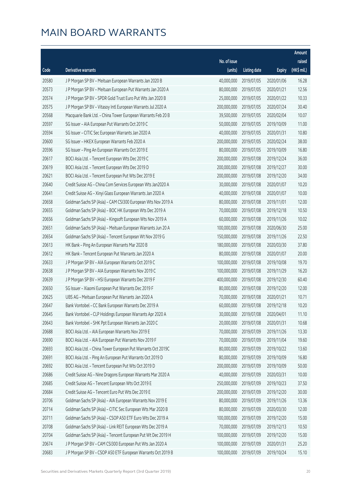|       |                                                              |              |                       |               | Amount      |
|-------|--------------------------------------------------------------|--------------|-----------------------|---------------|-------------|
|       |                                                              | No. of issue |                       |               | raised      |
| Code  | Derivative warrants                                          | (units)      | <b>Listing date</b>   | <b>Expiry</b> | (HK\$ mil.) |
| 20580 | J P Morgan SP BV - Meituan European Warrants Jan 2020 B      | 40,000,000   | 2019/07/05            | 2020/01/06    | 16.28       |
| 20573 | J P Morgan SP BV - Meituan European Put Warrants Jan 2020 A  | 80,000,000   | 2019/07/05            | 2020/01/21    | 12.56       |
| 20574 | J P Morgan SP BV - SPDR Gold Trust Euro Put Wts Jan 2020 B   | 25,000,000   | 2019/07/05            | 2020/01/22    | 10.33       |
| 20575 | J P Morgan SP BV - Vitasoy Intl European Warrants Jul 2020 A | 200,000,000  | 2019/07/05            | 2020/07/24    | 30.40       |
| 20568 | Macquarie Bank Ltd. - China Tower European Warrants Feb 20 B | 39,500,000   | 2019/07/05            | 2020/02/04    | 10.07       |
| 20597 | SG Issuer - AIA European Put Warrants Oct 2019 C             | 50,000,000   | 2019/07/05            | 2019/10/09    | 11.00       |
| 20594 | SG Issuer - CITIC Sec European Warrants Jan 2020 A           | 40,000,000   | 2019/07/05            | 2020/01/31    | 10.80       |
| 20600 | SG Issuer - HKEX European Warrants Feb 2020 A                | 200,000,000  | 2019/07/05            | 2020/02/24    | 38.00       |
| 20596 | SG Issuer - Ping An European Warrants Oct 2019 E             | 80,000,000   | 2019/07/05            | 2019/10/09    | 16.80       |
| 20617 | BOCI Asia Ltd. - Tencent European Wts Dec 2019 C             | 200,000,000  | 2019/07/08            | 2019/12/24    | 36.00       |
| 20619 | BOCI Asia Ltd. - Tencent European Wts Dec 2019 D             | 200,000,000  | 2019/07/08            | 2019/12/27    | 30.00       |
| 20621 | BOCI Asia Ltd. - Tencent European Put Wts Dec 2019 E         | 200,000,000  | 2019/07/08            | 2019/12/20    | 34.00       |
| 20640 | Credit Suisse AG - China Com Services European Wts Jan2020 A | 30,000,000   | 2019/07/08            | 2020/01/07    | 10.20       |
| 20641 | Credit Suisse AG - Xinyi Glass European Warrants Jan 2020 A  | 40,000,000   | 2019/07/08            | 2020/01/07    | 10.00       |
| 20658 | Goldman Sachs SP (Asia) - CAM CSI300 European Wts Nov 2019 A | 80,000,000   | 2019/07/08            | 2019/11/01    | 12.00       |
| 20655 | Goldman Sachs SP (Asia) - BOC HK European Wts Dec 2019 A     | 70,000,000   | 2019/07/08            | 2019/12/18    | 10.50       |
| 20656 | Goldman Sachs SP (Asia) - Kingsoft European Wts Nov 2019 A   | 60,000,000   | 2019/07/08            | 2019/11/26    | 10.02       |
| 20651 | Goldman Sachs SP (Asia) - Meituan European Warrants Jun 20 A | 100,000,000  | 2019/07/08            | 2020/06/30    | 25.00       |
| 20654 | Goldman Sachs SP (Asia) - Tencent European Wt Nov 2019 G     | 150,000,000  | 2019/07/08            | 2019/11/26    | 22.50       |
| 20613 | HK Bank - Ping An European Warrants Mar 2020 B               | 180,000,000  | 2019/07/08            | 2020/03/30    | 37.80       |
| 20612 | HK Bank - Tencent European Put Warrants Jan 2020 A           | 80,000,000   | 2019/07/08            | 2020/01/07    | 20.00       |
| 20633 | J P Morgan SP BV - AIA European Warrants Oct 2019 C          | 100,000,000  | 2019/07/08            | 2019/10/08    | 19.70       |
| 20638 | J P Morgan SP BV - AIA European Warrants Nov 2019 C          | 100,000,000  | 2019/07/08            | 2019/11/29    | 16.20       |
| 20639 | J P Morgan SP BV - HSI European Warrants Dec 2019 F          | 400,000,000  | 2019/07/08            | 2019/12/30    | 60.40       |
| 20650 | SG Issuer - Xiaomi European Put Warrants Dec 2019 F          | 80,000,000   | 2019/07/08            | 2019/12/20    | 12.00       |
| 20625 | UBS AG - Meituan European Put Warrants Jan 2020 A            | 70,000,000   | 2019/07/08            | 2020/01/21    | 10.71       |
| 20647 | Bank Vontobel - CC Bank European Warrants Dec 2019 A         |              | 60,000,000 2019/07/08 | 2019/12/18    | 10.20       |
| 20645 | Bank Vontobel - CLP Holdings European Warrants Apr 2020 A    | 30,000,000   | 2019/07/08            | 2020/04/01    | 11.10       |
| 20643 | Bank Vontobel - SHK Ppt European Warrants Jan 2020 C         | 20,000,000   | 2019/07/08            | 2020/01/31    | 10.68       |
| 20688 | BOCI Asia Ltd. - AIA European Warrants Nov 2019 E            | 70,000,000   | 2019/07/09            | 2019/11/26    | 13.30       |
| 20690 | BOCI Asia Ltd. - AIA European Put Warrants Nov 2019 F        | 70,000,000   | 2019/07/09            | 2019/11/04    | 19.60       |
| 20693 | BOCI Asia Ltd. - China Tower European Put Warrants Oct 2019C | 80,000,000   | 2019/07/09            | 2019/10/22    | 13.60       |
| 20691 | BOCI Asia Ltd. - Ping An European Put Warrants Oct 2019 D    | 80,000,000   | 2019/07/09            | 2019/10/09    | 16.80       |
| 20692 | BOCI Asia Ltd. - Tencent European Put Wts Oct 2019 D         | 200,000,000  | 2019/07/09            | 2019/10/09    | 50.00       |
| 20686 | Credit Suisse AG - Nine Dragons European Warrants Mar 2020 A | 40,000,000   | 2019/07/09            | 2020/03/31    | 10.00       |
| 20685 | Credit Suisse AG - Tencent European Wts Oct 2019 E           | 250,000,000  | 2019/07/09            | 2019/10/23    | 37.50       |
| 20684 | Credit Suisse AG - Tencent Euro Put Wts Dec 2019 E           | 200,000,000  | 2019/07/09            | 2019/12/20    | 30.00       |
| 20706 | Goldman Sachs SP (Asia) - AIA European Warrants Nov 2019 E   | 80,000,000   | 2019/07/09            | 2019/11/26    | 13.36       |
| 20714 | Goldman Sachs SP (Asia) - CITIC Sec European Wts Mar 2020 B  | 80,000,000   | 2019/07/09            | 2020/03/30    | 12.00       |
| 20711 | Goldman Sachs SP (Asia) - CSOP A50 ETF Euro Wts Dec 2019 A   | 100,000,000  | 2019/07/09            | 2019/12/20    | 15.00       |
| 20708 | Goldman Sachs SP (Asia) - Link REIT European Wts Dec 2019 A  | 70,000,000   | 2019/07/09            | 2019/12/13    | 10.50       |
| 20704 | Goldman Sachs SP (Asia) - Tencent European Put Wt Dec 2019 H | 100,000,000  | 2019/07/09            | 2019/12/20    | 15.00       |
| 20674 | J P Morgan SP BV - CAM CSI300 European Put Wts Jan 2020 A    | 100,000,000  | 2019/07/09            | 2020/01/31    | 25.20       |
| 20683 | J P Morgan SP BV - CSOP A50 ETF European Warrants Oct 2019 B | 100,000,000  | 2019/07/09            | 2019/10/24    | 15.10       |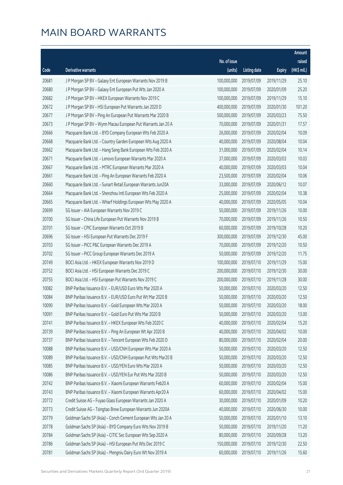|       |                                                              |              |                       |               | Amount      |
|-------|--------------------------------------------------------------|--------------|-----------------------|---------------|-------------|
|       |                                                              | No. of issue |                       |               | raised      |
| Code  | Derivative warrants                                          | (units)      | <b>Listing date</b>   | <b>Expiry</b> | (HK\$ mil.) |
| 20681 | J P Morgan SP BV - Galaxy Ent European Warrants Nov 2019 B   | 100,000,000  | 2019/07/09            | 2019/11/29    | 25.10       |
| 20680 | J P Morgan SP BV - Galaxy Ent European Put Wts Jan 2020 A    | 100,000,000  | 2019/07/09            | 2020/01/09    | 25.20       |
| 20682 | J P Morgan SP BV - HKEX European Warrants Nov 2019 C         | 100,000,000  | 2019/07/09            | 2019/11/29    | 15.10       |
| 20672 | J P Morgan SP BV - HSI European Put Warrants Jan 2020 D      | 400,000,000  | 2019/07/09            | 2020/01/30    | 101.20      |
| 20677 | J P Morgan SP BV - Ping An European Put Warrants Mar 2020 B  | 500,000,000  | 2019/07/09            | 2020/03/23    | 75.50       |
| 20673 | J P Morgan SP BV - Wynn Macau European Put Warrants Jan 20 A | 70,000,000   | 2019/07/09            | 2020/01/31    | 17.57       |
| 20666 | Macquarie Bank Ltd. - BYD Company European Wts Feb 2020 A    | 26,000,000   | 2019/07/09            | 2020/02/04    | 10.09       |
| 20668 | Macquarie Bank Ltd. - Country Garden European Wts Aug 2020 A | 40,000,000   | 2019/07/09            | 2020/08/04    | 10.04       |
| 20662 | Macquarie Bank Ltd. - Hang Seng Bank European Wts Feb 2020 A | 31,000,000   | 2019/07/09            | 2020/02/04    | 10.14       |
| 20671 | Macquarie Bank Ltd. - Lenovo European Warrants Mar 2020 A    | 37,000,000   | 2019/07/09            | 2020/03/03    | 10.03       |
| 20667 | Macquarie Bank Ltd. - MTRC European Warrants Mar 2020 A      | 40,000,000   | 2019/07/09            | 2020/03/03    | 10.04       |
| 20661 | Macquarie Bank Ltd. - Ping An European Warrants Feb 2020 A   | 23,500,000   | 2019/07/09            | 2020/02/04    | 10.06       |
| 20660 | Macquarie Bank Ltd. - Sunart Retail European Warrants Jun20A | 33,000,000   | 2019/07/09            | 2020/06/12    | 10.07       |
| 20664 | Macquarie Bank Ltd. - Shenzhou Intl European Wts Feb 2020 A  | 25,000,000   | 2019/07/09            | 2020/02/04    | 10.38       |
| 20665 | Macquarie Bank Ltd. - Wharf Holdings European Wts May 2020 A | 40,000,000   | 2019/07/09            | 2020/05/05    | 10.04       |
| 20699 | SG Issuer - AIA European Warrants Nov 2019 C                 | 50,000,000   | 2019/07/09            | 2019/11/26    | 10.00       |
| 20700 | SG Issuer - China Life European Put Warrants Nov 2019 B      | 70,000,000   | 2019/07/09            | 2019/11/26    | 10.50       |
| 20701 | SG Issuer - CPIC European Warrants Oct 2019 B                | 60,000,000   | 2019/07/09            | 2019/10/28    | 10.20       |
| 20696 | SG Issuer - HSI European Put Warrants Dec 2019 F             | 300,000,000  | 2019/07/09            | 2019/12/30    | 45.00       |
| 20703 | SG Issuer - PICC P&C European Warrants Dec 2019 A            | 70,000,000   | 2019/07/09            | 2019/12/20    | 10.50       |
| 20702 | SG Issuer - PICC Group European Warrants Dec 2019 A          | 50,000,000   | 2019/07/09            | 2019/12/20    | 11.75       |
| 20749 | BOCI Asia Ltd. - HKEX European Warrants Nov 2019 D           | 100,000,000  | 2019/07/10            | 2019/11/29    | 15.00       |
| 20752 | BOCI Asia Ltd. - HSI European Warrants Dec 2019 C            | 200,000,000  | 2019/07/10            | 2019/12/30    | 30.00       |
| 20755 | BOCI Asia Ltd. - HSI European Put Warrants Nov 2019 C        | 200,000,000  | 2019/07/10            | 2019/11/28    | 30.00       |
| 10082 | BNP Paribas Issuance B.V. - EUR/USD Euro Wts Mar 2020 A      | 50,000,000   | 2019/07/10            | 2020/03/20    | 12.50       |
| 10084 | BNP Paribas Issuance B.V. - EUR/USD Euro Put Wt Mar 2020 B   | 50,000,000   | 2019/07/10            | 2020/03/20    | 12.50       |
| 10090 | BNP Paribas Issuance B.V. - Gold European Wts Mar 2020 A     |              | 50,000,000 2019/07/10 | 2020/03/20    | 18.00       |
| 10091 | BNP Paribas Issuance B.V. - Gold Euro Put Wts Mar 2020 B     | 50,000,000   | 2019/07/10            | 2020/03/20    | 13.00       |
| 20741 | BNP Paribas Issuance B.V. - HKEX European Wts Feb 2020 C     | 40,000,000   | 2019/07/10            | 2020/02/04    | 15.20       |
| 20739 | BNP Paribas Issuance B.V. - Ping An European Wt Apr 2020 B   | 40,000,000   | 2019/07/10            | 2020/04/02    | 10.00       |
| 20737 | BNP Paribas Issuance B.V. - Tencent European Wts Feb 2020 D  | 80,000,000   | 2019/07/10            | 2020/02/04    | 20.00       |
| 10088 | BNP Paribas Issuance B.V. - USD/CNH European Wts Mar 2020 A  | 50,000,000   | 2019/07/10            | 2020/03/20    | 12.50       |
| 10089 | BNP Paribas Issuance B.V. - USD/CNH European Put Wts Mar20 B | 50,000,000   | 2019/07/10            | 2020/03/20    | 12.50       |
| 10085 | BNP Paribas Issuance B.V. - USD/YEN Euro Wts Mar 2020 A      | 50,000,000   | 2019/07/10            | 2020/03/20    | 12.50       |
| 10086 | BNP Paribas Issuance B.V. - USD/YEN Eur Put Wts Mar 2020 B   | 50,000,000   | 2019/07/10            | 2020/03/20    | 12.50       |
| 20742 | BNP Paribas Issuance B.V. - Xiaomi European Warrants Feb20 A | 60,000,000   | 2019/07/10            | 2020/02/04    | 15.00       |
| 20743 | BNP Paribas Issuance B.V. - Xiaomi European Warrants Apr20 A | 60,000,000   | 2019/07/10            | 2020/04/02    | 15.00       |
| 20772 | Credit Suisse AG - Fuyao Glass European Warrants Jan 2020 A  | 30,000,000   | 2019/07/10            | 2020/01/09    | 10.20       |
| 20773 | Credit Suisse AG - Tsingtao Brew European Warrants Jun 2020A | 40,000,000   | 2019/07/10            | 2020/06/30    | 10.00       |
| 20779 | Goldman Sachs SP (Asia) - Conch Cement European Wts Jan 20 A | 50,000,000   | 2019/07/10            | 2020/01/10    | 13.10       |
| 20778 | Goldman Sachs SP (Asia) - BYD Company Euro Wts Nov 2019 B    | 50,000,000   | 2019/07/10            | 2019/11/20    | 11.20       |
| 20784 | Goldman Sachs SP (Asia) - CITIC Sec European Wts Sep 2020 A  | 80,000,000   | 2019/07/10            | 2020/09/28    | 13.20       |
| 20786 | Goldman Sachs SP (Asia) - HSI European Put Wts Dec 2019 C    | 150,000,000  | 2019/07/10            | 2019/12/30    | 22.50       |
| 20781 | Goldman Sachs SP (Asia) - Mengniu Dairy Euro Wt Nov 2019 A   | 60,000,000   | 2019/07/10            | 2019/11/26    | 15.60       |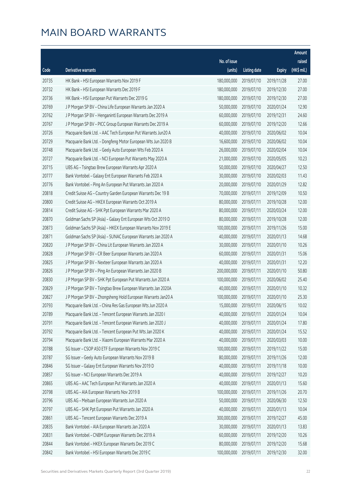|       |                                                              |              |                       |               | Amount      |
|-------|--------------------------------------------------------------|--------------|-----------------------|---------------|-------------|
|       |                                                              | No. of issue |                       |               | raised      |
| Code  | Derivative warrants                                          | (units)      | <b>Listing date</b>   | <b>Expiry</b> | (HK\$ mil.) |
| 20735 | HK Bank - HSI European Warrants Nov 2019 F                   | 180,000,000  | 2019/07/10            | 2019/11/28    | 27.00       |
| 20732 | HK Bank - HSI European Warrants Dec 2019 F                   | 180,000,000  | 2019/07/10            | 2019/12/30    | 27.00       |
| 20736 | HK Bank - HSI European Put Warrants Dec 2019 G               | 180,000,000  | 2019/07/10            | 2019/12/30    | 27.00       |
| 20769 | J P Morgan SP BV - China Life European Warrants Jan 2020 A   | 50,000,000   | 2019/07/10            | 2020/01/24    | 12.90       |
| 20762 | J P Morgan SP BV - Henganintl European Warrants Dec 2019 A   | 60,000,000   | 2019/07/10            | 2019/12/31    | 24.60       |
| 20767 | J P Morgan SP BV - PICC Group European Warrants Dec 2019 A   | 60,000,000   | 2019/07/10            | 2019/12/20    | 12.66       |
| 20726 | Macquarie Bank Ltd. - AAC Tech European Put Warrants Jun20 A | 40,000,000   | 2019/07/10            | 2020/06/02    | 10.04       |
| 20729 | Macquarie Bank Ltd. - Dongfeng Motor European Wts Jun 2020 B | 16,600,000   | 2019/07/10            | 2020/06/02    | 10.04       |
| 20748 | Macquarie Bank Ltd. - Geely Auto European Wts Feb 2020 A     | 26,000,000   | 2019/07/10            | 2020/02/04    | 10.04       |
| 20727 | Macquarie Bank Ltd. - NCI European Put Warrants May 2020 A   | 21,000,000   | 2019/07/10            | 2020/05/05    | 10.23       |
| 20715 | UBS AG - Tsingtao Brew European Warrants Apr 2020 A          | 50,000,000   | 2019/07/10            | 2020/04/27    | 12.50       |
| 20777 | Bank Vontobel - Galaxy Ent European Warrants Feb 2020 A      | 30,000,000   | 2019/07/10            | 2020/02/03    | 11.43       |
| 20776 | Bank Vontobel - Ping An European Put Warrants Jan 2020 A     | 20,000,000   | 2019/07/10            | 2020/01/29    | 12.82       |
| 20818 | Credit Suisse AG - Country Garden European Warrants Dec 19 B | 70,000,000   | 2019/07/11            | 2019/12/09    | 10.50       |
| 20800 | Credit Suisse AG - HKEX European Warrants Oct 2019 A         | 80,000,000   | 2019/07/11            | 2019/10/28    | 12.00       |
| 20814 | Credit Suisse AG - SHK Ppt European Warrants Mar 2020 A      | 80,000,000   | 2019/07/11            | 2020/03/24    | 12.00       |
| 20870 | Goldman Sachs SP (Asia) - Galaxy Ent European Wts Oct 2019 D | 80,000,000   | 2019/07/11            | 2019/10/28    | 12.00       |
| 20873 | Goldman Sachs SP (Asia) - HKEX European Warrants Nov 2019 E  | 100,000,000  | 2019/07/11            | 2019/11/26    | 15.00       |
| 20871 | Goldman Sachs SP (Asia) - SUNAC European Warrants Jan 2020 A | 40,000,000   | 2019/07/11            | 2020/01/13    | 14.68       |
| 20820 | J P Morgan SP BV - China Lit European Warrants Jan 2020 A    | 30,000,000   | 2019/07/11            | 2020/01/10    | 10.26       |
| 20828 | J P Morgan SP BV - CR Beer European Warrants Jan 2020 A      | 60,000,000   | 2019/07/11            | 2020/01/31    | 15.06       |
| 20825 | J P Morgan SP BV - Nexteer European Warrants Jan 2020 A      | 40,000,000   | 2019/07/11            | 2020/01/31    | 12.20       |
| 20826 | J P Morgan SP BV - Ping An European Warrants Jan 2020 B      | 200,000,000  | 2019/07/11            | 2020/01/10    | 50.80       |
| 20830 | J P Morgan SP BV - SHK Ppt European Put Warrants Jun 2020 A  | 100,000,000  | 2019/07/11            | 2020/06/02    | 25.40       |
| 20829 | J P Morgan SP BV - Tsingtao Brew European Warrants Jan 2020A | 40,000,000   | 2019/07/11            | 2020/01/10    | 10.32       |
| 20827 | J P Morgan SP BV - Zhongsheng Hold European Warrants Jan20 A | 100,000,000  | 2019/07/11            | 2020/01/10    | 25.30       |
| 20793 | Macquarie Bank Ltd. - China Res Gas European Wts Jun 2020 A  |              | 15,000,000 2019/07/11 | 2020/06/15    | 10.02       |
| 20789 | Macquarie Bank Ltd. - Tencent European Warrants Jan 2020 I   | 40,000,000   | 2019/07/11            | 2020/01/24    | 10.04       |
| 20791 | Macquarie Bank Ltd. - Tencent European Warrants Jan 2020 J   | 40,000,000   | 2019/07/11            | 2020/01/24    | 17.80       |
| 20792 | Macquarie Bank Ltd. - Tencent European Put Wts Jan 2020 K    | 40,000,000   | 2019/07/11            | 2020/01/24    | 15.52       |
| 20794 | Macquarie Bank Ltd. - Xiaomi European Warrants Mar 2020 A    | 40,000,000   | 2019/07/11            | 2020/03/03    | 10.00       |
| 20788 | SG Issuer - CSOP A50 ETF European Warrants Nov 2019 C        | 100,000,000  | 2019/07/11            | 2019/11/22    | 15.00       |
| 20787 | SG Issuer - Geely Auto European Warrants Nov 2019 B          | 80,000,000   | 2019/07/11            | 2019/11/26    | 12.00       |
| 20846 | SG Issuer - Galaxy Ent European Warrants Nov 2019 D          | 40,000,000   | 2019/07/11            | 2019/11/18    | 10.00       |
| 20857 | SG Issuer - NCI European Warrants Dec 2019 A                 | 40,000,000   | 2019/07/11            | 2019/12/27    | 10.20       |
| 20865 | UBS AG - AAC Tech European Put Warrants Jan 2020 A           | 40,000,000   | 2019/07/11            | 2020/01/13    | 15.60       |
| 20798 | UBS AG - AIA European Warrants Nov 2019 B                    | 100,000,000  | 2019/07/11            | 2019/11/26    | 20.70       |
| 20796 | UBS AG - Meituan European Warrants Jun 2020 A                | 50,000,000   | 2019/07/11            | 2020/06/30    | 12.50       |
| 20797 | UBS AG - SHK Ppt European Put Warrants Jan 2020 A            | 40,000,000   | 2019/07/11            | 2020/01/13    | 10.04       |
| 20861 | UBS AG - Tencent European Warrants Dec 2019 A                | 300,000,000  | 2019/07/11            | 2019/12/27    | 45.00       |
| 20835 | Bank Vontobel - AIA European Warrants Jan 2020 A             | 30,000,000   | 2019/07/11            | 2020/01/13    | 13.83       |
| 20831 | Bank Vontobel - CNBM European Warrants Dec 2019 A            | 60,000,000   | 2019/07/11            | 2019/12/20    | 10.26       |
| 20844 | Bank Vontobel - HKEX European Warrants Dec 2019 C            | 80,000,000   | 2019/07/11            | 2019/12/20    | 15.68       |
| 20842 | Bank Vontobel - HSI European Warrants Dec 2019 C             | 100,000,000  | 2019/07/11            | 2019/12/30    | 32.00       |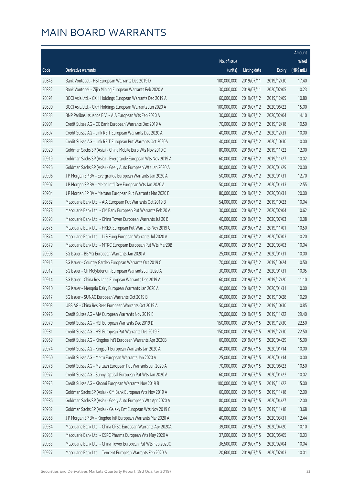|       |                                                              |              |                       |               | Amount      |
|-------|--------------------------------------------------------------|--------------|-----------------------|---------------|-------------|
|       |                                                              | No. of issue |                       |               | raised      |
| Code  | Derivative warrants                                          | (units)      | <b>Listing date</b>   | <b>Expiry</b> | (HK\$ mil.) |
| 20845 | Bank Vontobel - HSI European Warrants Dec 2019 D             | 100,000,000  | 2019/07/11            | 2019/12/30    | 17.40       |
| 20832 | Bank Vontobel - Zijin Mining European Warrants Feb 2020 A    | 30,000,000   | 2019/07/11            | 2020/02/05    | 10.23       |
| 20891 | BOCI Asia Ltd. - CKH Holdings European Warrants Dec 2019 A   | 60,000,000   | 2019/07/12            | 2019/12/09    | 10.80       |
| 20890 | BOCI Asia Ltd. - CKH Holdings European Warrants Jun 2020 A   | 100,000,000  | 2019/07/12            | 2020/06/22    | 15.00       |
| 20883 | BNP Paribas Issuance B.V. - AIA European Wts Feb 2020 A      | 30,000,000   | 2019/07/12            | 2020/02/04    | 14.10       |
| 20901 | Credit Suisse AG - CC Bank European Warrants Dec 2019 A      | 70,000,000   | 2019/07/12            | 2019/12/18    | 10.50       |
| 20897 | Credit Suisse AG - Link REIT European Warrants Dec 2020 A    | 40,000,000   | 2019/07/12            | 2020/12/31    | 10.00       |
| 20899 | Credit Suisse AG - Link REIT European Put Warrants Oct 2020A | 40,000,000   | 2019/07/12            | 2020/10/30    | 10.00       |
| 20920 | Goldman Sachs SP (Asia) - China Mobile Euro Wts Nov 2019 C   | 80,000,000   | 2019/07/12            | 2019/11/22    | 12.00       |
| 20919 | Goldman Sachs SP (Asia) - Evergrande European Wts Nov 2019 A | 60,000,000   | 2019/07/12            | 2019/11/27    | 10.02       |
| 20926 | Goldman Sachs SP (Asia) - Geely Auto European Wts Jan 2020 A | 80,000,000   | 2019/07/12            | 2020/01/29    | 20.00       |
| 20906 | J P Morgan SP BV - Evergrande European Warrants Jan 2020 A   | 50,000,000   | 2019/07/12            | 2020/01/31    | 12.70       |
| 20907 | J P Morgan SP BV - Melco Int'l Dev European Wts Jan 2020 A   | 50,000,000   | 2019/07/12            | 2020/01/13    | 12.55       |
| 20904 | J P Morgan SP BV - Meituan European Put Warrants Mar 2020 B  | 80,000,000   | 2019/07/12            | 2020/03/31    | 20.00       |
| 20882 | Macquarie Bank Ltd. - AIA European Put Warrants Oct 2019 B   | 54,000,000   | 2019/07/12            | 2019/10/23    | 10.04       |
| 20878 | Macquarie Bank Ltd. - CM Bank European Put Warrants Feb 20 A | 30,000,000   | 2019/07/12            | 2020/02/04    | 10.62       |
| 20893 | Macquarie Bank Ltd. - China Tower European Warrants Jul 20 B | 40,000,000   | 2019/07/12            | 2020/07/03    | 10.08       |
| 20875 | Macquarie Bank Ltd. - HKEX European Put Warrants Nov 2019 C  | 60,000,000   | 2019/07/12            | 2019/11/01    | 10.50       |
| 20874 | Macquarie Bank Ltd. - Li & Fung European Warrants Jul 2020 A | 40,000,000   | 2019/07/12            | 2020/07/03    | 10.20       |
| 20879 | Macquarie Bank Ltd. - MTRC European European Put Wts Mar20B  | 40,000,000   | 2019/07/12            | 2020/03/03    | 10.04       |
| 20908 | SG Issuer - BBMG European Warrants Jan 2020 A                | 25,000,000   | 2019/07/12            | 2020/01/31    | 10.00       |
| 20915 | SG Issuer - Country Garden European Warrants Oct 2019 C      | 70,000,000   | 2019/07/12            | 2019/10/24    | 10.50       |
| 20912 | SG Issuer - Ch Molybdenum European Warrants Jan 2020 A       | 30,000,000   | 2019/07/12            | 2020/01/31    | 10.05       |
| 20914 | SG Issuer - China Res Land European Warrants Dec 2019 A      | 60,000,000   | 2019/07/12            | 2019/12/20    | 11.10       |
| 20910 | SG Issuer - Mengniu Dairy European Warrants Jan 2020 A       | 40,000,000   | 2019/07/12            | 2020/01/31    | 10.00       |
| 20917 | SG Issuer - SUNAC European Warrants Oct 2019 B               | 40,000,000   | 2019/07/12            | 2019/10/28    | 10.20       |
| 20903 | UBS AG – China Res Beer European Warrants Oct 2019 A         |              | 50,000,000 2019/07/12 | 2019/10/30    | 10.85       |
| 20976 | Credit Suisse AG - AIA European Warrants Nov 2019 E          | 70,000,000   | 2019/07/15            | 2019/11/22    | 29.40       |
| 20979 | Credit Suisse AG - HSI European Warrants Dec 2019 D          | 150,000,000  | 2019/07/15            | 2019/12/30    | 22.50       |
| 20981 | Credit Suisse AG - HSI European Put Warrants Dec 2019 E      | 150,000,000  | 2019/07/15            | 2019/12/30    | 22.50       |
| 20959 | Credit Suisse AG - Kingdee Int'l European Warrants Apr 2020B | 60,000,000   | 2019/07/15            | 2020/04/29    | 15.00       |
| 20974 | Credit Suisse AG - Kingsoft European Warrants Jan 2020 A     | 40,000,000   | 2019/07/15            | 2020/01/14    | 10.00       |
| 20960 | Credit Suisse AG - Meitu European Warrants Jan 2020 A        | 25,000,000   | 2019/07/15            | 2020/01/14    | 10.00       |
| 20978 | Credit Suisse AG - Meituan European Put Warrants Jun 2020 A  | 70,000,000   | 2019/07/15            | 2020/06/23    | 10.50       |
| 20977 | Credit Suisse AG - Sunny Optical European Put Wts Jan 2020 A | 60,000,000   | 2019/07/15            | 2020/01/22    | 10.02       |
| 20975 | Credit Suisse AG - Xiaomi European Warrants Nov 2019 B       | 100,000,000  | 2019/07/15            | 2019/11/22    | 15.00       |
| 20987 | Goldman Sachs SP (Asia) - CM Bank European Wts Nov 2019 A    | 60,000,000   | 2019/07/15            | 2019/11/18    | 12.00       |
| 20986 | Goldman Sachs SP (Asia) - Geely Auto European Wts Apr 2020 A | 80,000,000   | 2019/07/15            | 2020/04/27    | 12.00       |
| 20982 | Goldman Sachs SP (Asia) - Galaxy Ent European Wts Nov 2019 C | 80,000,000   | 2019/07/15            | 2019/11/18    | 13.68       |
| 20958 | J P Morgan SP BV - Kingdee Intl European Warrants Mar 2020 A | 40,000,000   | 2019/07/15            | 2020/03/31    | 12.44       |
| 20934 | Macquarie Bank Ltd. - China CRSC European Warrants Apr 2020A | 39,000,000   | 2019/07/15            | 2020/04/20    | 10.10       |
| 20935 | Macquarie Bank Ltd. - CSPC Pharma European Wts May 2020 A    | 37,000,000   | 2019/07/15            | 2020/05/05    | 10.03       |
| 20933 | Macquarie Bank Ltd. - China Tower European Put Wts Feb 2020C | 36,500,000   | 2019/07/15            | 2020/02/04    | 10.04       |
| 20927 | Macquarie Bank Ltd. - Tencent European Warrants Feb 2020 A   | 20,600,000   | 2019/07/15            | 2020/02/03    | 10.01       |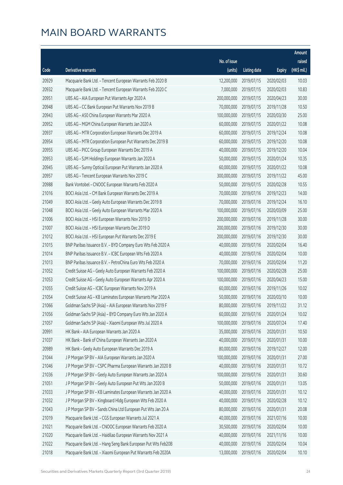|       |                                                              |              |                       |               | Amount      |
|-------|--------------------------------------------------------------|--------------|-----------------------|---------------|-------------|
|       |                                                              | No. of issue |                       |               | raised      |
| Code  | <b>Derivative warrants</b>                                   | (units)      | <b>Listing date</b>   | <b>Expiry</b> | (HK\$ mil.) |
| 20929 | Macquarie Bank Ltd. - Tencent European Warrants Feb 2020 B   | 12,200,000   | 2019/07/15            | 2020/02/03    | 10.03       |
| 20932 | Macquarie Bank Ltd. - Tencent European Warrants Feb 2020 C   | 7,000,000    | 2019/07/15            | 2020/02/03    | 10.83       |
| 20951 | UBS AG - AIA European Put Warrants Apr 2020 A                | 200,000,000  | 2019/07/15            | 2020/04/23    | 30.00       |
| 20948 | UBS AG - CC Bank European Put Warrants Nov 2019 B            | 70,000,000   | 2019/07/15            | 2019/11/28    | 10.50       |
| 20943 | UBS AG - A50 China European Warrants Mar 2020 A              | 100,000,000  | 2019/07/15            | 2020/03/30    | 25.00       |
| 20952 | UBS AG - MGM China European Warrants Jan 2020 A              | 60,000,000   | 2019/07/15            | 2020/01/22    | 10.08       |
| 20937 | UBS AG - MTR Corporation European Warrants Dec 2019 A        | 60,000,000   | 2019/07/15            | 2019/12/24    | 10.08       |
| 20954 | UBS AG - MTR Corporation European Put Warrants Dec 2019 B    | 60,000,000   | 2019/07/15            | 2019/12/20    | 10.08       |
| 20955 | UBS AG - PICC Group European Warrants Dec 2019 A             | 40,000,000   | 2019/07/15            | 2019/12/20    | 10.04       |
| 20953 | UBS AG - SJM Holdings European Warrants Jan 2020 A           | 50,000,000   | 2019/07/15            | 2020/01/24    | 10.35       |
| 20945 | UBS AG - Sunny Optical European Put Warrants Jan 2020 A      | 60,000,000   | 2019/07/15            | 2020/01/22    | 10.08       |
| 20957 | UBS AG - Tencent European Warrants Nov 2019 C                | 300,000,000  | 2019/07/15            | 2019/11/22    | 45.00       |
| 20988 | Bank Vontobel - CNOOC European Warrants Feb 2020 A           | 50,000,000   | 2019/07/15            | 2020/02/28    | 10.55       |
| 21016 | BOCI Asia Ltd. - CM Bank European Warrants Dec 2019 A        | 70,000,000   | 2019/07/16            | 2019/12/23    | 14.00       |
| 21049 | BOCI Asia Ltd. - Geely Auto European Warrants Dec 2019 B     | 70,000,000   | 2019/07/16            | 2019/12/24    | 16.10       |
| 21048 | BOCI Asia Ltd. - Geely Auto European Warrants Mar 2020 A     | 100,000,000  | 2019/07/16            | 2020/03/09    | 25.00       |
| 21006 | BOCI Asia Ltd. - HSI European Warrants Nov 2019 D            | 200,000,000  | 2019/07/16            | 2019/11/28    | 30.00       |
| 21007 | BOCI Asia Ltd. - HSI European Warrants Dec 2019 D            | 200,000,000  | 2019/07/16            | 2019/12/30    | 30.00       |
| 21012 | BOCI Asia Ltd. - HSI European Put Warrants Dec 2019 E        | 200,000,000  | 2019/07/16            | 2019/12/30    | 30.00       |
| 21015 | BNP Paribas Issuance B.V. - BYD Company Euro Wts Feb 2020 A  | 40,000,000   | 2019/07/16            | 2020/02/04    | 16.40       |
| 21014 | BNP Paribas Issuance B.V. - ICBC European Wts Feb 2020 A     | 40,000,000   | 2019/07/16            | 2020/02/04    | 10.00       |
| 21013 | BNP Paribas Issuance B.V. - PetroChina Euro Wts Feb 2020 A   | 70,000,000   | 2019/07/16            | 2020/02/04    | 11.20       |
| 21052 | Credit Suisse AG - Geely Auto European Warrants Feb 2020 A   | 100,000,000  | 2019/07/16            | 2020/02/28    | 25.00       |
| 21053 | Credit Suisse AG - Geely Auto European Warrants Apr 2020 A   | 100,000,000  | 2019/07/16            | 2020/04/23    | 15.00       |
| 21055 | Credit Suisse AG - ICBC European Warrants Nov 2019 A         | 60,000,000   | 2019/07/16            | 2019/11/26    | 10.02       |
| 21054 | Credit Suisse AG - KB Laminates European Warrants Mar 2020 A | 50,000,000   | 2019/07/16            | 2020/03/10    | 10.00       |
| 21066 | Goldman Sachs SP (Asia) - AIA European Warrants Nov 2019 F   |              | 80,000,000 2019/07/16 | 2019/11/22    | 31.12       |
| 21056 | Goldman Sachs SP (Asia) - BYD Company Euro Wts Jan 2020 A    | 60,000,000   | 2019/07/16            | 2020/01/24    | 10.02       |
| 21057 | Goldman Sachs SP (Asia) - Xiaomi European Wts Jul 2020 A     | 100,000,000  | 2019/07/16            | 2020/07/24    | 17.40       |
| 20991 | HK Bank - AIA European Warrants Jan 2020 A                   | 35,000,000   | 2019/07/16            | 2020/01/31    | 10.50       |
| 21037 | HK Bank - Bank of China European Warrants Jan 2020 A         | 40,000,000   | 2019/07/16            | 2020/01/31    | 10.00       |
| 20989 | HK Bank - Geely Auto European Warrants Dec 2019 A            | 80,000,000   | 2019/07/16            | 2019/12/27    | 12.00       |
| 21044 | J P Morgan SP BV - AIA European Warrants Jan 2020 A          | 100,000,000  | 2019/07/16            | 2020/01/31    | 27.00       |
| 21046 | J P Morgan SP BV - CSPC Pharma European Warrants Jan 2020 B  | 40,000,000   | 2019/07/16            | 2020/01/31    | 10.72       |
| 21036 | J P Morgan SP BV - Geely Auto European Warrants Jan 2020 A   | 100,000,000  | 2019/07/16            | 2020/01/31    | 30.60       |
| 21051 | J P Morgan SP BV - Geely Auto European Put Wts Jan 2020 B    | 50,000,000   | 2019/07/16            | 2020/01/31    | 13.05       |
| 21033 | J P Morgan SP BV - KB Laminates European Warrants Jan 2020 A | 40,000,000   | 2019/07/16            | 2020/01/31    | 10.12       |
| 21032 | J P Morgan SP BV - Kingboard Hldg European Wts Feb 2020 A    | 40,000,000   | 2019/07/16            | 2020/02/28    | 10.12       |
| 21043 | J P Morgan SP BV - Sands China Ltd European Put Wts Jan 20 A | 80,000,000   | 2019/07/16            | 2020/01/31    | 20.08       |
| 21019 | Macquarie Bank Ltd. - CGS European Warrants Jul 2021 A       | 40,000,000   | 2019/07/16            | 2021/07/16    | 10.00       |
| 21021 | Macquarie Bank Ltd. - CNOOC European Warrants Feb 2020 A     | 30,500,000   | 2019/07/16            | 2020/02/04    | 10.00       |
| 21020 | Macquarie Bank Ltd. - Haidilao European Warrants Nov 2021 A  | 40,000,000   | 2019/07/16            | 2021/11/16    | 10.00       |
| 21022 | Macquarie Bank Ltd. - Hang Seng Bank European Put Wts Feb20B | 40,000,000   | 2019/07/16            | 2020/02/04    | 10.04       |
| 21018 | Macquarie Bank Ltd. - Xiaomi European Put Warrants Feb 2020A | 13,000,000   | 2019/07/16            | 2020/02/04    | 10.10       |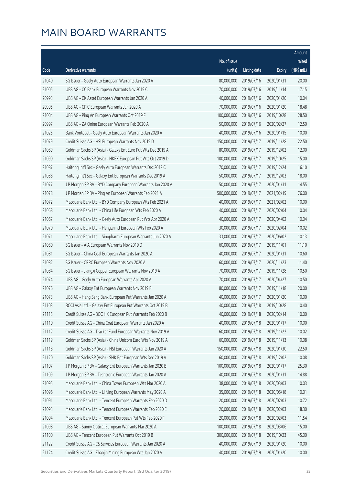|       |                                                              |              |                       |               | Amount      |
|-------|--------------------------------------------------------------|--------------|-----------------------|---------------|-------------|
|       |                                                              | No. of issue |                       |               | raised      |
| Code  | Derivative warrants                                          | (units)      | <b>Listing date</b>   | <b>Expiry</b> | (HK\$ mil.) |
| 21040 | SG Issuer - Geely Auto European Warrants Jan 2020 A          | 80,000,000   | 2019/07/16            | 2020/01/31    | 20.00       |
| 21005 | UBS AG - CC Bank European Warrants Nov 2019 C                | 70,000,000   | 2019/07/16            | 2019/11/14    | 17.15       |
| 20993 | UBS AG - CK Asset European Warrants Jan 2020 A               | 40,000,000   | 2019/07/16            | 2020/01/20    | 10.04       |
| 20995 | UBS AG - CPIC European Warrants Jan 2020 A                   | 70,000,000   | 2019/07/16            | 2020/01/20    | 18.48       |
| 21004 | UBS AG - Ping An European Warrants Oct 2019 F                | 100,000,000  | 2019/07/16            | 2019/10/28    | 28.50       |
| 20997 | UBS AG - ZA Onine European Warrants Feb 2020 A               | 50,000,000   | 2019/07/16            | 2020/02/27    | 12.50       |
| 21025 | Bank Vontobel - Geely Auto European Warrants Jan 2020 A      | 40,000,000   | 2019/07/16            | 2020/01/15    | 10.00       |
| 21079 | Credit Suisse AG - HSI European Warrants Nov 2019 D          | 150,000,000  | 2019/07/17            | 2019/11/28    | 22.50       |
| 21089 | Goldman Sachs SP (Asia) - Galaxy Ent Euro Put Wts Dec 2019 A | 80,000,000   | 2019/07/17            | 2019/12/02    | 12.00       |
| 21090 | Goldman Sachs SP (Asia) - HKEX European Put Wts Oct 2019 D   | 100,000,000  | 2019/07/17            | 2019/10/25    | 15.00       |
| 21087 | Haitong Int'l Sec - Geely Auto European Warrants Dec 2019 C  | 70,000,000   | 2019/07/17            | 2019/12/24    | 16.10       |
| 21088 | Haitong Int'l Sec - Galaxy Ent European Warrants Dec 2019 A  | 50,000,000   | 2019/07/17            | 2019/12/03    | 18.00       |
| 21077 | J P Morgan SP BV - BYD Company European Warrants Jan 2020 A  | 50,000,000   | 2019/07/17            | 2020/01/31    | 14.55       |
| 21078 | J P Morgan SP BV - Ping An European Warrants Feb 2021 A      | 500,000,000  | 2019/07/17            | 2021/02/19    | 76.00       |
| 21072 | Macquarie Bank Ltd. - BYD Company European Wts Feb 2021 A    | 40,000,000   | 2019/07/17            | 2021/02/02    | 10.00       |
| 21068 | Macquarie Bank Ltd. - China Life European Wts Feb 2020 A     | 40,000,000   | 2019/07/17            | 2020/02/04    | 10.04       |
| 21067 | Macquarie Bank Ltd. - Geely Auto European Put Wts Apr 2020 A | 40,000,000   | 2019/07/17            | 2020/04/02    | 10.04       |
| 21070 | Macquarie Bank Ltd. - Henganintl European Wts Feb 2020 A     | 30,000,000   | 2019/07/17            | 2020/02/04    | 10.02       |
| 21071 | Macquarie Bank Ltd. - Sinopharm European Warrants Jun 2020 A | 33,000,000   | 2019/07/17            | 2020/06/02    | 10.13       |
| 21080 | SG Issuer - AIA European Warrants Nov 2019 D                 | 60,000,000   | 2019/07/17            | 2019/11/01    | 11.10       |
| 21081 | SG Issuer - China Coal European Warrants Jan 2020 A          | 40,000,000   | 2019/07/17            | 2020/01/31    | 10.60       |
| 21082 | SG Issuer - CRRC European Warrants Nov 2020 A                | 60,000,000   | 2019/07/17            | 2020/11/23    | 11.40       |
| 21084 | SG Issuer - Jiangxi Copper European Warrants Nov 2019 A      | 70,000,000   | 2019/07/17            | 2019/11/28    | 10.50       |
| 21074 | UBS AG - Geely Auto European Warrants Apr 2020 A             | 70,000,000   | 2019/07/17            | 2020/04/27    | 10.50       |
| 21076 | UBS AG - Galaxy Ent European Warrants Nov 2019 B             | 80,000,000   | 2019/07/17            | 2019/11/18    | 20.00       |
| 21073 | UBS AG - Hang Seng Bank European Put Warrants Jan 2020 A     | 40,000,000   | 2019/07/17            | 2020/01/20    | 10.00       |
| 21103 | BOCI Asia Ltd. - Galaxy Ent European Put Warrants Oct 2019 B |              | 40,000,000 2019/07/18 | 2019/10/28    | 10.40       |
| 21115 | Credit Suisse AG - BOC HK European Put Warrants Feb 2020 B   | 40,000,000   | 2019/07/18            | 2020/02/14    | 10.00       |
| 21110 | Credit Suisse AG - China Coal European Warrants Jan 2020 A   | 40,000,000   | 2019/07/18            | 2020/01/17    | 10.00       |
| 21112 | Credit Suisse AG - Tracker Fund European Warrants Nov 2019 A | 60,000,000   | 2019/07/18            | 2019/11/22    | 10.02       |
| 21119 | Goldman Sachs SP (Asia) - China Unicom Euro Wts Nov 2019 A   | 60,000,000   | 2019/07/18            | 2019/11/13    | 10.08       |
| 21118 | Goldman Sachs SP (Asia) - HSI European Warrants Jan 2020 A   | 150,000,000  | 2019/07/18            | 2020/01/30    | 22.50       |
| 21120 | Goldman Sachs SP (Asia) - SHK Ppt European Wts Dec 2019 A    | 60,000,000   | 2019/07/18            | 2019/12/02    | 10.08       |
| 21107 | J P Morgan SP BV - Galaxy Ent European Warrants Jan 2020 B   | 100,000,000  | 2019/07/18            | 2020/01/17    | 25.30       |
| 21109 | J P Morgan SP BV - Techtronic European Warrants Jan 2020 A   | 40,000,000   | 2019/07/18            | 2020/01/31    | 14.88       |
| 21095 | Macquarie Bank Ltd. - China Tower European Wts Mar 2020 A    | 38,000,000   | 2019/07/18            | 2020/03/03    | 10.03       |
| 21096 | Macquarie Bank Ltd. - Li Ning European Warrants May 2020 A   | 35,000,000   | 2019/07/18            | 2020/05/18    | 10.01       |
| 21091 | Macquarie Bank Ltd. - Tencent European Warrants Feb 2020 D   | 20,000,000   | 2019/07/18            | 2020/02/03    | 10.72       |
| 21093 | Macquarie Bank Ltd. - Tencent European Warrants Feb 2020 E   | 20,000,000   | 2019/07/18            | 2020/02/03    | 18.30       |
| 21094 | Macquarie Bank Ltd. - Tencent European Put Wts Feb 2020 F    | 20,000,000   | 2019/07/18            | 2020/02/03    | 11.54       |
| 21098 | UBS AG - Sunny Optical European Warrants Mar 2020 A          | 100,000,000  | 2019/07/18            | 2020/03/06    | 15.00       |
| 21100 | UBS AG - Tencent European Put Warrants Oct 2019 B            | 300,000,000  | 2019/07/18            | 2019/10/23    | 45.00       |
| 21122 | Credit Suisse AG - CS Services European Warrants Jan 2020 A  | 40,000,000   | 2019/07/19            | 2020/01/20    | 10.00       |
| 21124 | Credit Suisse AG - Zhaojin Mining European Wts Jan 2020 A    | 40,000,000   | 2019/07/19            | 2020/01/20    | 10.00       |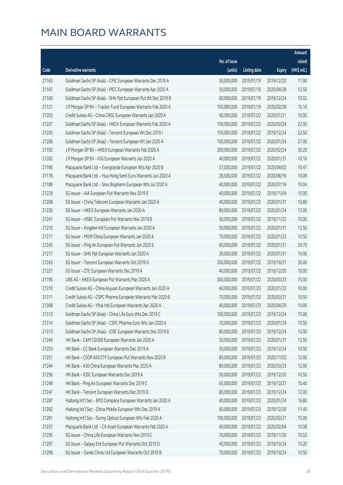|       |                                                              |              |                       |               | Amount      |
|-------|--------------------------------------------------------------|--------------|-----------------------|---------------|-------------|
|       |                                                              | No. of issue |                       |               | raised      |
| Code  | Derivative warrants                                          | (units)      | <b>Listing date</b>   | <b>Expiry</b> | (HK\$ mil.) |
| 21163 | Goldman Sachs SP (Asia) - CPIC European Warrants Dec 2019 A  | 50,000,000   | 2019/07/19            | 2019/12/20    | 11.90       |
| 21161 | Goldman Sachs SP (Asia) - PICC European Warrants Apr 2020 A  | 50,000,000   | 2019/07/19            | 2020/04/28    | 12.50       |
| 21160 | Goldman Sachs SP (Asia) - SHK Ppt European Put Wt Dec 2019 B | 60,000,000   | 2019/07/19            | 2019/12/24    | 10.02       |
| 21121 | J P Morgan SP BV - Tracker Fund European Warrants Feb 2020 A | 100,000,000  | 2019/07/19            | 2020/02/28    | 15.10       |
| 21203 | Credit Suisse AG - China CRSC European Warrants Jan 2020 A   | 40,000,000   | 2019/07/22            | 2020/01/21    | 10.00       |
| 21207 | Goldman Sachs SP (Asia) - HKEX European Warrants Feb 2020 A  | 150,000,000  | 2019/07/22            | 2020/02/24    | 22.50       |
| 21205 | Goldman Sachs SP (Asia) - Tencent European Wt Dec 2019 I     | 150,000,000  | 2019/07/22            | 2019/12/24    | 22.50       |
| 21206 | Goldman Sachs SP (Asia) - Tencent European Wt Jan 2020 A     | 150,000,000  | 2019/07/22            | 2020/01/24    | 27.00       |
| 21192 | J P Morgan SP BV - HKEX European Warrants Feb 2020 A         | 200,000,000  | 2019/07/22            | 2020/02/24    | 30.20       |
| 21202 | J P Morgan SP BV - IGG European Warrants Jan 2020 A          | 40,000,000   | 2019/07/22            | 2020/01/31    | 10.16       |
| 21180 | Macquarie Bank Ltd. - Evergrande European Wts Apr 2020 B     | 37,000,000   | 2019/07/22            | 2020/04/02    | 10.47       |
| 21178 | Macquarie Bank Ltd. - Hua Hong Semi Euro Warrants Jun 2020 A | 28,500,000   | 2019/07/22            | 2020/06/16    | 10.09       |
| 21189 | Macquarie Bank Ltd. - Sino Biopharm European Wts Jul 2020 A  | 40,000,000   | 2019/07/22            | 2020/07/16    | 10.04       |
| 21229 | SG Issuer - AIA European Put Warrants Nov 2019 E             | 40,000,000   | 2019/07/22            | 2019/11/04    | 10.00       |
| 21208 | SG Issuer - China Telecom European Warrants Jan 2020 A       | 40,000,000   | 2019/07/22            | 2020/01/31    | 10.80       |
| 21230 | SG Issuer - HKEX European Warrants Jan 2020 A                | 80,000,000   | 2019/07/22            | 2020/01/24    | 12.00       |
| 21241 | SG Issuer - HSBC European Put Warrants Nov 2019 B            | 50,000,000   | 2019/07/22            | 2019/11/22    | 10.00       |
| 21210 | SG Issuer - Kingdee Intl European Warrants Jan 2020 A        | 50,000,000   | 2019/07/22            | 2020/01/31    | 12.50       |
| 21211 | SG Issuer - MGM China European Warrants Jan 2020 A           | 70,000,000   | 2019/07/22            | 2020/01/22    | 10.50       |
| 21242 | SG Issuer - Ping An European Put Warrants Jan 2020 E         | 60,000,000   | 2019/07/22            | 2020/01/31    | 29.70       |
| 21217 | SG Issuer - SHK Ppt European Warrants Jan 2020 A             | 20,000,000   | 2019/07/22            | 2020/01/31    | 10.00       |
| 21243 | SG Issuer - Tencent European Warrants Oct 2019 G             | 200,000,000  | 2019/07/22            | 2019/10/21    | 30.00       |
| 21221 | SG Issuer - ZTE European Warrants Dec 2019 A                 | 40,000,000   | 2019/07/22            | 2019/12/20    | 10.00       |
| 21190 | UBS AG - HKEX European Put Warrants Mar 2020 A               | 300,000,000  | 2019/07/22            | 2020/03/23    | 75.00       |
| 21310 | Credit Suisse AG - China Aoyuan European Warrants Jan 2020 A | 40,000,000   | 2019/07/23            | 2020/01/22    | 10.00       |
| 21311 | Credit Suisse AG - CSPC Pharma European Warrants Mar 2020 B  | 70,000,000   | 2019/07/23            | 2020/03/31    | 10.50       |
| 21308 | Credit Suisse AG - Yihai Intl European Warrants Apr 2020 A   |              | 40,000,000 2019/07/23 | 2020/04/29    | 10.00       |
| 21312 | Goldman Sachs SP (Asia) - China Life Euro Wts Dec 2019 C     | 100,000,000  | 2019/07/23            | 2019/12/24    | 15.00       |
| 21314 | Goldman Sachs SP (Asia) - CSPC Pharma Euro Wts Jan 2020 A    | 70,000,000   | 2019/07/23            | 2020/01/24    | 10.50       |
| 21313 | Goldman Sachs SP (Asia) - ICBC European Warrants Dec 2019 B  | 80,000,000   | 2019/07/23            | 2019/12/24    | 12.00       |
| 21249 | HK Bank - CAM CSI300 European Warrants Jan 2020 A            | 50,000,000   | 2019/07/23            | 2020/01/31    | 12.50       |
| 21253 | HK Bank - CC Bank European Warrants Dec 2019 A               | 50,000,000   | 2019/07/23            | 2019/12/24    | 10.50       |
| 21251 | HK Bank - CSOP A50 ETF European Put Warrants Nov 2020 B      | 80,000,000   | 2019/07/23            | 2020/11/02    | 12.00       |
| 21244 | HK Bank - A50 China European Warrants Mar 2020 A             | 80,000,000   | 2019/07/23            | 2020/03/23    | 12.00       |
| 21256 | HK Bank - ICBC European Warrants Dec 2019 A                  | 50,000,000   | 2019/07/23            | 2019/12/20    | 10.50       |
| 21248 | HK Bank - Ping An European Warrants Dec 2019 C               | 65,000,000   | 2019/07/23            | 2019/12/27    | 10.40       |
| 21247 | HK Bank - Tencent European Warrants Dec 2019 D               | 80,000,000   | 2019/07/23            | 2019/12/24    | 12.00       |
| 21287 | Haitong Int'l Sec - BYD Company European Warrants Jan 2020 A | 40,000,000   | 2019/07/23            | 2020/01/24    | 16.80       |
| 21282 | Haitong Int'l Sec - China Mobile European Wts Dec 2019 A     | 60,000,000   | 2019/07/23            | 2019/12/30    | 11.40       |
| 21281 | Haitong Int'l Sec - Sunny Optical European Wts Feb 2020 A    | 100,000,000  | 2019/07/23            | 2020/02/21    | 15.00       |
| 21257 | Macquarie Bank Ltd. - CK Asset European Warrants Feb 2020 A  | 40,000,000   | 2019/07/23            | 2020/02/04    | 10.08       |
| 21295 | SG Issuer - China Life European Warrants Nov 2019 C          | 70,000,000   | 2019/07/23            | 2019/11/26    | 10.50       |
| 21297 | SG Issuer - Galaxy Ent European Put Warrants Oct 2019 D      | 40,000,000   | 2019/07/23            | 2019/10/24    | 10.20       |
| 21298 | SG Issuer - Sands China Ltd European Warrants Oct 2019 B     | 70,000,000   | 2019/07/23            | 2019/10/24    | 10.50       |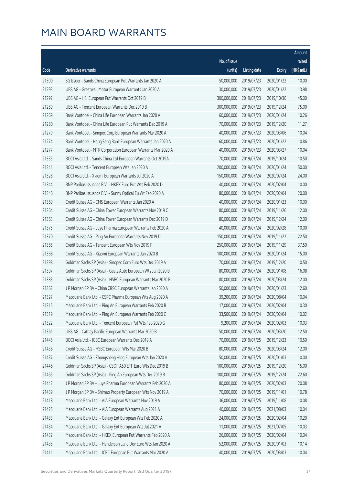|       |                                                              |              |                       |               | Amount      |
|-------|--------------------------------------------------------------|--------------|-----------------------|---------------|-------------|
|       |                                                              | No. of issue |                       |               | raised      |
| Code  | Derivative warrants                                          | (units)      | <b>Listing date</b>   | <b>Expiry</b> | (HK\$ mil.) |
| 21300 | SG Issuer - Sands China European Put Warrants Jan 2020 A     | 50,000,000   | 2019/07/23            | 2020/01/22    | 10.00       |
| 21293 | UBS AG - Greatwall Motor European Warrants Jan 2020 A        | 30,000,000   | 2019/07/23            | 2020/01/22    | 13.98       |
| 21292 | UBS AG - HSI European Put Warrants Oct 2019 B                | 300,000,000  | 2019/07/23            | 2019/10/30    | 45.00       |
| 21289 | UBS AG - Tencent European Warrants Dec 2019 B                | 300,000,000  | 2019/07/23            | 2019/12/24    | 75.00       |
| 21269 | Bank Vontobel - China Life European Warrants Jan 2020 A      | 60,000,000   | 2019/07/23            | 2020/01/24    | 10.26       |
| 21280 | Bank Vontobel - China Life European Put Warrants Dec 2019 A  | 70,000,000   | 2019/07/23            | 2019/12/20    | 11.27       |
| 21279 | Bank Vontobel - Sinopec Corp European Warrants Mar 2020 A    | 40,000,000   | 2019/07/23            | 2020/03/06    | 10.04       |
| 21274 | Bank Vontobel - Hang Seng Bank European Warrants Jan 2020 A  | 60,000,000   | 2019/07/23            | 2020/01/22    | 10.86       |
| 21277 | Bank Vontobel - MTR Corporation European Warrants Mar 2020 A | 40,000,000   | 2019/07/23            | 2020/03/27    | 10.04       |
| 21335 | BOCI Asia Ltd. - Sands China Ltd European Warrants Oct 2019A | 70,000,000   | 2019/07/24            | 2019/10/24    | 10.50       |
| 21341 | BOCI Asia Ltd. - Tencent European Wts Jan 2020 A             | 200,000,000  | 2019/07/24            | 2020/01/24    | 50.00       |
| 21328 | BOCI Asia Ltd. - Xiaomi European Warrants Jul 2020 A         | 150,000,000  | 2019/07/24            | 2020/07/24    | 24.00       |
| 21344 | BNP Paribas Issuance B.V. - HKEX Euro Put Wts Feb 2020 D     | 40,000,000   | 2019/07/24            | 2020/02/04    | 10.00       |
| 21346 | BNP Paribas Issuance B.V. - Sunny Optical Eu Wt Feb 2020 A   | 80,000,000   | 2019/07/24            | 2020/02/04    | 20.00       |
| 21369 | Credit Suisse AG - CMS European Warrants Jan 2020 A          | 40,000,000   | 2019/07/24            | 2020/01/23    | 10.00       |
| 21364 | Credit Suisse AG - China Tower European Warrants Nov 2019 C  | 80,000,000   | 2019/07/24            | 2019/11/26    | 12.00       |
| 21363 | Credit Suisse AG - China Tower European Warrants Dec 2019 D  | 80,000,000   | 2019/07/24            | 2019/12/24    | 12.00       |
| 21375 | Credit Suisse AG - Luye Pharma European Warrants Feb 2020 A  | 40,000,000   | 2019/07/24            | 2020/02/28    | 10.00       |
| 21370 | Credit Suisse AG - Ping An European Warrants Nov 2019 D      | 150,000,000  | 2019/07/24            | 2019/11/22    | 22.50       |
| 21365 | Credit Suisse AG - Tencent European Wts Nov 2019 F           | 250,000,000  | 2019/07/24            | 2019/11/29    | 37.50       |
| 21368 | Credit Suisse AG - Xiaomi European Warrants Jan 2020 B       | 100,000,000  | 2019/07/24            | 2020/01/24    | 15.00       |
| 21398 | Goldman Sachs SP (Asia) - Sinopec Corp Euro Wts Dec 2019 A   | 70,000,000   | 2019/07/24            | 2019/12/20    | 10.50       |
| 21397 | Goldman Sachs SP (Asia) - Geely Auto European Wts Jan 2020 B | 80,000,000   | 2019/07/24            | 2020/01/08    | 16.08       |
| 21383 | Goldman Sachs SP (Asia) - HSBC European Warrants Mar 2020 B  | 80,000,000   | 2019/07/24            | 2020/03/24    | 12.00       |
| 21362 | J P Morgan SP BV - China CRSC European Warrants Jan 2020 A   | 50,000,000   | 2019/07/24            | 2020/01/23    | 12.60       |
| 21327 | Macquarie Bank Ltd. - CSPC Pharma European Wts Aug 2020 A    | 39,200,000   | 2019/07/24            | 2020/08/04    | 10.04       |
| 21315 | Macquarie Bank Ltd. - Ping An European Warrants Feb 2020 B   |              | 17,000,000 2019/07/24 | 2020/02/04    | 10.30       |
| 21319 | Macquarie Bank Ltd. - Ping An European Warrants Feb 2020 C   | 33,500,000   | 2019/07/24            | 2020/02/04    | 10.02       |
| 21322 | Macquarie Bank Ltd. - Tencent European Put Wts Feb 2020 G    | 9,200,000    | 2019/07/24            | 2020/02/03    | 10.03       |
| 21361 | UBS AG - Cathay Pacific European Warrants Mar 2020 B         | 50,000,000   | 2019/07/24            | 2020/03/20    | 12.50       |
| 21445 | BOCI Asia Ltd. - ICBC European Warrants Dec 2019 A           | 70,000,000   | 2019/07/25            | 2019/12/23    | 10.50       |
| 21436 | Credit Suisse AG - HSBC European Wts Mar 2020 B              | 80,000,000   | 2019/07/25            | 2020/03/24    | 12.00       |
| 21437 | Credit Suisse AG - Zhongsheng Hldg European Wts Jan 2020 A   | 50,000,000   | 2019/07/25            | 2020/01/03    | 10.00       |
| 21446 | Goldman Sachs SP (Asia) - CSOP A50 ETF Euro Wts Dec 2019 B   | 100,000,000  | 2019/07/25            | 2019/12/20    | 15.00       |
| 21465 | Goldman Sachs SP (Asia) - Ping An European Wts Dec 2019 B    | 100,000,000  | 2019/07/25            | 2019/12/24    | 22.60       |
| 21442 | J P Morgan SP BV - Luye Pharma European Warrants Feb 2020 A  | 80,000,000   | 2019/07/25            | 2020/02/03    | 20.08       |
| 21439 | J P Morgan SP BV - Shimao Property European Wts Nov 2019 A   | 70,000,000   | 2019/07/25            | 2019/11/01    | 10.78       |
| 21418 | Macquarie Bank Ltd. - AIA European Warrants Nov 2019 A       | 36,000,000   | 2019/07/25            | 2019/11/08    | 10.08       |
| 21425 | Macquarie Bank Ltd. - AIA European Warrants Aug 2021 A       | 40,000,000   | 2019/07/25            | 2021/08/03    | 10.04       |
| 21433 | Macquarie Bank Ltd. - Galaxy Ent European Wts Feb 2020 A     | 24,000,000   | 2019/07/25            | 2020/02/04    | 10.20       |
| 21434 | Macquarie Bank Ltd. - Galaxy Ent European Wts Jul 2021 A     | 11,000,000   | 2019/07/25            | 2021/07/05    | 10.03       |
| 21432 | Macquarie Bank Ltd. - HKEX European Put Warrants Feb 2020 A  | 26,000,000   | 2019/07/25            | 2020/02/04    | 10.04       |
| 21435 | Macquarie Bank Ltd. - Henderson Land Dev Euro Wts Jan 2020 A | 52,000,000   | 2019/07/25            | 2020/01/03    | 10.14       |
| 21411 | Macquarie Bank Ltd. - ICBC European Put Warrants Mar 2020 A  | 40,000,000   | 2019/07/25            | 2020/03/03    | 10.04       |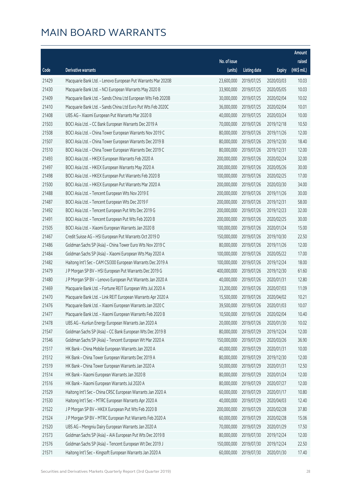|       |                                                              |              |                       |               | Amount      |
|-------|--------------------------------------------------------------|--------------|-----------------------|---------------|-------------|
|       |                                                              | No. of issue |                       |               | raised      |
| Code  | Derivative warrants                                          | (units)      | <b>Listing date</b>   | <b>Expiry</b> | (HK\$ mil.) |
| 21429 | Macquarie Bank Ltd. - Lenovo European Put Warrants Mar 2020B | 23,600,000   | 2019/07/25            | 2020/03/03    | 10.03       |
| 21430 | Macquarie Bank Ltd. - NCI European Warrants May 2020 B       | 33,900,000   | 2019/07/25            | 2020/05/05    | 10.03       |
| 21409 | Macquarie Bank Ltd. - Sands China Ltd European Wts Feb 2020B | 30,000,000   | 2019/07/25            | 2020/02/04    | 10.02       |
| 21410 | Macquarie Bank Ltd. - Sands China Ltd Euro Put Wts Feb 2020C | 36,000,000   | 2019/07/25            | 2020/02/04    | 10.01       |
| 21408 | UBS AG - Xiaomi European Put Warrants Mar 2020 B             | 40,000,000   | 2019/07/25            | 2020/03/24    | 10.00       |
| 21503 | BOCI Asia Ltd. - CC Bank European Warrants Dec 2019 A        | 70,000,000   | 2019/07/26            | 2019/12/18    | 10.50       |
| 21508 | BOCI Asia Ltd. - China Tower European Warrants Nov 2019 C    | 80,000,000   | 2019/07/26            | 2019/11/26    | 12.00       |
| 21507 | BOCI Asia Ltd. - China Tower European Warrants Dec 2019 B    | 80,000,000   | 2019/07/26            | 2019/12/30    | 18.40       |
| 21510 | BOCI Asia Ltd. - China Tower European Warrants Dec 2019 C    | 80,000,000   | 2019/07/26            | 2019/12/31    | 12.00       |
| 21493 | BOCI Asia Ltd. - HKEX European Warrants Feb 2020 A           | 200,000,000  | 2019/07/26            | 2020/02/24    | 32.00       |
| 21497 | BOCI Asia Ltd. - HKEX European Warrants May 2020 A           | 200,000,000  | 2019/07/26            | 2020/05/26    | 30.00       |
| 21498 | BOCI Asia Ltd. - HKEX European Put Warrants Feb 2020 B       | 100,000,000  | 2019/07/26            | 2020/02/25    | 17.00       |
| 21500 | BOCI Asia Ltd. - HKEX European Put Warrants Mar 2020 A       | 200,000,000  | 2019/07/26            | 2020/03/30    | 34.00       |
| 21488 | BOCI Asia Ltd. - Tencent European Wts Nov 2019 E             | 200,000,000  | 2019/07/26            | 2019/11/26    | 30.00       |
| 21487 | BOCI Asia Ltd. - Tencent European Wts Dec 2019 F             | 200,000,000  | 2019/07/26            | 2019/12/31    | 58.00       |
| 21492 | BOCI Asia Ltd. - Tencent European Put Wts Dec 2019 G         | 200,000,000  | 2019/07/26            | 2019/12/23    | 32.00       |
| 21491 | BOCI Asia Ltd. - Tencent European Put Wts Feb 2020 B         | 200,000,000  | 2019/07/26            | 2020/02/25    | 30.00       |
| 21505 | BOCI Asia Ltd. - Xiaomi European Warrants Jan 2020 B         | 100,000,000  | 2019/07/26            | 2020/01/24    | 15.00       |
| 21467 | Credit Suisse AG - HSI European Put Warrants Oct 2019 D      | 150,000,000  | 2019/07/26            | 2019/10/30    | 22.50       |
| 21486 | Goldman Sachs SP (Asia) - China Tower Euro Wts Nov 2019 C    | 80,000,000   | 2019/07/26            | 2019/11/26    | 12.00       |
| 21484 | Goldman Sachs SP (Asia) - Xiaomi European Wts May 2020 A     | 100,000,000  | 2019/07/26            | 2020/05/22    | 17.00       |
| 21482 | Haitong Int'l Sec - CAM CSI300 European Warrants Dec 2019 A  | 100,000,000  | 2019/07/26            | 2019/12/24    | 18.00       |
| 21479 | J P Morgan SP BV - HSI European Put Warrants Dec 2019 G      | 400,000,000  | 2019/07/26            | 2019/12/30    | 61.60       |
| 21480 | J P Morgan SP BV - Lenovo European Put Warrants Jan 2020 A   | 40,000,000   | 2019/07/26            | 2020/01/31    | 12.80       |
| 21469 | Macquarie Bank Ltd. - Fortune REIT European Wts Jul 2020 A   | 33,200,000   | 2019/07/26            | 2020/07/03    | 11.09       |
| 21470 | Macquarie Bank Ltd. - Link REIT European Warrants Apr 2020 A | 15,500,000   | 2019/07/26            | 2020/04/02    | 10.21       |
| 21476 | Macquarie Bank Ltd. - Xiaomi European Warrants Jan 2020 C    |              | 39,500,000 2019/07/26 | 2020/01/03    | 10.07       |
| 21477 | Macquarie Bank Ltd. - Xiaomi European Warrants Feb 2020 B    | 10,500,000   | 2019/07/26            | 2020/02/04    | 10.40       |
| 21478 | UBS AG - Kunlun Energy European Warrants Jan 2020 A          | 20,000,000   | 2019/07/26            | 2020/01/30    | 10.02       |
| 21547 | Goldman Sachs SP (Asia) - CC Bank European Wts Dec 2019 B    | 80,000,000   | 2019/07/29            | 2019/12/24    | 12.00       |
| 21546 | Goldman Sachs SP (Asia) - Tencent European Wt Mar 2020 A     | 150,000,000  | 2019/07/29            | 2020/03/26    | 36.90       |
| 21517 | HK Bank - China Mobile European Warrants Jan 2020 A          | 40,000,000   | 2019/07/29            | 2020/01/31    | 10.00       |
| 21512 | HK Bank - China Tower European Warrants Dec 2019 A           | 80,000,000   | 2019/07/29            | 2019/12/30    | 12.00       |
| 21519 | HK Bank - China Tower European Warrants Jan 2020 A           | 50,000,000   | 2019/07/29            | 2020/01/31    | 12.50       |
| 21514 | HK Bank - Xiaomi European Warrants Jan 2020 B                | 80,000,000   | 2019/07/29            | 2020/01/24    | 12.00       |
| 21516 | HK Bank - Xiaomi European Warrants Jul 2020 A                | 80,000,000   | 2019/07/29            | 2020/07/27    | 12.00       |
| 21529 | Haitong Int'l Sec - China CRSC European Warrants Jan 2020 A  | 60,000,000   | 2019/07/29            | 2020/01/17    | 10.80       |
| 21530 | Haitong Int'l Sec - MTRC European Warrants Apr 2020 A        | 40,000,000   | 2019/07/29            | 2020/04/03    | 12.40       |
| 21522 | J P Morgan SP BV - HKEX European Put Wts Feb 2020 B          | 200,000,000  | 2019/07/29            | 2020/02/28    | 37.80       |
| 21524 | J P Morgan SP BV - MTRC European Put Warrants Feb 2020 A     | 60,000,000   | 2019/07/29            | 2020/02/28    | 15.06       |
| 21520 | UBS AG - Mengniu Dairy European Warrants Jan 2020 A          | 70,000,000   | 2019/07/29            | 2020/01/29    | 17.50       |
| 21573 | Goldman Sachs SP (Asia) - AIA European Put Wts Dec 2019 B    | 80,000,000   | 2019/07/30            | 2019/12/24    | 12.00       |
| 21576 | Goldman Sachs SP (Asia) - Tencent European Wt Dec 2019 J     | 150,000,000  | 2019/07/30            | 2019/12/24    | 22.50       |
| 21571 | Haitong Int'l Sec - Kingsoft European Warrants Jan 2020 A    | 60,000,000   | 2019/07/30            | 2020/01/30    | 17.40       |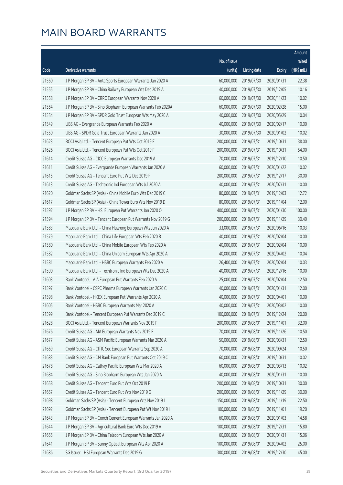|       |                                                              |              |                       |               | Amount      |
|-------|--------------------------------------------------------------|--------------|-----------------------|---------------|-------------|
|       |                                                              | No. of issue |                       |               | raised      |
| Code  | <b>Derivative warrants</b>                                   | (units)      | <b>Listing date</b>   | <b>Expiry</b> | (HK\$ mil.) |
| 21560 | J P Morgan SP BV - Anta Sports European Warrants Jan 2020 A  | 60,000,000   | 2019/07/30            | 2020/01/31    | 22.38       |
| 21555 | J P Morgan SP BV - China Railway European Wts Dec 2019 A     | 40,000,000   | 2019/07/30            | 2019/12/05    | 10.16       |
| 21558 | J P Morgan SP BV - CRRC European Warrants Nov 2020 A         | 60,000,000   | 2019/07/30            | 2020/11/23    | 10.02       |
| 21564 | J P Morgan SP BV - Sino Biopharm European Warrants Feb 2020A | 60,000,000   | 2019/07/30            | 2020/02/28    | 15.00       |
| 21554 | J P Morgan SP BV - SPDR Gold Trust European Wts May 2020 A   | 40,000,000   | 2019/07/30            | 2020/05/29    | 10.04       |
| 21549 | UBS AG - Evergrande European Warrants Feb 2020 A             | 40,000,000   | 2019/07/30            | 2020/02/17    | 10.00       |
| 21550 | UBS AG - SPDR Gold Trust European Warrants Jan 2020 A        | 30,000,000   | 2019/07/30            | 2020/01/02    | 10.02       |
| 21623 | BOCI Asia Ltd. - Tencent European Put Wts Oct 2019 E         | 200,000,000  | 2019/07/31            | 2019/10/31    | 38.00       |
| 21626 | BOCI Asia Ltd. - Tencent European Put Wts Oct 2019 F         | 200,000,000  | 2019/07/31            | 2019/10/31    | 54.00       |
| 21614 | Credit Suisse AG - CICC European Warrants Dec 2019 A         | 70,000,000   | 2019/07/31            | 2019/12/10    | 10.50       |
| 21611 | Credit Suisse AG - Evergrande European Warrants Jan 2020 A   | 60,000,000   | 2019/07/31            | 2020/01/22    | 10.02       |
| 21615 | Credit Suisse AG - Tencent Euro Put Wts Dec 2019 F           | 200,000,000  | 2019/07/31            | 2019/12/17    | 30.00       |
| 21613 | Credit Suisse AG - Techtronic Ind European Wts Jul 2020 A    | 40,000,000   | 2019/07/31            | 2020/07/31    | 10.00       |
| 21620 | Goldman Sachs SP (Asia) - China Mobile Euro Wts Dec 2019 C   | 80,000,000   | 2019/07/31            | 2019/12/03    | 12.72       |
| 21617 | Goldman Sachs SP (Asia) - China Tower Euro Wts Nov 2019 D    | 80,000,000   | 2019/07/31            | 2019/11/04    | 12.00       |
| 21592 | J P Morgan SP BV - HSI European Put Warrants Jan 2020 O      | 400,000,000  | 2019/07/31            | 2020/01/30    | 100.00      |
| 21594 | J P Morgan SP BV - Tencent European Put Warrants Nov 2019 G  | 200,000,000  | 2019/07/31            | 2019/11/29    | 30.40       |
| 21583 | Macquarie Bank Ltd. - China Huarong European Wts Jun 2020 A  | 33,000,000   | 2019/07/31            | 2020/06/16    | 10.03       |
| 21579 | Macquarie Bank Ltd. - China Life European Wts Feb 2020 B     | 40,000,000   | 2019/07/31            | 2020/02/04    | 10.00       |
| 21580 | Macquarie Bank Ltd. - China Mobile European Wts Feb 2020 A   | 40,000,000   | 2019/07/31            | 2020/02/04    | 10.00       |
| 21582 | Macquarie Bank Ltd. - China Unicom European Wts Apr 2020 A   | 40,000,000   | 2019/07/31            | 2020/04/02    | 10.04       |
| 21581 | Macquarie Bank Ltd. - HSBC European Warrants Feb 2020 A      | 26,400,000   | 2019/07/31            | 2020/02/04    | 10.03       |
| 21590 | Macquarie Bank Ltd. - Techtronic Ind European Wts Dec 2020 A | 40,000,000   | 2019/07/31            | 2020/12/16    | 10.00       |
| 21603 | Bank Vontobel - AIA European Put Warrants Feb 2020 A         | 25,000,000   | 2019/07/31            | 2020/02/04    | 12.50       |
| 21597 | Bank Vontobel - CSPC Pharma European Warrants Jan 2020 C     | 40,000,000   | 2019/07/31            | 2020/01/31    | 12.00       |
| 21598 | Bank Vontobel - HKEX European Put Warrants Apr 2020 A        | 40,000,000   | 2019/07/31            | 2020/04/01    | 10.00       |
| 21605 | Bank Vontobel - HSBC European Warrants Mar 2020 A            |              | 40,000,000 2019/07/31 | 2020/03/02    | 10.00       |
| 21599 | Bank Vontobel - Tencent European Put Warrants Dec 2019 C     | 100,000,000  | 2019/07/31            | 2019/12/24    | 20.00       |
| 21628 | BOCI Asia Ltd. - Tencent European Warrants Nov 2019 F        | 200,000,000  | 2019/08/01            | 2019/11/01    | 32.00       |
| 21676 | Credit Suisse AG - AIA European Warrants Nov 2019 F          | 70,000,000   | 2019/08/01            | 2019/11/26    | 10.50       |
| 21677 | Credit Suisse AG - ASM Pacific European Warrants Mar 2020 A  | 50,000,000   | 2019/08/01            | 2020/03/31    | 12.50       |
| 21669 | Credit Suisse AG - CITIC Sec European Warrants Sep 2020 A    | 70,000,000   | 2019/08/01            | 2020/09/24    | 10.50       |
| 21683 | Credit Suisse AG - CM Bank European Put Warrants Oct 2019 C  | 60,000,000   | 2019/08/01            | 2019/10/31    | 10.02       |
| 21678 | Credit Suisse AG - Cathay Pacific European Wts Mar 2020 A    | 60,000,000   | 2019/08/01            | 2020/03/13    | 10.02       |
| 21684 | Credit Suisse AG - Sino Biopharm European Wts Jan 2020 A     | 40,000,000   | 2019/08/01            | 2020/01/31    | 10.00       |
| 21658 | Credit Suisse AG - Tencent Euro Put Wts Oct 2019 F           | 200,000,000  | 2019/08/01            | 2019/10/31    | 30.00       |
| 21657 | Credit Suisse AG - Tencent Euro Put Wts Nov 2019 G           | 200,000,000  | 2019/08/01            | 2019/11/29    | 30.00       |
| 21698 | Goldman Sachs SP (Asia) - Tencent European Wts Nov 2019 I    | 150,000,000  | 2019/08/01            | 2019/11/19    | 22.50       |
| 21692 | Goldman Sachs SP (Asia) - Tencent European Put Wt Nov 2019 H | 100,000,000  | 2019/08/01            | 2019/11/01    | 19.20       |
| 21643 | J P Morgan SP BV - Conch Cement European Warrants Jan 2020 A | 60,000,000   | 2019/08/01            | 2020/01/03    | 14.58       |
| 21644 | J P Morgan SP BV - Agricultural Bank Euro Wts Dec 2019 A     | 100,000,000  | 2019/08/01            | 2019/12/31    | 15.80       |
| 21655 | J P Morgan SP BV - China Telecom European Wts Jan 2020 A     | 60,000,000   | 2019/08/01            | 2020/01/31    | 15.06       |
| 21641 | J P Morgan SP BV - Sunny Optical European Wts Apr 2020 A     | 100,000,000  | 2019/08/01            | 2020/04/02    | 25.00       |
| 21686 | SG Issuer - HSI European Warrants Dec 2019 G                 | 300,000,000  | 2019/08/01            | 2019/12/30    | 45.00       |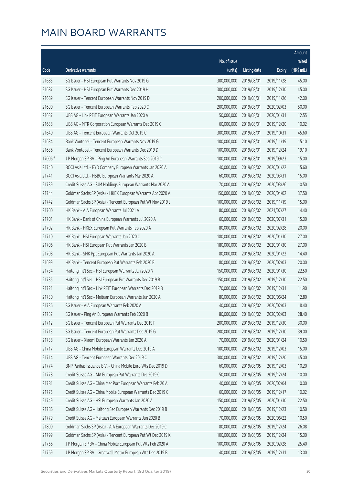|         |                                                              |              |                       |               | Amount      |
|---------|--------------------------------------------------------------|--------------|-----------------------|---------------|-------------|
|         |                                                              | No. of issue |                       |               | raised      |
| Code    | Derivative warrants                                          | (units)      | <b>Listing date</b>   | <b>Expiry</b> | (HK\$ mil.) |
| 21685   | SG Issuer - HSI European Put Warrants Nov 2019 G             | 300,000,000  | 2019/08/01            | 2019/11/28    | 45.00       |
| 21687   | SG Issuer - HSI European Put Warrants Dec 2019 H             | 300,000,000  | 2019/08/01            | 2019/12/30    | 45.00       |
| 21689   | SG Issuer - Tencent European Warrants Nov 2019 D             | 200,000,000  | 2019/08/01            | 2019/11/26    | 42.00       |
| 21690   | SG Issuer - Tencent European Warrants Feb 2020 C             | 200,000,000  | 2019/08/01            | 2020/02/03    | 50.00       |
| 21637   | UBS AG - Link REIT European Warrants Jan 2020 A              | 50,000,000   | 2019/08/01            | 2020/01/31    | 12.55       |
| 21638   | UBS AG - MTR Corporation European Warrants Dec 2019 C        | 60,000,000   | 2019/08/01            | 2019/12/20    | 10.02       |
| 21640   | UBS AG - Tencent European Warrants Oct 2019 C                | 300,000,000  | 2019/08/01            | 2019/10/31    | 45.60       |
| 21634   | Bank Vontobel - Tencent European Warrants Nov 2019 G         | 100,000,000  | 2019/08/01            | 2019/11/19    | 15.10       |
| 21636   | Bank Vontobel - Tencent European Warrants Dec 2019 D         | 100,000,000  | 2019/08/01            | 2019/12/24    | 19.10       |
| 17006 # | J P Morgan SP BV - Ping An European Warrants Sep 2019 C      | 100,000,000  | 2019/08/01            | 2019/09/23    | 15.00       |
| 21740   | BOCI Asia Ltd. - BYD Company European Warrants Jan 2020 A    | 40,000,000   | 2019/08/02            | 2020/01/22    | 15.60       |
| 21741   | BOCI Asia Ltd. - HSBC European Warrants Mar 2020 A           | 60,000,000   | 2019/08/02            | 2020/03/31    | 15.00       |
| 21739   | Credit Suisse AG - SJM Holdings European Warrants Mar 2020 A | 70,000,000   | 2019/08/02            | 2020/03/26    | 10.50       |
| 21744   | Goldman Sachs SP (Asia) - HKEX European Warrants Apr 2020 A  | 150,000,000  | 2019/08/02            | 2020/04/02    | 37.50       |
| 21742   | Goldman Sachs SP (Asia) - Tencent European Put Wt Nov 2019 J | 100,000,000  | 2019/08/02            | 2019/11/19    | 15.00       |
| 21700   | HK Bank - AIA European Warrants Jul 2021 A                   | 80,000,000   | 2019/08/02            | 2021/07/27    | 14.40       |
| 21701   | HK Bank - Bank of China European Warrants Jul 2020 A         | 60,000,000   | 2019/08/02            | 2020/07/31    | 15.00       |
| 21702   | HK Bank - HKEX European Put Warrants Feb 2020 A              | 80,000,000   | 2019/08/02            | 2020/02/28    | 20.00       |
| 21710   | HK Bank - HSI European Warrants Jan 2020 C                   | 180,000,000  | 2019/08/02            | 2020/01/30    | 27.00       |
| 21706   | HK Bank - HSI European Put Warrants Jan 2020 B               | 180,000,000  | 2019/08/02            | 2020/01/30    | 27.00       |
| 21708   | HK Bank - SHK Ppt European Put Warrants Jan 2020 A           | 80,000,000   | 2019/08/02            | 2020/01/22    | 14.40       |
| 21699   | HK Bank - Tencent European Put Warrants Feb 2020 B           | 80,000,000   | 2019/08/02            | 2020/02/03    | 20.00       |
| 21734   | Haitong Int'l Sec - HSI European Warrants Jan 2020 N         | 150,000,000  | 2019/08/02            | 2020/01/30    | 22.50       |
| 21735   | Haitong Int'l Sec - HSI European Put Warrants Dec 2019 B     | 150,000,000  | 2019/08/02            | 2019/12/30    | 22.50       |
| 21721   | Haitong Int'l Sec - Link REIT European Warrants Dec 2019 B   | 70,000,000   | 2019/08/02            | 2019/12/31    | 11.90       |
| 21730   | Haitong Int'l Sec - Meituan European Warrants Jun 2020 A     | 80,000,000   | 2019/08/02            | 2020/06/24    | 12.80       |
| 21736   | SG Issuer - AIA European Warrants Feb 2020 A                 |              | 40,000,000 2019/08/02 | 2020/02/03    | 18.40       |
| 21737   | SG Issuer - Ping An European Warrants Feb 2020 B             | 80,000,000   | 2019/08/02            | 2020/02/03    | 28.40       |
| 21712   | SG Issuer - Tencent European Put Warrants Dec 2019 F         | 200,000,000  | 2019/08/02            | 2019/12/30    | 30.00       |
| 21713   | SG Issuer - Tencent European Put Warrants Dec 2019 G         | 200,000,000  | 2019/08/02            | 2019/12/30    | 39.00       |
| 21738   | SG Issuer - Xiaomi European Warrants Jan 2020 A              | 70,000,000   | 2019/08/02            | 2020/01/24    | 10.50       |
| 21717   | UBS AG - China Mobile European Warrants Dec 2019 A           | 100,000,000  | 2019/08/02            | 2019/12/03    | 15.00       |
| 21714   | UBS AG - Tencent European Warrants Dec 2019 C                | 300,000,000  | 2019/08/02            | 2019/12/20    | 45.00       |
| 21774   | BNP Paribas Issuance B.V. - China Mobile Euro Wts Dec 2019 D | 60,000,000   | 2019/08/05            | 2019/12/03    | 10.20       |
| 21778   | Credit Suisse AG - AIA European Put Warrants Dec 2019 C      | 50,000,000   | 2019/08/05            | 2019/12/24    | 10.00       |
| 21781   | Credit Suisse AG - China Mer Port European Warrants Feb 20 A | 40,000,000   | 2019/08/05            | 2020/02/04    | 10.00       |
| 21775   | Credit Suisse AG - China Mobile European Warrants Dec 2019 C | 60,000,000   | 2019/08/05            | 2019/12/17    | 10.02       |
| 21749   | Credit Suisse AG - HSI European Warrants Jan 2020 A          | 150,000,000  | 2019/08/05            | 2020/01/30    | 22.50       |
| 21786   | Credit Suisse AG - Haitong Sec European Warrants Dec 2019 B  | 70,000,000   | 2019/08/05            | 2019/12/23    | 10.50       |
| 21779   | Credit Suisse AG - Meituan European Warrants Jun 2020 B      | 70,000,000   | 2019/08/05            | 2020/06/22    | 10.50       |
| 21800   | Goldman Sachs SP (Asia) - AIA European Warrants Dec 2019 C   | 80,000,000   | 2019/08/05            | 2019/12/24    | 26.08       |
| 21799   | Goldman Sachs SP (Asia) - Tencent European Put Wt Dec 2019 K | 100,000,000  | 2019/08/05            | 2019/12/24    | 15.00       |
| 21766   | J P Morgan SP BV - China Mobile European Put Wts Feb 2020 A  | 100,000,000  | 2019/08/05            | 2020/02/28    | 25.40       |
| 21769   | J P Morgan SP BV - Greatwall Motor European Wts Dec 2019 B   | 40,000,000   | 2019/08/05            | 2019/12/31    | 13.00       |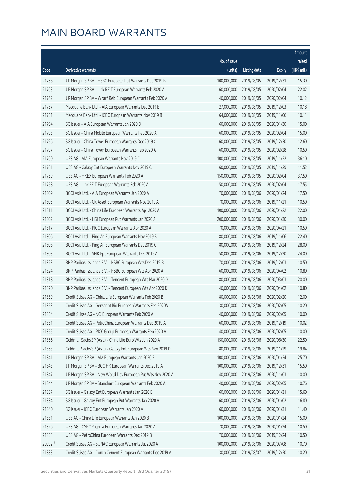|         |                                                              |              |                       |               | Amount      |
|---------|--------------------------------------------------------------|--------------|-----------------------|---------------|-------------|
|         |                                                              | No. of issue |                       |               | raised      |
| Code    | Derivative warrants                                          | (units)      | <b>Listing date</b>   | <b>Expiry</b> | (HK\$ mil.) |
| 21768   | J P Morgan SP BV - HSBC European Put Warrants Dec 2019 B     | 100,000,000  | 2019/08/05            | 2019/12/31    | 15.30       |
| 21763   | J P Morgan SP BV - Link REIT European Warrants Feb 2020 A    | 60,000,000   | 2019/08/05            | 2020/02/04    | 22.02       |
| 21762   | J P Morgan SP BV - Wharf Reic European Warrants Feb 2020 A   | 40,000,000   | 2019/08/05            | 2020/02/04    | 10.12       |
| 21757   | Macquarie Bank Ltd. - AIA European Warrants Dec 2019 B       | 27,000,000   | 2019/08/05            | 2019/12/03    | 10.18       |
| 21751   | Macquarie Bank Ltd. - ICBC European Warrants Nov 2019 B      | 64,000,000   | 2019/08/05            | 2019/11/06    | 10.11       |
| 21794   | SG Issuer - AIA European Warrants Jan 2020 D                 | 60,000,000   | 2019/08/05            | 2020/01/30    | 15.00       |
| 21793   | SG Issuer - China Mobile European Warrants Feb 2020 A        | 60,000,000   | 2019/08/05            | 2020/02/04    | 15.00       |
| 21796   | SG Issuer - China Tower European Warrants Dec 2019 C         | 60,000,000   | 2019/08/05            | 2019/12/30    | 12.60       |
| 21797   | SG Issuer - China Tower European Warrants Feb 2020 A         | 60,000,000   | 2019/08/05            | 2020/02/28    | 10.50       |
| 21760   | UBS AG - AIA European Warrants Nov 2019 C                    | 100,000,000  | 2019/08/05            | 2019/11/22    | 36.10       |
| 21761   | UBS AG - Galaxy Ent European Warrants Nov 2019 C             | 60,000,000   | 2019/08/05            | 2019/11/29    | 11.52       |
| 21759   | UBS AG - HKEX European Warrants Feb 2020 A                   | 150,000,000  | 2019/08/05            | 2020/02/04    | 37.50       |
| 21758   | UBS AG - Link REIT European Warrants Feb 2020 A              | 50,000,000   | 2019/08/05            | 2020/02/04    | 17.55       |
| 21809   | BOCI Asia Ltd. - AIA European Warrants Jan 2020 A            | 70,000,000   | 2019/08/06            | 2020/01/24    | 17.50       |
| 21805   | BOCI Asia Ltd. - CK Asset European Warrants Nov 2019 A       | 70,000,000   | 2019/08/06            | 2019/11/21    | 10.50       |
| 21811   | BOCI Asia Ltd. - China Life European Warrants Apr 2020 A     | 100,000,000  | 2019/08/06            | 2020/04/22    | 22.00       |
| 21802   | BOCI Asia Ltd. - HSI European Put Warrants Jan 2020 A        | 200,000,000  | 2019/08/06            | 2020/01/30    | 30.00       |
| 21817   | BOCI Asia Ltd. - PICC European Warrants Apr 2020 A           | 70,000,000   | 2019/08/06            | 2020/04/21    | 10.50       |
| 21806   | BOCI Asia Ltd. - Ping An European Warrants Nov 2019 B        | 80,000,000   | 2019/08/06            | 2019/11/06    | 22.40       |
| 21808   | BOCI Asia Ltd. - Ping An European Warrants Dec 2019 C        | 80,000,000   | 2019/08/06            | 2019/12/24    | 28.00       |
| 21803   | BOCI Asia Ltd. - SHK Ppt European Warrants Dec 2019 A        | 50,000,000   | 2019/08/06            | 2019/12/20    | 24.00       |
| 21823   | BNP Paribas Issuance B.V. - HSBC European Wts Dec 2019 B     | 70,000,000   | 2019/08/06            | 2019/12/03    | 10.50       |
| 21824   | BNP Paribas Issuance B.V. - HSBC European Wts Apr 2020 A     | 60,000,000   | 2019/08/06            | 2020/04/02    | 10.80       |
| 21818   | BNP Paribas Issuance B.V. - Tencent European Wts Mar 2020 D  | 80,000,000   | 2019/08/06            | 2020/03/03    | 20.00       |
| 21820   | BNP Paribas Issuance B.V. - Tencent European Wts Apr 2020 D  | 40,000,000   | 2019/08/06            | 2020/04/02    | 10.80       |
| 21859   | Credit Suisse AG - China Life European Warrants Feb 2020 B   | 80,000,000   | 2019/08/06            | 2020/02/20    | 12.00       |
| 21853   | Credit Suisse AG - Genscript Bio European Warrants Feb 2020A |              | 30,000,000 2019/08/06 | 2020/02/05    | 10.20       |
| 21854   | Credit Suisse AG - NCI European Warrants Feb 2020 A          | 40,000,000   | 2019/08/06            | 2020/02/05    | 10.00       |
| 21851   | Credit Suisse AG - PetroChina European Warrants Dec 2019 A   | 60,000,000   | 2019/08/06            | 2019/12/19    | 10.02       |
| 21855   | Credit Suisse AG - PICC Group European Warrants Feb 2020 A   | 40,000,000   | 2019/08/06            | 2020/02/05    | 10.00       |
| 21866   | Goldman Sachs SP (Asia) - China Life Euro Wts Jun 2020 A     | 150,000,000  | 2019/08/06            | 2020/06/30    | 22.50       |
| 21863   | Goldman Sachs SP (Asia) - Galaxy Ent European Wts Nov 2019 D | 80,000,000   | 2019/08/06            | 2019/11/29    | 19.84       |
| 21841   | J P Morgan SP BV - AIA European Warrants Jan 2020 E          | 100,000,000  | 2019/08/06            | 2020/01/24    | 25.70       |
| 21843   | J P Morgan SP BV - BOC HK European Warrants Dec 2019 A       | 100,000,000  | 2019/08/06            | 2019/12/31    | 15.50       |
| 21847   | J P Morgan SP BV - New World Dev European Put Wts Nov 2020 A | 40,000,000   | 2019/08/06            | 2020/11/03    | 10.00       |
| 21844   | J P Morgan SP BV - Stanchart European Warrants Feb 2020 A    | 40,000,000   | 2019/08/06            | 2020/02/05    | 10.76       |
| 21837   | SG Issuer - Galaxy Ent European Warrants Jan 2020 B          | 60,000,000   | 2019/08/06            | 2020/01/31    | 15.60       |
| 21834   | SG Issuer - Galaxy Ent European Put Warrants Jan 2020 A      | 60,000,000   | 2019/08/06            | 2020/01/02    | 16.80       |
| 21840   | SG Issuer - ICBC European Warrants Jan 2020 A                | 60,000,000   | 2019/08/06            | 2020/01/31    | 11.40       |
| 21831   | UBS AG - China Life European Warrants Jan 2020 B             | 100,000,000  | 2019/08/06            | 2020/01/24    | 15.00       |
| 21826   | UBS AG - CSPC Pharma European Warrants Jan 2020 A            | 70,000,000   | 2019/08/06            | 2020/01/24    | 10.50       |
| 21833   | UBS AG - PetroChina European Warrants Dec 2019 B             | 70,000,000   | 2019/08/06            | 2019/12/24    | 10.50       |
| 20092 # | Credit Suisse AG - SUNAC European Warrants Jul 2020 A        | 100,000,000  | 2019/08/06            | 2020/07/08    | 10.70       |
| 21883   | Credit Suisse AG - Conch Cement European Warrants Dec 2019 A | 30,000,000   | 2019/08/07            | 2019/12/20    | 10.20       |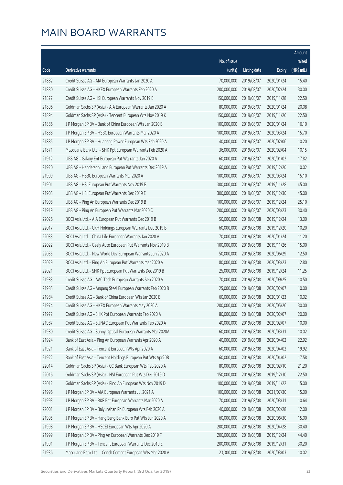|       |                                                              |                        |                     |               | Amount      |
|-------|--------------------------------------------------------------|------------------------|---------------------|---------------|-------------|
|       |                                                              | No. of issue           |                     |               | raised      |
| Code  | Derivative warrants                                          | (units)                | <b>Listing date</b> | <b>Expiry</b> | (HK\$ mil.) |
| 21882 | Credit Suisse AG - AIA European Warrants Jan 2020 A          | 70,000,000             | 2019/08/07          | 2020/01/24    | 15.40       |
| 21880 | Credit Suisse AG - HKEX European Warrants Feb 2020 A         | 200,000,000            | 2019/08/07          | 2020/02/24    | 30.00       |
| 21877 | Credit Suisse AG - HSI European Warrants Nov 2019 E          | 150,000,000            | 2019/08/07          | 2019/11/28    | 22.50       |
| 21896 | Goldman Sachs SP (Asia) - AIA European Warrants Jan 2020 A   | 80,000,000             | 2019/08/07          | 2020/01/24    | 20.08       |
| 21894 | Goldman Sachs SP (Asia) - Tencent European Wts Nov 2019 K    | 150,000,000            | 2019/08/07          | 2019/11/26    | 22.50       |
| 21886 | J P Morgan SP BV - Bank of China European Wts Jan 2020 B     | 100,000,000            | 2019/08/07          | 2020/01/24    | 16.10       |
| 21888 | J P Morgan SP BV - HSBC European Warrants Mar 2020 A         | 100,000,000            | 2019/08/07          | 2020/03/24    | 15.70       |
| 21885 | J P Morgan SP BV - Huaneng Power European Wts Feb 2020 A     | 40,000,000             | 2019/08/07          | 2020/02/06    | 10.20       |
| 21871 | Macquarie Bank Ltd. - SHK Ppt European Warrants Feb 2020 A   | 36,000,000             | 2019/08/07          | 2020/02/04    | 10.15       |
| 21912 | UBS AG - Galaxy Ent European Put Warrants Jan 2020 A         | 60,000,000             | 2019/08/07          | 2020/01/02    | 17.82       |
| 21920 | UBS AG - Henderson Land European Put Warrants Dec 2019 A     | 60,000,000             | 2019/08/07          | 2019/12/20    | 10.02       |
| 21909 | UBS AG - HSBC European Warrants Mar 2020 A                   | 100,000,000            | 2019/08/07          | 2020/03/24    | 15.10       |
| 21901 | UBS AG - HSI European Put Warrants Nov 2019 B                | 300,000,000            | 2019/08/07          | 2019/11/28    | 45.00       |
| 21905 | UBS AG - HSI European Put Warrants Dec 2019 E                | 300,000,000            | 2019/08/07          | 2019/12/30    | 45.00       |
| 21908 | UBS AG - Ping An European Warrants Dec 2019 B                | 100,000,000            | 2019/08/07          | 2019/12/24    | 25.10       |
| 21919 | UBS AG - Ping An European Put Warrants Mar 2020 C            | 200,000,000            | 2019/08/07          | 2020/03/23    | 30.40       |
| 22026 | BOCI Asia Ltd. - AIA European Put Warrants Dec 2019 B        | 50,000,000             | 2019/08/08          | 2019/12/24    | 13.00       |
| 22017 | BOCI Asia Ltd. - CKH Holdings European Warrants Dec 2019 B   | 60,000,000             | 2019/08/08          | 2019/12/20    | 10.20       |
| 22033 | BOCI Asia Ltd. - China Life European Warrants Jan 2020 A     | 70,000,000             | 2019/08/08          | 2020/01/24    | 11.20       |
| 22022 | BOCI Asia Ltd. - Geely Auto European Put Warrants Nov 2019 B | 100,000,000            | 2019/08/08          | 2019/11/26    | 15.00       |
| 22035 | BOCI Asia Ltd. - New World Dev European Warrants Jun 2020 A  | 50,000,000             | 2019/08/08          | 2020/06/29    | 12.50       |
| 22029 | BOCI Asia Ltd. - Ping An European Put Warrants Mar 2020 A    | 80,000,000             | 2019/08/08          | 2020/03/23    | 12.80       |
| 22021 | BOCI Asia Ltd. - SHK Ppt European Put Warrants Dec 2019 B    | 25,000,000             | 2019/08/08          | 2019/12/24    | 11.25       |
| 21983 | Credit Suisse AG - AAC Tech European Warrants Sep 2020 A     | 70,000,000             | 2019/08/08          | 2020/09/25    | 10.50       |
| 21985 | Credit Suisse AG - Angang Steel European Warrants Feb 2020 B | 25,000,000             | 2019/08/08          | 2020/02/07    | 10.00       |
| 21984 | Credit Suisse AG - Bank of China European Wts Jan 2020 B     | 60,000,000             | 2019/08/08          | 2020/01/23    | 10.02       |
| 21974 | Credit Suisse AG - HKEX European Warrants May 2020 A         | 200,000,000 2019/08/08 |                     | 2020/05/26    | 30.00       |
| 21972 | Credit Suisse AG - SHK Ppt European Warrants Feb 2020 A      | 80,000,000             | 2019/08/08          | 2020/02/07    | 20.00       |
| 21987 | Credit Suisse AG - SUNAC European Put Warrants Feb 2020 A    | 40,000,000             | 2019/08/08          | 2020/02/07    | 10.00       |
| 21980 | Credit Suisse AG - Sunny Optical European Warrants Mar 2020A | 60,000,000             | 2019/08/08          | 2020/03/31    | 10.02       |
| 21924 | Bank of East Asia - Ping An European Warrants Apr 2020 A     | 40,000,000             | 2019/08/08          | 2020/04/02    | 22.92       |
| 21921 | Bank of East Asia - Tencent European Wts Apr 2020 A          | 60,000,000             | 2019/08/08          | 2020/04/02    | 19.92       |
| 21922 | Bank of East Asia - Tencent Holdings European Put Wts Apr20B | 60,000,000             | 2019/08/08          | 2020/04/02    | 17.58       |
| 22014 | Goldman Sachs SP (Asia) - CC Bank European Wts Feb 2020 A    | 80,000,000             | 2019/08/08          | 2020/02/10    | 21.20       |
| 22016 | Goldman Sachs SP (Asia) - HSI European Put Wts Dec 2019 D    | 150,000,000            | 2019/08/08          | 2019/12/30    | 22.50       |
| 22012 | Goldman Sachs SP (Asia) - Ping An European Wts Nov 2019 D    | 100,000,000            | 2019/08/08          | 2019/11/22    | 15.00       |
| 21996 | J P Morgan SP BV - AIA European Warrants Jul 2021 A          | 100,000,000            | 2019/08/08          | 2021/07/30    | 15.00       |
| 21993 | J P Morgan SP BV - R&F Ppt European Warrants Mar 2020 A      | 70,000,000             | 2019/08/08          | 2020/03/31    | 10.64       |
| 22001 | J P Morgan SP BV - Baiyunshan Ph European Wts Feb 2020 A     | 40,000,000             | 2019/08/08          | 2020/02/28    | 12.00       |
| 21995 | J P Morgan SP BV - Hang Seng Bank Euro Put Wts Jun 2020 A    | 60,000,000             | 2019/08/08          | 2020/06/30    | 15.00       |
| 21998 | J P Morgan SP BV - HSCEI European Wts Apr 2020 A             | 200,000,000            | 2019/08/08          | 2020/04/28    | 30.40       |
| 21999 | J P Morgan SP BV - Ping An European Warrants Dec 2019 F      | 200,000,000            | 2019/08/08          | 2019/12/24    | 44.40       |
| 21991 | J P Morgan SP BV - Tencent European Warrants Dec 2019 E      | 200,000,000            | 2019/08/08          | 2019/12/31    | 30.20       |
| 21936 | Macquarie Bank Ltd. - Conch Cement European Wts Mar 2020 A   | 23,300,000             | 2019/08/08          | 2020/03/03    | 10.02       |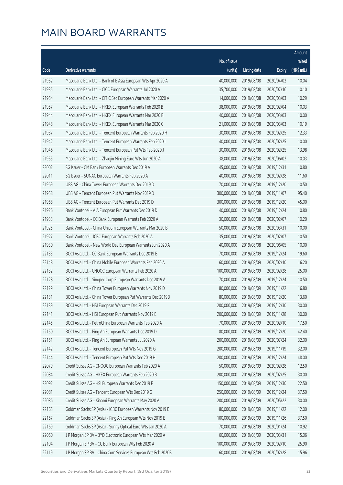|       |                                                              |              |                        |               | Amount      |
|-------|--------------------------------------------------------------|--------------|------------------------|---------------|-------------|
|       |                                                              | No. of issue |                        |               | raised      |
| Code  | Derivative warrants                                          | (units)      | <b>Listing date</b>    | <b>Expiry</b> | (HK\$ mil.) |
| 21952 | Macquarie Bank Ltd. - Bank of E Asia European Wts Apr 2020 A | 40,000,000   | 2019/08/08             | 2020/04/02    | 10.04       |
| 21935 | Macquarie Bank Ltd. - CICC European Warrants Jul 2020 A      | 35,700,000   | 2019/08/08             | 2020/07/16    | 10.10       |
| 21954 | Macquarie Bank Ltd. - CITIC Sec European Warrants Mar 2020 A | 14,000,000   | 2019/08/08             | 2020/03/03    | 10.29       |
| 21957 | Macquarie Bank Ltd. - HKEX European Warrants Feb 2020 B      | 38,000,000   | 2019/08/08             | 2020/02/04    | 10.03       |
| 21944 | Macquarie Bank Ltd. - HKEX European Warrants Mar 2020 B      | 40,000,000   | 2019/08/08             | 2020/03/03    | 10.00       |
| 21948 | Macquarie Bank Ltd. - HKEX European Warrants Mar 2020 C      | 21,000,000   | 2019/08/08             | 2020/03/03    | 10.19       |
| 21937 | Macquarie Bank Ltd. - Tencent European Warrants Feb 2020 H   | 30,000,000   | 2019/08/08             | 2020/02/25    | 12.33       |
| 21942 | Macquarie Bank Ltd. - Tencent European Warrants Feb 2020 I   | 40,000,000   | 2019/08/08             | 2020/02/25    | 10.00       |
| 21946 | Macquarie Bank Ltd. - Tencent European Put Wts Feb 2020 J    | 30,000,000   | 2019/08/08             | 2020/02/25    | 13.98       |
| 21955 | Macquarie Bank Ltd. - Zhaojin Mining Euro Wts Jun 2020 A     | 38,000,000   | 2019/08/08             | 2020/06/02    | 10.03       |
| 22002 | SG Issuer - CM Bank European Warrants Dec 2019 A             | 45,000,000   | 2019/08/08             | 2019/12/31    | 10.80       |
| 22011 | SG Issuer - SUNAC European Warrants Feb 2020 A               | 40,000,000   | 2019/08/08             | 2020/02/28    | 11.60       |
| 21969 | UBS AG - China Tower European Warrants Dec 2019 D            | 70,000,000   | 2019/08/08             | 2019/12/20    | 10.50       |
| 21958 | UBS AG - Tencent European Put Warrants Nov 2019 D            | 300,000,000  | 2019/08/08             | 2019/11/07    | 95.40       |
| 21968 | UBS AG - Tencent European Put Warrants Dec 2019 D            | 300,000,000  | 2019/08/08             | 2019/12/20    | 45.00       |
| 21926 | Bank Vontobel - AIA European Put Warrants Dec 2019 D         | 40,000,000   | 2019/08/08             | 2019/12/24    | 10.80       |
| 21933 | Bank Vontobel - CC Bank European Warrants Feb 2020 A         | 30,000,000   | 2019/08/08             | 2020/02/07    | 10.20       |
| 21925 | Bank Vontobel - China Unicom European Warrants Mar 2020 B    | 50,000,000   | 2019/08/08             | 2020/03/31    | 10.00       |
| 21927 | Bank Vontobel - ICBC European Warrants Feb 2020 A            | 35,000,000   | 2019/08/08             | 2020/02/07    | 10.50       |
| 21930 | Bank Vontobel - New World Dev European Warrants Jun 2020 A   | 40,000,000   | 2019/08/08             | 2020/06/05    | 10.00       |
| 22133 | BOCI Asia Ltd. - CC Bank European Warrants Dec 2019 B        | 70,000,000   | 2019/08/09             | 2019/12/24    | 19.60       |
| 22148 | BOCI Asia Ltd. - China Mobile European Warrants Feb 2020 A   | 60,000,000   | 2019/08/09             | 2020/02/10    | 16.20       |
| 22132 | BOCI Asia Ltd. - CNOOC European Warrants Feb 2020 A          | 100,000,000  | 2019/08/09             | 2020/02/28    | 25.00       |
| 22128 | BOCI Asia Ltd. - Sinopec Corp European Warrants Dec 2019 A   | 70,000,000   | 2019/08/09             | 2019/12/24    | 10.50       |
| 22129 | BOCI Asia Ltd. - China Tower European Warrants Nov 2019 D    | 80,000,000   | 2019/08/09             | 2019/11/22    | 16.80       |
| 22131 | BOCI Asia Ltd. - China Tower European Put Warrants Dec 2019D | 80,000,000   | 2019/08/09             | 2019/12/20    | 13.60       |
| 22139 | BOCI Asia Ltd. - HSI European Warrants Dec 2019 F            |              | 200,000,000 2019/08/09 | 2019/12/30    | 30.00       |
| 22141 | BOCI Asia Ltd. - HSI European Put Warrants Nov 2019 E        | 200,000,000  | 2019/08/09             | 2019/11/28    | 30.00       |
| 22145 | BOCI Asia Ltd. - PetroChina European Warrants Feb 2020 A     | 70,000,000   | 2019/08/09             | 2020/02/10    | 17.50       |
| 22150 | BOCI Asia Ltd. - Ping An European Warrants Dec 2019 D        | 80,000,000   | 2019/08/09             | 2019/12/20    | 42.40       |
| 22151 | BOCI Asia Ltd. - Ping An European Warrants Jul 2020 A        | 200,000,000  | 2019/08/09             | 2020/07/24    | 32.00       |
| 22142 | BOCI Asia Ltd. - Tencent European Put Wts Nov 2019 G         | 200,000,000  | 2019/08/09             | 2019/11/19    | 32.00       |
| 22144 | BOCI Asia Ltd. - Tencent European Put Wts Dec 2019 H         | 200,000,000  | 2019/08/09             | 2019/12/24    | 48.00       |
| 22079 | Credit Suisse AG - CNOOC European Warrants Feb 2020 A        | 50,000,000   | 2019/08/09             | 2020/02/28    | 12.50       |
| 22084 | Credit Suisse AG - HKEX European Warrants Feb 2020 B         | 200,000,000  | 2019/08/09             | 2020/02/25    | 30.00       |
| 22092 | Credit Suisse AG - HSI European Warrants Dec 2019 F          | 150,000,000  | 2019/08/09             | 2019/12/30    | 22.50       |
| 22081 | Credit Suisse AG - Tencent European Wts Dec 2019 G           | 250,000,000  | 2019/08/09             | 2019/12/24    | 37.50       |
| 22086 | Credit Suisse AG - Xiaomi European Warrants May 2020 A       | 200,000,000  | 2019/08/09             | 2020/05/22    | 30.00       |
| 22165 | Goldman Sachs SP (Asia) - ICBC European Warrants Nov 2019 B  | 80,000,000   | 2019/08/09             | 2019/11/22    | 12.00       |
| 22167 | Goldman Sachs SP (Asia) - Ping An European Wts Nov 2019 E    | 100,000,000  | 2019/08/09             | 2019/11/26    | 37.50       |
| 22169 | Goldman Sachs SP (Asia) - Sunny Optical Euro Wts Jan 2020 A  | 70,000,000   | 2019/08/09             | 2020/01/24    | 10.92       |
| 22060 | J P Morgan SP BV - BYD Electronic European Wts Mar 2020 A    | 60,000,000   | 2019/08/09             | 2020/03/31    | 15.06       |
| 22104 | J P Morgan SP BV - CC Bank European Wts Feb 2020 A           | 100,000,000  | 2019/08/09             | 2020/02/10    | 25.90       |
| 22119 | J P Morgan SP BV - China Com Services European Wts Feb 2020B | 60,000,000   | 2019/08/09             | 2020/02/28    | 15.96       |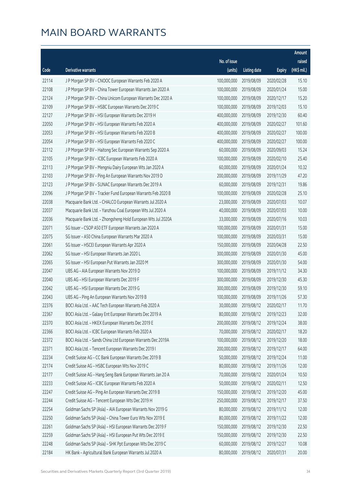|       |                                                              |              |                       |               | Amount      |
|-------|--------------------------------------------------------------|--------------|-----------------------|---------------|-------------|
|       |                                                              | No. of issue |                       |               | raised      |
| Code  | Derivative warrants                                          | (units)      | <b>Listing date</b>   | <b>Expiry</b> | (HK\$ mil.) |
| 22114 | J P Morgan SP BV - CNOOC European Warrants Feb 2020 A        | 100,000,000  | 2019/08/09            | 2020/02/28    | 15.10       |
| 22108 | J P Morgan SP BV - China Tower European Warrants Jan 2020 A  | 100,000,000  | 2019/08/09            | 2020/01/24    | 15.00       |
| 22124 | J P Morgan SP BV - China Unicom European Warrants Dec 2020 A | 100,000,000  | 2019/08/09            | 2020/12/17    | 15.20       |
| 22109 | J P Morgan SP BV - HSBC European Warrants Dec 2019 C         | 100,000,000  | 2019/08/09            | 2019/12/03    | 15.10       |
| 22127 | J P Morgan SP BV - HSI European Warrants Dec 2019 H          | 400,000,000  | 2019/08/09            | 2019/12/30    | 60.40       |
| 22050 | J P Morgan SP BV - HSI European Warrants Feb 2020 A          | 400,000,000  | 2019/08/09            | 2020/02/27    | 101.60      |
| 22053 | J P Morgan SP BV - HSI European Warrants Feb 2020 B          | 400,000,000  | 2019/08/09            | 2020/02/27    | 100.00      |
| 22054 | J P Morgan SP BV - HSI European Warrants Feb 2020 C          | 400,000,000  | 2019/08/09            | 2020/02/27    | 100.00      |
| 22112 | J P Morgan SP BV - Haitong Sec European Warrants Sep 2020 A  | 60,000,000   | 2019/08/09            | 2020/09/03    | 15.24       |
| 22105 | J P Morgan SP BV - ICBC European Warrants Feb 2020 A         | 100,000,000  | 2019/08/09            | 2020/02/10    | 25.40       |
| 22113 | J P Morgan SP BV - Mengniu Dairy European Wts Jan 2020 A     | 60,000,000   | 2019/08/09            | 2020/01/24    | 10.32       |
| 22103 | J P Morgan SP BV - Ping An European Warrants Nov 2019 D      | 200,000,000  | 2019/08/09            | 2019/11/29    | 47.20       |
| 22123 | J P Morgan SP BV - SUNAC European Warrants Dec 2019 A        | 60,000,000   | 2019/08/09            | 2019/12/31    | 19.86       |
| 22096 | J P Morgan SP BV - Tracker Fund European Warrants Feb 2020 B | 100,000,000  | 2019/08/09            | 2020/02/28    | 25.10       |
| 22038 | Macquarie Bank Ltd. - CHALCO European Warrants Jul 2020 A    | 23,000,000   | 2019/08/09            | 2020/07/03    | 10.07       |
| 22037 | Macquarie Bank Ltd. - Yanzhou Coal European Wts Jul 2020 A   | 40,000,000   | 2019/08/09            | 2020/07/03    | 10.00       |
| 22036 | Macquarie Bank Ltd. - Zhongsheng Hold European Wts Jul 2020A | 33,000,000   | 2019/08/09            | 2020/07/16    | 10.03       |
| 22071 | SG Issuer - CSOP A50 ETF European Warrants Jan 2020 A        | 100,000,000  | 2019/08/09            | 2020/01/31    | 15.00       |
| 22075 | SG Issuer - A50 China European Warrants Mar 2020 A           | 100,000,000  | 2019/08/09            | 2020/03/31    | 15.00       |
| 22061 | SG Issuer - HSCEI European Warrants Apr 2020 A               | 150,000,000  | 2019/08/09            | 2020/04/28    | 22.50       |
| 22062 | SG Issuer - HSI European Warrants Jan 2020 L                 | 300,000,000  | 2019/08/09            | 2020/01/30    | 45.00       |
| 22065 | SG Issuer - HSI European Put Warrants Jan 2020 M             | 300,000,000  | 2019/08/09            | 2020/01/30    | 54.00       |
| 22047 | UBS AG - AIA European Warrants Nov 2019 D                    | 100,000,000  | 2019/08/09            | 2019/11/12    | 34.30       |
| 22040 | UBS AG - HSI European Warrants Dec 2019 F                    | 300,000,000  | 2019/08/09            | 2019/12/30    | 45.30       |
| 22042 | UBS AG - HSI European Warrants Dec 2019 G                    | 300,000,000  | 2019/08/09            | 2019/12/30    | 59.10       |
| 22043 | UBS AG - Ping An European Warrants Nov 2019 B                | 100,000,000  | 2019/08/09            | 2019/11/26    | 57.30       |
| 22376 | BOCI Asia Ltd. - AAC Tech European Warrants Feb 2020 A       |              | 30,000,000 2019/08/12 | 2020/02/17    | 11.70       |
| 22367 | BOCI Asia Ltd. - Galaxy Ent European Warrants Dec 2019 A     | 80,000,000   | 2019/08/12            | 2019/12/23    | 32.00       |
| 22370 | BOCI Asia Ltd. - HKEX European Warrants Dec 2019 E           | 200,000,000  | 2019/08/12            | 2019/12/24    | 38.00       |
| 22366 | BOCI Asia Ltd. - ICBC European Warrants Feb 2020 A           | 70,000,000   | 2019/08/12            | 2020/02/17    | 18.20       |
| 22372 | BOCI Asia Ltd. - Sands China Ltd European Warrants Dec 2019A | 100,000,000  | 2019/08/12            | 2019/12/20    | 18.00       |
| 22371 | BOCI Asia Ltd. - Tencent European Warrants Dec 2019 I        | 200,000,000  | 2019/08/12            | 2019/12/17    | 64.00       |
| 22234 | Credit Suisse AG - CC Bank European Warrants Dec 2019 B      | 50,000,000   | 2019/08/12            | 2019/12/24    | 11.00       |
| 22174 | Credit Suisse AG - HSBC European Wts Nov 2019 C              | 80,000,000   | 2019/08/12            | 2019/11/26    | 12.00       |
| 22177 | Credit Suisse AG - Hang Seng Bank European Warrants Jan 20 A | 70,000,000   | 2019/08/12            | 2020/01/24    | 10.50       |
| 22233 | Credit Suisse AG - ICBC European Warrants Feb 2020 A         | 50,000,000   | 2019/08/12            | 2020/02/11    | 12.50       |
| 22247 | Credit Suisse AG - Ping An European Warrants Dec 2019 B      | 150,000,000  | 2019/08/12            | 2019/12/20    | 45.00       |
| 22244 | Credit Suisse AG - Tencent European Wts Dec 2019 H           | 250,000,000  | 2019/08/12            | 2019/12/17    | 37.50       |
| 22254 | Goldman Sachs SP (Asia) - AIA European Warrants Nov 2019 G   | 80,000,000   | 2019/08/12            | 2019/11/12    | 12.00       |
| 22250 | Goldman Sachs SP (Asia) - China Tower Euro Wts Nov 2019 E    | 80,000,000   | 2019/08/12            | 2019/11/22    | 12.00       |
| 22261 | Goldman Sachs SP (Asia) - HSI European Warrants Dec 2019 F   | 150,000,000  | 2019/08/12            | 2019/12/30    | 22.50       |
| 22259 | Goldman Sachs SP (Asia) - HSI European Put Wts Dec 2019 E    | 150,000,000  | 2019/08/12            | 2019/12/30    | 22.50       |
| 22248 | Goldman Sachs SP (Asia) - SHK Ppt European Wts Dec 2019 C    | 60,000,000   | 2019/08/12            | 2019/12/27    | 10.08       |
| 22184 | HK Bank - Agricultural Bank European Warrants Jul 2020 A     | 80,000,000   | 2019/08/12            | 2020/07/31    | 20.00       |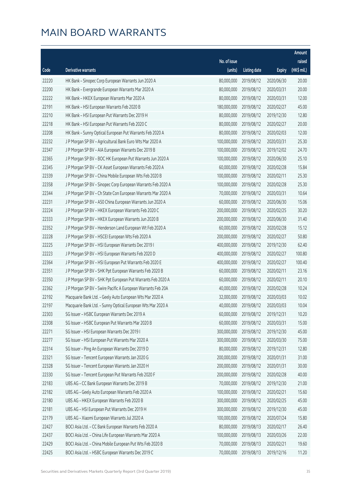|       |                                                              |              |                       |               | Amount      |
|-------|--------------------------------------------------------------|--------------|-----------------------|---------------|-------------|
|       |                                                              | No. of issue |                       |               | raised      |
| Code  | Derivative warrants                                          | (units)      | <b>Listing date</b>   | <b>Expiry</b> | (HK\$ mil.) |
| 22220 | HK Bank - Sinopec Corp European Warrants Jun 2020 A          | 80,000,000   | 2019/08/12            | 2020/06/30    | 20.00       |
| 22200 | HK Bank - Evergrande European Warrants Mar 2020 A            | 80,000,000   | 2019/08/12            | 2020/03/31    | 20.00       |
| 22222 | HK Bank - HKEX European Warrants Mar 2020 A                  | 80,000,000   | 2019/08/12            | 2020/03/31    | 12.00       |
| 22191 | HK Bank - HSI European Warrants Feb 2020 B                   | 180,000,000  | 2019/08/12            | 2020/02/27    | 45.00       |
| 22210 | HK Bank - HSI European Put Warrants Dec 2019 H               | 80,000,000   | 2019/08/12            | 2019/12/30    | 12.80       |
| 22218 | HK Bank - HSI European Put Warrants Feb 2020 C               | 80,000,000   | 2019/08/12            | 2020/02/27    | 20.00       |
| 22208 | HK Bank - Sunny Optical European Put Warrants Feb 2020 A     | 80,000,000   | 2019/08/12            | 2020/02/03    | 12.00       |
| 22232 | J P Morgan SP BV - Agricultural Bank Euro Wts Mar 2020 A     | 100,000,000  | 2019/08/12            | 2020/03/31    | 25.30       |
| 22347 | J P Morgan SP BV - AIA European Warrants Dec 2019 B          | 100,000,000  | 2019/08/12            | 2019/12/02    | 24.70       |
| 22365 | J P Morgan SP BV - BOC HK European Put Warrants Jun 2020 A   | 100,000,000  | 2019/08/12            | 2020/06/30    | 25.10       |
| 22345 | J P Morgan SP BV - CK Asset European Warrants Feb 2020 A     | 60,000,000   | 2019/08/12            | 2020/02/28    | 15.84       |
| 22339 | J P Morgan SP BV - China Mobile European Wts Feb 2020 B      | 100,000,000  | 2019/08/12            | 2020/02/11    | 25.30       |
| 22358 | J P Morgan SP BV - Sinopec Corp European Warrants Feb 2020 A | 100,000,000  | 2019/08/12            | 2020/02/28    | 25.30       |
| 22344 | J P Morgan SP BV - Ch State Con European Warrants Mar 2020 A | 70,000,000   | 2019/08/12            | 2020/03/31    | 10.64       |
| 22231 | J P Morgan SP BV - A50 China European Warrants Jun 2020 A    | 60,000,000   | 2019/08/12            | 2020/06/30    | 15.06       |
| 22224 | J P Morgan SP BV - HKEX European Warrants Feb 2020 C         | 200,000,000  | 2019/08/12            | 2020/02/25    | 30.20       |
| 22333 | J P Morgan SP BV - HKEX European Warrants Jun 2020 B         | 200,000,000  | 2019/08/12            | 2020/06/30    | 31.40       |
| 22352 | J P Morgan SP BV - Henderson Land European Wt Feb 2020 A     | 60,000,000   | 2019/08/12            | 2020/02/28    | 15.12       |
| 22228 | J P Morgan SP BV - HSCEI European Wts Feb 2020 A             | 200,000,000  | 2019/08/12            | 2020/02/27    | 50.80       |
| 22225 | J P Morgan SP BV - HSI European Warrants Dec 2019 I          | 400,000,000  | 2019/08/12            | 2019/12/30    | 62.40       |
| 22223 | J P Morgan SP BV - HSI European Warrants Feb 2020 D          | 400,000,000  | 2019/08/12            | 2020/02/27    | 100.80      |
| 22364 | J P Morgan SP BV - HSI European Put Warrants Feb 2020 E      | 400,000,000  | 2019/08/12            | 2020/02/27    | 100.40      |
| 22351 | J P Morgan SP BV - SHK Ppt European Warrants Feb 2020 B      | 60,000,000   | 2019/08/12            | 2020/02/11    | 23.16       |
| 22350 | J P Morgan SP BV - SHK Ppt European Put Warrants Feb 2020 A  | 60,000,000   | 2019/08/12            | 2020/02/11    | 20.10       |
| 22362 | J P Morgan SP BV - Swire Pacific A European Warrants Feb 20A | 40,000,000   | 2019/08/12            | 2020/02/28    | 10.24       |
| 22192 | Macquarie Bank Ltd. - Geely Auto European Wts Mar 2020 A     | 32,000,000   | 2019/08/12            | 2020/03/03    | 10.02       |
| 22197 | Macquarie Bank Ltd. - Sunny Optical European Wts Mar 2020 A  |              | 40,000,000 2019/08/12 | 2020/03/03    | 10.04       |
| 22303 | SG Issuer - HSBC European Warrants Dec 2019 A                | 60,000,000   | 2019/08/12            | 2019/12/31    | 10.20       |
| 22308 | SG Issuer - HSBC European Put Warrants Mar 2020 B            | 60,000,000   | 2019/08/12            | 2020/03/31    | 15.00       |
| 22271 | SG Issuer - HSI European Warrants Dec 2019 I                 | 300,000,000  | 2019/08/12            | 2019/12/30    | 45.00       |
| 22277 | SG Issuer - HSI European Put Warrants Mar 2020 A             | 300,000,000  | 2019/08/12            | 2020/03/30    | 75.00       |
| 22314 | SG Issuer - Ping An European Warrants Dec 2019 D             | 80,000,000   | 2019/08/12            | 2019/12/31    | 12.80       |
| 22321 | SG Issuer - Tencent European Warrants Jan 2020 G             | 200,000,000  | 2019/08/12            | 2020/01/31    | 31.00       |
| 22328 | SG Issuer - Tencent European Warrants Jan 2020 H             | 200,000,000  | 2019/08/12            | 2020/01/31    | 30.00       |
| 22330 | SG Issuer - Tencent European Put Warrants Feb 2020 F         | 200,000,000  | 2019/08/12            | 2020/02/28    | 40.00       |
| 22183 | UBS AG - CC Bank European Warrants Dec 2019 B                | 70,000,000   | 2019/08/12            | 2019/12/30    | 21.00       |
| 22182 | UBS AG - Geely Auto European Warrants Feb 2020 A             | 100,000,000  | 2019/08/12            | 2020/02/21    | 15.60       |
| 22180 | UBS AG - HKEX European Warrants Feb 2020 B                   | 300,000,000  | 2019/08/12            | 2020/02/25    | 45.00       |
| 22181 | UBS AG - HSI European Put Warrants Dec 2019 H                | 300,000,000  | 2019/08/12            | 2019/12/30    | 45.00       |
| 22179 | UBS AG - Xiaomi European Warrants Jul 2020 A                 | 100,000,000  | 2019/08/12            | 2020/07/24    | 15.80       |
| 22427 | BOCI Asia Ltd. - CC Bank European Warrants Feb 2020 A        | 80,000,000   | 2019/08/13            | 2020/02/17    | 26.40       |
| 22437 | BOCI Asia Ltd. - China Life European Warrants Mar 2020 A     | 100,000,000  | 2019/08/13            | 2020/03/26    | 22.00       |
| 22429 | BOCI Asia Ltd. - China Mobile European Put Wts Feb 2020 B    | 70,000,000   | 2019/08/13            | 2020/02/21    | 19.60       |
| 22425 | BOCI Asia Ltd. - HSBC European Warrants Dec 2019 C           | 70,000,000   | 2019/08/13            | 2019/12/16    | 11.20       |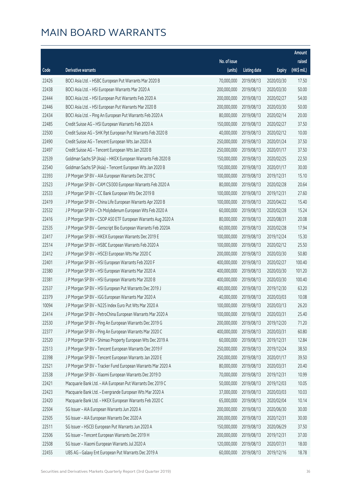|       |                                                              |                        |                     |               | Amount      |
|-------|--------------------------------------------------------------|------------------------|---------------------|---------------|-------------|
|       |                                                              | No. of issue           |                     |               | raised      |
| Code  | Derivative warrants                                          | (units)                | <b>Listing date</b> | <b>Expiry</b> | (HK\$ mil.) |
| 22426 | BOCI Asia Ltd. - HSBC European Put Warrants Mar 2020 B       | 70,000,000             | 2019/08/13          | 2020/03/30    | 17.50       |
| 22438 | BOCI Asia Ltd. - HSI European Warrants Mar 2020 A            | 200,000,000            | 2019/08/13          | 2020/03/30    | 50.00       |
| 22444 | BOCI Asia Ltd. - HSI European Put Warrants Feb 2020 A        | 200,000,000            | 2019/08/13          | 2020/02/27    | 54.00       |
| 22446 | BOCI Asia Ltd. - HSI European Put Warrants Mar 2020 B        | 200,000,000            | 2019/08/13          | 2020/03/30    | 50.00       |
| 22434 | BOCI Asia Ltd. - Ping An European Put Warrants Feb 2020 A    | 80,000,000             | 2019/08/13          | 2020/02/14    | 20.00       |
| 22485 | Credit Suisse AG - HSI European Warrants Feb 2020 A          | 150,000,000            | 2019/08/13          | 2020/02/27    | 37.50       |
| 22500 | Credit Suisse AG - SHK Ppt European Put Warrants Feb 2020 B  | 40,000,000             | 2019/08/13          | 2020/02/12    | 10.00       |
| 22490 | Credit Suisse AG - Tencent European Wts Jan 2020 A           | 250,000,000            | 2019/08/13          | 2020/01/24    | 37.50       |
| 22497 | Credit Suisse AG - Tencent European Wts Jan 2020 B           | 250,000,000            | 2019/08/13          | 2020/01/17    | 37.50       |
| 22539 | Goldman Sachs SP (Asia) - HKEX European Warrants Feb 2020 B  | 150,000,000            | 2019/08/13          | 2020/02/25    | 22.50       |
| 22540 | Goldman Sachs SP (Asia) - Tencent European Wts Jan 2020 B    | 150,000,000            | 2019/08/13          | 2020/01/17    | 30.00       |
| 22393 | J P Morgan SP BV - AIA European Warrants Dec 2019 C          | 100,000,000            | 2019/08/13          | 2019/12/31    | 15.10       |
| 22523 | J P Morgan SP BV - CAM CSI300 European Warrants Feb 2020 A   | 80,000,000             | 2019/08/13          | 2020/02/28    | 20.64       |
| 22533 | J P Morgan SP BV - CC Bank European Wts Dec 2019 B           | 100,000,000            | 2019/08/13          | 2019/12/31    | 27.60       |
| 22419 | J P Morgan SP BV - China Life European Warrants Apr 2020 B   | 100,000,000            | 2019/08/13          | 2020/04/22    | 15.40       |
| 22532 | J P Morgan SP BV - Ch Molybdenum European Wts Feb 2020 A     | 60,000,000             | 2019/08/13          | 2020/02/28    | 15.24       |
| 22416 | J P Morgan SP BV - CSOP A50 ETF European Warrants Aug 2020 A | 80,000,000             | 2019/08/13          | 2020/08/31    | 20.08       |
| 22535 | J P Morgan SP BV - Genscript Bio European Warrants Feb 2020A | 60,000,000             | 2019/08/13          | 2020/02/28    | 17.94       |
| 22417 | J P Morgan SP BV - HKEX European Warrants Dec 2019 E         | 100,000,000            | 2019/08/13          | 2019/12/24    | 15.30       |
| 22514 | J P Morgan SP BV - HSBC European Warrants Feb 2020 A         | 100,000,000            | 2019/08/13          | 2020/02/12    | 25.50       |
| 22412 | J P Morgan SP BV - HSCEI European Wts Mar 2020 C             | 200,000,000            | 2019/08/13          | 2020/03/30    | 50.80       |
| 22401 | J P Morgan SP BV - HSI European Warrants Feb 2020 F          | 400,000,000            | 2019/08/13          | 2020/02/27    | 100.40      |
| 22380 | J P Morgan SP BV - HSI European Warrants Mar 2020 A          | 400,000,000            | 2019/08/13          | 2020/03/30    | 101.20      |
| 22381 | J P Morgan SP BV - HSI European Warrants Mar 2020 B          | 400,000,000            | 2019/08/13          | 2020/03/30    | 100.40      |
| 22537 | J P Morgan SP BV - HSI European Put Warrants Dec 2019 J      | 400,000,000            | 2019/08/13          | 2019/12/30    | 63.20       |
| 22379 | J P Morgan SP BV - IGG European Warrants Mar 2020 A          | 40,000,000             | 2019/08/13          | 2020/03/03    | 10.08       |
| 10094 | J P Morgan SP BV - N225 Index Euro Put Wts Mar 2020 A        | 100,000,000 2019/08/13 |                     | 2020/03/13    | 26.20       |
| 22414 | J P Morgan SP BV - PetroChina European Warrants Mar 2020 A   | 100,000,000            | 2019/08/13          | 2020/03/31    | 25.40       |
| 22530 | J P Morgan SP BV - Ping An European Warrants Dec 2019 G      | 200,000,000            | 2019/08/13          | 2019/12/20    | 71.20       |
| 22377 | J P Morgan SP BV - Ping An European Warrants Mar 2020 C      | 400,000,000            | 2019/08/13          | 2020/03/31    | 60.80       |
| 22520 | J P Morgan SP BV - Shimao Property European Wts Dec 2019 A   | 60,000,000             | 2019/08/13          | 2019/12/31    | 12.84       |
| 22513 | J P Morgan SP BV - Tencent European Warrants Dec 2019 F      | 250,000,000            | 2019/08/13          | 2019/12/24    | 38.50       |
| 22398 | J P Morgan SP BV - Tencent European Warrants Jan 2020 E      | 250,000,000            | 2019/08/13          | 2020/01/17    | 39.50       |
| 22521 | J P Morgan SP BV - Tracker Fund European Warrants Mar 2020 A | 80,000,000             | 2019/08/13          | 2020/03/31    | 20.40       |
| 22538 | J P Morgan SP BV - Xiaomi European Warrants Dec 2019 D       | 70,000,000             | 2019/08/13          | 2019/12/31    | 10.99       |
| 22421 | Macquarie Bank Ltd. - AIA European Put Warrants Dec 2019 C   | 50,000,000             | 2019/08/13          | 2019/12/03    | 10.05       |
| 22423 | Macquarie Bank Ltd. - Evergrande European Wts Mar 2020 A     | 37,000,000             | 2019/08/13          | 2020/03/03    | 10.03       |
| 22420 | Macquarie Bank Ltd. - HKEX European Warrants Feb 2020 C      | 65,000,000             | 2019/08/13          | 2020/02/04    | 10.14       |
| 22504 | SG Issuer - AIA European Warrants Jun 2020 A                 | 200,000,000            | 2019/08/13          | 2020/06/30    | 30.00       |
| 22505 | SG Issuer - AIA European Warrants Dec 2020 A                 | 200,000,000            | 2019/08/13          | 2020/12/31    | 30.00       |
| 22511 | SG Issuer - HSCEI European Put Warrants Jun 2020 A           | 150,000,000            | 2019/08/13          | 2020/06/29    | 37.50       |
| 22506 | SG Issuer - Tencent European Warrants Dec 2019 H             | 200,000,000            | 2019/08/13          | 2019/12/31    | 37.00       |
| 22508 | SG Issuer - Xiaomi European Warrants Jul 2020 A              | 120,000,000            | 2019/08/13          | 2020/07/31    | 18.00       |
| 22455 | UBS AG - Galaxy Ent European Put Warrants Dec 2019 A         | 60,000,000             | 2019/08/13          | 2019/12/16    | 18.78       |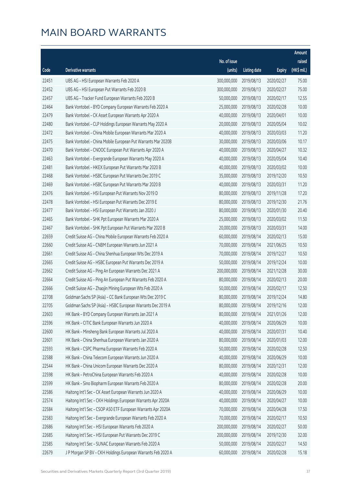|       |                                                              |              |                       |               | Amount      |
|-------|--------------------------------------------------------------|--------------|-----------------------|---------------|-------------|
|       |                                                              | No. of issue |                       |               | raised      |
| Code  | Derivative warrants                                          | (units)      | <b>Listing date</b>   | <b>Expiry</b> | (HK\$ mil.) |
| 22451 | UBS AG - HSI European Warrants Feb 2020 A                    | 300,000,000  | 2019/08/13            | 2020/02/27    | 75.00       |
| 22452 | UBS AG - HSI European Put Warrants Feb 2020 B                | 300,000,000  | 2019/08/13            | 2020/02/27    | 75.00       |
| 22457 | UBS AG - Tracker Fund European Warrants Feb 2020 B           | 50,000,000   | 2019/08/13            | 2020/02/17    | 12.55       |
| 22464 | Bank Vontobel - BYD Company European Warrants Feb 2020 A     | 25,000,000   | 2019/08/13            | 2020/02/28    | 10.00       |
| 22479 | Bank Vontobel - CK Asset European Warrants Apr 2020 A        | 40,000,000   | 2019/08/13            | 2020/04/01    | 10.00       |
| 22480 | Bank Vontobel - CLP Holdings European Warrants May 2020 A    | 20,000,000   | 2019/08/13            | 2020/05/04    | 10.02       |
| 22472 | Bank Vontobel - China Mobile European Warrants Mar 2020 A    | 40,000,000   | 2019/08/13            | 2020/03/03    | 11.20       |
| 22475 | Bank Vontobel - China Mobile European Put Warrants Mar 2020B | 30,000,000   | 2019/08/13            | 2020/03/06    | 10.17       |
| 22470 | Bank Vontobel - CNOOC European Put Warrants Apr 2020 A       | 40,000,000   | 2019/08/13            | 2020/04/27    | 10.32       |
| 22463 | Bank Vontobel - Evergrande European Warrants May 2020 A      | 40,000,000   | 2019/08/13            | 2020/05/04    | 10.40       |
| 22481 | Bank Vontobel - HKEX European Put Warrants Mar 2020 B        | 40,000,000   | 2019/08/13            | 2020/03/02    | 10.00       |
| 22468 | Bank Vontobel - HSBC European Put Warrants Dec 2019 C        | 35,000,000   | 2019/08/13            | 2019/12/20    | 10.50       |
| 22469 | Bank Vontobel - HSBC European Put Warrants Mar 2020 B        | 40,000,000   | 2019/08/13            | 2020/03/31    | 11.20       |
| 22476 | Bank Vontobel - HSI European Put Warrants Nov 2019 D         | 80,000,000   | 2019/08/13            | 2019/11/28    | 17.20       |
| 22478 | Bank Vontobel - HSI European Put Warrants Dec 2019 E         | 80,000,000   | 2019/08/13            | 2019/12/30    | 21.76       |
| 22477 | Bank Vontobel - HSI European Put Warrants Jan 2020 J         | 80,000,000   | 2019/08/13            | 2020/01/30    | 20.40       |
| 22465 | Bank Vontobel - SHK Ppt European Warrants Mar 2020 A         | 25,000,000   | 2019/08/13            | 2020/03/02    | 11.50       |
| 22467 | Bank Vontobel - SHK Ppt European Put Warrants Mar 2020 B     | 20,000,000   | 2019/08/13            | 2020/03/31    | 14.00       |
| 22659 | Credit Suisse AG - China Mobile European Warrants Feb 2020 A | 60,000,000   | 2019/08/14            | 2020/02/13    | 15.00       |
| 22660 | Credit Suisse AG - CNBM European Warrants Jun 2021 A         | 70,000,000   | 2019/08/14            | 2021/06/25    | 10.50       |
| 22661 | Credit Suisse AG - China Shenhua European Wts Dec 2019 A     | 70,000,000   | 2019/08/14            | 2019/12/27    | 10.50       |
| 22665 | Credit Suisse AG - HSBC European Put Warrants Dec 2019 A     | 50,000,000   | 2019/08/14            | 2019/12/24    | 10.00       |
| 22662 | Credit Suisse AG - Ping An European Warrants Dec 2021 A      | 200,000,000  | 2019/08/14            | 2021/12/28    | 30.00       |
| 22664 | Credit Suisse AG - Ping An European Put Warrants Feb 2020 A  | 80,000,000   | 2019/08/14            | 2020/02/13    | 20.00       |
| 22666 | Credit Suisse AG - Zhaojin Mining European Wts Feb 2020 A    | 50,000,000   | 2019/08/14            | 2020/02/17    | 12.50       |
| 22708 | Goldman Sachs SP (Asia) - CC Bank European Wts Dec 2019 C    | 80,000,000   | 2019/08/14            | 2019/12/24    | 14.80       |
| 22705 | Goldman Sachs SP (Asia) - HSBC European Warrants Dec 2019 A  |              | 80,000,000 2019/08/14 | 2019/12/16    | 12.00       |
| 22603 | HK Bank - BYD Company European Warrants Jan 2021 A           | 80,000,000   | 2019/08/14            | 2021/01/26    | 12.00       |
| 22596 | HK Bank - CITIC Bank European Warrants Jun 2020 A            | 40,000,000   | 2019/08/14            | 2020/06/29    | 10.00       |
| 22600 | HK Bank - Minsheng Bank European Warrants Jul 2020 A         | 40,000,000   | 2019/08/14            | 2020/07/31    | 10.40       |
| 22601 | HK Bank - China Shenhua European Warrants Jan 2020 A         | 80,000,000   | 2019/08/14            | 2020/01/03    | 12.00       |
| 22593 | HK Bank - CSPC Pharma European Warrants Feb 2020 A           | 50,000,000   | 2019/08/14            | 2020/02/28    | 12.50       |
| 22588 | HK Bank - China Telecom European Warrants Jun 2020 A         | 40,000,000   | 2019/08/14            | 2020/06/29    | 10.00       |
| 22544 | HK Bank - China Unicom European Warrants Dec 2020 A          | 80,000,000   | 2019/08/14            | 2020/12/31    | 12.00       |
| 22598 | HK Bank - PetroChina European Warrants Feb 2020 A            | 40,000,000   | 2019/08/14            | 2020/02/28    | 10.00       |
| 22599 | HK Bank - Sino Biopharm European Warrants Feb 2020 A         | 80,000,000   | 2019/08/14            | 2020/02/28    | 20.00       |
| 22586 | Haitong Int'l Sec - CK Asset European Warrants Jun 2020 A    | 40,000,000   | 2019/08/14            | 2020/06/29    | 10.00       |
| 22574 | Haitong Int'l Sec - CKH Holdings European Warrants Apr 2020A | 40,000,000   | 2019/08/14            | 2020/04/27    | 10.00       |
| 22584 | Haitong Int'l Sec - CSOP A50 ETF European Warrants Apr 2020A | 70,000,000   | 2019/08/14            | 2020/04/28    | 17.50       |
| 22583 | Haitong Int'l Sec - Evergrande European Warrants Feb 2020 A  | 70,000,000   | 2019/08/14            | 2020/02/17    | 10.50       |
| 22686 | Haitong Int'l Sec - HSI European Warrants Feb 2020 A         | 200,000,000  | 2019/08/14            | 2020/02/27    | 50.00       |
| 22685 | Haitong Int'l Sec - HSI European Put Warrants Dec 2019 C     | 200,000,000  | 2019/08/14            | 2019/12/30    | 32.00       |
| 22585 | Haitong Int'l Sec - SUNAC European Warrants Feb 2020 A       | 50,000,000   | 2019/08/14            | 2020/02/27    | 14.50       |
| 22679 | J P Morgan SP BV - CKH Holdings European Warrants Feb 2020 A | 60,000,000   | 2019/08/14            | 2020/02/28    | 15.18       |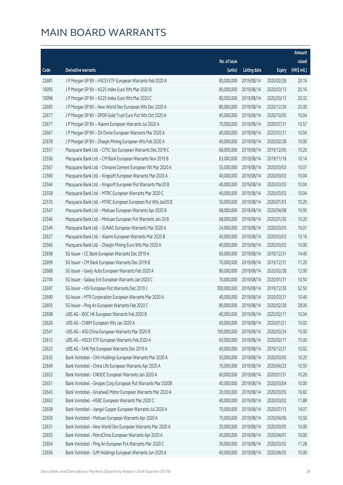|       |                                                              |              |                       |               | Amount      |
|-------|--------------------------------------------------------------|--------------|-----------------------|---------------|-------------|
|       |                                                              | No. of issue |                       |               | raised      |
| Code  | Derivative warrants                                          | (units)      | <b>Listing date</b>   | <b>Expiry</b> | (HK\$ mil.) |
| 22681 | J P Morgan SP BV - HSCEI ETF European Warrants Feb 2020 A    | 80,000,000   | 2019/08/14            | 2020/02/28    | 20.16       |
| 10095 | J P Morgan SP BV - N225 Index Euro Wts Mar 2020 B            | 80,000,000   | 2019/08/14            | 2020/03/13    | 20.16       |
| 10096 | J P Morgan SP BV - N225 Index Euro Wts Mar 2020 C            | 80,000,000   | 2019/08/14            | 2020/03/13    | 20.32       |
| 22683 | J P Morgan SP BV - New World Dev European Wts Dec 2020 A     | 80,000,000   | 2019/08/14            | 2020/12/30    | 20.00       |
| 22677 | J P Morgan SP BV - SPDR Gold Trust Euro Put Wts Oct 2020 A   | 40,000,000   | 2019/08/14            | 2020/10/05    | 10.04       |
| 22671 | J P Morgan SP BV - Xiaomi European Warrants Jul 2020 A       | 70,000,000   | 2019/08/14            | 2020/07/31    | 10.57       |
| 22667 | J P Morgan SP BV - ZA Onine European Warrants Mar 2020 A     | 40,000,000   | 2019/08/14            | 2020/03/31    | 10.04       |
| 22678 | J P Morgan SP BV - Zhaojin Mining European Wts Feb 2020 A    | 40,000,000   | 2019/08/14            | 2020/02/28    | 10.00       |
| 22557 | Macquarie Bank Ltd. - CITIC Sec European Warrants Dec 2019 C | 68,000,000   | 2019/08/14            | 2019/12/05    | 10.20       |
| 22556 | Macquarie Bank Ltd. - CM Bank European Warrants Nov 2019 B   | 63,000,000   | 2019/08/14            | 2019/11/18    | 10.14       |
| 22567 | Macquarie Bank Ltd. - Chinares Cement European Wt Mar 2020 A | 55,000,000   | 2019/08/14            | 2020/03/03    | 10.01       |
| 22560 | Macquarie Bank Ltd. - Kingsoft European Warrants Mar 2020 A  | 40,000,000   | 2019/08/14            | 2020/03/03    | 10.04       |
| 22564 | Macquarie Bank Ltd. - Kingsoft European Put Warrants Mar20 B | 40,000,000   | 2019/08/14            | 2020/03/03    | 10.04       |
| 22558 | Macquarie Bank Ltd. - MTRC European Warrants Mar 2020 C      | 40,000,000   | 2019/08/14            | 2020/03/03    | 10.04       |
| 22570 | Macquarie Bank Ltd. - MTRC European European Put Wts Jan20 B | 50,000,000   | 2019/08/14            | 2020/01/03    | 10.20       |
| 22547 | Macquarie Bank Ltd. - Meituan European Warrants Apr 2020 B   | 68,000,000   | 2019/08/14            | 2020/04/08    | 10.95       |
| 22546 | Macquarie Bank Ltd. - Meituan European Put Warrants Jan 20 B | 68,000,000   | 2019/08/14            | 2020/01/30    | 10.20       |
| 22549 | Macquarie Bank Ltd. - SUNAC European Warrants Mar 2020 A     | 24,000,000   | 2019/08/14            | 2020/03/03    | 10.01       |
| 22627 | Macquarie Bank Ltd. - Xiaomi European Warrants Mar 2020 B    | 40,000,000   | 2019/08/14            | 2020/03/03    | 10.16       |
| 22566 | Macquarie Bank Ltd. - Zhaojin Mining Euro Wts Mar 2020 A     | 40,000,000   | 2019/08/14            | 2020/03/03    | 10.00       |
| 22698 | SG Issuer - CC Bank European Warrants Dec 2019 A             | 60,000,000   | 2019/08/14            | 2019/12/31    | 14.40       |
| 22699 | SG Issuer - CM Bank European Warrants Dec 2019 B             | 70,000,000   | 2019/08/14            | 2019/12/31    | 11.20       |
| 22688 | SG Issuer - Geely Auto European Warrants Feb 2020 A          | 80,000,000   | 2019/08/14            | 2020/02/28    | 12.00       |
| 22704 | SG Issuer - Galaxy Ent European Warrants Jan 2020 C          | 70,000,000   | 2019/08/14            | 2020/01/31    | 10.50       |
| 22697 | SG Issuer - HSI European Put Warrants Dec 2019 J             | 300,000,000  | 2019/08/14            | 2019/12/30    | 52.50       |
| 22690 | SG Issuer - MTR Corporation European Warrants Mar 2020 A     | 40,000,000   | 2019/08/14            | 2020/03/31    | 10.40       |
| 22693 | SG Issuer - Ping An European Warrants Feb 2020 C             |              | 80,000,000 2019/08/14 | 2020/02/28    | 28.00       |
| 22608 | UBS AG - BOC HK European Warrants Feb 2020 B                 | 40,000,000   | 2019/08/14            | 2020/02/17    | 10.04       |
| 22626 | UBS AG - CNBM European Wts Jan 2020 A                        | 60,000,000   | 2019/08/14            | 2020/01/21    | 10.02       |
| 22541 | UBS AG - A50 China European Warrants Mar 2020 B              | 100,000,000  | 2019/08/14            | 2020/03/24    | 15.00       |
| 22612 | UBS AG - HSCEI ETF European Warrants Feb 2020 A              | 60,000,000   | 2019/08/14            | 2020/02/17    | 15.00       |
| 22623 | UBS AG - SHK Ppt European Warrants Dec 2019 A                | 60,000,000   | 2019/08/14            | 2019/12/27    | 10.02       |
| 22635 | Bank Vontobel - CKH Holdings European Warrants Mar 2020 A    | 30,000,000   | 2019/08/14            | 2020/03/05    | 10.20       |
| 22649 | Bank Vontobel - China Life European Warrants Apr 2020 A      | 70,000,000   | 2019/08/14            | 2020/04/23    | 10.50       |
| 22652 | Bank Vontobel - CNOOC European Warrants Jan 2020 A           | 60,000,000   | 2019/08/14            | 2020/01/31    | 10.26       |
| 22651 | Bank Vontobel - Sinopec Corp European Put Warrants Mar 2020B | 40,000,000   | 2019/08/14            | 2020/03/04    | 10.00       |
| 22643 | Bank Vontobel - Greatwall Motor European Warrants Mar 2020 A | 20,000,000   | 2019/08/14            | 2020/03/05    | 10.82       |
| 22653 | Bank Vontobel - HSBC European Warrants Mar 2020 C            | 40,000,000   | 2019/08/14            | 2020/03/02    | 11.88       |
| 22658 | Bank Vontobel - Jiangxi Copper European Warrants Jul 2020 A  | 70,000,000   | 2019/08/14            | 2020/07/13    | 14.07       |
| 22650 | Bank Vontobel - Meituan European Warrants Apr 2020 A         | 70,000,000   | 2019/08/14            | 2020/04/06    | 10.50       |
| 22631 | Bank Vontobel - New World Dev European Warrants Mar 2020 A   | 20,000,000   | 2019/08/14            | 2020/03/05    | 10.00       |
| 22655 | Bank Vontobel - PetroChina European Warrants Apr 2020 A      | 40,000,000   | 2019/08/14            | 2020/04/01    | 10.00       |
| 22654 | Bank Vontobel - Ping An European Put Warrants Mar 2020 C     | 30,000,000   | 2019/08/14            | 2020/03/02    | 11.28       |
| 22656 | Bank Vontobel - SJM Holdings European Warrants Jun 2020 A    | 40,000,000   | 2019/08/14            | 2020/06/05    | 10.00       |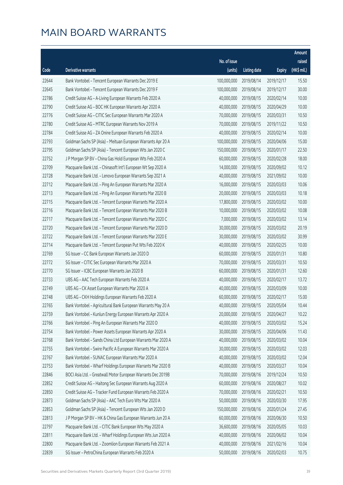|       |                                                              |              |                       |               | Amount      |
|-------|--------------------------------------------------------------|--------------|-----------------------|---------------|-------------|
|       |                                                              | No. of issue |                       |               | raised      |
| Code  | Derivative warrants                                          | (units)      | <b>Listing date</b>   | <b>Expiry</b> | (HK\$ mil.) |
| 22644 | Bank Vontobel - Tencent European Warrants Dec 2019 E         | 100,000,000  | 2019/08/14            | 2019/12/17    | 15.50       |
| 22645 | Bank Vontobel - Tencent European Warrants Dec 2019 F         | 100,000,000  | 2019/08/14            | 2019/12/17    | 30.00       |
| 22786 | Credit Suisse AG - A-Living European Warrants Feb 2020 A     | 40,000,000   | 2019/08/15            | 2020/02/14    | 10.00       |
| 22790 | Credit Suisse AG - BOC HK European Warrants Apr 2020 A       | 40,000,000   | 2019/08/15            | 2020/04/29    | 10.00       |
| 22776 | Credit Suisse AG - CITIC Sec European Warrants Mar 2020 A    | 70,000,000   | 2019/08/15            | 2020/03/31    | 10.50       |
| 22780 | Credit Suisse AG - MTRC European Warrants Nov 2019 A         | 70,000,000   | 2019/08/15            | 2019/11/22    | 10.50       |
| 22784 | Credit Suisse AG - ZA Onine European Warrants Feb 2020 A     | 40,000,000   | 2019/08/15            | 2020/02/14    | 10.00       |
| 22793 | Goldman Sachs SP (Asia) - Meituan European Warrants Apr 20 A | 100,000,000  | 2019/08/15            | 2020/04/06    | 15.00       |
| 22795 | Goldman Sachs SP (Asia) - Tencent European Wts Jan 2020 C    | 150,000,000  | 2019/08/15            | 2020/01/17    | 22.50       |
| 22752 | J P Morgan SP BV - China Gas Hold European Wts Feb 2020 A    | 60,000,000   | 2019/08/15            | 2020/02/28    | 18.00       |
| 22709 | Macquarie Bank Ltd. - Chinasoft Int'l European Wt Sep 2020 A | 14,000,000   | 2019/08/15            | 2020/09/02    | 10.12       |
| 22728 | Macquarie Bank Ltd. - Lenovo European Warrants Sep 2021 A    | 40,000,000   | 2019/08/15            | 2021/09/02    | 10.00       |
| 22712 | Macquarie Bank Ltd. - Ping An European Warrants Mar 2020 A   | 16,000,000   | 2019/08/15            | 2020/03/03    | 10.06       |
| 22713 | Macquarie Bank Ltd. - Ping An European Warrants Mar 2020 B   | 20,000,000   | 2019/08/15            | 2020/03/03    | 10.18       |
| 22715 | Macquarie Bank Ltd. - Tencent European Warrants Mar 2020 A   | 17,800,000   | 2019/08/15            | 2020/03/02    | 10.00       |
| 22716 | Macquarie Bank Ltd. - Tencent European Warrants Mar 2020 B   | 10,000,000   | 2019/08/15            | 2020/03/02    | 10.08       |
| 22717 | Macquarie Bank Ltd. - Tencent European Warrants Mar 2020 C   | 7,000,000    | 2019/08/15            | 2020/03/02    | 13.14       |
| 22720 | Macquarie Bank Ltd. - Tencent European Warrants Mar 2020 D   | 30,000,000   | 2019/08/15            | 2020/03/02    | 20.19       |
| 22722 | Macquarie Bank Ltd. - Tencent European Warrants Mar 2020 E   | 30,000,000   | 2019/08/15            | 2020/03/02    | 30.99       |
| 22714 | Macquarie Bank Ltd. - Tencent European Put Wts Feb 2020 K    | 40,000,000   | 2019/08/15            | 2020/02/25    | 10.00       |
| 22769 | SG Issuer - CC Bank European Warrants Jan 2020 D             | 60,000,000   | 2019/08/15            | 2020/01/31    | 10.80       |
| 22772 | SG Issuer - CITIC Sec European Warrants Mar 2020 A           | 70,000,000   | 2019/08/15            | 2020/03/31    | 10.50       |
| 22770 | SG Issuer - ICBC European Warrants Jan 2020 B                | 60,000,000   | 2019/08/15            | 2020/01/31    | 12.60       |
| 22733 | UBS AG - AAC Tech European Warrants Feb 2020 A               | 40,000,000   | 2019/08/15            | 2020/02/17    | 13.72       |
| 22749 | UBS AG - CK Asset European Warrants Mar 2020 A               | 40,000,000   | 2019/08/15            | 2020/03/09    | 10.00       |
| 22748 | UBS AG - CKH Holdings European Warrants Feb 2020 A           | 60,000,000   | 2019/08/15            | 2020/02/17    | 15.00       |
| 22765 | Bank Vontobel - Agricultural Bank European Warrants May 20 A |              | 40,000,000 2019/08/15 | 2020/05/04    | 10.44       |
| 22759 | Bank Vontobel - Kunlun Energy European Warrants Apr 2020 A   | 20,000,000   | 2019/08/15            | 2020/04/27    | 10.22       |
| 22766 | Bank Vontobel - Ping An European Warrants Mar 2020 D         | 40,000,000   | 2019/08/15            | 2020/03/02    | 15.24       |
| 22754 | Bank Vontobel - Power Assets European Warrants Apr 2020 A    | 30,000,000   | 2019/08/15            | 2020/04/06    | 11.43       |
| 22768 | Bank Vontobel - Sands China Ltd European Warrants Mar 2020 A | 40,000,000   | 2019/08/15            | 2020/03/02    | 10.04       |
| 22755 | Bank Vontobel - Swire Pacific A European Warrants Mar 2020 A | 30,000,000   | 2019/08/15            | 2020/03/02    | 12.03       |
| 22767 | Bank Vontobel - SUNAC European Warrants Mar 2020 A           | 40,000,000   | 2019/08/15            | 2020/03/02    | 12.04       |
| 22753 | Bank Vontobel - Wharf Holdings European Warrants Mar 2020 B  | 40,000,000   | 2019/08/15            | 2020/03/27    | 10.04       |
| 22846 | BOCI Asia Ltd. - Greatwall Motor European Warrants Dec 2019B | 70,000,000   | 2019/08/16            | 2019/12/24    | 10.50       |
| 22852 | Credit Suisse AG - Haitong Sec European Warrants Aug 2020 A  | 60,000,000   | 2019/08/16            | 2020/08/27    | 10.02       |
| 22850 | Credit Suisse AG - Tracker Fund European Warrants Feb 2020 A | 70,000,000   | 2019/08/16            | 2020/02/21    | 10.50       |
| 22873 | Goldman Sachs SP (Asia) - AAC Tech Euro Wts Mar 2020 A       | 50,000,000   | 2019/08/16            | 2020/03/30    | 17.95       |
| 22853 | Goldman Sachs SP (Asia) - Tencent European Wts Jan 2020 D    | 150,000,000  | 2019/08/16            | 2020/01/24    | 27.45       |
| 22813 | J P Morgan SP BV - HK & China Gas European Warrants Jun 20 A | 60,000,000   | 2019/08/16            | 2020/06/30    | 10.50       |
| 22797 | Macquarie Bank Ltd. - CITIC Bank European Wts May 2020 A     | 36,600,000   | 2019/08/16            | 2020/05/05    | 10.03       |
| 22811 | Macquarie Bank Ltd. - Wharf Holdings European Wts Jun 2020 A | 40,000,000   | 2019/08/16            | 2020/06/02    | 10.04       |
| 22800 | Macquarie Bank Ltd. - Zoomlion European Warrants Feb 2021 A  | 40,000,000   | 2019/08/16            | 2021/02/16    | 10.04       |
| 22839 | SG Issuer - PetroChina European Warrants Feb 2020 A          | 50,000,000   | 2019/08/16            | 2020/02/03    | 10.75       |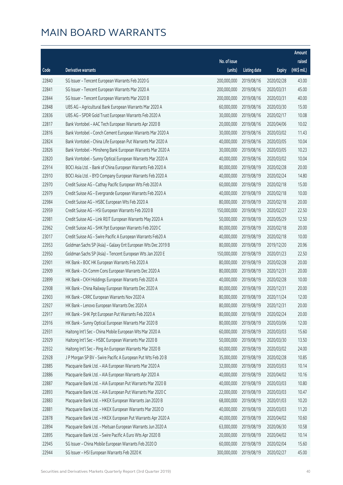|       |                                                              |              |                       |               | Amount      |
|-------|--------------------------------------------------------------|--------------|-----------------------|---------------|-------------|
|       |                                                              | No. of issue |                       |               | raised      |
| Code  | Derivative warrants                                          | (units)      | <b>Listing date</b>   | <b>Expiry</b> | (HK\$ mil.) |
| 22840 | SG Issuer - Tencent European Warrants Feb 2020 G             | 200,000,000  | 2019/08/16            | 2020/02/28    | 43.00       |
| 22841 | SG Issuer - Tencent European Warrants Mar 2020 A             | 200,000,000  | 2019/08/16            | 2020/03/31    | 45.00       |
| 22844 | SG Issuer - Tencent European Warrants Mar 2020 B             | 200,000,000  | 2019/08/16            | 2020/03/31    | 40.00       |
| 22848 | UBS AG - Agricultural Bank European Warrants Mar 2020 A      | 60,000,000   | 2019/08/16            | 2020/03/30    | 15.00       |
| 22836 | UBS AG - SPDR Gold Trust European Warrants Feb 2020 A        | 30,000,000   | 2019/08/16            | 2020/02/17    | 10.08       |
| 22817 | Bank Vontobel - AAC Tech European Warrants Apr 2020 B        | 20,000,000   | 2019/08/16            | 2020/04/06    | 10.02       |
| 22816 | Bank Vontobel - Conch Cement European Warrants Mar 2020 A    | 30,000,000   | 2019/08/16            | 2020/03/02    | 11.43       |
| 22824 | Bank Vontobel - China Life European Put Warrants Mar 2020 A  | 40,000,000   | 2019/08/16            | 2020/03/05    | 10.04       |
| 22826 | Bank Vontobel - Minsheng Bank European Warrants Mar 2020 A   | 30,000,000   | 2019/08/16            | 2020/03/05    | 10.23       |
| 22820 | Bank Vontobel - Sunny Optical European Warrants Mar 2020 A   | 40,000,000   | 2019/08/16            | 2020/03/02    | 10.04       |
| 22914 | BOCI Asia Ltd. - Bank of China European Warrants Feb 2020 A  | 80,000,000   | 2019/08/19            | 2020/02/28    | 20.00       |
| 22910 | BOCI Asia Ltd. - BYD Company European Warrants Feb 2020 A    | 40,000,000   | 2019/08/19            | 2020/02/24    | 14.80       |
| 22970 | Credit Suisse AG - Cathay Pacific European Wts Feb 2020 A    | 60,000,000   | 2019/08/19            | 2020/02/18    | 15.00       |
| 22979 | Credit Suisse AG - Evergrande European Warrants Feb 2020 A   | 40,000,000   | 2019/08/19            | 2020/02/18    | 10.00       |
| 22984 | Credit Suisse AG - HSBC European Wts Feb 2020 A              | 80,000,000   | 2019/08/19            | 2020/02/18    | 20.00       |
| 22959 | Credit Suisse AG - HSI European Warrants Feb 2020 B          | 150,000,000  | 2019/08/19            | 2020/02/27    | 22.50       |
| 22981 | Credit Suisse AG - Link REIT European Warrants May 2020 A    | 50,000,000   | 2019/08/19            | 2020/05/29    | 12.50       |
| 22962 | Credit Suisse AG - SHK Ppt European Warrants Feb 2020 C      | 80,000,000   | 2019/08/19            | 2020/02/18    | 20.00       |
| 23017 | Credit Suisse AG - Swire Pacific A European Warrants Feb20 A | 40,000,000   | 2019/08/19            | 2020/02/18    | 10.00       |
| 22953 | Goldman Sachs SP (Asia) - Galaxy Ent European Wts Dec 2019 B | 80,000,000   | 2019/08/19            | 2019/12/20    | 20.96       |
| 22950 | Goldman Sachs SP (Asia) - Tencent European Wts Jan 2020 E    | 150,000,000  | 2019/08/19            | 2020/01/23    | 22.50       |
| 22901 | HK Bank - BOC HK European Warrants Feb 2020 A                | 80,000,000   | 2019/08/19            | 2020/02/28    | 20.00       |
| 22909 | HK Bank - Ch Comm Cons European Warrants Dec 2020 A          | 80,000,000   | 2019/08/19            | 2020/12/31    | 20.00       |
| 22899 | HK Bank - CKH Holdings European Warrants Feb 2020 A          | 40,000,000   | 2019/08/19            | 2020/02/28    | 10.00       |
| 22908 | HK Bank - China Railway European Warrants Dec 2020 A         | 80,000,000   | 2019/08/19            | 2020/12/31    | 20.00       |
| 22903 | HK Bank - CRRC European Warrants Nov 2020 A                  | 80,000,000   | 2019/08/19            | 2020/11/24    | 12.00       |
| 22927 | HK Bank - Lenovo European Warrants Dec 2020 A                |              | 80,000,000 2019/08/19 | 2020/12/31    | 20.00       |
| 22917 | HK Bank - SHK Ppt European Put Warrants Feb 2020 A           | 80,000,000   | 2019/08/19            | 2020/02/24    | 20.00       |
| 22916 | HK Bank - Sunny Optical European Warrants Mar 2020 B         | 80,000,000   | 2019/08/19            | 2020/03/06    | 12.00       |
| 22931 | Haitong Int'l Sec - China Mobile European Wts Mar 2020 A     | 60,000,000   | 2019/08/19            | 2020/03/03    | 15.60       |
| 22929 | Haitong Int'l Sec - HSBC European Warrants Mar 2020 B        | 50,000,000   | 2019/08/19            | 2020/03/30    | 13.50       |
| 22932 | Haitong Int'l Sec - Ping An European Warrants Mar 2020 B     | 60,000,000   | 2019/08/19            | 2020/03/02    | 24.00       |
| 22928 | J P Morgan SP BV - Swire Pacific A European Put Wts Feb 20 B | 35,000,000   | 2019/08/19            | 2020/02/28    | 10.85       |
| 22885 | Macquarie Bank Ltd. - AIA European Warrants Mar 2020 A       | 32,000,000   | 2019/08/19            | 2020/03/03    | 10.14       |
| 22886 | Macquarie Bank Ltd. - AIA European Warrants Apr 2020 A       | 40,000,000   | 2019/08/19            | 2020/04/02    | 10.16       |
| 22887 | Macquarie Bank Ltd. - AIA European Put Warrants Mar 2020 B   | 40,000,000   | 2019/08/19            | 2020/03/03    | 10.80       |
| 22893 | Macquarie Bank Ltd. - AIA European Put Warrants Mar 2020 C   | 22,000,000   | 2019/08/19            | 2020/03/03    | 10.47       |
| 22883 | Macquarie Bank Ltd. - HKEX European Warrants Jan 2020 B      | 68,000,000   | 2019/08/19            | 2020/01/03    | 10.20       |
| 22881 | Macquarie Bank Ltd. - HKEX European Warrants Mar 2020 D      | 40,000,000   | 2019/08/19            | 2020/03/03    | 11.20       |
| 22878 | Macquarie Bank Ltd. - HKEX European Put Warrants Apr 2020 A  | 40,000,000   | 2019/08/19            | 2020/04/02    | 10.60       |
| 22894 | Macquarie Bank Ltd. - Meituan European Warrants Jun 2020 A   | 63,000,000   | 2019/08/19            | 2020/06/30    | 10.58       |
| 22895 | Macquarie Bank Ltd. - Swire Pacific A Euro Wts Apr 2020 B    | 20,000,000   | 2019/08/19            | 2020/04/02    | 10.14       |
| 22945 | SG Issuer - China Mobile European Warrants Feb 2020 D        | 60,000,000   | 2019/08/19            | 2020/02/04    | 15.60       |
| 22944 | SG Issuer - HSI European Warrants Feb 2020 K                 | 300,000,000  | 2019/08/19            | 2020/02/27    | 45.00       |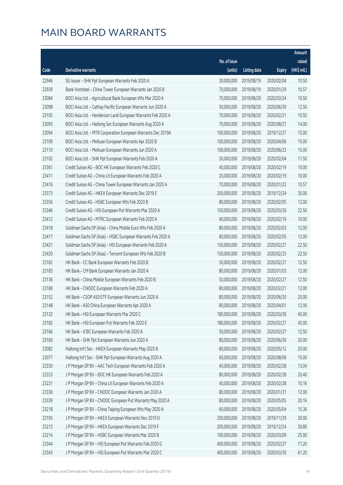|       |                                                              |              |                       |               | Amount      |
|-------|--------------------------------------------------------------|--------------|-----------------------|---------------|-------------|
|       |                                                              | No. of issue |                       |               | raised      |
| Code  | Derivative warrants                                          | (units)      | <b>Listing date</b>   | <b>Expiry</b> | (HK\$ mil.) |
| 22946 | SG Issuer - SHK Ppt European Warrants Feb 2020 A             | 30,000,000   | 2019/08/19            | 2020/02/04    | 10.50       |
| 22939 | Bank Vontobel - China Tower European Warrants Jan 2020 B     | 70,000,000   | 2019/08/19            | 2020/01/29    | 10.57       |
| 23084 | BOCI Asia Ltd. - Agricultural Bank European Wts Mar 2020 A   | 70,000,000   | 2019/08/20            | 2020/03/24    | 10.50       |
| 23098 | BOCI Asia Ltd. - Cathay Pacific European Warrants Jun 2020 A | 50,000,000   | 2019/08/20            | 2020/06/30    | 12.50       |
| 23105 | BOCI Asia Ltd. - Henderson Land European Warrants Feb 2020 A | 70,000,000   | 2019/08/20            | 2020/02/21    | 10.50       |
| 23093 | BOCI Asia Ltd. - Haitong Sec European Warrants Aug 2020 A    | 70,000,000   | 2019/08/20            | 2020/08/27    | 14.00       |
| 23094 | BOCI Asia Ltd. - MTR Corporation European Warrants Dec 2019A | 100,000,000  | 2019/08/20            | 2019/12/27    | 15.00       |
| 23109 | BOCI Asia Ltd. - Meituan European Warrants Apr 2020 B        | 100,000,000  | 2019/08/20            | 2020/04/06    | 15.00       |
| 23110 | BOCI Asia Ltd. - Meituan European Warrants Jun 2020 A        | 100,000,000  | 2019/08/20            | 2020/06/22    | 15.00       |
| 23102 | BOCI Asia Ltd. - SHK Ppt European Warrants Feb 2020 A        | 50,000,000   | 2019/08/20            | 2020/02/04    | 11.50       |
| 23361 | Credit Suisse AG - BOC HK European Warrants Feb 2020 C       | 40,000,000   | 2019/08/20            | 2020/02/19    | 10.00       |
| 23411 | Credit Suisse AG - China Lit European Warrants Feb 2020 A    | 20,000,000   | 2019/08/20            | 2020/02/19    | 10.00       |
| 23416 | Credit Suisse AG - China Tower European Warrants Jan 2020 A  | 70,000,000   | 2019/08/20            | 2020/01/22    | 10.57       |
| 23373 | Credit Suisse AG - HKEX European Warrants Dec 2019 E         | 200,000,000  | 2019/08/20            | 2019/12/24    | 30.00       |
| 23356 | Credit Suisse AG - HSBC European Wts Feb 2020 B              | 80,000,000   | 2019/08/20            | 2020/02/05    | 12.00       |
| 23346 | Credit Suisse AG - HSI European Put Warrants Mar 2020 A      | 150,000,000  | 2019/08/20            | 2020/03/30    | 22.50       |
| 23412 | Credit Suisse AG - MTRC European Warrants Feb 2020 A         | 40,000,000   | 2019/08/20            | 2020/02/19    | 10.00       |
| 23418 | Goldman Sachs SP (Asia) - China Mobile Euro Wts Feb 2020 A   | 80,000,000   | 2019/08/20            | 2020/02/03    | 12.00       |
| 23417 | Goldman Sachs SP (Asia) - HSBC European Warrants Feb 2020 A  | 80,000,000   | 2019/08/20            | 2020/02/05    | 12.00       |
| 23421 | Goldman Sachs SP (Asia) - HSI European Warrants Feb 2020 A   | 150,000,000  | 2019/08/20            | 2020/02/27    | 22.50       |
| 23420 | Goldman Sachs SP (Asia) - Tencent European Wts Feb 2020 B    | 150,000,000  | 2019/08/20            | 2020/02/25    | 22.50       |
| 23162 | HK Bank - CC Bank European Warrants Feb 2020 B               | 50,000,000   | 2019/08/20            | 2020/02/27    | 12.50       |
| 23183 | HK Bank - CM Bank European Warrants Jan 2020 A               | 80,000,000   | 2019/08/20            | 2020/01/03    | 12.00       |
| 23136 | HK Bank - China Mobile European Warrants Feb 2020 B          | 50,000,000   | 2019/08/20            | 2020/02/27    | 12.50       |
| 23180 | HK Bank - CNOOC European Warrants Feb 2020 A                 | 80,000,000   | 2019/08/20            | 2020/02/21    | 12.00       |
| 23152 | HK Bank - CSOP A50 ETF European Warrants Jun 2020 A          | 80,000,000   | 2019/08/20            | 2020/06/30    | 20.00       |
| 23148 | HK Bank - A50 China European Warrants Apr 2020 A             |              | 80,000,000 2019/08/20 | 2020/04/01    | 12.00       |
| 23132 | HK Bank - HSI European Warrants Mar 2020 C                   | 180,000,000  | 2019/08/20            | 2020/03/30    | 45.00       |
| 23182 | HK Bank - HSI European Put Warrants Feb 2020 E               | 180,000,000  | 2019/08/20            | 2020/02/27    | 45.00       |
| 23166 | HK Bank - ICBC European Warrants Feb 2020 A                  | 50,000,000   | 2019/08/20            | 2020/02/27    | 12.50       |
| 23160 | HK Bank - SHK Ppt European Warrants Jun 2020 A               | 80,000,000   | 2019/08/20            | 2020/06/30    | 20.00       |
| 23082 | Haitong Int'l Sec - HKEX European Warrants May 2020 B        | 80,000,000   | 2019/08/20            | 2020/05/12    | 20.00       |
| 23077 | Haitong Int'l Sec - SHK Ppt European Warrants Aug 2020 A     | 60,000,000   | 2019/08/20            | 2020/08/06    | 15.00       |
| 23330 | J P Morgan SP BV - AAC Tech European Warrants Feb 2020 A     | 40,000,000   | 2019/08/20            | 2020/02/28    | 13.04       |
| 23333 | J P Morgan SP BV - BOC HK European Warrants Feb 2020 A       | 80,000,000   | 2019/08/20            | 2020/02/28    | 20.40       |
| 23221 | J P Morgan SP BV - China Lit European Warrants Feb 2020 A    | 40,000,000   | 2019/08/20            | 2020/02/28    | 10.16       |
| 23336 | J P Morgan SP BV - CNOOC European Warrants Jan 2020 A        | 80,000,000   | 2019/08/20            | 2020/01/31    | 12.00       |
| 23339 | J P Morgan SP BV - CNOOC European Put Warrants May 2020 A    | 80,000,000   | 2019/08/20            | 2020/05/05    | 20.16       |
| 23218 | J P Morgan SP BV - China Taiping European Wts May 2020 A     | 60,000,000   | 2019/08/20            | 2020/05/04    | 15.36       |
| 23193 | J P Morgan SP BV - HKEX European Warrants Nov 2019 D         | 200,000,000  | 2019/08/20            | 2019/11/29    | 30.00       |
| 23213 | J P Morgan SP BV - HKEX European Warrants Dec 2019 F         | 200,000,000  | 2019/08/20            | 2019/12/24    | 30.80       |
| 23214 | J P Morgan SP BV - HSBC European Warrants Mar 2020 B         | 100,000,000  | 2019/08/20            | 2020/03/09    | 25.90       |
| 23344 | J P Morgan SP BV - HSI European Put Warrants Feb 2020 G      | 400,000,000  | 2019/08/20            | 2020/02/27    | 71.20       |
| 23343 | J P Morgan SP BV - HSI European Put Warrants Mar 2020 C      | 400,000,000  | 2019/08/20            | 2020/03/30    | 61.20       |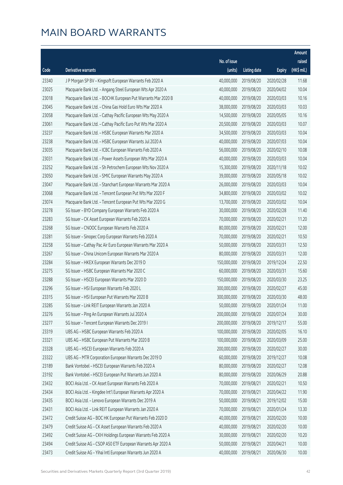|       |                                                              |              |                       |               | Amount      |
|-------|--------------------------------------------------------------|--------------|-----------------------|---------------|-------------|
|       |                                                              | No. of issue |                       |               | raised      |
| Code  | <b>Derivative warrants</b>                                   | (units)      | <b>Listing date</b>   | <b>Expiry</b> | (HK\$ mil.) |
| 23340 | J P Morgan SP BV - Kingsoft European Warrants Feb 2020 A     | 40,000,000   | 2019/08/20            | 2020/02/28    | 11.68       |
| 23025 | Macquarie Bank Ltd. - Angang Steel European Wts Apr 2020 A   | 40,000,000   | 2019/08/20            | 2020/04/02    | 10.04       |
| 23018 | Macquarie Bank Ltd. - BOCHK European Put Warrants Mar 2020 B | 40,000,000   | 2019/08/20            | 2020/03/03    | 10.16       |
| 23045 | Macquarie Bank Ltd. - China Gas Hold Euro Wts Mar 2020 A     | 38,000,000   | 2019/08/20            | 2020/03/03    | 10.03       |
| 23058 | Macquarie Bank Ltd. - Cathay Pacific European Wts May 2020 A | 14,500,000   | 2019/08/20            | 2020/05/05    | 10.16       |
| 23061 | Macquarie Bank Ltd. - Cathay Pacific Euro Put Wts Mar 2020 A | 20,500,000   | 2019/08/20            | 2020/03/03    | 10.07       |
| 23237 | Macquarie Bank Ltd. - HSBC European Warrants Mar 2020 A      | 34,500,000   | 2019/08/20            | 2020/03/03    | 10.04       |
| 23238 | Macquarie Bank Ltd. - HSBC European Warrants Jul 2020 A      | 40,000,000   | 2019/08/20            | 2020/07/03    | 10.04       |
| 23035 | Macquarie Bank Ltd. - ICBC European Warrants Feb 2020 A      | 56,000,000   | 2019/08/20            | 2020/02/10    | 10.08       |
| 23031 | Macquarie Bank Ltd. - Power Assets European Wts Mar 2020 A   | 40,000,000   | 2019/08/20            | 2020/03/03    | 10.04       |
| 23252 | Macquarie Bank Ltd. - Sh Petrochem European Wts Nov 2020 A   | 15,300,000   | 2019/08/20            | 2020/11/18    | 10.02       |
| 23050 | Macquarie Bank Ltd. - SMIC European Warrants May 2020 A      | 39,000,000   | 2019/08/20            | 2020/05/18    | 10.02       |
| 23047 | Macquarie Bank Ltd. - Stanchart European Warrants Mar 2020 A | 26,000,000   | 2019/08/20            | 2020/03/03    | 10.04       |
| 23068 | Macquarie Bank Ltd. - Tencent European Put Wts Mar 2020 F    | 34,800,000   | 2019/08/20            | 2020/03/02    | 10.02       |
| 23074 | Macquarie Bank Ltd. - Tencent European Put Wts Mar 2020 G    | 13,700,000   | 2019/08/20            | 2020/03/02    | 10.04       |
| 23278 | SG Issuer - BYD Company European Warrants Feb 2020 A         | 30,000,000   | 2019/08/20            | 2020/02/28    | 11.40       |
| 23283 | SG Issuer - CK Asset European Warrants Feb 2020 A            | 70,000,000   | 2019/08/20            | 2020/02/21    | 11.20       |
| 23268 | SG Issuer - CNOOC European Warrants Feb 2020 A               | 80,000,000   | 2019/08/20            | 2020/02/21    | 12.00       |
| 23281 | SG Issuer - Sinopec Corp European Warrants Feb 2020 A        | 70,000,000   | 2019/08/20            | 2020/02/21    | 10.50       |
| 23258 | SG Issuer - Cathay Pac Air Euro European Warrants Mar 2020 A | 50,000,000   | 2019/08/20            | 2020/03/31    | 12.50       |
| 23267 | SG Issuer - China Unicom European Warrants Mar 2020 A        | 80,000,000   | 2019/08/20            | 2020/03/31    | 12.00       |
| 23284 | SG Issuer - HKEX European Warrants Dec 2019 D                | 150,000,000  | 2019/08/20            | 2019/12/24    | 22.50       |
| 23275 | SG Issuer - HSBC European Warrants Mar 2020 C                | 60,000,000   | 2019/08/20            | 2020/03/31    | 15.60       |
| 23288 | SG Issuer - HSCEI European Warrants Mar 2020 D               | 150,000,000  | 2019/08/20            | 2020/03/30    | 23.25       |
| 23296 | SG Issuer - HSI European Warrants Feb 2020 L                 | 300,000,000  | 2019/08/20            | 2020/02/27    | 45.00       |
| 23315 | SG Issuer - HSI European Put Warrants Mar 2020 B             | 300,000,000  | 2019/08/20            | 2020/03/30    | 48.00       |
| 23285 | SG Issuer - Link REIT European Warrants Jan 2020 A           |              | 50,000,000 2019/08/20 | 2020/01/24    | 11.00       |
| 23276 | SG Issuer - Ping An European Warrants Jul 2020 A             | 200,000,000  | 2019/08/20            | 2020/07/24    | 30.00       |
| 23277 | SG Issuer - Tencent European Warrants Dec 2019 I             | 200,000,000  | 2019/08/20            | 2019/12/17    | 55.00       |
| 23319 | UBS AG - HSBC European Warrants Feb 2020 A                   | 100,000,000  | 2019/08/20            | 2020/02/05    | 16.10       |
| 23321 | UBS AG - HSBC European Put Warrants Mar 2020 B               | 100,000,000  | 2019/08/20            | 2020/03/09    | 25.00       |
| 23328 | UBS AG - HSCEI European Warrants Feb 2020 A                  | 200,000,000  | 2019/08/20            | 2020/02/27    | 30.00       |
| 23322 | UBS AG - MTR Corporation European Warrants Dec 2019 D        | 60,000,000   | 2019/08/20            | 2019/12/27    | 10.08       |
| 23189 | Bank Vontobel - HSCEI European Warrants Feb 2020 A           | 80,000,000   | 2019/08/20            | 2020/02/27    | 12.08       |
| 23192 | Bank Vontobel - HSCEI European Put Warrants Jun 2020 A       | 80,000,000   | 2019/08/20            | 2020/06/29    | 20.88       |
| 23432 | BOCI Asia Ltd. - CK Asset European Warrants Feb 2020 A       | 70,000,000   | 2019/08/21            | 2020/02/21    | 10.50       |
| 23434 | BOCI Asia Ltd. - Kingdee Int'l European Warrants Apr 2020 A  | 70,000,000   | 2019/08/21            | 2020/04/22    | 11.90       |
| 23435 | BOCI Asia Ltd. - Lenovo European Warrants Dec 2019 A         | 50,000,000   | 2019/08/21            | 2019/12/02    | 15.00       |
| 23431 | BOCI Asia Ltd. - Link REIT European Warrants Jan 2020 A      | 70,000,000   | 2019/08/21            | 2020/01/24    | 13.30       |
| 23472 | Credit Suisse AG - BOC HK European Put Warrants Feb 2020 D   | 40,000,000   | 2019/08/21            | 2020/02/20    | 10.00       |
| 23479 | Credit Suisse AG - CK Asset European Warrants Feb 2020 A     | 40,000,000   | 2019/08/21            | 2020/02/20    | 10.00       |
| 23492 | Credit Suisse AG - CKH Holdings European Warrants Feb 2020 A | 30,000,000   | 2019/08/21            | 2020/02/20    | 10.20       |
| 23494 | Credit Suisse AG - CSOP A50 ETF European Warrants Apr 2020 A | 50,000,000   | 2019/08/21            | 2020/04/21    | 10.00       |
| 23473 | Credit Suisse AG - Yihai Intl European Warrants Jun 2020 A   | 40,000,000   | 2019/08/21            | 2020/06/30    | 10.00       |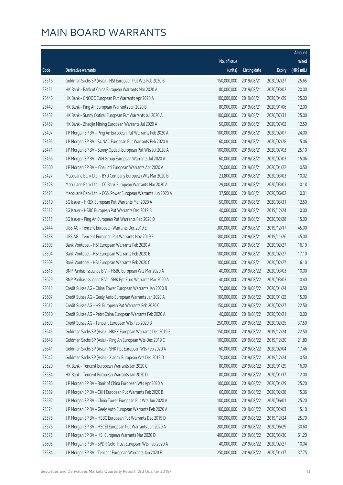|       |                                                              |                        |                     |               | Amount      |
|-------|--------------------------------------------------------------|------------------------|---------------------|---------------|-------------|
|       |                                                              | No. of issue           |                     |               | raised      |
| Code  | Derivative warrants                                          | (units)                | <b>Listing date</b> | <b>Expiry</b> | (HK\$ mil.) |
| 23516 | Goldman Sachs SP (Asia) - HSI European Put Wts Feb 2020 B    | 150,000,000            | 2019/08/21          | 2020/02/27    | 25.65       |
| 23451 | HK Bank - Bank of China European Warrants Mar 2020 A         | 80,000,000             | 2019/08/21          | 2020/03/02    | 20.00       |
| 23446 | HK Bank - CNOOC European Put Warrants Apr 2020 A             | 100,000,000            | 2019/08/21          | 2020/04/29    | 25.00       |
| 23449 | HK Bank - Ping An European Warrants Jan 2020 B               | 80,000,000             | 2019/08/21          | 2020/01/06    | 12.00       |
| 23452 | HK Bank - Sunny Optical European Put Warrants Jul 2020 A     | 100,000,000            | 2019/08/21          | 2020/07/31    | 25.00       |
| 23459 | HK Bank - Zhaojin Mining European Warrants Jul 2020 A        | 50,000,000             | 2019/08/21          | 2020/07/02    | 12.50       |
| 23497 | J P Morgan SP BV - Ping An European Put Warrants Feb 2020 A  | 100,000,000            | 2019/08/21          | 2020/02/07    | 24.00       |
| 23495 | J P Morgan SP BV - SUNAC European Put Warrants Feb 2020 A    | 60,000,000             | 2019/08/21          | 2020/02/28    | 15.06       |
| 23471 | J P Morgan SP BV - Sunny Optical European Put Wts Jul 2020 A | 100,000,000            | 2019/08/21          | 2020/07/03    | 25.10       |
| 23466 | J P Morgan SP BV - WH Group European Warrants Jul 2020 A     | 60,000,000             | 2019/08/21          | 2020/07/03    | 15.06       |
| 23500 | J P Morgan SP BV - Yihai Intl European Warrants Apr 2020 A   | 70,000,000             | 2019/08/21          | 2020/04/22    | 10.50       |
| 23427 | Macquarie Bank Ltd. - BYD Company European Wts Mar 2020 B    | 23,800,000             | 2019/08/21          | 2020/03/03    | 10.02       |
| 23428 | Macquarie Bank Ltd. - CC Bank European Warrants Mar 2020 A   | 29,000,000             | 2019/08/21          | 2020/03/03    | 10.18       |
| 23423 | Macquarie Bank Ltd. - CGN Power European Warrants Jun 2020 A | 37,500,000             | 2019/08/21          | 2020/06/02    | 10.01       |
| 23510 | SG Issuer - HKEX European Put Warrants Mar 2020 A            | 50,000,000             | 2019/08/21          | 2020/03/31    | 12.50       |
| 23512 | SG Issuer - HSBC European Put Warrants Dec 2019 B            | 40,000,000             | 2019/08/21          | 2019/12/24    | 10.00       |
| 23515 | SG Issuer - Ping An European Put Warrants Feb 2020 D         | 60,000,000             | 2019/08/21          | 2020/02/28    | 15.00       |
| 23444 | UBS AG - Tencent European Warrants Dec 2019 E                | 300,000,000            | 2019/08/21          | 2019/12/17    | 45.00       |
| 23438 | UBS AG - Tencent European Put Warrants Nov 2019 E            | 300,000,000            | 2019/08/21          | 2019/11/26    | 45.00       |
| 23503 | Bank Vontobel - HSI European Warrants Feb 2020 A             | 100,000,000            | 2019/08/21          | 2020/02/27    | 16.10       |
| 23504 | Bank Vontobel - HSI European Warrants Feb 2020 B             | 100,000,000            | 2019/08/21          | 2020/02/27    | 17.10       |
| 23509 | Bank Vontobel - HSI European Warrants Feb 2020 C             | 100,000,000            | 2019/08/21          | 2020/02/27    | 16.10       |
| 23618 | BNP Paribas Issuance B.V. - HSBC European Wts Mar 2020 A     | 40,000,000             | 2019/08/22          | 2020/03/03    | 10.00       |
| 23629 | BNP Paribas Issuance B.V. - SHK Ppt Euro Warrants Mar 2020 A | 40,000,000             | 2019/08/22          | 2020/03/03    | 10.40       |
| 23611 | Credit Suisse AG - China Tower European Warrants Jan 2020 B  | 70,000,000             | 2019/08/22          | 2020/01/24    | 10.50       |
| 23607 | Credit Suisse AG - Geely Auto European Warrants Jan 2020 A   | 100,000,000            | 2019/08/22          | 2020/01/22    | 15.00       |
| 23612 | Credit Suisse AG - HSI European Put Warrants Feb 2020 C      | 150,000,000 2019/08/22 |                     | 2020/02/27    | 22.50       |
| 23610 | Credit Suisse AG - PetroChina European Warrants Feb 2020 A   | 40,000,000             | 2019/08/22          | 2020/02/21    | 10.00       |
| 23609 | Credit Suisse AG - Tencent European Wts Feb 2020 B           | 250,000,000            | 2019/08/22          | 2020/02/25    | 37.50       |
| 23645 | Goldman Sachs SP (Asia) - HKEX European Warrants Dec 2019 E  | 150,000,000            | 2019/08/22          | 2019/12/24    | 22.50       |
| 23648 | Goldman Sachs SP (Asia) - Ping An European Wts Dec 2019 C    | 100,000,000            | 2019/08/22          | 2019/12/20    | 21.80       |
| 23641 | Goldman Sachs SP (Asia) - SHK Ppt European Wts Feb 2020 A    | 60,000,000             | 2019/08/22          | 2020/02/04    | 17.46       |
| 23642 | Goldman Sachs SP (Asia) - Xiaomi European Wts Dec 2019 D     | 70,000,000             | 2019/08/22          | 2019/12/24    | 10.50       |
| 23520 | HK Bank - Tencent European Warrants Jan 2020 C               | 80,000,000             | 2019/08/22          | 2020/01/29    | 16.00       |
| 23534 | HK Bank - Tencent European Warrants Jan 2020 D               | 80,000,000             | 2019/08/22          | 2020/01/17    | 12.00       |
| 23586 | J P Morgan SP BV - Bank of China European Wts Apr 2020 A     | 100,000,000            | 2019/08/22          | 2020/04/29    | 25.20       |
| 23589 | J P Morgan SP BV - CKH European Put Warrants Feb 2020 B      | 60,000,000             | 2019/08/22          | 2020/02/28    | 15.36       |
| 23592 | J P Morgan SP BV - China Tower European Put Wts Jun 2020 A   | 100,000,000            | 2019/08/22          | 2020/06/01    | 25.20       |
| 23574 | J P Morgan SP BV - Geely Auto European Warrants Feb 2020 A   | 100,000,000            | 2019/08/22          | 2020/02/03    | 15.10       |
| 23578 | J P Morgan SP BV - HSBC European Put Warrants Dec 2019 D     | 100,000,000            | 2019/08/22          | 2019/12/24    | 25.70       |
| 23576 | J P Morgan SP BV - HSCEI European Put Warrants Jun 2020 A    | 200,000,000            | 2019/08/22          | 2020/06/29    | 30.60       |
| 23575 | J P Morgan SP BV - HSI European Warrants Mar 2020 D          | 400,000,000            | 2019/08/22          | 2020/03/30    | 61.20       |
| 23605 | J P Morgan SP BV - SPDR Gold Trust European Wts Feb 2020 A   | 40,000,000             | 2019/08/22          | 2020/02/27    | 10.04       |
| 23584 | J P Morgan SP BV - Tencent European Warrants Jan 2020 F      | 250,000,000            | 2019/08/22          | 2020/01/17    | 37.75       |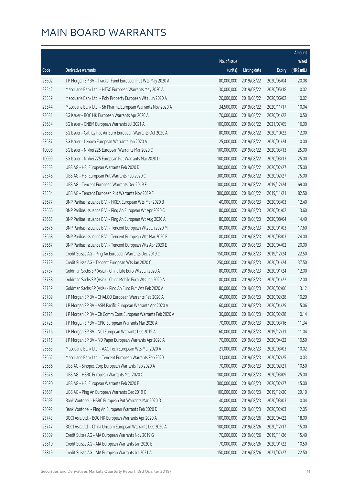|       |                                                              |              |                       |               | Amount      |
|-------|--------------------------------------------------------------|--------------|-----------------------|---------------|-------------|
|       |                                                              | No. of issue |                       |               | raised      |
| Code  | Derivative warrants                                          | (units)      | <b>Listing date</b>   | <b>Expiry</b> | (HK\$ mil.) |
| 23602 | J P Morgan SP BV - Tracker Fund European Put Wts May 2020 A  | 80,000,000   | 2019/08/22            | 2020/05/04    | 20.08       |
| 23542 | Macquarie Bank Ltd. - HTSC European Warrants May 2020 A      | 30,000,000   | 2019/08/22            | 2020/05/18    | 10.02       |
| 23539 | Macquarie Bank Ltd. - Poly Property European Wts Jun 2020 A  | 20,000,000   | 2019/08/22            | 2020/06/02    | 10.02       |
| 23544 | Macquarie Bank Ltd. - Sh Pharma European Warrants Nov 2020 A | 34,500,000   | 2019/08/22            | 2020/11/17    | 10.04       |
| 23631 | SG Issuer - BOC HK European Warrants Apr 2020 A              | 70,000,000   | 2019/08/22            | 2020/04/22    | 10.50       |
| 23634 | SG Issuer - CNBM European Warrants Jul 2021 A                | 100,000,000  | 2019/08/22            | 2021/07/05    | 16.00       |
| 23633 | SG Issuer - Cathay Pac Air Euro European Warrants Oct 2020 A | 80,000,000   | 2019/08/22            | 2020/10/22    | 12.00       |
| 23637 | SG Issuer - Lenovo European Warrants Jan 2020 A              | 25,000,000   | 2019/08/22            | 2020/01/24    | 10.00       |
| 10098 | SG Issuer - Nikkei 225 European Warrants Mar 2020 C          | 100,000,000  | 2019/08/22            | 2020/03/13    | 25.00       |
| 10099 | SG Issuer - Nikkei 225 European Put Warrants Mar 2020 D      | 100,000,000  | 2019/08/22            | 2020/03/13    | 25.00       |
| 23553 | UBS AG - HSI European Warrants Feb 2020 D                    | 300,000,000  | 2019/08/22            | 2020/02/27    | 75.00       |
| 23546 | UBS AG - HSI European Put Warrants Feb 2020 C                | 300,000,000  | 2019/08/22            | 2020/02/27    | 75.00       |
| 23552 | UBS AG - Tencent European Warrants Dec 2019 F                | 300,000,000  | 2019/08/22            | 2019/12/24    | 69.00       |
| 23554 | UBS AG - Tencent European Put Warrants Nov 2019 F            | 300,000,000  | 2019/08/22            | 2019/11/21    | 82.50       |
| 23677 | BNP Paribas Issuance B.V. - HKEX European Wts Mar 2020 B     | 40,000,000   | 2019/08/23            | 2020/03/03    | 12.40       |
| 23666 | BNP Paribas Issuance B.V. - Ping An European Wt Apr 2020 C   | 80,000,000   | 2019/08/23            | 2020/04/02    | 13.60       |
| 23665 | BNP Paribas Issuance B.V. - Ping An European Wt Aug 2020 A   | 80,000,000   | 2019/08/23            | 2020/08/04    | 14.40       |
| 23676 | BNP Paribas Issuance B.V. - Tencent European Wts Jan 2020 M  | 80,000,000   | 2019/08/23            | 2020/01/03    | 17.60       |
| 23668 | BNP Paribas Issuance B.V. - Tencent European Wts Mar 2020 E  | 80,000,000   | 2019/08/23            | 2020/03/03    | 24.00       |
| 23667 | BNP Paribas Issuance B.V. - Tencent European Wts Apr 2020 E  | 80,000,000   | 2019/08/23            | 2020/04/02    | 20.00       |
| 23736 | Credit Suisse AG - Ping An European Warrants Dec 2019 C      | 150,000,000  | 2019/08/23            | 2019/12/24    | 22.50       |
| 23729 | Credit Suisse AG - Tencent European Wts Jan 2020 C           | 250,000,000  | 2019/08/23            | 2020/01/24    | 37.50       |
| 23737 | Goldman Sachs SP (Asia) - China Life Euro Wts Jan 2020 A     | 80,000,000   | 2019/08/23            | 2020/01/24    | 12.00       |
| 23738 | Goldman Sachs SP (Asia) - China Mobile Euro Wts Jan 2020 A   | 80,000,000   | 2019/08/23            | 2020/01/22    | 12.00       |
| 23739 | Goldman Sachs SP (Asia) - Ping An Euro Put Wts Feb 2020 A    | 80,000,000   | 2019/08/23            | 2020/02/06    | 13.12       |
| 23709 | J P Morgan SP BV - CHALCO European Warrants Feb 2020 A       | 40,000,000   | 2019/08/23            | 2020/02/28    | 10.20       |
| 23698 | J P Morgan SP BV - ASM Pacific European Warrants Apr 2020 A  |              | 60,000,000 2019/08/23 | 2020/04/29    | 15.06       |
| 23721 | J P Morgan SP BV - Ch Comm Cons European Warrants Feb 2020 A | 30,000,000   | 2019/08/23            | 2020/02/28    | 10.14       |
| 23725 | J P Morgan SP BV - CPIC European Warrants Mar 2020 A         | 70,000,000   | 2019/08/23            | 2020/03/16    | 11.34       |
| 23716 | J P Morgan SP BV - NCI European Warrants Dec 2019 A          | 60,000,000   | 2019/08/23            | 2019/12/31    | 11.04       |
| 23715 | J P Morgan SP BV - ND Paper European Warrants Apr 2020 A     | 70,000,000   | 2019/08/23            | 2020/04/22    | 10.50       |
| 23663 | Macquarie Bank Ltd. - AAC Tech European Wts Mar 2020 A       | 21,000,000   | 2019/08/23            | 2020/03/03    | 10.02       |
| 23662 | Macquarie Bank Ltd. - Tencent European Warrants Feb 2020 L   | 33,000,000   | 2019/08/23            | 2020/02/25    | 10.03       |
| 23686 | UBS AG - Sinopec Corp European Warrants Feb 2020 A           | 70,000,000   | 2019/08/23            | 2020/02/21    | 10.50       |
| 23678 | UBS AG - HSBC European Warrants Mar 2020 C                   | 100,000,000  | 2019/08/23            | 2020/03/09    | 25.00       |
| 23690 | UBS AG - HSI European Warrants Feb 2020 E                    | 300,000,000  | 2019/08/23            | 2020/02/27    | 45.00       |
| 23681 | UBS AG - Ping An European Warrants Dec 2019 C                | 100,000,000  | 2019/08/23            | 2019/12/20    | 29.10       |
| 23693 | Bank Vontobel - HSBC European Put Warrants Mar 2020 D        | 40,000,000   | 2019/08/23            | 2020/03/03    | 10.04       |
| 23692 | Bank Vontobel - Ping An European Warrants Feb 2020 D         | 50,000,000   | 2019/08/23            | 2020/02/03    | 12.05       |
| 23743 | BOCI Asia Ltd. - BOC HK European Warrants Apr 2020 A         | 100,000,000  | 2019/08/26            | 2020/04/22    | 18.00       |
| 23747 | BOCI Asia Ltd. - China Unicom European Warrants Dec 2020 A   | 100,000,000  | 2019/08/26            | 2020/12/17    | 15.00       |
| 23809 | Credit Suisse AG - AIA European Warrants Nov 2019 G          | 70,000,000   | 2019/08/26            | 2019/11/26    | 15.40       |
| 23810 | Credit Suisse AG - AIA European Warrants Jan 2020 B          | 70,000,000   | 2019/08/26            | 2020/01/22    | 10.50       |
| 23819 | Credit Suisse AG - AIA European Warrants Jul 2021 A          | 150,000,000  | 2019/08/26            | 2021/07/27    | 22.50       |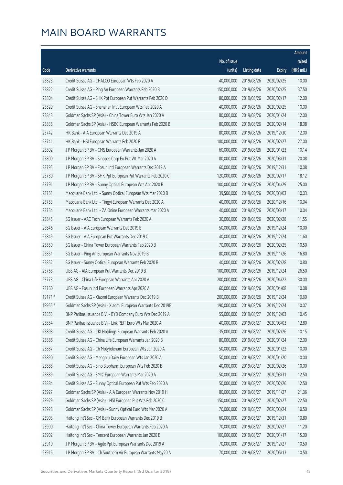|         |                                                              |              |                        |               | Amount      |
|---------|--------------------------------------------------------------|--------------|------------------------|---------------|-------------|
|         |                                                              | No. of issue |                        |               | raised      |
| Code    | Derivative warrants                                          | (units)      | <b>Listing date</b>    | <b>Expiry</b> | (HK\$ mil.) |
| 23823   | Credit Suisse AG - CHALCO European Wts Feb 2020 A            | 40,000,000   | 2019/08/26             | 2020/02/25    | 10.00       |
| 23822   | Credit Suisse AG - Ping An European Warrants Feb 2020 B      | 150,000,000  | 2019/08/26             | 2020/02/25    | 37.50       |
| 23804   | Credit Suisse AG - SHK Ppt European Put Warrants Feb 2020 D  | 80,000,000   | 2019/08/26             | 2020/02/17    | 12.00       |
| 23829   | Credit Suisse AG - Shenzhen Int'l European Wts Feb 2020 A    | 40,000,000   | 2019/08/26             | 2020/02/25    | 10.00       |
| 23843   | Goldman Sachs SP (Asia) - China Tower Euro Wts Jan 2020 A    | 80,000,000   | 2019/08/26             | 2020/01/24    | 12.00       |
| 23838   | Goldman Sachs SP (Asia) - HSBC European Warrants Feb 2020 B  | 80,000,000   | 2019/08/26             | 2020/02/14    | 18.08       |
| 23742   | HK Bank - AIA European Warrants Dec 2019 A                   | 80,000,000   | 2019/08/26             | 2019/12/30    | 12.00       |
| 23741   | HK Bank - HSI European Warrants Feb 2020 F                   | 180,000,000  | 2019/08/26             | 2020/02/27    | 27.00       |
| 23802   | J P Morgan SP BV - CMS European Warrants Jan 2020 A          | 60,000,000   | 2019/08/26             | 2020/01/23    | 10.14       |
| 23800   | J P Morgan SP BV - Sinopec Corp Eu Put Wt Mar 2020 A         | 80,000,000   | 2019/08/26             | 2020/03/31    | 20.08       |
| 23795   | J P Morgan SP BV - Fosun Intl European Warrants Dec 2019 A   | 60,000,000   | 2019/08/26             | 2019/12/31    | 10.08       |
| 23780   | J P Morgan SP BV - SHK Ppt European Put Warrants Feb 2020 C  | 120,000,000  | 2019/08/26             | 2020/02/17    | 18.12       |
| 23791   | J P Morgan SP BV - Sunny Optical European Wts Apr 2020 B     | 100,000,000  | 2019/08/26             | 2020/04/29    | 25.00       |
| 23751   | Macquarie Bank Ltd. - Sunny Optical European Wts Mar 2020 B  | 39,500,000   | 2019/08/26             | 2020/03/03    | 10.03       |
| 23753   | Macquarie Bank Ltd. - Tingyi European Warrants Dec 2020 A    | 40,000,000   | 2019/08/26             | 2020/12/16    | 10.04       |
| 23754   | Macquarie Bank Ltd. - ZA Onine European Warrants Mar 2020 A  | 40,000,000   | 2019/08/26             | 2020/03/17    | 10.04       |
| 23845   | SG Issuer - AAC Tech European Warrants Feb 2020 A            | 30,000,000   | 2019/08/26             | 2020/02/28    | 11.55       |
| 23846   | SG Issuer - AIA European Warrants Dec 2019 B                 | 50,000,000   | 2019/08/26             | 2019/12/24    | 10.00       |
| 23849   | SG Issuer - AIA European Put Warrants Dec 2019 C             | 40,000,000   | 2019/08/26             | 2019/12/24    | 11.60       |
| 23850   | SG Issuer - China Tower European Warrants Feb 2020 B         | 70,000,000   | 2019/08/26             | 2020/02/25    | 10.50       |
| 23851   | SG Issuer - Ping An European Warrants Nov 2019 B             | 80,000,000   | 2019/08/26             | 2019/11/26    | 16.80       |
| 23852   | SG Issuer - Sunny Optical European Warrants Feb 2020 B       | 40,000,000   | 2019/08/26             | 2020/02/28    | 10.80       |
| 23768   | UBS AG - AIA European Put Warrants Dec 2019 B                | 100,000,000  | 2019/08/26             | 2019/12/24    | 26.50       |
| 23773   | UBS AG - China Life European Warrants Apr 2020 A             | 200,000,000  | 2019/08/26             | 2020/04/22    | 30.00       |
| 23760   | UBS AG - Fosun Intl European Warrants Apr 2020 A             | 60,000,000   | 2019/08/26             | 2020/04/08    | 10.08       |
| 19171#  | Credit Suisse AG - Xiaomi European Warrants Dec 2019 B       | 200,000,000  | 2019/08/26             | 2019/12/24    | 10.60       |
| 18955 # | Goldman Sachs SP (Asia) - Xiaomi European Warrants Dec 2019B |              | 190,000,000 2019/08/26 | 2019/12/24    | 10.07       |
| 23853   | BNP Paribas Issuance B.V. - BYD Company Euro Wts Dec 2019 A  | 55,000,000   | 2019/08/27             | 2019/12/03    | 10.45       |
| 23854   | BNP Paribas Issuance B.V. - Link REIT Euro Wts Mar 2020 A    | 40,000,000   | 2019/08/27             | 2020/03/03    | 12.80       |
| 23898   | Credit Suisse AG - CKI Holdings European Warrants Feb 2020 A | 35,000,000   | 2019/08/27             | 2020/02/26    | 10.15       |
| 23886   | Credit Suisse AG - China Life European Warrants Jan 2020 B   | 80,000,000   | 2019/08/27             | 2020/01/24    | 12.00       |
| 23887   | Credit Suisse AG - Ch Molybdenum European Wts Jan 2020 A     | 50,000,000   | 2019/08/27             | 2020/01/22    | 10.00       |
| 23890   | Credit Suisse AG - Mengniu Dairy European Wts Jan 2020 A     | 50,000,000   | 2019/08/27             | 2020/01/20    | 10.00       |
| 23888   | Credit Suisse AG - Sino Biopharm European Wts Feb 2020 B     | 40,000,000   | 2019/08/27             | 2020/02/26    | 10.00       |
| 23889   | Credit Suisse AG - SMIC European Warrants Mar 2020 A         | 50,000,000   | 2019/08/27             | 2020/03/31    | 12.50       |
| 23884   | Credit Suisse AG - Sunny Optical European Put Wts Feb 2020 A | 50,000,000   | 2019/08/27             | 2020/02/26    | 12.50       |
| 23927   | Goldman Sachs SP (Asia) - AIA European Warrants Nov 2019 H   | 80,000,000   | 2019/08/27             | 2019/11/27    | 21.36       |
| 23929   | Goldman Sachs SP (Asia) - HSI European Put Wts Feb 2020 C    | 150,000,000  | 2019/08/27             | 2020/02/27    | 22.50       |
| 23928   | Goldman Sachs SP (Asia) - Sunny Optical Euro Wts Mar 2020 A  | 70,000,000   | 2019/08/27             | 2020/03/24    | 10.50       |
| 23903   | Haitong Int'l Sec - CM Bank European Warrants Dec 2019 B     | 60,000,000   | 2019/08/27             | 2019/12/31    | 10.80       |
| 23900   | Haitong Int'l Sec - China Tower European Warrants Feb 2020 A | 70,000,000   | 2019/08/27             | 2020/02/27    | 11.20       |
| 23902   | Haitong Int'l Sec - Tencent European Warrants Jan 2020 B     | 100,000,000  | 2019/08/27             | 2020/01/17    | 15.00       |
| 23910   | J P Morgan SP BV - Agile Ppt European Warrants Dec 2019 A    | 70,000,000   | 2019/08/27             | 2019/12/27    | 10.50       |
| 23915   | J P Morgan SP BV - Ch Southern Air European Warrants May20 A | 70,000,000   | 2019/08/27             | 2020/05/13    | 10.50       |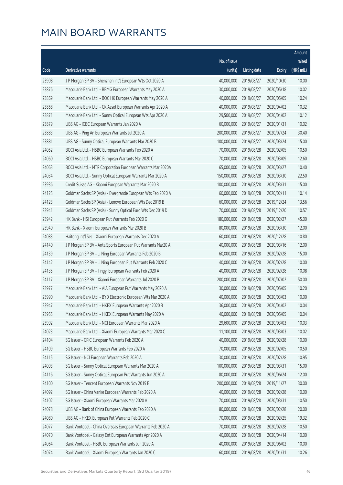|       |                                                              |              |                       |               | Amount      |
|-------|--------------------------------------------------------------|--------------|-----------------------|---------------|-------------|
|       |                                                              | No. of issue |                       |               | raised      |
| Code  | Derivative warrants                                          | (units)      | <b>Listing date</b>   | <b>Expiry</b> | (HK\$ mil.) |
| 23908 | J P Morgan SP BV - Shenzhen Int'l European Wts Oct 2020 A    | 40,000,000   | 2019/08/27            | 2020/10/30    | 10.00       |
| 23876 | Macquarie Bank Ltd. - BBMG European Warrants May 2020 A      | 30,000,000   | 2019/08/27            | 2020/05/18    | 10.02       |
| 23869 | Macquarie Bank Ltd. - BOC HK European Warrants May 2020 A    | 40,000,000   | 2019/08/27            | 2020/05/05    | 10.24       |
| 23868 | Macquarie Bank Ltd. - CK Asset European Warrants Apr 2020 A  | 40,000,000   | 2019/08/27            | 2020/04/02    | 10.32       |
| 23871 | Macquarie Bank Ltd. - Sunny Optical European Wts Apr 2020 A  | 29,500,000   | 2019/08/27            | 2020/04/02    | 10.12       |
| 23879 | UBS AG - ICBC European Warrants Jan 2020 A                   | 60,000,000   | 2019/08/27            | 2020/01/31    | 10.02       |
| 23883 | UBS AG - Ping An European Warrants Jul 2020 A                | 200,000,000  | 2019/08/27            | 2020/07/24    | 30.40       |
| 23881 | UBS AG - Sunny Optical European Warrants Mar 2020 B          | 100,000,000  | 2019/08/27            | 2020/03/24    | 15.00       |
| 24052 | BOCI Asia Ltd. - HSBC European Warrants Feb 2020 A           | 70,000,000   | 2019/08/28            | 2020/02/05    | 10.50       |
| 24060 | BOCI Asia Ltd. - HSBC European Warrants Mar 2020 C           | 70,000,000   | 2019/08/28            | 2020/03/09    | 12.60       |
| 24063 | BOCI Asia Ltd. - MTR Corporation European Warrants Mar 2020A | 65,000,000   | 2019/08/28            | 2020/03/27    | 10.40       |
| 24034 | BOCI Asia Ltd. - Sunny Optical European Warrants Mar 2020 A  | 150,000,000  | 2019/08/28            | 2020/03/30    | 22.50       |
| 23936 | Credit Suisse AG - Xiaomi European Warrants Mar 2020 B       | 100,000,000  | 2019/08/28            | 2020/03/31    | 15.00       |
| 24125 | Goldman Sachs SP (Asia) - Evergrande European Wts Feb 2020 A | 60,000,000   | 2019/08/28            | 2020/02/11    | 10.14       |
| 24123 | Goldman Sachs SP (Asia) - Lenovo European Wts Dec 2019 B     | 60,000,000   | 2019/08/28            | 2019/12/24    | 13.56       |
| 23941 | Goldman Sachs SP (Asia) - Sunny Optical Euro Wts Dec 2019 D  | 70,000,000   | 2019/08/28            | 2019/12/20    | 10.57       |
| 23942 | HK Bank - HSI European Put Warrants Feb 2020 G               | 180,000,000  | 2019/08/28            | 2020/02/27    | 45.00       |
| 23940 | HK Bank - Xiaomi European Warrants Mar 2020 B                | 80,000,000   | 2019/08/28            | 2020/03/30    | 12.00       |
| 24083 | Haitong Int'l Sec - Xiaomi European Warrants Dec 2020 A      | 60,000,000   | 2019/08/28            | 2020/12/28    | 10.80       |
| 24140 | J P Morgan SP BV - Anta Sports European Put Warrants Mar20 A | 40,000,000   | 2019/08/28            | 2020/03/16    | 12.00       |
| 24139 | J P Morgan SP BV - Li Ning European Warrants Feb 2020 B      | 60,000,000   | 2019/08/28            | 2020/02/28    | 15.00       |
| 24142 | J P Morgan SP BV - Li Ning European Put Warrants Feb 2020 C  | 40,000,000   | 2019/08/28            | 2020/02/28    | 10.00       |
| 24135 | J P Morgan SP BV - Tingyi European Warrants Feb 2020 A       | 40,000,000   | 2019/08/28            | 2020/02/28    | 10.08       |
| 24117 | J P Morgan SP BV - Xiaomi European Warrants Jul 2020 B       | 200,000,000  | 2019/08/28            | 2020/07/02    | 50.00       |
| 23977 | Macquarie Bank Ltd. - AIA European Put Warrants May 2020 A   | 30,000,000   | 2019/08/28            | 2020/05/05    | 10.20       |
| 23990 | Macquarie Bank Ltd. - BYD Electronic European Wts Mar 2020 A | 40,000,000   | 2019/08/28            | 2020/03/03    | 10.00       |
| 23947 | Macquarie Bank Ltd. - HKEX European Warrants Apr 2020 B      |              | 36,000,000 2019/08/28 | 2020/04/02    | 10.04       |
| 23955 | Macquarie Bank Ltd. - HKEX European Warrants May 2020 A      | 40,000,000   | 2019/08/28            | 2020/05/05    | 10.04       |
| 23992 | Macquarie Bank Ltd. - NCI European Warrants Mar 2020 A       | 29,600,000   | 2019/08/28            | 2020/03/03    | 10.03       |
| 24023 | Macquarie Bank Ltd. - Xiaomi European Warrants Mar 2020 C    | 11,100,000   | 2019/08/28            | 2020/03/03    | 10.02       |
| 24104 | SG Issuer - CPIC European Warrants Feb 2020 A                | 40,000,000   | 2019/08/28            | 2020/02/28    | 10.00       |
| 24109 | SG Issuer - HSBC European Warrants Feb 2020 A                | 70,000,000   | 2019/08/28            | 2020/02/05    | 10.50       |
| 24115 | SG Issuer - NCI European Warrants Feb 2020 A                 | 30,000,000   | 2019/08/28            | 2020/02/28    | 10.95       |
| 24093 | SG Issuer - Sunny Optical European Warrants Mar 2020 A       | 100,000,000  | 2019/08/28            | 2020/03/31    | 15.00       |
| 24116 | SG Issuer - Sunny Optical European Put Warrants Jun 2020 A   | 80,000,000   | 2019/08/28            | 2020/06/24    | 12.00       |
| 24100 | SG Issuer - Tencent European Warrants Nov 2019 E             | 200,000,000  | 2019/08/28            | 2019/11/27    | 30.00       |
| 24092 | SG Issuer - China Vanke European Warrants Feb 2020 A         | 40,000,000   | 2019/08/28            | 2020/02/28    | 10.00       |
| 24102 | SG Issuer - Xiaomi European Warrants Mar 2020 A              | 70,000,000   | 2019/08/28            | 2020/03/31    | 10.50       |
| 24078 | UBS AG - Bank of China European Warrants Feb 2020 A          | 80,000,000   | 2019/08/28            | 2020/02/28    | 20.00       |
| 24080 | UBS AG - HKEX European Put Warrants Feb 2020 C               | 70,000,000   | 2019/08/28            | 2020/02/25    | 19.32       |
| 24077 | Bank Vontobel - China Overseas European Warrants Feb 2020 A  | 70,000,000   | 2019/08/28            | 2020/02/28    | 10.50       |
| 24070 | Bank Vontobel - Galaxy Ent European Warrants Apr 2020 A      | 40,000,000   | 2019/08/28            | 2020/04/14    | 10.00       |
| 24064 | Bank Vontobel - HSBC European Warrants Jun 2020 A            | 40,000,000   | 2019/08/28            | 2020/06/02    | 10.00       |
| 24074 | Bank Vontobel - Xiaomi European Warrants Jan 2020 C          | 60,000,000   | 2019/08/28            | 2020/01/31    | 10.26       |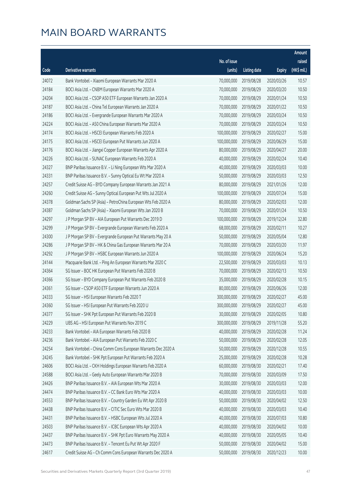|       |                                                              |                        |                     |               | Amount      |
|-------|--------------------------------------------------------------|------------------------|---------------------|---------------|-------------|
|       |                                                              | No. of issue           |                     |               | raised      |
| Code  | Derivative warrants                                          | (units)                | <b>Listing date</b> | <b>Expiry</b> | (HK\$ mil.) |
| 24072 | Bank Vontobel - Xiaomi European Warrants Mar 2020 A          | 70,000,000             | 2019/08/28          | 2020/03/26    | 10.57       |
| 24184 | BOCI Asia Ltd. - CNBM European Warrants Mar 2020 A           | 70,000,000             | 2019/08/29          | 2020/03/20    | 10.50       |
| 24204 | BOCI Asia Ltd. - CSOP A50 ETF European Warrants Jan 2020 A   | 70,000,000             | 2019/08/29          | 2020/01/24    | 10.50       |
| 24187 | BOCI Asia Ltd. - China Tel European Warrants Jan 2020 A      | 70,000,000             | 2019/08/29          | 2020/01/22    | 10.50       |
| 24186 | BOCI Asia Ltd. - Evergrande European Warrants Mar 2020 A     | 70,000,000             | 2019/08/29          | 2020/03/24    | 10.50       |
| 24224 | BOCI Asia Ltd. - A50 China European Warrants Mar 2020 A      | 70,000,000             | 2019/08/29          | 2020/03/24    | 10.50       |
| 24174 | BOCI Asia Ltd. - HSCEI European Warrants Feb 2020 A          | 100,000,000            | 2019/08/29          | 2020/02/27    | 15.00       |
| 24175 | BOCI Asia Ltd. - HSCEI European Put Warrants Jun 2020 A      | 100,000,000            | 2019/08/29          | 2020/06/29    | 15.00       |
| 24176 | BOCI Asia Ltd. - Jiangxi Copper European Warrants Apr 2020 A | 80,000,000             | 2019/08/29          | 2020/04/27    | 20.00       |
| 24226 | BOCI Asia Ltd. - SUNAC European Warrants Feb 2020 A          | 40,000,000             | 2019/08/29          | 2020/02/24    | 10.40       |
| 24327 | BNP Paribas Issuance B.V. - Li Ning European Wts Mar 2020 A  | 40,000,000             | 2019/08/29          | 2020/03/03    | 10.00       |
| 24331 | BNP Paribas Issuance B.V. - Sunny Optical Eu Wt Mar 2020 A   | 50,000,000             | 2019/08/29          | 2020/03/03    | 12.50       |
| 24257 | Credit Suisse AG - BYD Company European Warrants Jan 2021 A  | 80,000,000             | 2019/08/29          | 2021/01/26    | 12.00       |
| 24260 | Credit Suisse AG - Sunny Optical European Put Wts Jul 2020 A | 100,000,000            | 2019/08/29          | 2020/07/24    | 15.00       |
| 24378 | Goldman Sachs SP (Asia) - PetroChina European Wts Feb 2020 A | 80,000,000             | 2019/08/29          | 2020/02/03    | 12.00       |
| 24387 | Goldman Sachs SP (Asia) - Xiaomi European Wts Jan 2020 B     | 70,000,000             | 2019/08/29          | 2020/01/24    | 10.50       |
| 24297 | J P Morgan SP BV - AIA European Put Warrants Dec 2019 D      | 100,000,000            | 2019/08/29          | 2019/12/24    | 32.80       |
| 24299 | J P Morgan SP BV - Evergrande European Warrants Feb 2020 A   | 68,000,000             | 2019/08/29          | 2020/02/11    | 10.27       |
| 24300 | J P Morgan SP BV - Evergrande European Put Warrants May 20 A | 50,000,000             | 2019/08/29          | 2020/05/04    | 12.80       |
| 24286 | J P Morgan SP BV - HK & China Gas European Warrants Mar 20 A | 70,000,000             | 2019/08/29          | 2020/03/20    | 11.97       |
| 24292 | J P Morgan SP BV - HSBC European Warrants Jun 2020 A         | 100,000,000            | 2019/08/29          | 2020/06/24    | 15.20       |
| 24144 | Macquarie Bank Ltd. - Ping An European Warrants Mar 2020 C   | 22,500,000             | 2019/08/29          | 2020/03/03    | 10.13       |
| 24364 | SG Issuer - BOC HK European Put Warrants Feb 2020 B          | 70,000,000             | 2019/08/29          | 2020/02/13    | 10.50       |
| 24366 | SG Issuer - BYD Company European Put Warrants Feb 2020 B     | 35,000,000             | 2019/08/29          | 2020/02/28    | 10.15       |
| 24361 | SG Issuer - CSOP A50 ETF European Warrants Jun 2020 A        | 80,000,000             | 2019/08/29          | 2020/06/26    | 12.00       |
| 24333 | SG Issuer - HSI European Warrants Feb 2020 T                 | 300,000,000            | 2019/08/29          | 2020/02/27    | 45.00       |
| 24360 | SG Issuer - HSI European Put Warrants Feb 2020 U             | 300,000,000 2019/08/29 |                     | 2020/02/27    | 45.00       |
| 24377 | SG Issuer - SHK Ppt European Put Warrants Feb 2020 B         | 30,000,000             | 2019/08/29          | 2020/02/05    | 10.80       |
| 24229 | UBS AG - HSI European Put Warrants Nov 2019 C                | 300,000,000            | 2019/08/29          | 2019/11/28    | 55.20       |
| 24233 | Bank Vontobel - AIA European Warrants Feb 2020 B             | 40,000,000             | 2019/08/29          | 2020/02/28    | 11.24       |
| 24236 | Bank Vontobel - AIA European Put Warrants Feb 2020 C         | 50,000,000             | 2019/08/29          | 2020/02/28    | 12.05       |
| 24254 | Bank Vontobel - China Comm Cons European Warrants Dec 2020 A | 50,000,000             | 2019/08/29          | 2020/12/28    | 10.55       |
| 24245 | Bank Vontobel - SHK Ppt European Put Warrants Feb 2020 A     | 25,000,000             | 2019/08/29          | 2020/02/28    | 10.28       |
| 24606 | BOCI Asia Ltd. - CKH Holdings European Warrants Feb 2020 A   | 60,000,000             | 2019/08/30          | 2020/02/21    | 17.40       |
| 24588 | BOCI Asia Ltd. - Geely Auto European Warrants Mar 2020 B     | 70,000,000             | 2019/08/30          | 2020/03/09    | 17.50       |
| 24426 | BNP Paribas Issuance B.V. - AIA European Wts Mar 2020 A      | 30,000,000             | 2019/08/30          | 2020/03/03    | 12.00       |
| 24474 | BNP Paribas Issuance B.V. - CC Bank Euro Wts Mar 2020 A      | 40,000,000             | 2019/08/30          | 2020/03/03    | 10.00       |
| 24553 | BNP Paribas Issuance B.V. - Country Garden Eu Wt Apr 2020 B  | 50,000,000             | 2019/08/30          | 2020/04/02    | 12.50       |
| 24438 | BNP Paribas Issuance B.V. - CITIC Sec Euro Wts Mar 2020 B    | 40,000,000             | 2019/08/30          | 2020/03/03    | 10.40       |
| 24431 | BNP Paribas Issuance B.V. - HSBC European Wts Jul 2020 A     | 40,000,000             | 2019/08/30          | 2020/07/03    | 10.80       |
| 24503 | BNP Paribas Issuance B.V. - ICBC European Wts Apr 2020 A     | 40,000,000             | 2019/08/30          | 2020/04/02    | 10.00       |
| 24437 | BNP Paribas Issuance B.V. - SHK Ppt Euro Warrants May 2020 A | 40,000,000             | 2019/08/30          | 2020/05/05    | 10.40       |
| 24473 | BNP Paribas Issuance B.V. - Tencent Eu Put Wt Apr 2020 F     | 50,000,000             | 2019/08/30          | 2020/04/02    | 15.00       |
| 24617 | Credit Suisse AG - Ch Comm Cons European Warrants Dec 2020 A | 50,000,000             | 2019/08/30          | 2020/12/23    | 10.00       |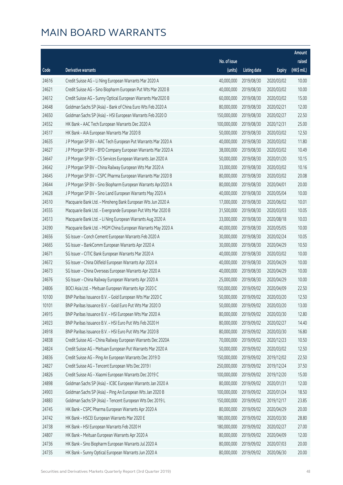|       |                                                              |              |                       |               | Amount      |
|-------|--------------------------------------------------------------|--------------|-----------------------|---------------|-------------|
|       |                                                              | No. of issue |                       |               | raised      |
| Code  | Derivative warrants                                          | (units)      | <b>Listing date</b>   | <b>Expiry</b> | (HK\$ mil.) |
| 24616 | Credit Suisse AG - Li Ning European Warrants Mar 2020 A      | 40,000,000   | 2019/08/30            | 2020/03/02    | 10.00       |
| 24621 | Credit Suisse AG - Sino Biopharm European Put Wts Mar 2020 B | 40,000,000   | 2019/08/30            | 2020/03/02    | 10.00       |
| 24612 | Credit Suisse AG - Sunny Optical European Warrants Mar2020 B | 60,000,000   | 2019/08/30            | 2020/03/02    | 15.00       |
| 24648 | Goldman Sachs SP (Asia) - Bank of China Euro Wts Feb 2020 A  | 80,000,000   | 2019/08/30            | 2020/02/21    | 12.00       |
| 24650 | Goldman Sachs SP (Asia) - HSI European Warrants Feb 2020 D   | 150,000,000  | 2019/08/30            | 2020/02/27    | 22.50       |
| 24552 | HK Bank - AAC Tech European Warrants Dec 2020 A              | 100,000,000  | 2019/08/30            | 2020/12/31    | 25.00       |
| 24517 | HK Bank - AIA European Warrants Mar 2020 B                   | 50,000,000   | 2019/08/30            | 2020/03/02    | 12.50       |
| 24635 | J P Morgan SP BV - AAC Tech European Put Warrants Mar 2020 A | 40,000,000   | 2019/08/30            | 2020/03/02    | 11.80       |
| 24627 | J P Morgan SP BV - BYD Company European Warrants Mar 2020 A  | 38,000,000   | 2019/08/30            | 2020/03/02    | 10.49       |
| 24647 | J P Morgan SP BV - CS Services European Warrants Jan 2020 A  | 50,000,000   | 2019/08/30            | 2020/01/20    | 10.15       |
| 24642 | J P Morgan SP BV - China Railway European Wts Mar 2020 A     | 33,000,000   | 2019/08/30            | 2020/03/02    | 10.16       |
| 24645 | J P Morgan SP BV - CSPC Pharma European Warrants Mar 2020 B  | 80,000,000   | 2019/08/30            | 2020/03/02    | 20.08       |
| 24644 | J P Morgan SP BV - Sino Biopharm European Warrants Apr2020 A | 80,000,000   | 2019/08/30            | 2020/04/01    | 20.00       |
| 24628 | J P Morgan SP BV - Sino Land European Warrants May 2020 A    | 40,000,000   | 2019/08/30            | 2020/05/04    | 10.00       |
| 24510 | Macquarie Bank Ltd. - Minsheng Bank European Wts Jun 2020 A  | 17,000,000   | 2019/08/30            | 2020/06/02    | 10.01       |
| 24555 | Macquarie Bank Ltd. - Evergrande European Put Wts Mar 2020 B | 31,500,000   | 2019/08/30            | 2020/03/03    | 10.05       |
| 24513 | Macquarie Bank Ltd. - Li Ning European Warrants Aug 2020 A   | 33,000,000   | 2019/08/30            | 2020/08/18    | 10.03       |
| 24390 | Macquarie Bank Ltd. - MGM China European Warrants May 2020 A | 40,000,000   | 2019/08/30            | 2020/05/05    | 10.00       |
| 24656 | SG Issuer - Conch Cement European Warrants Feb 2020 A        | 30,000,000   | 2019/08/30            | 2020/02/24    | 10.05       |
| 24665 | SG Issuer - BankComm European Warrants Apr 2020 A            | 30,000,000   | 2019/08/30            | 2020/04/29    | 10.50       |
| 24671 | SG Issuer - CITIC Bank European Warrants Mar 2020 A          | 40,000,000   | 2019/08/30            | 2020/03/02    | 10.00       |
| 24672 | SG Issuer - China Oilfield European Warrants Apr 2020 A      | 40,000,000   | 2019/08/30            | 2020/04/29    | 10.00       |
| 24673 | SG Issuer - China Overseas European Warrants Apr 2020 A      | 40,000,000   | 2019/08/30            | 2020/04/29    | 10.00       |
| 24676 | SG Issuer - China Railway European Warrants Apr 2020 A       | 25,000,000   | 2019/08/30            | 2020/04/29    | 10.00       |
| 24806 | BOCI Asia Ltd. - Meituan European Warrants Apr 2020 C        | 150,000,000  | 2019/09/02            | 2020/04/09    | 22.50       |
| 10100 | BNP Paribas Issuance B.V. - Gold European Wts Mar 2020 C     | 50,000,000   | 2019/09/02            | 2020/03/20    | 12.50       |
| 10101 | BNP Paribas Issuance B.V. - Gold Euro Put Wts Mar 2020 D     |              | 50,000,000 2019/09/02 | 2020/03/20    | 13.00       |
| 24915 | BNP Paribas Issuance B.V. - HSI European Wts Mar 2020 A      | 80,000,000   | 2019/09/02            | 2020/03/30    | 12.80       |
| 24923 | BNP Paribas Issuance B.V. - HSI Euro Put Wts Feb 2020 H      | 80,000,000   | 2019/09/02            | 2020/02/27    | 14.40       |
| 24918 | BNP Paribas Issuance B.V. - HSI Euro Put Wts Mar 2020 B      | 80,000,000   | 2019/09/02            | 2020/03/30    | 16.80       |
| 24838 | Credit Suisse AG - China Railway European Warrants Dec 2020A | 70,000,000   | 2019/09/02            | 2020/12/23    | 10.50       |
| 24824 | Credit Suisse AG - Meituan European Put Warrants Mar 2020 A  | 50,000,000   | 2019/09/02            | 2020/03/02    | 12.50       |
| 24836 | Credit Suisse AG - Ping An European Warrants Dec 2019 D      | 150,000,000  | 2019/09/02            | 2019/12/02    | 22.50       |
| 24827 | Credit Suisse AG - Tencent European Wts Dec 2019 I           | 250,000,000  | 2019/09/02            | 2019/12/24    | 37.50       |
| 24826 | Credit Suisse AG - Xiaomi European Warrants Dec 2019 C       | 100,000,000  | 2019/09/02            | 2019/12/20    | 15.00       |
| 24898 | Goldman Sachs SP (Asia) - ICBC European Warrants Jan 2020 A  | 80,000,000   | 2019/09/02            | 2020/01/31    | 12.00       |
| 24903 | Goldman Sachs SP (Asia) - Ping An European Wts Jan 2020 B    | 100,000,000  | 2019/09/02            | 2020/01/24    | 18.50       |
| 24883 | Goldman Sachs SP (Asia) - Tencent European Wts Dec 2019 L    | 150,000,000  | 2019/09/02            | 2019/12/17    | 23.85       |
| 24745 | HK Bank - CSPC Pharma European Warrants Apr 2020 A           | 80,000,000   | 2019/09/02            | 2020/04/29    | 20.00       |
| 24742 | HK Bank - HSCEI European Warrants Mar 2020 E                 | 180,000,000  | 2019/09/02            | 2020/03/30    | 28.80       |
| 24738 | HK Bank - HSI European Warrants Feb 2020 H                   | 180,000,000  | 2019/09/02            | 2020/02/27    | 27.00       |
| 24807 | HK Bank - Meituan European Warrants Apr 2020 A               | 80,000,000   | 2019/09/02            | 2020/04/09    | 12.00       |
| 24736 | HK Bank - Sino Biopharm European Warrants Jul 2020 A         | 80,000,000   | 2019/09/02            | 2020/07/03    | 20.00       |
| 24735 | HK Bank - Sunny Optical European Warrants Jun 2020 A         | 80,000,000   | 2019/09/02            | 2020/06/30    | 20.00       |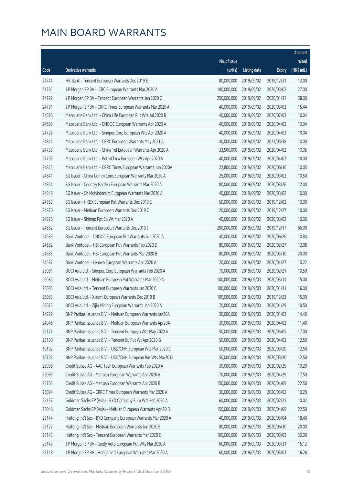|       |                                                              |              |                       |               | Amount      |
|-------|--------------------------------------------------------------|--------------|-----------------------|---------------|-------------|
|       |                                                              | No. of issue |                       |               | raised      |
| Code  | Derivative warrants                                          | (units)      | <b>Listing date</b>   | <b>Expiry</b> | (HK\$ mil.) |
| 24744 | HK Bank - Tencent European Warrants Dec 2019 E               | 80,000,000   | 2019/09/02            | 2019/12/31    | 12.00       |
| 24781 | J P Morgan SP BV - ICBC European Warrants Mar 2020 A         | 100,000,000  | 2019/09/02            | 2020/03/02    | 27.00       |
| 24799 | J P Morgan SP BV - Tencent European Warrants Jan 2020 G      | 250,000,000  | 2019/09/02            | 2020/01/31    | 38.00       |
| 24791 | J P Morgan SP BV - CRRC Times European Warrants Mar 2020 A   | 40,000,000   | 2019/09/02            | 2020/03/03    | 15.44       |
| 24696 | Macquarie Bank Ltd. - China Life European Put Wts Jul 2020 B | 40,000,000   | 2019/09/02            | 2020/07/03    | 10.04       |
| 24689 | Macquarie Bank Ltd. - CNOOC European Warrants Apr 2020 A     | 40,000,000   | 2019/09/02            | 2020/04/02    | 10.04       |
| 24726 | Macquarie Bank Ltd. - Sinopec Corp European Wts Apr 2020 A   | 40,000,000   | 2019/09/02            | 2020/04/02    | 10.04       |
| 24814 | Macquarie Bank Ltd. - CRRC European Warrants May 2021 A      | 40,000,000   | 2019/09/02            | 2021/05/18    | 10.00       |
| 24733 | Macquarie Bank Ltd. - China Tel European Warrants Apr 2020 A | 33,500,000   | 2019/09/02            | 2020/04/02    | 10.05       |
| 24703 | Macquarie Bank Ltd. - PetroChina European Wts Apr 2020 A     | 40,000,000   | 2019/09/02            | 2020/04/02    | 10.00       |
| 24813 | Macquarie Bank Ltd. - CRRC Times European Warrants Jun 2020A | 22,800,000   | 2019/09/02            | 2020/06/16    | 10.05       |
| 24841 | SG Issuer - China Comm Cons European Warrants Mar 2020 A     | 25,000,000   | 2019/09/02            | 2020/03/02    | 10.50       |
| 24854 | SG Issuer - Country Garden European Warrants Mar 2020 A      | 80,000,000   | 2019/09/02            | 2020/03/26    | 12.00       |
| 24849 | SG Issuer - Ch Molybdenum European Warrants Mar 2020 A       | 40,000,000   | 2019/09/02            | 2020/03/02    | 10.00       |
| 24859 | SG Issuer - HKEX European Put Warrants Dec 2019 E            | 50,000,000   | 2019/09/02            | 2019/12/02    | 10.00       |
| 24870 | SG Issuer - Meituan European Warrants Dec 2019 C             | 20,000,000   | 2019/09/02            | 2019/12/27    | 10.00       |
| 24876 | SG Issuer - Shimao Ppt Eu Wt Mar 2020 A                      | 40,000,000   | 2019/09/02            | 2020/03/02    | 10.00       |
| 24882 | SG Issuer - Tencent European Warrants Dec 2019 J             | 200,000,000  | 2019/09/02            | 2019/12/17    | 66.00       |
| 24686 | Bank Vontobel - CNOOC European Put Warrants Jun 2020 A       | 40,000,000   | 2019/09/02            | 2020/06/26    | 10.84       |
| 24682 | Bank Vontobel - HSI European Put Warrants Feb 2020 D         | 80,000,000   | 2019/09/02            | 2020/02/27    | 12.08       |
| 24685 | Bank Vontobel - HSI European Put Warrants Mar 2020 B         | 80,000,000   | 2019/09/02            | 2020/03/30    | 20.00       |
| 24687 | Bank Vontobel - Lenovo European Warrants Apr 2020 A          | 20,000,000   | 2019/09/02            | 2020/04/27    | 10.22       |
| 25081 | BOCI Asia Ltd. - Sinopec Corp European Warrants Feb 2020 A   | 70,000,000   | 2019/09/03            | 2020/02/21    | 10.50       |
| 25086 | BOCI Asia Ltd. - Meituan European Put Warrants Mar 2020 A    | 100,000,000  | 2019/09/03            | 2020/03/31    | 15.00       |
| 25085 | BOCI Asia Ltd. - Tencent European Warrants Jan 2020 C        | 100,000,000  | 2019/09/03            | 2020/01/31    | 16.00       |
| 25083 | BOCI Asia Ltd. - Xiaomi European Warrants Dec 2019 B         | 100,000,000  | 2019/09/03            | 2019/12/23    | 15.00       |
| 25075 | BOCI Asia Ltd. - Zijin Mining European Warrants Jan 2020 A   |              | 70,000,000 2019/09/03 | 2020/01/29    | 10.50       |
| 24929 | BNP Paribas Issuance B.V. - Meituan European Warrants Jan20A | 30,000,000   | 2019/09/03            | 2020/01/03    | 14.40       |
| 24946 | BNP Paribas Issuance B.V. - Meituan European Warrants Apr20A | 30,000,000   | 2019/09/03            | 2020/04/02    | 11.40       |
| 25174 | BNP Paribas Issuance B.V. - Tencent European Wts May 2020 A  | 50,000,000   | 2019/09/03            | 2020/05/05    | 17.00       |
| 25190 | BNP Paribas Issuance B.V. - Tencent Eu Put Wt Apr 2020 G     | 50,000,000   | 2019/09/03            | 2020/04/02    | 12.50       |
| 10102 | BNP Paribas Issuance B.V. - USD/CNH European Wts Mar 2020 C  | 50,000,000   | 2019/09/03            | 2020/03/20    | 12.50       |
| 10103 | BNP Paribas Issuance B.V. - USD/CNH European Put Wts Mar20 D | 50,000,000   | 2019/09/03            | 2020/03/20    | 12.50       |
| 25098 | Credit Suisse AG - AAC Tech European Warrants Feb 2020 A     | 30,000,000   | 2019/09/03            | 2020/02/25    | 10.20       |
| 25089 | Credit Suisse AG - Meituan European Warrants Apr 2020 A      | 70,000,000   | 2019/09/03            | 2020/04/29    | 17.50       |
| 25103 | Credit Suisse AG - Meituan European Warrants Apr 2020 B      | 150,000,000  | 2019/09/03            | 2020/04/09    | 22.50       |
| 25094 | Credit Suisse AG - CRRC Times European Warrants Mar 2020 A   | 30,000,000   | 2019/09/03            | 2020/03/02    | 10.20       |
| 25157 | Goldman Sachs SP (Asia) - BYD Company Euro Wts Feb 2020 A    | 60,000,000   | 2019/09/03            | 2020/02/21    | 10.02       |
| 25048 | Goldman Sachs SP (Asia) - Meituan European Warrants Apr 20 B | 150,000,000  | 2019/09/03            | 2020/04/09    | 22.50       |
| 25144 | Haitong Int'l Sec - BYD Company European Warrants Mar 2020 A | 40,000,000   | 2019/09/03            | 2020/03/04    | 18.40       |
| 25127 | Haitong Int'l Sec - Meituan European Warrants Jun 2020 B     | 80,000,000   | 2019/09/03            | 2020/06/30    | 20.00       |
| 25143 | Haitong Int'l Sec - Tencent European Warrants Mar 2020 E     | 100,000,000  | 2019/09/03            | 2020/03/03    | 30.00       |
| 25149 | J P Morgan SP BV - Geely Auto European Put Wts Mar 2020 A    | 60,000,000   | 2019/09/03            | 2020/03/31    | 15.12       |
| 25148 | J P Morgan SP BV - Henganintl European Warrants Mar 2020 A   | 60,000,000   | 2019/09/03            | 2020/03/03    | 16.26       |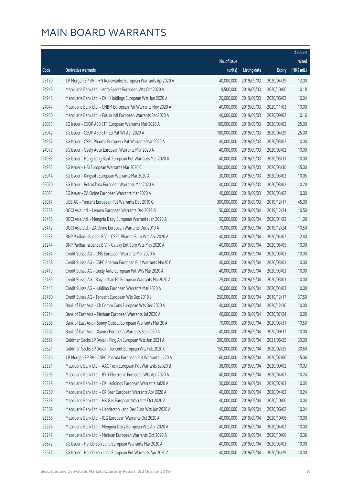|       |                                                              |              |                       |               | Amount      |
|-------|--------------------------------------------------------------|--------------|-----------------------|---------------|-------------|
|       |                                                              | No. of issue |                       |               | raised      |
| Code  | <b>Derivative warrants</b>                                   | (units)      | <b>Listing date</b>   | <b>Expiry</b> | (HK\$ mil.) |
| 25150 | J P Morgan SP BV - HN Renewables European Warrants Apr2020 A | 40,000,000   | 2019/09/03            | 2020/04/29    | 12.00       |
| 24949 | Macquarie Bank Ltd. - Anta Sports European Wts Oct 2020 A    | 9,500,000    | 2019/09/03            | 2020/10/06    | 10.18       |
| 24948 | Macquarie Bank Ltd. - CKH Holdings European Wts Jun 2020 A   | 20,000,000   | 2019/09/03            | 2020/06/02    | 10.04       |
| 24947 | Macquarie Bank Ltd. - CNBM European Put Warrants Nov 2020 A  | 40,000,000   | 2019/09/03            | 2020/11/03    | 10.00       |
| 24950 | Macquarie Bank Ltd. - Fosun Intl European Warrants Sep2020 A | 40,000,000   | 2019/09/03            | 2020/09/02    | 10.16       |
| 25031 | SG Issuer - CSOP A50 ETF European Warrants Mar 2020 A        | 100,000,000  | 2019/09/03            | 2020/03/02    | 25.00       |
| 25042 | SG Issuer - CSOP A50 ETF Eu Put Wt Apr 2020 A                | 100,000,000  | 2019/09/03            | 2020/04/29    | 25.00       |
| 24957 | SG Issuer - CSPC Pharma European Put Warrants Mar 2020 A     | 40,000,000   | 2019/09/03            | 2020/03/02    | 10.00       |
| 24973 | SG Issuer - Geely Auto European Warrants Mar 2020 A          | 40,000,000   | 2019/09/03            | 2020/03/02    | 10.00       |
| 24983 | SG Issuer - Hang Seng Bank European Put Warrants Mar 2020 A  | 40,000,000   | 2019/09/03            | 2020/03/31    | 10.00       |
| 24952 | SG Issuer - HSI European Warrants Mar 2020 C                 | 300,000,000  | 2019/09/03            | 2020/03/30    | 45.00       |
| 25014 | SG Issuer - Kingsoft European Warrants Mar 2020 A            | 30,000,000   | 2019/09/03            | 2020/03/02    | 10.05       |
| 25020 | SG Issuer - PetroChina European Warrants Mar 2020 A          | 40,000,000   | 2019/09/03            | 2020/03/02    | 10.20       |
| 25023 | SG Issuer - ZA Onine European Warrants Mar 2020 A            | 40,000,000   | 2019/09/03            | 2020/03/02    | 10.00       |
| 25087 | UBS AG - Tencent European Put Warrants Dec 2019 G            | 300,000,000  | 2019/09/03            | 2019/12/17    | 45.00       |
| 25359 | BOCI Asia Ltd. - Lenovo European Warrants Dec 2019 B         | 50,000,000   | 2019/09/04            | 2019/12/24    | 10.50       |
| 25416 | BOCI Asia Ltd. - Mengniu Dairy European Warrants Jan 2020 A  | 50,000,000   | 2019/09/04            | 2020/01/22    | 11.00       |
| 25412 | BOCI Asia Ltd. - ZA Onine European Warrants Dec 2019 A       | 70,000,000   | 2019/09/04            | 2019/12/24    | 10.50       |
| 25233 | BNP Paribas Issuance B.V. - CSPC Pharma Euro Wts Apr 2020 A  | 40,000,000   | 2019/09/04            | 2020/04/02    | 12.40       |
| 25244 | BNP Paribas Issuance B.V. - Galaxy Ent Euro Wts May 2020 A   | 40,000,000   | 2019/09/04            | 2020/05/05    | 10.00       |
| 25434 | Credit Suisse AG - CMS European Warrants Mar 2020 A          | 40,000,000   | 2019/09/04            | 2020/03/03    | 10.00       |
| 25458 | Credit Suisse AG - CSPC Pharma European Put Warrants Mar20 C | 40,000,000   | 2019/09/04            | 2020/03/03    | 10.00       |
| 25419 | Credit Suisse AG - Geely Auto European Put Wts Mar 2020 A    | 40,000,000   | 2019/09/04            | 2020/03/03    | 10.00       |
| 25439 | Credit Suisse AG - Baiyunshan Ph European Warrants Mar2020 A | 25,000,000   | 2019/09/04            | 2020/03/03    | 10.00       |
| 25443 | Credit Suisse AG - Haidilao European Warrants Mar 2020 A     | 40,000,000   | 2019/09/04            | 2020/03/03    | 10.00       |
| 25460 | Credit Suisse AG - Tencent European Wts Dec 2019 J           | 250,000,000  | 2019/09/04            | 2019/12/17    | 37.50       |
| 25209 | Bank of East Asia - Ch Comm Cons European Wts Dec 2020 A     |              | 40,000,000 2019/09/04 | 2020/12/30    | 10.00       |
| 25214 | Bank of East Asia - Meituan European Warrants Jul 2020 A     | 40,000,000   | 2019/09/04            | 2020/07/24    | 10.00       |
| 25208 | Bank of East Asia - Sunny Optical European Warrants Mar 20 A | 70,000,000   | 2019/09/04            | 2020/03/31    | 10.50       |
| 25202 | Bank of East Asia - Xiaomi European Warrants Sep 2020 A      | 40,000,000   | 2019/09/04            | 2020/09/17    | 10.00       |
| 25667 | Goldman Sachs SP (Asia) - Ping An European Wts Jun 2021 A    | 200,000,000  | 2019/09/04            | 2021/06/25    | 30.00       |
| 25621 | Goldman Sachs SP (Asia) - Tencent European Wts Feb 2020 C    | 150,000,000  | 2019/09/04            | 2020/02/25    | 30.60       |
| 25616 | J P Morgan SP BV - CSPC Pharma European Put Warrants Jul20 A | 60,000,000   | 2019/09/04            | 2020/07/06    | 15.06       |
| 25331 | Macquarie Bank Ltd. - AAC Tech European Put Warrants Sep20 B | 38,000,000   | 2019/09/04            | 2020/09/02    | 10.03       |
| 25295 | Macquarie Bank Ltd. - BYD Electronic European Wts Apr 2020 A | 40,000,000   | 2019/09/04            | 2020/04/02    | 10.24       |
| 25319 | Macquarie Bank Ltd. - CKI Holdings European Warrants Jul20 A | 30,000,000   | 2019/09/04            | 2020/07/03    | 10.05       |
| 25250 | Macquarie Bank Ltd. - CR Beer European Warrants Apr 2020 A   | 40,000,000   | 2019/09/04            | 2020/04/02    | 10.24       |
| 25318 | Macquarie Bank Ltd. - HK Gas European Warrants Oct 2020 A    | 40,000,000   | 2019/09/04            | 2020/10/06    | 10.04       |
| 25309 | Macquarie Bank Ltd. - Henderson Land Dev Euro Wts Jun 2020 A | 40,000,000   | 2019/09/04            | 2020/06/02    | 10.04       |
| 25358 | Macquarie Bank Ltd. - IGG European Warrants Oct 2020 A       | 40,000,000   | 2019/09/04            | 2020/10/06    | 10.00       |
| 25276 | Macquarie Bank Ltd. - Mengniu Dairy European Wts Apr 2020 A  | 40,000,000   | 2019/09/04            | 2020/04/02    | 10.00       |
| 25247 | Macquarie Bank Ltd. - Meituan European Warrants Oct 2020 A   | 40,000,000   | 2019/09/04            | 2020/10/06    | 10.36       |
| 25672 | SG Issuer - Henderson Land European Warrants Mar 2020 A      | 40,000,000   | 2019/09/04            | 2020/03/03    | 10.00       |
| 25674 | SG Issuer - Henderson Land European Put Warrants Apr 2020 A  | 40,000,000   | 2019/09/04            | 2020/04/29    | 10.00       |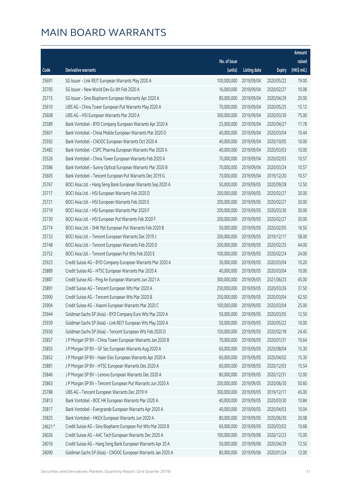|        |                                                              |                        |              |               | Amount      |
|--------|--------------------------------------------------------------|------------------------|--------------|---------------|-------------|
|        |                                                              | No. of issue           |              |               | raised      |
| Code   | <b>Derivative warrants</b>                                   | (units)                | Listing date | <b>Expiry</b> | (HK\$ mil.) |
| 25691  | SG Issuer - Link REIT European Warrants May 2020 A           | 100,000,000            | 2019/09/04   | 2020/05/22    | 19.00       |
| 25705  | SG Issuer - New World Dev Eu Wt Feb 2020 A                   | 16,000,000             | 2019/09/04   | 2020/02/27    | 10.08       |
| 25715  | SG Issuer - Sino Biopharm European Warrants Apr 2020 A       | 80,000,000             | 2019/09/04   | 2020/04/29    | 20.00       |
| 25610  | UBS AG - China Tower European Put Warrants May 2020 A        | 70,000,000             | 2019/09/04   | 2020/05/25    | 15.12       |
| 25608  | UBS AG - HSI European Warrants Mar 2020 A                    | 300,000,000            | 2019/09/04   | 2020/03/30    | 75.00       |
| 25589  | Bank Vontobel - BYD Company European Warrants Apr 2020 A     | 25,000,000             | 2019/09/04   | 2020/04/27    | 11.78       |
| 25601  | Bank Vontobel - China Mobile European Warrants Mar 2020 D    | 40,000,000             | 2019/09/04   | 2020/03/04    | 10.44       |
| 25592  | Bank Vontobel - CNOOC European Warrants Oct 2020 A           | 40,000,000             | 2019/09/04   | 2020/10/05    | 10.00       |
| 25482  | Bank Vontobel - CSPC Pharma European Warrants Mar 2020 A     | 40,000,000             | 2019/09/04   | 2020/03/03    | 10.00       |
| 25526  | Bank Vontobel - China Tower European Warrants Feb 2020 A     | 70,000,000             | 2019/09/04   | 2020/02/03    | 10.57       |
| 25586  | Bank Vontobel - Sunny Optical European Warrants Mar 2020 B   | 70,000,000             | 2019/09/04   | 2020/03/24    | 10.57       |
| 25605  | Bank Vontobel - Tencent European Put Warrants Dec 2019 G     | 70,000,000             | 2019/09/04   | 2019/12/20    | 10.57       |
| 25767  | BOCI Asia Ltd. - Hang Seng Bank European Warrants Sep 2020 A | 50,000,000             | 2019/09/05   | 2020/09/28    | 12.50       |
| 25717  | BOCI Asia Ltd. - HSI European Warrants Feb 2020 D            | 200,000,000            | 2019/09/05   | 2020/02/27    | 30.00       |
| 25721  | BOCI Asia Ltd. - HSI European Warrants Feb 2020 E            | 200,000,000            | 2019/09/05   | 2020/02/27    | 30.00       |
| 25719  | BOCI Asia Ltd. - HSI European Warrants Mar 2020 F            | 200,000,000            | 2019/09/05   | 2020/03/30    | 30.00       |
| 25730  | BOCI Asia Ltd. - HSI European Put Warrants Feb 2020 F        | 200,000,000            | 2019/09/05   | 2020/02/27    | 30.00       |
| 25774  | BOCI Asia Ltd. - SHK Ppt European Put Warrants Feb 2020 B    | 50,000,000             | 2019/09/05   | 2020/02/05    | 16.50       |
| 25733  | BOCI Asia Ltd. - Tencent European Warrants Dec 2019 J        | 200,000,000            | 2019/09/05   | 2019/12/17    | 58.00       |
| 25748  | BOCI Asia Ltd. - Tencent European Warrants Feb 2020 D        | 200,000,000            | 2019/09/05   | 2020/02/25    | 44.00       |
| 25752  | BOCI Asia Ltd. - Tencent European Put Wts Feb 2020 E         | 100,000,000            | 2019/09/05   | 2020/02/24    | 24.00       |
| 25923  | Credit Suisse AG - BYD Company European Warrants Mar 2020 A  | 30,000,000             | 2019/09/05   | 2020/03/04    | 10.20       |
| 25889  | Credit Suisse AG - HTSC European Warrants Mar 2020 A         | 40,000,000             | 2019/09/05   | 2020/03/04    | 10.00       |
| 25887  | Credit Suisse AG - Ping An European Warrants Jun 2021 A      | 300,000,000            | 2019/09/05   | 2021/06/23    | 45.00       |
| 25891  | Credit Suisse AG - Tencent European Wts Mar 2020 A           | 250,000,000            | 2019/09/05   | 2020/03/26    | 37.50       |
| 25900  | Credit Suisse AG - Tencent European Wts Mar 2020 B           | 250,000,000            | 2019/09/05   | 2020/03/04    | 62.50       |
| 25904  | Credit Suisse AG - Xiaomi European Warrants Mar 2020 C       | 100,000,000 2019/09/05 |              | 2020/03/04    | 25.00       |
| 25944  | Goldman Sachs SP (Asia) - BYD Company Euro Wts Mar 2020 A    | 50,000,000             | 2019/09/05   | 2020/03/05    | 12.50       |
| 25939  | Goldman Sachs SP (Asia) - Link REIT European Wts May 2020 A  | 50,000,000             | 2019/09/05   | 2020/05/22    | 10.00       |
| 25930  | Goldman Sachs SP (Asia) - Tencent European Wts Feb 2020 D    | 150,000,000            | 2019/09/05   | 2020/02/18    | 24.45       |
| 25857  | J P Morgan SP BV - China Tower European Warrants Jan 2020 B  | 70,000,000             | 2019/09/05   | 2020/01/31    | 10.64       |
| 25855  | J P Morgan SP BV - GF Sec European Warrants Aug 2020 A       | 60,000,000             | 2019/09/05   | 2020/08/04    | 15.30       |
| 25852  | J P Morgan SP BV - Haier Elec European Warrants Apr 2020 A   | 60,000,000             | 2019/09/05   | 2020/04/02    | 15.30       |
| 25881  | J P Morgan SP BV - HTSC European Warrants Dec 2020 A         | 60,000,000             | 2019/09/05   | 2020/12/03    | 15.54       |
| 25846  | J P Morgan SP BV - Lenovo European Warrants Dec 2020 A       | 80,000,000             | 2019/09/05   | 2020/12/31    | 12.00       |
| 25863  | J P Morgan SP BV - Tencent European Put Warrants Jun 2020 A  | 200,000,000            | 2019/09/05   | 2020/06/30    | 50.60       |
| 25788  | UBS AG - Tencent European Warrants Dec 2019 H                | 300,000,000            | 2019/09/05   | 2019/12/17    | 45.00       |
| 25813  | Bank Vontobel - BOC HK European Warrants Mar 2020 A          | 40,000,000             | 2019/09/05   | 2020/03/30    | 10.84       |
| 25817  | Bank Vontobel - Evergrande European Warrants Apr 2020 A      | 40,000,000             | 2019/09/05   | 2020/04/03    | 10.04       |
| 25825  | Bank Vontobel - HKEX European Warrants Jun 2020 A            | 80,000,000             | 2019/09/05   | 2020/06/30    | 20.08       |
| 24621# | Credit Suisse AG - Sino Biopharm European Put Wts Mar 2020 B | 60,000,000             | 2019/09/05   | 2020/03/02    | 10.68       |
| 26026  | Credit Suisse AG - AAC Tech European Warrants Dec 2020 A     | 100,000,000            | 2019/09/06   | 2020/12/23    | 15.00       |
| 26016  | Credit Suisse AG - Hang Seng Bank European Warrants Apr 20 A | 50,000,000             | 2019/09/06   | 2020/04/29    | 12.50       |
| 26090  | Goldman Sachs SP (Asia) - CNOOC European Warrants Jan 2020 A | 80,000,000             | 2019/09/06   | 2020/01/24    | 12.00       |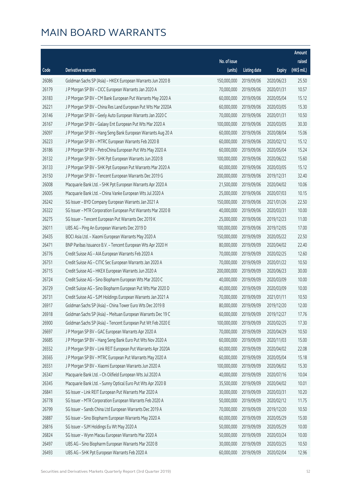|       |                                                              |              |                       |               | Amount      |
|-------|--------------------------------------------------------------|--------------|-----------------------|---------------|-------------|
|       |                                                              | No. of issue |                       |               | raised      |
| Code  | <b>Derivative warrants</b>                                   | (units)      | <b>Listing date</b>   | <b>Expiry</b> | (HK\$ mil.) |
| 26086 | Goldman Sachs SP (Asia) - HKEX European Warrants Jun 2020 B  | 150,000,000  | 2019/09/06            | 2020/06/23    | 25.50       |
| 26179 | J P Morgan SP BV - CICC European Warrants Jan 2020 A         | 70,000,000   | 2019/09/06            | 2020/01/31    | 10.57       |
| 26183 | J P Morgan SP BV - CM Bank European Put Warrants May 2020 A  | 60,000,000   | 2019/09/06            | 2020/05/04    | 15.12       |
| 26221 | J P Morgan SP BV - China Res Land European Put Wts Mar 2020A | 60,000,000   | 2019/09/06            | 2020/03/05    | 15.30       |
| 26146 | J P Morgan SP BV - Geely Auto European Warrants Jan 2020 C   | 70,000,000   | 2019/09/06            | 2020/01/31    | 10.50       |
| 26167 | J P Morgan SP BV - Galaxy Ent European Put Wts Mar 2020 A    | 100,000,000  | 2019/09/06            | 2020/03/05    | 30.30       |
| 26097 | J P Morgan SP BV - Hang Seng Bank European Warrants Aug 20 A | 60,000,000   | 2019/09/06            | 2020/08/04    | 15.06       |
| 26223 | J P Morgan SP BV - MTRC European Warrants Feb 2020 B         | 60,000,000   | 2019/09/06            | 2020/02/12    | 15.12       |
| 26186 | J P Morgan SP BV - PetroChina European Put Wts May 2020 A    | 60,000,000   | 2019/09/06            | 2020/05/04    | 15.24       |
| 26132 | J P Morgan SP BV - SHK Ppt European Warrants Jun 2020 B      | 100,000,000  | 2019/09/06            | 2020/06/22    | 15.60       |
| 26133 | J P Morgan SP BV - SHK Ppt European Put Warrants Mar 2020 A  | 60,000,000   | 2019/09/06            | 2020/03/05    | 15.12       |
| 26150 | J P Morgan SP BV - Tencent European Warrants Dec 2019 G      | 200,000,000  | 2019/09/06            | 2019/12/31    | 32.40       |
| 26008 | Macquarie Bank Ltd. - SHK Ppt European Warrants Apr 2020 A   | 21,500,000   | 2019/09/06            | 2020/04/02    | 10.06       |
| 26005 | Macquarie Bank Ltd. - China Vanke European Wts Jul 2020 A    | 25,000,000   | 2019/09/06            | 2020/07/03    | 10.15       |
| 26242 | SG Issuer - BYD Company European Warrants Jan 2021 A         | 150,000,000  | 2019/09/06            | 2021/01/26    | 22.50       |
| 26322 | SG Issuer - MTR Corporation European Put Warrants Mar 2020 B | 40,000,000   | 2019/09/06            | 2020/03/31    | 10.00       |
| 26275 | SG Issuer - Tencent European Put Warrants Dec 2019 K         | 25,000,000   | 2019/09/06            | 2019/12/23    | 11.00       |
| 26011 | UBS AG - Ping An European Warrants Dec 2019 D                | 100,000,000  | 2019/09/06            | 2019/12/05    | 17.00       |
| 26435 | BOCI Asia Ltd. - Xiaomi European Warrants May 2020 A         | 150,000,000  | 2019/09/09            | 2020/05/22    | 22.50       |
| 26471 | BNP Paribas Issuance B.V. - Tencent European Wts Apr 2020 H  | 80,000,000   | 2019/09/09            | 2020/04/02    | 22.40       |
| 26776 | Credit Suisse AG - AIA European Warrants Feb 2020 A          | 70,000,000   | 2019/09/09            | 2020/02/25    | 12.60       |
| 26751 | Credit Suisse AG - CITIC Sec European Warrants Jan 2020 A    | 70,000,000   | 2019/09/09            | 2020/01/22    | 10.50       |
| 26715 | Credit Suisse AG - HKEX European Warrants Jun 2020 A         | 200,000,000  | 2019/09/09            | 2020/06/23    | 30.00       |
| 26724 | Credit Suisse AG - Sino Biopharm European Wts Mar 2020 C     | 40,000,000   | 2019/09/09            | 2020/03/09    | 10.00       |
| 26729 | Credit Suisse AG - Sino Biopharm European Put Wts Mar 2020 D | 40,000,000   | 2019/09/09            | 2020/03/09    | 10.00       |
| 26731 | Credit Suisse AG - SJM Holdings European Warrants Jan 2021 A | 70,000,000   | 2019/09/09            | 2021/01/11    | 10.50       |
| 26917 | Goldman Sachs SP (Asia) - China Tower Euro Wts Dec 2019 B    |              | 80,000,000 2019/09/09 | 2019/12/20    | 12.00       |
| 26918 | Goldman Sachs SP (Asia) - Meituan European Warrants Dec 19 C | 60,000,000   | 2019/09/09            | 2019/12/27    | 17.76       |
| 26900 | Goldman Sachs SP (Asia) - Tencent European Put Wt Feb 2020 E | 100,000,000  | 2019/09/09            | 2020/02/25    | 17.30       |
| 26697 | J P Morgan SP BV - GAC European Warrants Apr 2020 A          | 70,000,000   | 2019/09/09            | 2020/04/29    | 10.50       |
| 26685 | J P Morgan SP BV - Hang Seng Bank Euro Put Wts Nov 2020 A    | 60,000,000   | 2019/09/09            | 2020/11/03    | 15.00       |
| 26552 | J P Morgan SP BV - Link REIT European Put Warrants Apr 2020A | 60,000,000   | 2019/09/09            | 2020/04/02    | 22.08       |
| 26565 | J P Morgan SP BV - MTRC European Put Warrants May 2020 A     | 60,000,000   | 2019/09/09            | 2020/05/04    | 15.18       |
| 26551 | J P Morgan SP BV - Xiaomi European Warrants Jun 2020 A       | 100,000,000  | 2019/09/09            | 2020/06/02    | 15.30       |
| 26347 | Macquarie Bank Ltd. - Ch Oilfield European Wts Jul 2020 A    | 40,000,000   | 2019/09/09            | 2020/07/16    | 10.04       |
| 26345 | Macquarie Bank Ltd. - Sunny Optical Euro Put Wts Apr 2020 B  | 35,500,000   | 2019/09/09            | 2020/04/02    | 10.01       |
| 26841 | SG Issuer - Link REIT European Put Warrants Mar 2020 A       | 30,000,000   | 2019/09/09            | 2020/03/31    | 10.20       |
| 26778 | SG Issuer - MTR Corporation European Warrants Feb 2020 A     | 50,000,000   | 2019/09/09            | 2020/02/12    | 11.75       |
| 26799 | SG Issuer - Sands China Ltd European Warrants Dec 2019 A     | 70,000,000   | 2019/09/09            | 2019/12/20    | 10.50       |
| 26887 | SG Issuer - Sino Biopharm European Warrants May 2020 A       | 60,000,000   | 2019/09/09            | 2020/05/29    | 15.00       |
| 26816 | SG Issuer - SJM Holdings Eu Wt May 2020 A                    | 50,000,000   | 2019/09/09            | 2020/05/29    | 10.00       |
| 26824 | SG Issuer - Wynn Macau European Warrants Mar 2020 A          | 50,000,000   | 2019/09/09            | 2020/03/24    | 10.00       |
| 26497 | UBS AG - Sino Biopharm European Warrants Mar 2020 B          | 30,000,000   | 2019/09/09            | 2020/03/25    | 10.50       |
| 26493 | UBS AG - SHK Ppt European Warrants Feb 2020 A                | 60,000,000   | 2019/09/09            | 2020/02/04    | 12.96       |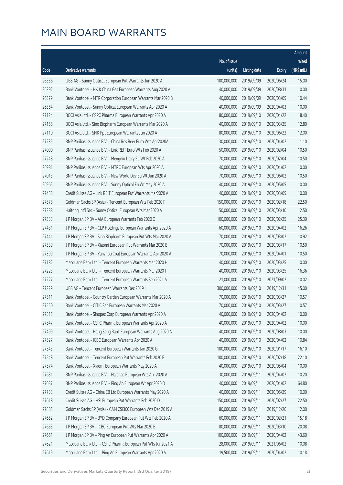|       |                                                              |              |                       |               | Amount      |
|-------|--------------------------------------------------------------|--------------|-----------------------|---------------|-------------|
|       |                                                              | No. of issue |                       |               | raised      |
| Code  | Derivative warrants                                          | (units)      | <b>Listing date</b>   | <b>Expiry</b> | (HK\$ mil.) |
| 26536 | UBS AG - Sunny Optical European Put Warrants Jun 2020 A      | 100,000,000  | 2019/09/09            | 2020/06/24    | 15.00       |
| 26392 | Bank Vontobel - HK & China Gas European Warrants Aug 2020 A  | 40,000,000   | 2019/09/09            | 2020/08/31    | 10.00       |
| 26379 | Bank Vontobel - MTR Corporation European Warrants Mar 2020 B | 40,000,000   | 2019/09/09            | 2020/03/09    | 10.44       |
| 26364 | Bank Vontobel - Sunny Optical European Warrants Apr 2020 A   | 40,000,000   | 2019/09/09            | 2020/04/03    | 10.00       |
| 27124 | BOCI Asia Ltd. - CSPC Pharma European Warrants Apr 2020 A    | 80,000,000   | 2019/09/10            | 2020/04/22    | 18.40       |
| 27158 | BOCI Asia Ltd. - Sino Biopharm European Warrants Mar 2020 A  | 40,000,000   | 2019/09/10            | 2020/03/25    | 12.80       |
| 27110 | BOCI Asia Ltd. - SHK Ppt European Warrants Jun 2020 A        | 80,000,000   | 2019/09/10            | 2020/06/22    | 12.00       |
| 27235 | BNP Paribas Issuance B.V. - China Res Beer Euro Wts Apr2020A | 30,000,000   | 2019/09/10            | 2020/04/02    | 11.10       |
| 27000 | BNP Paribas Issuance B.V. - Link REIT Euro Wts Feb 2020 A    | 50,000,000   | 2019/09/10            | 2020/02/04    | 10.50       |
| 27248 | BNP Paribas Issuance B.V. - Mengniu Dairy Eu Wt Feb 2020 A   | 70,000,000   | 2019/09/10            | 2020/02/04    | 10.50       |
| 26981 | BNP Paribas Issuance B.V. - MTRC European Wts Apr 2020 A     | 40,000,000   | 2019/09/10            | 2020/04/02    | 10.00       |
| 27013 | BNP Paribas Issuance B.V. - New World Dev Eu Wt Jun 2020 A   | 70,000,000   | 2019/09/10            | 2020/06/02    | 10.50       |
| 26965 | BNP Paribas Issuance B.V. - Sunny Optical Eu Wt May 2020 A   | 40,000,000   | 2019/09/10            | 2020/05/05    | 10.00       |
| 27458 | Credit Suisse AG - Link REIT European Put Warrants Mar2020 A | 40,000,000   | 2019/09/10            | 2020/03/09    | 10.00       |
| 27578 | Goldman Sachs SP (Asia) - Tencent European Wts Feb 2020 F    | 150,000,000  | 2019/09/10            | 2020/02/18    | 22.50       |
| 27288 | Haitong Int'l Sec - Sunny Optical European Wts Mar 2020 A    | 50,000,000   | 2019/09/10            | 2020/03/10    | 12.50       |
| 27333 | J P Morgan SP BV - AIA European Warrants Feb 2020 C          | 100,000,000  | 2019/09/10            | 2020/02/25    | 25.30       |
| 27431 | J P Morgan SP BV - CLP Holdings European Warrants Apr 2020 A | 60,000,000   | 2019/09/10            | 2020/04/02    | 16.26       |
| 27441 | J P Morgan SP BV - Sino Biopharm European Put Wts Mar 2020 A | 70,000,000   | 2019/09/10            | 2020/03/02    | 10.92       |
| 27339 | J P Morgan SP BV - Xiaomi European Put Warrants Mar 2020 B   | 70,000,000   | 2019/09/10            | 2020/03/17    | 10.50       |
| 27399 | J P Morgan SP BV - Yanzhou Coal European Warrants Apr 2020 A | 70,000,000   | 2019/09/10            | 2020/04/01    | 10.50       |
| 27182 | Macquarie Bank Ltd. - Tencent European Warrants Mar 2020 H   | 40,000,000   | 2019/09/10            | 2020/03/25    | 10.00       |
| 27223 | Macquarie Bank Ltd. - Tencent European Warrants Mar 2020 I   | 40,000,000   | 2019/09/10            | 2020/03/25    | 16.36       |
| 27227 | Macquarie Bank Ltd. - Tencent European Warrants Sep 2021 A   | 21,000,000   | 2019/09/10            | 2021/09/02    | 10.02       |
| 27229 | UBS AG - Tencent European Warrants Dec 2019 I                | 300,000,000  | 2019/09/10            | 2019/12/31    | 45.00       |
| 27511 | Bank Vontobel - Country Garden European Warrants Mar 2020 A  | 70,000,000   | 2019/09/10            | 2020/03/27    | 10.57       |
| 27550 | Bank Vontobel - CITIC Sec European Warrants Mar 2020 A       |              | 70,000,000 2019/09/10 | 2020/03/27    | 10.57       |
| 27515 | Bank Vontobel - Sinopec Corp European Warrants Apr 2020 A    | 40,000,000   | 2019/09/10            | 2020/04/02    | 10.00       |
| 27547 | Bank Vontobel - CSPC Pharma European Warrants Apr 2020 A     | 40,000,000   | 2019/09/10            | 2020/04/02    | 10.00       |
| 27499 | Bank Vontobel - Hang Seng Bank European Warrants Aug 2020 A  | 40,000,000   | 2019/09/10            | 2020/08/03    | 10.00       |
| 27527 | Bank Vontobel - ICBC European Warrants Apr 2020 A            | 40,000,000   | 2019/09/10            | 2020/04/02    | 10.84       |
| 27543 | Bank Vontobel - Tencent European Warrants Jan 2020 G         | 100,000,000  | 2019/09/10            | 2020/01/17    | 16.10       |
| 27548 | Bank Vontobel - Tencent European Put Warrants Feb 2020 E     | 100,000,000  | 2019/09/10            | 2020/02/18    | 22.10       |
| 27574 | Bank Vontobel - Xiaomi European Warrants May 2020 A          | 40,000,000   | 2019/09/10            | 2020/05/04    | 10.00       |
| 27631 | BNP Paribas Issuance B.V. - Haidilao European Wts Apr 2020 A | 30,000,000   | 2019/09/11            | 2020/04/02    | 10.20       |
| 27637 | BNP Paribas Issuance B.V. - Ping An European Wt Apr 2020 D   | 40,000,000   | 2019/09/11            | 2020/04/02    | 64.80       |
| 27733 | Credit Suisse AG - China EB Ltd European Warrants May 2020 A | 40,000,000   | 2019/09/11            | 2020/05/29    | 10.00       |
| 27618 | Credit Suisse AG - HSI European Put Warrants Feb 2020 D      | 150,000,000  | 2019/09/11            | 2020/02/27    | 22.50       |
| 27885 | Goldman Sachs SP (Asia) - CAM CSI300 European Wts Dec 2019 A | 80,000,000   | 2019/09/11            | 2019/12/20    | 12.00       |
| 27652 | J P Morgan SP BV - BYD Company European Put Wts Feb 2020 A   | 60,000,000   | 2019/09/11            | 2020/02/21    | 15.18       |
| 27653 | J P Morgan SP BV - ICBC European Put Wts Mar 2020 B          | 80,000,000   | 2019/09/11            | 2020/03/10    | 20.08       |
| 27651 | J P Morgan SP BV - Ping An European Put Warrants Apr 2020 A  | 100,000,000  | 2019/09/11            | 2020/04/02    | 43.60       |
| 27621 | Macquarie Bank Ltd. - CSPC Pharma European Put Wts Jun2021 A | 28,000,000   | 2019/09/11            | 2021/06/02    | 10.08       |
| 27619 | Macquarie Bank Ltd. - Ping An European Warrants Apr 2020 A   | 19,500,000   | 2019/09/11            | 2020/04/02    | 10.18       |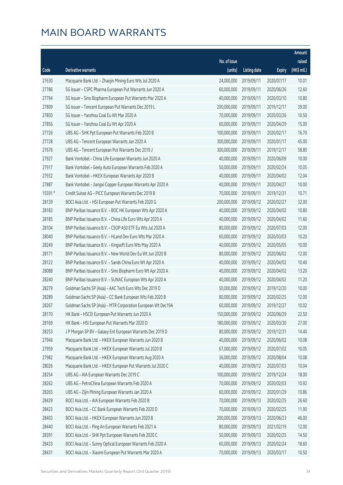|        |                                                              |              |                       |               | Amount      |
|--------|--------------------------------------------------------------|--------------|-----------------------|---------------|-------------|
|        |                                                              | No. of issue |                       |               | raised      |
| Code   | <b>Derivative warrants</b>                                   | (units)      | <b>Listing date</b>   | <b>Expiry</b> | (HK\$ mil.) |
| 27630  | Macquarie Bank Ltd. - Zhaojin Mining Euro Wts Jul 2020 A     | 24,000,000   | 2019/09/11            | 2020/07/17    | 10.01       |
| 27786  | SG Issuer - CSPC Pharma European Put Warrants Jun 2020 A     | 60,000,000   | 2019/09/11            | 2020/06/26    | 12.60       |
| 27794  | SG Issuer - Sino Biopharm European Put Warrants Mar 2020 A   | 40,000,000   | 2019/09/11            | 2020/03/10    | 10.80       |
| 27809  | SG Issuer - Tencent European Put Warrants Dec 2019 L         | 200,000,000  | 2019/09/11            | 2019/12/17    | 39.00       |
| 27850  | SG Issuer - Yanzhou Coal Eu Wt Mar 2020 A                    | 70,000,000   | 2019/09/11            | 2020/03/26    | 10.50       |
| 27856  | SG Issuer - Yanzhou Coal Eu Wt Apr 2020 A                    | 60,000,000   | 2019/09/11            | 2020/04/29    | 15.00       |
| 27726  | UBS AG - SHK Ppt European Put Warrants Feb 2020 B            | 100,000,000  | 2019/09/11            | 2020/02/17    | 16.70       |
| 27728  | UBS AG - Tencent European Warrants Jan 2020 A                | 300,000,000  | 2019/09/11            | 2020/01/17    | 45.00       |
| 27676  | UBS AG - Tencent European Put Warrants Dec 2019 J            | 300,000,000  | 2019/09/11            | 2019/12/17    | 58.80       |
| 27927  | Bank Vontobel - China Life European Warrants Jun 2020 A      | 40,000,000   | 2019/09/11            | 2020/06/09    | 10.00       |
| 27917  | Bank Vontobel - Geely Auto European Warrants Feb 2020 A      | 50,000,000   | 2019/09/11            | 2020/02/24    | 10.05       |
| 27932  | Bank Vontobel - HKEX European Warrants Apr 2020 B            | 40,000,000   | 2019/09/11            | 2020/04/02    | 12.04       |
| 27887  | Bank Vontobel - Jiangxi Copper European Warrants Apr 2020 A  | 40,000,000   | 2019/09/11            | 2020/04/27    | 10.00       |
| 15591# | Credit Suisse AG - PICC European Warrants Dec 2019 B         | 70,000,000   | 2019/09/11            | 2019/12/31    | 10.71       |
| 28139  | BOCI Asia Ltd. - HSI European Put Warrants Feb 2020 G        | 200,000,000  | 2019/09/12            | 2020/02/27    | 32.00       |
| 28183  | BNP Paribas Issuance B.V. - BOC HK European Wts Apr 2020 A   | 40,000,000   | 2019/09/12            | 2020/04/02    | 10.80       |
| 28185  | BNP Paribas Issuance B.V. - China Life Euro Wts Apr 2020 A   | 40,000,000   | 2019/09/12            | 2020/04/02    | 11.60       |
| 28104  | BNP Paribas Issuance B.V. - CSOP A50 ETF Eu Wts Jul 2020 A   | 80,000,000   | 2019/09/12            | 2020/07/03    | 12.00       |
| 28040  | BNP Paribas Issuance B.V. - HLand Dev Euro Wts Mar 2020 A    | 60,000,000   | 2019/09/12            | 2020/03/03    | 10.20       |
| 28249  | BNP Paribas Issuance B.V. - Kingsoft Euro Wts May 2020 A     | 40,000,000   | 2019/09/12            | 2020/05/05    | 10.00       |
| 28171  | BNP Paribas Issuance B.V. - New World Dev Eu Wt Jun 2020 B   | 80,000,000   | 2019/09/12            | 2020/06/02    | 12.00       |
| 28122  | BNP Paribas Issuance B.V. - Sands China Euro Wt Apr 2020 A   | 40,000,000   | 2019/09/12            | 2020/04/02    | 10.40       |
| 28088  | BNP Paribas Issuance B.V. - Sino Biopharm Euro Wt Apr 2020 A | 40,000,000   | 2019/09/12            | 2020/04/02    | 13.20       |
| 28240  | BNP Paribas Issuance B.V. - SUNAC European Wts Apr 2020 A    | 40,000,000   | 2019/09/12            | 2020/04/02    | 11.20       |
| 28279  | Goldman Sachs SP (Asia) - AAC Tech Euro Wts Dec 2019 D       | 50,000,000   | 2019/09/12            | 2019/12/20    | 10.00       |
| 28289  | Goldman Sachs SP (Asia) - CC Bank European Wts Feb 2020 B    | 80,000,000   | 2019/09/12            | 2020/02/25    | 12.00       |
| 28267  | Goldman Sachs SP (Asia) - MTR Corporation European Wt Dec19A |              | 60,000,000 2019/09/12 | 2019/12/27    | 10.02       |
| 28170  | HK Bank - HSCEI European Put Warrants Jun 2020 A             | 150,000,000  | 2019/09/12            | 2020/06/29    | 22.50       |
| 28169  | HK Bank - HSI European Put Warrants Mar 2020 D               | 180,000,000  | 2019/09/12            | 2020/03/30    | 27.00       |
| 28253  | J P Morgan SP BV - Galaxy Ent European Warrants Dec 2019 D   | 80,000,000   | 2019/09/12            | 2019/12/31    | 14.40       |
| 27946  | Macquarie Bank Ltd. - HKEX European Warrants Jun 2020 B      | 40,000,000   | 2019/09/12            | 2020/06/02    | 10.08       |
| 27959  | Macquarie Bank Ltd. - HKEX European Warrants Jul 2020 B      | 67,000,000   | 2019/09/12            | 2020/07/02    | 10.05       |
| 27982  | Macquarie Bank Ltd. - HKEX European Warrants Aug 2020 A      | 36,000,000   | 2019/09/12            | 2020/08/04    | 10.08       |
| 28026  | Macquarie Bank Ltd. - HKEX European Put Warrants Jul 2020 C  | 40,000,000   | 2019/09/12            | 2020/07/03    | 10.04       |
| 28254  | UBS AG - AIA European Warrants Dec 2019 C                    | 100,000,000  | 2019/09/12            | 2019/12/24    | 18.00       |
| 28262  | UBS AG - PetroChina European Warrants Feb 2020 A             | 70,000,000   | 2019/09/12            | 2020/02/03    | 10.92       |
| 28265  | UBS AG - Zijin Mining European Warrants Jan 2020 A           | 60,000,000   | 2019/09/12            | 2020/01/29    | 10.86       |
| 28429  | BOCI Asia Ltd. - AIA European Warrants Feb 2020 B            | 70,000,000   | 2019/09/13            | 2020/02/25    | 26.60       |
| 28423  | BOCI Asia Ltd. - CC Bank European Warrants Feb 2020 D        | 70,000,000   | 2019/09/13            | 2020/02/25    | 11.90       |
| 28403  | BOCI Asia Ltd. - HKEX European Warrants Jun 2020 B           | 200,000,000  | 2019/09/13            | 2020/06/23    | 46.00       |
| 28440  | BOCI Asia Ltd. - Ping An European Warrants Feb 2021 A        | 80,000,000   | 2019/09/13            | 2021/02/19    | 12.00       |
| 28391  | BOCI Asia Ltd. - SHK Ppt European Warrants Feb 2020 C        | 50,000,000   | 2019/09/13            | 2020/02/25    | 14.50       |
| 28433  | BOCI Asia Ltd. - Sunny Optical European Warrants Feb 2020 A  | 60,000,000   | 2019/09/13            | 2020/02/24    | 18.60       |
| 28431  | BOCI Asia Ltd. - Xiaomi European Put Warrants Mar 2020 A     | 70,000,000   | 2019/09/13            | 2020/03/17    | 10.50       |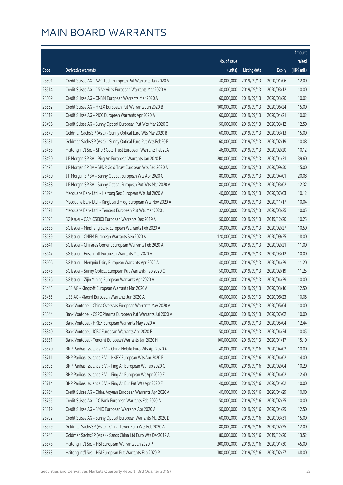|       |                                                              |              |                       |               | Amount      |
|-------|--------------------------------------------------------------|--------------|-----------------------|---------------|-------------|
|       |                                                              | No. of issue |                       |               | raised      |
| Code  | Derivative warrants                                          | (units)      | <b>Listing date</b>   | <b>Expiry</b> | (HK\$ mil.) |
| 28501 | Credit Suisse AG - AAC Tech European Put Warrants Jan 2020 A | 40,000,000   | 2019/09/13            | 2020/01/06    | 12.00       |
| 28514 | Credit Suisse AG - CS Services European Warrants Mar 2020 A  | 40,000,000   | 2019/09/13            | 2020/03/12    | 10.00       |
| 28509 | Credit Suisse AG - CNBM European Warrants Mar 2020 A         | 60,000,000   | 2019/09/13            | 2020/03/20    | 10.02       |
| 28562 | Credit Suisse AG - HKEX European Put Warrants Jun 2020 B     | 100,000,000  | 2019/09/13            | 2020/06/24    | 15.00       |
| 28512 | Credit Suisse AG - PICC European Warrants Apr 2020 A         | 60,000,000   | 2019/09/13            | 2020/04/21    | 10.02       |
| 28496 | Credit Suisse AG - Sunny Optical European Put Wts Mar 2020 C | 50,000,000   | 2019/09/13            | 2020/03/12    | 12.50       |
| 28679 | Goldman Sachs SP (Asia) - Sunny Optical Euro Wts Mar 2020 B  | 60,000,000   | 2019/09/13            | 2020/03/13    | 15.00       |
| 28681 | Goldman Sachs SP (Asia) - Sunny Optical Euro Put Wts Feb20 B | 60,000,000   | 2019/09/13            | 2020/02/19    | 10.08       |
| 28468 | Haitong Int'l Sec - SPDR Gold Trust European Warrants Feb20A | 46,000,000   | 2019/09/13            | 2020/02/20    | 10.12       |
| 28490 | J P Morgan SP BV - Ping An European Warrants Jan 2020 F      | 200,000,000  | 2019/09/13            | 2020/01/31    | 39.60       |
| 28475 | J P Morgan SP BV - SPDR Gold Trust European Wts Sep 2020 A   | 60,000,000   | 2019/09/13            | 2020/09/30    | 15.00       |
| 28480 | J P Morgan SP BV - Sunny Optical European Wts Apr 2020 C     | 80,000,000   | 2019/09/13            | 2020/04/01    | 20.08       |
| 28488 | J P Morgan SP BV - Sunny Optical European Put Wts Mar 2020 A | 80,000,000   | 2019/09/13            | 2020/03/02    | 12.32       |
| 28294 | Macquarie Bank Ltd. - Haitong Sec European Wts Jul 2020 A    | 40,000,000   | 2019/09/13            | 2020/07/03    | 10.12       |
| 28370 | Macquarie Bank Ltd. - Kingboard Hldg European Wts Nov 2020 A | 40,000,000   | 2019/09/13            | 2020/11/17    | 10.04       |
| 28371 | Macquarie Bank Ltd. - Tencent European Put Wts Mar 2020 J    | 32,000,000   | 2019/09/13            | 2020/03/25    | 10.05       |
| 28593 | SG Issuer - CAM CSI300 European Warrants Dec 2019 A          | 50,000,000   | 2019/09/13            | 2019/12/20    | 10.25       |
| 28638 | SG Issuer - Minsheng Bank European Warrants Feb 2020 A       | 30,000,000   | 2019/09/13            | 2020/02/27    | 10.50       |
| 28639 | SG Issuer - CNBM European Warrants Sep 2020 A                | 120,000,000  | 2019/09/13            | 2020/09/25    | 18.00       |
| 28641 | SG Issuer - Chinares Cement European Warrants Feb 2020 A     | 50,000,000   | 2019/09/13            | 2020/02/21    | 11.00       |
| 28647 | SG Issuer - Fosun Intl European Warrants Mar 2020 A          | 40,000,000   | 2019/09/13            | 2020/03/12    | 10.00       |
| 28606 | SG Issuer - Mengniu Dairy European Warrants Apr 2020 A       | 40,000,000   | 2019/09/13            | 2020/04/29    | 11.20       |
| 28578 | SG Issuer - Sunny Optical European Put Warrants Feb 2020 C   | 50,000,000   | 2019/09/13            | 2020/02/19    | 11.25       |
| 28676 | SG Issuer - Zijin Mining European Warrants Apr 2020 A        | 40,000,000   | 2019/09/13            | 2020/04/29    | 10.00       |
| 28445 | UBS AG - Kingsoft European Warrants Mar 2020 A               | 50,000,000   | 2019/09/13            | 2020/03/16    | 12.50       |
| 28465 | UBS AG - Xiaomi European Warrants Jun 2020 A                 | 60,000,000   | 2019/09/13            | 2020/06/23    | 10.08       |
| 28295 | Bank Vontobel - China Overseas European Warrants May 2020 A  |              | 40,000,000 2019/09/13 | 2020/05/04    | 10.00       |
| 28344 | Bank Vontobel - CSPC Pharma European Put Warrants Jul 2020 A | 40,000,000   | 2019/09/13            | 2020/07/02    | 10.00       |
| 28367 | Bank Vontobel - HKEX European Warrants May 2020 A            | 40,000,000   | 2019/09/13            | 2020/05/04    | 12.44       |
| 28340 | Bank Vontobel - ICBC European Warrants Apr 2020 B            | 50,000,000   | 2019/09/13            | 2020/04/24    | 10.05       |
| 28331 | Bank Vontobel - Tencent European Warrants Jan 2020 H         | 100,000,000  | 2019/09/13            | 2020/01/17    | 15.10       |
| 28870 | BNP Paribas Issuance B.V. - China Mobile Euro Wts Apr 2020 A | 40,000,000   | 2019/09/16            | 2020/04/02    | 10.00       |
| 28711 | BNP Paribas Issuance B.V. - HKEX European Wts Apr 2020 B     | 40,000,000   | 2019/09/16            | 2020/04/02    | 14.00       |
| 28695 | BNP Paribas Issuance B.V. - Ping An European Wt Feb 2020 C   | 60,000,000   | 2019/09/16            | 2020/02/04    | 10.20       |
| 28692 | BNP Paribas Issuance B.V. - Ping An European Wt Apr 2020 E   | 40,000,000   | 2019/09/16            | 2020/04/02    | 12.40       |
| 28714 | BNP Paribas Issuance B.V. - Ping An Eur Put Wts Apr 2020 F   | 40,000,000   | 2019/09/16            | 2020/04/02    | 10.00       |
| 28764 | Credit Suisse AG - China Aoyuan European Warrants Apr 2020 A | 40,000,000   | 2019/09/16            | 2020/04/29    | 10.00       |
| 28755 | Credit Suisse AG - CC Bank European Warrants Feb 2020 A      | 50,000,000   | 2019/09/16            | 2020/02/25    | 10.00       |
| 28819 | Credit Suisse AG - SMIC European Warrants Apr 2020 A         | 50,000,000   | 2019/09/16            | 2020/04/29    | 12.50       |
| 28792 | Credit Suisse AG - Sunny Optical European Warrants Mar2020 D | 60,000,000   | 2019/09/16            | 2020/03/31    | 15.00       |
| 28929 | Goldman Sachs SP (Asia) - China Tower Euro Wts Feb 2020 A    | 80,000,000   | 2019/09/16            | 2020/02/25    | 12.00       |
| 28943 | Goldman Sachs SP (Asia) - Sands China Ltd Euro Wts Dec2019 A | 80,000,000   | 2019/09/16            | 2019/12/20    | 13.52       |
| 28878 | Haitong Int'l Sec - HSI European Warrants Jan 2020 P         | 300,000,000  | 2019/09/16            | 2020/01/30    | 45.00       |
| 28873 | Haitong Int'l Sec - HSI European Put Warrants Feb 2020 P     | 300,000,000  | 2019/09/16            | 2020/02/27    | 48.00       |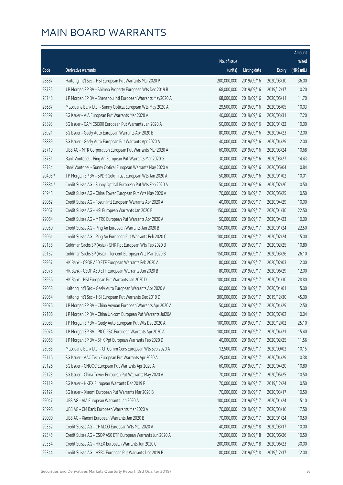|         |                                                              |              |                       |               | Amount      |
|---------|--------------------------------------------------------------|--------------|-----------------------|---------------|-------------|
|         |                                                              | No. of issue |                       |               | raised      |
| Code    | Derivative warrants                                          | (units)      | <b>Listing date</b>   | <b>Expiry</b> | (HK\$ mil.) |
| 28887   | Haitong Int'l Sec - HSI European Put Warrants Mar 2020 P     | 200,000,000  | 2019/09/16            | 2020/03/30    | 36.00       |
| 28735   | J P Morgan SP BV - Shimao Property European Wts Dec 2019 B   | 68,000,000   | 2019/09/16            | 2019/12/17    | 10.20       |
| 28748   | J P Morgan SP BV - Shenzhou Intl European Warrants May2020 A | 68,000,000   | 2019/09/16            | 2020/05/11    | 11.70       |
| 28687   | Macquarie Bank Ltd. - Sunny Optical European Wts May 2020 A  | 29,500,000   | 2019/09/16            | 2020/05/05    | 10.03       |
| 28897   | SG Issuer - AIA European Put Warrants Mar 2020 A             | 40,000,000   | 2019/09/16            | 2020/03/31    | 17.20       |
| 28893   | SG Issuer - CAM CSI300 European Put Warrants Jan 2020 A      | 50,000,000   | 2019/09/16            | 2020/01/22    | 10.00       |
| 28921   | SG Issuer - Geely Auto European Warrants Apr 2020 B          | 80,000,000   | 2019/09/16            | 2020/04/23    | 12.00       |
| 28889   | SG Issuer - Geely Auto European Put Warrants Apr 2020 A      | 40,000,000   | 2019/09/16            | 2020/04/29    | 12.00       |
| 28719   | UBS AG - MTR Corporation European Put Warrants Mar 2020 A    | 60,000,000   | 2019/09/16            | 2020/03/24    | 10.68       |
| 28731   | Bank Vontobel - Ping An European Put Warrants Mar 2020 G     | 30,000,000   | 2019/09/16            | 2020/03/27    | 14.43       |
| 28734   | Bank Vontobel - Sunny Optical European Warrants May 2020 A   | 40,000,000   | 2019/09/16            | 2020/05/04    | 10.84       |
| 20495 # | J P Morgan SP BV - SPDR Gold Trust European Wts Jan 2020 A   | 50,800,000   | 2019/09/16            | 2020/01/02    | 10.01       |
| 23884 # | Credit Suisse AG - Sunny Optical European Put Wts Feb 2020 A | 50,000,000   | 2019/09/16            | 2020/02/26    | 10.50       |
| 28945   | Credit Suisse AG - China Tower European Put Wts May 2020 A   | 70,000,000   | 2019/09/17            | 2020/05/25    | 10.50       |
| 29062   | Credit Suisse AG - Fosun Intl European Warrants Apr 2020 A   | 40,000,000   | 2019/09/17            | 2020/04/29    | 10.00       |
| 29067   | Credit Suisse AG - HSI European Warrants Jan 2020 B          | 150,000,000  | 2019/09/17            | 2020/01/30    | 22.50       |
| 29064   | Credit Suisse AG - MTRC European Put Warrants Apr 2020 A     | 50,000,000   | 2019/09/17            | 2020/04/23    | 10.00       |
| 29060   | Credit Suisse AG - Ping An European Warrants Jan 2020 B      | 150,000,000  | 2019/09/17            | 2020/01/24    | 22.50       |
| 29061   | Credit Suisse AG - Ping An European Put Warrants Feb 2020 C  | 100,000,000  | 2019/09/17            | 2020/02/24    | 15.00       |
| 29138   | Goldman Sachs SP (Asia) - SHK Ppt European Wts Feb 2020 B    | 60,000,000   | 2019/09/17            | 2020/02/25    | 10.80       |
| 29152   | Goldman Sachs SP (Asia) - Tencent European Wts Mar 2020 B    | 150,000,000  | 2019/09/17            | 2020/03/26    | 26.10       |
| 28957   | HK Bank - CSOP A50 ETF European Warrants Feb 2020 A          | 80,000,000   | 2019/09/17            | 2020/02/03    | 12.00       |
| 28978   | HK Bank - CSOP A50 ETF European Warrants Jun 2020 B          | 80,000,000   | 2019/09/17            | 2020/06/29    | 12.00       |
| 28956   | HK Bank - HSI European Put Warrants Jan 2020 D               | 180,000,000  | 2019/09/17            | 2020/01/30    | 28.80       |
| 29058   | Haitong Int'l Sec - Geely Auto European Warrants Apr 2020 A  | 60,000,000   | 2019/09/17            | 2020/04/01    | 15.00       |
| 29054   | Haitong Int'l Sec - HSI European Put Warrants Dec 2019 D     | 300,000,000  | 2019/09/17            | 2019/12/30    | 45.00       |
| 29076   | J P Morgan SP BV – China Aoyuan European Warrants Apr 2020 A |              | 50,000,000 2019/09/17 | 2020/04/29    | 12.50       |
| 29106   | J P Morgan SP BV - China Unicom European Put Warrants Jul20A | 40,000,000   | 2019/09/17            | 2020/07/02    | 10.04       |
| 29083   | J P Morgan SP BV - Geely Auto European Put Wts Dec 2020 A    | 100,000,000  | 2019/09/17            | 2020/12/02    | 25.10       |
| 29074   | J P Morgan SP BV - PICC P&C European Warrants Apr 2020 A     | 100,000,000  | 2019/09/17            | 2020/04/21    | 15.40       |
| 29068   | J P Morgan SP BV - SHK Ppt European Warrants Feb 2020 D      | 40,000,000   | 2019/09/17            | 2020/02/25    | 11.56       |
| 28985   | Macquarie Bank Ltd. - Ch Comm Cons European Wts Sep 2020 A   | 12,500,000   | 2019/09/17            | 2020/09/02    | 10.15       |
| 29116   | SG Issuer - AAC Tech European Put Warrants Apr 2020 A        | 25,000,000   | 2019/09/17            | 2020/04/29    | 10.38       |
| 29126   | SG Issuer - CNOOC European Put Warrants Apr 2020 A           | 60,000,000   | 2019/09/17            | 2020/04/20    | 10.80       |
| 29123   | SG Issuer - China Tower European Put Warrants May 2020 A     | 70,000,000   | 2019/09/17            | 2020/05/25    | 10.50       |
| 29119   | SG Issuer - HKEX European Warrants Dec 2019 F                | 70,000,000   | 2019/09/17            | 2019/12/24    | 10.50       |
| 29127   | SG Issuer - Xiaomi European Put Warrants Mar 2020 B          | 70,000,000   | 2019/09/17            | 2020/03/17    | 10.50       |
| 29047   | UBS AG - AIA European Warrants Jan 2020 A                    | 100,000,000  | 2019/09/17            | 2020/01/24    | 15.10       |
| 28996   | UBS AG - CM Bank European Warrants Mar 2020 A                | 70,000,000   | 2019/09/17            | 2020/03/16    | 17.50       |
| 29000   | UBS AG - Xiaomi European Warrants Jan 2020 B                 | 70,000,000   | 2019/09/17            | 2020/01/24    | 10.50       |
| 29352   | Credit Suisse AG - CHALCO European Wts Mar 2020 A            | 40,000,000   | 2019/09/18            | 2020/03/17    | 10.00       |
| 29345   | Credit Suisse AG - CSOP A50 ETF European Warrants Jun 2020 A | 70,000,000   | 2019/09/18            | 2020/06/26    | 10.50       |
| 29354   | Credit Suisse AG - HKEX European Warrants Jun 2020 C         | 200,000,000  | 2019/09/18            | 2020/06/23    | 30.00       |
| 29344   | Credit Suisse AG - HSBC European Put Warrants Dec 2019 B     | 80,000,000   | 2019/09/18            | 2019/12/17    | 12.00       |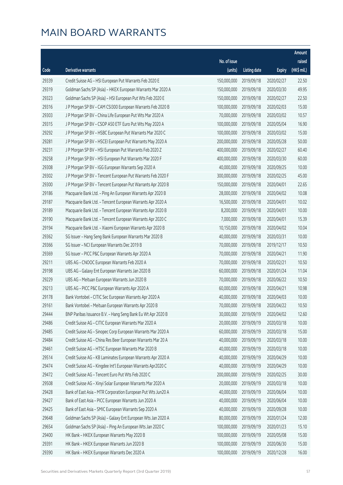|       |                                                              |              |                       |               | Amount      |
|-------|--------------------------------------------------------------|--------------|-----------------------|---------------|-------------|
|       |                                                              | No. of issue |                       |               | raised      |
| Code  | Derivative warrants                                          | (units)      | <b>Listing date</b>   | <b>Expiry</b> | (HK\$ mil.) |
| 29339 | Credit Suisse AG - HSI European Put Warrants Feb 2020 E      | 150,000,000  | 2019/09/18            | 2020/02/27    | 22.50       |
| 29319 | Goldman Sachs SP (Asia) - HKEX European Warrants Mar 2020 A  | 150,000,000  | 2019/09/18            | 2020/03/30    | 49.95       |
| 29323 | Goldman Sachs SP (Asia) - HSI European Put Wts Feb 2020 E    | 150,000,000  | 2019/09/18            | 2020/02/27    | 22.50       |
| 29316 | J P Morgan SP BV - CAM CSI300 European Warrants Feb 2020 B   | 100,000,000  | 2019/09/18            | 2020/02/03    | 15.00       |
| 29303 | J P Morgan SP BV - China Life European Put Wts Mar 2020 A    | 70,000,000   | 2019/09/18            | 2020/03/02    | 10.57       |
| 29315 | J P Morgan SP BV - CSOP A50 ETF Euro Put Wts May 2020 A      | 100,000,000  | 2019/09/18            | 2020/05/04    | 16.90       |
| 29292 | J P Morgan SP BV - HSBC European Put Warrants Mar 2020 C     | 100,000,000  | 2019/09/18            | 2020/03/02    | 15.00       |
| 29281 | J P Morgan SP BV - HSCEI European Put Warrants May 2020 A    | 200,000,000  | 2019/09/18            | 2020/05/28    | 50.00       |
| 29231 | J P Morgan SP BV - HSI European Put Warrants Feb 2020 Z      | 400,000,000  | 2019/09/18            | 2020/02/27    | 60.40       |
| 29258 | J P Morgan SP BV - HSI European Put Warrants Mar 2020 F      | 400,000,000  | 2019/09/18            | 2020/03/30    | 60.00       |
| 29308 | J P Morgan SP BV - IGG European Warrants Sep 2020 A          | 40,000,000   | 2019/09/18            | 2020/09/25    | 10.00       |
| 29302 | J P Morgan SP BV - Tencent European Put Warrants Feb 2020 F  | 300,000,000  | 2019/09/18            | 2020/02/25    | 45.00       |
| 29300 | J P Morgan SP BV - Tencent European Put Warrants Apr 2020 B  | 150,000,000  | 2019/09/18            | 2020/04/01    | 22.65       |
| 29186 | Macquarie Bank Ltd. - Ping An European Warrants Apr 2020 B   | 28,000,000   | 2019/09/18            | 2020/04/02    | 10.08       |
| 29187 | Macquarie Bank Ltd. - Tencent European Warrants Apr 2020 A   | 16,500,000   | 2019/09/18            | 2020/04/01    | 10.02       |
| 29189 | Macquarie Bank Ltd. - Tencent European Warrants Apr 2020 B   | 8,200,000    | 2019/09/18            | 2020/04/01    | 10.00       |
| 29190 | Macquarie Bank Ltd. - Tencent European Warrants Apr 2020 C   | 7,000,000    | 2019/09/18            | 2020/04/01    | 15.39       |
| 29194 | Macquarie Bank Ltd. - Xiaomi European Warrants Apr 2020 B    | 10,150,000   | 2019/09/18            | 2020/04/02    | 10.04       |
| 29362 | SG Issuer - Hang Seng Bank European Warrants Mar 2020 B      | 40,000,000   | 2019/09/18            | 2020/03/31    | 10.00       |
| 29366 | SG Issuer - NCI European Warrants Dec 2019 B                 | 70,000,000   | 2019/09/18            | 2019/12/17    | 10.50       |
| 29369 | SG Issuer - PICC P&C European Warrants Apr 2020 A            | 70,000,000   | 2019/09/18            | 2020/04/21    | 11.90       |
| 29211 | UBS AG - CNOOC European Warrants Feb 2020 A                  | 70,000,000   | 2019/09/18            | 2020/02/21    | 10.50       |
| 29198 | UBS AG - Galaxy Ent European Warrants Jan 2020 B             | 60,000,000   | 2019/09/18            | 2020/01/24    | 11.04       |
| 29229 | UBS AG - Meituan European Warrants Jun 2020 B                | 70,000,000   | 2019/09/18            | 2020/06/22    | 10.50       |
| 29213 | UBS AG - PICC P&C European Warrants Apr 2020 A               | 60,000,000   | 2019/09/18            | 2020/04/21    | 10.98       |
| 29178 | Bank Vontobel - CITIC Sec European Warrants Apr 2020 A       | 40,000,000   | 2019/09/18            | 2020/04/03    | 10.00       |
| 29161 | Bank Vontobel - Meituan European Warrants Apr 2020 B         |              | 70,000,000 2019/09/18 | 2020/04/22    | 10.50       |
| 29444 | BNP Paribas Issuance B.V. - Hang Seng Bank Eu Wt Apr 2020 B  | 30,000,000   | 2019/09/19            | 2020/04/02    | 12.60       |
| 29486 | Credit Suisse AG - CITIC European Warrants Mar 2020 A        | 20,000,000   | 2019/09/19            | 2020/03/18    | 10.00       |
| 29485 | Credit Suisse AG - Sinopec Corp European Warrants Mar 2020 A | 60,000,000   | 2019/09/19            | 2020/03/18    | 15.00       |
| 29484 | Credit Suisse AG - China Res Beer European Warrants Mar 20 A | 40,000,000   | 2019/09/19            | 2020/03/18    | 10.00       |
| 29461 | Credit Suisse AG - HTSC European Warrants Mar 2020 B         | 40,000,000   | 2019/09/19            | 2020/03/18    | 10.00       |
| 29514 | Credit Suisse AG - KB Laminates European Warrants Apr 2020 A | 40,000,000   | 2019/09/19            | 2020/04/29    | 10.00       |
| 29474 | Credit Suisse AG - Kingdee Int'l European Warrants Apr2020 C | 40,000,000   | 2019/09/19            | 2020/04/29    | 10.00       |
| 29472 | Credit Suisse AG - Tencent Euro Put Wts Feb 2020 C           | 200,000,000  | 2019/09/19            | 2020/02/25    | 30.00       |
| 29508 | Credit Suisse AG - Xinyi Solar European Warrants Mar 2020 A  | 20,000,000   | 2019/09/19            | 2020/03/18    | 10.00       |
| 29428 | Bank of East Asia - MTR Corporation European Put Wts Jun20 A | 40,000,000   | 2019/09/19            | 2020/06/04    | 10.00       |
| 29427 | Bank of East Asia - PICC European Warrants Jun 2020 A        | 40,000,000   | 2019/09/19            | 2020/06/04    | 10.00       |
| 29425 | Bank of East Asia - SMIC European Warrants Sep 2020 A        | 40,000,000   | 2019/09/19            | 2020/09/28    | 10.00       |
| 29648 | Goldman Sachs SP (Asia) - Galaxy Ent European Wts Jan 2020 A | 80,000,000   | 2019/09/19            | 2020/01/24    | 12.00       |
| 29654 | Goldman Sachs SP (Asia) - Ping An European Wts Jan 2020 C    | 100,000,000  | 2019/09/19            | 2020/01/23    | 15.10       |
| 29400 | HK Bank - HKEX European Warrants May 2020 B                  | 100,000,000  | 2019/09/19            | 2020/05/08    | 15.00       |
| 29391 | HK Bank - HKEX European Warrants Jun 2020 B                  | 100,000,000  | 2019/09/19            | 2020/06/30    | 15.00       |
| 29390 | HK Bank - HKEX European Warrants Dec 2020 A                  | 100,000,000  | 2019/09/19            | 2020/12/28    | 16.00       |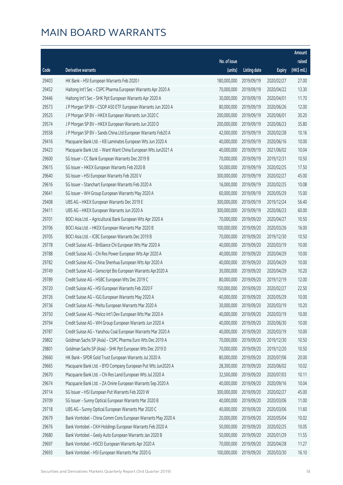|       |                                                              |              |                       |               | <b>Amount</b> |
|-------|--------------------------------------------------------------|--------------|-----------------------|---------------|---------------|
|       |                                                              | No. of issue |                       |               | raised        |
| Code  | Derivative warrants                                          | (units)      | <b>Listing date</b>   | <b>Expiry</b> | (HK\$ mil.)   |
| 29403 | HK Bank - HSI European Warrants Feb 2020 I                   | 180,000,000  | 2019/09/19            | 2020/02/27    | 27.00         |
| 29452 | Haitong Int'l Sec - CSPC Pharma European Warrants Apr 2020 A | 70,000,000   | 2019/09/19            | 2020/04/22    | 13.30         |
| 29446 | Haitong Int'l Sec - SHK Ppt European Warrants Apr 2020 A     | 30,000,000   | 2019/09/19            | 2020/04/01    | 11.70         |
| 29573 | J P Morgan SP BV - CSOP A50 ETF European Warrants Jun 2020 A | 80,000,000   | 2019/09/19            | 2020/06/26    | 12.00         |
| 29525 | J P Morgan SP BV - HKEX European Warrants Jun 2020 C         | 200,000,000  | 2019/09/19            | 2020/06/01    | 30.20         |
| 29574 | J P Morgan SP BV - HKEX European Warrants Jun 2020 D         | 200,000,000  | 2019/09/19            | 2020/06/23    | 35.80         |
| 29558 | J P Morgan SP BV - Sands China Ltd European Warrants Feb20 A | 42,000,000   | 2019/09/19            | 2020/02/28    | 10.16         |
| 29416 | Macquarie Bank Ltd. - KB Laminates European Wts Jun 2020 A   | 40,000,000   | 2019/09/19            | 2020/06/16    | 10.00         |
| 29423 | Macquarie Bank Ltd. - Want Want China European Wts Jun2021 A | 40,000,000   | 2019/09/19            | 2021/06/02    | 10.04         |
| 29600 | SG Issuer - CC Bank European Warrants Dec 2019 B             | 70,000,000   | 2019/09/19            | 2019/12/31    | 10.50         |
| 29615 | SG Issuer - HKEX European Warrants Feb 2020 B                | 50,000,000   | 2019/09/19            | 2020/02/25    | 17.50         |
| 29640 | SG Issuer - HSI European Warrants Feb 2020 V                 | 300,000,000  | 2019/09/19            | 2020/02/27    | 45.00         |
| 29616 | SG Issuer - Stanchart European Warrants Feb 2020 A           | 16,000,000   | 2019/09/19            | 2020/02/25    | 10.08         |
| 29641 | SG Issuer - WH Group European Warrants May 2020 A            | 60,000,000   | 2019/09/19            | 2020/05/29    | 15.00         |
| 29408 | UBS AG - HKEX European Warrants Dec 2019 E                   | 300,000,000  | 2019/09/19            | 2019/12/24    | 56.40         |
| 29411 | UBS AG - HKEX European Warrants Jun 2020 A                   | 300,000,000  | 2019/09/19            | 2020/06/23    | 60.00         |
| 29701 | BOCI Asia Ltd. - Agricultural Bank European Wts Apr 2020 A   | 70,000,000   | 2019/09/20            | 2020/04/27    | 10.50         |
| 29706 | BOCI Asia Ltd. - HKEX European Warrants Mar 2020 B           | 100,000,000  | 2019/09/20            | 2020/03/26    | 16.00         |
| 29705 | BOCI Asia Ltd. - ICBC European Warrants Dec 2019 B           | 70,000,000   | 2019/09/20            | 2019/12/30    | 10.50         |
| 29778 | Credit Suisse AG - Brilliance Chi European Wts Mar 2020 A    | 40,000,000   | 2019/09/20            | 2020/03/19    | 10.00         |
| 29788 | Credit Suisse AG - Chi Res Power European Wts Apr 2020 A     | 40,000,000   | 2019/09/20            | 2020/04/29    | 10.00         |
| 29782 | Credit Suisse AG - China Shenhua European Wts Apr 2020 A     | 40,000,000   | 2019/09/20            | 2020/04/29    | 10.00         |
| 29749 | Credit Suisse AG - Genscript Bio European Warrants Apr2020 A | 30,000,000   | 2019/09/20            | 2020/04/29    | 10.20         |
| 29789 | Credit Suisse AG - HSBC European Wts Dec 2019 C              | 80,000,000   | 2019/09/20            | 2019/12/19    | 12.00         |
| 29720 | Credit Suisse AG - HSI European Warrants Feb 2020 F          | 150,000,000  | 2019/09/20            | 2020/02/27    | 22.50         |
| 29726 | Credit Suisse AG - IGG European Warrants May 2020 A          | 40,000,000   | 2019/09/20            | 2020/05/29    | 10.00         |
| 29736 | Credit Suisse AG - Meitu European Warrants Mar 2020 A        |              | 30,000,000 2019/09/20 | 2020/03/19    | 10.20         |
| 29750 | Credit Suisse AG - Melco Int'l Dev European Wts Mar 2020 A   | 40,000,000   | 2019/09/20            | 2020/03/19    | 10.00         |
| 29794 | Credit Suisse AG - WH Group European Warrants Jun 2020 A     | 40,000,000   | 2019/09/20            | 2020/06/30    | 10.00         |
| 29787 | Credit Suisse AG - Yanzhou Coal European Warrants Mar 2020 A | 40,000,000   | 2019/09/20            | 2020/03/19    | 10.00         |
| 29802 | Goldman Sachs SP (Asia) - CSPC Pharma Euro Wts Dec 2019 A    | 70,000,000   | 2019/09/20            | 2019/12/30    | 10.50         |
| 29801 | Goldman Sachs SP (Asia) - SHK Ppt European Wts Dec 2019 D    | 70,000,000   | 2019/09/20            | 2019/12/20    | 10.50         |
| 29660 | HK Bank - SPDR Gold Trust European Warrants Jul 2020 A       | 80,000,000   | 2019/09/20            | 2020/07/06    | 20.00         |
| 29665 | Macquarie Bank Ltd. - BYD Company European Put Wts Jun2020 A | 28,300,000   | 2019/09/20            | 2020/06/02    | 10.02         |
| 29670 | Macquarie Bank Ltd. - Chi Res Land European Wts Jul 2020 A   | 32,500,000   | 2019/09/20            | 2020/07/03    | 10.11         |
| 29674 | Macquarie Bank Ltd. - ZA Onine European Warrants Sep 2020 A  | 40,000,000   | 2019/09/20            | 2020/09/16    | 10.04         |
| 29714 | SG Issuer - HSI European Put Warrants Feb 2020 W             | 300,000,000  | 2019/09/20            | 2020/02/27    | 45.00         |
| 29709 | SG Issuer - Sunny Optical European Warrants Mar 2020 B       | 40,000,000   | 2019/09/20            | 2020/03/06    | 11.00         |
| 29718 | UBS AG - Sunny Optical European Warrants Mar 2020 C          | 40,000,000   | 2019/09/20            | 2020/03/06    | 11.60         |
| 29679 | Bank Vontobel - China Comm Cons European Warrants May 2020 A | 20,000,000   | 2019/09/20            | 2020/05/04    | 10.02         |
| 29676 | Bank Vontobel - CKH Holdings European Warrants Feb 2020 A    | 50,000,000   | 2019/09/20            | 2020/02/25    | 10.05         |
| 29680 | Bank Vontobel - Geely Auto European Warrants Jan 2020 B      | 50,000,000   | 2019/09/20            | 2020/01/29    | 11.55         |
| 29697 | Bank Vontobel - HSCEI European Warrants Apr 2020 A           | 70,000,000   | 2019/09/20            | 2020/04/28    | 11.27         |
| 29693 | Bank Vontobel - HSI European Warrants Mar 2020 G             | 100,000,000  | 2019/09/20            | 2020/03/30    | 16.10         |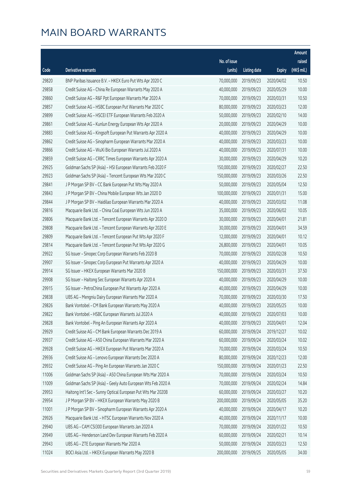|       |                                                              |              |                       |               | Amount      |
|-------|--------------------------------------------------------------|--------------|-----------------------|---------------|-------------|
|       |                                                              | No. of issue |                       |               | raised      |
| Code  | Derivative warrants                                          | (units)      | <b>Listing date</b>   | <b>Expiry</b> | (HK\$ mil.) |
| 29820 | BNP Paribas Issuance B.V. - HKEX Euro Put Wts Apr 2020 C     | 70,000,000   | 2019/09/23            | 2020/04/02    | 10.50       |
| 29858 | Credit Suisse AG - China Re European Warrants May 2020 A     | 40,000,000   | 2019/09/23            | 2020/05/29    | 10.00       |
| 29860 | Credit Suisse AG - R&F Ppt European Warrants Mar 2020 A      | 70,000,000   | 2019/09/23            | 2020/03/31    | 10.50       |
| 29857 | Credit Suisse AG - HSBC European Put Warrants Mar 2020 C     | 80,000,000   | 2019/09/23            | 2020/03/23    | 12.00       |
| 29899 | Credit Suisse AG - HSCEI ETF European Warrants Feb 2020 A    | 50,000,000   | 2019/09/23            | 2020/02/10    | 14.00       |
| 29861 | Credit Suisse AG - Kunlun Energy European Wts Apr 2020 A     | 20,000,000   | 2019/09/23            | 2020/04/29    | 10.00       |
| 29883 | Credit Suisse AG - Kingsoft European Put Warrants Apr 2020 A | 40,000,000   | 2019/09/23            | 2020/04/29    | 10.00       |
| 29862 | Credit Suisse AG - Sinopharm European Warrants Mar 2020 A    | 40,000,000   | 2019/09/23            | 2020/03/23    | 10.00       |
| 29866 | Credit Suisse AG - WuXi Bio European Warrants Jul 2020 A     | 40,000,000   | 2019/09/23            | 2020/07/31    | 10.00       |
| 29859 | Credit Suisse AG - CRRC Times European Warrants Apr 2020 A   | 30,000,000   | 2019/09/23            | 2020/04/29    | 10.20       |
| 29925 | Goldman Sachs SP (Asia) - HSI European Warrants Feb 2020 F   | 150,000,000  | 2019/09/23            | 2020/02/27    | 22.50       |
| 29923 | Goldman Sachs SP (Asia) - Tencent European Wts Mar 2020 C    | 150,000,000  | 2019/09/23            | 2020/03/26    | 22.50       |
| 29841 | J P Morgan SP BV - CC Bank European Put Wts May 2020 A       | 50,000,000   | 2019/09/23            | 2020/05/04    | 12.50       |
| 29843 | J P Morgan SP BV - China Mobile European Wts Jan 2020 D      | 100,000,000  | 2019/09/23            | 2020/01/31    | 15.00       |
| 29844 | J P Morgan SP BV - Haidilao European Warrants Mar 2020 A     | 40,000,000   | 2019/09/23            | 2020/03/02    | 11.08       |
| 29816 | Macquarie Bank Ltd. - China Coal European Wts Jun 2020 A     | 35,000,000   | 2019/09/23            | 2020/06/02    | 10.05       |
| 29806 | Macquarie Bank Ltd. - Tencent European Warrants Apr 2020 D   | 30,000,000   | 2019/09/23            | 2020/04/01    | 21.81       |
| 29808 | Macquarie Bank Ltd. - Tencent European Warrants Apr 2020 E   | 30,000,000   | 2019/09/23            | 2020/04/01    | 34.59       |
| 29809 | Macquarie Bank Ltd. - Tencent European Put Wts Apr 2020 F    | 12,000,000   | 2019/09/23            | 2020/04/01    | 10.12       |
| 29814 | Macquarie Bank Ltd. - Tencent European Put Wts Apr 2020 G    | 26,800,000   | 2019/09/23            | 2020/04/01    | 10.05       |
| 29922 | SG Issuer - Sinopec Corp European Warrants Feb 2020 B        | 70,000,000   | 2019/09/23            | 2020/02/28    | 10.50       |
| 29907 | SG Issuer - Sinopec Corp European Put Warrants Apr 2020 A    | 40,000,000   | 2019/09/23            | 2020/04/29    | 10.00       |
| 29914 | SG Issuer - HKEX European Warrants Mar 2020 B                | 150,000,000  | 2019/09/23            | 2020/03/31    | 37.50       |
| 29908 | SG Issuer - Haitong Sec European Warrants Apr 2020 A         | 40,000,000   | 2019/09/23            | 2020/04/29    | 10.00       |
| 29915 | SG Issuer - PetroChina European Put Warrants Apr 2020 A      | 40,000,000   | 2019/09/23            | 2020/04/29    | 10.00       |
| 29838 | UBS AG - Mengniu Dairy European Warrants Mar 2020 A          | 70,000,000   | 2019/09/23            | 2020/03/30    | 17.50       |
| 29826 | Bank Vontobel - CM Bank European Warrants May 2020 A         |              | 40,000,000 2019/09/23 | 2020/05/25    | 10.00       |
| 29822 | Bank Vontobel - HSBC European Warrants Jul 2020 A            | 40,000,000   | 2019/09/23            | 2020/07/03    | 10.00       |
| 29828 | Bank Vontobel - Ping An European Warrants Apr 2020 A         | 40,000,000   | 2019/09/23            | 2020/04/01    | 12.04       |
| 29929 | Credit Suisse AG - CM Bank European Warrants Dec 2019 A      | 60,000,000   | 2019/09/24            | 2019/12/27    | 10.02       |
| 29937 | Credit Suisse AG - A50 China European Warrants Mar 2020 A    | 60,000,000   | 2019/09/24            | 2020/03/24    | 10.02       |
| 29928 | Credit Suisse AG - HKEX European Put Warrants Mar 2020 A     | 70,000,000   | 2019/09/24            | 2020/03/24    | 10.50       |
| 29936 | Credit Suisse AG - Lenovo European Warrants Dec 2020 A       | 80,000,000   | 2019/09/24            | 2020/12/23    | 12.00       |
| 29932 | Credit Suisse AG - Ping An European Warrants Jan 2020 C      | 150,000,000  | 2019/09/24            | 2020/01/23    | 22.50       |
| 11006 | Goldman Sachs SP (Asia) - A50 China European Wts Mar 2020 A  | 70,000,000   | 2019/09/24            | 2020/03/24    | 10.50       |
| 11009 | Goldman Sachs SP (Asia) - Geely Auto European Wts Feb 2020 A | 70,000,000   | 2019/09/24            | 2020/02/24    | 14.84       |
| 29953 | Haitong Int'l Sec - Sunny Optical European Put Wts Mar 2020B | 60,000,000   | 2019/09/24            | 2020/03/27    | 10.20       |
| 29954 | J P Morgan SP BV - HKEX European Warrants May 2020 B         | 200,000,000  | 2019/09/24            | 2020/05/05    | 35.20       |
| 11001 | J P Morgan SP BV - Sinopharm European Warrants Apr 2020 A    | 40,000,000   | 2019/09/24            | 2020/04/17    | 10.20       |
| 29926 | Macquarie Bank Ltd. - HTSC European Warrants Nov 2020 A      | 40,000,000   | 2019/09/24            | 2020/11/17    | 10.00       |
| 29940 | UBS AG - CAM CSI300 European Warrants Jan 2020 A             | 70,000,000   | 2019/09/24            | 2020/01/22    | 10.50       |
| 29949 | UBS AG - Henderson Land Dev European Warrants Feb 2020 A     | 60,000,000   | 2019/09/24            | 2020/02/21    | 10.14       |
| 29943 | UBS AG - ZTE European Warrants Mar 2020 A                    | 50,000,000   | 2019/09/24            | 2020/03/23    | 12.50       |
| 11024 | BOCI Asia Ltd. - HKEX European Warrants May 2020 B           | 200,000,000  | 2019/09/25            | 2020/05/05    | 34.00       |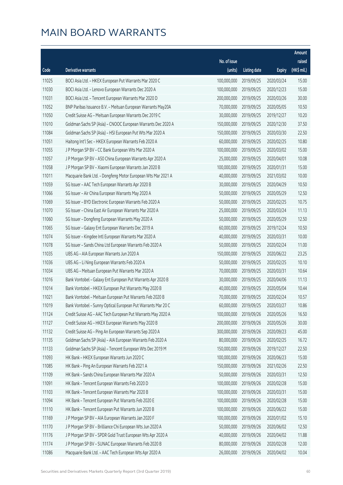|       |                                                              |              |                       |               | Amount      |
|-------|--------------------------------------------------------------|--------------|-----------------------|---------------|-------------|
|       |                                                              | No. of issue |                       |               | raised      |
| Code  | <b>Derivative warrants</b>                                   | (units)      | <b>Listing date</b>   | <b>Expiry</b> | (HK\$ mil.) |
| 11025 | BOCI Asia Ltd. - HKEX European Put Warrants Mar 2020 C       | 100,000,000  | 2019/09/25            | 2020/03/24    | 15.00       |
| 11030 | BOCI Asia Ltd. - Lenovo European Warrants Dec 2020 A         | 100,000,000  | 2019/09/25            | 2020/12/23    | 15.00       |
| 11031 | BOCI Asia Ltd. - Tencent European Warrants Mar 2020 D        | 200,000,000  | 2019/09/25            | 2020/03/26    | 30.00       |
| 11052 | BNP Paribas Issuance B.V. - Meituan European Warrants May20A | 70,000,000   | 2019/09/25            | 2020/05/05    | 10.50       |
| 11050 | Credit Suisse AG - Meituan European Warrants Dec 2019 C      | 30,000,000   | 2019/09/25            | 2019/12/27    | 10.20       |
| 11010 | Goldman Sachs SP (Asia) - CNOOC European Warrants Dec 2020 A | 150,000,000  | 2019/09/25            | 2020/12/30    | 37.50       |
| 11084 | Goldman Sachs SP (Asia) - HSI European Put Wts Mar 2020 A    | 150,000,000  | 2019/09/25            | 2020/03/30    | 22.50       |
| 11051 | Haitong Int'l Sec - HKEX European Warrants Feb 2020 A        | 60,000,000   | 2019/09/25            | 2020/02/25    | 10.80       |
| 11055 | J P Morgan SP BV - CC Bank European Wts Mar 2020 A           | 100,000,000  | 2019/09/25            | 2020/03/02    | 15.00       |
| 11057 | J P Morgan SP BV - A50 China European Warrants Apr 2020 A    | 25,000,000   | 2019/09/25            | 2020/04/01    | 10.08       |
| 11058 | J P Morgan SP BV - Xiaomi European Warrants Jan 2020 B       | 100,000,000  | 2019/09/25            | 2020/01/31    | 15.00       |
| 11011 | Macquarie Bank Ltd. - Dongfeng Motor European Wts Mar 2021 A | 40,000,000   | 2019/09/25            | 2021/03/02    | 10.00       |
| 11059 | SG Issuer - AAC Tech European Warrants Apr 2020 B            | 30,000,000   | 2019/09/25            | 2020/04/29    | 10.50       |
| 11066 | SG Issuer - Air China European Warrants May 2020 A           | 50,000,000   | 2019/09/25            | 2020/05/29    | 12.50       |
| 11069 | SG Issuer - BYD Electronic European Warrants Feb 2020 A      | 50,000,000   | 2019/09/25            | 2020/02/25    | 10.75       |
| 11070 | SG Issuer - China East Air European Warrants Mar 2020 A      | 25,000,000   | 2019/09/25            | 2020/03/24    | 11.13       |
| 11060 | SG Issuer - Dongfeng European Warrants May 2020 A            | 50,000,000   | 2019/09/25            | 2020/05/29    | 12.50       |
| 11065 | SG Issuer - Galaxy Ent European Warrants Dec 2019 A          | 60,000,000   | 2019/09/25            | 2019/12/24    | 10.50       |
| 11074 | SG Issuer - Kingdee Intl European Warrants Mar 2020 A        | 40,000,000   | 2019/09/25            | 2020/03/31    | 10.00       |
| 11078 | SG Issuer - Sands China Ltd European Warrants Feb 2020 A     | 50,000,000   | 2019/09/25            | 2020/02/24    | 11.00       |
| 11035 | UBS AG - AIA European Warrants Jun 2020 A                    | 150,000,000  | 2019/09/25            | 2020/06/22    | 23.25       |
| 11036 | UBS AG - Li Ning European Warrants Feb 2020 A                | 50,000,000   | 2019/09/25            | 2020/02/25    | 10.10       |
| 11034 | UBS AG - Meituan European Put Warrants Mar 2020 A            | 70,000,000   | 2019/09/25            | 2020/03/31    | 10.64       |
| 11016 | Bank Vontobel - Galaxy Ent European Put Warrants Apr 2020 B  | 30,000,000   | 2019/09/25            | 2020/04/06    | 11.13       |
| 11014 | Bank Vontobel - HKEX European Put Warrants May 2020 B        | 40,000,000   | 2019/09/25            | 2020/05/04    | 10.44       |
| 11021 | Bank Vontobel - Meituan European Put Warrants Feb 2020 B     | 70,000,000   | 2019/09/25            | 2020/02/24    | 10.57       |
| 11019 | Bank Vontobel - Sunny Optical European Put Warrants Mar 20 C |              | 60,000,000 2019/09/25 | 2020/03/27    | 10.86       |
| 11124 | Credit Suisse AG - AAC Tech European Put Warrants May 2020 A | 100,000,000  | 2019/09/26            | 2020/05/26    | 16.50       |
| 11127 | Credit Suisse AG - HKEX European Warrants May 2020 B         | 200,000,000  | 2019/09/26            | 2020/05/26    | 30.00       |
| 11132 | Credit Suisse AG - Ping An European Warrants Sep 2020 A      | 300,000,000  | 2019/09/26            | 2020/09/23    | 45.00       |
| 11135 | Goldman Sachs SP (Asia) - AIA European Warrants Feb 2020 A   | 80,000,000   | 2019/09/26            | 2020/02/25    | 16.72       |
| 11133 | Goldman Sachs SP (Asia) - Tencent European Wts Dec 2019 M    | 150,000,000  | 2019/09/26            | 2019/12/27    | 22.50       |
| 11093 | HK Bank - HKEX European Warrants Jun 2020 C                  | 100,000,000  | 2019/09/26            | 2020/06/23    | 15.00       |
| 11085 | HK Bank - Ping An European Warrants Feb 2021 A               | 150,000,000  | 2019/09/26            | 2021/02/26    | 22.50       |
| 11109 | HK Bank - Sands China European Warrants Mar 2020 A           | 50,000,000   | 2019/09/26            | 2020/03/31    | 12.50       |
| 11091 | HK Bank - Tencent European Warrants Feb 2020 D               | 100,000,000  | 2019/09/26            | 2020/02/28    | 15.00       |
| 11103 | HK Bank - Tencent European Warrants Mar 2020 B               | 100,000,000  | 2019/09/26            | 2020/03/31    | 15.00       |
| 11094 | HK Bank - Tencent European Put Warrants Feb 2020 E           | 100,000,000  | 2019/09/26            | 2020/02/28    | 15.00       |
| 11110 | HK Bank - Tencent European Put Warrants Jun 2020 B           | 100,000,000  | 2019/09/26            | 2020/06/22    | 15.00       |
| 11169 | J P Morgan SP BV - AIA European Warrants Jan 2020 F          | 100,000,000  | 2019/09/26            | 2020/01/02    | 15.10       |
| 11170 | J P Morgan SP BV - Brilliance Chi European Wts Jun 2020 A    | 50,000,000   | 2019/09/26            | 2020/06/02    | 12.50       |
| 11176 | J P Morgan SP BV - SPDR Gold Trust European Wts Apr 2020 A   | 40,000,000   | 2019/09/26            | 2020/04/02    | 11.88       |
| 11174 | J P Morgan SP BV - SUNAC European Warrants Feb 2020 B        | 80,000,000   | 2019/09/26            | 2020/02/28    | 12.00       |
| 11086 | Macquarie Bank Ltd. - AAC Tech European Wts Apr 2020 A       | 26,000,000   | 2019/09/26            | 2020/04/02    | 10.04       |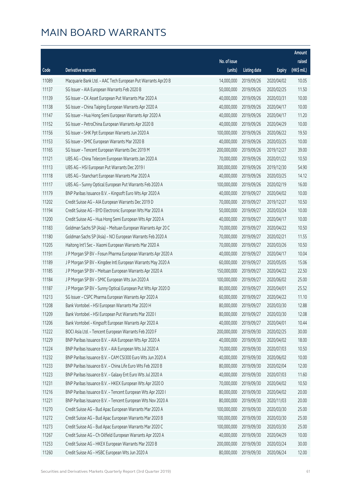|       |                                                              |              |                       |               | Amount      |
|-------|--------------------------------------------------------------|--------------|-----------------------|---------------|-------------|
|       |                                                              | No. of issue |                       |               | raised      |
| Code  | Derivative warrants                                          | (units)      | <b>Listing date</b>   | <b>Expiry</b> | (HK\$ mil.) |
| 11089 | Macquarie Bank Ltd. - AAC Tech European Put Warrants Apr20 B | 14,000,000   | 2019/09/26            | 2020/04/02    | 10.05       |
| 11137 | SG Issuer - AIA European Warrants Feb 2020 B                 | 50,000,000   | 2019/09/26            | 2020/02/25    | 11.50       |
| 11139 | SG Issuer - CK Asset European Put Warrants Mar 2020 A        | 40,000,000   | 2019/09/26            | 2020/03/31    | 10.00       |
| 11138 | SG Issuer - China Taiping European Warrants Apr 2020 A       | 40,000,000   | 2019/09/26            | 2020/04/17    | 10.00       |
| 11147 | SG Issuer - Hua Hong Semi European Warrants Apr 2020 A       | 40,000,000   | 2019/09/26            | 2020/04/17    | 11.20       |
| 11152 | SG Issuer - PetroChina European Warrants Apr 2020 B          | 40,000,000   | 2019/09/26            | 2020/04/29    | 10.00       |
| 11156 | SG Issuer - SHK Ppt European Warrants Jun 2020 A             | 100,000,000  | 2019/09/26            | 2020/06/22    | 19.50       |
| 11153 | SG Issuer - SMIC European Warrants Mar 2020 B                | 40,000,000   | 2019/09/26            | 2020/03/25    | 10.00       |
| 11165 | SG Issuer - Tencent European Warrants Dec 2019 M             | 200,000,000  | 2019/09/26            | 2019/12/27    | 39.00       |
| 11121 | UBS AG - China Telecom European Warrants Jan 2020 A          | 70,000,000   | 2019/09/26            | 2020/01/22    | 10.50       |
| 11113 | UBS AG - HSI European Put Warrants Dec 2019 I                | 300,000,000  | 2019/09/26            | 2019/12/30    | 54.90       |
| 11118 | UBS AG - Stanchart European Warrants Mar 2020 A              | 40,000,000   | 2019/09/26            | 2020/03/25    | 14.12       |
| 11117 | UBS AG - Sunny Optical European Put Warrants Feb 2020 A      | 100,000,000  | 2019/09/26            | 2020/02/19    | 16.00       |
| 11179 | BNP Paribas Issuance B.V. - Kingsoft Euro Wts Apr 2020 A     | 40,000,000   | 2019/09/27            | 2020/04/02    | 10.00       |
| 11202 | Credit Suisse AG - AIA European Warrants Dec 2019 D          | 70,000,000   | 2019/09/27            | 2019/12/27    | 10.50       |
| 11194 | Credit Suisse AG - BYD Electronic European Wts Mar 2020 A    | 50,000,000   | 2019/09/27            | 2020/03/24    | 10.00       |
| 11200 | Credit Suisse AG - Hua Hong Semi European Wts Apr 2020 A     | 40,000,000   | 2019/09/27            | 2020/04/17    | 10.00       |
| 11183 | Goldman Sachs SP (Asia) - Meituan European Warrants Apr 20 C | 70,000,000   | 2019/09/27            | 2020/04/22    | 10.50       |
| 11180 | Goldman Sachs SP (Asia) - NCI European Warrants Feb 2020 A   | 70,000,000   | 2019/09/27            | 2020/02/21    | 11.55       |
| 11205 | Haitong Int'l Sec - Xiaomi European Warrants Mar 2020 A      | 70,000,000   | 2019/09/27            | 2020/03/26    | 10.50       |
| 11191 | J P Morgan SP BV - Fosun Pharma European Warrants Apr 2020 A | 40,000,000   | 2019/09/27            | 2020/04/17    | 10.04       |
| 11189 | J P Morgan SP BV - Kingdee Intl European Warrants May 2020 A | 60,000,000   | 2019/09/27            | 2020/05/05    | 15.06       |
| 11185 | J P Morgan SP BV - Meituan European Warrants Apr 2020 A      | 150,000,000  | 2019/09/27            | 2020/04/22    | 22.50       |
| 11184 | J P Morgan SP BV - SMIC European Wts Jun 2020 A              | 100,000,000  | 2019/09/27            | 2020/06/02    | 25.00       |
| 11187 | J P Morgan SP BV - Sunny Optical European Put Wts Apr 2020 D | 80,000,000   | 2019/09/27            | 2020/04/01    | 25.52       |
| 11213 | SG Issuer - CSPC Pharma European Warrants Apr 2020 A         | 60,000,000   | 2019/09/27            | 2020/04/22    | 11.10       |
| 11208 | Bank Vontobel - HSI European Warrants Mar 2020 H             |              | 80,000,000 2019/09/27 | 2020/03/30    | 12.88       |
| 11209 | Bank Vontobel - HSI European Put Warrants Mar 2020 I         | 80,000,000   | 2019/09/27            | 2020/03/30    | 12.08       |
| 11206 | Bank Vontobel - Kingsoft European Warrants Apr 2020 A        | 40,000,000   | 2019/09/27            | 2020/04/01    | 10.44       |
| 11222 | BOCI Asia Ltd. - Tencent European Warrants Feb 2020 F        | 200,000,000  | 2019/09/30            | 2020/02/25    | 30.00       |
| 11229 | BNP Paribas Issuance B.V. - AIA European Wts Apr 2020 A      | 40,000,000   | 2019/09/30            | 2020/04/02    | 18.00       |
| 11224 | BNP Paribas Issuance B.V. - AIA European Wts Jul 2020 A      | 70,000,000   | 2019/09/30            | 2020/07/03    | 10.50       |
| 11232 | BNP Paribas Issuance B.V. - CAM CSI300 Euro Wts Jun 2020 A   | 40,000,000   | 2019/09/30            | 2020/06/02    | 10.00       |
| 11233 | BNP Paribas Issuance B.V. - China Life Euro Wts Feb 2020 B   | 80,000,000   | 2019/09/30            | 2020/02/04    | 12.00       |
| 11223 | BNP Paribas Issuance B.V. - Galaxy Ent Euro Wts Jul 2020 A   | 40,000,000   | 2019/09/30            | 2020/07/03    | 11.60       |
| 11231 | BNP Paribas Issuance B.V. - HKEX European Wts Apr 2020 D     | 70,000,000   | 2019/09/30            | 2020/04/02    | 10.50       |
| 11216 | BNP Paribas Issuance B.V. - Tencent European Wts Apr 2020 I  | 80,000,000   | 2019/09/30            | 2020/04/02    | 20.00       |
| 11221 | BNP Paribas Issuance B.V. - Tencent European Wts Nov 2020 A  | 80,000,000   | 2019/09/30            | 2020/11/03    | 20.00       |
| 11270 | Credit Suisse AG - Bud Apac European Warrants Mar 2020 A     | 100,000,000  | 2019/09/30            | 2020/03/30    | 25.00       |
| 11272 | Credit Suisse AG - Bud Apac European Warrants Mar 2020 B     | 100,000,000  | 2019/09/30            | 2020/03/30    | 25.00       |
| 11273 | Credit Suisse AG - Bud Apac European Warrants Mar 2020 C     | 100,000,000  | 2019/09/30            | 2020/03/30    | 25.00       |
| 11267 | Credit Suisse AG - Ch Oilfield European Warrants Apr 2020 A  | 40,000,000   | 2019/09/30            | 2020/04/29    | 10.00       |
| 11253 | Credit Suisse AG - HKEX European Warrants Mar 2020 B         | 200,000,000  | 2019/09/30            | 2020/03/24    | 30.00       |
| 11260 | Credit Suisse AG - HSBC European Wts Jun 2020 A              | 80,000,000   | 2019/09/30            | 2020/06/24    | 12.00       |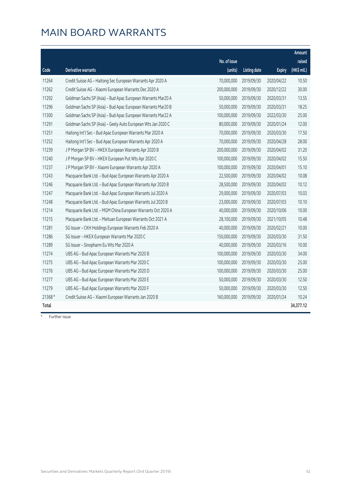|         |                                                              |                         |                     |               | Amount                |
|---------|--------------------------------------------------------------|-------------------------|---------------------|---------------|-----------------------|
| Code    | <b>Derivative warrants</b>                                   | No. of issue<br>(units) | <b>Listing date</b> | <b>Expiry</b> | raised<br>(HK\$ mil.) |
|         |                                                              |                         |                     |               |                       |
| 11264   | Credit Suisse AG - Haitong Sec European Warrants Apr 2020 A  | 70,000,000              | 2019/09/30          | 2020/04/22    | 10.50                 |
| 11262   | Credit Suisse AG - Xiaomi European Warrants Dec 2020 A       | 200,000,000             | 2019/09/30          | 2020/12/22    | 30.00                 |
| 11292   | Goldman Sachs SP (Asia) - Bud Apac European Warrants Mar20 A | 50,000,000              | 2019/09/30          | 2020/03/31    | 13.55                 |
| 11296   | Goldman Sachs SP (Asia) - Bud Apac European Warrants Mar20 B | 50,000,000              | 2019/09/30          | 2020/03/31    | 18.25                 |
| 11300   | Goldman Sachs SP (Asia) - Bud Apac European Warrants Mar22 A | 100,000,000             | 2019/09/30          | 2022/03/30    | 25.00                 |
| 11291   | Goldman Sachs SP (Asia) - Geely Auto European Wts Jan 2020 C | 80,000,000              | 2019/09/30          | 2020/01/24    | 12.00                 |
| 11251   | Haitong Int'l Sec - Bud Apac European Warrants Mar 2020 A    | 70,000,000              | 2019/09/30          | 2020/03/30    | 17.50                 |
| 11252   | Haitong Int'l Sec - Bud Apac European Warrants Apr 2020 A    | 70,000,000              | 2019/09/30          | 2020/04/28    | 28.00                 |
| 11239   | J P Morgan SP BV - HKEX European Warrants Apr 2020 B         | 200,000,000             | 2019/09/30          | 2020/04/02    | 31.20                 |
| 11240   | J P Morgan SP BV - HKEX European Put Wts Apr 2020 C          | 100,000,000             | 2019/09/30          | 2020/04/02    | 15.50                 |
| 11237   | J P Morgan SP BV - Xiaomi European Warrants Apr 2020 A       | 100,000,000             | 2019/09/30          | 2020/04/01    | 15.10                 |
| 11243   | Macquarie Bank Ltd. - Bud Apac European Warrants Apr 2020 A  | 22,500,000              | 2019/09/30          | 2020/04/02    | 10.08                 |
| 11246   | Macquarie Bank Ltd. - Bud Apac European Warrants Apr 2020 B  | 28,500,000              | 2019/09/30          | 2020/04/02    | 10.12                 |
| 11247   | Macquarie Bank Ltd. - Bud Apac European Warrants Jul 2020 A  | 29,000,000              | 2019/09/30          | 2020/07/03    | 10.03                 |
| 11248   | Macquarie Bank Ltd. - Bud Apac European Warrants Jul 2020 B  | 23,000,000              | 2019/09/30          | 2020/07/03    | 10.10                 |
| 11214   | Macquarie Bank Ltd. - MGM China European Warrants Oct 2020 A | 40,000,000              | 2019/09/30          | 2020/10/06    | 10.00                 |
| 11215   | Macquarie Bank Ltd. - Meituan European Warrants Oct 2021 A   | 28,100,000              | 2019/09/30          | 2021/10/05    | 10.48                 |
| 11281   | SG Issuer - CKH Holdings European Warrants Feb 2020 A        | 40,000,000              | 2019/09/30          | 2020/02/21    | 10.00                 |
| 11286   | SG Issuer - HKEX European Warrants Mar 2020 C                | 150,000,000             | 2019/09/30          | 2020/03/30    | 31.50                 |
| 11289   | SG Issuer - Sinopharm Eu Wts Mar 2020 A                      | 40,000,000              | 2019/09/30          | 2020/03/16    | 10.00                 |
| 11274   | UBS AG - Bud Apac European Warrants Mar 2020 B               | 100,000,000             | 2019/09/30          | 2020/03/30    | 34.00                 |
| 11275   | UBS AG - Bud Apac European Warrants Mar 2020 C               | 100,000,000             | 2019/09/30          | 2020/03/30    | 25.00                 |
| 11276   | UBS AG - Bud Apac European Warrants Mar 2020 D               | 100,000,000             | 2019/09/30          | 2020/03/30    | 25.00                 |
| 11277   | UBS AG - Bud Apac European Warrants Mar 2020 E               | 50,000,000              | 2019/09/30          | 2020/03/30    | 12.50                 |
| 11279   | UBS AG - Bud Apac European Warrants Mar 2020 F               | 50,000,000              | 2019/09/30          | 2020/03/30    | 12.50                 |
| 21368 # | Credit Suisse AG - Xiaomi European Warrants Jan 2020 B       | 160,000,000             | 2019/09/30          | 2020/01/24    | 10.24                 |
| Total   |                                                              |                         |                     |               | 34,377.12             |

# Further issue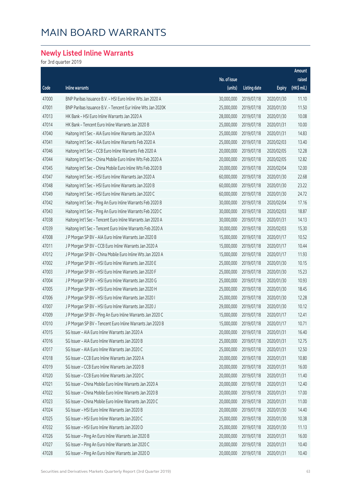#### **Newly Listed Inline Warrants**

for 3rd quarter 2019

|       |                                                              |              |                     |               | Amount      |
|-------|--------------------------------------------------------------|--------------|---------------------|---------------|-------------|
|       |                                                              | No. of issue |                     |               | raised      |
| Code  | Inline warrants                                              | (units)      | <b>Listing date</b> | <b>Expiry</b> | (HK\$ mil.) |
| 47000 | BNP Paribas Issuance B.V. - HSI Euro Inline Wts Jan 2020 A   | 30,000,000   | 2019/07/18          | 2020/01/30    | 11.10       |
| 47001 | BNP Paribas Issuance B.V. - Tencent Eur Inline Wts Jan 2020K | 25,000,000   | 2019/07/18          | 2020/01/30    | 11.50       |
| 47013 | HK Bank - HSI Euro Inline Warrants Jan 2020 A                | 28,000,000   | 2019/07/18          | 2020/01/30    | 10.08       |
| 47014 | HK Bank - Tencent Euro Inline Warrants Jan 2020 B            | 25,000,000   | 2019/07/18          | 2020/01/31    | 10.00       |
| 47040 | Haitong Int'l Sec - AIA Euro Inline Warrants Jan 2020 A      | 25,000,000   | 2019/07/18          | 2020/01/31    | 14.83       |
| 47041 | Haitong Int'l Sec - AIA Euro Inline Warrants Feb 2020 A      | 25,000,000   | 2019/07/18          | 2020/02/03    | 13.40       |
| 47046 | Haitong Int'l Sec - CCB Euro Inline Warrants Feb 2020 A      | 20,000,000   | 2019/07/18          | 2020/02/05    | 12.28       |
| 47044 | Haitong Int'l Sec - China Mobile Euro Inline Wts Feb 2020 A  | 20,000,000   | 2019/07/18          | 2020/02/05    | 12.82       |
| 47045 | Haitong Int'l Sec - China Mobile Euro Inline Wts Feb 2020 B  | 20,000,000   | 2019/07/18          | 2020/02/04    | 12.00       |
| 47047 | Haitong Int'l Sec - HSI Euro Inline Warrants Jan 2020 A      | 60,000,000   | 2019/07/18          | 2020/01/30    | 22.68       |
| 47048 | Haitong Int'l Sec - HSI Euro Inline Warrants Jan 2020 B      | 60,000,000   | 2019/07/18          | 2020/01/30    | 23.22       |
| 47049 | Haitong Int'l Sec - HSI Euro Inline Warrants Jan 2020 C      | 60,000,000   | 2019/07/18          | 2020/01/30    | 24.72       |
| 47042 | Haitong Int'l Sec - Ping An Euro Inline Warrants Feb 2020 B  | 30,000,000   | 2019/07/18          | 2020/02/04    | 17.16       |
| 47043 | Haitong Int'l Sec - Ping An Euro Inline Warrants Feb 2020 C  | 30,000,000   | 2019/07/18          | 2020/02/03    | 18.87       |
| 47038 | Haitong Int'l Sec - Tencent Euro Inline Warrants Jan 2020 A  | 30,000,000   | 2019/07/18          | 2020/01/31    | 14.13       |
| 47039 | Haitong Int'l Sec - Tencent Euro Inline Warrants Feb 2020 A  | 30,000,000   | 2019/07/18          | 2020/02/03    | 15.30       |
| 47008 | J P Morgan SP BV - AIA Euro Inline Warrants Jan 2020 B       | 15,000,000   | 2019/07/18          | 2020/01/17    | 10.52       |
| 47011 | J P Morgan SP BV - CCB Euro Inline Warrants Jan 2020 A       | 15,000,000   | 2019/07/18          | 2020/01/17    | 10.44       |
| 47012 | J P Morgan SP BV - China Mobile Euro Inline Wts Jan 2020 A   | 15,000,000   | 2019/07/18          | 2020/01/17    | 11.93       |
| 47002 | J P Morgan SP BV - HSI Euro Inline Warrants Jan 2020 E       | 25,000,000   | 2019/07/18          | 2020/01/30    | 10.15       |
| 47003 | J P Morgan SP BV - HSI Euro Inline Warrants Jan 2020 F       | 25,000,000   | 2019/07/18          | 2020/01/30    | 15.23       |
| 47004 | J P Morgan SP BV - HSI Euro Inline Warrants Jan 2020 G       | 25,000,000   | 2019/07/18          | 2020/01/30    | 10.93       |
| 47005 | J P Morgan SP BV - HSI Euro Inline Warrants Jan 2020 H       | 25,000,000   | 2019/07/18          | 2020/01/30    | 18.45       |
| 47006 | J P Morgan SP BV - HSI Euro Inline Warrants Jan 2020 I       | 25,000,000   | 2019/07/18          | 2020/01/30    | 12.28       |
| 47007 | J P Morgan SP BV - HSI Euro Inline Warrants Jan 2020 J       | 29,000,000   | 2019/07/18          | 2020/01/30    | 10.12       |
| 47009 | J P Morgan SP BV - Ping An Euro Inline Warrants Jan 2020 C   | 15,000,000   | 2019/07/18          | 2020/01/17    | 12.41       |
| 47010 | J P Morgan SP BV - Tencent Euro Inline Warrants Jan 2020 B   | 15,000,000   | 2019/07/18          | 2020/01/17    | 10.71       |
| 47015 | SG Issuer - AIA Euro Inline Warrants Jan 2020 A              | 20,000,000   | 2019/07/18          | 2020/01/31    | 16.40       |
| 47016 | SG Issuer - AIA Euro Inline Warrants Jan 2020 B              | 25,000,000   | 2019/07/18          | 2020/01/31    | 12.75       |
| 47017 | SG Issuer - AIA Euro Inline Warrants Jan 2020 C              | 25,000,000   | 2019/07/18          | 2020/01/31    | 12.50       |
| 47018 | SG Issuer - CCB Euro Inline Warrants Jan 2020 A              | 20,000,000   | 2019/07/18          | 2020/01/31    | 10.80       |
| 47019 | SG Issuer - CCB Euro Inline Warrants Jan 2020 B              | 20,000,000   | 2019/07/18          | 2020/01/31    | 16.00       |
| 47020 | SG Issuer - CCB Euro Inline Warrants Jan 2020 C              | 20,000,000   | 2019/07/18          | 2020/01/31    | 11.40       |
| 47021 | SG Issuer - China Mobile Euro Inline Warrants Jan 2020 A     | 20,000,000   | 2019/07/18          | 2020/01/31    | 12.40       |
| 47022 | SG Issuer - China Mobile Euro Inline Warrants Jan 2020 B     | 20,000,000   | 2019/07/18          | 2020/01/31    | 17.00       |
| 47023 | SG Issuer – China Mobile Euro Inline Warrants Jan 2020 C     | 20,000,000   | 2019/07/18          | 2020/01/31    | 11.00       |
| 47024 | SG Issuer - HSI Euro Inline Warrants Jan 2020 B              | 20,000,000   | 2019/07/18          | 2020/01/30    | 14.40       |
| 47025 | SG Issuer - HSI Euro Inline Warrants Jan 2020 C              | 25,000,000   | 2019/07/18          | 2020/01/30    | 10.38       |
| 47032 | SG Issuer - HSI Euro Inline Warrants Jan 2020 D              | 25,000,000   | 2019/07/18          | 2020/01/30    | 11.13       |
| 47026 | SG Issuer - Ping An Euro Inline Warrants Jan 2020 B          | 20,000,000   | 2019/07/18          | 2020/01/31    | 16.00       |
| 47027 | SG Issuer - Ping An Euro Inline Warrants Jan 2020 C          | 20,000,000   | 2019/07/18          | 2020/01/31    | 10.40       |
| 47028 | SG Issuer - Ping An Euro Inline Warrants Jan 2020 D          | 20,000,000   | 2019/07/18          | 2020/01/31    | 10.40       |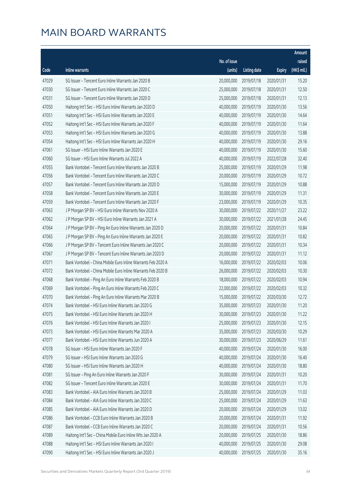|       |                                                              |              |                       |               | Amount      |
|-------|--------------------------------------------------------------|--------------|-----------------------|---------------|-------------|
|       |                                                              | No. of issue |                       |               | raised      |
| Code  | Inline warrants                                              | (units)      | <b>Listing date</b>   | <b>Expiry</b> | (HK\$ mil.) |
| 47029 | SG Issuer - Tencent Euro Inline Warrants Jan 2020 B          | 20,000,000   | 2019/07/18            | 2020/01/31    | 15.20       |
| 47030 | SG Issuer - Tencent Euro Inline Warrants Jan 2020 C          | 25,000,000   | 2019/07/18            | 2020/01/31    | 12.50       |
| 47031 | SG Issuer - Tencent Euro Inline Warrants Jan 2020 D          | 25,000,000   | 2019/07/18            | 2020/01/31    | 12.13       |
| 47050 | Haitong Int'l Sec - HSI Euro Inline Warrants Jan 2020 D      | 40,000,000   | 2019/07/19            | 2020/01/30    | 13.56       |
| 47051 | Haitong Int'l Sec - HSI Euro Inline Warrants Jan 2020 E      | 40,000,000   | 2019/07/19            | 2020/01/30    | 14.64       |
| 47052 | Haitong Int'l Sec - HSI Euro Inline Warrants Jan 2020 F      | 40,000,000   | 2019/07/19            | 2020/01/30    | 11.64       |
| 47053 | Haitong Int'l Sec - HSI Euro Inline Warrants Jan 2020 G      | 40,000,000   | 2019/07/19            | 2020/01/30    | 13.88       |
| 47054 | Haitong Int'l Sec - HSI Euro Inline Warrants Jan 2020 H      | 40,000,000   | 2019/07/19            | 2020/01/30    | 29.16       |
| 47061 | SG Issuer - HSI Euro Inline Warrants Jan 2020 E              | 40,000,000   | 2019/07/19            | 2020/01/30    | 15.60       |
| 47060 | SG Issuer - HSI Euro Inline Warrants Jul 2022 A              | 40,000,000   | 2019/07/19            | 2022/07/28    | 32.40       |
| 47055 | Bank Vontobel - Tencent Euro Inline Warrants Jan 2020 B      | 25,000,000   | 2019/07/19            | 2020/01/29    | 11.98       |
| 47056 | Bank Vontobel - Tencent Euro Inline Warrants Jan 2020 C      | 20,000,000   | 2019/07/19            | 2020/01/29    | 10.72       |
| 47057 | Bank Vontobel - Tencent Euro Inline Warrants Jan 2020 D      | 15,000,000   | 2019/07/19            | 2020/01/29    | 10.88       |
| 47058 | Bank Vontobel - Tencent Euro Inline Warrants Jan 2020 E      | 30,000,000   | 2019/07/19            | 2020/01/29    | 11.31       |
| 47059 | Bank Vontobel - Tencent Euro Inline Warrants Jan 2020 F      | 23,000,000   | 2019/07/19            | 2020/01/29    | 10.35       |
| 47063 | J P Morgan SP BV - HSI Euro Inline Warrants Nov 2020 A       | 30,000,000   | 2019/07/22            | 2020/11/27    | 23.22       |
| 47062 | J P Morgan SP BV - HSI Euro Inline Warrants Jan 2021 A       | 30,000,000   | 2019/07/22            | 2021/01/28    | 24.45       |
| 47064 | J P Morgan SP BV - Ping An Euro Inline Warrants Jan 2020 D   | 20,000,000   | 2019/07/22            | 2020/01/31    | 10.84       |
| 47065 | J P Morgan SP BV - Ping An Euro Inline Warrants Jan 2020 E   | 20,000,000   | 2019/07/22            | 2020/01/31    | 10.82       |
| 47066 | J P Morgan SP BV - Tencent Euro Inline Warrants Jan 2020 C   | 20,000,000   | 2019/07/22            | 2020/01/31    | 10.34       |
| 47067 | J P Morgan SP BV - Tencent Euro Inline Warrants Jan 2020 D   | 20,000,000   | 2019/07/22            | 2020/01/31    | 11.12       |
| 47071 | Bank Vontobel - China Mobile Euro Inline Warrants Feb 2020 A | 16,000,000   | 2019/07/22            | 2020/02/03    | 10.06       |
| 47072 | Bank Vontobel - China Mobile Euro Inline Warrants Feb 2020 B | 26,000,000   | 2019/07/22            | 2020/02/03    | 10.30       |
| 47068 | Bank Vontobel - Ping An Euro Inline Warrants Feb 2020 B      | 18,000,000   | 2019/07/22            | 2020/02/03    | 10.94       |
| 47069 | Bank Vontobel - Ping An Euro Inline Warrants Feb 2020 C      | 22,000,000   | 2019/07/22            | 2020/02/03    | 10.32       |
| 47070 | Bank Vontobel - Ping An Euro Inline Warrants Mar 2020 B      | 15,000,000   | 2019/07/22            | 2020/03/30    | 12.72       |
| 47074 | Bank Vontobel - HSI Euro Inline Warrants Jan 2020 G          |              | 35,000,000 2019/07/23 | 2020/01/30    | 11.20       |
| 47075 | Bank Vontobel - HSI Euro Inline Warrants Jan 2020 H          | 30,000,000   | 2019/07/23            | 2020/01/30    | 11.22       |
| 47076 | Bank Vontobel - HSI Euro Inline Warrants Jan 2020 I          | 25,000,000   | 2019/07/23            | 2020/01/30    | 12.15       |
| 47073 | Bank Vontobel - HSI Euro Inline Warrants Mar 2020 A          | 35,000,000   | 2019/07/23            | 2020/03/30    | 10.29       |
| 47077 | Bank Vontobel - HSI Euro Inline Warrants Jun 2020 A          | 30,000,000   | 2019/07/23            | 2020/06/29    | 11.61       |
| 47078 | SG Issuer - HSI Euro Inline Warrants Jan 2020 F              | 40,000,000   | 2019/07/24            | 2020/01/30    | 16.00       |
| 47079 | SG Issuer - HSI Euro Inline Warrants Jan 2020 G              | 40,000,000   | 2019/07/24            | 2020/01/30    | 16.40       |
| 47080 | SG Issuer - HSI Euro Inline Warrants Jan 2020 H              | 40,000,000   | 2019/07/24            | 2020/01/30    | 18.80       |
| 47081 | SG Issuer - Ping An Euro Inline Warrants Jan 2020 F          | 30,000,000   | 2019/07/24            | 2020/01/31    | 10.20       |
| 47082 | SG Issuer - Tencent Euro Inline Warrants Jan 2020 E          | 30,000,000   | 2019/07/24            | 2020/01/31    | 11.70       |
| 47083 | Bank Vontobel - AIA Euro Inline Warrants Jan 2020 B          | 25,000,000   | 2019/07/24            | 2020/01/29    | 11.03       |
| 47084 | Bank Vontobel - AIA Euro Inline Warrants Jan 2020 C          | 25,000,000   | 2019/07/24            | 2020/01/29    | 11.63       |
| 47085 | Bank Vontobel - AIA Euro Inline Warrants Jan 2020 D          | 20,000,000   | 2019/07/24            | 2020/01/29    | 13.02       |
| 47086 | Bank Vontobel - CCB Euro Inline Warrants Jan 2020 B          | 20,000,000   | 2019/07/24            | 2020/01/31    | 11.92       |
| 47087 | Bank Vontobel - CCB Euro Inline Warrants Jan 2020 C          | 20,000,000   | 2019/07/24            | 2020/01/31    | 10.56       |
| 47089 | Haitong Int'l Sec - China Mobile Euro Inline Wts Jan 2020 A  | 20,000,000   | 2019/07/25            | 2020/01/30    | 18.86       |
| 47088 | Haitong Int'l Sec - HSI Euro Inline Warrants Jan 2020 I      | 40,000,000   | 2019/07/25            | 2020/01/30    | 29.08       |
| 47090 | Haitong Int'l Sec - HSI Euro Inline Warrants Jan 2020 J      | 40,000,000   | 2019/07/25            | 2020/01/30    | 35.16       |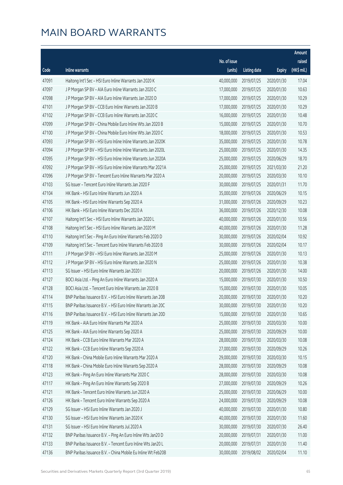|       |                                                              |              |                       |               | Amount      |
|-------|--------------------------------------------------------------|--------------|-----------------------|---------------|-------------|
|       |                                                              | No. of issue |                       |               | raised      |
| Code  | <b>Inline warrants</b>                                       | (units)      | <b>Listing date</b>   | <b>Expiry</b> | (HK\$ mil.) |
| 47091 | Haitong Int'l Sec - HSI Euro Inline Warrants Jan 2020 K      | 40,000,000   | 2019/07/25            | 2020/01/30    | 17.04       |
| 47097 | J P Morgan SP BV - AIA Euro Inline Warrants Jan 2020 C       | 17,000,000   | 2019/07/25            | 2020/01/30    | 10.63       |
| 47098 | J P Morgan SP BV - AIA Euro Inline Warrants Jan 2020 D       | 17,000,000   | 2019/07/25            | 2020/01/30    | 10.29       |
| 47101 | J P Morgan SP BV - CCB Euro Inline Warrants Jan 2020 B       | 17,000,000   | 2019/07/25            | 2020/01/30    | 10.29       |
| 47102 | J P Morgan SP BV - CCB Euro Inline Warrants Jan 2020 C       | 16,000,000   | 2019/07/25            | 2020/01/30    | 10.48       |
| 47099 | J P Morgan SP BV - China Mobile Euro Inline Wts Jan 2020 B   | 15,000,000   | 2019/07/25            | 2020/01/30    | 10.70       |
| 47100 | J P Morgan SP BV - China Mobile Euro Inline Wts Jan 2020 C   | 18,000,000   | 2019/07/25            | 2020/01/30    | 10.53       |
| 47093 | J P Morgan SP BV - HSI Euro Inline Inline Warrants Jan 2020K | 35,000,000   | 2019/07/25            | 2020/01/30    | 10.78       |
| 47094 | J P Morgan SP BV - HSI Euro Inline Inline Warrants Jan 2020L | 25,000,000   | 2019/07/25            | 2020/01/30    | 14.35       |
| 47095 | J P Morgan SP BV - HSI Euro Inline Inline Warrants Jun 2020A | 25,000,000   | 2019/07/25            | 2020/06/29    | 18.70       |
| 47092 | J P Morgan SP BV - HSI Euro Inline Inline Warrants Mar 2021A | 25,000,000   | 2019/07/25            | 2021/03/30    | 21.20       |
| 47096 | J P Morgan SP BV - Tencent Euro Inline Warrants Mar 2020 A   | 20,000,000   | 2019/07/25            | 2020/03/30    | 10.10       |
| 47103 | SG Issuer - Tencent Euro Inline Warrants Jan 2020 F          | 30,000,000   | 2019/07/25            | 2020/01/31    | 11.70       |
| 47104 | HK Bank - HSI Euro Inline Warrants Jun 2020 A                | 35,000,000   | 2019/07/26            | 2020/06/29    | 10.15       |
| 47105 | HK Bank - HSI Euro Inline Warrants Sep 2020 A                | 31,000,000   | 2019/07/26            | 2020/09/29    | 10.23       |
| 47106 | HK Bank - HSI Euro Inline Warrants Dec 2020 A                | 36,000,000   | 2019/07/26            | 2020/12/30    | 10.08       |
| 47107 | Haitong Int'l Sec - HSI Euro Inline Warrants Jan 2020 L      | 40,000,000   | 2019/07/26            | 2020/01/30    | 10.56       |
| 47108 | Haitong Int'l Sec - HSI Euro Inline Warrants Jan 2020 M      | 40,000,000   | 2019/07/26            | 2020/01/30    | 11.28       |
| 47110 | Haitong Int'l Sec - Ping An Euro Inline Warrants Feb 2020 D  | 30,000,000   | 2019/07/26            | 2020/02/04    | 10.92       |
| 47109 | Haitong Int'l Sec - Tencent Euro Inline Warrants Feb 2020 B  | 30,000,000   | 2019/07/26            | 2020/02/04    | 10.17       |
| 47111 | J P Morgan SP BV - HSI Euro Inline Warrants Jan 2020 M       | 25,000,000   | 2019/07/26            | 2020/01/30    | 10.13       |
| 47112 | J P Morgan SP BV - HSI Euro Inline Warrants Jan 2020 N       | 25,000,000   | 2019/07/26            | 2020/01/30    | 10.38       |
| 47113 | SG Issuer - HSI Euro Inline Warrants Jan 2020 I              | 20,000,000   | 2019/07/26            | 2020/01/30    | 14.00       |
| 47127 | BOCI Asia Ltd. - Ping An Euro Inline Warrants Jan 2020 A     | 15,000,000   | 2019/07/30            | 2020/01/30    | 10.50       |
| 47128 | BOCI Asia Ltd. - Tencent Euro Inline Warrants Jan 2020 B     | 15,000,000   | 2019/07/30            | 2020/01/30    | 10.05       |
| 47114 | BNP Paribas Issuance B.V. - HSI Euro Inline Warrants Jan 20B | 20,000,000   | 2019/07/30            | 2020/01/30    | 10.20       |
| 47115 | BNP Paribas Issuance B.V. - HSI Euro Inline Warrants Jan 20C |              | 30,000,000 2019/07/30 | 2020/01/30    | 10.20       |
| 47116 | BNP Paribas Issuance B.V. - HSI Euro Inline Warrants Jan 20D | 15,000,000   | 2019/07/30            | 2020/01/30    | 10.65       |
| 47119 | HK Bank - AIA Euro Inline Warrants Mar 2020 A                | 25,000,000   | 2019/07/30            | 2020/03/30    | 10.00       |
| 47125 | HK Bank - AIA Euro Inline Warrants Sep 2020 A                | 25,000,000   | 2019/07/30            | 2020/09/29    | 10.00       |
| 47124 | HK Bank - CCB Euro Inline Warrants Mar 2020 A                | 28,000,000   | 2019/07/30            | 2020/03/30    | 10.08       |
| 47122 | HK Bank - CCB Euro Inline Warrants Sep 2020 A                | 27,000,000   | 2019/07/30            | 2020/09/29    | 10.26       |
| 47120 | HK Bank - China Mobile Euro Inline Warrants Mar 2020 A       | 29,000,000   | 2019/07/30            | 2020/03/30    | 10.15       |
| 47118 | HK Bank - China Mobile Euro Inline Warrants Sep 2020 A       | 28,000,000   | 2019/07/30            | 2020/09/29    | 10.08       |
| 47123 | HK Bank - Ping An Euro Inline Warrants Mar 2020 C            | 28,000,000   | 2019/07/30            | 2020/03/30    | 10.08       |
| 47117 | HK Bank - Ping An Euro Inline Warrants Sep 2020 B            | 27,000,000   | 2019/07/30            | 2020/09/29    | 10.26       |
| 47121 | HK Bank - Tencent Euro Inline Warrants Jun 2020 A            | 25,000,000   | 2019/07/30            | 2020/06/29    | 10.00       |
| 47126 | HK Bank - Tencent Euro Inline Warrants Sep 2020 A            | 24,000,000   | 2019/07/30            | 2020/09/29    | 10.08       |
| 47129 | SG Issuer - HSI Euro Inline Warrants Jan 2020 J              | 40,000,000   | 2019/07/30            | 2020/01/30    | 10.80       |
| 47130 | SG Issuer - HSI Euro Inline Warrants Jan 2020 K              | 40,000,000   | 2019/07/30            | 2020/01/30    | 11.60       |
| 47131 | SG Issuer - HSI Euro Inline Warrants Jul 2020 A              | 30,000,000   | 2019/07/30            | 2020/07/30    | 26.40       |
| 47132 | BNP Paribas Issuance B.V. - Ping An Euro Inline Wts Jan20 D  | 20,000,000   | 2019/07/31            | 2020/01/30    | 11.00       |
| 47133 | BNP Paribas Issuance B.V. - Tencent Euro Inline Wts Jan20 L  | 20,000,000   | 2019/07/31            | 2020/01/30    | 11.40       |
| 47136 | BNP Paribas Issuance B.V. - China Mobile Eu Inline Wt Feb20B | 30,000,000   | 2019/08/02            | 2020/02/04    | 11.10       |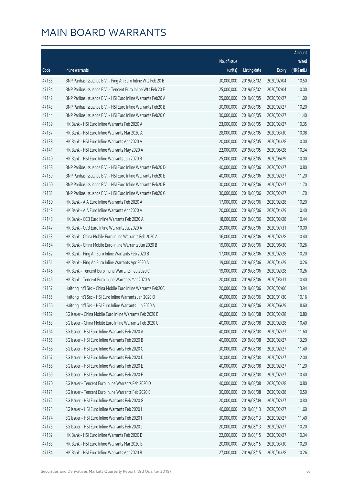|       |                                                              |              |                       |               | Amount      |
|-------|--------------------------------------------------------------|--------------|-----------------------|---------------|-------------|
|       |                                                              | No. of issue |                       |               | raised      |
| Code  | Inline warrants                                              | (units)      | <b>Listing date</b>   | <b>Expiry</b> | (HK\$ mil.) |
| 47135 | BNP Paribas Issuance B.V. - Ping An Euro Inline Wts Feb 20 B | 30,000,000   | 2019/08/02            | 2020/02/04    | 10.50       |
| 47134 | BNP Paribas Issuance B.V. - Tencent Euro Inline Wts Feb 20 E | 25,000,000   | 2019/08/02            | 2020/02/04    | 10.00       |
| 47142 | BNP Paribas Issuance B.V. - HSI Euro Inline Warrants Feb20 A | 25,000,000   | 2019/08/05            | 2020/02/27    | 11.00       |
| 47143 | BNP Paribas Issuance B.V. - HSI Euro Inline Warrants Feb20 B | 30,000,000   | 2019/08/05            | 2020/02/27    | 10.20       |
| 47144 | BNP Paribas Issuance B.V. - HSI Euro Inline Warrants Feb20 C | 30,000,000   | 2019/08/05            | 2020/02/27    | 11.40       |
| 47139 | HK Bank - HSI Euro Inline Warrants Feb 2020 A                | 23,000,000   | 2019/08/05            | 2020/02/27    | 10.35       |
| 47137 | HK Bank - HSI Euro Inline Warrants Mar 2020 A                | 28,000,000   | 2019/08/05            | 2020/03/30    | 10.08       |
| 47138 | HK Bank - HSI Euro Inline Warrants Apr 2020 A                | 20,000,000   | 2019/08/05            | 2020/04/28    | 10.00       |
| 47141 | HK Bank - HSI Euro Inline Warrants May 2020 A                | 22,000,000   | 2019/08/05            | 2020/05/28    | 10.34       |
| 47140 | HK Bank - HSI Euro Inline Warrants Jun 2020 B                | 25,000,000   | 2019/08/05            | 2020/06/29    | 10.00       |
| 47158 | BNP Paribas Issuance B.V. - HSI Euro Inline Warrants Feb20 D | 40,000,000   | 2019/08/06            | 2020/02/27    | 10.80       |
| 47159 | BNP Paribas Issuance B.V. - HSI Euro Inline Warrants Feb20 E | 40,000,000   | 2019/08/06            | 2020/02/27    | 11.20       |
| 47160 | BNP Paribas Issuance B.V. - HSI Euro Inline Warrants Feb20 F | 30,000,000   | 2019/08/06            | 2020/02/27    | 11.70       |
| 47161 | BNP Paribas Issuance B.V. - HSI Euro Inline Warrants Feb20 G | 30,000,000   | 2019/08/06            | 2020/02/27    | 11.70       |
| 47150 | HK Bank - AIA Euro Inline Warrants Feb 2020 A                | 17,000,000   | 2019/08/06            | 2020/02/28    | 10.20       |
| 47149 | HK Bank - AIA Euro Inline Warrants Apr 2020 A                | 20,000,000   | 2019/08/06            | 2020/04/29    | 10.40       |
| 47148 | HK Bank - CCB Euro Inline Warrants Feb 2020 A                | 18,000,000   | 2019/08/06            | 2020/02/28    | 10.44       |
| 47147 | HK Bank - CCB Euro Inline Warrants Jul 2020 A                | 20,000,000   | 2019/08/06            | 2020/07/31    | 10.00       |
| 47153 | HK Bank - China Mobile Euro Inline Warrants Feb 2020 A       | 16,000,000   | 2019/08/06            | 2020/02/28    | 10.40       |
| 47154 | HK Bank - China Mobile Euro Inline Warrants Jun 2020 B       | 19,000,000   | 2019/08/06            | 2020/06/30    | 10.26       |
| 47152 | HK Bank - Ping An Euro Inline Warrants Feb 2020 B            | 17,000,000   | 2019/08/06            | 2020/02/28    | 10.20       |
| 47151 | HK Bank - Ping An Euro Inline Warrants Apr 2020 A            | 19,000,000   | 2019/08/06            | 2020/04/29    | 10.26       |
| 47146 | HK Bank - Tencent Euro Inline Warrants Feb 2020 C            | 19,000,000   | 2019/08/06            | 2020/02/28    | 10.26       |
| 47145 | HK Bank - Tencent Euro Inline Warrants Mar 2020 A            | 20,000,000   | 2019/08/06            | 2020/03/31    | 10.40       |
| 47157 | Haitong Int'l Sec - China Mobile Euro Inline Warrants Feb20C | 20,000,000   | 2019/08/06            | 2020/02/06    | 13.94       |
| 47155 | Haitong Int'l Sec - HSI Euro Inline Warrants Jan 2020 O      | 40,000,000   | 2019/08/06            | 2020/01/30    | 10.16       |
| 47156 | Haitong Int'l Sec - HSI Euro Inline Warrants Jun 2020 A      |              | 40,000,000 2019/08/06 | 2020/06/29    | 18.60       |
| 47162 | SG Issuer - China Mobile Euro Inline Warrants Feb 2020 B     | 40,000,000   | 2019/08/08            | 2020/02/28    | 10.80       |
| 47163 | SG Issuer - China Mobile Euro Inline Warrants Feb 2020 C     | 40,000,000   | 2019/08/08            | 2020/02/28    | 10.40       |
| 47164 | SG Issuer - HSI Euro Inline Warrants Feb 2020 A              | 40,000,000   | 2019/08/08            | 2020/02/27    | 11.60       |
| 47165 | SG Issuer - HSI Euro Inline Warrants Feb 2020 B              | 40,000,000   | 2019/08/08            | 2020/02/27    | 13.20       |
| 47166 | SG Issuer - HSI Euro Inline Warrants Feb 2020 C              | 30,000,000   | 2019/08/08            | 2020/02/27    | 11.40       |
| 47167 | SG Issuer - HSI Euro Inline Warrants Feb 2020 D              | 30,000,000   | 2019/08/08            | 2020/02/27    | 12.00       |
| 47168 | SG Issuer - HSI Euro Inline Warrants Feb 2020 E              | 40,000,000   | 2019/08/08            | 2020/02/27    | 11.20       |
| 47169 | SG Issuer - HSI Euro Inline Warrants Feb 2020 F              | 40,000,000   | 2019/08/08            | 2020/02/27    | 10.40       |
| 47170 | SG Issuer - Tencent Euro Inline Warrants Feb 2020 D          | 40,000,000   | 2019/08/08            | 2020/02/28    | 10.80       |
| 47171 | SG Issuer - Tencent Euro Inline Warrants Feb 2020 E          | 30,000,000   | 2019/08/08            | 2020/02/28    | 10.50       |
| 47172 | SG Issuer - HSI Euro Inline Warrants Feb 2020 G              | 20,000,000   | 2019/08/09            | 2020/02/27    | 10.80       |
| 47173 | SG Issuer - HSI Euro Inline Warrants Feb 2020 H              | 40,000,000   | 2019/08/13            | 2020/02/27    | 11.60       |
| 47174 | SG Issuer - HSI Euro Inline Warrants Feb 2020 I              | 30,000,000   | 2019/08/13            | 2020/02/27    | 11.40       |
| 47175 | SG Issuer - HSI Euro Inline Warrants Feb 2020 J              | 20,000,000   | 2019/08/13            | 2020/02/27    | 10.20       |
| 47182 | HK Bank - HSI Euro Inline Warrants Feb 2020 D                | 22,000,000   | 2019/08/15            | 2020/02/27    | 10.34       |
| 47183 | HK Bank - HSI Euro Inline Warrants Mar 2020 B                | 20,000,000   | 2019/08/15            | 2020/03/30    | 10.20       |
| 47184 | HK Bank - HSI Euro Inline Warrants Apr 2020 B                | 27,000,000   | 2019/08/15            | 2020/04/28    | 10.26       |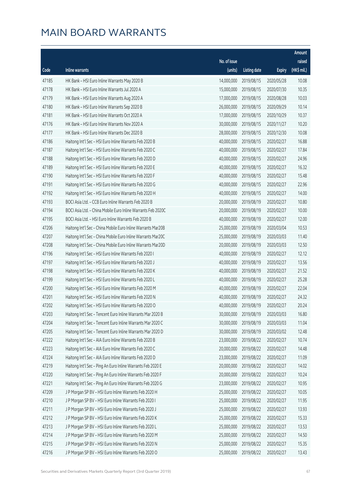|       |                                                              |              |                       |               | Amount      |
|-------|--------------------------------------------------------------|--------------|-----------------------|---------------|-------------|
|       |                                                              | No. of issue |                       |               | raised      |
| Code  | Inline warrants                                              | (units)      | <b>Listing date</b>   | <b>Expiry</b> | (HK\$ mil.) |
| 47185 | HK Bank - HSI Euro Inline Warrants May 2020 B                | 14,000,000   | 2019/08/15            | 2020/05/28    | 10.08       |
| 47178 | HK Bank - HSI Euro Inline Warrants Jul 2020 A                | 15,000,000   | 2019/08/15            | 2020/07/30    | 10.35       |
| 47179 | HK Bank - HSI Euro Inline Warrants Aug 2020 A                | 17,000,000   | 2019/08/15            | 2020/08/28    | 10.03       |
| 47180 | HK Bank - HSI Euro Inline Warrants Sep 2020 B                | 26,000,000   | 2019/08/15            | 2020/09/29    | 10.14       |
| 47181 | HK Bank - HSI Euro Inline Warrants Oct 2020 A                | 17,000,000   | 2019/08/15            | 2020/10/29    | 10.37       |
| 47176 | HK Bank - HSI Euro Inline Warrants Nov 2020 A                | 30,000,000   | 2019/08/15            | 2020/11/27    | 10.20       |
| 47177 | HK Bank - HSI Euro Inline Warrants Dec 2020 B                | 28,000,000   | 2019/08/15            | 2020/12/30    | 10.08       |
| 47186 | Haitong Int'l Sec - HSI Euro Inline Warrants Feb 2020 B      | 40,000,000   | 2019/08/15            | 2020/02/27    | 16.88       |
| 47187 | Haitong Int'l Sec - HSI Euro Inline Warrants Feb 2020 C      | 40,000,000   | 2019/08/15            | 2020/02/27    | 17.84       |
| 47188 | Haitong Int'l Sec - HSI Euro Inline Warrants Feb 2020 D      | 40,000,000   | 2019/08/15            | 2020/02/27    | 24.96       |
| 47189 | Haitong Int'l Sec - HSI Euro Inline Warrants Feb 2020 E      | 40,000,000   | 2019/08/15            | 2020/02/27    | 16.32       |
| 47190 | Haitong Int'l Sec - HSI Euro Inline Warrants Feb 2020 F      | 40,000,000   | 2019/08/15            | 2020/02/27    | 15.48       |
| 47191 | Haitong Int'l Sec - HSI Euro Inline Warrants Feb 2020 G      | 40,000,000   | 2019/08/15            | 2020/02/27    | 22.96       |
| 47192 | Haitong Int'l Sec - HSI Euro Inline Warrants Feb 2020 H      | 40,000,000   | 2019/08/15            | 2020/02/27    | 14.00       |
| 47193 | BOCI Asia Ltd. - CCB Euro Inline Warrants Feb 2020 B         | 20,000,000   | 2019/08/19            | 2020/02/27    | 10.80       |
| 47194 | BOCI Asia Ltd. - China Mobile Euro Inline Warrants Feb 2020C | 20,000,000   | 2019/08/19            | 2020/02/27    | 10.00       |
| 47195 | BOCI Asia Ltd. - HSI Euro Inline Warrants Feb 2020 B         | 40,000,000   | 2019/08/19            | 2020/02/27    | 12.00       |
| 47206 | Haitong Int'l Sec - China Mobile Euro Inline Warrants Mar20B | 25,000,000   | 2019/08/19            | 2020/03/04    | 10.53       |
| 47207 | Haitong Int'l Sec - China Mobile Euro Inline Warrants Mar20C | 25,000,000   | 2019/08/19            | 2020/03/03    | 11.40       |
| 47208 | Haitong Int'l Sec - China Mobile Euro Inline Warrants Mar20D | 20,000,000   | 2019/08/19            | 2020/03/03    | 12.50       |
| 47196 | Haitong Int'l Sec - HSI Euro Inline Warrants Feb 2020 I      | 40,000,000   | 2019/08/19            | 2020/02/27    | 12.12       |
| 47197 | Haitong Int'l Sec - HSI Euro Inline Warrants Feb 2020 J      | 40,000,000   | 2019/08/19            | 2020/02/27    | 13.56       |
| 47198 | Haitong Int'l Sec - HSI Euro Inline Warrants Feb 2020 K      | 40,000,000   | 2019/08/19            | 2020/02/27    | 21.52       |
| 47199 | Haitong Int'l Sec - HSI Euro Inline Warrants Feb 2020 L      | 40,000,000   | 2019/08/19            | 2020/02/27    | 25.28       |
| 47200 | Haitong Int'l Sec - HSI Euro Inline Warrants Feb 2020 M      | 40,000,000   | 2019/08/19            | 2020/02/27    | 22.04       |
| 47201 | Haitong Int'l Sec - HSI Euro Inline Warrants Feb 2020 N      | 40,000,000   | 2019/08/19            | 2020/02/27    | 24.32       |
| 47202 | Haitong Int'l Sec - HSI Euro Inline Warrants Feb 2020 O      |              | 40,000,000 2019/08/19 | 2020/02/27    | 20.24       |
| 47203 | Haitong Int'l Sec - Tencent Euro Inline Warrants Mar 2020 B  | 30,000,000   | 2019/08/19            | 2020/03/03    | 16.80       |
| 47204 | Haitong Int'l Sec - Tencent Euro Inline Warrants Mar 2020 C  | 30,000,000   | 2019/08/19            | 2020/03/03    | 11.04       |
| 47205 | Haitong Int'l Sec - Tencent Euro Inline Warrants Mar 2020 D  | 30,000,000   | 2019/08/19            | 2020/03/02    | 12.48       |
| 47222 | Haitong Int'l Sec - AIA Euro Inline Warrants Feb 2020 B      | 23,000,000   | 2019/08/22            | 2020/02/27    | 10.74       |
| 47223 | Haitong Int'l Sec - AIA Euro Inline Warrants Feb 2020 C      | 20,000,000   | 2019/08/22            | 2020/02/27    | 14.48       |
| 47224 | Haitong Int'l Sec - AIA Euro Inline Warrants Feb 2020 D      | 23,000,000   | 2019/08/22            | 2020/02/27    | 11.09       |
| 47219 | Haitong Int'l Sec - Ping An Euro Inline Warrants Feb 2020 E  | 20,000,000   | 2019/08/22            | 2020/02/27    | 14.02       |
| 47220 | Haitong Int'l Sec - Ping An Euro Inline Warrants Feb 2020 F  | 20,000,000   | 2019/08/22            | 2020/02/27    | 10.24       |
| 47221 | Haitong Int'l Sec - Ping An Euro Inline Warrants Feb 2020 G  | 23,000,000   | 2019/08/22            | 2020/02/27    | 10.95       |
| 47209 | J P Morgan SP BV - HSI Euro Inline Warrants Feb 2020 H       | 25,000,000   | 2019/08/22            | 2020/02/27    | 10.05       |
| 47210 | J P Morgan SP BV - HSI Euro Inline Warrants Feb 2020 I       | 25,000,000   | 2019/08/22            | 2020/02/27    | 11.95       |
| 47211 | J P Morgan SP BV - HSI Euro Inline Warrants Feb 2020 J       | 25,000,000   | 2019/08/22            | 2020/02/27    | 13.93       |
| 47212 | J P Morgan SP BV - HSI Euro Inline Warrants Feb 2020 K       | 25,000,000   | 2019/08/22            | 2020/02/27    | 15.33       |
| 47213 | J P Morgan SP BV - HSI Euro Inline Warrants Feb 2020 L       | 25,000,000   | 2019/08/22            | 2020/02/27    | 13.53       |
| 47214 | J P Morgan SP BV - HSI Euro Inline Warrants Feb 2020 M       | 25,000,000   | 2019/08/22            | 2020/02/27    | 14.50       |
| 47215 | J P Morgan SP BV - HSI Euro Inline Warrants Feb 2020 N       | 25,000,000   | 2019/08/22            | 2020/02/27    | 15.35       |
| 47216 | J P Morgan SP BV - HSI Euro Inline Warrants Feb 2020 O       | 25,000,000   | 2019/08/22            | 2020/02/27    | 13.43       |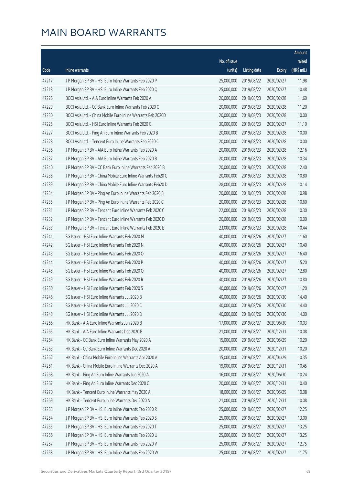|       |                                                              |              |                       |               | Amount      |
|-------|--------------------------------------------------------------|--------------|-----------------------|---------------|-------------|
|       |                                                              | No. of issue |                       |               | raised      |
| Code  | <b>Inline warrants</b>                                       | (units)      | <b>Listing date</b>   | <b>Expiry</b> | (HK\$ mil.) |
| 47217 | J P Morgan SP BV - HSI Euro Inline Warrants Feb 2020 P       | 25,000,000   | 2019/08/22            | 2020/02/27    | 11.98       |
| 47218 | J P Morgan SP BV - HSI Euro Inline Warrants Feb 2020 Q       | 25,000,000   | 2019/08/22            | 2020/02/27    | 10.48       |
| 47226 | BOCI Asia Ltd. - AIA Euro Inline Warrants Feb 2020 A         | 20,000,000   | 2019/08/23            | 2020/02/28    | 11.60       |
| 47229 | BOCI Asia Ltd. - CC Bank Euro Inline Warrants Feb 2020 C     | 20,000,000   | 2019/08/23            | 2020/02/28    | 11.20       |
| 47230 | BOCI Asia Ltd. - China Mobile Euro Inline Warrants Feb 2020D | 20,000,000   | 2019/08/23            | 2020/02/28    | 10.00       |
| 47225 | BOCI Asia Ltd. - HSI Euro Inline Warrants Feb 2020 C         | 30,000,000   | 2019/08/23            | 2020/02/27    | 11.10       |
| 47227 | BOCI Asia Ltd. - Ping An Euro Inline Warrants Feb 2020 B     | 20,000,000   | 2019/08/23            | 2020/02/28    | 10.00       |
| 47228 | BOCI Asia Ltd. - Tencent Euro Inline Warrants Feb 2020 C     | 20,000,000   | 2019/08/23            | 2020/02/28    | 10.00       |
| 47236 | J P Morgan SP BV - AIA Euro Inline Warrants Feb 2020 A       | 20,000,000   | 2019/08/23            | 2020/02/28    | 12.16       |
| 47237 | J P Morgan SP BV - AIA Euro Inline Warrants Feb 2020 B       | 20,000,000   | 2019/08/23            | 2020/02/28    | 10.34       |
| 47240 | J P Morgan SP BV - CC Bank Euro Inline Warrants Feb 2020 B   | 20,000,000   | 2019/08/23            | 2020/02/28    | 12.40       |
| 47238 | J P Morgan SP BV - China Mobile Euro Inline Warrants Feb20 C | 20,000,000   | 2019/08/23            | 2020/02/28    | 10.80       |
| 47239 | J P Morgan SP BV - China Mobile Euro Inline Warrants Feb20 D | 28,000,000   | 2019/08/23            | 2020/02/28    | 10.14       |
| 47234 | J P Morgan SP BV - Ping An Euro Inline Warrants Feb 2020 B   | 20,000,000   | 2019/08/23            | 2020/02/28    | 10.98       |
| 47235 | J P Morgan SP BV - Ping An Euro Inline Warrants Feb 2020 C   | 20,000,000   | 2019/08/23            | 2020/02/28    | 10.60       |
| 47231 | J P Morgan SP BV - Tencent Euro Inline Warrants Feb 2020 C   | 22,000,000   | 2019/08/23            | 2020/02/28    | 10.30       |
| 47232 | J P Morgan SP BV - Tencent Euro Inline Warrants Feb 2020 D   | 20,000,000   | 2019/08/23            | 2020/02/28    | 10.00       |
| 47233 | J P Morgan SP BV - Tencent Euro Inline Warrants Feb 2020 E   | 23,000,000   | 2019/08/23            | 2020/02/28    | 10.44       |
| 47241 | SG Issuer - HSI Euro Inline Warrants Feb 2020 M              | 40,000,000   | 2019/08/26            | 2020/02/27    | 11.60       |
| 47242 | SG Issuer - HSI Euro Inline Warrants Feb 2020 N              | 40,000,000   | 2019/08/26            | 2020/02/27    | 10.40       |
| 47243 | SG Issuer - HSI Euro Inline Warrants Feb 2020 O              | 40,000,000   | 2019/08/26            | 2020/02/27    | 16.40       |
| 47244 | SG Issuer - HSI Euro Inline Warrants Feb 2020 P              | 40,000,000   | 2019/08/26            | 2020/02/27    | 15.20       |
| 47245 | SG Issuer - HSI Euro Inline Warrants Feb 2020 Q              | 40,000,000   | 2019/08/26            | 2020/02/27    | 12.80       |
| 47249 | SG Issuer - HSI Euro Inline Warrants Feb 2020 R              | 40,000,000   | 2019/08/26            | 2020/02/27    | 10.80       |
| 47250 | SG Issuer - HSI Euro Inline Warrants Feb 2020 S              | 40,000,000   | 2019/08/26            | 2020/02/27    | 11.20       |
| 47246 | SG Issuer - HSI Euro Inline Warrants Jul 2020 B              | 40,000,000   | 2019/08/26            | 2020/07/30    | 14.40       |
| 47247 | SG Issuer - HSI Euro Inline Warrants Jul 2020 C              |              | 40,000,000 2019/08/26 | 2020/07/30    | 14.40       |
| 47248 | SG Issuer - HSI Euro Inline Warrants Jul 2020 D              | 40,000,000   | 2019/08/26            | 2020/07/30    | 14.00       |
| 47266 | HK Bank - AIA Euro Inline Warrants Jun 2020 B                | 17,000,000   | 2019/08/27            | 2020/06/30    | 10.03       |
| 47265 | HK Bank - AIA Euro Inline Warrants Dec 2020 B                | 21,000,000   | 2019/08/27            | 2020/12/31    | 10.08       |
| 47264 | HK Bank - CC Bank Euro Inline Warrants May 2020 A            | 15,000,000   | 2019/08/27            | 2020/05/29    | 10.20       |
| 47263 | HK Bank - CC Bank Euro Inline Warrants Dec 2020 A            | 20,000,000   | 2019/08/27            | 2020/12/31    | 10.20       |
| 47262 | HK Bank - China Mobile Euro Inline Warrants Apr 2020 A       | 15,000,000   | 2019/08/27            | 2020/04/29    | 10.35       |
| 47261 | HK Bank - China Mobile Euro Inline Warrants Dec 2020 A       | 19,000,000   | 2019/08/27            | 2020/12/31    | 10.45       |
| 47268 | HK Bank - Ping An Euro Inline Warrants Jun 2020 A            | 16,000,000   | 2019/08/27            | 2020/06/30    | 10.24       |
| 47267 | HK Bank - Ping An Euro Inline Warrants Dec 2020 C            | 20,000,000   | 2019/08/27            | 2020/12/31    | 10.40       |
| 47270 | HK Bank - Tencent Euro Inline Warrants May 2020 A            | 18,000,000   | 2019/08/27            | 2020/05/29    | 10.08       |
| 47269 | HK Bank - Tencent Euro Inline Warrants Dec 2020 A            | 21,000,000   | 2019/08/27            | 2020/12/31    | 10.08       |
| 47253 | J P Morgan SP BV - HSI Euro Inline Warrants Feb 2020 R       | 25,000,000   | 2019/08/27            | 2020/02/27    | 12.25       |
| 47254 | J P Morgan SP BV - HSI Euro Inline Warrants Feb 2020 S       | 25,000,000   | 2019/08/27            | 2020/02/27    | 13.00       |
| 47255 | J P Morgan SP BV - HSI Euro Inline Warrants Feb 2020 T       | 25,000,000   | 2019/08/27            | 2020/02/27    | 13.25       |
| 47256 | J P Morgan SP BV - HSI Euro Inline Warrants Feb 2020 U       | 25,000,000   | 2019/08/27            | 2020/02/27    | 13.25       |
| 47257 | J P Morgan SP BV - HSI Euro Inline Warrants Feb 2020 V       | 25,000,000   | 2019/08/27            | 2020/02/27    | 12.75       |
| 47258 | J P Morgan SP BV - HSI Euro Inline Warrants Feb 2020 W       | 25,000,000   | 2019/08/27            | 2020/02/27    | 11.75       |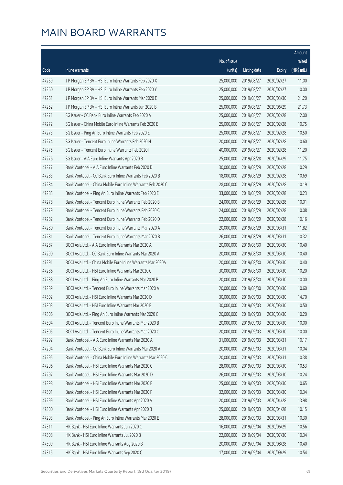|       |                                                              |              |                       |               | Amount      |
|-------|--------------------------------------------------------------|--------------|-----------------------|---------------|-------------|
|       |                                                              | No. of issue |                       |               | raised      |
| Code  | Inline warrants                                              | (units)      | <b>Listing date</b>   | <b>Expiry</b> | (HK\$ mil.) |
| 47259 | J P Morgan SP BV - HSI Euro Inline Warrants Feb 2020 X       | 25,000,000   | 2019/08/27            | 2020/02/27    | 11.00       |
| 47260 | J P Morgan SP BV - HSI Euro Inline Warrants Feb 2020 Y       | 25,000,000   | 2019/08/27            | 2020/02/27    | 10.00       |
| 47251 | J P Morgan SP BV - HSI Euro Inline Warrants Mar 2020 E       | 25,000,000   | 2019/08/27            | 2020/03/30    | 21.20       |
| 47252 | J P Morgan SP BV - HSI Euro Inline Warrants Jun 2020 B       | 25,000,000   | 2019/08/27            | 2020/06/29    | 21.73       |
| 47271 | SG Issuer - CC Bank Euro Inline Warrants Feb 2020 A          | 25,000,000   | 2019/08/27            | 2020/02/28    | 12.00       |
| 47272 | SG Issuer - China Mobile Euro Inline Warrants Feb 2020 E     | 25,000,000   | 2019/08/27            | 2020/02/28    | 10.75       |
| 47273 | SG Issuer - Ping An Euro Inline Warrants Feb 2020 E          | 25,000,000   | 2019/08/27            | 2020/02/28    | 10.50       |
| 47274 | SG Issuer - Tencent Euro Inline Warrants Feb 2020 H          | 20,000,000   | 2019/08/27            | 2020/02/28    | 10.60       |
| 47275 | SG Issuer - Tencent Euro Inline Warrants Feb 2020 I          | 40,000,000   | 2019/08/27            | 2020/02/28    | 11.20       |
| 47276 | SG Issuer - AIA Euro Inline Warrants Apr 2020 B              | 25,000,000   | 2019/08/28            | 2020/04/29    | 11.75       |
| 47277 | Bank Vontobel - AIA Euro Inline Warrants Feb 2020 D          | 30,000,000   | 2019/08/29            | 2020/02/28    | 10.29       |
| 47283 | Bank Vontobel - CC Bank Euro Inline Warrants Feb 2020 B      | 18,000,000   | 2019/08/29            | 2020/02/28    | 10.69       |
| 47284 | Bank Vontobel - China Mobile Euro Inline Warrants Feb 2020 C | 28,000,000   | 2019/08/29            | 2020/02/28    | 10.19       |
| 47285 | Bank Vontobel - Ping An Euro Inline Warrants Feb 2020 E      | 33,000,000   | 2019/08/29            | 2020/02/28    | 10.23       |
| 47278 | Bank Vontobel - Tencent Euro Inline Warrants Feb 2020 B      | 24,000,000   | 2019/08/29            | 2020/02/28    | 10.01       |
| 47279 | Bank Vontobel - Tencent Euro Inline Warrants Feb 2020 C      | 24,000,000   | 2019/08/29            | 2020/02/28    | 10.08       |
| 47282 | Bank Vontobel - Tencent Euro Inline Warrants Feb 2020 D      | 22,000,000   | 2019/08/29            | 2020/02/28    | 10.16       |
| 47280 | Bank Vontobel - Tencent Euro Inline Warrants Mar 2020 A      | 20,000,000   | 2019/08/29            | 2020/03/31    | 11.82       |
| 47281 | Bank Vontobel - Tencent Euro Inline Warrants Mar 2020 B      | 26,000,000   | 2019/08/29            | 2020/03/31    | 10.32       |
| 47287 | BOCI Asia Ltd. - AIA Euro Inline Warrants Mar 2020 A         | 20,000,000   | 2019/08/30            | 2020/03/30    | 10.40       |
| 47290 | BOCI Asia Ltd. - CC Bank Euro Inline Warrants Mar 2020 A     | 20,000,000   | 2019/08/30            | 2020/03/30    | 10.40       |
| 47291 | BOCI Asia Ltd. - China Mobile Euro Inline Warrants Mar 2020A | 20,000,000   | 2019/08/30            | 2020/03/30    | 10.40       |
| 47286 | BOCI Asia Ltd. - HSI Euro Inline Warrants Mar 2020 C         | 30,000,000   | 2019/08/30            | 2020/03/30    | 10.20       |
| 47288 | BOCI Asia Ltd. - Ping An Euro Inline Warrants Mar 2020 B     | 20,000,000   | 2019/08/30            | 2020/03/30    | 10.00       |
| 47289 | BOCI Asia Ltd. - Tencent Euro Inline Warrants Mar 2020 A     | 20,000,000   | 2019/08/30            | 2020/03/30    | 10.60       |
| 47302 | BOCI Asia Ltd. - HSI Euro Inline Warrants Mar 2020 D         | 30,000,000   | 2019/09/03            | 2020/03/30    | 14.70       |
| 47303 | BOCI Asia Ltd. - HSI Euro Inline Warrants Mar 2020 E         |              | 30,000,000 2019/09/03 | 2020/03/30    | 10.50       |
| 47306 | BOCI Asia Ltd. - Ping An Euro Inline Warrants Mar 2020 C     | 20,000,000   | 2019/09/03            | 2020/03/30    | 10.20       |
| 47304 | BOCI Asia Ltd. - Tencent Euro Inline Warrants Mar 2020 B     | 20,000,000   | 2019/09/03            | 2020/03/30    | 10.00       |
| 47305 | BOCI Asia Ltd. - Tencent Euro Inline Warrants Mar 2020 C     | 20,000,000   | 2019/09/03            | 2020/03/30    | 10.00       |
| 47292 | Bank Vontobel - AIA Euro Inline Warrants Mar 2020 A          | 31,000,000   | 2019/09/03            | 2020/03/31    | 10.17       |
| 47294 | Bank Vontobel - CC Bank Euro Inline Warrants Mar 2020 A      | 20,000,000   | 2019/09/03            | 2020/03/31    | 10.04       |
| 47295 | Bank Vontobel - China Mobile Euro Inline Warrants Mar 2020 C | 20,000,000   | 2019/09/03            | 2020/03/31    | 10.38       |
| 47296 | Bank Vontobel - HSI Euro Inline Warrants Mar 2020 C          | 28,000,000   | 2019/09/03            | 2020/03/30    | 10.53       |
| 47297 | Bank Vontobel - HSI Euro Inline Warrants Mar 2020 D          | 26,000,000   | 2019/09/03            | 2020/03/30    | 10.24       |
| 47298 | Bank Vontobel - HSI Euro Inline Warrants Mar 2020 E          | 25,000,000   | 2019/09/03            | 2020/03/30    | 10.65       |
| 47301 | Bank Vontobel - HSI Euro Inline Warrants Mar 2020 F          | 32,000,000   | 2019/09/03            | 2020/03/30    | 10.34       |
| 47299 | Bank Vontobel - HSI Euro Inline Warrants Apr 2020 A          | 20,000,000   | 2019/09/03            | 2020/04/28    | 13.98       |
| 47300 | Bank Vontobel - HSI Euro Inline Warrants Apr 2020 B          | 25,000,000   | 2019/09/03            | 2020/04/28    | 10.15       |
| 47293 | Bank Vontobel - Ping An Euro Inline Warrants Mar 2020 E      | 28,000,000   | 2019/09/03            | 2020/03/31    | 10.30       |
| 47311 | HK Bank - HSI Euro Inline Warrants Jun 2020 C                | 16,000,000   | 2019/09/04            | 2020/06/29    | 10.56       |
| 47308 | HK Bank - HSI Euro Inline Warrants Jul 2020 B                | 22,000,000   | 2019/09/04            | 2020/07/30    | 10.34       |
| 47309 | HK Bank - HSI Euro Inline Warrants Aug 2020 B                | 20,000,000   | 2019/09/04            | 2020/08/28    | 10.40       |
| 47315 | HK Bank - HSI Euro Inline Warrants Sep 2020 C                | 17,000,000   | 2019/09/04            | 2020/09/29    | 10.54       |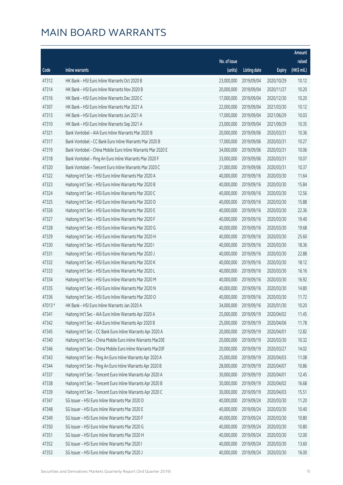|        |                                                              |              |                       |               | <b>Amount</b> |
|--------|--------------------------------------------------------------|--------------|-----------------------|---------------|---------------|
|        |                                                              | No. of issue |                       |               | raised        |
| Code   | Inline warrants                                              | (units)      | <b>Listing date</b>   | <b>Expiry</b> | (HK\$ mil.)   |
| 47312  | HK Bank - HSI Euro Inline Warrants Oct 2020 B                | 23,000,000   | 2019/09/04            | 2020/10/29    | 10.12         |
| 47314  | HK Bank - HSI Euro Inline Warrants Nov 2020 B                | 20,000,000   | 2019/09/04            | 2020/11/27    | 10.20         |
| 47316  | HK Bank - HSI Euro Inline Warrants Dec 2020 C                | 17,000,000   | 2019/09/04            | 2020/12/30    | 10.20         |
| 47307  | HK Bank - HSI Euro Inline Warrants Mar 2021 A                | 22,000,000   | 2019/09/04            | 2021/03/30    | 10.12         |
| 47313  | HK Bank - HSI Euro Inline Warrants Jun 2021 A                | 17,000,000   | 2019/09/04            | 2021/06/29    | 10.03         |
| 47310  | HK Bank - HSI Euro Inline Warrants Sep 2021 A                | 23,000,000   | 2019/09/04            | 2021/09/29    | 10.35         |
| 47321  | Bank Vontobel - AIA Euro Inline Warrants Mar 2020 B          | 20,000,000   | 2019/09/06            | 2020/03/31    | 10.36         |
| 47317  | Bank Vontobel - CC Bank Euro Inline Warrants Mar 2020 B      | 17,000,000   | 2019/09/06            | 2020/03/31    | 10.27         |
| 47319  | Bank Vontobel - China Mobile Euro Inline Warrants Mar 2020 E | 34,000,000   | 2019/09/06            | 2020/03/31    | 10.06         |
| 47318  | Bank Vontobel - Ping An Euro Inline Warrants Mar 2020 F      | 33,000,000   | 2019/09/06            | 2020/03/31    | 10.07         |
| 47320  | Bank Vontobel - Tencent Euro Inline Warrants Mar 2020 C      | 21,000,000   | 2019/09/06            | 2020/03/31    | 10.37         |
| 47322  | Haitong Int'l Sec - HSI Euro Inline Warrants Mar 2020 A      | 40,000,000   | 2019/09/16            | 2020/03/30    | 11.64         |
| 47323  | Haitong Int'l Sec - HSI Euro Inline Warrants Mar 2020 B      | 40,000,000   | 2019/09/16            | 2020/03/30    | 15.84         |
| 47324  | Haitong Int'l Sec - HSI Euro Inline Warrants Mar 2020 C      | 40,000,000   | 2019/09/16            | 2020/03/30    | 12.56         |
| 47325  | Haitong Int'l Sec - HSI Euro Inline Warrants Mar 2020 D      | 40,000,000   | 2019/09/16            | 2020/03/30    | 15.88         |
| 47326  | Haitong Int'l Sec - HSI Euro Inline Warrants Mar 2020 E      | 40,000,000   | 2019/09/16            | 2020/03/30    | 22.36         |
| 47327  | Haitong Int'l Sec - HSI Euro Inline Warrants Mar 2020 F      | 40,000,000   | 2019/09/16            | 2020/03/30    | 19.40         |
| 47328  | Haitong Int'l Sec - HSI Euro Inline Warrants Mar 2020 G      | 40,000,000   | 2019/09/16            | 2020/03/30    | 19.68         |
| 47329  | Haitong Int'l Sec - HSI Euro Inline Warrants Mar 2020 H      | 40,000,000   | 2019/09/16            | 2020/03/30    | 25.60         |
| 47330  | Haitong Int'l Sec - HSI Euro Inline Warrants Mar 2020 I      | 40,000,000   | 2019/09/16            | 2020/03/30    | 18.36         |
| 47331  | Haitong Int'l Sec - HSI Euro Inline Warrants Mar 2020 J      | 40,000,000   | 2019/09/16            | 2020/03/30    | 22.88         |
| 47332  | Haitong Int'l Sec - HSI Euro Inline Warrants Mar 2020 K      | 40,000,000   | 2019/09/16            | 2020/03/30    | 18.12         |
| 47333  | Haitong Int'l Sec - HSI Euro Inline Warrants Mar 2020 L      | 40,000,000   | 2019/09/16            | 2020/03/30    | 16.16         |
| 47334  | Haitong Int'l Sec - HSI Euro Inline Warrants Mar 2020 M      | 40,000,000   | 2019/09/16            | 2020/03/30    | 16.92         |
| 47335  | Haitong Int'l Sec - HSI Euro Inline Warrants Mar 2020 N      | 40,000,000   | 2019/09/16            | 2020/03/30    | 14.80         |
| 47336  | Haitong Int'l Sec - HSI Euro Inline Warrants Mar 2020 O      | 40,000,000   | 2019/09/16            | 2020/03/30    | 11.72         |
| 47013# | HK Bank - HSI Euro Inline Warrants Jan 2020 A                |              | 34,000,000 2019/09/16 | 2020/01/30    | 10.20         |
| 47341  | Haitong Int'l Sec - AIA Euro Inline Warrants Apr 2020 A      | 25,000,000   | 2019/09/19            | 2020/04/02    | 11.45         |
| 47342  | Haitong Int'l Sec - AIA Euro Inline Warrants Apr 2020 B      | 25,000,000   | 2019/09/19            | 2020/04/06    | 11.78         |
| 47345  | Haitong Int'l Sec - CC Bank Euro Inline Warrants Apr 2020 A  | 20,000,000   | 2019/09/19            | 2020/04/01    | 12.82         |
| 47340  | Haitong Int'l Sec - China Mobile Euro Inline Warrants Mar20E | 20,000,000   | 2019/09/19            | 2020/03/30    | 10.32         |
| 47346  | Haitong Int'l Sec - China Mobile Euro Inline Warrants Mar20F | 20,000,000   | 2019/09/19            | 2020/03/27    | 14.02         |
| 47343  | Haitong Int'l Sec - Ping An Euro Inline Warrants Apr 2020 A  | 25,000,000   | 2019/09/19            | 2020/04/03    | 11.08         |
| 47344  | Haitong Int'l Sec - Ping An Euro Inline Warrants Apr 2020 B  | 28,000,000   | 2019/09/19            | 2020/04/07    | 10.86         |
| 47337  | Haitong Int'l Sec - Tencent Euro Inline Warrants Apr 2020 A  | 30,000,000   | 2019/09/19            | 2020/04/01    | 12.45         |
| 47338  | Haitong Int'l Sec - Tencent Euro Inline Warrants Apr 2020 B  | 30,000,000   | 2019/09/19            | 2020/04/02    | 16.68         |
| 47339  | Haitong Int'l Sec - Tencent Euro Inline Warrants Apr 2020 C  | 30,000,000   | 2019/09/19            | 2020/04/03    | 15.51         |
| 47347  | SG Issuer - HSI Euro Inline Warrants Mar 2020 D              | 40,000,000   | 2019/09/24            | 2020/03/30    | 11.20         |
| 47348  | SG Issuer - HSI Euro Inline Warrants Mar 2020 E              | 40,000,000   | 2019/09/24            | 2020/03/30    | 10.40         |
| 47349  | SG Issuer - HSI Euro Inline Warrants Mar 2020 F              | 40,000,000   | 2019/09/24            | 2020/03/30    | 10.80         |
| 47350  | SG Issuer - HSI Euro Inline Warrants Mar 2020 G              | 40,000,000   | 2019/09/24            | 2020/03/30    | 10.80         |
| 47351  | SG Issuer - HSI Euro Inline Warrants Mar 2020 H              | 40,000,000   | 2019/09/24            | 2020/03/30    | 12.00         |
| 47352  | SG Issuer - HSI Euro Inline Warrants Mar 2020 I              | 40,000,000   | 2019/09/24            | 2020/03/30    | 13.60         |
| 47353  | SG Issuer - HSI Euro Inline Warrants Mar 2020 J              | 40,000,000   | 2019/09/24            | 2020/03/30    | 16.00         |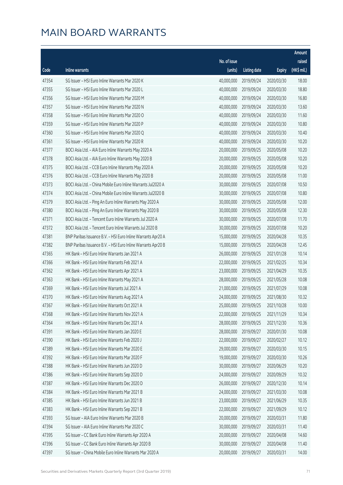|       |                                                              |              |                       |               | Amount      |
|-------|--------------------------------------------------------------|--------------|-----------------------|---------------|-------------|
|       |                                                              | No. of issue |                       |               | raised      |
| Code  | Inline warrants                                              | (units)      | <b>Listing date</b>   | <b>Expiry</b> | (HK\$ mil.) |
| 47354 | SG Issuer - HSI Euro Inline Warrants Mar 2020 K              | 40,000,000   | 2019/09/24            | 2020/03/30    | 18.00       |
| 47355 | SG Issuer - HSI Euro Inline Warrants Mar 2020 L              | 40,000,000   | 2019/09/24            | 2020/03/30    | 18.80       |
| 47356 | SG Issuer - HSI Euro Inline Warrants Mar 2020 M              | 40,000,000   | 2019/09/24            | 2020/03/30    | 16.80       |
| 47357 | SG Issuer - HSI Euro Inline Warrants Mar 2020 N              | 40,000,000   | 2019/09/24            | 2020/03/30    | 13.60       |
| 47358 | SG Issuer - HSI Euro Inline Warrants Mar 2020 O              | 40,000,000   | 2019/09/24            | 2020/03/30    | 11.60       |
| 47359 | SG Issuer - HSI Euro Inline Warrants Mar 2020 P              | 40,000,000   | 2019/09/24            | 2020/03/30    | 10.80       |
| 47360 | SG Issuer - HSI Euro Inline Warrants Mar 2020 Q              | 40,000,000   | 2019/09/24            | 2020/03/30    | 10.40       |
| 47361 | SG Issuer - HSI Euro Inline Warrants Mar 2020 R              | 40,000,000   | 2019/09/24            | 2020/03/30    | 10.20       |
| 47377 | BOCI Asia Ltd. - AIA Euro Inline Warrants May 2020 A         | 20,000,000   | 2019/09/25            | 2020/05/08    | 10.20       |
| 47378 | BOCI Asia Ltd. - AIA Euro Inline Warrants May 2020 B         | 20,000,000   | 2019/09/25            | 2020/05/08    | 10.20       |
| 47375 | BOCI Asia Ltd. - CCB Euro Inline Warrants May 2020 A         | 20,000,000   | 2019/09/25            | 2020/05/08    | 10.20       |
| 47376 | BOCI Asia Ltd. - CCB Euro Inline Warrants May 2020 B         | 20,000,000   | 2019/09/25            | 2020/05/08    | 11.00       |
| 47373 | BOCI Asia Ltd. - China Mobile Euro Inline Warrants Jul2020 A | 30,000,000   | 2019/09/25            | 2020/07/08    | 10.50       |
| 47374 | BOCI Asia Ltd. - China Mobile Euro Inline Warrants Jul2020 B | 30,000,000   | 2019/09/25            | 2020/07/08    | 10.80       |
| 47379 | BOCI Asia Ltd. - Ping An Euro Inline Warrants May 2020 A     | 30,000,000   | 2019/09/25            | 2020/05/08    | 12.00       |
| 47380 | BOCI Asia Ltd. - Ping An Euro Inline Warrants May 2020 B     | 30,000,000   | 2019/09/25            | 2020/05/08    | 12.30       |
| 47371 | BOCI Asia Ltd. - Tencent Euro Inline Warrants Jul 2020 A     | 30,000,000   | 2019/09/25            | 2020/07/08    | 11.70       |
| 47372 | BOCI Asia Ltd. - Tencent Euro Inline Warrants Jul 2020 B     | 30,000,000   | 2019/09/25            | 2020/07/08    | 10.20       |
| 47381 | BNP Paribas Issuance B.V. - HSI Euro Inline Warrants Apr20 A | 15,000,000   | 2019/09/25            | 2020/04/28    | 10.35       |
| 47382 | BNP Paribas Issuance B.V. - HSI Euro Inline Warrants Apr20 B | 15,000,000   | 2019/09/25            | 2020/04/28    | 12.45       |
| 47365 | HK Bank - HSI Euro Inline Warrants Jan 2021 A                | 26,000,000   | 2019/09/25            | 2021/01/28    | 10.14       |
| 47366 | HK Bank - HSI Euro Inline Warrants Feb 2021 A                | 22,000,000   | 2019/09/25            | 2021/02/25    | 10.34       |
| 47362 | HK Bank - HSI Euro Inline Warrants Apr 2021 A                | 23,000,000   | 2019/09/25            | 2021/04/29    | 10.35       |
| 47363 | HK Bank - HSI Euro Inline Warrants May 2021 A                | 28,000,000   | 2019/09/25            | 2021/05/28    | 10.08       |
| 47369 | HK Bank - HSI Euro Inline Warrants Jul 2021 A                | 21,000,000   | 2019/09/25            | 2021/07/29    | 10.08       |
| 47370 | HK Bank - HSI Euro Inline Warrants Aug 2021 A                | 24,000,000   | 2019/09/25            | 2021/08/30    | 10.32       |
| 47367 | HK Bank - HSI Euro Inline Warrants Oct 2021 A                |              | 25,000,000 2019/09/25 | 2021/10/28    | 10.00       |
| 47368 | HK Bank - HSI Euro Inline Warrants Nov 2021 A                | 22,000,000   | 2019/09/25            | 2021/11/29    | 10.34       |
| 47364 | HK Bank - HSI Euro Inline Warrants Dec 2021 A                | 28,000,000   | 2019/09/25            | 2021/12/30    | 10.36       |
| 47391 | HK Bank - HSI Euro Inline Warrants Jan 2020 E                | 28,000,000   | 2019/09/27            | 2020/01/30    | 10.08       |
| 47390 | HK Bank - HSI Euro Inline Warrants Feb 2020 J                | 22,000,000   | 2019/09/27            | 2020/02/27    | 10.12       |
| 47389 | HK Bank - HSI Euro Inline Warrants Mar 2020 E                | 29,000,000   | 2019/09/27            | 2020/03/30    | 10.15       |
| 47392 | HK Bank - HSI Euro Inline Warrants Mar 2020 F                | 19,000,000   | 2019/09/27            | 2020/03/30    | 10.26       |
| 47388 | HK Bank - HSI Euro Inline Warrants Jun 2020 D                | 30,000,000   | 2019/09/27            | 2020/06/29    | 10.20       |
| 47386 | HK Bank - HSI Euro Inline Warrants Sep 2020 D                | 24,000,000   | 2019/09/27            | 2020/09/29    | 10.32       |
| 47387 | HK Bank - HSI Euro Inline Warrants Dec 2020 D                | 26,000,000   | 2019/09/27            | 2020/12/30    | 10.14       |
| 47384 | HK Bank - HSI Euro Inline Warrants Mar 2021 B                | 24,000,000   | 2019/09/27            | 2021/03/30    | 10.08       |
| 47385 | HK Bank - HSI Euro Inline Warrants Jun 2021 B                | 23,000,000   | 2019/09/27            | 2021/06/29    | 10.35       |
| 47383 | HK Bank - HSI Euro Inline Warrants Sep 2021 B                | 22,000,000   | 2019/09/27            | 2021/09/29    | 10.12       |
| 47393 | SG Issuer - AIA Euro Inline Warrants Mar 2020 B              | 20,000,000   | 2019/09/27            | 2020/03/31    | 11.80       |
| 47394 | SG Issuer - AIA Euro Inline Warrants Mar 2020 C              | 30,000,000   | 2019/09/27            | 2020/03/31    | 11.40       |
| 47395 | SG Issuer - CC Bank Euro Inline Warrants Apr 2020 A          | 20,000,000   | 2019/09/27            | 2020/04/08    | 14.60       |
| 47396 | SG Issuer - CC Bank Euro Inline Warrants Apr 2020 B          | 30,000,000   | 2019/09/27            | 2020/04/08    | 11.40       |
| 47397 | SG Issuer - China Mobile Euro Inline Warrants Mar 2020 A     | 20,000,000   | 2019/09/27            | 2020/03/31    | 14.00       |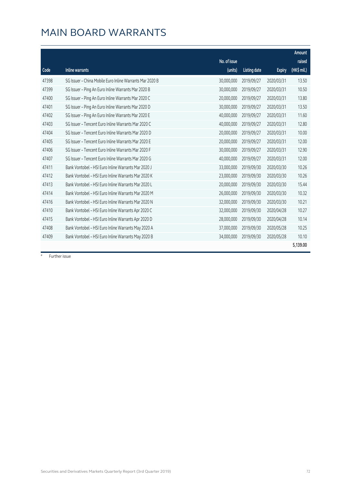#### MAIN BOARD WARRANTS

|       |                                                          |              |                     |               | Amount      |
|-------|----------------------------------------------------------|--------------|---------------------|---------------|-------------|
|       |                                                          | No. of issue |                     |               | raised      |
| Code  | Inline warrants                                          | (units)      | <b>Listing date</b> | <b>Expiry</b> | (HK\$ mil.) |
| 47398 | SG Issuer - China Mobile Euro Inline Warrants Mar 2020 B | 30,000,000   | 2019/09/27          | 2020/03/31    | 13.50       |
| 47399 | SG Issuer - Ping An Euro Inline Warrants Mar 2020 B      | 30,000,000   | 2019/09/27          | 2020/03/31    | 10.50       |
| 47400 | SG Issuer - Ping An Euro Inline Warrants Mar 2020 C      | 20,000,000   | 2019/09/27          | 2020/03/31    | 13.80       |
| 47401 | SG Issuer - Ping An Euro Inline Warrants Mar 2020 D      | 30,000,000   | 2019/09/27          | 2020/03/31    | 13.50       |
| 47402 | SG Issuer - Ping An Euro Inline Warrants Mar 2020 E      | 40,000,000   | 2019/09/27          | 2020/03/31    | 11.60       |
| 47403 | SG Issuer - Tencent Euro Inline Warrants Mar 2020 C      | 40,000,000   | 2019/09/27          | 2020/03/31    | 12.80       |
| 47404 | SG Issuer - Tencent Euro Inline Warrants Mar 2020 D      | 20,000,000   | 2019/09/27          | 2020/03/31    | 10.00       |
| 47405 | SG Issuer - Tencent Euro Inline Warrants Mar 2020 E      | 20,000,000   | 2019/09/27          | 2020/03/31    | 12.00       |
| 47406 | SG Issuer - Tencent Euro Inline Warrants Mar 2020 F      | 30,000,000   | 2019/09/27          | 2020/03/31    | 12.90       |
| 47407 | SG Issuer - Tencent Euro Inline Warrants Mar 2020 G      | 40,000,000   | 2019/09/27          | 2020/03/31    | 12.00       |
| 47411 | Bank Vontobel - HSI Euro Inline Warrants Mar 2020 J      | 33,000,000   | 2019/09/30          | 2020/03/30    | 10.26       |
| 47412 | Bank Vontobel - HSI Euro Inline Warrants Mar 2020 K      | 23,000,000   | 2019/09/30          | 2020/03/30    | 10.26       |
| 47413 | Bank Vontobel - HSI Euro Inline Warrants Mar 2020 L      | 20,000,000   | 2019/09/30          | 2020/03/30    | 15.44       |
| 47414 | Bank Vontobel - HSI Euro Inline Warrants Mar 2020 M      | 26,000,000   | 2019/09/30          | 2020/03/30    | 10.32       |
| 47416 | Bank Vontobel - HSI Euro Inline Warrants Mar 2020 N      | 32,000,000   | 2019/09/30          | 2020/03/30    | 10.21       |
| 47410 | Bank Vontobel - HSI Euro Inline Warrants Apr 2020 C      | 32,000,000   | 2019/09/30          | 2020/04/28    | 10.27       |
| 47415 | Bank Vontobel - HSI Euro Inline Warrants Apr 2020 D      | 28,000,000   | 2019/09/30          | 2020/04/28    | 10.14       |
| 47408 | Bank Vontobel - HSI Euro Inline Warrants May 2020 A      | 37,000,000   | 2019/09/30          | 2020/05/28    | 10.25       |
| 47409 | Bank Vontobel - HSI Euro Inline Warrants May 2020 B      | 34,000,000   | 2019/09/30          | 2020/05/28    | 10.10       |
|       |                                                          |              |                     |               | 5,139.00    |

# Further issue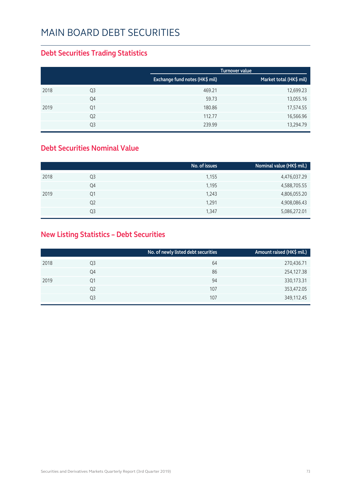#### **Debt Securities Trading Statistics**

|      |                |                                | Turnover value          |
|------|----------------|--------------------------------|-------------------------|
|      |                | Exchange fund notes (HK\$ mil) | Market total (HK\$ mil) |
| 2018 | Q <sub>3</sub> | 469.21                         | 12,699.23               |
|      | Q4             | 59.73                          | 13,055.16               |
| 2019 | Q1             | 180.86                         | 17,574.55               |
|      | Q <sub>2</sub> | 112.77                         | 16,566.96               |
|      | Q3             | 239.99                         | 13,294.79               |

#### **Debt Securities Nominal Value**

|                | No. of issues | Nominal value (HK\$ mil.) |
|----------------|---------------|---------------------------|
| Q <sub>3</sub> | 1,155         | 4,476,037.29              |
| Q4             | 1,195         | 4,588,705.55              |
| Q1             | 1,243         | 4,806,055.20              |
| Q <sub>2</sub> | 1,291         | 4,908,086.43              |
| Q3             | 1,347         | 5,086,272.01              |
|                |               |                           |

#### **New Listing Statistics – Debt Securities**

|      |                | No. of newly listed debt securities | Amount raised (HK\$ mil.) |
|------|----------------|-------------------------------------|---------------------------|
| 2018 | Q3             | 64                                  | 270,436.71                |
|      | Q4             | 86                                  | 254,127.38                |
| 2019 | Q1             | 94                                  | 330,173.31                |
|      | Q <sub>2</sub> | 107                                 | 353,472.05                |
|      | Q3             | 107                                 | 349,112.45                |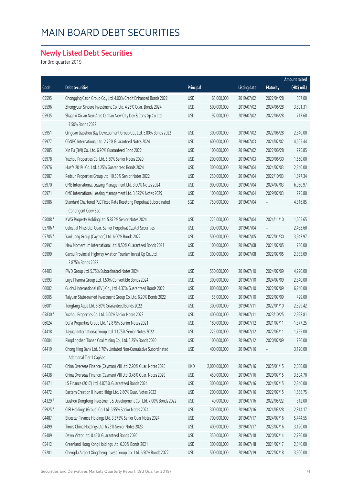#### **Newly Listed Debt Securities**

for 3rd quarter 2019

|         |                                                                      |            |               |                     |            | <b>Amount raised</b> |
|---------|----------------------------------------------------------------------|------------|---------------|---------------------|------------|----------------------|
| Code    | <b>Debt securities</b>                                               | Principal  |               | <b>Listing date</b> | Maturity   | (HK\$ mil.)          |
| 05595   | Chongqing Casin Group Co., Ltd. 4.00% Credit Enhanced Bonds 2022     | <b>USD</b> | 65,000,000    | 2019/07/02          | 2022/04/28 | 507.00               |
| 05596   | Zhongyuan Sincere Investment Co. Ltd. 4.25% Guar. Bonds 2024         | <b>USD</b> | 500,000,000   | 2019/07/02          | 2024/06/28 | 3,891.31             |
| 05935   | Shaanxi Xixian New Area Qinhan New City Dev & Cons Gp Co Ltd         | <b>USD</b> | 92,000,000    | 2019/07/02          | 2022/06/28 | 717.60               |
|         | 7.50% Bonds 2022                                                     |            |               |                     |            |                      |
| 05951   | Qingdao Jiaozhou Bay Development Group Co., Ltd. 5.80% Bonds 2022    | <b>USD</b> | 300,000,000   | 2019/07/02          | 2022/06/28 | 2,340.00             |
| 05977   | CGNPC International Ltd. 2.75% Guaranteed Notes 2024                 | <b>USD</b> | 600,000,000   | 2019/07/03          | 2024/07/02 | 4,665.44             |
| 05985   | Xin Fu (BVI) Co., Ltd. 6.90% Guaranteed Bond 2022                    | <b>USD</b> | 100,000,000   | 2019/07/02          | 2022/06/28 | 775.85               |
| 05978   | Yuzhou Properties Co. Ltd. 5.50% Senior Notes 2020                   | <b>USD</b> | 200,000,000   | 2019/07/03          | 2020/06/30 | 1,560.00             |
| 05976   | Huafa 2019 I Co. Ltd. 4.25% Guaranteed Bonds 2024                    | <b>USD</b> | 300,000,000   | 2019/07/04          | 2024/07/03 | 2,340.00             |
| 05987   | Redsun Properties Group Ltd. 10.50% Senior Notes 2022                | <b>USD</b> | 250,000,000   | 2019/07/04          | 2022/10/03 | 1,877.34             |
| 05970   | CMB International Leasing Management Ltd. 3.00% Notes 2024           | <b>USD</b> | 900,000,000   | 2019/07/04          | 2024/07/03 | 6,980.97             |
| 05971   | CMB International Leasing Management Ltd. 3.625% Notes 2029          | <b>USD</b> | 100,000,000   | 2019/07/04          | 2029/07/03 | 775.80               |
| 05986   | Standard Chartered PLC Fixed Rate Resetting Perpetual Subordinated   | SGD        | 750,000,000   | 2019/07/04          |            | 4,316.85             |
|         | Contingent Conv Sec                                                  |            |               |                     |            |                      |
| 05008 # | KWG Property Holding Ltd. 5.875% Senior Notes 2024                   | <b>USD</b> | 225,000,000   | 2019/07/04          | 2024/11/10 | 1,605.65             |
| 05706 # | Celestial Miles Ltd. Guar. Senior Perpetual Capital Securities       | <b>USD</b> | 300,000,000   | 2019/07/04          |            | 2,433.60             |
| 05705 # | Yankuang Group (Cayman) Ltd. 6.00% Bonds 2022                        | <b>USD</b> | 500,000,000   | 2019/07/05          | 2022/01/30 | 3,947.97             |
| 05997   | New Momentum International Ltd. 9.50% Guaranteed Bonds 2021          | <b>USD</b> | 100,000,000   | 2019/07/08          | 2021/07/05 | 780.00               |
| 05999   | Gansu Provincial Highway Aviation Tourism Invest Gp Co., Ltd.        | <b>USD</b> | 300,000,000   | 2019/07/08          | 2022/07/05 | 2,335.09             |
|         | 3.875% Bonds 2022                                                    |            |               |                     |            |                      |
| 04403   | FWD Group Ltd. 5.75% Subordinated Notes 2024                         | <b>USD</b> | 550,000,000   | 2019/07/10          | 2024/07/09 | 4,290.00             |
| 05993   | Luye Pharma Group Ltd. 1.50% Convertible Bonds 2024                  | <b>USD</b> | 300,000,000   | 2019/07/10          | 2024/07/09 | 2,340.00             |
| 06002   | Guohui International (BVI) Co., Ltd. 4.37% Guaranteed Bonds 2022     | <b>USD</b> | 800,000,000   | 2019/07/10          | 2022/07/09 | 6,240.00             |
| 06005   | Taiyuan State-owned Investment Group Co. Ltd. 6.20% Bonds 2022       | <b>USD</b> | 55,000,000    | 2019/07/10          | 2022/07/09 | 429.00               |
| 06001   | Tongfang Aqua Ltd. 6.80% Guaranteed Bonds 2022                       | <b>USD</b> | 300,000,000   | 2019/07/11          | 2022/01/10 | 2,329.42             |
| 05830 # | Yuzhou Properties Co. Ltd. 6.00% Senior Notes 2023                   | <b>USD</b> | 400,000,000   | 2019/07/11          | 2023/10/25 | 2,928.81             |
| 06024   | DaFa Properties Group Ltd. 12.875% Senior Notes 2021                 | <b>USD</b> | 180,000,000   | 2019/07/12          | 2021/07/11 | 1,377.25             |
| 04418   | Jiayuan International Group Ltd. 13.75% Senior Notes 2022            | <b>USD</b> | 225,000,000   | 2019/07/12          | 2022/03/11 | 1,755.00             |
| 06004   | Pingdingshan Tianan Coal Mining Co., Ltd. 6.25% Bonds 2020           | <b>USD</b> | 100,000,000   | 2019/07/12          | 2020/07/09 | 780.00               |
| 04419   | Chong Hing Bank Ltd. 5.70% Undated Non-Cumulative Subordinated       | <b>USD</b> | 400,000,000   | 2019/07/16          |            | 3,120.00             |
|         | Additional Tier 1 CapSec                                             |            |               |                     |            |                      |
| 04437   | China Overseas Finance (Cayman) VIII Ltd. 2.90% Guar. Notes 2025     | <b>HKD</b> | 2,000,000,000 | 2019/07/16          | 2025/01/15 | 2,000.00             |
| 04438   | China Overseas Finance (Cayman) VIII Ltd. 3.45% Guar. Notes 2029     | <b>USD</b> | 450,000,000   | 2019/07/16          | 2029/07/15 | 3,504.70             |
| 04471   | LS Finance (2017) Ltd. 4.875% Guaranteed Bonds 2024                  | <b>USD</b> | 300,000,000   | 2019/07/16          | 2024/07/15 | 2,340.00             |
| 04472   | Eastern Creation II Invest Hldgs Ltd. 2.80% Guar. Notes 2022         | <b>USD</b> | 200,000,000   | 2019/07/16          | 2022/07/15 | 1,558.75             |
| 04329 # | Liuzhou Dongtong Investment & Development Co., Ltd. 7.00% Bonds 2022 | <b>USD</b> | 40,000,000    | 2019/07/16          | 2022/05/22 | 312.00               |
| 05925 # | CIFI Holdings (Group) Co. Ltd. 6.55% Senior Notes 2024               | <b>USD</b> | 300,000,000   | 2019/07/16          | 2024/03/28 | 2,314.17             |
| 04487   | Bluestar Finance Holdings Ltd. 3.375% Senior Guar Notes 2024         | <b>USD</b> | 700,000,000   | 2019/07/17          | 2024/07/16 | 5,444.55             |
| 04499   | Times China Holdings Ltd. 6.75% Senior Notes 2023                    | <b>USD</b> | 400,000,000   | 2019/07/17          | 2023/07/16 | 3,120.00             |
| 05409   | Dawn Victor Ltd. 8.45% Guaranteed Bonds 2020                         | <b>USD</b> | 350,000,000   | 2019/07/18          | 2020/07/14 | 2,730.00             |
| 05412   | Greenland Hong Kong Holdings Ltd. 6.00% Bonds 2021                   | <b>USD</b> | 300,000,000   | 2019/07/18          | 2021/07/17 | 2,340.00             |
| 05201   | Chengdu Airport Xingcheng Invest Group Co., Ltd. 6.50% Bonds 2022    | <b>USD</b> | 500,000,000   | 2019/07/19          | 2022/07/18 | 3,900.00             |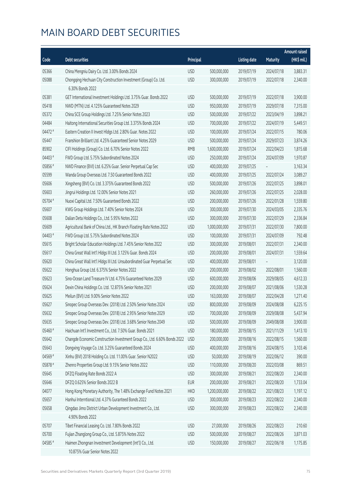|         |                                                                           |            |               |                     |                 | <b>Amount raised</b> |
|---------|---------------------------------------------------------------------------|------------|---------------|---------------------|-----------------|----------------------|
| Code    | <b>Debt securities</b>                                                    | Principal  |               | <b>Listing date</b> | <b>Maturity</b> | (HK\$ mil.)          |
| 05366   | China Mengniu Dairy Co. Ltd. 3.00% Bonds 2024                             | <b>USD</b> | 500,000,000   | 2019/07/19          | 2024/07/18      | 3,883.31             |
| 05088   | Chongqing Hechuan City Construction Investment (Group) Co. Ltd.           | <b>USD</b> | 300,000,000   | 2019/07/19          | 2022/07/18      | 2,340.00             |
|         | 6.30% Bonds 2022                                                          |            |               |                     |                 |                      |
| 05381   | GET International Investment Holdings Ltd. 3.75% Guar. Bonds 2022         | <b>USD</b> | 500,000,000   | 2019/07/19          | 2022/07/18      | 3,900.00             |
| 05418   | NWD (MTN) Ltd. 4.125% Guaranteed Notes 2029                               | <b>USD</b> | 950,000,000   | 2019/07/19          | 2029/07/18      | 7,315.00             |
| 05372   | China SCE Group Holdings Ltd. 7.25% Senior Notes 2023                     | <b>USD</b> | 500,000,000   | 2019/07/22          | 2023/04/19      | 3,898.21             |
| 04484   | Haitong International Securities Group Ltd. 3.375% Bonds 2024             | <b>USD</b> | 700,000,000   | 2019/07/22          | 2024/07/19      | 5,449.51             |
| 04472 # | Eastern Creation II Invest Hldgs Ltd. 2.80% Guar. Notes 2022              | <b>USD</b> | 100,000,000   | 2019/07/24          | 2022/07/15      | 780.06               |
| 05447   | Franshion Brilliant Ltd. 4.25% Guaranteed Senior Notes 2029               | <b>USD</b> | 500,000,000   | 2019/07/24          | 2029/07/23      | 3,874.26             |
| 85902   | CIFI Holdings (Group) Co. Ltd. 6.70% Senior Notes 2022                    | <b>RMB</b> | 1,600,000,000 | 2019/07/24          | 2022/04/23      | 1,815.68             |
| 04403 # | FWD Group Ltd. 5.75% Subordinated Notes 2024                              | <b>USD</b> | 250,000,000   | 2019/07/24          | 2024/07/09      | 1,970.87             |
| 05856 # | NWD Finance (BVI) Ltd. 6.25% Guar. Senior Perpetual Cap Sec               | <b>USD</b> | 400,000,000   | 2019/07/25          |                 | 3,163.34             |
| 05599   | Wanda Group Overseas Ltd. 7.50 Guaranteed Bonds 2022                      | <b>USD</b> | 400,000,000   | 2019/07/25          | 2022/07/24      | 3,089.27             |
| 05606   | Xingsheng (BVI) Co. Ltd. 3.375% Guaranteed Bonds 2022                     | <b>USD</b> | 500,000,000   | 2019/07/26          | 2022/07/25      | 3,898.01             |
| 05603   | Jingrui Holdings Ltd. 12.00% Senior Notes 2021                            | <b>USD</b> | 260,000,000   | 2019/07/26          | 2022/07/25      | 2,028.00             |
| 05704 # | Nuoxi Capital Ltd. 7.50% Guaranteed Bonds 2022                            | <b>USD</b> | 200,000,000   | 2019/07/26          | 2022/01/28      | 1,559.80             |
| 05607   | KWG Group Holdings Ltd. 7.40% Senior Notes 2024                           | <b>USD</b> | 300,000,000   | 2019/07/30          | 2024/03/05      | 2,335.76             |
| 05608   | Dalian Deta Holdings Co., Ltd. 5.95% Notes 2022                           | <b>USD</b> | 300,000,000   | 2019/07/30          | 2022/07/29      | 2,336.84             |
| 05609   | Agricultural Bank of China Ltd., HK Branch Floating Rate Notes 2022       | <b>USD</b> | 1,000,000,000 | 2019/07/31          | 2022/07/30      | 7,800.00             |
| 04403 # | FWD Group Ltd. 5.75% Subordinated Notes 2024                              | <b>USD</b> | 100,000,000   | 2019/07/31          | 2024/07/09      | 792.48               |
| 05615   | Bright Scholar Education Holdings Ltd. 7.45% Senior Notes 2022            | <b>USD</b> | 300,000,000   | 2019/08/01          | 2022/07/31      | 2,340.00             |
| 05617   | China Great Wall Int'l Hldgs III Ltd. 3.125% Guar. Bonds 2024             | <b>USD</b> | 200,000,000   | 2019/08/01          | 2024/07/31      | 1,559.64             |
| 05620   | China Great Wall Int'l Hldgs III Ltd. Unsubordinated Guar Perpetual Sec   | <b>USD</b> | 400,000,000   | 2019/08/01          |                 | 3,120.00             |
| 05622   | Honghua Group Ltd. 6.375% Senior Notes 2022                               | <b>USD</b> | 200,000,000   | 2019/08/02          | 2022/08/01      | 1,560.00             |
| 05623   | Sino-Ocean Land Treasure IV Ltd. 4.75% Guaranteed Notes 2029              | <b>USD</b> | 600,000,000   | 2019/08/06          | 2029/08/05      | 4,612.33             |
| 05624   | Dexin China Holdings Co. Ltd. 12.875% Senior Notes 2021                   | <b>USD</b> | 200,000,000   | 2019/08/07          | 2021/08/06      | 1,530.28             |
| 05625   | Meilun (BVI) Ltd. 9.00% Senior Notes 2022                                 | <b>USD</b> | 163,000,000   | 2019/08/07          | 2022/04/28      | 1,271.40             |
| 05627   | Sinopec Group Overseas Dev. (2018) Ltd. 2.50% Senior Notes 2024           | <b>USD</b> | 800,000,000   | 2019/08/09          | 2024/08/08      | 6,225.15             |
| 05632   | Sinopec Group Overseas Dev. (2018) Ltd. 2.95% Senior Notes 2029           | <b>USD</b> | 700,000,000   | 2019/08/09          | 2029/08/08      | 5,437.94             |
| 05635   | Sinopec Group Overseas Dev. (2018) Ltd. 3.68% Senior Notes 2049           | <b>USD</b> | 500,000,000   | 2019/08/09          | 2049/08/08      | 3,900.00             |
| 05460 # | Haichuan Int'l Investment Co., Ltd. 7.50% Guar. Bonds 2021                | <b>USD</b> | 180,000,000   | 2019/08/15          | 2021/11/29      | 1,413.10             |
| 05642   | Changde Economic Construction Investment Group Co., Ltd. 6.60% Bonds 2022 | <b>USD</b> | 200,000,000   | 2019/08/16          | 2022/08/15      | 1,560.00             |
| 05643   | Dongxing Voyage Co. Ltd. 3.25% Guaranteed Bonds 2024                      | <b>USD</b> | 400,000,000   | 2019/08/16          | 2024/08/15      | 3,103.46             |
| 04569 # | Xinhu (BVI) 2018 Holding Co. Ltd. 11.00% Guar. Senior N2022               | <b>USD</b> | 50,000,000    | 2019/08/19          | 2022/06/12      | 390.00               |
| 05878 # | Zhenro Properties Group Ltd. 9.15% Senior Notes 2022                      | <b>USD</b> | 110,000,000   | 2019/08/20          | 2022/03/08      | 869.51               |
| 05645   | DFZQ Floating Rate Bonds 2022 A                                           | <b>USD</b> | 300,000,000   | 2019/08/21          | 2022/08/20      | 2,340.00             |
| 05646   | DFZQ 0.625% Senior Bonds 2022 B                                           | <b>EUR</b> | 200,000,000   | 2019/08/21          | 2022/08/20      | 1,733.04             |
| 04077   | Hong Kong Monetary Authority, The 1.48% Exchange Fund Notes 2021          | <b>HKD</b> | 1,200,000,000 | 2019/08/22          | 2021/08/23      | 1,197.12             |
| 05657   | Hanhui Interntional Ltd. 4.37% Guranteed Bonds 2022                       | <b>USD</b> | 300,000,000   | 2019/08/23          | 2022/08/22      | 2,340.00             |
| 05658   | Qingdao Jimo District Urban Development Investment Co., Ltd.              | <b>USD</b> | 300,000,000   | 2019/08/23          | 2022/08/22      | 2,340.00             |
|         | 4.90% Bonds 2022                                                          |            |               |                     |                 |                      |
| 05707   | Tibet Financial Leasing Co. Ltd. 7.80% Bonds 2022                         | <b>USD</b> | 27,000,000    | 2019/08/26          | 2022/08/23      | 210.60               |
| 05700   | Fujian Zhanglong Group Co., Ltd. 5.875% Notes 2022                        | <b>USD</b> | 500,000,000   | 2019/08/27          | 2022/08/26      | 3,871.03             |
| 04585 # | Haimen Zhongnan Investment Development (Int'l) Co., Ltd.                  | <b>USD</b> | 150,000,000   | 2019/08/27          | 2022/06/18      | 1,175.85             |
|         | 10.875% Guar Senior Notes 2022                                            |            |               |                     |                 |                      |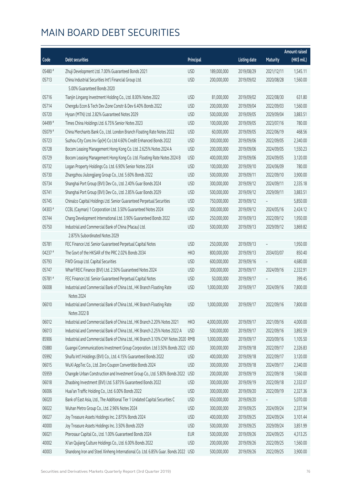|         |                                                                                   |            |               |                     |            | <b>Amount raised</b> |
|---------|-----------------------------------------------------------------------------------|------------|---------------|---------------------|------------|----------------------|
| Code    | <b>Debt securities</b>                                                            | Principal  |               | <b>Listing date</b> | Maturity   | (HK\$ mil.)          |
| 05480 # | Zhuji Development Ltd. 7.00% Guaranteed Bonds 2021                                | <b>USD</b> | 189,000,000   | 2019/08/29          | 2021/12/11 | 1,545.11             |
| 05713   | China Industrial Securities Int'l Financial Group Ltd.                            | <b>USD</b> | 200,000,000   | 2019/09/02          | 2020/08/28 | 1,560.00             |
|         | 5.00% Guaranteed Bonds 2020                                                       |            |               |                     |            |                      |
| 05716   | Tianjin Lingang Investment Holding Co., Ltd. 8.00% Notes 2022                     | <b>USD</b> | 81,000,000    | 2019/09/02          | 2022/08/30 | 631.80               |
| 05714   | Chengdu Econ & Tech Dev Zone Constr & Dev 6.40% Bonds 2022                        | <b>USD</b> | 200,000,000   | 2019/09/04          | 2022/09/03 | 1,560.00             |
| 05720   | Hysan (MTN) Ltd. 2.82% Guaranteed Notes 2029                                      | <b>USD</b> | 500,000,000   | 2019/09/05          | 2029/09/04 | 3,883.51             |
| 04499#  | Times China Holdings Ltd. 6.75% Senior Notes 2023                                 | <b>USD</b> | 100,000,000   | 2019/09/05          | 2023/07/16 | 780.00               |
| 05079 # | China Merchants Bank Co., Ltd. London Branch Floating Rate Notes 2022             | <b>USD</b> | 60,000,000    | 2019/09/05          | 2022/06/19 | 468.56               |
| 05723   | Suzhou City Cons Inv Gp(H) Co Ltd 4.60% Credit Enhanced Bonds 2022                | <b>USD</b> | 300,000,000   | 2019/09/06          | 2022/09/05 | 2,340.00             |
| 05728   | Bocom Leasing Management Hong Kong Co. Ltd. 2.625% Notes 2024 A                   | <b>USD</b> | 200,000,000   | 2019/09/06          | 2024/09/05 | 1,550.23             |
| 05729   | Bocom Leasing Management Hong Kong Co. Ltd. Floating Rate Notes 2024 B            | <b>USD</b> | 400,000,000   | 2019/09/06          | 2024/09/05 | 3,120.00             |
| 05732   | Logan Property Holdings Co. Ltd. 6.90% Senior Notes 2024                          | <b>USD</b> | 100,000,000   | 2019/09/10          | 2024/06/09 | 780.00               |
| 05730   | Zhangzhou Jiulongjiang Group Co., Ltd. 5.60% Bonds 2022                           | <b>USD</b> | 500,000,000   | 2019/09/11          | 2022/09/10 | 3,900.00             |
| 05734   | Shanghai Port Group (BVI) Dev Co., Ltd. 2.40% Guar Bonds 2024                     | <b>USD</b> | 300,000,000   | 2019/09/12          | 2024/09/11 | 2,335.18             |
| 05741   | Shanghai Port Group (BVI) Dev Co., Ltd. 2.85% Guar Bonds 2029                     | <b>USD</b> | 500,000,000   | 2019/09/12          | 2029/09/11 | 3,883.51             |
| 05745   | Chinalco Capital Holdings Ltd. Senior Guaranteed Perpetual Securities             | <b>USD</b> | 750,000,000   | 2019/09/12          |            | 5,850.00             |
| 04303 # | CCBL (Cayman) 1 Corporation Ltd. 3.50% Guaranteed Notes 2024                      | <b>USD</b> | 300,000,000   | 2019/09/12          | 2024/05/16 | 2,424.12             |
| 05744   | Chang Development International Ltd. 3.90% Guaranteed Bonds 2022                  | <b>USD</b> | 250,000,000   | 2019/09/13          | 2022/09/12 | 1,950.00             |
| 05750   | Industrial and Commercial Bank of China (Macau) Ltd.                              | <b>USD</b> | 500,000,000   | 2019/09/13          | 2029/09/12 | 3,869.82             |
|         | 2.875% Subordinated Notes 2029                                                    |            |               |                     |            |                      |
| 05781   | FEC Finance Ltd. Senior Guaranteed Perpetual Capital Notes                        | <b>USD</b> | 250,000,000   | 2019/09/13          |            | 1,950.00             |
| 04237#  | The Govt of the HKSAR of the PRC 2.02% Bonds 2034                                 | <b>HKD</b> | 800,000,000   | 2019/09/13          | 2034/03/07 | 850.40               |
| 05793   | FWD Group Ltd. Capital Securities                                                 | <b>USD</b> | 600,000,000   | 2019/09/16          |            | 4,680.00             |
| 05747   | Wharf REIC Finance (BVI) Ltd. 2.50% Guaranteed Notes 2024                         | <b>USD</b> | 300,000,000   | 2019/09/17          | 2024/09/16 | 2,332.91             |
| 05781#  | FEC Finance Ltd. Senior Guaranteed Perpetual Capital Notes                        | <b>USD</b> | 50,000,000    | 2019/09/17          |            | 399.45               |
| 06008   | Industrial and Commercial Bank of China Ltd., HK Branch Floating Rate             | <b>USD</b> | 1,000,000,000 | 2019/09/17          | 2024/09/16 | 7,800.00             |
|         | Notes 2024                                                                        |            |               |                     |            |                      |
| 06010   | Industrial and Commercial Bank of China Ltd., HK Branch Floating Rate             | <b>USD</b> | 1,000,000,000 | 2019/09/17          | 2022/09/16 | 7,800.00             |
|         | Notes 2022 B                                                                      |            |               |                     |            |                      |
| 06012   | Industrial and Commercial Bank of China Ltd., HK Branch 2.20% Notes 2021          | <b>HKD</b> | 4,000,000,000 | 2019/09/17          | 2021/09/16 | 4,000.00             |
| 06013   | Industrial and Commercial Bank of China Ltd., HK Branch 2.25% Notes 2022 A        | <b>USD</b> | 500,000,000   | 2019/09/17          | 2022/09/16 | 3,892.59             |
| 85906   | Industrial and Commercial Bank of China Ltd., HK Branch 3.10% CNY Notes 2020 RMB  |            | 1,000,000,000 | 2019/09/17          | 2020/09/16 | 1,105.50             |
| 05880   | Guangxi Communications Investment Group Corporation. Ltd 3.50% Bonds 2022 USD     |            | 300,000,000   | 2019/09/18          | 2022/09/17 | 2,326.83             |
| 05992   | Shuifa Int'l Holdings (BVI) Co., Ltd. 4.15% Guaranteed Bonds 2022                 | <b>USD</b> | 400,000,000   | 2019/09/18          | 2022/09/17 | 3,120.00             |
| 06015   | WuXi AppTec Co., Ltd. Zero Coupon Convertible Bonds 2024                          | <b>USD</b> | 300,000,000   | 2019/09/18          | 2024/09/17 | 2,340.00             |
| 05959   | Changde Urban Construction and Investment Group Co., Ltd. 5.80% Bonds 2022        | <b>USD</b> | 200,000,000   | 2019/09/19          | 2022/09/18 | 1,560.00             |
| 06018   | Zhaobing Investment (BVI) Ltd. 5.875% Guaranteed Bonds 2022                       | <b>USD</b> | 300,000,000   | 2019/09/19          | 2022/09/18 | 2,332.07             |
| 06006   | Huai'an Traffic Holding Co., Ltd. 6.00% Bonds 2022                                | <b>USD</b> | 300,000,000   | 2019/09/20          | 2022/09/19 | 2,327.36             |
| 06020   | Bank of East Asia, Ltd., The Additional Tier 1 Undated Capital Securities C       | <b>USD</b> | 650,000,000   | 2019/09/20          |            | 5,070.00             |
| 06022   | Wuhan Metro Group Co., Ltd. 2.96% Notes 2024                                      | <b>USD</b> | 300,000,000   | 2019/09/25          | 2024/09/24 | 2,337.94             |
| 06027   | Joy Treasure Assets Holdings Inc. 2.875% Bonds 2024                               | <b>USD</b> | 400,000,000   | 2019/09/25          | 2024/09/24 | 3,101.44             |
| 40000   | Joy Treasure Assets Holdings Inc. 3.50% Bonds 2029                                | <b>USD</b> | 500,000,000   | 2019/09/25          | 2029/09/24 | 3,851.99             |
| 06021   | Pterosaur Capital Co., Ltd. 1.00% Guaranteed Bonds 2024                           | <b>EUR</b> | 500,000,000   | 2019/09/26          | 2024/09/25 | 4,313.25             |
| 40002   | Xi'an Qujiang Culture Holdings Co., Ltd. 6.00% Bonds 2022                         | <b>USD</b> | 200,000,000   | 2019/09/26          | 2022/09/25 | 1,560.00             |
| 40003   | Shandong Iron and Steel Xinheng International Co. Ltd. 6.85% Guar. Bonds 2022 USD |            | 500,000,000   | 2019/09/26          | 2022/09/25 | 3,900.00             |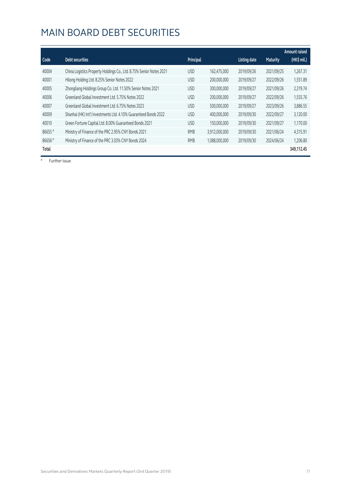|        |                                                                     |            |               |                     |                 | Amount raised |
|--------|---------------------------------------------------------------------|------------|---------------|---------------------|-----------------|---------------|
| Code   | Debt securities                                                     | Principal  |               | <b>Listing date</b> | <b>Maturity</b> | (HK\$ mil.)   |
| 40004  | China Logistics Property Holdings Co., Ltd. 8.75% Senior Notes 2021 | <b>USD</b> | 162,475,000   | 2019/09/26          | 2021/09/25      | 1,267.31      |
| 40001  | Hilong Holding Ltd. 8.25% Senior Notes 2022                         | <b>USD</b> | 200,000,000   | 2019/09/27          | 2022/09/26      | 1,551.89      |
| 40005  | Zhongliang Holdings Group Co. Ltd. 11.50% Senior Notes 2021         | <b>USD</b> | 300,000,000   | 2019/09/27          | 2021/09/26      | 2,319.74      |
| 40006  | Greenland Global Investment Ltd. 5.75% Notes 2022                   | <b>USD</b> | 200,000,000   | 2019/09/27          | 2022/09/26      | 1,555.76      |
| 40007  | Greenland Global Investment Ltd. 6.75% Notes 2023                   | <b>USD</b> | 500,000,000   | 2019/09/27          | 2023/09/26      | 3,886.55      |
| 40009  | Shanhai (HK) Int'l Investments Ltd. 4.10% Guaranteed Bonds 2022     | <b>USD</b> | 400,000,000   | 2019/09/30          | 2022/09/27      | 3,120.00      |
| 40010  | Green Fortune Capital Ltd. 8.00% Guaranteed Bonds 2021              | <b>USD</b> | 150,000,000   | 2019/09/30          | 2021/09/27      | 1,170.00      |
| 86655# | Ministry of Finance of the PRC 2.95% CNY Bonds 2021                 | <b>RMB</b> | 3,912,000,000 | 2019/09/30          | 2021/06/24      | 4,315.91      |
| 86656# | Ministry of Finance of the PRC 3.03% CNY Bonds 2024                 | <b>RMB</b> | 1,088,000,000 | 2019/09/30          | 2024/06/24      | 1,206.80      |
| Total  |                                                                     |            |               |                     |                 | 349,112.45    |

# Further issue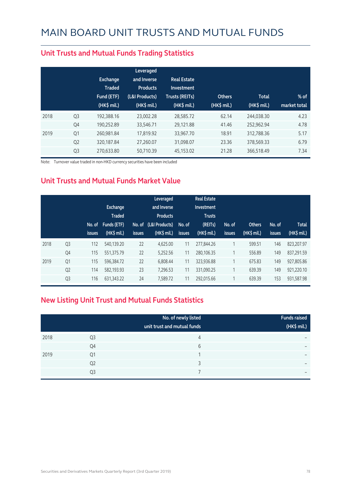|      |                | <b>Exchange</b><br><b>Traded</b><br>Fund (ETF)<br>$(HK\$ mil.) | Leveraged<br>and Inverse<br><b>Products</b><br>(L&I Products)<br>(HK\$ mil.) | <b>Real Estate</b><br>Investment<br><b>Trusts (REITs)</b><br>(HK\$ mil.) | <b>Others</b><br>(HK\$ mil.) | <b>Total</b><br>(HK\$ mil.) | $%$ of<br>market total |
|------|----------------|----------------------------------------------------------------|------------------------------------------------------------------------------|--------------------------------------------------------------------------|------------------------------|-----------------------------|------------------------|
| 2018 | Q <sub>3</sub> | 192.388.16                                                     | 23.002.28                                                                    | 28,585.72                                                                | 62.14                        | 244,038.30                  | 4.23                   |
|      | Q4             | 190.252.89                                                     | 33,546.71                                                                    | 29,121.88                                                                | 41.46                        | 252.962.94                  | 4.78                   |
| 2019 | Q1             | 260,981.84                                                     | 17,819.92                                                                    | 33,967.70                                                                | 18.91                        | 312,788.36                  | 5.17                   |
|      | Q <sub>2</sub> | 320,187.84                                                     | 27,260.07                                                                    | 31,098.07                                                                | 23.36                        | 378,569.33                  | 6.79                   |
|      | Q <sub>3</sub> | 270,633.80                                                     | 50,710.39                                                                    | 45,153.02                                                                | 21.28                        | 366,518.49                  | 7.34                   |

#### **Unit Trusts and Mutual Funds Trading Statistics**

Note: Turnover value traded in non-HKD currency securities have been included

#### **Unit Trusts and Mutual Funds Market Value**

|      |                | No. of<br><b>issues</b> | <b>Exchange</b><br><b>Traded</b><br>Funds (ETF)<br>$(HK$$ mil.) | No. of<br><b>issues</b> | Leveraged<br>and Inverse<br><b>Products</b><br>(L&I Products)<br>$(HK$$ mil.) | No. of<br><b>issues</b> | <b>Real Estate</b><br>Investment<br><b>Trusts</b><br>(REITs)<br>(HK\$ mil.) | No. of<br><b>issues</b> | <b>Others</b><br>(HK\$ mil.) | No. of<br>issues | <b>Total</b><br>(HK\$ mil.) |
|------|----------------|-------------------------|-----------------------------------------------------------------|-------------------------|-------------------------------------------------------------------------------|-------------------------|-----------------------------------------------------------------------------|-------------------------|------------------------------|------------------|-----------------------------|
| 2018 | Q <sub>3</sub> | 112                     | 540.139.20                                                      | 22                      | 4.625.00                                                                      | 11                      | 277,844.26                                                                  | 1                       | 599.51                       | 146              | 823,207.97                  |
|      | Q4             | 115                     | 551,375.79                                                      | 22                      | 5,252.56                                                                      | 11                      | 280,106.35                                                                  |                         | 556.89                       | 149              | 837,291.59                  |
| 2019 | Q1             | 115                     | 596,384.72                                                      | 22                      | 6.808.44                                                                      | 11                      | 323,936.88                                                                  | 1                       | 675.83                       | 149              | 927,805.86                  |
|      | Q <sub>2</sub> | 114                     | 582.193.93                                                      | 23                      | 7,296.53                                                                      | 11                      | 331,090.25                                                                  | 1                       | 639.39                       | 149              | 921.220.10                  |
|      | Q <sub>3</sub> | 116                     | 631, 343. 22                                                    | 24                      | 7,589.72                                                                      | 11                      | 292.015.66                                                                  |                         | 639.39                       | 153              | 931,587.98                  |

#### **New Listing Unit Trust and Mutual Funds Statistics**

|      |                | No. of newly listed<br>unit trust and mutual funds | <b>Funds raised</b><br>(HK\$ mil.) |
|------|----------------|----------------------------------------------------|------------------------------------|
| 2018 | Q3             | 4                                                  | -                                  |
|      | Q4             | 6                                                  | $\overline{\phantom{0}}$           |
| 2019 | Q1             |                                                    | -                                  |
|      | Q <sub>2</sub> | っ                                                  | $\overline{\phantom{0}}$           |
|      | Q <sub>3</sub> |                                                    | $\overline{\phantom{0}}$           |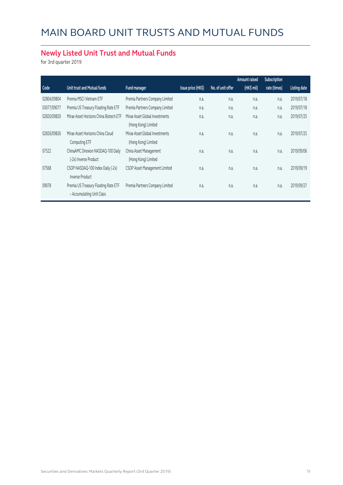#### **Newly Listed Unit Trust and Mutual Funds**

for 3rd quarter 2019

|             |                                        |                                 |                    |                   | Amount raised | Subscription |                     |
|-------------|----------------------------------------|---------------------------------|--------------------|-------------------|---------------|--------------|---------------------|
| Code        | Unit trust and Mutual funds            | Fund manager                    | Issue price (HK\$) | No. of unit offer | (HK\$ mil)    | rate (times) | <b>Listing date</b> |
| 02804/09804 | Premia MSCI Vietnam ETF                | Premia Partners Company Limited | n.a.               | n.a.              | n.a.          | n.a.         | 2019/07/18          |
| 03077/09077 | Premia US Treasury Floating Rate ETF   | Premia Partners Company Limited | n.a.               | n.a.              | n.a.          | n.a.         | 2019/07/18          |
| 02820/09820 | Mirae Asset Horizons China Biotech ETF | Mirae Asset Global Investments  | n.a.               | n.a.              | n.a.          | n.a.         | 2019/07/25          |
|             |                                        | (Hong Kong) Limited             |                    |                   |               |              |                     |
| 02826/09826 | Mirae Asset Horizons China Cloud       | Mirae Asset Global Investments  | n.a.               | n.a.              | n.a.          | n.a.         | 2019/07/25          |
|             | Computing ETF                          | (Hong Kong) Limited             |                    |                   |               |              |                     |
| 07522       | ChinaAMC Direxion NASDAQ-100 Daily     | China Asset Management          | n.a.               | n.a.              | n.a.          | n.a.         | 2019/09/06          |
|             | (-2x) Inverse Product                  | (Hong Kong) Limited             |                    |                   |               |              |                     |
| 07568       | CSOP NASDAQ-100 Index Daily (-2x)      | CSOP Asset Management Limited   | n.a.               | n.a.              | n.a.          | n.a.         | 2019/09/19          |
|             | <b>Inverse Product</b>                 |                                 |                    |                   |               |              |                     |
| 09078       | Premia US Treasury Floating Rate ETF   | Premia Partners Company Limited | n.a.               | n.a.              | n.a.          | n.a.         | 2019/09/27          |
|             | - Accumulating Unit Class              |                                 |                    |                   |               |              |                     |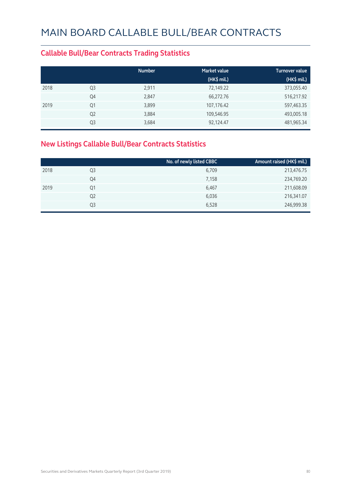#### **Callable Bull/Bear Contracts Trading Statistics**

|      |                | <b>Number</b> | <b>Market value</b> | <b>Turnover value</b> |
|------|----------------|---------------|---------------------|-----------------------|
|      |                |               | (HK\$ mil.)         | (HK\$ mil.)           |
| 2018 | Q <sub>3</sub> | 2,911         | 72,149.22           | 373,055.40            |
|      | Q4             | 2,847         | 66,272.76           | 516,217.92            |
| 2019 | Q1             | 3,899         | 107,176.42          | 597,463.35            |
|      | Q <sub>2</sub> | 3,884         | 109,546.95          | 493,005.18            |
|      | Q <sub>3</sub> | 3,684         | 92,124.47           | 481,965.34            |

#### **New Listings Callable Bull/Bear Contracts Statistics**

|                | No. of newly listed CBBC | Amount raised (HK\$ mil.) |
|----------------|--------------------------|---------------------------|
| Q3             | 6,709                    | 213,476.75                |
| Q4             | 7,158                    | 234,769.20                |
| Q1             | 6,467                    | 211,608.09                |
| Q <sub>2</sub> | 6,036                    | 216,341.07                |
| Q3             | 6,528                    | 246,999.38                |
|                |                          |                           |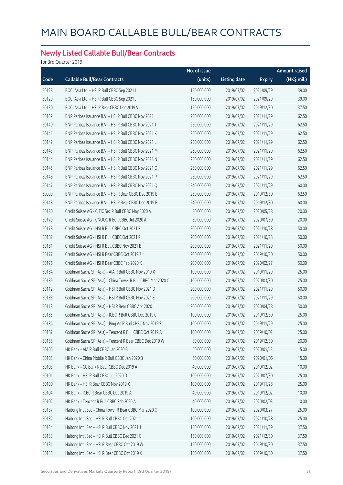#### **Newly Listed Callable Bull/Bear Contracts**

for 3rd Quarter 2019

|       |                                                              | No. of issue |                     |               | <b>Amount raised</b> |
|-------|--------------------------------------------------------------|--------------|---------------------|---------------|----------------------|
| Code  | <b>Callable Bull/Bear Contracts</b>                          | (units)      | <b>Listing date</b> | <b>Expiry</b> | (HK\$ mil.)          |
| 50128 | BOCI Asia Ltd. - HSI R Bull CBBC Sep 2021 I                  | 150,000,000  | 2019/07/02          | 2021/09/29    | 39.00                |
| 50129 | BOCI Asia Ltd. - HSI R Bull CBBC Sep 2021 J                  | 150,000,000  | 2019/07/02          | 2021/09/29    | 39.00                |
| 50130 | BOCI Asia Ltd. - HSI R Bear CBBC Dec 2019 V                  | 150,000,000  | 2019/07/02          | 2019/12/30    | 37.50                |
| 50139 | BNP Paribas Issuance B.V. - HSI R Bull CBBC Nov 2021 I       | 250,000,000  | 2019/07/02          | 2021/11/29    | 62.50                |
| 50140 | BNP Paribas Issuance B.V. - HSI R Bull CBBC Nov 2021 J       | 250,000,000  | 2019/07/02          | 2021/11/29    | 62.50                |
| 50141 | BNP Paribas Issuance B.V. - HSI R Bull CBBC Nov 2021 K       | 250,000,000  | 2019/07/02          | 2021/11/29    | 62.50                |
| 50142 | BNP Paribas Issuance B.V. - HSI R Bull CBBC Nov 2021 L       | 250,000,000  | 2019/07/02          | 2021/11/29    | 62.50                |
| 50143 | BNP Paribas Issuance B.V. - HSI R Bull CBBC Nov 2021 M       | 250,000,000  | 2019/07/02          | 2021/11/29    | 62.50                |
| 50144 | BNP Paribas Issuance B.V. - HSI R Bull CBBC Nov 2021 N       | 250,000,000  | 2019/07/02          | 2021/11/29    | 62.50                |
| 50145 | BNP Paribas Issuance B.V. - HSI R Bull CBBC Nov 2021 O       | 250,000,000  | 2019/07/02          | 2021/11/29    | 62.50                |
| 50146 | BNP Paribas Issuance B.V. - HSI R Bull CBBC Nov 2021 P       | 250,000,000  | 2019/07/02          | 2021/11/29    | 62.50                |
| 50147 | BNP Paribas Issuance B.V. - HSI R Bull CBBC Nov 2021 Q       | 240,000,000  | 2019/07/02          | 2021/11/29    | 60.00                |
| 50099 | BNP Paribas Issuance B.V. - HSI R Bear CBBC Dec 2019 E       | 250,000,000  | 2019/07/02          | 2019/12/30    | 62.50                |
| 50148 | BNP Paribas Issuance B.V. - HSI R Bear CBBC Dec 2019 F       | 240,000,000  | 2019/07/02          | 2019/12/30    | 60.00                |
| 50180 | Credit Suisse AG - CITIC Sec R Bull CBBC May 2020 A          | 80,000,000   | 2019/07/02          | 2020/05/28    | 20.00                |
| 50179 | Credit Suisse AG - CNOOC R Bull CBBC Jul 2020 A              | 80,000,000   | 2019/07/02          | 2020/07/30    | 20.00                |
| 50178 | Credit Suisse AG - HSI R Bull CBBC Oct 2021 F                | 200,000,000  | 2019/07/02          | 2021/10/28    | 50.00                |
| 50182 | Credit Suisse AG - HSI R Bull CBBC Oct 2021 P                | 200,000,000  | 2019/07/02          | 2021/10/28    | 50.00                |
| 50181 | Credit Suisse AG - HSI R Bull CBBC Nov 2021 B                | 200,000,000  | 2019/07/02          | 2021/11/29    | 50.00                |
| 50177 | Credit Suisse AG - HSI R Bear CBBC Oct 2019 Z                | 200,000,000  | 2019/07/02          | 2019/10/30    | 50.00                |
| 50176 | Credit Suisse AG - HSI R Bear CBBC Feb 2020 K                | 200,000,000  | 2019/07/02          | 2020/02/27    | 50.00                |
| 50184 | Goldman Sachs SP (Asia) - AIA R Bull CBBC Nov 2019 X         | 100,000,000  | 2019/07/02          | 2019/11/29    | 25.00                |
| 50189 | Goldman Sachs SP (Asia) - China Tower R Bull CBBC Mar 2020 C | 100,000,000  | 2019/07/02          | 2020/03/30    | 25.00                |
| 50112 | Goldman Sachs SP (Asia) - HSI R Bull CBBC Nov 2021 D         | 200,000,000  | 2019/07/02          | 2021/11/29    | 50.00                |
| 50183 | Goldman Sachs SP (Asia) - HSI R Bull CBBC Nov 2021 E         | 200,000,000  | 2019/07/02          | 2021/11/29    | 50.00                |
| 50113 | Goldman Sachs SP (Asia) - HSI R Bear CBBC Apr 2020 J         | 200,000,000  | 2019/07/02          | 2020/04/28    | 50.00                |
| 50185 | Goldman Sachs SP (Asia) - ICBC R Bull CBBC Dec 2019 C        | 100,000,000  | 2019/07/02          | 2019/12/30    | 25.00                |
| 50186 | Goldman Sachs SP (Asia) - Ping An R Bull CBBC Nov 2019 S     | 100,000,000  | 2019/07/02          | 2019/11/29    | 25.00                |
| 50187 | Goldman Sachs SP (Asia) - Tencent R Bull CBBC Oct 2019 A     | 100,000,000  | 2019/07/02          | 2019/10/02    | 25.00                |
| 50188 | Goldman Sachs SP (Asia) - Tencent R Bear CBBC Dec 2019 W     | 80,000,000   | 2019/07/02          | 2019/12/30    | 20.00                |
| 50106 | HK Bank - AIA R Bull CBBC Jan 2020 B                         | 60,000,000   | 2019/07/02          | 2020/01/13    | 15.00                |
| 50105 | HK Bank - China Mobile R Bull CBBC Jan 2020 B                | 60,000,000   | 2019/07/02          | 2020/01/06    | 15.00                |
| 50103 | HK Bank - CC Bank R Bear CBBC Dec 2019 A                     | 40,000,000   | 2019/07/02          | 2019/12/02    | 10.00                |
| 50101 | HK Bank - HSI R Bull CBBC Jul 2020 D                         | 100,000,000  | 2019/07/02          | 2020/07/30    | 25.00                |
| 50100 | HK Bank - HSI R Bear CBBC Nov 2019 X                         | 100,000,000  | 2019/07/02          | 2019/11/28    | 25.00                |
| 50104 | HK Bank - ICBC R Bear CBBC Dec 2019 A                        | 40,000,000   | 2019/07/02          | 2019/12/02    | 10.00                |
| 50102 | HK Bank - Tencent R Bull CBBC Feb 2020 A                     | 40,000,000   | 2019/07/02          | 2020/02/03    | 10.00                |
| 50137 | Haitong Int'l Sec - China Tower R Bear CBBC Mar 2020 C       | 100,000,000  | 2019/07/02          | 2020/03/27    | 25.00                |
| 50132 | Haitong Int'l Sec - HSI R Bull CBBC Oct 2021 C               | 100,000,000  | 2019/07/02          | 2021/10/28    | 25.00                |
| 50134 | Haitong Int'l Sec - HSI R Bull CBBC Nov 2021 J               | 150,000,000  | 2019/07/02          | 2021/11/29    | 37.50                |
| 50133 | Haitong Int'l Sec - HSI R Bull CBBC Dec 2021 G               | 150,000,000  | 2019/07/02          | 2021/12/30    | 37.50                |
| 50131 | Haitong Int'l Sec - HSI R Bear CBBC Oct 2019 W               | 150,000,000  | 2019/07/02          | 2019/10/30    | 37.50                |
| 50135 | Haitong Int'l Sec - HSI R Bear CBBC Oct 2019 X               | 150,000,000  | 2019/07/02          | 2019/10/30    | 37.50                |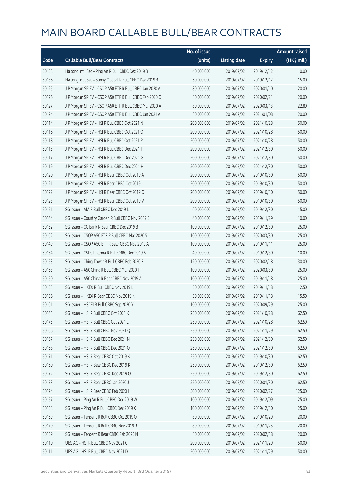|       |                                                          | No. of issue |                     |               | <b>Amount raised</b> |
|-------|----------------------------------------------------------|--------------|---------------------|---------------|----------------------|
| Code  | <b>Callable Bull/Bear Contracts</b>                      | (units)      | <b>Listing date</b> | <b>Expiry</b> | (HK\$ mil.)          |
| 50138 | Haitong Int'l Sec - Ping An R Bull CBBC Dec 2019 B       | 40,000,000   | 2019/07/02          | 2019/12/12    | 10.00                |
| 50136 | Haitong Int'l Sec - Sunny Optical R Bull CBBC Dec 2019 B | 60,000,000   | 2019/07/02          | 2019/12/12    | 15.00                |
| 50125 | J P Morgan SP BV - CSOP A50 ETF R Bull CBBC Jan 2020 A   | 80,000,000   | 2019/07/02          | 2020/01/10    | 20.00                |
| 50126 | J P Morgan SP BV - CSOP A50 ETF R Bull CBBC Feb 2020 C   | 80,000,000   | 2019/07/02          | 2020/02/21    | 20.00                |
| 50127 | J P Morgan SP BV - CSOP A50 ETF R Bull CBBC Mar 2020 A   | 80,000,000   | 2019/07/02          | 2020/03/13    | 22.80                |
| 50124 | J P Morgan SP BV - CSOP A50 ETF R Bull CBBC Jan 2021 A   | 80,000,000   | 2019/07/02          | 2021/01/08    | 20.00                |
| 50114 | J P Morgan SP BV - HSI R Bull CBBC Oct 2021 N            | 200,000,000  | 2019/07/02          | 2021/10/28    | 50.00                |
| 50116 | J P Morgan SP BV - HSI R Bull CBBC Oct 2021 O            | 200,000,000  | 2019/07/02          | 2021/10/28    | 50.00                |
| 50118 | J P Morgan SP BV - HSI R Bull CBBC Oct 2021 R            | 200,000,000  | 2019/07/02          | 2021/10/28    | 50.00                |
| 50115 | J P Morgan SP BV - HSI R Bull CBBC Dec 2021 F            | 200,000,000  | 2019/07/02          | 2021/12/30    | 50.00                |
| 50117 | J P Morgan SP BV - HSI R Bull CBBC Dec 2021 G            | 200,000,000  | 2019/07/02          | 2021/12/30    | 50.00                |
| 50119 | J P Morgan SP BV - HSI R Bull CBBC Dec 2021 H            | 200,000,000  | 2019/07/02          | 2021/12/30    | 50.00                |
| 50120 | J P Morgan SP BV - HSI R Bear CBBC Oct 2019 A            | 200,000,000  | 2019/07/02          | 2019/10/30    | 50.00                |
| 50121 | JP Morgan SP BV - HSIR Bear CBBC Oct 2019 L              | 200,000,000  | 2019/07/02          | 2019/10/30    | 50.00                |
| 50122 | J P Morgan SP BV - HSI R Bear CBBC Oct 2019 Q            | 200,000,000  | 2019/07/02          | 2019/10/30    | 50.00                |
| 50123 | JP Morgan SP BV - HSIR Bear CBBC Oct 2019 V              | 200,000,000  | 2019/07/02          | 2019/10/30    | 50.00                |
| 50151 | SG Issuer - AIA R Bull CBBC Dec 2019 L                   | 60,000,000   | 2019/07/02          | 2019/12/30    | 15.00                |
| 50164 | SG Issuer - Country Garden R Bull CBBC Nov 2019 E        | 40,000,000   | 2019/07/02          | 2019/11/29    | 10.00                |
| 50152 | SG Issuer - CC Bank R Bear CBBC Dec 2019 B               | 100,000,000  | 2019/07/02          | 2019/12/30    | 25.00                |
| 50162 | SG Issuer - CSOP A50 ETF R Bull CBBC Mar 2020 S          | 100,000,000  | 2019/07/02          | 2020/03/30    | 25.00                |
| 50149 | SG Issuer - CSOP A50 ETF R Bear CBBC Nov 2019 A          | 100,000,000  | 2019/07/02          | 2019/11/11    | 25.00                |
| 50154 | SG Issuer - CSPC Pharma R Bull CBBC Dec 2019 A           | 40,000,000   | 2019/07/02          | 2019/12/30    | 10.00                |
| 50153 | SG Issuer - China Tower R Bull CBBC Feb 2020 F           | 120,000,000  | 2019/07/02          | 2020/02/18    | 30.00                |
| 50163 | SG Issuer - A50 China R Bull CBBC Mar 2020 I             | 100,000,000  | 2019/07/02          | 2020/03/30    | 25.00                |
| 50150 | SG Issuer - A50 China R Bear CBBC Nov 2019 A             | 100,000,000  | 2019/07/02          | 2019/11/18    | 25.00                |
| 50155 | SG Issuer - HKEX R Bull CBBC Nov 2019 L                  | 50,000,000   | 2019/07/02          | 2019/11/18    | 12.50                |
| 50156 | SG Issuer - HKEX R Bear CBBC Nov 2019 K                  | 50,000,000   | 2019/07/02          | 2019/11/18    | 15.50                |
| 50161 | SG Issuer - HSCEI R Bull CBBC Sep 2020 Y                 | 100,000,000  | 2019/07/02          | 2020/09/29    | 25.00                |
| 50165 | SG Issuer - HSI R Bull CBBC Oct 2021 K                   | 250,000,000  | 2019/07/02          | 2021/10/28    | 62.50                |
| 50175 | SG Issuer - HSI R Bull CBBC Oct 2021 L                   | 250,000,000  | 2019/07/02          | 2021/10/28    | 62.50                |
| 50166 | SG Issuer - HSI R Bull CBBC Nov 2021 Q                   | 250,000,000  | 2019/07/02          | 2021/11/29    | 62.50                |
| 50167 | SG Issuer - HSI R Bull CBBC Dec 2021 N                   | 250,000,000  | 2019/07/02          | 2021/12/30    | 62.50                |
| 50168 | SG Issuer - HSI R Bull CBBC Dec 2021 O                   | 250,000,000  | 2019/07/02          | 2021/12/30    | 62.50                |
| 50171 | SG Issuer - HSI R Bear CBBC Oct 2019 K                   | 250,000,000  | 2019/07/02          | 2019/10/30    | 62.50                |
| 50160 | SG Issuer - HSI R Bear CBBC Dec 2019 K                   | 250,000,000  | 2019/07/02          | 2019/12/30    | 62.50                |
| 50172 | SG Issuer - HSI R Bear CBBC Dec 2019 O                   | 250,000,000  | 2019/07/02          | 2019/12/30    | 62.50                |
| 50173 | SG Issuer - HSI R Bear CBBC Jan 2020 J                   | 250,000,000  | 2019/07/02          | 2020/01/30    | 62.50                |
| 50174 | SG Issuer - HSI R Bear CBBC Feb 2020 H                   | 500,000,000  | 2019/07/02          | 2020/02/27    | 125.00               |
| 50157 | SG Issuer - Ping An R Bull CBBC Dec 2019 W               | 100,000,000  | 2019/07/02          | 2019/12/09    | 25.00                |
| 50158 | SG Issuer - Ping An R Bull CBBC Dec 2019 X               | 100,000,000  | 2019/07/02          | 2019/12/30    | 25.00                |
| 50169 | SG Issuer - Tencent R Bull CBBC Oct 2019 O               | 80,000,000   | 2019/07/02          | 2019/10/29    | 20.00                |
| 50170 | SG Issuer - Tencent R Bull CBBC Nov 2019 R               | 80,000,000   | 2019/07/02          | 2019/11/25    | 20.00                |
| 50159 | SG Issuer - Tencent R Bear CBBC Feb 2020 N               | 80,000,000   | 2019/07/02          | 2020/02/18    | 20.00                |
| 50110 | UBS AG - HSI R Bull CBBC Nov 2021 C                      | 200,000,000  | 2019/07/02          | 2021/11/29    | 50.00                |
| 50111 | UBS AG - HSI R Bull CBBC Nov 2021 D                      | 200,000,000  | 2019/07/02          | 2021/11/29    | 50.00                |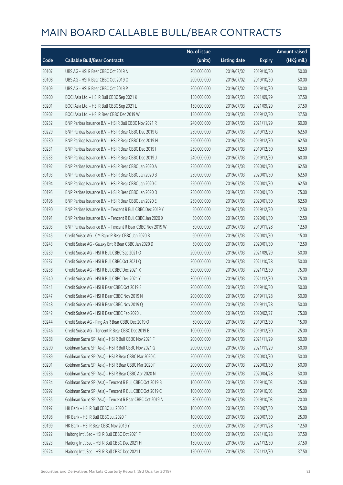|       |                                                            | No. of issue |                     |               | <b>Amount raised</b> |
|-------|------------------------------------------------------------|--------------|---------------------|---------------|----------------------|
| Code  | <b>Callable Bull/Bear Contracts</b>                        | (units)      | <b>Listing date</b> | <b>Expiry</b> | (HK\$ mil.)          |
| 50107 | UBS AG - HSI R Bear CBBC Oct 2019 N                        | 200,000,000  | 2019/07/02          | 2019/10/30    | 50.00                |
| 50108 | UBS AG - HSI R Bear CBBC Oct 2019 O                        | 200,000,000  | 2019/07/02          | 2019/10/30    | 50.00                |
| 50109 | UBS AG - HSI R Bear CBBC Oct 2019 P                        | 200,000,000  | 2019/07/02          | 2019/10/30    | 50.00                |
| 50200 | BOCI Asia Ltd. - HSI R Bull CBBC Sep 2021 K                | 150,000,000  | 2019/07/03          | 2021/09/29    | 37.50                |
| 50201 | BOCI Asia Ltd. - HSI R Bull CBBC Sep 2021 L                | 150,000,000  | 2019/07/03          | 2021/09/29    | 37.50                |
| 50202 | BOCI Asia Ltd. - HSI R Bear CBBC Dec 2019 W                | 150,000,000  | 2019/07/03          | 2019/12/30    | 37.50                |
| 50232 | BNP Paribas Issuance B.V. - HSI R Bull CBBC Nov 2021 R     | 240,000,000  | 2019/07/03          | 2021/11/29    | 60.00                |
| 50229 | BNP Paribas Issuance B.V. - HSI R Bear CBBC Dec 2019 G     | 250,000,000  | 2019/07/03          | 2019/12/30    | 62.50                |
| 50230 | BNP Paribas Issuance B.V. - HSI R Bear CBBC Dec 2019 H     | 250,000,000  | 2019/07/03          | 2019/12/30    | 62.50                |
| 50231 | BNP Paribas Issuance B.V. - HSI R Bear CBBC Dec 2019 I     | 250,000,000  | 2019/07/03          | 2019/12/30    | 62.50                |
| 50233 | BNP Paribas Issuance B.V. - HSI R Bear CBBC Dec 2019 J     | 240,000,000  | 2019/07/03          | 2019/12/30    | 60.00                |
| 50192 | BNP Paribas Issuance B.V. - HSI R Bear CBBC Jan 2020 A     | 250,000,000  | 2019/07/03          | 2020/01/30    | 62.50                |
| 50193 | BNP Paribas Issuance B.V. - HSI R Bear CBBC Jan 2020 B     | 250,000,000  | 2019/07/03          | 2020/01/30    | 62.50                |
| 50194 | BNP Paribas Issuance B.V. - HSI R Bear CBBC Jan 2020 C     | 250,000,000  | 2019/07/03          | 2020/01/30    | 62.50                |
| 50195 | BNP Paribas Issuance B.V. - HSI R Bear CBBC Jan 2020 D     | 250,000,000  | 2019/07/03          | 2020/01/30    | 75.00                |
| 50196 | BNP Paribas Issuance B.V. - HSI R Bear CBBC Jan 2020 E     | 250,000,000  | 2019/07/03          | 2020/01/30    | 62.50                |
| 50190 | BNP Paribas Issuance B.V. - Tencent R Bull CBBC Dec 2019 Y | 50,000,000   | 2019/07/03          | 2019/12/30    | 12.50                |
| 50191 | BNP Paribas Issuance B.V. - Tencent R Bull CBBC Jan 2020 X | 50,000,000   | 2019/07/03          | 2020/01/30    | 12.50                |
| 50203 | BNP Paribas Issuance B.V. - Tencent R Bear CBBC Nov 2019 W | 50,000,000   | 2019/07/03          | 2019/11/28    | 12.50                |
| 50245 | Credit Suisse AG - CM Bank R Bear CBBC Jan 2020 B          | 60,000,000   | 2019/07/03          | 2020/01/30    | 15.00                |
| 50243 | Credit Suisse AG - Galaxy Ent R Bear CBBC Jan 2020 D       | 50,000,000   | 2019/07/03          | 2020/01/30    | 12.50                |
| 50239 | Credit Suisse AG - HSI R Bull CBBC Sep 2021 O              | 200,000,000  | 2019/07/03          | 2021/09/29    | 50.00                |
| 50237 | Credit Suisse AG - HSI R Bull CBBC Oct 2021 Q              | 200,000,000  | 2019/07/03          | 2021/10/28    | 50.00                |
| 50238 | Credit Suisse AG - HSI R Bull CBBC Dec 2021 X              | 300,000,000  | 2019/07/03          | 2021/12/30    | 75.00                |
| 50240 | Credit Suisse AG - HSI R Bull CBBC Dec 2021 Y              | 300,000,000  | 2019/07/03          | 2021/12/30    | 75.00                |
| 50241 | Credit Suisse AG - HSI R Bear CBBC Oct 2019 E              | 200,000,000  | 2019/07/03          | 2019/10/30    | 50.00                |
| 50247 | Credit Suisse AG - HSI R Bear CBBC Nov 2019 N              | 200,000,000  | 2019/07/03          | 2019/11/28    | 50.00                |
| 50248 | Credit Suisse AG - HSI R Bear CBBC Nov 2019 O              | 200,000,000  | 2019/07/03          | 2019/11/28    | 50.00                |
| 50242 | Credit Suisse AG - HSI R Bear CBBC Feb 2020 L              | 300,000,000  | 2019/07/03          | 2020/02/27    | 75.00                |
| 50244 | Credit Suisse AG - Ping An R Bear CBBC Dec 2019 O          | 60,000,000   | 2019/07/03          | 2019/12/30    | 15.00                |
| 50246 | Credit Suisse AG - Tencent R Bear CBBC Dec 2019 B          | 100,000,000  | 2019/07/03          | 2019/12/30    | 25.00                |
| 50288 | Goldman Sachs SP (Asia) - HSI R Bull CBBC Nov 2021 F       | 200,000,000  | 2019/07/03          | 2021/11/29    | 50.00                |
| 50290 | Goldman Sachs SP (Asia) - HSI R Bull CBBC Nov 2021 G       | 200,000,000  | 2019/07/03          | 2021/11/29    | 50.00                |
| 50289 | Goldman Sachs SP (Asia) - HSI R Bear CBBC Mar 2020 C       | 200,000,000  | 2019/07/03          | 2020/03/30    | 50.00                |
| 50291 | Goldman Sachs SP (Asia) - HSI R Bear CBBC Mar 2020 F       | 200,000,000  | 2019/07/03          | 2020/03/30    | 50.00                |
| 50236 | Goldman Sachs SP (Asia) - HSI R Bear CBBC Apr 2020 N       | 200,000,000  | 2019/07/03          | 2020/04/28    | 50.00                |
| 50234 | Goldman Sachs SP (Asia) - Tencent R Bull CBBC Oct 2019 B   | 100,000,000  | 2019/07/03          | 2019/10/03    | 25.00                |
| 50292 | Goldman Sachs SP (Asia) - Tencent R Bull CBBC Oct 2019 C   | 100,000,000  | 2019/07/03          | 2019/10/03    | 25.00                |
| 50235 | Goldman Sachs SP (Asia) - Tencent R Bear CBBC Oct 2019 A   | 80,000,000   | 2019/07/03          | 2019/10/03    | 20.00                |
| 50197 | HK Bank - HSI R Bull CBBC Jul 2020 E                       | 100,000,000  | 2019/07/03          | 2020/07/30    | 25.00                |
| 50198 | HK Bank - HSI R Bull CBBC Jul 2020 F                       | 100,000,000  | 2019/07/03          | 2020/07/30    | 25.00                |
| 50199 | HK Bank - HSI R Bear CBBC Nov 2019 Y                       | 50,000,000   | 2019/07/03          | 2019/11/28    | 12.50                |
| 50222 | Haitong Int'l Sec - HSI R Bull CBBC Oct 2021 F             | 150,000,000  | 2019/07/03          | 2021/10/28    | 37.50                |
| 50223 | Haitong Int'l Sec - HSI R Bull CBBC Dec 2021 H             | 150,000,000  | 2019/07/03          | 2021/12/30    | 37.50                |
| 50224 | Haitong Int'l Sec - HSI R Bull CBBC Dec 2021 I             | 150,000,000  | 2019/07/03          | 2021/12/30    | 37.50                |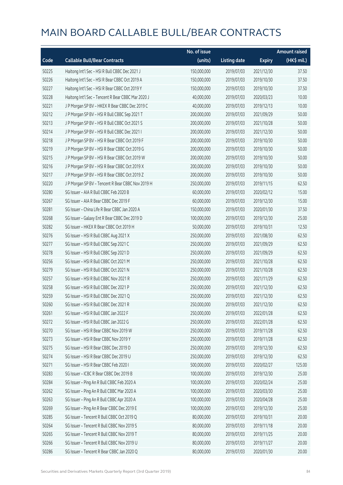|       |                                                    | No. of issue |                     |               | <b>Amount raised</b> |
|-------|----------------------------------------------------|--------------|---------------------|---------------|----------------------|
| Code  | <b>Callable Bull/Bear Contracts</b>                | (units)      | <b>Listing date</b> | <b>Expiry</b> | $(HK$$ mil.)         |
| 50225 | Haitong Int'l Sec - HSI R Bull CBBC Dec 2021 J     | 150,000,000  | 2019/07/03          | 2021/12/30    | 37.50                |
| 50226 | Haitong Int'l Sec - HSI R Bear CBBC Oct 2019 A     | 150,000,000  | 2019/07/03          | 2019/10/30    | 37.50                |
| 50227 | Haitong Int'l Sec - HSI R Bear CBBC Oct 2019 Y     | 150,000,000  | 2019/07/03          | 2019/10/30    | 37.50                |
| 50228 | Haitong Int'l Sec - Tencent R Bear CBBC Mar 2020 J | 40,000,000   | 2019/07/03          | 2020/03/23    | 10.00                |
| 50221 | J P Morgan SP BV - HKEX R Bear CBBC Dec 2019 C     | 40,000,000   | 2019/07/03          | 2019/12/13    | 10.00                |
| 50212 | J P Morgan SP BV - HSI R Bull CBBC Sep 2021 T      | 200,000,000  | 2019/07/03          | 2021/09/29    | 50.00                |
| 50213 | J P Morgan SP BV - HSI R Bull CBBC Oct 2021 S      | 200,000,000  | 2019/07/03          | 2021/10/28    | 50.00                |
| 50214 | J P Morgan SP BV - HSI R Bull CBBC Dec 2021 I      | 200,000,000  | 2019/07/03          | 2021/12/30    | 50.00                |
| 50218 | J P Morgan SP BV - HSI R Bear CBBC Oct 2019 F      | 200,000,000  | 2019/07/03          | 2019/10/30    | 50.00                |
| 50219 | J P Morgan SP BV - HSI R Bear CBBC Oct 2019 G      | 200,000,000  | 2019/07/03          | 2019/10/30    | 50.00                |
| 50215 | J P Morgan SP BV - HSI R Bear CBBC Oct 2019 W      | 200,000,000  | 2019/07/03          | 2019/10/30    | 50.00                |
| 50216 | J P Morgan SP BV - HSI R Bear CBBC Oct 2019 X      | 200,000,000  | 2019/07/03          | 2019/10/30    | 50.00                |
| 50217 | JP Morgan SP BV - HSIR Bear CBBC Oct 2019 Z        | 200,000,000  | 2019/07/03          | 2019/10/30    | 50.00                |
| 50220 | J P Morgan SP BV - Tencent R Bear CBBC Nov 2019 H  | 250,000,000  | 2019/07/03          | 2019/11/15    | 62.50                |
| 50280 | SG Issuer - AIA R Bull CBBC Feb 2020 B             | 60,000,000   | 2019/07/03          | 2020/02/12    | 15.00                |
| 50267 | SG Issuer - AIA R Bear CBBC Dec 2019 F             | 60,000,000   | 2019/07/03          | 2019/12/30    | 15.00                |
| 50281 | SG Issuer - China Life R Bear CBBC Jan 2020 A      | 150,000,000  | 2019/07/03          | 2020/01/30    | 37.50                |
| 50268 | SG Issuer - Galaxy Ent R Bear CBBC Dec 2019 D      | 100,000,000  | 2019/07/03          | 2019/12/30    | 25.00                |
| 50282 | SG Issuer - HKEX R Bear CBBC Oct 2019 H            | 50,000,000   | 2019/07/03          | 2019/10/31    | 12.50                |
| 50276 | SG Issuer - HSI R Bull CBBC Aug 2021 X             | 250,000,000  | 2019/07/03          | 2021/08/30    | 62.50                |
| 50277 | SG Issuer - HSI R Bull CBBC Sep 2021 C             | 250,000,000  | 2019/07/03          | 2021/09/29    | 62.50                |
| 50278 | SG Issuer - HSI R Bull CBBC Sep 2021 D             | 250,000,000  | 2019/07/03          | 2021/09/29    | 62.50                |
| 50256 | SG Issuer - HSI R Bull CBBC Oct 2021 M             | 250,000,000  | 2019/07/03          | 2021/10/28    | 62.50                |
| 50279 | SG Issuer - HSI R Bull CBBC Oct 2021 N             | 250,000,000  | 2019/07/03          | 2021/10/28    | 62.50                |
| 50257 | SG Issuer - HSI R Bull CBBC Nov 2021 R             | 250,000,000  | 2019/07/03          | 2021/11/29    | 62.50                |
| 50258 | SG Issuer - HSI R Bull CBBC Dec 2021 P             | 250,000,000  | 2019/07/03          | 2021/12/30    | 62.50                |
| 50259 | SG Issuer - HSI R Bull CBBC Dec 2021 Q             | 250,000,000  | 2019/07/03          | 2021/12/30    | 62.50                |
| 50260 | SG Issuer - HSI R Bull CBBC Dec 2021 R             | 250,000,000  | 2019/07/03          | 2021/12/30    | 62.50                |
| 50261 | SG Issuer - HSI R Bull CBBC Jan 2022 F             | 250,000,000  | 2019/07/03          | 2022/01/28    | 62.50                |
| 50272 | SG Issuer - HSI R Bull CBBC Jan 2022 G             | 250,000,000  | 2019/07/03          | 2022/01/28    | 62.50                |
| 50270 | SG Issuer - HSI R Bear CBBC Nov 2019 W             | 250,000,000  | 2019/07/03          | 2019/11/28    | 62.50                |
| 50273 | SG Issuer - HSI R Bear CBBC Nov 2019 Y             | 250,000,000  | 2019/07/03          | 2019/11/28    | 62.50                |
| 50275 | SG Issuer - HSI R Bear CBBC Dec 2019 D             | 250,000,000  | 2019/07/03          | 2019/12/30    | 62.50                |
| 50274 | SG Issuer - HSI R Bear CBBC Dec 2019 U             | 250,000,000  | 2019/07/03          | 2019/12/30    | 62.50                |
| 50271 | SG Issuer - HSI R Bear CBBC Feb 2020 I             | 500,000,000  | 2019/07/03          | 2020/02/27    | 125.00               |
| 50283 | SG Issuer - ICBC R Bear CBBC Dec 2019 B            | 100,000,000  | 2019/07/03          | 2019/12/30    | 25.00                |
| 50284 | SG Issuer - Ping An R Bull CBBC Feb 2020 A         | 100,000,000  | 2019/07/03          | 2020/02/24    | 25.00                |
| 50262 | SG Issuer - Ping An R Bull CBBC Mar 2020 A         | 100,000,000  | 2019/07/03          | 2020/03/30    | 25.00                |
| 50263 | SG Issuer - Ping An R Bull CBBC Apr 2020 A         | 100,000,000  | 2019/07/03          | 2020/04/28    | 25.00                |
| 50269 | SG Issuer - Ping An R Bear CBBC Dec 2019 E         | 100,000,000  | 2019/07/03          | 2019/12/30    | 25.00                |
| 50285 | SG Issuer - Tencent R Bull CBBC Oct 2019 Q         | 80,000,000   | 2019/07/03          | 2019/10/31    | 20.00                |
| 50264 | SG Issuer - Tencent R Bull CBBC Nov 2019 S         | 80,000,000   | 2019/07/03          | 2019/11/18    | 20.00                |
| 50265 | SG Issuer - Tencent R Bull CBBC Nov 2019 T         | 80,000,000   | 2019/07/03          | 2019/11/25    | 20.00                |
| 50266 | SG Issuer - Tencent R Bull CBBC Nov 2019 U         | 80,000,000   | 2019/07/03          | 2019/11/27    | 20.00                |
| 50286 | SG Issuer - Tencent R Bear CBBC Jan 2020 Q         | 80,000,000   | 2019/07/03          | 2020/01/30    | 20.00                |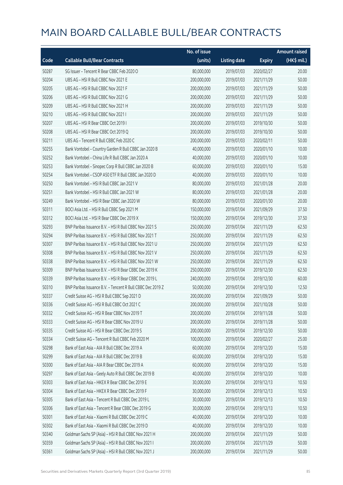|       |                                                            | No. of issue |                     |               | <b>Amount raised</b> |
|-------|------------------------------------------------------------|--------------|---------------------|---------------|----------------------|
| Code  | <b>Callable Bull/Bear Contracts</b>                        | (units)      | <b>Listing date</b> | <b>Expiry</b> | (HK\$ mil.)          |
| 50287 | SG Issuer - Tencent R Bear CBBC Feb 2020 O                 | 80,000,000   | 2019/07/03          | 2020/02/27    | 20.00                |
| 50204 | UBS AG - HSI R Bull CBBC Nov 2021 E                        | 200,000,000  | 2019/07/03          | 2021/11/29    | 50.00                |
| 50205 | UBS AG - HSI R Bull CBBC Nov 2021 F                        | 200,000,000  | 2019/07/03          | 2021/11/29    | 50.00                |
| 50206 | UBS AG - HSI R Bull CBBC Nov 2021 G                        | 200,000,000  | 2019/07/03          | 2021/11/29    | 50.00                |
| 50209 | UBS AG - HSI R Bull CBBC Nov 2021 H                        | 200,000,000  | 2019/07/03          | 2021/11/29    | 50.00                |
| 50210 | UBS AG - HSI R Bull CBBC Nov 2021 I                        | 200,000,000  | 2019/07/03          | 2021/11/29    | 50.00                |
| 50207 | UBS AG - HSI R Bear CBBC Oct 2019 I                        | 200,000,000  | 2019/07/03          | 2019/10/30    | 50.00                |
| 50208 | UBS AG - HSI R Bear CBBC Oct 2019 Q                        | 200,000,000  | 2019/07/03          | 2019/10/30    | 50.00                |
| 50211 | UBS AG - Tencent R Bull CBBC Feb 2020 C                    | 200,000,000  | 2019/07/03          | 2020/02/11    | 50.00                |
| 50255 | Bank Vontobel - Country Garden R Bull CBBC Jan 2020 B      | 40,000,000   | 2019/07/03          | 2020/01/10    | 10.00                |
| 50252 | Bank Vontobel - China Life R Bull CBBC Jan 2020 A          | 40,000,000   | 2019/07/03          | 2020/01/10    | 10.00                |
| 50253 | Bank Vontobel - Sinopec Corp R Bull CBBC Jan 2020 B        | 60,000,000   | 2019/07/03          | 2020/01/10    | 15.00                |
| 50254 | Bank Vontobel - CSOP A50 ETF R Bull CBBC Jan 2020 D        | 40,000,000   | 2019/07/03          | 2020/01/10    | 10.00                |
| 50250 | Bank Vontobel - HSI R Bull CBBC Jan 2021 V                 | 80,000,000   | 2019/07/03          | 2021/01/28    | 20.00                |
| 50251 | Bank Vontobel - HSI R Bull CBBC Jan 2021 W                 | 80,000,000   | 2019/07/03          | 2021/01/28    | 20.00                |
| 50249 | Bank Vontobel - HSI R Bear CBBC Jan 2020 W                 | 80,000,000   | 2019/07/03          | 2020/01/30    | 20.00                |
| 50311 | BOCI Asia Ltd. - HSI R Bull CBBC Sep 2021 M                | 150,000,000  | 2019/07/04          | 2021/09/29    | 37.50                |
| 50312 | BOCI Asia Ltd. - HSI R Bear CBBC Dec 2019 X                | 150,000,000  | 2019/07/04          | 2019/12/30    | 37.50                |
| 50293 | BNP Paribas Issuance B.V. - HSI R Bull CBBC Nov 2021 S     | 250,000,000  | 2019/07/04          | 2021/11/29    | 62.50                |
| 50294 | BNP Paribas Issuance B.V. - HSI R Bull CBBC Nov 2021 T     | 250,000,000  | 2019/07/04          | 2021/11/29    | 62.50                |
| 50307 | BNP Paribas Issuance B.V. - HSI R Bull CBBC Nov 2021 U     | 250,000,000  | 2019/07/04          | 2021/11/29    | 62.50                |
| 50308 | BNP Paribas Issuance B.V. - HSI R Bull CBBC Nov 2021 V     | 250,000,000  | 2019/07/04          | 2021/11/29    | 62.50                |
| 50338 | BNP Paribas Issuance B.V. - HSI R Bull CBBC Nov 2021 W     | 250,000,000  | 2019/07/04          | 2021/11/29    | 62.50                |
| 50309 | BNP Paribas Issuance B.V. - HSI R Bear CBBC Dec 2019 K     | 250,000,000  | 2019/07/04          | 2019/12/30    | 62.50                |
| 50339 | BNP Paribas Issuance B.V. - HSI R Bear CBBC Dec 2019 L     | 240,000,000  | 2019/07/04          | 2019/12/30    | 60.00                |
| 50310 | BNP Paribas Issuance B.V. - Tencent R Bull CBBC Dec 2019 Z | 50,000,000   | 2019/07/04          | 2019/12/30    | 12.50                |
| 50337 | Credit Suisse AG - HSI R Bull CBBC Sep 2021 D              | 200,000,000  | 2019/07/04          | 2021/09/29    | 50.00                |
| 50336 | Credit Suisse AG – HSI R Bull CBBC Oct 2021 C              | 200,000,000  | 2019/07/04          | 2021/10/28    | 50.00                |
| 50332 | Credit Suisse AG - HSI R Bear CBBC Nov 2019 T              | 200,000,000  | 2019/07/04          | 2019/11/28    | 50.00                |
| 50333 | Credit Suisse AG - HSI R Bear CBBC Nov 2019 U              | 200,000,000  | 2019/07/04          | 2019/11/28    | 50.00                |
| 50335 | Credit Suisse AG - HSI R Bear CBBC Dec 2019 S              | 200,000,000  | 2019/07/04          | 2019/12/30    | 50.00                |
| 50334 | Credit Suisse AG - Tencent R Bull CBBC Feb 2020 M          | 100,000,000  | 2019/07/04          | 2020/02/27    | 25.00                |
| 50298 | Bank of East Asia - AIA R Bull CBBC Dec 2019 A             | 60,000,000   | 2019/07/04          | 2019/12/20    | 15.00                |
| 50299 | Bank of East Asia - AIA R Bull CBBC Dec 2019 B             | 60,000,000   | 2019/07/04          | 2019/12/20    | 15.00                |
| 50300 | Bank of East Asia - AIA R Bear CBBC Dec 2019 A             | 60,000,000   | 2019/07/04          | 2019/12/20    | 15.00                |
| 50297 | Bank of East Asia - Geely Auto R Bull CBBC Dec 2019 B      | 40,000,000   | 2019/07/04          | 2019/12/20    | 10.00                |
| 50303 | Bank of East Asia - HKEX R Bear CBBC Dec 2019 E            | 30,000,000   | 2019/07/04          | 2019/12/13    | 10.50                |
| 50304 | Bank of East Asia - HKEX R Bear CBBC Dec 2019 F            | 30,000,000   | 2019/07/04          | 2019/12/13    | 10.50                |
| 50305 | Bank of East Asia - Tencent R Bull CBBC Dec 2019 L         | 30,000,000   | 2019/07/04          | 2019/12/13    | 10.50                |
| 50306 | Bank of East Asia - Tencent R Bear CBBC Dec 2019 G         | 30,000,000   | 2019/07/04          | 2019/12/13    | 10.50                |
| 50301 | Bank of East Asia - Xiaomi R Bull CBBC Dec 2019 C          | 40,000,000   | 2019/07/04          | 2019/12/20    | 10.00                |
| 50302 | Bank of East Asia - Xiaomi R Bull CBBC Dec 2019 D          | 40,000,000   | 2019/07/04          | 2019/12/20    | 10.00                |
| 50340 | Goldman Sachs SP (Asia) - HSI R Bull CBBC Nov 2021 H       | 200,000,000  | 2019/07/04          | 2021/11/29    | 50.00                |
| 50359 | Goldman Sachs SP (Asia) - HSI R Bull CBBC Nov 2021 I       | 200,000,000  | 2019/07/04          | 2021/11/29    | 50.00                |
| 50361 | Goldman Sachs SP (Asia) - HSI R Bull CBBC Nov 2021 J       | 200,000,000  | 2019/07/04          | 2021/11/29    | 50.00                |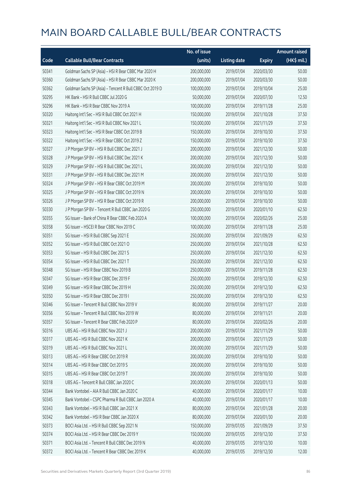|       |                                                          | No. of issue |                     |               | <b>Amount raised</b> |
|-------|----------------------------------------------------------|--------------|---------------------|---------------|----------------------|
| Code  | <b>Callable Bull/Bear Contracts</b>                      | (units)      | <b>Listing date</b> | <b>Expiry</b> | (HK\$ mil.)          |
| 50341 | Goldman Sachs SP (Asia) - HSI R Bear CBBC Mar 2020 H     | 200,000,000  | 2019/07/04          | 2020/03/30    | 50.00                |
| 50360 | Goldman Sachs SP (Asia) - HSI R Bear CBBC Mar 2020 K     | 200,000,000  | 2019/07/04          | 2020/03/30    | 50.00                |
| 50362 | Goldman Sachs SP (Asia) - Tencent R Bull CBBC Oct 2019 D | 100,000,000  | 2019/07/04          | 2019/10/04    | 25.00                |
| 50295 | HK Bank - HSI R Bull CBBC Jul 2020 G                     | 50,000,000   | 2019/07/04          | 2020/07/30    | 12.50                |
| 50296 | HK Bank - HSI R Bear CBBC Nov 2019 A                     | 100,000,000  | 2019/07/04          | 2019/11/28    | 25.00                |
| 50320 | Haitong Int'l Sec - HSI R Bull CBBC Oct 2021 H           | 150,000,000  | 2019/07/04          | 2021/10/28    | 37.50                |
| 50321 | Haitong Int'l Sec - HSI R Bull CBBC Nov 2021 L           | 150,000,000  | 2019/07/04          | 2021/11/29    | 37.50                |
| 50323 | Haitong Int'l Sec - HSI R Bear CBBC Oct 2019 B           | 150,000,000  | 2019/07/04          | 2019/10/30    | 37.50                |
| 50322 | Haitong Int'l Sec - HSI R Bear CBBC Oct 2019 Z           | 150,000,000  | 2019/07/04          | 2019/10/30    | 37.50                |
| 50327 | J P Morgan SP BV - HSI R Bull CBBC Dec 2021 J            | 200,000,000  | 2019/07/04          | 2021/12/30    | 50.00                |
| 50328 | J P Morgan SP BV - HSI R Bull CBBC Dec 2021 K            | 200,000,000  | 2019/07/04          | 2021/12/30    | 50.00                |
| 50329 | JP Morgan SP BV - HSIR Bull CBBC Dec 2021 L              | 200,000,000  | 2019/07/04          | 2021/12/30    | 50.00                |
| 50331 | J P Morgan SP BV - HSI R Bull CBBC Dec 2021 M            | 200,000,000  | 2019/07/04          | 2021/12/30    | 50.00                |
| 50324 | J P Morgan SP BV - HSI R Bear CBBC Oct 2019 M            | 200,000,000  | 2019/07/04          | 2019/10/30    | 50.00                |
| 50325 | J P Morgan SP BV - HSI R Bear CBBC Oct 2019 N            | 200,000,000  | 2019/07/04          | 2019/10/30    | 50.00                |
| 50326 | J P Morgan SP BV - HSI R Bear CBBC Oct 2019 R            | 200,000,000  | 2019/07/04          | 2019/10/30    | 50.00                |
| 50330 | J P Morgan SP BV - Tencent R Bull CBBC Jan 2020 G        | 250,000,000  | 2019/07/04          | 2020/01/10    | 62.50                |
| 50355 | SG Issuer - Bank of China R Bear CBBC Feb 2020 A         | 100,000,000  | 2019/07/04          | 2020/02/26    | 25.00                |
| 50358 | SG Issuer - HSCEI R Bear CBBC Nov 2019 C                 | 100,000,000  | 2019/07/04          | 2019/11/28    | 25.00                |
| 50351 | SG Issuer - HSI R Bull CBBC Sep 2021 E                   | 250,000,000  | 2019/07/04          | 2021/09/29    | 62.50                |
| 50352 | SG Issuer - HSI R Bull CBBC Oct 2021 O                   | 250,000,000  | 2019/07/04          | 2021/10/28    | 62.50                |
| 50353 | SG Issuer - HSI R Bull CBBC Dec 2021 S                   | 250,000,000  | 2019/07/04          | 2021/12/30    | 62.50                |
| 50354 | SG Issuer - HSI R Bull CBBC Dec 2021 T                   | 250,000,000  | 2019/07/04          | 2021/12/30    | 62.50                |
| 50348 | SG Issuer - HSI R Bear CBBC Nov 2019 B                   | 250,000,000  | 2019/07/04          | 2019/11/28    | 62.50                |
| 50347 | SG Issuer - HSI R Bear CBBC Dec 2019 F                   | 250,000,000  | 2019/07/04          | 2019/12/30    | 62.50                |
| 50349 | SG Issuer - HSI R Bear CBBC Dec 2019 H                   | 250,000,000  | 2019/07/04          | 2019/12/30    | 62.50                |
| 50350 | SG Issuer - HSI R Bear CBBC Dec 2019 I                   | 250,000,000  | 2019/07/04          | 2019/12/30    | 62.50                |
| 50346 | SG Issuer - Tencent R Bull CBBC Nov 2019 V               | 80,000,000   | 2019/07/04          | 2019/11/27    | 20.00                |
| 50356 | SG Issuer - Tencent R Bull CBBC Nov 2019 W               | 80,000,000   | 2019/07/04          | 2019/11/21    | 20.00                |
| 50357 | SG Issuer - Tencent R Bear CBBC Feb 2020 P               | 80,000,000   | 2019/07/04          | 2020/02/26    | 20.00                |
| 50316 | UBS AG - HSI R Bull CBBC Nov 2021 J                      | 200,000,000  | 2019/07/04          | 2021/11/29    | 50.00                |
| 50317 | UBS AG - HSI R Bull CBBC Nov 2021 K                      | 200,000,000  | 2019/07/04          | 2021/11/29    | 50.00                |
| 50319 | UBS AG - HSI R Bull CBBC Nov 2021 L                      | 200,000,000  | 2019/07/04          | 2021/11/29    | 50.00                |
| 50313 | UBS AG - HSI R Bear CBBC Oct 2019 R                      | 200,000,000  | 2019/07/04          | 2019/10/30    | 50.00                |
| 50314 | UBS AG - HSI R Bear CBBC Oct 2019 S                      | 200,000,000  | 2019/07/04          | 2019/10/30    | 50.00                |
| 50315 | UBS AG - HSI R Bear CBBC Oct 2019 T                      | 200,000,000  | 2019/07/04          | 2019/10/30    | 50.00                |
| 50318 | UBS AG - Tencent R Bull CBBC Jan 2020 C                  | 200,000,000  | 2019/07/04          | 2020/01/13    | 50.00                |
| 50344 | Bank Vontobel - AIA R Bull CBBC Jan 2020 C               | 40,000,000   | 2019/07/04          | 2020/01/17    | 10.00                |
| 50345 | Bank Vontobel - CSPC Pharma R Bull CBBC Jan 2020 A       | 40,000,000   | 2019/07/04          | 2020/01/17    | 10.00                |
| 50343 | Bank Vontobel - HSI R Bull CBBC Jan 2021 X               | 80,000,000   | 2019/07/04          | 2021/01/28    | 20.00                |
| 50342 | Bank Vontobel - HSI R Bear CBBC Jan 2020 X               | 80,000,000   | 2019/07/04          | 2020/01/30    | 20.00                |
| 50373 | BOCI Asia Ltd. - HSI R Bull CBBC Sep 2021 N              | 150,000,000  | 2019/07/05          | 2021/09/29    | 37.50                |
| 50374 | BOCI Asia Ltd. - HSI R Bear CBBC Dec 2019 Y              | 150,000,000  | 2019/07/05          | 2019/12/30    | 37.50                |
| 50371 | BOCI Asia Ltd. - Tencent R Bull CBBC Dec 2019 N          | 40,000,000   | 2019/07/05          | 2019/12/30    | 10.00                |
| 50372 | BOCI Asia Ltd. - Tencent R Bear CBBC Dec 2019 K          | 40,000,000   | 2019/07/05          | 2019/12/30    | 12.00                |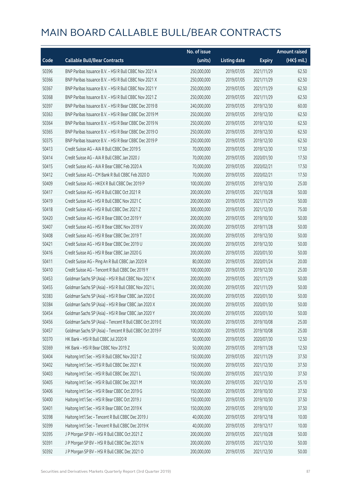|       |                                                          | No. of issue |                     |               | <b>Amount raised</b> |
|-------|----------------------------------------------------------|--------------|---------------------|---------------|----------------------|
| Code  | <b>Callable Bull/Bear Contracts</b>                      | (units)      | <b>Listing date</b> | <b>Expiry</b> | (HK\$ mil.)          |
| 50396 | BNP Paribas Issuance B.V. - HSI R Bull CBBC Nov 2021 A   | 250,000,000  | 2019/07/05          | 2021/11/29    | 62.50                |
| 50366 | BNP Paribas Issuance B.V. - HSI R Bull CBBC Nov 2021 X   | 250,000,000  | 2019/07/05          | 2021/11/29    | 62.50                |
| 50367 | BNP Paribas Issuance B.V. - HSI R Bull CBBC Nov 2021 Y   | 250,000,000  | 2019/07/05          | 2021/11/29    | 62.50                |
| 50368 | BNP Paribas Issuance B.V. - HSI R Bull CBBC Nov 2021 Z   | 250,000,000  | 2019/07/05          | 2021/11/29    | 62.50                |
| 50397 | BNP Paribas Issuance B.V. - HSI R Bear CBBC Dec 2019 B   | 240,000,000  | 2019/07/05          | 2019/12/30    | 60.00                |
| 50363 | BNP Paribas Issuance B.V. - HSI R Bear CBBC Dec 2019 M   | 250,000,000  | 2019/07/05          | 2019/12/30    | 62.50                |
| 50364 | BNP Paribas Issuance B.V. - HSI R Bear CBBC Dec 2019 N   | 250,000,000  | 2019/07/05          | 2019/12/30    | 62.50                |
| 50365 | BNP Paribas Issuance B.V. - HSI R Bear CBBC Dec 2019 O   | 250,000,000  | 2019/07/05          | 2019/12/30    | 62.50                |
| 50375 | BNP Paribas Issuance B.V. - HSI R Bear CBBC Dec 2019 P   | 250,000,000  | 2019/07/05          | 2019/12/30    | 62.50                |
| 50413 | Credit Suisse AG - AIA R Bull CBBC Dec 2019 S            | 70,000,000   | 2019/07/05          | 2019/12/30    | 17.50                |
| 50414 | Credit Suisse AG - AIA R Bull CBBC Jan 2020 J            | 70,000,000   | 2019/07/05          | 2020/01/30    | 17.50                |
| 50415 | Credit Suisse AG - AIA R Bear CBBC Feb 2020 A            | 70,000,000   | 2019/07/05          | 2020/02/21    | 17.50                |
| 50412 | Credit Suisse AG - CM Bank R Bull CBBC Feb 2020 D        | 70,000,000   | 2019/07/05          | 2020/02/21    | 17.50                |
| 50409 | Credit Suisse AG - HKEX R Bull CBBC Dec 2019 P           | 100,000,000  | 2019/07/05          | 2019/12/30    | 25.00                |
| 50417 | Credit Suisse AG - HSI R Bull CBBC Oct 2021 R            | 200,000,000  | 2019/07/05          | 2021/10/28    | 50.00                |
| 50419 | Credit Suisse AG - HSI R Bull CBBC Nov 2021 C            | 200,000,000  | 2019/07/05          | 2021/11/29    | 50.00                |
| 50418 | Credit Suisse AG - HSI R Bull CBBC Dec 2021 Z            | 300,000,000  | 2019/07/05          | 2021/12/30    | 75.00                |
| 50420 | Credit Suisse AG - HSI R Bear CBBC Oct 2019 Y            | 200,000,000  | 2019/07/05          | 2019/10/30    | 50.00                |
| 50407 | Credit Suisse AG - HSI R Bear CBBC Nov 2019 V            | 200,000,000  | 2019/07/05          | 2019/11/28    | 50.00                |
| 50408 | Credit Suisse AG - HSI R Bear CBBC Dec 2019 T            | 200,000,000  | 2019/07/05          | 2019/12/30    | 50.00                |
| 50421 | Credit Suisse AG - HSI R Bear CBBC Dec 2019 U            | 200,000,000  | 2019/07/05          | 2019/12/30    | 50.00                |
| 50416 | Credit Suisse AG - HSI R Bear CBBC Jan 2020 G            | 200,000,000  | 2019/07/05          | 2020/01/30    | 50.00                |
| 50411 | Credit Suisse AG - Ping An R Bull CBBC Jan 2020 R        | 80,000,000   | 2019/07/05          | 2020/01/24    | 20.00                |
| 50410 | Credit Suisse AG - Tencent R Bull CBBC Dec 2019 Y        | 100,000,000  | 2019/07/05          | 2019/12/30    | 25.00                |
| 50453 | Goldman Sachs SP (Asia) - HSI R Bull CBBC Nov 2021 K     | 200,000,000  | 2019/07/05          | 2021/11/29    | 50.00                |
| 50455 | Goldman Sachs SP (Asia) - HSI R Bull CBBC Nov 2021 L     | 200,000,000  | 2019/07/05          | 2021/11/29    | 50.00                |
| 50383 | Goldman Sachs SP (Asia) - HSI R Bear CBBC Jan 2020 E     | 200,000,000  | 2019/07/05          | 2020/01/30    | 50.00                |
| 50384 | Goldman Sachs SP (Asia) - HSI R Bear CBBC Jan 2020 X     | 200,000,000  | 2019/07/05          | 2020/01/30    | 50.00                |
| 50454 | Goldman Sachs SP (Asia) - HSI R Bear CBBC Jan 2020 Y     | 200,000,000  | 2019/07/05          | 2020/01/30    | 50.00                |
| 50456 | Goldman Sachs SP (Asia) - Tencent R Bull CBBC Oct 2019 E | 100,000,000  | 2019/07/05          | 2019/10/08    | 25.00                |
| 50457 | Goldman Sachs SP (Asia) - Tencent R Bull CBBC Oct 2019 F | 100,000,000  | 2019/07/05          | 2019/10/08    | 25.00                |
| 50370 | HK Bank - HSI R Bull CBBC Jul 2020 R                     | 50,000,000   | 2019/07/05          | 2020/07/30    | 12.50                |
| 50369 | HK Bank - HSI R Bear CBBC Nov 2019 Z                     | 50,000,000   | 2019/07/05          | 2019/11/28    | 12.50                |
| 50404 | Haitong Int'l Sec - HSI R Bull CBBC Nov 2021 Z           | 150,000,000  | 2019/07/05          | 2021/11/29    | 37.50                |
| 50402 | Haitong Int'l Sec - HSI R Bull CBBC Dec 2021 K           | 150,000,000  | 2019/07/05          | 2021/12/30    | 37.50                |
| 50403 | Haitong Int'l Sec - HSI R Bull CBBC Dec 2021 L           | 150,000,000  | 2019/07/05          | 2021/12/30    | 37.50                |
| 50405 | Haitong Int'l Sec - HSI R Bull CBBC Dec 2021 M           | 100,000,000  | 2019/07/05          | 2021/12/30    | 25.10                |
| 50406 | Haitong Int'l Sec - HSI R Bear CBBC Oct 2019 G           | 150,000,000  | 2019/07/05          | 2019/10/30    | 37.50                |
| 50400 | Haitong Int'l Sec - HSI R Bear CBBC Oct 2019 J           | 150,000,000  | 2019/07/05          | 2019/10/30    | 37.50                |
| 50401 | Haitong Int'l Sec - HSI R Bear CBBC Oct 2019 K           | 150,000,000  | 2019/07/05          | 2019/10/30    | 37.50                |
| 50398 | Haitong Int'l Sec - Tencent R Bull CBBC Dec 2019 J       | 40,000,000   | 2019/07/05          | 2019/12/18    | 10.00                |
| 50399 | Haitong Int'l Sec - Tencent R Bull CBBC Dec 2019 K       | 40,000,000   | 2019/07/05          | 2019/12/17    | 10.00                |
| 50395 | JP Morgan SP BV - HSIR Bull CBBC Oct 2021 Z              | 200,000,000  | 2019/07/05          | 2021/10/28    | 50.00                |
| 50391 | J P Morgan SP BV - HSI R Bull CBBC Dec 2021 N            | 200,000,000  | 2019/07/05          | 2021/12/30    | 50.00                |
| 50392 | J P Morgan SP BV - HSI R Bull CBBC Dec 2021 O            | 200,000,000  | 2019/07/05          | 2021/12/30    | 50.00                |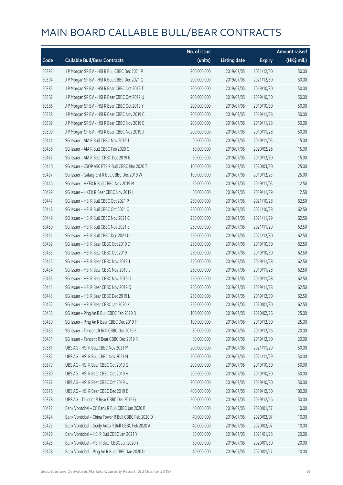|       |                                                    | No. of issue |                     |               | <b>Amount raised</b> |
|-------|----------------------------------------------------|--------------|---------------------|---------------|----------------------|
| Code  | <b>Callable Bull/Bear Contracts</b>                | (units)      | <b>Listing date</b> | <b>Expiry</b> | $(HK\$ mil.)         |
| 50393 | J P Morgan SP BV - HSI R Bull CBBC Dec 2021 P      | 200,000,000  | 2019/07/05          | 2021/12/30    | 50.00                |
| 50394 | J P Morgan SP BV - HSI R Bull CBBC Dec 2021 Q      | 200,000,000  | 2019/07/05          | 2021/12/30    | 50.00                |
| 50385 | J P Morgan SP BV - HSI R Bear CBBC Oct 2019 T      | 200,000,000  | 2019/07/05          | 2019/10/30    | 50.00                |
| 50387 | J P Morgan SP BV - HSI R Bear CBBC Oct 2019 U      | 200,000,000  | 2019/07/05          | 2019/10/30    | 50.00                |
| 50386 | J P Morgan SP BV - HSI R Bear CBBC Oct 2019 Y      | 200,000,000  | 2019/07/05          | 2019/10/30    | 50.00                |
| 50388 | J P Morgan SP BV - HSI R Bear CBBC Nov 2019 C      | 200,000,000  | 2019/07/05          | 2019/11/28    | 50.00                |
| 50389 | J P Morgan SP BV - HSI R Bear CBBC Nov 2019 E      | 200,000,000  | 2019/07/05          | 2019/11/28    | 50.00                |
| 50390 | J P Morgan SP BV - HSI R Bear CBBC Nov 2019 J      | 200,000,000  | 2019/07/05          | 2019/11/28    | 50.00                |
| 50444 | SG Issuer - AIA R Bull CBBC Nov 2019 J             | 60,000,000   | 2019/07/05          | 2019/11/05    | 15.00                |
| 50436 | SG Issuer - AIA R Bull CBBC Feb 2020 C             | 60,000,000   | 2019/07/05          | 2020/02/26    | 15.00                |
| 50445 | SG Issuer - AIA R Bear CBBC Dec 2019 G             | 60,000,000   | 2019/07/05          | 2019/12/30    | 15.00                |
| 50440 | SG Issuer - CSOP A50 ETF R Bull CBBC Mar 2020 T    | 100,000,000  | 2019/07/05          | 2020/03/30    | 25.00                |
| 50437 | SG Issuer - Galaxy Ent R Bull CBBC Dec 2019 W      | 100,000,000  | 2019/07/05          | 2019/12/23    | 25.00                |
| 50446 | SG Issuer - HKEX R Bull CBBC Nov 2019 M            | 50,000,000   | 2019/07/05          | 2019/11/05    | 12.50                |
| 50429 | SG Issuer - HKEX R Bear CBBC Nov 2019 L            | 50,000,000   | 2019/07/05          | 2019/11/29    | 12.50                |
| 50447 | SG Issuer - HSI R Bull CBBC Oct 2021 P             | 250,000,000  | 2019/07/05          | 2021/10/28    | 62.50                |
| 50448 | SG Issuer - HSI R Bull CBBC Oct 2021 Q             | 250,000,000  | 2019/07/05          | 2021/10/28    | 62.50                |
| 50449 | SG Issuer - HSI R Bull CBBC Nov 2021 C             | 250,000,000  | 2019/07/05          | 2021/11/29    | 62.50                |
| 50450 | SG Issuer - HSI R Bull CBBC Nov 2021 E             | 250,000,000  | 2019/07/05          | 2021/11/29    | 62.50                |
| 50451 | SG Issuer - HSI R Bull CBBC Dec 2021 U             | 250,000,000  | 2019/07/05          | 2021/12/30    | 62.50                |
| 50432 | SG Issuer - HSI R Bear CBBC Oct 2019 D             | 250,000,000  | 2019/07/05          | 2019/10/30    | 62.50                |
| 50433 | SG Issuer - HSI R Bear CBBC Oct 2019 I             | 250,000,000  | 2019/07/05          | 2019/10/30    | 62.50                |
| 50442 | SG Issuer - HSI R Bear CBBC Nov 2019 J             | 250,000,000  | 2019/07/05          | 2019/11/28    | 62.50                |
| 50434 | SG Issuer - HSI R Bear CBBC Nov 2019 L             | 250,000,000  | 2019/07/05          | 2019/11/28    | 62.50                |
| 50435 | SG Issuer - HSI R Bear CBBC Nov 2019 O             | 250,000,000  | 2019/07/05          | 2019/11/28    | 62.50                |
| 50441 | SG Issuer - HSI R Bear CBBC Nov 2019 Q             | 250,000,000  | 2019/07/05          | 2019/11/28    | 62.50                |
| 50443 | SG Issuer - HSI R Bear CBBC Dec 2019 L             | 250,000,000  | 2019/07/05          | 2019/12/30    | 62.50                |
| 50452 | SG Issuer - HSI R Bear CBBC Jan 2020 K             | 250,000,000  | 2019/07/05          | 2020/01/30    | 62.50                |
| 50438 | SG Issuer - Ping An R Bull CBBC Feb 2020 B         | 100,000,000  | 2019/07/05          | 2020/02/26    | 25.00                |
| 50430 | SG Issuer - Ping An R Bear CBBC Dec 2019 F         | 100,000,000  | 2019/07/05          | 2019/12/30    | 25.00                |
| 50439 | SG Issuer - Tencent R Bull CBBC Dec 2019 E         | 80,000,000   | 2019/07/05          | 2019/12/16    | 20.00                |
| 50431 | SG Issuer - Tencent R Bear CBBC Dec 2019 R         | 80,000,000   | 2019/07/05          | 2019/12/30    | 20.00                |
| 50381 | UBS AG - HSI R Bull CBBC Nov 2021 M                | 200,000,000  | 2019/07/05          | 2021/11/29    | 50.00                |
| 50382 | UBS AG - HSI R Bull CBBC Nov 2021 N                | 200,000,000  | 2019/07/05          | 2021/11/29    | 50.00                |
| 50379 | UBS AG - HSI R Bear CBBC Oct 2019 G                | 200,000,000  | 2019/07/05          | 2019/10/30    | 50.00                |
| 50380 | UBS AG - HSI R Bear CBBC Oct 2019 H                | 200,000,000  | 2019/07/05          | 2019/10/30    | 50.00                |
| 50377 | UBS AG - HSI R Bear CBBC Oct 2019 U                | 200,000,000  | 2019/07/05          | 2019/10/30    | 50.00                |
| 50376 | UBS AG - HSI R Bear CBBC Dec 2019 E                | 400,000,000  | 2019/07/05          | 2019/12/30    | 100.00               |
| 50378 | UBS AG - Tencent R Bear CBBC Dec 2019 G            | 200,000,000  | 2019/07/05          | 2019/12/16    | 50.00                |
| 50422 | Bank Vontobel - CC Bank R Bull CBBC Jan 2020 B     | 40,000,000   | 2019/07/05          | 2020/01/17    | 10.00                |
| 50424 | Bank Vontobel - China Tower R Bull CBBC Feb 2020 D | 40,000,000   | 2019/07/05          | 2020/02/07    | 10.00                |
| 50423 | Bank Vontobel - Geely Auto R Bull CBBC Feb 2020 A  | 40,000,000   | 2019/07/05          | 2020/02/07    | 10.00                |
| 50426 | Bank Vontobel - HSI R Bull CBBC Jan 2021 Y         | 80,000,000   | 2019/07/05          | 2021/01/28    | 20.00                |
| 50425 | Bank Vontobel - HSI R Bear CBBC Jan 2020 Y         | 80,000,000   | 2019/07/05          | 2020/01/30    | 20.00                |
| 50428 | Bank Vontobel - Ping An R Bull CBBC Jan 2020 D     | 40,000,000   | 2019/07/05          | 2020/01/17    | 10.00                |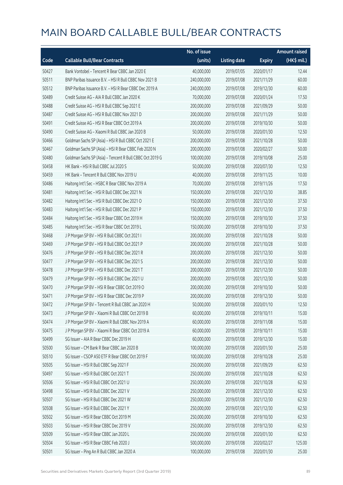|       |                                                          | No. of issue |                     |               | <b>Amount raised</b> |
|-------|----------------------------------------------------------|--------------|---------------------|---------------|----------------------|
| Code  | <b>Callable Bull/Bear Contracts</b>                      | (units)      | <b>Listing date</b> | <b>Expiry</b> | (HK\$ mil.)          |
| 50427 | Bank Vontobel - Tencent R Bear CBBC Jan 2020 E           | 40,000,000   | 2019/07/05          | 2020/01/17    | 12.44                |
| 50511 | BNP Paribas Issuance B.V. - HSI R Bull CBBC Nov 2021 B   | 240,000,000  | 2019/07/08          | 2021/11/29    | 60.00                |
| 50512 | BNP Paribas Issuance B.V. - HSI R Bear CBBC Dec 2019 A   | 240,000,000  | 2019/07/08          | 2019/12/30    | 60.00                |
| 50489 | Credit Suisse AG - AIA R Bull CBBC Jan 2020 K            | 70,000,000   | 2019/07/08          | 2020/01/24    | 17.50                |
| 50488 | Credit Suisse AG - HSI R Bull CBBC Sep 2021 E            | 200,000,000  | 2019/07/08          | 2021/09/29    | 50.00                |
| 50487 | Credit Suisse AG - HSI R Bull CBBC Nov 2021 D            | 200,000,000  | 2019/07/08          | 2021/11/29    | 50.00                |
| 50491 | Credit Suisse AG - HSI R Bear CBBC Oct 2019 A            | 200,000,000  | 2019/07/08          | 2019/10/30    | 50.00                |
| 50490 | Credit Suisse AG - Xiaomi R Bull CBBC Jan 2020 B         | 50,000,000   | 2019/07/08          | 2020/01/30    | 12.50                |
| 50466 | Goldman Sachs SP (Asia) - HSI R Bull CBBC Oct 2021 E     | 200,000,000  | 2019/07/08          | 2021/10/28    | 50.00                |
| 50467 | Goldman Sachs SP (Asia) - HSI R Bear CBBC Feb 2020 N     | 200,000,000  | 2019/07/08          | 2020/02/27    | 50.00                |
| 50480 | Goldman Sachs SP (Asia) - Tencent R Bull CBBC Oct 2019 G | 100,000,000  | 2019/07/08          | 2019/10/08    | 25.00                |
| 50458 | HK Bank - HSI R Bull CBBC Jul 2020 S                     | 50,000,000   | 2019/07/08          | 2020/07/30    | 12.50                |
| 50459 | HK Bank - Tencent R Bull CBBC Nov 2019 U                 | 40,000,000   | 2019/07/08          | 2019/11/25    | 10.00                |
| 50486 | Haitong Int'l Sec - HSBC R Bear CBBC Nov 2019 A          | 70,000,000   | 2019/07/08          | 2019/11/26    | 17.50                |
| 50481 | Haitong Int'l Sec - HSI R Bull CBBC Dec 2021 N           | 150,000,000  | 2019/07/08          | 2021/12/30    | 38.85                |
| 50482 | Haitong Int'l Sec - HSI R Bull CBBC Dec 2021 O           | 150,000,000  | 2019/07/08          | 2021/12/30    | 37.50                |
| 50483 | Haitong Int'l Sec - HSI R Bull CBBC Dec 2021 P           | 150,000,000  | 2019/07/08          | 2021/12/30    | 37.50                |
| 50484 | Haitong Int'l Sec - HSI R Bear CBBC Oct 2019 H           | 150,000,000  | 2019/07/08          | 2019/10/30    | 37.50                |
| 50485 | Haitong Int'l Sec - HSI R Bear CBBC Oct 2019 L           | 150,000,000  | 2019/07/08          | 2019/10/30    | 37.50                |
| 50468 | J P Morgan SP BV - HSI R Bull CBBC Oct 2021 I            | 200,000,000  | 2019/07/08          | 2021/10/28    | 50.00                |
| 50469 | J P Morgan SP BV - HSI R Bull CBBC Oct 2021 P            | 200,000,000  | 2019/07/08          | 2021/10/28    | 50.00                |
| 50476 | J P Morgan SP BV - HSI R Bull CBBC Dec 2021 R            | 200,000,000  | 2019/07/08          | 2021/12/30    | 50.00                |
| 50477 | J P Morgan SP BV - HSI R Bull CBBC Dec 2021 S            | 200,000,000  | 2019/07/08          | 2021/12/30    | 50.00                |
| 50478 | J P Morgan SP BV - HSI R Bull CBBC Dec 2021 T            | 200,000,000  | 2019/07/08          | 2021/12/30    | 50.00                |
| 50479 | J P Morgan SP BV - HSI R Bull CBBC Dec 2021 U            | 200,000,000  | 2019/07/08          | 2021/12/30    | 50.00                |
| 50470 | J P Morgan SP BV - HSI R Bear CBBC Oct 2019 O            | 200,000,000  | 2019/07/08          | 2019/10/30    | 50.00                |
| 50471 | J P Morgan SP BV - HSI R Bear CBBC Dec 2019 P            | 200,000,000  | 2019/07/08          | 2019/12/30    | 50.00                |
| 50472 | J P Morgan SP BV - Tencent R Bull CBBC Jan 2020 H        | 50,000,000   | 2019/07/08          | 2020/01/10    | 12.50                |
| 50473 | J P Morgan SP BV - Xiaomi R Bull CBBC Oct 2019 B         | 60,000,000   | 2019/07/08          | 2019/10/11    | 15.00                |
| 50474 | J P Morgan SP BV - Xiaomi R Bull CBBC Nov 2019 A         | 60,000,000   | 2019/07/08          | 2019/11/08    | 15.00                |
| 50475 | J P Morgan SP BV - Xiaomi R Bear CBBC Oct 2019 A         | 60,000,000   | 2019/07/08          | 2019/10/11    | 15.00                |
| 50499 | SG Issuer - AIA R Bear CBBC Dec 2019 H                   | 60,000,000   | 2019/07/08          | 2019/12/30    | 15.00                |
| 50500 | SG Issuer - CM Bank R Bear CBBC Jan 2020 B               | 100,000,000  | 2019/07/08          | 2020/01/30    | 25.00                |
| 50510 | SG Issuer - CSOP A50 ETF R Bear CBBC Oct 2019 F          | 100,000,000  | 2019/07/08          | 2019/10/28    | 25.00                |
| 50505 | SG Issuer - HSI R Bull CBBC Sep 2021 F                   | 250,000,000  | 2019/07/08          | 2021/09/29    | 62.50                |
| 50497 | SG Issuer - HSI R Bull CBBC Oct 2021 T                   | 250,000,000  | 2019/07/08          | 2021/10/28    | 62.50                |
| 50506 | SG Issuer - HSI R Bull CBBC Oct 2021 U                   | 250,000,000  | 2019/07/08          | 2021/10/28    | 62.50                |
| 50498 | SG Issuer - HSI R Bull CBBC Dec 2021 V                   | 250,000,000  | 2019/07/08          | 2021/12/30    | 62.50                |
| 50507 | SG Issuer - HSI R Bull CBBC Dec 2021 W                   | 250,000,000  | 2019/07/08          | 2021/12/30    | 62.50                |
| 50508 | SG Issuer - HSI R Bull CBBC Dec 2021 Y                   | 250,000,000  | 2019/07/08          | 2021/12/30    | 62.50                |
| 50502 | SG Issuer - HSI R Bear CBBC Oct 2019 M                   | 250,000,000  | 2019/07/08          | 2019/10/30    | 62.50                |
| 50503 | SG Issuer - HSI R Bear CBBC Dec 2019 V                   | 250,000,000  | 2019/07/08          | 2019/12/30    | 62.50                |
| 50509 | SG Issuer - HSI R Bear CBBC Jan 2020 L                   | 250,000,000  | 2019/07/08          | 2020/01/30    | 62.50                |
| 50504 | SG Issuer - HSI R Bear CBBC Feb 2020 J                   | 500,000,000  | 2019/07/08          | 2020/02/27    | 125.00               |
| 50501 | SG Issuer - Ping An R Bull CBBC Jan 2020 A               | 100,000,000  | 2019/07/08          | 2020/01/30    | 25.00                |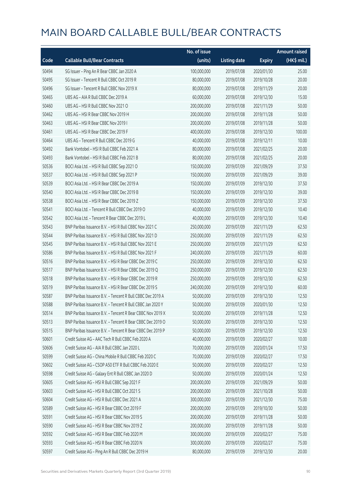|       |                                                            | No. of issue |                     |               | <b>Amount raised</b> |
|-------|------------------------------------------------------------|--------------|---------------------|---------------|----------------------|
| Code  | <b>Callable Bull/Bear Contracts</b>                        | (units)      | <b>Listing date</b> | <b>Expiry</b> | (HK\$ mil.)          |
| 50494 | SG Issuer - Ping An R Bear CBBC Jan 2020 A                 | 100,000,000  | 2019/07/08          | 2020/01/30    | 25.00                |
| 50495 | SG Issuer - Tencent R Bull CBBC Oct 2019 R                 | 80,000,000   | 2019/07/08          | 2019/10/28    | 20.00                |
| 50496 | SG Issuer - Tencent R Bull CBBC Nov 2019 X                 | 80,000,000   | 2019/07/08          | 2019/11/29    | 20.00                |
| 50465 | UBS AG - AIA R Bull CBBC Dec 2019 A                        | 60,000,000   | 2019/07/08          | 2019/12/30    | 15.00                |
| 50460 | UBS AG - HSI R Bull CBBC Nov 2021 O                        | 200,000,000  | 2019/07/08          | 2021/11/29    | 50.00                |
| 50462 | UBS AG - HSI R Bear CBBC Nov 2019 H                        | 200,000,000  | 2019/07/08          | 2019/11/28    | 50.00                |
| 50463 | UBS AG - HSI R Bear CBBC Nov 2019 I                        | 200,000,000  | 2019/07/08          | 2019/11/28    | 50.00                |
| 50461 | UBS AG - HSI R Bear CBBC Dec 2019 F                        | 400,000,000  | 2019/07/08          | 2019/12/30    | 100.00               |
| 50464 | UBS AG - Tencent R Bull CBBC Dec 2019 G                    | 40,000,000   | 2019/07/08          | 2019/12/11    | 10.00                |
| 50492 | Bank Vontobel - HSI R Bull CBBC Feb 2021 A                 | 80,000,000   | 2019/07/08          | 2021/02/25    | 20.00                |
| 50493 | Bank Vontobel - HSI R Bull CBBC Feb 2021 B                 | 80,000,000   | 2019/07/08          | 2021/02/25    | 20.00                |
| 50536 | BOCI Asia Ltd. - HSI R Bull CBBC Sep 2021 O                | 150,000,000  | 2019/07/09          | 2021/09/29    | 37.50                |
| 50537 | BOCI Asia Ltd. - HSI R Bull CBBC Sep 2021 P                | 150,000,000  | 2019/07/09          | 2021/09/29    | 39.00                |
| 50539 | BOCI Asia Ltd. - HSI R Bear CBBC Dec 2019 A                | 150,000,000  | 2019/07/09          | 2019/12/30    | 37.50                |
| 50540 | BOCI Asia Ltd. - HSI R Bear CBBC Dec 2019 B                | 150,000,000  | 2019/07/09          | 2019/12/30    | 39.00                |
| 50538 | BOCI Asia Ltd. - HSI R Bear CBBC Dec 2019 Z                | 150,000,000  | 2019/07/09          | 2019/12/30    | 37.50                |
| 50541 | BOCI Asia Ltd. - Tencent R Bull CBBC Dec 2019 O            | 40,000,000   | 2019/07/09          | 2019/12/30    | 10.40                |
| 50542 | BOCI Asia Ltd. - Tencent R Bear CBBC Dec 2019 L            | 40,000,000   | 2019/07/09          | 2019/12/30    | 10.40                |
| 50543 | BNP Paribas Issuance B.V. - HSI R Bull CBBC Nov 2021 C     | 250,000,000  | 2019/07/09          | 2021/11/29    | 62.50                |
| 50544 | BNP Paribas Issuance B.V. - HSI R Bull CBBC Nov 2021 D     | 250,000,000  | 2019/07/09          | 2021/11/29    | 62.50                |
| 50545 | BNP Paribas Issuance B.V. - HSI R Bull CBBC Nov 2021 E     | 250,000,000  | 2019/07/09          | 2021/11/29    | 62.50                |
| 50586 | BNP Paribas Issuance B.V. - HSI R Bull CBBC Nov 2021 F     | 240,000,000  | 2019/07/09          | 2021/11/29    | 60.00                |
| 50516 | BNP Paribas Issuance B.V. - HSI R Bear CBBC Dec 2019 C     | 250,000,000  | 2019/07/09          | 2019/12/30    | 62.50                |
| 50517 | BNP Paribas Issuance B.V. - HSI R Bear CBBC Dec 2019 Q     | 250,000,000  | 2019/07/09          | 2019/12/30    | 62.50                |
| 50518 | BNP Paribas Issuance B.V. - HSI R Bear CBBC Dec 2019 R     | 250,000,000  | 2019/07/09          | 2019/12/30    | 62.50                |
| 50519 | BNP Paribas Issuance B.V. - HSI R Bear CBBC Dec 2019 S     | 240,000,000  | 2019/07/09          | 2019/12/30    | 60.00                |
| 50587 | BNP Paribas Issuance B.V. - Tencent R Bull CBBC Dec 2019 A | 50,000,000   | 2019/07/09          | 2019/12/30    | 12.50                |
| 50588 | BNP Paribas Issuance B.V. - Tencent R Bull CBBC Jan 2020 Y | 50,000,000   | 2019/07/09          | 2020/01/30    | 12.50                |
| 50514 | BNP Paribas Issuance B.V. - Tencent R Bear CBBC Nov 2019 X | 50,000,000   | 2019/07/09          | 2019/11/28    | 12.50                |
| 50513 | BNP Paribas Issuance B.V. - Tencent R Bear CBBC Dec 2019 O | 50,000,000   | 2019/07/09          | 2019/12/30    | 12.50                |
| 50515 | BNP Paribas Issuance B.V. - Tencent R Bear CBBC Dec 2019 P | 50,000,000   | 2019/07/09          | 2019/12/30    | 12.50                |
| 50601 | Credit Suisse AG - AAC Tech R Bull CBBC Feb 2020 A         | 40,000,000   | 2019/07/09          | 2020/02/27    | 10.00                |
| 50606 | Credit Suisse AG - AIA R Bull CBBC Jan 2020 L              | 70,000,000   | 2019/07/09          | 2020/01/24    | 17.50                |
| 50599 | Credit Suisse AG - China Mobile R Bull CBBC Feb 2020 C     | 70,000,000   | 2019/07/09          | 2020/02/27    | 17.50                |
| 50602 | Credit Suisse AG - CSOP A50 ETF R Bull CBBC Feb 2020 E     | 50,000,000   | 2019/07/09          | 2020/02/27    | 12.50                |
| 50598 | Credit Suisse AG - Galaxy Ent R Bull CBBC Jan 2020 D       | 50,000,000   | 2019/07/09          | 2020/01/24    | 12.50                |
| 50605 | Credit Suisse AG - HSI R Bull CBBC Sep 2021 F              | 200,000,000  | 2019/07/09          | 2021/09/29    | 50.00                |
| 50603 | Credit Suisse AG - HSI R Bull CBBC Oct 2021 S              | 200,000,000  | 2019/07/09          | 2021/10/28    | 50.00                |
| 50604 | Credit Suisse AG - HSI R Bull CBBC Dec 2021 A              | 300,000,000  | 2019/07/09          | 2021/12/30    | 75.00                |
| 50589 | Credit Suisse AG - HSI R Bear CBBC Oct 2019 F              | 200,000,000  | 2019/07/09          | 2019/10/30    | 50.00                |
| 50591 | Credit Suisse AG - HSI R Bear CBBC Nov 2019 S              | 200,000,000  | 2019/07/09          | 2019/11/28    | 50.00                |
| 50590 | Credit Suisse AG - HSI R Bear CBBC Nov 2019 Z              | 200,000,000  | 2019/07/09          | 2019/11/28    | 50.00                |
| 50592 | Credit Suisse AG - HSI R Bear CBBC Feb 2020 M              | 300,000,000  | 2019/07/09          | 2020/02/27    | 75.00                |
| 50593 | Credit Suisse AG - HSI R Bear CBBC Feb 2020 N              | 300,000,000  | 2019/07/09          | 2020/02/27    | 75.00                |
| 50597 | Credit Suisse AG - Ping An R Bull CBBC Dec 2019 H          | 80,000,000   | 2019/07/09          | 2019/12/30    | 20.00                |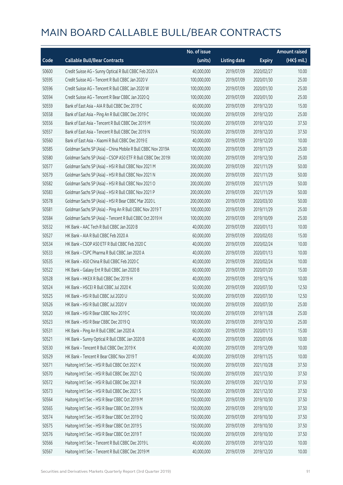|       |                                                              | No. of issue |                     |               | <b>Amount raised</b> |
|-------|--------------------------------------------------------------|--------------|---------------------|---------------|----------------------|
| Code  | <b>Callable Bull/Bear Contracts</b>                          | (units)      | <b>Listing date</b> | <b>Expiry</b> | (HK\$ mil.)          |
| 50600 | Credit Suisse AG - Sunny Optical R Bull CBBC Feb 2020 A      | 40,000,000   | 2019/07/09          | 2020/02/27    | 10.00                |
| 50595 | Credit Suisse AG - Tencent R Bull CBBC Jan 2020 V            | 100,000,000  | 2019/07/09          | 2020/01/30    | 25.00                |
| 50596 | Credit Suisse AG - Tencent R Bull CBBC Jan 2020 W            | 100,000,000  | 2019/07/09          | 2020/01/30    | 25.00                |
| 50594 | Credit Suisse AG - Tencent R Bear CBBC Jan 2020 Q            | 100,000,000  | 2019/07/09          | 2020/01/30    | 25.00                |
| 50559 | Bank of East Asia - AIA R Bull CBBC Dec 2019 C               | 60,000,000   | 2019/07/09          | 2019/12/20    | 15.00                |
| 50558 | Bank of East Asia - Ping An R Bull CBBC Dec 2019 C           | 100,000,000  | 2019/07/09          | 2019/12/20    | 25.00                |
| 50556 | Bank of East Asia - Tencent R Bull CBBC Dec 2019 M           | 150,000,000  | 2019/07/09          | 2019/12/20    | 37.50                |
| 50557 | Bank of East Asia - Tencent R Bull CBBC Dec 2019 N           | 150,000,000  | 2019/07/09          | 2019/12/20    | 37.50                |
| 50560 | Bank of East Asia - Xiaomi R Bull CBBC Dec 2019 E            | 40,000,000   | 2019/07/09          | 2019/12/20    | 10.00                |
| 50585 | Goldman Sachs SP (Asia) - China Mobile R Bull CBBC Nov 2019A | 100,000,000  | 2019/07/09          | 2019/11/29    | 25.00                |
| 50580 | Goldman Sachs SP (Asia) - CSOP A50 ETF R Bull CBBC Dec 20191 | 100,000,000  | 2019/07/09          | 2019/12/30    | 25.00                |
| 50577 | Goldman Sachs SP (Asia) - HSI R Bull CBBC Nov 2021 M         | 200,000,000  | 2019/07/09          | 2021/11/29    | 50.00                |
| 50579 | Goldman Sachs SP (Asia) - HSI R Bull CBBC Nov 2021 N         | 200,000,000  | 2019/07/09          | 2021/11/29    | 50.00                |
| 50582 | Goldman Sachs SP (Asia) - HSI R Bull CBBC Nov 2021 O         | 200,000,000  | 2019/07/09          | 2021/11/29    | 50.00                |
| 50583 | Goldman Sachs SP (Asia) - HSI R Bull CBBC Nov 2021 P         | 200,000,000  | 2019/07/09          | 2021/11/29    | 50.00                |
| 50578 | Goldman Sachs SP (Asia) - HSI R Bear CBBC Mar 2020 L         | 200,000,000  | 2019/07/09          | 2020/03/30    | 50.00                |
| 50581 | Goldman Sachs SP (Asia) - Ping An R Bull CBBC Nov 2019 T     | 100,000,000  | 2019/07/09          | 2019/11/29    | 25.00                |
| 50584 | Goldman Sachs SP (Asia) - Tencent R Bull CBBC Oct 2019 H     | 100,000,000  | 2019/07/09          | 2019/10/09    | 25.00                |
| 50532 | HK Bank - AAC Tech R Bull CBBC Jan 2020 B                    | 40,000,000   | 2019/07/09          | 2020/01/13    | 10.00                |
| 50527 | HK Bank - AIA R Bull CBBC Feb 2020 A                         | 60,000,000   | 2019/07/09          | 2020/02/03    | 15.00                |
| 50534 | HK Bank - CSOP A50 ETF R Bull CBBC Feb 2020 C                | 40,000,000   | 2019/07/09          | 2020/02/24    | 10.00                |
| 50533 | HK Bank - CSPC Pharma R Bull CBBC Jan 2020 A                 | 40,000,000   | 2019/07/09          | 2020/01/13    | 10.00                |
| 50535 | HK Bank - A50 China R Bull CBBC Feb 2020 C                   | 40,000,000   | 2019/07/09          | 2020/02/24    | 10.00                |
| 50522 | HK Bank - Galaxy Ent R Bull CBBC Jan 2020 B                  | 60,000,000   | 2019/07/09          | 2020/01/20    | 15.00                |
| 50528 | HK Bank - HKEX R Bull CBBC Dec 2019 H                        | 40,000,000   | 2019/07/09          | 2019/12/16    | 10.00                |
| 50524 | HK Bank - HSCEI R Bull CBBC Jul 2020 K                       | 50,000,000   | 2019/07/09          | 2020/07/30    | 12.50                |
| 50525 | HK Bank - HSI R Bull CBBC Jul 2020 U                         | 50,000,000   | 2019/07/09          | 2020/07/30    | 12.50                |
| 50526 | HK Bank - HSI R Bull CBBC Jul 2020 V                         | 100,000,000  | 2019/07/09          | 2020/07/30    | 25.00                |
| 50520 | HK Bank - HSI R Bear CBBC Nov 2019 C                         | 100,000,000  | 2019/07/09          | 2019/11/28    | 25.00                |
| 50523 | HK Bank - HSI R Bear CBBC Dec 2019 Q                         | 100,000,000  | 2019/07/09          | 2019/12/30    | 25.00                |
| 50531 | HK Bank - Ping An R Bull CBBC Jan 2020 A                     | 60,000,000   | 2019/07/09          | 2020/01/13    | 15.00                |
| 50521 | HK Bank - Sunny Optical R Bull CBBC Jan 2020 B               | 40,000,000   | 2019/07/09          | 2020/01/06    | 10.00                |
| 50530 | HK Bank - Tencent R Bull CBBC Dec 2019 K                     | 40,000,000   | 2019/07/09          | 2019/12/09    | 10.00                |
| 50529 | HK Bank - Tencent R Bear CBBC Nov 2019 T                     | 40,000,000   | 2019/07/09          | 2019/11/25    | 10.00                |
| 50571 | Haitong Int'l Sec - HSI R Bull CBBC Oct 2021 K               | 150,000,000  | 2019/07/09          | 2021/10/28    | 37.50                |
| 50570 | Haitong Int'l Sec - HSI R Bull CBBC Dec 2021 Q               | 150,000,000  | 2019/07/09          | 2021/12/30    | 37.50                |
| 50572 | Haitong Int'l Sec - HSI R Bull CBBC Dec 2021 R               | 150,000,000  | 2019/07/09          | 2021/12/30    | 37.50                |
| 50573 | Haitong Int'l Sec - HSI R Bull CBBC Dec 2021 S               | 150,000,000  | 2019/07/09          | 2021/12/30    | 37.50                |
| 50564 | Haitong Int'l Sec - HSI R Bear CBBC Oct 2019 M               | 150,000,000  | 2019/07/09          | 2019/10/30    | 37.50                |
| 50565 | Haitong Int'l Sec - HSI R Bear CBBC Oct 2019 N               | 150,000,000  | 2019/07/09          | 2019/10/30    | 37.50                |
| 50574 | Haitong Int'l Sec - HSI R Bear CBBC Oct 2019 Q               | 150,000,000  | 2019/07/09          | 2019/10/30    | 37.50                |
| 50575 | Haitong Int'l Sec - HSI R Bear CBBC Oct 2019 S               | 150,000,000  | 2019/07/09          | 2019/10/30    | 37.50                |
| 50576 | Haitong Int'l Sec - HSI R Bear CBBC Oct 2019 T               | 150,000,000  | 2019/07/09          | 2019/10/30    | 37.50                |
| 50566 | Haitong Int'l Sec - Tencent R Bull CBBC Dec 2019 L           | 40,000,000   | 2019/07/09          | 2019/12/20    | 10.00                |
| 50567 | Haitong Int'l Sec - Tencent R Bull CBBC Dec 2019 M           | 40,000,000   | 2019/07/09          | 2019/12/20    | 10.00                |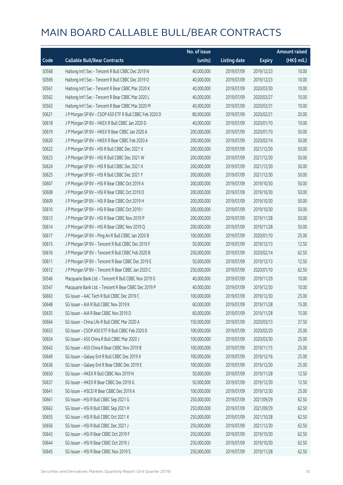|       |                                                        | No. of issue |                     |               | <b>Amount raised</b> |
|-------|--------------------------------------------------------|--------------|---------------------|---------------|----------------------|
| Code  | <b>Callable Bull/Bear Contracts</b>                    | (units)      | <b>Listing date</b> | <b>Expiry</b> | (HK\$ mil.)          |
| 50568 | Haitong Int'l Sec - Tencent R Bull CBBC Dec 2019 N     | 40,000,000   | 2019/07/09          | 2019/12/23    | 10.00                |
| 50569 | Haitong Int'l Sec - Tencent R Bull CBBC Dec 2019 O     | 40,000,000   | 2019/07/09          | 2019/12/23    | 10.00                |
| 50561 | Haitong Int'l Sec - Tencent R Bear CBBC Mar 2020 K     | 40,000,000   | 2019/07/09          | 2020/03/30    | 10.00                |
| 50562 | Haitong Int'l Sec - Tencent R Bear CBBC Mar 2020 L     | 40,000,000   | 2019/07/09          | 2020/03/27    | 10.00                |
| 50563 | Haitong Int'l Sec - Tencent R Bear CBBC Mar 2020 M     | 40,000,000   | 2019/07/09          | 2020/03/31    | 10.00                |
| 50621 | J P Morgan SP BV - CSOP A50 ETF R Bull CBBC Feb 2020 D | 80,000,000   | 2019/07/09          | 2020/02/21    | 20.00                |
| 50618 | J P Morgan SP BV - HKEX R Bull CBBC Jan 2020 D         | 40,000,000   | 2019/07/09          | 2020/01/10    | 10.00                |
| 50619 | J P Morgan SP BV - HKEX R Bear CBBC Jan 2020 A         | 200,000,000  | 2019/07/09          | 2020/01/10    | 50.00                |
| 50620 | J P Morgan SP BV - HKEX R Bear CBBC Feb 2020 A         | 200,000,000  | 2019/07/09          | 2020/02/14    | 50.00                |
| 50622 | J P Morgan SP BV - HSI R Bull CBBC Dec 2021 V          | 200,000,000  | 2019/07/09          | 2021/12/30    | 50.00                |
| 50623 | J P Morgan SP BV - HSI R Bull CBBC Dec 2021 W          | 200,000,000  | 2019/07/09          | 2021/12/30    | 50.00                |
| 50624 | J P Morgan SP BV - HSI R Bull CBBC Dec 2021 X          | 200,000,000  | 2019/07/09          | 2021/12/30    | 50.00                |
| 50625 | J P Morgan SP BV - HSI R Bull CBBC Dec 2021 Y          | 200,000,000  | 2019/07/09          | 2021/12/30    | 50.00                |
| 50607 | J P Morgan SP BV - HSI R Bear CBBC Oct 2019 A          | 200,000,000  | 2019/07/09          | 2019/10/30    | 50.00                |
| 50608 | J P Morgan SP BV - HSI R Bear CBBC Oct 2019 D          | 200,000,000  | 2019/07/09          | 2019/10/30    | 50.00                |
| 50609 | J P Morgan SP BV - HSI R Bear CBBC Oct 2019 H          | 200,000,000  | 2019/07/09          | 2019/10/30    | 50.00                |
| 50610 | JP Morgan SP BV - HSIR Bear CBBC Oct 2019 I            | 200,000,000  | 2019/07/09          | 2019/10/30    | 50.00                |
| 50613 | J P Morgan SP BV - HSI R Bear CBBC Nov 2019 P          | 200,000,000  | 2019/07/09          | 2019/11/28    | 50.00                |
| 50614 | J P Morgan SP BV - HSI R Bear CBBC Nov 2019 Q          | 200,000,000  | 2019/07/09          | 2019/11/28    | 50.00                |
| 50617 | J P Morgan SP BV - Ping An R Bull CBBC Jan 2020 B      | 100,000,000  | 2019/07/09          | 2020/01/10    | 25.00                |
| 50615 | J P Morgan SP BV - Tencent R Bull CBBC Dec 2019 F      | 50,000,000   | 2019/07/09          | 2019/12/13    | 12.50                |
| 50616 | J P Morgan SP BV - Tencent R Bull CBBC Feb 2020 B      | 250,000,000  | 2019/07/09          | 2020/02/14    | 62.50                |
| 50611 | J P Morgan SP BV - Tencent R Bear CBBC Dec 2019 E      | 50,000,000   | 2019/07/09          | 2019/12/13    | 12.50                |
| 50612 | J P Morgan SP BV - Tencent R Bear CBBC Jan 2020 C      | 250,000,000  | 2019/07/09          | 2020/01/10    | 62.50                |
| 50546 | Macquarie Bank Ltd. - Tencent R Bull CBBC Nov 2019 G   | 40,000,000   | 2019/07/09          | 2019/11/29    | 10.00                |
| 50547 | Macquarie Bank Ltd. - Tencent R Bear CBBC Dec 2019 P   | 40,000,000   | 2019/07/09          | 2019/12/30    | 10.00                |
| 50663 | SG Issuer - AAC Tech R Bull CBBC Dec 2019 C            | 100,000,000  | 2019/07/09          | 2019/12/30    | 25.00                |
| 50648 | SG Issuer – AIA R Bull CBBC Nov 2019 K                 | 60,000,000   | 2019/07/09          | 2019/11/28    | 15.00                |
| 50635 | SG Issuer - AIA R Bear CBBC Nov 2019 D                 | 60,000,000   | 2019/07/09          | 2019/11/28    | 15.00                |
| 50664 | SG Issuer - China Life R Bull CBBC Mar 2020 A          | 150,000,000  | 2019/07/09          | 2020/03/13    | 37.50                |
| 50653 | SG Issuer - CSOP A50 ETF R Bull CBBC Feb 2020 D        | 100,000,000  | 2019/07/09          | 2020/02/20    | 25.00                |
| 50654 | SG Issuer - A50 China R Bull CBBC Mar 2020 J           | 100,000,000  | 2019/07/09          | 2020/03/30    | 25.00                |
| 50642 | SG Issuer - A50 China R Bear CBBC Nov 2019 B           | 100,000,000  | 2019/07/09          | 2019/11/15    | 25.00                |
| 50649 | SG Issuer - Galaxy Ent R Bull CBBC Dec 2019 X          | 100,000,000  | 2019/07/09          | 2019/12/16    | 25.00                |
| 50636 | SG Issuer - Galaxy Ent R Bear CBBC Dec 2019 E          | 100,000,000  | 2019/07/09          | 2019/12/30    | 25.00                |
| 50650 | SG Issuer - HKEX R Bull CBBC Nov 2019 N                | 50,000,000   | 2019/07/09          | 2019/11/28    | 12.50                |
| 50637 | SG Issuer - HKEX R Bear CBBC Dec 2019 G                | 50,000,000   | 2019/07/09          | 2019/12/30    | 12.50                |
| 50641 | SG Issuer - HSCEI R Bear CBBC Dec 2019 A               | 100,000,000  | 2019/07/09          | 2019/12/30    | 25.00                |
| 50661 | SG Issuer - HSI R Bull CBBC Sep 2021 G                 | 250,000,000  | 2019/07/09          | 2021/09/29    | 62.50                |
| 50662 | SG Issuer - HSI R Bull CBBC Sep 2021 H                 | 250,000,000  | 2019/07/09          | 2021/09/29    | 62.50                |
| 50655 | SG Issuer - HSI R Bull CBBC Oct 2021 X                 | 250,000,000  | 2019/07/09          | 2021/10/28    | 62.50                |
| 50656 | SG Issuer - HSI R Bull CBBC Dec 2021 J                 | 250,000,000  | 2019/07/09          | 2021/12/30    | 62.50                |
| 50643 | SG Issuer - HSI R Bear CBBC Oct 2019 F                 | 250,000,000  | 2019/07/09          | 2019/10/30    | 62.50                |
| 50644 | SG Issuer - HSI R Bear CBBC Oct 2019 J                 | 250,000,000  | 2019/07/09          | 2019/10/30    | 62.50                |
| 50645 | SG Issuer - HSI R Bear CBBC Nov 2019 S                 | 250,000,000  | 2019/07/09          | 2019/11/28    | 62.50                |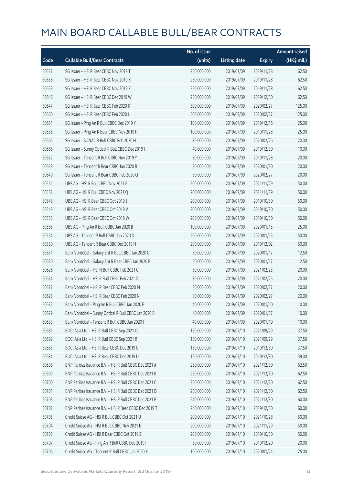|       |                                                        | No. of issue |                     |               | <b>Amount raised</b> |
|-------|--------------------------------------------------------|--------------|---------------------|---------------|----------------------|
| Code  | <b>Callable Bull/Bear Contracts</b>                    | (units)      | <b>Listing date</b> | <b>Expiry</b> | $(HK\$ mil.)         |
| 50657 | SG Issuer - HSI R Bear CBBC Nov 2019 T                 | 250,000,000  | 2019/07/09          | 2019/11/28    | 62.50                |
| 50658 | SG Issuer - HSI R Bear CBBC Nov 2019 X                 | 250,000,000  | 2019/07/09          | 2019/11/28    | 62.50                |
| 50659 | SG Issuer - HSI R Bear CBBC Nov 2019 Z                 | 250,000,000  | 2019/07/09          | 2019/11/28    | 62.50                |
| 50646 | SG Issuer - HSI R Bear CBBC Dec 2019 W                 | 250,000,000  | 2019/07/09          | 2019/12/30    | 62.50                |
| 50647 | SG Issuer - HSI R Bear CBBC Feb 2020 K                 | 500,000,000  | 2019/07/09          | 2020/02/27    | 125.00               |
| 50660 | SG Issuer - HSI R Bear CBBC Feb 2020 L                 | 500,000,000  | 2019/07/09          | 2020/02/27    | 125.00               |
| 50651 | SG Issuer - Ping An R Bull CBBC Dec 2019 Y             | 100,000,000  | 2019/07/09          | 2019/12/16    | 25.00                |
| 50638 | SG Issuer - Ping An R Bear CBBC Nov 2019 F             | 100,000,000  | 2019/07/09          | 2019/11/28    | 25.00                |
| 50665 | SG Issuer - SUNAC R Bull CBBC Feb 2020 H               | 80,000,000   | 2019/07/09          | 2020/02/26    | 20.00                |
| 50666 | SG Issuer - Sunny Optical R Bull CBBC Dec 2019 I       | 40,000,000   | 2019/07/09          | 2019/12/30    | 10.00                |
| 50652 | SG Issuer - Tencent R Bull CBBC Nov 2019 Y             | 80,000,000   | 2019/07/09          | 2019/11/28    | 20.00                |
| 50639 | SG Issuer - Tencent R Bear CBBC Jan 2020 R             | 80,000,000   | 2019/07/09          | 2020/01/30    | 20.00                |
| 50640 | SG Issuer - Tencent R Bear CBBC Feb 2020 Q             | 80,000,000   | 2019/07/09          | 2020/02/27    | 20.00                |
| 50551 | UBS AG - HSI R Bull CBBC Nov 2021 P                    | 200,000,000  | 2019/07/09          | 2021/11/29    | 50.00                |
| 50552 | UBS AG - HSI R Bull CBBC Nov 2021 Q                    | 200,000,000  | 2019/07/09          | 2021/11/29    | 50.00                |
| 50548 | UBS AG - HSI R Bear CBBC Oct 2019 J                    | 200,000,000  | 2019/07/09          | 2019/10/30    | 50.00                |
| 50549 | UBS AG - HSI R Bear CBBC Oct 2019 V                    | 200,000,000  | 2019/07/09          | 2019/10/30    | 50.00                |
| 50553 | UBS AG - HSI R Bear CBBC Oct 2019 W                    | 200,000,000  | 2019/07/09          | 2019/10/30    | 50.00                |
| 50555 | UBS AG - Ping An R Bull CBBC Jan 2020 B                | 100,000,000  | 2019/07/09          | 2020/01/15    | 25.00                |
| 50554 | UBS AG - Tencent R Bull CBBC Jan 2020 D                | 200,000,000  | 2019/07/09          | 2020/01/15    | 50.00                |
| 50550 | UBS AG - Tencent R Bear CBBC Dec 2019 H                | 200,000,000  | 2019/07/09          | 2019/12/02    | 50.00                |
| 50631 | Bank Vontobel - Galaxy Ent R Bull CBBC Jan 2020 C      | 50,000,000   | 2019/07/09          | 2020/01/17    | 12.50                |
| 50630 | Bank Vontobel - Galaxy Ent R Bear CBBC Jan 2020 B      | 50,000,000   | 2019/07/09          | 2020/01/17    | 12.50                |
| 50626 | Bank Vontobel - HSI N Bull CBBC Feb 2021 C             | 80,000,000   | 2019/07/09          | 2021/02/25    | 20.00                |
| 50634 | Bank Vontobel - HSI R Bull CBBC Feb 2021 D             | 80,000,000   | 2019/07/09          | 2021/02/25    | 20.00                |
| 50627 | Bank Vontobel - HSI R Bear CBBC Feb 2020 M             | 80,000,000   | 2019/07/09          | 2020/02/27    | 20.00                |
| 50628 | Bank Vontobel - HSI R Bear CBBC Feb 2020 N             | 80,000,000   | 2019/07/09          | 2020/02/27    | 20.00                |
| 50632 | Bank Vontobel - Ping An R Bull CBBC Jan 2020 E         | 40,000,000   | 2019/07/09          | 2020/01/10    | 10.00                |
| 50629 | Bank Vontobel - Sunny Optical R Bull CBBC Jan 2020 B   | 40,000,000   | 2019/07/09          | 2020/01/17    | 10.00                |
| 50633 | Bank Vontobel - Tencent R Bull CBBC Jan 2020 I         | 40,000,000   | 2019/07/09          | 2020/01/10    | 10.00                |
| 50681 | BOCI Asia Ltd. - HSI R Bull CBBC Sep 2021 Q            | 150,000,000  | 2019/07/10          | 2021/09/29    | 37.50                |
| 50682 | BOCI Asia Ltd. - HSI R Bull CBBC Sep 2021 R            | 150,000,000  | 2019/07/10          | 2021/09/29    | 37.50                |
| 50683 | BOCI Asia Ltd. - HSI R Bear CBBC Dec 2019 C            | 150,000,000  | 2019/07/10          | 2019/12/30    | 37.50                |
| 50684 | BOCI Asia Ltd. - HSI R Bear CBBC Dec 2019 D            | 150,000,000  | 2019/07/10          | 2019/12/30    | 39.00                |
| 50698 | BNP Paribas Issuance B.V. - HSI R Bull CBBC Dec 2021 A | 250,000,000  | 2019/07/10          | 2021/12/30    | 62.50                |
| 50699 | BNP Paribas Issuance B.V. - HSI R Bull CBBC Dec 2021 B | 250,000,000  | 2019/07/10          | 2021/12/30    | 62.50                |
| 50700 | BNP Paribas Issuance B.V. - HSI R Bull CBBC Dec 2021 C | 250,000,000  | 2019/07/10          | 2021/12/30    | 62.50                |
| 50701 | BNP Paribas Issuance B.V. - HSI R Bull CBBC Dec 2021 D | 250,000,000  | 2019/07/10          | 2021/12/30    | 62.50                |
| 50703 | BNP Paribas Issuance B.V. - HSI R Bull CBBC Dec 2021 E | 240,000,000  | 2019/07/10          | 2021/12/30    | 60.00                |
| 50702 | BNP Paribas Issuance B.V. - HSI R Bear CBBC Dec 2019 T | 240,000,000  | 2019/07/10          | 2019/12/30    | 60.00                |
| 50705 | Credit Suisse AG - HSI R Bull CBBC Oct 2021 U          | 200,000,000  | 2019/07/10          | 2021/10/28    | 50.00                |
| 50704 | Credit Suisse AG - HSI R Bull CBBC Nov 2021 E          | 200,000,000  | 2019/07/10          | 2021/11/29    | 50.00                |
| 50708 | Credit Suisse AG - HSI R Bear CBBC Oct 2019 Z          | 200,000,000  | 2019/07/10          | 2019/10/30    | 50.00                |
| 50707 | Credit Suisse AG - Ping An R Bull CBBC Dec 2019 I      | 80,000,000   | 2019/07/10          | 2019/12/20    | 20.00                |
| 50706 | Credit Suisse AG - Tencent R Bull CBBC Jan 2020 X      | 100,000,000  | 2019/07/10          | 2020/01/24    | 25.00                |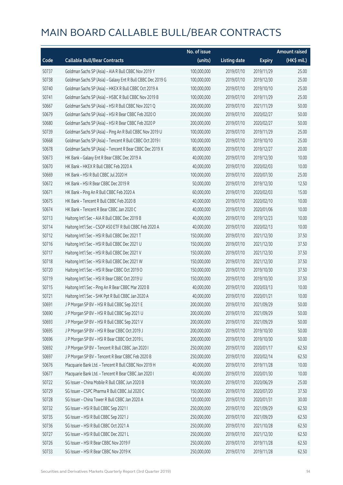|       |                                                             | No. of issue |                     |               | <b>Amount raised</b> |
|-------|-------------------------------------------------------------|--------------|---------------------|---------------|----------------------|
| Code  | <b>Callable Bull/Bear Contracts</b>                         | (units)      | <b>Listing date</b> | <b>Expiry</b> | (HK\$ mil.)          |
| 50737 | Goldman Sachs SP (Asia) - AIA R Bull CBBC Nov 2019 Y        | 100,000,000  | 2019/07/10          | 2019/11/29    | 25.00                |
| 50738 | Goldman Sachs SP (Asia) - Galaxy Ent R Bull CBBC Dec 2019 G | 100,000,000  | 2019/07/10          | 2019/12/30    | 25.00                |
| 50740 | Goldman Sachs SP (Asia) - HKEX R Bull CBBC Oct 2019 A       | 100,000,000  | 2019/07/10          | 2019/10/10    | 25.00                |
| 50741 | Goldman Sachs SP (Asia) - HSBC R Bull CBBC Nov 2019 B       | 100,000,000  | 2019/07/10          | 2019/11/29    | 25.00                |
| 50667 | Goldman Sachs SP (Asia) - HSI R Bull CBBC Nov 2021 Q        | 200,000,000  | 2019/07/10          | 2021/11/29    | 50.00                |
| 50679 | Goldman Sachs SP (Asia) - HSI R Bear CBBC Feb 2020 O        | 200,000,000  | 2019/07/10          | 2020/02/27    | 50.00                |
| 50680 | Goldman Sachs SP (Asia) - HSI R Bear CBBC Feb 2020 P        | 200,000,000  | 2019/07/10          | 2020/02/27    | 50.00                |
| 50739 | Goldman Sachs SP (Asia) - Ping An R Bull CBBC Nov 2019 U    | 100,000,000  | 2019/07/10          | 2019/11/29    | 25.00                |
| 50668 | Goldman Sachs SP (Asia) - Tencent R Bull CBBC Oct 2019 I    | 100,000,000  | 2019/07/10          | 2019/10/10    | 25.00                |
| 50678 | Goldman Sachs SP (Asia) - Tencent R Bear CBBC Dec 2019 X    | 80,000,000   | 2019/07/10          | 2019/12/27    | 20.00                |
| 50673 | HK Bank - Galaxy Ent R Bear CBBC Dec 2019 A                 | 40,000,000   | 2019/07/10          | 2019/12/30    | 10.00                |
| 50670 | HK Bank - HKEX R Bull CBBC Feb 2020 A                       | 40,000,000   | 2019/07/10          | 2020/02/03    | 10.00                |
| 50669 | HK Bank - HSI R Bull CBBC Jul 2020 H                        | 100,000,000  | 2019/07/10          | 2020/07/30    | 25.00                |
| 50672 | HK Bank - HSI R Bear CBBC Dec 2019 R                        | 50,000,000   | 2019/07/10          | 2019/12/30    | 12.50                |
| 50671 | HK Bank - Ping An R Bull CBBC Feb 2020 A                    | 60,000,000   | 2019/07/10          | 2020/02/03    | 15.00                |
| 50675 | HK Bank - Tencent R Bull CBBC Feb 2020 B                    | 40,000,000   | 2019/07/10          | 2020/02/10    | 10.00                |
| 50674 | HK Bank - Tencent R Bear CBBC Jan 2020 C                    | 40,000,000   | 2019/07/10          | 2020/01/06    | 10.00                |
| 50713 | Haitong Int'l Sec - AIA R Bull CBBC Dec 2019 B              | 40,000,000   | 2019/07/10          | 2019/12/23    | 10.00                |
| 50714 | Haitong Int'l Sec - CSOP A50 ETF R Bull CBBC Feb 2020 A     | 40,000,000   | 2019/07/10          | 2020/02/13    | 10.00                |
| 50712 | Haitong Int'l Sec - HSI R Bull CBBC Dec 2021 T              | 150,000,000  | 2019/07/10          | 2021/12/30    | 37.50                |
| 50716 | Haitong Int'l Sec - HSI R Bull CBBC Dec 2021 U              | 150,000,000  | 2019/07/10          | 2021/12/30    | 37.50                |
| 50717 | Haitong Int'l Sec - HSI R Bull CBBC Dec 2021 V              | 150,000,000  | 2019/07/10          | 2021/12/30    | 37.50                |
| 50718 | Haitong Int'l Sec - HSI R Bull CBBC Dec 2021 W              | 150,000,000  | 2019/07/10          | 2021/12/30    | 37.50                |
| 50720 | Haitong Int'l Sec - HSI R Bear CBBC Oct 2019 O              | 150,000,000  | 2019/07/10          | 2019/10/30    | 37.50                |
| 50719 | Haitong Int'l Sec - HSI R Bear CBBC Oct 2019 U              | 150,000,000  | 2019/07/10          | 2019/10/30    | 37.50                |
| 50715 | Haitong Int'l Sec - Ping An R Bear CBBC Mar 2020 B          | 40,000,000   | 2019/07/10          | 2020/03/13    | 10.00                |
| 50721 | Haitong Int'l Sec - SHK Ppt R Bull CBBC Jan 2020 A          | 40,000,000   | 2019/07/10          | 2020/01/21    | 10.00                |
| 50691 | J P Morgan SP BV - HSI R Bull CBBC Sep 2021 E               | 200,000,000  | 2019/07/10          | 2021/09/29    | 50.00                |
| 50690 | J P Morgan SP BV - HSI R Bull CBBC Sep 2021 U               | 200,000,000  | 2019/07/10          | 2021/09/29    | 50.00                |
| 50693 | J P Morgan SP BV - HSI R Bull CBBC Sep 2021 V               | 200,000,000  | 2019/07/10          | 2021/09/29    | 50.00                |
| 50695 | J P Morgan SP BV - HSI R Bear CBBC Oct 2019 J               | 200,000,000  | 2019/07/10          | 2019/10/30    | 50.00                |
| 50696 | J P Morgan SP BV - HSI R Bear CBBC Oct 2019 L               | 200,000,000  | 2019/07/10          | 2019/10/30    | 50.00                |
| 50692 | J P Morgan SP BV - Tencent R Bull CBBC Jan 2020 I           | 250,000,000  | 2019/07/10          | 2020/01/17    | 62.50                |
| 50697 | J P Morgan SP BV - Tencent R Bear CBBC Feb 2020 B           | 250,000,000  | 2019/07/10          | 2020/02/14    | 62.50                |
| 50676 | Macquarie Bank Ltd. - Tencent R Bull CBBC Nov 2019 H        | 40,000,000   | 2019/07/10          | 2019/11/28    | 10.00                |
| 50677 | Macquarie Bank Ltd. - Tencent R Bear CBBC Jan 2020 I        | 40,000,000   | 2019/07/10          | 2020/01/30    | 10.00                |
| 50722 | SG Issuer - China Mobile R Bull CBBC Jun 2020 B             | 100,000,000  | 2019/07/10          | 2020/06/29    | 25.00                |
| 50729 | SG Issuer - CSPC Pharma R Bull CBBC Jul 2020 C              | 150,000,000  | 2019/07/10          | 2020/07/20    | 37.50                |
| 50728 | SG Issuer - China Tower R Bull CBBC Jan 2020 A              | 120,000,000  | 2019/07/10          | 2020/01/31    | 30.00                |
| 50732 | SG Issuer - HSI R Bull CBBC Sep 2021 I                      | 250,000,000  | 2019/07/10          | 2021/09/29    | 62.50                |
| 50735 | SG Issuer - HSI R Bull CBBC Sep 2021 J                      | 250,000,000  | 2019/07/10          | 2021/09/29    | 62.50                |
| 50736 | SG Issuer - HSI R Bull CBBC Oct 2021 A                      | 250,000,000  | 2019/07/10          | 2021/10/28    | 62.50                |
| 50727 | SG Issuer - HSI R Bull CBBC Dec 2021 L                      | 250,000,000  | 2019/07/10          | 2021/12/30    | 62.50                |
| 50726 | SG Issuer - HSI R Bear CBBC Nov 2019 F                      | 250,000,000  | 2019/07/10          | 2019/11/28    | 62.50                |
| 50733 | SG Issuer - HSI R Bear CBBC Nov 2019 K                      | 250,000,000  | 2019/07/10          | 2019/11/28    | 62.50                |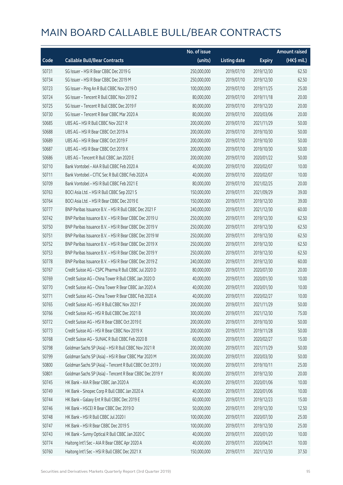|       |                                                          | No. of issue |                     |               | <b>Amount raised</b> |
|-------|----------------------------------------------------------|--------------|---------------------|---------------|----------------------|
| Code  | <b>Callable Bull/Bear Contracts</b>                      | (units)      | <b>Listing date</b> | <b>Expiry</b> | (HK\$ mil.)          |
| 50731 | SG Issuer - HSI R Bear CBBC Dec 2019 G                   | 250,000,000  | 2019/07/10          | 2019/12/30    | 62.50                |
| 50734 | SG Issuer - HSI R Bear CBBC Dec 2019 M                   | 250,000,000  | 2019/07/10          | 2019/12/30    | 62.50                |
| 50723 | SG Issuer - Ping An R Bull CBBC Nov 2019 O               | 100,000,000  | 2019/07/10          | 2019/11/25    | 25.00                |
| 50724 | SG Issuer - Tencent R Bull CBBC Nov 2019 Z               | 80,000,000   | 2019/07/10          | 2019/11/18    | 20.00                |
| 50725 | SG Issuer - Tencent R Bull CBBC Dec 2019 F               | 80,000,000   | 2019/07/10          | 2019/12/20    | 20.00                |
| 50730 | SG Issuer - Tencent R Bear CBBC Mar 2020 A               | 80,000,000   | 2019/07/10          | 2020/03/06    | 20.00                |
| 50685 | UBS AG - HSI R Bull CBBC Nov 2021 R                      | 200,000,000  | 2019/07/10          | 2021/11/29    | 50.00                |
| 50688 | UBS AG - HSI R Bear CBBC Oct 2019 A                      | 200,000,000  | 2019/07/10          | 2019/10/30    | 50.00                |
| 50689 | UBS AG - HSI R Bear CBBC Oct 2019 F                      | 200,000,000  | 2019/07/10          | 2019/10/30    | 50.00                |
| 50687 | UBS AG - HSI R Bear CBBC Oct 2019 X                      | 200,000,000  | 2019/07/10          | 2019/10/30    | 50.00                |
| 50686 | UBS AG - Tencent R Bull CBBC Jan 2020 E                  | 200,000,000  | 2019/07/10          | 2020/01/22    | 50.00                |
| 50710 | Bank Vontobel - AIA R Bull CBBC Feb 2020 A               | 40,000,000   | 2019/07/10          | 2020/02/07    | 10.00                |
| 50711 | Bank Vontobel - CITIC Sec R Bull CBBC Feb 2020 A         | 40,000,000   | 2019/07/10          | 2020/02/07    | 10.00                |
| 50709 | Bank Vontobel - HSI R Bull CBBC Feb 2021 E               | 80,000,000   | 2019/07/10          | 2021/02/25    | 20.00                |
| 50763 | BOCI Asia Ltd. - HSI R Bull CBBC Sep 2021 S              | 150,000,000  | 2019/07/11          | 2021/09/29    | 39.00                |
| 50764 | BOCI Asia Ltd. - HSI R Bear CBBC Dec 2019 E              | 150,000,000  | 2019/07/11          | 2019/12/30    | 39.00                |
| 50777 | BNP Paribas Issuance B.V. - HSI R Bull CBBC Dec 2021 F   | 240,000,000  | 2019/07/11          | 2021/12/30    | 60.00                |
| 50742 | BNP Paribas Issuance B.V. - HSI R Bear CBBC Dec 2019 U   | 250,000,000  | 2019/07/11          | 2019/12/30    | 62.50                |
| 50750 | BNP Paribas Issuance B.V. - HSI R Bear CBBC Dec 2019 V   | 250,000,000  | 2019/07/11          | 2019/12/30    | 62.50                |
| 50751 | BNP Paribas Issuance B.V. - HSI R Bear CBBC Dec 2019 W   | 250,000,000  | 2019/07/11          | 2019/12/30    | 62.50                |
| 50752 | BNP Paribas Issuance B.V. - HSI R Bear CBBC Dec 2019 X   | 250,000,000  | 2019/07/11          | 2019/12/30    | 62.50                |
| 50753 | BNP Paribas Issuance B.V. - HSI R Bear CBBC Dec 2019 Y   | 250,000,000  | 2019/07/11          | 2019/12/30    | 62.50                |
| 50778 | BNP Paribas Issuance B.V. - HSI R Bear CBBC Dec 2019 Z   | 240,000,000  | 2019/07/11          | 2019/12/30    | 60.00                |
| 50767 | Credit Suisse AG - CSPC Pharma R Bull CBBC Jul 2020 D    | 80,000,000   | 2019/07/11          | 2020/07/30    | 20.00                |
| 50769 | Credit Suisse AG - China Tower R Bull CBBC Jan 2020 D    | 40,000,000   | 2019/07/11          | 2020/01/30    | 10.00                |
| 50770 | Credit Suisse AG - China Tower R Bear CBBC Jan 2020 A    | 40,000,000   | 2019/07/11          | 2020/01/30    | 10.00                |
| 50771 | Credit Suisse AG - China Tower R Bear CBBC Feb 2020 A    | 40,000,000   | 2019/07/11          | 2020/02/27    | 10.00                |
| 50765 | Credit Suisse AG - HSI R Bull CBBC Nov 2021 F            | 200,000,000  | 2019/07/11          | 2021/11/29    | 50.00                |
| 50766 | Credit Suisse AG - HSI R Bull CBBC Dec 2021 B            | 300,000,000  | 2019/07/11          | 2021/12/30    | 75.00                |
| 50772 | Credit Suisse AG - HSI R Bear CBBC Oct 2019 E            | 200,000,000  | 2019/07/11          | 2019/10/30    | 50.00                |
| 50773 | Credit Suisse AG - HSI R Bear CBBC Nov 2019 X            | 200,000,000  | 2019/07/11          | 2019/11/28    | 50.00                |
| 50768 | Credit Suisse AG - SUNAC R Bull CBBC Feb 2020 B          | 60,000,000   | 2019/07/11          | 2020/02/27    | 15.00                |
| 50798 | Goldman Sachs SP (Asia) - HSI R Bull CBBC Nov 2021 R     | 200,000,000  | 2019/07/11          | 2021/11/29    | 50.00                |
| 50799 | Goldman Sachs SP (Asia) - HSI R Bear CBBC Mar 2020 M     | 200,000,000  | 2019/07/11          | 2020/03/30    | 50.00                |
| 50800 | Goldman Sachs SP (Asia) - Tencent R Bull CBBC Oct 2019 J | 100,000,000  | 2019/07/11          | 2019/10/11    | 25.00                |
| 50801 | Goldman Sachs SP (Asia) - Tencent R Bear CBBC Dec 2019 Y | 80,000,000   | 2019/07/11          | 2019/12/30    | 20.00                |
| 50745 | HK Bank - AIA R Bear CBBC Jan 2020 A                     | 40,000,000   | 2019/07/11          | 2020/01/06    | 10.00                |
| 50749 | HK Bank - Sinopec Corp R Bull CBBC Jan 2020 A            | 40,000,000   | 2019/07/11          | 2020/01/06    | 10.00                |
| 50744 | HK Bank - Galaxy Ent R Bull CBBC Dec 2019 E              | 60,000,000   | 2019/07/11          | 2019/12/23    | 15.00                |
| 50746 | HK Bank - HSCEI R Bear CBBC Dec 2019 D                   | 50,000,000   | 2019/07/11          | 2019/12/30    | 12.50                |
| 50748 | HK Bank - HSI R Bull CBBC Jul 2020 I                     | 100,000,000  | 2019/07/11          | 2020/07/30    | 25.00                |
| 50747 | HK Bank - HSI R Bear CBBC Dec 2019 S                     | 100,000,000  | 2019/07/11          | 2019/12/30    | 25.00                |
| 50743 | HK Bank - Sunny Optical R Bull CBBC Jan 2020 C           | 40,000,000   | 2019/07/11          | 2020/01/20    | 10.00                |
| 50774 | Haitong Int'l Sec - AIA R Bear CBBC Apr 2020 A           | 40,000,000   | 2019/07/11          | 2020/04/21    | 10.00                |
| 50760 | Haitong Int'l Sec - HSI R Bull CBBC Dec 2021 X           | 150,000,000  | 2019/07/11          | 2021/12/30    | 37.50                |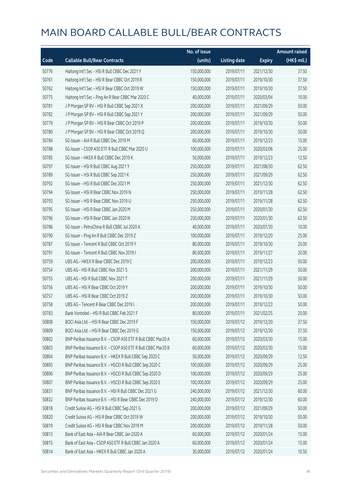|       |                                                              | No. of issue |                     |               | <b>Amount raised</b> |
|-------|--------------------------------------------------------------|--------------|---------------------|---------------|----------------------|
| Code  | <b>Callable Bull/Bear Contracts</b>                          | (units)      | <b>Listing date</b> | <b>Expiry</b> | (HK\$ mil.)          |
| 50776 | Haitong Int'l Sec - HSI R Bull CBBC Dec 2021 Y               | 150,000,000  | 2019/07/11          | 2021/12/30    | 37.50                |
| 50761 | Haitong Int'l Sec - HSI R Bear CBBC Oct 2019 R               | 150,000,000  | 2019/07/11          | 2019/10/30    | 37.50                |
| 50762 | Haitong Int'l Sec - HSI R Bear CBBC Oct 2019 W               | 150,000,000  | 2019/07/11          | 2019/10/30    | 37.50                |
| 50775 | Haitong Int'l Sec - Ping An R Bear CBBC Mar 2020 C           | 40,000,000   | 2019/07/11          | 2020/03/04    | 10.00                |
| 50781 | J P Morgan SP BV - HSI R Bull CBBC Sep 2021 X                | 200,000,000  | 2019/07/11          | 2021/09/29    | 50.00                |
| 50782 | J P Morgan SP BV - HSI R Bull CBBC Sep 2021 Y                | 200,000,000  | 2019/07/11          | 2021/09/29    | 50.00                |
| 50779 | J P Morgan SP BV - HSI R Bear CBBC Oct 2019 P                | 200,000,000  | 2019/07/11          | 2019/10/30    | 50.00                |
| 50780 | J P Morgan SP BV - HSI R Bear CBBC Oct 2019 Q                | 200,000,000  | 2019/07/11          | 2019/10/30    | 50.00                |
| 50784 | SG Issuer - AIA R Bull CBBC Dec 2019 M                       | 60,000,000   | 2019/07/11          | 2019/12/23    | 15.00                |
| 50788 | SG Issuer - CSOP A50 ETF R Bull CBBC Mar 2020 U              | 100,000,000  | 2019/07/11          | 2020/03/06    | 25.00                |
| 50785 | SG Issuer - HKEX R Bull CBBC Dec 2019 K                      | 50,000,000   | 2019/07/11          | 2019/12/23    | 12.50                |
| 50797 | SG Issuer - HSI R Bull CBBC Aug 2021 Y                       | 250,000,000  | 2019/07/11          | 2021/08/30    | 62.50                |
| 50789 | SG Issuer - HSI R Bull CBBC Sep 2021 K                       | 250,000,000  | 2019/07/11          | 2021/09/29    | 62.50                |
| 50792 | SG Issuer - HSI R Bull CBBC Dec 2021 M                       | 250,000,000  | 2019/07/11          | 2021/12/30    | 62.50                |
| 50794 | SG Issuer - HSI R Bear CBBC Nov 2019 N                       | 250,000,000  | 2019/07/11          | 2019/11/28    | 62.50                |
| 50793 | SG Issuer - HSI R Bear CBBC Nov 2019 U                       | 250,000,000  | 2019/07/11          | 2019/11/28    | 62.50                |
| 50795 | SG Issuer - HSI R Bear CBBC Jan 2020 M                       | 250,000,000  | 2019/07/11          | 2020/01/30    | 62.50                |
| 50796 | SG Issuer - HSI R Bear CBBC Jan 2020 N                       | 250,000,000  | 2019/07/11          | 2020/01/30    | 62.50                |
| 50786 | SG Issuer - PetroChina R Bull CBBC Jul 2020 A                | 40,000,000   | 2019/07/11          | 2020/07/30    | 10.00                |
| 50790 | SG Issuer - Ping An R Bull CBBC Dec 2019 Z                   | 100,000,000  | 2019/07/11          | 2019/12/20    | 25.00                |
| 50787 | SG Issuer - Tencent R Bull CBBC Oct 2019 Y                   | 80,000,000   | 2019/07/11          | 2019/10/30    | 20.00                |
| 50791 | SG Issuer - Tencent R Bull CBBC Nov 2019 I                   | 80,000,000   | 2019/07/11          | 2019/11/27    | 20.00                |
| 50759 | UBS AG - HKEX R Bear CBBC Dec 2019 C                         | 200,000,000  | 2019/07/11          | 2019/12/23    | 50.00                |
| 50754 | UBS AG - HSI R Bull CBBC Nov 2021 S                          | 200,000,000  | 2019/07/11          | 2021/11/29    | 50.00                |
| 50755 | UBS AG - HSI R Bull CBBC Nov 2021 T                          | 200,000,000  | 2019/07/11          | 2021/11/29    | 50.00                |
| 50756 | UBS AG - HSI R Bear CBBC Oct 2019 Y                          | 200,000,000  | 2019/07/11          | 2019/10/30    | 50.00                |
| 50757 | UBS AG - HSI R Bear CBBC Oct 2019 Z                          | 200,000,000  | 2019/07/11          | 2019/10/30    | 50.00                |
| 50758 | UBS AG - Tencent R Bear CBBC Dec 2019 L                      | 200,000,000  | 2019/07/11          | 2019/12/23    | 50.00                |
| 50783 | Bank Vontobel - HSI R Bull CBBC Feb 2021 F                   | 80,000,000   | 2019/07/11          | 2021/02/25    | 20.00                |
| 50808 | BOCI Asia Ltd. - HSI R Bear CBBC Dec 2019 F                  | 150,000,000  | 2019/07/12          | 2019/12/30    | 37.50                |
| 50809 | BOCI Asia Ltd. - HSI R Bear CBBC Dec 2019 G                  | 150,000,000  | 2019/07/12          | 2019/12/30    | 37.50                |
| 50802 | BNP Paribas Issuance B.V. - CSOP A50 ETF R Bull CBBC Mar20 A | 60,000,000   | 2019/07/12          | 2020/03/30    | 15.00                |
| 50803 | BNP Paribas Issuance B.V. - CSOP A50 ETF R Bull CBBC Mar20 B | 60,000,000   | 2019/07/12          | 2020/03/30    | 15.00                |
| 50804 | BNP Paribas Issuance B.V. - HKEX R Bull CBBC Sep 2020 C      | 50,000,000   | 2019/07/12          | 2020/09/29    | 12.50                |
| 50805 | BNP Paribas Issuance B.V. - HSCEI R Bull CBBC Sep 2020 C     | 100,000,000  | 2019/07/12          | 2020/09/29    | 25.00                |
| 50806 | BNP Paribas Issuance B.V. - HSCEI R Bull CBBC Sep 2020 D     | 100,000,000  | 2019/07/12          | 2020/09/29    | 25.00                |
| 50807 | BNP Paribas Issuance B.V. - HSCEI R Bull CBBC Sep 2020 E     | 100,000,000  | 2019/07/12          | 2020/09/29    | 25.00                |
| 50831 | BNP Paribas Issuance B.V. - HSI R Bull CBBC Dec 2021 G       | 240,000,000  | 2019/07/12          | 2021/12/30    | 60.00                |
| 50832 | BNP Paribas Issuance B.V. - HSI R Bear CBBC Dec 2019 D       | 240,000,000  | 2019/07/12          | 2019/12/30    | 60.00                |
| 50818 | Credit Suisse AG - HSI R Bull CBBC Sep 2021 G                | 200,000,000  | 2019/07/12          | 2021/09/29    | 50.00                |
| 50820 | Credit Suisse AG - HSI R Bear CBBC Oct 2019 W                | 200,000,000  | 2019/07/12          | 2019/10/30    | 50.00                |
| 50819 | Credit Suisse AG - HSI R Bear CBBC Nov 2019 M                | 200,000,000  | 2019/07/12          | 2019/11/28    | 50.00                |
| 50813 | Bank of East Asia - AIA R Bear CBBC Jan 2020 A               | 60,000,000   | 2019/07/12          | 2020/01/24    | 15.00                |
| 50815 | Bank of East Asia - CSOP A50 ETF R Bull CBBC Jan 2020 A      | 60,000,000   | 2019/07/12          | 2020/01/24    | 15.00                |
| 50814 | Bank of East Asia - HKEX R Bull CBBC Jan 2020 A              | 30,000,000   | 2019/07/12          | 2020/01/24    | 10.50                |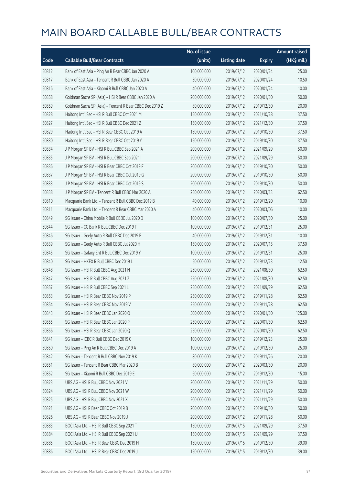|       |                                                          | No. of issue |                     |               | <b>Amount raised</b> |
|-------|----------------------------------------------------------|--------------|---------------------|---------------|----------------------|
| Code  | <b>Callable Bull/Bear Contracts</b>                      | (units)      | <b>Listing date</b> | <b>Expiry</b> | (HK\$ mil.)          |
| 50812 | Bank of East Asia - Ping An R Bear CBBC Jan 2020 A       | 100,000,000  | 2019/07/12          | 2020/01/24    | 25.00                |
| 50817 | Bank of East Asia - Tencent R Bull CBBC Jan 2020 A       | 30,000,000   | 2019/07/12          | 2020/01/24    | 10.50                |
| 50816 | Bank of East Asia - Xiaomi R Bull CBBC Jan 2020 A        | 40,000,000   | 2019/07/12          | 2020/01/24    | 10.00                |
| 50858 | Goldman Sachs SP (Asia) - HSI R Bear CBBC Jan 2020 A     | 200,000,000  | 2019/07/12          | 2020/01/30    | 50.00                |
| 50859 | Goldman Sachs SP (Asia) - Tencent R Bear CBBC Dec 2019 Z | 80,000,000   | 2019/07/12          | 2019/12/30    | 20.00                |
| 50828 | Haitong Int'l Sec - HSI R Bull CBBC Oct 2021 M           | 150,000,000  | 2019/07/12          | 2021/10/28    | 37.50                |
| 50827 | Haitong Int'l Sec - HSI R Bull CBBC Dec 2021 Z           | 150,000,000  | 2019/07/12          | 2021/12/30    | 37.50                |
| 50829 | Haitong Int'l Sec - HSI R Bear CBBC Oct 2019 A           | 150,000,000  | 2019/07/12          | 2019/10/30    | 37.50                |
| 50830 | Haitong Int'l Sec - HSI R Bear CBBC Oct 2019 Y           | 150,000,000  | 2019/07/12          | 2019/10/30    | 37.50                |
| 50834 | J P Morgan SP BV - HSI R Bull CBBC Sep 2021 A            | 200,000,000  | 2019/07/12          | 2021/09/29    | 50.00                |
| 50835 | J P Morgan SP BV - HSI R Bull CBBC Sep 2021 I            | 200,000,000  | 2019/07/12          | 2021/09/29    | 50.00                |
| 50836 | J P Morgan SP BV - HSI R Bear CBBC Oct 2019 F            | 200,000,000  | 2019/07/12          | 2019/10/30    | 50.00                |
| 50837 | J P Morgan SP BV - HSI R Bear CBBC Oct 2019 G            | 200,000,000  | 2019/07/12          | 2019/10/30    | 50.00                |
| 50833 | JP Morgan SP BV - HSIR Bear CBBC Oct 2019 S              | 200,000,000  | 2019/07/12          | 2019/10/30    | 50.00                |
| 50838 | J P Morgan SP BV - Tencent R Bull CBBC Mar 2020 A        | 250,000,000  | 2019/07/12          | 2020/03/13    | 62.50                |
| 50810 | Macquarie Bank Ltd. - Tencent R Bull CBBC Dec 2019 B     | 40,000,000   | 2019/07/12          | 2019/12/20    | 10.00                |
| 50811 | Macquarie Bank Ltd. - Tencent R Bear CBBC Mar 2020 A     | 40,000,000   | 2019/07/12          | 2020/03/06    | 10.00                |
| 50849 | SG Issuer - China Mobile R Bull CBBC Jul 2020 D          | 100,000,000  | 2019/07/12          | 2020/07/30    | 25.00                |
| 50844 | SG Issuer - CC Bank R Bull CBBC Dec 2019 F               | 100,000,000  | 2019/07/12          | 2019/12/31    | 25.00                |
| 50846 | SG Issuer - Geely Auto R Bull CBBC Dec 2019 B            | 40,000,000   | 2019/07/12          | 2019/12/31    | 10.00                |
| 50839 | SG Issuer - Geely Auto R Bull CBBC Jul 2020 H            | 150,000,000  | 2019/07/12          | 2020/07/15    | 37.50                |
| 50845 | SG Issuer - Galaxy Ent R Bull CBBC Dec 2019 Y            | 100,000,000  | 2019/07/12          | 2019/12/31    | 25.00                |
| 50840 | SG Issuer - HKEX R Bull CBBC Dec 2019 L                  | 50,000,000   | 2019/07/12          | 2019/12/23    | 12.50                |
| 50848 | SG Issuer - HSI R Bull CBBC Aug 2021 N                   | 250,000,000  | 2019/07/12          | 2021/08/30    | 62.50                |
| 50847 | SG Issuer - HSI R Bull CBBC Aug 2021 Z                   | 250,000,000  | 2019/07/12          | 2021/08/30    | 62.50                |
| 50857 | SG Issuer - HSI R Bull CBBC Sep 2021 L                   | 250,000,000  | 2019/07/12          | 2021/09/29    | 62.50                |
| 50853 | SG Issuer - HSI R Bear CBBC Nov 2019 P                   | 250,000,000  | 2019/07/12          | 2019/11/28    | 62.50                |
| 50854 | SG Issuer - HSI R Bear CBBC Nov 2019 V                   | 250,000,000  | 2019/07/12          | 2019/11/28    | 62.50                |
| 50843 | SG Issuer - HSI R Bear CBBC Jan 2020 O                   | 500,000,000  | 2019/07/12          | 2020/01/30    | 125.00               |
| 50855 | SG Issuer - HSI R Bear CBBC Jan 2020 P                   | 250,000,000  | 2019/07/12          | 2020/01/30    | 62.50                |
| 50856 | SG Issuer - HSI R Bear CBBC Jan 2020 Q                   | 250,000,000  | 2019/07/12          | 2020/01/30    | 62.50                |
| 50841 | SG Issuer - ICBC R Bull CBBC Dec 2019 C                  | 100,000,000  | 2019/07/12          | 2019/12/23    | 25.00                |
| 50850 | SG Issuer - Ping An R Bull CBBC Dec 2019 A               | 100,000,000  | 2019/07/12          | 2019/12/30    | 25.00                |
| 50842 | SG Issuer - Tencent R Bull CBBC Nov 2019 K               | 80,000,000   | 2019/07/12          | 2019/11/26    | 20.00                |
| 50851 | SG Issuer - Tencent R Bear CBBC Mar 2020 B               | 80,000,000   | 2019/07/12          | 2020/03/30    | 20.00                |
| 50852 | SG Issuer - Xiaomi R Bull CBBC Dec 2019 E                | 60,000,000   | 2019/07/12          | 2019/12/30    | 15.00                |
| 50823 | UBS AG - HSI R Bull CBBC Nov 2021 V                      | 200,000,000  | 2019/07/12          | 2021/11/29    | 50.00                |
| 50824 | UBS AG - HSI R Bull CBBC Nov 2021 W                      | 200,000,000  | 2019/07/12          | 2021/11/29    | 50.00                |
| 50825 | UBS AG - HSI R Bull CBBC Nov 2021 X                      | 200,000,000  | 2019/07/12          | 2021/11/29    | 50.00                |
| 50821 | UBS AG - HSI R Bear CBBC Oct 2019 B                      | 200,000,000  | 2019/07/12          | 2019/10/30    | 50.00                |
| 50826 | UBS AG - HSI R Bear CBBC Nov 2019 J                      | 200,000,000  | 2019/07/12          | 2019/11/28    | 50.00                |
| 50883 | BOCI Asia Ltd. - HSI R Bull CBBC Sep 2021 T              | 150,000,000  | 2019/07/15          | 2021/09/29    | 37.50                |
| 50884 | BOCI Asia Ltd. - HSI R Bull CBBC Sep 2021 U              | 150,000,000  | 2019/07/15          | 2021/09/29    | 37.50                |
| 50885 | BOCI Asia Ltd. - HSI R Bear CBBC Dec 2019 H              | 150,000,000  | 2019/07/15          | 2019/12/30    | 39.00                |
| 50886 | BOCI Asia Ltd. - HSI R Bear CBBC Dec 2019 J              | 150,000,000  | 2019/07/15          | 2019/12/30    | 39.00                |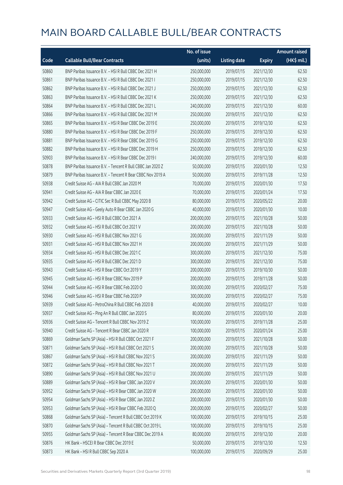|       |                                                            | No. of issue |                     |               | <b>Amount raised</b> |
|-------|------------------------------------------------------------|--------------|---------------------|---------------|----------------------|
| Code  | <b>Callable Bull/Bear Contracts</b>                        | (units)      | <b>Listing date</b> | <b>Expiry</b> | (HK\$ mil.)          |
| 50860 | BNP Paribas Issuance B.V. - HSI R Bull CBBC Dec 2021 H     | 250,000,000  | 2019/07/15          | 2021/12/30    | 62.50                |
| 50861 | BNP Paribas Issuance B.V. - HSI R Bull CBBC Dec 2021 I     | 250,000,000  | 2019/07/15          | 2021/12/30    | 62.50                |
| 50862 | BNP Paribas Issuance B.V. - HSI R Bull CBBC Dec 2021 J     | 250,000,000  | 2019/07/15          | 2021/12/30    | 62.50                |
| 50863 | BNP Paribas Issuance B.V. - HSI R Bull CBBC Dec 2021 K     | 250,000,000  | 2019/07/15          | 2021/12/30    | 62.50                |
| 50864 | BNP Paribas Issuance B.V. - HSI R Bull CBBC Dec 2021 L     | 240,000,000  | 2019/07/15          | 2021/12/30    | 60.00                |
| 50866 | BNP Paribas Issuance B.V. - HSI R Bull CBBC Dec 2021 M     | 250,000,000  | 2019/07/15          | 2021/12/30    | 62.50                |
| 50865 | BNP Paribas Issuance B.V. - HSI R Bear CBBC Dec 2019 E     | 250,000,000  | 2019/07/15          | 2019/12/30    | 62.50                |
| 50880 | BNP Paribas Issuance B.V. - HSI R Bear CBBC Dec 2019 F     | 250,000,000  | 2019/07/15          | 2019/12/30    | 62.50                |
| 50881 | BNP Paribas Issuance B.V. - HSI R Bear CBBC Dec 2019 G     | 250,000,000  | 2019/07/15          | 2019/12/30    | 62.50                |
| 50882 | BNP Paribas Issuance B.V. - HSI R Bear CBBC Dec 2019 H     | 250,000,000  | 2019/07/15          | 2019/12/30    | 62.50                |
| 50903 | BNP Paribas Issuance B.V. - HSI R Bear CBBC Dec 2019 I     | 240,000,000  | 2019/07/15          | 2019/12/30    | 60.00                |
| 50878 | BNP Paribas Issuance B.V. - Tencent R Bull CBBC Jan 2020 Z | 50,000,000   | 2019/07/15          | 2020/01/30    | 12.50                |
| 50879 | BNP Paribas Issuance B.V. - Tencent R Bear CBBC Nov 2019 A | 50,000,000   | 2019/07/15          | 2019/11/28    | 12.50                |
| 50938 | Credit Suisse AG - AIA R Bull CBBC Jan 2020 M              | 70,000,000   | 2019/07/15          | 2020/01/30    | 17.50                |
| 50941 | Credit Suisse AG - AIA R Bear CBBC Jan 2020 E              | 70,000,000   | 2019/07/15          | 2020/01/24    | 17.50                |
| 50942 | Credit Suisse AG - CITIC Sec R Bull CBBC May 2020 B        | 80,000,000   | 2019/07/15          | 2020/05/22    | 20.00                |
| 50947 | Credit Suisse AG - Geely Auto R Bear CBBC Jan 2020 G       | 40,000,000   | 2019/07/15          | 2020/01/30    | 10.00                |
| 50933 | Credit Suisse AG - HSI R Bull CBBC Oct 2021 A              | 200,000,000  | 2019/07/15          | 2021/10/28    | 50.00                |
| 50932 | Credit Suisse AG - HSI R Bull CBBC Oct 2021 V              | 200,000,000  | 2019/07/15          | 2021/10/28    | 50.00                |
| 50930 | Credit Suisse AG - HSI R Bull CBBC Nov 2021 G              | 200,000,000  | 2019/07/15          | 2021/11/29    | 50.00                |
| 50931 | Credit Suisse AG - HSI R Bull CBBC Nov 2021 H              | 200,000,000  | 2019/07/15          | 2021/11/29    | 50.00                |
| 50934 | Credit Suisse AG - HSI R Bull CBBC Dec 2021 C              | 300,000,000  | 2019/07/15          | 2021/12/30    | 75.00                |
| 50935 | Credit Suisse AG - HSI R Bull CBBC Dec 2021 D              | 300,000,000  | 2019/07/15          | 2021/12/30    | 75.00                |
| 50943 | Credit Suisse AG - HSI R Bear CBBC Oct 2019 Y              | 200,000,000  | 2019/07/15          | 2019/10/30    | 50.00                |
| 50945 | Credit Suisse AG - HSI R Bear CBBC Nov 2019 P              | 200,000,000  | 2019/07/15          | 2019/11/28    | 50.00                |
| 50944 | Credit Suisse AG - HSI R Bear CBBC Feb 2020 O              | 300,000,000  | 2019/07/15          | 2020/02/27    | 75.00                |
| 50946 | Credit Suisse AG - HSI R Bear CBBC Feb 2020 P              | 300,000,000  | 2019/07/15          | 2020/02/27    | 75.00                |
| 50939 | Credit Suisse AG - PetroChina R Bull CBBC Feb 2020 B       | 40,000,000   | 2019/07/15          | 2020/02/27    | 10.00                |
| 50937 | Credit Suisse AG - Ping An R Bull CBBC Jan 2020 S          | 80,000,000   | 2019/07/15          | 2020/01/30    | 20.00                |
| 50936 | Credit Suisse AG - Tencent R Bull CBBC Nov 2019 Z          | 100,000,000  | 2019/07/15          | 2019/11/28    | 25.00                |
| 50940 | Credit Suisse AG - Tencent R Bear CBBC Jan 2020 R          | 100,000,000  | 2019/07/15          | 2020/01/24    | 25.00                |
| 50869 | Goldman Sachs SP (Asia) - HSI R Bull CBBC Oct 2021 F       | 200,000,000  | 2019/07/15          | 2021/10/28    | 50.00                |
| 50871 | Goldman Sachs SP (Asia) - HSI R Bull CBBC Oct 2021 S       | 200,000,000  | 2019/07/15          | 2021/10/28    | 50.00                |
| 50867 | Goldman Sachs SP (Asia) - HSI R Bull CBBC Nov 2021 S       | 200,000,000  | 2019/07/15          | 2021/11/29    | 50.00                |
| 50872 | Goldman Sachs SP (Asia) - HSI R Bull CBBC Nov 2021 T       | 200,000,000  | 2019/07/15          | 2021/11/29    | 50.00                |
| 50890 | Goldman Sachs SP (Asia) - HSI R Bull CBBC Nov 2021 U       | 200,000,000  | 2019/07/15          | 2021/11/29    | 50.00                |
| 50889 | Goldman Sachs SP (Asia) - HSI R Bear CBBC Jan 2020 V       | 200,000,000  | 2019/07/15          | 2020/01/30    | 50.00                |
| 50952 | Goldman Sachs SP (Asia) - HSI R Bear CBBC Jan 2020 W       | 200,000,000  | 2019/07/15          | 2020/01/30    | 50.00                |
| 50954 | Goldman Sachs SP (Asia) - HSI R Bear CBBC Jan 2020 Z       | 200,000,000  | 2019/07/15          | 2020/01/30    | 50.00                |
| 50953 | Goldman Sachs SP (Asia) - HSI R Bear CBBC Feb 2020 Q       | 200,000,000  | 2019/07/15          | 2020/02/27    | 50.00                |
| 50868 | Goldman Sachs SP (Asia) - Tencent R Bull CBBC Oct 2019 K   | 100,000,000  | 2019/07/15          | 2019/10/15    | 25.00                |
| 50870 | Goldman Sachs SP (Asia) - Tencent R Bull CBBC Oct 2019 L   | 100,000,000  | 2019/07/15          | 2019/10/15    | 25.00                |
| 50955 | Goldman Sachs SP (Asia) - Tencent R Bear CBBC Dec 2019 A   | 80,000,000   | 2019/07/15          | 2019/12/30    | 20.00                |
| 50876 | HK Bank - HSCEI R Bear CBBC Dec 2019 E                     | 50,000,000   | 2019/07/15          | 2019/12/30    | 12.50                |
| 50873 | HK Bank - HSI R Bull CBBC Sep 2020 A                       | 100,000,000  | 2019/07/15          | 2020/09/29    | 25.00                |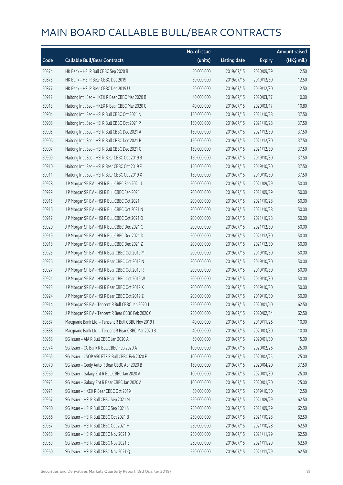|       |                                                      | No. of issue |                     |               | <b>Amount raised</b> |
|-------|------------------------------------------------------|--------------|---------------------|---------------|----------------------|
| Code  | <b>Callable Bull/Bear Contracts</b>                  | (units)      | <b>Listing date</b> | <b>Expiry</b> | (HK\$ mil.)          |
| 50874 | HK Bank - HSI R Bull CBBC Sep 2020 B                 | 50,000,000   | 2019/07/15          | 2020/09/29    | 12.50                |
| 50875 | HK Bank - HSI R Bear CBBC Dec 2019 T                 | 50,000,000   | 2019/07/15          | 2019/12/30    | 12.50                |
| 50877 | HK Bank - HSI R Bear CBBC Dec 2019 U                 | 50,000,000   | 2019/07/15          | 2019/12/30    | 12.50                |
| 50912 | Haitong Int'l Sec - HKEX R Bear CBBC Mar 2020 B      | 40,000,000   | 2019/07/15          | 2020/03/17    | 10.00                |
| 50913 | Haitong Int'l Sec - HKEX R Bear CBBC Mar 2020 C      | 40,000,000   | 2019/07/15          | 2020/03/17    | 10.80                |
| 50904 | Haitong Int'l Sec - HSI R Bull CBBC Oct 2021 N       | 150,000,000  | 2019/07/15          | 2021/10/28    | 37.50                |
| 50908 | Haitong Int'l Sec - HSI R Bull CBBC Oct 2021 P       | 150,000,000  | 2019/07/15          | 2021/10/28    | 37.50                |
| 50905 | Haitong Int'l Sec - HSI R Bull CBBC Dec 2021 A       | 150,000,000  | 2019/07/15          | 2021/12/30    | 37.50                |
| 50906 | Haitong Int'l Sec - HSI R Bull CBBC Dec 2021 B       | 150,000,000  | 2019/07/15          | 2021/12/30    | 37.50                |
| 50907 | Haitong Int'l Sec - HSI R Bull CBBC Dec 2021 C       | 150,000,000  | 2019/07/15          | 2021/12/30    | 37.50                |
| 50909 | Haitong Int'l Sec - HSI R Bear CBBC Oct 2019 B       | 150,000,000  | 2019/07/15          | 2019/10/30    | 37.50                |
| 50910 | Haitong Int'l Sec - HSI R Bear CBBC Oct 2019 F       | 150,000,000  | 2019/07/15          | 2019/10/30    | 37.50                |
| 50911 | Haitong Int'l Sec - HSI R Bear CBBC Oct 2019 X       | 150,000,000  | 2019/07/15          | 2019/10/30    | 37.50                |
| 50928 | J P Morgan SP BV - HSI R Bull CBBC Sep 2021 J        | 200,000,000  | 2019/07/15          | 2021/09/29    | 50.00                |
| 50929 | J P Morgan SP BV - HSI R Bull CBBC Sep 2021 L        | 200,000,000  | 2019/07/15          | 2021/09/29    | 50.00                |
| 50915 | J P Morgan SP BV - HSI R Bull CBBC Oct 2021 I        | 200,000,000  | 2019/07/15          | 2021/10/28    | 50.00                |
| 50916 | J P Morgan SP BV - HSI R Bull CBBC Oct 2021 N        | 200,000,000  | 2019/07/15          | 2021/10/28    | 50.00                |
| 50917 | J P Morgan SP BV - HSI R Bull CBBC Oct 2021 O        | 200,000,000  | 2019/07/15          | 2021/10/28    | 50.00                |
| 50920 | J P Morgan SP BV - HSI R Bull CBBC Dec 2021 C        | 200,000,000  | 2019/07/15          | 2021/12/30    | 50.00                |
| 50919 | J P Morgan SP BV - HSI R Bull CBBC Dec 2021 D        | 200,000,000  | 2019/07/15          | 2021/12/30    | 50.00                |
| 50918 | J P Morgan SP BV - HSI R Bull CBBC Dec 2021 Z        | 200,000,000  | 2019/07/15          | 2021/12/30    | 50.00                |
| 50925 | J P Morgan SP BV - HSI R Bear CBBC Oct 2019 M        | 200,000,000  | 2019/07/15          | 2019/10/30    | 50.00                |
| 50926 | J P Morgan SP BV - HSI R Bear CBBC Oct 2019 N        | 200,000,000  | 2019/07/15          | 2019/10/30    | 50.00                |
| 50927 | J P Morgan SP BV - HSI R Bear CBBC Oct 2019 R        | 200,000,000  | 2019/07/15          | 2019/10/30    | 50.00                |
| 50921 | J P Morgan SP BV - HSI R Bear CBBC Oct 2019 W        | 200,000,000  | 2019/07/15          | 2019/10/30    | 50.00                |
| 50923 | J P Morgan SP BV - HSI R Bear CBBC Oct 2019 X        | 200,000,000  | 2019/07/15          | 2019/10/30    | 50.00                |
| 50924 | J P Morgan SP BV - HSI R Bear CBBC Oct 2019 Z        | 200,000,000  | 2019/07/15          | 2019/10/30    | 50.00                |
| 50914 | J P Morgan SP BV - Tencent R Bull CBBC Jan 2020 J    | 250,000,000  | 2019/07/15          | 2020/01/10    | 62.50                |
| 50922 | J P Morgan SP BV - Tencent R Bear CBBC Feb 2020 C    | 250,000,000  | 2019/07/15          | 2020/02/14    | 62.50                |
| 50887 | Macquarie Bank Ltd. - Tencent R Bull CBBC Nov 2019 I | 40,000,000   | 2019/07/15          | 2019/11/26    | 10.00                |
| 50888 | Macquarie Bank Ltd. - Tencent R Bear CBBC Mar 2020 B | 40,000,000   | 2019/07/15          | 2020/03/30    | 10.00                |
| 50968 | SG Issuer - AIA R Bull CBBC Jan 2020 A               | 60,000,000   | 2019/07/15          | 2020/01/30    | 15.00                |
| 50974 | SG Issuer - CC Bank R Bull CBBC Feb 2020 A           | 100,000,000  | 2019/07/15          | 2020/02/26    | 25.00                |
| 50965 | SG Issuer - CSOP A50 ETF R Bull CBBC Feb 2020 F      | 100,000,000  | 2019/07/15          | 2020/02/25    | 25.00                |
| 50970 | SG Issuer - Geely Auto R Bear CBBC Apr 2020 B        | 150,000,000  | 2019/07/15          | 2020/04/20    | 37.50                |
| 50969 | SG Issuer - Galaxy Ent R Bull CBBC Jan 2020 A        | 100,000,000  | 2019/07/15          | 2020/01/30    | 25.00                |
| 50975 | SG Issuer - Galaxy Ent R Bear CBBC Jan 2020 A        | 100,000,000  | 2019/07/15          | 2020/01/30    | 25.00                |
| 50971 | SG Issuer - HKEX R Bear CBBC Oct 2019 I              | 50,000,000   | 2019/07/15          | 2019/10/30    | 12.50                |
| 50967 | SG Issuer - HSI R Bull CBBC Sep 2021 M               | 250,000,000  | 2019/07/15          | 2021/09/29    | 62.50                |
| 50980 | SG Issuer - HSI R Bull CBBC Sep 2021 N               | 250,000,000  | 2019/07/15          | 2021/09/29    | 62.50                |
| 50956 | SG Issuer - HSI R Bull CBBC Oct 2021 B               | 250,000,000  | 2019/07/15          | 2021/10/28    | 62.50                |
| 50957 | SG Issuer - HSI R Bull CBBC Oct 2021 H               | 250,000,000  | 2019/07/15          | 2021/10/28    | 62.50                |
| 50958 | SG Issuer - HSI R Bull CBBC Nov 2021 D               | 250,000,000  | 2019/07/15          | 2021/11/29    | 62.50                |
| 50959 | SG Issuer - HSI R Bull CBBC Nov 2021 E               | 250,000,000  | 2019/07/15          | 2021/11/29    | 62.50                |
| 50960 | SG Issuer - HSI R Bull CBBC Nov 2021 Q               | 250,000,000  | 2019/07/15          | 2021/11/29    | 62.50                |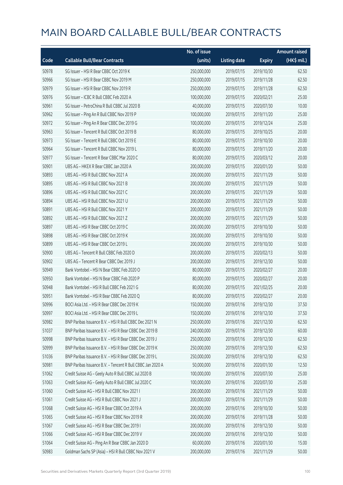|       |                                                            | No. of issue |                     |               | <b>Amount raised</b> |
|-------|------------------------------------------------------------|--------------|---------------------|---------------|----------------------|
| Code  | <b>Callable Bull/Bear Contracts</b>                        | (units)      | <b>Listing date</b> | <b>Expiry</b> | (HK\$ mil.)          |
| 50978 | SG Issuer - HSI R Bear CBBC Oct 2019 K                     | 250,000,000  | 2019/07/15          | 2019/10/30    | 62.50                |
| 50966 | SG Issuer - HSI R Bear CBBC Nov 2019 M                     | 250,000,000  | 2019/07/15          | 2019/11/28    | 62.50                |
| 50979 | SG Issuer - HSI R Bear CBBC Nov 2019 R                     | 250,000,000  | 2019/07/15          | 2019/11/28    | 62.50                |
| 50976 | SG Issuer - ICBC R Bull CBBC Feb 2020 A                    | 100,000,000  | 2019/07/15          | 2020/02/21    | 25.00                |
| 50961 | SG Issuer - PetroChina R Bull CBBC Jul 2020 B              | 40,000,000   | 2019/07/15          | 2020/07/30    | 10.00                |
| 50962 | SG Issuer - Ping An R Bull CBBC Nov 2019 P                 | 100,000,000  | 2019/07/15          | 2019/11/20    | 25.00                |
| 50972 | SG Issuer - Ping An R Bear CBBC Dec 2019 G                 | 100,000,000  | 2019/07/15          | 2019/12/24    | 25.00                |
| 50963 | SG Issuer - Tencent R Bull CBBC Oct 2019 B                 | 80,000,000   | 2019/07/15          | 2019/10/25    | 20.00                |
| 50973 | SG Issuer - Tencent R Bull CBBC Oct 2019 E                 | 80,000,000   | 2019/07/15          | 2019/10/30    | 20.00                |
| 50964 | SG Issuer - Tencent R Bull CBBC Nov 2019 L                 | 80,000,000   | 2019/07/15          | 2019/11/20    | 20.00                |
| 50977 | SG Issuer - Tencent R Bear CBBC Mar 2020 C                 | 80,000,000   | 2019/07/15          | 2020/03/12    | 20.00                |
| 50901 | UBS AG - HKEX R Bear CBBC Jan 2020 A                       | 200,000,000  | 2019/07/15          | 2020/01/20    | 50.00                |
| 50893 | UBS AG - HSI R Bull CBBC Nov 2021 A                        | 200,000,000  | 2019/07/15          | 2021/11/29    | 50.00                |
| 50895 | UBS AG - HSI R Bull CBBC Nov 2021 B                        | 200,000,000  | 2019/07/15          | 2021/11/29    | 50.00                |
| 50896 | UBS AG - HSI R Bull CBBC Nov 2021 C                        | 200,000,000  | 2019/07/15          | 2021/11/29    | 50.00                |
| 50894 | UBS AG - HSI R Bull CBBC Nov 2021 U                        | 200,000,000  | 2019/07/15          | 2021/11/29    | 50.00                |
| 50891 | UBS AG - HSI R Bull CBBC Nov 2021 Y                        | 200,000,000  | 2019/07/15          | 2021/11/29    | 50.00                |
| 50892 | UBS AG - HSI R Bull CBBC Nov 2021 Z                        | 200,000,000  | 2019/07/15          | 2021/11/29    | 50.00                |
| 50897 | UBS AG - HSI R Bear CBBC Oct 2019 C                        | 200,000,000  | 2019/07/15          | 2019/10/30    | 50.00                |
| 50898 | UBS AG - HSI R Bear CBBC Oct 2019 K                        | 200,000,000  | 2019/07/15          | 2019/10/30    | 50.00                |
| 50899 | UBS AG - HSI R Bear CBBC Oct 2019 L                        | 200,000,000  | 2019/07/15          | 2019/10/30    | 50.00                |
| 50900 | UBS AG - Tencent R Bull CBBC Feb 2020 D                    | 200,000,000  | 2019/07/15          | 2020/02/13    | 50.00                |
| 50902 | UBS AG - Tencent R Bear CBBC Dec 2019 J                    | 200,000,000  | 2019/07/15          | 2019/12/30    | 50.00                |
| 50949 | Bank Vontobel - HSI N Bear CBBC Feb 2020 O                 | 80,000,000   | 2019/07/15          | 2020/02/27    | 20.00                |
| 50950 | Bank Vontobel - HSI N Bear CBBC Feb 2020 P                 | 80,000,000   | 2019/07/15          | 2020/02/27    | 20.00                |
| 50948 | Bank Vontobel - HSI R Bull CBBC Feb 2021 G                 | 80,000,000   | 2019/07/15          | 2021/02/25    | 20.00                |
| 50951 | Bank Vontobel - HSI R Bear CBBC Feb 2020 Q                 | 80,000,000   | 2019/07/15          | 2020/02/27    | 20.00                |
| 50996 | BOCLAsia Ltd. - HSLR Bear CBBC Dec 2019 K                  | 150,000,000  | 2019/07/16          | 2019/12/30    | 37.50                |
| 50997 | BOCI Asia Ltd. - HSI R Bear CBBC Dec 2019 L                | 150,000,000  | 2019/07/16          | 2019/12/30    | 37.50                |
| 50982 | BNP Paribas Issuance B.V. - HSI R Bull CBBC Dec 2021 N     | 250,000,000  | 2019/07/16          | 2021/12/30    | 62.50                |
| 51037 | BNP Paribas Issuance B.V. - HSI R Bear CBBC Dec 2019 B     | 240,000,000  | 2019/07/16          | 2019/12/30    | 60.00                |
| 50998 | BNP Paribas Issuance B.V. - HSI R Bear CBBC Dec 2019 J     | 250,000,000  | 2019/07/16          | 2019/12/30    | 62.50                |
| 50999 | BNP Paribas Issuance B.V. - HSI R Bear CBBC Dec 2019 K     | 250,000,000  | 2019/07/16          | 2019/12/30    | 62.50                |
| 51036 | BNP Paribas Issuance B.V. - HSI R Bear CBBC Dec 2019 L     | 250,000,000  | 2019/07/16          | 2019/12/30    | 62.50                |
| 50981 | BNP Paribas Issuance B.V. - Tencent R Bull CBBC Jan 2020 A | 50,000,000   | 2019/07/16          | 2020/01/30    | 12.50                |
| 51062 | Credit Suisse AG - Geely Auto R Bull CBBC Jul 2020 B       | 100,000,000  | 2019/07/16          | 2020/07/30    | 25.00                |
| 51063 | Credit Suisse AG - Geely Auto R Bull CBBC Jul 2020 C       | 100,000,000  | 2019/07/16          | 2020/07/30    | 25.00                |
| 51060 | Credit Suisse AG - HSI R Bull CBBC Nov 2021 I              | 200,000,000  | 2019/07/16          | 2021/11/29    | 50.00                |
| 51061 | Credit Suisse AG - HSI R Bull CBBC Nov 2021 J              | 200,000,000  | 2019/07/16          | 2021/11/29    | 50.00                |
| 51068 | Credit Suisse AG - HSI R Bear CBBC Oct 2019 A              | 200,000,000  | 2019/07/16          | 2019/10/30    | 50.00                |
| 51065 | Credit Suisse AG - HSI R Bear CBBC Nov 2019 R              | 200,000,000  | 2019/07/16          | 2019/11/28    | 50.00                |
| 51067 | Credit Suisse AG - HSI R Bear CBBC Dec 2019 I              | 200,000,000  | 2019/07/16          | 2019/12/30    | 50.00                |
| 51066 | Credit Suisse AG - HSI R Bear CBBC Dec 2019 V              | 200,000,000  | 2019/07/16          | 2019/12/30    | 50.00                |
| 51064 | Credit Suisse AG - Ping An R Bear CBBC Jan 2020 D          | 60,000,000   | 2019/07/16          | 2020/01/30    | 15.00                |
| 50983 | Goldman Sachs SP (Asia) - HSI R Bull CBBC Nov 2021 V       | 200,000,000  | 2019/07/16          | 2021/11/29    | 50.00                |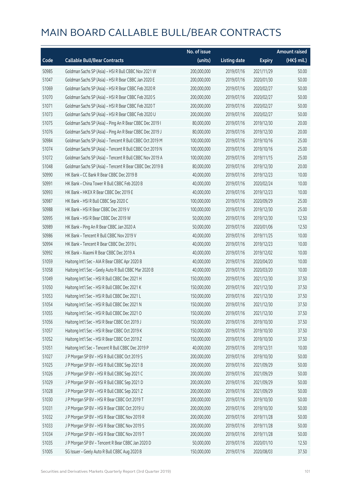|       |                                                          | No. of issue |                     |               | <b>Amount raised</b> |
|-------|----------------------------------------------------------|--------------|---------------------|---------------|----------------------|
| Code  | <b>Callable Bull/Bear Contracts</b>                      | (units)      | <b>Listing date</b> | <b>Expiry</b> | (HK\$ mil.)          |
| 50985 | Goldman Sachs SP (Asia) - HSI R Bull CBBC Nov 2021 W     | 200,000,000  | 2019/07/16          | 2021/11/29    | 50.00                |
| 51047 | Goldman Sachs SP (Asia) - HSI R Bear CBBC Jan 2020 E     | 200,000,000  | 2019/07/16          | 2020/01/30    | 50.00                |
| 51069 | Goldman Sachs SP (Asia) - HSI R Bear CBBC Feb 2020 R     | 200,000,000  | 2019/07/16          | 2020/02/27    | 50.00                |
| 51070 | Goldman Sachs SP (Asia) - HSI R Bear CBBC Feb 2020 S     | 200,000,000  | 2019/07/16          | 2020/02/27    | 50.00                |
| 51071 | Goldman Sachs SP (Asia) - HSI R Bear CBBC Feb 2020 T     | 200,000,000  | 2019/07/16          | 2020/02/27    | 50.00                |
| 51073 | Goldman Sachs SP (Asia) - HSI R Bear CBBC Feb 2020 U     | 200,000,000  | 2019/07/16          | 2020/02/27    | 50.00                |
| 51075 | Goldman Sachs SP (Asia) - Ping An R Bear CBBC Dec 2019 I | 80,000,000   | 2019/07/16          | 2019/12/30    | 20.00                |
| 51076 | Goldman Sachs SP (Asia) - Ping An R Bear CBBC Dec 2019 J | 80,000,000   | 2019/07/16          | 2019/12/30    | 20.00                |
| 50984 | Goldman Sachs SP (Asia) - Tencent R Bull CBBC Oct 2019 M | 100,000,000  | 2019/07/16          | 2019/10/16    | 25.00                |
| 51074 | Goldman Sachs SP (Asia) - Tencent R Bull CBBC Oct 2019 N | 100,000,000  | 2019/07/16          | 2019/10/16    | 25.00                |
| 51072 | Goldman Sachs SP (Asia) - Tencent R Bull CBBC Nov 2019 A | 100,000,000  | 2019/07/16          | 2019/11/15    | 25.00                |
| 51048 | Goldman Sachs SP (Asia) - Tencent R Bear CBBC Dec 2019 B | 80,000,000   | 2019/07/16          | 2019/12/30    | 20.00                |
| 50990 | HK Bank - CC Bank R Bear CBBC Dec 2019 B                 | 40,000,000   | 2019/07/16          | 2019/12/23    | 10.00                |
| 50991 | HK Bank - China Tower R Bull CBBC Feb 2020 B             | 40,000,000   | 2019/07/16          | 2020/02/24    | 10.00                |
| 50993 | HK Bank - HKEX R Bear CBBC Dec 2019 E                    | 40,000,000   | 2019/07/16          | 2019/12/23    | 10.00                |
| 50987 | HK Bank - HSI R Bull CBBC Sep 2020 C                     | 100,000,000  | 2019/07/16          | 2020/09/29    | 25.00                |
| 50988 | HK Bank - HSI R Bear CBBC Dec 2019 V                     | 100,000,000  | 2019/07/16          | 2019/12/30    | 25.00                |
| 50995 | HK Bank - HSI R Bear CBBC Dec 2019 W                     | 50,000,000   | 2019/07/16          | 2019/12/30    | 12.50                |
| 50989 | HK Bank - Ping An R Bear CBBC Jan 2020 A                 | 50,000,000   | 2019/07/16          | 2020/01/06    | 12.50                |
| 50986 | HK Bank - Tencent R Bull CBBC Nov 2019 V                 | 40,000,000   | 2019/07/16          | 2019/11/25    | 10.00                |
| 50994 | HK Bank - Tencent R Bear CBBC Dec 2019 L                 | 40,000,000   | 2019/07/16          | 2019/12/23    | 10.00                |
| 50992 | HK Bank - Xiaomi R Bear CBBC Dec 2019 A                  | 40,000,000   | 2019/07/16          | 2019/12/02    | 10.00                |
| 51059 | Haitong Int'l Sec - AIA R Bear CBBC Apr 2020 B           | 40,000,000   | 2019/07/16          | 2020/04/20    | 10.00                |
| 51058 | Haitong Int'l Sec - Geely Auto R Bull CBBC Mar 2020 B    | 40,000,000   | 2019/07/16          | 2020/03/20    | 10.00                |
| 51049 | Haitong Int'l Sec - HSI R Bull CBBC Dec 2021 H           | 150,000,000  | 2019/07/16          | 2021/12/30    | 37.50                |
| 51050 | Haitong Int'l Sec - HSI R Bull CBBC Dec 2021 K           | 150,000,000  | 2019/07/16          | 2021/12/30    | 37.50                |
| 51053 | Haitong Int'l Sec - HSI R Bull CBBC Dec 2021 L           | 150,000,000  | 2019/07/16          | 2021/12/30    | 37.50                |
| 51054 | Haitong Int'l Sec - HSI R Bull CBBC Dec 2021 N           | 150,000,000  | 2019/07/16          | 2021/12/30    | 37.50                |
| 51055 | Haitong Int'l Sec - HSI R Bull CBBC Dec 2021 O           | 150,000,000  | 2019/07/16          | 2021/12/30    | 37.50                |
| 51056 | Haitong Int'l Sec - HSI R Bear CBBC Oct 2019 J           | 150,000,000  | 2019/07/16          | 2019/10/30    | 37.50                |
| 51057 | Haitong Int'l Sec - HSI R Bear CBBC Oct 2019 K           | 150,000,000  | 2019/07/16          | 2019/10/30    | 37.50                |
| 51052 | Haitong Int'l Sec - HSI R Bear CBBC Oct 2019 Z           | 150,000,000  | 2019/07/16          | 2019/10/30    | 37.50                |
| 51051 | Haitong Int'l Sec - Tencent R Bull CBBC Dec 2019 P       | 40,000,000   | 2019/07/16          | 2019/12/31    | 10.00                |
| 51027 | J P Morgan SP BV - HSI R Bull CBBC Oct 2019 S            | 200,000,000  | 2019/07/16          | 2019/10/30    | 50.00                |
| 51025 | J P Morgan SP BV - HSI R Bull CBBC Sep 2021 B            | 200,000,000  | 2019/07/16          | 2021/09/29    | 50.00                |
| 51026 | J P Morgan SP BV - HSI R Bull CBBC Sep 2021 C            | 200,000,000  | 2019/07/16          | 2021/09/29    | 50.00                |
| 51029 | J P Morgan SP BV - HSI R Bull CBBC Sep 2021 D            | 200,000,000  | 2019/07/16          | 2021/09/29    | 50.00                |
| 51028 | J P Morgan SP BV - HSI R Bull CBBC Sep 2021 Z            | 200,000,000  | 2019/07/16          | 2021/09/29    | 50.00                |
| 51030 | J P Morgan SP BV - HSI R Bear CBBC Oct 2019 T            | 200,000,000  | 2019/07/16          | 2019/10/30    | 50.00                |
| 51031 | J P Morgan SP BV - HSI R Bear CBBC Oct 2019 U            | 200,000,000  | 2019/07/16          | 2019/10/30    | 50.00                |
| 51032 | J P Morgan SP BV - HSI R Bear CBBC Nov 2019 R            | 200,000,000  | 2019/07/16          | 2019/11/28    | 50.00                |
| 51033 | J P Morgan SP BV - HSI R Bear CBBC Nov 2019 S            | 200,000,000  | 2019/07/16          | 2019/11/28    | 50.00                |
| 51034 | J P Morgan SP BV - HSI R Bear CBBC Nov 2019 T            | 200,000,000  | 2019/07/16          | 2019/11/28    | 50.00                |
| 51035 | J P Morgan SP BV - Tencent R Bear CBBC Jan 2020 D        | 50,000,000   | 2019/07/16          | 2020/01/10    | 12.50                |
| 51005 | SG Issuer - Geely Auto R Bull CBBC Aug 2020 B            | 150,000,000  | 2019/07/16          | 2020/08/03    | 37.50                |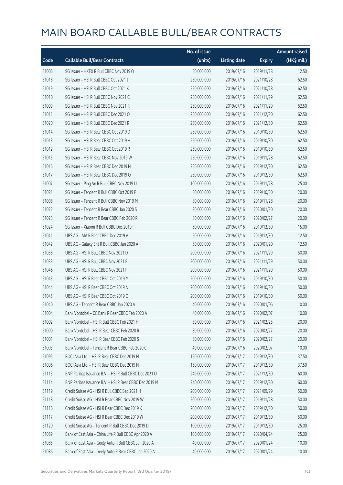|       |                                                        | No. of issue |                     |               | <b>Amount raised</b> |
|-------|--------------------------------------------------------|--------------|---------------------|---------------|----------------------|
| Code  | <b>Callable Bull/Bear Contracts</b>                    | (units)      | <b>Listing date</b> | <b>Expiry</b> | (HK\$ mil.)          |
| 51006 | SG Issuer - HKEX R Bull CBBC Nov 2019 O                | 50,000,000   | 2019/07/16          | 2019/11/28    | 12.50                |
| 51018 | SG Issuer - HSI R Bull CBBC Oct 2021 J                 | 250,000,000  | 2019/07/16          | 2021/10/28    | 62.50                |
| 51019 | SG Issuer - HSI R Bull CBBC Oct 2021 K                 | 250,000,000  | 2019/07/16          | 2021/10/28    | 62.50                |
| 51010 | SG Issuer - HSI R Bull CBBC Nov 2021 C                 | 250,000,000  | 2019/07/16          | 2021/11/29    | 62.50                |
| 51009 | SG Issuer - HSI R Bull CBBC Nov 2021 R                 | 250,000,000  | 2019/07/16          | 2021/11/29    | 62.50                |
| 51011 | SG Issuer - HSI R Bull CBBC Dec 2021 O                 | 250,000,000  | 2019/07/16          | 2021/12/30    | 62.50                |
| 51020 | SG Issuer - HSI R Bull CBBC Dec 2021 R                 | 250,000,000  | 2019/07/16          | 2021/12/30    | 62.50                |
| 51014 | SG Issuer - HSI R Bear CBBC Oct 2019 D                 | 250,000,000  | 2019/07/16          | 2019/10/30    | 62.50                |
| 51013 | SG Issuer - HSI R Bear CBBC Oct 2019 H                 | 250,000,000  | 2019/07/16          | 2019/10/30    | 62.50                |
| 51012 | SG Issuer - HSI R Bear CBBC Oct 2019 R                 | 250,000,000  | 2019/07/16          | 2019/10/30    | 62.50                |
| 51015 | SG Issuer - HSI R Bear CBBC Nov 2019 W                 | 250,000,000  | 2019/07/16          | 2019/11/28    | 62.50                |
| 51016 | SG Issuer - HSI R Bear CBBC Dec 2019 N                 | 250,000,000  | 2019/07/16          | 2019/12/30    | 62.50                |
| 51017 | SG Issuer - HSI R Bear CBBC Dec 2019 Q                 | 250,000,000  | 2019/07/16          | 2019/12/30    | 62.50                |
| 51007 | SG Issuer - Ping An R Bull CBBC Nov 2019 U             | 100,000,000  | 2019/07/16          | 2019/11/28    | 25.00                |
| 51021 | SG Issuer - Tencent R Bull CBBC Oct 2019 F             | 80,000,000   | 2019/07/16          | 2019/10/30    | 20.00                |
| 51008 | SG Issuer - Tencent R Bull CBBC Nov 2019 M             | 80,000,000   | 2019/07/16          | 2019/11/28    | 20.00                |
| 51022 | SG Issuer - Tencent R Bear CBBC Jan 2020 S             | 80,000,000   | 2019/07/16          | 2020/01/30    | 20.00                |
| 51023 | SG Issuer - Tencent R Bear CBBC Feb 2020 R             | 80,000,000   | 2019/07/16          | 2020/02/27    | 20.00                |
| 51024 | SG Issuer - Xiaomi R Bull CBBC Dec 2019 F              | 60,000,000   | 2019/07/16          | 2019/12/30    | 15.00                |
| 51041 | UBS AG - AIA R Bear CBBC Dec 2019 A                    | 50,000,000   | 2019/07/16          | 2019/12/30    | 12.50                |
| 51042 | UBS AG - Galaxy Ent R Bull CBBC Jan 2020 A             | 50,000,000   | 2019/07/16          | 2020/01/20    | 12.50                |
| 51038 | UBS AG - HSI R Bull CBBC Nov 2021 D                    | 200,000,000  | 2019/07/16          | 2021/11/29    | 50.00                |
| 51039 | UBS AG - HSI R Bull CBBC Nov 2021 E                    | 200,000,000  | 2019/07/16          | 2021/11/29    | 50.00                |
| 51046 | UBS AG - HSI R Bull CBBC Nov 2021 F                    | 200,000,000  | 2019/07/16          | 2021/11/29    | 50.00                |
| 51043 | UBS AG - HSI R Bear CBBC Oct 2019 M                    | 200,000,000  | 2019/07/16          | 2019/10/30    | 50.00                |
| 51044 | UBS AG - HSI R Bear CBBC Oct 2019 N                    | 200,000,000  | 2019/07/16          | 2019/10/30    | 50.00                |
| 51045 | UBS AG - HSI R Bear CBBC Oct 2019 O                    | 200,000,000  | 2019/07/16          | 2019/10/30    | 50.00                |
| 51040 | UBS AG – Tencent R Bear CBBC Jan 2020 A                | 40,000,000   | 2019/07/16          | 2020/01/06    | 10.00                |
| 51004 | Bank Vontobel - CC Bank R Bear CBBC Feb 2020 A         | 40,000,000   | 2019/07/16          | 2020/02/07    | 10.00                |
| 51002 | Bank Vontobel - HSI R Bull CBBC Feb 2021 H             | 80,000,000   | 2019/07/16          | 2021/02/25    | 20.00                |
| 51000 | Bank Vontobel - HSI R Bear CBBC Feb 2020 R             | 80,000,000   | 2019/07/16          | 2020/02/27    | 20.00                |
| 51001 | Bank Vontobel - HSI R Bear CBBC Feb 2020 S             | 80,000,000   | 2019/07/16          | 2020/02/27    | 20.00                |
| 51003 | Bank Vontobel - Tencent R Bear CBBC Feb 2020 C         | 40,000,000   | 2019/07/16          | 2020/02/07    | 10.00                |
| 51095 | BOCI Asia Ltd. - HSI R Bear CBBC Dec 2019 M            | 150,000,000  | 2019/07/17          | 2019/12/30    | 37.50                |
| 51096 | BOCI Asia Ltd. - HSI R Bear CBBC Dec 2019 N            | 150,000,000  | 2019/07/17          | 2019/12/30    | 37.50                |
| 51113 | BNP Paribas Issuance B.V. - HSI R Bull CBBC Dec 2021 O | 240,000,000  | 2019/07/17          | 2021/12/30    | 60.00                |
| 51114 | BNP Paribas Issuance B.V. - HSI R Bear CBBC Dec 2019 M | 240,000,000  | 2019/07/17          | 2019/12/30    | 60.00                |
| 51119 | Credit Suisse AG - HSI R Bull CBBC Sep 2021 H          | 200,000,000  | 2019/07/17          | 2021/09/29    | 50.00                |
| 51118 | Credit Suisse AG - HSI R Bear CBBC Nov 2019 W          | 200,000,000  | 2019/07/17          | 2019/11/28    | 50.00                |
| 51116 | Credit Suisse AG - HSI R Bear CBBC Dec 2019 K          | 200,000,000  | 2019/07/17          | 2019/12/30    | 50.00                |
| 51117 | Credit Suisse AG - HSI R Bear CBBC Dec 2019 W          | 200,000,000  | 2019/07/17          | 2019/12/30    | 50.00                |
| 51120 | Credit Suisse AG - Tencent R Bull CBBC Dec 2019 D      | 100,000,000  | 2019/07/17          | 2019/12/30    | 25.00                |
| 51089 | Bank of East Asia - China Life R Bull CBBC Apr 2020 A  | 100,000,000  | 2019/07/17          | 2020/04/24    | 25.00                |
| 51085 | Bank of East Asia - Geely Auto R Bull CBBC Jan 2020 A  | 40,000,000   | 2019/07/17          | 2020/01/24    | 10.00                |
| 51086 | Bank of East Asia - Geely Auto R Bear CBBC Jan 2020 A  | 40,000,000   | 2019/07/17          | 2020/01/24    | 10.00                |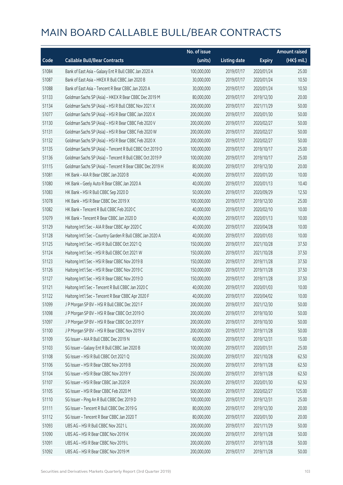|       |                                                           | No. of issue |                     |               | <b>Amount raised</b> |
|-------|-----------------------------------------------------------|--------------|---------------------|---------------|----------------------|
| Code  | <b>Callable Bull/Bear Contracts</b>                       | (units)      | <b>Listing date</b> | <b>Expiry</b> | $(HK$$ mil.)         |
| 51084 | Bank of East Asia - Galaxy Ent R Bull CBBC Jan 2020 A     | 100,000,000  | 2019/07/17          | 2020/01/24    | 25.00                |
| 51087 | Bank of East Asia - HKEX R Bull CBBC Jan 2020 B           | 30,000,000   | 2019/07/17          | 2020/01/24    | 10.50                |
| 51088 | Bank of East Asia - Tencent R Bear CBBC Jan 2020 A        | 30,000,000   | 2019/07/17          | 2020/01/24    | 10.50                |
| 51133 | Goldman Sachs SP (Asia) - HKEX R Bear CBBC Dec 2019 M     | 80,000,000   | 2019/07/17          | 2019/12/30    | 20.00                |
| 51134 | Goldman Sachs SP (Asia) - HSI R Bull CBBC Nov 2021 X      | 200,000,000  | 2019/07/17          | 2021/11/29    | 50.00                |
| 51077 | Goldman Sachs SP (Asia) - HSI R Bear CBBC Jan 2020 X      | 200,000,000  | 2019/07/17          | 2020/01/30    | 50.00                |
| 51130 | Goldman Sachs SP (Asia) - HSI R Bear CBBC Feb 2020 V      | 200,000,000  | 2019/07/17          | 2020/02/27    | 50.00                |
| 51131 | Goldman Sachs SP (Asia) - HSI R Bear CBBC Feb 2020 W      | 200,000,000  | 2019/07/17          | 2020/02/27    | 50.00                |
| 51132 | Goldman Sachs SP (Asia) - HSI R Bear CBBC Feb 2020 X      | 200,000,000  | 2019/07/17          | 2020/02/27    | 50.00                |
| 51135 | Goldman Sachs SP (Asia) - Tencent R Bull CBBC Oct 2019 O  | 100,000,000  | 2019/07/17          | 2019/10/17    | 25.00                |
| 51136 | Goldman Sachs SP (Asia) - Tencent R Bull CBBC Oct 2019 P  | 100,000,000  | 2019/07/17          | 2019/10/17    | 25.00                |
| 51115 | Goldman Sachs SP (Asia) - Tencent R Bear CBBC Dec 2019 H  | 80,000,000   | 2019/07/17          | 2019/12/30    | 20.00                |
| 51081 | HK Bank - AIA R Bear CBBC Jan 2020 B                      | 40,000,000   | 2019/07/17          | 2020/01/20    | 10.00                |
| 51080 | HK Bank - Geely Auto R Bear CBBC Jan 2020 A               | 40,000,000   | 2019/07/17          | 2020/01/13    | 10.40                |
| 51083 | HK Bank - HSI R Bull CBBC Sep 2020 D                      | 50,000,000   | 2019/07/17          | 2020/09/29    | 12.50                |
| 51078 | HK Bank - HSI R Bear CBBC Dec 2019 X                      | 100,000,000  | 2019/07/17          | 2019/12/30    | 25.00                |
| 51082 | HK Bank - Tencent R Bull CBBC Feb 2020 C                  | 40,000,000   | 2019/07/17          | 2020/02/10    | 10.00                |
| 51079 | HK Bank - Tencent R Bear CBBC Jan 2020 D                  | 40,000,000   | 2019/07/17          | 2020/01/13    | 10.00                |
| 51129 | Haitong Int'l Sec - AIA R Bear CBBC Apr 2020 C            | 40,000,000   | 2019/07/17          | 2020/04/28    | 10.00                |
| 51128 | Haitong Int'l Sec - Country Garden R Bull CBBC Jan 2020 A | 40,000,000   | 2019/07/17          | 2020/01/03    | 10.00                |
| 51125 | Haitong Int'l Sec - HSI R Bull CBBC Oct 2021 Q            | 150,000,000  | 2019/07/17          | 2021/10/28    | 37.50                |
| 51124 | Haitong Int'l Sec - HSI R Bull CBBC Oct 2021 W            | 150,000,000  | 2019/07/17          | 2021/10/28    | 37.50                |
| 51123 | Haitong Int'l Sec - HSI R Bear CBBC Nov 2019 B            | 150,000,000  | 2019/07/17          | 2019/11/28    | 37.50                |
| 51126 | Haitong Int'l Sec - HSI R Bear CBBC Nov 2019 C            | 150,000,000  | 2019/07/17          | 2019/11/28    | 37.50                |
| 51127 | Haitong Int'l Sec - HSI R Bear CBBC Nov 2019 D            | 150,000,000  | 2019/07/17          | 2019/11/28    | 37.50                |
| 51121 | Haitong Int'l Sec - Tencent R Bull CBBC Jan 2020 C        | 40,000,000   | 2019/07/17          | 2020/01/03    | 10.00                |
| 51122 | Haitong Int'l Sec - Tencent R Bear CBBC Apr 2020 F        | 40,000,000   | 2019/07/17          | 2020/04/02    | 10.00                |
| 51099 | J P Morgan SP BV - HSI R Bull CBBC Dec 2021 F             | 200,000,000  | 2019/07/17          | 2021/12/30    | 50.00                |
| 51098 | J P Morgan SP BV - HSI R Bear CBBC Oct 2019 O             | 200,000,000  | 2019/07/17          | 2019/10/30    | 50.00                |
| 51097 | J P Morgan SP BV - HSI R Bear CBBC Oct 2019 Y             | 200,000,000  | 2019/07/17          | 2019/10/30    | 50.00                |
| 51100 | J P Morgan SP BV - HSI R Bear CBBC Nov 2019 V             | 200,000,000  | 2019/07/17          | 2019/11/28    | 50.00                |
| 51109 | SG Issuer - AIA R Bull CBBC Dec 2019 N                    | 60,000,000   | 2019/07/17          | 2019/12/31    | 15.00                |
| 51103 | SG Issuer - Galaxy Ent R Bull CBBC Jan 2020 B             | 100,000,000  | 2019/07/17          | 2020/01/31    | 25.00                |
| 51108 | SG Issuer - HSI R Bull CBBC Oct 2021 Q                    | 250,000,000  | 2019/07/17          | 2021/10/28    | 62.50                |
| 51106 | SG Issuer - HSI R Bear CBBC Nov 2019 B                    | 250,000,000  | 2019/07/17          | 2019/11/28    | 62.50                |
| 51104 | SG Issuer - HSI R Bear CBBC Nov 2019 Y                    | 250,000,000  | 2019/07/17          | 2019/11/28    | 62.50                |
| 51107 | SG Issuer - HSI R Bear CBBC Jan 2020 R                    | 250,000,000  | 2019/07/17          | 2020/01/30    | 62.50                |
| 51105 | SG Issuer - HSI R Bear CBBC Feb 2020 M                    | 500,000,000  | 2019/07/17          | 2020/02/27    | 125.00               |
| 51110 | SG Issuer - Ping An R Bull CBBC Dec 2019 D                | 100,000,000  | 2019/07/17          | 2019/12/31    | 25.00                |
| 51111 | SG Issuer - Tencent R Bull CBBC Dec 2019 G                | 80,000,000   | 2019/07/17          | 2019/12/30    | 20.00                |
| 51112 | SG Issuer - Tencent R Bear CBBC Jan 2020 T                | 80,000,000   | 2019/07/17          | 2020/01/30    | 20.00                |
| 51093 | UBS AG - HSI R Bull CBBC Nov 2021 L                       | 200,000,000  | 2019/07/17          | 2021/11/29    | 50.00                |
| 51090 | UBS AG - HSI R Bear CBBC Nov 2019 K                       | 200,000,000  | 2019/07/17          | 2019/11/28    | 50.00                |
| 51091 | UBS AG - HSI R Bear CBBC Nov 2019 L                       | 200,000,000  | 2019/07/17          | 2019/11/28    | 50.00                |
| 51092 | UBS AG - HSI R Bear CBBC Nov 2019 M                       | 200,000,000  | 2019/07/17          | 2019/11/28    | 50.00                |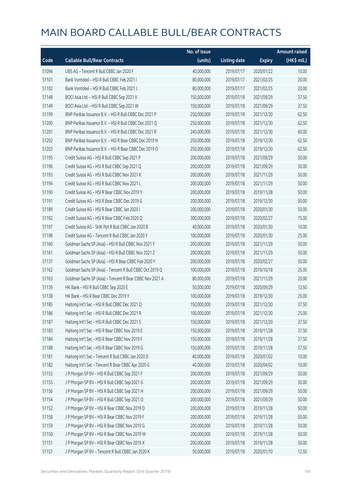|       |                                                          | No. of issue |                     |               | <b>Amount raised</b> |
|-------|----------------------------------------------------------|--------------|---------------------|---------------|----------------------|
| Code  | <b>Callable Bull/Bear Contracts</b>                      | (units)      | <b>Listing date</b> | <b>Expiry</b> | (HK\$ mil.)          |
| 51094 | UBS AG - Tencent R Bull CBBC Jan 2020 F                  | 40,000,000   | 2019/07/17          | 2020/01/22    | 10.00                |
| 51101 | Bank Vontobel - HSI R Bull CBBC Feb 2021 I               | 80,000,000   | 2019/07/17          | 2021/02/25    | 20.00                |
| 51102 | Bank Vontobel - HSI R Bull CBBC Feb 2021 J               | 80,000,000   | 2019/07/17          | 2021/02/25    | 20.00                |
| 51148 | BOCI Asia Ltd. - HSI R Bull CBBC Sep 2021 V              | 150,000,000  | 2019/07/18          | 2021/09/29    | 37.50                |
| 51149 | BOCI Asia Ltd. - HSI R Bull CBBC Sep 2021 W              | 150,000,000  | 2019/07/18          | 2021/09/29    | 37.50                |
| 51199 | BNP Paribas Issuance B.V. - HSI R Bull CBBC Dec 2021 P   | 250,000,000  | 2019/07/18          | 2021/12/30    | 62.50                |
| 51200 | BNP Paribas Issuance B.V. - HSI R Bull CBBC Dec 2021 Q   | 250,000,000  | 2019/07/18          | 2021/12/30    | 62.50                |
| 51201 | BNP Paribas Issuance B.V. - HSI R Bull CBBC Dec 2021 R   | 240,000,000  | 2019/07/18          | 2021/12/30    | 60.00                |
| 51202 | BNP Paribas Issuance B.V. - HSI R Bear CBBC Dec 2019 N   | 250,000,000  | 2019/07/18          | 2019/12/30    | 62.50                |
| 51203 | BNP Paribas Issuance B.V. - HSI R Bear CBBC Dec 2019 O   | 250,000,000  | 2019/07/18          | 2019/12/30    | 62.50                |
| 51195 | Credit Suisse AG - HSI R Bull CBBC Sep 2021 P            | 200,000,000  | 2019/07/18          | 2021/09/29    | 50.00                |
| 51196 | Credit Suisse AG - HSI R Bull CBBC Sep 2021 Q            | 200,000,000  | 2019/07/18          | 2021/09/29    | 50.00                |
| 51193 | Credit Suisse AG - HSI R Bull CBBC Nov 2021 K            | 200,000,000  | 2019/07/18          | 2021/11/29    | 50.00                |
| 51194 | Credit Suisse AG - HSI R Bull CBBC Nov 2021 L            | 200,000,000  | 2019/07/18          | 2021/11/29    | 50.00                |
| 51190 | Credit Suisse AG - HSI R Bear CBBC Nov 2019 Y            | 200,000,000  | 2019/07/18          | 2019/11/28    | 50.00                |
| 51191 | Credit Suisse AG - HSI R Bear CBBC Dec 2019 G            | 200,000,000  | 2019/07/18          | 2019/12/30    | 50.00                |
| 51189 | Credit Suisse AG - HSI R Bear CBBC Jan 2020 I            | 200,000,000  | 2019/07/18          | 2020/01/30    | 50.00                |
| 51192 | Credit Suisse AG - HSI R Bear CBBC Feb 2020 Q            | 300,000,000  | 2019/07/18          | 2020/02/27    | 75.00                |
| 51197 | Credit Suisse AG - SHK Ppt R Bull CBBC Jan 2020 B        | 40,000,000   | 2019/07/18          | 2020/01/30    | 10.00                |
| 51198 | Credit Suisse AG - Tencent R Bull CBBC Jan 2020 Y        | 100,000,000  | 2019/07/18          | 2020/01/30    | 25.00                |
| 51160 | Goldman Sachs SP (Asia) - HSI R Bull CBBC Nov 2021 Y     | 200,000,000  | 2019/07/18          | 2021/11/29    | 50.00                |
| 51161 | Goldman Sachs SP (Asia) - HSI R Bull CBBC Nov 2021 Z     | 200,000,000  | 2019/07/18          | 2021/11/29    | 50.00                |
| 51137 | Goldman Sachs SP (Asia) - HSI R Bear CBBC Feb 2020 Y     | 200,000,000  | 2019/07/18          | 2020/02/27    | 50.00                |
| 51162 | Goldman Sachs SP (Asia) - Tencent R Bull CBBC Oct 2019 Q | 100,000,000  | 2019/07/18          | 2019/10/18    | 25.00                |
| 51163 | Goldman Sachs SP (Asia) - Tencent R Bear CBBC Nov 2021 A | 80,000,000   | 2019/07/18          | 2021/11/29    | 20.00                |
| 51139 | HK Bank - HSI R Bull CBBC Sep 2020 E                     | 50,000,000   | 2019/07/18          | 2020/09/29    | 12.50                |
| 51138 | HK Bank - HSI R Bear CBBC Dec 2019 Y                     | 100,000,000  | 2019/07/18          | 2019/12/30    | 25.00                |
| 51185 | Haitong Int'l Sec - HSI R Bull CBBC Dec 2021 Q           | 150,000,000  | 2019/07/18          | 2021/12/30    | 37.50                |
| 51186 | Haitong Int'l Sec - HSI R Bull CBBC Dec 2021 R           | 100,000,000  | 2019/07/18          | 2021/12/30    | 25.00                |
| 51187 | Haitong Int'l Sec - HSI R Bull CBBC Dec 2021 S           | 150,000,000  | 2019/07/18          | 2021/12/30    | 37.50                |
| 51183 | Haitong Int'l Sec - HSI R Bear CBBC Nov 2019 E           | 150,000,000  | 2019/07/18          | 2019/11/28    | 37.50                |
| 51184 | Haitong Int'l Sec - HSI R Bear CBBC Nov 2019 F           | 150,000,000  | 2019/07/18          | 2019/11/28    | 37.50                |
| 51188 | Haitong Int'l Sec - HSI R Bear CBBC Nov 2019 G           | 150,000,000  | 2019/07/18          | 2019/11/28    | 37.50                |
| 51181 | Haitong Int'l Sec - Tencent R Bull CBBC Jan 2020 D       | 40,000,000   | 2019/07/18          | 2020/01/02    | 10.00                |
| 51182 | Haitong Int'l Sec - Tencent R Bear CBBC Apr 2020 G       | 40,000,000   | 2019/07/18          | 2020/04/02    | 10.00                |
| 51153 | J P Morgan SP BV - HSI R Bull CBBC Sep 2021 F            | 200,000,000  | 2019/07/18          | 2021/09/29    | 50.00                |
| 51155 | J P Morgan SP BV - HSI R Bull CBBC Sep 2021 G            | 200,000,000  | 2019/07/18          | 2021/09/29    | 50.00                |
| 51156 | J P Morgan SP BV - HSI R Bull CBBC Sep 2021 H            | 200,000,000  | 2019/07/18          | 2021/09/29    | 50.00                |
| 51154 | J P Morgan SP BV - HSI R Bull CBBC Sep 2021 O            | 200,000,000  | 2019/07/18          | 2021/09/29    | 50.00                |
| 51152 | J P Morgan SP BV - HSI R Bear CBBC Nov 2019 D            | 200,000,000  | 2019/07/18          | 2019/11/28    | 50.00                |
| 51158 | J P Morgan SP BV - HSI R Bear CBBC Nov 2019 F            | 200,000,000  | 2019/07/18          | 2019/11/28    | 50.00                |
| 51159 | J P Morgan SP BV - HSI R Bear CBBC Nov 2019 G            | 200,000,000  | 2019/07/18          | 2019/11/28    | 50.00                |
| 51150 | J P Morgan SP BV - HSI R Bear CBBC Nov 2019 W            | 200,000,000  | 2019/07/18          | 2019/11/28    | 50.00                |
| 51151 | J P Morgan SP BV - HSI R Bear CBBC Nov 2019 X            | 200,000,000  | 2019/07/18          | 2019/11/28    | 50.00                |
| 51157 | J P Morgan SP BV - Tencent R Bull CBBC Jan 2020 K        | 50,000,000   | 2019/07/18          | 2020/01/10    | 12.50                |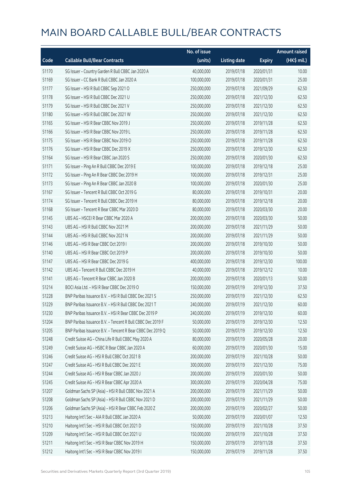|       |                                                            | No. of issue |                     |               | <b>Amount raised</b> |
|-------|------------------------------------------------------------|--------------|---------------------|---------------|----------------------|
| Code  | <b>Callable Bull/Bear Contracts</b>                        | (units)      | <b>Listing date</b> | <b>Expiry</b> | (HK\$ mil.)          |
| 51170 | SG Issuer - Country Garden R Bull CBBC Jan 2020 A          | 40,000,000   | 2019/07/18          | 2020/01/31    | 10.00                |
| 51169 | SG Issuer - CC Bank R Bull CBBC Jan 2020 A                 | 100,000,000  | 2019/07/18          | 2020/01/31    | 25.00                |
| 51177 | SG Issuer - HSI R Bull CBBC Sep 2021 O                     | 250,000,000  | 2019/07/18          | 2021/09/29    | 62.50                |
| 51178 | SG Issuer - HSI R Bull CBBC Dec 2021 U                     | 250,000,000  | 2019/07/18          | 2021/12/30    | 62.50                |
| 51179 | SG Issuer - HSI R Bull CBBC Dec 2021 V                     | 250,000,000  | 2019/07/18          | 2021/12/30    | 62.50                |
| 51180 | SG Issuer - HSI R Bull CBBC Dec 2021 W                     | 250,000,000  | 2019/07/18          | 2021/12/30    | 62.50                |
| 51165 | SG Issuer - HSI R Bear CBBC Nov 2019 J                     | 250,000,000  | 2019/07/18          | 2019/11/28    | 62.50                |
| 51166 | SG Issuer - HSI R Bear CBBC Nov 2019 L                     | 250,000,000  | 2019/07/18          | 2019/11/28    | 62.50                |
| 51175 | SG Issuer - HSI R Bear CBBC Nov 2019 O                     | 250,000,000  | 2019/07/18          | 2019/11/28    | 62.50                |
| 51176 | SG Issuer - HSI R Bear CBBC Dec 2019 X                     | 250,000,000  | 2019/07/18          | 2019/12/30    | 62.50                |
| 51164 | SG Issuer - HSI R Bear CBBC Jan 2020 S                     | 250,000,000  | 2019/07/18          | 2020/01/30    | 62.50                |
| 51171 | SG Issuer - Ping An R Bull CBBC Dec 2019 E                 | 100,000,000  | 2019/07/18          | 2019/12/18    | 25.00                |
| 51172 | SG Issuer - Ping An R Bear CBBC Dec 2019 H                 | 100,000,000  | 2019/07/18          | 2019/12/31    | 25.00                |
| 51173 | SG Issuer - Ping An R Bear CBBC Jan 2020 B                 | 100,000,000  | 2019/07/18          | 2020/01/30    | 25.00                |
| 51167 | SG Issuer - Tencent R Bull CBBC Oct 2019 G                 | 80,000,000   | 2019/07/18          | 2019/10/31    | 20.00                |
| 51174 | SG Issuer - Tencent R Bull CBBC Dec 2019 H                 | 80,000,000   | 2019/07/18          | 2019/12/18    | 20.00                |
| 51168 | SG Issuer - Tencent R Bear CBBC Mar 2020 D                 | 80,000,000   | 2019/07/18          | 2020/03/30    | 20.00                |
| 51145 | UBS AG - HSCEI R Bear CBBC Mar 2020 A                      | 200,000,000  | 2019/07/18          | 2020/03/30    | 50.00                |
| 51143 | UBS AG - HSI R Bull CBBC Nov 2021 M                        | 200,000,000  | 2019/07/18          | 2021/11/29    | 50.00                |
| 51144 | UBS AG - HSI R Bull CBBC Nov 2021 N                        | 200,000,000  | 2019/07/18          | 2021/11/29    | 50.00                |
| 51146 | UBS AG - HSI R Bear CBBC Oct 2019 I                        | 200,000,000  | 2019/07/18          | 2019/10/30    | 50.00                |
| 51140 | UBS AG - HSI R Bear CBBC Oct 2019 P                        | 200,000,000  | 2019/07/18          | 2019/10/30    | 50.00                |
| 51147 | UBS AG - HSI R Bear CBBC Dec 2019 G                        | 400,000,000  | 2019/07/18          | 2019/12/30    | 100.00               |
| 51142 | UBS AG - Tencent R Bull CBBC Dec 2019 H                    | 40,000,000   | 2019/07/18          | 2019/12/12    | 10.00                |
| 51141 | UBS AG - Tencent R Bear CBBC Jan 2020 B                    | 200,000,000  | 2019/07/18          | 2020/01/13    | 50.00                |
| 51214 | BOCI Asia Ltd. - HSI R Bear CBBC Dec 2019 O                | 150,000,000  | 2019/07/19          | 2019/12/30    | 37.50                |
| 51228 | BNP Paribas Issuance B.V. - HSI R Bull CBBC Dec 2021 S     | 250,000,000  | 2019/07/19          | 2021/12/30    | 62.50                |
| 51229 | BNP Paribas Issuance B.V. – HSI R Bull CBBC Dec 2021 T     | 240,000,000  | 2019/07/19          | 2021/12/30    | 60.00                |
| 51230 | BNP Paribas Issuance B.V. - HSI R Bear CBBC Dec 2019 P     | 240,000,000  | 2019/07/19          | 2019/12/30    | 60.00                |
| 51204 | BNP Paribas Issuance B.V. - Tencent R Bull CBBC Dec 2019 F | 50,000,000   | 2019/07/19          | 2019/12/30    | 12.50                |
| 51205 | BNP Paribas Issuance B.V. - Tencent R Bear CBBC Dec 2019 Q | 50,000,000   | 2019/07/19          | 2019/12/30    | 12.50                |
| 51248 | Credit Suisse AG - China Life R Bull CBBC May 2020 A       | 80,000,000   | 2019/07/19          | 2020/05/28    | 20.00                |
| 51249 | Credit Suisse AG - HSBC R Bear CBBC Jan 2020 A             | 60,000,000   | 2019/07/19          | 2020/01/30    | 15.00                |
| 51246 | Credit Suisse AG - HSI R Bull CBBC Oct 2021 B              | 200,000,000  | 2019/07/19          | 2021/10/28    | 50.00                |
| 51247 | Credit Suisse AG - HSI R Bull CBBC Dec 2021 E              | 300,000,000  | 2019/07/19          | 2021/12/30    | 75.00                |
| 51244 | Credit Suisse AG - HSI R Bear CBBC Jan 2020 J              | 200,000,000  | 2019/07/19          | 2020/01/30    | 50.00                |
| 51245 | Credit Suisse AG - HSI R Bear CBBC Apr 2020 A              | 300,000,000  | 2019/07/19          | 2020/04/28    | 75.00                |
| 51207 | Goldman Sachs SP (Asia) - HSI R Bull CBBC Nov 2021 A       | 200,000,000  | 2019/07/19          | 2021/11/29    | 50.00                |
| 51208 | Goldman Sachs SP (Asia) - HSI R Bull CBBC Nov 2021 D       | 200,000,000  | 2019/07/19          | 2021/11/29    | 50.00                |
| 51206 | Goldman Sachs SP (Asia) - HSI R Bear CBBC Feb 2020 Z       | 200,000,000  | 2019/07/19          | 2020/02/27    | 50.00                |
| 51213 | Haitong Int'l Sec - AIA R Bull CBBC Jan 2020 A             | 50,000,000   | 2019/07/19          | 2020/01/07    | 12.50                |
| 51210 | Haitong Int'l Sec - HSI R Bull CBBC Oct 2021 D             | 150,000,000  | 2019/07/19          | 2021/10/28    | 37.50                |
| 51209 | Haitong Int'l Sec - HSI R Bull CBBC Oct 2021 U             | 150,000,000  | 2019/07/19          | 2021/10/28    | 37.50                |
| 51211 | Haitong Int'l Sec - HSI R Bear CBBC Nov 2019 H             | 150,000,000  | 2019/07/19          | 2019/11/28    | 37.50                |
| 51212 | Haitong Int'l Sec - HSI R Bear CBBC Nov 2019 I             | 150,000,000  | 2019/07/19          | 2019/11/28    | 37.50                |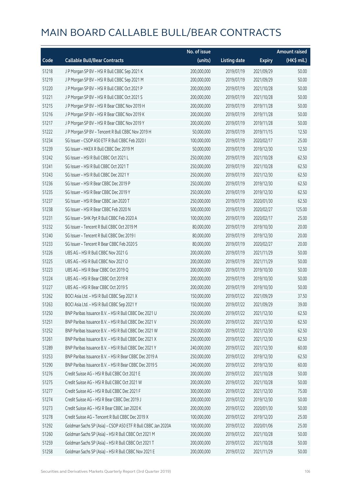|       |                                                              | No. of issue |                     |               | <b>Amount raised</b> |
|-------|--------------------------------------------------------------|--------------|---------------------|---------------|----------------------|
| Code  | <b>Callable Bull/Bear Contracts</b>                          | (units)      | <b>Listing date</b> | <b>Expiry</b> | (HK\$ mil.)          |
| 51218 | J P Morgan SP BV - HSI R Bull CBBC Sep 2021 K                | 200,000,000  | 2019/07/19          | 2021/09/29    | 50.00                |
| 51219 | J P Morgan SP BV - HSI R Bull CBBC Sep 2021 M                | 200,000,000  | 2019/07/19          | 2021/09/29    | 50.00                |
| 51220 | J P Morgan SP BV - HSI R Bull CBBC Oct 2021 P                | 200,000,000  | 2019/07/19          | 2021/10/28    | 50.00                |
| 51221 | JP Morgan SP BV - HSIR Bull CBBC Oct 2021 S                  | 200,000,000  | 2019/07/19          | 2021/10/28    | 50.00                |
| 51215 | J P Morgan SP BV - HSI R Bear CBBC Nov 2019 H                | 200,000,000  | 2019/07/19          | 2019/11/28    | 50.00                |
| 51216 | J P Morgan SP BV - HSI R Bear CBBC Nov 2019 K                | 200,000,000  | 2019/07/19          | 2019/11/28    | 50.00                |
| 51217 | J P Morgan SP BV - HSI R Bear CBBC Nov 2019 Y                | 200,000,000  | 2019/07/19          | 2019/11/28    | 50.00                |
| 51222 | J P Morgan SP BV - Tencent R Bull CBBC Nov 2019 H            | 50,000,000   | 2019/07/19          | 2019/11/15    | 12.50                |
| 51234 | SG Issuer - CSOP A50 ETF R Bull CBBC Feb 2020 I              | 100,000,000  | 2019/07/19          | 2020/02/17    | 25.00                |
| 51239 | SG Issuer - HKEX R Bull CBBC Dec 2019 M                      | 50,000,000   | 2019/07/19          | 2019/12/30    | 12.50                |
| 51242 | SG Issuer - HSI R Bull CBBC Oct 2021 L                       | 250,000,000  | 2019/07/19          | 2021/10/28    | 62.50                |
| 51241 | SG Issuer - HSI R Bull CBBC Oct 2021 T                       | 250,000,000  | 2019/07/19          | 2021/10/28    | 62.50                |
| 51243 | SG Issuer - HSI R Bull CBBC Dec 2021 Y                       | 250,000,000  | 2019/07/19          | 2021/12/30    | 62.50                |
| 51236 | SG Issuer - HSI R Bear CBBC Dec 2019 P                       | 250,000,000  | 2019/07/19          | 2019/12/30    | 62.50                |
| 51235 | SG Issuer - HSI R Bear CBBC Dec 2019 Y                       | 250,000,000  | 2019/07/19          | 2019/12/30    | 62.50                |
| 51237 | SG Issuer - HSI R Bear CBBC Jan 2020 T                       | 250,000,000  | 2019/07/19          | 2020/01/30    | 62.50                |
| 51238 | SG Issuer - HSI R Bear CBBC Feb 2020 N                       | 500,000,000  | 2019/07/19          | 2020/02/27    | 125.00               |
| 51231 | SG Issuer - SHK Ppt R Bull CBBC Feb 2020 A                   | 100,000,000  | 2019/07/19          | 2020/02/17    | 25.00                |
| 51232 | SG Issuer - Tencent R Bull CBBC Oct 2019 M                   | 80,000,000   | 2019/07/19          | 2019/10/30    | 20.00                |
| 51240 | SG Issuer - Tencent R Bull CBBC Dec 2019 I                   | 80,000,000   | 2019/07/19          | 2019/12/30    | 20.00                |
| 51233 | SG Issuer - Tencent R Bear CBBC Feb 2020 S                   | 80,000,000   | 2019/07/19          | 2020/02/27    | 20.00                |
| 51226 | UBS AG - HSI R Bull CBBC Nov 2021 G                          | 200,000,000  | 2019/07/19          | 2021/11/29    | 50.00                |
| 51225 | UBS AG - HSI R Bull CBBC Nov 2021 O                          | 200,000,000  | 2019/07/19          | 2021/11/29    | 50.00                |
| 51223 | UBS AG - HSI R Bear CBBC Oct 2019 Q                          | 200,000,000  | 2019/07/19          | 2019/10/30    | 50.00                |
| 51224 | UBS AG - HSI R Bear CBBC Oct 2019 R                          | 200,000,000  | 2019/07/19          | 2019/10/30    | 50.00                |
| 51227 | UBS AG - HSI R Bear CBBC Oct 2019 S                          | 200,000,000  | 2019/07/19          | 2019/10/30    | 50.00                |
| 51262 | BOCI Asia Ltd. - HSI R Bull CBBC Sep 2021 X                  | 150,000,000  | 2019/07/22          | 2021/09/29    | 37.50                |
| 51263 | BOCI Asia Ltd. - HSI R Bull CBBC Sep 2021 Y                  | 150,000,000  | 2019/07/22          | 2021/09/29    | 39.00                |
| 51250 | BNP Paribas Issuance B.V. - HSI R Bull CBBC Dec 2021 U       | 250,000,000  | 2019/07/22          | 2021/12/30    | 62.50                |
| 51251 | BNP Paribas Issuance B.V. - HSI R Bull CBBC Dec 2021 V       | 250,000,000  | 2019/07/22          | 2021/12/30    | 62.50                |
| 51252 | BNP Paribas Issuance B.V. - HSI R Bull CBBC Dec 2021 W       | 250,000,000  | 2019/07/22          | 2021/12/30    | 62.50                |
| 51261 | BNP Paribas Issuance B.V. - HSI R Bull CBBC Dec 2021 X       | 250,000,000  | 2019/07/22          | 2021/12/30    | 62.50                |
| 51289 | BNP Paribas Issuance B.V. - HSI R Bull CBBC Dec 2021 Y       | 240,000,000  | 2019/07/22          | 2021/12/30    | 60.00                |
| 51253 | BNP Paribas Issuance B.V. - HSI R Bear CBBC Dec 2019 A       | 250,000,000  | 2019/07/22          | 2019/12/30    | 62.50                |
| 51290 | BNP Paribas Issuance B.V. - HSI R Bear CBBC Dec 2019 S       | 240,000,000  | 2019/07/22          | 2019/12/30    | 60.00                |
| 51276 | Credit Suisse AG - HSI R Bull CBBC Oct 2021 E                | 200,000,000  | 2019/07/22          | 2021/10/28    | 50.00                |
| 51275 | Credit Suisse AG - HSI R Bull CBBC Oct 2021 W                | 200,000,000  | 2019/07/22          | 2021/10/28    | 50.00                |
| 51277 | Credit Suisse AG - HSI R Bull CBBC Dec 2021 F                | 300,000,000  | 2019/07/22          | 2021/12/30    | 75.00                |
| 51274 | Credit Suisse AG - HSI R Bear CBBC Dec 2019 J                | 200,000,000  | 2019/07/22          | 2019/12/30    | 50.00                |
| 51273 | Credit Suisse AG - HSI R Bear CBBC Jan 2020 K                | 200,000,000  | 2019/07/22          | 2020/01/30    | 50.00                |
| 51278 | Credit Suisse AG - Tencent R Bull CBBC Dec 2019 X            | 100,000,000  | 2019/07/22          | 2019/12/20    | 25.00                |
| 51292 | Goldman Sachs SP (Asia) - CSOP A50 ETF R Bull CBBC Jan 2020A | 100,000,000  | 2019/07/22          | 2020/01/06    | 25.00                |
| 51260 | Goldman Sachs SP (Asia) - HSI R Bull CBBC Oct 2021 M         | 200,000,000  | 2019/07/22          | 2021/10/28    | 50.00                |
| 51259 | Goldman Sachs SP (Asia) - HSI R Bull CBBC Oct 2021 T         | 200,000,000  | 2019/07/22          | 2021/10/28    | 50.00                |
| 51258 | Goldman Sachs SP (Asia) - HSI R Bull CBBC Nov 2021 E         | 200,000,000  | 2019/07/22          | 2021/11/29    | 50.00                |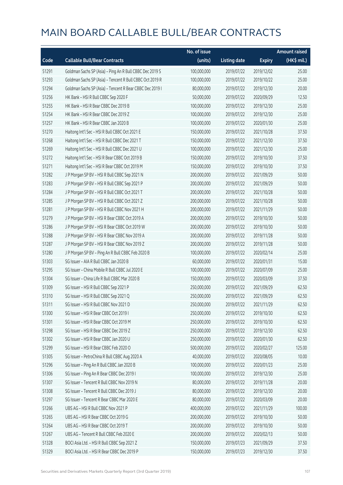|       |                                                          | No. of issue |                     |               | <b>Amount raised</b> |
|-------|----------------------------------------------------------|--------------|---------------------|---------------|----------------------|
| Code  | <b>Callable Bull/Bear Contracts</b>                      | (units)      | <b>Listing date</b> | <b>Expiry</b> | $(HK$$ mil.)         |
| 51291 | Goldman Sachs SP (Asia) - Ping An R Bull CBBC Dec 2019 S | 100,000,000  | 2019/07/22          | 2019/12/02    | 25.00                |
| 51293 | Goldman Sachs SP (Asia) - Tencent R Bull CBBC Oct 2019 R | 100,000,000  | 2019/07/22          | 2019/10/22    | 25.00                |
| 51294 | Goldman Sachs SP (Asia) - Tencent R Bear CBBC Dec 2019 I | 80,000,000   | 2019/07/22          | 2019/12/30    | 20.00                |
| 51256 | HK Bank - HSI R Bull CBBC Sep 2020 F                     | 50,000,000   | 2019/07/22          | 2020/09/29    | 12.50                |
| 51255 | HK Bank - HSI R Bear CBBC Dec 2019 B                     | 100,000,000  | 2019/07/22          | 2019/12/30    | 25.00                |
| 51254 | HK Bank - HSI R Bear CBBC Dec 2019 Z                     | 100,000,000  | 2019/07/22          | 2019/12/30    | 25.00                |
| 51257 | HK Bank - HSI R Bear CBBC Jan 2020 B                     | 100,000,000  | 2019/07/22          | 2020/01/30    | 25.00                |
| 51270 | Haitong Int'l Sec - HSI R Bull CBBC Oct 2021 E           | 150,000,000  | 2019/07/22          | 2021/10/28    | 37.50                |
| 51268 | Haitong Int'l Sec - HSI R Bull CBBC Dec 2021 T           | 150,000,000  | 2019/07/22          | 2021/12/30    | 37.50                |
| 51269 | Haitong Int'l Sec - HSI R Bull CBBC Dec 2021 U           | 100,000,000  | 2019/07/22          | 2021/12/30    | 25.00                |
| 51272 | Haitong Int'l Sec - HSI R Bear CBBC Oct 2019 B           | 150,000,000  | 2019/07/22          | 2019/10/30    | 37.50                |
| 51271 | Haitong Int'l Sec - HSI R Bear CBBC Oct 2019 M           | 150,000,000  | 2019/07/22          | 2019/10/30    | 37.50                |
| 51282 | J P Morgan SP BV - HSI R Bull CBBC Sep 2021 N            | 200,000,000  | 2019/07/22          | 2021/09/29    | 50.00                |
| 51283 | J P Morgan SP BV - HSI R Bull CBBC Sep 2021 P            | 200,000,000  | 2019/07/22          | 2021/09/29    | 50.00                |
| 51284 | J P Morgan SP BV - HSI R Bull CBBC Oct 2021 T            | 200,000,000  | 2019/07/22          | 2021/10/28    | 50.00                |
| 51285 | JP Morgan SP BV - HSIR Bull CBBC Oct 2021 Z              | 200,000,000  | 2019/07/22          | 2021/10/28    | 50.00                |
| 51281 | J P Morgan SP BV - HSI R Bull CBBC Nov 2021 H            | 200,000,000  | 2019/07/22          | 2021/11/29    | 50.00                |
| 51279 | J P Morgan SP BV - HSI R Bear CBBC Oct 2019 A            | 200,000,000  | 2019/07/22          | 2019/10/30    | 50.00                |
| 51286 | J P Morgan SP BV - HSI R Bear CBBC Oct 2019 W            | 200,000,000  | 2019/07/22          | 2019/10/30    | 50.00                |
| 51288 | J P Morgan SP BV - HSI R Bear CBBC Nov 2019 A            | 200,000,000  | 2019/07/22          | 2019/11/28    | 50.00                |
| 51287 | J P Morgan SP BV - HSI R Bear CBBC Nov 2019 Z            | 200,000,000  | 2019/07/22          | 2019/11/28    | 50.00                |
| 51280 | J P Morgan SP BV - Ping An R Bull CBBC Feb 2020 B        | 100,000,000  | 2019/07/22          | 2020/02/14    | 25.00                |
| 51303 | SG Issuer - AIA R Bull CBBC Jan 2020 B                   | 60,000,000   | 2019/07/22          | 2020/01/31    | 15.00                |
| 51295 | SG Issuer - China Mobile R Bull CBBC Jul 2020 E          | 100,000,000  | 2019/07/22          | 2020/07/09    | 25.00                |
| 51304 | SG Issuer - China Life R Bull CBBC Mar 2020 B            | 150,000,000  | 2019/07/22          | 2020/03/09    | 37.50                |
| 51309 | SG Issuer - HSI R Bull CBBC Sep 2021 P                   | 250,000,000  | 2019/07/22          | 2021/09/29    | 62.50                |
| 51310 | SG Issuer - HSI R Bull CBBC Sep 2021 Q                   | 250,000,000  | 2019/07/22          | 2021/09/29    | 62.50                |
| 51311 | SG Issuer - HSI R Bull CBBC Nov 2021 D                   | 250,000,000  | 2019/07/22          | 2021/11/29    | 62.50                |
| 51300 | SG Issuer - HSI R Bear CBBC Oct 2019 I                   | 250,000,000  | 2019/07/22          | 2019/10/30    | 62.50                |
| 51301 | SG Issuer - HSI R Bear CBBC Oct 2019 M                   | 250,000,000  | 2019/07/22          | 2019/10/30    | 62.50                |
| 51298 | SG Issuer - HSI R Bear CBBC Dec 2019 Z                   | 250,000,000  | 2019/07/22          | 2019/12/30    | 62.50                |
| 51302 | SG Issuer - HSI R Bear CBBC Jan 2020 U                   | 250,000,000  | 2019/07/22          | 2020/01/30    | 62.50                |
| 51299 | SG Issuer - HSI R Bear CBBC Feb 2020 O                   | 500,000,000  | 2019/07/22          | 2020/02/27    | 125.00               |
| 51305 | SG Issuer - PetroChina R Bull CBBC Aug 2020 A            | 40,000,000   | 2019/07/22          | 2020/08/05    | 10.00                |
| 51296 | SG Issuer - Ping An R Bull CBBC Jan 2020 B               | 100,000,000  | 2019/07/22          | 2020/01/23    | 25.00                |
| 51306 | SG Issuer - Ping An R Bear CBBC Dec 2019 I               | 100,000,000  | 2019/07/22          | 2019/12/30    | 25.00                |
| 51307 | SG Issuer - Tencent R Bull CBBC Nov 2019 N               | 80,000,000   | 2019/07/22          | 2019/11/28    | 20.00                |
| 51308 | SG Issuer - Tencent R Bull CBBC Dec 2019 J               | 80,000,000   | 2019/07/22          | 2019/12/30    | 20.00                |
| 51297 | SG Issuer - Tencent R Bear CBBC Mar 2020 E               | 80,000,000   | 2019/07/22          | 2020/03/09    | 20.00                |
| 51266 | UBS AG - HSI R Bull CBBC Nov 2021 P                      | 400,000,000  | 2019/07/22          | 2021/11/29    | 100.00               |
| 51265 | UBS AG - HSI R Bear CBBC Oct 2019 G                      | 200,000,000  | 2019/07/22          | 2019/10/30    | 50.00                |
| 51264 | UBS AG - HSI R Bear CBBC Oct 2019 T                      | 200,000,000  | 2019/07/22          | 2019/10/30    | 50.00                |
| 51267 | UBS AG - Tencent R Bull CBBC Feb 2020 E                  | 200,000,000  | 2019/07/22          | 2020/02/13    | 50.00                |
| 51328 | BOCI Asia Ltd. - HSI R Bull CBBC Sep 2021 Z              | 150,000,000  | 2019/07/23          | 2021/09/29    | 37.50                |
| 51329 | BOCI Asia Ltd. - HSI R Bear CBBC Dec 2019 P              | 150,000,000  | 2019/07/23          | 2019/12/30    | 37.50                |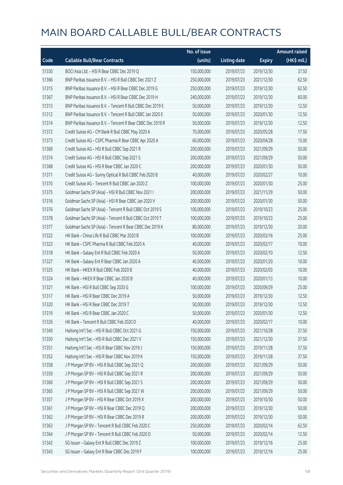|       |                                                            | No. of issue |                     |               | <b>Amount raised</b> |
|-------|------------------------------------------------------------|--------------|---------------------|---------------|----------------------|
| Code  | <b>Callable Bull/Bear Contracts</b>                        | (units)      | <b>Listing date</b> | <b>Expiry</b> | (HK\$ mil.)          |
| 51330 | BOCI Asia Ltd. - HSI R Bear CBBC Dec 2019 Q                | 150,000,000  | 2019/07/23          | 2019/12/30    | 37.50                |
| 51366 | BNP Paribas Issuance B.V. - HSI R Bull CBBC Dec 2021 Z     | 250,000,000  | 2019/07/23          | 2021/12/30    | 62.50                |
| 51315 | BNP Paribas Issuance B.V. - HSI R Bear CBBC Dec 2019 G     | 250,000,000  | 2019/07/23          | 2019/12/30    | 62.50                |
| 51367 | BNP Paribas Issuance B.V. - HSI R Bear CBBC Dec 2019 H     | 240,000,000  | 2019/07/23          | 2019/12/30    | 60.00                |
| 51313 | BNP Paribas Issuance B.V. - Tencent R Bull CBBC Dec 2019 E | 50,000,000   | 2019/07/23          | 2019/12/30    | 12.50                |
| 51312 | BNP Paribas Issuance B.V. - Tencent R Bull CBBC Jan 2020 E | 50,000,000   | 2019/07/23          | 2020/01/30    | 12.50                |
| 51314 | BNP Paribas Issuance B.V. - Tencent R Bear CBBC Dec 2019 R | 50,000,000   | 2019/07/23          | 2019/12/30    | 12.50                |
| 51372 | Credit Suisse AG - CM Bank R Bull CBBC May 2020 A          | 70,000,000   | 2019/07/23          | 2020/05/28    | 17.50                |
| 51373 | Credit Suisse AG - CSPC Pharma R Bear CBBC Apr 2020 A      | 60,000,000   | 2019/07/23          | 2020/04/28    | 15.00                |
| 51369 | Credit Suisse AG - HSI R Bull CBBC Sep 2021 R              | 200,000,000  | 2019/07/23          | 2021/09/29    | 50.00                |
| 51374 | Credit Suisse AG - HSI R Bull CBBC Sep 2021 S              | 200,000,000  | 2019/07/23          | 2021/09/29    | 50.00                |
| 51368 | Credit Suisse AG - HSI R Bear CBBC Jan 2020 C              | 200,000,000  | 2019/07/23          | 2020/01/30    | 50.00                |
| 51371 | Credit Suisse AG - Sunny Optical R Bull CBBC Feb 2020 B    | 40,000,000   | 2019/07/23          | 2020/02/27    | 10.00                |
| 51370 | Credit Suisse AG - Tencent R Bull CBBC Jan 2020 Z          | 100,000,000  | 2019/07/23          | 2020/01/30    | 25.00                |
| 51375 | Goldman Sachs SP (Asia) - HSI R Bull CBBC Nov 2021 I       | 200,000,000  | 2019/07/23          | 2021/11/29    | 50.00                |
| 51316 | Goldman Sachs SP (Asia) - HSI R Bear CBBC Jan 2020 V       | 200,000,000  | 2019/07/23          | 2020/01/30    | 50.00                |
| 51376 | Goldman Sachs SP (Asia) - Tencent R Bull CBBC Oct 2019 S   | 100,000,000  | 2019/07/23          | 2019/10/23    | 25.00                |
| 51378 | Goldman Sachs SP (Asia) - Tencent R Bull CBBC Oct 2019 T   | 100,000,000  | 2019/07/23          | 2019/10/23    | 25.00                |
| 51377 | Goldman Sachs SP (Asia) - Tencent R Bear CBBC Dec 2019 K   | 80,000,000   | 2019/07/23          | 2019/12/30    | 20.00                |
| 51322 | HK Bank - China Life R Bull CBBC Mar 2020 B                | 100,000,000  | 2019/07/23          | 2020/03/16    | 25.00                |
| 51323 | HK Bank - CSPC Pharma R Bull CBBC Feb 2020 A               | 40,000,000   | 2019/07/23          | 2020/02/17    | 10.00                |
| 51318 | HK Bank - Galaxy Ent R Bull CBBC Feb 2020 A                | 50,000,000   | 2019/07/23          | 2020/02/10    | 12.50                |
| 51327 | HK Bank - Galaxy Ent R Bear CBBC Jan 2020 A                | 40,000,000   | 2019/07/23          | 2020/01/20    | 10.00                |
| 51325 | HK Bank - HKEX R Bull CBBC Feb 2020 B                      | 40,000,000   | 2019/07/23          | 2020/02/03    | 10.00                |
| 51324 | HK Bank - HKEX R Bear CBBC Jan 2020 B                      | 40,000,000   | 2019/07/23          | 2020/01/13    | 10.00                |
| 51321 | HK Bank - HSI R Bull CBBC Sep 2020 G                       | 100,000,000  | 2019/07/23          | 2020/09/29    | 25.00                |
| 51317 | HK Bank - HSI R Bear CBBC Dec 2019 A                       | 50,000,000   | 2019/07/23          | 2019/12/30    | 12.50                |
| 51320 | HK Bank - HSI R Bear CBBC Dec 2019 T                       | 50,000,000   | 2019/07/23          | 2019/12/30    | 12.50                |
| 51319 | HK Bank - HSI R Bear CBBC Jan 2020 C                       | 50,000,000   | 2019/07/23          | 2020/01/30    | 12.50                |
| 51326 | HK Bank - Tencent R Bull CBBC Feb 2020 D                   | 40,000,000   | 2019/07/23          | 2020/02/17    | 10.00                |
| 51349 | Haitong Int'l Sec - HSI R Bull CBBC Oct 2021 G             | 150,000,000  | 2019/07/23          | 2021/10/28    | 37.50                |
| 51350 | Haitong Int'l Sec - HSI R Bull CBBC Dec 2021 V             | 150,000,000  | 2019/07/23          | 2021/12/30    | 37.50                |
| 51351 | Haitong Int'l Sec - HSI R Bear CBBC Nov 2019 J             | 150,000,000  | 2019/07/23          | 2019/11/28    | 37.50                |
| 51352 | Haitong Int'l Sec - HSI R Bear CBBC Nov 2019 K             | 150,000,000  | 2019/07/23          | 2019/11/28    | 37.50                |
| 51358 | J P Morgan SP BV - HSI R Bull CBBC Sep 2021 Q              | 200,000,000  | 2019/07/23          | 2021/09/29    | 50.00                |
| 51359 | J P Morgan SP BV - HSI R Bull CBBC Sep 2021 R              | 200,000,000  | 2019/07/23          | 2021/09/29    | 50.00                |
| 51360 | J P Morgan SP BV - HSI R Bull CBBC Sep 2021 S              | 200,000,000  | 2019/07/23          | 2021/09/29    | 50.00                |
| 51365 | J P Morgan SP BV - HSI R Bull CBBC Sep 2021 W              | 200,000,000  | 2019/07/23          | 2021/09/29    | 50.00                |
| 51357 | J P Morgan SP BV - HSI R Bear CBBC Oct 2019 X              | 200,000,000  | 2019/07/23          | 2019/10/30    | 50.00                |
| 51361 | J P Morgan SP BV - HSI R Bear CBBC Dec 2019 Q              | 200,000,000  | 2019/07/23          | 2019/12/30    | 50.00                |
| 51362 | J P Morgan SP BV - HSI R Bear CBBC Dec 2019 R              | 200,000,000  | 2019/07/23          | 2019/12/30    | 50.00                |
| 51363 | J P Morgan SP BV - Tencent R Bull CBBC Feb 2020 C          | 250,000,000  | 2019/07/23          | 2020/02/14    | 62.50                |
| 51364 | J P Morgan SP BV - Tencent R Bull CBBC Feb 2020 D          | 50,000,000   | 2019/07/23          | 2020/02/14    | 12.50                |
| 51342 | SG Issuer - Galaxy Ent R Bull CBBC Dec 2019 Z              | 100,000,000  | 2019/07/23          | 2019/12/16    | 25.00                |
| 51343 | SG Issuer - Galaxy Ent R Bear CBBC Dec 2019 F              | 100,000,000  | 2019/07/23          | 2019/12/16    | 25.00                |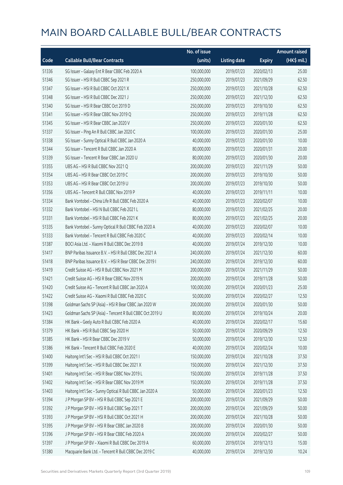|       |                                                          | No. of issue |                     |               | <b>Amount raised</b> |
|-------|----------------------------------------------------------|--------------|---------------------|---------------|----------------------|
| Code  | <b>Callable Bull/Bear Contracts</b>                      | (units)      | <b>Listing date</b> | <b>Expiry</b> | (HK\$ mil.)          |
| 51336 | SG Issuer - Galaxy Ent R Bear CBBC Feb 2020 A            | 100,000,000  | 2019/07/23          | 2020/02/13    | 25.00                |
| 51346 | SG Issuer - HSI R Bull CBBC Sep 2021 R                   | 250,000,000  | 2019/07/23          | 2021/09/29    | 62.50                |
| 51347 | SG Issuer - HSI R Bull CBBC Oct 2021 X                   | 250,000,000  | 2019/07/23          | 2021/10/28    | 62.50                |
| 51348 | SG Issuer - HSI R Bull CBBC Dec 2021 J                   | 250,000,000  | 2019/07/23          | 2021/12/30    | 62.50                |
| 51340 | SG Issuer - HSI R Bear CBBC Oct 2019 D                   | 250,000,000  | 2019/07/23          | 2019/10/30    | 62.50                |
| 51341 | SG Issuer - HSI R Bear CBBC Nov 2019 Q                   | 250,000,000  | 2019/07/23          | 2019/11/28    | 62.50                |
| 51345 | SG Issuer - HSI R Bear CBBC Jan 2020 V                   | 250,000,000  | 2019/07/23          | 2020/01/30    | 62.50                |
| 51337 | SG Issuer - Ping An R Bull CBBC Jan 2020 C               | 100,000,000  | 2019/07/23          | 2020/01/30    | 25.00                |
| 51338 | SG Issuer - Sunny Optical R Bull CBBC Jan 2020 A         | 40,000,000   | 2019/07/23          | 2020/01/30    | 10.00                |
| 51344 | SG Issuer - Tencent R Bull CBBC Jan 2020 A               | 80,000,000   | 2019/07/23          | 2020/01/31    | 20.00                |
| 51339 | SG Issuer - Tencent R Bear CBBC Jan 2020 U               | 80,000,000   | 2019/07/23          | 2020/01/30    | 20.00                |
| 51355 | UBS AG - HSI R Bull CBBC Nov 2021 Q                      | 200,000,000  | 2019/07/23          | 2021/11/29    | 50.00                |
| 51354 | UBS AG - HSI R Bear CBBC Oct 2019 C                      | 200,000,000  | 2019/07/23          | 2019/10/30    | 50.00                |
| 51353 | UBS AG - HSI R Bear CBBC Oct 2019 U                      | 200,000,000  | 2019/07/23          | 2019/10/30    | 50.00                |
| 51356 | UBS AG - Tencent R Bull CBBC Nov 2019 P                  | 40,000,000   | 2019/07/23          | 2019/11/11    | 10.00                |
| 51334 | Bank Vontobel - China Life R Bull CBBC Feb 2020 A        | 40,000,000   | 2019/07/23          | 2020/02/07    | 10.00                |
| 51332 | Bank Vontobel - HSI N Bull CBBC Feb 2021 L               | 80,000,000   | 2019/07/23          | 2021/02/25    | 20.00                |
| 51331 | Bank Vontobel - HSI R Bull CBBC Feb 2021 K               | 80,000,000   | 2019/07/23          | 2021/02/25    | 20.00                |
| 51335 | Bank Vontobel - Sunny Optical R Bull CBBC Feb 2020 A     | 40,000,000   | 2019/07/23          | 2020/02/07    | 10.00                |
| 51333 | Bank Vontobel - Tencent R Bull CBBC Feb 2020 C           | 40,000,000   | 2019/07/23          | 2020/02/14    | 10.00                |
| 51387 | BOCI Asia Ltd. - Xiaomi R Bull CBBC Dec 2019 B           | 40,000,000   | 2019/07/24          | 2019/12/30    | 10.00                |
| 51417 | BNP Paribas Issuance B.V. - HSI R Bull CBBC Dec 2021 A   | 240,000,000  | 2019/07/24          | 2021/12/30    | 60.00                |
| 51418 | BNP Paribas Issuance B.V. - HSI R Bear CBBC Dec 2019 I   | 240,000,000  | 2019/07/24          | 2019/12/30    | 60.00                |
| 51419 | Credit Suisse AG - HSI R Bull CBBC Nov 2021 M            | 200,000,000  | 2019/07/24          | 2021/11/29    | 50.00                |
| 51421 | Credit Suisse AG - HSI R Bear CBBC Nov 2019 N            | 200,000,000  | 2019/07/24          | 2019/11/28    | 50.00                |
| 51420 | Credit Suisse AG - Tencent R Bull CBBC Jan 2020 A        | 100,000,000  | 2019/07/24          | 2020/01/23    | 25.00                |
| 51422 | Credit Suisse AG - Xiaomi R Bull CBBC Feb 2020 C         | 50,000,000   | 2019/07/24          | 2020/02/27    | 12.50                |
| 51398 | Goldman Sachs SP (Asia) - HSI R Bear CBBC Jan 2020 W     | 200,000,000  | 2019/07/24          | 2020/01/30    | 50.00                |
| 51423 | Goldman Sachs SP (Asia) - Tencent R Bull CBBC Oct 2019 U | 80,000,000   | 2019/07/24          | 2019/10/24    | 20.00                |
| 51384 | HK Bank - Geely Auto R Bull CBBC Feb 2020 A              | 40,000,000   | 2019/07/24          | 2020/02/17    | 15.60                |
| 51379 | HK Bank - HSI R Bull CBBC Sep 2020 H                     | 50,000,000   | 2019/07/24          | 2020/09/29    | 12.50                |
| 51385 | HK Bank - HSI R Bear CBBC Dec 2019 V                     | 50,000,000   | 2019/07/24          | 2019/12/30    | 12.50                |
| 51386 | HK Bank - Tencent R Bull CBBC Feb 2020 E                 | 40,000,000   | 2019/07/24          | 2020/02/24    | 10.00                |
| 51400 | Haitong Int'l Sec - HSI R Bull CBBC Oct 2021 I           | 150,000,000  | 2019/07/24          | 2021/10/28    | 37.50                |
| 51399 | Haitong Int'l Sec - HSI R Bull CBBC Dec 2021 X           | 150,000,000  | 2019/07/24          | 2021/12/30    | 37.50                |
| 51401 | Haitong Int'l Sec - HSI R Bear CBBC Nov 2019 L           | 150,000,000  | 2019/07/24          | 2019/11/28    | 37.50                |
| 51402 | Haitong Int'l Sec - HSI R Bear CBBC Nov 2019 M           | 150,000,000  | 2019/07/24          | 2019/11/28    | 37.50                |
| 51403 | Haitong Int'l Sec - Sunny Optical R Bull CBBC Jan 2020 A | 50,000,000   | 2019/07/24          | 2020/01/23    | 12.50                |
| 51394 | J P Morgan SP BV - HSI R Bull CBBC Sep 2021 E            | 200,000,000  | 2019/07/24          | 2021/09/29    | 50.00                |
| 51392 | JP Morgan SP BV - HSIR Bull CBBC Sep 2021 T              | 200,000,000  | 2019/07/24          | 2021/09/29    | 50.00                |
| 51393 | J P Morgan SP BV - HSI R Bull CBBC Oct 2021 H            | 200,000,000  | 2019/07/24          | 2021/10/28    | 50.00                |
| 51395 | J P Morgan SP BV - HSI R Bear CBBC Jan 2020 B            | 200,000,000  | 2019/07/24          | 2020/01/30    | 50.00                |
| 51396 | J P Morgan SP BV - HSI R Bear CBBC Feb 2020 A            | 200,000,000  | 2019/07/24          | 2020/02/27    | 50.00                |
| 51397 | J P Morgan SP BV - Xiaomi R Bull CBBC Dec 2019 A         | 60,000,000   | 2019/07/24          | 2019/12/13    | 15.00                |
| 51380 | Macquarie Bank Ltd. - Tencent R Bull CBBC Dec 2019 C     | 40,000,000   | 2019/07/24          | 2019/12/30    | 10.24                |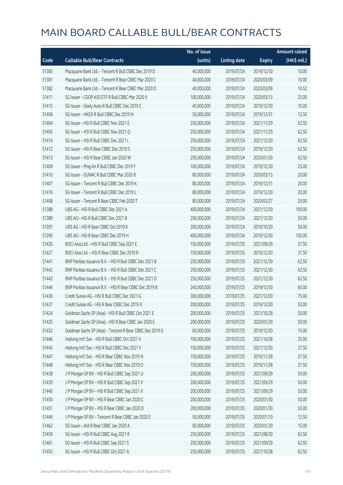|       |                                                          | No. of issue |                     |               | <b>Amount raised</b> |
|-------|----------------------------------------------------------|--------------|---------------------|---------------|----------------------|
| Code  | <b>Callable Bull/Bear Contracts</b>                      | (units)      | <b>Listing date</b> | <b>Expiry</b> | (HK\$ mil.)          |
| 51383 | Macquarie Bank Ltd. - Tencent R Bull CBBC Dec 2019 D     | 40,000,000   | 2019/07/24          | 2019/12/30    | 10.00                |
| 51381 | Macquarie Bank Ltd. - Tencent R Bear CBBC Mar 2020 C     | 40,000,000   | 2019/07/24          | 2020/03/09    | 10.00                |
| 51382 | Macquarie Bank Ltd. - Tencent R Bear CBBC Mar 2020 D     | 40,000,000   | 2019/07/24          | 2020/03/09    | 10.52                |
| 51411 | SG Issuer - CSOP A50 ETF R Bull CBBC Mar 2020 V          | 100,000,000  | 2019/07/24          | 2020/03/13    | 25.00                |
| 51415 | SG Issuer - Geely Auto R Bull CBBC Dec 2019 C            | 40,000,000   | 2019/07/24          | 2019/12/30    | 10.00                |
| 51406 | SG Issuer - HKEX R Bull CBBC Dec 2019 N                  | 50,000,000   | 2019/07/24          | 2019/12/31    | 12.50                |
| 51404 | SG Issuer - HSI R Bull CBBC Nov 2021 E                   | 250,000,000  | 2019/07/24          | 2021/11/29    | 62.50                |
| 51405 | SG Issuer - HSI R Bull CBBC Nov 2021 Q                   | 250,000,000  | 2019/07/24          | 2021/11/29    | 62.50                |
| 51414 | SG Issuer - HSI R Bull CBBC Dec 2021 L                   | 250,000,000  | 2019/07/24          | 2021/12/30    | 62.50                |
| 51412 | SG Issuer - HSI R Bear CBBC Dec 2019 S                   | 250,000,000  | 2019/07/24          | 2019/12/30    | 62.50                |
| 51413 | SG Issuer - HSI R Bear CBBC Jan 2020 W                   | 250,000,000  | 2019/07/24          | 2020/01/30    | 62.50                |
| 51409 | SG Issuer - Ping An R Bull CBBC Dec 2019 F               | 100,000,000  | 2019/07/24          | 2019/12/30    | 25.00                |
| 51410 | SG Issuer - SUNAC R Bull CBBC Mar 2020 B                 | 80,000,000   | 2019/07/24          | 2020/03/13    | 20.00                |
| 51407 | SG Issuer - Tencent R Bull CBBC Dec 2019 K               | 80,000,000   | 2019/07/24          | 2019/12/31    | 20.00                |
| 51416 | SG Issuer - Tencent R Bull CBBC Dec 2019 L               | 80,000,000   | 2019/07/24          | 2019/12/30    | 20.00                |
| 51408 | SG Issuer - Tencent R Bear CBBC Feb 2020 T               | 80,000,000   | 2019/07/24          | 2020/02/27    | 20.00                |
| 51388 | UBS AG - HSI R Bull CBBC Dec 2021 A                      | 400,000,000  | 2019/07/24          | 2021/12/30    | 100.00               |
| 51389 | UBS AG - HSI R Bull CBBC Dec 2021 B                      | 200,000,000  | 2019/07/24          | 2021/12/30    | 50.00                |
| 51391 | UBS AG - HSI R Bear CBBC Oct 2019 K                      | 200,000,000  | 2019/07/24          | 2019/10/30    | 50.00                |
| 51390 | UBS AG - HSI R Bear CBBC Dec 2019 H                      | 400,000,000  | 2019/07/24          | 2019/12/30    | 100.00               |
| 51426 | BOCI Asia Ltd. - HSI R Bull CBBC Sep 2021 E              | 150,000,000  | 2019/07/25          | 2021/09/29    | 37.50                |
| 51427 | BOCI Asia Ltd. - HSI R Bear CBBC Dec 2019 R              | 150,000,000  | 2019/07/25          | 2019/12/30    | 37.50                |
| 51441 | BNP Paribas Issuance B.V. - HSI R Bull CBBC Dec 2021 B   | 250,000,000  | 2019/07/25          | 2021/12/30    | 62.50                |
| 51442 | BNP Paribas Issuance B.V. - HSI R Bull CBBC Dec 2021 C   | 250,000,000  | 2019/07/25          | 2021/12/30    | 62.50                |
| 51443 | BNP Paribas Issuance B.V. - HSI R Bull CBBC Dec 2021 D   | 250,000,000  | 2019/07/25          | 2021/12/30    | 62.50                |
| 51444 | BNP Paribas Issuance B.V. - HSI R Bear CBBC Dec 2019 B   | 240,000,000  | 2019/07/25          | 2019/12/30    | 60.00                |
| 51436 | Credit Suisse AG - HSI R Bull CBBC Dec 2021 G            | 300,000,000  | 2019/07/25          | 2021/12/30    | 75.00                |
| 51437 | Credit Suisse AG - HSI R Bear CBBC Dec 2019 X            | 200,000,000  | 2019/07/25          | 2019/12/30    | 50.00                |
| 51424 | Goldman Sachs SP (Asia) - HSI R Bull CBBC Oct 2021 E     | 200,000,000  | 2019/07/25          | 2021/10/28    | 50.00                |
| 51425 | Goldman Sachs SP (Asia) - HSI R Bear CBBC Jan 2020 E     | 200,000,000  | 2019/07/25          | 2020/01/30    | 50.00                |
| 51452 | Goldman Sachs SP (Asia) - Tencent R Bear CBBC Dec 2019 G | 60,000,000   | 2019/07/25          | 2019/12/30    | 15.00                |
| 51446 | Haitong Int'l Sec - HSI R Bull CBBC Oct 2021 V           | 100,000,000  | 2019/07/25          | 2021/10/28    | 25.00                |
| 51445 | Haitong Int'l Sec - HSI R Bull CBBC Dec 2021 Y           | 150,000,000  | 2019/07/25          | 2021/12/30    | 37.50                |
| 51447 | Haitong Int'l Sec - HSI R Bear CBBC Nov 2019 N           | 150,000,000  | 2019/07/25          | 2019/11/28    | 37.50                |
| 51448 | Haitong Int'l Sec - HSI R Bear CBBC Nov 2019 O           | 150,000,000  | 2019/07/25          | 2019/11/28    | 37.50                |
| 51438 | J P Morgan SP BV - HSI R Bull CBBC Sep 2021 U            | 200,000,000  | 2019/07/25          | 2021/09/29    | 50.00                |
| 51439 | J P Morgan SP BV - HSI R Bull CBBC Sep 2021 V            | 200,000,000  | 2019/07/25          | 2021/09/29    | 50.00                |
| 51440 | J P Morgan SP BV - HSI R Bull CBBC Sep 2021 X            | 200,000,000  | 2019/07/25          | 2021/09/29    | 50.00                |
| 51450 | J P Morgan SP BV - HSI R Bear CBBC Jan 2020 C            | 200,000,000  | 2019/07/25          | 2020/01/30    | 50.00                |
| 51451 | J P Morgan SP BV - HSI R Bear CBBC Jan 2020 D            | 200,000,000  | 2019/07/25          | 2020/01/30    | 50.00                |
| 51449 | J P Morgan SP BV - Tencent R Bear CBBC Jan 2020 E        | 50,000,000   | 2019/07/25          | 2020/01/10    | 12.50                |
| 51462 | SG Issuer - AIA R Bear CBBC Jan 2020 A                   | 60,000,000   | 2019/07/25          | 2020/01/30    | 15.00                |
| 51459 | SG Issuer - HSI R Bull CBBC Aug 2021 R                   | 250,000,000  | 2019/07/25          | 2021/08/30    | 62.50                |
| 51461 | SG Issuer - HSI R Bull CBBC Sep 2021 S                   | 250,000,000  | 2019/07/25          | 2021/09/29    | 62.50                |
| 51455 | SG Issuer - HSI R Bull CBBC Oct 2021 A                   | 250,000,000  | 2019/07/25          | 2021/10/28    | 62.50                |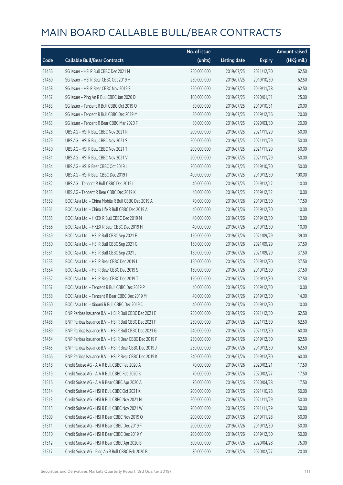|       |                                                        | No. of issue |                     |               | <b>Amount raised</b> |
|-------|--------------------------------------------------------|--------------|---------------------|---------------|----------------------|
| Code  | <b>Callable Bull/Bear Contracts</b>                    | (units)      | <b>Listing date</b> | <b>Expiry</b> | (HK\$ mil.)          |
| 51456 | SG Issuer - HSI R Bull CBBC Dec 2021 M                 | 250,000,000  | 2019/07/25          | 2021/12/30    | 62.50                |
| 51460 | SG Issuer - HSI R Bear CBBC Oct 2019 H                 | 250,000,000  | 2019/07/25          | 2019/10/30    | 62.50                |
| 51458 | SG Issuer - HSI R Bear CBBC Nov 2019 S                 | 250,000,000  | 2019/07/25          | 2019/11/28    | 62.50                |
| 51457 | SG Issuer - Ping An R Bull CBBC Jan 2020 D             | 100,000,000  | 2019/07/25          | 2020/01/31    | 25.00                |
| 51453 | SG Issuer - Tencent R Bull CBBC Oct 2019 O             | 80,000,000   | 2019/07/25          | 2019/10/31    | 20.00                |
| 51454 | SG Issuer - Tencent R Bull CBBC Dec 2019 M             | 80,000,000   | 2019/07/25          | 2019/12/16    | 20.00                |
| 51463 | SG Issuer - Tencent R Bear CBBC Mar 2020 F             | 80,000,000   | 2019/07/25          | 2020/03/30    | 20.00                |
| 51428 | UBS AG - HSI R Bull CBBC Nov 2021 R                    | 200,000,000  | 2019/07/25          | 2021/11/29    | 50.00                |
| 51429 | UBS AG - HSI R Bull CBBC Nov 2021 S                    | 200,000,000  | 2019/07/25          | 2021/11/29    | 50.00                |
| 51430 | UBS AG - HSI R Bull CBBC Nov 2021 T                    | 200,000,000  | 2019/07/25          | 2021/11/29    | 50.00                |
| 51431 | UBS AG - HSI R Bull CBBC Nov 2021 V                    | 200,000,000  | 2019/07/25          | 2021/11/29    | 50.00                |
| 51434 | UBS AG - HSI R Bear CBBC Oct 2019 L                    | 200,000,000  | 2019/07/25          | 2019/10/30    | 50.00                |
| 51435 | UBS AG - HSI R Bear CBBC Dec 2019 I                    | 400,000,000  | 2019/07/25          | 2019/12/30    | 100.00               |
| 51432 | UBS AG - Tencent R Bull CBBC Dec 2019 I                | 40,000,000   | 2019/07/25          | 2019/12/12    | 10.00                |
| 51433 | UBS AG - Tencent R Bear CBBC Dec 2019 K                | 40,000,000   | 2019/07/25          | 2019/12/12    | 10.00                |
| 51559 | BOCI Asia Ltd. - China Mobile R Bull CBBC Dec 2019 A   | 70,000,000   | 2019/07/26          | 2019/12/30    | 17.50                |
| 51561 | BOCI Asia Ltd. - China Life R Bull CBBC Dec 2019 A     | 40,000,000   | 2019/07/26          | 2019/12/30    | 10.00                |
| 51555 | BOCI Asia Ltd. - HKEX R Bull CBBC Dec 2019 M           | 40,000,000   | 2019/07/26          | 2019/12/30    | 10.00                |
| 51556 | BOCI Asia Ltd. - HKEX R Bear CBBC Dec 2019 H           | 40,000,000   | 2019/07/26          | 2019/12/30    | 10.00                |
| 51549 | BOCI Asia Ltd. - HSI R Bull CBBC Sep 2021 F            | 150,000,000  | 2019/07/26          | 2021/09/29    | 39.00                |
| 51550 | BOCI Asia Ltd. - HSI R Bull CBBC Sep 2021 G            | 150,000,000  | 2019/07/26          | 2021/09/29    | 37.50                |
| 51551 | BOCI Asia Ltd. - HSI R Bull CBBC Sep 2021 J            | 150,000,000  | 2019/07/26          | 2021/09/29    | 37.50                |
| 51553 | BOCI Asia Ltd. - HSI R Bear CBBC Dec 2019 I            | 150,000,000  | 2019/07/26          | 2019/12/30    | 37.50                |
| 51554 | BOCI Asia Ltd. - HSI R Bear CBBC Dec 2019 S            | 150,000,000  | 2019/07/26          | 2019/12/30    | 37.50                |
| 51552 | BOCI Asia Ltd. - HSI R Bear CBBC Dec 2019 T            | 150,000,000  | 2019/07/26          | 2019/12/30    | 37.50                |
| 51557 | BOCI Asia Ltd. - Tencent R Bull CBBC Dec 2019 P        | 40,000,000   | 2019/07/26          | 2019/12/30    | 10.00                |
| 51558 | BOCI Asia Ltd. - Tencent R Bear CBBC Dec 2019 M        | 40,000,000   | 2019/07/26          | 2019/12/30    | 14.00                |
| 51560 | BOCI Asia Ltd. - Xiaomi R Bull CBBC Dec 2019 C         | 40,000,000   | 2019/07/26          | 2019/12/30    | 10.00                |
| 51477 | BNP Paribas Issuance B.V. - HSI R Bull CBBC Dec 2021 E | 250,000,000  | 2019/07/26          | 2021/12/30    | 62.50                |
| 51488 | BNP Paribas Issuance B.V. - HSI R Bull CBBC Dec 2021 F | 250,000,000  | 2019/07/26          | 2021/12/30    | 62.50                |
| 51489 | BNP Paribas Issuance B.V. - HSI R Bull CBBC Dec 2021 G | 240,000,000  | 2019/07/26          | 2021/12/30    | 60.00                |
| 51464 | BNP Paribas Issuance B.V. - HSI R Bear CBBC Dec 2019 F | 250,000,000  | 2019/07/26          | 2019/12/30    | 62.50                |
| 51465 | BNP Paribas Issuance B.V. - HSI R Bear CBBC Dec 2019 J | 250,000,000  | 2019/07/26          | 2019/12/30    | 62.50                |
| 51466 | BNP Paribas Issuance B.V. - HSI R Bear CBBC Dec 2019 K | 240,000,000  | 2019/07/26          | 2019/12/30    | 60.00                |
| 51518 | Credit Suisse AG - AIA R Bull CBBC Feb 2020 A          | 70,000,000   | 2019/07/26          | 2020/02/21    | 17.50                |
| 51519 | Credit Suisse AG - AIA R Bull CBBC Feb 2020 B          | 70,000,000   | 2019/07/26          | 2020/02/27    | 17.50                |
| 51516 | Credit Suisse AG - AIA R Bear CBBC Apr 2020 A          | 70,000,000   | 2019/07/26          | 2020/04/28    | 17.50                |
| 51514 | Credit Suisse AG - HSI R Bull CBBC Oct 2021 K          | 200,000,000  | 2019/07/26          | 2021/10/28    | 50.00                |
| 51513 | Credit Suisse AG - HSI R Bull CBBC Nov 2021 N          | 200,000,000  | 2019/07/26          | 2021/11/29    | 50.00                |
| 51515 | Credit Suisse AG - HSI R Bull CBBC Nov 2021 W          | 200,000,000  | 2019/07/26          | 2021/11/29    | 50.00                |
| 51509 | Credit Suisse AG - HSI R Bear CBBC Nov 2019 Q          | 200,000,000  | 2019/07/26          | 2019/11/28    | 50.00                |
| 51511 | Credit Suisse AG - HSI R Bear CBBC Dec 2019 F          | 200,000,000  | 2019/07/26          | 2019/12/30    | 50.00                |
| 51510 | Credit Suisse AG - HSI R Bear CBBC Dec 2019 Y          | 200,000,000  | 2019/07/26          | 2019/12/30    | 50.00                |
| 51512 | Credit Suisse AG - HSI R Bear CBBC Apr 2020 B          | 300,000,000  | 2019/07/26          | 2020/04/28    | 75.00                |
| 51517 | Credit Suisse AG - Ping An R Bull CBBC Feb 2020 B      | 80,000,000   | 2019/07/26          | 2020/02/27    | 20.00                |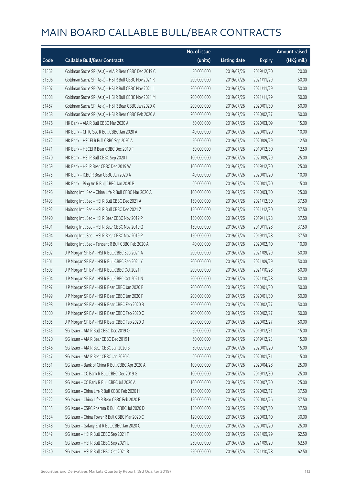|       |                                                       | No. of issue |                     |               | <b>Amount raised</b> |
|-------|-------------------------------------------------------|--------------|---------------------|---------------|----------------------|
| Code  | <b>Callable Bull/Bear Contracts</b>                   | (units)      | <b>Listing date</b> | <b>Expiry</b> | (HK\$ mil.)          |
| 51562 | Goldman Sachs SP (Asia) - AIA R Bear CBBC Dec 2019 C  | 80,000,000   | 2019/07/26          | 2019/12/30    | 20.00                |
| 51506 | Goldman Sachs SP (Asia) - HSI R Bull CBBC Nov 2021 K  | 200,000,000  | 2019/07/26          | 2021/11/29    | 50.00                |
| 51507 | Goldman Sachs SP (Asia) - HSI R Bull CBBC Nov 2021 L  | 200,000,000  | 2019/07/26          | 2021/11/29    | 50.00                |
| 51508 | Goldman Sachs SP (Asia) - HSI R Bull CBBC Nov 2021 M  | 200,000,000  | 2019/07/26          | 2021/11/29    | 50.00                |
| 51467 | Goldman Sachs SP (Asia) - HSI R Bear CBBC Jan 2020 X  | 200,000,000  | 2019/07/26          | 2020/01/30    | 50.00                |
| 51468 | Goldman Sachs SP (Asia) - HSI R Bear CBBC Feb 2020 A  | 200,000,000  | 2019/07/26          | 2020/02/27    | 50.00                |
| 51476 | HK Bank - AIA R Bull CBBC Mar 2020 A                  | 60,000,000   | 2019/07/26          | 2020/03/09    | 15.00                |
| 51474 | HK Bank - CITIC Sec R Bull CBBC Jan 2020 A            | 40,000,000   | 2019/07/26          | 2020/01/20    | 10.00                |
| 51472 | HK Bank - HSCEI R Bull CBBC Sep 2020 A                | 50,000,000   | 2019/07/26          | 2020/09/29    | 12.50                |
| 51471 | HK Bank - HSCEI R Bear CBBC Dec 2019 F                | 50,000,000   | 2019/07/26          | 2019/12/30    | 12.50                |
| 51470 | HK Bank - HSI R Bull CBBC Sep 2020 I                  | 100,000,000  | 2019/07/26          | 2020/09/29    | 25.00                |
| 51469 | HK Bank - HSI R Bear CBBC Dec 2019 W                  | 100,000,000  | 2019/07/26          | 2019/12/30    | 25.00                |
| 51475 | HK Bank - ICBC R Bear CBBC Jan 2020 A                 | 40,000,000   | 2019/07/26          | 2020/01/20    | 10.00                |
| 51473 | HK Bank - Ping An R Bull CBBC Jan 2020 B              | 60,000,000   | 2019/07/26          | 2020/01/20    | 15.00                |
| 51496 | Haitong Int'l Sec - China Life R Bull CBBC Mar 2020 A | 100,000,000  | 2019/07/26          | 2020/03/10    | 25.00                |
| 51493 | Haitong Int'l Sec - HSI R Bull CBBC Dec 2021 A        | 150,000,000  | 2019/07/26          | 2021/12/30    | 37.50                |
| 51492 | Haitong Int'l Sec - HSI R Bull CBBC Dec 2021 Z        | 150,000,000  | 2019/07/26          | 2021/12/30    | 37.50                |
| 51490 | Haitong Int'l Sec - HSI R Bear CBBC Nov 2019 P        | 150,000,000  | 2019/07/26          | 2019/11/28    | 37.50                |
| 51491 | Haitong Int'l Sec - HSI R Bear CBBC Nov 2019 Q        | 150,000,000  | 2019/07/26          | 2019/11/28    | 37.50                |
| 51494 | Haitong Int'l Sec - HSI R Bear CBBC Nov 2019 R        | 150,000,000  | 2019/07/26          | 2019/11/28    | 37.50                |
| 51495 | Haitong Int'l Sec - Tencent R Bull CBBC Feb 2020 A    | 40,000,000   | 2019/07/26          | 2020/02/10    | 10.00                |
| 51502 | J P Morgan SP BV - HSI R Bull CBBC Sep 2021 A         | 200,000,000  | 2019/07/26          | 2021/09/29    | 50.00                |
| 51501 | J P Morgan SP BV - HSI R Bull CBBC Sep 2021 Y         | 200,000,000  | 2019/07/26          | 2021/09/29    | 50.00                |
| 51503 | J P Morgan SP BV - HSI R Bull CBBC Oct 2021 I         | 200,000,000  | 2019/07/26          | 2021/10/28    | 50.00                |
| 51504 | J P Morgan SP BV - HSI R Bull CBBC Oct 2021 N         | 200,000,000  | 2019/07/26          | 2021/10/28    | 50.00                |
| 51497 | J P Morgan SP BV - HSI R Bear CBBC Jan 2020 E         | 200,000,000  | 2019/07/26          | 2020/01/30    | 50.00                |
| 51499 | J P Morgan SP BV - HSI R Bear CBBC Jan 2020 F         | 200,000,000  | 2019/07/26          | 2020/01/30    | 50.00                |
| 51498 | J P Morgan SP BV - HSI R Bear CBBC Feb 2020 B         | 200,000,000  | 2019/07/26          | 2020/02/27    | 50.00                |
| 51500 | J P Morgan SP BV - HSI R Bear CBBC Feb 2020 C         | 200,000,000  | 2019/07/26          | 2020/02/27    | 50.00                |
| 51505 | J P Morgan SP BV - HSI R Bear CBBC Feb 2020 D         | 200,000,000  | 2019/07/26          | 2020/02/27    | 50.00                |
| 51545 | SG Issuer - AIA R Bull CBBC Dec 2019 O                | 60,000,000   | 2019/07/26          | 2019/12/31    | 15.00                |
| 51520 | SG Issuer - AIA R Bear CBBC Dec 2019 I                | 60,000,000   | 2019/07/26          | 2019/12/23    | 15.00                |
| 51546 | SG Issuer - AIA R Bear CBBC Jan 2020 B                | 60,000,000   | 2019/07/26          | 2020/01/20    | 15.00                |
| 51547 | SG Issuer - AIA R Bear CBBC Jan 2020 C                | 60,000,000   | 2019/07/26          | 2020/01/31    | 15.00                |
| 51531 | SG Issuer - Bank of China R Bull CBBC Apr 2020 A      | 100,000,000  | 2019/07/26          | 2020/04/28    | 25.00                |
| 51532 | SG Issuer - CC Bank R Bull CBBC Dec 2019 G            | 100,000,000  | 2019/07/26          | 2019/12/30    | 25.00                |
| 51521 | SG Issuer - CC Bank R Bull CBBC Jul 2020 A            | 100,000,000  | 2019/07/26          | 2020/07/20    | 25.00                |
| 51533 | SG Issuer - China Life R Bull CBBC Feb 2020 H         | 150,000,000  | 2019/07/26          | 2020/02/17    | 37.50                |
| 51522 | SG Issuer - China Life R Bear CBBC Feb 2020 B         | 150,000,000  | 2019/07/26          | 2020/02/26    | 37.50                |
| 51535 | SG Issuer - CSPC Pharma R Bull CBBC Jul 2020 D        | 150,000,000  | 2019/07/26          | 2020/07/10    | 37.50                |
| 51534 | SG Issuer - China Tower R Bull CBBC Mar 2020 C        | 120,000,000  | 2019/07/26          | 2020/03/10    | 30.00                |
| 51548 | SG Issuer - Galaxy Ent R Bull CBBC Jan 2020 C         | 100,000,000  | 2019/07/26          | 2020/01/20    | 25.00                |
| 51542 | SG Issuer - HSI R Bull CBBC Sep 2021 T                | 250,000,000  | 2019/07/26          | 2021/09/29    | 62.50                |
| 51543 | SG Issuer - HSI R Bull CBBC Sep 2021 U                | 250,000,000  | 2019/07/26          | 2021/09/29    | 62.50                |
| 51540 | SG Issuer - HSI R Bull CBBC Oct 2021 B                | 250,000,000  | 2019/07/26          | 2021/10/28    | 62.50                |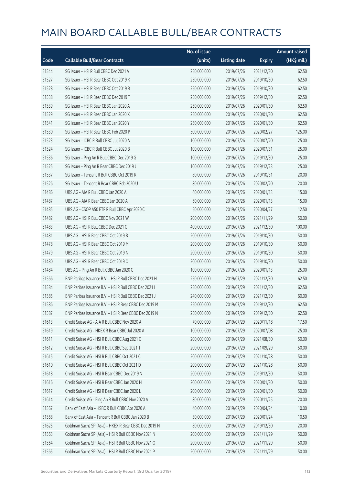|       |                                                        | No. of issue |                     |               | <b>Amount raised</b> |
|-------|--------------------------------------------------------|--------------|---------------------|---------------|----------------------|
| Code  | <b>Callable Bull/Bear Contracts</b>                    | (units)      | <b>Listing date</b> | <b>Expiry</b> | (HK\$ mil.)          |
| 51544 | SG Issuer - HSI R Bull CBBC Dec 2021 V                 | 250,000,000  | 2019/07/26          | 2021/12/30    | 62.50                |
| 51527 | SG Issuer - HSI R Bear CBBC Oct 2019 K                 | 250,000,000  | 2019/07/26          | 2019/10/30    | 62.50                |
| 51528 | SG Issuer - HSI R Bear CBBC Oct 2019 R                 | 250,000,000  | 2019/07/26          | 2019/10/30    | 62.50                |
| 51538 | SG Issuer - HSI R Bear CBBC Dec 2019 T                 | 250,000,000  | 2019/07/26          | 2019/12/30    | 62.50                |
| 51539 | SG Issuer - HSI R Bear CBBC Jan 2020 A                 | 250,000,000  | 2019/07/26          | 2020/01/30    | 62.50                |
| 51529 | SG Issuer - HSI R Bear CBBC Jan 2020 X                 | 250,000,000  | 2019/07/26          | 2020/01/30    | 62.50                |
| 51541 | SG Issuer - HSI R Bear CBBC Jan 2020 Y                 | 250,000,000  | 2019/07/26          | 2020/01/30    | 62.50                |
| 51530 | SG Issuer - HSI R Bear CBBC Feb 2020 P                 | 500,000,000  | 2019/07/26          | 2020/02/27    | 125.00               |
| 51523 | SG Issuer - ICBC R Bull CBBC Jul 2020 A                | 100,000,000  | 2019/07/26          | 2020/07/20    | 25.00                |
| 51524 | SG Issuer - ICBC R Bull CBBC Jul 2020 B                | 100,000,000  | 2019/07/26          | 2020/07/31    | 25.00                |
| 51536 | SG Issuer - Ping An R Bull CBBC Dec 2019 G             | 100,000,000  | 2019/07/26          | 2019/12/30    | 25.00                |
| 51525 | SG Issuer - Ping An R Bear CBBC Dec 2019 J             | 100,000,000  | 2019/07/26          | 2019/12/23    | 25.00                |
| 51537 | SG Issuer - Tencent R Bull CBBC Oct 2019 R             | 80,000,000   | 2019/07/26          | 2019/10/31    | 20.00                |
| 51526 | SG Issuer - Tencent R Bear CBBC Feb 2020 U             | 80,000,000   | 2019/07/26          | 2020/02/20    | 20.00                |
| 51486 | UBS AG - AIA R Bull CBBC Jan 2020 A                    | 60,000,000   | 2019/07/26          | 2020/01/13    | 15.00                |
| 51487 | UBS AG - AIA R Bear CBBC Jan 2020 A                    | 60,000,000   | 2019/07/26          | 2020/01/13    | 15.00                |
| 51485 | UBS AG - CSOP A50 ETF R Bull CBBC Apr 2020 C           | 50,000,000   | 2019/07/26          | 2020/04/27    | 12.50                |
| 51482 | UBS AG - HSI R Bull CBBC Nov 2021 W                    | 200,000,000  | 2019/07/26          | 2021/11/29    | 50.00                |
| 51483 | UBS AG - HSI R Bull CBBC Dec 2021 C                    | 400,000,000  | 2019/07/26          | 2021/12/30    | 100.00               |
| 51481 | UBS AG - HSI R Bear CBBC Oct 2019 B                    | 200,000,000  | 2019/07/26          | 2019/10/30    | 50.00                |
| 51478 | UBS AG - HSI R Bear CBBC Oct 2019 M                    | 200,000,000  | 2019/07/26          | 2019/10/30    | 50.00                |
| 51479 | UBS AG - HSI R Bear CBBC Oct 2019 N                    | 200,000,000  | 2019/07/26          | 2019/10/30    | 50.00                |
| 51480 | UBS AG - HSI R Bear CBBC Oct 2019 O                    | 200,000,000  | 2019/07/26          | 2019/10/30    | 50.00                |
| 51484 | UBS AG - Ping An R Bull CBBC Jan 2020 C                | 100,000,000  | 2019/07/26          | 2020/01/13    | 25.00                |
| 51566 | BNP Paribas Issuance B.V. - HSI R Bull CBBC Dec 2021 H | 250,000,000  | 2019/07/29          | 2021/12/30    | 62.50                |
| 51584 | BNP Paribas Issuance B.V. - HSI R Bull CBBC Dec 2021 I | 250,000,000  | 2019/07/29          | 2021/12/30    | 62.50                |
| 51585 | BNP Paribas Issuance B.V. - HSI R Bull CBBC Dec 2021 J | 240,000,000  | 2019/07/29          | 2021/12/30    | 60.00                |
| 51586 | BNP Paribas Issuance B.V. - HSI R Bear CBBC Dec 2019 M | 250,000,000  | 2019/07/29          | 2019/12/30    | 62.50                |
| 51587 | BNP Paribas Issuance B.V. - HSI R Bear CBBC Dec 2019 N | 250,000,000  | 2019/07/29          | 2019/12/30    | 62.50                |
| 51613 | Credit Suisse AG - AIA R Bull CBBC Nov 2020 A          | 70,000,000   | 2019/07/29          | 2020/11/18    | 17.50                |
| 51619 | Credit Suisse AG - HKEX R Bear CBBC Jul 2020 A         | 100,000,000  | 2019/07/29          | 2020/07/08    | 25.00                |
| 51611 | Credit Suisse AG - HSI R Bull CBBC Aug 2021 C          | 200,000,000  | 2019/07/29          | 2021/08/30    | 50.00                |
| 51612 | Credit Suisse AG - HSI R Bull CBBC Sep 2021 T          | 200,000,000  | 2019/07/29          | 2021/09/29    | 50.00                |
| 51615 | Credit Suisse AG - HSI R Bull CBBC Oct 2021 C          | 200,000,000  | 2019/07/29          | 2021/10/28    | 50.00                |
| 51610 | Credit Suisse AG - HSI R Bull CBBC Oct 2021 D          | 200,000,000  | 2019/07/29          | 2021/10/28    | 50.00                |
| 51618 | Credit Suisse AG - HSI R Bear CBBC Dec 2019 N          | 200,000,000  | 2019/07/29          | 2019/12/30    | 50.00                |
| 51616 | Credit Suisse AG - HSI R Bear CBBC Jan 2020 H          | 200,000,000  | 2019/07/29          | 2020/01/30    | 50.00                |
| 51617 | Credit Suisse AG - HSI R Bear CBBC Jan 2020 L          | 200,000,000  | 2019/07/29          | 2020/01/30    | 50.00                |
| 51614 | Credit Suisse AG - Ping An R Bull CBBC Nov 2020 A      | 80,000,000   | 2019/07/29          | 2020/11/25    | 20.00                |
| 51567 | Bank of East Asia - HSBC R Bull CBBC Apr 2020 A        | 40,000,000   | 2019/07/29          | 2020/04/24    | 10.00                |
| 51568 | Bank of East Asia - Tencent R Bull CBBC Jan 2020 B     | 30,000,000   | 2019/07/29          | 2020/01/24    | 10.50                |
| 51625 | Goldman Sachs SP (Asia) - HKEX R Bear CBBC Dec 2019 N  | 80,000,000   | 2019/07/29          | 2019/12/30    | 20.00                |
| 51563 | Goldman Sachs SP (Asia) - HSI R Bull CBBC Nov 2021 N   | 200,000,000  | 2019/07/29          | 2021/11/29    | 50.00                |
| 51564 | Goldman Sachs SP (Asia) - HSI R Bull CBBC Nov 2021 O   | 200,000,000  | 2019/07/29          | 2021/11/29    | 50.00                |
| 51565 | Goldman Sachs SP (Asia) - HSI R Bull CBBC Nov 2021 P   | 200,000,000  | 2019/07/29          | 2021/11/29    | 50.00                |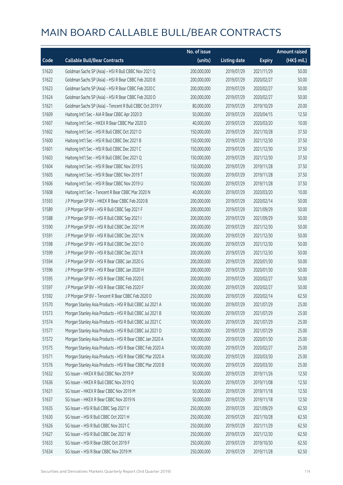|       |                                                           | No. of issue |                     |               | <b>Amount raised</b> |
|-------|-----------------------------------------------------------|--------------|---------------------|---------------|----------------------|
| Code  | <b>Callable Bull/Bear Contracts</b>                       | (units)      | <b>Listing date</b> | <b>Expiry</b> | (HK\$ mil.)          |
| 51620 | Goldman Sachs SP (Asia) - HSI R Bull CBBC Nov 2021 Q      | 200,000,000  | 2019/07/29          | 2021/11/29    | 50.00                |
| 51622 | Goldman Sachs SP (Asia) - HSI R Bear CBBC Feb 2020 B      | 200,000,000  | 2019/07/29          | 2020/02/27    | 50.00                |
| 51623 | Goldman Sachs SP (Asia) - HSI R Bear CBBC Feb 2020 C      | 200,000,000  | 2019/07/29          | 2020/02/27    | 50.00                |
| 51624 | Goldman Sachs SP (Asia) - HSI R Bear CBBC Feb 2020 D      | 200,000,000  | 2019/07/29          | 2020/02/27    | 50.00                |
| 51621 | Goldman Sachs SP (Asia) - Tencent R Bull CBBC Oct 2019 V  | 80,000,000   | 2019/07/29          | 2019/10/29    | 20.00                |
| 51609 | Haitong Int'l Sec - AIA R Bear CBBC Apr 2020 D            | 50,000,000   | 2019/07/29          | 2020/04/15    | 12.50                |
| 51607 | Haitong Int'l Sec - HKEX R Bear CBBC Mar 2020 D           | 40,000,000   | 2019/07/29          | 2020/03/20    | 10.00                |
| 51602 | Haitong Int'l Sec - HSI R Bull CBBC Oct 2021 O            | 150,000,000  | 2019/07/29          | 2021/10/28    | 37.50                |
| 51600 | Haitong Int'l Sec - HSI R Bull CBBC Dec 2021 B            | 150,000,000  | 2019/07/29          | 2021/12/30    | 37.50                |
| 51601 | Haitong Int'l Sec - HSI R Bull CBBC Dec 2021 C            | 150,000,000  | 2019/07/29          | 2021/12/30    | 37.50                |
| 51603 | Haitong Int'l Sec - HSI R Bull CBBC Dec 2021 Q            | 150,000,000  | 2019/07/29          | 2021/12/30    | 37.50                |
| 51604 | Haitong Int'l Sec - HSI R Bear CBBC Nov 2019 S            | 150,000,000  | 2019/07/29          | 2019/11/28    | 37.50                |
| 51605 | Haitong Int'l Sec - HSI R Bear CBBC Nov 2019 T            | 150,000,000  | 2019/07/29          | 2019/11/28    | 37.50                |
| 51606 | Haitong Int'l Sec - HSI R Bear CBBC Nov 2019 U            | 150,000,000  | 2019/07/29          | 2019/11/28    | 37.50                |
| 51608 | Haitong Int'l Sec - Tencent R Bear CBBC Mar 2020 N        | 40,000,000   | 2019/07/29          | 2020/03/20    | 10.00                |
| 51593 | J P Morgan SP BV - HKEX R Bear CBBC Feb 2020 B            | 200,000,000  | 2019/07/29          | 2020/02/14    | 50.00                |
| 51589 | J P Morgan SP BV - HSI R Bull CBBC Sep 2021 F             | 200,000,000  | 2019/07/29          | 2021/09/29    | 50.00                |
| 51588 | J P Morgan SP BV - HSI R Bull CBBC Sep 2021 I             | 200,000,000  | 2019/07/29          | 2021/09/29    | 50.00                |
| 51590 | J P Morgan SP BV - HSI R Bull CBBC Dec 2021 M             | 200,000,000  | 2019/07/29          | 2021/12/30    | 50.00                |
| 51591 | J P Morgan SP BV - HSI R Bull CBBC Dec 2021 N             | 200,000,000  | 2019/07/29          | 2021/12/30    | 50.00                |
| 51598 | J P Morgan SP BV - HSI R Bull CBBC Dec 2021 O             | 200,000,000  | 2019/07/29          | 2021/12/30    | 50.00                |
| 51599 | J P Morgan SP BV - HSI R Bull CBBC Dec 2021 R             | 200,000,000  | 2019/07/29          | 2021/12/30    | 50.00                |
| 51594 | J P Morgan SP BV - HSI R Bear CBBC Jan 2020 G             | 200,000,000  | 2019/07/29          | 2020/01/30    | 50.00                |
| 51596 | J P Morgan SP BV - HSI R Bear CBBC Jan 2020 H             | 200,000,000  | 2019/07/29          | 2020/01/30    | 50.00                |
| 51595 | J P Morgan SP BV - HSI R Bear CBBC Feb 2020 E             | 200,000,000  | 2019/07/29          | 2020/02/27    | 50.00                |
| 51597 | J P Morgan SP BV - HSI R Bear CBBC Feb 2020 F             | 200,000,000  | 2019/07/29          | 2020/02/27    | 50.00                |
| 51592 | J P Morgan SP BV - Tencent R Bear CBBC Feb 2020 D         | 250,000,000  | 2019/07/29          | 2020/02/14    | 62.50                |
| 51570 | Morgan Stanley Asia Products - HSI R Bull CBBC Jul 2021 A | 100,000,000  | 2019/07/29          | 2021/07/29    | 25.00                |
| 51573 | Morgan Stanley Asia Products - HSI R Bull CBBC Jul 2021 B | 100,000,000  | 2019/07/29          | 2021/07/29    | 25.00                |
| 51574 | Morgan Stanley Asia Products - HSI R Bull CBBC Jul 2021 C | 100,000,000  | 2019/07/29          | 2021/07/29    | 25.00                |
| 51577 | Morgan Stanley Asia Products - HSI R Bull CBBC Jul 2021 D | 100,000,000  | 2019/07/29          | 2021/07/29    | 25.00                |
| 51572 | Morgan Stanley Asia Products - HSI R Bear CBBC Jan 2020 A | 100,000,000  | 2019/07/29          | 2020/01/30    | 25.00                |
| 51575 | Morgan Stanley Asia Products - HSI R Bear CBBC Feb 2020 A | 100,000,000  | 2019/07/29          | 2020/02/27    | 25.00                |
| 51571 | Morgan Stanley Asia Products - HSI R Bear CBBC Mar 2020 A | 100,000,000  | 2019/07/29          | 2020/03/30    | 25.00                |
| 51576 | Morgan Stanley Asia Products - HSI R Bear CBBC Mar 2020 B | 100,000,000  | 2019/07/29          | 2020/03/30    | 25.00                |
| 51632 | SG Issuer - HKEX R Bull CBBC Nov 2019 P                   | 50,000,000   | 2019/07/29          | 2019/11/26    | 12.50                |
| 51636 | SG Issuer - HKEX R Bull CBBC Nov 2019 Q                   | 50,000,000   | 2019/07/29          | 2019/11/08    | 12.50                |
| 51631 | SG Issuer - HKEX R Bear CBBC Nov 2019 M                   | 50,000,000   | 2019/07/29          | 2019/11/18    | 12.50                |
| 51637 | SG Issuer - HKEX R Bear CBBC Nov 2019 N                   | 50,000,000   | 2019/07/29          | 2019/11/18    | 12.50                |
| 51635 | SG Issuer - HSI R Bull CBBC Sep 2021 V                    | 250,000,000  | 2019/07/29          | 2021/09/29    | 62.50                |
| 51630 | SG Issuer - HSI R Bull CBBC Oct 2021 H                    | 250,000,000  | 2019/07/29          | 2021/10/28    | 62.50                |
| 51626 | SG Issuer - HSI R Bull CBBC Nov 2021 C                    | 250,000,000  | 2019/07/29          | 2021/11/29    | 62.50                |
| 51627 | SG Issuer - HSI R Bull CBBC Dec 2021 W                    | 250,000,000  | 2019/07/29          | 2021/12/30    | 62.50                |
| 51633 | SG Issuer - HSI R Bear CBBC Oct 2019 F                    | 250,000,000  | 2019/07/29          | 2019/10/30    | 62.50                |
| 51634 | SG Issuer - HSI R Bear CBBC Nov 2019 M                    | 250,000,000  | 2019/07/29          | 2019/11/28    | 62.50                |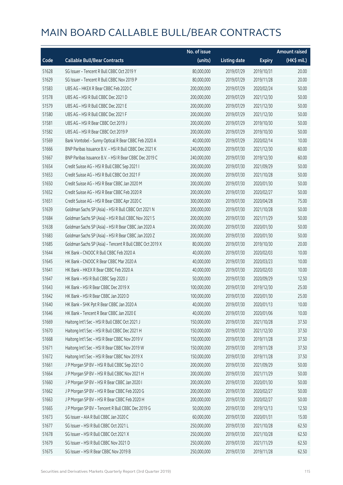|       |                                                          | No. of issue |                     |               | <b>Amount raised</b> |
|-------|----------------------------------------------------------|--------------|---------------------|---------------|----------------------|
| Code  | <b>Callable Bull/Bear Contracts</b>                      | (units)      | <b>Listing date</b> | <b>Expiry</b> | (HK\$ mil.)          |
| 51628 | SG Issuer - Tencent R Bull CBBC Oct 2019 Y               | 80,000,000   | 2019/07/29          | 2019/10/31    | 20.00                |
| 51629 | SG Issuer - Tencent R Bull CBBC Nov 2019 P               | 80,000,000   | 2019/07/29          | 2019/11/28    | 20.00                |
| 51583 | UBS AG - HKEX R Bear CBBC Feb 2020 C                     | 200,000,000  | 2019/07/29          | 2020/02/24    | 50.00                |
| 51578 | UBS AG - HSI R Bull CBBC Dec 2021 D                      | 200,000,000  | 2019/07/29          | 2021/12/30    | 50.00                |
| 51579 | UBS AG - HSI R Bull CBBC Dec 2021 E                      | 200,000,000  | 2019/07/29          | 2021/12/30    | 50.00                |
| 51580 | UBS AG - HSI R Bull CBBC Dec 2021 F                      | 200,000,000  | 2019/07/29          | 2021/12/30    | 50.00                |
| 51581 | UBS AG - HSI R Bear CBBC Oct 2019 J                      | 200,000,000  | 2019/07/29          | 2019/10/30    | 50.00                |
| 51582 | UBS AG - HSI R Bear CBBC Oct 2019 P                      | 200,000,000  | 2019/07/29          | 2019/10/30    | 50.00                |
| 51569 | Bank Vontobel - Sunny Optical R Bear CBBC Feb 2020 A     | 40,000,000   | 2019/07/29          | 2020/02/14    | 10.00                |
| 51666 | BNP Paribas Issuance B.V. - HSI R Bull CBBC Dec 2021 K   | 240,000,000  | 2019/07/30          | 2021/12/30    | 60.00                |
| 51667 | BNP Paribas Issuance B.V. - HSI R Bear CBBC Dec 2019 C   | 240,000,000  | 2019/07/30          | 2019/12/30    | 60.00                |
| 51654 | Credit Suisse AG - HSI R Bull CBBC Sep 2021 I            | 200,000,000  | 2019/07/30          | 2021/09/29    | 50.00                |
| 51653 | Credit Suisse AG - HSI R Bull CBBC Oct 2021 F            | 200,000,000  | 2019/07/30          | 2021/10/28    | 50.00                |
| 51650 | Credit Suisse AG - HSI R Bear CBBC Jan 2020 M            | 200,000,000  | 2019/07/30          | 2020/01/30    | 50.00                |
| 51652 | Credit Suisse AG - HSI R Bear CBBC Feb 2020 R            | 200,000,000  | 2019/07/30          | 2020/02/27    | 50.00                |
| 51651 | Credit Suisse AG - HSI R Bear CBBC Apr 2020 C            | 300,000,000  | 2019/07/30          | 2020/04/28    | 75.00                |
| 51639 | Goldman Sachs SP (Asia) - HSI R Bull CBBC Oct 2021 N     | 200,000,000  | 2019/07/30          | 2021/10/28    | 50.00                |
| 51684 | Goldman Sachs SP (Asia) - HSI R Bull CBBC Nov 2021 S     | 200,000,000  | 2019/07/30          | 2021/11/29    | 50.00                |
| 51638 | Goldman Sachs SP (Asia) - HSI R Bear CBBC Jan 2020 A     | 200,000,000  | 2019/07/30          | 2020/01/30    | 50.00                |
| 51683 | Goldman Sachs SP (Asia) - HSI R Bear CBBC Jan 2020 Z     | 200,000,000  | 2019/07/30          | 2020/01/30    | 50.00                |
| 51685 | Goldman Sachs SP (Asia) - Tencent R Bull CBBC Oct 2019 X | 80,000,000   | 2019/07/30          | 2019/10/30    | 20.00                |
| 51644 | HK Bank - CNOOC R Bull CBBC Feb 2020 A                   | 40,000,000   | 2019/07/30          | 2020/02/03    | 10.00                |
| 51645 | HK Bank - CNOOC R Bear CBBC Mar 2020 A                   | 40,000,000   | 2019/07/30          | 2020/03/23    | 10.00                |
| 51641 | HK Bank - HKEX R Bear CBBC Feb 2020 A                    | 40,000,000   | 2019/07/30          | 2020/02/03    | 10.00                |
| 51647 | HK Bank - HSI R Bull CBBC Sep 2020 J                     | 50,000,000   | 2019/07/30          | 2020/09/29    | 12.50                |
| 51643 | HK Bank - HSI R Bear CBBC Dec 2019 X                     | 100,000,000  | 2019/07/30          | 2019/12/30    | 25.00                |
| 51642 | HK Bank - HSI R Bear CBBC Jan 2020 D                     | 100,000,000  | 2019/07/30          | 2020/01/30    | 25.00                |
| 51640 | HK Bank - SHK Ppt R Bear CBBC Jan 2020 A                 | 40,000,000   | 2019/07/30          | 2020/01/13    | 10.00                |
| 51646 | HK Bank - Tencent R Bear CBBC Jan 2020 E                 | 40,000,000   | 2019/07/30          | 2020/01/06    | 10.00                |
| 51669 | Haitong Int'l Sec - HSI R Bull CBBC Oct 2021 J           | 150,000,000  | 2019/07/30          | 2021/10/28    | 37.50                |
| 51670 | Haitong Int'l Sec - HSI R Bull CBBC Dec 2021 H           | 150,000,000  | 2019/07/30          | 2021/12/30    | 37.50                |
| 51668 | Haitong Int'l Sec - HSI R Bear CBBC Nov 2019 V           | 150,000,000  | 2019/07/30          | 2019/11/28    | 37.50                |
| 51671 | Haitong Int'l Sec - HSI R Bear CBBC Nov 2019 W           | 150,000,000  | 2019/07/30          | 2019/11/28    | 37.50                |
| 51672 | Haitong Int'l Sec - HSI R Bear CBBC Nov 2019 X           | 150,000,000  | 2019/07/30          | 2019/11/28    | 37.50                |
| 51661 | J P Morgan SP BV - HSI R Bull CBBC Sep 2021 O            | 200,000,000  | 2019/07/30          | 2021/09/29    | 50.00                |
| 51664 | J P Morgan SP BV - HSI R Bull CBBC Nov 2021 H            | 200,000,000  | 2019/07/30          | 2021/11/29    | 50.00                |
| 51660 | J P Morgan SP BV - HSI R Bear CBBC Jan 2020 I            | 200,000,000  | 2019/07/30          | 2020/01/30    | 50.00                |
| 51662 | J P Morgan SP BV - HSI R Bear CBBC Feb 2020 G            | 200,000,000  | 2019/07/30          | 2020/02/27    | 50.00                |
| 51663 | J P Morgan SP BV - HSI R Bear CBBC Feb 2020 H            | 200,000,000  | 2019/07/30          | 2020/02/27    | 50.00                |
| 51665 | J P Morgan SP BV - Tencent R Bull CBBC Dec 2019 G        | 50,000,000   | 2019/07/30          | 2019/12/13    | 12.50                |
| 51673 | SG Issuer - AIA R Bull CBBC Jan 2020 C                   | 60,000,000   | 2019/07/30          | 2020/01/31    | 15.00                |
| 51677 | SG Issuer - HSI R Bull CBBC Oct 2021 L                   | 250,000,000  | 2019/07/30          | 2021/10/28    | 62.50                |
| 51678 | SG Issuer - HSI R Bull CBBC Oct 2021 X                   | 250,000,000  | 2019/07/30          | 2021/10/28    | 62.50                |
| 51679 | SG Issuer - HSI R Bull CBBC Nov 2021 D                   | 250,000,000  | 2019/07/30          | 2021/11/29    | 62.50                |
| 51675 | SG Issuer - HSI R Bear CBBC Nov 2019 B                   | 250,000,000  | 2019/07/30          | 2019/11/28    | 62.50                |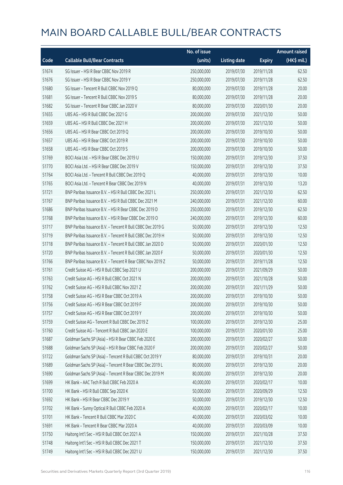|       |                                                            | No. of issue |                     |               | <b>Amount raised</b> |
|-------|------------------------------------------------------------|--------------|---------------------|---------------|----------------------|
| Code  | <b>Callable Bull/Bear Contracts</b>                        | (units)      | <b>Listing date</b> | <b>Expiry</b> | (HK\$ mil.)          |
| 51674 | SG Issuer - HSI R Bear CBBC Nov 2019 R                     | 250,000,000  | 2019/07/30          | 2019/11/28    | 62.50                |
| 51676 | SG Issuer - HSI R Bear CBBC Nov 2019 Y                     | 250,000,000  | 2019/07/30          | 2019/11/28    | 62.50                |
| 51680 | SG Issuer - Tencent R Bull CBBC Nov 2019 Q                 | 80,000,000   | 2019/07/30          | 2019/11/28    | 20.00                |
| 51681 | SG Issuer - Tencent R Bull CBBC Nov 2019 S                 | 80,000,000   | 2019/07/30          | 2019/11/28    | 20.00                |
| 51682 | SG Issuer - Tencent R Bear CBBC Jan 2020 V                 | 80,000,000   | 2019/07/30          | 2020/01/30    | 20.00                |
| 51655 | UBS AG - HSI R Bull CBBC Dec 2021 G                        | 200,000,000  | 2019/07/30          | 2021/12/30    | 50.00                |
| 51659 | UBS AG - HSI R Bull CBBC Dec 2021 H                        | 200,000,000  | 2019/07/30          | 2021/12/30    | 50.00                |
| 51656 | UBS AG - HSI R Bear CBBC Oct 2019 Q                        | 200,000,000  | 2019/07/30          | 2019/10/30    | 50.00                |
| 51657 | UBS AG - HSI R Bear CBBC Oct 2019 R                        | 200,000,000  | 2019/07/30          | 2019/10/30    | 50.00                |
| 51658 | UBS AG - HSI R Bear CBBC Oct 2019 S                        | 200,000,000  | 2019/07/30          | 2019/10/30    | 50.00                |
| 51769 | BOCI Asia Ltd. - HSI R Bear CBBC Dec 2019 U                | 150,000,000  | 2019/07/31          | 2019/12/30    | 37.50                |
| 51770 | BOCI Asia Ltd. - HSI R Bear CBBC Dec 2019 V                | 150,000,000  | 2019/07/31          | 2019/12/30    | 37.50                |
| 51764 | BOCI Asia Ltd. - Tencent R Bull CBBC Dec 2019 Q            | 40,000,000   | 2019/07/31          | 2019/12/30    | 10.00                |
| 51765 | BOCI Asia Ltd. - Tencent R Bear CBBC Dec 2019 N            | 40,000,000   | 2019/07/31          | 2019/12/30    | 13.20                |
| 51721 | BNP Paribas Issuance B.V. - HSI R Bull CBBC Dec 2021 L     | 250,000,000  | 2019/07/31          | 2021/12/30    | 62.50                |
| 51767 | BNP Paribas Issuance B.V. - HSI R Bull CBBC Dec 2021 M     | 240,000,000  | 2019/07/31          | 2021/12/30    | 60.00                |
| 51686 | BNP Paribas Issuance B.V. - HSI R Bear CBBC Dec 2019 D     | 250,000,000  | 2019/07/31          | 2019/12/30    | 62.50                |
| 51768 | BNP Paribas Issuance B.V. - HSI R Bear CBBC Dec 2019 O     | 240,000,000  | 2019/07/31          | 2019/12/30    | 60.00                |
| 51717 | BNP Paribas Issuance B.V. - Tencent R Bull CBBC Dec 2019 G | 50,000,000   | 2019/07/31          | 2019/12/30    | 12.50                |
| 51719 | BNP Paribas Issuance B.V. - Tencent R Bull CBBC Dec 2019 H | 50,000,000   | 2019/07/31          | 2019/12/30    | 12.50                |
| 51718 | BNP Paribas Issuance B.V. - Tencent R Bull CBBC Jan 2020 D | 50,000,000   | 2019/07/31          | 2020/01/30    | 12.50                |
| 51720 | BNP Paribas Issuance B.V. - Tencent R Bull CBBC Jan 2020 F | 50,000,000   | 2019/07/31          | 2020/01/30    | 12.50                |
| 51766 | BNP Paribas Issuance B.V. - Tencent R Bear CBBC Nov 2019 Z | 50,000,000   | 2019/07/31          | 2019/11/28    | 12.50                |
| 51761 | Credit Suisse AG - HSI R Bull CBBC Sep 2021 U              | 200,000,000  | 2019/07/31          | 2021/09/29    | 50.00                |
| 51763 | Credit Suisse AG - HSI R Bull CBBC Oct 2021 N              | 200,000,000  | 2019/07/31          | 2021/10/28    | 50.00                |
| 51762 | Credit Suisse AG - HSI R Bull CBBC Nov 2021 Z              | 200,000,000  | 2019/07/31          | 2021/11/29    | 50.00                |
| 51758 | Credit Suisse AG - HSI R Bear CBBC Oct 2019 A              | 200,000,000  | 2019/07/31          | 2019/10/30    | 50.00                |
| 51756 | Credit Suisse AG - HSI R Bear CBBC Oct 2019 F              | 200,000,000  | 2019/07/31          | 2019/10/30    | 50.00                |
| 51757 | Credit Suisse AG - HSI R Bear CBBC Oct 2019 Y              | 200,000,000  | 2019/07/31          | 2019/10/30    | 50.00                |
| 51759 | Credit Suisse AG - Tencent R Bull CBBC Dec 2019 Z          | 100,000,000  | 2019/07/31          | 2019/12/30    | 25.00                |
| 51760 | Credit Suisse AG - Tencent R Bull CBBC Jan 2020 E          | 100,000,000  | 2019/07/31          | 2020/01/30    | 25.00                |
| 51687 | Goldman Sachs SP (Asia) - HSI R Bear CBBC Feb 2020 E       | 200,000,000  | 2019/07/31          | 2020/02/27    | 50.00                |
| 51688 | Goldman Sachs SP (Asia) - HSI R Bear CBBC Feb 2020 F       | 200,000,000  | 2019/07/31          | 2020/02/27    | 50.00                |
| 51722 | Goldman Sachs SP (Asia) - Tencent R Bull CBBC Oct 2019 Y   | 80,000,000   | 2019/07/31          | 2019/10/31    | 20.00                |
| 51689 | Goldman Sachs SP (Asia) - Tencent R Bear CBBC Dec 2019 L   | 80,000,000   | 2019/07/31          | 2019/12/30    | 20.00                |
| 51690 | Goldman Sachs SP (Asia) - Tencent R Bear CBBC Dec 2019 M   | 80,000,000   | 2019/07/31          | 2019/12/30    | 20.00                |
| 51699 | HK Bank - AAC Tech R Bull CBBC Feb 2020 A                  | 40,000,000   | 2019/07/31          | 2020/02/17    | 10.00                |
| 51700 | HK Bank - HSI R Bull CBBC Sep 2020 K                       | 50,000,000   | 2019/07/31          | 2020/09/29    | 12.50                |
| 51692 | HK Bank - HSI R Bear CBBC Dec 2019 Y                       | 50,000,000   | 2019/07/31          | 2019/12/30    | 12.50                |
| 51702 | HK Bank - Sunny Optical R Bull CBBC Feb 2020 A             | 40,000,000   | 2019/07/31          | 2020/02/17    | 10.00                |
| 51701 | HK Bank - Tencent R Bull CBBC Mar 2020 C                   | 40,000,000   | 2019/07/31          | 2020/03/02    | 10.00                |
| 51691 | HK Bank - Tencent R Bear CBBC Mar 2020 A                   | 40,000,000   | 2019/07/31          | 2020/03/09    | 10.00                |
| 51750 | Haitong Int'l Sec - HSI R Bull CBBC Oct 2021 A             | 150,000,000  | 2019/07/31          | 2021/10/28    | 37.50                |
| 51748 | Haitong Int'l Sec - HSI R Bull CBBC Dec 2021 T             | 150,000,000  | 2019/07/31          | 2021/12/30    | 37.50                |
| 51749 | Haitong Int'l Sec - HSI R Bull CBBC Dec 2021 U             | 150,000,000  | 2019/07/31          | 2021/12/30    | 37.50                |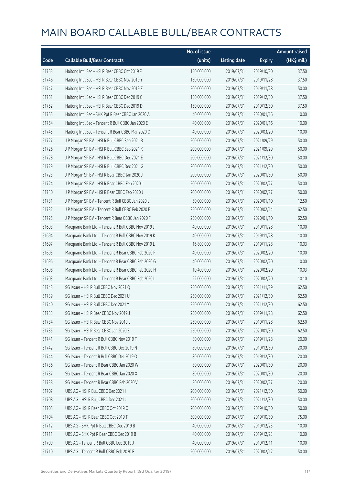|       |                                                      | No. of issue |                     |               | <b>Amount raised</b> |
|-------|------------------------------------------------------|--------------|---------------------|---------------|----------------------|
| Code  | <b>Callable Bull/Bear Contracts</b>                  | (units)      | <b>Listing date</b> | <b>Expiry</b> | (HK\$ mil.)          |
| 51753 | Haitong Int'l Sec - HSI R Bear CBBC Oct 2019 F       | 150,000,000  | 2019/07/31          | 2019/10/30    | 37.50                |
| 51746 | Haitong Int'l Sec - HSI R Bear CBBC Nov 2019 Y       | 150,000,000  | 2019/07/31          | 2019/11/28    | 37.50                |
| 51747 | Haitong Int'l Sec - HSI R Bear CBBC Nov 2019 Z       | 200,000,000  | 2019/07/31          | 2019/11/28    | 50.00                |
| 51751 | Haitong Int'l Sec - HSI R Bear CBBC Dec 2019 C       | 150,000,000  | 2019/07/31          | 2019/12/30    | 37.50                |
| 51752 | Haitong Int'l Sec - HSI R Bear CBBC Dec 2019 D       | 150,000,000  | 2019/07/31          | 2019/12/30    | 37.50                |
| 51755 | Haitong Int'l Sec - SHK Ppt R Bear CBBC Jan 2020 A   | 40,000,000   | 2019/07/31          | 2020/01/16    | 10.00                |
| 51754 | Haitong Int'l Sec - Tencent R Bull CBBC Jan 2020 E   | 40,000,000   | 2019/07/31          | 2020/01/16    | 10.00                |
| 51745 | Haitong Int'l Sec - Tencent R Bear CBBC Mar 2020 O   | 40,000,000   | 2019/07/31          | 2020/03/20    | 10.00                |
| 51727 | J P Morgan SP BV - HSI R Bull CBBC Sep 2021 B        | 200,000,000  | 2019/07/31          | 2021/09/29    | 50.00                |
| 51726 | J P Morgan SP BV - HSI R Bull CBBC Sep 2021 K        | 200,000,000  | 2019/07/31          | 2021/09/29    | 50.00                |
| 51728 | J P Morgan SP BV - HSI R Bull CBBC Dec 2021 E        | 200,000,000  | 2019/07/31          | 2021/12/30    | 50.00                |
| 51729 | J P Morgan SP BV - HSI R Bull CBBC Dec 2021 G        | 200,000,000  | 2019/07/31          | 2021/12/30    | 50.00                |
| 51723 | J P Morgan SP BV - HSI R Bear CBBC Jan 2020 J        | 200,000,000  | 2019/07/31          | 2020/01/30    | 50.00                |
| 51724 | JP Morgan SP BV - HSIR Bear CBBC Feb 2020 I          | 200,000,000  | 2019/07/31          | 2020/02/27    | 50.00                |
| 51730 | J P Morgan SP BV - HSI R Bear CBBC Feb 2020 J        | 200,000,000  | 2019/07/31          | 2020/02/27    | 50.00                |
| 51731 | J P Morgan SP BV - Tencent R Bull CBBC Jan 2020 L    | 50,000,000   | 2019/07/31          | 2020/01/10    | 12.50                |
| 51732 | J P Morgan SP BV - Tencent R Bull CBBC Feb 2020 E    | 250,000,000  | 2019/07/31          | 2020/02/14    | 62.50                |
| 51725 | J P Morgan SP BV - Tencent R Bear CBBC Jan 2020 F    | 250,000,000  | 2019/07/31          | 2020/01/10    | 62.50                |
| 51693 | Macquarie Bank Ltd. - Tencent R Bull CBBC Nov 2019 J | 40,000,000   | 2019/07/31          | 2019/11/28    | 10.00                |
| 51694 | Macquarie Bank Ltd. - Tencent R Bull CBBC Nov 2019 K | 40,000,000   | 2019/07/31          | 2019/11/28    | 10.00                |
| 51697 | Macquarie Bank Ltd. - Tencent R Bull CBBC Nov 2019 L | 16,800,000   | 2019/07/31          | 2019/11/28    | 10.03                |
| 51695 | Macquarie Bank Ltd. - Tencent R Bear CBBC Feb 2020 F | 40,000,000   | 2019/07/31          | 2020/02/20    | 10.00                |
| 51696 | Macquarie Bank Ltd. - Tencent R Bear CBBC Feb 2020 G | 40,000,000   | 2019/07/31          | 2020/02/20    | 10.00                |
| 51698 | Macquarie Bank Ltd. - Tencent R Bear CBBC Feb 2020 H | 10,400,000   | 2019/07/31          | 2020/02/20    | 10.03                |
| 51703 | Macquarie Bank Ltd. - Tencent R Bear CBBC Feb 2020 I | 22,000,000   | 2019/07/31          | 2020/02/20    | 10.10                |
| 51743 | SG Issuer - HSI R Bull CBBC Nov 2021 Q               | 250,000,000  | 2019/07/31          | 2021/11/29    | 62.50                |
| 51739 | SG Issuer - HSI R Bull CBBC Dec 2021 U               | 250,000,000  | 2019/07/31          | 2021/12/30    | 62.50                |
| 51740 | SG Issuer - HSI R Bull CBBC Dec 2021 Y               | 250,000,000  | 2019/07/31          | 2021/12/30    | 62.50                |
| 51733 | SG Issuer - HSI R Bear CBBC Nov 2019 J               | 250,000,000  | 2019/07/31          | 2019/11/28    | 62.50                |
| 51734 | SG Issuer - HSI R Bear CBBC Nov 2019 L               | 250,000,000  | 2019/07/31          | 2019/11/28    | 62.50                |
| 51735 | SG Issuer - HSI R Bear CBBC Jan 2020 Z               | 250,000,000  | 2019/07/31          | 2020/01/30    | 62.50                |
| 51741 | SG Issuer - Tencent R Bull CBBC Nov 2019 T           | 80,000,000   | 2019/07/31          | 2019/11/28    | 20.00                |
| 51742 | SG Issuer - Tencent R Bull CBBC Dec 2019 N           | 80,000,000   | 2019/07/31          | 2019/12/30    | 20.00                |
| 51744 | SG Issuer - Tencent R Bull CBBC Dec 2019 O           | 80,000,000   | 2019/07/31          | 2019/12/30    | 20.00                |
| 51736 | SG Issuer - Tencent R Bear CBBC Jan 2020 W           | 80,000,000   | 2019/07/31          | 2020/01/30    | 20.00                |
| 51737 | SG Issuer - Tencent R Bear CBBC Jan 2020 X           | 80,000,000   | 2019/07/31          | 2020/01/30    | 20.00                |
| 51738 | SG Issuer - Tencent R Bear CBBC Feb 2020 V           | 80,000,000   | 2019/07/31          | 2020/02/27    | 20.00                |
| 51707 | UBS AG - HSI R Bull CBBC Dec 2021 I                  | 200,000,000  | 2019/07/31          | 2021/12/30    | 50.00                |
| 51708 | UBS AG - HSI R Bull CBBC Dec 2021 J                  | 200,000,000  | 2019/07/31          | 2021/12/30    | 50.00                |
| 51705 | UBS AG - HSI R Bear CBBC Oct 2019 C                  | 200,000,000  | 2019/07/31          | 2019/10/30    | 50.00                |
| 51704 | UBS AG - HSI R Bear CBBC Oct 2019 T                  | 300,000,000  | 2019/07/31          | 2019/10/30    | 75.00                |
| 51712 | UBS AG - SHK Ppt R Bull CBBC Dec 2019 B              | 40,000,000   | 2019/07/31          | 2019/12/23    | 10.00                |
| 51711 | UBS AG - SHK Ppt R Bear CBBC Dec 2019 B              | 40,000,000   | 2019/07/31          | 2019/12/23    | 10.00                |
| 51709 | UBS AG - Tencent R Bull CBBC Dec 2019 J              | 40,000,000   | 2019/07/31          | 2019/12/11    | 10.00                |
| 51710 | UBS AG - Tencent R Bull CBBC Feb 2020 F              | 200,000,000  | 2019/07/31          | 2020/02/12    | 50.00                |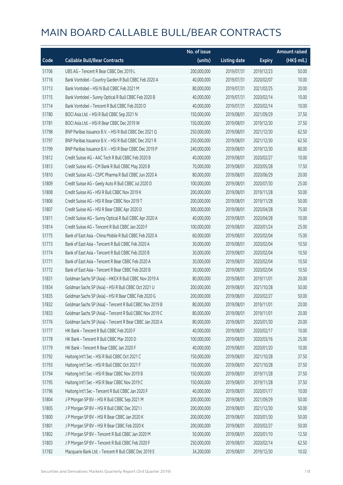|       |                                                          | No. of issue |                     |               | <b>Amount raised</b> |
|-------|----------------------------------------------------------|--------------|---------------------|---------------|----------------------|
| Code  | <b>Callable Bull/Bear Contracts</b>                      | (units)      | <b>Listing date</b> | <b>Expiry</b> | (HK\$ mil.)          |
| 51706 | UBS AG - Tencent R Bear CBBC Dec 2019 L                  | 200,000,000  | 2019/07/31          | 2019/12/23    | 50.00                |
| 51716 | Bank Vontobel - Country Garden R Bull CBBC Feb 2020 A    | 40,000,000   | 2019/07/31          | 2020/02/07    | 10.00                |
| 51713 | Bank Vontobel - HSI N Bull CBBC Feb 2021 M               | 80,000,000   | 2019/07/31          | 2021/02/25    | 20.00                |
| 51715 | Bank Vontobel - Sunny Optical R Bull CBBC Feb 2020 B     | 40,000,000   | 2019/07/31          | 2020/02/14    | 10.00                |
| 51714 | Bank Vontobel - Tencent R Bull CBBC Feb 2020 D           | 40,000,000   | 2019/07/31          | 2020/02/14    | 10.00                |
| 51780 | BOCI Asia Ltd. - HSI R Bull CBBC Sep 2021 N              | 150,000,000  | 2019/08/01          | 2021/09/29    | 37.50                |
| 51781 | BOCI Asia Ltd. - HSI R Bear CBBC Dec 2019 W              | 150,000,000  | 2019/08/01          | 2019/12/30    | 37.50                |
| 51798 | BNP Paribas Issuance B.V. - HSI R Bull CBBC Dec 2021 Q   | 250,000,000  | 2019/08/01          | 2021/12/30    | 62.50                |
| 51797 | BNP Paribas Issuance B.V. - HSI R Bull CBBC Dec 2021 R   | 250,000,000  | 2019/08/01          | 2021/12/30    | 62.50                |
| 51799 | BNP Paribas Issuance B.V. - HSI R Bear CBBC Dec 2019 P   | 240,000,000  | 2019/08/01          | 2019/12/30    | 60.00                |
| 51812 | Credit Suisse AG - AAC Tech R Bull CBBC Feb 2020 B       | 40,000,000   | 2019/08/01          | 2020/02/27    | 10.00                |
| 51813 | Credit Suisse AG - CM Bank R Bull CBBC May 2020 B        | 70,000,000   | 2019/08/01          | 2020/05/28    | 17.50                |
| 51810 | Credit Suisse AG - CSPC Pharma R Bull CBBC Jun 2020 A    | 80,000,000   | 2019/08/01          | 2020/06/29    | 20.00                |
| 51809 | Credit Suisse AG - Geely Auto R Bull CBBC Jul 2020 D     | 100,000,000  | 2019/08/01          | 2020/07/30    | 25.00                |
| 51808 | Credit Suisse AG - HSI R Bull CBBC Nov 2019 K            | 200,000,000  | 2019/08/01          | 2019/11/28    | 50.00                |
| 51806 | Credit Suisse AG - HSI R Bear CBBC Nov 2019 T            | 200,000,000  | 2019/08/01          | 2019/11/28    | 50.00                |
| 51807 | Credit Suisse AG - HSI R Bear CBBC Apr 2020 D            | 300,000,000  | 2019/08/01          | 2020/04/28    | 75.00                |
| 51811 | Credit Suisse AG - Sunny Optical R Bull CBBC Apr 2020 A  | 40,000,000   | 2019/08/01          | 2020/04/28    | 10.00                |
| 51814 | Credit Suisse AG - Tencent R Bull CBBC Jan 2020 F        | 100,000,000  | 2019/08/01          | 2020/01/24    | 25.00                |
| 51775 | Bank of East Asia - China Mobile R Bull CBBC Feb 2020 A  | 60,000,000   | 2019/08/01          | 2020/02/04    | 15.00                |
| 51773 | Bank of East Asia - Tencent R Bull CBBC Feb 2020 A       | 30,000,000   | 2019/08/01          | 2020/02/04    | 10.50                |
| 51774 | Bank of East Asia - Tencent R Bull CBBC Feb 2020 B       | 30,000,000   | 2019/08/01          | 2020/02/04    | 10.50                |
| 51771 | Bank of East Asia - Tencent R Bear CBBC Feb 2020 A       | 30,000,000   | 2019/08/01          | 2020/02/04    | 10.50                |
| 51772 | Bank of East Asia - Tencent R Bear CBBC Feb 2020 B       | 30,000,000   | 2019/08/01          | 2020/02/04    | 10.50                |
| 51831 | Goldman Sachs SP (Asia) - HKEX R Bull CBBC Nov 2019 A    | 80,000,000   | 2019/08/01          | 2019/11/01    | 20.00                |
| 51834 | Goldman Sachs SP (Asia) - HSI R Bull CBBC Oct 2021 U     | 200,000,000  | 2019/08/01          | 2021/10/28    | 50.00                |
| 51835 | Goldman Sachs SP (Asia) - HSI R Bear CBBC Feb 2020 G     | 200,000,000  | 2019/08/01          | 2020/02/27    | 50.00                |
| 51832 | Goldman Sachs SP (Asia) - Tencent R Bull CBBC Nov 2019 B | 80,000,000   | 2019/08/01          | 2019/11/01    | 20.00                |
| 51833 | Goldman Sachs SP (Asia) - Tencent R Bull CBBC Nov 2019 C | 80,000,000   | 2019/08/01          | 2019/11/01    | 20.00                |
| 51776 | Goldman Sachs SP (Asia) - Tencent R Bear CBBC Jan 2020 A | 80,000,000   | 2019/08/01          | 2020/01/30    | 20.00                |
| 51777 | HK Bank - Tencent R Bull CBBC Feb 2020 F                 | 40,000,000   | 2019/08/01          | 2020/02/17    | 10.00                |
| 51778 | HK Bank - Tencent R Bull CBBC Mar 2020 D                 | 100,000,000  | 2019/08/01          | 2020/03/16    | 25.00                |
| 51779 | HK Bank - Tencent R Bear CBBC Jan 2020 F                 | 40,000,000   | 2019/08/01          | 2020/01/20    | 10.00                |
| 51792 | Haitong Int'l Sec - HSI R Bull CBBC Oct 2021 C           | 150,000,000  | 2019/08/01          | 2021/10/28    | 37.50                |
| 51793 | Haitong Int'l Sec - HSI R Bull CBBC Oct 2021 F           | 150,000,000  | 2019/08/01          | 2021/10/28    | 37.50                |
| 51794 | Haitong Int'l Sec - HSI R Bear CBBC Nov 2019 B           | 150,000,000  | 2019/08/01          | 2019/11/28    | 37.50                |
| 51795 | Haitong Int'l Sec - HSI R Bear CBBC Nov 2019 C           | 150,000,000  | 2019/08/01          | 2019/11/28    | 37.50                |
| 51796 | Haitong Int'l Sec - Tencent R Bull CBBC Jan 2020 F       | 40,000,000   | 2019/08/01          | 2020/01/17    | 10.00                |
| 51804 | J P Morgan SP BV - HSI R Bull CBBC Sep 2021 M            | 200,000,000  | 2019/08/01          | 2021/09/29    | 50.00                |
| 51805 | J P Morgan SP BV - HSI R Bull CBBC Dec 2021 I            | 200,000,000  | 2019/08/01          | 2021/12/30    | 50.00                |
| 51800 | J P Morgan SP BV - HSI R Bear CBBC Jan 2020 K            | 200,000,000  | 2019/08/01          | 2020/01/30    | 50.00                |
| 51801 | J P Morgan SP BV - HSI R Bear CBBC Feb 2020 K            | 200,000,000  | 2019/08/01          | 2020/02/27    | 50.00                |
| 51802 | J P Morgan SP BV - Tencent R Bull CBBC Jan 2020 M        | 50,000,000   | 2019/08/01          | 2020/01/10    | 12.50                |
| 51803 | J P Morgan SP BV - Tencent R Bull CBBC Feb 2020 F        | 250,000,000  | 2019/08/01          | 2020/02/14    | 62.50                |
| 51782 | Macquarie Bank Ltd. - Tencent R Bull CBBC Dec 2019 E     | 34,200,000   | 2019/08/01          | 2019/12/30    | 10.02                |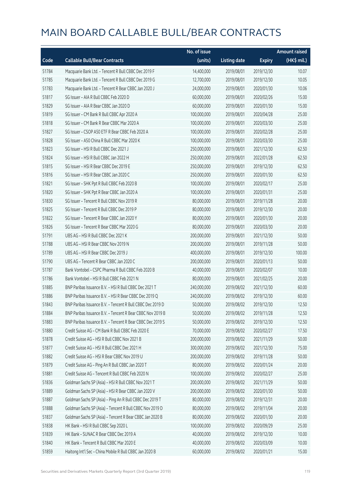|       |                                                            | No. of issue |                     |               | <b>Amount raised</b> |
|-------|------------------------------------------------------------|--------------|---------------------|---------------|----------------------|
| Code  | <b>Callable Bull/Bear Contracts</b>                        | (units)      | <b>Listing date</b> | <b>Expiry</b> | (HK\$ mil.)          |
| 51784 | Macquarie Bank Ltd. - Tencent R Bull CBBC Dec 2019 F       | 14,400,000   | 2019/08/01          | 2019/12/30    | 10.07                |
| 51785 | Macquarie Bank Ltd. - Tencent R Bull CBBC Dec 2019 G       | 12,700,000   | 2019/08/01          | 2019/12/30    | 10.05                |
| 51783 | Macquarie Bank Ltd. - Tencent R Bear CBBC Jan 2020 J       | 24,000,000   | 2019/08/01          | 2020/01/30    | 10.06                |
| 51817 | SG Issuer - AIA R Bull CBBC Feb 2020 D                     | 60,000,000   | 2019/08/01          | 2020/02/26    | 15.00                |
| 51829 | SG Issuer - AIA R Bear CBBC Jan 2020 D                     | 60,000,000   | 2019/08/01          | 2020/01/30    | 15.00                |
| 51819 | SG Issuer - CM Bank R Bull CBBC Apr 2020 A                 | 100,000,000  | 2019/08/01          | 2020/04/28    | 25.00                |
| 51818 | SG Issuer - CM Bank R Bear CBBC Mar 2020 A                 | 100,000,000  | 2019/08/01          | 2020/03/30    | 25.00                |
| 51827 | SG Issuer - CSOP A50 ETF R Bear CBBC Feb 2020 A            | 100,000,000  | 2019/08/01          | 2020/02/28    | 25.00                |
| 51828 | SG Issuer - A50 China R Bull CBBC Mar 2020 K               | 100,000,000  | 2019/08/01          | 2020/03/30    | 25.00                |
| 51823 | SG Issuer - HSI R Bull CBBC Dec 2021 J                     | 250,000,000  | 2019/08/01          | 2021/12/30    | 62.50                |
| 51824 | SG Issuer - HSI R Bull CBBC Jan 2022 H                     | 250,000,000  | 2019/08/01          | 2022/01/28    | 62.50                |
| 51815 | SG Issuer - HSI R Bear CBBC Dec 2019 E                     | 250,000,000  | 2019/08/01          | 2019/12/30    | 62.50                |
| 51816 | SG Issuer - HSI R Bear CBBC Jan 2020 C                     | 250,000,000  | 2019/08/01          | 2020/01/30    | 62.50                |
| 51821 | SG Issuer - SHK Ppt R Bull CBBC Feb 2020 B                 | 100,000,000  | 2019/08/01          | 2020/02/17    | 25.00                |
| 51820 | SG Issuer - SHK Ppt R Bear CBBC Jan 2020 A                 | 100,000,000  | 2019/08/01          | 2020/01/31    | 25.00                |
| 51830 | SG Issuer - Tencent R Bull CBBC Nov 2019 R                 | 80,000,000   | 2019/08/01          | 2019/11/28    | 20.00                |
| 51825 | SG Issuer - Tencent R Bull CBBC Dec 2019 P                 | 80,000,000   | 2019/08/01          | 2019/12/30    | 20.00                |
| 51822 | SG Issuer - Tencent R Bear CBBC Jan 2020 Y                 | 80,000,000   | 2019/08/01          | 2020/01/30    | 20.00                |
| 51826 | SG Issuer - Tencent R Bear CBBC Mar 2020 G                 | 80,000,000   | 2019/08/01          | 2020/03/30    | 20.00                |
| 51791 | UBS AG - HSI R Bull CBBC Dec 2021 K                        | 200,000,000  | 2019/08/01          | 2021/12/30    | 50.00                |
| 51788 | UBS AG - HSI R Bear CBBC Nov 2019 N                        | 200,000,000  | 2019/08/01          | 2019/11/28    | 50.00                |
| 51789 | UBS AG - HSI R Bear CBBC Dec 2019 J                        | 400,000,000  | 2019/08/01          | 2019/12/30    | 100.00               |
| 51790 | UBS AG - Tencent R Bear CBBC Jan 2020 C                    | 200,000,000  | 2019/08/01          | 2020/01/13    | 50.00                |
| 51787 | Bank Vontobel - CSPC Pharma R Bull CBBC Feb 2020 B         | 40,000,000   | 2019/08/01          | 2020/02/07    | 10.00                |
| 51786 | Bank Vontobel - HSI R Bull CBBC Feb 2021 N                 | 80,000,000   | 2019/08/01          | 2021/02/25    | 20.00                |
| 51885 | BNP Paribas Issuance B.V. - HSI R Bull CBBC Dec 2021 T     | 240,000,000  | 2019/08/02          | 2021/12/30    | 60.00                |
| 51886 | BNP Paribas Issuance B.V. - HSI R Bear CBBC Dec 2019 Q     | 240,000,000  | 2019/08/02          | 2019/12/30    | 60.00                |
| 51843 | BNP Paribas Issuance B.V. - Tencent R Bull CBBC Dec 2019 D | 50,000,000   | 2019/08/02          | 2019/12/30    | 12.50                |
| 51884 | BNP Paribas Issuance B.V. - Tencent R Bear CBBC Nov 2019 B | 50,000,000   | 2019/08/02          | 2019/11/28    | 12.50                |
| 51883 | BNP Paribas Issuance B.V. - Tencent R Bear CBBC Dec 2019 S | 50,000,000   | 2019/08/02          | 2019/12/30    | 12.50                |
| 51880 | Credit Suisse AG - CM Bank R Bull CBBC Feb 2020 E          | 70,000,000   | 2019/08/02          | 2020/02/27    | 17.50                |
| 51878 | Credit Suisse AG - HSI R Bull CBBC Nov 2021 B              | 200,000,000  | 2019/08/02          | 2021/11/29    | 50.00                |
| 51877 | Credit Suisse AG - HSI R Bull CBBC Dec 2021 H              | 300,000,000  | 2019/08/02          | 2021/12/30    | 75.00                |
| 51882 | Credit Suisse AG - HSI R Bear CBBC Nov 2019 U              | 200,000,000  | 2019/08/02          | 2019/11/28    | 50.00                |
| 51879 | Credit Suisse AG - Ping An R Bull CBBC Jan 2020 T          | 80,000,000   | 2019/08/02          | 2020/01/24    | 20.00                |
| 51881 | Credit Suisse AG - Tencent R Bull CBBC Feb 2020 N          | 100,000,000  | 2019/08/02          | 2020/02/27    | 25.00                |
| 51836 | Goldman Sachs SP (Asia) - HSI R Bull CBBC Nov 2021 T       | 200,000,000  | 2019/08/02          | 2021/11/29    | 50.00                |
| 51889 | Goldman Sachs SP (Asia) - HSI R Bear CBBC Jan 2020 V       | 200,000,000  | 2019/08/02          | 2020/01/30    | 50.00                |
| 51887 | Goldman Sachs SP (Asia) - Ping An R Bull CBBC Dec 2019 T   | 80,000,000   | 2019/08/02          | 2019/12/31    | 20.00                |
| 51888 | Goldman Sachs SP (Asia) - Tencent R Bull CBBC Nov 2019 D   | 80,000,000   | 2019/08/02          | 2019/11/04    | 20.00                |
| 51837 | Goldman Sachs SP (Asia) - Tencent R Bear CBBC Jan 2020 B   | 80,000,000   | 2019/08/02          | 2020/01/30    | 20.00                |
| 51838 | HK Bank - HSI R Bull CBBC Sep 2020 L                       | 100,000,000  | 2019/08/02          | 2020/09/29    | 25.00                |
| 51839 | HK Bank - SUNAC R Bear CBBC Dec 2019 A                     | 40,000,000   | 2019/08/02          | 2019/12/30    | 10.00                |
| 51840 | HK Bank - Tencent R Bull CBBC Mar 2020 E                   | 40,000,000   | 2019/08/02          | 2020/03/09    | 10.00                |
| 51859 | Haitong Int'l Sec - China Mobile R Bull CBBC Jan 2020 B    | 60,000,000   | 2019/08/02          | 2020/01/21    | 15.00                |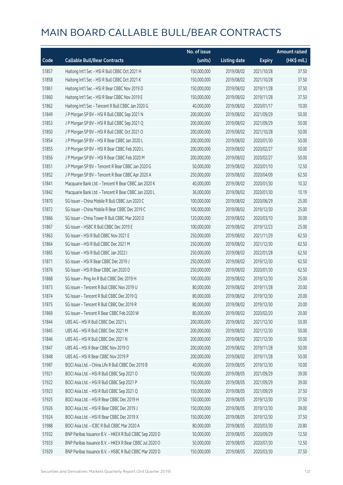|       |                                                         | No. of issue |                     |               | <b>Amount raised</b> |
|-------|---------------------------------------------------------|--------------|---------------------|---------------|----------------------|
| Code  | <b>Callable Bull/Bear Contracts</b>                     | (units)      | <b>Listing date</b> | <b>Expiry</b> | (HK\$ mil.)          |
| 51857 | Haitong Int'l Sec - HSI R Bull CBBC Oct 2021 H          | 150,000,000  | 2019/08/02          | 2021/10/28    | 37.50                |
| 51858 | Haitong Int'l Sec - HSI R Bull CBBC Oct 2021 K          | 150,000,000  | 2019/08/02          | 2021/10/28    | 37.50                |
| 51861 | Haitong Int'l Sec - HSI R Bear CBBC Nov 2019 D          | 150,000,000  | 2019/08/02          | 2019/11/28    | 37.50                |
| 51860 | Haitong Int'l Sec - HSI R Bear CBBC Nov 2019 E          | 150,000,000  | 2019/08/02          | 2019/11/28    | 37.50                |
| 51862 | Haitong Int'l Sec - Tencent R Bull CBBC Jan 2020 G      | 40,000,000   | 2019/08/02          | 2020/01/17    | 10.00                |
| 51849 | J P Morgan SP BV - HSI R Bull CBBC Sep 2021 N           | 200,000,000  | 2019/08/02          | 2021/09/29    | 50.00                |
| 51853 | J P Morgan SP BV - HSI R Bull CBBC Sep 2021 Q           | 200,000,000  | 2019/08/02          | 2021/09/29    | 50.00                |
| 51850 | J P Morgan SP BV - HSI R Bull CBBC Oct 2021 O           | 200,000,000  | 2019/08/02          | 2021/10/28    | 50.00                |
| 51854 | J P Morgan SP BV - HSI R Bear CBBC Jan 2020 L           | 200,000,000  | 2019/08/02          | 2020/01/30    | 50.00                |
| 51855 | J P Morgan SP BV - HSI R Bear CBBC Feb 2020 L           | 200,000,000  | 2019/08/02          | 2020/02/27    | 50.00                |
| 51856 | J P Morgan SP BV - HSI R Bear CBBC Feb 2020 M           | 200,000,000  | 2019/08/02          | 2020/02/27    | 50.00                |
| 51851 | J P Morgan SP BV - Tencent R Bear CBBC Jan 2020 G       | 50,000,000   | 2019/08/02          | 2020/01/10    | 12.50                |
| 51852 | J P Morgan SP BV - Tencent R Bear CBBC Apr 2020 A       | 250,000,000  | 2019/08/02          | 2020/04/09    | 62.50                |
| 51841 | Macquarie Bank Ltd. - Tencent R Bear CBBC Jan 2020 K    | 40,000,000   | 2019/08/02          | 2020/01/30    | 10.32                |
| 51842 | Macquarie Bank Ltd. - Tencent R Bear CBBC Jan 2020 L    | 36,000,000   | 2019/08/02          | 2020/01/30    | 10.19                |
| 51870 | SG Issuer - China Mobile R Bull CBBC Jun 2020 C         | 100,000,000  | 2019/08/02          | 2020/06/29    | 25.00                |
| 51872 | SG Issuer - China Mobile R Bear CBBC Dec 2019 C         | 100,000,000  | 2019/08/02          | 2019/12/30    | 25.00                |
| 51866 | SG Issuer - China Tower R Bull CBBC Mar 2020 D          | 120,000,000  | 2019/08/02          | 2020/03/10    | 30.00                |
| 51867 | SG Issuer - HSBC R Bull CBBC Dec 2019 E                 | 100,000,000  | 2019/08/02          | 2019/12/23    | 25.00                |
| 51863 | SG Issuer - HSI R Bull CBBC Nov 2021 E                  | 250,000,000  | 2019/08/02          | 2021/11/29    | 62.50                |
| 51864 | SG Issuer - HSI R Bull CBBC Dec 2021 M                  | 250,000,000  | 2019/08/02          | 2021/12/30    | 62.50                |
| 51865 | SG Issuer - HSI R Bull CBBC Jan 2022 I                  | 250,000,000  | 2019/08/02          | 2022/01/28    | 62.50                |
| 51871 | SG Issuer - HSI R Bear CBBC Dec 2019 J                  | 250,000,000  | 2019/08/02          | 2019/12/30    | 62.50                |
| 51876 | SG Issuer - HSI R Bear CBBC Jan 2020 D                  | 250,000,000  | 2019/08/02          | 2020/01/30    | 62.50                |
| 51868 | SG Issuer - Ping An R Bull CBBC Dec 2019 H              | 100,000,000  | 2019/08/02          | 2019/12/30    | 25.00                |
| 51873 | SG Issuer - Tencent R Bull CBBC Nov 2019 U              | 80,000,000   | 2019/08/02          | 2019/11/28    | 20.00                |
| 51874 | SG Issuer - Tencent R Bull CBBC Dec 2019 Q              | 80,000,000   | 2019/08/02          | 2019/12/30    | 20.00                |
| 51875 | SG Issuer - Tencent R Bull CBBC Dec 2019 R              | 80,000,000   | 2019/08/02          | 2019/12/30    | 20.00                |
| 51869 | SG Issuer - Tencent R Bear CBBC Feb 2020 W              | 80,000,000   | 2019/08/02          | 2020/02/20    | 20.00                |
| 51844 | UBS AG - HSI R Bull CBBC Dec 2021 L                     | 200,000,000  | 2019/08/02          | 2021/12/30    | 50.00                |
| 51845 | UBS AG - HSI R Bull CBBC Dec 2021 M                     | 200,000,000  | 2019/08/02          | 2021/12/30    | 50.00                |
| 51846 | UBS AG - HSI R Bull CBBC Dec 2021 N                     | 200,000,000  | 2019/08/02          | 2021/12/30    | 50.00                |
| 51847 | UBS AG - HSI R Bear CBBC Nov 2019 O                     | 200,000,000  | 2019/08/02          | 2019/11/28    | 50.00                |
| 51848 | UBS AG - HSI R Bear CBBC Nov 2019 P                     | 200,000,000  | 2019/08/02          | 2019/11/28    | 50.00                |
| 51987 | BOCI Asia Ltd. - China Life R Bull CBBC Dec 2019 B      | 40,000,000   | 2019/08/05          | 2019/12/30    | 10.00                |
| 51921 | BOCI Asia Ltd. - HSI R Bull CBBC Sep 2021 O             | 150,000,000  | 2019/08/05          | 2021/09/29    | 39.00                |
| 51922 | BOCI Asia Ltd. - HSI R Bull CBBC Sep 2021 P             | 150,000,000  | 2019/08/05          | 2021/09/29    | 39.00                |
| 51923 | BOCI Asia Ltd. - HSI R Bull CBBC Sep 2021 Q             | 150,000,000  | 2019/08/05          | 2021/09/29    | 37.50                |
| 51925 | BOCI Asia Ltd. - HSI R Bear CBBC Dec 2019 H             | 150,000,000  | 2019/08/05          | 2019/12/30    | 37.50                |
| 51926 | BOCI Asia Ltd. - HSI R Bear CBBC Dec 2019 J             | 150,000,000  | 2019/08/05          | 2019/12/30    | 39.00                |
| 51924 | BOCI Asia Ltd. - HSI R Bear CBBC Dec 2019 X             | 150,000,000  | 2019/08/05          | 2019/12/30    | 37.50                |
| 51988 | BOCI Asia Ltd. - ICBC R Bull CBBC Mar 2020 A            | 80,000,000   | 2019/08/05          | 2020/03/30    | 20.80                |
| 51932 | BNP Paribas Issuance B.V. - HKEX R Bull CBBC Sep 2020 D | 50,000,000   | 2019/08/05          | 2020/09/29    | 12.50                |
| 51933 | BNP Paribas Issuance B.V. - HKEX R Bear CBBC Jul 2020 O | 50,000,000   | 2019/08/05          | 2020/07/30    | 12.50                |
| 51929 | BNP Paribas Issuance B.V. - HSBC R Bull CBBC Mar 2020 D | 150,000,000  | 2019/08/05          | 2020/03/30    | 37.50                |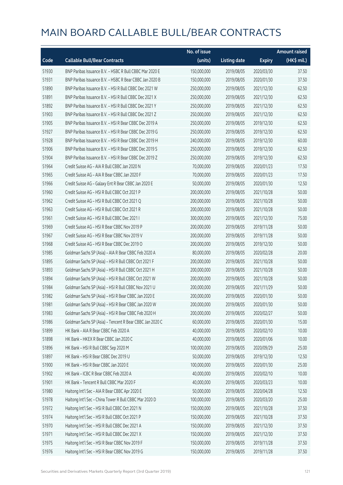|       |                                                          | No. of issue |                     |               | <b>Amount raised</b> |
|-------|----------------------------------------------------------|--------------|---------------------|---------------|----------------------|
| Code  | <b>Callable Bull/Bear Contracts</b>                      | (units)      | <b>Listing date</b> | <b>Expiry</b> | (HK\$ mil.)          |
| 51930 | BNP Paribas Issuance B.V. - HSBC R Bull CBBC Mar 2020 E  | 150,000,000  | 2019/08/05          | 2020/03/30    | 37.50                |
| 51931 | BNP Paribas Issuance B.V. - HSBC R Bear CBBC Jan 2020 B  | 150,000,000  | 2019/08/05          | 2020/01/30    | 37.50                |
| 51890 | BNP Paribas Issuance B.V. - HSI R Bull CBBC Dec 2021 W   | 250,000,000  | 2019/08/05          | 2021/12/30    | 62.50                |
| 51891 | BNP Paribas Issuance B.V. - HSI R Bull CBBC Dec 2021 X   | 250,000,000  | 2019/08/05          | 2021/12/30    | 62.50                |
| 51892 | BNP Paribas Issuance B.V. - HSI R Bull CBBC Dec 2021 Y   | 250,000,000  | 2019/08/05          | 2021/12/30    | 62.50                |
| 51903 | BNP Paribas Issuance B.V. - HSI R Bull CBBC Dec 2021 Z   | 250,000,000  | 2019/08/05          | 2021/12/30    | 62.50                |
| 51905 | BNP Paribas Issuance B.V. - HSI R Bear CBBC Dec 2019 A   | 250,000,000  | 2019/08/05          | 2019/12/30    | 62.50                |
| 51927 | BNP Paribas Issuance B.V. - HSI R Bear CBBC Dec 2019 G   | 250,000,000  | 2019/08/05          | 2019/12/30    | 62.50                |
| 51928 | BNP Paribas Issuance B.V. - HSI R Bear CBBC Dec 2019 H   | 240,000,000  | 2019/08/05          | 2019/12/30    | 60.00                |
| 51906 | BNP Paribas Issuance B.V. - HSI R Bear CBBC Dec 2019 S   | 250,000,000  | 2019/08/05          | 2019/12/30    | 62.50                |
| 51904 | BNP Paribas Issuance B.V. - HSI R Bear CBBC Dec 2019 Z   | 250,000,000  | 2019/08/05          | 2019/12/30    | 62.50                |
| 51964 | Credit Suisse AG - AIA R Bull CBBC Jan 2020 N            | 70,000,000   | 2019/08/05          | 2020/01/23    | 17.50                |
| 51965 | Credit Suisse AG - AIA R Bear CBBC Jan 2020 F            | 70,000,000   | 2019/08/05          | 2020/01/23    | 17.50                |
| 51966 | Credit Suisse AG - Galaxy Ent R Bear CBBC Jan 2020 E     | 50,000,000   | 2019/08/05          | 2020/01/30    | 12.50                |
| 51960 | Credit Suisse AG - HSI R Bull CBBC Oct 2021 P            | 200,000,000  | 2019/08/05          | 2021/10/28    | 50.00                |
| 51962 | Credit Suisse AG - HSI R Bull CBBC Oct 2021 Q            | 200,000,000  | 2019/08/05          | 2021/10/28    | 50.00                |
| 51963 | Credit Suisse AG - HSI R Bull CBBC Oct 2021 R            | 200,000,000  | 2019/08/05          | 2021/10/28    | 50.00                |
| 51961 | Credit Suisse AG - HSI R Bull CBBC Dec 2021 I            | 300,000,000  | 2019/08/05          | 2021/12/30    | 75.00                |
| 51969 | Credit Suisse AG - HSI R Bear CBBC Nov 2019 P            | 200,000,000  | 2019/08/05          | 2019/11/28    | 50.00                |
| 51967 | Credit Suisse AG - HSI R Bear CBBC Nov 2019 V            | 200,000,000  | 2019/08/05          | 2019/11/28    | 50.00                |
| 51968 | Credit Suisse AG - HSI R Bear CBBC Dec 2019 O            | 200,000,000  | 2019/08/05          | 2019/12/30    | 50.00                |
| 51985 | Goldman Sachs SP (Asia) - AIA R Bear CBBC Feb 2020 A     | 80,000,000   | 2019/08/05          | 2020/02/28    | 20.00                |
| 51895 | Goldman Sachs SP (Asia) - HSI R Bull CBBC Oct 2021 F     | 200,000,000  | 2019/08/05          | 2021/10/28    | 50.00                |
| 51893 | Goldman Sachs SP (Asia) - HSI R Bull CBBC Oct 2021 H     | 200,000,000  | 2019/08/05          | 2021/10/28    | 50.00                |
| 51894 | Goldman Sachs SP (Asia) - HSI R Bull CBBC Oct 2021 W     | 200,000,000  | 2019/08/05          | 2021/10/28    | 50.00                |
| 51984 | Goldman Sachs SP (Asia) - HSI R Bull CBBC Nov 2021 U     | 200,000,000  | 2019/08/05          | 2021/11/29    | 50.00                |
| 51982 | Goldman Sachs SP (Asia) - HSI R Bear CBBC Jan 2020 E     | 200,000,000  | 2019/08/05          | 2020/01/30    | 50.00                |
| 51981 | Goldman Sachs SP (Asia) - HSI R Bear CBBC Jan 2020 W     | 200,000,000  | 2019/08/05          | 2020/01/30    | 50.00                |
| 51983 | Goldman Sachs SP (Asia) - HSI R Bear CBBC Feb 2020 H     | 200,000,000  | 2019/08/05          | 2020/02/27    | 50.00                |
| 51986 | Goldman Sachs SP (Asia) - Tencent R Bear CBBC Jan 2020 C | 60,000,000   | 2019/08/05          | 2020/01/30    | 15.00                |
| 51899 | HK Bank - AIA R Bear CBBC Feb 2020 A                     | 40,000,000   | 2019/08/05          | 2020/02/10    | 10.00                |
| 51898 | HK Bank - HKEX R Bear CBBC Jan 2020 C                    | 40,000,000   | 2019/08/05          | 2020/01/06    | 10.00                |
| 51896 | HK Bank - HSI R Bull CBBC Sep 2020 M                     | 100,000,000  | 2019/08/05          | 2020/09/29    | 25.00                |
| 51897 | HK Bank - HSI R Bear CBBC Dec 2019 U                     | 50,000,000   | 2019/08/05          | 2019/12/30    | 12.50                |
| 51900 | HK Bank - HSI R Bear CBBC Jan 2020 E                     | 100,000,000  | 2019/08/05          | 2020/01/30    | 25.00                |
| 51902 | HK Bank - ICBC R Bear CBBC Feb 2020 A                    | 40,000,000   | 2019/08/05          | 2020/02/10    | 10.00                |
| 51901 | HK Bank - Tencent R Bull CBBC Mar 2020 F                 | 40,000,000   | 2019/08/05          | 2020/03/23    | 10.00                |
| 51980 | Haitong Int'l Sec - AIA R Bear CBBC Apr 2020 E           | 50,000,000   | 2019/08/05          | 2020/04/28    | 12.50                |
| 51978 | Haitong Int'l Sec - China Tower R Bull CBBC Mar 2020 D   | 100,000,000  | 2019/08/05          | 2020/03/20    | 25.00                |
| 51972 | Haitong Int'l Sec - HSI R Bull CBBC Oct 2021 N           | 150,000,000  | 2019/08/05          | 2021/10/28    | 37.50                |
| 51974 | Haitong Int'l Sec - HSI R Bull CBBC Oct 2021 P           | 150,000,000  | 2019/08/05          | 2021/10/28    | 37.50                |
| 51970 | Haitong Int'l Sec - HSI R Bull CBBC Dec 2021 A           | 150,000,000  | 2019/08/05          | 2021/12/30    | 37.50                |
| 51971 | Haitong Int'l Sec - HSI R Bull CBBC Dec 2021 X           | 150,000,000  | 2019/08/05          | 2021/12/30    | 37.50                |
| 51975 | Haitong Int'l Sec - HSI R Bear CBBC Nov 2019 F           | 150,000,000  | 2019/08/05          | 2019/11/28    | 37.50                |
| 51976 | Haitong Int'l Sec - HSI R Bear CBBC Nov 2019 G           | 150,000,000  | 2019/08/05          | 2019/11/28    | 37.50                |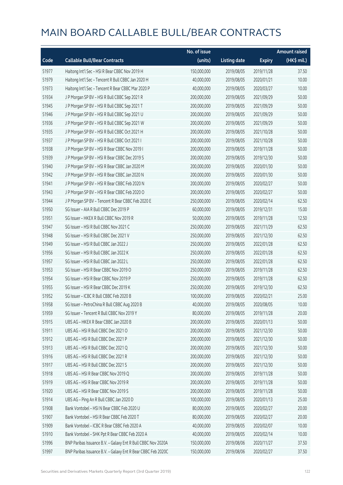|       |                                                              | No. of issue |                     |               | <b>Amount raised</b> |
|-------|--------------------------------------------------------------|--------------|---------------------|---------------|----------------------|
| Code  | <b>Callable Bull/Bear Contracts</b>                          | (units)      | <b>Listing date</b> | <b>Expiry</b> | (HK\$ mil.)          |
| 51977 | Haitong Int'l Sec - HSI R Bear CBBC Nov 2019 H               | 150,000,000  | 2019/08/05          | 2019/11/28    | 37.50                |
| 51979 | Haitong Int'l Sec - Tencent R Bull CBBC Jan 2020 H           | 40,000,000   | 2019/08/05          | 2020/01/21    | 10.00                |
| 51973 | Haitong Int'l Sec - Tencent R Bear CBBC Mar 2020 P           | 40,000,000   | 2019/08/05          | 2020/03/27    | 10.00                |
| 51934 | J P Morgan SP BV - HSI R Bull CBBC Sep 2021 R                | 200,000,000  | 2019/08/05          | 2021/09/29    | 50.00                |
| 51945 | J P Morgan SP BV - HSI R Bull CBBC Sep 2021 T                | 200,000,000  | 2019/08/05          | 2021/09/29    | 50.00                |
| 51946 | J P Morgan SP BV - HSI R Bull CBBC Sep 2021 U                | 200,000,000  | 2019/08/05          | 2021/09/29    | 50.00                |
| 51936 | J P Morgan SP BV - HSI R Bull CBBC Sep 2021 W                | 200,000,000  | 2019/08/05          | 2021/09/29    | 50.00                |
| 51935 | J P Morgan SP BV - HSI R Bull CBBC Oct 2021 H                | 200,000,000  | 2019/08/05          | 2021/10/28    | 50.00                |
| 51937 | JP Morgan SP BV - HSIR Bull CBBC Oct 2021 I                  | 200,000,000  | 2019/08/05          | 2021/10/28    | 50.00                |
| 51938 | J P Morgan SP BV - HSI R Bear CBBC Nov 2019 I                | 200,000,000  | 2019/08/05          | 2019/11/28    | 50.00                |
| 51939 | J P Morgan SP BV - HSI R Bear CBBC Dec 2019 S                | 200,000,000  | 2019/08/05          | 2019/12/30    | 50.00                |
| 51940 | J P Morgan SP BV - HSI R Bear CBBC Jan 2020 M                | 200,000,000  | 2019/08/05          | 2020/01/30    | 50.00                |
| 51942 | J P Morgan SP BV - HSI R Bear CBBC Jan 2020 N                | 200,000,000  | 2019/08/05          | 2020/01/30    | 50.00                |
| 51941 | J P Morgan SP BV - HSI R Bear CBBC Feb 2020 N                | 200,000,000  | 2019/08/05          | 2020/02/27    | 50.00                |
| 51943 | J P Morgan SP BV - HSI R Bear CBBC Feb 2020 O                | 200,000,000  | 2019/08/05          | 2020/02/27    | 50.00                |
| 51944 | J P Morgan SP BV - Tencent R Bear CBBC Feb 2020 E            | 250,000,000  | 2019/08/05          | 2020/02/14    | 62.50                |
| 51950 | SG Issuer - AIA R Bull CBBC Dec 2019 P                       | 60,000,000   | 2019/08/05          | 2019/12/31    | 15.00                |
| 51951 | SG Issuer - HKEX R Bull CBBC Nov 2019 R                      | 50,000,000   | 2019/08/05          | 2019/11/28    | 12.50                |
| 51947 | SG Issuer - HSI R Bull CBBC Nov 2021 C                       | 250,000,000  | 2019/08/05          | 2021/11/29    | 62.50                |
| 51948 | SG Issuer - HSI R Bull CBBC Dec 2021 V                       | 250,000,000  | 2019/08/05          | 2021/12/30    | 62.50                |
| 51949 | SG Issuer - HSI R Bull CBBC Jan 2022 J                       | 250,000,000  | 2019/08/05          | 2022/01/28    | 62.50                |
| 51956 | SG Issuer - HSI R Bull CBBC Jan 2022 K                       | 250,000,000  | 2019/08/05          | 2022/01/28    | 62.50                |
| 51957 | SG Issuer - HSI R Bull CBBC Jan 2022 L                       | 250,000,000  | 2019/08/05          | 2022/01/28    | 62.50                |
| 51953 | SG Issuer - HSI R Bear CBBC Nov 2019 O                       | 250,000,000  | 2019/08/05          | 2019/11/28    | 62.50                |
| 51954 | SG Issuer - HSI R Bear CBBC Nov 2019 P                       | 250,000,000  | 2019/08/05          | 2019/11/28    | 62.50                |
| 51955 | SG Issuer - HSI R Bear CBBC Dec 2019 K                       | 250,000,000  | 2019/08/05          | 2019/12/30    | 62.50                |
| 51952 | SG Issuer - ICBC R Bull CBBC Feb 2020 B                      | 100,000,000  | 2019/08/05          | 2020/02/21    | 25.00                |
| 51958 | SG Issuer - PetroChina R Bull CBBC Aug 2020 B                | 40,000,000   | 2019/08/05          | 2020/08/05    | 10.00                |
| 51959 | SG Issuer - Tencent R Bull CBBC Nov 2019 Y                   | 80,000,000   | 2019/08/05          | 2019/11/28    | 20.00                |
| 51915 | UBS AG - HKEX R Bear CBBC Jan 2020 B                         | 200,000,000  | 2019/08/05          | 2020/01/13    | 50.00                |
| 51911 | UBS AG - HSI R Bull CBBC Dec 2021 O                          | 200,000,000  | 2019/08/05          | 2021/12/30    | 50.00                |
| 51912 | UBS AG - HSI R Bull CBBC Dec 2021 P                          | 200,000,000  | 2019/08/05          | 2021/12/30    | 50.00                |
| 51913 | UBS AG - HSI R Bull CBBC Dec 2021 Q                          | 200,000,000  | 2019/08/05          | 2021/12/30    | 50.00                |
| 51916 | UBS AG - HSI R Bull CBBC Dec 2021 R                          | 200,000,000  | 2019/08/05          | 2021/12/30    | 50.00                |
| 51917 | UBS AG - HSI R Bull CBBC Dec 2021 S                          | 200,000,000  | 2019/08/05          | 2021/12/30    | 50.00                |
| 51918 | UBS AG - HSI R Bear CBBC Nov 2019 Q                          | 200,000,000  | 2019/08/05          | 2019/11/28    | 50.00                |
| 51919 | UBS AG - HSI R Bear CBBC Nov 2019 R                          | 200,000,000  | 2019/08/05          | 2019/11/28    | 50.00                |
| 51920 | UBS AG - HSI R Bear CBBC Nov 2019 S                          | 200,000,000  | 2019/08/05          | 2019/11/28    | 50.00                |
| 51914 | UBS AG - Ping An R Bull CBBC Jan 2020 D                      | 100,000,000  | 2019/08/05          | 2020/01/13    | 25.00                |
| 51908 | Bank Vontobel - HSI N Bear CBBC Feb 2020 U                   | 80,000,000   | 2019/08/05          | 2020/02/27    | 20.00                |
| 51907 | Bank Vontobel - HSI R Bear CBBC Feb 2020 T                   | 80,000,000   | 2019/08/05          | 2020/02/27    | 20.00                |
| 51909 | Bank Vontobel - ICBC R Bear CBBC Feb 2020 A                  | 40,000,000   | 2019/08/05          | 2020/02/07    | 10.00                |
| 51910 | Bank Vontobel - SHK Ppt R Bear CBBC Feb 2020 A               | 40,000,000   | 2019/08/05          | 2020/02/14    | 10.00                |
| 51996 | BNP Paribas Issuance B.V. - Galaxy Ent R Bull CBBC Nov 2020A | 150,000,000  | 2019/08/06          | 2020/11/27    | 37.50                |
| 51997 | BNP Paribas Issuance B.V. - Galaxy Ent R Bear CBBC Feb 2020C | 150,000,000  | 2019/08/06          | 2020/02/27    | 37.50                |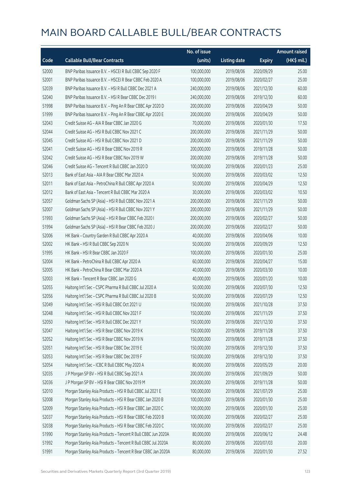|       |                                                              | No. of issue |                     |               | <b>Amount raised</b> |
|-------|--------------------------------------------------------------|--------------|---------------------|---------------|----------------------|
| Code  | <b>Callable Bull/Bear Contracts</b>                          | (units)      | <b>Listing date</b> | <b>Expiry</b> | (HK\$ mil.)          |
| 52000 | BNP Paribas Issuance B.V. - HSCEI R Bull CBBC Sep 2020 F     | 100,000,000  | 2019/08/06          | 2020/09/29    | 25.00                |
| 52001 | BNP Paribas Issuance B.V. - HSCEI R Bear CBBC Feb 2020 A     | 100,000,000  | 2019/08/06          | 2020/02/27    | 25.00                |
| 52039 | BNP Paribas Issuance B.V. - HSI R Bull CBBC Dec 2021 A       | 240,000,000  | 2019/08/06          | 2021/12/30    | 60.00                |
| 52040 | BNP Paribas Issuance B.V. - HSI R Bear CBBC Dec 2019 I       | 240,000,000  | 2019/08/06          | 2019/12/30    | 60.00                |
| 51998 | BNP Paribas Issuance B.V. - Ping An R Bear CBBC Apr 2020 D   | 200,000,000  | 2019/08/06          | 2020/04/29    | 50.00                |
| 51999 | BNP Paribas Issuance B.V. - Ping An R Bear CBBC Apr 2020 E   | 200,000,000  | 2019/08/06          | 2020/04/29    | 50.00                |
| 52043 | Credit Suisse AG - AIA R Bear CBBC Jan 2020 G                | 70,000,000   | 2019/08/06          | 2020/01/30    | 17.50                |
| 52044 | Credit Suisse AG - HSI R Bull CBBC Nov 2021 C                | 200,000,000  | 2019/08/06          | 2021/11/29    | 50.00                |
| 52045 | Credit Suisse AG - HSI R Bull CBBC Nov 2021 D                | 200,000,000  | 2019/08/06          | 2021/11/29    | 50.00                |
| 52041 | Credit Suisse AG - HSI R Bear CBBC Nov 2019 R                | 200,000,000  | 2019/08/06          | 2019/11/28    | 50.00                |
| 52042 | Credit Suisse AG - HSI R Bear CBBC Nov 2019 W                | 200,000,000  | 2019/08/06          | 2019/11/28    | 50.00                |
| 52046 | Credit Suisse AG - Tencent R Bull CBBC Jan 2020 D            | 100,000,000  | 2019/08/06          | 2020/01/23    | 25.00                |
| 52013 | Bank of East Asia - AIA R Bear CBBC Mar 2020 A               | 50,000,000   | 2019/08/06          | 2020/03/02    | 12.50                |
| 52011 | Bank of East Asia - PetroChina R Bull CBBC Apr 2020 A        | 50,000,000   | 2019/08/06          | 2020/04/29    | 12.50                |
| 52012 | Bank of East Asia - Tencent R Bull CBBC Mar 2020 A           | 30,000,000   | 2019/08/06          | 2020/03/02    | 10.50                |
| 52057 | Goldman Sachs SP (Asia) - HSI R Bull CBBC Nov 2021 A         | 200,000,000  | 2019/08/06          | 2021/11/29    | 50.00                |
| 52007 | Goldman Sachs SP (Asia) - HSI R Bull CBBC Nov 2021 Y         | 200,000,000  | 2019/08/06          | 2021/11/29    | 50.00                |
| 51993 | Goldman Sachs SP (Asia) - HSI R Bear CBBC Feb 2020 I         | 200,000,000  | 2019/08/06          | 2020/02/27    | 50.00                |
| 51994 | Goldman Sachs SP (Asia) - HSI R Bear CBBC Feb 2020 J         | 200,000,000  | 2019/08/06          | 2020/02/27    | 50.00                |
| 52006 | HK Bank - Country Garden R Bull CBBC Apr 2020 A              | 40,000,000   | 2019/08/06          | 2020/04/06    | 10.00                |
| 52002 | HK Bank - HSI R Bull CBBC Sep 2020 N                         | 50,000,000   | 2019/08/06          | 2020/09/29    | 12.50                |
| 51995 | HK Bank - HSI R Bear CBBC Jan 2020 F                         | 100,000,000  | 2019/08/06          | 2020/01/30    | 25.00                |
| 52004 | HK Bank - PetroChina R Bull CBBC Apr 2020 A                  | 60,000,000   | 2019/08/06          | 2020/04/27    | 15.00                |
| 52005 | HK Bank - PetroChina R Bear CBBC Mar 2020 A                  | 40,000,000   | 2019/08/06          | 2020/03/30    | 10.00                |
| 52003 | HK Bank - Tencent R Bear CBBC Jan 2020 G                     | 40,000,000   | 2019/08/06          | 2020/01/20    | 10.00                |
| 52055 | Haitong Int'l Sec - CSPC Pharma R Bull CBBC Jul 2020 A       | 50,000,000   | 2019/08/06          | 2020/07/30    | 12.50                |
| 52056 | Haitong Int'l Sec - CSPC Pharma R Bull CBBC Jul 2020 B       | 50,000,000   | 2019/08/06          | 2020/07/29    | 12.50                |
| 52049 | Haitong Int'l Sec - HSI R Bull CBBC Oct 2021 U               | 150,000,000  | 2019/08/06          | 2021/10/28    | 37.50                |
| 52048 | Haitong Int'l Sec - HSI R Bull CBBC Nov 2021 F               | 150,000,000  | 2019/08/06          | 2021/11/29    | 37.50                |
| 52050 | Haitong Int'l Sec - HSI R Bull CBBC Dec 2021 Y               | 150,000,000  | 2019/08/06          | 2021/12/30    | 37.50                |
| 52047 | Haitong Int'l Sec - HSI R Bear CBBC Nov 2019 K               | 150,000,000  | 2019/08/06          | 2019/11/28    | 37.50                |
| 52052 | Haitong Int'l Sec - HSI R Bear CBBC Nov 2019 N               | 150,000,000  | 2019/08/06          | 2019/11/28    | 37.50                |
| 52051 | Haitong Int'l Sec - HSI R Bear CBBC Dec 2019 E               | 150,000,000  | 2019/08/06          | 2019/12/30    | 37.50                |
| 52053 | Haitong Int'l Sec - HSI R Bear CBBC Dec 2019 F               | 150,000,000  | 2019/08/06          | 2019/12/30    | 37.50                |
| 52054 | Haitong Int'l Sec - ICBC R Bull CBBC May 2020 A              | 80,000,000   | 2019/08/06          | 2020/05/29    | 20.00                |
| 52035 | J P Morgan SP BV - HSI R Bull CBBC Sep 2021 A                | 200,000,000  | 2019/08/06          | 2021/09/29    | 50.00                |
| 52036 | J P Morgan SP BV - HSI R Bear CBBC Nov 2019 M                | 200,000,000  | 2019/08/06          | 2019/11/28    | 50.00                |
| 52010 | Morgan Stanley Asia Products - HSI R Bull CBBC Jul 2021 E    | 100,000,000  | 2019/08/06          | 2021/07/29    | 25.00                |
| 52008 | Morgan Stanley Asia Products - HSI R Bear CBBC Jan 2020 B    | 100,000,000  | 2019/08/06          | 2020/01/30    | 25.00                |
| 52009 | Morgan Stanley Asia Products - HSI R Bear CBBC Jan 2020 C    | 100,000,000  | 2019/08/06          | 2020/01/30    | 25.00                |
| 52037 | Morgan Stanley Asia Products - HSI R Bear CBBC Feb 2020 B    | 100,000,000  | 2019/08/06          | 2020/02/27    | 25.00                |
| 52038 | Morgan Stanley Asia Products - HSI R Bear CBBC Feb 2020 C    | 100,000,000  | 2019/08/06          | 2020/02/27    | 25.00                |
| 51990 | Morgan Stanley Asia Products - Tencent R Bull CBBC Jun 2020A | 80,000,000   | 2019/08/06          | 2020/06/12    | 24.48                |
| 51992 | Morgan Stanley Asia Products - Tencent R Bull CBBC Jul 2020A | 80,000,000   | 2019/08/06          | 2020/07/03    | 20.00                |
| 51991 | Morgan Stanley Asia Products - Tencent R Bear CBBC Jan 2020A | 80,000,000   | 2019/08/06          | 2020/01/30    | 27.52                |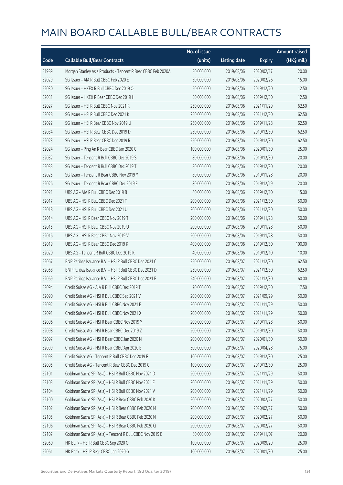|       |                                                              | No. of issue |                     |               | <b>Amount raised</b> |
|-------|--------------------------------------------------------------|--------------|---------------------|---------------|----------------------|
| Code  | <b>Callable Bull/Bear Contracts</b>                          | (units)      | <b>Listing date</b> | <b>Expiry</b> | (HK\$ mil.)          |
| 51989 | Morgan Stanley Asia Products - Tencent R Bear CBBC Feb 2020A | 80,000,000   | 2019/08/06          | 2020/02/17    | 20.00                |
| 52029 | SG Issuer - AIA R Bull CBBC Feb 2020 E                       | 60,000,000   | 2019/08/06          | 2020/02/26    | 15.00                |
| 52030 | SG Issuer - HKEX R Bull CBBC Dec 2019 O                      | 50,000,000   | 2019/08/06          | 2019/12/20    | 12.50                |
| 52031 | SG Issuer - HKEX R Bear CBBC Dec 2019 H                      | 50,000,000   | 2019/08/06          | 2019/12/30    | 12.50                |
| 52027 | SG Issuer - HSI R Bull CBBC Nov 2021 R                       | 250,000,000  | 2019/08/06          | 2021/11/29    | 62.50                |
| 52028 | SG Issuer - HSI R Bull CBBC Dec 2021 K                       | 250,000,000  | 2019/08/06          | 2021/12/30    | 62.50                |
| 52022 | SG Issuer - HSI R Bear CBBC Nov 2019 U                       | 250,000,000  | 2019/08/06          | 2019/11/28    | 62.50                |
| 52034 | SG Issuer - HSI R Bear CBBC Dec 2019 D                       | 250,000,000  | 2019/08/06          | 2019/12/30    | 62.50                |
| 52023 | SG Issuer - HSI R Bear CBBC Dec 2019 R                       | 250,000,000  | 2019/08/06          | 2019/12/30    | 62.50                |
| 52024 | SG Issuer - Ping An R Bear CBBC Jan 2020 C                   | 100,000,000  | 2019/08/06          | 2020/01/30    | 25.00                |
| 52032 | SG Issuer - Tencent R Bull CBBC Dec 2019 S                   | 80,000,000   | 2019/08/06          | 2019/12/30    | 20.00                |
| 52033 | SG Issuer - Tencent R Bull CBBC Dec 2019 T                   | 80,000,000   | 2019/08/06          | 2019/12/30    | 20.00                |
| 52025 | SG Issuer - Tencent R Bear CBBC Nov 2019 Y                   | 80,000,000   | 2019/08/06          | 2019/11/28    | 20.00                |
| 52026 | SG Issuer - Tencent R Bear CBBC Dec 2019 E                   | 80,000,000   | 2019/08/06          | 2019/12/19    | 20.00                |
| 52021 | UBS AG - AIA R Bull CBBC Dec 2019 B                          | 60,000,000   | 2019/08/06          | 2019/12/10    | 15.00                |
| 52017 | UBS AG - HSI R Bull CBBC Dec 2021 T                          | 200,000,000  | 2019/08/06          | 2021/12/30    | 50.00                |
| 52018 | UBS AG - HSI R Bull CBBC Dec 2021 U                          | 200,000,000  | 2019/08/06          | 2021/12/30    | 50.00                |
| 52014 | UBS AG - HSI R Bear CBBC Nov 2019 T                          | 200,000,000  | 2019/08/06          | 2019/11/28    | 50.00                |
| 52015 | UBS AG - HSI R Bear CBBC Nov 2019 U                          | 200,000,000  | 2019/08/06          | 2019/11/28    | 50.00                |
| 52016 | UBS AG - HSI R Bear CBBC Nov 2019 V                          | 200,000,000  | 2019/08/06          | 2019/11/28    | 50.00                |
| 52019 | UBS AG - HSI R Bear CBBC Dec 2019 K                          | 400,000,000  | 2019/08/06          | 2019/12/30    | 100.00               |
| 52020 | UBS AG - Tencent R Bull CBBC Dec 2019 K                      | 40,000,000   | 2019/08/06          | 2019/12/10    | 10.00                |
| 52067 | BNP Paribas Issuance B.V. - HSI R Bull CBBC Dec 2021 C       | 250,000,000  | 2019/08/07          | 2021/12/30    | 62.50                |
| 52068 | BNP Paribas Issuance B.V. - HSI R Bull CBBC Dec 2021 D       | 250,000,000  | 2019/08/07          | 2021/12/30    | 62.50                |
| 52069 | BNP Paribas Issuance B.V. - HSI R Bull CBBC Dec 2021 E       | 240,000,000  | 2019/08/07          | 2021/12/30    | 60.00                |
| 52094 | Credit Suisse AG - AIA R Bull CBBC Dec 2019 T                | 70,000,000   | 2019/08/07          | 2019/12/30    | 17.50                |
| 52090 | Credit Suisse AG - HSI R Bull CBBC Sep 2021 V                | 200,000,000  | 2019/08/07          | 2021/09/29    | 50.00                |
| 52092 | Credit Suisse AG - HSI R Bull CBBC Nov 2021 E                | 200,000,000  | 2019/08/07          | 2021/11/29    | 50.00                |
| 52091 | Credit Suisse AG - HSI R Bull CBBC Nov 2021 X                | 200,000,000  | 2019/08/07          | 2021/11/29    | 50.00                |
| 52096 | Credit Suisse AG - HSI R Bear CBBC Nov 2019 Y                | 200,000,000  | 2019/08/07          | 2019/11/28    | 50.00                |
| 52098 | Credit Suisse AG - HSI R Bear CBBC Dec 2019 Z                | 200,000,000  | 2019/08/07          | 2019/12/30    | 50.00                |
| 52097 | Credit Suisse AG - HSI R Bear CBBC Jan 2020 N                | 200,000,000  | 2019/08/07          | 2020/01/30    | 50.00                |
| 52099 | Credit Suisse AG - HSI R Bear CBBC Apr 2020 E                | 300,000,000  | 2019/08/07          | 2020/04/28    | 75.00                |
| 52093 | Credit Suisse AG - Tencent R Bull CBBC Dec 2019 F            | 100,000,000  | 2019/08/07          | 2019/12/30    | 25.00                |
| 52095 | Credit Suisse AG - Tencent R Bear CBBC Dec 2019 C            | 100,000,000  | 2019/08/07          | 2019/12/30    | 25.00                |
| 52101 | Goldman Sachs SP (Asia) - HSI R Bull CBBC Nov 2021 D         | 200,000,000  | 2019/08/07          | 2021/11/29    | 50.00                |
| 52103 | Goldman Sachs SP (Asia) - HSI R Bull CBBC Nov 2021 E         | 200,000,000  | 2019/08/07          | 2021/11/29    | 50.00                |
| 52104 | Goldman Sachs SP (Asia) - HSI R Bull CBBC Nov 2021 V         | 200,000,000  | 2019/08/07          | 2021/11/29    | 50.00                |
| 52100 | Goldman Sachs SP (Asia) - HSI R Bear CBBC Feb 2020 K         | 200,000,000  | 2019/08/07          | 2020/02/27    | 50.00                |
| 52102 | Goldman Sachs SP (Asia) - HSI R Bear CBBC Feb 2020 M         | 200,000,000  | 2019/08/07          | 2020/02/27    | 50.00                |
| 52105 | Goldman Sachs SP (Asia) - HSI R Bear CBBC Feb 2020 N         | 200,000,000  | 2019/08/07          | 2020/02/27    | 50.00                |
| 52106 | Goldman Sachs SP (Asia) - HSI R Bear CBBC Feb 2020 Q         | 200,000,000  | 2019/08/07          | 2020/02/27    | 50.00                |
| 52107 | Goldman Sachs SP (Asia) - Tencent R Bull CBBC Nov 2019 E     | 80,000,000   | 2019/08/07          | 2019/11/07    | 20.00                |
| 52060 | HK Bank - HSI R Bull CBBC Sep 2020 O                         | 100,000,000  | 2019/08/07          | 2020/09/29    | 25.00                |
| 52061 | HK Bank - HSI R Bear CBBC Jan 2020 G                         | 100,000,000  | 2019/08/07          | 2020/01/30    | 25.00                |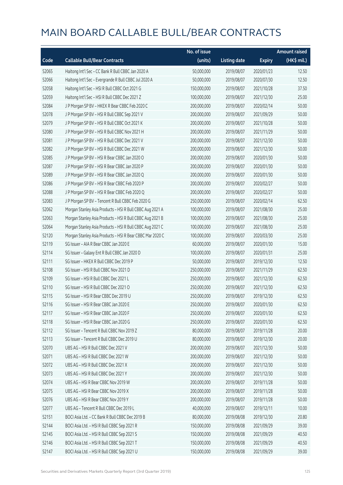|       |                                                           | No. of issue |                     |               | <b>Amount raised</b> |
|-------|-----------------------------------------------------------|--------------|---------------------|---------------|----------------------|
| Code  | <b>Callable Bull/Bear Contracts</b>                       | (units)      | <b>Listing date</b> | <b>Expiry</b> | (HK\$ mil.)          |
| 52065 | Haitong Int'l Sec - CC Bank R Bull CBBC Jan 2020 A        | 50,000,000   | 2019/08/07          | 2020/01/23    | 12.50                |
| 52066 | Haitong Int'l Sec - Evergrande R Bull CBBC Jul 2020 A     | 50,000,000   | 2019/08/07          | 2020/07/30    | 12.50                |
| 52058 | Haitong Int'l Sec - HSI R Bull CBBC Oct 2021 G            | 150,000,000  | 2019/08/07          | 2021/10/28    | 37.50                |
| 52059 | Haitong Int'l Sec - HSI R Bull CBBC Dec 2021 Z            | 100,000,000  | 2019/08/07          | 2021/12/30    | 25.00                |
| 52084 | J P Morgan SP BV - HKEX R Bear CBBC Feb 2020 C            | 200,000,000  | 2019/08/07          | 2020/02/14    | 50.00                |
| 52078 | J P Morgan SP BV - HSI R Bull CBBC Sep 2021 V             | 200,000,000  | 2019/08/07          | 2021/09/29    | 50.00                |
| 52079 | J P Morgan SP BV - HSI R Bull CBBC Oct 2021 K             | 200,000,000  | 2019/08/07          | 2021/10/28    | 50.00                |
| 52080 | J P Morgan SP BV - HSI R Bull CBBC Nov 2021 H             | 200,000,000  | 2019/08/07          | 2021/11/29    | 50.00                |
| 52081 | J P Morgan SP BV - HSI R Bull CBBC Dec 2021 V             | 200,000,000  | 2019/08/07          | 2021/12/30    | 50.00                |
| 52082 | J P Morgan SP BV - HSI R Bull CBBC Dec 2021 W             | 200,000,000  | 2019/08/07          | 2021/12/30    | 50.00                |
| 52085 | J P Morgan SP BV - HSI R Bear CBBC Jan 2020 O             | 200,000,000  | 2019/08/07          | 2020/01/30    | 50.00                |
| 52087 | J P Morgan SP BV - HSI R Bear CBBC Jan 2020 P             | 200,000,000  | 2019/08/07          | 2020/01/30    | 50.00                |
| 52089 | J P Morgan SP BV - HSI R Bear CBBC Jan 2020 Q             | 200,000,000  | 2019/08/07          | 2020/01/30    | 50.00                |
| 52086 | J P Morgan SP BV - HSI R Bear CBBC Feb 2020 P             | 200,000,000  | 2019/08/07          | 2020/02/27    | 50.00                |
| 52088 | J P Morgan SP BV - HSI R Bear CBBC Feb 2020 Q             | 200,000,000  | 2019/08/07          | 2020/02/27    | 50.00                |
| 52083 | J P Morgan SP BV - Tencent R Bull CBBC Feb 2020 G         | 250,000,000  | 2019/08/07          | 2020/02/14    | 62.50                |
| 52062 | Morgan Stanley Asia Products - HSI R Bull CBBC Aug 2021 A | 100,000,000  | 2019/08/07          | 2021/08/30    | 25.00                |
| 52063 | Morgan Stanley Asia Products - HSI R Bull CBBC Aug 2021 B | 100,000,000  | 2019/08/07          | 2021/08/30    | 25.00                |
| 52064 | Morgan Stanley Asia Products - HSI R Bull CBBC Aug 2021 C | 100,000,000  | 2019/08/07          | 2021/08/30    | 25.00                |
| 52120 | Morgan Stanley Asia Products - HSI R Bear CBBC Mar 2020 C | 100,000,000  | 2019/08/07          | 2020/03/30    | 25.00                |
| 52119 | SG Issuer - AIA R Bear CBBC Jan 2020 E                    | 60,000,000   | 2019/08/07          | 2020/01/30    | 15.00                |
| 52114 | SG Issuer - Galaxy Ent R Bull CBBC Jan 2020 D             | 100,000,000  | 2019/08/07          | 2020/01/31    | 25.00                |
| 52111 | SG Issuer - HKEX R Bull CBBC Dec 2019 P                   | 50,000,000   | 2019/08/07          | 2019/12/30    | 12.50                |
| 52108 | SG Issuer - HSI R Bull CBBC Nov 2021 D                    | 250,000,000  | 2019/08/07          | 2021/11/29    | 62.50                |
| 52109 | SG Issuer - HSI R Bull CBBC Dec 2021 L                    | 250,000,000  | 2019/08/07          | 2021/12/30    | 62.50                |
| 52110 | SG Issuer - HSI R Bull CBBC Dec 2021 O                    | 250,000,000  | 2019/08/07          | 2021/12/30    | 62.50                |
| 52115 | SG Issuer - HSI R Bear CBBC Dec 2019 U                    | 250,000,000  | 2019/08/07          | 2019/12/30    | 62.50                |
| 52116 | SG Issuer - HSI R Bear CBBC Jan 2020 E                    | 250,000,000  | 2019/08/07          | 2020/01/30    | 62.50                |
| 52117 | SG Issuer - HSI R Bear CBBC Jan 2020 F                    | 250,000,000  | 2019/08/07          | 2020/01/30    | 62.50                |
| 52118 | SG Issuer - HSI R Bear CBBC Jan 2020 G                    | 250,000,000  | 2019/08/07          | 2020/01/30    | 62.50                |
| 52112 | SG Issuer - Tencent R Bull CBBC Nov 2019 Z                | 80,000,000   | 2019/08/07          | 2019/11/28    | 20.00                |
| 52113 | SG Issuer - Tencent R Bull CBBC Dec 2019 U                | 80,000,000   | 2019/08/07          | 2019/12/30    | 20.00                |
| 52070 | UBS AG - HSI R Bull CBBC Dec 2021 V                       | 200,000,000  | 2019/08/07          | 2021/12/30    | 50.00                |
| 52071 | UBS AG - HSI R Bull CBBC Dec 2021 W                       | 200,000,000  | 2019/08/07          | 2021/12/30    | 50.00                |
| 52072 | UBS AG - HSI R Bull CBBC Dec 2021 X                       | 200,000,000  | 2019/08/07          | 2021/12/30    | 50.00                |
| 52073 | UBS AG - HSI R Bull CBBC Dec 2021 Y                       | 200,000,000  | 2019/08/07          | 2021/12/30    | 50.00                |
| 52074 | UBS AG - HSI R Bear CBBC Nov 2019 W                       | 200,000,000  | 2019/08/07          | 2019/11/28    | 50.00                |
| 52075 | UBS AG - HSI R Bear CBBC Nov 2019 X                       | 200,000,000  | 2019/08/07          | 2019/11/28    | 50.00                |
| 52076 | UBS AG - HSI R Bear CBBC Nov 2019 Y                       | 200,000,000  | 2019/08/07          | 2019/11/28    | 50.00                |
| 52077 | UBS AG - Tencent R Bull CBBC Dec 2019 L                   | 40,000,000   | 2019/08/07          | 2019/12/11    | 10.00                |
| 52151 | BOCI Asia Ltd. - CC Bank R Bull CBBC Dec 2019 B           | 80,000,000   | 2019/08/08          | 2019/12/30    | 20.80                |
| 52144 | BOCI Asia Ltd. - HSI R Bull CBBC Sep 2021 R               | 150,000,000  | 2019/08/08          | 2021/09/29    | 39.00                |
| 52145 | BOCI Asia Ltd. - HSI R Bull CBBC Sep 2021 S               | 150,000,000  | 2019/08/08          | 2021/09/29    | 40.50                |
| 52146 | BOCI Asia Ltd. - HSI R Bull CBBC Sep 2021 T               | 150,000,000  | 2019/08/08          | 2021/09/29    | 40.50                |
| 52147 | BOCI Asia Ltd. - HSI R Bull CBBC Sep 2021 U               | 150,000,000  | 2019/08/08          | 2021/09/29    | 39.00                |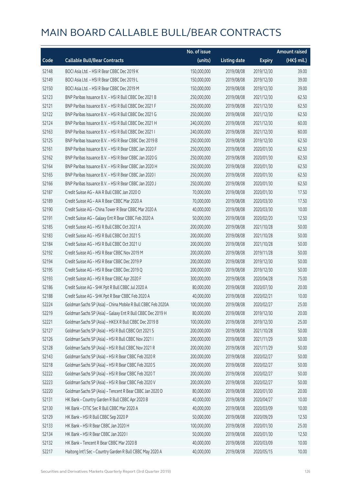|       |                                                              | No. of issue |                     |               | <b>Amount raised</b> |
|-------|--------------------------------------------------------------|--------------|---------------------|---------------|----------------------|
| Code  | <b>Callable Bull/Bear Contracts</b>                          | (units)      | <b>Listing date</b> | <b>Expiry</b> | (HK\$ mil.)          |
| 52148 | BOCI Asia Ltd. - HSI R Bear CBBC Dec 2019 K                  | 150,000,000  | 2019/08/08          | 2019/12/30    | 39.00                |
| 52149 | BOCI Asia Ltd. - HSI R Bear CBBC Dec 2019 L                  | 150,000,000  | 2019/08/08          | 2019/12/30    | 39.00                |
| 52150 | BOCI Asia Ltd. - HSI R Bear CBBC Dec 2019 M                  | 150,000,000  | 2019/08/08          | 2019/12/30    | 39.00                |
| 52123 | BNP Paribas Issuance B.V. - HSI R Bull CBBC Dec 2021 B       | 250,000,000  | 2019/08/08          | 2021/12/30    | 62.50                |
| 52121 | BNP Paribas Issuance B.V. - HSI R Bull CBBC Dec 2021 F       | 250,000,000  | 2019/08/08          | 2021/12/30    | 62.50                |
| 52122 | BNP Paribas Issuance B.V. - HSI R Bull CBBC Dec 2021 G       | 250,000,000  | 2019/08/08          | 2021/12/30    | 62.50                |
| 52124 | BNP Paribas Issuance B.V. - HSI R Bull CBBC Dec 2021 H       | 240,000,000  | 2019/08/08          | 2021/12/30    | 60.00                |
| 52163 | BNP Paribas Issuance B.V. - HSI R Bull CBBC Dec 2021 I       | 240,000,000  | 2019/08/08          | 2021/12/30    | 60.00                |
| 52125 | BNP Paribas Issuance B.V. - HSI R Bear CBBC Dec 2019 B       | 250,000,000  | 2019/08/08          | 2019/12/30    | 62.50                |
| 52161 | BNP Paribas Issuance B.V. - HSI R Bear CBBC Jan 2020 F       | 250,000,000  | 2019/08/08          | 2020/01/30    | 62.50                |
| 52162 | BNP Paribas Issuance B.V. - HSI R Bear CBBC Jan 2020 G       | 250,000,000  | 2019/08/08          | 2020/01/30    | 62.50                |
| 52164 | BNP Paribas Issuance B.V. - HSI R Bear CBBC Jan 2020 H       | 250,000,000  | 2019/08/08          | 2020/01/30    | 62.50                |
| 52165 | BNP Paribas Issuance B.V. - HSI R Bear CBBC Jan 2020 I       | 250,000,000  | 2019/08/08          | 2020/01/30    | 62.50                |
| 52166 | BNP Paribas Issuance B.V. - HSI R Bear CBBC Jan 2020 J       | 250,000,000  | 2019/08/08          | 2020/01/30    | 62.50                |
| 52187 | Credit Suisse AG - AIA R Bull CBBC Jan 2020 O                | 70,000,000   | 2019/08/08          | 2020/01/30    | 17.50                |
| 52189 | Credit Suisse AG - AIA R Bear CBBC Mar 2020 A                | 70,000,000   | 2019/08/08          | 2020/03/30    | 17.50                |
| 52190 | Credit Suisse AG - China Tower R Bear CBBC Mar 2020 A        | 40,000,000   | 2019/08/08          | 2020/03/30    | 10.00                |
| 52191 | Credit Suisse AG - Galaxy Ent R Bear CBBC Feb 2020 A         | 50,000,000   | 2019/08/08          | 2020/02/20    | 12.50                |
| 52185 | Credit Suisse AG - HSI R Bull CBBC Oct 2021 A                | 200,000,000  | 2019/08/08          | 2021/10/28    | 50.00                |
| 52183 | Credit Suisse AG - HSI R Bull CBBC Oct 2021 S                | 200,000,000  | 2019/08/08          | 2021/10/28    | 50.00                |
| 52184 | Credit Suisse AG - HSI R Bull CBBC Oct 2021 U                | 200,000,000  | 2019/08/08          | 2021/10/28    | 50.00                |
| 52192 | Credit Suisse AG - HSI R Bear CBBC Nov 2019 M                | 200,000,000  | 2019/08/08          | 2019/11/28    | 50.00                |
| 52194 | Credit Suisse AG - HSI R Bear CBBC Dec 2019 P                | 200,000,000  | 2019/08/08          | 2019/12/30    | 50.00                |
| 52195 | Credit Suisse AG - HSI R Bear CBBC Dec 2019 Q                | 200,000,000  | 2019/08/08          | 2019/12/30    | 50.00                |
| 52193 | Credit Suisse AG - HSI R Bear CBBC Apr 2020 F                | 300,000,000  | 2019/08/08          | 2020/04/28    | 75.00                |
| 52186 | Credit Suisse AG - SHK Ppt R Bull CBBC Jul 2020 A            | 80,000,000   | 2019/08/08          | 2020/07/30    | 20.00                |
| 52188 | Credit Suisse AG - SHK Ppt R Bear CBBC Feb 2020 A            | 40,000,000   | 2019/08/08          | 2020/02/21    | 10.00                |
| 52224 | Goldman Sachs SP (Asia) - China Mobile R Bull CBBC Feb 2020A | 100,000,000  | 2019/08/08          | 2020/02/27    | 25.00                |
| 52219 | Goldman Sachs SP (Asia) - Galaxy Ent R Bull CBBC Dec 2019 H  | 80,000,000   | 2019/08/08          | 2019/12/30    | 20.00                |
| 52221 | Goldman Sachs SP (Asia) - HKEX R Bull CBBC Dec 2019 B        | 100,000,000  | 2019/08/08          | 2019/12/30    | 25.00                |
| 52127 | Goldman Sachs SP (Asia) - HSI R Bull CBBC Oct 2021 S         | 200,000,000  | 2019/08/08          | 2021/10/28    | 50.00                |
| 52126 | Goldman Sachs SP (Asia) - HSI R Bull CBBC Nov 2021 I         | 200,000,000  | 2019/08/08          | 2021/11/29    | 50.00                |
| 52128 | Goldman Sachs SP (Asia) - HSI R Bull CBBC Nov 2021 R         | 200,000,000  | 2019/08/08          | 2021/11/29    | 50.00                |
| 52143 | Goldman Sachs SP (Asia) - HSI R Bear CBBC Feb 2020 R         | 200,000,000  | 2019/08/08          | 2020/02/27    | 50.00                |
| 52218 | Goldman Sachs SP (Asia) - HSI R Bear CBBC Feb 2020 S         | 200,000,000  | 2019/08/08          | 2020/02/27    | 50.00                |
| 52222 | Goldman Sachs SP (Asia) - HSI R Bear CBBC Feb 2020 T         | 200,000,000  | 2019/08/08          | 2020/02/27    | 50.00                |
| 52223 | Goldman Sachs SP (Asia) - HSI R Bear CBBC Feb 2020 V         | 200,000,000  | 2019/08/08          | 2020/02/27    | 50.00                |
| 52220 | Goldman Sachs SP (Asia) - Tencent R Bear CBBC Jan 2020 D     | 80,000,000   | 2019/08/08          | 2020/01/30    | 20.00                |
| 52131 | HK Bank - Country Garden R Bull CBBC Apr 2020 B              | 40,000,000   | 2019/08/08          | 2020/04/27    | 10.00                |
| 52130 | HK Bank - CITIC Sec R Bull CBBC Mar 2020 A                   | 40,000,000   | 2019/08/08          | 2020/03/09    | 10.00                |
| 52129 | HK Bank - HSI R Bull CBBC Sep 2020 P                         | 50,000,000   | 2019/08/08          | 2020/09/29    | 12.50                |
| 52133 | HK Bank - HSI R Bear CBBC Jan 2020 H                         | 100,000,000  | 2019/08/08          | 2020/01/30    | 25.00                |
| 52134 | HK Bank - HSI R Bear CBBC Jan 2020 I                         | 50,000,000   | 2019/08/08          | 2020/01/30    | 12.50                |
| 52132 | HK Bank - Tencent R Bear CBBC Mar 2020 B                     | 40,000,000   | 2019/08/08          | 2020/03/09    | 10.00                |
| 52217 | Haitong Int'l Sec - Country Garden R Bull CBBC May 2020 A    | 40,000,000   | 2019/08/08          | 2020/05/15    | 10.00                |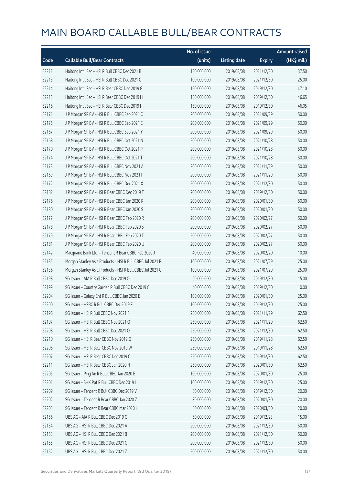|       |                                                           | No. of issue |                     |               | <b>Amount raised</b> |
|-------|-----------------------------------------------------------|--------------|---------------------|---------------|----------------------|
| Code  | <b>Callable Bull/Bear Contracts</b>                       | (units)      | <b>Listing date</b> | <b>Expiry</b> | (HK\$ mil.)          |
| 52212 | Haitong Int'l Sec - HSI R Bull CBBC Dec 2021 B            | 150,000,000  | 2019/08/08          | 2021/12/30    | 37.50                |
| 52213 | Haitong Int'l Sec - HSI R Bull CBBC Dec 2021 C            | 100,000,000  | 2019/08/08          | 2021/12/30    | 25.00                |
| 52214 | Haitong Int'l Sec - HSI R Bear CBBC Dec 2019 G            | 150,000,000  | 2019/08/08          | 2019/12/30    | 47.10                |
| 52215 | Haitong Int'l Sec - HSI R Bear CBBC Dec 2019 H            | 150,000,000  | 2019/08/08          | 2019/12/30    | 46.65                |
| 52216 | Haitong Int'l Sec - HSI R Bear CBBC Dec 2019 I            | 150,000,000  | 2019/08/08          | 2019/12/30    | 46.05                |
| 52171 | J P Morgan SP BV - HSI R Bull CBBC Sep 2021 C             | 200,000,000  | 2019/08/08          | 2021/09/29    | 50.00                |
| 52175 | J P Morgan SP BV - HSI R Bull CBBC Sep 2021 E             | 200,000,000  | 2019/08/08          | 2021/09/29    | 50.00                |
| 52167 | J P Morgan SP BV - HSI R Bull CBBC Sep 2021 Y             | 200,000,000  | 2019/08/08          | 2021/09/29    | 50.00                |
| 52168 | J P Morgan SP BV - HSI R Bull CBBC Oct 2021 N             | 200,000,000  | 2019/08/08          | 2021/10/28    | 50.00                |
| 52170 | J P Morgan SP BV - HSI R Bull CBBC Oct 2021 P             | 200,000,000  | 2019/08/08          | 2021/10/28    | 50.00                |
| 52174 | J P Morgan SP BV - HSI R Bull CBBC Oct 2021 T             | 200,000,000  | 2019/08/08          | 2021/10/28    | 50.00                |
| 52173 | J P Morgan SP BV - HSI R Bull CBBC Nov 2021 A             | 200,000,000  | 2019/08/08          | 2021/11/29    | 50.00                |
| 52169 | J P Morgan SP BV - HSI R Bull CBBC Nov 2021 I             | 200,000,000  | 2019/08/08          | 2021/11/29    | 50.00                |
| 52172 | JP Morgan SP BV - HSIR Bull CBBC Dec 2021 X               | 200,000,000  | 2019/08/08          | 2021/12/30    | 50.00                |
| 52182 | J P Morgan SP BV - HSI R Bear CBBC Dec 2019 T             | 200,000,000  | 2019/08/08          | 2019/12/30    | 50.00                |
| 52176 | J P Morgan SP BV - HSI R Bear CBBC Jan 2020 R             | 200,000,000  | 2019/08/08          | 2020/01/30    | 50.00                |
| 52180 | J P Morgan SP BV - HSI R Bear CBBC Jan 2020 S             | 200,000,000  | 2019/08/08          | 2020/01/30    | 50.00                |
| 52177 | J P Morgan SP BV - HSI R Bear CBBC Feb 2020 R             | 200,000,000  | 2019/08/08          | 2020/02/27    | 50.00                |
| 52178 | J P Morgan SP BV - HSI R Bear CBBC Feb 2020 S             | 200,000,000  | 2019/08/08          | 2020/02/27    | 50.00                |
| 52179 | J P Morgan SP BV - HSI R Bear CBBC Feb 2020 T             | 200,000,000  | 2019/08/08          | 2020/02/27    | 50.00                |
| 52181 | J P Morgan SP BV - HSI R Bear CBBC Feb 2020 U             | 200,000,000  | 2019/08/08          | 2020/02/27    | 50.00                |
| 52142 | Macquarie Bank Ltd. - Tencent R Bear CBBC Feb 2020 J      | 40,000,000   | 2019/08/08          | 2020/02/20    | 10.00                |
| 52135 | Morgan Stanley Asia Products - HSI R Bull CBBC Jul 2021 F | 100,000,000  | 2019/08/08          | 2021/07/29    | 25.00                |
| 52136 | Morgan Stanley Asia Products - HSI R Bull CBBC Jul 2021 G | 100,000,000  | 2019/08/08          | 2021/07/29    | 25.00                |
| 52198 | SG Issuer - AIA R Bull CBBC Dec 2019 Q                    | 60,000,000   | 2019/08/08          | 2019/12/30    | 15.00                |
| 52199 | SG Issuer - Country Garden R Bull CBBC Dec 2019 C         | 40,000,000   | 2019/08/08          | 2019/12/30    | 10.00                |
| 52204 | SG Issuer - Galaxy Ent R Bull CBBC Jan 2020 E             | 100,000,000  | 2019/08/08          | 2020/01/30    | 25.00                |
| 52200 | SG Issuer - HSBC R Bull CBBC Dec 2019 F                   | 100,000,000  | 2019/08/08          | 2019/12/30    | 25.00                |
| 52196 | SG Issuer - HSI R Bull CBBC Nov 2021 F                    | 250,000,000  | 2019/08/08          | 2021/11/29    | 62.50                |
| 52197 | SG Issuer - HSI R Bull CBBC Nov 2021 Q                    | 250,000,000  | 2019/08/08          | 2021/11/29    | 62.50                |
| 52208 | SG Issuer - HSI R Bull CBBC Dec 2021 Q                    | 250,000,000  | 2019/08/08          | 2021/12/30    | 62.50                |
| 52210 | SG Issuer - HSI R Bear CBBC Nov 2019 Q                    | 250,000,000  | 2019/08/08          | 2019/11/28    | 62.50                |
| 52206 | SG Issuer - HSI R Bear CBBC Nov 2019 W                    | 250,000,000  | 2019/08/08          | 2019/11/28    | 62.50                |
| 52207 | SG Issuer - HSI R Bear CBBC Dec 2019 C                    | 250,000,000  | 2019/08/08          | 2019/12/30    | 62.50                |
| 52211 | SG Issuer - HSI R Bear CBBC Jan 2020 H                    | 250,000,000  | 2019/08/08          | 2020/01/30    | 62.50                |
| 52205 | SG Issuer - Ping An R Bull CBBC Jan 2020 E                | 100,000,000  | 2019/08/08          | 2020/01/30    | 25.00                |
| 52201 | SG Issuer - SHK Ppt R Bull CBBC Dec 2019 I                | 100,000,000  | 2019/08/08          | 2019/12/30    | 25.00                |
| 52209 | SG Issuer - Tencent R Bull CBBC Dec 2019 V                | 80,000,000   | 2019/08/08          | 2019/12/30    | 20.00                |
| 52202 | SG Issuer - Tencent R Bear CBBC Jan 2020 Z                | 80,000,000   | 2019/08/08          | 2020/01/30    | 20.00                |
| 52203 | SG Issuer - Tencent R Bear CBBC Mar 2020 H                | 80,000,000   | 2019/08/08          | 2020/03/30    | 20.00                |
| 52156 | UBS AG - AIA R Bull CBBC Dec 2019 C                       | 60,000,000   | 2019/08/08          | 2019/12/23    | 15.00                |
| 52154 | UBS AG - HSI R Bull CBBC Dec 2021 A                       | 200,000,000  | 2019/08/08          | 2021/12/30    | 50.00                |
| 52153 | UBS AG - HSI R Bull CBBC Dec 2021 B                       | 200,000,000  | 2019/08/08          | 2021/12/30    | 50.00                |
| 52155 | UBS AG - HSI R Bull CBBC Dec 2021 C                       | 200,000,000  | 2019/08/08          | 2021/12/30    | 50.00                |
| 52152 | UBS AG - HSI R Bull CBBC Dec 2021 Z                       | 200,000,000  | 2019/08/08          | 2021/12/30    | 50.00                |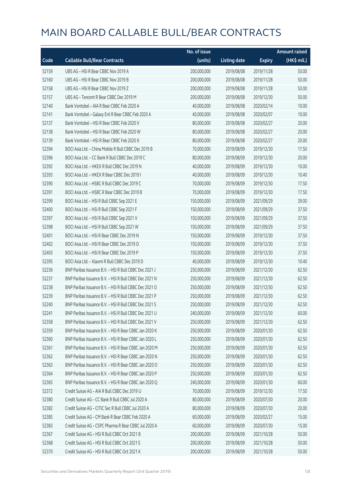|       |                                                        | No. of issue |                     |               | <b>Amount raised</b> |
|-------|--------------------------------------------------------|--------------|---------------------|---------------|----------------------|
| Code  | <b>Callable Bull/Bear Contracts</b>                    | (units)      | <b>Listing date</b> | <b>Expiry</b> | (HK\$ mil.)          |
| 52159 | UBS AG - HSI R Bear CBBC Nov 2019 A                    | 200,000,000  | 2019/08/08          | 2019/11/28    | 50.00                |
| 52160 | UBS AG - HSI R Bear CBBC Nov 2019 B                    | 200,000,000  | 2019/08/08          | 2019/11/28    | 50.00                |
| 52158 | UBS AG - HSI R Bear CBBC Nov 2019 Z                    | 200,000,000  | 2019/08/08          | 2019/11/28    | 50.00                |
| 52157 | UBS AG - Tencent R Bear CBBC Dec 2019 M                | 200,000,000  | 2019/08/08          | 2019/12/30    | 50.00                |
| 52140 | Bank Vontobel - AIA R Bear CBBC Feb 2020 A             | 40,000,000   | 2019/08/08          | 2020/02/14    | 10.00                |
| 52141 | Bank Vontobel - Galaxy Ent R Bear CBBC Feb 2020 A      | 40,000,000   | 2019/08/08          | 2020/02/07    | 10.00                |
| 52137 | Bank Vontobel - HSI R Bear CBBC Feb 2020 V             | 80,000,000   | 2019/08/08          | 2020/02/27    | 20.00                |
| 52138 | Bank Vontobel - HSI R Bear CBBC Feb 2020 W             | 80,000,000   | 2019/08/08          | 2020/02/27    | 20.00                |
| 52139 | Bank Vontobel - HSI R Bear CBBC Feb 2020 X             | 80,000,000   | 2019/08/08          | 2020/02/27    | 20.00                |
| 52394 | BOCI Asia Ltd. - China Mobile R Bull CBBC Dec 2019 B   | 70,000,000   | 2019/08/09          | 2019/12/30    | 17.50                |
| 52396 | BOCI Asia Ltd. - CC Bank R Bull CBBC Dec 2019 C        | 80,000,000   | 2019/08/09          | 2019/12/30    | 20.00                |
| 52392 | BOCI Asia Ltd. - HKEX R Bull CBBC Dec 2019 N           | 40,000,000   | 2019/08/09          | 2019/12/30    | 10.00                |
| 52393 | BOCI Asia Ltd. - HKEX R Bear CBBC Dec 2019 I           | 40,000,000   | 2019/08/09          | 2019/12/30    | 10.40                |
| 52390 | BOCI Asia Ltd. - HSBC R Bull CBBC Dec 2019 C           | 70,000,000   | 2019/08/09          | 2019/12/30    | 17.50                |
| 52391 | BOCI Asia Ltd. - HSBC R Bear CBBC Dec 2019 B           | 70,000,000   | 2019/08/09          | 2019/12/30    | 17.50                |
| 52399 | BOCI Asia Ltd. - HSI R Bull CBBC Sep 2021 E            | 150,000,000  | 2019/08/09          | 2021/09/29    | 39.00                |
| 52400 | BOCI Asia Ltd. - HSI R Bull CBBC Sep 2021 F            | 150,000,000  | 2019/08/09          | 2021/09/29    | 37.50                |
| 52397 | BOCI Asia Ltd. - HSI R Bull CBBC Sep 2021 V            | 150,000,000  | 2019/08/09          | 2021/09/29    | 37.50                |
| 52398 | BOCI Asia Ltd. - HSI R Bull CBBC Sep 2021 W            | 150,000,000  | 2019/08/09          | 2021/09/29    | 37.50                |
| 52401 | BOCI Asia Ltd. - HSI R Bear CBBC Dec 2019 N            | 150,000,000  | 2019/08/09          | 2019/12/30    | 37.50                |
| 52402 | BOCI Asia Ltd. - HSI R Bear CBBC Dec 2019 O            | 150,000,000  | 2019/08/09          | 2019/12/30    | 37.50                |
| 52403 | BOCI Asia Ltd. - HSI R Bear CBBC Dec 2019 P            | 150,000,000  | 2019/08/09          | 2019/12/30    | 37.50                |
| 52395 | BOCI Asia Ltd. - Xiaomi R Bull CBBC Dec 2019 D         | 40,000,000   | 2019/08/09          | 2019/12/30    | 10.40                |
| 52236 | BNP Paribas Issuance B.V. - HSI R Bull CBBC Dec 2021 J | 250,000,000  | 2019/08/09          | 2021/12/30    | 62.50                |
| 52237 | BNP Paribas Issuance B.V. - HSI R Bull CBBC Dec 2021 N | 250,000,000  | 2019/08/09          | 2021/12/30    | 62.50                |
| 52238 | BNP Paribas Issuance B.V. - HSI R Bull CBBC Dec 2021 O | 250,000,000  | 2019/08/09          | 2021/12/30    | 62.50                |
| 52239 | BNP Paribas Issuance B.V. - HSI R Bull CBBC Dec 2021 P | 250,000,000  | 2019/08/09          | 2021/12/30    | 62.50                |
| 52240 | BNP Paribas Issuance B.V. - HSI R Bull CBBC Dec 2021 S | 250,000,000  | 2019/08/09          | 2021/12/30    | 62.50                |
| 52241 | BNP Paribas Issuance B.V. - HSI R Bull CBBC Dec 2021 U | 240,000,000  | 2019/08/09          | 2021/12/30    | 60.00                |
| 52358 | BNP Paribas Issuance B.V. - HSI R Bull CBBC Dec 2021 V | 250,000,000  | 2019/08/09          | 2021/12/30    | 62.50                |
| 52359 | BNP Paribas Issuance B.V. - HSI R Bear CBBC Jan 2020 K | 250,000,000  | 2019/08/09          | 2020/01/30    | 62.50                |
| 52360 | BNP Paribas Issuance B.V. - HSI R Bear CBBC Jan 2020 L | 250,000,000  | 2019/08/09          | 2020/01/30    | 62.50                |
| 52361 | BNP Paribas Issuance B.V. - HSI R Bear CBBC Jan 2020 M | 250,000,000  | 2019/08/09          | 2020/01/30    | 62.50                |
| 52362 | BNP Paribas Issuance B.V. - HSI R Bear CBBC Jan 2020 N | 250,000,000  | 2019/08/09          | 2020/01/30    | 62.50                |
| 52363 | BNP Paribas Issuance B.V. - HSI R Bear CBBC Jan 2020 O | 250,000,000  | 2019/08/09          | 2020/01/30    | 62.50                |
| 52364 | BNP Paribas Issuance B.V. - HSI R Bear CBBC Jan 2020 P | 250,000,000  | 2019/08/09          | 2020/01/30    | 62.50                |
| 52365 | BNP Paribas Issuance B.V. - HSI R Bear CBBC Jan 2020 Q | 240,000,000  | 2019/08/09          | 2020/01/30    | 60.00                |
| 52372 | Credit Suisse AG - AIA R Bull CBBC Dec 2019 U          | 70,000,000   | 2019/08/09          | 2019/12/30    | 17.50                |
| 52380 | Credit Suisse AG - CC Bank R Bull CBBC Jul 2020 A      | 80,000,000   | 2019/08/09          | 2020/07/30    | 20.00                |
| 52382 | Credit Suisse AG - CITIC Sec R Bull CBBC Jul 2020 A    | 80,000,000   | 2019/08/09          | 2020/07/30    | 20.00                |
| 52385 | Credit Suisse AG - CM Bank R Bear CBBC Feb 2020 A      | 60,000,000   | 2019/08/09          | 2020/02/27    | 15.00                |
| 52383 | Credit Suisse AG - CSPC Pharma R Bear CBBC Jul 2020 A  | 60,000,000   | 2019/08/09          | 2020/07/30    | 15.00                |
| 52367 | Credit Suisse AG - HSI R Bull CBBC Oct 2021 B          | 200,000,000  | 2019/08/09          | 2021/10/28    | 50.00                |
| 52368 | Credit Suisse AG - HSI R Bull CBBC Oct 2021 E          | 200,000,000  | 2019/08/09          | 2021/10/28    | 50.00                |
| 52370 | Credit Suisse AG - HSI R Bull CBBC Oct 2021 K          | 200,000,000  | 2019/08/09          | 2021/10/28    | 50.00                |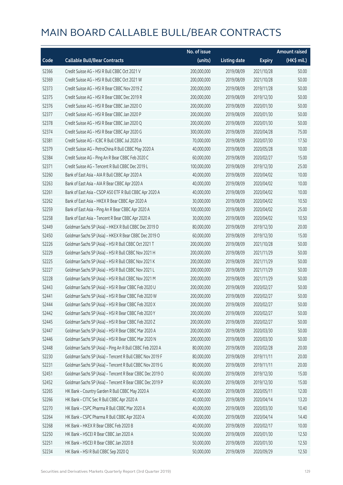|       |                                                          | No. of issue |                     |               | <b>Amount raised</b> |
|-------|----------------------------------------------------------|--------------|---------------------|---------------|----------------------|
| Code  | <b>Callable Bull/Bear Contracts</b>                      | (units)      | <b>Listing date</b> | <b>Expiry</b> | (HK\$ mil.)          |
| 52366 | Credit Suisse AG - HSI R Bull CBBC Oct 2021 V            | 200,000,000  | 2019/08/09          | 2021/10/28    | 50.00                |
| 52369 | Credit Suisse AG - HSI R Bull CBBC Oct 2021 W            | 200,000,000  | 2019/08/09          | 2021/10/28    | 50.00                |
| 52373 | Credit Suisse AG - HSI R Bear CBBC Nov 2019 Z            | 200,000,000  | 2019/08/09          | 2019/11/28    | 50.00                |
| 52375 | Credit Suisse AG - HSI R Bear CBBC Dec 2019 R            | 200,000,000  | 2019/08/09          | 2019/12/30    | 50.00                |
| 52376 | Credit Suisse AG - HSI R Bear CBBC Jan 2020 O            | 200,000,000  | 2019/08/09          | 2020/01/30    | 50.00                |
| 52377 | Credit Suisse AG - HSI R Bear CBBC Jan 2020 P            | 200,000,000  | 2019/08/09          | 2020/01/30    | 50.00                |
| 52378 | Credit Suisse AG - HSI R Bear CBBC Jan 2020 Q            | 200,000,000  | 2019/08/09          | 2020/01/30    | 50.00                |
| 52374 | Credit Suisse AG - HSI R Bear CBBC Apr 2020 G            | 300,000,000  | 2019/08/09          | 2020/04/28    | 75.00                |
| 52381 | Credit Suisse AG - ICBC R Bull CBBC Jul 2020 A           | 70,000,000   | 2019/08/09          | 2020/07/30    | 17.50                |
| 52379 | Credit Suisse AG - PetroChina R Bull CBBC May 2020 A     | 40,000,000   | 2019/08/09          | 2020/05/28    | 10.00                |
| 52384 | Credit Suisse AG - Ping An R Bear CBBC Feb 2020 C        | 60,000,000   | 2019/08/09          | 2020/02/27    | 15.00                |
| 52371 | Credit Suisse AG - Tencent R Bull CBBC Dec 2019 L        | 100,000,000  | 2019/08/09          | 2019/12/30    | 25.00                |
| 52260 | Bank of East Asia - AIA R Bull CBBC Apr 2020 A           | 40,000,000   | 2019/08/09          | 2020/04/02    | 10.00                |
| 52263 | Bank of East Asia - AIA R Bear CBBC Apr 2020 A           | 40,000,000   | 2019/08/09          | 2020/04/02    | 10.00                |
| 52261 | Bank of East Asia - CSOP A50 ETF R Bull CBBC Apr 2020 A  | 40,000,000   | 2019/08/09          | 2020/04/02    | 10.00                |
| 52262 | Bank of East Asia - HKEX R Bear CBBC Apr 2020 A          | 30,000,000   | 2019/08/09          | 2020/04/02    | 10.50                |
| 52259 | Bank of East Asia - Ping An R Bear CBBC Apr 2020 A       | 100,000,000  | 2019/08/09          | 2020/04/02    | 25.00                |
| 52258 | Bank of East Asia - Tencent R Bear CBBC Apr 2020 A       | 30,000,000   | 2019/08/09          | 2020/04/02    | 10.50                |
| 52449 | Goldman Sachs SP (Asia) - HKEX R Bull CBBC Dec 2019 D    | 80,000,000   | 2019/08/09          | 2019/12/30    | 20.00                |
| 52450 | Goldman Sachs SP (Asia) - HKEX R Bear CBBC Dec 2019 O    | 60,000,000   | 2019/08/09          | 2019/12/30    | 15.00                |
| 52226 | Goldman Sachs SP (Asia) - HSI R Bull CBBC Oct 2021 T     | 200,000,000  | 2019/08/09          | 2021/10/28    | 50.00                |
| 52229 | Goldman Sachs SP (Asia) - HSI R Bull CBBC Nov 2021 H     | 200,000,000  | 2019/08/09          | 2021/11/29    | 50.00                |
| 52225 | Goldman Sachs SP (Asia) - HSI R Bull CBBC Nov 2021 K     | 200,000,000  | 2019/08/09          | 2021/11/29    | 50.00                |
| 52227 | Goldman Sachs SP (Asia) - HSI R Bull CBBC Nov 2021 L     | 200,000,000  | 2019/08/09          | 2021/11/29    | 50.00                |
| 52228 | Goldman Sachs SP (Asia) - HSI R Bull CBBC Nov 2021 M     | 200,000,000  | 2019/08/09          | 2021/11/29    | 50.00                |
| 52443 | Goldman Sachs SP (Asia) - HSI R Bear CBBC Feb 2020 U     | 200,000,000  | 2019/08/09          | 2020/02/27    | 50.00                |
| 52441 | Goldman Sachs SP (Asia) - HSI R Bear CBBC Feb 2020 W     | 200,000,000  | 2019/08/09          | 2020/02/27    | 50.00                |
| 52444 | Goldman Sachs SP (Asia) - HSI R Bear CBBC Feb 2020 X     | 200,000,000  | 2019/08/09          | 2020/02/27    | 50.00                |
| 52442 | Goldman Sachs SP (Asia) - HSI R Bear CBBC Feb 2020 Y     | 200,000,000  | 2019/08/09          | 2020/02/27    | 50.00                |
| 52445 | Goldman Sachs SP (Asia) - HSI R Bear CBBC Feb 2020 Z     | 200,000,000  | 2019/08/09          | 2020/02/27    | 50.00                |
| 52447 | Goldman Sachs SP (Asia) - HSI R Bear CBBC Mar 2020 A     | 200,000,000  | 2019/08/09          | 2020/03/30    | 50.00                |
| 52446 | Goldman Sachs SP (Asia) - HSI R Bear CBBC Mar 2020 N     | 200,000,000  | 2019/08/09          | 2020/03/30    | 50.00                |
| 52448 | Goldman Sachs SP (Asia) - Ping An R Bull CBBC Feb 2020 A | 80,000,000   | 2019/08/09          | 2020/02/28    | 20.00                |
| 52230 | Goldman Sachs SP (Asia) - Tencent R Bull CBBC Nov 2019 F | 80,000,000   | 2019/08/09          | 2019/11/11    | 20.00                |
| 52231 | Goldman Sachs SP (Asia) - Tencent R Bull CBBC Nov 2019 G | 80,000,000   | 2019/08/09          | 2019/11/11    | 20.00                |
| 52451 | Goldman Sachs SP (Asia) - Tencent R Bear CBBC Dec 2019 O | 60,000,000   | 2019/08/09          | 2019/12/30    | 15.00                |
| 52452 | Goldman Sachs SP (Asia) - Tencent R Bear CBBC Dec 2019 P | 60,000,000   | 2019/08/09          | 2019/12/30    | 15.00                |
| 52265 | HK Bank - Country Garden R Bull CBBC May 2020 A          | 40,000,000   | 2019/08/09          | 2020/05/11    | 12.00                |
| 52266 | HK Bank - CITIC Sec R Bull CBBC Apr 2020 A               | 40,000,000   | 2019/08/09          | 2020/04/14    | 13.20                |
| 52270 | HK Bank - CSPC Pharma R Bull CBBC Mar 2020 A             | 40,000,000   | 2019/08/09          | 2020/03/30    | 10.40                |
| 52264 | HK Bank - CSPC Pharma R Bull CBBC Apr 2020 A             | 40,000,000   | 2019/08/09          | 2020/04/14    | 14.40                |
| 52268 | HK Bank - HKEX R Bear CBBC Feb 2020 B                    | 40,000,000   | 2019/08/09          | 2020/02/17    | 10.00                |
| 52250 | HK Bank - HSCEI R Bear CBBC Jan 2020 A                   | 50,000,000   | 2019/08/09          | 2020/01/30    | 12.50                |
| 52251 | HK Bank - HSCEI R Bear CBBC Jan 2020 B                   | 50,000,000   | 2019/08/09          | 2020/01/30    | 12.50                |
| 52234 | HK Bank - HSI R Bull CBBC Sep 2020 Q                     | 50,000,000   | 2019/08/09          | 2020/09/29    | 12.50                |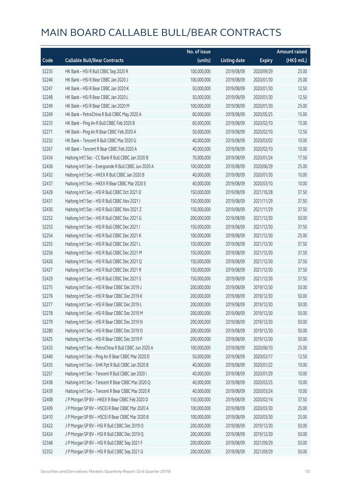|       |                                                       | No. of issue |                     |               | <b>Amount raised</b> |
|-------|-------------------------------------------------------|--------------|---------------------|---------------|----------------------|
| Code  | <b>Callable Bull/Bear Contracts</b>                   | (units)      | <b>Listing date</b> | <b>Expiry</b> | (HK\$ mil.)          |
| 52235 | HK Bank - HSI R Bull CBBC Sep 2020 R                  | 100,000,000  | 2019/08/09          | 2020/09/29    | 25.00                |
| 52246 | HK Bank - HSI R Bear CBBC Jan 2020 J                  | 100,000,000  | 2019/08/09          | 2020/01/30    | 25.00                |
| 52247 | HK Bank - HSI R Bear CBBC Jan 2020 K                  | 50,000,000   | 2019/08/09          | 2020/01/30    | 12.50                |
| 52248 | HK Bank - HSI R Bear CBBC Jan 2020 L                  | 50,000,000   | 2019/08/09          | 2020/01/30    | 12.50                |
| 52249 | HK Bank - HSI R Bear CBBC Jan 2020 M                  | 100,000,000  | 2019/08/09          | 2020/01/30    | 25.00                |
| 52269 | HK Bank - PetroChina R Bull CBBC May 2020 A           | 60,000,000   | 2019/08/09          | 2020/05/25    | 15.00                |
| 52233 | HK Bank - Ping An R Bull CBBC Feb 2020 B              | 60,000,000   | 2019/08/09          | 2020/02/10    | 15.00                |
| 52271 | HK Bank - Ping An R Bear CBBC Feb 2020 A              | 50,000,000   | 2019/08/09          | 2020/02/10    | 12.50                |
| 52232 | HK Bank - Tencent R Bull CBBC Mar 2020 G              | 40,000,000   | 2019/08/09          | 2020/03/02    | 10.00                |
| 52267 | HK Bank - Tencent R Bear CBBC Feb 2020 A              | 40,000,000   | 2019/08/09          | 2020/02/10    | 10.00                |
| 52434 | Haitong Int'l Sec - CC Bank R Bull CBBC Jan 2020 B    | 70,000,000   | 2019/08/09          | 2020/01/24    | 17.50                |
| 52436 | Haitong Int'l Sec - Evergrande R Bull CBBC Jun 2020 A | 100,000,000  | 2019/08/09          | 2020/06/29    | 25.00                |
| 52432 | Haitong Int'l Sec - HKEX R Bull CBBC Jan 2020 B       | 40,000,000   | 2019/08/09          | 2020/01/30    | 10.00                |
| 52437 | Haitong Int'l Sec - HKEX R Bear CBBC Mar 2020 E       | 40,000,000   | 2019/08/09          | 2020/03/10    | 10.00                |
| 52428 | Haitong Int'l Sec - HSI R Bull CBBC Oct 2021 D        | 150,000,000  | 2019/08/09          | 2021/10/28    | 37.50                |
| 52431 | Haitong Int'l Sec - HSI R Bull CBBC Nov 2021 I        | 150,000,000  | 2019/08/09          | 2021/11/29    | 37.50                |
| 52430 | Haitong Int'l Sec - HSI R Bull CBBC Nov 2021 Z        | 150,000,000  | 2019/08/09          | 2021/11/29    | 37.50                |
| 52252 | Haitong Int'l Sec - HSI R Bull CBBC Dec 2021 G        | 200,000,000  | 2019/08/09          | 2021/12/30    | 50.00                |
| 52253 | Haitong Int'l Sec - HSI R Bull CBBC Dec 2021 I        | 150,000,000  | 2019/08/09          | 2021/12/30    | 37.50                |
| 52254 | Haitong Int'l Sec - HSI R Bull CBBC Dec 2021 K        | 100,000,000  | 2019/08/09          | 2021/12/30    | 25.00                |
| 52255 | Haitong Int'l Sec - HSI R Bull CBBC Dec 2021 L        | 150,000,000  | 2019/08/09          | 2021/12/30    | 37.50                |
| 52256 | Haitong Int'l Sec - HSI R Bull CBBC Dec 2021 M        | 150,000,000  | 2019/08/09          | 2021/12/30    | 37.50                |
| 52426 | Haitong Int'l Sec - HSI R Bull CBBC Dec 2021 Q        | 150,000,000  | 2019/08/09          | 2021/12/30    | 37.50                |
| 52427 | Haitong Int'l Sec - HSI R Bull CBBC Dec 2021 R        | 150,000,000  | 2019/08/09          | 2021/12/30    | 37.50                |
| 52429 | Haitong Int'l Sec - HSI R Bull CBBC Dec 2021 S        | 150,000,000  | 2019/08/09          | 2021/12/30    | 37.50                |
| 52275 | Haitong Int'l Sec - HSI R Bear CBBC Dec 2019 J        | 200,000,000  | 2019/08/09          | 2019/12/30    | 50.00                |
| 52276 | Haitong Int'l Sec - HSI R Bear CBBC Dec 2019 K        | 200,000,000  | 2019/08/09          | 2019/12/30    | 50.00                |
| 52277 | Haitong Int'l Sec - HSI R Bear CBBC Dec 2019 L        | 200,000,000  | 2019/08/09          | 2019/12/30    | 50.00                |
| 52278 | Haitong Int'l Sec - HSI R Bear CBBC Dec 2019 M        | 200,000,000  | 2019/08/09          | 2019/12/30    | 50.00                |
| 52279 | Haitong Int'l Sec - HSI R Bear CBBC Dec 2019 N        | 200,000,000  | 2019/08/09          | 2019/12/30    | 50.00                |
| 52280 | Haitong Int'l Sec - HSI R Bear CBBC Dec 2019 O        | 200,000,000  | 2019/08/09          | 2019/12/30    | 50.00                |
| 52425 | Haitong Int'l Sec - HSI R Bear CBBC Dec 2019 P        | 200,000,000  | 2019/08/09          | 2019/12/30    | 50.00                |
| 52433 | Haitong Int'l Sec - PetroChina R Bull CBBC Jun 2020 A | 100,000,000  | 2019/08/09          | 2020/06/10    | 25.00                |
| 52440 | Haitong Int'l Sec - Ping An R Bear CBBC Mar 2020 D    | 50,000,000   | 2019/08/09          | 2020/03/17    | 12.50                |
| 52435 | Haitong Int'l Sec - SHK Ppt R Bull CBBC Jan 2020 B    | 40,000,000   | 2019/08/09          | 2020/01/22    | 10.00                |
| 52257 | Haitong Int'l Sec - Tencent R Bull CBBC Jan 2020 I    | 40,000,000   | 2019/08/09          | 2020/01/29    | 10.00                |
| 52438 | Haitong Int'l Sec - Tencent R Bear CBBC Mar 2020 Q    | 40,000,000   | 2019/08/09          | 2020/03/25    | 10.00                |
| 52439 | Haitong Int'l Sec - Tencent R Bear CBBC Mar 2020 R    | 40,000,000   | 2019/08/09          | 2020/03/24    | 10.00                |
| 52408 | J P Morgan SP BV - HKEX R Bear CBBC Feb 2020 D        | 150,000,000  | 2019/08/09          | 2020/02/14    | 37.50                |
| 52409 | J P Morgan SP BV - HSCEI R Bear CBBC Mar 2020 A       | 100,000,000  | 2019/08/09          | 2020/03/30    | 25.00                |
| 52410 | J P Morgan SP BV - HSCEI R Bear CBBC Mar 2020 B       | 100,000,000  | 2019/08/09          | 2020/03/30    | 25.00                |
| 52422 | J P Morgan SP BV - HSI R Bull CBBC Dec 2019 O         | 200,000,000  | 2019/08/09          | 2019/12/30    | 50.00                |
| 52424 | J P Morgan SP BV - HSI R Bull CBBC Dec 2019 Q         | 200,000,000  | 2019/08/09          | 2019/12/30    | 50.00                |
| 52348 | J P Morgan SP BV - HSI R Bull CBBC Sep 2021 F         | 200,000,000  | 2019/08/09          | 2021/09/29    | 50.00                |
| 52352 | J P Morgan SP BV - HSI R Bull CBBC Sep 2021 G         | 200,000,000  | 2019/08/09          | 2021/09/29    | 50.00                |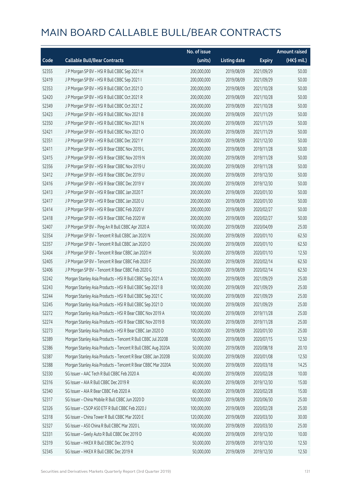|       |                                                              | No. of issue |                     |               | <b>Amount raised</b> |
|-------|--------------------------------------------------------------|--------------|---------------------|---------------|----------------------|
| Code  | <b>Callable Bull/Bear Contracts</b>                          | (units)      | <b>Listing date</b> | <b>Expiry</b> | (HK\$ mil.)          |
| 52355 | J P Morgan SP BV - HSI R Bull CBBC Sep 2021 H                | 200,000,000  | 2019/08/09          | 2021/09/29    | 50.00                |
| 52419 | J P Morgan SP BV - HSI R Bull CBBC Sep 2021 I                | 200,000,000  | 2019/08/09          | 2021/09/29    | 50.00                |
| 52353 | J P Morgan SP BV - HSI R Bull CBBC Oct 2021 D                | 200,000,000  | 2019/08/09          | 2021/10/28    | 50.00                |
| 52420 | J P Morgan SP BV - HSI R Bull CBBC Oct 2021 R                | 200,000,000  | 2019/08/09          | 2021/10/28    | 50.00                |
| 52349 | JP Morgan SP BV - HSIR Bull CBBC Oct 2021 Z                  | 200,000,000  | 2019/08/09          | 2021/10/28    | 50.00                |
| 52423 | J P Morgan SP BV - HSI R Bull CBBC Nov 2021 B                | 200,000,000  | 2019/08/09          | 2021/11/29    | 50.00                |
| 52350 | J P Morgan SP BV - HSI R Bull CBBC Nov 2021 N                | 200,000,000  | 2019/08/09          | 2021/11/29    | 50.00                |
| 52421 | J P Morgan SP BV - HSI R Bull CBBC Nov 2021 O                | 200,000,000  | 2019/08/09          | 2021/11/29    | 50.00                |
| 52351 | J P Morgan SP BV - HSI R Bull CBBC Dec 2021 Y                | 200,000,000  | 2019/08/09          | 2021/12/30    | 50.00                |
| 52411 | J P Morgan SP BV - HSI R Bear CBBC Nov 2019 L                | 200,000,000  | 2019/08/09          | 2019/11/28    | 50.00                |
| 52415 | J P Morgan SP BV - HSI R Bear CBBC Nov 2019 N                | 200,000,000  | 2019/08/09          | 2019/11/28    | 50.00                |
| 52356 | J P Morgan SP BV - HSI R Bear CBBC Nov 2019 U                | 200,000,000  | 2019/08/09          | 2019/11/28    | 50.00                |
| 52412 | J P Morgan SP BV - HSI R Bear CBBC Dec 2019 U                | 200,000,000  | 2019/08/09          | 2019/12/30    | 50.00                |
| 52416 | J P Morgan SP BV - HSI R Bear CBBC Dec 2019 V                | 200,000,000  | 2019/08/09          | 2019/12/30    | 50.00                |
| 52413 | J P Morgan SP BV - HSI R Bear CBBC Jan 2020 T                | 200,000,000  | 2019/08/09          | 2020/01/30    | 50.00                |
| 52417 | J P Morgan SP BV - HSI R Bear CBBC Jan 2020 U                | 200,000,000  | 2019/08/09          | 2020/01/30    | 50.00                |
| 52414 | J P Morgan SP BV - HSI R Bear CBBC Feb 2020 V                | 200,000,000  | 2019/08/09          | 2020/02/27    | 50.00                |
| 52418 | J P Morgan SP BV - HSI R Bear CBBC Feb 2020 W                | 200,000,000  | 2019/08/09          | 2020/02/27    | 50.00                |
| 52407 | J P Morgan SP BV - Ping An R Bull CBBC Apr 2020 A            | 100,000,000  | 2019/08/09          | 2020/04/09    | 25.00                |
| 52354 | J P Morgan SP BV - Tencent R Bull CBBC Jan 2020 N            | 250,000,000  | 2019/08/09          | 2020/01/10    | 62.50                |
| 52357 | J P Morgan SP BV - Tencent R Bull CBBC Jan 2020 O            | 250,000,000  | 2019/08/09          | 2020/01/10    | 62.50                |
| 52404 | J P Morgan SP BV - Tencent R Bear CBBC Jan 2020 H            | 50,000,000   | 2019/08/09          | 2020/01/10    | 12.50                |
| 52405 | J P Morgan SP BV - Tencent R Bear CBBC Feb 2020 F            | 250,000,000  | 2019/08/09          | 2020/02/14    | 62.50                |
| 52406 | J P Morgan SP BV - Tencent R Bear CBBC Feb 2020 G            | 250,000,000  | 2019/08/09          | 2020/02/14    | 62.50                |
| 52242 | Morgan Stanley Asia Products - HSI R Bull CBBC Sep 2021 A    | 100,000,000  | 2019/08/09          | 2021/09/29    | 25.00                |
| 52243 | Morgan Stanley Asia Products - HSI R Bull CBBC Sep 2021 B    | 100,000,000  | 2019/08/09          | 2021/09/29    | 25.00                |
| 52244 | Morgan Stanley Asia Products - HSI R Bull CBBC Sep 2021 C    | 100,000,000  | 2019/08/09          | 2021/09/29    | 25.00                |
| 52245 | Morgan Stanley Asia Products - HSI R Bull CBBC Sep 2021 D    | 100,000,000  | 2019/08/09          | 2021/09/29    | 25.00                |
| 52272 | Morgan Stanley Asia Products - HSI R Bear CBBC Nov 2019 A    | 100,000,000  | 2019/08/09          | 2019/11/28    | 25.00                |
| 52274 | Morgan Stanley Asia Products - HSI R Bear CBBC Nov 2019 B    | 100,000,000  | 2019/08/09          | 2019/11/28    | 25.00                |
| 52273 | Morgan Stanley Asia Products - HSI R Bear CBBC Jan 2020 D    | 100,000,000  | 2019/08/09          | 2020/01/30    | 25.00                |
| 52389 | Morgan Stanley Asia Products - Tencent R Bull CBBC Jul 2020B | 50,000,000   | 2019/08/09          | 2020/07/15    | 12.50                |
| 52386 | Morgan Stanley Asia Products - Tencent R Bull CBBC Aug 2020A | 50,000,000   | 2019/08/09          | 2020/08/18    | 20.10                |
| 52387 | Morgan Stanley Asia Products - Tencent R Bear CBBC Jan 2020B | 50,000,000   | 2019/08/09          | 2020/01/08    | 12.50                |
| 52388 | Morgan Stanley Asia Products - Tencent R Bear CBBC Mar 2020A | 50,000,000   | 2019/08/09          | 2020/03/18    | 14.25                |
| 52330 | SG Issuer - AAC Tech R Bull CBBC Feb 2020 A                  | 40,000,000   | 2019/08/09          | 2020/02/28    | 10.00                |
| 52316 | SG Issuer - AIA R Bull CBBC Dec 2019 R                       | 60,000,000   | 2019/08/09          | 2019/12/30    | 15.00                |
| 52340 | SG Issuer - AIA R Bear CBBC Feb 2020 A                       | 60,000,000   | 2019/08/09          | 2020/02/28    | 15.00                |
| 52317 | SG Issuer - China Mobile R Bull CBBC Jun 2020 D              | 100,000,000  | 2019/08/09          | 2020/06/30    | 25.00                |
| 52326 | SG Issuer - CSOP A50 ETF R Bull CBBC Feb 2020 J              | 100,000,000  | 2019/08/09          | 2020/02/28    | 25.00                |
| 52318 | SG Issuer - China Tower R Bull CBBC Mar 2020 E               | 120,000,000  | 2019/08/09          | 2020/03/30    | 30.00                |
| 52327 | SG Issuer - A50 China R Bull CBBC Mar 2020 L                 | 100,000,000  | 2019/08/09          | 2020/03/30    | 25.00                |
| 52331 | SG Issuer - Geely Auto R Bull CBBC Dec 2019 D                | 40,000,000   | 2019/08/09          | 2019/12/30    | 10.00                |
| 52319 | SG Issuer - HKEX R Bull CBBC Dec 2019 Q                      | 50,000,000   | 2019/08/09          | 2019/12/30    | 12.50                |
| 52345 | SG Issuer - HKEX R Bull CBBC Dec 2019 R                      | 50,000,000   | 2019/08/09          | 2019/12/30    | 12.50                |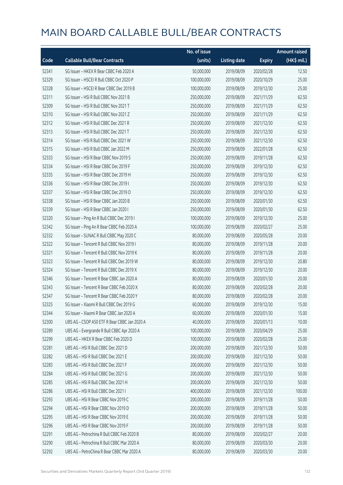|       |                                              | No. of issue |                     |               | <b>Amount raised</b> |
|-------|----------------------------------------------|--------------|---------------------|---------------|----------------------|
| Code  | <b>Callable Bull/Bear Contracts</b>          | (units)      | <b>Listing date</b> | <b>Expiry</b> | (HK\$ mil.)          |
| 52341 | SG Issuer - HKEX R Bear CBBC Feb 2020 A      | 50,000,000   | 2019/08/09          | 2020/02/28    | 12.50                |
| 52329 | SG Issuer - HSCEI R Bull CBBC Oct 2020 P     | 100,000,000  | 2019/08/09          | 2020/10/29    | 25.00                |
| 52328 | SG Issuer - HSCEI R Bear CBBC Dec 2019 B     | 100,000,000  | 2019/08/09          | 2019/12/30    | 25.00                |
| 52311 | SG Issuer - HSI R Bull CBBC Nov 2021 B       | 250,000,000  | 2019/08/09          | 2021/11/29    | 62.50                |
| 52309 | SG Issuer - HSI R Bull CBBC Nov 2021 T       | 250,000,000  | 2019/08/09          | 2021/11/29    | 62.50                |
| 52310 | SG Issuer - HSI R Bull CBBC Nov 2021 Z       | 250,000,000  | 2019/08/09          | 2021/11/29    | 62.50                |
| 52312 | SG Issuer - HSI R Bull CBBC Dec 2021 R       | 250,000,000  | 2019/08/09          | 2021/12/30    | 62.50                |
| 52313 | SG Issuer - HSI R Bull CBBC Dec 2021 T       | 250,000,000  | 2019/08/09          | 2021/12/30    | 62.50                |
| 52314 | SG Issuer - HSI R Bull CBBC Dec 2021 W       | 250,000,000  | 2019/08/09          | 2021/12/30    | 62.50                |
| 52315 | SG Issuer - HSI R Bull CBBC Jan 2022 M       | 250,000,000  | 2019/08/09          | 2022/01/28    | 62.50                |
| 52333 | SG Issuer - HSI R Bear CBBC Nov 2019 S       | 250,000,000  | 2019/08/09          | 2019/11/28    | 62.50                |
| 52334 | SG Issuer - HSI R Bear CBBC Dec 2019 F       | 250,000,000  | 2019/08/09          | 2019/12/30    | 62.50                |
| 52335 | SG Issuer - HSI R Bear CBBC Dec 2019 H       | 250,000,000  | 2019/08/09          | 2019/12/30    | 62.50                |
| 52336 | SG Issuer - HSI R Bear CBBC Dec 2019 I       | 250,000,000  | 2019/08/09          | 2019/12/30    | 62.50                |
| 52337 | SG Issuer - HSI R Bear CBBC Dec 2019 O       | 250,000,000  | 2019/08/09          | 2019/12/30    | 62.50                |
| 52338 | SG Issuer - HSI R Bear CBBC Jan 2020 B       | 250,000,000  | 2019/08/09          | 2020/01/30    | 62.50                |
| 52339 | SG Issuer - HSI R Bear CBBC Jan 2020 I       | 250,000,000  | 2019/08/09          | 2020/01/30    | 62.50                |
| 52320 | SG Issuer - Ping An R Bull CBBC Dec 2019 I   | 100,000,000  | 2019/08/09          | 2019/12/30    | 25.00                |
| 52342 | SG Issuer - Ping An R Bear CBBC Feb 2020 A   | 100,000,000  | 2019/08/09          | 2020/02/27    | 25.00                |
| 52332 | SG Issuer - SUNAC R Bull CBBC May 2020 C     | 80,000,000   | 2019/08/09          | 2020/05/28    | 20.00                |
| 52322 | SG Issuer - Tencent R Bull CBBC Nov 2019 I   | 80,000,000   | 2019/08/09          | 2019/11/28    | 20.00                |
| 52321 | SG Issuer - Tencent R Bull CBBC Nov 2019 K   | 80,000,000   | 2019/08/09          | 2019/11/28    | 20.00                |
| 52323 | SG Issuer - Tencent R Bull CBBC Dec 2019 W   | 80,000,000   | 2019/08/09          | 2019/12/30    | 20.80                |
| 52324 | SG Issuer - Tencent R Bull CBBC Dec 2019 X   | 80,000,000   | 2019/08/09          | 2019/12/30    | 20.00                |
| 52346 | SG Issuer - Tencent R Bear CBBC Jan 2020 A   | 80,000,000   | 2019/08/09          | 2020/01/30    | 20.00                |
| 52343 | SG Issuer - Tencent R Bear CBBC Feb 2020 X   | 80,000,000   | 2019/08/09          | 2020/02/28    | 20.00                |
| 52347 | SG Issuer - Tencent R Bear CBBC Feb 2020 Y   | 80,000,000   | 2019/08/09          | 2020/02/28    | 20.00                |
| 52325 | SG Issuer - Xiaomi R Bull CBBC Dec 2019 G    | 60,000,000   | 2019/08/09          | 2019/12/30    | 15.00                |
| 52344 | SG Issuer - Xiaomi R Bear CBBC Jan 2020 A    | 60,000,000   | 2019/08/09          | 2020/01/30    | 15.00                |
| 52300 | UBS AG - CSOP A50 ETF R Bear CBBC Jan 2020 A | 40,000,000   | 2019/08/09          | 2020/01/13    | 10.00                |
| 52289 | UBS AG - Evergrande R Bull CBBC Apr 2020 A   | 100,000,000  | 2019/08/09          | 2020/04/29    | 25.00                |
| 52299 | UBS AG - HKEX R Bear CBBC Feb 2020 D         | 100,000,000  | 2019/08/09          | 2020/02/28    | 25.00                |
| 52281 | UBS AG - HSI R Bull CBBC Dec 2021 D          | 200,000,000  | 2019/08/09          | 2021/12/30    | 50.00                |
| 52282 | UBS AG - HSI R Bull CBBC Dec 2021 E          | 200,000,000  | 2019/08/09          | 2021/12/30    | 50.00                |
| 52283 | UBS AG - HSI R Bull CBBC Dec 2021 F          | 200,000,000  | 2019/08/09          | 2021/12/30    | 50.00                |
| 52284 | UBS AG - HSI R Bull CBBC Dec 2021 G          | 200,000,000  | 2019/08/09          | 2021/12/30    | 50.00                |
| 52285 | UBS AG - HSI R Bull CBBC Dec 2021 H          | 200,000,000  | 2019/08/09          | 2021/12/30    | 50.00                |
| 52286 | UBS AG - HSI R Bull CBBC Dec 2021 I          | 400,000,000  | 2019/08/09          | 2021/12/30    | 100.00               |
| 52293 | UBS AG - HSI R Bear CBBC Nov 2019 C          | 200,000,000  | 2019/08/09          | 2019/11/28    | 50.00                |
| 52294 | UBS AG - HSI R Bear CBBC Nov 2019 D          | 200,000,000  | 2019/08/09          | 2019/11/28    | 50.00                |
| 52295 | UBS AG - HSI R Bear CBBC Nov 2019 E          | 200,000,000  | 2019/08/09          | 2019/11/28    | 50.00                |
| 52296 | UBS AG - HSI R Bear CBBC Nov 2019 F          | 200,000,000  | 2019/08/09          | 2019/11/28    | 50.00                |
| 52291 | UBS AG - Petrochina R Bull CBBC Feb 2020 B   | 80,000,000   | 2019/08/09          | 2020/02/27    | 20.00                |
| 52290 | UBS AG - Petrochina R Bull CBBC Mar 2020 A   | 80,000,000   | 2019/08/09          | 2020/03/30    | 20.00                |
| 52292 | UBS AG - PetroChina R Bear CBBC Mar 2020 A   | 80,000,000   | 2019/08/09          | 2020/03/30    | 20.00                |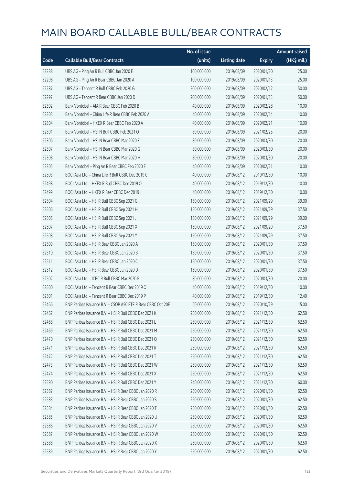|       |                                                              | No. of issue |                     |               | <b>Amount raised</b> |
|-------|--------------------------------------------------------------|--------------|---------------------|---------------|----------------------|
| Code  | <b>Callable Bull/Bear Contracts</b>                          | (units)      | <b>Listing date</b> | <b>Expiry</b> | (HK\$ mil.)          |
| 52288 | UBS AG - Ping An R Bull CBBC Jan 2020 E                      | 100,000,000  | 2019/08/09          | 2020/01/20    | 25.00                |
| 52298 | UBS AG - Ping An R Bear CBBC Jan 2020 A                      | 100,000,000  | 2019/08/09          | 2020/01/13    | 25.00                |
| 52287 | UBS AG - Tencent R Bull CBBC Feb 2020 G                      | 200,000,000  | 2019/08/09          | 2020/02/12    | 50.00                |
| 52297 | UBS AG - Tencent R Bear CBBC Jan 2020 D                      | 200,000,000  | 2019/08/09          | 2020/01/13    | 50.00                |
| 52302 | Bank Vontobel - AIA R Bear CBBC Feb 2020 B                   | 40,000,000   | 2019/08/09          | 2020/02/28    | 10.00                |
| 52303 | Bank Vontobel - China Life R Bear CBBC Feb 2020 A            | 40,000,000   | 2019/08/09          | 2020/02/14    | 10.00                |
| 52304 | Bank Vontobel - HKEX R Bear CBBC Feb 2020 A                  | 40,000,000   | 2019/08/09          | 2020/02/21    | 10.00                |
| 52301 | Bank Vontobel - HSI N Bull CBBC Feb 2021 O                   | 80,000,000   | 2019/08/09          | 2021/02/25    | 20.00                |
| 52306 | Bank Vontobel - HSI N Bear CBBC Mar 2020 F                   | 80,000,000   | 2019/08/09          | 2020/03/30    | 20.00                |
| 52307 | Bank Vontobel - HSI N Bear CBBC Mar 2020 G                   | 80,000,000   | 2019/08/09          | 2020/03/30    | 20.00                |
| 52308 | Bank Vontobel - HSI N Bear CBBC Mar 2020 H                   | 80,000,000   | 2019/08/09          | 2020/03/30    | 20.00                |
| 52305 | Bank Vontobel - Ping An R Bear CBBC Feb 2020 E               | 40,000,000   | 2019/08/09          | 2020/02/21    | 10.00                |
| 52503 | BOCI Asia Ltd. - China Life R Bull CBBC Dec 2019 C           | 40,000,000   | 2019/08/12          | 2019/12/30    | 10.00                |
| 52498 | BOCI Asia Ltd. - HKEX R Bull CBBC Dec 2019 O                 | 40,000,000   | 2019/08/12          | 2019/12/30    | 10.00                |
| 52499 | BOCI Asia Ltd. - HKEX R Bear CBBC Dec 2019 J                 | 40,000,000   | 2019/08/12          | 2019/12/30    | 10.00                |
| 52504 | BOCI Asia Ltd. - HSI R Bull CBBC Sep 2021 G                  | 150,000,000  | 2019/08/12          | 2021/09/29    | 39.00                |
| 52506 | BOCI Asia Ltd. - HSI R Bull CBBC Sep 2021 H                  | 150,000,000  | 2019/08/12          | 2021/09/29    | 37.50                |
| 52505 | BOCI Asia Ltd. - HSI R Bull CBBC Sep 2021 J                  | 150,000,000  | 2019/08/12          | 2021/09/29    | 39.00                |
| 52507 | BOCI Asia Ltd. - HSI R Bull CBBC Sep 2021 X                  | 150,000,000  | 2019/08/12          | 2021/09/29    | 37.50                |
| 52508 | BOCI Asia Ltd. - HSI R Bull CBBC Sep 2021 Y                  | 150,000,000  | 2019/08/12          | 2021/09/29    | 37.50                |
| 52509 | BOCI Asia Ltd. - HSI R Bear CBBC Jan 2020 A                  | 150,000,000  | 2019/08/12          | 2020/01/30    | 37.50                |
| 52510 | BOCI Asia Ltd. - HSI R Bear CBBC Jan 2020 B                  | 150,000,000  | 2019/08/12          | 2020/01/30    | 37.50                |
| 52511 | BOCI Asia Ltd. - HSI R Bear CBBC Jan 2020 C                  | 150,000,000  | 2019/08/12          | 2020/01/30    | 37.50                |
| 52512 | BOCI Asia Ltd. - HSI R Bear CBBC Jan 2020 D                  | 150,000,000  | 2019/08/12          | 2020/01/30    | 37.50                |
| 52502 | BOCI Asia Ltd. - ICBC R Bull CBBC Mar 2020 B                 | 80,000,000   | 2019/08/12          | 2020/03/30    | 20.00                |
| 52500 | BOCI Asia Ltd. - Tencent R Bear CBBC Dec 2019 O              | 40,000,000   | 2019/08/12          | 2019/12/30    | 10.00                |
| 52501 | BOCI Asia Ltd. - Tencent R Bear CBBC Dec 2019 P              | 40,000,000   | 2019/08/12          | 2019/12/30    | 12.40                |
| 52466 | BNP Paribas Issuance B.V. - CSOP A50 ETF R Bear CBBC Oct 20E | 60,000,000   | 2019/08/12          | 2020/10/29    | 15.00                |
| 52467 | BNP Paribas Issuance B.V. - HSI R Bull CBBC Dec 2021 K       | 250,000,000  | 2019/08/12          | 2021/12/30    | 62.50                |
| 52468 | BNP Paribas Issuance B.V. - HSI R Bull CBBC Dec 2021 L       | 250,000,000  | 2019/08/12          | 2021/12/30    | 62.50                |
| 52469 | BNP Paribas Issuance B.V. - HSI R Bull CBBC Dec 2021 M       | 250,000,000  | 2019/08/12          | 2021/12/30    | 62.50                |
| 52470 | BNP Paribas Issuance B.V. - HSI R Bull CBBC Dec 2021 Q       | 250,000,000  | 2019/08/12          | 2021/12/30    | 62.50                |
| 52471 | BNP Paribas Issuance B.V. - HSI R Bull CBBC Dec 2021 R       | 250,000,000  | 2019/08/12          | 2021/12/30    | 62.50                |
| 52472 | BNP Paribas Issuance B.V. - HSI R Bull CBBC Dec 2021 T       | 250,000,000  | 2019/08/12          | 2021/12/30    | 62.50                |
| 52473 | BNP Paribas Issuance B.V. - HSI R Bull CBBC Dec 2021 W       | 250,000,000  | 2019/08/12          | 2021/12/30    | 62.50                |
| 52474 | BNP Paribas Issuance B.V. - HSI R Bull CBBC Dec 2021 X       | 250,000,000  | 2019/08/12          | 2021/12/30    | 62.50                |
| 52590 | BNP Paribas Issuance B.V. - HSI R Bull CBBC Dec 2021 Y       | 240,000,000  | 2019/08/12          | 2021/12/30    | 60.00                |
| 52582 | BNP Paribas Issuance B.V. - HSI R Bear CBBC Jan 2020 R       | 250,000,000  | 2019/08/12          | 2020/01/30    | 62.50                |
| 52583 | BNP Paribas Issuance B.V. - HSI R Bear CBBC Jan 2020 S       | 250,000,000  | 2019/08/12          | 2020/01/30    | 62.50                |
| 52584 | BNP Paribas Issuance B.V. - HSI R Bear CBBC Jan 2020 T       | 250,000,000  | 2019/08/12          | 2020/01/30    | 62.50                |
| 52585 | BNP Paribas Issuance B.V. - HSI R Bear CBBC Jan 2020 U       | 250,000,000  | 2019/08/12          | 2020/01/30    | 62.50                |
| 52586 | BNP Paribas Issuance B.V. - HSI R Bear CBBC Jan 2020 V       | 250,000,000  | 2019/08/12          | 2020/01/30    | 62.50                |
| 52587 | BNP Paribas Issuance B.V. - HSI R Bear CBBC Jan 2020 W       | 250,000,000  | 2019/08/12          | 2020/01/30    | 62.50                |
| 52588 | BNP Paribas Issuance B.V. - HSI R Bear CBBC Jan 2020 X       | 250,000,000  | 2019/08/12          | 2020/01/30    | 62.50                |
| 52589 | BNP Paribas Issuance B.V. - HSI R Bear CBBC Jan 2020 Y       | 250,000,000  | 2019/08/12          | 2020/01/30    | 62.50                |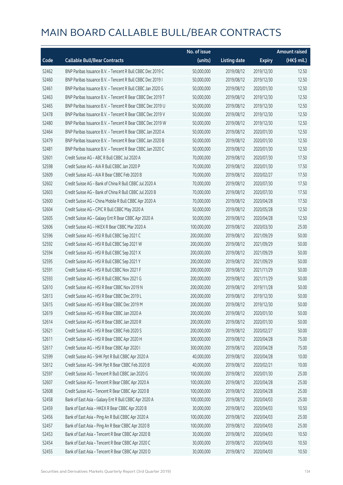|       |                                                            | No. of issue |                     |               | <b>Amount raised</b> |
|-------|------------------------------------------------------------|--------------|---------------------|---------------|----------------------|
| Code  | <b>Callable Bull/Bear Contracts</b>                        | (units)      | <b>Listing date</b> | <b>Expiry</b> | $(HK$$ mil.)         |
| 52462 | BNP Paribas Issuance B.V. - Tencent R Bull CBBC Dec 2019 C | 50,000,000   | 2019/08/12          | 2019/12/30    | 12.50                |
| 52460 | BNP Paribas Issuance B.V. - Tencent R Bull CBBC Dec 2019 I | 50,000,000   | 2019/08/12          | 2019/12/30    | 12.50                |
| 52461 | BNP Paribas Issuance B.V. - Tencent R Bull CBBC Jan 2020 G | 50,000,000   | 2019/08/12          | 2020/01/30    | 12.50                |
| 52463 | BNP Paribas Issuance B.V. - Tencent R Bear CBBC Dec 2019 T | 50,000,000   | 2019/08/12          | 2019/12/30    | 12.50                |
| 52465 | BNP Paribas Issuance B.V. - Tencent R Bear CBBC Dec 2019 U | 50,000,000   | 2019/08/12          | 2019/12/30    | 12.50                |
| 52478 | BNP Paribas Issuance B.V. - Tencent R Bear CBBC Dec 2019 V | 50,000,000   | 2019/08/12          | 2019/12/30    | 12.50                |
| 52480 | BNP Paribas Issuance B.V. - Tencent R Bear CBBC Dec 2019 W | 50,000,000   | 2019/08/12          | 2019/12/30    | 12.50                |
| 52464 | BNP Paribas Issuance B.V. - Tencent R Bear CBBC Jan 2020 A | 50,000,000   | 2019/08/12          | 2020/01/30    | 12.50                |
| 52479 | BNP Paribas Issuance B.V. - Tencent R Bear CBBC Jan 2020 B | 50,000,000   | 2019/08/12          | 2020/01/30    | 12.50                |
| 52481 | BNP Paribas Issuance B.V. - Tencent R Bear CBBC Jan 2020 C | 50,000,000   | 2019/08/12          | 2020/01/30    | 12.50                |
| 52601 | Credit Suisse AG - ABC R Bull CBBC Jul 2020 A              | 70,000,000   | 2019/08/12          | 2020/07/30    | 17.50                |
| 52598 | Credit Suisse AG - AIA R Bull CBBC Jan 2020 P              | 70,000,000   | 2019/08/12          | 2020/01/30    | 17.50                |
| 52609 | Credit Suisse AG - AIA R Bear CBBC Feb 2020 B              | 70,000,000   | 2019/08/12          | 2020/02/27    | 17.50                |
| 52602 | Credit Suisse AG - Bank of China R Bull CBBC Jul 2020 A    | 70,000,000   | 2019/08/12          | 2020/07/30    | 17.50                |
| 52603 | Credit Suisse AG - Bank of China R Bull CBBC Jul 2020 B    | 70,000,000   | 2019/08/12          | 2020/07/30    | 17.50                |
| 52600 | Credit Suisse AG - China Mobile R Bull CBBC Apr 2020 A     | 70,000,000   | 2019/08/12          | 2020/04/28    | 17.50                |
| 52604 | Credit Suisse AG - CPIC R Bull CBBC May 2020 A             | 50,000,000   | 2019/08/12          | 2020/05/28    | 12.50                |
| 52605 | Credit Suisse AG - Galaxy Ent R Bear CBBC Apr 2020 A       | 50,000,000   | 2019/08/12          | 2020/04/28    | 12.50                |
| 52606 | Credit Suisse AG - HKEX R Bear CBBC Mar 2020 A             | 100,000,000  | 2019/08/12          | 2020/03/30    | 25.00                |
| 52596 | Credit Suisse AG - HSI R Bull CBBC Sep 2021 C              | 200,000,000  | 2019/08/12          | 2021/09/29    | 50.00                |
| 52592 | Credit Suisse AG - HSI R Bull CBBC Sep 2021 W              | 200,000,000  | 2019/08/12          | 2021/09/29    | 50.00                |
| 52594 | Credit Suisse AG - HSI R Bull CBBC Sep 2021 X              | 200,000,000  | 2019/08/12          | 2021/09/29    | 50.00                |
| 52595 | Credit Suisse AG - HSI R Bull CBBC Sep 2021 Y              | 200,000,000  | 2019/08/12          | 2021/09/29    | 50.00                |
| 52591 | Credit Suisse AG - HSI R Bull CBBC Nov 2021 F              | 200,000,000  | 2019/08/12          | 2021/11/29    | 50.00                |
| 52593 | Credit Suisse AG - HSI R Bull CBBC Nov 2021 G              | 200,000,000  | 2019/08/12          | 2021/11/29    | 50.00                |
| 52610 | Credit Suisse AG - HSI R Bear CBBC Nov 2019 N              | 200,000,000  | 2019/08/12          | 2019/11/28    | 50.00                |
| 52613 | Credit Suisse AG - HSI R Bear CBBC Dec 2019 L              | 200,000,000  | 2019/08/12          | 2019/12/30    | 50.00                |
| 52615 | Credit Suisse AG - HSI R Bear CBBC Dec 2019 M              | 200,000,000  | 2019/08/12          | 2019/12/30    | 50.00                |
| 52619 | Credit Suisse AG - HSI R Bear CBBC Jan 2020 A              | 200,000,000  | 2019/08/12          | 2020/01/30    | 50.00                |
| 52614 | Credit Suisse AG - HSI R Bear CBBC Jan 2020 R              | 200,000,000  | 2019/08/12          | 2020/01/30    | 50.00                |
| 52621 | Credit Suisse AG - HSI R Bear CBBC Feb 2020 S              | 200,000,000  | 2019/08/12          | 2020/02/27    | 50.00                |
| 52611 | Credit Suisse AG - HSI R Bear CBBC Apr 2020 H              | 300,000,000  | 2019/08/12          | 2020/04/28    | 75.00                |
| 52617 | Credit Suisse AG - HSI R Bear CBBC Apr 2020 I              | 300,000,000  | 2019/08/12          | 2020/04/28    | 75.00                |
| 52599 | Credit Suisse AG - SHK Ppt R Bull CBBC Apr 2020 A          | 40,000,000   | 2019/08/12          | 2020/04/28    | 10.00                |
| 52612 | Credit Suisse AG - SHK Ppt R Bear CBBC Feb 2020 B          | 40,000,000   | 2019/08/12          | 2020/02/21    | 10.00                |
| 52597 | Credit Suisse AG - Tencent R Bull CBBC Jan 2020 G          | 100,000,000  | 2019/08/12          | 2020/01/30    | 25.00                |
| 52607 | Credit Suisse AG - Tencent R Bear CBBC Apr 2020 A          | 100,000,000  | 2019/08/12          | 2020/04/28    | 25.00                |
| 52608 | Credit Suisse AG - Tencent R Bear CBBC Apr 2020 B          | 100,000,000  | 2019/08/12          | 2020/04/28    | 25.00                |
| 52458 | Bank of East Asia - Galaxy Ent R Bull CBBC Apr 2020 A      | 100,000,000  | 2019/08/12          | 2020/04/03    | 25.00                |
| 52459 | Bank of East Asia - HKEX R Bear CBBC Apr 2020 B            | 30,000,000   | 2019/08/12          | 2020/04/03    | 10.50                |
| 52456 | Bank of East Asia - Ping An R Bull CBBC Apr 2020 A         | 100,000,000  | 2019/08/12          | 2020/04/03    | 25.00                |
| 52457 | Bank of East Asia - Ping An R Bear CBBC Apr 2020 B         | 100,000,000  | 2019/08/12          | 2020/04/03    | 25.00                |
| 52453 | Bank of East Asia - Tencent R Bear CBBC Apr 2020 B         | 30,000,000   | 2019/08/12          | 2020/04/03    | 10.50                |
| 52454 | Bank of East Asia - Tencent R Bear CBBC Apr 2020 C         | 30,000,000   | 2019/08/12          | 2020/04/03    | 10.50                |
| 52455 | Bank of East Asia - Tencent R Bear CBBC Apr 2020 D         | 30,000,000   | 2019/08/12          | 2020/04/03    | 10.50                |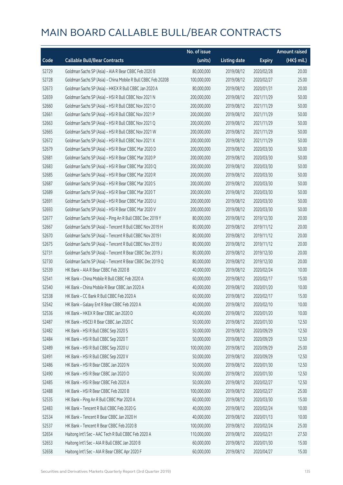|       |                                                              | No. of issue |                     |               | <b>Amount raised</b> |
|-------|--------------------------------------------------------------|--------------|---------------------|---------------|----------------------|
| Code  | <b>Callable Bull/Bear Contracts</b>                          | (units)      | <b>Listing date</b> | <b>Expiry</b> | (HK\$ mil.)          |
| 52729 | Goldman Sachs SP (Asia) - AIA R Bear CBBC Feb 2020 B         | 80,000,000   | 2019/08/12          | 2020/02/28    | 20.00                |
| 52728 | Goldman Sachs SP (Asia) - China Mobile R Bull CBBC Feb 2020B | 100,000,000  | 2019/08/12          | 2020/02/27    | 25.00                |
| 52673 | Goldman Sachs SP (Asia) - HKEX R Bull CBBC Jan 2020 A        | 80,000,000   | 2019/08/12          | 2020/01/31    | 20.00                |
| 52659 | Goldman Sachs SP (Asia) - HSI R Bull CBBC Nov 2021 N         | 200,000,000  | 2019/08/12          | 2021/11/29    | 50.00                |
| 52660 | Goldman Sachs SP (Asia) - HSI R Bull CBBC Nov 2021 O         | 200,000,000  | 2019/08/12          | 2021/11/29    | 50.00                |
| 52661 | Goldman Sachs SP (Asia) - HSI R Bull CBBC Nov 2021 P         | 200,000,000  | 2019/08/12          | 2021/11/29    | 50.00                |
| 52663 | Goldman Sachs SP (Asia) - HSI R Bull CBBC Nov 2021 Q         | 200,000,000  | 2019/08/12          | 2021/11/29    | 50.00                |
| 52665 | Goldman Sachs SP (Asia) - HSI R Bull CBBC Nov 2021 W         | 200,000,000  | 2019/08/12          | 2021/11/29    | 50.00                |
| 52672 | Goldman Sachs SP (Asia) - HSI R Bull CBBC Nov 2021 X         | 200,000,000  | 2019/08/12          | 2021/11/29    | 50.00                |
| 52679 | Goldman Sachs SP (Asia) - HSI R Bear CBBC Mar 2020 D         | 200,000,000  | 2019/08/12          | 2020/03/30    | 50.00                |
| 52681 | Goldman Sachs SP (Asia) - HSI R Bear CBBC Mar 2020 P         | 200,000,000  | 2019/08/12          | 2020/03/30    | 50.00                |
| 52683 | Goldman Sachs SP (Asia) - HSI R Bear CBBC Mar 2020 Q         | 200,000,000  | 2019/08/12          | 2020/03/30    | 50.00                |
| 52685 | Goldman Sachs SP (Asia) - HSI R Bear CBBC Mar 2020 R         | 200,000,000  | 2019/08/12          | 2020/03/30    | 50.00                |
| 52687 | Goldman Sachs SP (Asia) - HSI R Bear CBBC Mar 2020 S         | 200,000,000  | 2019/08/12          | 2020/03/30    | 50.00                |
| 52689 | Goldman Sachs SP (Asia) - HSI R Bear CBBC Mar 2020 T         | 200,000,000  | 2019/08/12          | 2020/03/30    | 50.00                |
| 52691 | Goldman Sachs SP (Asia) - HSI R Bear CBBC Mar 2020 U         | 200,000,000  | 2019/08/12          | 2020/03/30    | 50.00                |
| 52693 | Goldman Sachs SP (Asia) - HSI R Bear CBBC Mar 2020 V         | 200,000,000  | 2019/08/12          | 2020/03/30    | 50.00                |
| 52677 | Goldman Sachs SP (Asia) - Ping An R Bull CBBC Dec 2019 Y     | 80,000,000   | 2019/08/12          | 2019/12/30    | 20.00                |
| 52667 | Goldman Sachs SP (Asia) - Tencent R Bull CBBC Nov 2019 H     | 80,000,000   | 2019/08/12          | 2019/11/12    | 20.00                |
| 52670 | Goldman Sachs SP (Asia) - Tencent R Bull CBBC Nov 2019 I     | 80,000,000   | 2019/08/12          | 2019/11/12    | 20.00                |
| 52675 | Goldman Sachs SP (Asia) - Tencent R Bull CBBC Nov 2019 J     | 80,000,000   | 2019/08/12          | 2019/11/12    | 20.00                |
| 52731 | Goldman Sachs SP (Asia) - Tencent R Bear CBBC Dec 2019 J     | 80,000,000   | 2019/08/12          | 2019/12/30    | 20.00                |
| 52730 | Goldman Sachs SP (Asia) - Tencent R Bear CBBC Dec 2019 Q     | 80,000,000   | 2019/08/12          | 2019/12/30    | 20.00                |
| 52539 | HK Bank - AIA R Bear CBBC Feb 2020 B                         | 40,000,000   | 2019/08/12          | 2020/02/24    | 10.00                |
| 52541 | HK Bank - China Mobile R Bull CBBC Feb 2020 A                | 60,000,000   | 2019/08/12          | 2020/02/17    | 15.00                |
| 52540 | HK Bank - China Mobile R Bear CBBC Jan 2020 A                | 40,000,000   | 2019/08/12          | 2020/01/20    | 10.00                |
| 52538 | HK Bank - CC Bank R Bull CBBC Feb 2020 A                     | 60,000,000   | 2019/08/12          | 2020/02/17    | 15.00                |
| 52542 | HK Bank - Galaxy Ent R Bear CBBC Feb 2020 A                  | 40,000,000   | 2019/08/12          | 2020/02/10    | 10.00                |
| 52536 | HK Bank - HKEX R Bear CBBC Jan 2020 D                        | 40,000,000   | 2019/08/12          | 2020/01/20    | 10.00                |
| 52487 | HK Bank - HSCEI R Bear CBBC Jan 2020 C                       | 50,000,000   | 2019/08/12          | 2020/01/30    | 12.50                |
| 52482 | HK Bank - HSI R Bull CBBC Sep 2020 S                         | 50,000,000   | 2019/08/12          | 2020/09/29    | 12.50                |
| 52484 | HK Bank - HSI R Bull CBBC Sep 2020 T                         | 50,000,000   | 2019/08/12          | 2020/09/29    | 12.50                |
| 52489 | HK Bank - HSI R Bull CBBC Sep 2020 U                         | 100,000,000  | 2019/08/12          | 2020/09/29    | 25.00                |
| 52491 | HK Bank - HSI R Bull CBBC Sep 2020 V                         | 50,000,000   | 2019/08/12          | 2020/09/29    | 12.50                |
| 52486 | HK Bank - HSI R Bear CBBC Jan 2020 N                         | 50,000,000   | 2019/08/12          | 2020/01/30    | 12.50                |
| 52490 | HK Bank - HSI R Bear CBBC Jan 2020 O                         | 50,000,000   | 2019/08/12          | 2020/01/30    | 12.50                |
| 52485 | HK Bank - HSI R Bear CBBC Feb 2020 A                         | 50,000,000   | 2019/08/12          | 2020/02/27    | 12.50                |
| 52488 | HK Bank - HSI R Bear CBBC Feb 2020 B                         | 100,000,000  | 2019/08/12          | 2020/02/27    | 25.00                |
| 52535 | HK Bank - Ping An R Bull CBBC Mar 2020 A                     | 60,000,000   | 2019/08/12          | 2020/03/30    | 15.00                |
| 52483 | HK Bank - Tencent R Bull CBBC Feb 2020 G                     | 40,000,000   | 2019/08/12          | 2020/02/24    | 10.00                |
| 52534 | HK Bank - Tencent R Bear CBBC Jan 2020 H                     | 40,000,000   | 2019/08/12          | 2020/01/13    | 10.00                |
| 52537 | HK Bank - Tencent R Bear CBBC Feb 2020 B                     | 100,000,000  | 2019/08/12          | 2020/02/24    | 25.00                |
| 52654 | Haitong Int'l Sec - AAC Tech R Bull CBBC Feb 2020 A          | 110,000,000  | 2019/08/12          | 2020/02/21    | 27.50                |
| 52653 | Haitong Int'l Sec - AIA R Bull CBBC Jan 2020 B               | 60,000,000   | 2019/08/12          | 2020/01/30    | 15.00                |
| 52658 | Haitong Int'l Sec - AIA R Bear CBBC Apr 2020 F               | 60,000,000   | 2019/08/12          | 2020/04/27    | 15.00                |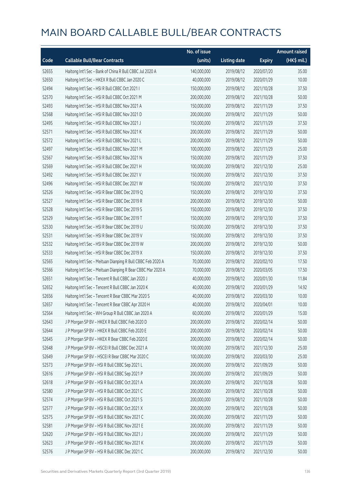|       |                                                             | No. of issue |                     |               | <b>Amount raised</b> |
|-------|-------------------------------------------------------------|--------------|---------------------|---------------|----------------------|
| Code  | <b>Callable Bull/Bear Contracts</b>                         | (units)      | <b>Listing date</b> | <b>Expiry</b> | (HK\$ mil.)          |
| 52655 | Haitong Int'l Sec - Bank of China R Bull CBBC Jul 2020 A    | 140,000,000  | 2019/08/12          | 2020/07/20    | 35.00                |
| 52650 | Haitong Int'l Sec - HKEX R Bull CBBC Jan 2020 C             | 40,000,000   | 2019/08/12          | 2020/01/29    | 10.00                |
| 52494 | Haitong Int'l Sec - HSI R Bull CBBC Oct 2021 I              | 150,000,000  | 2019/08/12          | 2021/10/28    | 37.50                |
| 52570 | Haitong Int'l Sec - HSI R Bull CBBC Oct 2021 M              | 200,000,000  | 2019/08/12          | 2021/10/28    | 50.00                |
| 52493 | Haitong Int'l Sec - HSI R Bull CBBC Nov 2021 A              | 150,000,000  | 2019/08/12          | 2021/11/29    | 37.50                |
| 52568 | Haitong Int'l Sec - HSI R Bull CBBC Nov 2021 D              | 200,000,000  | 2019/08/12          | 2021/11/29    | 50.00                |
| 52495 | Haitong Int'l Sec - HSI R Bull CBBC Nov 2021 J              | 150,000,000  | 2019/08/12          | 2021/11/29    | 37.50                |
| 52571 | Haitong Int'l Sec - HSI R Bull CBBC Nov 2021 K              | 200,000,000  | 2019/08/12          | 2021/11/29    | 50.00                |
| 52572 | Haitong Int'l Sec - HSI R Bull CBBC Nov 2021 L              | 200,000,000  | 2019/08/12          | 2021/11/29    | 50.00                |
| 52497 | Haitong Int'l Sec - HSI R Bull CBBC Nov 2021 M              | 100,000,000  | 2019/08/12          | 2021/11/29    | 25.00                |
| 52567 | Haitong Int'l Sec - HSI R Bull CBBC Nov 2021 N              | 150,000,000  | 2019/08/12          | 2021/11/29    | 37.50                |
| 52569 | Haitong Int'l Sec - HSI R Bull CBBC Dec 2021 H              | 100,000,000  | 2019/08/12          | 2021/12/30    | 25.00                |
| 52492 | Haitong Int'l Sec - HSI R Bull CBBC Dec 2021 V              | 150,000,000  | 2019/08/12          | 2021/12/30    | 37.50                |
| 52496 | Haitong Int'l Sec - HSI R Bull CBBC Dec 2021 W              | 150,000,000  | 2019/08/12          | 2021/12/30    | 37.50                |
| 52526 | Haitong Int'l Sec - HSI R Bear CBBC Dec 2019 Q              | 150,000,000  | 2019/08/12          | 2019/12/30    | 37.50                |
| 52527 | Haitong Int'l Sec - HSI R Bear CBBC Dec 2019 R              | 200,000,000  | 2019/08/12          | 2019/12/30    | 50.00                |
| 52528 | Haitong Int'l Sec - HSI R Bear CBBC Dec 2019 S              | 150,000,000  | 2019/08/12          | 2019/12/30    | 37.50                |
| 52529 | Haitong Int'l Sec - HSI R Bear CBBC Dec 2019 T              | 150,000,000  | 2019/08/12          | 2019/12/30    | 37.50                |
| 52530 | Haitong Int'l Sec - HSI R Bear CBBC Dec 2019 U              | 150,000,000  | 2019/08/12          | 2019/12/30    | 37.50                |
| 52531 | Haitong Int'l Sec - HSI R Bear CBBC Dec 2019 V              | 150,000,000  | 2019/08/12          | 2019/12/30    | 37.50                |
| 52532 | Haitong Int'l Sec - HSI R Bear CBBC Dec 2019 W              | 200,000,000  | 2019/08/12          | 2019/12/30    | 50.00                |
| 52533 | Haitong Int'l Sec - HSI R Bear CBBC Dec 2019 X              | 150,000,000  | 2019/08/12          | 2019/12/30    | 37.50                |
| 52565 | Haitong Int'l Sec - Meituan Dianping R Bull CBBC Feb 2020 A | 70,000,000   | 2019/08/12          | 2020/02/10    | 17.50                |
| 52566 | Haitong Int'l Sec - Meituan Dianping R Bear CBBC Mar 2020 A | 70,000,000   | 2019/08/12          | 2020/03/05    | 17.50                |
| 52651 | Haitong Int'l Sec - Tencent R Bull CBBC Jan 2020 J          | 40,000,000   | 2019/08/12          | 2020/01/30    | 11.84                |
| 52652 | Haitong Int'l Sec - Tencent R Bull CBBC Jan 2020 K          | 40,000,000   | 2019/08/12          | 2020/01/29    | 14.92                |
| 52656 | Haitong Int'l Sec - Tencent R Bear CBBC Mar 2020 S          | 40,000,000   | 2019/08/12          | 2020/03/30    | 10.00                |
| 52657 | Haitong Int'l Sec - Tencent R Bear CBBC Apr 2020 H          | 40,000,000   | 2019/08/12          | 2020/04/01    | 10.00                |
| 52564 | Haitong Int'l Sec - WH Group R Bull CBBC Jan 2020 A         | 60,000,000   | 2019/08/12          | 2020/01/29    | 15.00                |
| 52643 | J P Morgan SP BV - HKEX R Bull CBBC Feb 2020 D              | 200,000,000  | 2019/08/12          | 2020/02/14    | 50.00                |
| 52644 | J P Morgan SP BV - HKEX R Bull CBBC Feb 2020 E              | 200,000,000  | 2019/08/12          | 2020/02/14    | 50.00                |
| 52645 | J P Morgan SP BV - HKEX R Bear CBBC Feb 2020 E              | 200,000,000  | 2019/08/12          | 2020/02/14    | 50.00                |
| 52648 | J P Morgan SP BV - HSCEI R Bull CBBC Dec 2021 A             | 100,000,000  | 2019/08/12          | 2021/12/30    | 25.00                |
| 52649 | J P Morgan SP BV - HSCEI R Bear CBBC Mar 2020 C             | 100,000,000  | 2019/08/12          | 2020/03/30    | 25.00                |
| 52573 | J P Morgan SP BV - HSI R Bull CBBC Sep 2021 L               | 200,000,000  | 2019/08/12          | 2021/09/29    | 50.00                |
| 52616 | J P Morgan SP BV - HSI R Bull CBBC Sep 2021 P               | 200,000,000  | 2019/08/12          | 2021/09/29    | 50.00                |
| 52618 | J P Morgan SP BV - HSI R Bull CBBC Oct 2021 A               | 200,000,000  | 2019/08/12          | 2021/10/28    | 50.00                |
| 52580 | J P Morgan SP BV - HSI R Bull CBBC Oct 2021 C               | 200,000,000  | 2019/08/12          | 2021/10/28    | 50.00                |
| 52574 | JP Morgan SP BV - HSIR Bull CBBC Oct 2021 S                 | 200,000,000  | 2019/08/12          | 2021/10/28    | 50.00                |
| 52577 | J P Morgan SP BV - HSI R Bull CBBC Oct 2021 X               | 200,000,000  | 2019/08/12          | 2021/10/28    | 50.00                |
| 52575 | J P Morgan SP BV - HSI R Bull CBBC Nov 2021 C               | 200,000,000  | 2019/08/12          | 2021/11/29    | 50.00                |
| 52581 | J P Morgan SP BV - HSI R Bull CBBC Nov 2021 E               | 200,000,000  | 2019/08/12          | 2021/11/29    | 50.00                |
| 52620 | J P Morgan SP BV - HSI R Bull CBBC Nov 2021 J               | 200,000,000  | 2019/08/12          | 2021/11/29    | 50.00                |
| 52623 | J P Morgan SP BV - HSI R Bull CBBC Nov 2021 K               | 200,000,000  | 2019/08/12          | 2021/11/29    | 50.00                |
| 52576 | J P Morgan SP BV - HSI R Bull CBBC Dec 2021 C               | 200,000,000  | 2019/08/12          | 2021/12/30    | 50.00                |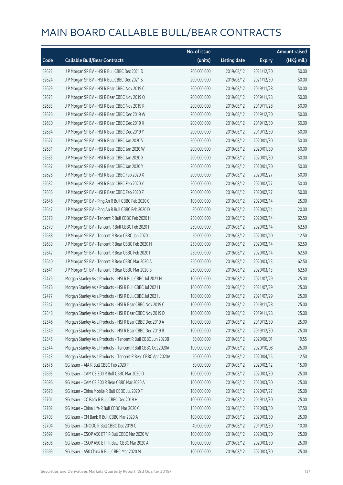|       |                                                              | No. of issue |                     |               | <b>Amount raised</b> |
|-------|--------------------------------------------------------------|--------------|---------------------|---------------|----------------------|
| Code  | <b>Callable Bull/Bear Contracts</b>                          | (units)      | <b>Listing date</b> | <b>Expiry</b> | (HK\$ mil.)          |
| 52622 | J P Morgan SP BV - HSI R Bull CBBC Dec 2021 D                | 200,000,000  | 2019/08/12          | 2021/12/30    | 50.00                |
| 52624 | J P Morgan SP BV - HSI R Bull CBBC Dec 2021 S                | 200,000,000  | 2019/08/12          | 2021/12/30    | 50.00                |
| 52629 | J P Morgan SP BV - HSI R Bear CBBC Nov 2019 C                | 200,000,000  | 2019/08/12          | 2019/11/28    | 50.00                |
| 52625 | J P Morgan SP BV - HSI R Bear CBBC Nov 2019 O                | 200,000,000  | 2019/08/12          | 2019/11/28    | 50.00                |
| 52633 | J P Morgan SP BV - HSI R Bear CBBC Nov 2019 R                | 200,000,000  | 2019/08/12          | 2019/11/28    | 50.00                |
| 52626 | J P Morgan SP BV - HSI R Bear CBBC Dec 2019 W                | 200,000,000  | 2019/08/12          | 2019/12/30    | 50.00                |
| 52630 | J P Morgan SP BV - HSI R Bear CBBC Dec 2019 X                | 200,000,000  | 2019/08/12          | 2019/12/30    | 50.00                |
| 52634 | J P Morgan SP BV - HSI R Bear CBBC Dec 2019 Y                | 200,000,000  | 2019/08/12          | 2019/12/30    | 50.00                |
| 52627 | J P Morgan SP BV - HSI R Bear CBBC Jan 2020 V                | 200,000,000  | 2019/08/12          | 2020/01/30    | 50.00                |
| 52631 | J P Morgan SP BV - HSI R Bear CBBC Jan 2020 W                | 200,000,000  | 2019/08/12          | 2020/01/30    | 50.00                |
| 52635 | J P Morgan SP BV - HSI R Bear CBBC Jan 2020 X                | 200,000,000  | 2019/08/12          | 2020/01/30    | 50.00                |
| 52637 | J P Morgan SP BV - HSI R Bear CBBC Jan 2020 Y                | 200,000,000  | 2019/08/12          | 2020/01/30    | 50.00                |
| 52628 | J P Morgan SP BV - HSI R Bear CBBC Feb 2020 X                | 200,000,000  | 2019/08/12          | 2020/02/27    | 50.00                |
| 52632 | J P Morgan SP BV - HSI R Bear CBBC Feb 2020 Y                | 200,000,000  | 2019/08/12          | 2020/02/27    | 50.00                |
| 52636 | J P Morgan SP BV - HSI R Bear CBBC Feb 2020 Z                | 200,000,000  | 2019/08/12          | 2020/02/27    | 50.00                |
| 52646 | J P Morgan SP BV - Ping An R Bull CBBC Feb 2020 C            | 100,000,000  | 2019/08/12          | 2020/02/14    | 25.00                |
| 52647 | J P Morgan SP BV - Ping An R Bull CBBC Feb 2020 D            | 80,000,000   | 2019/08/12          | 2020/02/14    | 20.00                |
| 52578 | J P Morgan SP BV - Tencent R Bull CBBC Feb 2020 H            | 250,000,000  | 2019/08/12          | 2020/02/14    | 62.50                |
| 52579 | J P Morgan SP BV - Tencent R Bull CBBC Feb 2020 I            | 250,000,000  | 2019/08/12          | 2020/02/14    | 62.50                |
| 52638 | J P Morgan SP BV - Tencent R Bear CBBC Jan 2020 I            | 50,000,000   | 2019/08/12          | 2020/01/10    | 12.50                |
| 52639 | J P Morgan SP BV - Tencent R Bear CBBC Feb 2020 H            | 250,000,000  | 2019/08/12          | 2020/02/14    | 62.50                |
| 52642 | J P Morgan SP BV - Tencent R Bear CBBC Feb 2020 I            | 250,000,000  | 2019/08/12          | 2020/02/14    | 62.50                |
| 52640 | J P Morgan SP BV - Tencent R Bear CBBC Mar 2020 A            | 250,000,000  | 2019/08/12          | 2020/03/13    | 62.50                |
| 52641 | J P Morgan SP BV - Tencent R Bear CBBC Mar 2020 B            | 250,000,000  | 2019/08/12          | 2020/03/13    | 62.50                |
| 52475 | Morgan Stanley Asia Products - HSI R Bull CBBC Jul 2021 H    | 100,000,000  | 2019/08/12          | 2021/07/29    | 25.00                |
| 52476 | Morgan Stanley Asia Products - HSI R Bull CBBC Jul 2021 I    | 100,000,000  | 2019/08/12          | 2021/07/29    | 25.00                |
| 52477 | Morgan Stanley Asia Products - HSI R Bull CBBC Jul 2021 J    | 100,000,000  | 2019/08/12          | 2021/07/29    | 25.00                |
| 52547 | Morgan Stanley Asia Products - HSI R Bear CBBC Nov 2019 C    | 100,000,000  | 2019/08/12          | 2019/11/28    | 25.00                |
| 52548 | Morgan Stanley Asia Products - HSI R Bear CBBC Nov 2019 D    | 100,000,000  | 2019/08/12          | 2019/11/28    | 25.00                |
| 52546 | Morgan Stanley Asia Products - HSI R Bear CBBC Dec 2019 A    | 100,000,000  | 2019/08/12          | 2019/12/30    | 25.00                |
| 52549 | Morgan Stanley Asia Products - HSI R Bear CBBC Dec 2019 B    | 100,000,000  | 2019/08/12          | 2019/12/30    | 25.00                |
| 52545 | Morgan Stanley Asia Products - Tencent R Bull CBBC Jun 2020B | 50,000,000   | 2019/08/12          | 2020/06/01    | 19.55                |
| 52544 | Morgan Stanley Asia Products - Tencent R Bull CBBC Oct 2020A | 100,000,000  | 2019/08/12          | 2020/10/08    | 25.00                |
| 52543 | Morgan Stanley Asia Products - Tencent R Bear CBBC Apr 2020A | 50,000,000   | 2019/08/12          | 2020/04/15    | 12.50                |
| 52676 | SG Issuer - AIA R Bull CBBC Feb 2020 F                       | 60,000,000   | 2019/08/12          | 2020/02/12    | 15.00                |
| 52695 | SG Issuer - CAM CSI300 R Bull CBBC Mar 2020 D                | 100,000,000  | 2019/08/12          | 2020/03/30    | 25.00                |
| 52696 | SG Issuer - CAM CSI300 R Bear CBBC Mar 2020 A                | 100,000,000  | 2019/08/12          | 2020/03/30    | 25.00                |
| 52678 | SG Issuer - China Mobile R Bull CBBC Jul 2020 F              | 100,000,000  | 2019/08/12          | 2020/07/27    | 25.00                |
| 52701 | SG Issuer - CC Bank R Bull CBBC Dec 2019 H                   | 100,000,000  | 2019/08/12          | 2019/12/30    | 25.00                |
| 52702 | SG Issuer - China Life R Bull CBBC Mar 2020 C                | 150,000,000  | 2019/08/12          | 2020/03/30    | 37.50                |
| 52703 | SG Issuer - CM Bank R Bull CBBC Mar 2020 A                   | 100,000,000  | 2019/08/12          | 2020/03/30    | 25.00                |
| 52704 | SG Issuer - CNOOC R Bull CBBC Dec 2019 C                     | 40,000,000   | 2019/08/12          | 2019/12/30    | 10.00                |
| 52697 | SG Issuer - CSOP A50 ETF R Bull CBBC Mar 2020 W              | 100,000,000  | 2019/08/12          | 2020/03/30    | 25.00                |
| 52698 | SG Issuer - CSOP A50 ETF R Bear CBBC Mar 2020 A              | 100,000,000  | 2019/08/12          | 2020/03/30    | 25.00                |
| 52699 | SG Issuer - A50 China R Bull CBBC Mar 2020 M                 | 100,000,000  | 2019/08/12          | 2020/03/30    | 25.00                |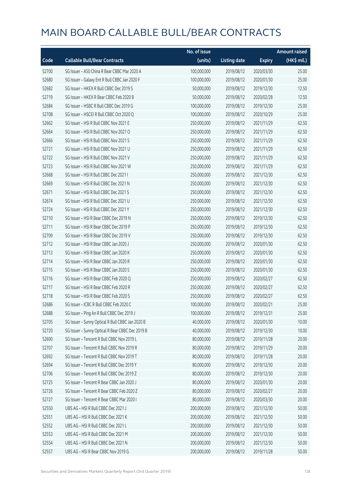|       |                                                  | No. of issue |                     |               | <b>Amount raised</b> |
|-------|--------------------------------------------------|--------------|---------------------|---------------|----------------------|
| Code  | <b>Callable Bull/Bear Contracts</b>              | (units)      | <b>Listing date</b> | <b>Expiry</b> | (HK\$ mil.)          |
| 52700 | SG Issuer - A50 China R Bear CBBC Mar 2020 A     | 100,000,000  | 2019/08/12          | 2020/03/30    | 25.00                |
| 52680 | SG Issuer - Galaxy Ent R Bull CBBC Jan 2020 F    | 100,000,000  | 2019/08/12          | 2020/01/30    | 25.00                |
| 52682 | SG Issuer - HKEX R Bull CBBC Dec 2019 S          | 50,000,000   | 2019/08/12          | 2019/12/30    | 12.50                |
| 52719 | SG Issuer - HKEX R Bear CBBC Feb 2020 B          | 50,000,000   | 2019/08/12          | 2020/02/28    | 12.50                |
| 52684 | SG Issuer - HSBC R Bull CBBC Dec 2019 G          | 100,000,000  | 2019/08/12          | 2019/12/30    | 25.00                |
| 52708 | SG Issuer - HSCEI R Bull CBBC Oct 2020 Q         | 100,000,000  | 2019/08/12          | 2020/10/29    | 25.00                |
| 52662 | SG Issuer - HSI R Bull CBBC Nov 2021 E           | 250,000,000  | 2019/08/12          | 2021/11/29    | 62.50                |
| 52664 | SG Issuer - HSI R Bull CBBC Nov 2021 O           | 250,000,000  | 2019/08/12          | 2021/11/29    | 62.50                |
| 52666 | SG Issuer - HSI R Bull CBBC Nov 2021 S           | 250,000,000  | 2019/08/12          | 2021/11/29    | 62.50                |
| 52721 | SG Issuer - HSI R Bull CBBC Nov 2021 U           | 250,000,000  | 2019/08/12          | 2021/11/29    | 62.50                |
| 52722 | SG Issuer - HSI R Bull CBBC Nov 2021 V           | 250,000,000  | 2019/08/12          | 2021/11/29    | 62.50                |
| 52723 | SG Issuer - HSI R Bull CBBC Nov 2021 W           | 250,000,000  | 2019/08/12          | 2021/11/29    | 62.50                |
| 52668 | SG Issuer - HSI R Bull CBBC Dec 2021 I           | 250,000,000  | 2019/08/12          | 2021/12/30    | 62.50                |
| 52669 | SG Issuer - HSI R Bull CBBC Dec 2021 N           | 250,000,000  | 2019/08/12          | 2021/12/30    | 62.50                |
| 52671 | SG Issuer - HSI R Bull CBBC Dec 2021 S           | 250,000,000  | 2019/08/12          | 2021/12/30    | 62.50                |
| 52674 | SG Issuer - HSI R Bull CBBC Dec 2021 U           | 250,000,000  | 2019/08/12          | 2021/12/30    | 62.50                |
| 52724 | SG Issuer - HSI R Bull CBBC Dec 2021 Y           | 250,000,000  | 2019/08/12          | 2021/12/30    | 62.50                |
| 52710 | SG Issuer - HSI R Bear CBBC Dec 2019 N           | 250,000,000  | 2019/08/12          | 2019/12/30    | 62.50                |
| 52711 | SG Issuer - HSI R Bear CBBC Dec 2019 P           | 250,000,000  | 2019/08/12          | 2019/12/30    | 62.50                |
| 52709 | SG Issuer - HSI R Bear CBBC Dec 2019 V           | 250,000,000  | 2019/08/12          | 2019/12/30    | 62.50                |
| 52712 | SG Issuer - HSI R Bear CBBC Jan 2020 J           | 250,000,000  | 2019/08/12          | 2020/01/30    | 62.50                |
| 52713 | SG Issuer - HSI R Bear CBBC Jan 2020 K           | 250,000,000  | 2019/08/12          | 2020/01/30    | 62.50                |
| 52714 | SG Issuer - HSI R Bear CBBC Jan 2020 R           | 250,000,000  | 2019/08/12          | 2020/01/30    | 62.50                |
| 52715 | SG Issuer - HSI R Bear CBBC Jan 2020 S           | 250,000,000  | 2019/08/12          | 2020/01/30    | 62.50                |
| 52716 | SG Issuer - HSI R Bear CBBC Feb 2020 Q           | 250,000,000  | 2019/08/12          | 2020/02/27    | 62.50                |
| 52717 | SG Issuer - HSI R Bear CBBC Feb 2020 R           | 250,000,000  | 2019/08/12          | 2020/02/27    | 62.50                |
| 52718 | SG Issuer - HSI R Bear CBBC Feb 2020 S           | 250,000,000  | 2019/08/12          | 2020/02/27    | 62.50                |
| 52686 | SG Issuer - ICBC R Bull CBBC Feb 2020 C          | 100,000,000  | 2019/08/12          | 2020/02/21    | 25.00                |
| 52688 | SG Issuer - Ping An R Bull CBBC Dec 2019 J       | 100,000,000  | 2019/08/12          | 2019/12/31    | 25.00                |
| 52705 | SG Issuer - Sunny Optical R Bull CBBC Jan 2020 B | 40,000,000   | 2019/08/12          | 2020/01/30    | 10.00                |
| 52720 | SG Issuer - Sunny Optical R Bear CBBC Dec 2019 B | 40,000,000   | 2019/08/12          | 2019/12/30    | 10.00                |
| 52690 | SG Issuer - Tencent R Bull CBBC Nov 2019 L       | 80,000,000   | 2019/08/12          | 2019/11/28    | 20.00                |
| 52707 | SG Issuer - Tencent R Bull CBBC Nov 2019 R       | 80,000,000   | 2019/08/12          | 2019/11/29    | 20.00                |
| 52692 | SG Issuer - Tencent R Bull CBBC Nov 2019 T       | 80,000,000   | 2019/08/12          | 2019/11/28    | 20.00                |
| 52694 | SG Issuer - Tencent R Bull CBBC Dec 2019 Y       | 80,000,000   | 2019/08/12          | 2019/12/30    | 20.00                |
| 52706 | SG Issuer - Tencent R Bull CBBC Dec 2019 Z       | 80,000,000   | 2019/08/12          | 2019/12/30    | 20.00                |
| 52725 | SG Issuer - Tencent R Bear CBBC Jan 2020 J       | 80,000,000   | 2019/08/12          | 2020/01/30    | 20.00                |
| 52726 | SG Issuer - Tencent R Bear CBBC Feb 2020 Z       | 80,000,000   | 2019/08/12          | 2020/02/27    | 20.00                |
| 52727 | SG Issuer - Tencent R Bear CBBC Mar 2020 I       | 80,000,000   | 2019/08/12          | 2020/03/30    | 20.00                |
| 52550 | UBS AG - HSI R Bull CBBC Dec 2021 J              | 200,000,000  | 2019/08/12          | 2021/12/30    | 50.00                |
| 52551 | UBS AG - HSI R Bull CBBC Dec 2021 K              | 200,000,000  | 2019/08/12          | 2021/12/30    | 50.00                |
| 52552 | UBS AG - HSI R Bull CBBC Dec 2021 L              | 200,000,000  | 2019/08/12          | 2021/12/30    | 50.00                |
| 52553 | UBS AG - HSI R Bull CBBC Dec 2021 M              | 200,000,000  | 2019/08/12          | 2021/12/30    | 50.00                |
| 52554 | UBS AG - HSI R Bull CBBC Dec 2021 N              | 200,000,000  | 2019/08/12          | 2021/12/30    | 50.00                |
| 52557 | UBS AG - HSI R Bear CBBC Nov 2019 G              | 200,000,000  | 2019/08/12          | 2019/11/28    | 50.00                |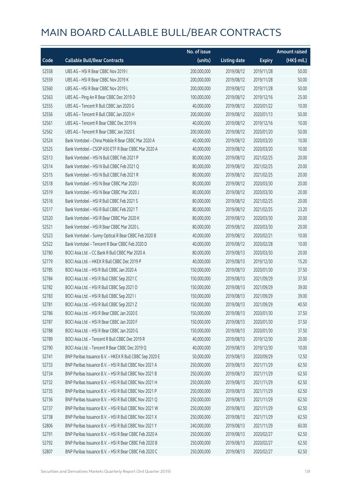|       |                                                         | No. of issue |                     |               | <b>Amount raised</b> |
|-------|---------------------------------------------------------|--------------|---------------------|---------------|----------------------|
| Code  | <b>Callable Bull/Bear Contracts</b>                     | (units)      | <b>Listing date</b> | <b>Expiry</b> | (HK\$ mil.)          |
| 52558 | UBS AG - HSI R Bear CBBC Nov 2019 I                     | 200,000,000  | 2019/08/12          | 2019/11/28    | 50.00                |
| 52559 | UBS AG - HSI R Bear CBBC Nov 2019 K                     | 200,000,000  | 2019/08/12          | 2019/11/28    | 50.00                |
| 52560 | UBS AG - HSI R Bear CBBC Nov 2019 L                     | 200,000,000  | 2019/08/12          | 2019/11/28    | 50.00                |
| 52563 | UBS AG - Ping An R Bear CBBC Dec 2019 D                 | 100,000,000  | 2019/08/12          | 2019/12/16    | 25.00                |
| 52555 | UBS AG - Tencent R Bull CBBC Jan 2020 G                 | 40,000,000   | 2019/08/12          | 2020/01/22    | 10.00                |
| 52556 | UBS AG - Tencent R Bull CBBC Jan 2020 H                 | 200,000,000  | 2019/08/12          | 2020/01/13    | 50.00                |
| 52561 | UBS AG - Tencent R Bear CBBC Dec 2019 N                 | 40,000,000   | 2019/08/12          | 2019/12/16    | 10.00                |
| 52562 | UBS AG - Tencent R Bear CBBC Jan 2020 E                 | 200,000,000  | 2019/08/12          | 2020/01/20    | 50.00                |
| 52524 | Bank Vontobel - China Mobile R Bear CBBC Mar 2020 A     | 40,000,000   | 2019/08/12          | 2020/03/20    | 10.00                |
| 52525 | Bank Vontobel - CSOP A50 ETF R Bear CBBC Mar 2020 A     | 40,000,000   | 2019/08/12          | 2020/03/20    | 10.00                |
| 52513 | Bank Vontobel - HSI N Bull CBBC Feb 2021 P              | 80,000,000   | 2019/08/12          | 2021/02/25    | 20.00                |
| 52514 | Bank Vontobel - HSI N Bull CBBC Feb 2021 Q              | 80,000,000   | 2019/08/12          | 2021/02/25    | 20.00                |
| 52515 | Bank Vontobel - HSI N Bull CBBC Feb 2021 R              | 80,000,000   | 2019/08/12          | 2021/02/25    | 20.00                |
| 52518 | Bank Vontobel - HSI N Bear CBBC Mar 2020 I              | 80,000,000   | 2019/08/12          | 2020/03/30    | 20.00                |
| 52519 | Bank Vontobel - HSI N Bear CBBC Mar 2020 J              | 80,000,000   | 2019/08/12          | 2020/03/30    | 20.00                |
| 52516 | Bank Vontobel - HSI R Bull CBBC Feb 2021 S              | 80,000,000   | 2019/08/12          | 2021/02/25    | 20.00                |
| 52517 | Bank Vontobel - HSI R Bull CBBC Feb 2021 T              | 80,000,000   | 2019/08/12          | 2021/02/25    | 23.20                |
| 52520 | Bank Vontobel - HSI R Bear CBBC Mar 2020 K              | 80,000,000   | 2019/08/12          | 2020/03/30    | 20.00                |
| 52521 | Bank Vontobel - HSI R Bear CBBC Mar 2020 L              | 80,000,000   | 2019/08/12          | 2020/03/30    | 20.00                |
| 52523 | Bank Vontobel - Sunny Optical R Bear CBBC Feb 2020 B    | 40,000,000   | 2019/08/12          | 2020/02/21    | 10.00                |
| 52522 | Bank Vontobel - Tencent R Bear CBBC Feb 2020 D          | 40,000,000   | 2019/08/12          | 2020/02/28    | 10.00                |
| 52780 | BOCI Asia Ltd. - CC Bank R Bull CBBC Mar 2020 A         | 80,000,000   | 2019/08/13          | 2020/03/30    | 20.00                |
| 52779 | BOCI Asia Ltd. - HKEX R Bull CBBC Dec 2019 P            | 40,000,000   | 2019/08/13          | 2019/12/30    | 15.20                |
| 52785 | BOCI Asia Ltd. - HSI R Bull CBBC Jan 2020 A             | 150,000,000  | 2019/08/13          | 2020/01/30    | 37.50                |
| 52784 | BOCI Asia Ltd. - HSI R Bull CBBC Sep 2021 C             | 150,000,000  | 2019/08/13          | 2021/09/29    | 37.50                |
| 52782 | BOCI Asia Ltd. - HSI R Bull CBBC Sep 2021 D             | 150,000,000  | 2019/08/13          | 2021/09/29    | 39.00                |
| 52783 | BOCI Asia Ltd. - HSI R Bull CBBC Sep 2021 I             | 150,000,000  | 2019/08/13          | 2021/09/29    | 39.00                |
| 52781 | BOCI Asia Ltd. - HSI R Bull CBBC Sep 2021 Z             | 150,000,000  | 2019/08/13          | 2021/09/29    | 40.50                |
| 52786 | BOCI Asia Ltd. - HSI R Bear CBBC Jan 2020 E             | 150,000,000  | 2019/08/13          | 2020/01/30    | 37.50                |
| 52787 | BOCI Asia Ltd. - HSI R Bear CBBC Jan 2020 F             | 150,000,000  | 2019/08/13          | 2020/01/30    | 37.50                |
| 52788 | BOCI Asia Ltd. - HSI R Bear CBBC Jan 2020 G             | 150,000,000  | 2019/08/13          | 2020/01/30    | 37.50                |
| 52789 | BOCI Asia Ltd. - Tencent R Bull CBBC Dec 2019 R         | 40,000,000   | 2019/08/13          | 2019/12/30    | 20.00                |
| 52790 | BOCI Asia Ltd. - Tencent R Bear CBBC Dec 2019 Q         | 40,000,000   | 2019/08/13          | 2019/12/30    | 10.00                |
| 52741 | BNP Paribas Issuance B.V. - HKEX R Bull CBBC Sep 2020 E | 50,000,000   | 2019/08/13          | 2020/09/29    | 12.50                |
| 52733 | BNP Paribas Issuance B.V. - HSI R Bull CBBC Nov 2021 A  | 250,000,000  | 2019/08/13          | 2021/11/29    | 62.50                |
| 52734 | BNP Paribas Issuance B.V. - HSI R Bull CBBC Nov 2021 B  | 250,000,000  | 2019/08/13          | 2021/11/29    | 62.50                |
| 52732 | BNP Paribas Issuance B.V. - HSI R Bull CBBC Nov 2021 H  | 250,000,000  | 2019/08/13          | 2021/11/29    | 62.50                |
| 52735 | BNP Paribas Issuance B.V. - HSI R Bull CBBC Nov 2021 P  | 250,000,000  | 2019/08/13          | 2021/11/29    | 62.50                |
| 52736 | BNP Paribas Issuance B.V. - HSI R Bull CBBC Nov 2021 Q  | 250,000,000  | 2019/08/13          | 2021/11/29    | 62.50                |
| 52737 | BNP Paribas Issuance B.V. - HSI R Bull CBBC Nov 2021 W  | 250,000,000  | 2019/08/13          | 2021/11/29    | 62.50                |
| 52738 | BNP Paribas Issuance B.V. - HSI R Bull CBBC Nov 2021 X  | 250,000,000  | 2019/08/13          | 2021/11/29    | 62.50                |
| 52806 | BNP Paribas Issuance B.V. - HSI R Bull CBBC Nov 2021 Y  | 240,000,000  | 2019/08/13          | 2021/11/29    | 60.00                |
| 52791 | BNP Paribas Issuance B.V. - HSI R Bear CBBC Feb 2020 A  | 250,000,000  | 2019/08/13          | 2020/02/27    | 62.50                |
| 52792 | BNP Paribas Issuance B.V. - HSI R Bear CBBC Feb 2020 B  | 250,000,000  | 2019/08/13          | 2020/02/27    | 62.50                |
| 52807 | BNP Paribas Issuance B.V. - HSI R Bear CBBC Feb 2020 C  | 250,000,000  | 2019/08/13          | 2020/02/27    | 62.50                |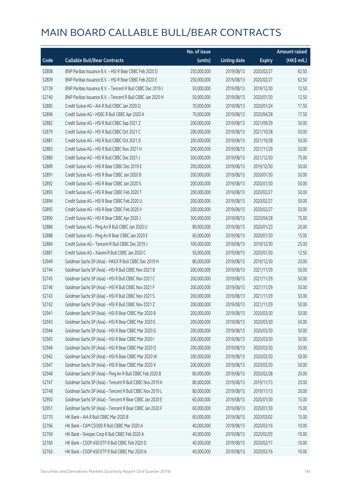|       |                                                            | No. of issue |                     |               | <b>Amount raised</b> |
|-------|------------------------------------------------------------|--------------|---------------------|---------------|----------------------|
| Code  | <b>Callable Bull/Bear Contracts</b>                        | (units)      | <b>Listing date</b> | <b>Expiry</b> | (HK\$ mil.)          |
| 52808 | BNP Paribas Issuance B.V. - HSI R Bear CBBC Feb 2020 D     | 250,000,000  | 2019/08/13          | 2020/02/27    | 62.50                |
| 52809 | BNP Paribas Issuance B.V. - HSI R Bear CBBC Feb 2020 E     | 250,000,000  | 2019/08/13          | 2020/02/27    | 62.50                |
| 52739 | BNP Paribas Issuance B.V. - Tencent R Bull CBBC Dec 2019 J | 50,000,000   | 2019/08/13          | 2019/12/30    | 12.50                |
| 52740 | BNP Paribas Issuance B.V. - Tencent R Bull CBBC Jan 2020 H | 50,000,000   | 2019/08/13          | 2020/01/30    | 12.50                |
| 52885 | Credit Suisse AG - AIA R Bull CBBC Jan 2020 Q              | 70,000,000   | 2019/08/13          | 2020/01/24    | 17.50                |
| 52896 | Credit Suisse AG - HSBC R Bull CBBC Apr 2020 A             | 70,000,000   | 2019/08/13          | 2020/04/28    | 17.50                |
| 52882 | Credit Suisse AG - HSI R Bull CBBC Sep 2021 Z              | 200,000,000  | 2019/08/13          | 2021/09/29    | 50.00                |
| 52879 | Credit Suisse AG - HSI R Bull CBBC Oct 2021 C              | 200,000,000  | 2019/08/13          | 2021/10/28    | 50.00                |
| 52881 | Credit Suisse AG - HSI R Bull CBBC Oct 2021 D              | 200,000,000  | 2019/08/13          | 2021/10/28    | 50.00                |
| 52883 | Credit Suisse AG - HSI R Bull CBBC Nov 2021 H              | 200,000,000  | 2019/08/13          | 2021/11/29    | 50.00                |
| 52880 | Credit Suisse AG - HSI R Bull CBBC Dec 2021 J              | 300,000,000  | 2019/08/13          | 2021/12/30    | 75.00                |
| 52889 | Credit Suisse AG - HSI R Bear CBBC Dec 2019 E              | 200,000,000  | 2019/08/13          | 2019/12/30    | 50.00                |
| 52891 | Credit Suisse AG - HSI R Bear CBBC Jan 2020 B              | 200,000,000  | 2019/08/13          | 2020/01/30    | 50.00                |
| 52892 | Credit Suisse AG - HSI R Bear CBBC Jan 2020 S              | 200,000,000  | 2019/08/13          | 2020/01/30    | 50.00                |
| 52893 | Credit Suisse AG - HSI R Bear CBBC Feb 2020 T              | 200,000,000  | 2019/08/13          | 2020/02/27    | 50.00                |
| 52894 | Credit Suisse AG - HSI R Bear CBBC Feb 2020 U              | 200,000,000  | 2019/08/13          | 2020/02/27    | 50.00                |
| 52895 | Credit Suisse AG - HSI R Bear CBBC Feb 2020 V              | 200,000,000  | 2019/08/13          | 2020/02/27    | 50.00                |
| 52890 | Credit Suisse AG - HSI R Bear CBBC Apr 2020 J              | 300,000,000  | 2019/08/13          | 2020/04/28    | 75.00                |
| 52886 | Credit Suisse AG - Ping An R Bull CBBC Jan 2020 U          | 80,000,000   | 2019/08/13          | 2020/01/23    | 20.00                |
| 52888 | Credit Suisse AG - Ping An R Bear CBBC Jan 2020 E          | 60,000,000   | 2019/08/13          | 2020/01/30    | 15.00                |
| 52884 | Credit Suisse AG - Tencent R Bull CBBC Dec 2019 J          | 100,000,000  | 2019/08/13          | 2019/12/30    | 25.00                |
| 52887 | Credit Suisse AG - Xiaomi R Bull CBBC Jan 2020 C           | 50,000,000   | 2019/08/13          | 2020/01/30    | 12.50                |
| 52949 | Goldman Sachs SP (Asia) - HKEX R Bull CBBC Dec 2019 H      | 80,000,000   | 2019/08/13          | 2019/12/30    | 20.00                |
| 52744 | Goldman Sachs SP (Asia) - HSI R Bull CBBC Nov 2021 B       | 200,000,000  | 2019/08/13          | 2021/11/29    | 50.00                |
| 52745 | Goldman Sachs SP (Asia) - HSI R Bull CBBC Nov 2021 C       | 200,000,000  | 2019/08/13          | 2021/11/29    | 50.00                |
| 52746 | Goldman Sachs SP (Asia) - HSI R Bull CBBC Nov 2021 F       | 200,000,000  | 2019/08/13          | 2021/11/29    | 50.00                |
| 52743 | Goldman Sachs SP (Asia) - HSI R Bull CBBC Nov 2021 S       | 200,000,000  | 2019/08/13          | 2021/11/29    | 50.00                |
| 52742 | Goldman Sachs SP (Asia) - HSI R Bull CBBC Nov 2021 Z       | 200,000,000  | 2019/08/13          | 2021/11/29    | 50.00                |
| 52941 | Goldman Sachs SP (Asia) - HSI R Bear CBBC Mar 2020 B       | 200,000,000  | 2019/08/13          | 2020/03/30    | 50.00                |
| 52943 | Goldman Sachs SP (Asia) - HSI R Bear CBBC Mar 2020 E       | 200,000,000  | 2019/08/13          | 2020/03/30    | 50.00                |
| 52944 | Goldman Sachs SP (Asia) - HSI R Bear CBBC Mar 2020 G       | 200,000,000  | 2019/08/13          | 2020/03/30    | 50.00                |
| 52945 | Goldman Sachs SP (Asia) - HSI R Bear CBBC Mar 2020 I       | 200,000,000  | 2019/08/13          | 2020/03/30    | 50.00                |
| 52946 | Goldman Sachs SP (Asia) - HSI R Bear CBBC Mar 2020 O       | 200,000,000  | 2019/08/13          | 2020/03/30    | 50.00                |
| 52942 | Goldman Sachs SP (Asia) - HSI R Bear CBBC Mar 2020 W       | 200,000,000  | 2019/08/13          | 2020/03/30    | 50.00                |
| 52947 | Goldman Sachs SP (Asia) - HSI R Bear CBBC Mar 2020 X       | 200,000,000  | 2019/08/13          | 2020/03/30    | 50.00                |
| 52948 | Goldman Sachs SP (Asia) - Ping An R Bull CBBC Feb 2020 B   | 80,000,000   | 2019/08/13          | 2020/02/28    | 20.00                |
| 52747 | Goldman Sachs SP (Asia) - Tencent R Bull CBBC Nov 2019 K   | 80,000,000   | 2019/08/13          | 2019/11/13    | 20.00                |
| 52748 | Goldman Sachs SP (Asia) - Tencent R Bull CBBC Nov 2019 L   | 80,000,000   | 2019/08/13          | 2019/11/13    | 20.00                |
| 52950 | Goldman Sachs SP (Asia) - Tencent R Bear CBBC Jan 2020 E   | 60,000,000   | 2019/08/13          | 2020/01/30    | 15.00                |
| 52951 | Goldman Sachs SP (Asia) - Tencent R Bear CBBC Jan 2020 F   | 60,000,000   | 2019/08/13          | 2020/01/30    | 15.00                |
| 52770 | HK Bank - AIA R Bull CBBC Mar 2020 B                       | 60,000,000   | 2019/08/13          | 2020/03/02    | 15.00                |
| 52766 | HK Bank - CAM CSI300 R Bull CBBC Mar 2020 A                | 40,000,000   | 2019/08/13          | 2020/03/16    | 10.00                |
| 52769 | HK Bank - Sinopec Corp R Bull CBBC Feb 2020 A              | 40,000,000   | 2019/08/13          | 2020/02/03    | 10.00                |
| 52760 | HK Bank - CSOP A50 ETF R Bull CBBC Feb 2020 D              | 40,000,000   | 2019/08/13          | 2020/02/17    | 10.00                |
| 52763 | HK Bank - CSOP A50 ETF R Bull CBBC Mar 2020 A              | 40,000,000   | 2019/08/13          | 2020/03/16    | 10.00                |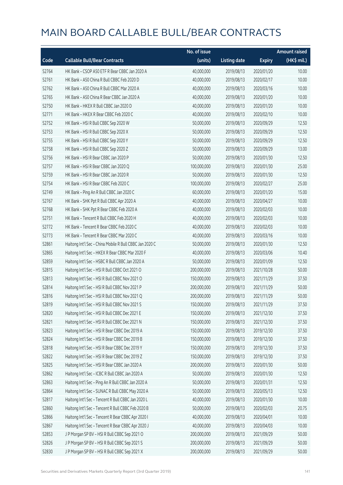|       |                                                         | No. of issue |                     |               | <b>Amount raised</b>  |
|-------|---------------------------------------------------------|--------------|---------------------|---------------|-----------------------|
| Code  | <b>Callable Bull/Bear Contracts</b>                     | (units)      | <b>Listing date</b> | <b>Expiry</b> | $(HK\frac{1}{2}mil.)$ |
| 52764 | HK Bank - CSOP A50 ETF R Bear CBBC Jan 2020 A           | 40,000,000   | 2019/08/13          | 2020/01/20    | 10.00                 |
| 52761 | HK Bank - A50 China R Bull CBBC Feb 2020 D              | 40,000,000   | 2019/08/13          | 2020/02/17    | 10.00                 |
| 52762 | HK Bank - A50 China R Bull CBBC Mar 2020 A              | 40,000,000   | 2019/08/13          | 2020/03/16    | 10.00                 |
| 52765 | HK Bank - A50 China R Bear CBBC Jan 2020 A              | 40,000,000   | 2019/08/13          | 2020/01/20    | 10.00                 |
| 52750 | HK Bank - HKEX R Bull CBBC Jan 2020 D                   | 40,000,000   | 2019/08/13          | 2020/01/20    | 10.00                 |
| 52771 | HK Bank - HKEX R Bear CBBC Feb 2020 C                   | 40,000,000   | 2019/08/13          | 2020/02/10    | 10.00                 |
| 52752 | HK Bank - HSI R Bull CBBC Sep 2020 W                    | 50,000,000   | 2019/08/13          | 2020/09/29    | 12.50                 |
| 52753 | HK Bank - HSI R Bull CBBC Sep 2020 X                    | 50,000,000   | 2019/08/13          | 2020/09/29    | 12.50                 |
| 52755 | HK Bank - HSI R Bull CBBC Sep 2020 Y                    | 50,000,000   | 2019/08/13          | 2020/09/29    | 12.50                 |
| 52758 | HK Bank - HSI R Bull CBBC Sep 2020 Z                    | 50,000,000   | 2019/08/13          | 2020/09/29    | 13.00                 |
| 52756 | HK Bank - HSI R Bear CBBC Jan 2020 P                    | 50,000,000   | 2019/08/13          | 2020/01/30    | 12.50                 |
| 52757 | HK Bank - HSI R Bear CBBC Jan 2020 Q                    | 100,000,000  | 2019/08/13          | 2020/01/30    | 25.00                 |
| 52759 | HK Bank - HSI R Bear CBBC Jan 2020 R                    | 50,000,000   | 2019/08/13          | 2020/01/30    | 12.50                 |
| 52754 | HK Bank - HSI R Bear CBBC Feb 2020 C                    | 100,000,000  | 2019/08/13          | 2020/02/27    | 25.00                 |
| 52749 | HK Bank - Ping An R Bull CBBC Jan 2020 C                | 60,000,000   | 2019/08/13          | 2020/01/20    | 15.00                 |
| 52767 | HK Bank - SHK Ppt R Bull CBBC Apr 2020 A                | 40,000,000   | 2019/08/13          | 2020/04/27    | 10.00                 |
| 52768 | HK Bank - SHK Ppt R Bear CBBC Feb 2020 A                | 40,000,000   | 2019/08/13          | 2020/02/03    | 10.00                 |
| 52751 | HK Bank - Tencent R Bull CBBC Feb 2020 H                | 40,000,000   | 2019/08/13          | 2020/02/03    | 10.00                 |
| 52772 | HK Bank - Tencent R Bear CBBC Feb 2020 C                | 40,000,000   | 2019/08/13          | 2020/02/03    | 10.00                 |
| 52773 | HK Bank - Tencent R Bear CBBC Mar 2020 C                | 40,000,000   | 2019/08/13          | 2020/03/16    | 10.00                 |
| 52861 | Haitong Int'l Sec - China Mobile R Bull CBBC Jan 2020 C | 50,000,000   | 2019/08/13          | 2020/01/30    | 12.50                 |
| 52865 | Haitong Int'l Sec - HKEX R Bear CBBC Mar 2020 F         | 40,000,000   | 2019/08/13          | 2020/03/06    | 10.40                 |
| 52859 | Haitong Int'l Sec - HSBC R Bull CBBC Jan 2020 A         | 50,000,000   | 2019/08/13          | 2020/01/09    | 12.50                 |
| 52815 | Haitong Int'l Sec - HSI R Bull CBBC Oct 2021 O          | 200,000,000  | 2019/08/13          | 2021/10/28    | 50.00                 |
| 52813 | Haitong Int'l Sec - HSI R Bull CBBC Nov 2021 O          | 150,000,000  | 2019/08/13          | 2021/11/29    | 37.50                 |
| 52814 | Haitong Int'l Sec - HSI R Bull CBBC Nov 2021 P          | 200,000,000  | 2019/08/13          | 2021/11/29    | 50.00                 |
| 52816 | Haitong Int'l Sec - HSI R Bull CBBC Nov 2021 Q          | 200,000,000  | 2019/08/13          | 2021/11/29    | 50.00                 |
| 52819 | Haitong Int'l Sec - HSI R Bull CBBC Nov 2021 S          | 150,000,000  | 2019/08/13          | 2021/11/29    | 37.50                 |
| 52820 | Haitong Int'l Sec - HSI R Bull CBBC Dec 2021 E          | 150,000,000  | 2019/08/13          | 2021/12/30    | 37.50                 |
| 52821 | Haitong Int'l Sec - HSI R Bull CBBC Dec 2021 N          | 150,000,000  | 2019/08/13          | 2021/12/30    | 37.50                 |
| 52823 | Haitong Int'l Sec - HSI R Bear CBBC Dec 2019 A          | 150,000,000  | 2019/08/13          | 2019/12/30    | 37.50                 |
| 52824 | Haitong Int'l Sec - HSI R Bear CBBC Dec 2019 B          | 150,000,000  | 2019/08/13          | 2019/12/30    | 37.50                 |
| 52818 | Haitong Int'l Sec - HSI R Bear CBBC Dec 2019 Y          | 150,000,000  | 2019/08/13          | 2019/12/30    | 37.50                 |
| 52822 | Haitong Int'l Sec - HSI R Bear CBBC Dec 2019 Z          | 150,000,000  | 2019/08/13          | 2019/12/30    | 37.50                 |
| 52825 | Haitong Int'l Sec - HSI R Bear CBBC Jan 2020 A          | 200,000,000  | 2019/08/13          | 2020/01/30    | 50.00                 |
| 52862 | Haitong Int'l Sec - ICBC R Bull CBBC Jan 2020 A         | 50,000,000   | 2019/08/13          | 2020/01/30    | 12.50                 |
| 52863 | Haitong Int'l Sec - Ping An R Bull CBBC Jan 2020 A      | 50,000,000   | 2019/08/13          | 2020/01/31    | 12.50                 |
| 52864 | Haitong Int'l Sec - SUNAC R Bull CBBC May 2020 A        | 50,000,000   | 2019/08/13          | 2020/05/13    | 12.50                 |
| 52817 | Haitong Int'l Sec - Tencent R Bull CBBC Jan 2020 L      | 40,000,000   | 2019/08/13          | 2020/01/30    | 10.00                 |
| 52860 | Haitong Int'l Sec - Tencent R Bull CBBC Feb 2020 B      | 50,000,000   | 2019/08/13          | 2020/02/03    | 20.75                 |
| 52866 | Haitong Int'l Sec - Tencent R Bear CBBC Apr 2020 I      | 40,000,000   | 2019/08/13          | 2020/04/01    | 10.00                 |
| 52867 | Haitong Int'l Sec - Tencent R Bear CBBC Apr 2020 J      | 40,000,000   | 2019/08/13          | 2020/04/03    | 10.00                 |
| 52853 | J P Morgan SP BV - HSI R Bull CBBC Sep 2021 O           | 200,000,000  | 2019/08/13          | 2021/09/29    | 50.00                 |
| 52826 | JP Morgan SP BV - HSIR Bull CBBC Sep 2021 S             | 200,000,000  | 2019/08/13          | 2021/09/29    | 50.00                 |
| 52830 | J P Morgan SP BV - HSI R Bull CBBC Sep 2021 X           | 200,000,000  | 2019/08/13          | 2021/09/29    | 50.00                 |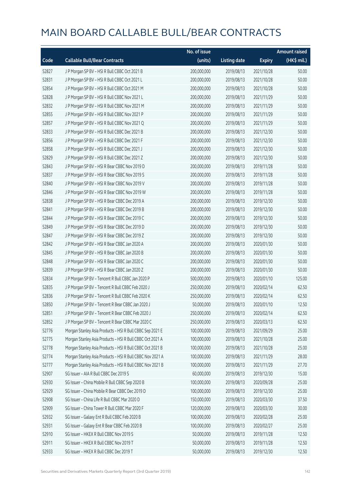|       |                                                           | No. of issue |                     |               | <b>Amount raised</b> |
|-------|-----------------------------------------------------------|--------------|---------------------|---------------|----------------------|
| Code  | <b>Callable Bull/Bear Contracts</b>                       | (units)      | <b>Listing date</b> | <b>Expiry</b> | (HK\$ mil.)          |
| 52827 | JP Morgan SP BV - HSIR Bull CBBC Oct 2021 B               | 200,000,000  | 2019/08/13          | 2021/10/28    | 50.00                |
| 52831 | JP Morgan SP BV - HSIR Bull CBBC Oct 2021 L               | 200,000,000  | 2019/08/13          | 2021/10/28    | 50.00                |
| 52854 | J P Morgan SP BV - HSI R Bull CBBC Oct 2021 M             | 200,000,000  | 2019/08/13          | 2021/10/28    | 50.00                |
| 52828 | J P Morgan SP BV - HSI R Bull CBBC Nov 2021 L             | 200,000,000  | 2019/08/13          | 2021/11/29    | 50.00                |
| 52832 | J P Morgan SP BV - HSI R Bull CBBC Nov 2021 M             | 200,000,000  | 2019/08/13          | 2021/11/29    | 50.00                |
| 52855 | J P Morgan SP BV - HSI R Bull CBBC Nov 2021 P             | 200,000,000  | 2019/08/13          | 2021/11/29    | 50.00                |
| 52857 | J P Morgan SP BV - HSI R Bull CBBC Nov 2021 Q             | 200,000,000  | 2019/08/13          | 2021/11/29    | 50.00                |
| 52833 | J P Morgan SP BV - HSI R Bull CBBC Dec 2021 B             | 200,000,000  | 2019/08/13          | 2021/12/30    | 50.00                |
| 52856 | J P Morgan SP BV - HSI R Bull CBBC Dec 2021 F             | 200,000,000  | 2019/08/13          | 2021/12/30    | 50.00                |
| 52858 | J P Morgan SP BV - HSI R Bull CBBC Dec 2021 J             | 200,000,000  | 2019/08/13          | 2021/12/30    | 50.00                |
| 52829 | J P Morgan SP BV - HSI R Bull CBBC Dec 2021 Z             | 200,000,000  | 2019/08/13          | 2021/12/30    | 50.00                |
| 52843 | J P Morgan SP BV - HSI R Bear CBBC Nov 2019 D             | 200,000,000  | 2019/08/13          | 2019/11/28    | 50.00                |
| 52837 | J P Morgan SP BV - HSI R Bear CBBC Nov 2019 S             | 200,000,000  | 2019/08/13          | 2019/11/28    | 50.00                |
| 52840 | J P Morgan SP BV - HSI R Bear CBBC Nov 2019 V             | 200,000,000  | 2019/08/13          | 2019/11/28    | 50.00                |
| 52846 | J P Morgan SP BV - HSI R Bear CBBC Nov 2019 W             | 200,000,000  | 2019/08/13          | 2019/11/28    | 50.00                |
| 52838 | J P Morgan SP BV - HSI R Bear CBBC Dec 2019 A             | 200,000,000  | 2019/08/13          | 2019/12/30    | 50.00                |
| 52841 | J P Morgan SP BV - HSI R Bear CBBC Dec 2019 B             | 200,000,000  | 2019/08/13          | 2019/12/30    | 50.00                |
| 52844 | J P Morgan SP BV - HSI R Bear CBBC Dec 2019 C             | 200,000,000  | 2019/08/13          | 2019/12/30    | 50.00                |
| 52849 | J P Morgan SP BV - HSI R Bear CBBC Dec 2019 D             | 200,000,000  | 2019/08/13          | 2019/12/30    | 50.00                |
| 52847 | J P Morgan SP BV - HSI R Bear CBBC Dec 2019 Z             | 200,000,000  | 2019/08/13          | 2019/12/30    | 50.00                |
| 52842 | J P Morgan SP BV - HSI R Bear CBBC Jan 2020 A             | 200,000,000  | 2019/08/13          | 2020/01/30    | 50.00                |
| 52845 | J P Morgan SP BV - HSI R Bear CBBC Jan 2020 B             | 200,000,000  | 2019/08/13          | 2020/01/30    | 50.00                |
| 52848 | J P Morgan SP BV - HSI R Bear CBBC Jan 2020 C             | 200,000,000  | 2019/08/13          | 2020/01/30    | 50.00                |
| 52839 | J P Morgan SP BV - HSI R Bear CBBC Jan 2020 Z             | 200,000,000  | 2019/08/13          | 2020/01/30    | 50.00                |
| 52834 | J P Morgan SP BV - Tencent R Bull CBBC Jan 2020 P         | 500,000,000  | 2019/08/13          | 2020/01/10    | 125.00               |
| 52835 | J P Morgan SP BV - Tencent R Bull CBBC Feb 2020 J         | 250,000,000  | 2019/08/13          | 2020/02/14    | 62.50                |
| 52836 | J P Morgan SP BV - Tencent R Bull CBBC Feb 2020 K         | 250,000,000  | 2019/08/13          | 2020/02/14    | 62.50                |
| 52850 | J P Morgan SP BV - Tencent R Bear CBBC Jan 2020 J         | 50,000,000   | 2019/08/13          | 2020/01/10    | 12.50                |
| 52851 | J P Morgan SP BV - Tencent R Bear CBBC Feb 2020 J         | 250,000,000  | 2019/08/13          | 2020/02/14    | 62.50                |
| 52852 | J P Morgan SP BV - Tencent R Bear CBBC Mar 2020 C         | 250,000,000  | 2019/08/13          | 2020/03/13    | 62.50                |
| 52776 | Morgan Stanley Asia Products - HSI R Bull CBBC Sep 2021 E | 100,000,000  | 2019/08/13          | 2021/09/29    | 25.00                |
| 52775 | Morgan Stanley Asia Products - HSI R Bull CBBC Oct 2021 A | 100,000,000  | 2019/08/13          | 2021/10/28    | 25.00                |
| 52778 | Morgan Stanley Asia Products - HSI R Bull CBBC Oct 2021 B | 100,000,000  | 2019/08/13          | 2021/10/28    | 25.00                |
| 52774 | Morgan Stanley Asia Products - HSI R Bull CBBC Nov 2021 A | 100,000,000  | 2019/08/13          | 2021/11/29    | 28.00                |
| 52777 | Morgan Stanley Asia Products - HSI R Bull CBBC Nov 2021 B | 100,000,000  | 2019/08/13          | 2021/11/29    | 27.70                |
| 52907 | SG Issuer - AIA R Bull CBBC Dec 2019 S                    | 60,000,000   | 2019/08/13          | 2019/12/30    | 15.00                |
| 52930 | SG Issuer - China Mobile R Bull CBBC Sep 2020 B           | 100,000,000  | 2019/08/13          | 2020/09/28    | 25.00                |
| 52929 | SG Issuer - China Mobile R Bear CBBC Dec 2019 D           | 100,000,000  | 2019/08/13          | 2019/12/30    | 25.00                |
| 52908 | SG Issuer - China Life R Bull CBBC Mar 2020 D             | 150,000,000  | 2019/08/13          | 2020/03/30    | 37.50                |
| 52909 | SG Issuer - China Tower R Bull CBBC Mar 2020 F            | 120,000,000  | 2019/08/13          | 2020/03/30    | 30.00                |
| 52932 | SG Issuer - Galaxy Ent R Bull CBBC Feb 2020 B             | 100,000,000  | 2019/08/13          | 2020/02/28    | 25.00                |
| 52931 | SG Issuer - Galaxy Ent R Bear CBBC Feb 2020 B             | 100,000,000  | 2019/08/13          | 2020/02/27    | 25.00                |
| 52910 | SG Issuer - HKEX R Bull CBBC Nov 2019 S                   | 50,000,000   | 2019/08/13          | 2019/11/28    | 12.50                |
| 52911 | SG Issuer - HKEX R Bull CBBC Nov 2019 T                   | 50,000,000   | 2019/08/13          | 2019/11/28    | 12.50                |
| 52933 | SG Issuer - HKEX R Bull CBBC Dec 2019 T                   | 50,000,000   | 2019/08/13          | 2019/12/30    | 12.50                |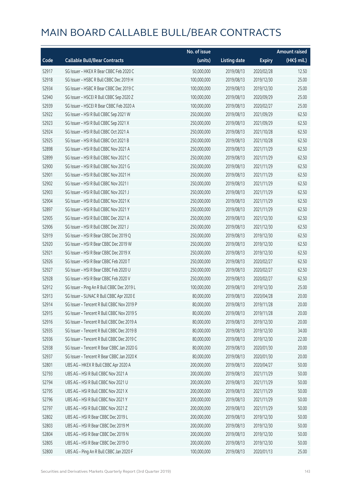|       |                                            | No. of issue |                     |               | <b>Amount raised</b> |
|-------|--------------------------------------------|--------------|---------------------|---------------|----------------------|
| Code  | <b>Callable Bull/Bear Contracts</b>        | (units)      | <b>Listing date</b> | <b>Expiry</b> | (HK\$ mil.)          |
| 52917 | SG Issuer - HKEX R Bear CBBC Feb 2020 C    | 50,000,000   | 2019/08/13          | 2020/02/28    | 12.50                |
| 52918 | SG Issuer - HSBC R Bull CBBC Dec 2019 H    | 100,000,000  | 2019/08/13          | 2019/12/30    | 25.00                |
| 52934 | SG Issuer - HSBC R Bear CBBC Dec 2019 C    | 100,000,000  | 2019/08/13          | 2019/12/30    | 25.00                |
| 52940 | SG Issuer - HSCEI R Bull CBBC Sep 2020 Z   | 100,000,000  | 2019/08/13          | 2020/09/29    | 25.00                |
| 52939 | SG Issuer - HSCEI R Bear CBBC Feb 2020 A   | 100,000,000  | 2019/08/13          | 2020/02/27    | 25.00                |
| 52922 | SG Issuer - HSI R Bull CBBC Sep 2021 W     | 250,000,000  | 2019/08/13          | 2021/09/29    | 62.50                |
| 52923 | SG Issuer - HSI R Bull CBBC Sep 2021 X     | 250,000,000  | 2019/08/13          | 2021/09/29    | 62.50                |
| 52924 | SG Issuer - HSI R Bull CBBC Oct 2021 A     | 250,000,000  | 2019/08/13          | 2021/10/28    | 62.50                |
| 52925 | SG Issuer - HSI R Bull CBBC Oct 2021 B     | 250,000,000  | 2019/08/13          | 2021/10/28    | 62.50                |
| 52898 | SG Issuer - HSI R Bull CBBC Nov 2021 A     | 250,000,000  | 2019/08/13          | 2021/11/29    | 62.50                |
| 52899 | SG Issuer - HSI R Bull CBBC Nov 2021 C     | 250,000,000  | 2019/08/13          | 2021/11/29    | 62.50                |
| 52900 | SG Issuer - HSI R Bull CBBC Nov 2021 G     | 250,000,000  | 2019/08/13          | 2021/11/29    | 62.50                |
| 52901 | SG Issuer - HSI R Bull CBBC Nov 2021 H     | 250,000,000  | 2019/08/13          | 2021/11/29    | 62.50                |
| 52902 | SG Issuer - HSI R Bull CBBC Nov 2021 I     | 250,000,000  | 2019/08/13          | 2021/11/29    | 62.50                |
| 52903 | SG Issuer - HSI R Bull CBBC Nov 2021 J     | 250,000,000  | 2019/08/13          | 2021/11/29    | 62.50                |
| 52904 | SG Issuer - HSI R Bull CBBC Nov 2021 K     | 250,000,000  | 2019/08/13          | 2021/11/29    | 62.50                |
| 52897 | SG Issuer - HSI R Bull CBBC Nov 2021 Y     | 250,000,000  | 2019/08/13          | 2021/11/29    | 62.50                |
| 52905 | SG Issuer - HSI R Bull CBBC Dec 2021 A     | 250,000,000  | 2019/08/13          | 2021/12/30    | 62.50                |
| 52906 | SG Issuer - HSI R Bull CBBC Dec 2021 J     | 250,000,000  | 2019/08/13          | 2021/12/30    | 62.50                |
| 52919 | SG Issuer - HSI R Bear CBBC Dec 2019 Q     | 250,000,000  | 2019/08/13          | 2019/12/30    | 62.50                |
| 52920 | SG Issuer - HSI R Bear CBBC Dec 2019 W     | 250,000,000  | 2019/08/13          | 2019/12/30    | 62.50                |
| 52921 | SG Issuer - HSI R Bear CBBC Dec 2019 X     | 250,000,000  | 2019/08/13          | 2019/12/30    | 62.50                |
| 52926 | SG Issuer - HSI R Bear CBBC Feb 2020 T     | 250,000,000  | 2019/08/13          | 2020/02/27    | 62.50                |
| 52927 | SG Issuer - HSI R Bear CBBC Feb 2020 U     | 250,000,000  | 2019/08/13          | 2020/02/27    | 62.50                |
| 52928 | SG Issuer - HSI R Bear CBBC Feb 2020 V     | 250,000,000  | 2019/08/13          | 2020/02/27    | 62.50                |
| 52912 | SG Issuer - Ping An R Bull CBBC Dec 2019 L | 100,000,000  | 2019/08/13          | 2019/12/30    | 25.00                |
| 52913 | SG Issuer - SUNAC R Bull CBBC Apr 2020 E   | 80,000,000   | 2019/08/13          | 2020/04/28    | 20.00                |
| 52914 | SG Issuer - Tencent R Bull CBBC Nov 2019 P | 80,000,000   | 2019/08/13          | 2019/11/28    | 20.00                |
| 52915 | SG Issuer - Tencent R Bull CBBC Nov 2019 S | 80,000,000   | 2019/08/13          | 2019/11/28    | 20.00                |
| 52916 | SG Issuer - Tencent R Bull CBBC Dec 2019 A | 80,000,000   | 2019/08/13          | 2019/12/30    | 20.00                |
| 52935 | SG Issuer - Tencent R Bull CBBC Dec 2019 B | 80,000,000   | 2019/08/13          | 2019/12/30    | 34.00                |
| 52936 | SG Issuer - Tencent R Bull CBBC Dec 2019 C | 80,000,000   | 2019/08/13          | 2019/12/30    | 22.00                |
| 52938 | SG Issuer - Tencent R Bear CBBC Jan 2020 G | 80,000,000   | 2019/08/13          | 2020/01/30    | 20.00                |
| 52937 | SG Issuer - Tencent R Bear CBBC Jan 2020 K | 80,000,000   | 2019/08/13          | 2020/01/30    | 20.00                |
| 52801 | UBS AG - HKEX R Bull CBBC Apr 2020 A       | 200,000,000  | 2019/08/13          | 2020/04/27    | 50.00                |
| 52793 | UBS AG - HSI R Bull CBBC Nov 2021 A        | 200,000,000  | 2019/08/13          | 2021/11/29    | 50.00                |
| 52794 | UBS AG - HSI R Bull CBBC Nov 2021 U        | 200,000,000  | 2019/08/13          | 2021/11/29    | 50.00                |
| 52795 | UBS AG - HSI R Bull CBBC Nov 2021 X        | 200,000,000  | 2019/08/13          | 2021/11/29    | 50.00                |
| 52796 | UBS AG - HSI R Bull CBBC Nov 2021 Y        | 200,000,000  | 2019/08/13          | 2021/11/29    | 50.00                |
| 52797 | UBS AG - HSI R Bull CBBC Nov 2021 Z        | 200,000,000  | 2019/08/13          | 2021/11/29    | 50.00                |
| 52802 | UBS AG - HSI R Bear CBBC Dec 2019 L        | 200,000,000  | 2019/08/13          | 2019/12/30    | 50.00                |
| 52803 | UBS AG - HSI R Bear CBBC Dec 2019 M        | 200,000,000  | 2019/08/13          | 2019/12/30    | 50.00                |
| 52804 | UBS AG - HSI R Bear CBBC Dec 2019 N        | 200,000,000  | 2019/08/13          | 2019/12/30    | 50.00                |
| 52805 | UBS AG - HSI R Bear CBBC Dec 2019 O        | 200,000,000  | 2019/08/13          | 2019/12/30    | 50.00                |
| 52800 | UBS AG - Ping An R Bull CBBC Jan 2020 F    | 100,000,000  | 2019/08/13          | 2020/01/13    | 25.00                |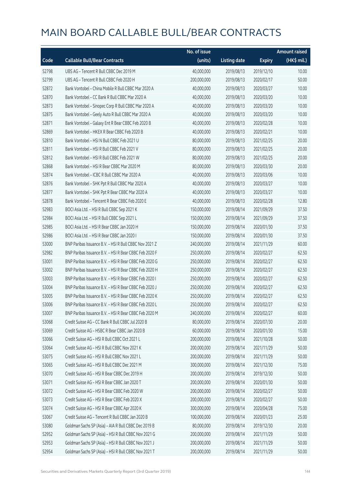|       |                                                        | No. of issue |                     |               | <b>Amount raised</b> |
|-------|--------------------------------------------------------|--------------|---------------------|---------------|----------------------|
| Code  | <b>Callable Bull/Bear Contracts</b>                    | (units)      | <b>Listing date</b> | <b>Expiry</b> | (HK\$ mil.)          |
| 52798 | UBS AG - Tencent R Bull CBBC Dec 2019 M                | 40,000,000   | 2019/08/13          | 2019/12/10    | 10.00                |
| 52799 | UBS AG - Tencent R Bull CBBC Feb 2020 H                | 200,000,000  | 2019/08/13          | 2020/02/17    | 50.00                |
| 52872 | Bank Vontobel - China Mobile R Bull CBBC Mar 2020 A    | 40,000,000   | 2019/08/13          | 2020/03/27    | 10.00                |
| 52870 | Bank Vontobel - CC Bank R Bull CBBC Mar 2020 A         | 40,000,000   | 2019/08/13          | 2020/03/20    | 10.00                |
| 52873 | Bank Vontobel - Sinopec Corp R Bull CBBC Mar 2020 A    | 40,000,000   | 2019/08/13          | 2020/03/20    | 10.00                |
| 52875 | Bank Vontobel - Geely Auto R Bull CBBC Mar 2020 A      | 40,000,000   | 2019/08/13          | 2020/03/20    | 10.00                |
| 52871 | Bank Vontobel - Galaxy Ent R Bear CBBC Feb 2020 B      | 40,000,000   | 2019/08/13          | 2020/02/28    | 10.00                |
| 52869 | Bank Vontobel - HKEX R Bear CBBC Feb 2020 B            | 40,000,000   | 2019/08/13          | 2020/02/21    | 10.00                |
| 52810 | Bank Vontobel - HSI N Bull CBBC Feb 2021 U             | 80,000,000   | 2019/08/13          | 2021/02/25    | 20.00                |
| 52811 | Bank Vontobel - HSI R Bull CBBC Feb 2021 V             | 80,000,000   | 2019/08/13          | 2021/02/25    | 20.00                |
| 52812 | Bank Vontobel - HSI R Bull CBBC Feb 2021 W             | 80,000,000   | 2019/08/13          | 2021/02/25    | 20.00                |
| 52868 | Bank Vontobel - HSI R Bear CBBC Mar 2020 M             | 80,000,000   | 2019/08/13          | 2020/03/30    | 20.00                |
| 52874 | Bank Vontobel - ICBC R Bull CBBC Mar 2020 A            | 40,000,000   | 2019/08/13          | 2020/03/06    | 10.00                |
| 52876 | Bank Vontobel - SHK Ppt R Bull CBBC Mar 2020 A         | 40,000,000   | 2019/08/13          | 2020/03/27    | 10.00                |
| 52877 | Bank Vontobel - SHK Ppt R Bear CBBC Mar 2020 A         | 40,000,000   | 2019/08/13          | 2020/03/27    | 10.00                |
| 52878 | Bank Vontobel - Tencent R Bear CBBC Feb 2020 E         | 40,000,000   | 2019/08/13          | 2020/02/28    | 12.80                |
| 52983 | BOCI Asia Ltd. - HSI R Bull CBBC Sep 2021 K            | 150,000,000  | 2019/08/14          | 2021/09/29    | 37.50                |
| 52984 | BOCI Asia Ltd. - HSI R Bull CBBC Sep 2021 L            | 150,000,000  | 2019/08/14          | 2021/09/29    | 37.50                |
| 52985 | BOCI Asia Ltd. - HSI R Bear CBBC Jan 2020 H            | 150,000,000  | 2019/08/14          | 2020/01/30    | 37.50                |
| 52986 | BOCI Asia Ltd. - HSI R Bear CBBC Jan 2020 I            | 150,000,000  | 2019/08/14          | 2020/01/30    | 37.50                |
| 53000 | BNP Paribas Issuance B.V. - HSI R Bull CBBC Nov 2021 Z | 240,000,000  | 2019/08/14          | 2021/11/29    | 60.00                |
| 52982 | BNP Paribas Issuance B.V. - HSI R Bear CBBC Feb 2020 F | 250,000,000  | 2019/08/14          | 2020/02/27    | 62.50                |
| 53001 | BNP Paribas Issuance B.V. - HSI R Bear CBBC Feb 2020 G | 250,000,000  | 2019/08/14          | 2020/02/27    | 62.50                |
| 53002 | BNP Paribas Issuance B.V. - HSI R Bear CBBC Feb 2020 H | 250,000,000  | 2019/08/14          | 2020/02/27    | 62.50                |
| 53003 | BNP Paribas Issuance B.V. - HSI R Bear CBBC Feb 2020 I | 250,000,000  | 2019/08/14          | 2020/02/27    | 62.50                |
| 53004 | BNP Paribas Issuance B.V. - HSI R Bear CBBC Feb 2020 J | 250,000,000  | 2019/08/14          | 2020/02/27    | 62.50                |
| 53005 | BNP Paribas Issuance B.V. - HSI R Bear CBBC Feb 2020 K | 250,000,000  | 2019/08/14          | 2020/02/27    | 62.50                |
| 53006 | BNP Paribas Issuance B.V. - HSI R Bear CBBC Feb 2020 L | 250,000,000  | 2019/08/14          | 2020/02/27    | 62.50                |
| 53007 | BNP Paribas Issuance B.V. - HSI R Bear CBBC Feb 2020 M | 240,000,000  | 2019/08/14          | 2020/02/27    | 60.00                |
| 53068 | Credit Suisse AG - CC Bank R Bull CBBC Jul 2020 B      | 80,000,000   | 2019/08/14          | 2020/07/30    | 20.00                |
| 53069 | Credit Suisse AG - HSBC R Bear CBBC Jan 2020 B         | 60,000,000   | 2019/08/14          | 2020/01/30    | 15.00                |
| 53066 | Credit Suisse AG - HSI R Bull CBBC Oct 2021 L          | 200,000,000  | 2019/08/14          | 2021/10/28    | 50.00                |
| 53064 | Credit Suisse AG - HSI R Bull CBBC Nov 2021 K          | 200,000,000  | 2019/08/14          | 2021/11/29    | 50.00                |
| 53075 | Credit Suisse AG - HSI R Bull CBBC Nov 2021 L          | 200,000,000  | 2019/08/14          | 2021/11/29    | 50.00                |
| 53065 | Credit Suisse AG - HSI R Bull CBBC Dec 2021 M          | 300,000,000  | 2019/08/14          | 2021/12/30    | 75.00                |
| 53070 | Credit Suisse AG - HSI R Bear CBBC Dec 2019 H          | 200,000,000  | 2019/08/14          | 2019/12/30    | 50.00                |
| 53071 | Credit Suisse AG - HSI R Bear CBBC Jan 2020 T          | 200,000,000  | 2019/08/14          | 2020/01/30    | 50.00                |
| 53072 | Credit Suisse AG - HSI R Bear CBBC Feb 2020 W          | 200,000,000  | 2019/08/14          | 2020/02/27    | 50.00                |
| 53073 | Credit Suisse AG - HSI R Bear CBBC Feb 2020 X          | 200,000,000  | 2019/08/14          | 2020/02/27    | 50.00                |
| 53074 | Credit Suisse AG - HSI R Bear CBBC Apr 2020 K          | 300,000,000  | 2019/08/14          | 2020/04/28    | 75.00                |
| 53067 | Credit Suisse AG - Tencent R Bull CBBC Jan 2020 B      | 100,000,000  | 2019/08/14          | 2020/01/23    | 25.00                |
| 53080 | Goldman Sachs SP (Asia) - AIA R Bull CBBC Dec 2019 B   | 80,000,000   | 2019/08/14          | 2019/12/30    | 20.00                |
| 52952 | Goldman Sachs SP (Asia) - HSI R Bull CBBC Nov 2021 G   | 200,000,000  | 2019/08/14          | 2021/11/29    | 50.00                |
| 52953 | Goldman Sachs SP (Asia) - HSI R Bull CBBC Nov 2021 J   | 200,000,000  | 2019/08/14          | 2021/11/29    | 50.00                |
| 52954 | Goldman Sachs SP (Asia) - HSI R Bull CBBC Nov 2021 T   | 200,000,000  | 2019/08/14          | 2021/11/29    | 50.00                |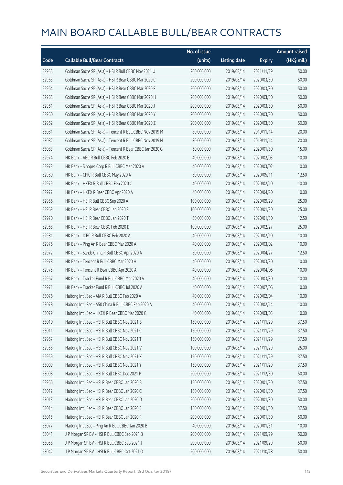|       |                                                          | No. of issue |                     |               | <b>Amount raised</b> |
|-------|----------------------------------------------------------|--------------|---------------------|---------------|----------------------|
| Code  | <b>Callable Bull/Bear Contracts</b>                      | (units)      | <b>Listing date</b> | <b>Expiry</b> | (HK\$ mil.)          |
| 52955 | Goldman Sachs SP (Asia) - HSI R Bull CBBC Nov 2021 U     | 200,000,000  | 2019/08/14          | 2021/11/29    | 50.00                |
| 52963 | Goldman Sachs SP (Asia) - HSI R Bear CBBC Mar 2020 C     | 200,000,000  | 2019/08/14          | 2020/03/30    | 50.00                |
| 52964 | Goldman Sachs SP (Asia) - HSI R Bear CBBC Mar 2020 F     | 200,000,000  | 2019/08/14          | 2020/03/30    | 50.00                |
| 52965 | Goldman Sachs SP (Asia) - HSI R Bear CBBC Mar 2020 H     | 200,000,000  | 2019/08/14          | 2020/03/30    | 50.00                |
| 52961 | Goldman Sachs SP (Asia) - HSI R Bear CBBC Mar 2020 J     | 200,000,000  | 2019/08/14          | 2020/03/30    | 50.00                |
| 52960 | Goldman Sachs SP (Asia) - HSI R Bear CBBC Mar 2020 Y     | 200,000,000  | 2019/08/14          | 2020/03/30    | 50.00                |
| 52962 | Goldman Sachs SP (Asia) - HSI R Bear CBBC Mar 2020 Z     | 200,000,000  | 2019/08/14          | 2020/03/30    | 50.00                |
| 53081 | Goldman Sachs SP (Asia) - Tencent R Bull CBBC Nov 2019 M | 80,000,000   | 2019/08/14          | 2019/11/14    | 20.00                |
| 53082 | Goldman Sachs SP (Asia) - Tencent R Bull CBBC Nov 2019 N | 80,000,000   | 2019/08/14          | 2019/11/14    | 20.00                |
| 53083 | Goldman Sachs SP (Asia) - Tencent R Bear CBBC Jan 2020 G | 60,000,000   | 2019/08/14          | 2020/01/30    | 15.00                |
| 52974 | HK Bank - ABC R Bull CBBC Feb 2020 B                     | 40,000,000   | 2019/08/14          | 2020/02/03    | 10.00                |
| 52973 | HK Bank - Sinopec Corp R Bull CBBC Mar 2020 A            | 40,000,000   | 2019/08/14          | 2020/03/02    | 10.00                |
| 52980 | HK Bank - CPIC R Bull CBBC May 2020 A                    | 50,000,000   | 2019/08/14          | 2020/05/11    | 12.50                |
| 52979 | HK Bank - HKEX R Bull CBBC Feb 2020 C                    | 40,000,000   | 2019/08/14          | 2020/02/10    | 10.00                |
| 52977 | HK Bank - HKEX R Bear CBBC Apr 2020 A                    | 40,000,000   | 2019/08/14          | 2020/04/20    | 10.00                |
| 52956 | HK Bank - HSI R Bull CBBC Sep 2020 A                     | 100,000,000  | 2019/08/14          | 2020/09/29    | 25.00                |
| 52969 | HK Bank - HSI R Bear CBBC Jan 2020 S                     | 100,000,000  | 2019/08/14          | 2020/01/30    | 25.00                |
| 52970 | HK Bank - HSI R Bear CBBC Jan 2020 T                     | 50,000,000   | 2019/08/14          | 2020/01/30    | 12.50                |
| 52968 | HK Bank - HSI R Bear CBBC Feb 2020 D                     | 100,000,000  | 2019/08/14          | 2020/02/27    | 25.00                |
| 52981 | HK Bank - ICBC R Bull CBBC Feb 2020 A                    | 40,000,000   | 2019/08/14          | 2020/02/10    | 10.00                |
| 52976 | HK Bank - Ping An R Bear CBBC Mar 2020 A                 | 40,000,000   | 2019/08/14          | 2020/03/02    | 10.00                |
| 52972 | HK Bank - Sands China R Bull CBBC Apr 2020 A             | 50,000,000   | 2019/08/14          | 2020/04/27    | 12.50                |
| 52978 | HK Bank - Tencent R Bull CBBC Mar 2020 H                 | 40,000,000   | 2019/08/14          | 2020/03/30    | 10.00                |
| 52975 | HK Bank - Tencent R Bear CBBC Apr 2020 A                 | 40,000,000   | 2019/08/14          | 2020/04/06    | 10.00                |
| 52967 | HK Bank - Tracker Fund R Bull CBBC Mar 2020 A            | 40,000,000   | 2019/08/14          | 2020/03/30    | 10.00                |
| 52971 | HK Bank - Tracker Fund R Bull CBBC Jul 2020 A            | 40,000,000   | 2019/08/14          | 2020/07/06    | 10.00                |
| 53076 | Haitong Int'l Sec - AIA R Bull CBBC Feb 2020 A           | 40,000,000   | 2019/08/14          | 2020/02/04    | 10.00                |
| 53078 | Haitong Int'l Sec - A50 China R Bull CBBC Feb 2020 A     | 40,000,000   | 2019/08/14          | 2020/02/14    | 10.00                |
| 53079 | Haitong Int'l Sec - HKEX R Bear CBBC Mar 2020 G          | 40,000,000   | 2019/08/14          | 2020/03/05    | 10.00                |
| 53010 | Haitong Int'l Sec - HSI R Bull CBBC Nov 2021 B           | 150,000,000  | 2019/08/14          | 2021/11/29    | 37.50                |
| 53011 | Haitong Int'l Sec - HSI R Bull CBBC Nov 2021 C           | 150,000,000  | 2019/08/14          | 2021/11/29    | 37.50                |
| 52957 | Haitong Int'l Sec - HSI R Bull CBBC Nov 2021 T           | 150,000,000  | 2019/08/14          | 2021/11/29    | 37.50                |
| 52958 | Haitong Int'l Sec - HSI R Bull CBBC Nov 2021 V           | 100,000,000  | 2019/08/14          | 2021/11/29    | 25.00                |
| 52959 | Haitong Int'l Sec - HSI R Bull CBBC Nov 2021 X           | 150,000,000  | 2019/08/14          | 2021/11/29    | 37.50                |
| 53009 | Haitong Int'l Sec - HSI R Bull CBBC Nov 2021 Y           | 150,000,000  | 2019/08/14          | 2021/11/29    | 37.50                |
| 53008 | Haitong Int'l Sec - HSI R Bull CBBC Dec 2021 P           | 200,000,000  | 2019/08/14          | 2021/12/30    | 50.00                |
| 52966 | Haitong Int'l Sec - HSI R Bear CBBC Jan 2020 B           | 150,000,000  | 2019/08/14          | 2020/01/30    | 37.50                |
| 53012 | Haitong Int'l Sec - HSI R Bear CBBC Jan 2020 C           | 150,000,000  | 2019/08/14          | 2020/01/30    | 37.50                |
| 53013 | Haitong Int'l Sec - HSI R Bear CBBC Jan 2020 D           | 200,000,000  | 2019/08/14          | 2020/01/30    | 50.00                |
| 53014 | Haitong Int'l Sec - HSI R Bear CBBC Jan 2020 E           | 150,000,000  | 2019/08/14          | 2020/01/30    | 37.50                |
| 53015 | Haitong Int'l Sec - HSI R Bear CBBC Jan 2020 F           | 200,000,000  | 2019/08/14          | 2020/01/30    | 50.00                |
| 53077 | Haitong Int'l Sec - Ping An R Bull CBBC Jan 2020 B       | 40,000,000   | 2019/08/14          | 2020/01/31    | 10.00                |
| 53041 | J P Morgan SP BV - HSI R Bull CBBC Sep 2021 B            | 200,000,000  | 2019/08/14          | 2021/09/29    | 50.00                |
| 53058 | JP Morgan SP BV - HSIR Bull CBBC Sep 2021 J              | 200,000,000  | 2019/08/14          | 2021/09/29    | 50.00                |
| 53042 | J P Morgan SP BV - HSI R Bull CBBC Oct 2021 O            | 200,000,000  | 2019/08/14          | 2021/10/28    | 50.00                |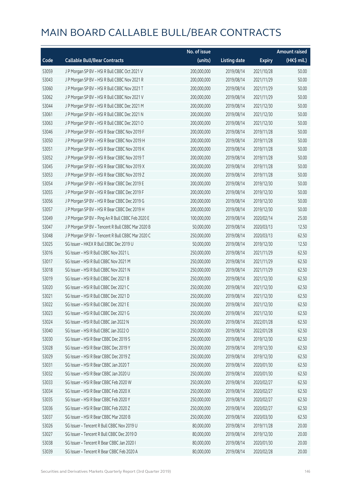|       |                                                   | No. of issue |                     |               | <b>Amount raised</b> |
|-------|---------------------------------------------------|--------------|---------------------|---------------|----------------------|
| Code  | <b>Callable Bull/Bear Contracts</b>               | (units)      | <b>Listing date</b> | <b>Expiry</b> | (HK\$ mil.)          |
| 53059 | J P Morgan SP BV - HSI R Bull CBBC Oct 2021 V     | 200,000,000  | 2019/08/14          | 2021/10/28    | 50.00                |
| 53043 | J P Morgan SP BV - HSI R Bull CBBC Nov 2021 R     | 200,000,000  | 2019/08/14          | 2021/11/29    | 50.00                |
| 53060 | J P Morgan SP BV - HSI R Bull CBBC Nov 2021 T     | 200,000,000  | 2019/08/14          | 2021/11/29    | 50.00                |
| 53062 | J P Morgan SP BV - HSI R Bull CBBC Nov 2021 V     | 200,000,000  | 2019/08/14          | 2021/11/29    | 50.00                |
| 53044 | J P Morgan SP BV - HSI R Bull CBBC Dec 2021 M     | 200,000,000  | 2019/08/14          | 2021/12/30    | 50.00                |
| 53061 | J P Morgan SP BV - HSI R Bull CBBC Dec 2021 N     | 200,000,000  | 2019/08/14          | 2021/12/30    | 50.00                |
| 53063 | J P Morgan SP BV - HSI R Bull CBBC Dec 2021 O     | 200,000,000  | 2019/08/14          | 2021/12/30    | 50.00                |
| 53046 | J P Morgan SP BV - HSI R Bear CBBC Nov 2019 F     | 200,000,000  | 2019/08/14          | 2019/11/28    | 50.00                |
| 53050 | J P Morgan SP BV - HSI R Bear CBBC Nov 2019 H     | 200,000,000  | 2019/08/14          | 2019/11/28    | 50.00                |
| 53051 | J P Morgan SP BV - HSI R Bear CBBC Nov 2019 K     | 200,000,000  | 2019/08/14          | 2019/11/28    | 50.00                |
| 53052 | J P Morgan SP BV - HSI R Bear CBBC Nov 2019 T     | 200,000,000  | 2019/08/14          | 2019/11/28    | 50.00                |
| 53045 | J P Morgan SP BV - HSI R Bear CBBC Nov 2019 X     | 200,000,000  | 2019/08/14          | 2019/11/28    | 50.00                |
| 53053 | J P Morgan SP BV - HSI R Bear CBBC Nov 2019 Z     | 200,000,000  | 2019/08/14          | 2019/11/28    | 50.00                |
| 53054 | J P Morgan SP BV - HSI R Bear CBBC Dec 2019 E     | 200,000,000  | 2019/08/14          | 2019/12/30    | 50.00                |
| 53055 | J P Morgan SP BV - HSI R Bear CBBC Dec 2019 F     | 200,000,000  | 2019/08/14          | 2019/12/30    | 50.00                |
| 53056 | J P Morgan SP BV - HSI R Bear CBBC Dec 2019 G     | 200,000,000  | 2019/08/14          | 2019/12/30    | 50.00                |
| 53057 | J P Morgan SP BV - HSI R Bear CBBC Dec 2019 H     | 200,000,000  | 2019/08/14          | 2019/12/30    | 50.00                |
| 53049 | J P Morgan SP BV - Ping An R Bull CBBC Feb 2020 E | 100,000,000  | 2019/08/14          | 2020/02/14    | 25.00                |
| 53047 | J P Morgan SP BV - Tencent R Bull CBBC Mar 2020 B | 50,000,000   | 2019/08/14          | 2020/03/13    | 12.50                |
| 53048 | J P Morgan SP BV - Tencent R Bull CBBC Mar 2020 C | 250,000,000  | 2019/08/14          | 2020/03/13    | 62.50                |
| 53025 | SG Issuer - HKEX R Bull CBBC Dec 2019 U           | 50,000,000   | 2019/08/14          | 2019/12/30    | 12.50                |
| 53016 | SG Issuer - HSI R Bull CBBC Nov 2021 L            | 250,000,000  | 2019/08/14          | 2021/11/29    | 62.50                |
| 53017 | SG Issuer - HSI R Bull CBBC Nov 2021 M            | 250,000,000  | 2019/08/14          | 2021/11/29    | 62.50                |
| 53018 | SG Issuer - HSI R Bull CBBC Nov 2021 N            | 250,000,000  | 2019/08/14          | 2021/11/29    | 62.50                |
| 53019 | SG Issuer - HSI R Bull CBBC Dec 2021 B            | 250,000,000  | 2019/08/14          | 2021/12/30    | 62.50                |
| 53020 | SG Issuer - HSI R Bull CBBC Dec 2021 C            | 250,000,000  | 2019/08/14          | 2021/12/30    | 62.50                |
| 53021 | SG Issuer - HSI R Bull CBBC Dec 2021 D            | 250,000,000  | 2019/08/14          | 2021/12/30    | 62.50                |
| 53022 | SG Issuer - HSI R Bull CBBC Dec 2021 E            | 250,000,000  | 2019/08/14          | 2021/12/30    | 62.50                |
| 53023 | SG Issuer - HSI R Bull CBBC Dec 2021 G            | 250,000,000  | 2019/08/14          | 2021/12/30    | 62.50                |
| 53024 | SG Issuer - HSI R Bull CBBC Jan 2022 N            | 250,000,000  | 2019/08/14          | 2022/01/28    | 62.50                |
| 53040 | SG Issuer - HSI R Bull CBBC Jan 2022 O            | 250,000,000  | 2019/08/14          | 2022/01/28    | 62.50                |
| 53030 | SG Issuer - HSI R Bear CBBC Dec 2019 S            | 250,000,000  | 2019/08/14          | 2019/12/30    | 62.50                |
| 53028 | SG Issuer - HSI R Bear CBBC Dec 2019 Y            | 250,000,000  | 2019/08/14          | 2019/12/30    | 62.50                |
| 53029 | SG Issuer - HSI R Bear CBBC Dec 2019 Z            | 250,000,000  | 2019/08/14          | 2019/12/30    | 62.50                |
| 53031 | SG Issuer - HSI R Bear CBBC Jan 2020 T            | 250,000,000  | 2019/08/14          | 2020/01/30    | 62.50                |
| 53032 | SG Issuer - HSI R Bear CBBC Jan 2020 U            | 250,000,000  | 2019/08/14          | 2020/01/30    | 62.50                |
| 53033 | SG Issuer - HSI R Bear CBBC Feb 2020 W            | 250,000,000  | 2019/08/14          | 2020/02/27    | 62.50                |
| 53034 | SG Issuer - HSI R Bear CBBC Feb 2020 X            | 250,000,000  | 2019/08/14          | 2020/02/27    | 62.50                |
| 53035 | SG Issuer - HSI R Bear CBBC Feb 2020 Y            | 250,000,000  | 2019/08/14          | 2020/02/27    | 62.50                |
| 53036 | SG Issuer - HSI R Bear CBBC Feb 2020 Z            | 250,000,000  | 2019/08/14          | 2020/02/27    | 62.50                |
| 53037 | SG Issuer - HSI R Bear CBBC Mar 2020 B            | 250,000,000  | 2019/08/14          | 2020/03/30    | 62.50                |
| 53026 | SG Issuer - Tencent R Bull CBBC Nov 2019 U        | 80,000,000   | 2019/08/14          | 2019/11/28    | 20.00                |
| 53027 | SG Issuer - Tencent R Bull CBBC Dec 2019 D        | 80,000,000   | 2019/08/14          | 2019/12/30    | 20.00                |
| 53038 | SG Issuer - Tencent R Bear CBBC Jan 2020 I        | 80,000,000   | 2019/08/14          | 2020/01/30    | 20.00                |
| 53039 | SG Issuer - Tencent R Bear CBBC Feb 2020 A        | 80,000,000   | 2019/08/14          | 2020/02/28    | 20.00                |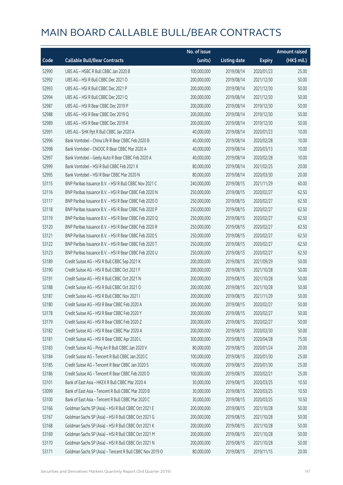|       |                                                          | No. of issue |                     |               | <b>Amount raised</b> |
|-------|----------------------------------------------------------|--------------|---------------------|---------------|----------------------|
| Code  | <b>Callable Bull/Bear Contracts</b>                      | (units)      | <b>Listing date</b> | <b>Expiry</b> | (HK\$ mil.)          |
| 52990 | UBS AG - HSBC R Bull CBBC Jan 2020 B                     | 100,000,000  | 2019/08/14          | 2020/01/23    | 25.00                |
| 52992 | UBS AG - HSI R Bull CBBC Dec 2021 O                      | 200,000,000  | 2019/08/14          | 2021/12/30    | 50.00                |
| 52993 | UBS AG - HSI R Bull CBBC Dec 2021 P                      | 200,000,000  | 2019/08/14          | 2021/12/30    | 50.00                |
| 52994 | UBS AG - HSI R Bull CBBC Dec 2021 Q                      | 200,000,000  | 2019/08/14          | 2021/12/30    | 50.00                |
| 52987 | UBS AG - HSI R Bear CBBC Dec 2019 P                      | 200,000,000  | 2019/08/14          | 2019/12/30    | 50.00                |
| 52988 | UBS AG - HSI R Bear CBBC Dec 2019 Q                      | 200,000,000  | 2019/08/14          | 2019/12/30    | 50.00                |
| 52989 | UBS AG - HSI R Bear CBBC Dec 2019 R                      | 200,000,000  | 2019/08/14          | 2019/12/30    | 50.00                |
| 52991 | UBS AG - SHK Ppt R Bull CBBC Jan 2020 A                  | 40,000,000   | 2019/08/14          | 2020/01/23    | 10.00                |
| 52996 | Bank Vontobel - China Life R Bear CBBC Feb 2020 B        | 40,000,000   | 2019/08/14          | 2020/02/28    | 10.00                |
| 52998 | Bank Vontobel - CNOOC R Bear CBBC Mar 2020 A             | 40,000,000   | 2019/08/14          | 2020/03/13    | 10.00                |
| 52997 | Bank Vontobel - Geely Auto R Bear CBBC Feb 2020 A        | 40,000,000   | 2019/08/14          | 2020/02/28    | 10.00                |
| 52999 | Bank Vontobel - HSI R Bull CBBC Feb 2021 X               | 80,000,000   | 2019/08/14          | 2021/02/25    | 20.00                |
| 52995 | Bank Vontobel - HSI R Bear CBBC Mar 2020 N               | 80,000,000   | 2019/08/14          | 2020/03/30    | 20.00                |
| 53115 | BNP Paribas Issuance B.V. - HSI R Bull CBBC Nov 2021 C   | 240,000,000  | 2019/08/15          | 2021/11/29    | 60.00                |
| 53116 | BNP Paribas Issuance B.V. - HSI R Bear CBBC Feb 2020 N   | 250,000,000  | 2019/08/15          | 2020/02/27    | 62.50                |
| 53117 | BNP Paribas Issuance B.V. - HSI R Bear CBBC Feb 2020 O   | 250,000,000  | 2019/08/15          | 2020/02/27    | 62.50                |
| 53118 | BNP Paribas Issuance B.V. - HSI R Bear CBBC Feb 2020 P   | 250,000,000  | 2019/08/15          | 2020/02/27    | 62.50                |
| 53119 | BNP Paribas Issuance B.V. - HSI R Bear CBBC Feb 2020 Q   | 250,000,000  | 2019/08/15          | 2020/02/27    | 62.50                |
| 53120 | BNP Paribas Issuance B.V. - HSI R Bear CBBC Feb 2020 R   | 250,000,000  | 2019/08/15          | 2020/02/27    | 62.50                |
| 53121 | BNP Paribas Issuance B.V. - HSI R Bear CBBC Feb 2020 S   | 250,000,000  | 2019/08/15          | 2020/02/27    | 62.50                |
| 53122 | BNP Paribas Issuance B.V. - HSI R Bear CBBC Feb 2020 T   | 250,000,000  | 2019/08/15          | 2020/02/27    | 62.50                |
| 53123 | BNP Paribas Issuance B.V. - HSI R Bear CBBC Feb 2020 U   | 250,000,000  | 2019/08/15          | 2020/02/27    | 62.50                |
| 53189 | Credit Suisse AG - HSI R Bull CBBC Sep 2021 K            | 200,000,000  | 2019/08/15          | 2021/09/29    | 50.00                |
| 53190 | Credit Suisse AG - HSI R Bull CBBC Oct 2021 F            | 200,000,000  | 2019/08/15          | 2021/10/28    | 50.00                |
| 53191 | Credit Suisse AG - HSI R Bull CBBC Oct 2021 N            | 200,000,000  | 2019/08/15          | 2021/10/28    | 50.00                |
| 53188 | Credit Suisse AG - HSI R Bull CBBC Oct 2021 O            | 200,000,000  | 2019/08/15          | 2021/10/28    | 50.00                |
| 53187 | Credit Suisse AG - HSI R Bull CBBC Nov 2021 I            | 200,000,000  | 2019/08/15          | 2021/11/29    | 50.00                |
| 53180 | Credit Suisse AG - HSI R Bear CBBC Feb 2020 A            | 200,000,000  | 2019/08/15          | 2020/02/27    | 50.00                |
| 53178 | Credit Suisse AG - HSI R Bear CBBC Feb 2020 Y            | 200,000,000  | 2019/08/15          | 2020/02/27    | 50.00                |
| 53179 | Credit Suisse AG - HSI R Bear CBBC Feb 2020 Z            | 200,000,000  | 2019/08/15          | 2020/02/27    | 50.00                |
| 53182 | Credit Suisse AG - HSI R Bear CBBC Mar 2020 A            | 200,000,000  | 2019/08/15          | 2020/03/30    | 50.00                |
| 53181 | Credit Suisse AG - HSI R Bear CBBC Apr 2020 L            | 300,000,000  | 2019/08/15          | 2020/04/28    | 75.00                |
| 53183 | Credit Suisse AG - Ping An R Bull CBBC Jan 2020 V        | 80,000,000   | 2019/08/15          | 2020/01/24    | 20.00                |
| 53184 | Credit Suisse AG - Tencent R Bull CBBC Jan 2020 C        | 100,000,000  | 2019/08/15          | 2020/01/30    | 25.00                |
| 53185 | Credit Suisse AG - Tencent R Bear CBBC Jan 2020 S        | 100,000,000  | 2019/08/15          | 2020/01/30    | 25.00                |
| 53186 | Credit Suisse AG - Tencent R Bear CBBC Feb 2020 D        | 100,000,000  | 2019/08/15          | 2020/02/21    | 25.00                |
| 53101 | Bank of East Asia - HKEX R Bull CBBC Mar 2020 A          | 30,000,000   | 2019/08/15          | 2020/03/25    | 10.50                |
| 53099 | Bank of East Asia - Tencent R Bull CBBC Mar 2020 B       | 30,000,000   | 2019/08/15          | 2020/03/25    | 10.50                |
| 53100 | Bank of East Asia - Tencent R Bull CBBC Mar 2020 C       | 30,000,000   | 2019/08/15          | 2020/03/25    | 10.50                |
| 53166 | Goldman Sachs SP (Asia) - HSI R Bull CBBC Oct 2021 E     | 200,000,000  | 2019/08/15          | 2021/10/28    | 50.00                |
| 53167 | Goldman Sachs SP (Asia) - HSI R Bull CBBC Oct 2021 G     | 200,000,000  | 2019/08/15          | 2021/10/28    | 50.00                |
| 53168 | Goldman Sachs SP (Asia) - HSI R Bull CBBC Oct 2021 K     | 200,000,000  | 2019/08/15          | 2021/10/28    | 50.00                |
| 53169 | Goldman Sachs SP (Asia) - HSI R Bull CBBC Oct 2021 M     | 200,000,000  | 2019/08/15          | 2021/10/28    | 50.00                |
| 53170 | Goldman Sachs SP (Asia) - HSI R Bull CBBC Oct 2021 N     | 200,000,000  | 2019/08/15          | 2021/10/28    | 50.00                |
| 53171 | Goldman Sachs SP (Asia) - Tencent R Bull CBBC Nov 2019 O | 80,000,000   | 2019/08/15          | 2019/11/15    | 20.00                |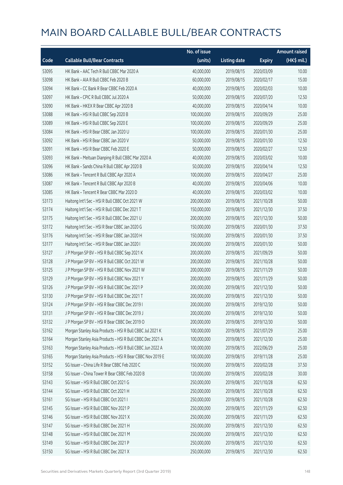|       |                                                           | No. of issue |                     |               | <b>Amount raised</b>  |
|-------|-----------------------------------------------------------|--------------|---------------------|---------------|-----------------------|
| Code  | <b>Callable Bull/Bear Contracts</b>                       | (units)      | <b>Listing date</b> | <b>Expiry</b> | $(HK\frac{1}{2}mil.)$ |
| 53095 | HK Bank - AAC Tech R Bull CBBC Mar 2020 A                 | 40,000,000   | 2019/08/15          | 2020/03/09    | 10.00                 |
| 53098 | HK Bank - AIA R Bull CBBC Feb 2020 B                      | 60,000,000   | 2019/08/15          | 2020/02/17    | 15.00                 |
| 53094 | HK Bank - CC Bank R Bear CBBC Feb 2020 A                  | 40,000,000   | 2019/08/15          | 2020/02/03    | 10.00                 |
| 53097 | HK Bank - CPIC R Bull CBBC Jul 2020 A                     | 50,000,000   | 2019/08/15          | 2020/07/20    | 12.50                 |
| 53090 | HK Bank - HKEX R Bear CBBC Apr 2020 B                     | 40,000,000   | 2019/08/15          | 2020/04/14    | 10.00                 |
| 53088 | HK Bank - HSI R Bull CBBC Sep 2020 B                      | 100,000,000  | 2019/08/15          | 2020/09/29    | 25.00                 |
| 53089 | HK Bank - HSI R Bull CBBC Sep 2020 E                      | 100,000,000  | 2019/08/15          | 2020/09/29    | 25.00                 |
| 53084 | HK Bank - HSI R Bear CBBC Jan 2020 U                      | 100,000,000  | 2019/08/15          | 2020/01/30    | 25.00                 |
| 53092 | HK Bank - HSI R Bear CBBC Jan 2020 V                      | 50,000,000   | 2019/08/15          | 2020/01/30    | 12.50                 |
| 53091 | HK Bank - HSI R Bear CBBC Feb 2020 E                      | 50,000,000   | 2019/08/15          | 2020/02/27    | 12.50                 |
| 53093 | HK Bank - Meituan Dianping R Bull CBBC Mar 2020 A         | 40,000,000   | 2019/08/15          | 2020/03/02    | 10.00                 |
| 53096 | HK Bank - Sands China R Bull CBBC Apr 2020 B              | 50,000,000   | 2019/08/15          | 2020/04/14    | 12.50                 |
| 53086 | HK Bank - Tencent R Bull CBBC Apr 2020 A                  | 100,000,000  | 2019/08/15          | 2020/04/27    | 25.00                 |
| 53087 | HK Bank - Tencent R Bull CBBC Apr 2020 B                  | 40,000,000   | 2019/08/15          | 2020/04/06    | 10.00                 |
| 53085 | HK Bank - Tencent R Bear CBBC Mar 2020 D                  | 40,000,000   | 2019/08/15          | 2020/03/02    | 10.00                 |
| 53173 | Haitong Int'l Sec - HSI R Bull CBBC Oct 2021 W            | 200,000,000  | 2019/08/15          | 2021/10/28    | 50.00                 |
| 53174 | Haitong Int'l Sec - HSI R Bull CBBC Dec 2021 T            | 150,000,000  | 2019/08/15          | 2021/12/30    | 37.50                 |
| 53175 | Haitong Int'l Sec - HSI R Bull CBBC Dec 2021 U            | 200,000,000  | 2019/08/15          | 2021/12/30    | 50.00                 |
| 53172 | Haitong Int'l Sec - HSI R Bear CBBC Jan 2020 G            | 150,000,000  | 2019/08/15          | 2020/01/30    | 37.50                 |
| 53176 | Haitong Int'l Sec - HSI R Bear CBBC Jan 2020 H            | 150,000,000  | 2019/08/15          | 2020/01/30    | 37.50                 |
| 53177 | Haitong Int'l Sec - HSI R Bear CBBC Jan 2020 I            | 200,000,000  | 2019/08/15          | 2020/01/30    | 50.00                 |
| 53127 | J P Morgan SP BV - HSI R Bull CBBC Sep 2021 K             | 200,000,000  | 2019/08/15          | 2021/09/29    | 50.00                 |
| 53128 | J P Morgan SP BV - HSI R Bull CBBC Oct 2021 W             | 200,000,000  | 2019/08/15          | 2021/10/28    | 50.00                 |
| 53125 | J P Morgan SP BV - HSI R Bull CBBC Nov 2021 W             | 200,000,000  | 2019/08/15          | 2021/11/29    | 50.00                 |
| 53129 | J P Morgan SP BV - HSI R Bull CBBC Nov 2021 Y             | 200,000,000  | 2019/08/15          | 2021/11/29    | 50.00                 |
| 53126 | J P Morgan SP BV - HSI R Bull CBBC Dec 2021 P             | 200,000,000  | 2019/08/15          | 2021/12/30    | 50.00                 |
| 53130 | J P Morgan SP BV - HSI R Bull CBBC Dec 2021 T             | 200,000,000  | 2019/08/15          | 2021/12/30    | 50.00                 |
| 53124 | J P Morgan SP BV - HSI R Bear CBBC Dec 2019 I             | 200,000,000  | 2019/08/15          | 2019/12/30    | 50.00                 |
| 53131 | J P Morgan SP BV - HSI R Bear CBBC Dec 2019 J             | 200,000,000  | 2019/08/15          | 2019/12/30    | 50.00                 |
| 53132 | J P Morgan SP BV - HSI R Bear CBBC Dec 2019 O             | 200,000,000  | 2019/08/15          | 2019/12/30    | 50.00                 |
| 53162 | Morgan Stanley Asia Products - HSI R Bull CBBC Jul 2021 K | 100,000,000  | 2019/08/15          | 2021/07/29    | 25.00                 |
| 53164 | Morgan Stanley Asia Products - HSI R Bull CBBC Dec 2021 A | 100,000,000  | 2019/08/15          | 2021/12/30    | 25.00                 |
| 53163 | Morgan Stanley Asia Products - HSI R Bull CBBC Jun 2022 A | 100,000,000  | 2019/08/15          | 2022/06/29    | 25.00                 |
| 53165 | Morgan Stanley Asia Products - HSI R Bear CBBC Nov 2019 E | 100,000,000  | 2019/08/15          | 2019/11/28    | 25.00                 |
| 53152 | SG Issuer - China Life R Bear CBBC Feb 2020 C             | 150,000,000  | 2019/08/15          | 2020/02/28    | 37.50                 |
| 53158 | SG Issuer - China Tower R Bear CBBC Feb 2020 B            | 120,000,000  | 2019/08/15          | 2020/02/28    | 30.00                 |
| 53143 | SG Issuer - HSI R Bull CBBC Oct 2021 G                    | 250,000,000  | 2019/08/15          | 2021/10/28    | 62.50                 |
| 53144 | SG Issuer - HSI R Bull CBBC Oct 2021 H                    | 250,000,000  | 2019/08/15          | 2021/10/28    | 62.50                 |
| 53161 | SG Issuer - HSI R Bull CBBC Oct 2021 I                    | 250,000,000  | 2019/08/15          | 2021/10/28    | 62.50                 |
| 53145 | SG Issuer - HSI R Bull CBBC Nov 2021 P                    | 250,000,000  | 2019/08/15          | 2021/11/29    | 62.50                 |
| 53146 | SG Issuer - HSI R Bull CBBC Nov 2021 X                    | 250,000,000  | 2019/08/15          | 2021/11/29    | 62.50                 |
| 53147 | SG Issuer - HSI R Bull CBBC Dec 2021 H                    | 250,000,000  | 2019/08/15          | 2021/12/30    | 62.50                 |
| 53148 | SG Issuer - HSI R Bull CBBC Dec 2021 M                    | 250,000,000  | 2019/08/15          | 2021/12/30    | 62.50                 |
| 53149 | SG Issuer - HSI R Bull CBBC Dec 2021 P                    | 250,000,000  | 2019/08/15          | 2021/12/30    | 62.50                 |
| 53150 | SG Issuer - HSI R Bull CBBC Dec 2021 X                    | 250,000,000  | 2019/08/15          | 2021/12/30    | 62.50                 |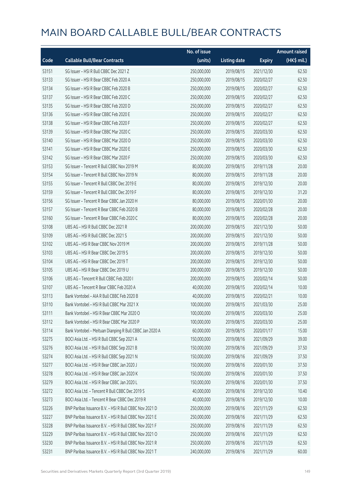|       |                                                         | No. of issue |                     |               | <b>Amount raised</b> |
|-------|---------------------------------------------------------|--------------|---------------------|---------------|----------------------|
| Code  | <b>Callable Bull/Bear Contracts</b>                     | (units)      | <b>Listing date</b> | <b>Expiry</b> | (HK\$ mil.)          |
| 53151 | SG Issuer - HSI R Bull CBBC Dec 2021 Z                  | 250,000,000  | 2019/08/15          | 2021/12/30    | 62.50                |
| 53133 | SG Issuer - HSI R Bear CBBC Feb 2020 A                  | 250,000,000  | 2019/08/15          | 2020/02/27    | 62.50                |
| 53134 | SG Issuer - HSI R Bear CBBC Feb 2020 B                  | 250,000,000  | 2019/08/15          | 2020/02/27    | 62.50                |
| 53137 | SG Issuer - HSI R Bear CBBC Feb 2020 C                  | 250,000,000  | 2019/08/15          | 2020/02/27    | 62.50                |
| 53135 | SG Issuer - HSI R Bear CBBC Feb 2020 D                  | 250,000,000  | 2019/08/15          | 2020/02/27    | 62.50                |
| 53136 | SG Issuer - HSI R Bear CBBC Feb 2020 E                  | 250,000,000  | 2019/08/15          | 2020/02/27    | 62.50                |
| 53138 | SG Issuer - HSI R Bear CBBC Feb 2020 F                  | 250,000,000  | 2019/08/15          | 2020/02/27    | 62.50                |
| 53139 | SG Issuer - HSI R Bear CBBC Mar 2020 C                  | 250,000,000  | 2019/08/15          | 2020/03/30    | 62.50                |
| 53140 | SG Issuer - HSI R Bear CBBC Mar 2020 D                  | 250,000,000  | 2019/08/15          | 2020/03/30    | 62.50                |
| 53141 | SG Issuer - HSI R Bear CBBC Mar 2020 E                  | 250,000,000  | 2019/08/15          | 2020/03/30    | 62.50                |
| 53142 | SG Issuer - HSI R Bear CBBC Mar 2020 F                  | 250,000,000  | 2019/08/15          | 2020/03/30    | 62.50                |
| 53153 | SG Issuer - Tencent R Bull CBBC Nov 2019 M              | 80,000,000   | 2019/08/15          | 2019/11/28    | 20.00                |
| 53154 | SG Issuer - Tencent R Bull CBBC Nov 2019 N              | 80,000,000   | 2019/08/15          | 2019/11/28    | 20.00                |
| 53155 | SG Issuer - Tencent R Bull CBBC Dec 2019 E              | 80,000,000   | 2019/08/15          | 2019/12/30    | 20.00                |
| 53159 | SG Issuer - Tencent R Bull CBBC Dec 2019 F              | 80,000,000   | 2019/08/15          | 2019/12/30    | 31.20                |
| 53156 | SG Issuer - Tencent R Bear CBBC Jan 2020 H              | 80,000,000   | 2019/08/15          | 2020/01/30    | 20.00                |
| 53157 | SG Issuer - Tencent R Bear CBBC Feb 2020 B              | 80,000,000   | 2019/08/15          | 2020/02/28    | 20.00                |
| 53160 | SG Issuer - Tencent R Bear CBBC Feb 2020 C              | 80,000,000   | 2019/08/15          | 2020/02/28    | 20.00                |
| 53108 | UBS AG - HSI R Bull CBBC Dec 2021 R                     | 200,000,000  | 2019/08/15          | 2021/12/30    | 50.00                |
| 53109 | UBS AG - HSI R Bull CBBC Dec 2021 S                     | 200,000,000  | 2019/08/15          | 2021/12/30    | 50.00                |
| 53102 | UBS AG - HSI R Bear CBBC Nov 2019 M                     | 200,000,000  | 2019/08/15          | 2019/11/28    | 50.00                |
| 53103 | UBS AG - HSI R Bear CBBC Dec 2019 S                     | 200,000,000  | 2019/08/15          | 2019/12/30    | 50.00                |
| 53104 | UBS AG - HSI R Bear CBBC Dec 2019 T                     | 200,000,000  | 2019/08/15          | 2019/12/30    | 50.00                |
| 53105 | UBS AG - HSI R Bear CBBC Dec 2019 U                     | 200,000,000  | 2019/08/15          | 2019/12/30    | 50.00                |
| 53106 | UBS AG - Tencent R Bull CBBC Feb 2020 I                 | 200,000,000  | 2019/08/15          | 2020/02/14    | 50.00                |
| 53107 | UBS AG - Tencent R Bear CBBC Feb 2020 A                 | 40,000,000   | 2019/08/15          | 2020/02/14    | 10.00                |
| 53113 | Bank Vontobel - AIA R Bull CBBC Feb 2020 B              | 40,000,000   | 2019/08/15          | 2020/02/21    | 10.00                |
| 53110 | Bank Vontobel - HSI R Bull CBBC Mar 2021 X              | 100,000,000  | 2019/08/15          | 2021/03/30    | 25.00                |
| 53111 | Bank Vontobel - HSI R Bear CBBC Mar 2020 O              | 100,000,000  | 2019/08/15          | 2020/03/30    | 25.00                |
| 53112 | Bank Vontobel - HSI R Bear CBBC Mar 2020 P              | 100,000,000  | 2019/08/15          | 2020/03/30    | 25.00                |
| 53114 | Bank Vontobel - Meituan Dianping R Bull CBBC Jan 2020 A | 60,000,000   | 2019/08/15          | 2020/01/17    | 15.00                |
| 53275 | BOCI Asia Ltd. - HSI R Bull CBBC Sep 2021 A             | 150,000,000  | 2019/08/16          | 2021/09/29    | 39.00                |
| 53276 | BOCI Asia Ltd. - HSI R Bull CBBC Sep 2021 B             | 150,000,000  | 2019/08/16          | 2021/09/29    | 37.50                |
| 53274 | BOCI Asia Ltd. - HSI R Bull CBBC Sep 2021 N             | 150,000,000  | 2019/08/16          | 2021/09/29    | 37.50                |
| 53277 | BOCI Asia Ltd. - HSI R Bear CBBC Jan 2020 J             | 150,000,000  | 2019/08/16          | 2020/01/30    | 37.50                |
| 53278 | BOCI Asia Ltd. - HSI R Bear CBBC Jan 2020 K             | 150,000,000  | 2019/08/16          | 2020/01/30    | 37.50                |
| 53279 | BOCI Asia Ltd. - HSI R Bear CBBC Jan 2020 L             | 150,000,000  | 2019/08/16          | 2020/01/30    | 37.50                |
| 53272 | BOCI Asia Ltd. - Tencent R Bull CBBC Dec 2019 S         | 40,000,000   | 2019/08/16          | 2019/12/30    | 10.40                |
| 53273 | BOCI Asia Ltd. - Tencent R Bear CBBC Dec 2019 R         | 40,000,000   | 2019/08/16          | 2019/12/30    | 10.00                |
| 53226 | BNP Paribas Issuance B.V. - HSI R Bull CBBC Nov 2021 D  | 250,000,000  | 2019/08/16          | 2021/11/29    | 62.50                |
| 53227 | BNP Paribas Issuance B.V. - HSI R Bull CBBC Nov 2021 E  | 250,000,000  | 2019/08/16          | 2021/11/29    | 62.50                |
| 53228 | BNP Paribas Issuance B.V. - HSI R Bull CBBC Nov 2021 F  | 250,000,000  | 2019/08/16          | 2021/11/29    | 62.50                |
| 53229 | BNP Paribas Issuance B.V. - HSI R Bull CBBC Nov 2021 O  | 250,000,000  | 2019/08/16          | 2021/11/29    | 62.50                |
| 53230 | BNP Paribas Issuance B.V. - HSI R Bull CBBC Nov 2021 R  | 250,000,000  | 2019/08/16          | 2021/11/29    | 62.50                |
| 53231 | BNP Paribas Issuance B.V. - HSI R Bull CBBC Nov 2021 T  | 240,000,000  | 2019/08/16          | 2021/11/29    | 60.00                |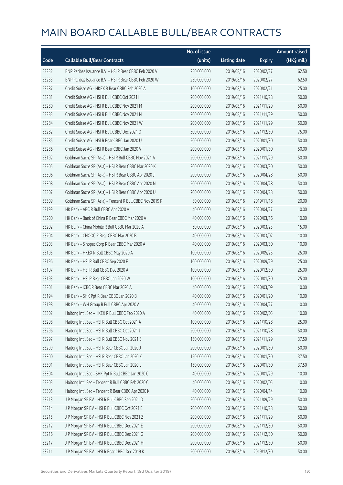|       |                                                          | No. of issue |                     |               | <b>Amount raised</b> |
|-------|----------------------------------------------------------|--------------|---------------------|---------------|----------------------|
| Code  | <b>Callable Bull/Bear Contracts</b>                      | (units)      | <b>Listing date</b> | <b>Expiry</b> | (HK\$ mil.)          |
| 53232 | BNP Paribas Issuance B.V. - HSI R Bear CBBC Feb 2020 V   | 250,000,000  | 2019/08/16          | 2020/02/27    | 62.50                |
| 53233 | BNP Paribas Issuance B.V. - HSI R Bear CBBC Feb 2020 W   | 250,000,000  | 2019/08/16          | 2020/02/27    | 62.50                |
| 53287 | Credit Suisse AG - HKEX R Bear CBBC Feb 2020 A           | 100,000,000  | 2019/08/16          | 2020/02/21    | 25.00                |
| 53281 | Credit Suisse AG - HSI R Bull CBBC Oct 2021 I            | 200,000,000  | 2019/08/16          | 2021/10/28    | 50.00                |
| 53280 | Credit Suisse AG - HSI R Bull CBBC Nov 2021 M            | 200,000,000  | 2019/08/16          | 2021/11/29    | 50.00                |
| 53283 | Credit Suisse AG - HSI R Bull CBBC Nov 2021 N            | 200,000,000  | 2019/08/16          | 2021/11/29    | 50.00                |
| 53284 | Credit Suisse AG - HSI R Bull CBBC Nov 2021 W            | 200,000,000  | 2019/08/16          | 2021/11/29    | 50.00                |
| 53282 | Credit Suisse AG - HSI R Bull CBBC Dec 2021 O            | 300,000,000  | 2019/08/16          | 2021/12/30    | 75.00                |
| 53285 | Credit Suisse AG - HSI R Bear CBBC Jan 2020 U            | 200,000,000  | 2019/08/16          | 2020/01/30    | 50.00                |
| 53286 | Credit Suisse AG - HSI R Bear CBBC Jan 2020 V            | 200,000,000  | 2019/08/16          | 2020/01/30    | 50.00                |
| 53192 | Goldman Sachs SP (Asia) - HSI R Bull CBBC Nov 2021 A     | 200,000,000  | 2019/08/16          | 2021/11/29    | 50.00                |
| 53205 | Goldman Sachs SP (Asia) - HSI R Bear CBBC Mar 2020 K     | 200,000,000  | 2019/08/16          | 2020/03/30    | 50.00                |
| 53306 | Goldman Sachs SP (Asia) - HSI R Bear CBBC Apr 2020 J     | 200,000,000  | 2019/08/16          | 2020/04/28    | 50.00                |
| 53308 | Goldman Sachs SP (Asia) - HSI R Bear CBBC Apr 2020 N     | 200,000,000  | 2019/08/16          | 2020/04/28    | 50.00                |
| 53307 | Goldman Sachs SP (Asia) - HSI R Bear CBBC Apr 2020 U     | 200,000,000  | 2019/08/16          | 2020/04/28    | 50.00                |
| 53309 | Goldman Sachs SP (Asia) - Tencent R Bull CBBC Nov 2019 P | 80,000,000   | 2019/08/16          | 2019/11/18    | 20.00                |
| 53199 | HK Bank - ABC R Bull CBBC Apr 2020 A                     | 40,000,000   | 2019/08/16          | 2020/04/27    | 10.00                |
| 53200 | HK Bank - Bank of China R Bear CBBC Mar 2020 A           | 40,000,000   | 2019/08/16          | 2020/03/16    | 10.00                |
| 53202 | HK Bank - China Mobile R Bull CBBC Mar 2020 A            | 60,000,000   | 2019/08/16          | 2020/03/23    | 15.00                |
| 53204 | HK Bank - CNOOC R Bear CBBC Mar 2020 B                   | 40,000,000   | 2019/08/16          | 2020/03/02    | 10.00                |
| 53203 | HK Bank - Sinopec Corp R Bear CBBC Mar 2020 A            | 40,000,000   | 2019/08/16          | 2020/03/30    | 10.00                |
| 53195 | HK Bank - HKEX R Bull CBBC May 2020 A                    | 100,000,000  | 2019/08/16          | 2020/05/25    | 25.00                |
| 53196 | HK Bank - HSI R Bull CBBC Sep 2020 F                     | 100,000,000  | 2019/08/16          | 2020/09/29    | 25.00                |
| 53197 | HK Bank - HSI R Bull CBBC Dec 2020 A                     | 100,000,000  | 2019/08/16          | 2020/12/30    | 25.00                |
| 53193 | HK Bank - HSI R Bear CBBC Jan 2020 W                     | 100,000,000  | 2019/08/16          | 2020/01/30    | 25.00                |
| 53201 | HK Bank - ICBC R Bear CBBC Mar 2020 A                    | 40,000,000   | 2019/08/16          | 2020/03/09    | 10.00                |
| 53194 | HK Bank - SHK Ppt R Bear CBBC Jan 2020 B                 | 40,000,000   | 2019/08/16          | 2020/01/20    | 10.00                |
| 53198 | HK Bank - WH Group R Bull CBBC Apr 2020 A                | 40,000,000   | 2019/08/16          | 2020/04/27    | 10.00                |
| 53302 | Haitong Int'l Sec - HKEX R Bull CBBC Feb 2020 A          | 40,000,000   | 2019/08/16          | 2020/02/05    | 10.00                |
| 53298 | Haitong Int'l Sec - HSI R Bull CBBC Oct 2021 A           | 100,000,000  | 2019/08/16          | 2021/10/28    | 25.00                |
| 53296 | Haitong Int'l Sec - HSI R Bull CBBC Oct 2021 J           | 200,000,000  | 2019/08/16          | 2021/10/28    | 50.00                |
| 53297 | Haitong Int'l Sec - HSI R Bull CBBC Nov 2021 E           | 150,000,000  | 2019/08/16          | 2021/11/29    | 37.50                |
| 53299 | Haitong Int'l Sec - HSI R Bear CBBC Jan 2020 J           | 200,000,000  | 2019/08/16          | 2020/01/30    | 50.00                |
| 53300 | Haitong Int'l Sec - HSI R Bear CBBC Jan 2020 K           | 150,000,000  | 2019/08/16          | 2020/01/30    | 37.50                |
| 53301 | Haitong Int'l Sec - HSI R Bear CBBC Jan 2020 L           | 150,000,000  | 2019/08/16          | 2020/01/30    | 37.50                |
| 53304 | Haitong Int'l Sec - SHK Ppt R Bull CBBC Jan 2020 C       | 40,000,000   | 2019/08/16          | 2020/01/29    | 10.00                |
| 53303 | Haitong Int'l Sec - Tencent R Bull CBBC Feb 2020 C       | 40,000,000   | 2019/08/16          | 2020/02/05    | 10.00                |
| 53305 | Haitong Int'l Sec - Tencent R Bear CBBC Apr 2020 K       | 40,000,000   | 2019/08/16          | 2020/04/14    | 10.00                |
| 53213 | J P Morgan SP BV - HSI R Bull CBBC Sep 2021 D            | 200,000,000  | 2019/08/16          | 2021/09/29    | 50.00                |
| 53214 | J P Morgan SP BV - HSI R Bull CBBC Oct 2021 E            | 200,000,000  | 2019/08/16          | 2021/10/28    | 50.00                |
| 53215 | J P Morgan SP BV - HSI R Bull CBBC Nov 2021 Z            | 200,000,000  | 2019/08/16          | 2021/11/29    | 50.00                |
| 53212 | J P Morgan SP BV - HSI R Bull CBBC Dec 2021 E            | 200,000,000  | 2019/08/16          | 2021/12/30    | 50.00                |
| 53216 | J P Morgan SP BV - HSI R Bull CBBC Dec 2021 G            | 200,000,000  | 2019/08/16          | 2021/12/30    | 50.00                |
| 53217 | J P Morgan SP BV - HSI R Bull CBBC Dec 2021 H            | 200,000,000  | 2019/08/16          | 2021/12/30    | 50.00                |
| 53211 | J P Morgan SP BV - HSI R Bear CBBC Dec 2019 K            | 200,000,000  | 2019/08/16          | 2019/12/30    | 50.00                |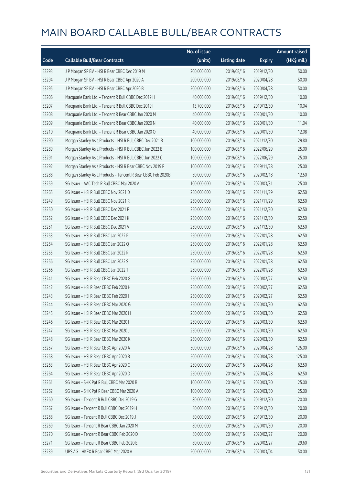|       |                                                              | No. of issue |                     |               | <b>Amount raised</b> |
|-------|--------------------------------------------------------------|--------------|---------------------|---------------|----------------------|
| Code  | <b>Callable Bull/Bear Contracts</b>                          | (units)      | <b>Listing date</b> | <b>Expiry</b> | (HK\$ mil.)          |
| 53293 | J P Morgan SP BV - HSI R Bear CBBC Dec 2019 M                | 200,000,000  | 2019/08/16          | 2019/12/30    | 50.00                |
| 53294 | J P Morgan SP BV - HSI R Bear CBBC Apr 2020 A                | 200,000,000  | 2019/08/16          | 2020/04/28    | 50.00                |
| 53295 | J P Morgan SP BV - HSI R Bear CBBC Apr 2020 B                | 200,000,000  | 2019/08/16          | 2020/04/28    | 50.00                |
| 53206 | Macquarie Bank Ltd. - Tencent R Bull CBBC Dec 2019 H         | 40,000,000   | 2019/08/16          | 2019/12/30    | 10.00                |
| 53207 | Macquarie Bank Ltd. - Tencent R Bull CBBC Dec 2019 I         | 13,700,000   | 2019/08/16          | 2019/12/30    | 10.04                |
| 53208 | Macquarie Bank Ltd. - Tencent R Bear CBBC Jan 2020 M         | 40,000,000   | 2019/08/16          | 2020/01/30    | 10.00                |
| 53209 | Macquarie Bank Ltd. - Tencent R Bear CBBC Jan 2020 N         | 40,000,000   | 2019/08/16          | 2020/01/30    | 11.04                |
| 53210 | Macquarie Bank Ltd. - Tencent R Bear CBBC Jan 2020 O         | 40,000,000   | 2019/08/16          | 2020/01/30    | 12.08                |
| 53290 | Morgan Stanley Asia Products - HSI R Bull CBBC Dec 2021 B    | 100,000,000  | 2019/08/16          | 2021/12/30    | 29.80                |
| 53289 | Morgan Stanley Asia Products - HSI R Bull CBBC Jun 2022 B    | 100,000,000  | 2019/08/16          | 2022/06/29    | 25.00                |
| 53291 | Morgan Stanley Asia Products - HSI R Bull CBBC Jun 2022 C    | 100,000,000  | 2019/08/16          | 2022/06/29    | 25.00                |
| 53292 | Morgan Stanley Asia Products - HSI R Bear CBBC Nov 2019 F    | 100,000,000  | 2019/08/16          | 2019/11/28    | 25.00                |
| 53288 | Morgan Stanley Asia Products - Tencent R Bear CBBC Feb 2020B | 50,000,000   | 2019/08/16          | 2020/02/18    | 12.50                |
| 53259 | SG Issuer - AAC Tech R Bull CBBC Mar 2020 A                  | 100,000,000  | 2019/08/16          | 2020/03/31    | 25.00                |
| 53265 | SG Issuer - HSI R Bull CBBC Nov 2021 D                       | 250,000,000  | 2019/08/16          | 2021/11/29    | 62.50                |
| 53249 | SG Issuer - HSI R Bull CBBC Nov 2021 R                       | 250,000,000  | 2019/08/16          | 2021/11/29    | 62.50                |
| 53250 | SG Issuer - HSI R Bull CBBC Dec 2021 F                       | 250,000,000  | 2019/08/16          | 2021/12/30    | 62.50                |
| 53252 | SG Issuer - HSI R Bull CBBC Dec 2021 K                       | 250,000,000  | 2019/08/16          | 2021/12/30    | 62.50                |
| 53251 | SG Issuer - HSI R Bull CBBC Dec 2021 V                       | 250,000,000  | 2019/08/16          | 2021/12/30    | 62.50                |
| 53253 | SG Issuer - HSI R Bull CBBC Jan 2022 P                       | 250,000,000  | 2019/08/16          | 2022/01/28    | 62.50                |
| 53254 | SG Issuer - HSI R Bull CBBC Jan 2022 Q                       | 250,000,000  | 2019/08/16          | 2022/01/28    | 62.50                |
| 53255 | SG Issuer - HSI R Bull CBBC Jan 2022 R                       | 250,000,000  | 2019/08/16          | 2022/01/28    | 62.50                |
| 53256 | SG Issuer - HSI R Bull CBBC Jan 2022 S                       | 250,000,000  | 2019/08/16          | 2022/01/28    | 62.50                |
| 53266 | SG Issuer - HSI R Bull CBBC Jan 2022 T                       | 250,000,000  | 2019/08/16          | 2022/01/28    | 62.50                |
| 53241 | SG Issuer - HSI R Bear CBBC Feb 2020 G                       | 250,000,000  | 2019/08/16          | 2020/02/27    | 62.50                |
| 53242 | SG Issuer - HSI R Bear CBBC Feb 2020 H                       | 250,000,000  | 2019/08/16          | 2020/02/27    | 62.50                |
| 53243 | SG Issuer - HSI R Bear CBBC Feb 2020 I                       | 250,000,000  | 2019/08/16          | 2020/02/27    | 62.50                |
| 53244 | SG Issuer - HSI R Bear CBBC Mar 2020 G                       | 250,000,000  | 2019/08/16          | 2020/03/30    | 62.50                |
| 53245 | SG Issuer - HSI R Bear CBBC Mar 2020 H                       | 250,000,000  | 2019/08/16          | 2020/03/30    | 62.50                |
| 53246 | SG Issuer - HSI R Bear CBBC Mar 2020 I                       | 250,000,000  | 2019/08/16          | 2020/03/30    | 62.50                |
| 53247 | SG Issuer - HSI R Bear CBBC Mar 2020 J                       | 250,000,000  | 2019/08/16          | 2020/03/30    | 62.50                |
| 53248 | SG Issuer - HSI R Bear CBBC Mar 2020 K                       | 250,000,000  | 2019/08/16          | 2020/03/30    | 62.50                |
| 53257 | SG Issuer - HSI R Bear CBBC Apr 2020 A                       | 500,000,000  | 2019/08/16          | 2020/04/28    | 125.00               |
| 53258 | SG Issuer - HSI R Bear CBBC Apr 2020 B                       | 500,000,000  | 2019/08/16          | 2020/04/28    | 125.00               |
| 53263 | SG Issuer - HSI R Bear CBBC Apr 2020 C                       | 250,000,000  | 2019/08/16          | 2020/04/28    | 62.50                |
| 53264 | SG Issuer - HSI R Bear CBBC Apr 2020 D                       | 250,000,000  | 2019/08/16          | 2020/04/28    | 62.50                |
| 53261 | SG Issuer - SHK Ppt R Bull CBBC Mar 2020 B                   | 100,000,000  | 2019/08/16          | 2020/03/30    | 25.00                |
| 53262 | SG Issuer - SHK Ppt R Bear CBBC Mar 2020 A                   | 100,000,000  | 2019/08/16          | 2020/03/30    | 25.00                |
| 53260 | SG Issuer - Tencent R Bull CBBC Dec 2019 G                   | 80,000,000   | 2019/08/16          | 2019/12/30    | 20.00                |
| 53267 | SG Issuer - Tencent R Bull CBBC Dec 2019 H                   | 80,000,000   | 2019/08/16          | 2019/12/30    | 20.00                |
| 53268 | SG Issuer - Tencent R Bull CBBC Dec 2019 J                   | 80,000,000   | 2019/08/16          | 2019/12/30    | 20.00                |
| 53269 | SG Issuer - Tencent R Bear CBBC Jan 2020 M                   | 80,000,000   | 2019/08/16          | 2020/01/30    | 20.00                |
| 53270 | SG Issuer - Tencent R Bear CBBC Feb 2020 D                   | 80,000,000   | 2019/08/16          | 2020/02/27    | 20.00                |
| 53271 | SG Issuer - Tencent R Bear CBBC Feb 2020 E                   | 80,000,000   | 2019/08/16          | 2020/02/27    | 29.60                |
| 53239 | UBS AG - HKEX R Bear CBBC Mar 2020 A                         | 200,000,000  | 2019/08/16          | 2020/03/04    | 50.00                |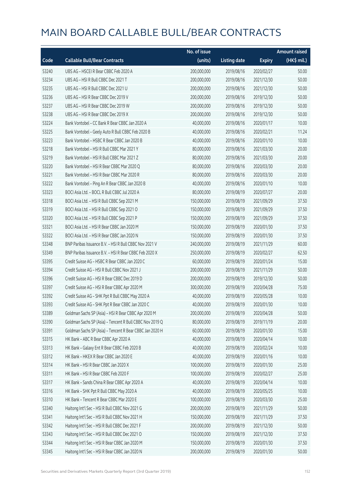|       |                                                          | No. of issue |                     |               | <b>Amount raised</b> |
|-------|----------------------------------------------------------|--------------|---------------------|---------------|----------------------|
| Code  | <b>Callable Bull/Bear Contracts</b>                      | (units)      | <b>Listing date</b> | <b>Expiry</b> | (HK\$ mil.)          |
| 53240 | UBS AG - HSCEI R Bear CBBC Feb 2020 A                    | 200,000,000  | 2019/08/16          | 2020/02/27    | 50.00                |
| 53234 | UBS AG - HSI R Bull CBBC Dec 2021 T                      | 200,000,000  | 2019/08/16          | 2021/12/30    | 50.00                |
| 53235 | UBS AG - HSI R Bull CBBC Dec 2021 U                      | 200,000,000  | 2019/08/16          | 2021/12/30    | 50.00                |
| 53236 | UBS AG - HSI R Bear CBBC Dec 2019 V                      | 200,000,000  | 2019/08/16          | 2019/12/30    | 50.00                |
| 53237 | UBS AG - HSI R Bear CBBC Dec 2019 W                      | 200,000,000  | 2019/08/16          | 2019/12/30    | 50.00                |
| 53238 | UBS AG - HSI R Bear CBBC Dec 2019 X                      | 200,000,000  | 2019/08/16          | 2019/12/30    | 50.00                |
| 53224 | Bank Vontobel - CC Bank R Bear CBBC Jan 2020 A           | 40,000,000   | 2019/08/16          | 2020/01/17    | 10.00                |
| 53225 | Bank Vontobel - Geely Auto R Bull CBBC Feb 2020 B        | 40,000,000   | 2019/08/16          | 2020/02/21    | 11.24                |
| 53223 | Bank Vontobel - HSBC R Bear CBBC Jan 2020 B              | 40,000,000   | 2019/08/16          | 2020/01/10    | 10.00                |
| 53218 | Bank Vontobel - HSI R Bull CBBC Mar 2021 Y               | 80,000,000   | 2019/08/16          | 2021/03/30    | 20.00                |
| 53219 | Bank Vontobel - HSI R Bull CBBC Mar 2021 Z               | 80,000,000   | 2019/08/16          | 2021/03/30    | 20.00                |
| 53220 | Bank Vontobel - HSI R Bear CBBC Mar 2020 Q               | 80,000,000   | 2019/08/16          | 2020/03/30    | 20.00                |
| 53221 | Bank Vontobel - HSI R Bear CBBC Mar 2020 R               | 80,000,000   | 2019/08/16          | 2020/03/30    | 20.00                |
| 53222 | Bank Vontobel - Ping An R Bear CBBC Jan 2020 B           | 40,000,000   | 2019/08/16          | 2020/01/10    | 10.00                |
| 53323 | BOCI Asia Ltd. - BOCL R Bull CBBC Jul 2020 A             | 80,000,000   | 2019/08/19          | 2020/07/27    | 20.00                |
| 53318 | BOCI Asia Ltd. - HSI R Bull CBBC Sep 2021 M              | 150,000,000  | 2019/08/19          | 2021/09/29    | 37.50                |
| 53319 | BOCI Asia Ltd. - HSI R Bull CBBC Sep 2021 O              | 150,000,000  | 2019/08/19          | 2021/09/29    | 37.50                |
| 53320 | BOCI Asia Ltd. - HSI R Bull CBBC Sep 2021 P              | 150,000,000  | 2019/08/19          | 2021/09/29    | 37.50                |
| 53321 | BOCI Asia Ltd. - HSI R Bear CBBC Jan 2020 M              | 150,000,000  | 2019/08/19          | 2020/01/30    | 37.50                |
| 53322 | BOCI Asia Ltd. - HSI R Bear CBBC Jan 2020 N              | 150,000,000  | 2019/08/19          | 2020/01/30    | 37.50                |
| 53348 | BNP Paribas Issuance B.V. - HSI R Bull CBBC Nov 2021 V   | 240,000,000  | 2019/08/19          | 2021/11/29    | 60.00                |
| 53349 | BNP Paribas Issuance B.V. - HSI R Bear CBBC Feb 2020 X   | 250,000,000  | 2019/08/19          | 2020/02/27    | 62.50                |
| 53395 | Credit Suisse AG - HSBC R Bear CBBC Jan 2020 C           | 60,000,000   | 2019/08/19          | 2020/01/24    | 15.00                |
| 53394 | Credit Suisse AG - HSI R Bull CBBC Nov 2021 J            | 200,000,000  | 2019/08/19          | 2021/11/29    | 50.00                |
| 53396 | Credit Suisse AG - HSI R Bear CBBC Dec 2019 D            | 200,000,000  | 2019/08/19          | 2019/12/30    | 50.00                |
| 53397 | Credit Suisse AG - HSI R Bear CBBC Apr 2020 M            | 300,000,000  | 2019/08/19          | 2020/04/28    | 75.00                |
| 53392 | Credit Suisse AG - SHK Ppt R Bull CBBC May 2020 A        | 40,000,000   | 2019/08/19          | 2020/05/28    | 10.00                |
| 53393 | Credit Suisse AG - SHK Ppt R Bear CBBC Jan 2020 C        | 40,000,000   | 2019/08/19          | 2020/01/30    | 10.00                |
| 53389 | Goldman Sachs SP (Asia) - HSI R Bear CBBC Apr 2020 M     | 200,000,000  | 2019/08/19          | 2020/04/28    | 50.00                |
| 53390 | Goldman Sachs SP (Asia) - Tencent R Bull CBBC Nov 2019 Q | 80,000,000   | 2019/08/19          | 2019/11/19    | 20.00                |
| 53391 | Goldman Sachs SP (Asia) - Tencent R Bear CBBC Jan 2020 H | 60,000,000   | 2019/08/19          | 2020/01/30    | 15.00                |
| 53315 | HK Bank - ABC R Bear CBBC Apr 2020 A                     | 40,000,000   | 2019/08/19          | 2020/04/14    | 10.00                |
| 53313 | HK Bank - Galaxy Ent R Bear CBBC Feb 2020 B              | 40,000,000   | 2019/08/19          | 2020/02/24    | 10.00                |
| 53312 | HK Bank - HKEX R Bear CBBC Jan 2020 E                    | 40,000,000   | 2019/08/19          | 2020/01/16    | 10.00                |
| 53314 | HK Bank - HSI R Bear CBBC Jan 2020 X                     | 100,000,000  | 2019/08/19          | 2020/01/30    | 25.00                |
| 53311 | HK Bank - HSI R Bear CBBC Feb 2020 F                     | 100,000,000  | 2019/08/19          | 2020/02/27    | 25.00                |
| 53317 | HK Bank - Sands China R Bear CBBC Apr 2020 A             | 40,000,000   | 2019/08/19          | 2020/04/14    | 10.00                |
| 53316 | HK Bank - SHK Ppt R Bull CBBC May 2020 A                 | 40,000,000   | 2019/08/19          | 2020/05/25    | 10.00                |
| 53310 | HK Bank - Tencent R Bear CBBC Mar 2020 E                 | 100,000,000  | 2019/08/19          | 2020/03/30    | 25.00                |
| 53340 | Haitong Int'l Sec - HSI R Bull CBBC Nov 2021 G           | 200,000,000  | 2019/08/19          | 2021/11/29    | 50.00                |
| 53341 | Haitong Int'l Sec - HSI R Bull CBBC Nov 2021 H           | 150,000,000  | 2019/08/19          | 2021/11/29    | 37.50                |
| 53342 | Haitong Int'l Sec - HSI R Bull CBBC Dec 2021 F           | 200,000,000  | 2019/08/19          | 2021/12/30    | 50.00                |
| 53343 | Haitong Int'l Sec - HSI R Bull CBBC Dec 2021 O           | 150,000,000  | 2019/08/19          | 2021/12/30    | 37.50                |
| 53344 | Haitong Int'l Sec - HSI R Bear CBBC Jan 2020 M           | 150,000,000  | 2019/08/19          | 2020/01/30    | 37.50                |
| 53345 | Haitong Int'l Sec - HSI R Bear CBBC Jan 2020 N           | 200,000,000  | 2019/08/19          | 2020/01/30    | 50.00                |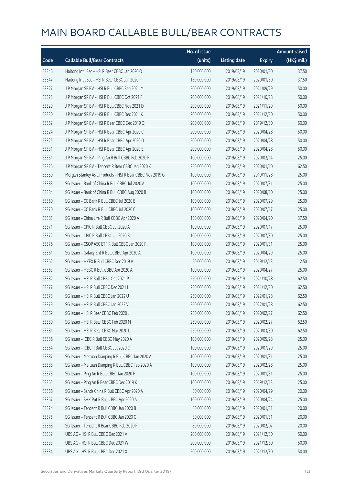|       |                                                           | No. of issue |                     |               | <b>Amount raised</b> |
|-------|-----------------------------------------------------------|--------------|---------------------|---------------|----------------------|
| Code  | <b>Callable Bull/Bear Contracts</b>                       | (units)      | <b>Listing date</b> | <b>Expiry</b> | (HK\$ mil.)          |
| 53346 | Haitong Int'l Sec - HSI R Bear CBBC Jan 2020 O            | 150,000,000  | 2019/08/19          | 2020/01/30    | 37.50                |
| 53347 | Haitong Int'l Sec - HSI R Bear CBBC Jan 2020 P            | 150,000,000  | 2019/08/19          | 2020/01/30    | 37.50                |
| 53327 | J P Morgan SP BV - HSI R Bull CBBC Sep 2021 M             | 200,000,000  | 2019/08/19          | 2021/09/29    | 50.00                |
| 53328 | J P Morgan SP BV - HSI R Bull CBBC Oct 2021 F             | 200,000,000  | 2019/08/19          | 2021/10/28    | 50.00                |
| 53329 | J P Morgan SP BV - HSI R Bull CBBC Nov 2021 D             | 200,000,000  | 2019/08/19          | 2021/11/29    | 50.00                |
| 53330 | J P Morgan SP BV - HSI R Bull CBBC Dec 2021 K             | 200,000,000  | 2019/08/19          | 2021/12/30    | 50.00                |
| 53352 | J P Morgan SP BV - HSI R Bear CBBC Dec 2019 Q             | 200,000,000  | 2019/08/19          | 2019/12/30    | 50.00                |
| 53324 | J P Morgan SP BV - HSI R Bear CBBC Apr 2020 C             | 200,000,000  | 2019/08/19          | 2020/04/28    | 50.00                |
| 53325 | J P Morgan SP BV - HSI R Bear CBBC Apr 2020 D             | 200,000,000  | 2019/08/19          | 2020/04/28    | 50.00                |
| 53331 | J P Morgan SP BV - HSI R Bear CBBC Apr 2020 E             | 200,000,000  | 2019/08/19          | 2020/04/28    | 50.00                |
| 53351 | J P Morgan SP BV - Ping An R Bull CBBC Feb 2020 F         | 100,000,000  | 2019/08/19          | 2020/02/14    | 25.00                |
| 53326 | J P Morgan SP BV - Tencent R Bear CBBC Jan 2020 K         | 250,000,000  | 2019/08/19          | 2020/01/10    | 62.50                |
| 53350 | Morgan Stanley Asia Products - HSI R Bear CBBC Nov 2019 G | 100,000,000  | 2019/08/19          | 2019/11/28    | 25.00                |
| 53383 | SG Issuer - Bank of China R Bull CBBC Jul 2020 A          | 100,000,000  | 2019/08/19          | 2020/07/31    | 25.00                |
| 53384 | SG Issuer - Bank of China R Bull CBBC Aug 2020 B          | 100,000,000  | 2019/08/19          | 2020/08/10    | 25.00                |
| 53360 | SG Issuer - CC Bank R Bull CBBC Jul 2020 B                | 100,000,000  | 2019/08/19          | 2020/07/29    | 25.00                |
| 53370 | SG Issuer - CC Bank R Bull CBBC Jul 2020 C                | 100,000,000  | 2019/08/19          | 2020/07/17    | 25.00                |
| 53385 | SG Issuer - China Life R Bull CBBC Apr 2020 A             | 150,000,000  | 2019/08/19          | 2020/04/20    | 37.50                |
| 53371 | SG Issuer - CPIC R Bull CBBC Jul 2020 A                   | 100,000,000  | 2019/08/19          | 2020/07/17    | 25.00                |
| 53372 | SG Issuer - CPIC R Bull CBBC Jul 2020 B                   | 100,000,000  | 2019/08/19          | 2020/07/30    | 25.00                |
| 53376 | SG Issuer - CSOP A50 ETF R Bull CBBC Jan 2020 F           | 100,000,000  | 2019/08/19          | 2020/01/31    | 25.00                |
| 53361 | SG Issuer - Galaxy Ent R Bull CBBC Apr 2020 A             | 100,000,000  | 2019/08/19          | 2020/04/29    | 25.00                |
| 53362 | SG Issuer - HKEX R Bull CBBC Dec 2019 V                   | 50,000,000   | 2019/08/19          | 2019/12/13    | 12.50                |
| 53363 | SG Issuer - HSBC R Bull CBBC Apr 2020 A                   | 100,000,000  | 2019/08/19          | 2020/04/27    | 25.00                |
| 53382 | SG Issuer - HSI R Bull CBBC Oct 2021 P                    | 250,000,000  | 2019/08/19          | 2021/10/28    | 62.50                |
| 53377 | SG Issuer - HSI R Bull CBBC Dec 2021 L                    | 250,000,000  | 2019/08/19          | 2021/12/30    | 62.50                |
| 53378 | SG Issuer - HSI R Bull CBBC Jan 2022 U                    | 250,000,000  | 2019/08/19          | 2022/01/28    | 62.50                |
| 53379 | SG Issuer – HSI R Bull CBBC Jan 2022 V                    | 250,000,000  | 2019/08/19          | 2022/01/28    | 62.50                |
| 53369 | SG Issuer - HSI R Bear CBBC Feb 2020 J                    | 250,000,000  | 2019/08/19          | 2020/02/27    | 62.50                |
| 53380 | SG Issuer - HSI R Bear CBBC Feb 2020 M                    | 250,000,000  | 2019/08/19          | 2020/02/27    | 62.50                |
| 53381 | SG Issuer - HSI R Bear CBBC Mar 2020 L                    | 250,000,000  | 2019/08/19          | 2020/03/30    | 62.50                |
| 53386 | SG Issuer - ICBC R Bull CBBC May 2020 A                   | 100,000,000  | 2019/08/19          | 2020/05/28    | 25.00                |
| 53364 | SG Issuer - ICBC R Bull CBBC Jul 2020 C                   | 100,000,000  | 2019/08/19          | 2020/07/29    | 25.00                |
| 53387 | SG Issuer - Meituan Dianping R Bull CBBC Jan 2020 A       | 100,000,000  | 2019/08/19          | 2020/01/31    | 25.00                |
| 53388 | SG Issuer - Meituan Dianping R Bull CBBC Feb 2020 A       | 100,000,000  | 2019/08/19          | 2020/02/28    | 25.00                |
| 53373 | SG Issuer - Ping An R Bull CBBC Jan 2020 F                | 100,000,000  | 2019/08/19          | 2020/01/31    | 25.00                |
| 53365 | SG Issuer - Ping An R Bear CBBC Dec 2019 K                | 100,000,000  | 2019/08/19          | 2019/12/13    | 25.00                |
| 53366 | SG Issuer - Sands China R Bull CBBC Apr 2020 A            | 80,000,000   | 2019/08/19          | 2020/04/29    | 20.00                |
| 53367 | SG Issuer - SHK Ppt R Bull CBBC Apr 2020 A                | 100,000,000  | 2019/08/19          | 2020/04/24    | 25.00                |
| 53374 | SG Issuer - Tencent R Bull CBBC Jan 2020 B                | 80,000,000   | 2019/08/19          | 2020/01/31    | 20.00                |
| 53375 | SG Issuer - Tencent R Bull CBBC Jan 2020 C                | 80,000,000   | 2019/08/19          | 2020/01/31    | 20.00                |
| 53368 | SG Issuer - Tencent R Bear CBBC Feb 2020 F                | 80,000,000   | 2019/08/19          | 2020/02/07    | 20.00                |
| 53332 | UBS AG - HSI R Bull CBBC Dec 2021 V                       | 200,000,000  | 2019/08/19          | 2021/12/30    | 50.00                |
| 53333 | UBS AG - HSI R Bull CBBC Dec 2021 W                       | 200,000,000  | 2019/08/19          | 2021/12/30    | 50.00                |
| 53334 | UBS AG - HSI R Bull CBBC Dec 2021 X                       | 200,000,000  | 2019/08/19          | 2021/12/30    | 50.00                |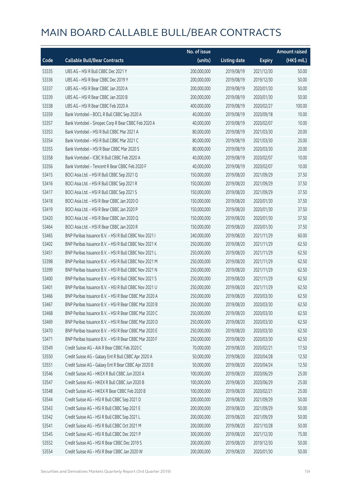|       |                                                        | No. of issue |                     |               | <b>Amount raised</b> |
|-------|--------------------------------------------------------|--------------|---------------------|---------------|----------------------|
| Code  | <b>Callable Bull/Bear Contracts</b>                    | (units)      | <b>Listing date</b> | <b>Expiry</b> | (HK\$ mil.)          |
| 53335 | UBS AG - HSI R Bull CBBC Dec 2021 Y                    | 200,000,000  | 2019/08/19          | 2021/12/30    | 50.00                |
| 53336 | UBS AG - HSI R Bear CBBC Dec 2019 Y                    | 200,000,000  | 2019/08/19          | 2019/12/30    | 50.00                |
| 53337 | UBS AG - HSI R Bear CBBC Jan 2020 A                    | 200,000,000  | 2019/08/19          | 2020/01/30    | 50.00                |
| 53339 | UBS AG - HSI R Bear CBBC Jan 2020 B                    | 200,000,000  | 2019/08/19          | 2020/01/30    | 50.00                |
| 53338 | UBS AG - HSI R Bear CBBC Feb 2020 A                    | 400,000,000  | 2019/08/19          | 2020/02/27    | 100.00               |
| 53359 | Bank Vontobel - BOCL R Bull CBBC Sep 2020 A            | 40,000,000   | 2019/08/19          | 2020/09/18    | 10.00                |
| 53357 | Bank Vontobel - Sinopec Corp R Bear CBBC Feb 2020 A    | 40,000,000   | 2019/08/19          | 2020/02/07    | 10.00                |
| 53353 | Bank Vontobel - HSI R Bull CBBC Mar 2021 A             | 80,000,000   | 2019/08/19          | 2021/03/30    | 20.00                |
| 53354 | Bank Vontobel - HSI R Bull CBBC Mar 2021 C             | 80,000,000   | 2019/08/19          | 2021/03/30    | 20.00                |
| 53355 | Bank Vontobel - HSI R Bear CBBC Mar 2020 S             | 80,000,000   | 2019/08/19          | 2020/03/30    | 20.00                |
| 53358 | Bank Vontobel - ICBC R Bull CBBC Feb 2020 A            | 40,000,000   | 2019/08/19          | 2020/02/07    | 10.00                |
| 53356 | Bank Vontobel - Tencent R Bear CBBC Feb 2020 F         | 40,000,000   | 2019/08/19          | 2020/02/07    | 10.00                |
| 53415 | BOCI Asia Ltd. - HSI R Bull CBBC Sep 2021 Q            | 150,000,000  | 2019/08/20          | 2021/09/29    | 37.50                |
| 53416 | BOCI Asia Ltd. - HSI R Bull CBBC Sep 2021 R            | 150,000,000  | 2019/08/20          | 2021/09/29    | 37.50                |
| 53417 | BOCI Asia Ltd. - HSI R Bull CBBC Sep 2021 S            | 150,000,000  | 2019/08/20          | 2021/09/29    | 37.50                |
| 53418 | BOCI Asia Ltd. - HSI R Bear CBBC Jan 2020 O            | 150,000,000  | 2019/08/20          | 2020/01/30    | 37.50                |
| 53419 | BOCI Asia Ltd. - HSI R Bear CBBC Jan 2020 P            | 150,000,000  | 2019/08/20          | 2020/01/30    | 37.50                |
| 53420 | BOCI Asia Ltd. - HSI R Bear CBBC Jan 2020 Q            | 150,000,000  | 2019/08/20          | 2020/01/30    | 37.50                |
| 53464 | BOCI Asia Ltd. - HSI R Bear CBBC Jan 2020 R            | 150,000,000  | 2019/08/20          | 2020/01/30    | 37.50                |
| 53465 | BNP Paribas Issuance B.V. - HSI R Bull CBBC Nov 2021 I | 240,000,000  | 2019/08/20          | 2021/11/29    | 60.00                |
| 53402 | BNP Paribas Issuance B.V. - HSI R Bull CBBC Nov 2021 K | 250,000,000  | 2019/08/20          | 2021/11/29    | 62.50                |
| 53451 | BNP Paribas Issuance B.V. - HSI R Bull CBBC Nov 2021 L | 250,000,000  | 2019/08/20          | 2021/11/29    | 62.50                |
| 53398 | BNP Paribas Issuance B.V. - HSI R Bull CBBC Nov 2021 M | 250,000,000  | 2019/08/20          | 2021/11/29    | 62.50                |
| 53399 | BNP Paribas Issuance B.V. - HSI R Bull CBBC Nov 2021 N | 250,000,000  | 2019/08/20          | 2021/11/29    | 62.50                |
| 53400 | BNP Paribas Issuance B.V. - HSI R Bull CBBC Nov 2021 S | 250,000,000  | 2019/08/20          | 2021/11/29    | 62.50                |
| 53401 | BNP Paribas Issuance B.V. - HSI R Bull CBBC Nov 2021 U | 250,000,000  | 2019/08/20          | 2021/11/29    | 62.50                |
| 53466 | BNP Paribas Issuance B.V. - HSI R Bear CBBC Mar 2020 A | 250,000,000  | 2019/08/20          | 2020/03/30    | 62.50                |
| 53467 | RNP Paribas Issuance R V - HSLR Bear CBBC Mar 2020 B   | 250,000,000  | 2019/08/20          | 2020/03/30    | 62.50                |
| 53468 | BNP Paribas Issuance B.V. - HSI R Bear CBBC Mar 2020 C | 250,000,000  | 2019/08/20          | 2020/03/30    | 62.50                |
| 53469 | BNP Paribas Issuance B.V. - HSI R Bear CBBC Mar 2020 D | 250,000,000  | 2019/08/20          | 2020/03/30    | 62.50                |
| 53470 | BNP Paribas Issuance B.V. - HSI R Bear CBBC Mar 2020 E | 250,000,000  | 2019/08/20          | 2020/03/30    | 62.50                |
| 53471 | BNP Paribas Issuance B.V. - HSI R Bear CBBC Mar 2020 F | 250,000,000  | 2019/08/20          | 2020/03/30    | 62.50                |
| 53549 | Credit Suisse AG - AIA R Bear CBBC Feb 2020 C          | 70,000,000   | 2019/08/20          | 2020/02/21    | 17.50                |
| 53550 | Credit Suisse AG - Galaxy Ent R Bull CBBC Apr 2020 A   | 50,000,000   | 2019/08/20          | 2020/04/28    | 12.50                |
| 53551 | Credit Suisse AG - Galaxy Ent R Bear CBBC Apr 2020 B   | 50,000,000   | 2019/08/20          | 2020/04/24    | 12.50                |
| 53546 | Credit Suisse AG - HKEX R Bull CBBC Jun 2020 A         | 100,000,000  | 2019/08/20          | 2020/06/29    | 25.00                |
| 53547 | Credit Suisse AG - HKEX R Bull CBBC Jun 2020 B         | 100,000,000  | 2019/08/20          | 2020/06/29    | 25.00                |
| 53548 | Credit Suisse AG - HKEX R Bear CBBC Feb 2020 B         | 100,000,000  | 2019/08/20          | 2020/02/21    | 25.00                |
| 53544 | Credit Suisse AG - HSI R Bull CBBC Sep 2021 D          | 200,000,000  | 2019/08/20          | 2021/09/29    | 50.00                |
| 53543 | Credit Suisse AG - HSI R Bull CBBC Sep 2021 E          | 200,000,000  | 2019/08/20          | 2021/09/29    | 50.00                |
| 53542 | Credit Suisse AG - HSI R Bull CBBC Sep 2021 L          | 200,000,000  | 2019/08/20          | 2021/09/29    | 50.00                |
| 53541 | Credit Suisse AG - HSI R Bull CBBC Oct 2021 M          | 200,000,000  | 2019/08/20          | 2021/10/28    | 50.00                |
| 53545 | Credit Suisse AG - HSI R Bull CBBC Dec 2021 P          | 300,000,000  | 2019/08/20          | 2021/12/30    | 75.00                |
| 53552 | Credit Suisse AG - HSI R Bear CBBC Dec 2019 S          | 200,000,000  | 2019/08/20          | 2019/12/30    | 50.00                |
| 53554 | Credit Suisse AG - HSI R Bear CBBC Jan 2020 W          | 200,000,000  | 2019/08/20          | 2020/01/30    | 50.00                |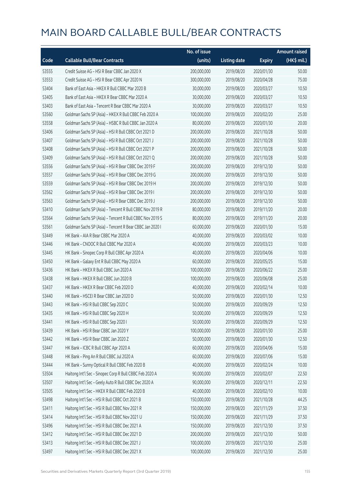|       |                                                          | No. of issue |                     |               | <b>Amount raised</b> |
|-------|----------------------------------------------------------|--------------|---------------------|---------------|----------------------|
| Code  | <b>Callable Bull/Bear Contracts</b>                      | (units)      | <b>Listing date</b> | <b>Expiry</b> | (HK\$ mil.)          |
| 53555 | Credit Suisse AG - HSI R Bear CBBC Jan 2020 X            | 200,000,000  | 2019/08/20          | 2020/01/30    | 50.00                |
| 53553 | Credit Suisse AG - HSI R Bear CBBC Apr 2020 N            | 300,000,000  | 2019/08/20          | 2020/04/28    | 75.00                |
| 53404 | Bank of East Asia - HKEX R Bull CBBC Mar 2020 B          | 30,000,000   | 2019/08/20          | 2020/03/27    | 10.50                |
| 53405 | Bank of East Asia - HKEX R Bear CBBC Mar 2020 A          | 30,000,000   | 2019/08/20          | 2020/03/27    | 10.50                |
| 53403 | Bank of East Asia - Tencent R Bear CBBC Mar 2020 A       | 30,000,000   | 2019/08/20          | 2020/03/27    | 10.50                |
| 53560 | Goldman Sachs SP (Asia) - HKEX R Bull CBBC Feb 2020 A    | 100,000,000  | 2019/08/20          | 2020/02/20    | 25.00                |
| 53558 | Goldman Sachs SP (Asia) - HSBC R Bull CBBC Jan 2020 A    | 80,000,000   | 2019/08/20          | 2020/01/30    | 20.00                |
| 53406 | Goldman Sachs SP (Asia) - HSI R Bull CBBC Oct 2021 D     | 200,000,000  | 2019/08/20          | 2021/10/28    | 50.00                |
| 53407 | Goldman Sachs SP (Asia) - HSI R Bull CBBC Oct 2021 J     | 200,000,000  | 2019/08/20          | 2021/10/28    | 50.00                |
| 53408 | Goldman Sachs SP (Asia) - HSI R Bull CBBC Oct 2021 P     | 200,000,000  | 2019/08/20          | 2021/10/28    | 50.00                |
| 53409 | Goldman Sachs SP (Asia) - HSI R Bull CBBC Oct 2021 Q     | 200,000,000  | 2019/08/20          | 2021/10/28    | 50.00                |
| 53556 | Goldman Sachs SP (Asia) - HSI R Bear CBBC Dec 2019 F     | 200,000,000  | 2019/08/20          | 2019/12/30    | 50.00                |
| 53557 | Goldman Sachs SP (Asia) - HSI R Bear CBBC Dec 2019 G     | 200,000,000  | 2019/08/20          | 2019/12/30    | 50.00                |
| 53559 | Goldman Sachs SP (Asia) - HSI R Bear CBBC Dec 2019 H     | 200,000,000  | 2019/08/20          | 2019/12/30    | 50.00                |
| 53562 | Goldman Sachs SP (Asia) - HSI R Bear CBBC Dec 2019 I     | 200,000,000  | 2019/08/20          | 2019/12/30    | 50.00                |
| 53563 | Goldman Sachs SP (Asia) - HSI R Bear CBBC Dec 2019 J     | 200,000,000  | 2019/08/20          | 2019/12/30    | 50.00                |
| 53410 | Goldman Sachs SP (Asia) - Tencent R Bull CBBC Nov 2019 R | 80,000,000   | 2019/08/20          | 2019/11/20    | 20.00                |
| 53564 | Goldman Sachs SP (Asia) - Tencent R Bull CBBC Nov 2019 S | 80,000,000   | 2019/08/20          | 2019/11/20    | 20.00                |
| 53561 | Goldman Sachs SP (Asia) - Tencent R Bear CBBC Jan 2020 I | 60,000,000   | 2019/08/20          | 2020/01/30    | 15.00                |
| 53449 | HK Bank - AIA R Bear CBBC Mar 2020 A                     | 40,000,000   | 2019/08/20          | 2020/03/02    | 10.00                |
| 53446 | HK Bank - CNOOC R Bull CBBC Mar 2020 A                   | 40,000,000   | 2019/08/20          | 2020/03/23    | 10.00                |
| 53445 | HK Bank - Sinopec Corp R Bull CBBC Apr 2020 A            | 40,000,000   | 2019/08/20          | 2020/04/06    | 10.00                |
| 53450 | HK Bank - Galaxy Ent R Bull CBBC May 2020 A              | 60,000,000   | 2019/08/20          | 2020/05/25    | 15.00                |
| 53436 | HK Bank - HKEX R Bull CBBC Jun 2020 A                    | 100,000,000  | 2019/08/20          | 2020/06/22    | 25.00                |
| 53438 | HK Bank - HKEX R Bull CBBC Jun 2020 B                    | 100,000,000  | 2019/08/20          | 2020/06/08    | 25.00                |
| 53437 | HK Bank - HKEX R Bear CBBC Feb 2020 D                    | 40,000,000   | 2019/08/20          | 2020/02/14    | 10.00                |
| 53440 | HK Bank - HSCEI R Bear CBBC Jan 2020 D                   | 50,000,000   | 2019/08/20          | 2020/01/30    | 12.50                |
| 53443 | HK Bank - HSI R Bull CBBC Sep 2020 C                     | 50,000,000   | 2019/08/20          | 2020/09/29    | 12.50                |
| 53435 | HK Bank - HSI R Bull CBBC Sep 2020 H                     | 50,000,000   | 2019/08/20          | 2020/09/29    | 12.50                |
| 53441 | HK Bank - HSI R Bull CBBC Sep 2020 I                     | 50,000,000   | 2019/08/20          | 2020/09/29    | 12.50                |
| 53439 | HK Bank - HSI R Bear CBBC Jan 2020 Y                     | 100,000,000  | 2019/08/20          | 2020/01/30    | 25.00                |
| 53442 | HK Bank - HSI R Bear CBBC Jan 2020 Z                     | 50,000,000   | 2019/08/20          | 2020/01/30    | 12.50                |
| 53447 | HK Bank - ICBC R Bull CBBC Apr 2020 A                    | 60,000,000   | 2019/08/20          | 2020/04/06    | 15.00                |
| 53448 | HK Bank - Ping An R Bull CBBC Jul 2020 A                 | 60,000,000   | 2019/08/20          | 2020/07/06    | 15.00                |
| 53444 | HK Bank - Sunny Optical R Bull CBBC Feb 2020 B           | 40,000,000   | 2019/08/20          | 2020/02/24    | 10.00                |
| 53504 | Haitong Int'l Sec - Sinopec Corp R Bull CBBC Feb 2020 A  | 90,000,000   | 2019/08/20          | 2020/02/07    | 22.50                |
| 53507 | Haitong Int'l Sec - Geely Auto R Bull CBBC Dec 2020 A    | 90,000,000   | 2019/08/20          | 2020/12/11    | 22.50                |
| 53505 | Haitong Int'l Sec - HKEX R Bull CBBC Feb 2020 B          | 40,000,000   | 2019/08/20          | 2020/02/10    | 10.00                |
| 53498 | Haitong Int'l Sec - HSI R Bull CBBC Oct 2021 B           | 150,000,000  | 2019/08/20          | 2021/10/28    | 44.25                |
| 53411 | Haitong Int'l Sec - HSI R Bull CBBC Nov 2021 R           | 150,000,000  | 2019/08/20          | 2021/11/29    | 37.50                |
| 53414 | Haitong Int'l Sec - HSI R Bull CBBC Nov 2021 U           | 150,000,000  | 2019/08/20          | 2021/11/29    | 37.50                |
| 53496 | Haitong Int'l Sec - HSI R Bull CBBC Dec 2021 A           | 150,000,000  | 2019/08/20          | 2021/12/30    | 37.50                |
| 53412 | Haitong Int'l Sec - HSI R Bull CBBC Dec 2021 D           | 200,000,000  | 2019/08/20          | 2021/12/30    | 50.00                |
| 53413 | Haitong Int'l Sec - HSI R Bull CBBC Dec 2021 J           | 100,000,000  | 2019/08/20          | 2021/12/30    | 25.00                |
| 53497 | Haitong Int'l Sec - HSI R Bull CBBC Dec 2021 X           | 100,000,000  | 2019/08/20          | 2021/12/30    | 25.00                |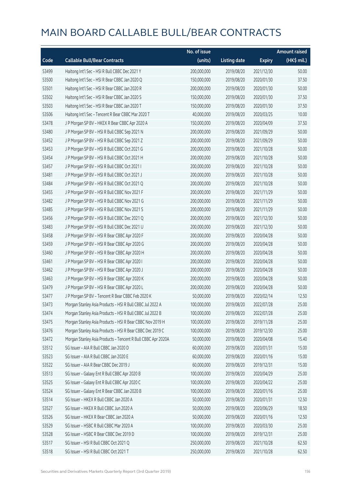|       |                                                              | No. of issue |                     |               | <b>Amount raised</b> |
|-------|--------------------------------------------------------------|--------------|---------------------|---------------|----------------------|
| Code  | <b>Callable Bull/Bear Contracts</b>                          | (units)      | <b>Listing date</b> | <b>Expiry</b> | (HK\$ mil.)          |
| 53499 | Haitong Int'l Sec - HSI R Bull CBBC Dec 2021 Y               | 200,000,000  | 2019/08/20          | 2021/12/30    | 50.00                |
| 53500 | Haitong Int'l Sec - HSI R Bear CBBC Jan 2020 Q               | 150,000,000  | 2019/08/20          | 2020/01/30    | 37.50                |
| 53501 | Haitong Int'l Sec - HSI R Bear CBBC Jan 2020 R               | 200,000,000  | 2019/08/20          | 2020/01/30    | 50.00                |
| 53502 | Haitong Int'l Sec - HSI R Bear CBBC Jan 2020 S               | 150,000,000  | 2019/08/20          | 2020/01/30    | 37.50                |
| 53503 | Haitong Int'l Sec - HSI R Bear CBBC Jan 2020 T               | 150,000,000  | 2019/08/20          | 2020/01/30    | 37.50                |
| 53506 | Haitong Int'l Sec - Tencent R Bear CBBC Mar 2020 T           | 40,000,000   | 2019/08/20          | 2020/03/25    | 10.00                |
| 53478 | J P Morgan SP BV - HKEX R Bear CBBC Apr 2020 A               | 150,000,000  | 2019/08/20          | 2020/04/09    | 37.50                |
| 53480 | J P Morgan SP BV - HSI R Bull CBBC Sep 2021 N                | 200,000,000  | 2019/08/20          | 2021/09/29    | 50.00                |
| 53452 | J P Morgan SP BV - HSI R Bull CBBC Sep 2021 Z                | 200,000,000  | 2019/08/20          | 2021/09/29    | 50.00                |
| 53453 | J P Morgan SP BV - HSI R Bull CBBC Oct 2021 G                | 200,000,000  | 2019/08/20          | 2021/10/28    | 50.00                |
| 53454 | J P Morgan SP BV - HSI R Bull CBBC Oct 2021 H                | 200,000,000  | 2019/08/20          | 2021/10/28    | 50.00                |
| 53457 | J P Morgan SP BV - HSI R Bull CBBC Oct 2021 I                | 200,000,000  | 2019/08/20          | 2021/10/28    | 50.00                |
| 53481 | J P Morgan SP BV - HSI R Bull CBBC Oct 2021 J                | 200,000,000  | 2019/08/20          | 2021/10/28    | 50.00                |
| 53484 | J P Morgan SP BV - HSI R Bull CBBC Oct 2021 Q                | 200,000,000  | 2019/08/20          | 2021/10/28    | 50.00                |
| 53455 | J P Morgan SP BV - HSI R Bull CBBC Nov 2021 F                | 200,000,000  | 2019/08/20          | 2021/11/29    | 50.00                |
| 53482 | J P Morgan SP BV - HSI R Bull CBBC Nov 2021 G                | 200,000,000  | 2019/08/20          | 2021/11/29    | 50.00                |
| 53485 | J P Morgan SP BV - HSI R Bull CBBC Nov 2021 S                | 200,000,000  | 2019/08/20          | 2021/11/29    | 50.00                |
| 53456 | J P Morgan SP BV - HSI R Bull CBBC Dec 2021 Q                | 200,000,000  | 2019/08/20          | 2021/12/30    | 50.00                |
| 53483 | J P Morgan SP BV - HSI R Bull CBBC Dec 2021 U                | 200,000,000  | 2019/08/20          | 2021/12/30    | 50.00                |
| 53458 | J P Morgan SP BV - HSI R Bear CBBC Apr 2020 F                | 200,000,000  | 2019/08/20          | 2020/04/28    | 50.00                |
| 53459 | J P Morgan SP BV - HSI R Bear CBBC Apr 2020 G                | 200,000,000  | 2019/08/20          | 2020/04/28    | 50.00                |
| 53460 | J P Morgan SP BV - HSI R Bear CBBC Apr 2020 H                | 200,000,000  | 2019/08/20          | 2020/04/28    | 50.00                |
| 53461 | J P Morgan SP BV - HSI R Bear CBBC Apr 2020 I                | 200,000,000  | 2019/08/20          | 2020/04/28    | 50.00                |
| 53462 | J P Morgan SP BV - HSI R Bear CBBC Apr 2020 J                | 200,000,000  | 2019/08/20          | 2020/04/28    | 50.00                |
| 53463 | J P Morgan SP BV - HSI R Bear CBBC Apr 2020 K                | 200,000,000  | 2019/08/20          | 2020/04/28    | 50.00                |
| 53479 | J P Morgan SP BV - HSI R Bear CBBC Apr 2020 L                | 200,000,000  | 2019/08/20          | 2020/04/28    | 50.00                |
| 53477 | J P Morgan SP BV - Tencent R Bear CBBC Feb 2020 K            | 50,000,000   | 2019/08/20          | 2020/02/14    | 12.50                |
| 53473 | Morgan Stanley Asia Products - HSI R Bull CBBC Jul 2022 A    | 100,000,000  | 2019/08/20          | 2022/07/28    | 25.00                |
| 53474 | Morgan Stanley Asia Products - HSI R Bull CBBC Jul 2022 B    | 100,000,000  | 2019/08/20          | 2022/07/28    | 25.00                |
| 53475 | Morgan Stanley Asia Products - HSI R Bear CBBC Nov 2019 H    | 100,000,000  | 2019/08/20          | 2019/11/28    | 25.00                |
| 53476 | Morgan Stanley Asia Products - HSI R Bear CBBC Dec 2019 C    | 100,000,000  | 2019/08/20          | 2019/12/30    | 25.00                |
| 53472 | Morgan Stanley Asia Products - Tencent R Bull CBBC Apr 2020A | 50,000,000   | 2019/08/20          | 2020/04/08    | 15.40                |
| 53512 | SG Issuer - AIA R Bull CBBC Jan 2020 D                       | 60,000,000   | 2019/08/20          | 2020/01/31    | 15.00                |
| 53523 | SG Issuer - AIA R Bull CBBC Jan 2020 E                       | 60,000,000   | 2019/08/20          | 2020/01/16    | 15.00                |
| 53522 | SG Issuer - AIA R Bear CBBC Dec 2019 J                       | 60,000,000   | 2019/08/20          | 2019/12/31    | 15.00                |
| 53513 | SG Issuer - Galaxy Ent R Bull CBBC Apr 2020 B                | 100,000,000  | 2019/08/20          | 2020/04/29    | 25.00                |
| 53525 | SG Issuer - Galaxy Ent R Bull CBBC Apr 2020 C                | 100,000,000  | 2019/08/20          | 2020/04/22    | 25.00                |
| 53524 | SG Issuer - Galaxy Ent R Bear CBBC Jan 2020 B                | 100,000,000  | 2019/08/20          | 2020/01/16    | 25.00                |
| 53514 | SG Issuer - HKEX R Bull CBBC Jan 2020 A                      | 50,000,000   | 2019/08/20          | 2020/01/31    | 12.50                |
| 53527 | SG Issuer - HKEX R Bull CBBC Jun 2020 A                      | 50,000,000   | 2019/08/20          | 2020/06/29    | 18.50                |
| 53526 | SG Issuer - HKEX R Bear CBBC Jan 2020 A                      | 50,000,000   | 2019/08/20          | 2020/01/16    | 12.50                |
| 53529 | SG Issuer - HSBC R Bull CBBC Mar 2020 A                      | 100,000,000  | 2019/08/20          | 2020/03/30    | 25.00                |
| 53528 | SG Issuer - HSBC R Bear CBBC Dec 2019 D                      | 100,000,000  | 2019/08/20          | 2019/12/31    | 25.00                |
| 53517 | SG Issuer - HSI R Bull CBBC Oct 2021 Q                       | 250,000,000  | 2019/08/20          | 2021/10/28    | 62.50                |
| 53518 | SG Issuer - HSI R Bull CBBC Oct 2021 T                       | 250,000,000  | 2019/08/20          | 2021/10/28    | 62.50                |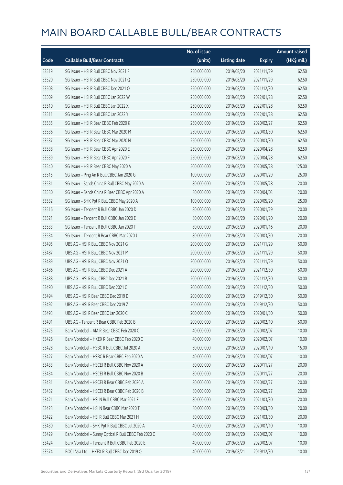|       |                                                      | No. of issue |                     |               | <b>Amount raised</b> |
|-------|------------------------------------------------------|--------------|---------------------|---------------|----------------------|
| Code  | <b>Callable Bull/Bear Contracts</b>                  | (units)      | <b>Listing date</b> | <b>Expiry</b> | (HK\$ mil.)          |
| 53519 | SG Issuer - HSI R Bull CBBC Nov 2021 F               | 250,000,000  | 2019/08/20          | 2021/11/29    | 62.50                |
| 53520 | SG Issuer - HSI R Bull CBBC Nov 2021 Q               | 250,000,000  | 2019/08/20          | 2021/11/29    | 62.50                |
| 53508 | SG Issuer - HSI R Bull CBBC Dec 2021 O               | 250,000,000  | 2019/08/20          | 2021/12/30    | 62.50                |
| 53509 | SG Issuer - HSI R Bull CBBC Jan 2022 W               | 250,000,000  | 2019/08/20          | 2022/01/28    | 62.50                |
| 53510 | SG Issuer - HSI R Bull CBBC Jan 2022 X               | 250,000,000  | 2019/08/20          | 2022/01/28    | 62.50                |
| 53511 | SG Issuer - HSI R Bull CBBC Jan 2022 Y               | 250,000,000  | 2019/08/20          | 2022/01/28    | 62.50                |
| 53535 | SG Issuer - HSI R Bear CBBC Feb 2020 K               | 250,000,000  | 2019/08/20          | 2020/02/27    | 62.50                |
| 53536 | SG Issuer - HSI R Bear CBBC Mar 2020 M               | 250,000,000  | 2019/08/20          | 2020/03/30    | 62.50                |
| 53537 | SG Issuer - HSI R Bear CBBC Mar 2020 N               | 250,000,000  | 2019/08/20          | 2020/03/30    | 62.50                |
| 53538 | SG Issuer - HSI R Bear CBBC Apr 2020 E               | 250,000,000  | 2019/08/20          | 2020/04/28    | 62.50                |
| 53539 | SG Issuer - HSI R Bear CBBC Apr 2020 F               | 250,000,000  | 2019/08/20          | 2020/04/28    | 62.50                |
| 53540 | SG Issuer - HSI R Bear CBBC May 2020 A               | 500,000,000  | 2019/08/20          | 2020/05/28    | 125.00               |
| 53515 | SG Issuer - Ping An R Bull CBBC Jan 2020 G           | 100,000,000  | 2019/08/20          | 2020/01/29    | 25.00                |
| 53531 | SG Issuer - Sands China R Bull CBBC May 2020 A       | 80,000,000   | 2019/08/20          | 2020/05/28    | 20.00                |
| 53530 | SG Issuer - Sands China R Bear CBBC Apr 2020 A       | 80,000,000   | 2019/08/20          | 2020/04/03    | 20.00                |
| 53532 | SG Issuer - SHK Ppt R Bull CBBC May 2020 A           | 100,000,000  | 2019/08/20          | 2020/05/20    | 25.00                |
| 53516 | SG Issuer - Tencent R Bull CBBC Jan 2020 D           | 80,000,000   | 2019/08/20          | 2020/01/29    | 20.00                |
| 53521 | SG Issuer - Tencent R Bull CBBC Jan 2020 E           | 80,000,000   | 2019/08/20          | 2020/01/20    | 20.00                |
| 53533 | SG Issuer - Tencent R Bull CBBC Jan 2020 F           | 80,000,000   | 2019/08/20          | 2020/01/16    | 20.00                |
| 53534 | SG Issuer - Tencent R Bear CBBC Mar 2020 J           | 80,000,000   | 2019/08/20          | 2020/03/30    | 20.00                |
| 53495 | UBS AG - HSI R Bull CBBC Nov 2021 G                  | 200,000,000  | 2019/08/20          | 2021/11/29    | 50.00                |
| 53487 | UBS AG - HSI R Bull CBBC Nov 2021 M                  | 200,000,000  | 2019/08/20          | 2021/11/29    | 50.00                |
| 53489 | UBS AG - HSI R Bull CBBC Nov 2021 O                  | 200,000,000  | 2019/08/20          | 2021/11/29    | 50.00                |
| 53486 | UBS AG - HSI R Bull CBBC Dec 2021 A                  | 200,000,000  | 2019/08/20          | 2021/12/30    | 50.00                |
| 53488 | UBS AG - HSI R Bull CBBC Dec 2021 B                  | 200,000,000  | 2019/08/20          | 2021/12/30    | 50.00                |
| 53490 | UBS AG - HSI R Bull CBBC Dec 2021 C                  | 200,000,000  | 2019/08/20          | 2021/12/30    | 50.00                |
| 53494 | UBS AG - HSI R Bear CBBC Dec 2019 D                  | 200,000,000  | 2019/08/20          | 2019/12/30    | 50.00                |
| 53492 | UBS AG - HSLR Bear CBBC Dec 2019 7                   | 200,000,000  | 2019/08/20          | 2019/12/30    | 50.00                |
| 53493 | UBS AG - HSI R Bear CBBC Jan 2020 C                  | 200,000,000  | 2019/08/20          | 2020/01/30    | 50.00                |
| 53491 | UBS AG - Tencent R Bear CBBC Feb 2020 B              | 200,000,000  | 2019/08/20          | 2020/02/10    | 50.00                |
| 53425 | Bank Vontobel - AIA R Bear CBBC Feb 2020 C           | 40,000,000   | 2019/08/20          | 2020/02/07    | 10.00                |
| 53426 | Bank Vontobel - HKEX R Bear CBBC Feb 2020 C          | 40,000,000   | 2019/08/20          | 2020/02/07    | 10.00                |
| 53428 | Bank Vontobel - HSBC R Bull CBBC Jul 2020 A          | 60,000,000   | 2019/08/20          | 2020/07/10    | 15.00                |
| 53427 | Bank Vontobel - HSBC R Bear CBBC Feb 2020 A          | 40,000,000   | 2019/08/20          | 2020/02/07    | 10.00                |
| 53433 | Bank Vontobel - HSCEI R Bull CBBC Nov 2020 A         | 80,000,000   | 2019/08/20          | 2020/11/27    | 20.00                |
| 53434 | Bank Vontobel - HSCEI R Bull CBBC Nov 2020 B         | 80,000,000   | 2019/08/20          | 2020/11/27    | 20.00                |
| 53431 | Bank Vontobel - HSCEI R Bear CBBC Feb 2020 A         | 80,000,000   | 2019/08/20          | 2020/02/27    | 20.00                |
| 53432 | Bank Vontobel - HSCEI R Bear CBBC Feb 2020 B         | 80,000,000   | 2019/08/20          | 2020/02/27    | 20.00                |
| 53421 | Bank Vontobel - HSI N Bull CBBC Mar 2021 F           | 80,000,000   | 2019/08/20          | 2021/03/30    | 20.00                |
| 53423 | Bank Vontobel - HSI N Bear CBBC Mar 2020 T           | 80,000,000   | 2019/08/20          | 2020/03/30    | 20.00                |
| 53422 | Bank Vontobel - HSI R Bull CBBC Mar 2021 H           | 80,000,000   | 2019/08/20          | 2021/03/30    | 20.00                |
| 53430 | Bank Vontobel - SHK Ppt R Bull CBBC Jul 2020 A       | 40,000,000   | 2019/08/20          | 2020/07/10    | 10.00                |
| 53429 | Bank Vontobel - Sunny Optical R Bull CBBC Feb 2020 C | 40,000,000   | 2019/08/20          | 2020/02/07    | 10.00                |
| 53424 | Bank Vontobel - Tencent R Bull CBBC Feb 2020 E       | 40,000,000   | 2019/08/20          | 2020/02/07    | 10.00                |
| 53574 | BOCI Asia Ltd. - HKEX R Bull CBBC Dec 2019 Q         | 40,000,000   | 2019/08/21          | 2019/12/30    | 10.00                |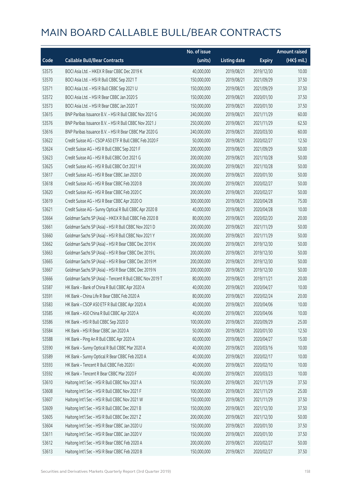|       |                                                          | No. of issue |                     |               | <b>Amount raised</b> |
|-------|----------------------------------------------------------|--------------|---------------------|---------------|----------------------|
| Code  | <b>Callable Bull/Bear Contracts</b>                      | (units)      | <b>Listing date</b> | <b>Expiry</b> | (HK\$ mil.)          |
| 53575 | BOCI Asia Ltd. - HKEX R Bear CBBC Dec 2019 K             | 40,000,000   | 2019/08/21          | 2019/12/30    | 10.00                |
| 53570 | BOCI Asia Ltd. - HSI R Bull CBBC Sep 2021 T              | 150,000,000  | 2019/08/21          | 2021/09/29    | 37.50                |
| 53571 | BOCI Asia Ltd. - HSI R Bull CBBC Sep 2021 U              | 150,000,000  | 2019/08/21          | 2021/09/29    | 37.50                |
| 53572 | BOCI Asia Ltd. - HSI R Bear CBBC Jan 2020 S              | 150,000,000  | 2019/08/21          | 2020/01/30    | 37.50                |
| 53573 | BOCI Asia Ltd. - HSI R Bear CBBC Jan 2020 T              | 150,000,000  | 2019/08/21          | 2020/01/30    | 37.50                |
| 53615 | BNP Paribas Issuance B.V. - HSI R Bull CBBC Nov 2021 G   | 240,000,000  | 2019/08/21          | 2021/11/29    | 60.00                |
| 53576 | BNP Paribas Issuance B.V. - HSI R Bull CBBC Nov 2021 J   | 250,000,000  | 2019/08/21          | 2021/11/29    | 62.50                |
| 53616 | BNP Paribas Issuance B.V. - HSI R Bear CBBC Mar 2020 G   | 240,000,000  | 2019/08/21          | 2020/03/30    | 60.00                |
| 53622 | Credit Suisse AG - CSOP A50 ETF R Bull CBBC Feb 2020 F   | 50,000,000   | 2019/08/21          | 2020/02/27    | 12.50                |
| 53624 | Credit Suisse AG - HSI R Bull CBBC Sep 2021 F            | 200,000,000  | 2019/08/21          | 2021/09/29    | 50.00                |
| 53623 | Credit Suisse AG - HSI R Bull CBBC Oct 2021 G            | 200,000,000  | 2019/08/21          | 2021/10/28    | 50.00                |
| 53625 | Credit Suisse AG - HSI R Bull CBBC Oct 2021 H            | 200,000,000  | 2019/08/21          | 2021/10/28    | 50.00                |
| 53617 | Credit Suisse AG - HSI R Bear CBBC Jan 2020 D            | 200,000,000  | 2019/08/21          | 2020/01/30    | 50.00                |
| 53618 | Credit Suisse AG - HSI R Bear CBBC Feb 2020 B            | 200,000,000  | 2019/08/21          | 2020/02/27    | 50.00                |
| 53620 | Credit Suisse AG - HSI R Bear CBBC Feb 2020 C            | 200,000,000  | 2019/08/21          | 2020/02/27    | 50.00                |
| 53619 | Credit Suisse AG - HSI R Bear CBBC Apr 2020 O            | 300,000,000  | 2019/08/21          | 2020/04/28    | 75.00                |
| 53621 | Credit Suisse AG - Sunny Optical R Bull CBBC Apr 2020 B  | 40,000,000   | 2019/08/21          | 2020/04/28    | 10.00                |
| 53664 | Goldman Sachs SP (Asia) - HKEX R Bull CBBC Feb 2020 B    | 80,000,000   | 2019/08/21          | 2020/02/20    | 20.00                |
| 53661 | Goldman Sachs SP (Asia) - HSI R Bull CBBC Nov 2021 D     | 200,000,000  | 2019/08/21          | 2021/11/29    | 50.00                |
| 53660 | Goldman Sachs SP (Asia) - HSI R Bull CBBC Nov 2021 Y     | 200,000,000  | 2019/08/21          | 2021/11/29    | 50.00                |
| 53662 | Goldman Sachs SP (Asia) - HSI R Bear CBBC Dec 2019 K     | 200,000,000  | 2019/08/21          | 2019/12/30    | 50.00                |
| 53663 | Goldman Sachs SP (Asia) - HSI R Bear CBBC Dec 2019 L     | 200,000,000  | 2019/08/21          | 2019/12/30    | 50.00                |
| 53665 | Goldman Sachs SP (Asia) - HSI R Bear CBBC Dec 2019 M     | 200,000,000  | 2019/08/21          | 2019/12/30    | 50.00                |
| 53667 | Goldman Sachs SP (Asia) - HSI R Bear CBBC Dec 2019 N     | 200,000,000  | 2019/08/21          | 2019/12/30    | 50.00                |
| 53666 | Goldman Sachs SP (Asia) - Tencent R Bull CBBC Nov 2019 T | 80,000,000   | 2019/08/21          | 2019/11/21    | 20.00                |
| 53587 | HK Bank - Bank of China R Bull CBBC Apr 2020 A           | 40,000,000   | 2019/08/21          | 2020/04/27    | 10.00                |
| 53591 | HK Bank - China Life R Bear CBBC Feb 2020 A              | 80,000,000   | 2019/08/21          | 2020/02/24    | 20.00                |
| 53583 | HK Bank - CSOP A50 ETF R Bull CBBC Apr 2020 A            | 40,000,000   | 2019/08/21          | 2020/04/06    | 10.00                |
| 53585 | HK Bank - A50 China R Bull CBBC Apr 2020 A               | 40,000,000   | 2019/08/21          | 2020/04/06    | 10.00                |
| 53586 | HK Bank - HSI R Bull CBBC Sep 2020 D                     | 100,000,000  | 2019/08/21          | 2020/09/29    | 25.00                |
| 53584 | HK Bank - HSI R Bear CBBC Jan 2020 A                     | 50,000,000   | 2019/08/21          | 2020/01/30    | 12.50                |
| 53588 | HK Bank - Ping An R Bull CBBC Apr 2020 A                 | 60,000,000   | 2019/08/21          | 2020/04/27    | 15.00                |
| 53590 | HK Bank - Sunny Optical R Bull CBBC Mar 2020 A           | 40,000,000   | 2019/08/21          | 2020/03/16    | 10.00                |
| 53589 | HK Bank - Sunny Optical R Bear CBBC Feb 2020 A           | 40,000,000   | 2019/08/21          | 2020/02/17    | 10.00                |
| 53593 | HK Bank - Tencent R Bull CBBC Feb 2020 I                 | 40,000,000   | 2019/08/21          | 2020/02/10    | 10.00                |
| 53592 | HK Bank - Tencent R Bear CBBC Mar 2020 F                 | 40,000,000   | 2019/08/21          | 2020/03/23    | 10.00                |
| 53610 | Haitong Int'l Sec - HSI R Bull CBBC Nov 2021 A           | 150,000,000  | 2019/08/21          | 2021/11/29    | 37.50                |
| 53608 | Haitong Int'l Sec - HSI R Bull CBBC Nov 2021 F           | 100,000,000  | 2019/08/21          | 2021/11/29    | 25.00                |
| 53607 | Haitong Int'l Sec - HSI R Bull CBBC Nov 2021 W           | 150,000,000  | 2019/08/21          | 2021/11/29    | 37.50                |
| 53609 | Haitong Int'l Sec - HSI R Bull CBBC Dec 2021 B           | 150,000,000  | 2019/08/21          | 2021/12/30    | 37.50                |
| 53605 | Haitong Int'l Sec - HSI R Bull CBBC Dec 2021 Z           | 200,000,000  | 2019/08/21          | 2021/12/30    | 50.00                |
| 53604 | Haitong Int'l Sec - HSI R Bear CBBC Jan 2020 U           | 150,000,000  | 2019/08/21          | 2020/01/30    | 37.50                |
| 53611 | Haitong Int'l Sec - HSI R Bear CBBC Jan 2020 V           | 150,000,000  | 2019/08/21          | 2020/01/30    | 37.50                |
| 53612 | Haitong Int'l Sec - HSI R Bear CBBC Feb 2020 A           | 200,000,000  | 2019/08/21          | 2020/02/27    | 50.00                |
| 53613 | Haitong Int'l Sec - HSI R Bear CBBC Feb 2020 B           | 150,000,000  | 2019/08/21          | 2020/02/27    | 37.50                |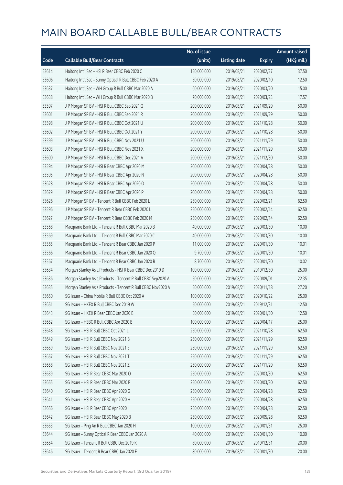|       |                                                              | No. of issue |                     |               | <b>Amount raised</b> |
|-------|--------------------------------------------------------------|--------------|---------------------|---------------|----------------------|
| Code  | <b>Callable Bull/Bear Contracts</b>                          | (units)      | <b>Listing date</b> | <b>Expiry</b> | (HK\$ mil.)          |
| 53614 | Haitong Int'l Sec - HSI R Bear CBBC Feb 2020 C               | 150,000,000  | 2019/08/21          | 2020/02/27    | 37.50                |
| 53606 | Haitong Int'l Sec - Sunny Optical R Bull CBBC Feb 2020 A     | 50,000,000   | 2019/08/21          | 2020/02/10    | 12.50                |
| 53637 | Haitong Int'l Sec - WH Group R Bull CBBC Mar 2020 A          | 60,000,000   | 2019/08/21          | 2020/03/20    | 15.00                |
| 53638 | Haitong Int'l Sec - WH Group R Bull CBBC Mar 2020 B          | 70,000,000   | 2019/08/21          | 2020/03/23    | 17.57                |
| 53597 | J P Morgan SP BV - HSI R Bull CBBC Sep 2021 Q                | 200,000,000  | 2019/08/21          | 2021/09/29    | 50.00                |
| 53601 | J P Morgan SP BV - HSI R Bull CBBC Sep 2021 R                | 200,000,000  | 2019/08/21          | 2021/09/29    | 50.00                |
| 53598 | J P Morgan SP BV - HSI R Bull CBBC Oct 2021 U                | 200,000,000  | 2019/08/21          | 2021/10/28    | 50.00                |
| 53602 | J P Morgan SP BV - HSI R Bull CBBC Oct 2021 Y                | 200,000,000  | 2019/08/21          | 2021/10/28    | 50.00                |
| 53599 | J P Morgan SP BV - HSI R Bull CBBC Nov 2021 U                | 200,000,000  | 2019/08/21          | 2021/11/29    | 50.00                |
| 53603 | J P Morgan SP BV - HSI R Bull CBBC Nov 2021 X                | 200,000,000  | 2019/08/21          | 2021/11/29    | 50.00                |
| 53600 | J P Morgan SP BV - HSI R Bull CBBC Dec 2021 A                | 200,000,000  | 2019/08/21          | 2021/12/30    | 50.00                |
| 53594 | J P Morgan SP BV - HSI R Bear CBBC Apr 2020 M                | 200,000,000  | 2019/08/21          | 2020/04/28    | 50.00                |
| 53595 | J P Morgan SP BV - HSI R Bear CBBC Apr 2020 N                | 200,000,000  | 2019/08/21          | 2020/04/28    | 50.00                |
| 53628 | J P Morgan SP BV - HSI R Bear CBBC Apr 2020 O                | 200,000,000  | 2019/08/21          | 2020/04/28    | 50.00                |
| 53629 | J P Morgan SP BV - HSI R Bear CBBC Apr 2020 P                | 200,000,000  | 2019/08/21          | 2020/04/28    | 50.00                |
| 53626 | J P Morgan SP BV - Tencent R Bull CBBC Feb 2020 L            | 250,000,000  | 2019/08/21          | 2020/02/21    | 62.50                |
| 53596 | J P Morgan SP BV - Tencent R Bear CBBC Feb 2020 L            | 250,000,000  | 2019/08/21          | 2020/02/14    | 62.50                |
| 53627 | J P Morgan SP BV - Tencent R Bear CBBC Feb 2020 M            | 250,000,000  | 2019/08/21          | 2020/02/14    | 62.50                |
| 53568 | Macquarie Bank Ltd. - Tencent R Bull CBBC Mar 2020 B         | 40,000,000   | 2019/08/21          | 2020/03/30    | 10.00                |
| 53569 | Macquarie Bank Ltd. - Tencent R Bull CBBC Mar 2020 C         | 40,000,000   | 2019/08/21          | 2020/03/30    | 10.00                |
| 53565 | Macquarie Bank Ltd. - Tencent R Bear CBBC Jan 2020 P         | 11,000,000   | 2019/08/21          | 2020/01/30    | 10.01                |
| 53566 | Macquarie Bank Ltd. - Tencent R Bear CBBC Jan 2020 Q         | 9,700,000    | 2019/08/21          | 2020/01/30    | 10.01                |
| 53567 | Macquarie Bank Ltd. - Tencent R Bear CBBC Jan 2020 R         | 8,700,000    | 2019/08/21          | 2020/01/30    | 10.02                |
| 53634 | Morgan Stanley Asia Products - HSI R Bear CBBC Dec 2019 D    | 100,000,000  | 2019/08/21          | 2019/12/30    | 25.00                |
| 53636 | Morgan Stanley Asia Products - Tencent R Bull CBBC Sep2020 A | 50,000,000   | 2019/08/21          | 2020/09/01    | 22.35                |
| 53635 | Morgan Stanley Asia Products - Tencent R Bull CBBC Nov2020 A | 50,000,000   | 2019/08/21          | 2020/11/18    | 27.20                |
| 53650 | SG Issuer - China Mobile R Bull CBBC Oct 2020 A              | 100,000,000  | 2019/08/21          | 2020/10/22    | 25.00                |
| 53651 | SG Issuer - HKEX R Bull CBBC Dec 2019 W                      | 50,000,000   | 2019/08/21          | 2019/12/31    | 12.50                |
| 53643 | SG Issuer - HKEX R Bear CBBC Jan 2020 B                      | 50,000,000   | 2019/08/21          | 2020/01/30    | 12.50                |
| 53652 | SG Issuer - HSBC R Bull CBBC Apr 2020 B                      | 100,000,000  | 2019/08/21          | 2020/04/17    | 25.00                |
| 53648 | SG Issuer - HSI R Bull CBBC Oct 2021 L                       | 250,000,000  | 2019/08/21          | 2021/10/28    | 62.50                |
| 53649 | SG Issuer - HSI R Bull CBBC Nov 2021 B                       | 250,000,000  | 2019/08/21          | 2021/11/29    | 62.50                |
| 53659 | SG Issuer - HSI R Bull CBBC Nov 2021 E                       | 250,000,000  | 2019/08/21          | 2021/11/29    | 62.50                |
| 53657 | SG Issuer - HSI R Bull CBBC Nov 2021 T                       | 250,000,000  | 2019/08/21          | 2021/11/29    | 62.50                |
| 53658 | SG Issuer - HSI R Bull CBBC Nov 2021 Z                       | 250,000,000  | 2019/08/21          | 2021/11/29    | 62.50                |
| 53639 | SG Issuer - HSI R Bear CBBC Mar 2020 O                       | 250,000,000  | 2019/08/21          | 2020/03/30    | 62.50                |
| 53655 | SG Issuer - HSI R Bear CBBC Mar 2020 P                       | 250,000,000  | 2019/08/21          | 2020/03/30    | 62.50                |
| 53640 | SG Issuer - HSI R Bear CBBC Apr 2020 G                       | 250,000,000  | 2019/08/21          | 2020/04/28    | 62.50                |
| 53641 | SG Issuer - HSI R Bear CBBC Apr 2020 H                       | 250,000,000  | 2019/08/21          | 2020/04/28    | 62.50                |
| 53656 | SG Issuer - HSI R Bear CBBC Apr 2020 I                       | 250,000,000  | 2019/08/21          | 2020/04/28    | 62.50                |
| 53642 | SG Issuer - HSI R Bear CBBC May 2020 B                       | 250,000,000  | 2019/08/21          | 2020/05/28    | 62.50                |
| 53653 | SG Issuer - Ping An R Bull CBBC Jan 2020 H                   | 100,000,000  | 2019/08/21          | 2020/01/31    | 25.00                |
| 53644 | SG Issuer - Sunny Optical R Bear CBBC Jan 2020 A             | 40,000,000   | 2019/08/21          | 2020/01/30    | 10.00                |
| 53654 | SG Issuer - Tencent R Bull CBBC Dec 2019 K                   | 80,000,000   | 2019/08/21          | 2019/12/31    | 20.00                |
| 53646 | SG Issuer - Tencent R Bear CBBC Jan 2020 F                   | 80,000,000   | 2019/08/21          | 2020/01/30    | 20.00                |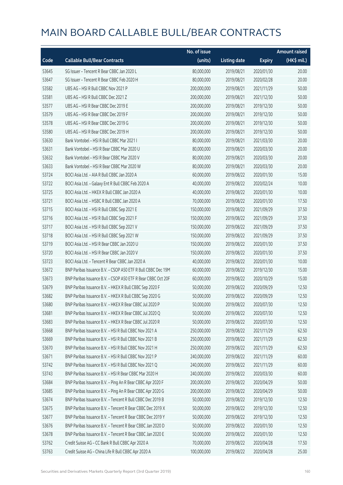|       |                                                              | No. of issue |                     |               | <b>Amount raised</b> |
|-------|--------------------------------------------------------------|--------------|---------------------|---------------|----------------------|
| Code  | <b>Callable Bull/Bear Contracts</b>                          | (units)      | <b>Listing date</b> | <b>Expiry</b> | (HK\$ mil.)          |
| 53645 | SG Issuer - Tencent R Bear CBBC Jan 2020 L                   | 80,000,000   | 2019/08/21          | 2020/01/30    | 20.00                |
| 53647 | SG Issuer - Tencent R Bear CBBC Feb 2020 H                   | 80,000,000   | 2019/08/21          | 2020/02/28    | 20.00                |
| 53582 | UBS AG - HSI R Bull CBBC Nov 2021 P                          | 200,000,000  | 2019/08/21          | 2021/11/29    | 50.00                |
| 53581 | UBS AG - HSI R Bull CBBC Dec 2021 Z                          | 200,000,000  | 2019/08/21          | 2021/12/30    | 50.00                |
| 53577 | UBS AG - HSI R Bear CBBC Dec 2019 E                          | 200,000,000  | 2019/08/21          | 2019/12/30    | 50.00                |
| 53579 | UBS AG - HSI R Bear CBBC Dec 2019 F                          | 200,000,000  | 2019/08/21          | 2019/12/30    | 50.00                |
| 53578 | UBS AG - HSI R Bear CBBC Dec 2019 G                          | 200,000,000  | 2019/08/21          | 2019/12/30    | 50.00                |
| 53580 | UBS AG - HSI R Bear CBBC Dec 2019 H                          | 200,000,000  | 2019/08/21          | 2019/12/30    | 50.00                |
| 53630 | Bank Vontobel - HSI R Bull CBBC Mar 2021 I                   | 80,000,000   | 2019/08/21          | 2021/03/30    | 20.00                |
| 53631 | Bank Vontobel - HSI R Bear CBBC Mar 2020 U                   | 80,000,000   | 2019/08/21          | 2020/03/30    | 20.00                |
| 53632 | Bank Vontobel - HSI R Bear CBBC Mar 2020 V                   | 80,000,000   | 2019/08/21          | 2020/03/30    | 20.00                |
| 53633 | Bank Vontobel - HSI R Bear CBBC Mar 2020 W                   | 80,000,000   | 2019/08/21          | 2020/03/30    | 20.00                |
| 53724 | BOCI Asia Ltd. - AIA R Bull CBBC Jan 2020 A                  | 60,000,000   | 2019/08/22          | 2020/01/30    | 15.00                |
| 53722 | BOCI Asia Ltd. - Galaxy Ent R Bull CBBC Feb 2020 A           | 40,000,000   | 2019/08/22          | 2020/02/24    | 10.00                |
| 53725 | BOCI Asia Ltd. - HKEX R Bull CBBC Jan 2020 A                 | 40,000,000   | 2019/08/22          | 2020/01/30    | 10.00                |
| 53721 | BOCI Asia Ltd. - HSBC R Bull CBBC Jan 2020 A                 | 70,000,000   | 2019/08/22          | 2020/01/30    | 17.50                |
| 53715 | BOCI Asia Ltd. - HSI R Bull CBBC Sep 2021 E                  | 150,000,000  | 2019/08/22          | 2021/09/29    | 37.50                |
| 53716 | BOCI Asia Ltd. - HSI R Bull CBBC Sep 2021 F                  | 150,000,000  | 2019/08/22          | 2021/09/29    | 37.50                |
| 53717 | BOCI Asia Ltd. - HSI R Bull CBBC Sep 2021 V                  | 150,000,000  | 2019/08/22          | 2021/09/29    | 37.50                |
| 53718 | BOCI Asia Ltd. - HSI R Bull CBBC Sep 2021 W                  | 150,000,000  | 2019/08/22          | 2021/09/29    | 37.50                |
| 53719 | BOCI Asia Ltd. - HSI R Bear CBBC Jan 2020 U                  | 150,000,000  | 2019/08/22          | 2020/01/30    | 37.50                |
| 53720 | BOCI Asia Ltd. - HSI R Bear CBBC Jan 2020 V                  | 150,000,000  | 2019/08/22          | 2020/01/30    | 37.50                |
| 53723 | BOCI Asia Ltd. - Tencent R Bear CBBC Jan 2020 A              | 40,000,000   | 2019/08/22          | 2020/01/30    | 10.00                |
| 53672 | BNP Paribas Issuance B.V. - CSOP A50 ETF R Bull CBBC Dec 19M | 60,000,000   | 2019/08/22          | 2019/12/30    | 15.00                |
| 53673 | BNP Paribas Issuance B.V. - CSOP A50 ETF R Bear CBBC Oct 20F | 60,000,000   | 2019/08/22          | 2020/10/29    | 15.00                |
| 53679 | BNP Paribas Issuance B.V. - HKEX R Bull CBBC Sep 2020 F      | 50,000,000   | 2019/08/22          | 2020/09/29    | 12.50                |
| 53682 | BNP Paribas Issuance B.V. - HKEX R Bull CBBC Sep 2020 G      | 50,000,000   | 2019/08/22          | 2020/09/29    | 12.50                |
| 53680 | BNP Paribas Issuance B.V. - HKEX R Bear CBBC Jul 2020 P      | 50,000,000   | 2019/08/22          | 2020/07/30    | 12.50                |
| 53681 | BNP Paribas Issuance B.V. - HKEX R Bear CBBC Jul 2020 Q      | 50,000,000   | 2019/08/22          | 2020/07/30    | 12.50                |
| 53683 | BNP Paribas Issuance B.V. - HKEX R Bear CBBC Jul 2020 R      | 50,000,000   | 2019/08/22          | 2020/07/30    | 12.50                |
| 53668 | BNP Paribas Issuance B.V. - HSI R Bull CBBC Nov 2021 A       | 250,000,000  | 2019/08/22          | 2021/11/29    | 62.50                |
| 53669 | BNP Paribas Issuance B.V. - HSI R Bull CBBC Nov 2021 B       | 250,000,000  | 2019/08/22          | 2021/11/29    | 62.50                |
| 53670 | BNP Paribas Issuance B.V. - HSI R Bull CBBC Nov 2021 H       | 250,000,000  | 2019/08/22          | 2021/11/29    | 62.50                |
| 53671 | BNP Paribas Issuance B.V. - HSI R Bull CBBC Nov 2021 P       | 240,000,000  | 2019/08/22          | 2021/11/29    | 60.00                |
| 53742 | BNP Paribas Issuance B.V. - HSI R Bull CBBC Nov 2021 Q       | 240,000,000  | 2019/08/22          | 2021/11/29    | 60.00                |
| 53743 | BNP Paribas Issuance B.V. - HSI R Bear CBBC Mar 2020 H       | 240,000,000  | 2019/08/22          | 2020/03/30    | 60.00                |
| 53684 | BNP Paribas Issuance B.V. - Ping An R Bear CBBC Apr 2020 F   | 200,000,000  | 2019/08/22          | 2020/04/29    | 50.00                |
| 53685 | BNP Paribas Issuance B.V. - Ping An R Bear CBBC Apr 2020 G   | 200,000,000  | 2019/08/22          | 2020/04/29    | 50.00                |
| 53674 | BNP Paribas Issuance B.V. - Tencent R Bull CBBC Dec 2019 B   | 50,000,000   | 2019/08/22          | 2019/12/30    | 12.50                |
| 53675 | BNP Paribas Issuance B.V. - Tencent R Bear CBBC Dec 2019 X   | 50,000,000   | 2019/08/22          | 2019/12/30    | 12.50                |
| 53677 | BNP Paribas Issuance B.V. - Tencent R Bear CBBC Dec 2019 Y   | 50,000,000   | 2019/08/22          | 2019/12/30    | 12.50                |
| 53676 | BNP Paribas Issuance B.V. - Tencent R Bear CBBC Jan 2020 D   | 50,000,000   | 2019/08/22          | 2020/01/30    | 12.50                |
| 53678 | BNP Paribas Issuance B.V. - Tencent R Bear CBBC Jan 2020 E   | 50,000,000   | 2019/08/22          | 2020/01/30    | 12.50                |
| 53762 | Credit Suisse AG - CC Bank R Bull CBBC Apr 2020 A            | 70,000,000   | 2019/08/22          | 2020/04/28    | 17.50                |
| 53763 | Credit Suisse AG - China Life R Bull CBBC Apr 2020 A         | 100,000,000  | 2019/08/22          | 2020/04/28    | 25.00                |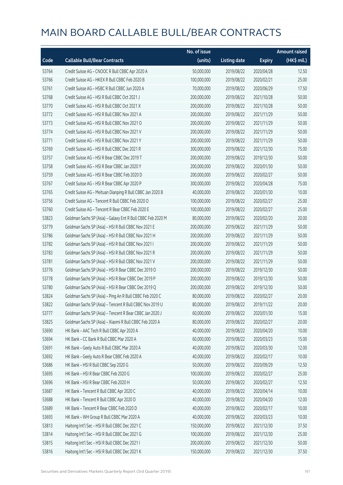|       |                                                             | No. of issue |                     |               | <b>Amount raised</b> |
|-------|-------------------------------------------------------------|--------------|---------------------|---------------|----------------------|
| Code  | <b>Callable Bull/Bear Contracts</b>                         | (units)      | <b>Listing date</b> | <b>Expiry</b> | (HK\$ mil.)          |
| 53764 | Credit Suisse AG - CNOOC R Bull CBBC Apr 2020 A             | 50,000,000   | 2019/08/22          | 2020/04/28    | 12.50                |
| 53766 | Credit Suisse AG - HKEX R Bull CBBC Feb 2020 B              | 100,000,000  | 2019/08/22          | 2020/02/21    | 25.00                |
| 53761 | Credit Suisse AG - HSBC R Bull CBBC Jun 2020 A              | 70,000,000   | 2019/08/22          | 2020/06/29    | 17.50                |
| 53768 | Credit Suisse AG - HSI R Bull CBBC Oct 2021 J               | 200,000,000  | 2019/08/22          | 2021/10/28    | 50.00                |
| 53770 | Credit Suisse AG - HSI R Bull CBBC Oct 2021 X               | 200,000,000  | 2019/08/22          | 2021/10/28    | 50.00                |
| 53772 | Credit Suisse AG - HSI R Bull CBBC Nov 2021 A               | 200,000,000  | 2019/08/22          | 2021/11/29    | 50.00                |
| 53773 | Credit Suisse AG - HSI R Bull CBBC Nov 2021 O               | 200,000,000  | 2019/08/22          | 2021/11/29    | 50.00                |
| 53774 | Credit Suisse AG - HSI R Bull CBBC Nov 2021 V               | 200,000,000  | 2019/08/22          | 2021/11/29    | 50.00                |
| 53771 | Credit Suisse AG - HSI R Bull CBBC Nov 2021 Y               | 200,000,000  | 2019/08/22          | 2021/11/29    | 50.00                |
| 53769 | Credit Suisse AG - HSI R Bull CBBC Dec 2021 R               | 300,000,000  | 2019/08/22          | 2021/12/30    | 75.00                |
| 53757 | Credit Suisse AG - HSI R Bear CBBC Dec 2019 T               | 200,000,000  | 2019/08/22          | 2019/12/30    | 50.00                |
| 53758 | Credit Suisse AG - HSI R Bear CBBC Jan 2020 Y               | 200,000,000  | 2019/08/22          | 2020/01/30    | 50.00                |
| 53759 | Credit Suisse AG - HSI R Bear CBBC Feb 2020 D               | 200,000,000  | 2019/08/22          | 2020/02/27    | 50.00                |
| 53767 | Credit Suisse AG - HSI R Bear CBBC Apr 2020 P               | 300,000,000  | 2019/08/22          | 2020/04/28    | 75.00                |
| 53765 | Credit Suisse AG - Meituan Dianping R Bull CBBC Jan 2020 B  | 40,000,000   | 2019/08/22          | 2020/01/30    | 10.00                |
| 53756 | Credit Suisse AG - Tencent R Bull CBBC Feb 2020 O           | 100,000,000  | 2019/08/22          | 2020/02/27    | 25.00                |
| 53760 | Credit Suisse AG - Tencent R Bear CBBC Feb 2020 E           | 100,000,000  | 2019/08/22          | 2020/02/27    | 25.00                |
| 53823 | Goldman Sachs SP (Asia) - Galaxy Ent R Bull CBBC Feb 2020 M | 80,000,000   | 2019/08/22          | 2020/02/20    | 20.00                |
| 53779 | Goldman Sachs SP (Asia) - HSI R Bull CBBC Nov 2021 E        | 200,000,000  | 2019/08/22          | 2021/11/29    | 50.00                |
| 53786 | Goldman Sachs SP (Asia) - HSI R Bull CBBC Nov 2021 H        | 200,000,000  | 2019/08/22          | 2021/11/29    | 50.00                |
| 53782 | Goldman Sachs SP (Asia) - HSI R Bull CBBC Nov 2021 I        | 200,000,000  | 2019/08/22          | 2021/11/29    | 50.00                |
| 53783 | Goldman Sachs SP (Asia) - HSI R Bull CBBC Nov 2021 R        | 200,000,000  | 2019/08/22          | 2021/11/29    | 50.00                |
| 53781 | Goldman Sachs SP (Asia) - HSI R Bull CBBC Nov 2021 V        | 200,000,000  | 2019/08/22          | 2021/11/29    | 50.00                |
| 53776 | Goldman Sachs SP (Asia) - HSI R Bear CBBC Dec 2019 O        | 200,000,000  | 2019/08/22          | 2019/12/30    | 50.00                |
| 53778 | Goldman Sachs SP (Asia) - HSI R Bear CBBC Dec 2019 P        | 200,000,000  | 2019/08/22          | 2019/12/30    | 50.00                |
| 53780 | Goldman Sachs SP (Asia) - HSI R Bear CBBC Dec 2019 Q        | 200,000,000  | 2019/08/22          | 2019/12/30    | 50.00                |
| 53824 | Goldman Sachs SP (Asia) - Ping An R Bull CBBC Feb 2020 C    | 80,000,000   | 2019/08/22          | 2020/02/27    | 20.00                |
| 53822 | Goldman Sachs SP (Asia) - Tencent R Bull CBBC Nov 2019 U    | 80,000,000   | 2019/08/22          | 2019/11/22    | 20.00                |
| 53777 | Goldman Sachs SP (Asia) - Tencent R Bear CBBC Jan 2020 J    | 60,000,000   | 2019/08/22          | 2020/01/30    | 15.00                |
| 53825 | Goldman Sachs SP (Asia) - Xiaomi R Bull CBBC Feb 2020 A     | 80,000,000   | 2019/08/22          | 2020/02/27    | 20.00                |
| 53690 | HK Bank - AAC Tech R Bull CBBC Apr 2020 A                   | 40,000,000   | 2019/08/22          | 2020/04/20    | 10.00                |
| 53694 | HK Bank - CC Bank R Bull CBBC Mar 2020 A                    | 60,000,000   | 2019/08/22          | 2020/03/23    | 15.00                |
| 53691 | HK Bank - Geely Auto R Bull CBBC Mar 2020 A                 | 40,000,000   | 2019/08/22          | 2020/03/30    | 12.00                |
| 53692 | HK Bank - Geely Auto R Bear CBBC Feb 2020 A                 | 40,000,000   | 2019/08/22          | 2020/02/17    | 10.00                |
| 53686 | HK Bank - HSI R Bull CBBC Sep 2020 G                        | 50,000,000   | 2019/08/22          | 2020/09/29    | 12.50                |
| 53695 | HK Bank - HSI R Bear CBBC Feb 2020 G                        | 100,000,000  | 2019/08/22          | 2020/02/27    | 25.00                |
| 53696 | HK Bank - HSI R Bear CBBC Feb 2020 H                        | 50,000,000   | 2019/08/22          | 2020/02/27    | 12.50                |
| 53687 | HK Bank - Tencent R Bull CBBC Apr 2020 C                    | 40,000,000   | 2019/08/22          | 2020/04/14    | 10.00                |
| 53688 | HK Bank - Tencent R Bull CBBC Apr 2020 D                    | 40,000,000   | 2019/08/22          | 2020/04/20    | 12.00                |
| 53689 | HK Bank - Tencent R Bear CBBC Feb 2020 D                    | 40,000,000   | 2019/08/22          | 2020/02/17    | 10.00                |
| 53693 | HK Bank - WH Group R Bull CBBC Mar 2020 A                   | 40,000,000   | 2019/08/22          | 2020/03/23    | 10.00                |
| 53813 | Haitong Int'l Sec - HSI R Bull CBBC Dec 2021 C              | 150,000,000  | 2019/08/22          | 2021/12/30    | 37.50                |
| 53814 | Haitong Int'l Sec - HSI R Bull CBBC Dec 2021 G              | 100,000,000  | 2019/08/22          | 2021/12/30    | 25.00                |
| 53815 | Haitong Int'l Sec - HSI R Bull CBBC Dec 2021 I              | 200,000,000  | 2019/08/22          | 2021/12/30    | 50.00                |
| 53816 | Haitong Int'l Sec - HSI R Bull CBBC Dec 2021 K              | 150,000,000  | 2019/08/22          | 2021/12/30    | 37.50                |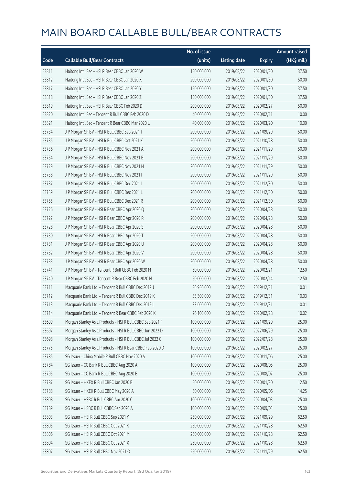|       |                                                           | No. of issue |                     |               | <b>Amount raised</b> |
|-------|-----------------------------------------------------------|--------------|---------------------|---------------|----------------------|
| Code  | <b>Callable Bull/Bear Contracts</b>                       | (units)      | <b>Listing date</b> | <b>Expiry</b> | (HK\$ mil.)          |
| 53811 | Haitong Int'l Sec - HSI R Bear CBBC Jan 2020 W            | 150,000,000  | 2019/08/22          | 2020/01/30    | 37.50                |
| 53812 | Haitong Int'l Sec - HSI R Bear CBBC Jan 2020 X            | 200,000,000  | 2019/08/22          | 2020/01/30    | 50.00                |
| 53817 | Haitong Int'l Sec - HSI R Bear CBBC Jan 2020 Y            | 150,000,000  | 2019/08/22          | 2020/01/30    | 37.50                |
| 53818 | Haitong Int'l Sec - HSI R Bear CBBC Jan 2020 Z            | 150,000,000  | 2019/08/22          | 2020/01/30    | 37.50                |
| 53819 | Haitong Int'l Sec - HSI R Bear CBBC Feb 2020 D            | 200,000,000  | 2019/08/22          | 2020/02/27    | 50.00                |
| 53820 | Haitong Int'l Sec - Tencent R Bull CBBC Feb 2020 D        | 40,000,000   | 2019/08/22          | 2020/02/11    | 10.00                |
| 53821 | Haitong Int'l Sec - Tencent R Bear CBBC Mar 2020 U        | 40,000,000   | 2019/08/22          | 2020/03/20    | 10.00                |
| 53734 | J P Morgan SP BV - HSI R Bull CBBC Sep 2021 T             | 200,000,000  | 2019/08/22          | 2021/09/29    | 50.00                |
| 53735 | J P Morgan SP BV - HSI R Bull CBBC Oct 2021 K             | 200,000,000  | 2019/08/22          | 2021/10/28    | 50.00                |
| 53736 | J P Morgan SP BV - HSI R Bull CBBC Nov 2021 A             | 200,000,000  | 2019/08/22          | 2021/11/29    | 50.00                |
| 53754 | J P Morgan SP BV - HSI R Bull CBBC Nov 2021 B             | 200,000,000  | 2019/08/22          | 2021/11/29    | 50.00                |
| 53729 | J P Morgan SP BV - HSI R Bull CBBC Nov 2021 H             | 200,000,000  | 2019/08/22          | 2021/11/29    | 50.00                |
| 53738 | J P Morgan SP BV - HSI R Bull CBBC Nov 2021 I             | 200,000,000  | 2019/08/22          | 2021/11/29    | 50.00                |
| 53737 | J P Morgan SP BV - HSI R Bull CBBC Dec 2021 I             | 200,000,000  | 2019/08/22          | 2021/12/30    | 50.00                |
| 53739 | J P Morgan SP BV - HSI R Bull CBBC Dec 2021 L             | 200,000,000  | 2019/08/22          | 2021/12/30    | 50.00                |
| 53755 | J P Morgan SP BV - HSI R Bull CBBC Dec 2021 R             | 200,000,000  | 2019/08/22          | 2021/12/30    | 50.00                |
| 53726 | J P Morgan SP BV - HSI R Bear CBBC Apr 2020 Q             | 200,000,000  | 2019/08/22          | 2020/04/28    | 50.00                |
| 53727 | J P Morgan SP BV - HSI R Bear CBBC Apr 2020 R             | 200,000,000  | 2019/08/22          | 2020/04/28    | 50.00                |
| 53728 | J P Morgan SP BV - HSI R Bear CBBC Apr 2020 S             | 200,000,000  | 2019/08/22          | 2020/04/28    | 50.00                |
| 53730 | J P Morgan SP BV - HSI R Bear CBBC Apr 2020 T             | 200,000,000  | 2019/08/22          | 2020/04/28    | 50.00                |
| 53731 | J P Morgan SP BV - HSI R Bear CBBC Apr 2020 U             | 200,000,000  | 2019/08/22          | 2020/04/28    | 50.00                |
| 53732 | J P Morgan SP BV - HSI R Bear CBBC Apr 2020 V             | 200,000,000  | 2019/08/22          | 2020/04/28    | 50.00                |
| 53733 | J P Morgan SP BV - HSI R Bear CBBC Apr 2020 W             | 200,000,000  | 2019/08/22          | 2020/04/28    | 50.00                |
| 53741 | J P Morgan SP BV - Tencent R Bull CBBC Feb 2020 M         | 50,000,000   | 2019/08/22          | 2020/02/21    | 12.50                |
| 53740 | J P Morgan SP BV - Tencent R Bear CBBC Feb 2020 N         | 50,000,000   | 2019/08/22          | 2020/02/14    | 12.50                |
| 53711 | Macquarie Bank Ltd. - Tencent R Bull CBBC Dec 2019 J      | 36,950,000   | 2019/08/22          | 2019/12/31    | 10.01                |
| 53712 | Macquarie Bank Ltd. - Tencent R Bull CBBC Dec 2019 K      | 35,300,000   | 2019/08/22          | 2019/12/31    | 10.03                |
| 53713 | Macquarie Bank Ltd. - Tencent R Bull CBBC Dec 2019 L      | 33,600,000   | 2019/08/22          | 2019/12/31    | 10.01                |
| 53714 | Macquarie Bank Ltd. - Tencent R Bear CBBC Feb 2020 K      | 26,100,000   | 2019/08/22          | 2020/02/28    | 10.02                |
| 53699 | Morgan Stanley Asia Products - HSI R Bull CBBC Sep 2021 F | 100,000,000  | 2019/08/22          | 2021/09/29    | 25.00                |
| 53697 | Morgan Stanley Asia Products - HSI R Bull CBBC Jun 2022 D | 100,000,000  | 2019/08/22          | 2022/06/29    | 25.00                |
| 53698 | Morgan Stanley Asia Products - HSI R Bull CBBC Jul 2022 C | 100,000,000  | 2019/08/22          | 2022/07/28    | 25.00                |
| 53775 | Morgan Stanley Asia Products - HSI R Bear CBBC Feb 2020 D | 100,000,000  | 2019/08/22          | 2020/02/27    | 25.00                |
| 53785 | SG Issuer - China Mobile R Bull CBBC Nov 2020 A           | 100,000,000  | 2019/08/22          | 2020/11/06    | 25.00                |
| 53784 | SG Issuer - CC Bank R Bull CBBC Aug 2020 A                | 100,000,000  | 2019/08/22          | 2020/08/05    | 25.00                |
| 53795 | SG Issuer - CC Bank R Bull CBBC Aug 2020 B                | 100,000,000  | 2019/08/22          | 2020/08/07    | 25.00                |
| 53787 | SG Issuer - HKEX R Bull CBBC Jan 2020 B                   | 50,000,000   | 2019/08/22          | 2020/01/30    | 12.50                |
| 53788 | SG Issuer - HKEX R Bull CBBC May 2020 A                   | 50,000,000   | 2019/08/22          | 2020/05/06    | 14.25                |
| 53808 | SG Issuer - HSBC R Bull CBBC Apr 2020 C                   | 100,000,000  | 2019/08/22          | 2020/04/03    | 25.00                |
| 53789 | SG Issuer - HSBC R Bull CBBC Sep 2020 A                   | 100,000,000  | 2019/08/22          | 2020/09/03    | 25.00                |
| 53803 | SG Issuer - HSI R Bull CBBC Sep 2021 Y                    | 250,000,000  | 2019/08/22          | 2021/09/29    | 62.50                |
| 53805 | SG Issuer - HSI R Bull CBBC Oct 2021 K                    | 250,000,000  | 2019/08/22          | 2021/10/28    | 62.50                |
| 53806 | SG Issuer - HSI R Bull CBBC Oct 2021 M                    | 250,000,000  | 2019/08/22          | 2021/10/28    | 62.50                |
| 53804 | SG Issuer - HSI R Bull CBBC Oct 2021 X                    | 250,000,000  | 2019/08/22          | 2021/10/28    | 62.50                |
| 53807 | SG Issuer - HSI R Bull CBBC Nov 2021 O                    | 250,000,000  | 2019/08/22          | 2021/11/29    | 62.50                |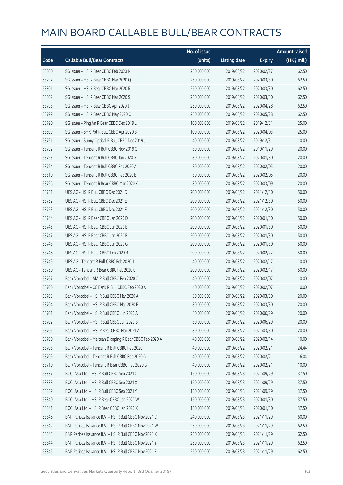|       |                                                         | No. of issue |                     |               | <b>Amount raised</b> |
|-------|---------------------------------------------------------|--------------|---------------------|---------------|----------------------|
| Code  | <b>Callable Bull/Bear Contracts</b>                     | (units)      | <b>Listing date</b> | <b>Expiry</b> | (HK\$ mil.)          |
| 53800 | SG Issuer - HSI R Bear CBBC Feb 2020 N                  | 250,000,000  | 2019/08/22          | 2020/02/27    | 62.50                |
| 53797 | SG Issuer - HSI R Bear CBBC Mar 2020 Q                  | 250,000,000  | 2019/08/22          | 2020/03/30    | 62.50                |
| 53801 | SG Issuer - HSI R Bear CBBC Mar 2020 R                  | 250,000,000  | 2019/08/22          | 2020/03/30    | 62.50                |
| 53802 | SG Issuer - HSI R Bear CBBC Mar 2020 S                  | 250,000,000  | 2019/08/22          | 2020/03/30    | 62.50                |
| 53798 | SG Issuer - HSI R Bear CBBC Apr 2020 J                  | 250,000,000  | 2019/08/22          | 2020/04/28    | 62.50                |
| 53799 | SG Issuer - HSI R Bear CBBC May 2020 C                  | 250,000,000  | 2019/08/22          | 2020/05/28    | 62.50                |
| 53790 | SG Issuer - Ping An R Bear CBBC Dec 2019 L              | 100,000,000  | 2019/08/22          | 2019/12/31    | 25.00                |
| 53809 | SG Issuer - SHK Ppt R Bull CBBC Apr 2020 B              | 100,000,000  | 2019/08/22          | 2020/04/03    | 25.00                |
| 53791 | SG Issuer - Sunny Optical R Bull CBBC Dec 2019 J        | 40,000,000   | 2019/08/22          | 2019/12/31    | 10.00                |
| 53792 | SG Issuer - Tencent R Bull CBBC Nov 2019 Q              | 80,000,000   | 2019/08/22          | 2019/11/29    | 20.00                |
| 53793 | SG Issuer - Tencent R Bull CBBC Jan 2020 G              | 80,000,000   | 2019/08/22          | 2020/01/30    | 20.00                |
| 53794 | SG Issuer - Tencent R Bull CBBC Feb 2020 A              | 80,000,000   | 2019/08/22          | 2020/02/05    | 20.00                |
| 53810 | SG Issuer - Tencent R Bull CBBC Feb 2020 B              | 80,000,000   | 2019/08/22          | 2020/02/05    | 20.00                |
| 53796 | SG Issuer - Tencent R Bear CBBC Mar 2020 K              | 80,000,000   | 2019/08/22          | 2020/03/09    | 20.00                |
| 53751 | UBS AG - HSI R Bull CBBC Dec 2021 D                     | 200,000,000  | 2019/08/22          | 2021/12/30    | 50.00                |
| 53752 | UBS AG - HSI R Bull CBBC Dec 2021 E                     | 200,000,000  | 2019/08/22          | 2021/12/30    | 50.00                |
| 53753 | UBS AG - HSI R Bull CBBC Dec 2021 F                     | 200,000,000  | 2019/08/22          | 2021/12/30    | 50.00                |
| 53744 | UBS AG - HSI R Bear CBBC Jan 2020 D                     | 200,000,000  | 2019/08/22          | 2020/01/30    | 50.00                |
| 53745 | UBS AG - HSI R Bear CBBC Jan 2020 E                     | 200,000,000  | 2019/08/22          | 2020/01/30    | 50.00                |
| 53747 | UBS AG - HSI R Bear CBBC Jan 2020 F                     | 200,000,000  | 2019/08/22          | 2020/01/30    | 50.00                |
| 53748 | UBS AG - HSI R Bear CBBC Jan 2020 G                     | 200,000,000  | 2019/08/22          | 2020/01/30    | 50.00                |
| 53746 | UBS AG - HSI R Bear CBBC Feb 2020 B                     | 200,000,000  | 2019/08/22          | 2020/02/27    | 50.00                |
| 53749 | UBS AG - Tencent R Bull CBBC Feb 2020 J                 | 40,000,000   | 2019/08/22          | 2020/02/17    | 10.00                |
| 53750 | UBS AG - Tencent R Bear CBBC Feb 2020 C                 | 200,000,000  | 2019/08/22          | 2020/02/17    | 50.00                |
| 53707 | Bank Vontobel - AIA R Bull CBBC Feb 2020 C              | 40,000,000   | 2019/08/22          | 2020/02/07    | 10.00                |
| 53706 | Bank Vontobel - CC Bank R Bull CBBC Feb 2020 A          | 40,000,000   | 2019/08/22          | 2020/02/07    | 10.00                |
| 53703 | Bank Vontobel - HSI R Bull CBBC Mar 2020 A              | 80,000,000   | 2019/08/22          | 2020/03/30    | 20.00                |
| 53704 | Bank Vontobel - HSI R Bull CBBC Mar 2020 B              | 80,000,000   | 2019/08/22          | 2020/03/30    | 20.00                |
| 53701 | Bank Vontobel - HSI R Bull CBBC Jun 2020 A              | 80,000,000   | 2019/08/22          | 2020/06/29    | 20.00                |
| 53702 | Bank Vontobel - HSI R Bull CBBC Jun 2020 B              | 80,000,000   | 2019/08/22          | 2020/06/29    | 20.00                |
| 53705 | Bank Vontobel - HSI R Bear CBBC Mar 2021 A              | 80,000,000   | 2019/08/22          | 2021/03/30    | 20.00                |
| 53700 | Bank Vontobel - Meituan Dianping R Bear CBBC Feb 2020 A | 40,000,000   | 2019/08/22          | 2020/02/14    | 10.00                |
| 53708 | Bank Vontobel - Tencent R Bull CBBC Feb 2020 F          | 40,000,000   | 2019/08/22          | 2020/02/21    | 24.44                |
| 53709 | Bank Vontobel - Tencent R Bull CBBC Feb 2020 G          | 40,000,000   | 2019/08/22          | 2020/02/21    | 16.04                |
| 53710 | Bank Vontobel - Tencent R Bear CBBC Feb 2020 G          | 40,000,000   | 2019/08/22          | 2020/02/21    | 10.00                |
| 53837 | BOCI Asia Ltd. - HSI R Bull CBBC Sep 2021 C             | 150,000,000  | 2019/08/23          | 2021/09/29    | 37.50                |
| 53838 | BOCI Asia Ltd. - HSI R Bull CBBC Sep 2021 X             | 150,000,000  | 2019/08/23          | 2021/09/29    | 37.50                |
| 53839 | BOCI Asia Ltd. - HSI R Bull CBBC Sep 2021 Y             | 150,000,000  | 2019/08/23          | 2021/09/29    | 37.50                |
| 53840 | BOCI Asia Ltd. - HSI R Bear CBBC Jan 2020 W             | 150,000,000  | 2019/08/23          | 2020/01/30    | 37.50                |
| 53841 | BOCI Asia Ltd. - HSI R Bear CBBC Jan 2020 X             | 150,000,000  | 2019/08/23          | 2020/01/30    | 37.50                |
| 53846 | BNP Paribas Issuance B.V. - HSI R Bull CBBC Nov 2021 C  | 240,000,000  | 2019/08/23          | 2021/11/29    | 60.00                |
| 53842 | BNP Paribas Issuance B.V. - HSI R Bull CBBC Nov 2021 W  | 250,000,000  | 2019/08/23          | 2021/11/29    | 62.50                |
| 53843 | BNP Paribas Issuance B.V. - HSI R Bull CBBC Nov 2021 X  | 250,000,000  | 2019/08/23          | 2021/11/29    | 62.50                |
| 53844 | BNP Paribas Issuance B.V. - HSI R Bull CBBC Nov 2021 Y  | 250,000,000  | 2019/08/23          | 2021/11/29    | 62.50                |
| 53845 | BNP Paribas Issuance B.V. - HSI R Bull CBBC Nov 2021 Z  | 250,000,000  | 2019/08/23          | 2021/11/29    | 62.50                |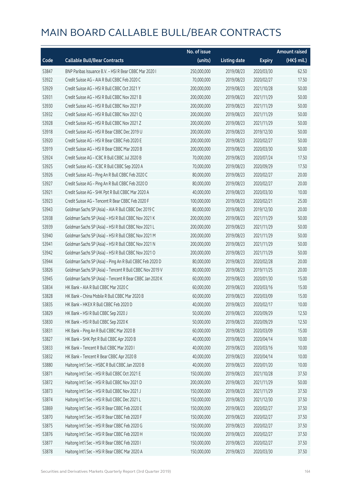|       |                                                          | No. of issue |                     |               | <b>Amount raised</b> |
|-------|----------------------------------------------------------|--------------|---------------------|---------------|----------------------|
| Code  | <b>Callable Bull/Bear Contracts</b>                      | (units)      | <b>Listing date</b> | <b>Expiry</b> | (HK\$ mil.)          |
| 53847 | BNP Paribas Issuance B.V. - HSI R Bear CBBC Mar 2020 I   | 250,000,000  | 2019/08/23          | 2020/03/30    | 62.50                |
| 53922 | Credit Suisse AG - AIA R Bull CBBC Feb 2020 C            | 70,000,000   | 2019/08/23          | 2020/02/27    | 17.50                |
| 53929 | Credit Suisse AG - HSI R Bull CBBC Oct 2021 Y            | 200,000,000  | 2019/08/23          | 2021/10/28    | 50.00                |
| 53931 | Credit Suisse AG - HSI R Bull CBBC Nov 2021 B            | 200,000,000  | 2019/08/23          | 2021/11/29    | 50.00                |
| 53930 | Credit Suisse AG - HSI R Bull CBBC Nov 2021 P            | 200,000,000  | 2019/08/23          | 2021/11/29    | 50.00                |
| 53932 | Credit Suisse AG - HSI R Bull CBBC Nov 2021 Q            | 200,000,000  | 2019/08/23          | 2021/11/29    | 50.00                |
| 53928 | Credit Suisse AG - HSI R Bull CBBC Nov 2021 Z            | 200,000,000  | 2019/08/23          | 2021/11/29    | 50.00                |
| 53918 | Credit Suisse AG - HSI R Bear CBBC Dec 2019 U            | 200,000,000  | 2019/08/23          | 2019/12/30    | 50.00                |
| 53920 | Credit Suisse AG - HSI R Bear CBBC Feb 2020 E            | 200,000,000  | 2019/08/23          | 2020/02/27    | 50.00                |
| 53919 | Credit Suisse AG - HSI R Bear CBBC Mar 2020 B            | 200,000,000  | 2019/08/23          | 2020/03/30    | 50.00                |
| 53924 | Credit Suisse AG - ICBC R Bull CBBC Jul 2020 B           | 70,000,000   | 2019/08/23          | 2020/07/24    | 17.50                |
| 53925 | Credit Suisse AG - ICBC R Bull CBBC Sep 2020 A           | 70,000,000   | 2019/08/23          | 2020/09/29    | 17.50                |
| 53926 | Credit Suisse AG - Ping An R Bull CBBC Feb 2020 C        | 80,000,000   | 2019/08/23          | 2020/02/27    | 20.00                |
| 53927 | Credit Suisse AG - Ping An R Bull CBBC Feb 2020 D        | 80,000,000   | 2019/08/23          | 2020/02/27    | 20.00                |
| 53921 | Credit Suisse AG - SHK Ppt R Bull CBBC Mar 2020 A        | 40,000,000   | 2019/08/23          | 2020/03/30    | 10.00                |
| 53923 | Credit Suisse AG - Tencent R Bear CBBC Feb 2020 F        | 100,000,000  | 2019/08/23          | 2020/02/21    | 25.00                |
| 53943 | Goldman Sachs SP (Asia) - AIA R Bull CBBC Dec 2019 C     | 80,000,000   | 2019/08/23          | 2019/12/30    | 20.00                |
| 53938 | Goldman Sachs SP (Asia) - HSI R Bull CBBC Nov 2021 K     | 200,000,000  | 2019/08/23          | 2021/11/29    | 50.00                |
| 53939 | Goldman Sachs SP (Asia) - HSI R Bull CBBC Nov 2021 L     | 200,000,000  | 2019/08/23          | 2021/11/29    | 50.00                |
| 53940 | Goldman Sachs SP (Asia) - HSI R Bull CBBC Nov 2021 M     | 200,000,000  | 2019/08/23          | 2021/11/29    | 50.00                |
| 53941 | Goldman Sachs SP (Asia) - HSI R Bull CBBC Nov 2021 N     | 200,000,000  | 2019/08/23          | 2021/11/29    | 50.00                |
| 53942 | Goldman Sachs SP (Asia) - HSI R Bull CBBC Nov 2021 O     | 200,000,000  | 2019/08/23          | 2021/11/29    | 50.00                |
| 53944 | Goldman Sachs SP (Asia) - Ping An R Bull CBBC Feb 2020 D | 80,000,000   | 2019/08/23          | 2020/02/28    | 20.00                |
| 53826 | Goldman Sachs SP (Asia) - Tencent R Bull CBBC Nov 2019 V | 80,000,000   | 2019/08/23          | 2019/11/25    | 20.00                |
| 53945 | Goldman Sachs SP (Asia) - Tencent R Bear CBBC Jan 2020 K | 60,000,000   | 2019/08/23          | 2020/01/30    | 15.00                |
| 53834 | HK Bank - AIA R Bull CBBC Mar 2020 C                     | 60,000,000   | 2019/08/23          | 2020/03/16    | 15.00                |
| 53828 | HK Bank - China Mobile R Bull CBBC Mar 2020 B            | 60,000,000   | 2019/08/23          | 2020/03/09    | 15.00                |
| 53835 | HK Bank - HKEX R Bull CBBC Feb 2020 D                    | 40,000,000   | 2019/08/23          | 2020/02/17    | 10.00                |
| 53829 | HK Bank - HSI R Bull CBBC Sep 2020 J                     | 50,000,000   | 2019/08/23          | 2020/09/29    | 12.50                |
| 53830 | HK Bank - HSI R Bull CBBC Sep 2020 K                     | 50,000,000   | 2019/08/23          | 2020/09/29    | 12.50                |
| 53831 | HK Bank - Ping An R Bull CBBC Mar 2020 B                 | 60,000,000   | 2019/08/23          | 2020/03/09    | 15.00                |
| 53827 | HK Bank - SHK Ppt R Bull CBBC Apr 2020 B                 | 40,000,000   | 2019/08/23          | 2020/04/14    | 10.00                |
| 53833 | HK Bank - Tencent R Bull CBBC Mar 2020 I                 | 40,000,000   | 2019/08/23          | 2020/03/16    | 10.00                |
| 53832 | HK Bank - Tencent R Bear CBBC Apr 2020 B                 | 40,000,000   | 2019/08/23          | 2020/04/14    | 10.00                |
| 53880 | Haitong Int'l Sec - HSBC R Bull CBBC Jan 2020 B          | 40,000,000   | 2019/08/23          | 2020/01/20    | 10.00                |
| 53871 | Haitong Int'l Sec - HSI R Bull CBBC Oct 2021 E           | 150,000,000  | 2019/08/23          | 2021/10/28    | 37.50                |
| 53872 | Haitong Int'l Sec - HSI R Bull CBBC Nov 2021 D           | 200,000,000  | 2019/08/23          | 2021/11/29    | 50.00                |
| 53873 | Haitong Int'l Sec - HSI R Bull CBBC Nov 2021 J           | 150,000,000  | 2019/08/23          | 2021/11/29    | 37.50                |
| 53874 | Haitong Int'l Sec - HSI R Bull CBBC Dec 2021 L           | 150,000,000  | 2019/08/23          | 2021/12/30    | 37.50                |
| 53869 | Haitong Int'l Sec - HSI R Bear CBBC Feb 2020 E           | 150,000,000  | 2019/08/23          | 2020/02/27    | 37.50                |
| 53870 | Haitong Int'l Sec - HSI R Bear CBBC Feb 2020 F           | 150,000,000  | 2019/08/23          | 2020/02/27    | 37.50                |
| 53875 | Haitong Int'l Sec - HSI R Bear CBBC Feb 2020 G           | 150,000,000  | 2019/08/23          | 2020/02/27    | 37.50                |
| 53876 | Haitong Int'l Sec - HSI R Bear CBBC Feb 2020 H           | 150,000,000  | 2019/08/23          | 2020/02/27    | 37.50                |
| 53877 | Haitong Int'l Sec - HSI R Bear CBBC Feb 2020 I           | 150,000,000  | 2019/08/23          | 2020/02/27    | 37.50                |
| 53878 | Haitong Int'l Sec - HSI R Bear CBBC Mar 2020 A           | 150,000,000  | 2019/08/23          | 2020/03/30    | 37.50                |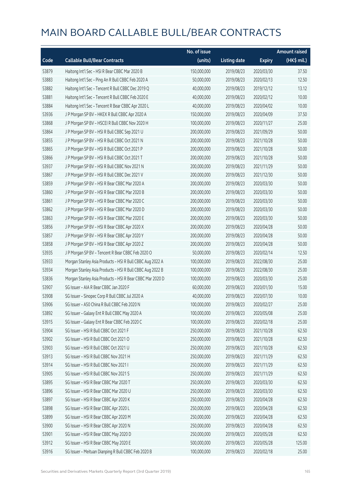|       |                                                           | No. of issue |                     |               | <b>Amount raised</b> |
|-------|-----------------------------------------------------------|--------------|---------------------|---------------|----------------------|
| Code  | <b>Callable Bull/Bear Contracts</b>                       | (units)      | <b>Listing date</b> | <b>Expiry</b> | (HK\$ mil.)          |
| 53879 | Haitong Int'l Sec - HSI R Bear CBBC Mar 2020 B            | 150,000,000  | 2019/08/23          | 2020/03/30    | 37.50                |
| 53883 | Haitong Int'l Sec - Ping An R Bull CBBC Feb 2020 A        | 50,000,000   | 2019/08/23          | 2020/02/13    | 12.50                |
| 53882 | Haitong Int'l Sec - Tencent R Bull CBBC Dec 2019 Q        | 40,000,000   | 2019/08/23          | 2019/12/12    | 13.12                |
| 53881 | Haitong Int'l Sec - Tencent R Bull CBBC Feb 2020 E        | 40,000,000   | 2019/08/23          | 2020/02/12    | 10.00                |
| 53884 | Haitong Int'l Sec - Tencent R Bear CBBC Apr 2020 L        | 40,000,000   | 2019/08/23          | 2020/04/02    | 10.00                |
| 53936 | J P Morgan SP BV - HKEX R Bull CBBC Apr 2020 A            | 150,000,000  | 2019/08/23          | 2020/04/09    | 37.50                |
| 53868 | J P Morgan SP BV - HSCEI R Bull CBBC Nov 2020 H           | 100,000,000  | 2019/08/23          | 2020/11/27    | 25.00                |
| 53864 | J P Morgan SP BV - HSI R Bull CBBC Sep 2021 U             | 200,000,000  | 2019/08/23          | 2021/09/29    | 50.00                |
| 53855 | J P Morgan SP BV - HSI R Bull CBBC Oct 2021 N             | 200,000,000  | 2019/08/23          | 2021/10/28    | 50.00                |
| 53865 | J P Morgan SP BV - HSI R Bull CBBC Oct 2021 P             | 200,000,000  | 2019/08/23          | 2021/10/28    | 50.00                |
| 53866 | J P Morgan SP BV - HSI R Bull CBBC Oct 2021 T             | 200,000,000  | 2019/08/23          | 2021/10/28    | 50.00                |
| 53937 | J P Morgan SP BV - HSI R Bull CBBC Nov 2021 N             | 200,000,000  | 2019/08/23          | 2021/11/29    | 50.00                |
| 53867 | J P Morgan SP BV - HSI R Bull CBBC Dec 2021 V             | 200,000,000  | 2019/08/23          | 2021/12/30    | 50.00                |
| 53859 | J P Morgan SP BV - HSI R Bear CBBC Mar 2020 A             | 200,000,000  | 2019/08/23          | 2020/03/30    | 50.00                |
| 53860 | J P Morgan SP BV - HSI R Bear CBBC Mar 2020 B             | 200,000,000  | 2019/08/23          | 2020/03/30    | 50.00                |
| 53861 | J P Morgan SP BV - HSI R Bear CBBC Mar 2020 C             | 200,000,000  | 2019/08/23          | 2020/03/30    | 50.00                |
| 53862 | J P Morgan SP BV - HSI R Bear CBBC Mar 2020 D             | 200,000,000  | 2019/08/23          | 2020/03/30    | 50.00                |
| 53863 | J P Morgan SP BV - HSI R Bear CBBC Mar 2020 E             | 200,000,000  | 2019/08/23          | 2020/03/30    | 50.00                |
| 53856 | J P Morgan SP BV - HSI R Bear CBBC Apr 2020 X             | 200,000,000  | 2019/08/23          | 2020/04/28    | 50.00                |
| 53857 | J P Morgan SP BV - HSI R Bear CBBC Apr 2020 Y             | 200,000,000  | 2019/08/23          | 2020/04/28    | 50.00                |
| 53858 | J P Morgan SP BV - HSI R Bear CBBC Apr 2020 Z             | 200,000,000  | 2019/08/23          | 2020/04/28    | 50.00                |
| 53935 | J P Morgan SP BV - Tencent R Bear CBBC Feb 2020 O         | 50,000,000   | 2019/08/23          | 2020/02/14    | 12.50                |
| 53933 | Morgan Stanley Asia Products - HSI R Bull CBBC Aug 2022 A | 100,000,000  | 2019/08/23          | 2022/08/30    | 25.00                |
| 53934 | Morgan Stanley Asia Products - HSI R Bull CBBC Aug 2022 B | 100,000,000  | 2019/08/23          | 2022/08/30    | 25.00                |
| 53836 | Morgan Stanley Asia Products - HSI R Bear CBBC Mar 2020 D | 100,000,000  | 2019/08/23          | 2020/03/30    | 25.00                |
| 53907 | SG Issuer - AIA R Bear CBBC Jan 2020 F                    | 60,000,000   | 2019/08/23          | 2020/01/30    | 15.00                |
| 53908 | SG Issuer - Sinopec Corp R Bull CBBC Jul 2020 A           | 40,000,000   | 2019/08/23          | 2020/07/30    | 10.00                |
| 53906 | SG Issuer - A50 China R Bull CBBC Feb 2020 N              | 100,000,000  | 2019/08/23          | 2020/02/27    | 25.00                |
| 53892 | SG Issuer - Galaxy Ent R Bull CBBC May 2020 A             | 100,000,000  | 2019/08/23          | 2020/05/08    | 25.00                |
| 53915 | SG Issuer - Galaxy Ent R Bear CBBC Feb 2020 C             | 100,000,000  | 2019/08/23          | 2020/02/18    | 25.00                |
| 53904 | SG Issuer - HSI R Bull CBBC Oct 2021 F                    | 250,000,000  | 2019/08/23          | 2021/10/28    | 62.50                |
| 53902 | SG Issuer - HSI R Bull CBBC Oct 2021 O                    | 250,000,000  | 2019/08/23          | 2021/10/28    | 62.50                |
| 53903 | SG Issuer - HSI R Bull CBBC Oct 2021 U                    | 250,000,000  | 2019/08/23          | 2021/10/28    | 62.50                |
| 53913 | SG Issuer - HSI R Bull CBBC Nov 2021 H                    | 250,000,000  | 2019/08/23          | 2021/11/29    | 62.50                |
| 53914 | SG Issuer - HSI R Bull CBBC Nov 2021 I                    | 250,000,000  | 2019/08/23          | 2021/11/29    | 62.50                |
| 53905 | SG Issuer - HSI R Bull CBBC Nov 2021 S                    | 250,000,000  | 2019/08/23          | 2021/11/29    | 62.50                |
| 53895 | SG Issuer - HSI R Bear CBBC Mar 2020 T                    | 250,000,000  | 2019/08/23          | 2020/03/30    | 62.50                |
| 53896 | SG Issuer - HSI R Bear CBBC Mar 2020 U                    | 250,000,000  | 2019/08/23          | 2020/03/30    | 62.50                |
| 53897 | SG Issuer - HSI R Bear CBBC Apr 2020 K                    | 250,000,000  | 2019/08/23          | 2020/04/28    | 62.50                |
| 53898 | SG Issuer - HSI R Bear CBBC Apr 2020 L                    | 250,000,000  | 2019/08/23          | 2020/04/28    | 62.50                |
| 53899 | SG Issuer - HSI R Bear CBBC Apr 2020 M                    | 250,000,000  | 2019/08/23          | 2020/04/28    | 62.50                |
| 53900 | SG Issuer - HSI R Bear CBBC Apr 2020 N                    | 250,000,000  | 2019/08/23          | 2020/04/28    | 62.50                |
| 53901 | SG Issuer - HSI R Bear CBBC May 2020 D                    | 250,000,000  | 2019/08/23          | 2020/05/28    | 62.50                |
| 53912 | SG Issuer - HSI R Bear CBBC May 2020 E                    | 500,000,000  | 2019/08/23          | 2020/05/28    | 125.00               |
| 53916 | SG Issuer - Meituan Dianping R Bull CBBC Feb 2020 B       | 100,000,000  | 2019/08/23          | 2020/02/18    | 25.00                |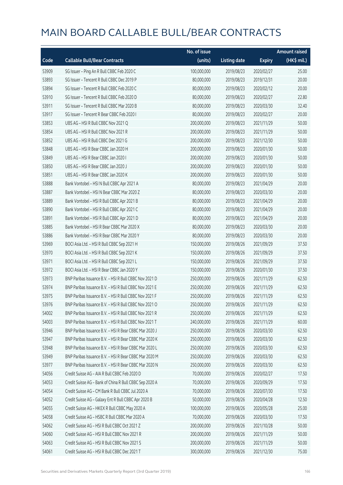|       |                                                         | No. of issue |                     |               | <b>Amount raised</b> |
|-------|---------------------------------------------------------|--------------|---------------------|---------------|----------------------|
| Code  | <b>Callable Bull/Bear Contracts</b>                     | (units)      | <b>Listing date</b> | <b>Expiry</b> | (HK\$ mil.)          |
| 53909 | SG Issuer - Ping An R Bull CBBC Feb 2020 C              | 100,000,000  | 2019/08/23          | 2020/02/27    | 25.00                |
| 53893 | SG Issuer - Tencent R Bull CBBC Dec 2019 P              | 80,000,000   | 2019/08/23          | 2019/12/31    | 20.00                |
| 53894 | SG Issuer - Tencent R Bull CBBC Feb 2020 C              | 80,000,000   | 2019/08/23          | 2020/02/12    | 20.00                |
| 53910 | SG Issuer - Tencent R Bull CBBC Feb 2020 D              | 80,000,000   | 2019/08/23          | 2020/02/27    | 22.80                |
| 53911 | SG Issuer - Tencent R Bull CBBC Mar 2020 B              | 80,000,000   | 2019/08/23          | 2020/03/30    | 32.40                |
| 53917 | SG Issuer - Tencent R Bear CBBC Feb 2020 I              | 80,000,000   | 2019/08/23          | 2020/02/27    | 20.00                |
| 53853 | UBS AG - HSI R Bull CBBC Nov 2021 Q                     | 200,000,000  | 2019/08/23          | 2021/11/29    | 50.00                |
| 53854 | UBS AG - HSI R Bull CBBC Nov 2021 R                     | 200,000,000  | 2019/08/23          | 2021/11/29    | 50.00                |
| 53852 | UBS AG - HSI R Bull CBBC Dec 2021 G                     | 200,000,000  | 2019/08/23          | 2021/12/30    | 50.00                |
| 53848 | UBS AG - HSI R Bear CBBC Jan 2020 H                     | 200,000,000  | 2019/08/23          | 2020/01/30    | 50.00                |
| 53849 | UBS AG - HSI R Bear CBBC Jan 2020 I                     | 200,000,000  | 2019/08/23          | 2020/01/30    | 50.00                |
| 53850 | UBS AG - HSI R Bear CBBC Jan 2020 J                     | 200,000,000  | 2019/08/23          | 2020/01/30    | 50.00                |
| 53851 | UBS AG - HSI R Bear CBBC Jan 2020 K                     | 200,000,000  | 2019/08/23          | 2020/01/30    | 50.00                |
| 53888 | Bank Vontobel - HSI N Bull CBBC Apr 2021 A              | 80,000,000   | 2019/08/23          | 2021/04/29    | 20.00                |
| 53887 | Bank Vontobel - HSI N Bear CBBC Mar 2020 Z              | 80,000,000   | 2019/08/23          | 2020/03/30    | 20.00                |
| 53889 | Bank Vontobel - HSI R Bull CBBC Apr 2021 B              | 80,000,000   | 2019/08/23          | 2021/04/29    | 20.00                |
| 53890 | Bank Vontobel - HSI R Bull CBBC Apr 2021 C              | 80,000,000   | 2019/08/23          | 2021/04/29    | 20.00                |
| 53891 | Bank Vontobel - HSI R Bull CBBC Apr 2021 D              | 80,000,000   | 2019/08/23          | 2021/04/29    | 20.00                |
| 53885 | Bank Vontobel - HSI R Bear CBBC Mar 2020 X              | 80,000,000   | 2019/08/23          | 2020/03/30    | 20.00                |
| 53886 | Bank Vontobel - HSI R Bear CBBC Mar 2020 Y              | 80,000,000   | 2019/08/23          | 2020/03/30    | 20.00                |
| 53969 | BOCI Asia Ltd. - HSI R Bull CBBC Sep 2021 H             | 150,000,000  | 2019/08/26          | 2021/09/29    | 37.50                |
| 53970 | BOCI Asia Ltd. - HSI R Bull CBBC Sep 2021 K             | 150,000,000  | 2019/08/26          | 2021/09/29    | 37.50                |
| 53971 | BOCI Asia Ltd. - HSI R Bull CBBC Sep 2021 L             | 150,000,000  | 2019/08/26          | 2021/09/29    | 37.50                |
| 53972 | BOCI Asia Ltd. - HSI R Bear CBBC Jan 2020 Y             | 150,000,000  | 2019/08/26          | 2020/01/30    | 37.50                |
| 53973 | BNP Paribas Issuance B.V. - HSI R Bull CBBC Nov 2021 D  | 250,000,000  | 2019/08/26          | 2021/11/29    | 62.50                |
| 53974 | BNP Paribas Issuance B.V. - HSI R Bull CBBC Nov 2021 E  | 250,000,000  | 2019/08/26          | 2021/11/29    | 62.50                |
| 53975 | BNP Paribas Issuance B.V. - HSI R Bull CBBC Nov 2021 F  | 250,000,000  | 2019/08/26          | 2021/11/29    | 62.50                |
| 53976 | BNP Paribas Issuance B.V. - HSI R Bull CBBC Nov 2021 O  | 250,000,000  | 2019/08/26          | 2021/11/29    | 62.50                |
| 54002 | BNP Paribas Issuance B.V. - HSI R Bull CBBC Nov 2021 R  | 250,000,000  | 2019/08/26          | 2021/11/29    | 62.50                |
| 54003 | BNP Paribas Issuance B.V. - HSI R Bull CBBC Nov 2021 T  | 240,000,000  | 2019/08/26          | 2021/11/29    | 60.00                |
| 53946 | BNP Paribas Issuance B.V. - HSI R Bear CBBC Mar 2020 J  | 250,000,000  | 2019/08/26          | 2020/03/30    | 62.50                |
| 53947 | BNP Paribas Issuance B.V. - HSI R Bear CBBC Mar 2020 K  | 250,000,000  | 2019/08/26          | 2020/03/30    | 62.50                |
| 53948 | BNP Paribas Issuance B.V. - HSI R Bear CBBC Mar 2020 L  | 250,000,000  | 2019/08/26          | 2020/03/30    | 62.50                |
| 53949 | BNP Paribas Issuance B.V. - HSI R Bear CBBC Mar 2020 M  | 250,000,000  | 2019/08/26          | 2020/03/30    | 62.50                |
| 53977 | BNP Paribas Issuance B.V. - HSI R Bear CBBC Mar 2020 N  | 250,000,000  | 2019/08/26          | 2020/03/30    | 62.50                |
| 54056 | Credit Suisse AG - AIA R Bull CBBC Feb 2020 D           | 70,000,000   | 2019/08/26          | 2020/02/27    | 17.50                |
| 54053 | Credit Suisse AG - Bank of China R Bull CBBC Sep 2020 A | 70,000,000   | 2019/08/26          | 2020/09/29    | 17.50                |
| 54054 | Credit Suisse AG - CM Bank R Bull CBBC Jul 2020 A       | 70,000,000   | 2019/08/26          | 2020/07/30    | 17.50                |
| 54052 | Credit Suisse AG - Galaxy Ent R Bull CBBC Apr 2020 B    | 50,000,000   | 2019/08/26          | 2020/04/28    | 12.50                |
| 54055 | Credit Suisse AG - HKEX R Bull CBBC May 2020 A          | 100,000,000  | 2019/08/26          | 2020/05/28    | 25.00                |
| 54058 | Credit Suisse AG - HSBC R Bull CBBC Mar 2020 A          | 70,000,000   | 2019/08/26          | 2020/03/30    | 17.50                |
| 54062 | Credit Suisse AG - HSI R Bull CBBC Oct 2021 Z           | 200,000,000  | 2019/08/26          | 2021/10/28    | 50.00                |
| 54060 | Credit Suisse AG - HSI R Bull CBBC Nov 2021 R           | 200,000,000  | 2019/08/26          | 2021/11/29    | 50.00                |
| 54063 | Credit Suisse AG - HSI R Bull CBBC Nov 2021 S           | 200,000,000  | 2019/08/26          | 2021/11/29    | 50.00                |
| 54061 | Credit Suisse AG - HSI R Bull CBBC Dec 2021 T           | 300,000,000  | 2019/08/26          | 2021/12/30    | 75.00                |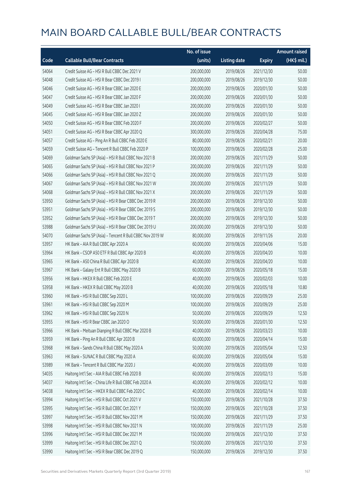|       |                                                          | No. of issue |                     |               | <b>Amount raised</b> |
|-------|----------------------------------------------------------|--------------|---------------------|---------------|----------------------|
| Code  | <b>Callable Bull/Bear Contracts</b>                      | (units)      | <b>Listing date</b> | <b>Expiry</b> | (HK\$ mil.)          |
| 54064 | Credit Suisse AG - HSI R Bull CBBC Dec 2021 V            | 200,000,000  | 2019/08/26          | 2021/12/30    | 50.00                |
| 54048 | Credit Suisse AG - HSI R Bear CBBC Dec 2019 I            | 200,000,000  | 2019/08/26          | 2019/12/30    | 50.00                |
| 54046 | Credit Suisse AG - HSI R Bear CBBC Jan 2020 E            | 200,000,000  | 2019/08/26          | 2020/01/30    | 50.00                |
| 54047 | Credit Suisse AG - HSI R Bear CBBC Jan 2020 F            | 200,000,000  | 2019/08/26          | 2020/01/30    | 50.00                |
| 54049 | Credit Suisse AG - HSI R Bear CBBC Jan 2020 I            | 200,000,000  | 2019/08/26          | 2020/01/30    | 50.00                |
| 54045 | Credit Suisse AG - HSI R Bear CBBC Jan 2020 Z            | 200,000,000  | 2019/08/26          | 2020/01/30    | 50.00                |
| 54050 | Credit Suisse AG - HSI R Bear CBBC Feb 2020 F            | 200,000,000  | 2019/08/26          | 2020/02/27    | 50.00                |
| 54051 | Credit Suisse AG - HSI R Bear CBBC Apr 2020 Q            | 300,000,000  | 2019/08/26          | 2020/04/28    | 75.00                |
| 54057 | Credit Suisse AG - Ping An R Bull CBBC Feb 2020 E        | 80,000,000   | 2019/08/26          | 2020/02/21    | 20.00                |
| 54059 | Credit Suisse AG - Tencent R Bull CBBC Feb 2020 P        | 100,000,000  | 2019/08/26          | 2020/02/28    | 25.00                |
| 54069 | Goldman Sachs SP (Asia) - HSI R Bull CBBC Nov 2021 B     | 200,000,000  | 2019/08/26          | 2021/11/29    | 50.00                |
| 54065 | Goldman Sachs SP (Asia) - HSI R Bull CBBC Nov 2021 P     | 200,000,000  | 2019/08/26          | 2021/11/29    | 50.00                |
| 54066 | Goldman Sachs SP (Asia) - HSI R Bull CBBC Nov 2021 Q     | 200,000,000  | 2019/08/26          | 2021/11/29    | 50.00                |
| 54067 | Goldman Sachs SP (Asia) - HSI R Bull CBBC Nov 2021 W     | 200,000,000  | 2019/08/26          | 2021/11/29    | 50.00                |
| 54068 | Goldman Sachs SP (Asia) - HSI R Bull CBBC Nov 2021 X     | 200,000,000  | 2019/08/26          | 2021/11/29    | 50.00                |
| 53950 | Goldman Sachs SP (Asia) - HSI R Bear CBBC Dec 2019 R     | 200,000,000  | 2019/08/26          | 2019/12/30    | 50.00                |
| 53951 | Goldman Sachs SP (Asia) - HSI R Bear CBBC Dec 2019 S     | 200,000,000  | 2019/08/26          | 2019/12/30    | 50.00                |
| 53952 | Goldman Sachs SP (Asia) - HSI R Bear CBBC Dec 2019 T     | 200,000,000  | 2019/08/26          | 2019/12/30    | 50.00                |
| 53988 | Goldman Sachs SP (Asia) - HSI R Bear CBBC Dec 2019 U     | 200,000,000  | 2019/08/26          | 2019/12/30    | 50.00                |
| 54070 | Goldman Sachs SP (Asia) - Tencent R Bull CBBC Nov 2019 W | 80,000,000   | 2019/08/26          | 2019/11/26    | 20.00                |
| 53957 | HK Bank - AIA R Bull CBBC Apr 2020 A                     | 60,000,000   | 2019/08/26          | 2020/04/06    | 15.00                |
| 53964 | HK Bank - CSOP A50 ETF R Bull CBBC Apr 2020 B            | 40,000,000   | 2019/08/26          | 2020/04/20    | 10.00                |
| 53965 | HK Bank - A50 China R Bull CBBC Apr 2020 B               | 40,000,000   | 2019/08/26          | 2020/04/20    | 10.00                |
| 53967 | HK Bank - Galaxy Ent R Bull CBBC May 2020 B              | 60,000,000   | 2019/08/26          | 2020/05/18    | 15.00                |
| 53956 | HK Bank - HKEX R Bull CBBC Feb 2020 E                    | 40,000,000   | 2019/08/26          | 2020/02/03    | 10.00                |
| 53958 | HK Bank - HKEX R Bull CBBC May 2020 B                    | 40,000,000   | 2019/08/26          | 2020/05/18    | 10.80                |
| 53960 | HK Bank - HSI R Bull CBBC Sep 2020 L                     | 100,000,000  | 2019/08/26          | 2020/09/29    | 25.00                |
| 53961 | HK Bank - HSI R Bull CBBC Sep 2020 M                     | 100,000,000  | 2019/08/26          | 2020/09/29    | 25.00                |
| 53962 | HK Bank - HSI R Bull CBBC Sep 2020 N                     | 50,000,000   | 2019/08/26          | 2020/09/29    | 12.50                |
| 53955 | HK Bank - HSI R Bear CBBC Jan 2020 O                     | 50,000,000   | 2019/08/26          | 2020/01/30    | 12.50                |
| 53966 | HK Bank - Meituan Dianping R Bull CBBC Mar 2020 B        | 40,000,000   | 2019/08/26          | 2020/03/23    | 10.00                |
| 53959 | HK Bank - Ping An R Bull CBBC Apr 2020 B                 | 60,000,000   | 2019/08/26          | 2020/04/14    | 15.00                |
| 53968 | HK Bank - Sands China R Bull CBBC May 2020 A             | 50,000,000   | 2019/08/26          | 2020/05/04    | 12.50                |
| 53963 | HK Bank - SUNAC R Bull CBBC May 2020 A                   | 60,000,000   | 2019/08/26          | 2020/05/04    | 15.00                |
| 53989 | HK Bank - Tencent R Bull CBBC Mar 2020 J                 | 40,000,000   | 2019/08/26          | 2020/03/09    | 10.00                |
| 54035 | Haitong Int'l Sec - AIA R Bull CBBC Feb 2020 B           | 60,000,000   | 2019/08/26          | 2020/02/13    | 15.00                |
| 54037 | Haitong Int'l Sec - China Life R Bull CBBC Feb 2020 A    | 40,000,000   | 2019/08/26          | 2020/02/12    | 10.00                |
| 54038 | Haitong Int'l Sec - HKEX R Bull CBBC Feb 2020 C          | 40,000,000   | 2019/08/26          | 2020/02/14    | 10.00                |
| 53994 | Haitong Int'l Sec - HSI R Bull CBBC Oct 2021 V           | 150,000,000  | 2019/08/26          | 2021/10/28    | 37.50                |
| 53995 | Haitong Int'l Sec - HSI R Bull CBBC Oct 2021 Y           | 150,000,000  | 2019/08/26          | 2021/10/28    | 37.50                |
| 53997 | Haitong Int'l Sec - HSI R Bull CBBC Nov 2021 M           | 150,000,000  | 2019/08/26          | 2021/11/29    | 37.50                |
| 53998 | Haitong Int'l Sec - HSI R Bull CBBC Nov 2021 N           | 100,000,000  | 2019/08/26          | 2021/11/29    | 25.00                |
| 53996 | Haitong Int'l Sec - HSI R Bull CBBC Dec 2021 M           | 150,000,000  | 2019/08/26          | 2021/12/30    | 37.50                |
| 53999 | Haitong Int'l Sec - HSI R Bull CBBC Dec 2021 Q           | 150,000,000  | 2019/08/26          | 2021/12/30    | 37.50                |
| 53990 | Haitong Int'l Sec - HSI R Bear CBBC Dec 2019 Q           | 150,000,000  | 2019/08/26          | 2019/12/30    | 37.50                |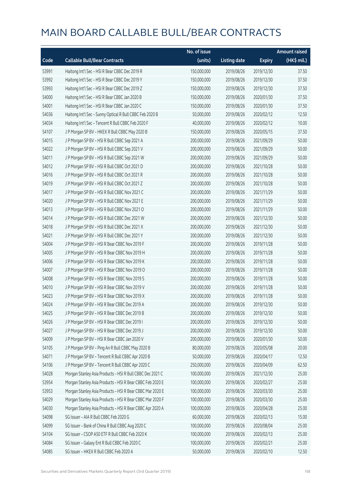|       |                                                           | No. of issue |                     |               | <b>Amount raised</b> |
|-------|-----------------------------------------------------------|--------------|---------------------|---------------|----------------------|
| Code  | <b>Callable Bull/Bear Contracts</b>                       | (units)      | <b>Listing date</b> | <b>Expiry</b> | (HK\$ mil.)          |
| 53991 | Haitong Int'l Sec - HSI R Bear CBBC Dec 2019 R            | 150,000,000  | 2019/08/26          | 2019/12/30    | 37.50                |
| 53992 | Haitong Int'l Sec - HSI R Bear CBBC Dec 2019 Y            | 150,000,000  | 2019/08/26          | 2019/12/30    | 37.50                |
| 53993 | Haitong Int'l Sec - HSI R Bear CBBC Dec 2019 Z            | 150,000,000  | 2019/08/26          | 2019/12/30    | 37.50                |
| 54000 | Haitong Int'l Sec - HSI R Bear CBBC Jan 2020 B            | 150,000,000  | 2019/08/26          | 2020/01/30    | 37.50                |
| 54001 | Haitong Int'l Sec - HSI R Bear CBBC Jan 2020 C            | 150,000,000  | 2019/08/26          | 2020/01/30    | 37.50                |
| 54036 | Haitong Int'l Sec - Sunny Optical R Bull CBBC Feb 2020 B  | 50,000,000   | 2019/08/26          | 2020/02/12    | 12.50                |
| 54034 | Haitong Int'l Sec - Tencent R Bull CBBC Feb 2020 F        | 40,000,000   | 2019/08/26          | 2020/02/12    | 10.00                |
| 54107 | J P Morgan SP BV - HKEX R Bull CBBC May 2020 B            | 150,000,000  | 2019/08/26          | 2020/05/15    | 37.50                |
| 54015 | J P Morgan SP BV - HSI R Bull CBBC Sep 2021 A             | 200,000,000  | 2019/08/26          | 2021/09/29    | 50.00                |
| 54022 | J P Morgan SP BV - HSI R Bull CBBC Sep 2021 V             | 200,000,000  | 2019/08/26          | 2021/09/29    | 50.00                |
| 54011 | J P Morgan SP BV - HSI R Bull CBBC Sep 2021 W             | 200,000,000  | 2019/08/26          | 2021/09/29    | 50.00                |
| 54012 | J P Morgan SP BV - HSI R Bull CBBC Oct 2021 D             | 200,000,000  | 2019/08/26          | 2021/10/28    | 50.00                |
| 54016 | J P Morgan SP BV - HSI R Bull CBBC Oct 2021 R             | 200,000,000  | 2019/08/26          | 2021/10/28    | 50.00                |
| 54019 | J P Morgan SP BV - HSI R Bull CBBC Oct 2021 Z             | 200,000,000  | 2019/08/26          | 2021/10/28    | 50.00                |
| 54017 | J P Morgan SP BV - HSI R Bull CBBC Nov 2021 C             | 200,000,000  | 2019/08/26          | 2021/11/29    | 50.00                |
| 54020 | J P Morgan SP BV - HSI R Bull CBBC Nov 2021 E             | 200,000,000  | 2019/08/26          | 2021/11/29    | 50.00                |
| 54013 | J P Morgan SP BV - HSI R Bull CBBC Nov 2021 O             | 200,000,000  | 2019/08/26          | 2021/11/29    | 50.00                |
| 54014 | J P Morgan SP BV - HSI R Bull CBBC Dec 2021 W             | 200,000,000  | 2019/08/26          | 2021/12/30    | 50.00                |
| 54018 | J P Morgan SP BV - HSI R Bull CBBC Dec 2021 X             | 200,000,000  | 2019/08/26          | 2021/12/30    | 50.00                |
| 54021 | J P Morgan SP BV - HSI R Bull CBBC Dec 2021 Y             | 200,000,000  | 2019/08/26          | 2021/12/30    | 50.00                |
| 54004 | J P Morgan SP BV - HSI R Bear CBBC Nov 2019 F             | 200,000,000  | 2019/08/26          | 2019/11/28    | 50.00                |
| 54005 | J P Morgan SP BV - HSI R Bear CBBC Nov 2019 H             | 200,000,000  | 2019/08/26          | 2019/11/28    | 50.00                |
| 54006 | J P Morgan SP BV - HSI R Bear CBBC Nov 2019 K             | 200,000,000  | 2019/08/26          | 2019/11/28    | 50.00                |
| 54007 | J P Morgan SP BV - HSI R Bear CBBC Nov 2019 O             | 200,000,000  | 2019/08/26          | 2019/11/28    | 50.00                |
| 54008 | J P Morgan SP BV - HSI R Bear CBBC Nov 2019 S             | 200,000,000  | 2019/08/26          | 2019/11/28    | 50.00                |
| 54010 | J P Morgan SP BV - HSI R Bear CBBC Nov 2019 V             | 200,000,000  | 2019/08/26          | 2019/11/28    | 50.00                |
| 54023 | J P Morgan SP BV - HSI R Bear CBBC Nov 2019 X             | 200,000,000  | 2019/08/26          | 2019/11/28    | 50.00                |
| 54024 | J P Morgan SP BV - HSI R Bear CBBC Dec 2019 A             | 200,000,000  | 2019/08/26          | 2019/12/30    | 50.00                |
| 54025 | J P Morgan SP BV - HSI R Bear CBBC Dec 2019 B             | 200,000,000  | 2019/08/26          | 2019/12/30    | 50.00                |
| 54026 | JP Morgan SP BV - HSIR Bear CBBC Dec 2019 I               | 200,000,000  | 2019/08/26          | 2019/12/30    | 50.00                |
| 54027 | J P Morgan SP BV - HSI R Bear CBBC Dec 2019 J             | 200,000,000  | 2019/08/26          | 2019/12/30    | 50.00                |
| 54009 | J P Morgan SP BV - HSI R Bear CBBC Jan 2020 V             | 200,000,000  | 2019/08/26          | 2020/01/30    | 50.00                |
| 54105 | J P Morgan SP BV - Ping An R Bull CBBC May 2020 B         | 80,000,000   | 2019/08/26          | 2020/05/08    | 20.00                |
| 54071 | J P Morgan SP BV - Tencent R Bull CBBC Apr 2020 B         | 50,000,000   | 2019/08/26          | 2020/04/17    | 12.50                |
| 54106 | J P Morgan SP BV - Tencent R Bull CBBC Apr 2020 C         | 250,000,000  | 2019/08/26          | 2020/04/09    | 62.50                |
| 54028 | Morgan Stanley Asia Products - HSI R Bull CBBC Dec 2021 C | 100,000,000  | 2019/08/26          | 2021/12/30    | 25.00                |
| 53954 | Morgan Stanley Asia Products - HSI R Bear CBBC Feb 2020 E | 100,000,000  | 2019/08/26          | 2020/02/27    | 25.00                |
| 53953 | Morgan Stanley Asia Products - HSI R Bear CBBC Mar 2020 E | 100,000,000  | 2019/08/26          | 2020/03/30    | 25.00                |
| 54029 | Morgan Stanley Asia Products - HSI R Bear CBBC Mar 2020 F | 100,000,000  | 2019/08/26          | 2020/03/30    | 25.00                |
| 54030 | Morgan Stanley Asia Products - HSI R Bear CBBC Apr 2020 A | 100,000,000  | 2019/08/26          | 2020/04/28    | 25.00                |
| 54098 | SG Issuer - AIA R Bull CBBC Feb 2020 G                    | 60,000,000   | 2019/08/26          | 2020/02/13    | 15.00                |
| 54099 | SG Issuer - Bank of China R Bull CBBC Aug 2020 C          | 100,000,000  | 2019/08/26          | 2020/08/04    | 25.00                |
| 54104 | SG Issuer - CSOP A50 ETF R Bull CBBC Feb 2020 K           | 100,000,000  | 2019/08/26          | 2020/02/13    | 25.00                |
| 54084 | SG Issuer - Galaxy Ent R Bull CBBC Feb 2020 C             | 100,000,000  | 2019/08/26          | 2020/02/21    | 25.00                |
| 54085 | SG Issuer - HKEX R Bull CBBC Feb 2020 A                   | 50,000,000   | 2019/08/26          | 2020/02/10    | 12.50                |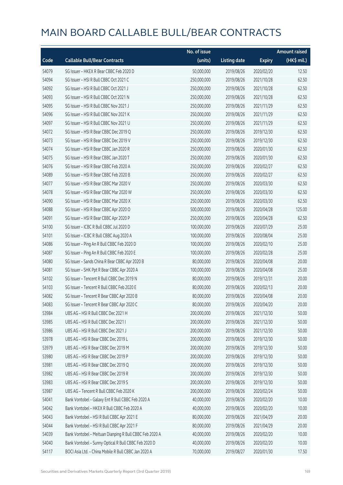|       |                                                         | No. of issue |                     |               | <b>Amount raised</b> |
|-------|---------------------------------------------------------|--------------|---------------------|---------------|----------------------|
| Code  | <b>Callable Bull/Bear Contracts</b>                     | (units)      | <b>Listing date</b> | <b>Expiry</b> | (HK\$ mil.)          |
| 54079 | SG Issuer - HKEX R Bear CBBC Feb 2020 D                 | 50,000,000   | 2019/08/26          | 2020/02/20    | 12.50                |
| 54094 | SG Issuer - HSI R Bull CBBC Oct 2021 C                  | 250,000,000  | 2019/08/26          | 2021/10/28    | 62.50                |
| 54092 | SG Issuer - HSI R Bull CBBC Oct 2021 J                  | 250,000,000  | 2019/08/26          | 2021/10/28    | 62.50                |
| 54093 | SG Issuer - HSI R Bull CBBC Oct 2021 N                  | 250,000,000  | 2019/08/26          | 2021/10/28    | 62.50                |
| 54095 | SG Issuer - HSI R Bull CBBC Nov 2021 J                  | 250,000,000  | 2019/08/26          | 2021/11/29    | 62.50                |
| 54096 | SG Issuer - HSI R Bull CBBC Nov 2021 K                  | 250,000,000  | 2019/08/26          | 2021/11/29    | 62.50                |
| 54097 | SG Issuer - HSI R Bull CBBC Nov 2021 U                  | 250,000,000  | 2019/08/26          | 2021/11/29    | 62.50                |
| 54072 | SG Issuer - HSI R Bear CBBC Dec 2019 Q                  | 250,000,000  | 2019/08/26          | 2019/12/30    | 62.50                |
| 54073 | SG Issuer - HSI R Bear CBBC Dec 2019 V                  | 250,000,000  | 2019/08/26          | 2019/12/30    | 62.50                |
| 54074 | SG Issuer - HSI R Bear CBBC Jan 2020 R                  | 250,000,000  | 2019/08/26          | 2020/01/30    | 62.50                |
| 54075 | SG Issuer - HSI R Bear CBBC Jan 2020 T                  | 250,000,000  | 2019/08/26          | 2020/01/30    | 62.50                |
| 54076 | SG Issuer - HSI R Bear CBBC Feb 2020 A                  | 250,000,000  | 2019/08/26          | 2020/02/27    | 62.50                |
| 54089 | SG Issuer - HSI R Bear CBBC Feb 2020 B                  | 250,000,000  | 2019/08/26          | 2020/02/27    | 62.50                |
| 54077 | SG Issuer - HSI R Bear CBBC Mar 2020 V                  | 250,000,000  | 2019/08/26          | 2020/03/30    | 62.50                |
| 54078 | SG Issuer - HSI R Bear CBBC Mar 2020 W                  | 250,000,000  | 2019/08/26          | 2020/03/30    | 62.50                |
| 54090 | SG Issuer - HSI R Bear CBBC Mar 2020 X                  | 250,000,000  | 2019/08/26          | 2020/03/30    | 62.50                |
| 54088 | SG Issuer - HSI R Bear CBBC Apr 2020 O                  | 500,000,000  | 2019/08/26          | 2020/04/28    | 125.00               |
| 54091 | SG Issuer - HSI R Bear CBBC Apr 2020 P                  | 250,000,000  | 2019/08/26          | 2020/04/28    | 62.50                |
| 54100 | SG Issuer - ICBC R Bull CBBC Jul 2020 D                 | 100,000,000  | 2019/08/26          | 2020/07/29    | 25.00                |
| 54101 | SG Issuer - ICBC R Bull CBBC Aug 2020 A                 | 100,000,000  | 2019/08/26          | 2020/08/04    | 25.00                |
| 54086 | SG Issuer - Ping An R Bull CBBC Feb 2020 D              | 100,000,000  | 2019/08/26          | 2020/02/10    | 25.00                |
| 54087 | SG Issuer - Ping An R Bull CBBC Feb 2020 E              | 100,000,000  | 2019/08/26          | 2020/02/28    | 25.00                |
| 54080 | SG Issuer - Sands China R Bear CBBC Apr 2020 B          | 80,000,000   | 2019/08/26          | 2020/04/08    | 20.00                |
| 54081 | SG Issuer - SHK Ppt R Bear CBBC Apr 2020 A              | 100,000,000  | 2019/08/26          | 2020/04/08    | 25.00                |
| 54102 | SG Issuer - Tencent R Bull CBBC Dec 2019 N              | 80,000,000   | 2019/08/26          | 2019/12/31    | 20.00                |
| 54103 | SG Issuer - Tencent R Bull CBBC Feb 2020 E              | 80,000,000   | 2019/08/26          | 2020/02/13    | 20.00                |
| 54082 | SG Issuer - Tencent R Bear CBBC Apr 2020 B              | 80,000,000   | 2019/08/26          | 2020/04/08    | 20.00                |
| 54083 | SG Issuer - Tencent R Bear CBBC Apr 2020 C              | 80,000,000   | 2019/08/26          | 2020/04/20    | 20.00                |
| 53984 | UBS AG - HSI R Bull CBBC Dec 2021 H                     | 200,000,000  | 2019/08/26          | 2021/12/30    | 50.00                |
| 53985 | UBS AG - HSI R Bull CBBC Dec 2021 I                     | 200,000,000  | 2019/08/26          | 2021/12/30    | 50.00                |
| 53986 | UBS AG - HSI R Bull CBBC Dec 2021 J                     | 200,000,000  | 2019/08/26          | 2021/12/30    | 50.00                |
| 53978 | UBS AG - HSI R Bear CBBC Dec 2019 L                     | 200,000,000  | 2019/08/26          | 2019/12/30    | 50.00                |
| 53979 | UBS AG - HSI R Bear CBBC Dec 2019 M                     | 200,000,000  | 2019/08/26          | 2019/12/30    | 50.00                |
| 53980 | UBS AG - HSI R Bear CBBC Dec 2019 P                     | 200,000,000  | 2019/08/26          | 2019/12/30    | 50.00                |
| 53981 | UBS AG - HSI R Bear CBBC Dec 2019 Q                     | 200,000,000  | 2019/08/26          | 2019/12/30    | 50.00                |
| 53982 | UBS AG - HSI R Bear CBBC Dec 2019 R                     | 200,000,000  | 2019/08/26          | 2019/12/30    | 50.00                |
| 53983 | UBS AG - HSI R Bear CBBC Dec 2019 S                     | 200,000,000  | 2019/08/26          | 2019/12/30    | 50.00                |
| 53987 | UBS AG - Tencent R Bull CBBC Feb 2020 K                 | 200,000,000  | 2019/08/26          | 2020/02/24    | 50.00                |
| 54041 | Bank Vontobel - Galaxy Ent R Bull CBBC Feb 2020 A       | 40,000,000   | 2019/08/26          | 2020/02/20    | 10.00                |
| 54042 | Bank Vontobel - HKEX R Bull CBBC Feb 2020 A             | 40,000,000   | 2019/08/26          | 2020/02/20    | 10.00                |
| 54043 | Bank Vontobel - HSI R Bull CBBC Apr 2021 E              | 80,000,000   | 2019/08/26          | 2021/04/29    | 20.00                |
| 54044 | Bank Vontobel - HSI R Bull CBBC Apr 2021 F              | 80,000,000   | 2019/08/26          | 2021/04/29    | 20.00                |
| 54039 | Bank Vontobel - Meituan Dianping R Bull CBBC Feb 2020 A | 40,000,000   | 2019/08/26          | 2020/02/20    | 10.00                |
| 54040 | Bank Vontobel - Sunny Optical R Bull CBBC Feb 2020 D    | 40,000,000   | 2019/08/26          | 2020/02/20    | 10.00                |
| 54117 | BOCI Asia Ltd. - China Mobile R Bull CBBC Jan 2020 A    | 70,000,000   | 2019/08/27          | 2020/01/30    | 17.50                |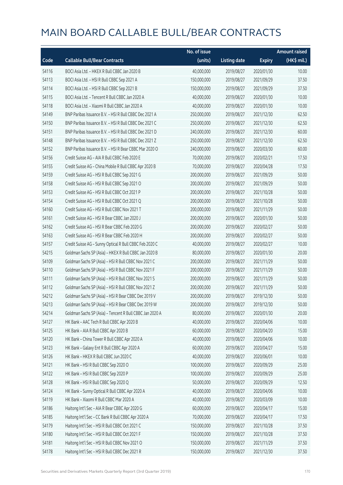|       |                                                          | No. of issue |                     |               | <b>Amount raised</b> |
|-------|----------------------------------------------------------|--------------|---------------------|---------------|----------------------|
| Code  | <b>Callable Bull/Bear Contracts</b>                      | (units)      | <b>Listing date</b> | <b>Expiry</b> | (HK\$ mil.)          |
| 54116 | BOCI Asia Ltd. - HKEX R Bull CBBC Jan 2020 B             | 40,000,000   | 2019/08/27          | 2020/01/30    | 10.00                |
| 54113 | BOCI Asia Ltd. - HSI R Bull CBBC Sep 2021 A              | 150,000,000  | 2019/08/27          | 2021/09/29    | 37.50                |
| 54114 | BOCI Asia Ltd. - HSI R Bull CBBC Sep 2021 B              | 150,000,000  | 2019/08/27          | 2021/09/29    | 37.50                |
| 54115 | BOCI Asia Ltd. - Tencent R Bull CBBC Jan 2020 A          | 40,000,000   | 2019/08/27          | 2020/01/30    | 10.00                |
| 54118 | BOCI Asia Ltd. - Xiaomi R Bull CBBC Jan 2020 A           | 40,000,000   | 2019/08/27          | 2020/01/30    | 10.00                |
| 54149 | BNP Paribas Issuance B.V. - HSI R Bull CBBC Dec 2021 A   | 250,000,000  | 2019/08/27          | 2021/12/30    | 62.50                |
| 54150 | BNP Paribas Issuance B.V. - HSI R Bull CBBC Dec 2021 C   | 250,000,000  | 2019/08/27          | 2021/12/30    | 62.50                |
| 54151 | BNP Paribas Issuance B.V. - HSI R Bull CBBC Dec 2021 D   | 240,000,000  | 2019/08/27          | 2021/12/30    | 60.00                |
| 54148 | BNP Paribas Issuance B.V. - HSI R Bull CBBC Dec 2021 Z   | 250,000,000  | 2019/08/27          | 2021/12/30    | 62.50                |
| 54152 | BNP Paribas Issuance B.V. - HSI R Bear CBBC Mar 2020 O   | 240,000,000  | 2019/08/27          | 2020/03/30    | 60.00                |
| 54156 | Credit Suisse AG - AIA R Bull CBBC Feb 2020 E            | 70,000,000   | 2019/08/27          | 2020/02/21    | 17.50                |
| 54155 | Credit Suisse AG - China Mobile R Bull CBBC Apr 2020 B   | 70,000,000   | 2019/08/27          | 2020/04/28    | 17.50                |
| 54159 | Credit Suisse AG - HSI R Bull CBBC Sep 2021 G            | 200,000,000  | 2019/08/27          | 2021/09/29    | 50.00                |
| 54158 | Credit Suisse AG - HSI R Bull CBBC Sep 2021 O            | 200,000,000  | 2019/08/27          | 2021/09/29    | 50.00                |
| 54153 | Credit Suisse AG - HSI R Bull CBBC Oct 2021 P            | 200,000,000  | 2019/08/27          | 2021/10/28    | 50.00                |
| 54154 | Credit Suisse AG - HSI R Bull CBBC Oct 2021 Q            | 200,000,000  | 2019/08/27          | 2021/10/28    | 50.00                |
| 54160 | Credit Suisse AG - HSI R Bull CBBC Nov 2021 T            | 200,000,000  | 2019/08/27          | 2021/11/29    | 50.00                |
| 54161 | Credit Suisse AG - HSI R Bear CBBC Jan 2020 J            | 200,000,000  | 2019/08/27          | 2020/01/30    | 50.00                |
| 54162 | Credit Suisse AG - HSI R Bear CBBC Feb 2020 G            | 200,000,000  | 2019/08/27          | 2020/02/27    | 50.00                |
| 54163 | Credit Suisse AG - HSI R Bear CBBC Feb 2020 H            | 200,000,000  | 2019/08/27          | 2020/02/27    | 50.00                |
| 54157 | Credit Suisse AG - Sunny Optical R Bull CBBC Feb 2020 C  | 40,000,000   | 2019/08/27          | 2020/02/27    | 10.00                |
| 54215 | Goldman Sachs SP (Asia) - HKEX R Bull CBBC Jan 2020 B    | 80,000,000   | 2019/08/27          | 2020/01/30    | 20.00                |
| 54109 | Goldman Sachs SP (Asia) - HSI R Bull CBBC Nov 2021 C     | 200,000,000  | 2019/08/27          | 2021/11/29    | 50.00                |
| 54110 | Goldman Sachs SP (Asia) - HSI R Bull CBBC Nov 2021 F     | 200,000,000  | 2019/08/27          | 2021/11/29    | 50.00                |
| 54111 | Goldman Sachs SP (Asia) - HSI R Bull CBBC Nov 2021 S     | 200,000,000  | 2019/08/27          | 2021/11/29    | 50.00                |
| 54112 | Goldman Sachs SP (Asia) - HSI R Bull CBBC Nov 2021 Z     | 200,000,000  | 2019/08/27          | 2021/11/29    | 50.00                |
| 54212 | Goldman Sachs SP (Asia) - HSI R Bear CBBC Dec 2019 V     | 200,000,000  | 2019/08/27          | 2019/12/30    | 50.00                |
| 54213 | Goldman Sachs SP (Asia) - HSI R Bear CBBC Dec 2019 W     | 200,000,000  | 2019/08/27          | 2019/12/30    | 50.00                |
| 54214 | Goldman Sachs SP (Asia) - Tencent R Bull CBBC Jan 2020 A | 80,000,000   | 2019/08/27          | 2020/01/30    | 20.00                |
| 54127 | HK Bank - AAC Tech R Bull CBBC Apr 2020 B                | 40,000,000   | 2019/08/27          | 2020/04/06    | 10.00                |
| 54125 | HK Bank - AIA R Bull CBBC Apr 2020 B                     | 60,000,000   | 2019/08/27          | 2020/04/20    | 15.00                |
| 54120 | HK Bank - China Tower R Bull CBBC Apr 2020 A             | 40,000,000   | 2019/08/27          | 2020/04/06    | 10.00                |
| 54123 | HK Bank - Galaxy Ent R Bull CBBC Apr 2020 A              | 60,000,000   | 2019/08/27          | 2020/04/27    | 15.00                |
| 54126 | HK Bank - HKEX R Bull CBBC Jun 2020 C                    | 40,000,000   | 2019/08/27          | 2020/06/01    | 10.00                |
| 54121 | HK Bank - HSI R Bull CBBC Sep 2020 O                     | 100,000,000  | 2019/08/27          | 2020/09/29    | 25.00                |
| 54122 | HK Bank - HSI R Bull CBBC Sep 2020 P                     | 100,000,000  | 2019/08/27          | 2020/09/29    | 25.00                |
| 54128 | HK Bank - HSI R Bull CBBC Sep 2020 Q                     | 50,000,000   | 2019/08/27          | 2020/09/29    | 12.50                |
| 54124 | HK Bank - Sunny Optical R Bull CBBC Apr 2020 A           | 40,000,000   | 2019/08/27          | 2020/04/06    | 10.00                |
| 54119 | HK Bank - Xiaomi R Bull CBBC Mar 2020 A                  | 40,000,000   | 2019/08/27          | 2020/03/09    | 10.00                |
| 54186 | Haitong Int'l Sec - AIA R Bear CBBC Apr 2020 G           | 60,000,000   | 2019/08/27          | 2020/04/17    | 15.00                |
| 54185 | Haitong Int'l Sec - CC Bank R Bull CBBC Apr 2020 A       | 70,000,000   | 2019/08/27          | 2020/04/17    | 17.50                |
| 54179 | Haitong Int'l Sec - HSI R Bull CBBC Oct 2021 C           | 150,000,000  | 2019/08/27          | 2021/10/28    | 37.50                |
| 54180 | Haitong Int'l Sec - HSI R Bull CBBC Oct 2021 F           | 150,000,000  | 2019/08/27          | 2021/10/28    | 37.50                |
| 54181 | Haitong Int'l Sec - HSI R Bull CBBC Nov 2021 O           | 150,000,000  | 2019/08/27          | 2021/11/29    | 37.50                |
| 54178 | Haitong Int'l Sec - HSI R Bull CBBC Dec 2021 R           | 150,000,000  | 2019/08/27          | 2021/12/30    | 37.50                |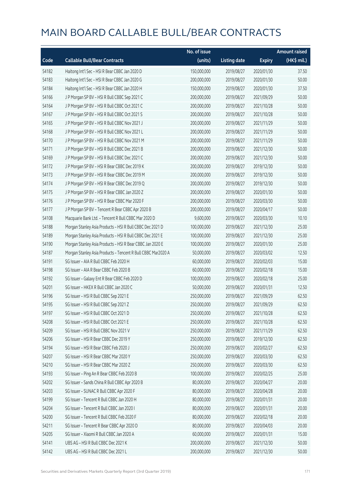|       |                                                              | No. of issue |                     |               | <b>Amount raised</b> |
|-------|--------------------------------------------------------------|--------------|---------------------|---------------|----------------------|
| Code  | <b>Callable Bull/Bear Contracts</b>                          | (units)      | <b>Listing date</b> | <b>Expiry</b> | (HK\$ mil.)          |
| 54182 | Haitong Int'l Sec - HSI R Bear CBBC Jan 2020 D               | 150,000,000  | 2019/08/27          | 2020/01/30    | 37.50                |
| 54183 | Haitong Int'l Sec - HSI R Bear CBBC Jan 2020 G               | 200,000,000  | 2019/08/27          | 2020/01/30    | 50.00                |
| 54184 | Haitong Int'l Sec - HSI R Bear CBBC Jan 2020 H               | 150,000,000  | 2019/08/27          | 2020/01/30    | 37.50                |
| 54166 | J P Morgan SP BV - HSI R Bull CBBC Sep 2021 C                | 200,000,000  | 2019/08/27          | 2021/09/29    | 50.00                |
| 54164 | J P Morgan SP BV - HSI R Bull CBBC Oct 2021 C                | 200,000,000  | 2019/08/27          | 2021/10/28    | 50.00                |
| 54167 | J P Morgan SP BV - HSI R Bull CBBC Oct 2021 S                | 200,000,000  | 2019/08/27          | 2021/10/28    | 50.00                |
| 54165 | J P Morgan SP BV - HSI R Bull CBBC Nov 2021 J                | 200,000,000  | 2019/08/27          | 2021/11/29    | 50.00                |
| 54168 | J P Morgan SP BV - HSI R Bull CBBC Nov 2021 L                | 200,000,000  | 2019/08/27          | 2021/11/29    | 50.00                |
| 54170 | J P Morgan SP BV - HSI R Bull CBBC Nov 2021 M                | 200,000,000  | 2019/08/27          | 2021/11/29    | 50.00                |
| 54171 | J P Morgan SP BV - HSI R Bull CBBC Dec 2021 B                | 200,000,000  | 2019/08/27          | 2021/12/30    | 50.00                |
| 54169 | J P Morgan SP BV - HSI R Bull CBBC Dec 2021 C                | 200,000,000  | 2019/08/27          | 2021/12/30    | 50.00                |
| 54172 | J P Morgan SP BV - HSI R Bear CBBC Dec 2019 K                | 200,000,000  | 2019/08/27          | 2019/12/30    | 50.00                |
| 54173 | J P Morgan SP BV - HSI R Bear CBBC Dec 2019 M                | 200,000,000  | 2019/08/27          | 2019/12/30    | 50.00                |
| 54174 | J P Morgan SP BV - HSI R Bear CBBC Dec 2019 Q                | 200,000,000  | 2019/08/27          | 2019/12/30    | 50.00                |
| 54175 | J P Morgan SP BV - HSI R Bear CBBC Jan 2020 Z                | 200,000,000  | 2019/08/27          | 2020/01/30    | 50.00                |
| 54176 | J P Morgan SP BV - HSI R Bear CBBC Mar 2020 F                | 200,000,000  | 2019/08/27          | 2020/03/30    | 50.00                |
| 54177 | J P Morgan SP BV - Tencent R Bear CBBC Apr 2020 B            | 200,000,000  | 2019/08/27          | 2020/04/17    | 50.00                |
| 54108 | Macquarie Bank Ltd. - Tencent R Bull CBBC Mar 2020 D         | 9,600,000    | 2019/08/27          | 2020/03/30    | 10.10                |
| 54188 | Morgan Stanley Asia Products - HSI R Bull CBBC Dec 2021 D    | 100,000,000  | 2019/08/27          | 2021/12/30    | 25.00                |
| 54189 | Morgan Stanley Asia Products - HSI R Bull CBBC Dec 2021 E    | 100,000,000  | 2019/08/27          | 2021/12/30    | 25.00                |
| 54190 | Morgan Stanley Asia Products - HSI R Bear CBBC Jan 2020 E    | 100,000,000  | 2019/08/27          | 2020/01/30    | 25.00                |
| 54187 | Morgan Stanley Asia Products - Tencent R Bull CBBC Mar2020 A | 50,000,000   | 2019/08/27          | 2020/03/02    | 12.50                |
| 54191 | SG Issuer - AIA R Bull CBBC Feb 2020 H                       | 60,000,000   | 2019/08/27          | 2020/02/03    | 15.00                |
| 54198 | SG Issuer - AIA R Bear CBBC Feb 2020 B                       | 60,000,000   | 2019/08/27          | 2020/02/18    | 15.00                |
| 54192 | SG Issuer - Galaxy Ent R Bear CBBC Feb 2020 D                | 100,000,000  | 2019/08/27          | 2020/02/18    | 25.00                |
| 54201 | SG Issuer - HKEX R Bull CBBC Jan 2020 C                      | 50,000,000   | 2019/08/27          | 2020/01/31    | 12.50                |
| 54196 | SG Issuer - HSI R Bull CBBC Sep 2021 E                       | 250,000,000  | 2019/08/27          | 2021/09/29    | 62.50                |
| 54195 | SG Issuer - HSI R Bull CBBC Sep 2021 Z                       | 250,000,000  | 2019/08/27          | 2021/09/29    | 62.50                |
| 54197 | SG Issuer - HSI R Bull CBBC Oct 2021 D                       | 250,000,000  | 2019/08/27          | 2021/10/28    | 62.50                |
| 54208 | SG Issuer - HSI R Bull CBBC Oct 2021 E                       | 250,000,000  | 2019/08/27          | 2021/10/28    | 62.50                |
| 54209 | SG Issuer - HSI R Bull CBBC Nov 2021 V                       | 250,000,000  | 2019/08/27          | 2021/11/29    | 62.50                |
| 54206 | SG Issuer - HSI R Bear CBBC Dec 2019 Y                       | 250,000,000  | 2019/08/27          | 2019/12/30    | 62.50                |
| 54194 | SG Issuer - HSI R Bear CBBC Feb 2020 J                       | 250,000,000  | 2019/08/27          | 2020/02/27    | 62.50                |
| 54207 | SG Issuer - HSI R Bear CBBC Mar 2020 Y                       | 250,000,000  | 2019/08/27          | 2020/03/30    | 62.50                |
| 54210 | SG Issuer - HSI R Bear CBBC Mar 2020 Z                       | 250,000,000  | 2019/08/27          | 2020/03/30    | 62.50                |
| 54193 | SG Issuer - Ping An R Bear CBBC Feb 2020 B                   | 100,000,000  | 2019/08/27          | 2020/02/25    | 25.00                |
| 54202 | SG Issuer - Sands China R Bull CBBC Apr 2020 B               | 80,000,000   | 2019/08/27          | 2020/04/27    | 20.00                |
| 54203 | SG Issuer - SUNAC R Bull CBBC Apr 2020 F                     | 80,000,000   | 2019/08/27          | 2020/04/28    | 20.00                |
| 54199 | SG Issuer - Tencent R Bull CBBC Jan 2020 H                   | 80,000,000   | 2019/08/27          | 2020/01/31    | 20.00                |
| 54204 | SG Issuer - Tencent R Bull CBBC Jan 2020 I                   | 80,000,000   | 2019/08/27          | 2020/01/31    | 20.00                |
| 54200 | SG Issuer - Tencent R Bull CBBC Feb 2020 F                   | 80,000,000   | 2019/08/27          | 2020/02/18    | 20.00                |
| 54211 | SG Issuer - Tencent R Bear CBBC Apr 2020 D                   | 80,000,000   | 2019/08/27          | 2020/04/03    | 20.00                |
| 54205 | SG Issuer - Xiaomi R Bull CBBC Jan 2020 A                    | 60,000,000   | 2019/08/27          | 2020/01/31    | 15.00                |
| 54141 | UBS AG - HSI R Bull CBBC Dec 2021 K                          | 200,000,000  | 2019/08/27          | 2021/12/30    | 50.00                |
| 54142 | UBS AG - HSI R Bull CBBC Dec 2021 L                          | 200,000,000  | 2019/08/27          | 2021/12/30    | 50.00                |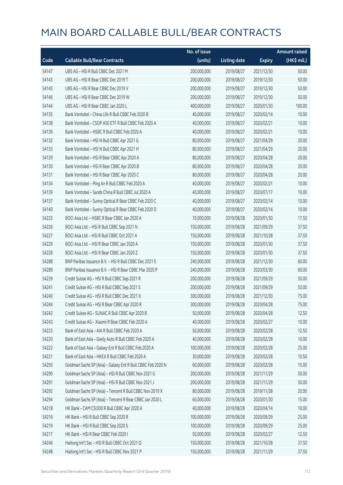|       |                                                             | No. of issue |                     |               | <b>Amount raised</b> |
|-------|-------------------------------------------------------------|--------------|---------------------|---------------|----------------------|
| Code  | <b>Callable Bull/Bear Contracts</b>                         | (units)      | <b>Listing date</b> | <b>Expiry</b> | (HK\$ mil.)          |
| 54147 | UBS AG - HSI R Bull CBBC Dec 2021 M                         | 200,000,000  | 2019/08/27          | 2021/12/30    | 50.00                |
| 54143 | UBS AG - HSI R Bear CBBC Dec 2019 T                         | 200,000,000  | 2019/08/27          | 2019/12/30    | 50.00                |
| 54145 | UBS AG - HSI R Bear CBBC Dec 2019 V                         | 200,000,000  | 2019/08/27          | 2019/12/30    | 50.00                |
| 54146 | UBS AG - HSI R Bear CBBC Dec 2019 W                         | 200,000,000  | 2019/08/27          | 2019/12/30    | 50.00                |
| 54144 | UBS AG - HSI R Bear CBBC Jan 2020 L                         | 400,000,000  | 2019/08/27          | 2020/01/30    | 100.00               |
| 54135 | Bank Vontobel - China Life R Bull CBBC Feb 2020 B           | 40,000,000   | 2019/08/27          | 2020/02/14    | 10.00                |
| 54138 | Bank Vontobel - CSOP A50 ETF R Bull CBBC Feb 2020 A         | 40,000,000   | 2019/08/27          | 2020/02/21    | 10.00                |
| 54136 | Bank Vontobel - HSBC R Bull CBBC Feb 2020 A                 | 40,000,000   | 2019/08/27          | 2020/02/21    | 10.00                |
| 54132 | Bank Vontobel - HSI N Bull CBBC Apr 2021 G                  | 80,000,000   | 2019/08/27          | 2021/04/29    | 20.00                |
| 54133 | Bank Vontobel - HSI N Bull CBBC Apr 2021 H                  | 80,000,000   | 2019/08/27          | 2021/04/29    | 20.00                |
| 54129 | Bank Vontobel - HSI R Bear CBBC Apr 2020 A                  | 80,000,000   | 2019/08/27          | 2020/04/28    | 20.00                |
| 54130 | Bank Vontobel - HSI R Bear CBBC Apr 2020 B                  | 80,000,000   | 2019/08/27          | 2020/04/28    | 20.00                |
| 54131 | Bank Vontobel - HSI R Bear CBBC Apr 2020 C                  | 80,000,000   | 2019/08/27          | 2020/04/28    | 20.00                |
| 54134 | Bank Vontobel - Ping An R Bull CBBC Feb 2020 A              | 40,000,000   | 2019/08/27          | 2020/02/21    | 10.00                |
| 54139 | Bank Vontobel - Sands China R Bull CBBC Jul 2020 A          | 40,000,000   | 2019/08/27          | 2020/07/17    | 10.00                |
| 54137 | Bank Vontobel - Sunny Optical R Bear CBBC Feb 2020 C        | 40,000,000   | 2019/08/27          | 2020/02/14    | 10.00                |
| 54140 | Bank Vontobel - Sunny Optical R Bear CBBC Feb 2020 D        | 40,000,000   | 2019/08/27          | 2020/02/14    | 10.00                |
| 54225 | BOCI Asia Ltd. - HSBC R Bear CBBC Jan 2020 A                | 70,000,000   | 2019/08/28          | 2020/01/30    | 17.50                |
| 54226 | BOCI Asia Ltd. - HSI R Bull CBBC Sep 2021 N                 | 150,000,000  | 2019/08/28          | 2021/09/29    | 37.50                |
| 54227 | BOCI Asia Ltd. - HSI R Bull CBBC Oct 2021 A                 | 150,000,000  | 2019/08/28          | 2021/10/28    | 37.50                |
| 54229 | BOCI Asia Ltd. - HSI R Bear CBBC Jan 2020 A                 | 150,000,000  | 2019/08/28          | 2020/01/30    | 37.50                |
| 54228 | BOCI Asia Ltd. - HSI R Bear CBBC Jan 2020 Z                 | 150,000,000  | 2019/08/28          | 2020/01/30    | 37.50                |
| 54288 | BNP Paribas Issuance B.V. - HSI R Bull CBBC Dec 2021 E      | 240,000,000  | 2019/08/28          | 2021/12/30    | 60.00                |
| 54289 | BNP Paribas Issuance B.V. - HSI R Bear CBBC Mar 2020 P      | 240,000,000  | 2019/08/28          | 2020/03/30    | 60.00                |
| 54239 | Credit Suisse AG - HSI R Bull CBBC Sep 2021 R               | 200,000,000  | 2019/08/28          | 2021/09/29    | 50.00                |
| 54241 | Credit Suisse AG - HSI R Bull CBBC Sep 2021 S               | 200,000,000  | 2019/08/28          | 2021/09/29    | 50.00                |
| 54240 | Credit Suisse AG - HSI R Bull CBBC Dec 2021 X               | 300,000,000  | 2019/08/28          | 2021/12/30    | 75.00                |
| 54244 | Credit Suisse AG - HSI R Bear CBBC Apr 2020 R               | 300,000,000  | 2019/08/28          | 2020/04/28    | 75.00                |
| 54242 | Credit Suisse AG - SUNAC R Bull CBBC Apr 2020 B             | 50,000,000   | 2019/08/28          | 2020/04/28    | 12.50                |
| 54243 | Credit Suisse AG - Xiaomi R Bear CBBC Feb 2020 A            | 40,000,000   | 2019/08/28          | 2020/02/27    | 10.00                |
| 54223 | Bank of East Asia - AIA R Bull CBBC Feb 2020 A              | 50,000,000   | 2019/08/28          | 2020/02/28    | 12.50                |
| 54220 | Bank of East Asia - Geely Auto R Bull CBBC Feb 2020 A       | 40,000,000   | 2019/08/28          | 2020/02/28    | 10.00                |
| 54222 | Bank of East Asia - Galaxy Ent R Bull CBBC Feb 2020 A       | 100,000,000  | 2019/08/28          | 2020/02/28    | 25.00                |
| 54221 | Bank of East Asia - HKEX R Bull CBBC Feb 2020 A             | 30,000,000   | 2019/08/28          | 2020/02/28    | 10.50                |
| 54293 | Goldman Sachs SP (Asia) - Galaxy Ent R Bull CBBC Feb 2020 N | 60,000,000   | 2019/08/28          | 2020/02/28    | 15.00                |
| 54290 | Goldman Sachs SP (Asia) - HSI R Bull CBBC Nov 2021 G        | 200,000,000  | 2019/08/28          | 2021/11/29    | 50.00                |
| 54291 | Goldman Sachs SP (Asia) - HSI R Bull CBBC Nov 2021 J        | 200,000,000  | 2019/08/28          | 2021/11/29    | 50.00                |
| 54292 | Goldman Sachs SP (Asia) - Tencent R Bull CBBC Nov 2019 X    | 80,000,000   | 2019/08/28          | 2019/11/28    | 20.00                |
| 54294 | Goldman Sachs SP (Asia) - Tencent R Bear CBBC Jan 2020 L    | 60,000,000   | 2019/08/28          | 2020/01/30    | 15.00                |
| 54218 | HK Bank - CAM CSI300 R Bull CBBC Apr 2020 A                 | 40,000,000   | 2019/08/28          | 2020/04/14    | 10.00                |
| 54216 | HK Bank - HSI R Bull CBBC Sep 2020 R                        | 100,000,000  | 2019/08/28          | 2020/09/29    | 25.00                |
| 54219 | HK Bank - HSI R Bull CBBC Sep 2020 S                        | 100,000,000  | 2019/08/28          | 2020/09/29    | 25.00                |
| 54217 | HK Bank - HSI R Bear CBBC Feb 2020 I                        | 50,000,000   | 2019/08/28          | 2020/02/27    | 12.50                |
| 54246 | Haitong Int'l Sec - HSI R Bull CBBC Oct 2021 Q              | 150,000,000  | 2019/08/28          | 2021/10/28    | 37.50                |
| 54248 | Haitong Int'l Sec - HSI R Bull CBBC Nov 2021 P              | 150,000,000  | 2019/08/28          | 2021/11/29    | 37.50                |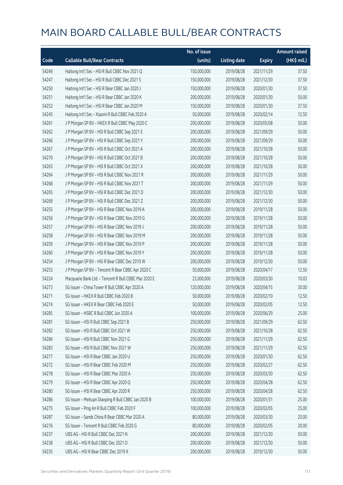|       |                                                      | No. of issue |                     |               | <b>Amount raised</b> |
|-------|------------------------------------------------------|--------------|---------------------|---------------|----------------------|
| Code  | <b>Callable Bull/Bear Contracts</b>                  | (units)      | <b>Listing date</b> | <b>Expiry</b> | (HK\$ mil.)          |
| 54249 | Haitong Int'l Sec - HSI R Bull CBBC Nov 2021 Q       | 150,000,000  | 2019/08/28          | 2021/11/29    | 37.50                |
| 54247 | Haitong Int'l Sec - HSI R Bull CBBC Dec 2021 S       | 150,000,000  | 2019/08/28          | 2021/12/30    | 37.50                |
| 54250 | Haitong Int'l Sec - HSI R Bear CBBC Jan 2020 J       | 150,000,000  | 2019/08/28          | 2020/01/30    | 37.50                |
| 54251 | Haitong Int'l Sec - HSI R Bear CBBC Jan 2020 K       | 200,000,000  | 2019/08/28          | 2020/01/30    | 50.00                |
| 54252 | Haitong Int'l Sec - HSI R Bear CBBC Jan 2020 M       | 150,000,000  | 2019/08/28          | 2020/01/30    | 37.50                |
| 54245 | Haitong Int'l Sec - Xiaomi R Bull CBBC Feb 2020 A    | 50,000,000   | 2019/08/28          | 2020/02/14    | 12.50                |
| 54261 | J P Morgan SP BV - HKEX R Bull CBBC May 2020 C       | 200,000,000  | 2019/08/28          | 2020/05/08    | 50.00                |
| 54262 | J P Morgan SP BV - HSI R Bull CBBC Sep 2021 E        | 200,000,000  | 2019/08/28          | 2021/09/29    | 50.00                |
| 54266 | J P Morgan SP BV - HSI R Bull CBBC Sep 2021 Y        | 200,000,000  | 2019/08/28          | 2021/09/29    | 50.00                |
| 54267 | J P Morgan SP BV - HSI R Bull CBBC Oct 2021 A        | 200,000,000  | 2019/08/28          | 2021/10/28    | 50.00                |
| 54270 | J P Morgan SP BV - HSI R Bull CBBC Oct 2021 B        | 200,000,000  | 2019/08/28          | 2021/10/28    | 50.00                |
| 54263 | J P Morgan SP BV - HSI R Bull CBBC Oct 2021 X        | 200,000,000  | 2019/08/28          | 2021/10/28    | 50.00                |
| 54264 | J P Morgan SP BV - HSI R Bull CBBC Nov 2021 R        | 200,000,000  | 2019/08/28          | 2021/11/29    | 50.00                |
| 54268 | J P Morgan SP BV - HSI R Bull CBBC Nov 2021 T        | 200,000,000  | 2019/08/28          | 2021/11/29    | 50.00                |
| 54265 | J P Morgan SP BV - HSI R Bull CBBC Dec 2021 D        | 200,000,000  | 2019/08/28          | 2021/12/30    | 50.00                |
| 54269 | J P Morgan SP BV - HSI R Bull CBBC Dec 2021 Z        | 200,000,000  | 2019/08/28          | 2021/12/30    | 50.00                |
| 54255 | J P Morgan SP BV - HSI R Bear CBBC Nov 2019 A        | 200,000,000  | 2019/08/28          | 2019/11/28    | 50.00                |
| 54256 | J P Morgan SP BV - HSI R Bear CBBC Nov 2019 G        | 200,000,000  | 2019/08/28          | 2019/11/28    | 50.00                |
| 54257 | J P Morgan SP BV - HSI R Bear CBBC Nov 2019 J        | 200,000,000  | 2019/08/28          | 2019/11/28    | 50.00                |
| 54258 | J P Morgan SP BV - HSI R Bear CBBC Nov 2019 M        | 200,000,000  | 2019/08/28          | 2019/11/28    | 50.00                |
| 54259 | J P Morgan SP BV - HSI R Bear CBBC Nov 2019 P        | 200,000,000  | 2019/08/28          | 2019/11/28    | 50.00                |
| 54260 | J P Morgan SP BV - HSI R Bear CBBC Nov 2019 Y        | 200,000,000  | 2019/08/28          | 2019/11/28    | 50.00                |
| 54254 | J P Morgan SP BV - HSI R Bear CBBC Dec 2019 W        | 200,000,000  | 2019/08/28          | 2019/12/30    | 50.00                |
| 54253 | J P Morgan SP BV - Tencent R Bear CBBC Apr 2020 C    | 50,000,000   | 2019/08/28          | 2020/04/17    | 12.50                |
| 54224 | Macquarie Bank Ltd. - Tencent R Bull CBBC Mar 2020 E | 23,000,000   | 2019/08/28          | 2020/03/30    | 10.03                |
| 54273 | SG Issuer - China Tower R Bull CBBC Apr 2020 A       | 120,000,000  | 2019/08/28          | 2020/04/15    | 30.00                |
| 54271 | SG Issuer - HKEX R Bull CBBC Feb 2020 B              | 50,000,000   | 2019/08/28          | 2020/02/10    | 12.50                |
| 54274 | SG Issuer - HKEX R Bear CBBC Feb 2020 E              | 50,000,000   | 2019/08/28          | 2020/02/05    | 12.50                |
| 54285 | SG Issuer - HSBC R Bull CBBC Jun 2020 A              | 100,000,000  | 2019/08/28          | 2020/06/29    | 25.00                |
| 54281 | SG Issuer - HSI R Bull CBBC Sep 2021 B               | 250,000,000  | 2019/08/28          | 2021/09/29    | 62.50                |
| 54282 | SG Issuer - HSI R Bull CBBC Oct 2021 W               | 250,000,000  | 2019/08/28          | 2021/10/28    | 62.50                |
| 54284 | SG Issuer - HSI R Bull CBBC Nov 2021 G               | 250,000,000  | 2019/08/28          | 2021/11/29    | 62.50                |
| 54283 | SG Issuer - HSI R Bull CBBC Nov 2021 W               | 250,000,000  | 2019/08/28          | 2021/11/29    | 62.50                |
| 54277 | SG Issuer - HSI R Bear CBBC Jan 2020 U               | 250,000,000  | 2019/08/28          | 2020/01/30    | 62.50                |
| 54272 | SG Issuer - HSI R Bear CBBC Feb 2020 M               | 250,000,000  | 2019/08/28          | 2020/02/27    | 62.50                |
| 54278 | SG Issuer - HSI R Bear CBBC Mar 2020 A               | 250,000,000  | 2019/08/28          | 2020/03/30    | 62.50                |
| 54279 | SG Issuer - HSI R Bear CBBC Apr 2020 Q               | 250,000,000  | 2019/08/28          | 2020/04/28    | 62.50                |
| 54280 | SG Issuer - HSI R Bear CBBC Apr 2020 R               | 250,000,000  | 2019/08/28          | 2020/04/28    | 62.50                |
| 54286 | SG Issuer - Meituan Dianping R Bull CBBC Jan 2020 B  | 100,000,000  | 2019/08/28          | 2020/01/31    | 25.00                |
| 54275 | SG Issuer - Ping An R Bull CBBC Feb 2020 F           | 100,000,000  | 2019/08/28          | 2020/02/05    | 25.00                |
| 54287 | SG Issuer - Sands China R Bear CBBC Mar 2020 A       | 80,000,000   | 2019/08/28          | 2020/03/30    | 20.00                |
| 54276 | SG Issuer - Tencent R Bull CBBC Feb 2020 G           | 80,000,000   | 2019/08/28          | 2020/02/05    | 20.00                |
| 54237 | UBS AG - HSI R Bull CBBC Dec 2021 N                  | 200,000,000  | 2019/08/28          | 2021/12/30    | 50.00                |
| 54238 | UBS AG - HSI R Bull CBBC Dec 2021 O                  | 200,000,000  | 2019/08/28          | 2021/12/30    | 50.00                |
| 54235 | UBS AG - HSI R Bear CBBC Dec 2019 X                  | 200,000,000  | 2019/08/28          | 2019/12/30    | 50.00                |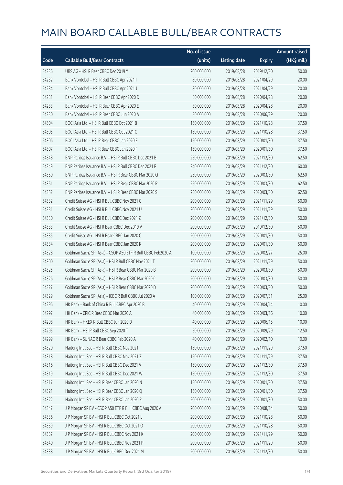|       |                                                              | No. of issue |                     |               | <b>Amount raised</b> |
|-------|--------------------------------------------------------------|--------------|---------------------|---------------|----------------------|
| Code  | <b>Callable Bull/Bear Contracts</b>                          | (units)      | <b>Listing date</b> | <b>Expiry</b> | (HK\$ mil.)          |
| 54236 | UBS AG - HSI R Bear CBBC Dec 2019 Y                          | 200,000,000  | 2019/08/28          | 2019/12/30    | 50.00                |
| 54232 | Bank Vontobel - HSI R Bull CBBC Apr 2021 I                   | 80,000,000   | 2019/08/28          | 2021/04/29    | 20.00                |
| 54234 | Bank Vontobel - HSI R Bull CBBC Apr 2021 J                   | 80,000,000   | 2019/08/28          | 2021/04/29    | 20.00                |
| 54231 | Bank Vontobel - HSI R Bear CBBC Apr 2020 D                   | 80,000,000   | 2019/08/28          | 2020/04/28    | 20.00                |
| 54233 | Bank Vontobel - HSI R Bear CBBC Apr 2020 E                   | 80,000,000   | 2019/08/28          | 2020/04/28    | 20.00                |
| 54230 | Bank Vontobel - HSI R Bear CBBC Jun 2020 A                   | 80,000,000   | 2019/08/28          | 2020/06/29    | 20.00                |
| 54304 | BOCI Asia Ltd. - HSI R Bull CBBC Oct 2021 B                  | 150,000,000  | 2019/08/29          | 2021/10/28    | 37.50                |
| 54305 | BOCI Asia Ltd. - HSI R Bull CBBC Oct 2021 C                  | 150,000,000  | 2019/08/29          | 2021/10/28    | 37.50                |
| 54306 | BOCI Asia Ltd. - HSI R Bear CBBC Jan 2020 E                  | 150,000,000  | 2019/08/29          | 2020/01/30    | 37.50                |
| 54307 | BOCI Asia Ltd. - HSI R Bear CBBC Jan 2020 F                  | 150,000,000  | 2019/08/29          | 2020/01/30    | 37.50                |
| 54348 | BNP Paribas Issuance B.V. - HSI R Bull CBBC Dec 2021 B       | 250,000,000  | 2019/08/29          | 2021/12/30    | 62.50                |
| 54349 | BNP Paribas Issuance B.V. - HSI R Bull CBBC Dec 2021 F       | 240,000,000  | 2019/08/29          | 2021/12/30    | 60.00                |
| 54350 | BNP Paribas Issuance B.V. - HSI R Bear CBBC Mar 2020 O       | 250,000,000  | 2019/08/29          | 2020/03/30    | 62.50                |
| 54351 | BNP Paribas Issuance B.V. - HSI R Bear CBBC Mar 2020 R       | 250,000,000  | 2019/08/29          | 2020/03/30    | 62.50                |
| 54352 | BNP Paribas Issuance B.V. - HSI R Bear CBBC Mar 2020 S       | 250,000,000  | 2019/08/29          | 2020/03/30    | 62.50                |
| 54332 | Credit Suisse AG - HSI R Bull CBBC Nov 2021 C                | 200,000,000  | 2019/08/29          | 2021/11/29    | 50.00                |
| 54331 | Credit Suisse AG - HSI R Bull CBBC Nov 2021 U                | 200,000,000  | 2019/08/29          | 2021/11/29    | 50.00                |
| 54330 | Credit Suisse AG - HSI R Bull CBBC Dec 2021 Z                | 200,000,000  | 2019/08/29          | 2021/12/30    | 50.00                |
| 54333 | Credit Suisse AG - HSI R Bear CBBC Dec 2019 V                | 200,000,000  | 2019/08/29          | 2019/12/30    | 50.00                |
| 54335 | Credit Suisse AG - HSI R Bear CBBC Jan 2020 C                | 200,000,000  | 2019/08/29          | 2020/01/30    | 50.00                |
| 54334 | Credit Suisse AG - HSI R Bear CBBC Jan 2020 K                | 200,000,000  | 2019/08/29          | 2020/01/30    | 50.00                |
| 54328 | Goldman Sachs SP (Asia) - CSOP A50 ETF R Bull CBBC Feb2020 A | 100,000,000  | 2019/08/29          | 2020/02/27    | 25.00                |
| 54300 | Goldman Sachs SP (Asia) - HSI R Bull CBBC Nov 2021 T         | 200,000,000  | 2019/08/29          | 2021/11/29    | 50.00                |
| 54325 | Goldman Sachs SP (Asia) - HSI R Bear CBBC Mar 2020 B         | 200,000,000  | 2019/08/29          | 2020/03/30    | 50.00                |
| 54326 | Goldman Sachs SP (Asia) - HSI R Bear CBBC Mar 2020 C         | 200,000,000  | 2019/08/29          | 2020/03/30    | 50.00                |
| 54327 | Goldman Sachs SP (Asia) - HSI R Bear CBBC Mar 2020 D         | 200,000,000  | 2019/08/29          | 2020/03/30    | 50.00                |
| 54329 | Goldman Sachs SP (Asia) - ICBC R Bull CBBC Jul 2020 A        | 100,000,000  | 2019/08/29          | 2020/07/31    | 25.00                |
| 54296 | HK Bank - Bank of China R Bull CBBC Apr 2020 B               | 40,000,000   | 2019/08/29          | 2020/04/14    | 10.00                |
| 54297 | HK Bank - CPIC R Bear CBBC Mar 2020 A                        | 40,000,000   | 2019/08/29          | 2020/03/16    | 10.00                |
| 54298 | HK Bank - HKEX R Bull CBBC Jun 2020 D                        | 40,000,000   | 2019/08/29          | 2020/06/15    | 10.00                |
| 54295 | HK Bank - HSI R Bull CBBC Sep 2020 T                         | 50,000,000   | 2019/08/29          | 2020/09/29    | 12.50                |
| 54299 | HK Bank - SUNAC R Bear CBBC Feb 2020 A                       | 40,000,000   | 2019/08/29          | 2020/02/10    | 10.00                |
| 54320 | Haitong Int'l Sec - HSI R Bull CBBC Nov 2021 I               | 150,000,000  | 2019/08/29          | 2021/11/29    | 37.50                |
| 54318 | Haitong Int'l Sec - HSI R Bull CBBC Nov 2021 Z               | 150,000,000  | 2019/08/29          | 2021/11/29    | 37.50                |
| 54316 | Haitong Int'l Sec - HSI R Bull CBBC Dec 2021 V               | 150,000,000  | 2019/08/29          | 2021/12/30    | 37.50                |
| 54319 | Haitong Int'l Sec - HSI R Bull CBBC Dec 2021 W               | 150,000,000  | 2019/08/29          | 2021/12/30    | 37.50                |
| 54317 | Haitong Int'l Sec - HSI R Bear CBBC Jan 2020 N               | 150,000,000  | 2019/08/29          | 2020/01/30    | 37.50                |
| 54321 | Haitong Int'l Sec - HSI R Bear CBBC Jan 2020 Q               | 150,000,000  | 2019/08/29          | 2020/01/30    | 37.50                |
| 54322 | Haitong Int'l Sec - HSI R Bear CBBC Jan 2020 R               | 200,000,000  | 2019/08/29          | 2020/01/30    | 50.00                |
| 54347 | J P Morgan SP BV - CSOP A50 ETF R Bull CBBC Aug 2020 A       | 200,000,000  | 2019/08/29          | 2020/08/14    | 50.00                |
| 54336 | J P Morgan SP BV - HSI R Bull CBBC Oct 2021 L                | 200,000,000  | 2019/08/29          | 2021/10/28    | 50.00                |
| 54339 | J P Morgan SP BV - HSI R Bull CBBC Oct 2021 O                | 200,000,000  | 2019/08/29          | 2021/10/28    | 50.00                |
| 54337 | J P Morgan SP BV - HSI R Bull CBBC Nov 2021 K                | 200,000,000  | 2019/08/29          | 2021/11/29    | 50.00                |
| 54340 | J P Morgan SP BV - HSI R Bull CBBC Nov 2021 P                | 200,000,000  | 2019/08/29          | 2021/11/29    | 50.00                |
| 54338 | J P Morgan SP BV - HSI R Bull CBBC Dec 2021 M                | 200,000,000  | 2019/08/29          | 2021/12/30    | 50.00                |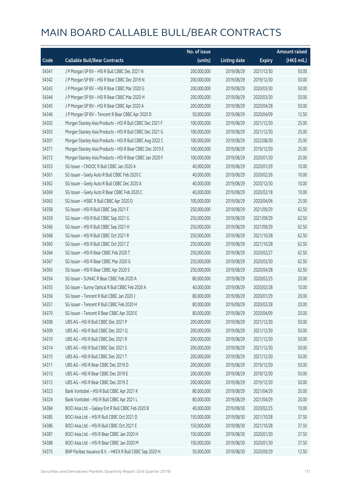|       |                                                           | No. of issue |                     |               | <b>Amount raised</b> |
|-------|-----------------------------------------------------------|--------------|---------------------|---------------|----------------------|
| Code  | <b>Callable Bull/Bear Contracts</b>                       | (units)      | <b>Listing date</b> | <b>Expiry</b> | (HK\$ mil.)          |
| 54341 | J P Morgan SP BV - HSI R Bull CBBC Dec 2021 N             | 200,000,000  | 2019/08/29          | 2021/12/30    | 50.00                |
| 54342 | J P Morgan SP BV - HSI R Bear CBBC Dec 2019 N             | 200,000,000  | 2019/08/29          | 2019/12/30    | 50.00                |
| 54343 | J P Morgan SP BV - HSI R Bear CBBC Mar 2020 G             | 200,000,000  | 2019/08/29          | 2020/03/30    | 50.00                |
| 54344 | J P Morgan SP BV - HSI R Bear CBBC Mar 2020 H             | 200,000,000  | 2019/08/29          | 2020/03/30    | 50.00                |
| 54345 | J P Morgan SP BV - HSI R Bear CBBC Apr 2020 A             | 200,000,000  | 2019/08/29          | 2020/04/28    | 50.00                |
| 54346 | J P Morgan SP BV - Tencent R Bear CBBC Apr 2020 D         | 50,000,000   | 2019/08/29          | 2020/04/09    | 12.50                |
| 54302 | Morgan Stanley Asia Products - HSI R Bull CBBC Dec 2021 F | 100,000,000  | 2019/08/29          | 2021/12/30    | 25.00                |
| 54303 | Morgan Stanley Asia Products - HSI R Bull CBBC Dec 2021 G | 100,000,000  | 2019/08/29          | 2021/12/30    | 25.00                |
| 54301 | Morgan Stanley Asia Products - HSI R Bull CBBC Aug 2022 C | 100,000,000  | 2019/08/29          | 2022/08/30    | 25.00                |
| 54371 | Morgan Stanley Asia Products - HSI R Bear CBBC Dec 2019 E | 100,000,000  | 2019/08/29          | 2019/12/30    | 25.00                |
| 54372 | Morgan Stanley Asia Products - HSI R Bear CBBC Jan 2020 F | 100,000,000  | 2019/08/29          | 2020/01/30    | 25.00                |
| 54353 | SG Issuer - CNOOC R Bull CBBC Jan 2020 A                  | 40,000,000   | 2019/08/29          | 2020/01/29    | 10.00                |
| 54361 | SG Issuer - Geely Auto R Bull CBBC Feb 2020 C             | 40,000,000   | 2019/08/29          | 2020/02/26    | 10.00                |
| 54362 | SG Issuer - Geely Auto R Bull CBBC Dec 2020 A             | 40,000,000   | 2019/08/29          | 2020/12/30    | 10.00                |
| 54369 | SG Issuer - Geely Auto R Bear CBBC Feb 2020 C             | 40,000,000   | 2019/08/29          | 2020/02/18    | 10.00                |
| 54363 | SG Issuer - HSBC R Bull CBBC Apr 2020 D                   | 100,000,000  | 2019/08/29          | 2020/04/06    | 25.00                |
| 54358 | SG Issuer - HSI R Bull CBBC Sep 2021 F                    | 250,000,000  | 2019/08/29          | 2021/09/29    | 62.50                |
| 54359 | SG Issuer - HSI R Bull CBBC Sep 2021 G                    | 250,000,000  | 2019/08/29          | 2021/09/29    | 62.50                |
| 54366 | SG Issuer - HSI R Bull CBBC Sep 2021 H                    | 250,000,000  | 2019/08/29          | 2021/09/29    | 62.50                |
| 54368 | SG Issuer - HSI R Bull CBBC Oct 2021 R                    | 250,000,000  | 2019/08/29          | 2021/10/28    | 62.50                |
| 54360 | SG Issuer - HSI R Bull CBBC Oct 2021 Z                    | 250,000,000  | 2019/08/29          | 2021/10/28    | 62.50                |
| 54364 | SG Issuer - HSI R Bear CBBC Feb 2020 T                    | 250,000,000  | 2019/08/29          | 2020/02/27    | 62.50                |
| 54367 | SG Issuer - HSI R Bear CBBC Mar 2020 G                    | 250,000,000  | 2019/08/29          | 2020/03/30    | 62.50                |
| 54365 | SG Issuer - HSI R Bear CBBC Apr 2020 S                    | 250,000,000  | 2019/08/29          | 2020/04/28    | 62.50                |
| 54354 | SG Issuer - SUNAC R Bear CBBC Feb 2020 A                  | 80,000,000   | 2019/08/29          | 2020/02/25    | 20.00                |
| 54355 | SG Issuer - Sunny Optical R Bull CBBC Feb 2020 A          | 40,000,000   | 2019/08/29          | 2020/02/28    | 10.00                |
| 54356 | SG Issuer - Tencent R Bull CBBC Jan 2020 J                | 80,000,000   | 2019/08/29          | 2020/01/29    | 20.00                |
| 54357 | SG Issuer – Tencent R Bull CBBC Feb 2020 H                | 80,000,000   | 2019/08/29          | 2020/02/28    | 20.00                |
| 54370 | SG Issuer - Tencent R Bear CBBC Apr 2020 E                | 80,000,000   | 2019/08/29          | 2020/04/09    | 20.00                |
| 54308 | UBS AG - HSI R Bull CBBC Dec 2021 P                       | 200,000,000  | 2019/08/29          | 2021/12/30    | 50.00                |
| 54309 | UBS AG - HSI R Bull CBBC Dec 2021 Q                       | 200,000,000  | 2019/08/29          | 2021/12/30    | 50.00                |
| 54310 | UBS AG - HSI R Bull CBBC Dec 2021 R                       | 200,000,000  | 2019/08/29          | 2021/12/30    | 50.00                |
| 54314 | UBS AG - HSI R Bull CBBC Dec 2021 S                       | 200,000,000  | 2019/08/29          | 2021/12/30    | 50.00                |
| 54315 | UBS AG - HSI R Bull CBBC Dec 2021 T                       | 200,000,000  | 2019/08/29          | 2021/12/30    | 50.00                |
| 54311 | UBS AG - HSI R Bear CBBC Dec 2019 D                       | 200,000,000  | 2019/08/29          | 2019/12/30    | 50.00                |
| 54313 | UBS AG - HSI R Bear CBBC Dec 2019 E                       | 200,000,000  | 2019/08/29          | 2019/12/30    | 50.00                |
| 54312 | UBS AG - HSI R Bear CBBC Dec 2019 Z                       | 200,000,000  | 2019/08/29          | 2019/12/30    | 50.00                |
| 54323 | Bank Vontobel - HSI R Bull CBBC Apr 2021 K                | 80,000,000   | 2019/08/29          | 2021/04/29    | 20.00                |
| 54324 | Bank Vontobel - HSI R Bull CBBC Apr 2021 L                | 80,000,000   | 2019/08/29          | 2021/04/29    | 20.00                |
| 54384 | BOCI Asia Ltd. - Galaxy Ent R Bull CBBC Feb 2020 B        | 40,000,000   | 2019/08/30          | 2020/02/25    | 10.00                |
| 54385 | BOCI Asia Ltd. - HSI R Bull CBBC Oct 2021 D               | 150,000,000  | 2019/08/30          | 2021/10/28    | 37.50                |
| 54386 | BOCI Asia Ltd. - HSI R Bull CBBC Oct 2021 E               | 150,000,000  | 2019/08/30          | 2021/10/28    | 37.50                |
| 54387 | BOCI Asia Ltd. - HSI R Bear CBBC Jan 2020 H               | 150,000,000  | 2019/08/30          | 2020/01/30    | 37.50                |
| 54388 | BOCI Asia Ltd. - HSI R Bear CBBC Jan 2020 M               | 150,000,000  | 2019/08/30          | 2020/01/30    | 37.50                |
| 54375 | BNP Paribas Issuance B.V. - HKEX R Bull CBBC Sep 2020 H   | 50,000,000   | 2019/08/30          | 2020/09/29    | 12.50                |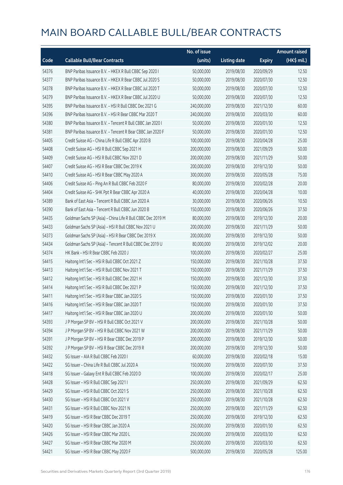|       |                                                             | No. of issue |                     |               | <b>Amount raised</b>  |
|-------|-------------------------------------------------------------|--------------|---------------------|---------------|-----------------------|
| Code  | <b>Callable Bull/Bear Contracts</b>                         | (units)      | <b>Listing date</b> | <b>Expiry</b> | $(HK\frac{1}{2}mil.)$ |
| 54376 | BNP Paribas Issuance B.V. - HKEX R Bull CBBC Sep 2020 I     | 50,000,000   | 2019/08/30          | 2020/09/29    | 12.50                 |
| 54377 | BNP Paribas Issuance B.V. - HKEX R Bear CBBC Jul 2020 S     | 50,000,000   | 2019/08/30          | 2020/07/30    | 12.50                 |
| 54378 | BNP Paribas Issuance B.V. - HKEX R Bear CBBC Jul 2020 T     | 50,000,000   | 2019/08/30          | 2020/07/30    | 12.50                 |
| 54379 | BNP Paribas Issuance B.V. - HKEX R Bear CBBC Jul 2020 U     | 50,000,000   | 2019/08/30          | 2020/07/30    | 12.50                 |
| 54395 | BNP Paribas Issuance B.V. - HSI R Bull CBBC Dec 2021 G      | 240,000,000  | 2019/08/30          | 2021/12/30    | 60.00                 |
| 54396 | BNP Paribas Issuance B.V. - HSI R Bear CBBC Mar 2020 T      | 240,000,000  | 2019/08/30          | 2020/03/30    | 60.00                 |
| 54380 | BNP Paribas Issuance B.V. - Tencent R Bull CBBC Jan 2020 I  | 50,000,000   | 2019/08/30          | 2020/01/30    | 12.50                 |
| 54381 | BNP Paribas Issuance B.V. - Tencent R Bear CBBC Jan 2020 F  | 50,000,000   | 2019/08/30          | 2020/01/30    | 12.50                 |
| 54405 | Credit Suisse AG - China Life R Bull CBBC Apr 2020 B        | 100,000,000  | 2019/08/30          | 2020/04/28    | 25.00                 |
| 54408 | Credit Suisse AG - HSI R Bull CBBC Sep 2021 H               | 200,000,000  | 2019/08/30          | 2021/09/29    | 50.00                 |
| 54409 | Credit Suisse AG - HSI R Bull CBBC Nov 2021 D               | 200,000,000  | 2019/08/30          | 2021/11/29    | 50.00                 |
| 54407 | Credit Suisse AG - HSI R Bear CBBC Dec 2019 K               | 200,000,000  | 2019/08/30          | 2019/12/30    | 50.00                 |
| 54410 | Credit Suisse AG - HSI R Bear CBBC May 2020 A               | 300,000,000  | 2019/08/30          | 2020/05/28    | 75.00                 |
| 54406 | Credit Suisse AG - Ping An R Bull CBBC Feb 2020 F           | 80,000,000   | 2019/08/30          | 2020/02/28    | 20.00                 |
| 54404 | Credit Suisse AG - SHK Ppt R Bear CBBC Apr 2020 A           | 40,000,000   | 2019/08/30          | 2020/04/28    | 10.00                 |
| 54389 | Bank of East Asia - Tencent R Bull CBBC Jun 2020 A          | 30,000,000   | 2019/08/30          | 2020/06/26    | 10.50                 |
| 54390 | Bank of East Asia - Tencent R Bull CBBC Jun 2020 B          | 150,000,000  | 2019/08/30          | 2020/06/26    | 37.50                 |
| 54435 | Goldman Sachs SP (Asia) - China Life R Bull CBBC Dec 2019 M | 80,000,000   | 2019/08/30          | 2019/12/30    | 20.00                 |
| 54433 | Goldman Sachs SP (Asia) - HSI R Bull CBBC Nov 2021 U        | 200,000,000  | 2019/08/30          | 2021/11/29    | 50.00                 |
| 54373 | Goldman Sachs SP (Asia) - HSI R Bear CBBC Dec 2019 X        | 200,000,000  | 2019/08/30          | 2019/12/30    | 50.00                 |
| 54434 | Goldman Sachs SP (Asia) - Tencent R Bull CBBC Dec 2019 U    | 80,000,000   | 2019/08/30          | 2019/12/02    | 20.00                 |
| 54374 | HK Bank - HSI R Bear CBBC Feb 2020 J                        | 100,000,000  | 2019/08/30          | 2020/02/27    | 25.00                 |
| 54415 | Haitong Int'l Sec - HSI R Bull CBBC Oct 2021 Z              | 150,000,000  | 2019/08/30          | 2021/10/28    | 37.50                 |
| 54413 | Haitong Int'l Sec - HSI R Bull CBBC Nov 2021 T              | 150,000,000  | 2019/08/30          | 2021/11/29    | 37.50                 |
| 54412 | Haitong Int'l Sec - HSI R Bull CBBC Dec 2021 H              | 150,000,000  | 2019/08/30          | 2021/12/30    | 37.50                 |
| 54414 | Haitong Int'l Sec - HSI R Bull CBBC Dec 2021 P              | 150,000,000  | 2019/08/30          | 2021/12/30    | 37.50                 |
| 54411 | Haitong Int'l Sec - HSI R Bear CBBC Jan 2020 S              | 150,000,000  | 2019/08/30          | 2020/01/30    | 37.50                 |
| 54416 | Haitong Int'l Sec - HSI R Bear CBBC Jan 2020 T              | 150,000,000  | 2019/08/30          | 2020/01/30    | 37.50                 |
| 54417 | Haitong Int'l Sec - HSI R Bear CBBC Jan 2020 U              | 200,000,000  | 2019/08/30          | 2020/01/30    | 50.00                 |
| 54393 | J P Morgan SP BV - HSI R Bull CBBC Oct 2021 V               | 200,000,000  | 2019/08/30          | 2021/10/28    | 50.00                 |
| 54394 | J P Morgan SP BV - HSI R Bull CBBC Nov 2021 W               | 200,000,000  | 2019/08/30          | 2021/11/29    | 50.00                 |
| 54391 | J P Morgan SP BV - HSI R Bear CBBC Dec 2019 P               | 200,000,000  | 2019/08/30          | 2019/12/30    | 50.00                 |
| 54392 | J P Morgan SP BV - HSI R Bear CBBC Dec 2019 R               | 200,000,000  | 2019/08/30          | 2019/12/30    | 50.00                 |
| 54432 | SG Issuer - AIA R Bull CBBC Feb 2020 I                      | 60,000,000   | 2019/08/30          | 2020/02/18    | 15.00                 |
| 54422 | SG Issuer - China Life R Bull CBBC Jul 2020 A               | 150,000,000  | 2019/08/30          | 2020/07/30    | 37.50                 |
| 54418 | SG Issuer - Galaxy Ent R Bull CBBC Feb 2020 D               | 100,000,000  | 2019/08/30          | 2020/02/17    | 25.00                 |
| 54428 | SG Issuer - HSI R Bull CBBC Sep 2021 I                      | 250,000,000  | 2019/08/30          | 2021/09/29    | 62.50                 |
| 54429 | SG Issuer - HSI R Bull CBBC Oct 2021 S                      | 250,000,000  | 2019/08/30          | 2021/10/28    | 62.50                 |
| 54430 | SG Issuer - HSI R Bull CBBC Oct 2021 V                      | 250,000,000  | 2019/08/30          | 2021/10/28    | 62.50                 |
| 54431 | SG Issuer - HSI R Bull CBBC Nov 2021 N                      | 250,000,000  | 2019/08/30          | 2021/11/29    | 62.50                 |
| 54419 | SG Issuer - HSI R Bear CBBC Dec 2019 T                      | 250,000,000  | 2019/08/30          | 2019/12/30    | 62.50                 |
| 54420 | SG Issuer - HSI R Bear CBBC Jan 2020 A                      | 250,000,000  | 2019/08/30          | 2020/01/30    | 62.50                 |
| 54426 | SG Issuer - HSI R Bear CBBC Mar 2020 L                      | 250,000,000  | 2019/08/30          | 2020/03/30    | 62.50                 |
| 54427 | SG Issuer - HSI R Bear CBBC Mar 2020 M                      | 250,000,000  | 2019/08/30          | 2020/03/30    | 62.50                 |
| 54421 | SG Issuer - HSI R Bear CBBC May 2020 F                      | 500,000,000  | 2019/08/30          | 2020/05/28    | 125.00                |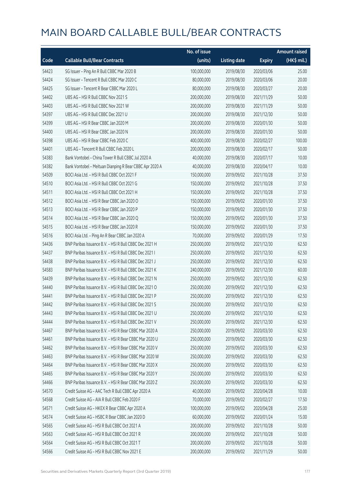|       |                                                         | No. of issue |                     |               | <b>Amount raised</b> |
|-------|---------------------------------------------------------|--------------|---------------------|---------------|----------------------|
| Code  | <b>Callable Bull/Bear Contracts</b>                     | (units)      | <b>Listing date</b> | <b>Expiry</b> | (HK\$ mil.)          |
| 54423 | SG Issuer - Ping An R Bull CBBC Mar 2020 B              | 100,000,000  | 2019/08/30          | 2020/03/06    | 25.00                |
| 54424 | SG Issuer - Tencent R Bull CBBC Mar 2020 C              | 80,000,000   | 2019/08/30          | 2020/03/06    | 20.00                |
| 54425 | SG Issuer - Tencent R Bear CBBC Mar 2020 L              | 80,000,000   | 2019/08/30          | 2020/03/27    | 20.00                |
| 54402 | UBS AG - HSI R Bull CBBC Nov 2021 S                     | 200,000,000  | 2019/08/30          | 2021/11/29    | 50.00                |
| 54403 | UBS AG - HSI R Bull CBBC Nov 2021 W                     | 200,000,000  | 2019/08/30          | 2021/11/29    | 50.00                |
| 54397 | UBS AG - HSI R Bull CBBC Dec 2021 U                     | 200,000,000  | 2019/08/30          | 2021/12/30    | 50.00                |
| 54399 | UBS AG - HSI R Bear CBBC Jan 2020 M                     | 200,000,000  | 2019/08/30          | 2020/01/30    | 50.00                |
| 54400 | UBS AG - HSI R Bear CBBC Jan 2020 N                     | 200,000,000  | 2019/08/30          | 2020/01/30    | 50.00                |
| 54398 | UBS AG - HSI R Bear CBBC Feb 2020 C                     | 400,000,000  | 2019/08/30          | 2020/02/27    | 100.00               |
| 54401 | UBS AG - Tencent R Bull CBBC Feb 2020 L                 | 200,000,000  | 2019/08/30          | 2020/02/17    | 50.00                |
| 54383 | Bank Vontobel - China Tower R Bull CBBC Jul 2020 A      | 40,000,000   | 2019/08/30          | 2020/07/17    | 10.00                |
| 54382 | Bank Vontobel - Meituan Dianping R Bear CBBC Apr 2020 A | 40,000,000   | 2019/08/30          | 2020/04/17    | 10.00                |
| 54509 | BOCI Asia Ltd. - HSI R Bull CBBC Oct 2021 F             | 150,000,000  | 2019/09/02          | 2021/10/28    | 37.50                |
| 54510 | BOCI Asia Ltd. - HSI R Bull CBBC Oct 2021 G             | 150,000,000  | 2019/09/02          | 2021/10/28    | 37.50                |
| 54511 | BOCI Asia Ltd. - HSI R Bull CBBC Oct 2021 H             | 150,000,000  | 2019/09/02          | 2021/10/28    | 37.50                |
| 54512 | BOCI Asia Ltd. - HSI R Bear CBBC Jan 2020 O             | 150,000,000  | 2019/09/02          | 2020/01/30    | 37.50                |
| 54513 | BOCI Asia Ltd. - HSI R Bear CBBC Jan 2020 P             | 150,000,000  | 2019/09/02          | 2020/01/30    | 37.50                |
| 54514 | BOCI Asia Ltd. - HSI R Bear CBBC Jan 2020 Q             | 150,000,000  | 2019/09/02          | 2020/01/30    | 37.50                |
| 54515 | BOCI Asia Ltd. - HSI R Bear CBBC Jan 2020 R             | 150,000,000  | 2019/09/02          | 2020/01/30    | 37.50                |
| 54516 | BOCI Asia Ltd. - Ping An R Bear CBBC Jan 2020 A         | 70,000,000   | 2019/09/02          | 2020/01/29    | 17.50                |
| 54436 | BNP Paribas Issuance B.V. - HSI R Bull CBBC Dec 2021 H  | 250,000,000  | 2019/09/02          | 2021/12/30    | 62.50                |
| 54437 | BNP Paribas Issuance B.V. - HSI R Bull CBBC Dec 2021 I  | 250,000,000  | 2019/09/02          | 2021/12/30    | 62.50                |
| 54438 | BNP Paribas Issuance B.V. - HSI R Bull CBBC Dec 2021 J  | 250,000,000  | 2019/09/02          | 2021/12/30    | 62.50                |
| 54583 | BNP Paribas Issuance B.V. - HSI R Bull CBBC Dec 2021 K  | 240,000,000  | 2019/09/02          | 2021/12/30    | 60.00                |
| 54439 | BNP Paribas Issuance B.V. - HSI R Bull CBBC Dec 2021 N  | 250,000,000  | 2019/09/02          | 2021/12/30    | 62.50                |
| 54440 | BNP Paribas Issuance B.V. - HSI R Bull CBBC Dec 2021 O  | 250,000,000  | 2019/09/02          | 2021/12/30    | 62.50                |
| 54441 | BNP Paribas Issuance B.V. - HSI R Bull CBBC Dec 2021 P  | 250,000,000  | 2019/09/02          | 2021/12/30    | 62.50                |
| 54442 | BNP Paribas Issuance B.V. - HSI R Bull CBBC Dec 2021 S  | 250,000,000  | 2019/09/02          | 2021/12/30    | 62.50                |
| 54443 | BNP Paribas Issuance B.V. - HSI R Bull CBBC Dec 2021 U  | 250,000,000  | 2019/09/02          | 2021/12/30    | 62.50                |
| 54444 | BNP Paribas Issuance B.V. - HSI R Bull CBBC Dec 2021 V  | 250,000,000  | 2019/09/02          | 2021/12/30    | 62.50                |
| 54467 | BNP Paribas Issuance B.V. - HSI R Bear CBBC Mar 2020 A  | 250,000,000  | 2019/09/02          | 2020/03/30    | 62.50                |
| 54461 | BNP Paribas Issuance B.V. - HSI R Bear CBBC Mar 2020 U  | 250,000,000  | 2019/09/02          | 2020/03/30    | 62.50                |
| 54462 | BNP Paribas Issuance B.V. - HSI R Bear CBBC Mar 2020 V  | 250,000,000  | 2019/09/02          | 2020/03/30    | 62.50                |
| 54463 | BNP Paribas Issuance B.V. - HSI R Bear CBBC Mar 2020 W  | 250,000,000  | 2019/09/02          | 2020/03/30    | 62.50                |
| 54464 | BNP Paribas Issuance B.V. - HSI R Bear CBBC Mar 2020 X  | 250,000,000  | 2019/09/02          | 2020/03/30    | 62.50                |
| 54465 | BNP Paribas Issuance B.V. - HSI R Bear CBBC Mar 2020 Y  | 250,000,000  | 2019/09/02          | 2020/03/30    | 62.50                |
| 54466 | BNP Paribas Issuance B.V. - HSI R Bear CBBC Mar 2020 Z  | 250,000,000  | 2019/09/02          | 2020/03/30    | 62.50                |
| 54570 | Credit Suisse AG - AAC Tech R Bull CBBC Apr 2020 A      | 40,000,000   | 2019/09/02          | 2020/04/28    | 10.00                |
| 54568 | Credit Suisse AG - AIA R Bull CBBC Feb 2020 F           | 70,000,000   | 2019/09/02          | 2020/02/27    | 17.50                |
| 54571 | Credit Suisse AG - HKEX R Bear CBBC Apr 2020 A          | 100,000,000  | 2019/09/02          | 2020/04/28    | 25.00                |
| 54574 | Credit Suisse AG - HSBC R Bear CBBC Jan 2020 D          | 60,000,000   | 2019/09/02          | 2020/01/24    | 15.00                |
| 54565 | Credit Suisse AG - HSI R Bull CBBC Oct 2021 A           | 200,000,000  | 2019/09/02          | 2021/10/28    | 50.00                |
| 54563 | Credit Suisse AG - HSI R Bull CBBC Oct 2021 R           | 200,000,000  | 2019/09/02          | 2021/10/28    | 50.00                |
| 54564 | Credit Suisse AG - HSI R Bull CBBC Oct 2021 T           | 200,000,000  | 2019/09/02          | 2021/10/28    | 50.00                |
| 54566 | Credit Suisse AG - HSI R Bull CBBC Nov 2021 E           | 200,000,000  | 2019/09/02          | 2021/11/29    | 50.00                |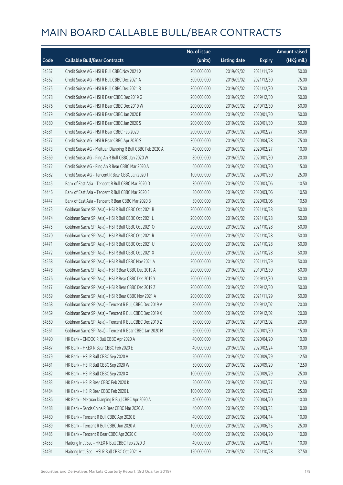|       |                                                            | No. of issue |                     |               | <b>Amount raised</b> |
|-------|------------------------------------------------------------|--------------|---------------------|---------------|----------------------|
| Code  | <b>Callable Bull/Bear Contracts</b>                        | (units)      | <b>Listing date</b> | <b>Expiry</b> | (HK\$ mil.)          |
| 54567 | Credit Suisse AG - HSI R Bull CBBC Nov 2021 X              | 200,000,000  | 2019/09/02          | 2021/11/29    | 50.00                |
| 54562 | Credit Suisse AG - HSI R Bull CBBC Dec 2021 A              | 300,000,000  | 2019/09/02          | 2021/12/30    | 75.00                |
| 54575 | Credit Suisse AG - HSI R Bull CBBC Dec 2021 B              | 300,000,000  | 2019/09/02          | 2021/12/30    | 75.00                |
| 54578 | Credit Suisse AG - HSI R Bear CBBC Dec 2019 G              | 200,000,000  | 2019/09/02          | 2019/12/30    | 50.00                |
| 54576 | Credit Suisse AG - HSI R Bear CBBC Dec 2019 W              | 200,000,000  | 2019/09/02          | 2019/12/30    | 50.00                |
| 54579 | Credit Suisse AG - HSI R Bear CBBC Jan 2020 B              | 200,000,000  | 2019/09/02          | 2020/01/30    | 50.00                |
| 54580 | Credit Suisse AG - HSI R Bear CBBC Jan 2020 S              | 200,000,000  | 2019/09/02          | 2020/01/30    | 50.00                |
| 54581 | Credit Suisse AG - HSI R Bear CBBC Feb 2020 I              | 200,000,000  | 2019/09/02          | 2020/02/27    | 50.00                |
| 54577 | Credit Suisse AG - HSI R Bear CBBC Apr 2020 S              | 300,000,000  | 2019/09/02          | 2020/04/28    | 75.00                |
| 54573 | Credit Suisse AG - Meituan Dianping R Bull CBBC Feb 2020 A | 40,000,000   | 2019/09/02          | 2020/02/27    | 10.00                |
| 54569 | Credit Suisse AG - Ping An R Bull CBBC Jan 2020 W          | 80,000,000   | 2019/09/02          | 2020/01/30    | 20.00                |
| 54572 | Credit Suisse AG - Ping An R Bear CBBC Mar 2020 A          | 60,000,000   | 2019/09/02          | 2020/03/30    | 15.00                |
| 54582 | Credit Suisse AG - Tencent R Bear CBBC Jan 2020 T          | 100,000,000  | 2019/09/02          | 2020/01/30    | 25.00                |
| 54445 | Bank of East Asia - Tencent R Bull CBBC Mar 2020 D         | 30,000,000   | 2019/09/02          | 2020/03/06    | 10.50                |
| 54446 | Bank of East Asia - Tencent R Bull CBBC Mar 2020 E         | 30,000,000   | 2019/09/02          | 2020/03/06    | 10.50                |
| 54447 | Bank of East Asia - Tencent R Bear CBBC Mar 2020 B         | 30,000,000   | 2019/09/02          | 2020/03/06    | 10.50                |
| 54473 | Goldman Sachs SP (Asia) - HSI R Bull CBBC Oct 2021 B       | 200,000,000  | 2019/09/02          | 2021/10/28    | 50.00                |
| 54474 | Goldman Sachs SP (Asia) - HSI R Bull CBBC Oct 2021 L       | 200,000,000  | 2019/09/02          | 2021/10/28    | 50.00                |
| 54475 | Goldman Sachs SP (Asia) - HSI R Bull CBBC Oct 2021 O       | 200,000,000  | 2019/09/02          | 2021/10/28    | 50.00                |
| 54470 | Goldman Sachs SP (Asia) - HSI R Bull CBBC Oct 2021 R       | 200,000,000  | 2019/09/02          | 2021/10/28    | 50.00                |
| 54471 | Goldman Sachs SP (Asia) - HSI R Bull CBBC Oct 2021 U       | 200,000,000  | 2019/09/02          | 2021/10/28    | 50.00                |
| 54472 | Goldman Sachs SP (Asia) - HSI R Bull CBBC Oct 2021 X       | 200,000,000  | 2019/09/02          | 2021/10/28    | 50.00                |
| 54558 | Goldman Sachs SP (Asia) - HSI R Bull CBBC Nov 2021 A       | 200,000,000  | 2019/09/02          | 2021/11/29    | 50.00                |
| 54478 | Goldman Sachs SP (Asia) - HSI R Bear CBBC Dec 2019 A       | 200,000,000  | 2019/09/02          | 2019/12/30    | 50.00                |
| 54476 | Goldman Sachs SP (Asia) - HSI R Bear CBBC Dec 2019 Y       | 200,000,000  | 2019/09/02          | 2019/12/30    | 50.00                |
| 54477 | Goldman Sachs SP (Asia) - HSI R Bear CBBC Dec 2019 Z       | 200,000,000  | 2019/09/02          | 2019/12/30    | 50.00                |
| 54559 | Goldman Sachs SP (Asia) - HSI R Bear CBBC Nov 2021 A       | 200,000,000  | 2019/09/02          | 2021/11/29    | 50.00                |
| 54468 | Goldman Sachs SP (Asia) - Tencent R Bull CBBC Dec 2019 V   | 80,000,000   | 2019/09/02          | 2019/12/02    | 20.00                |
| 54469 | Goldman Sachs SP (Asia) - Tencent R Bull CBBC Dec 2019 X   | 80,000,000   | 2019/09/02          | 2019/12/02    | 20.00                |
| 54560 | Goldman Sachs SP (Asia) - Tencent R Bull CBBC Dec 2019 Z   | 80,000,000   | 2019/09/02          | 2019/12/02    | 20.00                |
| 54561 | Goldman Sachs SP (Asia) - Tencent R Bear CBBC Jan 2020 M   | 60,000,000   | 2019/09/02          | 2020/01/30    | 15.00                |
| 54490 | HK Bank - CNOOC R Bull CBBC Apr 2020 A                     | 40,000,000   | 2019/09/02          | 2020/04/20    | 10.00                |
| 54487 | HK Bank - HKEX R Bear CBBC Feb 2020 E                      | 40,000,000   | 2019/09/02          | 2020/02/24    | 10.00                |
| 54479 | HK Bank - HSI R Bull CBBC Sep 2020 V                       | 50,000,000   | 2019/09/02          | 2020/09/29    | 12.50                |
| 54481 | HK Bank - HSI R Bull CBBC Sep 2020 W                       | 50,000,000   | 2019/09/02          | 2020/09/29    | 12.50                |
| 54482 | HK Bank - HSI R Bull CBBC Sep 2020 X                       | 100,000,000  | 2019/09/02          | 2020/09/29    | 25.00                |
| 54483 | HK Bank - HSI R Bear CBBC Feb 2020 K                       | 50,000,000   | 2019/09/02          | 2020/02/27    | 12.50                |
| 54484 | HK Bank - HSI R Bear CBBC Feb 2020 L                       | 100,000,000  | 2019/09/02          | 2020/02/27    | 25.00                |
| 54486 | HK Bank - Meituan Dianping R Bull CBBC Apr 2020 A          | 40,000,000   | 2019/09/02          | 2020/04/20    | 10.00                |
| 54488 | HK Bank - Sands China R Bear CBBC Mar 2020 A               | 40,000,000   | 2019/09/02          | 2020/03/23    | 10.00                |
| 54480 | HK Bank - Tencent R Bull CBBC Apr 2020 E                   | 40,000,000   | 2019/09/02          | 2020/04/14    | 10.00                |
| 54489 | HK Bank - Tencent R Bull CBBC Jun 2020 A                   | 100,000,000  | 2019/09/02          | 2020/06/15    | 25.00                |
| 54485 | HK Bank - Tencent R Bear CBBC Apr 2020 C                   | 40,000,000   | 2019/09/02          | 2020/04/20    | 10.00                |
| 54553 | Haitong Int'l Sec - HKEX R Bull CBBC Feb 2020 D            | 40,000,000   | 2019/09/02          | 2020/02/17    | 10.00                |
| 54491 | Haitong Int'l Sec - HSI R Bull CBBC Oct 2021 H             | 150,000,000  | 2019/09/02          | 2021/10/28    | 37.50                |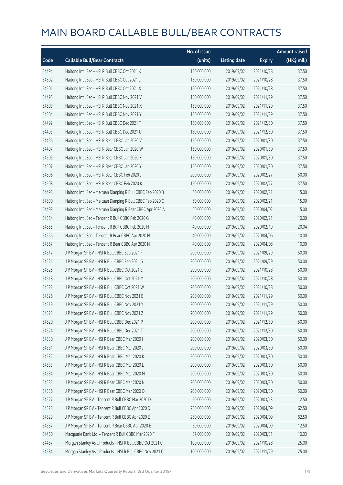|       |                                                             | No. of issue |                     |               | <b>Amount raised</b> |
|-------|-------------------------------------------------------------|--------------|---------------------|---------------|----------------------|
| Code  | <b>Callable Bull/Bear Contracts</b>                         | (units)      | <b>Listing date</b> | <b>Expiry</b> | (HK\$ mil.)          |
| 54494 | Haitong Int'l Sec - HSI R Bull CBBC Oct 2021 K              | 150,000,000  | 2019/09/02          | 2021/10/28    | 37.50                |
| 54502 | Haitong Int'l Sec - HSI R Bull CBBC Oct 2021 L              | 150,000,000  | 2019/09/02          | 2021/10/28    | 37.50                |
| 54501 | Haitong Int'l Sec - HSI R Bull CBBC Oct 2021 X              | 150,000,000  | 2019/09/02          | 2021/10/28    | 37.50                |
| 54495 | Haitong Int'l Sec - HSI R Bull CBBC Nov 2021 V              | 150,000,000  | 2019/09/02          | 2021/11/29    | 37.50                |
| 54503 | Haitong Int'l Sec - HSI R Bull CBBC Nov 2021 X              | 150,000,000  | 2019/09/02          | 2021/11/29    | 37.50                |
| 54504 | Haitong Int'l Sec - HSI R Bull CBBC Nov 2021 Y              | 150,000,000  | 2019/09/02          | 2021/11/29    | 37.50                |
| 54492 | Haitong Int'l Sec - HSI R Bull CBBC Dec 2021 T              | 150,000,000  | 2019/09/02          | 2021/12/30    | 37.50                |
| 54493 | Haitong Int'l Sec - HSI R Bull CBBC Dec 2021 U              | 150,000,000  | 2019/09/02          | 2021/12/30    | 37.50                |
| 54496 | Haitong Int'l Sec - HSI R Bear CBBC Jan 2020 V              | 150,000,000  | 2019/09/02          | 2020/01/30    | 37.50                |
| 54497 | Haitong Int'l Sec - HSI R Bear CBBC Jan 2020 W              | 150,000,000  | 2019/09/02          | 2020/01/30    | 37.50                |
| 54505 | Haitong Int'l Sec - HSI R Bear CBBC Jan 2020 X              | 150,000,000  | 2019/09/02          | 2020/01/30    | 37.50                |
| 54507 | Haitong Int'l Sec - HSI R Bear CBBC Jan 2020 Y              | 150,000,000  | 2019/09/02          | 2020/01/30    | 37.50                |
| 54506 | Haitong Int'l Sec - HSI R Bear CBBC Feb 2020 J              | 200,000,000  | 2019/09/02          | 2020/02/27    | 50.00                |
| 54508 | Haitong Int'l Sec - HSI R Bear CBBC Feb 2020 K              | 150,000,000  | 2019/09/02          | 2020/02/27    | 37.50                |
| 54498 | Haitong Int'l Sec - Meituan Dianping R Bull CBBC Feb 2020 B | 60,000,000   | 2019/09/02          | 2020/02/21    | 15.00                |
| 54500 | Haitong Int'l Sec - Meituan Dianping R Bull CBBC Feb 2020 C | 60,000,000   | 2019/09/02          | 2020/02/21    | 15.00                |
| 54499 | Haitong Int'l Sec - Meituan Dianping R Bear CBBC Apr 2020 A | 60,000,000   | 2019/09/02          | 2020/04/02    | 15.00                |
| 54554 | Haitong Int'l Sec - Tencent R Bull CBBC Feb 2020 G          | 40,000,000   | 2019/09/02          | 2020/02/21    | 10.00                |
| 54555 | Haitong Int'l Sec - Tencent R Bull CBBC Feb 2020 H          | 40,000,000   | 2019/09/02          | 2020/02/19    | 20.04                |
| 54556 | Haitong Int'l Sec - Tencent R Bear CBBC Apr 2020 M          | 40,000,000   | 2019/09/02          | 2020/04/06    | 10.00                |
| 54557 | Haitong Int'l Sec - Tencent R Bear CBBC Apr 2020 N          | 40,000,000   | 2019/09/02          | 2020/04/08    | 10.00                |
| 54517 | J P Morgan SP BV - HSI R Bull CBBC Sep 2021 F               | 200,000,000  | 2019/09/02          | 2021/09/29    | 50.00                |
| 54521 | J P Morgan SP BV - HSI R Bull CBBC Sep 2021 G               | 200,000,000  | 2019/09/02          | 2021/09/29    | 50.00                |
| 54525 | J P Morgan SP BV - HSI R Bull CBBC Oct 2021 E               | 200,000,000  | 2019/09/02          | 2021/10/28    | 50.00                |
| 54518 | J P Morgan SP BV - HSI R Bull CBBC Oct 2021 M               | 200,000,000  | 2019/09/02          | 2021/10/28    | 50.00                |
| 54522 | J P Morgan SP BV - HSI R Bull CBBC Oct 2021 W               | 200,000,000  | 2019/09/02          | 2021/10/28    | 50.00                |
| 54526 | J P Morgan SP BV - HSI R Bull CBBC Nov 2021 B               | 200,000,000  | 2019/09/02          | 2021/11/29    | 50.00                |
| 54519 | J P Morgan SP BV - HSI R Bull CBBC Nov 2021 Y               | 200,000,000  | 2019/09/02          | 2021/11/29    | 50.00                |
| 54523 | J P Morgan SP BV - HSI R Bull CBBC Nov 2021 Z               | 200,000,000  | 2019/09/02          | 2021/11/29    | 50.00                |
| 54520 | J P Morgan SP BV - HSI R Bull CBBC Dec 2021 P               | 200,000,000  | 2019/09/02          | 2021/12/30    | 50.00                |
| 54524 | J P Morgan SP BV - HSI R Bull CBBC Dec 2021 T               | 200,000,000  | 2019/09/02          | 2021/12/30    | 50.00                |
| 54530 | J P Morgan SP BV - HSI R Bear CBBC Mar 2020 I               | 200,000,000  | 2019/09/02          | 2020/03/30    | 50.00                |
| 54531 | J P Morgan SP BV - HSI R Bear CBBC Mar 2020 J               | 200,000,000  | 2019/09/02          | 2020/03/30    | 50.00                |
| 54532 | J P Morgan SP BV - HSI R Bear CBBC Mar 2020 K               | 200,000,000  | 2019/09/02          | 2020/03/30    | 50.00                |
| 54533 | J P Morgan SP BV - HSI R Bear CBBC Mar 2020 L               | 200,000,000  | 2019/09/02          | 2020/03/30    | 50.00                |
| 54534 | J P Morgan SP BV - HSI R Bear CBBC Mar 2020 M               | 200,000,000  | 2019/09/02          | 2020/03/30    | 50.00                |
| 54535 | J P Morgan SP BV - HSI R Bear CBBC Mar 2020 N               | 200,000,000  | 2019/09/02          | 2020/03/30    | 50.00                |
| 54536 | J P Morgan SP BV - HSI R Bear CBBC Mar 2020 O               | 200,000,000  | 2019/09/02          | 2020/03/30    | 50.00                |
| 54527 | J P Morgan SP BV - Tencent R Bull CBBC Mar 2020 D           | 50,000,000   | 2019/09/02          | 2020/03/13    | 12.50                |
| 54528 | J P Morgan SP BV - Tencent R Bull CBBC Apr 2020 D           | 250,000,000  | 2019/09/02          | 2020/04/09    | 62.50                |
| 54529 | J P Morgan SP BV - Tencent R Bull CBBC Apr 2020 E           | 250,000,000  | 2019/09/02          | 2020/04/09    | 62.50                |
| 54537 | J P Morgan SP BV - Tencent R Bear CBBC Apr 2020 E           | 50,000,000   | 2019/09/02          | 2020/04/09    | 12.50                |
| 54460 | Macquarie Bank Ltd. - Tencent R Bull CBBC Mar 2020 F        | 37,000,000   | 2019/09/02          | 2020/03/31    | 10.03                |
| 54457 | Morgan Stanley Asia Products - HSI R Bull CBBC Oct 2021 C   | 100,000,000  | 2019/09/02          | 2021/10/28    | 25.00                |
| 54584 | Morgan Stanley Asia Products - HSI R Bull CBBC Nov 2021 C   | 100,000,000  | 2019/09/02          | 2021/11/29    | 25.00                |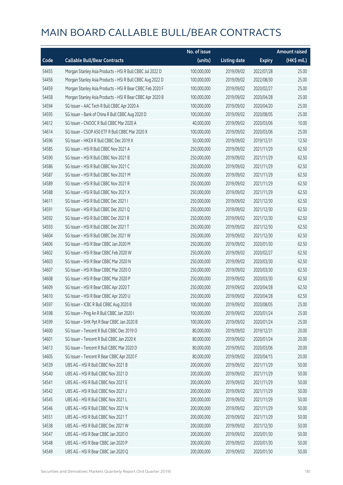|       |                                                           | No. of issue |                     |               | <b>Amount raised</b> |
|-------|-----------------------------------------------------------|--------------|---------------------|---------------|----------------------|
| Code  | <b>Callable Bull/Bear Contracts</b>                       | (units)      | <b>Listing date</b> | <b>Expiry</b> | (HK\$ mil.)          |
| 54455 | Morgan Stanley Asia Products - HSI R Bull CBBC Jul 2022 D | 100,000,000  | 2019/09/02          | 2022/07/28    | 25.00                |
| 54456 | Morgan Stanley Asia Products - HSI R Bull CBBC Aug 2022 D | 100,000,000  | 2019/09/02          | 2022/08/30    | 25.00                |
| 54459 | Morgan Stanley Asia Products - HSI R Bear CBBC Feb 2020 F | 100,000,000  | 2019/09/02          | 2020/02/27    | 25.00                |
| 54458 | Morgan Stanley Asia Products - HSI R Bear CBBC Apr 2020 B | 100,000,000  | 2019/09/02          | 2020/04/28    | 25.00                |
| 54594 | SG Issuer - AAC Tech R Bull CBBC Apr 2020 A               | 100,000,000  | 2019/09/02          | 2020/04/20    | 25.00                |
| 54595 | SG Issuer - Bank of China R Bull CBBC Aug 2020 D          | 100,000,000  | 2019/09/02          | 2020/08/05    | 25.00                |
| 54612 | SG Issuer - CNOOC R Bull CBBC Mar 2020 A                  | 40,000,000   | 2019/09/02          | 2020/03/06    | 10.00                |
| 54614 | SG Issuer - CSOP A50 ETF R Bull CBBC Mar 2020 X           | 100,000,000  | 2019/09/02          | 2020/03/06    | 25.00                |
| 54596 | SG Issuer - HKEX R Bull CBBC Dec 2019 X                   | 50,000,000   | 2019/09/02          | 2019/12/31    | 12.50                |
| 54585 | SG Issuer - HSI R Bull CBBC Nov 2021 A                    | 250,000,000  | 2019/09/02          | 2021/11/29    | 62.50                |
| 54590 | SG Issuer - HSI R Bull CBBC Nov 2021 B                    | 250,000,000  | 2019/09/02          | 2021/11/29    | 62.50                |
| 54586 | SG Issuer - HSI R Bull CBBC Nov 2021 C                    | 250,000,000  | 2019/09/02          | 2021/11/29    | 62.50                |
| 54587 | SG Issuer - HSI R Bull CBBC Nov 2021 M                    | 250,000,000  | 2019/09/02          | 2021/11/29    | 62.50                |
| 54589 | SG Issuer - HSI R Bull CBBC Nov 2021 R                    | 250,000,000  | 2019/09/02          | 2021/11/29    | 62.50                |
| 54588 | SG Issuer - HSI R Bull CBBC Nov 2021 X                    | 250,000,000  | 2019/09/02          | 2021/11/29    | 62.50                |
| 54611 | SG Issuer - HSI R Bull CBBC Dec 2021 I                    | 250,000,000  | 2019/09/02          | 2021/12/30    | 62.50                |
| 54591 | SG Issuer - HSI R Bull CBBC Dec 2021 Q                    | 250,000,000  | 2019/09/02          | 2021/12/30    | 62.50                |
| 54592 | SG Issuer - HSI R Bull CBBC Dec 2021 R                    | 250,000,000  | 2019/09/02          | 2021/12/30    | 62.50                |
| 54593 | SG Issuer - HSI R Bull CBBC Dec 2021 T                    | 250,000,000  | 2019/09/02          | 2021/12/30    | 62.50                |
| 54604 | SG Issuer - HSI R Bull CBBC Dec 2021 W                    | 250,000,000  | 2019/09/02          | 2021/12/30    | 62.50                |
| 54606 | SG Issuer - HSI R Bear CBBC Jan 2020 M                    | 250,000,000  | 2019/09/02          | 2020/01/30    | 62.50                |
| 54602 | SG Issuer - HSI R Bear CBBC Feb 2020 W                    | 250,000,000  | 2019/09/02          | 2020/02/27    | 62.50                |
| 54603 | SG Issuer - HSI R Bear CBBC Mar 2020 N                    | 250,000,000  | 2019/09/02          | 2020/03/30    | 62.50                |
| 54607 | SG Issuer - HSI R Bear CBBC Mar 2020 O                    | 250,000,000  | 2019/09/02          | 2020/03/30    | 62.50                |
| 54608 | SG Issuer - HSI R Bear CBBC Mar 2020 P                    | 250,000,000  | 2019/09/02          | 2020/03/30    | 62.50                |
| 54609 | SG Issuer - HSI R Bear CBBC Apr 2020 T                    | 250,000,000  | 2019/09/02          | 2020/04/28    | 62.50                |
| 54610 | SG Issuer - HSI R Bear CBBC Apr 2020 U                    | 250,000,000  | 2019/09/02          | 2020/04/28    | 62.50                |
| 54597 | SG Issuer - ICBC R Bull CBBC Aug 2020 B                   | 100,000,000  | 2019/09/02          | 2020/08/05    | 25.00                |
| 54598 | SG Issuer - Ping An R Bull CBBC Jan 2020 I                | 100,000,000  | 2019/09/02          | 2020/01/24    | 25.00                |
| 54599 | SG Issuer - SHK Ppt R Bear CBBC Jan 2020 B                | 100,000,000  | 2019/09/02          | 2020/01/24    | 25.00                |
| 54600 | SG Issuer - Tencent R Bull CBBC Dec 2019 O                | 80,000,000   | 2019/09/02          | 2019/12/31    | 20.00                |
| 54601 | SG Issuer - Tencent R Bull CBBC Jan 2020 K                | 80,000,000   | 2019/09/02          | 2020/01/24    | 20.00                |
| 54613 | SG Issuer - Tencent R Bull CBBC Mar 2020 D                | 80,000,000   | 2019/09/02          | 2020/03/06    | 20.00                |
| 54605 | SG Issuer - Tencent R Bear CBBC Apr 2020 F                | 80,000,000   | 2019/09/02          | 2020/04/15    | 20.00                |
| 54539 | UBS AG - HSI R Bull CBBC Nov 2021 B                       | 200,000,000  | 2019/09/02          | 2021/11/29    | 50.00                |
| 54540 | UBS AG - HSI R Bull CBBC Nov 2021 D                       | 200,000,000  | 2019/09/02          | 2021/11/29    | 50.00                |
| 54541 | UBS AG - HSI R Bull CBBC Nov 2021 E                       | 200,000,000  | 2019/09/02          | 2021/11/29    | 50.00                |
| 54542 | UBS AG - HSI R Bull CBBC Nov 2021 J                       | 200,000,000  | 2019/09/02          | 2021/11/29    | 50.00                |
| 54545 | UBS AG - HSI R Bull CBBC Nov 2021 L                       | 200,000,000  | 2019/09/02          | 2021/11/29    | 50.00                |
| 54546 | UBS AG - HSI R Bull CBBC Nov 2021 N                       | 200,000,000  | 2019/09/02          | 2021/11/29    | 50.00                |
| 54551 | UBS AG - HSI R Bull CBBC Nov 2021 T                       | 200,000,000  | 2019/09/02          | 2021/11/29    | 50.00                |
| 54538 | UBS AG - HSI R Bull CBBC Dec 2021 W                       | 200,000,000  | 2019/09/02          | 2021/12/30    | 50.00                |
| 54547 | UBS AG - HSI R Bear CBBC Jan 2020 O                       | 200,000,000  | 2019/09/02          | 2020/01/30    | 50.00                |
| 54548 | UBS AG - HSI R Bear CBBC Jan 2020 P                       | 200,000,000  | 2019/09/02          | 2020/01/30    | 50.00                |
| 54549 | UBS AG - HSI R Bear CBBC Jan 2020 Q                       | 200,000,000  | 2019/09/02          | 2020/01/30    | 50.00                |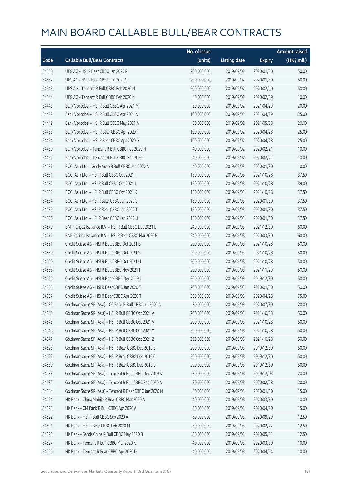|       |                                                          | No. of issue |                     |               | <b>Amount raised</b> |
|-------|----------------------------------------------------------|--------------|---------------------|---------------|----------------------|
| Code  | <b>Callable Bull/Bear Contracts</b>                      | (units)      | <b>Listing date</b> | <b>Expiry</b> | (HK\$ mil.)          |
| 54550 | UBS AG - HSI R Bear CBBC Jan 2020 R                      | 200,000,000  | 2019/09/02          | 2020/01/30    | 50.00                |
| 54552 | UBS AG - HSI R Bear CBBC Jan 2020 S                      | 200,000,000  | 2019/09/02          | 2020/01/30    | 50.00                |
| 54543 | UBS AG - Tencent R Bull CBBC Feb 2020 M                  | 200,000,000  | 2019/09/02          | 2020/02/10    | 50.00                |
| 54544 | UBS AG - Tencent R Bull CBBC Feb 2020 N                  | 40,000,000   | 2019/09/02          | 2020/02/19    | 10.00                |
| 54448 | Bank Vontobel - HSI R Bull CBBC Apr 2021 M               | 80,000,000   | 2019/09/02          | 2021/04/29    | 20.00                |
| 54452 | Bank Vontobel - HSI R Bull CBBC Apr 2021 N               | 100,000,000  | 2019/09/02          | 2021/04/29    | 25.00                |
| 54449 | Bank Vontobel - HSI R Bull CBBC May 2021 A               | 80,000,000   | 2019/09/02          | 2021/05/28    | 20.00                |
| 54453 | Bank Vontobel - HSI R Bear CBBC Apr 2020 F               | 100,000,000  | 2019/09/02          | 2020/04/28    | 25.00                |
| 54454 | Bank Vontobel - HSI R Bear CBBC Apr 2020 G               | 100,000,000  | 2019/09/02          | 2020/04/28    | 25.00                |
| 54450 | Bank Vontobel - Tencent R Bull CBBC Feb 2020 H           | 40,000,000   | 2019/09/02          | 2020/02/21    | 10.00                |
| 54451 | Bank Vontobel - Tencent R Bull CBBC Feb 2020 I           | 40,000,000   | 2019/09/02          | 2020/02/21    | 10.00                |
| 54637 | BOCI Asia Ltd. - Geely Auto R Bull CBBC Jan 2020 A       | 40,000,000   | 2019/09/03          | 2020/01/30    | 10.00                |
| 54631 | BOCI Asia Ltd. - HSI R Bull CBBC Oct 2021 I              | 150,000,000  | 2019/09/03          | 2021/10/28    | 37.50                |
| 54632 | BOCI Asia Ltd. - HSI R Bull CBBC Oct 2021 J              | 150,000,000  | 2019/09/03          | 2021/10/28    | 39.00                |
| 54633 | BOCI Asia Ltd. - HSI R Bull CBBC Oct 2021 K              | 150,000,000  | 2019/09/03          | 2021/10/28    | 37.50                |
| 54634 | BOCI Asia Ltd. - HSI R Bear CBBC Jan 2020 S              | 150,000,000  | 2019/09/03          | 2020/01/30    | 37.50                |
| 54635 | BOCI Asia Ltd. - HSI R Bear CBBC Jan 2020 T              | 150,000,000  | 2019/09/03          | 2020/01/30    | 37.50                |
| 54636 | BOCI Asia Ltd. - HSI R Bear CBBC Jan 2020 U              | 150,000,000  | 2019/09/03          | 2020/01/30    | 37.50                |
| 54670 | BNP Paribas Issuance B.V. - HSI R Bull CBBC Dec 2021 L   | 240,000,000  | 2019/09/03          | 2021/12/30    | 60.00                |
| 54671 | BNP Paribas Issuance B.V. - HSI R Bear CBBC Mar 2020 B   | 240,000,000  | 2019/09/03          | 2020/03/30    | 60.00                |
| 54661 | Credit Suisse AG - HSI R Bull CBBC Oct 2021 B            | 200,000,000  | 2019/09/03          | 2021/10/28    | 50.00                |
| 54659 | Credit Suisse AG - HSI R Bull CBBC Oct 2021 S            | 200,000,000  | 2019/09/03          | 2021/10/28    | 50.00                |
| 54660 | Credit Suisse AG - HSI R Bull CBBC Oct 2021 U            | 200,000,000  | 2019/09/03          | 2021/10/28    | 50.00                |
| 54658 | Credit Suisse AG - HSI R Bull CBBC Nov 2021 F            | 200,000,000  | 2019/09/03          | 2021/11/29    | 50.00                |
| 54656 | Credit Suisse AG - HSI R Bear CBBC Dec 2019 J            | 200,000,000  | 2019/09/03          | 2019/12/30    | 50.00                |
| 54655 | Credit Suisse AG - HSI R Bear CBBC Jan 2020 T            | 200,000,000  | 2019/09/03          | 2020/01/30    | 50.00                |
| 54657 | Credit Suisse AG - HSI R Bear CBBC Apr 2020 T            | 300,000,000  | 2019/09/03          | 2020/04/28    | 75.00                |
| 54685 | Goldman Sachs SP (Asia) - CC Bank R Bull CBBC Jul 2020 A | 80,000,000   | 2019/09/03          | 2020/07/30    | 20.00                |
| 54648 | Goldman Sachs SP (Asia) - HSI R Bull CBBC Oct 2021 A     | 200,000,000  | 2019/09/03          | 2021/10/28    | 50.00                |
| 54645 | Goldman Sachs SP (Asia) - HSI R Bull CBBC Oct 2021 V     | 200,000,000  | 2019/09/03          | 2021/10/28    | 50.00                |
| 54646 | Goldman Sachs SP (Asia) - HSI R Bull CBBC Oct 2021 Y     | 200,000,000  | 2019/09/03          | 2021/10/28    | 50.00                |
| 54647 | Goldman Sachs SP (Asia) - HSI R Bull CBBC Oct 2021 Z     | 200,000,000  | 2019/09/03          | 2021/10/28    | 50.00                |
| 54628 | Goldman Sachs SP (Asia) - HSI R Bear CBBC Dec 2019 B     | 200,000,000  | 2019/09/03          | 2019/12/30    | 50.00                |
| 54629 | Goldman Sachs SP (Asia) - HSI R Bear CBBC Dec 2019 C     | 200,000,000  | 2019/09/03          | 2019/12/30    | 50.00                |
| 54630 | Goldman Sachs SP (Asia) - HSI R Bear CBBC Dec 2019 D     | 200,000,000  | 2019/09/03          | 2019/12/30    | 50.00                |
| 54683 | Goldman Sachs SP (Asia) - Tencent R Bull CBBC Dec 2019 S | 80,000,000   | 2019/09/03          | 2019/12/03    | 20.00                |
| 54682 | Goldman Sachs SP (Asia) - Tencent R Bull CBBC Feb 2020 A | 80,000,000   | 2019/09/03          | 2020/02/28    | 20.00                |
| 54684 | Goldman Sachs SP (Asia) - Tencent R Bear CBBC Jan 2020 N | 60,000,000   | 2019/09/03          | 2020/01/30    | 15.00                |
| 54624 | HK Bank - China Mobile R Bear CBBC Mar 2020 A            | 40,000,000   | 2019/09/03          | 2020/03/30    | 10.00                |
| 54623 | HK Bank - CM Bank R Bull CBBC Apr 2020 A                 | 60,000,000   | 2019/09/03          | 2020/04/20    | 15.00                |
| 54622 | HK Bank - HSI R Bull CBBC Sep 2020 A                     | 50,000,000   | 2019/09/03          | 2020/09/29    | 12.50                |
| 54621 | HK Bank - HSI R Bear CBBC Feb 2020 M                     | 50,000,000   | 2019/09/03          | 2020/02/27    | 12.50                |
| 54625 | HK Bank - Sands China R Bull CBBC May 2020 B             | 50,000,000   | 2019/09/03          | 2020/05/11    | 12.50                |
| 54627 | HK Bank - Tencent R Bull CBBC Mar 2020 K                 | 40,000,000   | 2019/09/03          | 2020/03/30    | 10.00                |
| 54626 | HK Bank - Tencent R Bear CBBC Apr 2020 D                 | 40,000,000   | 2019/09/03          | 2020/04/14    | 10.00                |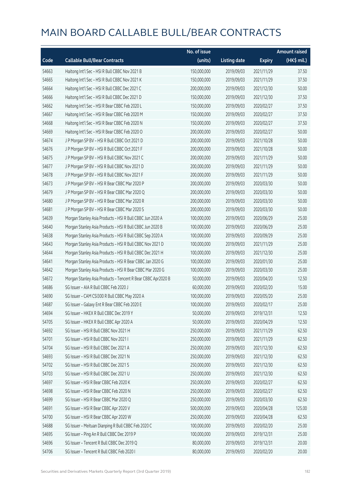|       |                                                              | No. of issue |                     |               | <b>Amount raised</b> |
|-------|--------------------------------------------------------------|--------------|---------------------|---------------|----------------------|
| Code  | <b>Callable Bull/Bear Contracts</b>                          | (units)      | <b>Listing date</b> | <b>Expiry</b> | $(HK\$ mil.)         |
| 54663 | Haitong Int'l Sec - HSI R Bull CBBC Nov 2021 B               | 150,000,000  | 2019/09/03          | 2021/11/29    | 37.50                |
| 54665 | Haitong Int'l Sec - HSI R Bull CBBC Nov 2021 K               | 150,000,000  | 2019/09/03          | 2021/11/29    | 37.50                |
| 54664 | Haitong Int'l Sec - HSI R Bull CBBC Dec 2021 C               | 200,000,000  | 2019/09/03          | 2021/12/30    | 50.00                |
| 54666 | Haitong Int'l Sec - HSI R Bull CBBC Dec 2021 D               | 150,000,000  | 2019/09/03          | 2021/12/30    | 37.50                |
| 54662 | Haitong Int'l Sec - HSI R Bear CBBC Feb 2020 L               | 150,000,000  | 2019/09/03          | 2020/02/27    | 37.50                |
| 54667 | Haitong Int'l Sec - HSI R Bear CBBC Feb 2020 M               | 150,000,000  | 2019/09/03          | 2020/02/27    | 37.50                |
| 54668 | Haitong Int'l Sec - HSI R Bear CBBC Feb 2020 N               | 150,000,000  | 2019/09/03          | 2020/02/27    | 37.50                |
| 54669 | Haitong Int'l Sec - HSI R Bear CBBC Feb 2020 O               | 200,000,000  | 2019/09/03          | 2020/02/27    | 50.00                |
| 54674 | J P Morgan SP BV - HSI R Bull CBBC Oct 2021 D                | 200,000,000  | 2019/09/03          | 2021/10/28    | 50.00                |
| 54676 | J P Morgan SP BV - HSI R Bull CBBC Oct 2021 F                | 200,000,000  | 2019/09/03          | 2021/10/28    | 50.00                |
| 54675 | J P Morgan SP BV - HSI R Bull CBBC Nov 2021 C                | 200,000,000  | 2019/09/03          | 2021/11/29    | 50.00                |
| 54677 | J P Morgan SP BV - HSI R Bull CBBC Nov 2021 D                | 200,000,000  | 2019/09/03          | 2021/11/29    | 50.00                |
| 54678 | J P Morgan SP BV - HSI R Bull CBBC Nov 2021 F                | 200,000,000  | 2019/09/03          | 2021/11/29    | 50.00                |
| 54673 | J P Morgan SP BV - HSI R Bear CBBC Mar 2020 P                | 200,000,000  | 2019/09/03          | 2020/03/30    | 50.00                |
| 54679 | J P Morgan SP BV - HSI R Bear CBBC Mar 2020 Q                | 200,000,000  | 2019/09/03          | 2020/03/30    | 50.00                |
| 54680 | J P Morgan SP BV - HSI R Bear CBBC Mar 2020 R                | 200,000,000  | 2019/09/03          | 2020/03/30    | 50.00                |
| 54681 | J P Morgan SP BV - HSI R Bear CBBC Mar 2020 S                | 200,000,000  | 2019/09/03          | 2020/03/30    | 50.00                |
| 54639 | Morgan Stanley Asia Products - HSI R Bull CBBC Jun 2020 A    | 100,000,000  | 2019/09/03          | 2020/06/29    | 25.00                |
| 54640 | Morgan Stanley Asia Products - HSI R Bull CBBC Jun 2020 B    | 100,000,000  | 2019/09/03          | 2020/06/29    | 25.00                |
| 54638 | Morgan Stanley Asia Products - HSI R Bull CBBC Sep 2020 A    | 100,000,000  | 2019/09/03          | 2020/09/29    | 25.00                |
| 54643 | Morgan Stanley Asia Products - HSI R Bull CBBC Nov 2021 D    | 100,000,000  | 2019/09/03          | 2021/11/29    | 25.00                |
| 54644 | Morgan Stanley Asia Products - HSI R Bull CBBC Dec 2021 H    | 100,000,000  | 2019/09/03          | 2021/12/30    | 25.00                |
| 54641 | Morgan Stanley Asia Products - HSI R Bear CBBC Jan 2020 G    | 100,000,000  | 2019/09/03          | 2020/01/30    | 25.00                |
| 54642 | Morgan Stanley Asia Products - HSI R Bear CBBC Mar 2020 G    | 100,000,000  | 2019/09/03          | 2020/03/30    | 25.00                |
| 54672 | Morgan Stanley Asia Products - Tencent R Bear CBBC Apr2020 B | 50,000,000   | 2019/09/03          | 2020/04/20    | 12.50                |
| 54686 | SG Issuer - AIA R Bull CBBC Feb 2020 J                       | 60,000,000   | 2019/09/03          | 2020/02/20    | 15.00                |
| 54690 | SG Issuer - CAM CSI300 R Bull CBBC May 2020 A                | 100,000,000  | 2019/09/03          | 2020/05/20    | 25.00                |
| 54687 | SG Issuer - Galaxy Ent R Bear CBBC Feb 2020 E                | 100,000,000  | 2019/09/03          | 2020/02/17    | 25.00                |
| 54694 | SG Issuer - HKEX R Bull CBBC Dec 2019 Y                      | 50,000,000   | 2019/09/03          | 2019/12/31    | 12.50                |
| 54705 | SG Issuer - HKEX R Bull CBBC Apr 2020 A                      | 50,000,000   | 2019/09/03          | 2020/04/29    | 12.50                |
| 54692 | SG Issuer - HSI R Bull CBBC Nov 2021 H                       | 250,000,000  | 2019/09/03          | 2021/11/29    | 62.50                |
| 54701 | SG Issuer - HSI R Bull CBBC Nov 2021 I                       | 250,000,000  | 2019/09/03          | 2021/11/29    | 62.50                |
| 54704 | SG Issuer - HSI R Bull CBBC Dec 2021 A                       | 250,000,000  | 2019/09/03          | 2021/12/30    | 62.50                |
| 54693 | SG Issuer - HSI R Bull CBBC Dec 2021 N                       | 250,000,000  | 2019/09/03          | 2021/12/30    | 62.50                |
| 54702 | SG Issuer - HSI R Bull CBBC Dec 2021 S                       | 250,000,000  | 2019/09/03          | 2021/12/30    | 62.50                |
| 54703 | SG Issuer - HSI R Bull CBBC Dec 2021 U                       | 250,000,000  | 2019/09/03          | 2021/12/30    | 62.50                |
| 54697 | SG Issuer - HSI R Bear CBBC Feb 2020 K                       | 250,000,000  | 2019/09/03          | 2020/02/27    | 62.50                |
| 54698 | SG Issuer - HSI R Bear CBBC Feb 2020 N                       | 250,000,000  | 2019/09/03          | 2020/02/27    | 62.50                |
| 54699 | SG Issuer - HSI R Bear CBBC Mar 2020 Q                       | 250,000,000  | 2019/09/03          | 2020/03/30    | 62.50                |
| 54691 | SG Issuer - HSI R Bear CBBC Apr 2020 V                       | 500,000,000  | 2019/09/03          | 2020/04/28    | 125.00               |
| 54700 | SG Issuer - HSI R Bear CBBC Apr 2020 W                       | 250,000,000  | 2019/09/03          | 2020/04/28    | 62.50                |
| 54688 | SG Issuer - Meituan Dianping R Bull CBBC Feb 2020 C          | 100,000,000  | 2019/09/03          | 2020/02/20    | 25.00                |
| 54695 | SG Issuer - Ping An R Bull CBBC Dec 2019 P                   | 100,000,000  | 2019/09/03          | 2019/12/31    | 25.00                |
| 54696 | SG Issuer - Tencent R Bull CBBC Dec 2019 Q                   | 80,000,000   | 2019/09/03          | 2019/12/31    | 20.00                |
| 54706 | SG Issuer - Tencent R Bull CBBC Feb 2020 I                   | 80,000,000   | 2019/09/03          | 2020/02/20    | 20.00                |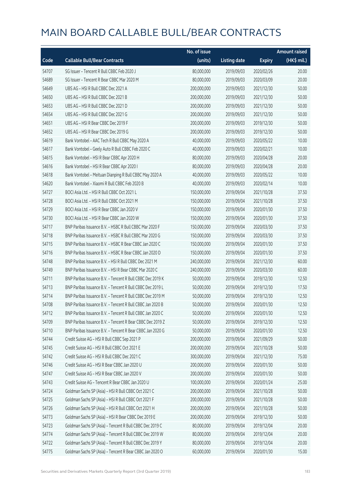|       |                                                            | No. of issue |                     |               | <b>Amount raised</b> |
|-------|------------------------------------------------------------|--------------|---------------------|---------------|----------------------|
| Code  | <b>Callable Bull/Bear Contracts</b>                        | (units)      | <b>Listing date</b> | <b>Expiry</b> | (HK\$ mil.)          |
| 54707 | SG Issuer - Tencent R Bull CBBC Feb 2020 J                 | 80,000,000   | 2019/09/03          | 2020/02/26    | 20.00                |
| 54689 | SG Issuer - Tencent R Bear CBBC Mar 2020 M                 | 80,000,000   | 2019/09/03          | 2020/03/09    | 20.00                |
| 54649 | UBS AG - HSI R Bull CBBC Dec 2021 A                        | 200,000,000  | 2019/09/03          | 2021/12/30    | 50.00                |
| 54650 | UBS AG - HSI R Bull CBBC Dec 2021 B                        | 200,000,000  | 2019/09/03          | 2021/12/30    | 50.00                |
| 54653 | UBS AG - HSI R Bull CBBC Dec 2021 D                        | 200,000,000  | 2019/09/03          | 2021/12/30    | 50.00                |
| 54654 | UBS AG - HSI R Bull CBBC Dec 2021 G                        | 200,000,000  | 2019/09/03          | 2021/12/30    | 50.00                |
| 54651 | UBS AG - HSI R Bear CBBC Dec 2019 F                        | 200,000,000  | 2019/09/03          | 2019/12/30    | 50.00                |
| 54652 | UBS AG - HSI R Bear CBBC Dec 2019 G                        | 200,000,000  | 2019/09/03          | 2019/12/30    | 50.00                |
| 54619 | Bank Vontobel - AAC Tech R Bull CBBC May 2020 A            | 40,000,000   | 2019/09/03          | 2020/05/22    | 10.00                |
| 54617 | Bank Vontobel - Geely Auto R Bull CBBC Feb 2020 C          | 40,000,000   | 2019/09/03          | 2020/02/21    | 10.00                |
| 54615 | Bank Vontobel - HSI R Bear CBBC Apr 2020 H                 | 80,000,000   | 2019/09/03          | 2020/04/28    | 20.00                |
| 54616 | Bank Vontobel - HSI R Bear CBBC Apr 2020 I                 | 80,000,000   | 2019/09/03          | 2020/04/28    | 20.00                |
| 54618 | Bank Vontobel - Meituan Dianping R Bull CBBC May 2020 A    | 40,000,000   | 2019/09/03          | 2020/05/22    | 10.00                |
| 54620 | Bank Vontobel - Xiaomi R Bull CBBC Feb 2020 B              | 40,000,000   | 2019/09/03          | 2020/02/14    | 10.00                |
| 54727 | BOCI Asia Ltd. - HSI R Bull CBBC Oct 2021 L                | 150,000,000  | 2019/09/04          | 2021/10/28    | 37.50                |
| 54728 | BOCI Asia Ltd. - HSI R Bull CBBC Oct 2021 M                | 150,000,000  | 2019/09/04          | 2021/10/28    | 37.50                |
| 54729 | BOCI Asia Ltd. - HSI R Bear CBBC Jan 2020 V                | 150,000,000  | 2019/09/04          | 2020/01/30    | 37.50                |
| 54730 | BOCI Asia Ltd. - HSI R Bear CBBC Jan 2020 W                | 150,000,000  | 2019/09/04          | 2020/01/30    | 37.50                |
| 54717 | BNP Paribas Issuance B.V. - HSBC R Bull CBBC Mar 2020 F    | 150,000,000  | 2019/09/04          | 2020/03/30    | 37.50                |
| 54718 | BNP Paribas Issuance B.V. - HSBC R Bull CBBC Mar 2020 G    | 150,000,000  | 2019/09/04          | 2020/03/30    | 37.50                |
| 54715 | BNP Paribas Issuance B.V. - HSBC R Bear CBBC Jan 2020 C    | 150,000,000  | 2019/09/04          | 2020/01/30    | 37.50                |
| 54716 | BNP Paribas Issuance B.V. - HSBC R Bear CBBC Jan 2020 D    | 150,000,000  | 2019/09/04          | 2020/01/30    | 37.50                |
| 54748 | BNP Paribas Issuance B.V. - HSI R Bull CBBC Dec 2021 M     | 240,000,000  | 2019/09/04          | 2021/12/30    | 60.00                |
| 54749 | BNP Paribas Issuance B.V. - HSI R Bear CBBC Mar 2020 C     | 240,000,000  | 2019/09/04          | 2020/03/30    | 60.00                |
| 54711 | BNP Paribas Issuance B.V. - Tencent R Bull CBBC Dec 2019 K | 50,000,000   | 2019/09/04          | 2019/12/30    | 12.50                |
| 54713 | BNP Paribas Issuance B.V. - Tencent R Bull CBBC Dec 2019 L | 50,000,000   | 2019/09/04          | 2019/12/30    | 17.50                |
| 54714 | BNP Paribas Issuance B.V. - Tencent R Bull CBBC Dec 2019 M | 50,000,000   | 2019/09/04          | 2019/12/30    | 12.50                |
| 54708 | BNP Paribas Issuance B.V. - Tencent R Bull CBBC Jan 2020 B | 50,000,000   | 2019/09/04          | 2020/01/30    | 12.50                |
| 54712 | BNP Paribas Issuance B.V. - Tencent R Bull CBBC Jan 2020 C | 50,000,000   | 2019/09/04          | 2020/01/30    | 12.50                |
| 54709 | BNP Paribas Issuance B.V. - Tencent R Bear CBBC Dec 2019 Z | 50,000,000   | 2019/09/04          | 2019/12/30    | 12.50                |
| 54710 | BNP Paribas Issuance B.V. - Tencent R Bear CBBC Jan 2020 G | 50,000,000   | 2019/09/04          | 2020/01/30    | 12.50                |
| 54744 | Credit Suisse AG - HSI R Bull CBBC Sep 2021 P              | 200,000,000  | 2019/09/04          | 2021/09/29    | 50.00                |
| 54745 | Credit Suisse AG - HSI R Bull CBBC Oct 2021 E              | 200,000,000  | 2019/09/04          | 2021/10/28    | 50.00                |
| 54742 | Credit Suisse AG - HSI R Bull CBBC Dec 2021 C              | 300,000,000  | 2019/09/04          | 2021/12/30    | 75.00                |
| 54746 | Credit Suisse AG - HSI R Bear CBBC Jan 2020 U              | 200,000,000  | 2019/09/04          | 2020/01/30    | 50.00                |
| 54747 | Credit Suisse AG - HSI R Bear CBBC Jan 2020 V              | 200,000,000  | 2019/09/04          | 2020/01/30    | 50.00                |
| 54743 | Credit Suisse AG - Tencent R Bear CBBC Jan 2020 U          | 100,000,000  | 2019/09/04          | 2020/01/24    | 25.00                |
| 54724 | Goldman Sachs SP (Asia) - HSI R Bull CBBC Oct 2021 C       | 200,000,000  | 2019/09/04          | 2021/10/28    | 50.00                |
| 54725 | Goldman Sachs SP (Asia) - HSI R Bull CBBC Oct 2021 F       | 200,000,000  | 2019/09/04          | 2021/10/28    | 50.00                |
| 54726 | Goldman Sachs SP (Asia) - HSI R Bull CBBC Oct 2021 H       | 200,000,000  | 2019/09/04          | 2021/10/28    | 50.00                |
| 54773 | Goldman Sachs SP (Asia) - HSI R Bear CBBC Dec 2019 E       | 200,000,000  | 2019/09/04          | 2019/12/30    | 50.00                |
| 54723 | Goldman Sachs SP (Asia) - Tencent R Bull CBBC Dec 2019 C   | 80,000,000   | 2019/09/04          | 2019/12/04    | 20.00                |
| 54774 | Goldman Sachs SP (Asia) - Tencent R Bull CBBC Dec 2019 W   | 80,000,000   | 2019/09/04          | 2019/12/04    | 20.00                |
| 54722 | Goldman Sachs SP (Asia) - Tencent R Bull CBBC Dec 2019 Y   | 80,000,000   | 2019/09/04          | 2019/12/04    | 20.00                |
| 54775 | Goldman Sachs SP (Asia) - Tencent R Bear CBBC Jan 2020 O   | 60,000,000   | 2019/09/04          | 2020/01/30    | 15.00                |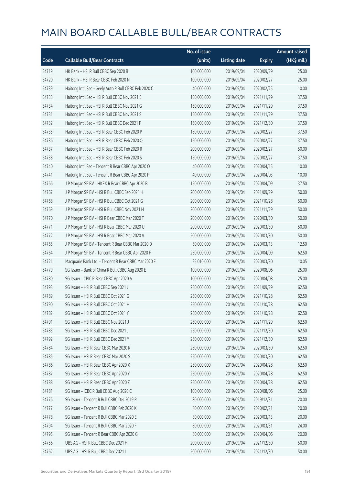|       |                                                       | No. of issue |                     |               | <b>Amount raised</b> |
|-------|-------------------------------------------------------|--------------|---------------------|---------------|----------------------|
| Code  | <b>Callable Bull/Bear Contracts</b>                   | (units)      | <b>Listing date</b> | <b>Expiry</b> | (HK\$ mil.)          |
| 54719 | HK Bank - HSI R Bull CBBC Sep 2020 B                  | 100,000,000  | 2019/09/04          | 2020/09/29    | 25.00                |
| 54720 | HK Bank - HSI R Bear CBBC Feb 2020 N                  | 100,000,000  | 2019/09/04          | 2020/02/27    | 25.00                |
| 54739 | Haitong Int'l Sec - Geely Auto R Bull CBBC Feb 2020 C | 40,000,000   | 2019/09/04          | 2020/02/25    | 10.00                |
| 54733 | Haitong Int'l Sec - HSI R Bull CBBC Nov 2021 E        | 150,000,000  | 2019/09/04          | 2021/11/29    | 37.50                |
| 54734 | Haitong Int'l Sec - HSI R Bull CBBC Nov 2021 G        | 150,000,000  | 2019/09/04          | 2021/11/29    | 37.50                |
| 54731 | Haitong Int'l Sec - HSI R Bull CBBC Nov 2021 S        | 150,000,000  | 2019/09/04          | 2021/11/29    | 37.50                |
| 54732 | Haitong Int'l Sec - HSI R Bull CBBC Dec 2021 F        | 150,000,000  | 2019/09/04          | 2021/12/30    | 37.50                |
| 54735 | Haitong Int'l Sec - HSI R Bear CBBC Feb 2020 P        | 150,000,000  | 2019/09/04          | 2020/02/27    | 37.50                |
| 54736 | Haitong Int'l Sec - HSI R Bear CBBC Feb 2020 Q        | 150,000,000  | 2019/09/04          | 2020/02/27    | 37.50                |
| 54737 | Haitong Int'l Sec - HSI R Bear CBBC Feb 2020 R        | 200,000,000  | 2019/09/04          | 2020/02/27    | 50.00                |
| 54738 | Haitong Int'l Sec - HSI R Bear CBBC Feb 2020 S        | 150,000,000  | 2019/09/04          | 2020/02/27    | 37.50                |
| 54740 | Haitong Int'l Sec - Tencent R Bear CBBC Apr 2020 O    | 40,000,000   | 2019/09/04          | 2020/04/15    | 10.00                |
| 54741 | Haitong Int'l Sec - Tencent R Bear CBBC Apr 2020 P    | 40,000,000   | 2019/09/04          | 2020/04/03    | 10.00                |
| 54766 | J P Morgan SP BV - HKEX R Bear CBBC Apr 2020 B        | 150,000,000  | 2019/09/04          | 2020/04/09    | 37.50                |
| 54767 | J P Morgan SP BV - HSI R Bull CBBC Sep 2021 H         | 200,000,000  | 2019/09/04          | 2021/09/29    | 50.00                |
| 54768 | J P Morgan SP BV - HSI R Bull CBBC Oct 2021 G         | 200,000,000  | 2019/09/04          | 2021/10/28    | 50.00                |
| 54769 | JP Morgan SP BV - HSIR Bull CBBC Nov 2021 H           | 200,000,000  | 2019/09/04          | 2021/11/29    | 50.00                |
| 54770 | J P Morgan SP BV - HSI R Bear CBBC Mar 2020 T         | 200,000,000  | 2019/09/04          | 2020/03/30    | 50.00                |
| 54771 | J P Morgan SP BV - HSI R Bear CBBC Mar 2020 U         | 200,000,000  | 2019/09/04          | 2020/03/30    | 50.00                |
| 54772 | J P Morgan SP BV - HSI R Bear CBBC Mar 2020 V         | 200,000,000  | 2019/09/04          | 2020/03/30    | 50.00                |
| 54765 | J P Morgan SP BV - Tencent R Bear CBBC Mar 2020 D     | 50,000,000   | 2019/09/04          | 2020/03/13    | 12.50                |
| 54764 | J P Morgan SP BV - Tencent R Bear CBBC Apr 2020 F     | 250,000,000  | 2019/09/04          | 2020/04/09    | 62.50                |
| 54721 | Macquarie Bank Ltd. - Tencent R Bear CBBC Mar 2020 E  | 25,010,000   | 2019/09/04          | 2020/03/30    | 10.05                |
| 54779 | SG Issuer - Bank of China R Bull CBBC Aug 2020 E      | 100,000,000  | 2019/09/04          | 2020/08/06    | 25.00                |
| 54780 | SG Issuer - CPIC R Bear CBBC Apr 2020 A               | 100,000,000  | 2019/09/04          | 2020/04/08    | 25.00                |
| 54793 | SG Issuer - HSI R Bull CBBC Sep 2021 J                | 250,000,000  | 2019/09/04          | 2021/09/29    | 62.50                |
| 54789 | SG Issuer - HSI R Bull CBBC Oct 2021 G                | 250,000,000  | 2019/09/04          | 2021/10/28    | 62.50                |
| 54790 | SG Issuer - HSLR Bull CBBC Oct 2021 H                 | 250,000,000  | 2019/09/04          | 2021/10/28    | 62.50                |
| 54782 | SG Issuer - HSI R Bull CBBC Oct 2021 Y                | 250,000,000  | 2019/09/04          | 2021/10/28    | 62.50                |
| 54791 | SG Issuer - HSI R Bull CBBC Nov 2021 J                | 250,000,000  | 2019/09/04          | 2021/11/29    | 62.50                |
| 54783 | SG Issuer - HSI R Bull CBBC Dec 2021 J                | 250,000,000  | 2019/09/04          | 2021/12/30    | 62.50                |
| 54792 | SG Issuer - HSI R Bull CBBC Dec 2021 Y                | 250,000,000  | 2019/09/04          | 2021/12/30    | 62.50                |
| 54784 | SG Issuer - HSI R Bear CBBC Mar 2020 R                | 250,000,000  | 2019/09/04          | 2020/03/30    | 62.50                |
| 54785 | SG Issuer - HSI R Bear CBBC Mar 2020 S                | 250,000,000  | 2019/09/04          | 2020/03/30    | 62.50                |
| 54786 | SG Issuer - HSI R Bear CBBC Apr 2020 X                | 250,000,000  | 2019/09/04          | 2020/04/28    | 62.50                |
| 54787 | SG Issuer - HSI R Bear CBBC Apr 2020 Y                | 250,000,000  | 2019/09/04          | 2020/04/28    | 62.50                |
| 54788 | SG Issuer - HSI R Bear CBBC Apr 2020 Z                | 250,000,000  | 2019/09/04          | 2020/04/28    | 62.50                |
| 54781 | SG Issuer - ICBC R Bull CBBC Aug 2020 C               | 100,000,000  | 2019/09/04          | 2020/08/06    | 25.00                |
| 54776 | SG Issuer - Tencent R Bull CBBC Dec 2019 R            | 80,000,000   | 2019/09/04          | 2019/12/31    | 20.00                |
| 54777 | SG Issuer - Tencent R Bull CBBC Feb 2020 K            | 80,000,000   | 2019/09/04          | 2020/02/21    | 20.00                |
| 54778 | SG Issuer - Tencent R Bull CBBC Mar 2020 E            | 80,000,000   | 2019/09/04          | 2020/03/13    | 20.00                |
| 54794 | SG Issuer - Tencent R Bull CBBC Mar 2020 F            | 80,000,000   | 2019/09/04          | 2020/03/31    | 24.00                |
| 54795 | SG Issuer - Tencent R Bear CBBC Apr 2020 G            | 80,000,000   | 2019/09/04          | 2020/04/06    | 20.00                |
| 54756 | UBS AG - HSI R Bull CBBC Dec 2021 H                   | 200,000,000  | 2019/09/04          | 2021/12/30    | 50.00                |
| 54762 | UBS AG - HSI R Bull CBBC Dec 2021 I                   | 200,000,000  | 2019/09/04          | 2021/12/30    | 50.00                |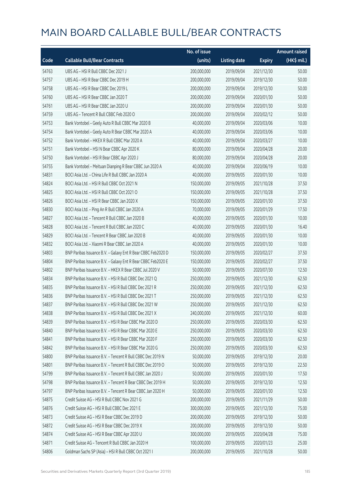|       |                                                              | No. of issue |                     |               | <b>Amount raised</b> |
|-------|--------------------------------------------------------------|--------------|---------------------|---------------|----------------------|
| Code  | <b>Callable Bull/Bear Contracts</b>                          | (units)      | <b>Listing date</b> | <b>Expiry</b> | (HK\$ mil.)          |
| 54763 | UBS AG - HSI R Bull CBBC Dec 2021 J                          | 200,000,000  | 2019/09/04          | 2021/12/30    | 50.00                |
| 54757 | UBS AG - HSI R Bear CBBC Dec 2019 H                          | 200,000,000  | 2019/09/04          | 2019/12/30    | 50.00                |
| 54758 | UBS AG - HSI R Bear CBBC Dec 2019 L                          | 200,000,000  | 2019/09/04          | 2019/12/30    | 50.00                |
| 54760 | UBS AG - HSI R Bear CBBC Jan 2020 T                          | 200,000,000  | 2019/09/04          | 2020/01/30    | 50.00                |
| 54761 | UBS AG - HSI R Bear CBBC Jan 2020 U                          | 200,000,000  | 2019/09/04          | 2020/01/30    | 50.00                |
| 54759 | UBS AG - Tencent R Bull CBBC Feb 2020 O                      | 200,000,000  | 2019/09/04          | 2020/02/12    | 50.00                |
| 54753 | Bank Vontobel - Geely Auto R Bull CBBC Mar 2020 B            | 40,000,000   | 2019/09/04          | 2020/03/06    | 10.00                |
| 54754 | Bank Vontobel - Geely Auto R Bear CBBC Mar 2020 A            | 40,000,000   | 2019/09/04          | 2020/03/06    | 10.00                |
| 54752 | Bank Vontobel - HKEX R Bull CBBC Mar 2020 A                  | 40,000,000   | 2019/09/04          | 2020/03/27    | 10.00                |
| 54751 | Bank Vontobel - HSI N Bear CBBC Apr 2020 K                   | 80,000,000   | 2019/09/04          | 2020/04/28    | 20.00                |
| 54750 | Bank Vontobel - HSI R Bear CBBC Apr 2020 J                   | 80,000,000   | 2019/09/04          | 2020/04/28    | 20.00                |
| 54755 | Bank Vontobel - Meituan Dianping R Bear CBBC Jun 2020 A      | 40,000,000   | 2019/09/04          | 2020/06/19    | 10.00                |
| 54831 | BOCI Asia Ltd. - China Life R Bull CBBC Jan 2020 A           | 40,000,000   | 2019/09/05          | 2020/01/30    | 10.00                |
| 54824 | BOCI Asia Ltd. - HSI R Bull CBBC Oct 2021 N                  | 150,000,000  | 2019/09/05          | 2021/10/28    | 37.50                |
| 54825 | BOCI Asia Ltd. - HSI R Bull CBBC Oct 2021 O                  | 150,000,000  | 2019/09/05          | 2021/10/28    | 37.50                |
| 54826 | BOCI Asia Ltd. - HSI R Bear CBBC Jan 2020 X                  | 150,000,000  | 2019/09/05          | 2020/01/30    | 37.50                |
| 54830 | BOCI Asia Ltd. - Ping An R Bull CBBC Jan 2020 A              | 70,000,000   | 2019/09/05          | 2020/01/29    | 17.50                |
| 54827 | BOCI Asia Ltd. - Tencent R Bull CBBC Jan 2020 B              | 40,000,000   | 2019/09/05          | 2020/01/30    | 10.00                |
| 54828 | BOCI Asia Ltd. - Tencent R Bull CBBC Jan 2020 C              | 40,000,000   | 2019/09/05          | 2020/01/30    | 16.40                |
| 54829 | BOCI Asia Ltd. - Tencent R Bear CBBC Jan 2020 B              | 40,000,000   | 2019/09/05          | 2020/01/30    | 10.00                |
| 54832 | BOCI Asia Ltd. - Xiaomi R Bear CBBC Jan 2020 A               | 40,000,000   | 2019/09/05          | 2020/01/30    | 10.00                |
| 54803 | BNP Paribas Issuance B.V. - Galaxy Ent R Bear CBBC Feb2020 D | 150,000,000  | 2019/09/05          | 2020/02/27    | 37.50                |
| 54804 | BNP Paribas Issuance B.V. - Galaxy Ent R Bear CBBC Feb2020 E | 150,000,000  | 2019/09/05          | 2020/02/27    | 37.50                |
| 54802 | BNP Paribas Issuance B.V. - HKEX R Bear CBBC Jul 2020 V      | 50,000,000   | 2019/09/05          | 2020/07/30    | 12.50                |
| 54834 | BNP Paribas Issuance B.V. - HSI R Bull CBBC Dec 2021 Q       | 250,000,000  | 2019/09/05          | 2021/12/30    | 62.50                |
| 54835 | BNP Paribas Issuance B.V. - HSI R Bull CBBC Dec 2021 R       | 250,000,000  | 2019/09/05          | 2021/12/30    | 62.50                |
| 54836 | BNP Paribas Issuance B.V. - HSI R Bull CBBC Dec 2021 T       | 250,000,000  | 2019/09/05          | 2021/12/30    | 62.50                |
| 54837 | BNP Paribas Issuance B.V. - HSI R Bull CBBC Dec 2021 W       | 250,000,000  | 2019/09/05          | 2021/12/30    | 62.50                |
| 54838 | BNP Paribas Issuance B.V. - HSI R Bull CBBC Dec 2021 X       | 240,000,000  | 2019/09/05          | 2021/12/30    | 60.00                |
| 54839 | BNP Paribas Issuance B.V. - HSI R Bear CBBC Mar 2020 D       | 250,000,000  | 2019/09/05          | 2020/03/30    | 62.50                |
| 54840 | BNP Paribas Issuance B.V. - HSI R Bear CBBC Mar 2020 E       | 250,000,000  | 2019/09/05          | 2020/03/30    | 62.50                |
| 54841 | BNP Paribas Issuance B.V. - HSI R Bear CBBC Mar 2020 F       | 250,000,000  | 2019/09/05          | 2020/03/30    | 62.50                |
| 54842 | BNP Paribas Issuance B.V. - HSI R Bear CBBC Mar 2020 G       | 250,000,000  | 2019/09/05          | 2020/03/30    | 62.50                |
| 54800 | BNP Paribas Issuance B.V. - Tencent R Bull CBBC Dec 2019 N   | 50,000,000   | 2019/09/05          | 2019/12/30    | 20.00                |
| 54801 | BNP Paribas Issuance B.V. - Tencent R Bull CBBC Dec 2019 O   | 50,000,000   | 2019/09/05          | 2019/12/30    | 22.50                |
| 54799 | BNP Paribas Issuance B.V. - Tencent R Bull CBBC Jan 2020 J   | 50,000,000   | 2019/09/05          | 2020/01/30    | 17.50                |
| 54798 | BNP Paribas Issuance B.V. - Tencent R Bear CBBC Dec 2019 H   | 50,000,000   | 2019/09/05          | 2019/12/30    | 12.50                |
| 54797 | BNP Paribas Issuance B.V. - Tencent R Bear CBBC Jan 2020 H   | 50,000,000   | 2019/09/05          | 2020/01/30    | 12.50                |
| 54875 | Credit Suisse AG - HSI R Bull CBBC Nov 2021 G                | 200,000,000  | 2019/09/05          | 2021/11/29    | 50.00                |
| 54876 | Credit Suisse AG - HSI R Bull CBBC Dec 2021 E                | 300,000,000  | 2019/09/05          | 2021/12/30    | 75.00                |
| 54873 | Credit Suisse AG - HSI R Bear CBBC Dec 2019 D                | 200,000,000  | 2019/09/05          | 2019/12/30    | 50.00                |
| 54872 | Credit Suisse AG - HSI R Bear CBBC Dec 2019 X                | 200,000,000  | 2019/09/05          | 2019/12/30    | 50.00                |
| 54874 | Credit Suisse AG - HSI R Bear CBBC Apr 2020 U                | 300,000,000  | 2019/09/05          | 2020/04/28    | 75.00                |
| 54871 | Credit Suisse AG - Tencent R Bull CBBC Jan 2020 H            | 100,000,000  | 2019/09/05          | 2020/01/23    | 25.00                |
| 54806 | Goldman Sachs SP (Asia) - HSI R Bull CBBC Oct 2021 I         | 200,000,000  | 2019/09/05          | 2021/10/28    | 50.00                |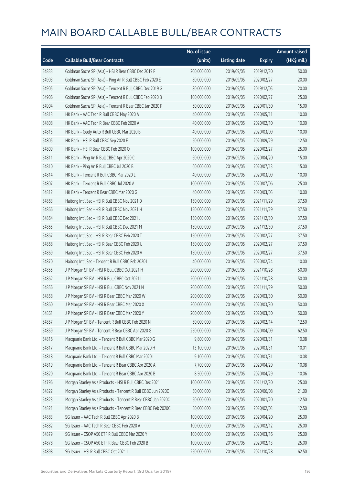|       |                                                              | No. of issue |                     |               | Amount raised |
|-------|--------------------------------------------------------------|--------------|---------------------|---------------|---------------|
| Code  | <b>Callable Bull/Bear Contracts</b>                          | (units)      | <b>Listing date</b> | <b>Expiry</b> | (HK\$ mil.)   |
| 54833 | Goldman Sachs SP (Asia) - HSI R Bear CBBC Dec 2019 F         | 200,000,000  | 2019/09/05          | 2019/12/30    | 50.00         |
| 54903 | Goldman Sachs SP (Asia) - Ping An R Bull CBBC Feb 2020 E     | 80,000,000   | 2019/09/05          | 2020/02/27    | 20.00         |
| 54905 | Goldman Sachs SP (Asia) - Tencent R Bull CBBC Dec 2019 G     | 80,000,000   | 2019/09/05          | 2019/12/05    | 20.00         |
| 54906 | Goldman Sachs SP (Asia) - Tencent R Bull CBBC Feb 2020 B     | 100,000,000  | 2019/09/05          | 2020/02/27    | 25.00         |
| 54904 | Goldman Sachs SP (Asia) - Tencent R Bear CBBC Jan 2020 P     | 60,000,000   | 2019/09/05          | 2020/01/30    | 15.00         |
| 54813 | HK Bank - AAC Tech R Bull CBBC May 2020 A                    | 40,000,000   | 2019/09/05          | 2020/05/11    | 10.00         |
| 54808 | HK Bank - AAC Tech R Bear CBBC Feb 2020 A                    | 40,000,000   | 2019/09/05          | 2020/02/10    | 10.00         |
| 54815 | HK Bank - Geely Auto R Bull CBBC Mar 2020 B                  | 40,000,000   | 2019/09/05          | 2020/03/09    | 10.00         |
| 54805 | HK Bank - HSI R Bull CBBC Sep 2020 E                         | 50,000,000   | 2019/09/05          | 2020/09/29    | 12.50         |
| 54809 | HK Bank - HSI R Bear CBBC Feb 2020 O                         | 100,000,000  | 2019/09/05          | 2020/02/27    | 25.00         |
| 54811 | HK Bank - Ping An R Bull CBBC Apr 2020 C                     | 60,000,000   | 2019/09/05          | 2020/04/20    | 15.00         |
| 54810 | HK Bank - Ping An R Bull CBBC Jul 2020 B                     | 60,000,000   | 2019/09/05          | 2020/07/13    | 15.00         |
| 54814 | HK Bank - Tencent R Bull CBBC Mar 2020 L                     | 40,000,000   | 2019/09/05          | 2020/03/09    | 10.00         |
| 54807 | HK Bank - Tencent R Bull CBBC Jul 2020 A                     | 100,000,000  | 2019/09/05          | 2020/07/06    | 25.00         |
| 54812 | HK Bank - Tencent R Bear CBBC Mar 2020 G                     | 40,000,000   | 2019/09/05          | 2020/03/05    | 10.00         |
| 54863 | Haitong Int'l Sec - HSI R Bull CBBC Nov 2021 D               | 150,000,000  | 2019/09/05          | 2021/11/29    | 37.50         |
| 54866 | Haitong Int'l Sec - HSI R Bull CBBC Nov 2021 H               | 150,000,000  | 2019/09/05          | 2021/11/29    | 37.50         |
| 54864 | Haitong Int'l Sec - HSI R Bull CBBC Dec 2021 J               | 150,000,000  | 2019/09/05          | 2021/12/30    | 37.50         |
| 54865 | Haitong Int'l Sec - HSI R Bull CBBC Dec 2021 M               | 150,000,000  | 2019/09/05          | 2021/12/30    | 37.50         |
| 54867 | Haitong Int'l Sec - HSI R Bear CBBC Feb 2020 T               | 150,000,000  | 2019/09/05          | 2020/02/27    | 37.50         |
| 54868 | Haitong Int'l Sec - HSI R Bear CBBC Feb 2020 U               | 150,000,000  | 2019/09/05          | 2020/02/27    | 37.50         |
| 54869 | Haitong Int'l Sec - HSI R Bear CBBC Feb 2020 V               | 150,000,000  | 2019/09/05          | 2020/02/27    | 37.50         |
| 54870 | Haitong Int'l Sec - Tencent R Bull CBBC Feb 2020 I           | 40,000,000   | 2019/09/05          | 2020/02/24    | 10.00         |
| 54855 | J P Morgan SP BV - HSI R Bull CBBC Oct 2021 H                | 200,000,000  | 2019/09/05          | 2021/10/28    | 50.00         |
| 54862 | J P Morgan SP BV - HSI R Bull CBBC Oct 2021 I                | 200,000,000  | 2019/09/05          | 2021/10/28    | 50.00         |
| 54856 | J P Morgan SP BV - HSI R Bull CBBC Nov 2021 N                | 200,000,000  | 2019/09/05          | 2021/11/29    | 50.00         |
| 54858 | J P Morgan SP BV - HSI R Bear CBBC Mar 2020 W                | 200,000,000  | 2019/09/05          | 2020/03/30    | 50.00         |
| 54860 | J P Morgan SP BV - HSI R Bear CBBC Mar 2020 X                | 200,000,000  | 2019/09/05          | 2020/03/30    | 50.00         |
| 54861 | J P Morgan SP BV - HSI R Bear CBBC Mar 2020 Y                | 200,000,000  | 2019/09/05          | 2020/03/30    | 50.00         |
| 54857 | J P Morgan SP BV - Tencent R Bull CBBC Feb 2020 N            | 50,000,000   | 2019/09/05          | 2020/02/14    | 12.50         |
| 54859 | J P Morgan SP BV - Tencent R Bear CBBC Apr 2020 G            | 250,000,000  | 2019/09/05          | 2020/04/09    | 62.50         |
| 54816 | Macquarie Bank Ltd. - Tencent R Bull CBBC Mar 2020 G         | 9,800,000    | 2019/09/05          | 2020/03/31    | 10.08         |
| 54817 | Macquarie Bank Ltd. - Tencent R Bull CBBC Mar 2020 H         | 13,100,000   | 2019/09/05          | 2020/03/31    | 10.01         |
| 54818 | Macquarie Bank Ltd. - Tencent R Bull CBBC Mar 2020 I         | 9,100,000    | 2019/09/05          | 2020/03/31    | 10.08         |
| 54819 | Macquarie Bank Ltd. - Tencent R Bear CBBC Apr 2020 A         | 7,700,000    | 2019/09/05          | 2020/04/29    | 10.08         |
| 54820 | Macquarie Bank Ltd. - Tencent R Bear CBBC Apr 2020 B         | 8,500,000    | 2019/09/05          | 2020/04/29    | 10.06         |
| 54796 | Morgan Stanley Asia Products - HSI R Bull CBBC Dec 2021 I    | 100,000,000  | 2019/09/05          | 2021/12/30    | 25.00         |
| 54822 | Morgan Stanley Asia Products - Tencent R Bull CBBC Jun 2020C | 50,000,000   | 2019/09/05          | 2020/06/08    | 21.00         |
| 54823 | Morgan Stanley Asia Products - Tencent R Bear CBBC Jan 2020C | 50,000,000   | 2019/09/05          | 2020/01/20    | 12.50         |
| 54821 | Morgan Stanley Asia Products - Tencent R Bear CBBC Feb 2020C | 50,000,000   | 2019/09/05          | 2020/02/03    | 12.50         |
| 54883 | SG Issuer - AAC Tech R Bull CBBC Apr 2020 B                  | 100,000,000  | 2019/09/05          | 2020/04/20    | 25.00         |
| 54882 | SG Issuer - AAC Tech R Bear CBBC Feb 2020 A                  | 100,000,000  | 2019/09/05          | 2020/02/12    | 25.00         |
| 54879 | SG Issuer - CSOP A50 ETF R Bull CBBC Mar 2020 Y              | 100,000,000  | 2019/09/05          | 2020/03/16    | 25.00         |
| 54878 | SG Issuer - CSOP A50 ETF R Bear CBBC Feb 2020 B              | 100,000,000  | 2019/09/05          | 2020/02/13    | 25.00         |
| 54898 | SG Issuer - HSI R Bull CBBC Oct 2021 I                       | 250,000,000  | 2019/09/05          | 2021/10/28    | 62.50         |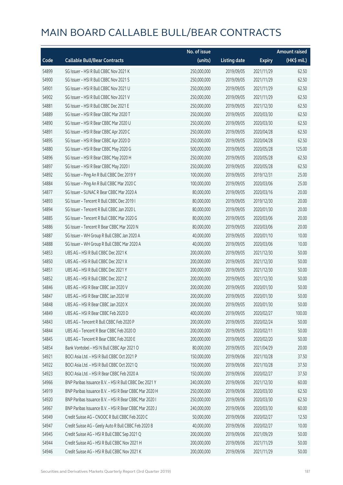|       |                                                        | No. of issue |                     |               | <b>Amount raised</b> |
|-------|--------------------------------------------------------|--------------|---------------------|---------------|----------------------|
| Code  | <b>Callable Bull/Bear Contracts</b>                    | (units)      | <b>Listing date</b> | <b>Expiry</b> | (HK\$ mil.)          |
| 54899 | SG Issuer - HSI R Bull CBBC Nov 2021 K                 | 250,000,000  | 2019/09/05          | 2021/11/29    | 62.50                |
| 54900 | SG Issuer - HSI R Bull CBBC Nov 2021 S                 | 250,000,000  | 2019/09/05          | 2021/11/29    | 62.50                |
| 54901 | SG Issuer - HSI R Bull CBBC Nov 2021 U                 | 250,000,000  | 2019/09/05          | 2021/11/29    | 62.50                |
| 54902 | SG Issuer - HSI R Bull CBBC Nov 2021 V                 | 250,000,000  | 2019/09/05          | 2021/11/29    | 62.50                |
| 54881 | SG Issuer - HSI R Bull CBBC Dec 2021 E                 | 250,000,000  | 2019/09/05          | 2021/12/30    | 62.50                |
| 54889 | SG Issuer - HSI R Bear CBBC Mar 2020 T                 | 250,000,000  | 2019/09/05          | 2020/03/30    | 62.50                |
| 54890 | SG Issuer - HSI R Bear CBBC Mar 2020 U                 | 250,000,000  | 2019/09/05          | 2020/03/30    | 62.50                |
| 54891 | SG Issuer - HSI R Bear CBBC Apr 2020 C                 | 250,000,000  | 2019/09/05          | 2020/04/28    | 62.50                |
| 54895 | SG Issuer - HSI R Bear CBBC Apr 2020 D                 | 250,000,000  | 2019/09/05          | 2020/04/28    | 62.50                |
| 54880 | SG Issuer - HSI R Bear CBBC May 2020 G                 | 500,000,000  | 2019/09/05          | 2020/05/28    | 125.00               |
| 54896 | SG Issuer - HSI R Bear CBBC May 2020 H                 | 250,000,000  | 2019/09/05          | 2020/05/28    | 62.50                |
| 54897 | SG Issuer - HSI R Bear CBBC May 2020 I                 | 250,000,000  | 2019/09/05          | 2020/05/28    | 62.50                |
| 54892 | SG Issuer - Ping An R Bull CBBC Dec 2019 Y             | 100,000,000  | 2019/09/05          | 2019/12/31    | 25.00                |
| 54884 | SG Issuer - Ping An R Bull CBBC Mar 2020 C             | 100,000,000  | 2019/09/05          | 2020/03/06    | 25.00                |
| 54877 | SG Issuer - SUNAC R Bear CBBC Mar 2020 A               | 80,000,000   | 2019/09/05          | 2020/03/16    | 20.00                |
| 54893 | SG Issuer - Tencent R Bull CBBC Dec 2019 I             | 80,000,000   | 2019/09/05          | 2019/12/30    | 20.00                |
| 54894 | SG Issuer - Tencent R Bull CBBC Jan 2020 L             | 80,000,000   | 2019/09/05          | 2020/01/30    | 20.00                |
| 54885 | SG Issuer - Tencent R Bull CBBC Mar 2020 G             | 80,000,000   | 2019/09/05          | 2020/03/06    | 20.00                |
| 54886 | SG Issuer - Tencent R Bear CBBC Mar 2020 N             | 80,000,000   | 2019/09/05          | 2020/03/06    | 20.00                |
| 54887 | SG Issuer - WH Group R Bull CBBC Jan 2020 A            | 40,000,000   | 2019/09/05          | 2020/01/10    | 10.00                |
| 54888 | SG Issuer - WH Group R Bull CBBC Mar 2020 A            | 40,000,000   | 2019/09/05          | 2020/03/06    | 10.00                |
| 54853 | UBS AG - HSI R Bull CBBC Dec 2021 K                    | 200,000,000  | 2019/09/05          | 2021/12/30    | 50.00                |
| 54850 | UBS AG - HSI R Bull CBBC Dec 2021 X                    | 200,000,000  | 2019/09/05          | 2021/12/30    | 50.00                |
| 54851 | UBS AG - HSI R Bull CBBC Dec 2021 Y                    | 200,000,000  | 2019/09/05          | 2021/12/30    | 50.00                |
| 54852 | UBS AG - HSI R Bull CBBC Dec 2021 Z                    | 200,000,000  | 2019/09/05          | 2021/12/30    | 50.00                |
| 54846 | UBS AG - HSI R Bear CBBC Jan 2020 V                    | 200,000,000  | 2019/09/05          | 2020/01/30    | 50.00                |
| 54847 | UBS AG - HSI R Bear CBBC Jan 2020 W                    | 200,000,000  | 2019/09/05          | 2020/01/30    | 50.00                |
| 54848 | UBS AG - HSI R Bear CBBC Jan 2020 X                    | 200,000,000  | 2019/09/05          | 2020/01/30    | 50.00                |
| 54849 | UBS AG - HSI R Bear CBBC Feb 2020 D                    | 400,000,000  | 2019/09/05          | 2020/02/27    | 100.00               |
| 54843 | UBS AG - Tencent R Bull CBBC Feb 2020 P                | 200,000,000  | 2019/09/05          | 2020/02/24    | 50.00                |
| 54844 | UBS AG - Tencent R Bear CBBC Feb 2020 D                | 200,000,000  | 2019/09/05          | 2020/02/11    | 50.00                |
| 54845 | UBS AG - Tencent R Bear CBBC Feb 2020 E                | 200,000,000  | 2019/09/05          | 2020/02/20    | 50.00                |
| 54854 | Bank Vontobel - HSI N Bull CBBC Apr 2021 O             | 80,000,000   | 2019/09/05          | 2021/04/29    | 20.00                |
| 54921 | BOCI Asia Ltd. - HSI R Bull CBBC Oct 2021 P            | 150,000,000  | 2019/09/06          | 2021/10/28    | 37.50                |
| 54922 | BOCI Asia Ltd. - HSI R Bull CBBC Oct 2021 Q            | 150,000,000  | 2019/09/06          | 2021/10/28    | 37.50                |
| 54923 | BOCI Asia Ltd. - HSI R Bear CBBC Feb 2020 A            | 150,000,000  | 2019/09/06          | 2020/02/27    | 37.50                |
| 54966 | BNP Paribas Issuance B.V. - HSI R Bull CBBC Dec 2021 Y | 240,000,000  | 2019/09/06          | 2021/12/30    | 60.00                |
| 54919 | BNP Paribas Issuance B.V. - HSI R Bear CBBC Mar 2020 H | 250,000,000  | 2019/09/06          | 2020/03/30    | 62.50                |
| 54920 | BNP Paribas Issuance B.V. - HSI R Bear CBBC Mar 2020 I | 250,000,000  | 2019/09/06          | 2020/03/30    | 62.50                |
| 54967 | BNP Paribas Issuance B.V. - HSI R Bear CBBC Mar 2020 J | 240,000,000  | 2019/09/06          | 2020/03/30    | 60.00                |
| 54949 | Credit Suisse AG - CNOOC R Bull CBBC Feb 2020 C        | 50,000,000   | 2019/09/06          | 2020/02/27    | 12.50                |
| 54947 | Credit Suisse AG - Geely Auto R Bull CBBC Feb 2020 B   | 40,000,000   | 2019/09/06          | 2020/02/27    | 10.00                |
| 54945 | Credit Suisse AG - HSI R Bull CBBC Sep 2021 Q          | 200,000,000  | 2019/09/06          | 2021/09/29    | 50.00                |
| 54944 | Credit Suisse AG - HSI R Bull CBBC Nov 2021 H          | 200,000,000  | 2019/09/06          | 2021/11/29    | 50.00                |
| 54946 | Credit Suisse AG - HSI R Bull CBBC Nov 2021 K          | 200,000,000  | 2019/09/06          | 2021/11/29    | 50.00                |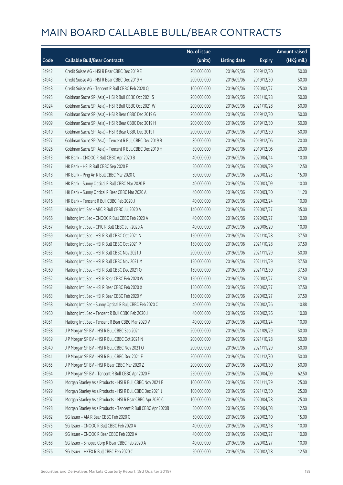|       |                                                              | No. of issue |                     |               | Amount raised |
|-------|--------------------------------------------------------------|--------------|---------------------|---------------|---------------|
| Code  | <b>Callable Bull/Bear Contracts</b>                          | (units)      | <b>Listing date</b> | <b>Expiry</b> | (HK\$ mil.)   |
| 54942 | Credit Suisse AG - HSI R Bear CBBC Dec 2019 E                | 200,000,000  | 2019/09/06          | 2019/12/30    | 50.00         |
| 54943 | Credit Suisse AG - HSI R Bear CBBC Dec 2019 H                | 200,000,000  | 2019/09/06          | 2019/12/30    | 50.00         |
| 54948 | Credit Suisse AG - Tencent R Bull CBBC Feb 2020 Q            | 100,000,000  | 2019/09/06          | 2020/02/27    | 25.00         |
| 54925 | Goldman Sachs SP (Asia) - HSI R Bull CBBC Oct 2021 S         | 200,000,000  | 2019/09/06          | 2021/10/28    | 50.00         |
| 54924 | Goldman Sachs SP (Asia) - HSI R Bull CBBC Oct 2021 W         | 200,000,000  | 2019/09/06          | 2021/10/28    | 50.00         |
| 54908 | Goldman Sachs SP (Asia) - HSI R Bear CBBC Dec 2019 G         | 200,000,000  | 2019/09/06          | 2019/12/30    | 50.00         |
| 54909 | Goldman Sachs SP (Asia) - HSI R Bear CBBC Dec 2019 H         | 200,000,000  | 2019/09/06          | 2019/12/30    | 50.00         |
| 54910 | Goldman Sachs SP (Asia) - HSI R Bear CBBC Dec 2019 I         | 200,000,000  | 2019/09/06          | 2019/12/30    | 50.00         |
| 54927 | Goldman Sachs SP (Asia) - Tencent R Bull CBBC Dec 2019 B     | 80,000,000   | 2019/09/06          | 2019/12/06    | 20.00         |
| 54926 | Goldman Sachs SP (Asia) - Tencent R Bull CBBC Dec 2019 H     | 80,000,000   | 2019/09/06          | 2019/12/06    | 20.00         |
| 54913 | HK Bank - CNOOC R Bull CBBC Apr 2020 B                       | 40,000,000   | 2019/09/06          | 2020/04/14    | 10.00         |
| 54917 | HK Bank - HSI R Bull CBBC Sep 2020 F                         | 50,000,000   | 2019/09/06          | 2020/09/29    | 12.50         |
| 54918 | HK Bank - Ping An R Bull CBBC Mar 2020 C                     | 60,000,000   | 2019/09/06          | 2020/03/23    | 15.00         |
| 54914 | HK Bank - Sunny Optical R Bull CBBC Mar 2020 B               | 40,000,000   | 2019/09/06          | 2020/03/09    | 10.00         |
| 54915 | HK Bank - Sunny Optical R Bear CBBC Mar 2020 A               | 40,000,000   | 2019/09/06          | 2020/03/30    | 11.20         |
| 54916 | HK Bank - Tencent R Bull CBBC Feb 2020 J                     | 40,000,000   | 2019/09/06          | 2020/02/24    | 10.00         |
| 54955 | Haitong Int'l Sec - ABC R Bull CBBC Jul 2020 A               | 140,000,000  | 2019/09/06          | 2020/07/27    | 35.00         |
| 54956 | Haitong Int'l Sec - CNOOC R Bull CBBC Feb 2020 A             | 40,000,000   | 2019/09/06          | 2020/02/27    | 10.00         |
| 54957 | Haitong Int'l Sec - CPIC R Bull CBBC Jun 2020 A              | 40,000,000   | 2019/09/06          | 2020/06/29    | 10.00         |
| 54959 | Haitong Int'l Sec - HSI R Bull CBBC Oct 2021 N               | 150,000,000  | 2019/09/06          | 2021/10/28    | 37.50         |
| 54961 | Haitong Int'l Sec - HSI R Bull CBBC Oct 2021 P               | 150,000,000  | 2019/09/06          | 2021/10/28    | 37.50         |
| 54953 | Haitong Int'l Sec - HSI R Bull CBBC Nov 2021 J               | 200,000,000  | 2019/09/06          | 2021/11/29    | 50.00         |
| 54954 | Haitong Int'l Sec - HSI R Bull CBBC Nov 2021 M               | 150,000,000  | 2019/09/06          | 2021/11/29    | 37.50         |
| 54960 | Haitong Int'l Sec - HSI R Bull CBBC Dec 2021 Q               | 150,000,000  | 2019/09/06          | 2021/12/30    | 37.50         |
| 54952 | Haitong Int'l Sec - HSI R Bear CBBC Feb 2020 W               | 150,000,000  | 2019/09/06          | 2020/02/27    | 37.50         |
| 54962 | Haitong Int'l Sec - HSI R Bear CBBC Feb 2020 X               | 150,000,000  | 2019/09/06          | 2020/02/27    | 37.50         |
| 54963 | Haitong Int'l Sec - HSI R Bear CBBC Feb 2020 Y               | 150,000,000  | 2019/09/06          | 2020/02/27    | 37.50         |
| 54958 | Haitong Int'l Sec - Sunny Optical R Bull CBBC Feb 2020 C     | 40,000,000   | 2019/09/06          | 2020/02/26    | 10.88         |
| 54950 | Haitong Int'l Sec - Tencent R Bull CBBC Feb 2020 J           | 40,000,000   | 2019/09/06          | 2020/02/26    | 10.00         |
| 54951 | Haitong Int'l Sec - Tencent R Bear CBBC Mar 2020 V           | 40,000,000   | 2019/09/06          | 2020/03/24    | 10.00         |
| 54938 | J P Morgan SP BV - HSI R Bull CBBC Sep 2021 I                | 200,000,000  | 2019/09/06          | 2021/09/29    | 50.00         |
| 54939 | J P Morgan SP BV - HSI R Bull CBBC Oct 2021 N                | 200,000,000  | 2019/09/06          | 2021/10/28    | 50.00         |
| 54940 | J P Morgan SP BV - HSI R Bull CBBC Nov 2021 O                | 200,000,000  | 2019/09/06          | 2021/11/29    | 50.00         |
| 54941 | J P Morgan SP BV - HSI R Bull CBBC Dec 2021 E                | 200,000,000  | 2019/09/06          | 2021/12/30    | 50.00         |
| 54965 | J P Morgan SP BV - HSI R Bear CBBC Mar 2020 Z                | 200,000,000  | 2019/09/06          | 2020/03/30    | 50.00         |
| 54964 | J P Morgan SP BV - Tencent R Bull CBBC Apr 2020 F            | 250,000,000  | 2019/09/06          | 2020/04/09    | 62.50         |
| 54930 | Morgan Stanley Asia Products - HSI R Bull CBBC Nov 2021 E    | 100,000,000  | 2019/09/06          | 2021/11/29    | 25.00         |
| 54929 | Morgan Stanley Asia Products - HSI R Bull CBBC Dec 2021 J    | 100,000,000  | 2019/09/06          | 2021/12/30    | 25.00         |
| 54907 | Morgan Stanley Asia Products - HSI R Bear CBBC Apr 2020 C    | 100,000,000  | 2019/09/06          | 2020/04/28    | 25.00         |
| 54928 | Morgan Stanley Asia Products - Tencent R Bull CBBC Apr 2020B | 50,000,000   | 2019/09/06          | 2020/04/08    | 12.50         |
| 54982 | SG Issuer - AIA R Bear CBBC Feb 2020 C                       | 60,000,000   | 2019/09/06          | 2020/02/10    | 15.00         |
| 54975 | SG Issuer - CNOOC R Bull CBBC Feb 2020 A                     | 40,000,000   | 2019/09/06          | 2020/02/18    | 10.00         |
| 54969 | SG Issuer - CNOOC R Bear CBBC Feb 2020 A                     | 40,000,000   | 2019/09/06          | 2020/02/27    | 10.00         |
| 54968 | SG Issuer - Sinopec Corp R Bear CBBC Feb 2020 A              | 40,000,000   | 2019/09/06          | 2020/02/27    | 10.00         |
| 54976 | SG Issuer - HKEX R Bull CBBC Feb 2020 C                      | 50,000,000   | 2019/09/06          | 2020/02/18    | 12.50         |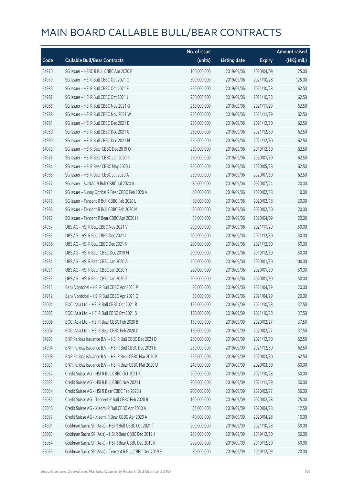|       |                                                          | No. of issue |                     |               | <b>Amount raised</b> |
|-------|----------------------------------------------------------|--------------|---------------------|---------------|----------------------|
| Code  | <b>Callable Bull/Bear Contracts</b>                      | (units)      | <b>Listing date</b> | <b>Expiry</b> | (HK\$ mil.)          |
| 54970 | SG Issuer - HSBC R Bull CBBC Apr 2020 E                  | 100,000,000  | 2019/09/06          | 2020/04/09    | 25.00                |
| 54979 | SG Issuer - HSI R Bull CBBC Oct 2021 C                   | 500,000,000  | 2019/09/06          | 2021/10/28    | 125.00               |
| 54986 | SG Issuer - HSI R Bull CBBC Oct 2021 F                   | 250,000,000  | 2019/09/06          | 2021/10/28    | 62.50                |
| 54987 | SG Issuer - HSI R Bull CBBC Oct 2021 J                   | 250,000,000  | 2019/09/06          | 2021/10/28    | 62.50                |
| 54988 | SG Issuer - HSI R Bull CBBC Nov 2021 G                   | 250,000,000  | 2019/09/06          | 2021/11/29    | 62.50                |
| 54989 | SG Issuer - HSI R Bull CBBC Nov 2021 W                   | 250,000,000  | 2019/09/06          | 2021/11/29    | 62.50                |
| 54981 | SG Issuer - HSI R Bull CBBC Dec 2021 D                   | 250,000,000  | 2019/09/06          | 2021/12/30    | 62.50                |
| 54980 | SG Issuer - HSI R Bull CBBC Dec 2021 G                   | 250,000,000  | 2019/09/06          | 2021/12/30    | 62.50                |
| 54990 | SG Issuer - HSI R Bull CBBC Dec 2021 M                   | 250,000,000  | 2019/09/06          | 2021/12/30    | 62.50                |
| 54973 | SG Issuer - HSI R Bear CBBC Dec 2019 Q                   | 250,000,000  | 2019/09/06          | 2019/12/30    | 62.50                |
| 54974 | SG Issuer - HSI R Bear CBBC Jan 2020 R                   | 250,000,000  | 2019/09/06          | 2020/01/30    | 62.50                |
| 54984 | SG Issuer - HSI R Bear CBBC May 2020 J                   | 250,000,000  | 2019/09/06          | 2020/05/28    | 62.50                |
| 54985 | SG Issuer - HSI R Bear CBBC Jul 2020 A                   | 250,000,000  | 2019/09/06          | 2020/07/30    | 62.50                |
| 54977 | SG Issuer - SUNAC R Bull CBBC Jul 2020 A                 | 80,000,000   | 2019/09/06          | 2020/07/24    | 20.00                |
| 54971 | SG Issuer - Sunny Optical R Bear CBBC Feb 2020 A         | 40,000,000   | 2019/09/06          | 2020/02/18    | 10.00                |
| 54978 | SG Issuer - Tencent R Bull CBBC Feb 2020 L               | 80,000,000   | 2019/09/06          | 2020/02/18    | 20.00                |
| 54983 | SG Issuer - Tencent R Bull CBBC Feb 2020 M               | 80,000,000   | 2019/09/06          | 2020/02/10    | 20.00                |
| 54972 | SG Issuer - Tencent R Bear CBBC Apr 2020 H               | 80,000,000   | 2019/09/06          | 2020/04/09    | 20.00                |
| 54937 | UBS AG - HSI R Bull CBBC Nov 2021 V                      | 200,000,000  | 2019/09/06          | 2021/11/29    | 50.00                |
| 54935 | UBS AG - HSI R Bull CBBC Dec 2021 L                      | 200,000,000  | 2019/09/06          | 2021/12/30    | 50.00                |
| 54936 | UBS AG - HSI R Bull CBBC Dec 2021 N                      | 200,000,000  | 2019/09/06          | 2021/12/30    | 50.00                |
| 54932 | UBS AG - HSI R Bear CBBC Dec 2019 M                      | 200,000,000  | 2019/09/06          | 2019/12/30    | 50.00                |
| 54934 | UBS AG - HSI R Bear CBBC Jan 2020 A                      | 400,000,000  | 2019/09/06          | 2020/01/30    | 100.00               |
| 54931 | UBS AG - HSI R Bear CBBC Jan 2020 Y                      | 200,000,000  | 2019/09/06          | 2020/01/30    | 50.00                |
| 54933 | UBS AG - HSI R Bear CBBC Jan 2020 Z                      | 200,000,000  | 2019/09/06          | 2020/01/30    | 50.00                |
| 54911 | Bank Vontobel - HSI R Bull CBBC Apr 2021 P               | 80,000,000   | 2019/09/06          | 2021/04/29    | 20.00                |
| 54912 | Bank Vontobel - HSI R Bull CBBC Apr 2021 Q               | 80,000,000   | 2019/09/06          | 2021/04/29    | 20.00                |
| 55004 | BOCLASIA Ltd. - HSLR Bull CBBC Oct 2021 R                | 150,000,000  | 2019/09/09          | 2021/10/28    | 37.50                |
| 55005 | BOCI Asia Ltd. - HSI R Bull CBBC Oct 2021 S              | 150,000,000  | 2019/09/09          | 2021/10/28    | 37.50                |
| 55006 | BOCI Asia Ltd. - HSI R Bear CBBC Feb 2020 B              | 150,000,000  | 2019/09/09          | 2020/02/27    | 37.50                |
| 55007 | BOCI Asia Ltd. - HSI R Bear CBBC Feb 2020 C              | 150,000,000  | 2019/09/09          | 2020/02/27    | 37.50                |
| 54993 | BNP Paribas Issuance B.V. - HSI R Bull CBBC Dec 2021 D   | 250,000,000  | 2019/09/09          | 2021/12/30    | 62.50                |
| 54994 | BNP Paribas Issuance B.V. - HSI R Bull CBBC Dec 2021 E   | 250,000,000  | 2019/09/09          | 2021/12/30    | 62.50                |
| 55008 | BNP Paribas Issuance B.V. - HSI R Bear CBBC Mar 2020 K   | 250,000,000  | 2019/09/09          | 2020/03/30    | 62.50                |
| 55031 | BNP Paribas Issuance B.V. - HSI R Bear CBBC Mar 2020 U   | 240,000,000  | 2019/09/09          | 2020/03/30    | 60.00                |
| 55032 | Credit Suisse AG - HSI R Bull CBBC Oct 2021 K            | 200,000,000  | 2019/09/09          | 2021/10/28    | 50.00                |
| 55033 | Credit Suisse AG - HSI R Bull CBBC Nov 2021 L            | 200,000,000  | 2019/09/09          | 2021/11/29    | 50.00                |
| 55034 | Credit Suisse AG - HSI R Bear CBBC Feb 2020 J            | 200,000,000  | 2019/09/09          | 2020/02/27    | 50.00                |
| 55035 | Credit Suisse AG - Tencent R Bull CBBC Feb 2020 R        | 100,000,000  | 2019/09/09          | 2020/02/28    | 25.00                |
| 55036 | Credit Suisse AG - Xiaomi R Bull CBBC Apr 2020 A         | 50,000,000   | 2019/09/09          | 2020/04/28    | 12.50                |
| 55037 | Credit Suisse AG - Xiaomi R Bear CBBC Apr 2020 A         | 40,000,000   | 2019/09/09          | 2020/04/28    | 10.00                |
| 54991 | Goldman Sachs SP (Asia) - HSI R Bull CBBC Oct 2021 T     | 200,000,000  | 2019/09/09          | 2021/10/28    | 50.00                |
| 55003 | Goldman Sachs SP (Asia) - HSI R Bear CBBC Dec 2019 J     | 200,000,000  | 2019/09/09          | 2019/12/30    | 50.00                |
| 55054 | Goldman Sachs SP (Asia) - HSI R Bear CBBC Dec 2019 K     | 200,000,000  | 2019/09/09          | 2019/12/30    | 50.00                |
| 55055 | Goldman Sachs SP (Asia) - Tencent R Bull CBBC Dec 2019 E | 80,000,000   | 2019/09/09          | 2019/12/09    | 20.00                |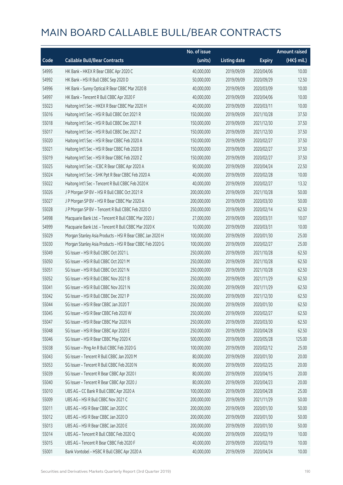|       |                                                           | No. of issue |                     |               | <b>Amount raised</b> |
|-------|-----------------------------------------------------------|--------------|---------------------|---------------|----------------------|
| Code  | <b>Callable Bull/Bear Contracts</b>                       | (units)      | <b>Listing date</b> | <b>Expiry</b> | (HK\$ mil.)          |
| 54995 | HK Bank - HKEX R Bear CBBC Apr 2020 C                     | 40,000,000   | 2019/09/09          | 2020/04/06    | 10.00                |
| 54992 | HK Bank - HSI R Bull CBBC Sep 2020 D                      | 50,000,000   | 2019/09/09          | 2020/09/29    | 12.50                |
| 54996 | HK Bank - Sunny Optical R Bear CBBC Mar 2020 B            | 40,000,000   | 2019/09/09          | 2020/03/09    | 10.00                |
| 54997 | HK Bank - Tencent R Bull CBBC Apr 2020 F                  | 40,000,000   | 2019/09/09          | 2020/04/06    | 10.00                |
| 55023 | Haitong Int'l Sec - HKEX R Bear CBBC Mar 2020 H           | 40,000,000   | 2019/09/09          | 2020/03/11    | 10.00                |
| 55016 | Haitong Int'l Sec - HSI R Bull CBBC Oct 2021 R            | 150,000,000  | 2019/09/09          | 2021/10/28    | 37.50                |
| 55018 | Haitong Int'l Sec - HSI R Bull CBBC Dec 2021 R            | 150,000,000  | 2019/09/09          | 2021/12/30    | 37.50                |
| 55017 | Haitong Int'l Sec - HSI R Bull CBBC Dec 2021 Z            | 150,000,000  | 2019/09/09          | 2021/12/30    | 37.50                |
| 55020 | Haitong Int'l Sec - HSI R Bear CBBC Feb 2020 A            | 150,000,000  | 2019/09/09          | 2020/02/27    | 37.50                |
| 55021 | Haitong Int'l Sec - HSI R Bear CBBC Feb 2020 B            | 150,000,000  | 2019/09/09          | 2020/02/27    | 37.50                |
| 55019 | Haitong Int'l Sec - HSI R Bear CBBC Feb 2020 Z            | 150,000,000  | 2019/09/09          | 2020/02/27    | 37.50                |
| 55025 | Haitong Int'l Sec - ICBC R Bear CBBC Apr 2020 A           | 90,000,000   | 2019/09/09          | 2020/04/24    | 22.50                |
| 55024 | Haitong Int'l Sec - SHK Ppt R Bear CBBC Feb 2020 A        | 40,000,000   | 2019/09/09          | 2020/02/28    | 10.00                |
| 55022 | Haitong Int'l Sec - Tencent R Bull CBBC Feb 2020 K        | 40,000,000   | 2019/09/09          | 2020/02/27    | 13.32                |
| 55026 | J P Morgan SP BV - HSI R Bull CBBC Oct 2021 R             | 200,000,000  | 2019/09/09          | 2021/10/28    | 50.00                |
| 55027 | J P Morgan SP BV - HSI R Bear CBBC Mar 2020 A             | 200,000,000  | 2019/09/09          | 2020/03/30    | 50.00                |
| 55028 | J P Morgan SP BV - Tencent R Bull CBBC Feb 2020 O         | 250,000,000  | 2019/09/09          | 2020/02/14    | 62.50                |
| 54998 | Macquarie Bank Ltd. - Tencent R Bull CBBC Mar 2020 J      | 27,000,000   | 2019/09/09          | 2020/03/31    | 10.07                |
| 54999 | Macquarie Bank Ltd. - Tencent R Bull CBBC Mar 2020 K      | 10,000,000   | 2019/09/09          | 2020/03/31    | 10.00                |
| 55029 | Morgan Stanley Asia Products - HSI R Bear CBBC Jan 2020 H | 100,000,000  | 2019/09/09          | 2020/01/30    | 25.00                |
| 55030 | Morgan Stanley Asia Products - HSI R Bear CBBC Feb 2020 G | 100,000,000  | 2019/09/09          | 2020/02/27    | 25.00                |
| 55049 | SG Issuer - HSI R Bull CBBC Oct 2021 L                    | 250,000,000  | 2019/09/09          | 2021/10/28    | 62.50                |
| 55050 | SG Issuer - HSI R Bull CBBC Oct 2021 M                    | 250,000,000  | 2019/09/09          | 2021/10/28    | 62.50                |
| 55051 | SG Issuer - HSI R Bull CBBC Oct 2021 N                    | 250,000,000  | 2019/09/09          | 2021/10/28    | 62.50                |
| 55052 | SG Issuer - HSI R Bull CBBC Nov 2021 B                    | 250,000,000  | 2019/09/09          | 2021/11/29    | 62.50                |
| 55041 | SG Issuer - HSI R Bull CBBC Nov 2021 N                    | 250,000,000  | 2019/09/09          | 2021/11/29    | 62.50                |
| 55042 | SG Issuer - HSI R Bull CBBC Dec 2021 P                    | 250,000,000  | 2019/09/09          | 2021/12/30    | 62.50                |
| 55044 | SG Issuer – HSI R Bear CBBC Jan 2020 T                    | 250,000,000  | 2019/09/09          | 2020/01/30    | 62.50                |
| 55045 | SG Issuer - HSI R Bear CBBC Feb 2020 W                    | 250,000,000  | 2019/09/09          | 2020/02/27    | 62.50                |
| 55047 | SG Issuer - HSI R Bear CBBC Mar 2020 N                    | 250,000,000  | 2019/09/09          | 2020/03/30    | 62.50                |
| 55048 | SG Issuer - HSI R Bear CBBC Apr 2020 E                    | 250,000,000  | 2019/09/09          | 2020/04/28    | 62.50                |
| 55046 | SG Issuer - HSI R Bear CBBC May 2020 K                    | 500,000,000  | 2019/09/09          | 2020/05/28    | 125.00               |
| 55038 | SG Issuer - Ping An R Bull CBBC Feb 2020 G                | 100,000,000  | 2019/09/09          | 2020/02/12    | 25.00                |
| 55043 | SG Issuer - Tencent R Bull CBBC Jan 2020 M                | 80,000,000   | 2019/09/09          | 2020/01/30    | 20.00                |
| 55053 | SG Issuer - Tencent R Bull CBBC Feb 2020 N                | 80,000,000   | 2019/09/09          | 2020/02/25    | 20.00                |
| 55039 | SG Issuer - Tencent R Bear CBBC Apr 2020 I                | 80,000,000   | 2019/09/09          | 2020/04/15    | 20.00                |
| 55040 | SG Issuer - Tencent R Bear CBBC Apr 2020 J                | 80,000,000   | 2019/09/09          | 2020/04/23    | 20.00                |
| 55010 | UBS AG - CC Bank R Bull CBBC Apr 2020 A                   | 100,000,000  | 2019/09/09          | 2020/04/28    | 25.00                |
| 55009 | UBS AG - HSI R Bull CBBC Nov 2021 C                       | 200,000,000  | 2019/09/09          | 2021/11/29    | 50.00                |
| 55011 | UBS AG - HSI R Bear CBBC Jan 2020 C                       | 200,000,000  | 2019/09/09          | 2020/01/30    | 50.00                |
| 55012 | UBS AG - HSI R Bear CBBC Jan 2020 D                       | 200,000,000  | 2019/09/09          | 2020/01/30    | 50.00                |
| 55013 | UBS AG - HSI R Bear CBBC Jan 2020 E                       | 200,000,000  | 2019/09/09          | 2020/01/30    | 50.00                |
| 55014 | UBS AG - Tencent R Bull CBBC Feb 2020 Q                   | 40,000,000   | 2019/09/09          | 2020/02/19    | 10.00                |
| 55015 | UBS AG - Tencent R Bear CBBC Feb 2020 F                   | 40,000,000   | 2019/09/09          | 2020/02/19    | 10.00                |
| 55001 | Bank Vontobel - HSBC R Bull CBBC Apr 2020 A               | 40,000,000   | 2019/09/09          | 2020/04/24    | 10.00                |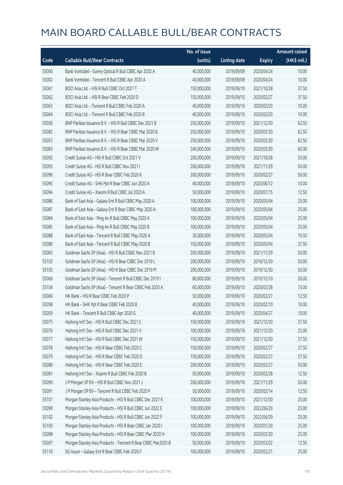|       |                                                              | No. of issue |                     |               | <b>Amount raised</b> |
|-------|--------------------------------------------------------------|--------------|---------------------|---------------|----------------------|
| Code  | <b>Callable Bull/Bear Contracts</b>                          | (units)      | <b>Listing date</b> | <b>Expiry</b> | $(HK\$ mil.)         |
| 55000 | Bank Vontobel - Sunny Optical R Bull CBBC Apr 2020 A         | 40,000,000   | 2019/09/09          | 2020/04/24    | 10.00                |
| 55002 | Bank Vontobel - Tencent R Bull CBBC Apr 2020 A               | 40,000,000   | 2019/09/09          | 2020/04/24    | 10.00                |
| 55061 | BOCI Asia Ltd. - HSI R Bull CBBC Oct 2021 T                  | 150,000,000  | 2019/09/10          | 2021/10/28    | 37.50                |
| 55062 | BOCI Asia Ltd. - HSI R Bear CBBC Feb 2020 D                  | 150,000,000  | 2019/09/10          | 2020/02/27    | 37.50                |
| 55063 | BOCI Asia Ltd. - Tencent R Bull CBBC Feb 2020 A              | 40,000,000   | 2019/09/10          | 2020/02/03    | 10.00                |
| 55064 | BOCI Asia Ltd. - Tencent R Bull CBBC Feb 2020 B              | 40,000,000   | 2019/09/10          | 2020/02/03    | 10.00                |
| 55056 | BNP Paribas Issuance B.V. - HSI R Bull CBBC Dec 2021 B       | 250,000,000  | 2019/09/10          | 2021/12/30    | 62.50                |
| 55082 | BNP Paribas Issuance B.V. - HSI R Bear CBBC Mar 2020 B       | 250,000,000  | 2019/09/10          | 2020/03/30    | 62.50                |
| 55057 | BNP Paribas Issuance B.V. - HSI R Bear CBBC Mar 2020 V       | 250,000,000  | 2019/09/10          | 2020/03/30    | 62.50                |
| 55083 | BNP Paribas Issuance B.V. - HSI R Bear CBBC Mar 2020 W       | 240,000,000  | 2019/09/10          | 2020/03/30    | 60.00                |
| 55092 | Credit Suisse AG - HSI R Bull CBBC Oct 2021 V                | 200,000,000  | 2019/09/10          | 2021/10/28    | 50.00                |
| 55093 | Credit Suisse AG - HSI R Bull CBBC Nov 2021 I                | 200,000,000  | 2019/09/10          | 2021/11/29    | 50.00                |
| 55096 | Credit Suisse AG - HSI R Bear CBBC Feb 2020 K                | 200,000,000  | 2019/09/10          | 2020/02/27    | 50.00                |
| 55095 | Credit Suisse AG - SHK Ppt R Bear CBBC Jun 2020 A            | 40,000,000   | 2019/09/10          | 2020/06/12    | 10.00                |
| 55094 | Credit Suisse AG - Xiaomi R Bull CBBC Jul 2020 A             | 50,000,000   | 2019/09/10          | 2020/07/15    | 12.50                |
| 55086 | Bank of East Asia - Galaxy Ent R Bull CBBC May 2020 A        | 100,000,000  | 2019/09/10          | 2020/05/04    | 25.00                |
| 55087 | Bank of East Asia - Galaxy Ent R Bear CBBC May 2020 A        | 100,000,000  | 2019/09/10          | 2020/05/04    | 25.00                |
| 55084 | Bank of East Asia - Ping An R Bull CBBC May 2020 A           | 100,000,000  | 2019/09/10          | 2020/05/04    | 25.00                |
| 55085 | Bank of East Asia - Ping An R Bull CBBC May 2020 B           | 100,000,000  | 2019/09/10          | 2020/05/04    | 25.00                |
| 55088 | Bank of East Asia - Tencent R Bull CBBC May 2020 A           | 30,000,000   | 2019/09/10          | 2020/05/04    | 10.50                |
| 55089 | Bank of East Asia - Tencent R Bull CBBC May 2020 B           | 150,000,000  | 2019/09/10          | 2020/05/04    | 37.50                |
| 55065 | Goldman Sachs SP (Asia) - HSI R Bull CBBC Nov 2021 B         | 200,000,000  | 2019/09/10          | 2021/11/29    | 50.00                |
| 55103 | Goldman Sachs SP (Asia) - HSI R Bear CBBC Dec 2019 L         | 200,000,000  | 2019/09/10          | 2019/12/30    | 50.00                |
| 55105 | Goldman Sachs SP (Asia) - HSI R Bear CBBC Dec 2019 M         | 200,000,000  | 2019/09/10          | 2019/12/30    | 50.00                |
| 55066 | Goldman Sachs SP (Asia) - Tencent R Bull CBBC Dec 2019 I     | 80,000,000   | 2019/09/10          | 2019/12/10    | 20.00                |
| 55104 | Goldman Sachs SP (Asia) - Tencent R Bear CBBC Feb 2020 A     | 60,000,000   | 2019/09/10          | 2020/02/28    | 15.00                |
| 55060 | HK Bank - HSI R Bear CBBC Feb 2020 P                         | 50,000,000   | 2019/09/10          | 2020/02/27    | 12.50                |
| 55058 | HK Bank - SHK Ppt R Bear CBBC Feb 2020 B                     | 40,000,000   | 2019/09/10          | 2020/02/10    | 10.00                |
| 55059 | HK Bank - Tencent R Bull CBBC Apr 2020 G                     | 40,000,000   | 2019/09/10          | 2020/04/27    | 10.00                |
| 55075 | Haitong Int'l Sec - HSI R Bull CBBC Dec 2021 S               | 150,000,000  | 2019/09/10          | 2021/12/30    | 37.50                |
| 55076 | Haitong Int'l Sec - HSI R Bull CBBC Dec 2021 V               | 100,000,000  | 2019/09/10          | 2021/12/30    | 25.00                |
| 55077 | Haitong Int'l Sec - HSI R Bull CBBC Dec 2021 W               | 150,000,000  | 2019/09/10          | 2021/12/30    | 37.50                |
| 55078 | Haitong Int'l Sec - HSI R Bear CBBC Feb 2020 C               | 150,000,000  | 2019/09/10          | 2020/02/27    | 37.50                |
| 55079 | Haitong Int'l Sec - HSI R Bear CBBC Feb 2020 D               | 150,000,000  | 2019/09/10          | 2020/02/27    | 37.50                |
| 55080 | Haitong Int'l Sec - HSI R Bear CBBC Feb 2020 E               | 200,000,000  | 2019/09/10          | 2020/02/27    | 50.00                |
| 55081 | Haitong Int'l Sec - Xiaomi R Bull CBBC Feb 2020 B            | 50,000,000   | 2019/09/10          | 2020/02/28    | 12.50                |
| 55090 | J P Morgan SP BV - HSI R Bull CBBC Nov 2021 J                | 200,000,000  | 2019/09/10          | 2021/11/29    | 50.00                |
| 55091 | J P Morgan SP BV - Tencent R Bull CBBC Feb 2020 P            | 50,000,000   | 2019/09/10          | 2020/02/14    | 12.50                |
| 55101 | Morgan Stanley Asia Products - HSI R Bull CBBC Dec 2021 K    | 100,000,000  | 2019/09/10          | 2021/12/30    | 25.00                |
| 55099 | Morgan Stanley Asia Products - HSI R Bull CBBC Jun 2022 E    | 100,000,000  | 2019/09/10          | 2022/06/29    | 25.00                |
| 55102 | Morgan Stanley Asia Products - HSI R Bull CBBC Jun 2022 F    | 100,000,000  | 2019/09/10          | 2022/06/29    | 25.00                |
| 55100 | Morgan Stanley Asia Products - HSI R Bear CBBC Jan 2020 I    | 100,000,000  | 2019/09/10          | 2020/01/30    | 25.00                |
| 55098 | Morgan Stanley Asia Products - HSI R Bear CBBC Mar 2020 H    | 100,000,000  | 2019/09/10          | 2020/03/30    | 25.00                |
| 55097 | Morgan Stanley Asia Products - Tencent R Bear CBBC Mar2020 B | 50,000,000   | 2019/09/10          | 2020/03/02    | 12.50                |
| 55110 | SG Issuer - Galaxy Ent R Bear CBBC Feb 2020 F                | 100,000,000  | 2019/09/10          | 2020/02/21    | 25.00                |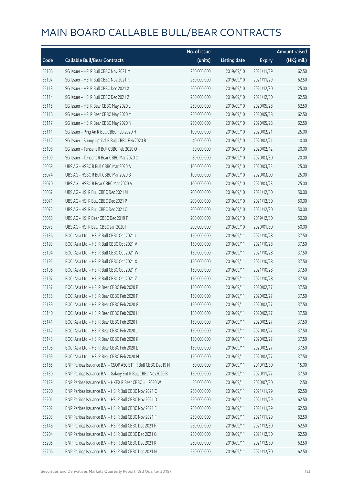|       |                                                              | No. of issue |                     |               | <b>Amount raised</b> |
|-------|--------------------------------------------------------------|--------------|---------------------|---------------|----------------------|
| Code  | <b>Callable Bull/Bear Contracts</b>                          | (units)      | <b>Listing date</b> | <b>Expiry</b> | (HK\$ mil.)          |
| 55106 | SG Issuer - HSI R Bull CBBC Nov 2021 M                       | 250,000,000  | 2019/09/10          | 2021/11/29    | 62.50                |
| 55107 | SG Issuer - HSI R Bull CBBC Nov 2021 R                       | 250,000,000  | 2019/09/10          | 2021/11/29    | 62.50                |
| 55113 | SG Issuer - HSI R Bull CBBC Dec 2021 X                       | 500,000,000  | 2019/09/10          | 2021/12/30    | 125.00               |
| 55114 | SG Issuer - HSI R Bull CBBC Dec 2021 Z                       | 250,000,000  | 2019/09/10          | 2021/12/30    | 62.50                |
| 55115 | SG Issuer - HSI R Bear CBBC May 2020 L                       | 250,000,000  | 2019/09/10          | 2020/05/28    | 62.50                |
| 55116 | SG Issuer - HSI R Bear CBBC May 2020 M                       | 250,000,000  | 2019/09/10          | 2020/05/28    | 62.50                |
| 55117 | SG Issuer - HSI R Bear CBBC May 2020 N                       | 250,000,000  | 2019/09/10          | 2020/05/28    | 62.50                |
| 55111 | SG Issuer - Ping An R Bull CBBC Feb 2020 H                   | 100,000,000  | 2019/09/10          | 2020/02/21    | 25.00                |
| 55112 | SG Issuer - Sunny Optical R Bull CBBC Feb 2020 B             | 40,000,000   | 2019/09/10          | 2020/02/21    | 10.00                |
| 55108 | SG Issuer - Tencent R Bull CBBC Feb 2020 O                   | 80,000,000   | 2019/09/10          | 2020/02/12    | 20.00                |
| 55109 | SG Issuer - Tencent R Bear CBBC Mar 2020 O                   | 80,000,000   | 2019/09/10          | 2020/03/30    | 20.00                |
| 55069 | UBS AG - HSBC R Bull CBBC Mar 2020 A                         | 100,000,000  | 2019/09/10          | 2020/03/23    | 25.00                |
| 55074 | UBS AG - HSBC R Bull CBBC Mar 2020 B                         | 100,000,000  | 2019/09/10          | 2020/03/09    | 25.00                |
| 55070 | UBS AG - HSBC R Bear CBBC Mar 2020 A                         | 100,000,000  | 2019/09/10          | 2020/03/23    | 25.00                |
| 55067 | UBS AG - HSI R Bull CBBC Dec 2021 M                          | 200,000,000  | 2019/09/10          | 2021/12/30    | 50.00                |
| 55071 | UBS AG - HSI R Bull CBBC Dec 2021 P                          | 200,000,000  | 2019/09/10          | 2021/12/30    | 50.00                |
| 55072 | UBS AG - HSI R Bull CBBC Dec 2021 Q                          | 200,000,000  | 2019/09/10          | 2021/12/30    | 50.00                |
| 55068 | UBS AG - HSI R Bear CBBC Dec 2019 F                          | 200,000,000  | 2019/09/10          | 2019/12/30    | 50.00                |
| 55073 | UBS AG - HSI R Bear CBBC Jan 2020 F                          | 200,000,000  | 2019/09/10          | 2020/01/30    | 50.00                |
| 55136 | BOCI Asia Ltd. - HSI R Bull CBBC Oct 2021 U                  | 150,000,000  | 2019/09/11          | 2021/10/28    | 37.50                |
| 55193 | BOCI Asia Ltd. - HSI R Bull CBBC Oct 2021 V                  | 150,000,000  | 2019/09/11          | 2021/10/28    | 37.50                |
| 55194 | BOCI Asia Ltd. - HSI R Bull CBBC Oct 2021 W                  | 150,000,000  | 2019/09/11          | 2021/10/28    | 37.50                |
| 55195 | BOCI Asia Ltd. - HSI R Bull CBBC Oct 2021 X                  | 150,000,000  | 2019/09/11          | 2021/10/28    | 37.50                |
| 55196 | BOCI Asia Ltd. - HSI R Bull CBBC Oct 2021 Y                  | 150,000,000  | 2019/09/11          | 2021/10/28    | 37.50                |
| 55197 | BOCI Asia Ltd. - HSI R Bull CBBC Oct 2021 Z                  | 150,000,000  | 2019/09/11          | 2021/10/28    | 37.50                |
| 55137 | BOCI Asia Ltd. - HSI R Bear CBBC Feb 2020 E                  | 150,000,000  | 2019/09/11          | 2020/02/27    | 37.50                |
| 55138 | BOCI Asia Ltd. - HSI R Bear CBBC Feb 2020 F                  | 150,000,000  | 2019/09/11          | 2020/02/27    | 37.50                |
| 55139 | BOCLAsia Ltd. – HSLR Bear CBBC Feb 2020 G                    | 150,000,000  | 2019/09/11          | 2020/02/27    | 37.50                |
| 55140 | BOCI Asia Ltd. - HSI R Bear CBBC Feb 2020 H                  | 150,000,000  | 2019/09/11          | 2020/02/27    | 37.50                |
| 55141 | BOCI Asia Ltd. - HSI R Bear CBBC Feb 2020 I                  | 150,000,000  | 2019/09/11          | 2020/02/27    | 37.50                |
| 55142 | BOCI Asia Ltd. - HSI R Bear CBBC Feb 2020 J                  | 150,000,000  | 2019/09/11          | 2020/02/27    | 37.50                |
| 55143 | BOCI Asia Ltd. - HSI R Bear CBBC Feb 2020 K                  | 150,000,000  | 2019/09/11          | 2020/02/27    | 37.50                |
| 55198 | BOCI Asia Ltd. - HSI R Bear CBBC Feb 2020 L                  | 150,000,000  | 2019/09/11          | 2020/02/27    | 37.50                |
| 55199 | BOCI Asia Ltd. - HSI R Bear CBBC Feb 2020 M                  | 150,000,000  | 2019/09/11          | 2020/02/27    | 37.50                |
| 55165 | BNP Paribas Issuance B.V. - CSOP A50 ETF R Bull CBBC Dec19 N | 60,000,000   | 2019/09/11          | 2019/12/30    | 15.00                |
| 55130 | BNP Paribas Issuance B.V. - Galaxy Ent R Bull CBBC Nov2020 B | 150,000,000  | 2019/09/11          | 2020/11/27    | 37.50                |
| 55129 | BNP Paribas Issuance B.V. - HKEX R Bear CBBC Jul 2020 W      | 50,000,000   | 2019/09/11          | 2020/07/30    | 12.50                |
| 55200 | BNP Paribas Issuance B.V. - HSI R Bull CBBC Nov 2021 C       | 250,000,000  | 2019/09/11          | 2021/11/29    | 62.50                |
| 55201 | BNP Paribas Issuance B.V. - HSI R Bull CBBC Nov 2021 D       | 250,000,000  | 2019/09/11          | 2021/11/29    | 62.50                |
| 55202 | BNP Paribas Issuance B.V. - HSI R Bull CBBC Nov 2021 E       | 250,000,000  | 2019/09/11          | 2021/11/29    | 62.50                |
| 55203 | BNP Paribas Issuance B.V. - HSI R Bull CBBC Nov 2021 F       | 250,000,000  | 2019/09/11          | 2021/11/29    | 62.50                |
| 55146 | BNP Paribas Issuance B.V. - HSI R Bull CBBC Dec 2021 F       | 250,000,000  | 2019/09/11          | 2021/12/30    | 62.50                |
| 55204 | BNP Paribas Issuance B.V. - HSI R Bull CBBC Dec 2021 G       | 250,000,000  | 2019/09/11          | 2021/12/30    | 62.50                |
| 55205 | BNP Paribas Issuance B.V. - HSI R Bull CBBC Dec 2021 K       | 250,000,000  | 2019/09/11          | 2021/12/30    | 62.50                |
| 55206 | BNP Paribas Issuance B.V. - HSI R Bull CBBC Dec 2021 N       | 250,000,000  | 2019/09/11          | 2021/12/30    | 62.50                |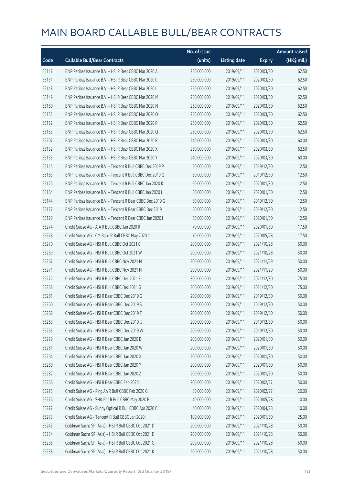|       |                                                            | No. of issue |                     |               | <b>Amount raised</b> |
|-------|------------------------------------------------------------|--------------|---------------------|---------------|----------------------|
| Code  | <b>Callable Bull/Bear Contracts</b>                        | (units)      | <b>Listing date</b> | <b>Expiry</b> | (HK\$ mil.)          |
| 55147 | BNP Paribas Issuance B.V. - HSI R Bear CBBC Mar 2020 A     | 250,000,000  | 2019/09/11          | 2020/03/30    | 62.50                |
| 55131 | BNP Paribas Issuance B.V. - HSI R Bear CBBC Mar 2020 C     | 250,000,000  | 2019/09/11          | 2020/03/30    | 62.50                |
| 55148 | BNP Paribas Issuance B.V. - HSI R Bear CBBC Mar 2020 L     | 250,000,000  | 2019/09/11          | 2020/03/30    | 62.50                |
| 55149 | BNP Paribas Issuance B.V. - HSI R Bear CBBC Mar 2020 M     | 250,000,000  | 2019/09/11          | 2020/03/30    | 62.50                |
| 55150 | BNP Paribas Issuance B.V. - HSI R Bear CBBC Mar 2020 N     | 250,000,000  | 2019/09/11          | 2020/03/30    | 62.50                |
| 55151 | BNP Paribas Issuance B.V. - HSI R Bear CBBC Mar 2020 O     | 250,000,000  | 2019/09/11          | 2020/03/30    | 62.50                |
| 55152 | BNP Paribas Issuance B.V. - HSI R Bear CBBC Mar 2020 P     | 250,000,000  | 2019/09/11          | 2020/03/30    | 62.50                |
| 55153 | BNP Paribas Issuance B.V. - HSI R Bear CBBC Mar 2020 Q     | 250,000,000  | 2019/09/11          | 2020/03/30    | 62.50                |
| 55207 | BNP Paribas Issuance B.V. - HSI R Bear CBBC Mar 2020 R     | 240,000,000  | 2019/09/11          | 2020/03/30    | 60.00                |
| 55132 | BNP Paribas Issuance B.V. - HSI R Bear CBBC Mar 2020 X     | 250,000,000  | 2019/09/11          | 2020/03/30    | 62.50                |
| 55133 | BNP Paribas Issuance B.V. - HSI R Bear CBBC Mar 2020 Y     | 240,000,000  | 2019/09/11          | 2020/03/30    | 60.00                |
| 55145 | BNP Paribas Issuance B.V. - Tencent R Bull CBBC Dec 2019 P | 50,000,000   | 2019/09/11          | 2019/12/30    | 12.50                |
| 55163 | BNP Paribas Issuance B.V. - Tencent R Bull CBBC Dec 2019 Q | 50,000,000   | 2019/09/11          | 2019/12/30    | 12.50                |
| 55126 | BNP Paribas Issuance B.V. - Tencent R Bull CBBC Jan 2020 K | 50,000,000   | 2019/09/11          | 2020/01/30    | 12.50                |
| 55164 | BNP Paribas Issuance B.V. - Tencent R Bull CBBC Jan 2020 L | 50,000,000   | 2019/09/11          | 2020/01/30    | 12.50                |
| 55144 | BNP Paribas Issuance B.V. - Tencent R Bear CBBC Dec 2019 G | 50,000,000   | 2019/09/11          | 2019/12/30    | 12.50                |
| 55127 | BNP Paribas Issuance B.V. - Tencent R Bear CBBC Dec 2019 I | 50,000,000   | 2019/09/11          | 2019/12/30    | 12.50                |
| 55128 | BNP Paribas Issuance B.V. - Tencent R Bear CBBC Jan 2020 I | 50,000,000   | 2019/09/11          | 2020/01/30    | 12.50                |
| 55274 | Credit Suisse AG - AIA R Bull CBBC Jan 2020 R              | 70,000,000   | 2019/09/11          | 2020/01/30    | 17.50                |
| 55278 | Credit Suisse AG - CM Bank R Bull CBBC May 2020 C          | 70,000,000   | 2019/09/11          | 2020/05/28    | 17.50                |
| 55270 | Credit Suisse AG - HSI R Bull CBBC Oct 2021 C              | 200,000,000  | 2019/09/11          | 2021/10/28    | 50.00                |
| 55269 | Credit Suisse AG - HSI R Bull CBBC Oct 2021 W              | 200,000,000  | 2019/09/11          | 2021/10/28    | 50.00                |
| 55267 | Credit Suisse AG - HSI R Bull CBBC Nov 2021 M              | 200,000,000  | 2019/09/11          | 2021/11/29    | 50.00                |
| 55271 | Credit Suisse AG - HSI R Bull CBBC Nov 2021 N              | 200,000,000  | 2019/09/11          | 2021/11/29    | 50.00                |
| 55272 | Credit Suisse AG - HSI R Bull CBBC Dec 2021 F              | 300,000,000  | 2019/09/11          | 2021/12/30    | 75.00                |
| 55268 | Credit Suisse AG - HSI R Bull CBBC Dec 2021 G              | 300,000,000  | 2019/09/11          | 2021/12/30    | 75.00                |
| 55281 | Credit Suisse AG - HSI R Bear CBBC Dec 2019 G              | 200,000,000  | 2019/09/11          | 2019/12/30    | 50.00                |
| 55260 | Credit Suisse AG - HSI R Bear CBBC Dec 2019 S              | 200,000,000  | 2019/09/11          | 2019/12/30    | 50.00                |
| 55262 | Credit Suisse AG - HSI R Bear CBBC Dec 2019 T              | 200,000,000  | 2019/09/11          | 2019/12/30    | 50.00                |
| 55263 | Credit Suisse AG - HSI R Bear CBBC Dec 2019 U              | 200,000,000  | 2019/09/11          | 2019/12/30    | 50.00                |
| 55265 | Credit Suisse AG - HSI R Bear CBBC Dec 2019 W              | 200,000,000  | 2019/09/11          | 2019/12/30    | 50.00                |
| 55279 | Credit Suisse AG - HSI R Bear CBBC Jan 2020 D              | 200,000,000  | 2019/09/11          | 2020/01/30    | 50.00                |
| 55261 | Credit Suisse AG - HSI R Bear CBBC Jan 2020 W              | 200,000,000  | 2019/09/11          | 2020/01/30    | 50.00                |
| 55264 | Credit Suisse AG - HSI R Bear CBBC Jan 2020 X              | 200,000,000  | 2019/09/11          | 2020/01/30    | 50.00                |
| 55280 | Credit Suisse AG - HSI R Bear CBBC Jan 2020 Y              | 200,000,000  | 2019/09/11          | 2020/01/30    | 50.00                |
| 55282 | Credit Suisse AG - HSI R Bear CBBC Jan 2020 Z              | 200,000,000  | 2019/09/11          | 2020/01/30    | 50.00                |
| 55266 | Credit Suisse AG - HSI R Bear CBBC Feb 2020 L              | 200,000,000  | 2019/09/11          | 2020/02/27    | 50.00                |
| 55275 | Credit Suisse AG - Ping An R Bull CBBC Feb 2020 G          | 80,000,000   | 2019/09/11          | 2020/02/27    | 20.00                |
| 55276 | Credit Suisse AG - SHK Ppt R Bull CBBC May 2020 B          | 40,000,000   | 2019/09/11          | 2020/05/28    | 10.00                |
| 55277 | Credit Suisse AG - Sunny Optical R Bull CBBC Apr 2020 C    | 40,000,000   | 2019/09/11          | 2020/04/28    | 10.00                |
| 55273 | Credit Suisse AG - Tencent R Bull CBBC Jan 2020 I          | 100,000,000  | 2019/09/11          | 2020/01/30    | 25.00                |
| 55243 | Goldman Sachs SP (Asia) - HSI R Bull CBBC Oct 2021 D       | 200,000,000  | 2019/09/11          | 2021/10/28    | 50.00                |
| 55234 | Goldman Sachs SP (Asia) - HSI R Bull CBBC Oct 2021 E       | 200,000,000  | 2019/09/11          | 2021/10/28    | 50.00                |
| 55235 | Goldman Sachs SP (Asia) - HSI R Bull CBBC Oct 2021 G       | 200,000,000  | 2019/09/11          | 2021/10/28    | 50.00                |
| 55238 | Goldman Sachs SP (Asia) - HSI R Bull CBBC Oct 2021 K       | 200,000,000  | 2019/09/11          | 2021/10/28    | 50.00                |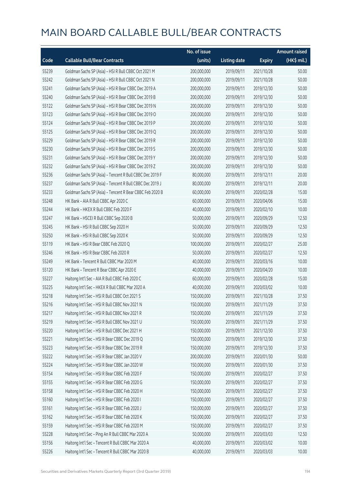|       |                                                          | No. of issue |                     |               | <b>Amount raised</b> |
|-------|----------------------------------------------------------|--------------|---------------------|---------------|----------------------|
| Code  | <b>Callable Bull/Bear Contracts</b>                      | (units)      | <b>Listing date</b> | <b>Expiry</b> | (HK\$ mil.)          |
| 55239 | Goldman Sachs SP (Asia) - HSI R Bull CBBC Oct 2021 M     | 200,000,000  | 2019/09/11          | 2021/10/28    | 50.00                |
| 55242 | Goldman Sachs SP (Asia) - HSI R Bull CBBC Oct 2021 N     | 200,000,000  | 2019/09/11          | 2021/10/28    | 50.00                |
| 55241 | Goldman Sachs SP (Asia) - HSI R Bear CBBC Dec 2019 A     | 200,000,000  | 2019/09/11          | 2019/12/30    | 50.00                |
| 55240 | Goldman Sachs SP (Asia) - HSI R Bear CBBC Dec 2019 B     | 200,000,000  | 2019/09/11          | 2019/12/30    | 50.00                |
| 55122 | Goldman Sachs SP (Asia) - HSI R Bear CBBC Dec 2019 N     | 200,000,000  | 2019/09/11          | 2019/12/30    | 50.00                |
| 55123 | Goldman Sachs SP (Asia) - HSI R Bear CBBC Dec 2019 O     | 200,000,000  | 2019/09/11          | 2019/12/30    | 50.00                |
| 55124 | Goldman Sachs SP (Asia) - HSI R Bear CBBC Dec 2019 P     | 200,000,000  | 2019/09/11          | 2019/12/30    | 50.00                |
| 55125 | Goldman Sachs SP (Asia) - HSI R Bear CBBC Dec 2019 Q     | 200,000,000  | 2019/09/11          | 2019/12/30    | 50.00                |
| 55229 | Goldman Sachs SP (Asia) - HSI R Bear CBBC Dec 2019 R     | 200,000,000  | 2019/09/11          | 2019/12/30    | 50.00                |
| 55230 | Goldman Sachs SP (Asia) - HSI R Bear CBBC Dec 2019 S     | 200,000,000  | 2019/09/11          | 2019/12/30    | 50.00                |
| 55231 | Goldman Sachs SP (Asia) - HSI R Bear CBBC Dec 2019 Y     | 200,000,000  | 2019/09/11          | 2019/12/30    | 50.00                |
| 55232 | Goldman Sachs SP (Asia) - HSI R Bear CBBC Dec 2019 Z     | 200,000,000  | 2019/09/11          | 2019/12/30    | 50.00                |
| 55236 | Goldman Sachs SP (Asia) - Tencent R Bull CBBC Dec 2019 F | 80,000,000   | 2019/09/11          | 2019/12/11    | 20.00                |
| 55237 | Goldman Sachs SP (Asia) - Tencent R Bull CBBC Dec 2019 J | 80,000,000   | 2019/09/11          | 2019/12/11    | 20.00                |
| 55233 | Goldman Sachs SP (Asia) - Tencent R Bear CBBC Feb 2020 B | 60,000,000   | 2019/09/11          | 2020/02/28    | 15.00                |
| 55248 | HK Bank - AIA R Bull CBBC Apr 2020 C                     | 60,000,000   | 2019/09/11          | 2020/04/06    | 15.00                |
| 55244 | HK Bank - HKEX R Bull CBBC Feb 2020 F                    | 40,000,000   | 2019/09/11          | 2020/02/10    | 10.00                |
| 55247 | HK Bank - HSCEI R Bull CBBC Sep 2020 B                   | 50,000,000   | 2019/09/11          | 2020/09/29    | 12.50                |
| 55245 | HK Bank - HSI R Bull CBBC Sep 2020 H                     | 50,000,000   | 2019/09/11          | 2020/09/29    | 12.50                |
| 55250 | HK Bank - HSI R Bull CBBC Sep 2020 K                     | 50,000,000   | 2019/09/11          | 2020/09/29    | 12.50                |
| 55119 | HK Bank - HSI R Bear CBBC Feb 2020 Q                     | 100,000,000  | 2019/09/11          | 2020/02/27    | 25.00                |
| 55246 | HK Bank - HSI R Bear CBBC Feb 2020 R                     | 50,000,000   | 2019/09/11          | 2020/02/27    | 12.50                |
| 55249 | HK Bank - Tencent R Bull CBBC Mar 2020 M                 | 40,000,000   | 2019/09/11          | 2020/03/16    | 10.00                |
| 55120 | HK Bank - Tencent R Bear CBBC Apr 2020 E                 | 40,000,000   | 2019/09/11          | 2020/04/20    | 10.00                |
| 55227 | Haitong Int'l Sec - AIA R Bull CBBC Feb 2020 C           | 60,000,000   | 2019/09/11          | 2020/02/28    | 15.00                |
| 55225 | Haitong Int'l Sec - HKEX R Bull CBBC Mar 2020 A          | 40,000,000   | 2019/09/11          | 2020/03/02    | 10.00                |
| 55218 | Haitong Int'l Sec - HSI R Bull CBBC Oct 2021 S           | 150,000,000  | 2019/09/11          | 2021/10/28    | 37.50                |
| 55216 | Haitong Int'l Sec - HSI R Bull CBBC Nov 2021 N           | 150,000,000  | 2019/09/11          | 2021/11/29    | 37.50                |
| 55217 | Haitong Int'l Sec - HSI R Bull CBBC Nov 2021 R           | 150,000,000  | 2019/09/11          | 2021/11/29    | 37.50                |
| 55219 | Haitong Int'l Sec - HSI R Bull CBBC Nov 2021 U           | 150,000,000  | 2019/09/11          | 2021/11/29    | 37.50                |
| 55220 | Haitong Int'l Sec - HSI R Bull CBBC Dec 2021 H           | 150,000,000  | 2019/09/11          | 2021/12/30    | 37.50                |
| 55221 | Haitong Int'l Sec - HSI R Bear CBBC Dec 2019 Q           | 150,000,000  | 2019/09/11          | 2019/12/30    | 37.50                |
| 55223 | Haitong Int'l Sec - HSI R Bear CBBC Dec 2019 R           | 150,000,000  | 2019/09/11          | 2019/12/30    | 37.50                |
| 55222 | Haitong Int'l Sec - HSI R Bear CBBC Jan 2020 V           | 200,000,000  | 2019/09/11          | 2020/01/30    | 50.00                |
| 55224 | Haitong Int'l Sec - HSI R Bear CBBC Jan 2020 W           | 150,000,000  | 2019/09/11          | 2020/01/30    | 37.50                |
| 55154 | Haitong Int'l Sec - HSI R Bear CBBC Feb 2020 F           | 150,000,000  | 2019/09/11          | 2020/02/27    | 37.50                |
| 55155 | Haitong Int'l Sec - HSI R Bear CBBC Feb 2020 G           | 150,000,000  | 2019/09/11          | 2020/02/27    | 37.50                |
| 55158 | Haitong Int'l Sec - HSI R Bear CBBC Feb 2020 H           | 150,000,000  | 2019/09/11          | 2020/02/27    | 37.50                |
| 55160 | Haitong Int'l Sec - HSI R Bear CBBC Feb 2020 I           | 150,000,000  | 2019/09/11          | 2020/02/27    | 37.50                |
| 55161 | Haitong Int'l Sec - HSI R Bear CBBC Feb 2020 J           | 150,000,000  | 2019/09/11          | 2020/02/27    | 37.50                |
| 55162 | Haitong Int'l Sec - HSI R Bear CBBC Feb 2020 K           | 150,000,000  | 2019/09/11          | 2020/02/27    | 37.50                |
| 55159 | Haitong Int'l Sec - HSI R Bear CBBC Feb 2020 M           | 150,000,000  | 2019/09/11          | 2020/02/27    | 37.50                |
| 55228 | Haitong Int'l Sec - Ping An R Bull CBBC Mar 2020 A       | 50,000,000   | 2019/09/11          | 2020/03/03    | 12.50                |
| 55156 | Haitong Int'l Sec - Tencent R Bull CBBC Mar 2020 A       | 40,000,000   | 2019/09/11          | 2020/03/02    | 10.00                |
| 55226 | Haitong Int'l Sec - Tencent R Bull CBBC Mar 2020 B       | 40,000,000   | 2019/09/11          | 2020/03/03    | 10.00                |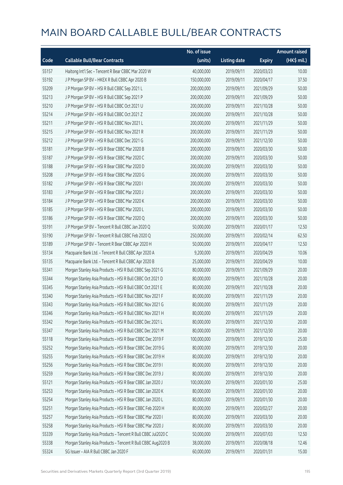|       |                                                              | No. of issue |                     |               | Amount raised |
|-------|--------------------------------------------------------------|--------------|---------------------|---------------|---------------|
| Code  | <b>Callable Bull/Bear Contracts</b>                          | (units)      | <b>Listing date</b> | <b>Expiry</b> | (HK\$ mil.)   |
| 55157 | Haitong Int'l Sec - Tencent R Bear CBBC Mar 2020 W           | 40,000,000   | 2019/09/11          | 2020/03/23    | 10.00         |
| 55192 | J P Morgan SP BV - HKEX R Bull CBBC Apr 2020 B               | 150,000,000  | 2019/09/11          | 2020/04/17    | 37.50         |
| 55209 | J P Morgan SP BV - HSI R Bull CBBC Sep 2021 L                | 200,000,000  | 2019/09/11          | 2021/09/29    | 50.00         |
| 55213 | J P Morgan SP BV - HSI R Bull CBBC Sep 2021 P                | 200,000,000  | 2019/09/11          | 2021/09/29    | 50.00         |
| 55210 | J P Morgan SP BV - HSI R Bull CBBC Oct 2021 U                | 200,000,000  | 2019/09/11          | 2021/10/28    | 50.00         |
| 55214 | J P Morgan SP BV - HSI R Bull CBBC Oct 2021 Z                | 200,000,000  | 2019/09/11          | 2021/10/28    | 50.00         |
| 55211 | J P Morgan SP BV - HSI R Bull CBBC Nov 2021 L                | 200,000,000  | 2019/09/11          | 2021/11/29    | 50.00         |
| 55215 | J P Morgan SP BV - HSI R Bull CBBC Nov 2021 R                | 200,000,000  | 2019/09/11          | 2021/11/29    | 50.00         |
| 55212 | J P Morgan SP BV - HSI R Bull CBBC Dec 2021 G                | 200,000,000  | 2019/09/11          | 2021/12/30    | 50.00         |
| 55181 | J P Morgan SP BV - HSI R Bear CBBC Mar 2020 B                | 200,000,000  | 2019/09/11          | 2020/03/30    | 50.00         |
| 55187 | J P Morgan SP BV - HSI R Bear CBBC Mar 2020 C                | 200,000,000  | 2019/09/11          | 2020/03/30    | 50.00         |
| 55188 | J P Morgan SP BV - HSI R Bear CBBC Mar 2020 D                | 200,000,000  | 2019/09/11          | 2020/03/30    | 50.00         |
| 55208 | J P Morgan SP BV - HSI R Bear CBBC Mar 2020 G                | 200,000,000  | 2019/09/11          | 2020/03/30    | 50.00         |
| 55182 | J P Morgan SP BV - HSI R Bear CBBC Mar 2020 I                | 200,000,000  | 2019/09/11          | 2020/03/30    | 50.00         |
| 55183 | J P Morgan SP BV - HSI R Bear CBBC Mar 2020 J                | 200,000,000  | 2019/09/11          | 2020/03/30    | 50.00         |
| 55184 | J P Morgan SP BV - HSI R Bear CBBC Mar 2020 K                | 200,000,000  | 2019/09/11          | 2020/03/30    | 50.00         |
| 55185 | J P Morgan SP BV - HSI R Bear CBBC Mar 2020 L                | 200,000,000  | 2019/09/11          | 2020/03/30    | 50.00         |
| 55186 | J P Morgan SP BV - HSI R Bear CBBC Mar 2020 Q                | 200,000,000  | 2019/09/11          | 2020/03/30    | 50.00         |
| 55191 | J P Morgan SP BV - Tencent R Bull CBBC Jan 2020 Q            | 50,000,000   | 2019/09/11          | 2020/01/17    | 12.50         |
| 55190 | J P Morgan SP BV - Tencent R Bull CBBC Feb 2020 Q            | 250,000,000  | 2019/09/11          | 2020/02/14    | 62.50         |
| 55189 | J P Morgan SP BV - Tencent R Bear CBBC Apr 2020 H            | 50,000,000   | 2019/09/11          | 2020/04/17    | 12.50         |
| 55134 | Macquarie Bank Ltd. - Tencent R Bull CBBC Apr 2020 A         | 9,200,000    | 2019/09/11          | 2020/04/29    | 10.06         |
| 55135 | Macquarie Bank Ltd. - Tencent R Bull CBBC Apr 2020 B         | 25,000,000   | 2019/09/11          | 2020/04/29    | 10.00         |
| 55341 | Morgan Stanley Asia Products - HSI R Bull CBBC Sep 2021 G    | 80,000,000   | 2019/09/11          | 2021/09/29    | 20.00         |
| 55344 | Morgan Stanley Asia Products - HSI R Bull CBBC Oct 2021 D    | 80,000,000   | 2019/09/11          | 2021/10/28    | 20.00         |
| 55345 | Morgan Stanley Asia Products - HSI R Bull CBBC Oct 2021 E    | 80,000,000   | 2019/09/11          | 2021/10/28    | 20.00         |
| 55340 | Morgan Stanley Asia Products - HSI R Bull CBBC Nov 2021 F    | 80,000,000   | 2019/09/11          | 2021/11/29    | 20.00         |
| 55343 | Morgan Stanley Asia Products - HSI R Bull CBBC Nov 2021 G    | 80,000,000   | 2019/09/11          | 2021/11/29    | 20.00         |
| 55346 | Morgan Stanley Asia Products - HSI R Bull CBBC Nov 2021 H    | 80,000,000   | 2019/09/11          | 2021/11/29    | 20.00         |
| 55342 | Morgan Stanley Asia Products - HSI R Bull CBBC Dec 2021 L    | 80,000,000   | 2019/09/11          | 2021/12/30    | 20.00         |
| 55347 | Morgan Stanley Asia Products - HSI R Bull CBBC Dec 2021 M    | 80,000,000   | 2019/09/11          | 2021/12/30    | 20.00         |
| 55118 | Morgan Stanley Asia Products - HSI R Bear CBBC Dec 2019 F    | 100,000,000  | 2019/09/11          | 2019/12/30    | 25.00         |
| 55252 | Morgan Stanley Asia Products - HSI R Bear CBBC Dec 2019 G    | 80,000,000   | 2019/09/11          | 2019/12/30    | 20.00         |
| 55255 | Morgan Stanley Asia Products - HSI R Bear CBBC Dec 2019 H    | 80,000,000   | 2019/09/11          | 2019/12/30    | 20.00         |
| 55256 | Morgan Stanley Asia Products - HSI R Bear CBBC Dec 2019 I    | 80,000,000   | 2019/09/11          | 2019/12/30    | 20.00         |
| 55259 | Morgan Stanley Asia Products - HSI R Bear CBBC Dec 2019 J    | 80,000,000   | 2019/09/11          | 2019/12/30    | 20.00         |
| 55121 | Morgan Stanley Asia Products - HSI R Bear CBBC Jan 2020 J    | 100,000,000  | 2019/09/11          | 2020/01/30    | 25.00         |
| 55253 | Morgan Stanley Asia Products - HSI R Bear CBBC Jan 2020 K    | 80,000,000   | 2019/09/11          | 2020/01/30    | 20.00         |
| 55254 | Morgan Stanley Asia Products - HSI R Bear CBBC Jan 2020 L    | 80,000,000   | 2019/09/11          | 2020/01/30    | 20.00         |
| 55251 | Morgan Stanley Asia Products - HSI R Bear CBBC Feb 2020 H    | 80,000,000   | 2019/09/11          | 2020/02/27    | 20.00         |
| 55257 | Morgan Stanley Asia Products - HSI R Bear CBBC Mar 2020 I    | 80,000,000   | 2019/09/11          | 2020/03/30    | 20.00         |
| 55258 | Morgan Stanley Asia Products - HSI R Bear CBBC Mar 2020 J    | 80,000,000   | 2019/09/11          | 2020/03/30    | 20.00         |
| 55339 | Morgan Stanley Asia Products - Tencent R Bull CBBC Jul2020 C | 50,000,000   | 2019/09/11          | 2020/07/03    | 12.50         |
| 55338 | Morgan Stanley Asia Products - Tencent R Bull CBBC Aug2020 B | 38,000,000   | 2019/09/11          | 2020/08/18    | 12.46         |
| 55324 | SG Issuer - AIA R Bull CBBC Jan 2020 F                       | 60,000,000   | 2019/09/11          | 2020/01/31    | 15.00         |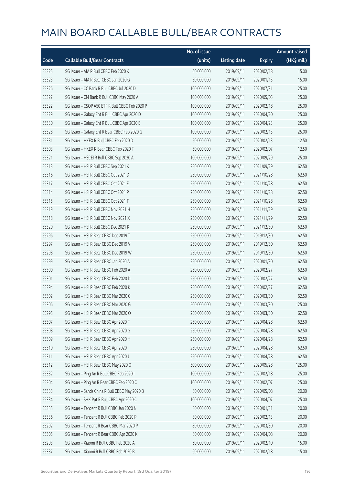|       |                                                 | No. of issue |                     |               | <b>Amount raised</b> |
|-------|-------------------------------------------------|--------------|---------------------|---------------|----------------------|
| Code  | <b>Callable Bull/Bear Contracts</b>             | (units)      | <b>Listing date</b> | <b>Expiry</b> | (HK\$ mil.)          |
| 55325 | SG Issuer - AIA R Bull CBBC Feb 2020 K          | 60,000,000   | 2019/09/11          | 2020/02/18    | 15.00                |
| 55323 | SG Issuer - AIA R Bear CBBC Jan 2020 G          | 60,000,000   | 2019/09/11          | 2020/01/13    | 15.00                |
| 55326 | SG Issuer - CC Bank R Bull CBBC Jul 2020 D      | 100,000,000  | 2019/09/11          | 2020/07/31    | 25.00                |
| 55327 | SG Issuer - CM Bank R Bull CBBC May 2020 A      | 100,000,000  | 2019/09/11          | 2020/05/05    | 25.00                |
| 55322 | SG Issuer - CSOP A50 ETF R Bull CBBC Feb 2020 P | 100,000,000  | 2019/09/11          | 2020/02/18    | 25.00                |
| 55329 | SG Issuer - Galaxy Ent R Bull CBBC Apr 2020 D   | 100,000,000  | 2019/09/11          | 2020/04/20    | 25.00                |
| 55330 | SG Issuer - Galaxy Ent R Bull CBBC Apr 2020 E   | 100,000,000  | 2019/09/11          | 2020/04/23    | 25.00                |
| 55328 | SG Issuer - Galaxy Ent R Bear CBBC Feb 2020 G   | 100,000,000  | 2019/09/11          | 2020/02/13    | 25.00                |
| 55331 | SG Issuer - HKEX R Bull CBBC Feb 2020 D         | 50,000,000   | 2019/09/11          | 2020/02/13    | 12.50                |
| 55303 | SG Issuer - HKEX R Bear CBBC Feb 2020 F         | 50,000,000   | 2019/09/11          | 2020/02/07    | 12.50                |
| 55321 | SG Issuer - HSCEI R Bull CBBC Sep 2020 A        | 100,000,000  | 2019/09/11          | 2020/09/29    | 25.00                |
| 55313 | SG Issuer - HSI R Bull CBBC Sep 2021 K          | 250,000,000  | 2019/09/11          | 2021/09/29    | 62.50                |
| 55316 | SG Issuer - HSI R Bull CBBC Oct 2021 D          | 250,000,000  | 2019/09/11          | 2021/10/28    | 62.50                |
| 55317 | SG Issuer - HSI R Bull CBBC Oct 2021 E          | 250,000,000  | 2019/09/11          | 2021/10/28    | 62.50                |
| 55314 | SG Issuer - HSI R Bull CBBC Oct 2021 P          | 250,000,000  | 2019/09/11          | 2021/10/28    | 62.50                |
| 55315 | SG Issuer - HSI R Bull CBBC Oct 2021 T          | 250,000,000  | 2019/09/11          | 2021/10/28    | 62.50                |
| 55319 | SG Issuer - HSI R Bull CBBC Nov 2021 H          | 250,000,000  | 2019/09/11          | 2021/11/29    | 62.50                |
| 55318 | SG Issuer - HSI R Bull CBBC Nov 2021 X          | 250,000,000  | 2019/09/11          | 2021/11/29    | 62.50                |
| 55320 | SG Issuer - HSI R Bull CBBC Dec 2021 K          | 250,000,000  | 2019/09/11          | 2021/12/30    | 62.50                |
| 55296 | SG Issuer - HSI R Bear CBBC Dec 2019 T          | 250,000,000  | 2019/09/11          | 2019/12/30    | 62.50                |
| 55297 | SG Issuer - HSI R Bear CBBC Dec 2019 V          | 250,000,000  | 2019/09/11          | 2019/12/30    | 62.50                |
| 55298 | SG Issuer - HSI R Bear CBBC Dec 2019 W          | 250,000,000  | 2019/09/11          | 2019/12/30    | 62.50                |
| 55299 | SG Issuer - HSI R Bear CBBC Jan 2020 A          | 250,000,000  | 2019/09/11          | 2020/01/30    | 62.50                |
| 55300 | SG Issuer - HSI R Bear CBBC Feb 2020 A          | 250,000,000  | 2019/09/11          | 2020/02/27    | 62.50                |
| 55301 | SG Issuer - HSI R Bear CBBC Feb 2020 D          | 250,000,000  | 2019/09/11          | 2020/02/27    | 62.50                |
| 55294 | SG Issuer - HSI R Bear CBBC Feb 2020 K          | 250,000,000  | 2019/09/11          | 2020/02/27    | 62.50                |
| 55302 | SG Issuer - HSI R Bear CBBC Mar 2020 C          | 250,000,000  | 2019/09/11          | 2020/03/30    | 62.50                |
| 55306 | SG Issuer - HSI R Bear CBBC Mar 2020 G          | 500,000,000  | 2019/09/11          | 2020/03/30    | 125.00               |
| 55295 | SG Issuer - HSI R Bear CBBC Mar 2020 O          | 250,000,000  | 2019/09/11          | 2020/03/30    | 62.50                |
| 55307 | SG Issuer - HSI R Bear CBBC Apr 2020 F          | 250,000,000  | 2019/09/11          | 2020/04/28    | 62.50                |
| 55308 | SG Issuer - HSI R Bear CBBC Apr 2020 G          | 250,000,000  | 2019/09/11          | 2020/04/28    | 62.50                |
| 55309 | SG Issuer - HSI R Bear CBBC Apr 2020 H          | 250,000,000  | 2019/09/11          | 2020/04/28    | 62.50                |
| 55310 | SG Issuer - HSI R Bear CBBC Apr 2020 I          | 250,000,000  | 2019/09/11          | 2020/04/28    | 62.50                |
| 55311 | SG Issuer - HSI R Bear CBBC Apr 2020 J          | 250,000,000  | 2019/09/11          | 2020/04/28    | 62.50                |
| 55312 | SG Issuer - HSI R Bear CBBC May 2020 O          | 500,000,000  | 2019/09/11          | 2020/05/28    | 125.00               |
| 55332 | SG Issuer - Ping An R Bull CBBC Feb 2020 I      | 100,000,000  | 2019/09/11          | 2020/02/18    | 25.00                |
| 55304 | SG Issuer - Ping An R Bear CBBC Feb 2020 C      | 100,000,000  | 2019/09/11          | 2020/02/07    | 25.00                |
| 55333 | SG Issuer - Sands China R Bull CBBC May 2020 B  | 80,000,000   | 2019/09/11          | 2020/05/08    | 20.00                |
| 55334 | SG Issuer - SHK Ppt R Bull CBBC Apr 2020 C      | 100,000,000  | 2019/09/11          | 2020/04/07    | 25.00                |
| 55335 | SG Issuer - Tencent R Bull CBBC Jan 2020 N      | 80,000,000   | 2019/09/11          | 2020/01/31    | 20.00                |
| 55336 | SG Issuer - Tencent R Bull CBBC Feb 2020 P      | 80,000,000   | 2019/09/11          | 2020/02/13    | 20.00                |
| 55292 | SG Issuer - Tencent R Bear CBBC Mar 2020 P      | 80,000,000   | 2019/09/11          | 2020/03/30    | 20.00                |
| 55305 | SG Issuer - Tencent R Bear CBBC Apr 2020 K      | 80,000,000   | 2019/09/11          | 2020/04/08    | 20.00                |
| 55293 | SG Issuer - Xiaomi R Bull CBBC Feb 2020 A       | 60,000,000   | 2019/09/11          | 2020/02/10    | 15.00                |
| 55337 | SG Issuer - Xiaomi R Bull CBBC Feb 2020 B       | 60,000,000   | 2019/09/11          | 2020/02/18    | 15.00                |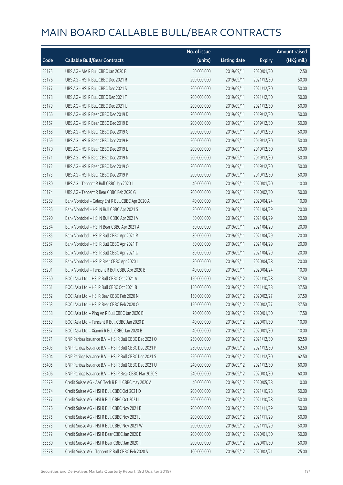|       |                                                        | No. of issue |                     |               | <b>Amount raised</b> |
|-------|--------------------------------------------------------|--------------|---------------------|---------------|----------------------|
| Code  | <b>Callable Bull/Bear Contracts</b>                    | (units)      | <b>Listing date</b> | <b>Expiry</b> | (HK\$ mil.)          |
| 55175 | UBS AG - AIA R Bull CBBC Jan 2020 B                    | 50,000,000   | 2019/09/11          | 2020/01/20    | 12.50                |
| 55176 | UBS AG - HSI R Bull CBBC Dec 2021 R                    | 200,000,000  | 2019/09/11          | 2021/12/30    | 50.00                |
| 55177 | UBS AG - HSI R Bull CBBC Dec 2021 S                    | 200,000,000  | 2019/09/11          | 2021/12/30    | 50.00                |
| 55178 | UBS AG - HSI R Bull CBBC Dec 2021 T                    | 200,000,000  | 2019/09/11          | 2021/12/30    | 50.00                |
| 55179 | UBS AG - HSI R Bull CBBC Dec 2021 U                    | 200,000,000  | 2019/09/11          | 2021/12/30    | 50.00                |
| 55166 | UBS AG - HSI R Bear CBBC Dec 2019 D                    | 200,000,000  | 2019/09/11          | 2019/12/30    | 50.00                |
| 55167 | UBS AG - HSI R Bear CBBC Dec 2019 E                    | 200,000,000  | 2019/09/11          | 2019/12/30    | 50.00                |
| 55168 | UBS AG - HSI R Bear CBBC Dec 2019 G                    | 200,000,000  | 2019/09/11          | 2019/12/30    | 50.00                |
| 55169 | UBS AG - HSI R Bear CBBC Dec 2019 H                    | 200,000,000  | 2019/09/11          | 2019/12/30    | 50.00                |
| 55170 | UBS AG - HSI R Bear CBBC Dec 2019 L                    | 200,000,000  | 2019/09/11          | 2019/12/30    | 50.00                |
| 55171 | UBS AG - HSI R Bear CBBC Dec 2019 N                    | 200,000,000  | 2019/09/11          | 2019/12/30    | 50.00                |
| 55172 | UBS AG - HSI R Bear CBBC Dec 2019 O                    | 200,000,000  | 2019/09/11          | 2019/12/30    | 50.00                |
| 55173 | UBS AG - HSI R Bear CBBC Dec 2019 P                    | 200,000,000  | 2019/09/11          | 2019/12/30    | 50.00                |
| 55180 | UBS AG - Tencent R Bull CBBC Jan 2020 I                | 40,000,000   | 2019/09/11          | 2020/01/20    | 10.00                |
| 55174 | UBS AG - Tencent R Bear CBBC Feb 2020 G                | 200,000,000  | 2019/09/11          | 2020/02/10    | 50.00                |
| 55289 | Bank Vontobel - Galaxy Ent R Bull CBBC Apr 2020 A      | 40,000,000   | 2019/09/11          | 2020/04/24    | 10.00                |
| 55286 | Bank Vontobel - HSI N Bull CBBC Apr 2021 S             | 80,000,000   | 2019/09/11          | 2021/04/29    | 20.00                |
| 55290 | Bank Vontobel - HSI N Bull CBBC Apr 2021 V             | 80,000,000   | 2019/09/11          | 2021/04/29    | 20.00                |
| 55284 | Bank Vontobel - HSI N Bear CBBC Apr 2021 A             | 80,000,000   | 2019/09/11          | 2021/04/29    | 20.00                |
| 55285 | Bank Vontobel - HSI R Bull CBBC Apr 2021 R             | 80,000,000   | 2019/09/11          | 2021/04/29    | 20.00                |
| 55287 | Bank Vontobel - HSI R Bull CBBC Apr 2021 T             | 80,000,000   | 2019/09/11          | 2021/04/29    | 20.00                |
| 55288 | Bank Vontobel - HSI R Bull CBBC Apr 2021 U             | 80,000,000   | 2019/09/11          | 2021/04/29    | 20.00                |
| 55283 | Bank Vontobel - HSI R Bear CBBC Apr 2020 L             | 80,000,000   | 2019/09/11          | 2020/04/28    | 20.00                |
| 55291 | Bank Vontobel - Tencent R Bull CBBC Apr 2020 B         | 40,000,000   | 2019/09/11          | 2020/04/24    | 10.00                |
| 55360 | BOCI Asia Ltd. - HSI R Bull CBBC Oct 2021 A            | 150,000,000  | 2019/09/12          | 2021/10/28    | 37.50                |
| 55361 | BOCI Asia Ltd. - HSI R Bull CBBC Oct 2021 B            | 150,000,000  | 2019/09/12          | 2021/10/28    | 37.50                |
| 55362 | BOCI Asia Ltd. - HSI R Bear CBBC Feb 2020 N            | 150,000,000  | 2019/09/12          | 2020/02/27    | 37.50                |
| 55363 | BOCI Asia Ltd. - HSI R Bear CBBC Feb 2020 O            | 150,000,000  | 2019/09/12          | 2020/02/27    | 37.50                |
| 55358 | BOCI Asia Ltd. - Ping An R Bull CBBC Jan 2020 B        | 70,000,000   | 2019/09/12          | 2020/01/30    | 17.50                |
| 55359 | BOCI Asia Ltd. - Tencent R Bull CBBC Jan 2020 D        | 40,000,000   | 2019/09/12          | 2020/01/30    | 10.00                |
| 55357 | BOCI Asia Ltd. - Xiaomi R Bull CBBC Jan 2020 B         | 40,000,000   | 2019/09/12          | 2020/01/30    | 10.00                |
| 55371 | BNP Paribas Issuance B.V. - HSI R Bull CBBC Dec 2021 O | 250,000,000  | 2019/09/12          | 2021/12/30    | 62.50                |
| 55403 | BNP Paribas Issuance B.V. - HSI R Bull CBBC Dec 2021 P | 250,000,000  | 2019/09/12          | 2021/12/30    | 62.50                |
| 55404 | BNP Paribas Issuance B.V. - HSI R Bull CBBC Dec 2021 S | 250,000,000  | 2019/09/12          | 2021/12/30    | 62.50                |
| 55405 | BNP Paribas Issuance B.V. - HSI R Bull CBBC Dec 2021 U | 240,000,000  | 2019/09/12          | 2021/12/30    | 60.00                |
| 55406 | BNP Paribas Issuance B.V. - HSI R Bear CBBC Mar 2020 S | 240,000,000  | 2019/09/12          | 2020/03/30    | 60.00                |
| 55379 | Credit Suisse AG - AAC Tech R Bull CBBC May 2020 A     | 40,000,000   | 2019/09/12          | 2020/05/28    | 10.00                |
| 55374 | Credit Suisse AG - HSI R Bull CBBC Oct 2021 D          | 200,000,000  | 2019/09/12          | 2021/10/28    | 50.00                |
| 55377 | Credit Suisse AG - HSI R Bull CBBC Oct 2021 L          | 200,000,000  | 2019/09/12          | 2021/10/28    | 50.00                |
| 55376 | Credit Suisse AG - HSI R Bull CBBC Nov 2021 B          | 200,000,000  | 2019/09/12          | 2021/11/29    | 50.00                |
| 55375 | Credit Suisse AG - HSI R Bull CBBC Nov 2021 J          | 200,000,000  | 2019/09/12          | 2021/11/29    | 50.00                |
| 55373 | Credit Suisse AG - HSI R Bull CBBC Nov 2021 W          | 200,000,000  | 2019/09/12          | 2021/11/29    | 50.00                |
| 55372 | Credit Suisse AG - HSI R Bear CBBC Jan 2020 E          | 200,000,000  | 2019/09/12          | 2020/01/30    | 50.00                |
| 55380 | Credit Suisse AG - HSI R Bear CBBC Jan 2020 T          | 200,000,000  | 2019/09/12          | 2020/01/30    | 50.00                |
| 55378 | Credit Suisse AG - Tencent R Bull CBBC Feb 2020 S      | 100,000,000  | 2019/09/12          | 2020/02/21    | 25.00                |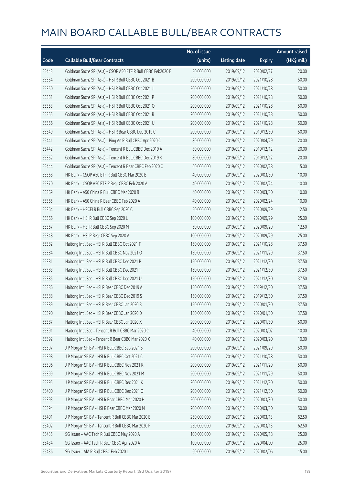|       |                                                              | No. of issue |                     |               | <b>Amount raised</b> |
|-------|--------------------------------------------------------------|--------------|---------------------|---------------|----------------------|
| Code  | <b>Callable Bull/Bear Contracts</b>                          | (units)      | <b>Listing date</b> | <b>Expiry</b> | $(HK$$ mil.)         |
| 55443 | Goldman Sachs SP (Asia) - CSOP A50 ETF R Bull CBBC Feb2020 B | 80,000,000   | 2019/09/12          | 2020/02/27    | 20.00                |
| 55354 | Goldman Sachs SP (Asia) - HSI R Bull CBBC Oct 2021 B         | 200,000,000  | 2019/09/12          | 2021/10/28    | 50.00                |
| 55350 | Goldman Sachs SP (Asia) - HSI R Bull CBBC Oct 2021 J         | 200,000,000  | 2019/09/12          | 2021/10/28    | 50.00                |
| 55351 | Goldman Sachs SP (Asia) - HSI R Bull CBBC Oct 2021 P         | 200,000,000  | 2019/09/12          | 2021/10/28    | 50.00                |
| 55353 | Goldman Sachs SP (Asia) - HSI R Bull CBBC Oct 2021 Q         | 200,000,000  | 2019/09/12          | 2021/10/28    | 50.00                |
| 55355 | Goldman Sachs SP (Asia) - HSI R Bull CBBC Oct 2021 R         | 200,000,000  | 2019/09/12          | 2021/10/28    | 50.00                |
| 55356 | Goldman Sachs SP (Asia) - HSI R Bull CBBC Oct 2021 U         | 200,000,000  | 2019/09/12          | 2021/10/28    | 50.00                |
| 55349 | Goldman Sachs SP (Asia) - HSI R Bear CBBC Dec 2019 C         | 200,000,000  | 2019/09/12          | 2019/12/30    | 50.00                |
| 55441 | Goldman Sachs SP (Asia) - Ping An R Bull CBBC Apr 2020 C     | 80,000,000   | 2019/09/12          | 2020/04/29    | 20.00                |
| 55442 | Goldman Sachs SP (Asia) - Tencent R Bull CBBC Dec 2019 A     | 80,000,000   | 2019/09/12          | 2019/12/12    | 20.00                |
| 55352 | Goldman Sachs SP (Asia) - Tencent R Bull CBBC Dec 2019 K     | 80,000,000   | 2019/09/12          | 2019/12/12    | 20.00                |
| 55444 | Goldman Sachs SP (Asia) - Tencent R Bear CBBC Feb 2020 C     | 60,000,000   | 2019/09/12          | 2020/02/28    | 15.00                |
| 55368 | HK Bank - CSOP A50 ETF R Bull CBBC Mar 2020 B                | 40,000,000   | 2019/09/12          | 2020/03/30    | 10.00                |
| 55370 | HK Bank - CSOP A50 ETF R Bear CBBC Feb 2020 A                | 40,000,000   | 2019/09/12          | 2020/02/24    | 10.00                |
| 55369 | HK Bank - A50 China R Bull CBBC Mar 2020 B                   | 40,000,000   | 2019/09/12          | 2020/03/30    | 10.00                |
| 55365 | HK Bank - A50 China R Bear CBBC Feb 2020 A                   | 40,000,000   | 2019/09/12          | 2020/02/24    | 10.00                |
| 55364 | HK Bank - HSCEI R Bull CBBC Sep 2020 C                       | 50,000,000   | 2019/09/12          | 2020/09/29    | 12.50                |
| 55366 | HK Bank - HSI R Bull CBBC Sep 2020 L                         | 100,000,000  | 2019/09/12          | 2020/09/29    | 25.00                |
| 55367 | HK Bank - HSI R Bull CBBC Sep 2020 M                         | 50,000,000   | 2019/09/12          | 2020/09/29    | 12.50                |
| 55348 | HK Bank - HSI R Bear CBBC Sep 2020 A                         | 100,000,000  | 2019/09/12          | 2020/09/29    | 25.00                |
| 55382 | Haitong Int'l Sec - HSI R Bull CBBC Oct 2021 T               | 150,000,000  | 2019/09/12          | 2021/10/28    | 37.50                |
| 55384 | Haitong Int'l Sec - HSI R Bull CBBC Nov 2021 O               | 150,000,000  | 2019/09/12          | 2021/11/29    | 37.50                |
| 55381 | Haitong Int'l Sec - HSI R Bull CBBC Dec 2021 P               | 150,000,000  | 2019/09/12          | 2021/12/30    | 37.50                |
| 55383 | Haitong Int'l Sec - HSI R Bull CBBC Dec 2021 T               | 150,000,000  | 2019/09/12          | 2021/12/30    | 37.50                |
| 55385 | Haitong Int'l Sec - HSI R Bull CBBC Dec 2021 U               | 150,000,000  | 2019/09/12          | 2021/12/30    | 37.50                |
| 55386 | Haitong Int'l Sec - HSI R Bear CBBC Dec 2019 A               | 150,000,000  | 2019/09/12          | 2019/12/30    | 37.50                |
| 55388 | Haitong Int'l Sec - HSI R Bear CBBC Dec 2019 S               | 150,000,000  | 2019/09/12          | 2019/12/30    | 37.50                |
| 55389 | Haitong Int'l Sec - HSI R Bear CBBC Jan 2020 B               | 150,000,000  | 2019/09/12          | 2020/01/30    | 37.50                |
| 55390 | Haitong Int'l Sec - HSI R Bear CBBC Jan 2020 D               | 150,000,000  | 2019/09/12          | 2020/01/30    | 37.50                |
| 55387 | Haitong Int'l Sec - HSI R Bear CBBC Jan 2020 X               | 200,000,000  | 2019/09/12          | 2020/01/30    | 50.00                |
| 55391 | Haitong Int'l Sec - Tencent R Bull CBBC Mar 2020 C           | 40,000,000   | 2019/09/12          | 2020/03/02    | 10.00                |
| 55392 | Haitong Int'l Sec - Tencent R Bear CBBC Mar 2020 X           | 40,000,000   | 2019/09/12          | 2020/03/20    | 10.00                |
| 55397 | J P Morgan SP BV - HSI R Bull CBBC Sep 2021 S                | 200,000,000  | 2019/09/12          | 2021/09/29    | 50.00                |
| 55398 | J P Morgan SP BV - HSI R Bull CBBC Oct 2021 C                | 200,000,000  | 2019/09/12          | 2021/10/28    | 50.00                |
| 55396 | J P Morgan SP BV - HSI R Bull CBBC Nov 2021 K                | 200,000,000  | 2019/09/12          | 2021/11/29    | 50.00                |
| 55399 | J P Morgan SP BV - HSI R Bull CBBC Nov 2021 M                | 200,000,000  | 2019/09/12          | 2021/11/29    | 50.00                |
| 55395 | J P Morgan SP BV - HSI R Bull CBBC Dec 2021 K                | 200,000,000  | 2019/09/12          | 2021/12/30    | 50.00                |
| 55400 | J P Morgan SP BV - HSI R Bull CBBC Dec 2021 Q                | 200,000,000  | 2019/09/12          | 2021/12/30    | 50.00                |
| 55393 | J P Morgan SP BV - HSI R Bear CBBC Mar 2020 H                | 200,000,000  | 2019/09/12          | 2020/03/30    | 50.00                |
| 55394 | J P Morgan SP BV - HSI R Bear CBBC Mar 2020 M                | 200,000,000  | 2019/09/12          | 2020/03/30    | 50.00                |
| 55401 | J P Morgan SP BV - Tencent R Bull CBBC Mar 2020 E            | 250,000,000  | 2019/09/12          | 2020/03/13    | 62.50                |
| 55402 | J P Morgan SP BV - Tencent R Bull CBBC Mar 2020 F            | 250,000,000  | 2019/09/12          | 2020/03/13    | 62.50                |
| 55435 | SG Issuer - AAC Tech R Bull CBBC May 2020 A                  | 100,000,000  | 2019/09/12          | 2020/05/18    | 25.00                |
| 55434 | SG Issuer - AAC Tech R Bear CBBC Apr 2020 A                  | 100,000,000  | 2019/09/12          | 2020/04/09    | 25.00                |
| 55436 | SG Issuer - AIA R Bull CBBC Feb 2020 L                       | 60,000,000   | 2019/09/12          | 2020/02/06    | 15.00                |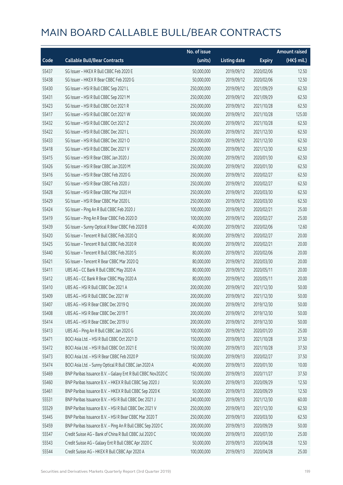|       |                                                              | No. of issue |                     |               | <b>Amount raised</b> |
|-------|--------------------------------------------------------------|--------------|---------------------|---------------|----------------------|
| Code  | <b>Callable Bull/Bear Contracts</b>                          | (units)      | <b>Listing date</b> | <b>Expiry</b> | (HK\$ mil.)          |
| 55437 | SG Issuer - HKEX R Bull CBBC Feb 2020 E                      | 50,000,000   | 2019/09/12          | 2020/02/06    | 12.50                |
| 55438 | SG Issuer - HKEX R Bear CBBC Feb 2020 G                      | 50,000,000   | 2019/09/12          | 2020/02/06    | 12.50                |
| 55430 | SG Issuer - HSI R Bull CBBC Sep 2021 L                       | 250,000,000  | 2019/09/12          | 2021/09/29    | 62.50                |
| 55431 | SG Issuer - HSI R Bull CBBC Sep 2021 M                       | 250,000,000  | 2019/09/12          | 2021/09/29    | 62.50                |
| 55423 | SG Issuer - HSI R Bull CBBC Oct 2021 R                       | 250,000,000  | 2019/09/12          | 2021/10/28    | 62.50                |
| 55417 | SG Issuer - HSI R Bull CBBC Oct 2021 W                       | 500,000,000  | 2019/09/12          | 2021/10/28    | 125.00               |
| 55432 | SG Issuer - HSI R Bull CBBC Oct 2021 Z                       | 250,000,000  | 2019/09/12          | 2021/10/28    | 62.50                |
| 55422 | SG Issuer - HSI R Bull CBBC Dec 2021 L                       | 250,000,000  | 2019/09/12          | 2021/12/30    | 62.50                |
| 55433 | SG Issuer - HSI R Bull CBBC Dec 2021 O                       | 250,000,000  | 2019/09/12          | 2021/12/30    | 62.50                |
| 55418 | SG Issuer - HSI R Bull CBBC Dec 2021 V                       | 250,000,000  | 2019/09/12          | 2021/12/30    | 62.50                |
| 55415 | SG Issuer - HSI R Bear CBBC Jan 2020 J                       | 250,000,000  | 2019/09/12          | 2020/01/30    | 62.50                |
| 55426 | SG Issuer - HSI R Bear CBBC Jan 2020 M                       | 250,000,000  | 2019/09/12          | 2020/01/30    | 62.50                |
| 55416 | SG Issuer - HSI R Bear CBBC Feb 2020 G                       | 250,000,000  | 2019/09/12          | 2020/02/27    | 62.50                |
| 55427 | SG Issuer - HSI R Bear CBBC Feb 2020 J                       | 250,000,000  | 2019/09/12          | 2020/02/27    | 62.50                |
| 55428 | SG Issuer - HSI R Bear CBBC Mar 2020 H                       | 250,000,000  | 2019/09/12          | 2020/03/30    | 62.50                |
| 55429 | SG Issuer - HSI R Bear CBBC Mar 2020 L                       | 250,000,000  | 2019/09/12          | 2020/03/30    | 62.50                |
| 55424 | SG Issuer - Ping An R Bull CBBC Feb 2020 J                   | 100,000,000  | 2019/09/12          | 2020/02/21    | 25.00                |
| 55419 | SG Issuer - Ping An R Bear CBBC Feb 2020 D                   | 100,000,000  | 2019/09/12          | 2020/02/27    | 25.00                |
| 55439 | SG Issuer - Sunny Optical R Bear CBBC Feb 2020 B             | 40,000,000   | 2019/09/12          | 2020/02/06    | 12.60                |
| 55420 | SG Issuer - Tencent R Bull CBBC Feb 2020 Q                   | 80,000,000   | 2019/09/12          | 2020/02/27    | 20.00                |
| 55425 | SG Issuer - Tencent R Bull CBBC Feb 2020 R                   | 80,000,000   | 2019/09/12          | 2020/02/21    | 20.00                |
| 55440 | SG Issuer - Tencent R Bull CBBC Feb 2020 S                   | 80,000,000   | 2019/09/12          | 2020/02/06    | 20.00                |
| 55421 | SG Issuer - Tencent R Bear CBBC Mar 2020 Q                   | 80,000,000   | 2019/09/12          | 2020/03/30    | 20.00                |
| 55411 | UBS AG - CC Bank R Bull CBBC May 2020 A                      | 80,000,000   | 2019/09/12          | 2020/05/11    | 20.00                |
| 55412 | UBS AG - CC Bank R Bear CBBC May 2020 A                      | 80,000,000   | 2019/09/12          | 2020/05/11    | 20.00                |
| 55410 | UBS AG - HSI R Bull CBBC Dec 2021 A                          | 200,000,000  | 2019/09/12          | 2021/12/30    | 50.00                |
| 55409 | UBS AG - HSI R Bull CBBC Dec 2021 W                          | 200,000,000  | 2019/09/12          | 2021/12/30    | 50.00                |
| 55407 | UBS AG - HSI R Bear CBBC Dec 2019 O                          | 200,000,000  | 2019/09/12          | 2019/12/30    | 50.00                |
| 55408 | UBS AG - HSI R Bear CBBC Dec 2019 T                          | 200,000,000  | 2019/09/12          | 2019/12/30    | 50.00                |
| 55414 | UBS AG - HSI R Bear CBBC Dec 2019 U                          | 200,000,000  | 2019/09/12          | 2019/12/30    | 50.00                |
| 55413 | UBS AG - Ping An R Bull CBBC Jan 2020 G                      | 100,000,000  | 2019/09/12          | 2020/01/20    | 25.00                |
| 55471 | BOCI Asia Ltd. - HSI R Bull CBBC Oct 2021 D                  | 150,000,000  | 2019/09/13          | 2021/10/28    | 37.50                |
| 55472 | BOCI Asia Ltd. - HSI R Bull CBBC Oct 2021 E                  | 150,000,000  | 2019/09/13          | 2021/10/28    | 37.50                |
| 55473 | BOCI Asia Ltd. - HSI R Bear CBBC Feb 2020 P                  | 150,000,000  | 2019/09/13          | 2020/02/27    | 37.50                |
| 55474 | BOCI Asia Ltd. - Sunny Optical R Bull CBBC Jan 2020 A        | 40,000,000   | 2019/09/13          | 2020/01/30    | 10.00                |
| 55469 | BNP Paribas Issuance B.V. - Galaxy Ent R Bull CBBC Nov2020 C | 150,000,000  | 2019/09/13          | 2020/11/27    | 37.50                |
| 55460 | BNP Paribas Issuance B.V. - HKEX R Bull CBBC Sep 2020 J      | 50,000,000   | 2019/09/13          | 2020/09/29    | 12.50                |
| 55461 | BNP Paribas Issuance B.V. - HKEX R Bull CBBC Sep 2020 K      | 50,000,000   | 2019/09/13          | 2020/09/29    | 12.50                |
| 55531 | BNP Paribas Issuance B.V. - HSI R Bull CBBC Dec 2021 J       | 240,000,000  | 2019/09/13          | 2021/12/30    | 60.00                |
| 55529 | BNP Paribas Issuance B.V. - HSI R Bull CBBC Dec 2021 V       | 250,000,000  | 2019/09/13          | 2021/12/30    | 62.50                |
| 55445 | BNP Paribas Issuance B.V. - HSI R Bear CBBC Mar 2020 T       | 250,000,000  | 2019/09/13          | 2020/03/30    | 62.50                |
| 55459 | BNP Paribas Issuance B.V. - Ping An R Bull CBBC Sep 2020 C   | 200,000,000  | 2019/09/13          | 2020/09/29    | 50.00                |
| 55547 | Credit Suisse AG - Bank of China R Bull CBBC Jul 2020 C      | 100,000,000  | 2019/09/13          | 2020/07/30    | 25.00                |
| 55543 | Credit Suisse AG - Galaxy Ent R Bull CBBC Apr 2020 C         | 50,000,000   | 2019/09/13          | 2020/04/28    | 12.50                |
| 55544 | Credit Suisse AG - HKEX R Bull CBBC Apr 2020 A               | 100,000,000  | 2019/09/13          | 2020/04/28    | 25.00                |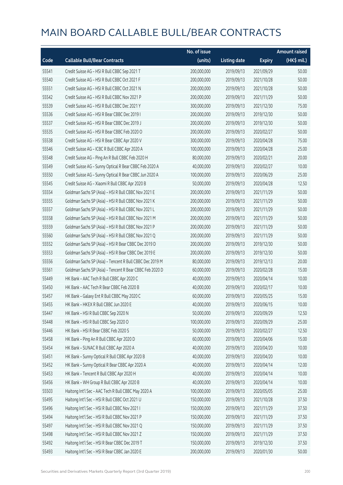|       |                                                          | No. of issue |                     |               | <b>Amount raised</b> |
|-------|----------------------------------------------------------|--------------|---------------------|---------------|----------------------|
| Code  | <b>Callable Bull/Bear Contracts</b>                      | (units)      | <b>Listing date</b> | <b>Expiry</b> | (HK\$ mil.)          |
| 55541 | Credit Suisse AG - HSI R Bull CBBC Sep 2021 T            | 200,000,000  | 2019/09/13          | 2021/09/29    | 50.00                |
| 55540 | Credit Suisse AG - HSI R Bull CBBC Oct 2021 F            | 200,000,000  | 2019/09/13          | 2021/10/28    | 50.00                |
| 55551 | Credit Suisse AG - HSI R Bull CBBC Oct 2021 N            | 200,000,000  | 2019/09/13          | 2021/10/28    | 50.00                |
| 55542 | Credit Suisse AG - HSI R Bull CBBC Nov 2021 P            | 200,000,000  | 2019/09/13          | 2021/11/29    | 50.00                |
| 55539 | Credit Suisse AG - HSI R Bull CBBC Dec 2021 Y            | 300,000,000  | 2019/09/13          | 2021/12/30    | 75.00                |
| 55536 | Credit Suisse AG - HSI R Bear CBBC Dec 2019 I            | 200,000,000  | 2019/09/13          | 2019/12/30    | 50.00                |
| 55537 | Credit Suisse AG - HSI R Bear CBBC Dec 2019 J            | 200,000,000  | 2019/09/13          | 2019/12/30    | 50.00                |
| 55535 | Credit Suisse AG - HSI R Bear CBBC Feb 2020 O            | 200,000,000  | 2019/09/13          | 2020/02/27    | 50.00                |
| 55538 | Credit Suisse AG - HSI R Bear CBBC Apr 2020 V            | 300,000,000  | 2019/09/13          | 2020/04/28    | 75.00                |
| 55546 | Credit Suisse AG - ICBC R Bull CBBC Apr 2020 A           | 100,000,000  | 2019/09/13          | 2020/04/28    | 25.00                |
| 55548 | Credit Suisse AG - Ping An R Bull CBBC Feb 2020 H        | 80,000,000   | 2019/09/13          | 2020/02/21    | 20.00                |
| 55549 | Credit Suisse AG - Sunny Optical R Bear CBBC Feb 2020 A  | 40,000,000   | 2019/09/13          | 2020/02/27    | 10.00                |
| 55550 | Credit Suisse AG - Sunny Optical R Bear CBBC Jun 2020 A  | 100,000,000  | 2019/09/13          | 2020/06/29    | 25.00                |
| 55545 | Credit Suisse AG - Xiaomi R Bull CBBC Apr 2020 B         | 50,000,000   | 2019/09/13          | 2020/04/28    | 12.50                |
| 55554 | Goldman Sachs SP (Asia) - HSI R Bull CBBC Nov 2021 E     | 200,000,000  | 2019/09/13          | 2021/11/29    | 50.00                |
| 55555 | Goldman Sachs SP (Asia) - HSI R Bull CBBC Nov 2021 K     | 200,000,000  | 2019/09/13          | 2021/11/29    | 50.00                |
| 55557 | Goldman Sachs SP (Asia) - HSI R Bull CBBC Nov 2021 L     | 200,000,000  | 2019/09/13          | 2021/11/29    | 50.00                |
| 55558 | Goldman Sachs SP (Asia) - HSI R Bull CBBC Nov 2021 M     | 200,000,000  | 2019/09/13          | 2021/11/29    | 50.00                |
| 55559 | Goldman Sachs SP (Asia) - HSI R Bull CBBC Nov 2021 P     | 200,000,000  | 2019/09/13          | 2021/11/29    | 50.00                |
| 55560 | Goldman Sachs SP (Asia) - HSI R Bull CBBC Nov 2021 Q     | 200,000,000  | 2019/09/13          | 2021/11/29    | 50.00                |
| 55552 | Goldman Sachs SP (Asia) - HSI R Bear CBBC Dec 2019 D     | 200,000,000  | 2019/09/13          | 2019/12/30    | 50.00                |
| 55553 | Goldman Sachs SP (Asia) - HSI R Bear CBBC Dec 2019 E     | 200,000,000  | 2019/09/13          | 2019/12/30    | 50.00                |
| 55556 | Goldman Sachs SP (Asia) - Tencent R Bull CBBC Dec 2019 M | 80,000,000   | 2019/09/13          | 2019/12/13    | 20.00                |
| 55561 | Goldman Sachs SP (Asia) - Tencent R Bear CBBC Feb 2020 D | 60,000,000   | 2019/09/13          | 2020/02/28    | 15.00                |
| 55449 | HK Bank - AAC Tech R Bull CBBC Apr 2020 C                | 40,000,000   | 2019/09/13          | 2020/04/14    | 10.00                |
| 55450 | HK Bank - AAC Tech R Bear CBBC Feb 2020 B                | 40,000,000   | 2019/09/13          | 2020/02/17    | 10.00                |
| 55457 | HK Bank - Galaxy Ent R Bull CBBC May 2020 C              | 60,000,000   | 2019/09/13          | 2020/05/25    | 15.00                |
| 55455 | HK Bank - HKEX R Bull CBBC Jun 2020 E                    | 40,000,000   | 2019/09/13          | 2020/06/15    | 10.00                |
| 55447 | HK Bank - HSI R Bull CBBC Sep 2020 N                     | 50,000,000   | 2019/09/13          | 2020/09/29    | 12.50                |
| 55448 | HK Bank - HSI R Bull CBBC Sep 2020 O                     | 100,000,000  | 2019/09/13          | 2020/09/29    | 25.00                |
| 55446 | HK Bank - HSI R Bear CBBC Feb 2020 S                     | 50,000,000   | 2019/09/13          | 2020/02/27    | 12.50                |
| 55458 | HK Bank - Ping An R Bull CBBC Apr 2020 D                 | 60,000,000   | 2019/09/13          | 2020/04/06    | 15.00                |
| 55454 | HK Bank - SUNAC R Bull CBBC Apr 2020 A                   | 40,000,000   | 2019/09/13          | 2020/04/20    | 10.00                |
| 55451 | HK Bank - Sunny Optical R Bull CBBC Apr 2020 B           | 40,000,000   | 2019/09/13          | 2020/04/20    | 10.00                |
| 55452 | HK Bank - Sunny Optical R Bear CBBC Apr 2020 A           | 40,000,000   | 2019/09/13          | 2020/04/14    | 12.00                |
| 55453 | HK Bank - Tencent R Bull CBBC Apr 2020 H                 | 40,000,000   | 2019/09/13          | 2020/04/14    | 10.00                |
| 55456 | HK Bank - WH Group R Bull CBBC Apr 2020 B                | 40,000,000   | 2019/09/13          | 2020/04/14    | 10.00                |
| 55503 | Haitong Int'l Sec - AAC Tech R Bull CBBC May 2020 A      | 100,000,000  | 2019/09/13          | 2020/05/05    | 25.00                |
| 55495 | Haitong Int'l Sec - HSI R Bull CBBC Oct 2021 U           | 150,000,000  | 2019/09/13          | 2021/10/28    | 37.50                |
| 55496 | Haitong Int'l Sec - HSI R Bull CBBC Nov 2021 I           | 150,000,000  | 2019/09/13          | 2021/11/29    | 37.50                |
| 55494 | Haitong Int'l Sec - HSI R Bull CBBC Nov 2021 P           | 150,000,000  | 2019/09/13          | 2021/11/29    | 37.50                |
| 55497 | Haitong Int'l Sec - HSI R Bull CBBC Nov 2021 Q           | 150,000,000  | 2019/09/13          | 2021/11/29    | 37.50                |
| 55498 | Haitong Int'l Sec - HSI R Bull CBBC Nov 2021 Z           | 150,000,000  | 2019/09/13          | 2021/11/29    | 37.50                |
| 55492 | Haitong Int'l Sec - HSI R Bear CBBC Dec 2019 T           | 150,000,000  | 2019/09/13          | 2019/12/30    | 37.50                |
| 55493 | Haitong Int'l Sec - HSI R Bear CBBC Jan 2020 E           | 200,000,000  | 2019/09/13          | 2020/01/30    | 50.00                |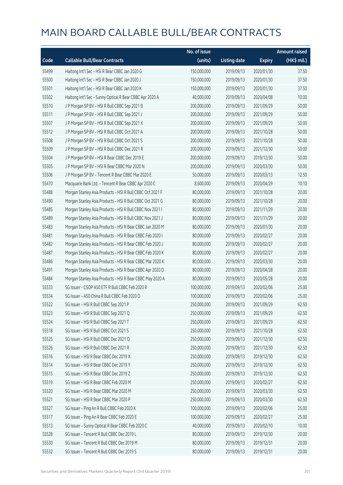|       |                                                           | No. of issue |                     |               | <b>Amount raised</b> |
|-------|-----------------------------------------------------------|--------------|---------------------|---------------|----------------------|
| Code  | <b>Callable Bull/Bear Contracts</b>                       | (units)      | <b>Listing date</b> | <b>Expiry</b> | (HK\$ mil.)          |
| 55499 | Haitong Int'l Sec - HSI R Bear CBBC Jan 2020 G            | 150,000,000  | 2019/09/13          | 2020/01/30    | 37.50                |
| 55500 | Haitong Int'l Sec - HSI R Bear CBBC Jan 2020 J            | 150,000,000  | 2019/09/13          | 2020/01/30    | 37.50                |
| 55501 | Haitong Int'l Sec - HSI R Bear CBBC Jan 2020 K            | 150,000,000  | 2019/09/13          | 2020/01/30    | 37.50                |
| 55502 | Haitong Int'l Sec - Sunny Optical R Bear CBBC Apr 2020 A  | 40,000,000   | 2019/09/13          | 2020/04/08    | 10.00                |
| 55510 | J P Morgan SP BV - HSI R Bull CBBC Sep 2021 B             | 200,000,000  | 2019/09/13          | 2021/09/29    | 50.00                |
| 55511 | J P Morgan SP BV - HSI R Bull CBBC Sep 2021 J             | 200,000,000  | 2019/09/13          | 2021/09/29    | 50.00                |
| 55507 | J P Morgan SP BV - HSI R Bull CBBC Sep 2021 X             | 200,000,000  | 2019/09/13          | 2021/09/29    | 50.00                |
| 55512 | J P Morgan SP BV - HSI R Bull CBBC Oct 2021 A             | 200,000,000  | 2019/09/13          | 2021/10/28    | 50.00                |
| 55508 | J P Morgan SP BV - HSI R Bull CBBC Oct 2021 S             | 200,000,000  | 2019/09/13          | 2021/10/28    | 50.00                |
| 55509 | J P Morgan SP BV - HSI R Bull CBBC Dec 2021 R             | 200,000,000  | 2019/09/13          | 2021/12/30    | 50.00                |
| 55504 | J P Morgan SP BV - HSI R Bear CBBC Dec 2019 E             | 200,000,000  | 2019/09/13          | 2019/12/30    | 50.00                |
| 55505 | J P Morgan SP BV - HSI R Bear CBBC Mar 2020 N             | 200,000,000  | 2019/09/13          | 2020/03/30    | 50.00                |
| 55506 | J P Morgan SP BV - Tencent R Bear CBBC Mar 2020 E         | 50,000,000   | 2019/09/13          | 2020/03/13    | 12.50                |
| 55470 | Macquarie Bank Ltd. - Tencent R Bear CBBC Apr 2020 C      | 8,600,000    | 2019/09/13          | 2020/04/29    | 10.10                |
| 55488 | Morgan Stanley Asia Products - HSI R Bull CBBC Oct 2021 F | 80,000,000   | 2019/09/13          | 2021/10/28    | 20.00                |
| 55490 | Morgan Stanley Asia Products - HSI R Bull CBBC Oct 2021 G | 80,000,000   | 2019/09/13          | 2021/10/28    | 20.00                |
| 55485 | Morgan Stanley Asia Products - HSI R Bull CBBC Nov 2021 I | 80,000,000   | 2019/09/13          | 2021/11/29    | 20.00                |
| 55489 | Morgan Stanley Asia Products - HSI R Bull CBBC Nov 2021 J | 80,000,000   | 2019/09/13          | 2021/11/29    | 20.00                |
| 55483 | Morgan Stanley Asia Products - HSI R Bear CBBC Jan 2020 M | 80,000,000   | 2019/09/13          | 2020/01/30    | 20.00                |
| 55481 | Morgan Stanley Asia Products - HSI R Bear CBBC Feb 2020 I | 80,000,000   | 2019/09/13          | 2020/02/27    | 20.00                |
| 55482 | Morgan Stanley Asia Products - HSI R Bear CBBC Feb 2020 J | 80,000,000   | 2019/09/13          | 2020/02/27    | 20.00                |
| 55487 | Morgan Stanley Asia Products - HSI R Bear CBBC Feb 2020 K | 80,000,000   | 2019/09/13          | 2020/02/27    | 20.00                |
| 55486 | Morgan Stanley Asia Products - HSI R Bear CBBC Mar 2020 K | 80,000,000   | 2019/09/13          | 2020/03/30    | 20.00                |
| 55491 | Morgan Stanley Asia Products - HSI R Bear CBBC Apr 2020 D | 80,000,000   | 2019/09/13          | 2020/04/28    | 20.00                |
| 55484 | Morgan Stanley Asia Products - HSI R Bear CBBC May 2020 A | 80,000,000   | 2019/09/13          | 2020/05/28    | 20.00                |
| 55533 | SG Issuer - CSOP A50 ETF R Bull CBBC Feb 2020 R           | 100,000,000  | 2019/09/13          | 2020/02/06    | 25.00                |
| 55534 | SG Issuer - A50 China R Bull CBBC Feb 2020 O              | 100,000,000  | 2019/09/13          | 2020/02/06    | 25.00                |
| 55522 | SG Issuer - HSI R Bull CBBC Sep 2021 P                    | 250,000,000  | 2019/09/13          | 2021/09/29    | 62.50                |
| 55523 | SG Issuer - HSI R Bull CBBC Sep 2021 Q                    | 250,000,000  | 2019/09/13          | 2021/09/29    | 62.50                |
| 55524 | SG Issuer - HSI R Bull CBBC Sep 2021 T                    | 250,000,000  | 2019/09/13          | 2021/09/29    | 62.50                |
| 55518 | SG Issuer - HSI R Bull CBBC Oct 2021 S                    | 250,000,000  | 2019/09/13          | 2021/10/28    | 62.50                |
| 55525 | SG Issuer - HSI R Bull CBBC Dec 2021 Q                    | 250,000,000  | 2019/09/13          | 2021/12/30    | 62.50                |
| 55526 | SG Issuer - HSI R Bull CBBC Dec 2021 R                    | 250,000,000  | 2019/09/13          | 2021/12/30    | 62.50                |
| 55516 | SG Issuer - HSI R Bear CBBC Dec 2019 X                    | 250,000,000  | 2019/09/13          | 2019/12/30    | 62.50                |
| 55514 | SG Issuer - HSI R Bear CBBC Dec 2019 Y                    | 250,000,000  | 2019/09/13          | 2019/12/30    | 62.50                |
| 55515 | SG Issuer - HSI R Bear CBBC Dec 2019 Z                    | 250,000,000  | 2019/09/13          | 2019/12/30    | 62.50                |
| 55519 | SG Issuer - HSI R Bear CBBC Feb 2020 M                    | 250,000,000  | 2019/09/13          | 2020/02/27    | 62.50                |
| 55520 | SG Issuer - HSI R Bear CBBC Mar 2020 M                    | 250,000,000  | 2019/09/13          | 2020/03/30    | 62.50                |
| 55521 | SG Issuer - HSI R Bear CBBC Mar 2020 P                    | 250,000,000  | 2019/09/13          | 2020/03/30    | 62.50                |
| 55527 | SG Issuer - Ping An R Bull CBBC Feb 2020 K                | 100,000,000  | 2019/09/13          | 2020/02/06    | 25.00                |
| 55517 | SG Issuer - Ping An R Bear CBBC Feb 2020 E                | 100,000,000  | 2019/09/13          | 2020/02/27    | 25.00                |
| 55513 | SG Issuer - Sunny Optical R Bear CBBC Feb 2020 C          | 40,000,000   | 2019/09/13          | 2020/02/10    | 10.00                |
| 55528 | SG Issuer - Tencent R Bull CBBC Dec 2019 L                | 80,000,000   | 2019/09/13          | 2019/12/30    | 20.00                |
| 55530 | SG Issuer - Tencent R Bull CBBC Dec 2019 M                | 80,000,000   | 2019/09/13          | 2019/12/31    | 20.00                |
| 55532 | SG Issuer - Tencent R Bull CBBC Dec 2019 S                | 80,000,000   | 2019/09/13          | 2019/12/31    | 20.00                |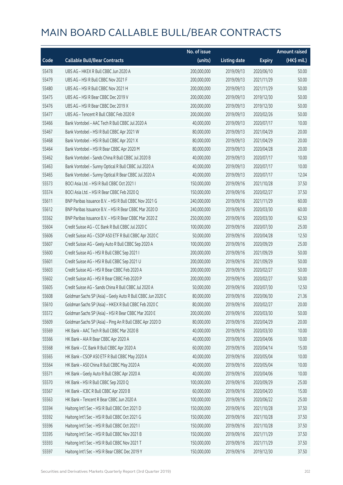|       |                                                             | No. of issue |                     |               | <b>Amount raised</b> |
|-------|-------------------------------------------------------------|--------------|---------------------|---------------|----------------------|
| Code  | <b>Callable Bull/Bear Contracts</b>                         | (units)      | <b>Listing date</b> | <b>Expiry</b> | (HK\$ mil.)          |
| 55478 | UBS AG - HKEX R Bull CBBC Jun 2020 A                        | 200,000,000  | 2019/09/13          | 2020/06/10    | 50.00                |
| 55479 | UBS AG - HSI R Bull CBBC Nov 2021 F                         | 200,000,000  | 2019/09/13          | 2021/11/29    | 50.00                |
| 55480 | UBS AG - HSI R Bull CBBC Nov 2021 H                         | 200,000,000  | 2019/09/13          | 2021/11/29    | 50.00                |
| 55475 | UBS AG - HSI R Bear CBBC Dec 2019 V                         | 200,000,000  | 2019/09/13          | 2019/12/30    | 50.00                |
| 55476 | UBS AG - HSI R Bear CBBC Dec 2019 X                         | 200,000,000  | 2019/09/13          | 2019/12/30    | 50.00                |
| 55477 | UBS AG - Tencent R Bull CBBC Feb 2020 R                     | 200,000,000  | 2019/09/13          | 2020/02/26    | 50.00                |
| 55466 | Bank Vontobel - AAC Tech R Bull CBBC Jul 2020 A             | 40,000,000   | 2019/09/13          | 2020/07/17    | 10.00                |
| 55467 | Bank Vontobel - HSI R Bull CBBC Apr 2021 W                  | 80,000,000   | 2019/09/13          | 2021/04/29    | 20.00                |
| 55468 | Bank Vontobel - HSI R Bull CBBC Apr 2021 X                  | 80,000,000   | 2019/09/13          | 2021/04/29    | 20.00                |
| 55464 | Bank Vontobel - HSI R Bear CBBC Apr 2020 M                  | 80,000,000   | 2019/09/13          | 2020/04/28    | 20.00                |
| 55462 | Bank Vontobel - Sands China R Bull CBBC Jul 2020 B          | 40,000,000   | 2019/09/13          | 2020/07/17    | 10.00                |
| 55463 | Bank Vontobel - Sunny Optical R Bull CBBC Jul 2020 A        | 40,000,000   | 2019/09/13          | 2020/07/17    | 10.00                |
| 55465 | Bank Vontobel - Sunny Optical R Bear CBBC Jul 2020 A        | 40,000,000   | 2019/09/13          | 2020/07/17    | 12.04                |
| 55573 | BOCI Asia Ltd. - HSI R Bull CBBC Oct 2021 I                 | 150,000,000  | 2019/09/16          | 2021/10/28    | 37.50                |
| 55574 | BOCI Asia Ltd. - HSI R Bear CBBC Feb 2020 Q                 | 150,000,000  | 2019/09/16          | 2020/02/27    | 37.50                |
| 55611 | BNP Paribas Issuance B.V. - HSI R Bull CBBC Nov 2021 G      | 240,000,000  | 2019/09/16          | 2021/11/29    | 60.00                |
| 55612 | BNP Paribas Issuance B.V. - HSI R Bear CBBC Mar 2020 D      | 240,000,000  | 2019/09/16          | 2020/03/30    | 60.00                |
| 55562 | BNP Paribas Issuance B.V. - HSI R Bear CBBC Mar 2020 Z      | 250,000,000  | 2019/09/16          | 2020/03/30    | 62.50                |
| 55604 | Credit Suisse AG - CC Bank R Bull CBBC Jul 2020 C           | 100,000,000  | 2019/09/16          | 2020/07/30    | 25.00                |
| 55606 | Credit Suisse AG - CSOP A50 ETF R Bull CBBC Apr 2020 C      | 50,000,000   | 2019/09/16          | 2020/04/28    | 12.50                |
| 55607 | Credit Suisse AG - Geely Auto R Bull CBBC Sep 2020 A        | 100,000,000  | 2019/09/16          | 2020/09/29    | 25.00                |
| 55600 | Credit Suisse AG - HSI R Bull CBBC Sep 2021 I               | 200,000,000  | 2019/09/16          | 2021/09/29    | 50.00                |
| 55601 | Credit Suisse AG - HSI R Bull CBBC Sep 2021 U               | 200,000,000  | 2019/09/16          | 2021/09/29    | 50.00                |
| 55603 | Credit Suisse AG - HSI R Bear CBBC Feb 2020 A               | 200,000,000  | 2019/09/16          | 2020/02/27    | 50.00                |
| 55602 | Credit Suisse AG - HSI R Bear CBBC Feb 2020 P               | 200,000,000  | 2019/09/16          | 2020/02/27    | 50.00                |
| 55605 | Credit Suisse AG - Sands China R Bull CBBC Jul 2020 A       | 50,000,000   | 2019/09/16          | 2020/07/30    | 12.50                |
| 55608 | Goldman Sachs SP (Asia) - Geely Auto R Bull CBBC Jun 2020 C | 80,000,000   | 2019/09/16          | 2020/06/30    | 21.36                |
| 55610 | Goldman Sachs SP (Asia) - HKEX R Bull CBBC Feb 2020 C       | 80,000,000   | 2019/09/16          | 2020/02/27    | 20.00                |
| 55572 | Goldman Sachs SP (Asia) - HSI R Bear CBBC Mar 2020 E        | 200,000,000  | 2019/09/16          | 2020/03/30    | 50.00                |
| 55609 | Goldman Sachs SP (Asia) - Ping An R Bull CBBC Apr 2020 D    | 80,000,000   | 2019/09/16          | 2020/04/29    | 20.00                |
| 55569 | HK Bank - AAC Tech R Bull CBBC Mar 2020 B                   | 40,000,000   | 2019/09/16          | 2020/03/30    | 10.00                |
| 55566 | HK Bank - AIA R Bear CBBC Apr 2020 A                        | 40,000,000   | 2019/09/16          | 2020/04/06    | 10.00                |
| 55568 | HK Bank - CC Bank R Bull CBBC Apr 2020 A                    | 60,000,000   | 2019/09/16          | 2020/04/14    | 15.00                |
| 55565 | HK Bank - CSOP A50 ETF R Bull CBBC May 2020 A               | 40,000,000   | 2019/09/16          | 2020/05/04    | 10.00                |
| 55564 | HK Bank - A50 China R Bull CBBC May 2020 A                  | 40,000,000   | 2019/09/16          | 2020/05/04    | 10.00                |
| 55571 | HK Bank - Geely Auto R Bull CBBC Apr 2020 A                 | 40,000,000   | 2019/09/16          | 2020/04/06    | 10.00                |
| 55570 | HK Bank - HSI R Bull CBBC Sep 2020 Q                        | 100,000,000  | 2019/09/16          | 2020/09/29    | 25.00                |
| 55567 | HK Bank - ICBC R Bull CBBC Apr 2020 B                       | 60,000,000   | 2019/09/16          | 2020/04/20    | 15.00                |
| 55563 | HK Bank - Tencent R Bear CBBC Jun 2020 A                    | 100,000,000  | 2019/09/16          | 2020/06/22    | 25.00                |
| 55594 | Haitong Int'l Sec - HSI R Bull CBBC Oct 2021 D              | 150,000,000  | 2019/09/16          | 2021/10/28    | 37.50                |
| 55592 | Haitong Int'l Sec - HSI R Bull CBBC Oct 2021 G              | 150,000,000  | 2019/09/16          | 2021/10/28    | 37.50                |
| 55596 | Haitong Int'l Sec - HSI R Bull CBBC Oct 2021 I              | 150,000,000  | 2019/09/16          | 2021/10/28    | 37.50                |
| 55595 | Haitong Int'l Sec - HSI R Bull CBBC Nov 2021 B              | 150,000,000  | 2019/09/16          | 2021/11/29    | 37.50                |
| 55593 | Haitong Int'l Sec - HSI R Bull CBBC Nov 2021 T              | 150,000,000  | 2019/09/16          | 2021/11/29    | 37.50                |
| 55597 | Haitong Int'l Sec - HSI R Bear CBBC Dec 2019 Y              | 150,000,000  | 2019/09/16          | 2019/12/30    | 37.50                |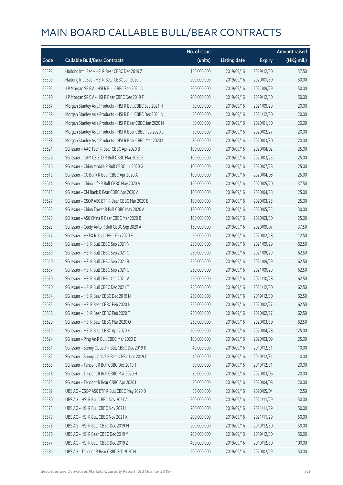|       |                                                           | No. of issue |                     |               | <b>Amount raised</b>  |
|-------|-----------------------------------------------------------|--------------|---------------------|---------------|-----------------------|
| Code  | <b>Callable Bull/Bear Contracts</b>                       | (units)      | <b>Listing date</b> | <b>Expiry</b> | $(HK\frac{1}{2}mil.)$ |
| 55598 | Haitong Int'l Sec - HSI R Bear CBBC Dec 2019 Z            | 150,000,000  | 2019/09/16          | 2019/12/30    | 37.50                 |
| 55599 | Haitong Int'l Sec - HSI R Bear CBBC Jan 2020 L            | 200,000,000  | 2019/09/16          | 2020/01/30    | 50.00                 |
| 55591 | J P Morgan SP BV - HSI R Bull CBBC Sep 2021 O             | 200,000,000  | 2019/09/16          | 2021/09/29    | 50.00                 |
| 55590 | J P Morgan SP BV - HSI R Bear CBBC Dec 2019 F             | 200,000,000  | 2019/09/16          | 2019/12/30    | 50.00                 |
| 55587 | Morgan Stanley Asia Products - HSI R Bull CBBC Sep 2021 H | 80,000,000   | 2019/09/16          | 2021/09/29    | 20.00                 |
| 55589 | Morgan Stanley Asia Products - HSI R Bull CBBC Dec 2021 N | 80,000,000   | 2019/09/16          | 2021/12/30    | 20.00                 |
| 55585 | Morgan Stanley Asia Products - HSI R Bear CBBC Jan 2020 N | 80,000,000   | 2019/09/16          | 2020/01/30    | 20.00                 |
| 55586 | Morgan Stanley Asia Products - HSI R Bear CBBC Feb 2020 L | 80,000,000   | 2019/09/16          | 2020/02/27    | 20.00                 |
| 55588 | Morgan Stanley Asia Products - HSI R Bear CBBC Mar 2020 L | 80,000,000   | 2019/09/16          | 2020/03/30    | 20.00                 |
| 55621 | SG Issuer - AAC Tech R Bear CBBC Apr 2020 B               | 100,000,000  | 2019/09/16          | 2020/04/02    | 25.00                 |
| 55626 | SG Issuer - CAM CSI300 R Bull CBBC Mar 2020 E             | 100,000,000  | 2019/09/16          | 2020/03/25    | 25.00                 |
| 55616 | SG Issuer - China Mobile R Bull CBBC Jul 2020 G           | 100,000,000  | 2019/09/16          | 2020/07/28    | 25.00                 |
| 55613 | SG Issuer - CC Bank R Bear CBBC Apr 2020 A                | 100,000,000  | 2019/09/16          | 2020/04/08    | 25.00                 |
| 55614 | SG Issuer - China Life R Bull CBBC May 2020 A             | 150,000,000  | 2019/09/16          | 2020/05/20    | 37.50                 |
| 55615 | SG Issuer - CM Bank R Bear CBBC Apr 2020 A                | 100,000,000  | 2019/09/16          | 2020/04/28    | 25.00                 |
| 55627 | SG Issuer - CSOP A50 ETF R Bear CBBC Mar 2020 B           | 100,000,000  | 2019/09/16          | 2020/03/25    | 25.00                 |
| 55622 | SG Issuer - China Tower R Bull CBBC May 2020 A            | 120,000,000  | 2019/09/16          | 2020/05/25    | 30.00                 |
| 55628 | SG Issuer - A50 China R Bear CBBC Mar 2020 B              | 100,000,000  | 2019/09/16          | 2020/03/30    | 25.00                 |
| 55623 | SG Issuer - Geely Auto R Bull CBBC Sep 2020 A             | 150,000,000  | 2019/09/16          | 2020/09/07    | 37.50                 |
| 55617 | SG Issuer - HKEX R Bull CBBC Feb 2020 F                   | 50,000,000   | 2019/09/16          | 2020/02/18    | 12.50                 |
| 55638 | SG Issuer - HSI R Bull CBBC Sep 2021 N                    | 250,000,000  | 2019/09/16          | 2021/09/29    | 62.50                 |
| 55639 | SG Issuer - HSI R Bull CBBC Sep 2021 O                    | 250,000,000  | 2019/09/16          | 2021/09/29    | 62.50                 |
| 55640 | SG Issuer - HSI R Bull CBBC Sep 2021 R                    | 250,000,000  | 2019/09/16          | 2021/09/29    | 62.50                 |
| 55637 | SG Issuer - HSI R Bull CBBC Sep 2021 U                    | 250,000,000  | 2019/09/16          | 2021/09/29    | 62.50                 |
| 55630 | SG Issuer - HSI R Bull CBBC Oct 2021 V                    | 250,000,000  | 2019/09/16          | 2021/10/28    | 62.50                 |
| 55620 | SG Issuer - HSI R Bull CBBC Dec 2021 T                    | 250,000,000  | 2019/09/16          | 2021/12/30    | 62.50                 |
| 55634 | SG Issuer - HSI R Bear CBBC Dec 2019 N                    | 250,000,000  | 2019/09/16          | 2019/12/30    | 62.50                 |
| 55635 | SG Issuer - HSI R Bear CBBC Feb 2020 N                    | 250,000,000  | 2019/09/16          | 2020/02/27    | 62.50                 |
| 55636 | SG Issuer - HSI R Bear CBBC Feb 2020 T                    | 250,000,000  | 2019/09/16          | 2020/02/27    | 62.50                 |
| 55629 | SG Issuer - HSI R Bear CBBC Mar 2020 Q                    | 250,000,000  | 2019/09/16          | 2020/03/30    | 62.50                 |
| 55619 | SG Issuer - HSI R Bear CBBC Apr 2020 K                    | 500,000,000  | 2019/09/16          | 2020/04/28    | 125.00                |
| 55624 | SG Issuer - Ping An R Bull CBBC Mar 2020 D                | 100,000,000  | 2019/09/16          | 2020/03/09    | 25.00                 |
| 55631 | SG Issuer - Sunny Optical R Bull CBBC Dec 2019 K          | 40,000,000   | 2019/09/16          | 2019/12/31    | 10.00                 |
| 55632 | SG Issuer - Sunny Optical R Bear CBBC Dec 2019 C          | 40,000,000   | 2019/09/16          | 2019/12/31    | 10.00                 |
| 55633 | SG Issuer - Tencent R Bull CBBC Dec 2019 T                | 80,000,000   | 2019/09/16          | 2019/12/31    | 20.00                 |
| 55618 | SG Issuer - Tencent R Bull CBBC Mar 2020 H                | 80,000,000   | 2019/09/16          | 2020/03/06    | 20.00                 |
| 55625 | SG Issuer - Tencent R Bear CBBC Apr 2020 L                | 80,000,000   | 2019/09/16          | 2020/04/08    | 20.00                 |
| 55582 | UBS AG - CSOP A50 ETF R Bull CBBC May 2020 D              | 50,000,000   | 2019/09/16          | 2020/05/04    | 12.50                 |
| 55580 | UBS AG - HSI R Bull CBBC Nov 2021 A                       | 200,000,000  | 2019/09/16          | 2021/11/29    | 50.00                 |
| 55575 | UBS AG - HSI R Bull CBBC Nov 2021 I                       | 200,000,000  | 2019/09/16          | 2021/11/29    | 50.00                 |
| 55579 | UBS AG - HSI R Bull CBBC Nov 2021 K                       | 200,000,000  | 2019/09/16          | 2021/11/29    | 50.00                 |
| 55578 | UBS AG - HSI R Bear CBBC Dec 2019 M                       | 200,000,000  | 2019/09/16          | 2019/12/30    | 50.00                 |
| 55576 | UBS AG - HSI R Bear CBBC Dec 2019 Y                       | 200,000,000  | 2019/09/16          | 2019/12/30    | 50.00                 |
| 55577 | UBS AG - HSI R Bear CBBC Dec 2019 Z                       | 400,000,000  | 2019/09/16          | 2019/12/30    | 100.00                |
| 55581 | UBS AG - Tencent R Bear CBBC Feb 2020 H                   | 200,000,000  | 2019/09/16          | 2020/02/19    | 50.00                 |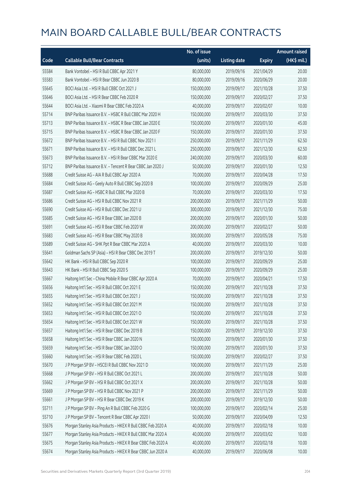|       |                                                            | No. of issue |                     |               | <b>Amount raised</b> |
|-------|------------------------------------------------------------|--------------|---------------------|---------------|----------------------|
| Code  | <b>Callable Bull/Bear Contracts</b>                        | (units)      | <b>Listing date</b> | <b>Expiry</b> | (HK\$ mil.)          |
| 55584 | Bank Vontobel - HSI R Bull CBBC Apr 2021 Y                 | 80,000,000   | 2019/09/16          | 2021/04/29    | 20.00                |
| 55583 | Bank Vontobel - HSI R Bear CBBC Jun 2020 B                 | 80,000,000   | 2019/09/16          | 2020/06/29    | 20.00                |
| 55645 | BOCI Asia Ltd. - HSI R Bull CBBC Oct 2021 J                | 150,000,000  | 2019/09/17          | 2021/10/28    | 37.50                |
| 55646 | BOCI Asia Ltd. - HSI R Bear CBBC Feb 2020 R                | 150,000,000  | 2019/09/17          | 2020/02/27    | 37.50                |
| 55644 | BOCI Asia Ltd. - Xiaomi R Bear CBBC Feb 2020 A             | 40,000,000   | 2019/09/17          | 2020/02/07    | 10.00                |
| 55714 | BNP Paribas Issuance B.V. - HSBC R Bull CBBC Mar 2020 H    | 150,000,000  | 2019/09/17          | 2020/03/30    | 37.50                |
| 55713 | BNP Paribas Issuance B.V. - HSBC R Bear CBBC Jan 2020 E    | 150,000,000  | 2019/09/17          | 2020/01/30    | 45.00                |
| 55715 | BNP Paribas Issuance B.V. - HSBC R Bear CBBC Jan 2020 F    | 150,000,000  | 2019/09/17          | 2020/01/30    | 37.50                |
| 55672 | BNP Paribas Issuance B.V. - HSI R Bull CBBC Nov 2021 I     | 250,000,000  | 2019/09/17          | 2021/11/29    | 62.50                |
| 55671 | BNP Paribas Issuance B.V. - HSI R Bull CBBC Dec 2021 L     | 250,000,000  | 2019/09/17          | 2021/12/30    | 62.50                |
| 55673 | BNP Paribas Issuance B.V. - HSI R Bear CBBC Mar 2020 E     | 240,000,000  | 2019/09/17          | 2020/03/30    | 60.00                |
| 55712 | BNP Paribas Issuance B.V. - Tencent R Bear CBBC Jan 2020 J | 50,000,000   | 2019/09/17          | 2020/01/30    | 12.50                |
| 55688 | Credit Suisse AG - AIA R Bull CBBC Apr 2020 A              | 70,000,000   | 2019/09/17          | 2020/04/28    | 17.50                |
| 55684 | Credit Suisse AG - Geely Auto R Bull CBBC Sep 2020 B       | 100,000,000  | 2019/09/17          | 2020/09/29    | 25.00                |
| 55687 | Credit Suisse AG - HSBC R Bull CBBC Mar 2020 B             | 70,000,000   | 2019/09/17          | 2020/03/30    | 17.50                |
| 55686 | Credit Suisse AG - HSI R Bull CBBC Nov 2021 R              | 200,000,000  | 2019/09/17          | 2021/11/29    | 50.00                |
| 55690 | Credit Suisse AG - HSI R Bull CBBC Dec 2021 U              | 300,000,000  | 2019/09/17          | 2021/12/30    | 75.00                |
| 55685 | Credit Suisse AG - HSI R Bear CBBC Jan 2020 B              | 200,000,000  | 2019/09/17          | 2020/01/30    | 50.00                |
| 55691 | Credit Suisse AG - HSI R Bear CBBC Feb 2020 W              | 200,000,000  | 2019/09/17          | 2020/02/27    | 50.00                |
| 55683 | Credit Suisse AG - HSI R Bear CBBC May 2020 B              | 300,000,000  | 2019/09/17          | 2020/05/28    | 75.00                |
| 55689 | Credit Suisse AG - SHK Ppt R Bear CBBC Mar 2020 A          | 40,000,000   | 2019/09/17          | 2020/03/30    | 10.00                |
| 55641 | Goldman Sachs SP (Asia) - HSI R Bear CBBC Dec 2019 T       | 200,000,000  | 2019/09/17          | 2019/12/30    | 50.00                |
| 55642 | HK Bank - HSI R Bull CBBC Sep 2020 R                       | 100,000,000  | 2019/09/17          | 2020/09/29    | 25.00                |
| 55643 | HK Bank - HSI R Bull CBBC Sep 2020 S                       | 100,000,000  | 2019/09/17          | 2020/09/29    | 25.00                |
| 55667 | Haitong Int'l Sec - China Mobile R Bear CBBC Apr 2020 A    | 70,000,000   | 2019/09/17          | 2020/04/21    | 17.50                |
| 55656 | Haitong Int'l Sec - HSI R Bull CBBC Oct 2021 E             | 150,000,000  | 2019/09/17          | 2021/10/28    | 37.50                |
| 55655 | Haitong Int'l Sec - HSI R Bull CBBC Oct 2021 J             | 150,000,000  | 2019/09/17          | 2021/10/28    | 37.50                |
| 55652 | Haitong Int'l Sec - HSI R Bull CBBC Oct 2021 M             | 150,000,000  | 2019/09/17          | 2021/10/28    | 37.50                |
| 55653 | Haitong Int'l Sec - HSI R Bull CBBC Oct 2021 O             | 150,000,000  | 2019/09/17          | 2021/10/28    | 37.50                |
| 55654 | Haitong Int'l Sec - HSI R Bull CBBC Oct 2021 W             | 150,000,000  | 2019/09/17          | 2021/10/28    | 37.50                |
| 55657 | Haitong Int'l Sec - HSI R Bear CBBC Dec 2019 B             | 150,000,000  | 2019/09/17          | 2019/12/30    | 37.50                |
| 55658 | Haitong Int'l Sec - HSI R Bear CBBC Jan 2020 N             | 150,000,000  | 2019/09/17          | 2020/01/30    | 37.50                |
| 55659 | Haitong Int'l Sec - HSI R Bear CBBC Jan 2020 O             | 150,000,000  | 2019/09/17          | 2020/01/30    | 37.50                |
| 55660 | Haitong Int'l Sec - HSI R Bear CBBC Feb 2020 L             | 150,000,000  | 2019/09/17          | 2020/02/27    | 37.50                |
| 55670 | J P Morgan SP BV - HSCEI R Bull CBBC Nov 2021 D            | 100,000,000  | 2019/09/17          | 2021/11/29    | 25.00                |
| 55668 | J P Morgan SP BV - HSI R Bull CBBC Oct 2021 L              | 200,000,000  | 2019/09/17          | 2021/10/28    | 50.00                |
| 55662 | J P Morgan SP BV - HSI R Bull CBBC Oct 2021 X              | 200,000,000  | 2019/09/17          | 2021/10/28    | 50.00                |
| 55669 | J P Morgan SP BV - HSI R Bull CBBC Nov 2021 P              | 200,000,000  | 2019/09/17          | 2021/11/29    | 50.00                |
| 55661 | J P Morgan SP BV - HSI R Bear CBBC Dec 2019 K              | 200,000,000  | 2019/09/17          | 2019/12/30    | 50.00                |
| 55711 | J P Morgan SP BV - Ping An R Bull CBBC Feb 2020 G          | 100,000,000  | 2019/09/17          | 2020/02/14    | 25.00                |
| 55710 | J P Morgan SP BV - Tencent R Bear CBBC Apr 2020 I          | 50,000,000   | 2019/09/17          | 2020/04/09    | 12.50                |
| 55676 | Morgan Stanley Asia Products - HKEX R Bull CBBC Feb 2020 A | 40,000,000   | 2019/09/17          | 2020/02/18    | 10.00                |
| 55677 | Morgan Stanley Asia Products - HKEX R Bull CBBC Mar 2020 A | 40,000,000   | 2019/09/17          | 2020/03/02    | 10.00                |
| 55675 | Morgan Stanley Asia Products - HKEX R Bear CBBC Feb 2020 A | 40,000,000   | 2019/09/17          | 2020/02/18    | 10.00                |
| 55674 | Morgan Stanley Asia Products - HKEX R Bear CBBC Jun 2020 A | 40,000,000   | 2019/09/17          | 2020/06/08    | 10.00                |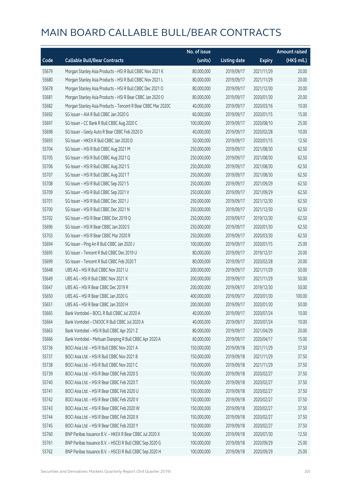|       |                                                              | No. of issue |                     |               | <b>Amount raised</b> |
|-------|--------------------------------------------------------------|--------------|---------------------|---------------|----------------------|
| Code  | <b>Callable Bull/Bear Contracts</b>                          | (units)      | <b>Listing date</b> | <b>Expiry</b> | (HK\$ mil.)          |
| 55679 | Morgan Stanley Asia Products - HSI R Bull CBBC Nov 2021 K    | 80,000,000   | 2019/09/17          | 2021/11/29    | 20.00                |
| 55680 | Morgan Stanley Asia Products - HSI R Bull CBBC Nov 2021 L    | 80,000,000   | 2019/09/17          | 2021/11/29    | 20.00                |
| 55678 | Morgan Stanley Asia Products - HSI R Bull CBBC Dec 2021 O    | 80,000,000   | 2019/09/17          | 2021/12/30    | 20.00                |
| 55681 | Morgan Stanley Asia Products - HSI R Bear CBBC Jan 2020 O    | 80,000,000   | 2019/09/17          | 2020/01/30    | 20.00                |
| 55682 | Morgan Stanley Asia Products - Tencent R Bear CBBC Mar 2020C | 40,000,000   | 2019/09/17          | 2020/03/16    | 10.00                |
| 55692 | SG Issuer - AIA R Bull CBBC Jan 2020 G                       | 60,000,000   | 2019/09/17          | 2020/01/15    | 15.00                |
| 55697 | SG Issuer - CC Bank R Bull CBBC Aug 2020 C                   | 100,000,000  | 2019/09/17          | 2020/08/10    | 25.00                |
| 55698 | SG Issuer - Geely Auto R Bear CBBC Feb 2020 D                | 40,000,000   | 2019/09/17          | 2020/02/28    | 10.00                |
| 55693 | SG Issuer - HKEX R Bull CBBC Jan 2020 D                      | 50,000,000   | 2019/09/17          | 2020/01/15    | 12.50                |
| 55704 | SG Issuer - HSI R Bull CBBC Aug 2021 M                       | 250,000,000  | 2019/09/17          | 2021/08/30    | 62.50                |
| 55705 | SG Issuer - HSI R Bull CBBC Aug 2021 Q                       | 250,000,000  | 2019/09/17          | 2021/08/30    | 62.50                |
| 55706 | SG Issuer - HSI R Bull CBBC Aug 2021 S                       | 250,000,000  | 2019/09/17          | 2021/08/30    | 62.50                |
| 55707 | SG Issuer - HSI R Bull CBBC Aug 2021 T                       | 250,000,000  | 2019/09/17          | 2021/08/30    | 62.50                |
| 55708 | SG Issuer - HSI R Bull CBBC Sep 2021 S                       | 250,000,000  | 2019/09/17          | 2021/09/29    | 62.50                |
| 55709 | SG Issuer - HSI R Bull CBBC Sep 2021 V                       | 250,000,000  | 2019/09/17          | 2021/09/29    | 62.50                |
| 55701 | SG Issuer - HSI R Bull CBBC Dec 2021 J                       | 250,000,000  | 2019/09/17          | 2021/12/30    | 62.50                |
| 55700 | SG Issuer - HSI R Bull CBBC Dec 2021 N                       | 250,000,000  | 2019/09/17          | 2021/12/30    | 62.50                |
| 55702 | SG Issuer - HSI R Bear CBBC Dec 2019 Q                       | 250,000,000  | 2019/09/17          | 2019/12/30    | 62.50                |
| 55696 | SG Issuer - HSI R Bear CBBC Jan 2020 S                       | 250,000,000  | 2019/09/17          | 2020/01/30    | 62.50                |
| 55703 | SG Issuer - HSI R Bear CBBC Mar 2020 R                       | 250,000,000  | 2019/09/17          | 2020/03/30    | 62.50                |
| 55694 | SG Issuer - Ping An R Bull CBBC Jan 2020 J                   | 100,000,000  | 2019/09/17          | 2020/01/15    | 25.00                |
| 55695 | SG Issuer - Tencent R Bull CBBC Dec 2019 U                   | 80,000,000   | 2019/09/17          | 2019/12/31    | 20.00                |
| 55699 | SG Issuer - Tencent R Bull CBBC Feb 2020 T                   | 80,000,000   | 2019/09/17          | 2020/02/28    | 20.00                |
| 55648 | UBS AG - HSI R Bull CBBC Nov 2021 U                          | 200,000,000  | 2019/09/17          | 2021/11/29    | 50.00                |
| 55649 | UBS AG - HSI R Bull CBBC Nov 2021 X                          | 200,000,000  | 2019/09/17          | 2021/11/29    | 50.00                |
| 55647 | UBS AG - HSI R Bear CBBC Dec 2019 R                          | 200,000,000  | 2019/09/17          | 2019/12/30    | 50.00                |
| 55650 | UBS AG - HSI R Bear CBBC Jan 2020 G                          | 400,000,000  | 2019/09/17          | 2020/01/30    | 100.00               |
| 55651 | UBS AG - HSI R Bear CBBC Jan 2020 H                          | 200,000,000  | 2019/09/17          | 2020/01/30    | 50.00                |
| 55665 | Bank Vontobel - BOCL R Bull CBBC Jul 2020 A                  | 40,000,000   | 2019/09/17          | 2020/07/24    | 10.00                |
| 55664 | Bank Vontobel - CNOOC R Bull CBBC Jul 2020 A                 | 40,000,000   | 2019/09/17          | 2020/07/24    | 10.00                |
| 55663 | Bank Vontobel - HSI R Bull CBBC Apr 2021 Z                   | 80,000,000   | 2019/09/17          | 2021/04/29    | 20.00                |
| 55666 | Bank Vontobel - Meituan Dianping R Bull CBBC Apr 2020 A      | 60,000,000   | 2019/09/17          | 2020/04/17    | 15.00                |
| 55736 | BOCI Asia Ltd. - HSI R Bull CBBC Nov 2021 A                  | 150,000,000  | 2019/09/18          | 2021/11/29    | 37.50                |
| 55737 | BOCI Asia Ltd. - HSI R Bull CBBC Nov 2021 B                  | 150,000,000  | 2019/09/18          | 2021/11/29    | 37.50                |
| 55738 | BOCI Asia Ltd. - HSI R Bull CBBC Nov 2021 C                  | 150,000,000  | 2019/09/18          | 2021/11/29    | 37.50                |
| 55739 | BOCI Asia Ltd. - HSI R Bear CBBC Feb 2020 S                  | 150,000,000  | 2019/09/18          | 2020/02/27    | 37.50                |
| 55740 | BOCI Asia Ltd. - HSI R Bear CBBC Feb 2020 T                  | 150,000,000  | 2019/09/18          | 2020/02/27    | 37.50                |
| 55741 | BOCI Asia Ltd. - HSI R Bear CBBC Feb 2020 U                  | 150,000,000  | 2019/09/18          | 2020/02/27    | 37.50                |
| 55742 | BOCI Asia Ltd. - HSI R Bear CBBC Feb 2020 V                  | 150,000,000  | 2019/09/18          | 2020/02/27    | 37.50                |
| 55743 | BOCI Asia Ltd. - HSI R Bear CBBC Feb 2020 W                  | 150,000,000  | 2019/09/18          | 2020/02/27    | 37.50                |
| 55744 | BOCI Asia Ltd. - HSI R Bear CBBC Feb 2020 X                  | 150,000,000  | 2019/09/18          | 2020/02/27    | 37.50                |
| 55745 | BOCI Asia Ltd. - HSI R Bear CBBC Feb 2020 Y                  | 150,000,000  | 2019/09/18          | 2020/02/27    | 37.50                |
| 55760 | BNP Paribas Issuance B.V. - HKEX R Bear CBBC Jul 2020 X      | 50,000,000   | 2019/09/18          | 2020/07/30    | 12.50                |
| 55761 | BNP Paribas Issuance B.V. - HSCEI R Bull CBBC Sep 2020 G     | 100,000,000  | 2019/09/18          | 2020/09/29    | 25.00                |
| 55762 | BNP Paribas Issuance B.V. - HSCEI R Bull CBBC Sep 2020 H     | 100,000,000  | 2019/09/18          | 2020/09/29    | 25.00                |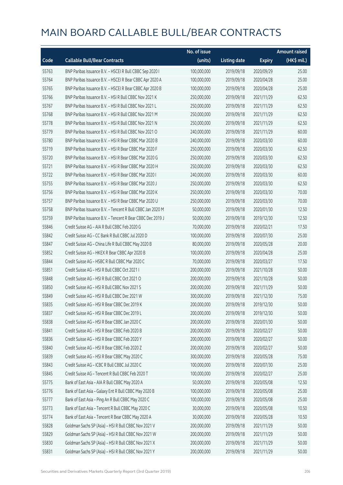|       |                                                            | No. of issue |                     |               | <b>Amount raised</b> |
|-------|------------------------------------------------------------|--------------|---------------------|---------------|----------------------|
| Code  | <b>Callable Bull/Bear Contracts</b>                        | (units)      | <b>Listing date</b> | <b>Expiry</b> | (HK\$ mil.)          |
| 55763 | BNP Paribas Issuance B.V. - HSCEI R Bull CBBC Sep 2020 I   | 100,000,000  | 2019/09/18          | 2020/09/29    | 25.00                |
| 55764 | BNP Paribas Issuance B.V. - HSCEI R Bear CBBC Apr 2020 A   | 100,000,000  | 2019/09/18          | 2020/04/28    | 25.00                |
| 55765 | BNP Paribas Issuance B.V. - HSCEI R Bear CBBC Apr 2020 B   | 100,000,000  | 2019/09/18          | 2020/04/28    | 25.00                |
| 55766 | BNP Paribas Issuance B.V. - HSI R Bull CBBC Nov 2021 K     | 250,000,000  | 2019/09/18          | 2021/11/29    | 62.50                |
| 55767 | BNP Paribas Issuance B.V. - HSI R Bull CBBC Nov 2021 L     | 250,000,000  | 2019/09/18          | 2021/11/29    | 62.50                |
| 55768 | BNP Paribas Issuance B.V. - HSI R Bull CBBC Nov 2021 M     | 250,000,000  | 2019/09/18          | 2021/11/29    | 62.50                |
| 55778 | BNP Paribas Issuance B.V. - HSI R Bull CBBC Nov 2021 N     | 250,000,000  | 2019/09/18          | 2021/11/29    | 62.50                |
| 55779 | BNP Paribas Issuance B.V. - HSI R Bull CBBC Nov 2021 O     | 240,000,000  | 2019/09/18          | 2021/11/29    | 60.00                |
| 55780 | BNP Paribas Issuance B.V. - HSI R Bear CBBC Mar 2020 B     | 240,000,000  | 2019/09/18          | 2020/03/30    | 60.00                |
| 55719 | BNP Paribas Issuance B.V. - HSI R Bear CBBC Mar 2020 F     | 250,000,000  | 2019/09/18          | 2020/03/30    | 62.50                |
| 55720 | BNP Paribas Issuance B.V. - HSI R Bear CBBC Mar 2020 G     | 250,000,000  | 2019/09/18          | 2020/03/30    | 62.50                |
| 55721 | BNP Paribas Issuance B.V. - HSI R Bear CBBC Mar 2020 H     | 250,000,000  | 2019/09/18          | 2020/03/30    | 62.50                |
| 55722 | BNP Paribas Issuance B.V. - HSI R Bear CBBC Mar 2020 I     | 240,000,000  | 2019/09/18          | 2020/03/30    | 60.00                |
| 55755 | BNP Paribas Issuance B.V. - HSI R Bear CBBC Mar 2020 J     | 250,000,000  | 2019/09/18          | 2020/03/30    | 62.50                |
| 55756 | BNP Paribas Issuance B.V. - HSI R Bear CBBC Mar 2020 K     | 250,000,000  | 2019/09/18          | 2020/03/30    | 70.00                |
| 55757 | BNP Paribas Issuance B.V. - HSI R Bear CBBC Mar 2020 U     | 250,000,000  | 2019/09/18          | 2020/03/30    | 70.00                |
| 55758 | BNP Paribas Issuance B.V. - Tencent R Bull CBBC Jan 2020 M | 50,000,000   | 2019/09/18          | 2020/01/30    | 12.50                |
| 55759 | BNP Paribas Issuance B.V. - Tencent R Bear CBBC Dec 2019 J | 50,000,000   | 2019/09/18          | 2019/12/30    | 12.50                |
| 55846 | Credit Suisse AG - AIA R Bull CBBC Feb 2020 G              | 70,000,000   | 2019/09/18          | 2020/02/21    | 17.50                |
| 55842 | Credit Suisse AG - CC Bank R Bull CBBC Jul 2020 D          | 100,000,000  | 2019/09/18          | 2020/07/30    | 25.00                |
| 55847 | Credit Suisse AG - China Life R Bull CBBC May 2020 B       | 80,000,000   | 2019/09/18          | 2020/05/28    | 20.00                |
| 55852 | Credit Suisse AG - HKEX R Bear CBBC Apr 2020 B             | 100,000,000  | 2019/09/18          | 2020/04/28    | 25.00                |
| 55844 | Credit Suisse AG - HSBC R Bull CBBC Mar 2020 C             | 70,000,000   | 2019/09/18          | 2020/03/27    | 17.50                |
| 55851 | Credit Suisse AG - HSI R Bull CBBC Oct 2021 I              | 200,000,000  | 2019/09/18          | 2021/10/28    | 50.00                |
| 55848 | Credit Suisse AG - HSI R Bull CBBC Oct 2021 O              | 200,000,000  | 2019/09/18          | 2021/10/28    | 50.00                |
| 55850 | Credit Suisse AG - HSI R Bull CBBC Nov 2021 S              | 200,000,000  | 2019/09/18          | 2021/11/29    | 50.00                |
| 55849 | Credit Suisse AG - HSI R Bull CBBC Dec 2021 W              | 300,000,000  | 2019/09/18          | 2021/12/30    | 75.00                |
| 55835 | Credit Suisse AG - HSI R Bear CBBC Dec 2019 K              | 200,000,000  | 2019/09/18          | 2019/12/30    | 50.00                |
| 55837 | Credit Suisse AG - HSI R Bear CBBC Dec 2019 L              | 200,000,000  | 2019/09/18          | 2019/12/30    | 50.00                |
| 55838 | Credit Suisse AG - HSI R Bear CBBC Jan 2020 C              | 200,000,000  | 2019/09/18          | 2020/01/30    | 50.00                |
| 55841 | Credit Suisse AG - HSI R Bear CBBC Feb 2020 B              | 200,000,000  | 2019/09/18          | 2020/02/27    | 50.00                |
| 55836 | Credit Suisse AG - HSI R Bear CBBC Feb 2020 Y              | 200,000,000  | 2019/09/18          | 2020/02/27    | 50.00                |
| 55840 | Credit Suisse AG - HSI R Bear CBBC Feb 2020 Z              | 200,000,000  | 2019/09/18          | 2020/02/27    | 50.00                |
| 55839 | Credit Suisse AG - HSI R Bear CBBC May 2020 C              | 300,000,000  | 2019/09/18          | 2020/05/28    | 75.00                |
| 55843 | Credit Suisse AG - ICBC R Bull CBBC Jul 2020 C             | 100,000,000  | 2019/09/18          | 2020/07/30    | 25.00                |
| 55845 | Credit Suisse AG - Tencent R Bull CBBC Feb 2020 T          | 100,000,000  | 2019/09/18          | 2020/02/27    | 25.00                |
| 55775 | Bank of East Asia - AIA R Bull CBBC May 2020 A             | 50,000,000   | 2019/09/18          | 2020/05/08    | 12.50                |
| 55776 | Bank of East Asia - Galaxy Ent R Bull CBBC May 2020 B      | 100,000,000  | 2019/09/18          | 2020/05/08    | 25.00                |
| 55777 | Bank of East Asia - Ping An R Bull CBBC May 2020 C         | 100,000,000  | 2019/09/18          | 2020/05/08    | 25.00                |
| 55773 | Bank of East Asia - Tencent R Bull CBBC May 2020 C         | 30,000,000   | 2019/09/18          | 2020/05/08    | 10.50                |
| 55774 | Bank of East Asia - Tencent R Bear CBBC May 2020 A         | 30,000,000   | 2019/09/18          | 2020/05/28    | 10.50                |
| 55828 | Goldman Sachs SP (Asia) - HSI R Bull CBBC Nov 2021 V       | 200,000,000  | 2019/09/18          | 2021/11/29    | 50.00                |
| 55829 | Goldman Sachs SP (Asia) - HSI R Bull CBBC Nov 2021 W       | 200,000,000  | 2019/09/18          | 2021/11/29    | 50.00                |
| 55830 | Goldman Sachs SP (Asia) - HSI R Bull CBBC Nov 2021 X       | 200,000,000  | 2019/09/18          | 2021/11/29    | 50.00                |
| 55831 | Goldman Sachs SP (Asia) - HSI R Bull CBBC Nov 2021 Y       | 200,000,000  | 2019/09/18          | 2021/11/29    | 50.00                |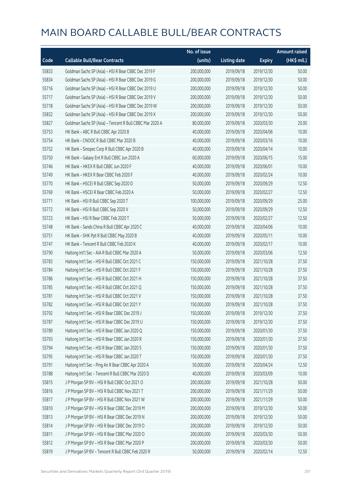|       |                                                          | No. of issue |                     |               | Amount raised |
|-------|----------------------------------------------------------|--------------|---------------------|---------------|---------------|
| Code  | <b>Callable Bull/Bear Contracts</b>                      | (units)      | <b>Listing date</b> | <b>Expiry</b> | (HK\$ mil.)   |
| 55833 | Goldman Sachs SP (Asia) - HSI R Bear CBBC Dec 2019 F     | 200,000,000  | 2019/09/18          | 2019/12/30    | 50.00         |
| 55834 | Goldman Sachs SP (Asia) - HSI R Bear CBBC Dec 2019 G     | 200,000,000  | 2019/09/18          | 2019/12/30    | 50.00         |
| 55716 | Goldman Sachs SP (Asia) - HSI R Bear CBBC Dec 2019 U     | 200,000,000  | 2019/09/18          | 2019/12/30    | 50.00         |
| 55717 | Goldman Sachs SP (Asia) - HSI R Bear CBBC Dec 2019 V     | 200,000,000  | 2019/09/18          | 2019/12/30    | 50.00         |
| 55718 | Goldman Sachs SP (Asia) - HSI R Bear CBBC Dec 2019 W     | 200,000,000  | 2019/09/18          | 2019/12/30    | 50.00         |
| 55832 | Goldman Sachs SP (Asia) - HSI R Bear CBBC Dec 2019 X     | 200,000,000  | 2019/09/18          | 2019/12/30    | 50.00         |
| 55827 | Goldman Sachs SP (Asia) - Tencent R Bull CBBC Mar 2020 A | 80,000,000   | 2019/09/18          | 2020/03/30    | 20.00         |
| 55753 | HK Bank - ABC R Bull CBBC Apr 2020 B                     | 40,000,000   | 2019/09/18          | 2020/04/06    | 10.00         |
| 55754 | HK Bank - CNOOC R Bull CBBC Mar 2020 B                   | 40,000,000   | 2019/09/18          | 2020/03/16    | 10.00         |
| 55752 | HK Bank - Sinopec Corp R Bull CBBC Apr 2020 B            | 40,000,000   | 2019/09/18          | 2020/04/14    | 10.00         |
| 55750 | HK Bank - Galaxy Ent R Bull CBBC Jun 2020 A              | 60,000,000   | 2019/09/18          | 2020/06/15    | 15.00         |
| 55746 | HK Bank - HKEX R Bull CBBC Jun 2020 F                    | 40,000,000   | 2019/09/18          | 2020/06/01    | 10.00         |
| 55749 | HK Bank - HKEX R Bear CBBC Feb 2020 F                    | 40,000,000   | 2019/09/18          | 2020/02/24    | 10.00         |
| 55770 | HK Bank - HSCEI R Bull CBBC Sep 2020 D                   | 50,000,000   | 2019/09/18          | 2020/09/29    | 12.50         |
| 55769 | HK Bank - HSCEI R Bear CBBC Feb 2020 A                   | 50,000,000   | 2019/09/18          | 2020/02/27    | 12.50         |
| 55771 | HK Bank - HSI R Bull CBBC Sep 2020 T                     | 100,000,000  | 2019/09/18          | 2020/09/29    | 25.00         |
| 55772 | HK Bank - HSI R Bull CBBC Sep 2020 V                     | 50,000,000   | 2019/09/18          | 2020/09/29    | 12.50         |
| 55723 | HK Bank - HSI R Bear CBBC Feb 2020 T                     | 50,000,000   | 2019/09/18          | 2020/02/27    | 12.50         |
| 55748 | HK Bank - Sands China R Bull CBBC Apr 2020 C             | 40,000,000   | 2019/09/18          | 2020/04/06    | 10.00         |
| 55751 | HK Bank - SHK Ppt R Bull CBBC May 2020 B                 | 40,000,000   | 2019/09/18          | 2020/05/11    | 10.00         |
| 55747 | HK Bank - Tencent R Bull CBBC Feb 2020 K                 | 40,000,000   | 2019/09/18          | 2020/02/17    | 10.00         |
| 55790 | Haitong Int'l Sec - AIA R Bull CBBC Mar 2020 A           | 50,000,000   | 2019/09/18          | 2020/03/06    | 12.50         |
| 55783 | Haitong Int'l Sec - HSI R Bull CBBC Oct 2021 C           | 150,000,000  | 2019/09/18          | 2021/10/28    | 37.50         |
| 55784 | Haitong Int'l Sec - HSI R Bull CBBC Oct 2021 F           | 150,000,000  | 2019/09/18          | 2021/10/28    | 37.50         |
| 55786 | Haitong Int'l Sec - HSI R Bull CBBC Oct 2021 H           | 150,000,000  | 2019/09/18          | 2021/10/28    | 37.50         |
| 55785 | Haitong Int'l Sec - HSI R Bull CBBC Oct 2021 Q           | 150,000,000  | 2019/09/18          | 2021/10/28    | 37.50         |
| 55781 | Haitong Int'l Sec - HSI R Bull CBBC Oct 2021 V           | 150,000,000  | 2019/09/18          | 2021/10/28    | 37.50         |
| 55782 | Haitong Int'l Sec - HSI R Bull CBBC Oct 2021 Y           | 150,000,000  | 2019/09/18          | 2021/10/28    | 37.50         |
| 55792 | Haitong Int'l Sec - HSI R Bear CBBC Dec 2019 J           | 150,000,000  | 2019/09/18          | 2019/12/30    | 37.50         |
| 55787 | Haitong Int'l Sec - HSI R Bear CBBC Dec 2019 U           | 150,000,000  | 2019/09/18          | 2019/12/30    | 37.50         |
| 55789 | Haitong Int'l Sec - HSI R Bear CBBC Jan 2020 Q           | 150,000,000  | 2019/09/18          | 2020/01/30    | 37.50         |
| 55793 | Haitong Int'l Sec - HSI R Bear CBBC Jan 2020 R           | 150,000,000  | 2019/09/18          | 2020/01/30    | 37.50         |
| 55794 | Haitong Int'l Sec - HSI R Bear CBBC Jan 2020 S           | 150,000,000  | 2019/09/18          | 2020/01/30    | 37.50         |
| 55795 | Haitong Int'l Sec - HSI R Bear CBBC Jan 2020 T           | 150,000,000  | 2019/09/18          | 2020/01/30    | 37.50         |
| 55791 | Haitong Int'l Sec - Ping An R Bear CBBC Apr 2020 A       | 50,000,000   | 2019/09/18          | 2020/04/24    | 12.50         |
| 55788 | Haitong Int'l Sec - Tencent R Bull CBBC Mar 2020 D       | 40,000,000   | 2019/09/18          | 2020/03/09    | 10.00         |
| 55815 | J P Morgan SP BV - HSI R Bull CBBC Oct 2021 O            | 200,000,000  | 2019/09/18          | 2021/10/28    | 50.00         |
| 55816 | J P Morgan SP BV - HSI R Bull CBBC Nov 2021 T            | 200,000,000  | 2019/09/18          | 2021/11/29    | 50.00         |
| 55817 | J P Morgan SP BV - HSI R Bull CBBC Nov 2021 W            | 200,000,000  | 2019/09/18          | 2021/11/29    | 50.00         |
| 55810 | J P Morgan SP BV - HSI R Bear CBBC Dec 2019 M            | 200,000,000  | 2019/09/18          | 2019/12/30    | 50.00         |
| 55813 | J P Morgan SP BV - HSI R Bear CBBC Dec 2019 N            | 200,000,000  | 2019/09/18          | 2019/12/30    | 50.00         |
| 55814 | J P Morgan SP BV - HSI R Bear CBBC Dec 2019 O            | 200,000,000  | 2019/09/18          | 2019/12/30    | 50.00         |
| 55811 | J P Morgan SP BV - HSI R Bear CBBC Mar 2020 O            | 200,000,000  | 2019/09/18          | 2020/03/30    | 50.00         |
| 55812 | J P Morgan SP BV - HSI R Bear CBBC Mar 2020 P            | 200,000,000  | 2019/09/18          | 2020/03/30    | 50.00         |
| 55819 | J P Morgan SP BV - Tencent R Bull CBBC Feb 2020 R        | 50,000,000   | 2019/09/18          | 2020/02/14    | 12.50         |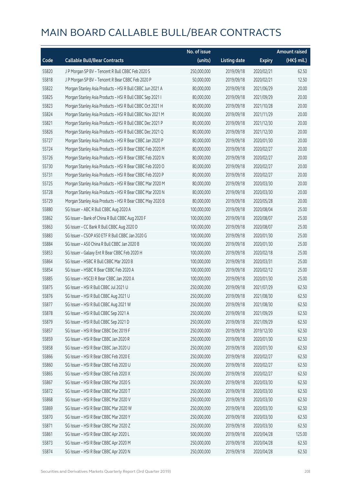|       |                                                           | No. of issue |                     |               | <b>Amount raised</b> |
|-------|-----------------------------------------------------------|--------------|---------------------|---------------|----------------------|
| Code  | <b>Callable Bull/Bear Contracts</b>                       | (units)      | <b>Listing date</b> | <b>Expiry</b> | $(HK\$ mil.)         |
| 55820 | J P Morgan SP BV - Tencent R Bull CBBC Feb 2020 S         | 250,000,000  | 2019/09/18          | 2020/02/21    | 62.50                |
| 55818 | J P Morgan SP BV - Tencent R Bear CBBC Feb 2020 P         | 50,000,000   | 2019/09/18          | 2020/02/21    | 12.50                |
| 55822 | Morgan Stanley Asia Products - HSI R Bull CBBC Jun 2021 A | 80,000,000   | 2019/09/18          | 2021/06/29    | 20.00                |
| 55825 | Morgan Stanley Asia Products - HSI R Bull CBBC Sep 2021 I | 80,000,000   | 2019/09/18          | 2021/09/29    | 20.00                |
| 55823 | Morgan Stanley Asia Products - HSI R Bull CBBC Oct 2021 H | 80,000,000   | 2019/09/18          | 2021/10/28    | 20.00                |
| 55824 | Morgan Stanley Asia Products - HSI R Bull CBBC Nov 2021 M | 80,000,000   | 2019/09/18          | 2021/11/29    | 20.00                |
| 55821 | Morgan Stanley Asia Products - HSI R Bull CBBC Dec 2021 P | 80,000,000   | 2019/09/18          | 2021/12/30    | 20.00                |
| 55826 | Morgan Stanley Asia Products - HSI R Bull CBBC Dec 2021 Q | 80,000,000   | 2019/09/18          | 2021/12/30    | 20.00                |
| 55727 | Morgan Stanley Asia Products - HSI R Bear CBBC Jan 2020 P | 80,000,000   | 2019/09/18          | 2020/01/30    | 20.00                |
| 55724 | Morgan Stanley Asia Products - HSI R Bear CBBC Feb 2020 M | 80,000,000   | 2019/09/18          | 2020/02/27    | 20.00                |
| 55726 | Morgan Stanley Asia Products - HSI R Bear CBBC Feb 2020 N | 80,000,000   | 2019/09/18          | 2020/02/27    | 20.00                |
| 55730 | Morgan Stanley Asia Products - HSI R Bear CBBC Feb 2020 O | 80,000,000   | 2019/09/18          | 2020/02/27    | 20.00                |
| 55731 | Morgan Stanley Asia Products - HSI R Bear CBBC Feb 2020 P | 80,000,000   | 2019/09/18          | 2020/02/27    | 20.00                |
| 55725 | Morgan Stanley Asia Products - HSI R Bear CBBC Mar 2020 M | 80,000,000   | 2019/09/18          | 2020/03/30    | 20.00                |
| 55728 | Morgan Stanley Asia Products - HSI R Bear CBBC Mar 2020 N | 80,000,000   | 2019/09/18          | 2020/03/30    | 20.00                |
| 55729 | Morgan Stanley Asia Products - HSI R Bear CBBC May 2020 B | 80,000,000   | 2019/09/18          | 2020/05/28    | 20.00                |
| 55880 | SG Issuer - ABC R Bull CBBC Aug 2020 A                    | 100,000,000  | 2019/09/18          | 2020/08/04    | 25.00                |
| 55862 | SG Issuer - Bank of China R Bull CBBC Aug 2020 F          | 100,000,000  | 2019/09/18          | 2020/08/07    | 25.00                |
| 55863 | SG Issuer - CC Bank R Bull CBBC Aug 2020 D                | 100,000,000  | 2019/09/18          | 2020/08/07    | 25.00                |
| 55883 | SG Issuer - CSOP A50 ETF R Bull CBBC Jan 2020 G           | 100,000,000  | 2019/09/18          | 2020/01/30    | 25.00                |
| 55884 | SG Issuer - A50 China R Bull CBBC Jan 2020 B              | 100,000,000  | 2019/09/18          | 2020/01/30    | 25.00                |
| 55853 | SG Issuer - Galaxy Ent R Bear CBBC Feb 2020 H             | 100,000,000  | 2019/09/18          | 2020/02/18    | 25.00                |
| 55864 | SG Issuer - HSBC R Bull CBBC Mar 2020 B                   | 100,000,000  | 2019/09/18          | 2020/03/31    | 25.00                |
| 55854 | SG Issuer - HSBC R Bear CBBC Feb 2020 A                   | 100,000,000  | 2019/09/18          | 2020/02/12    | 25.00                |
| 55885 | SG Issuer - HSCEI R Bear CBBC Jan 2020 A                  | 100,000,000  | 2019/09/18          | 2020/01/30    | 25.00                |
| 55875 | SG Issuer - HSI R Bull CBBC Jul 2021 U                    | 250,000,000  | 2019/09/18          | 2021/07/29    | 62.50                |
| 55876 | SG Issuer - HSI R Bull CBBC Aug 2021 U                    | 250,000,000  | 2019/09/18          | 2021/08/30    | 62.50                |
| 55877 | SG Issuer - HSI R Bull CBBC Aug 2021 W                    | 250,000,000  | 2019/09/18          | 2021/08/30    | 62.50                |
| 55878 | SG Issuer - HSI R Bull CBBC Sep 2021 A                    | 250,000,000  | 2019/09/18          | 2021/09/29    | 62.50                |
| 55879 | SG Issuer - HSI R Bull CBBC Sep 2021 D                    | 250,000,000  | 2019/09/18          | 2021/09/29    | 62.50                |
| 55857 | SG Issuer - HSI R Bear CBBC Dec 2019 F                    | 250,000,000  | 2019/09/18          | 2019/12/30    | 62.50                |
| 55859 | SG Issuer - HSI R Bear CBBC Jan 2020 R                    | 250,000,000  | 2019/09/18          | 2020/01/30    | 62.50                |
| 55858 | SG Issuer - HSI R Bear CBBC Jan 2020 U                    | 250,000,000  | 2019/09/18          | 2020/01/30    | 62.50                |
| 55866 | SG Issuer - HSI R Bear CBBC Feb 2020 E                    | 250,000,000  | 2019/09/18          | 2020/02/27    | 62.50                |
| 55860 | SG Issuer - HSI R Bear CBBC Feb 2020 U                    | 250,000,000  | 2019/09/18          | 2020/02/27    | 62.50                |
| 55865 | SG Issuer - HSI R Bear CBBC Feb 2020 X                    | 250,000,000  | 2019/09/18          | 2020/02/27    | 62.50                |
| 55867 | SG Issuer - HSI R Bear CBBC Mar 2020 S                    | 250,000,000  | 2019/09/18          | 2020/03/30    | 62.50                |
| 55872 | SG Issuer - HSI R Bear CBBC Mar 2020 T                    | 250,000,000  | 2019/09/18          | 2020/03/30    | 62.50                |
| 55868 | SG Issuer - HSI R Bear CBBC Mar 2020 V                    | 250,000,000  | 2019/09/18          | 2020/03/30    | 62.50                |
| 55869 | SG Issuer - HSI R Bear CBBC Mar 2020 W                    | 250,000,000  | 2019/09/18          | 2020/03/30    | 62.50                |
| 55870 | SG Issuer - HSI R Bear CBBC Mar 2020 Y                    | 250,000,000  | 2019/09/18          | 2020/03/30    | 62.50                |
| 55871 | SG Issuer - HSI R Bear CBBC Mar 2020 Z                    | 250,000,000  | 2019/09/18          | 2020/03/30    | 62.50                |
| 55861 | SG Issuer - HSI R Bear CBBC Apr 2020 L                    | 500,000,000  | 2019/09/18          | 2020/04/28    | 125.00               |
| 55873 | SG Issuer - HSI R Bear CBBC Apr 2020 M                    | 250,000,000  | 2019/09/18          | 2020/04/28    | 62.50                |
| 55874 | SG Issuer - HSI R Bear CBBC Apr 2020 N                    | 250,000,000  | 2019/09/18          | 2020/04/28    | 62.50                |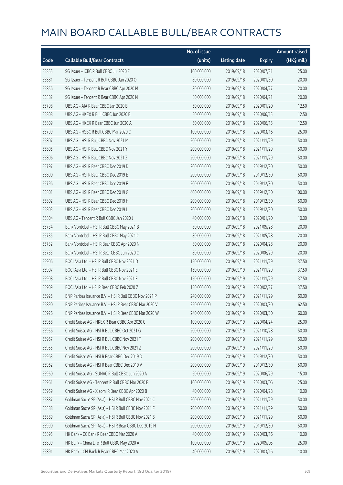|       |                                                        | No. of issue |                     |               | <b>Amount raised</b> |
|-------|--------------------------------------------------------|--------------|---------------------|---------------|----------------------|
| Code  | <b>Callable Bull/Bear Contracts</b>                    | (units)      | <b>Listing date</b> | <b>Expiry</b> | (HK\$ mil.)          |
| 55855 | SG Issuer - ICBC R Bull CBBC Jul 2020 E                | 100,000,000  | 2019/09/18          | 2020/07/31    | 25.00                |
| 55881 | SG Issuer - Tencent R Bull CBBC Jan 2020 O             | 80,000,000   | 2019/09/18          | 2020/01/30    | 20.00                |
| 55856 | SG Issuer - Tencent R Bear CBBC Apr 2020 M             | 80,000,000   | 2019/09/18          | 2020/04/27    | 20.00                |
| 55882 | SG Issuer - Tencent R Bear CBBC Apr 2020 N             | 80,000,000   | 2019/09/18          | 2020/04/21    | 20.00                |
| 55798 | UBS AG - AIA R Bear CBBC Jan 2020 B                    | 50,000,000   | 2019/09/18          | 2020/01/20    | 12.50                |
| 55808 | UBS AG - HKEX R Bull CBBC Jun 2020 B                   | 50,000,000   | 2019/09/18          | 2020/06/15    | 12.50                |
| 55809 | UBS AG - HKEX R Bear CBBC Jun 2020 A                   | 50,000,000   | 2019/09/18          | 2020/06/15    | 12.50                |
| 55799 | UBS AG - HSBC R Bull CBBC Mar 2020 C                   | 100,000,000  | 2019/09/18          | 2020/03/16    | 25.00                |
| 55807 | UBS AG - HSI R Bull CBBC Nov 2021 M                    | 200,000,000  | 2019/09/18          | 2021/11/29    | 50.00                |
| 55805 | UBS AG - HSI R Bull CBBC Nov 2021 Y                    | 200,000,000  | 2019/09/18          | 2021/11/29    | 50.00                |
| 55806 | UBS AG - HSI R Bull CBBC Nov 2021 Z                    | 200,000,000  | 2019/09/18          | 2021/11/29    | 50.00                |
| 55797 | UBS AG - HSI R Bear CBBC Dec 2019 D                    | 200,000,000  | 2019/09/18          | 2019/12/30    | 50.00                |
| 55800 | UBS AG - HSI R Bear CBBC Dec 2019 E                    | 200,000,000  | 2019/09/18          | 2019/12/30    | 50.00                |
| 55796 | UBS AG - HSI R Bear CBBC Dec 2019 F                    | 200,000,000  | 2019/09/18          | 2019/12/30    | 50.00                |
| 55801 | UBS AG - HSI R Bear CBBC Dec 2019 G                    | 400,000,000  | 2019/09/18          | 2019/12/30    | 100.00               |
| 55802 | UBS AG - HSI R Bear CBBC Dec 2019 H                    | 200,000,000  | 2019/09/18          | 2019/12/30    | 50.00                |
| 55803 | UBS AG - HSI R Bear CBBC Dec 2019 L                    | 200,000,000  | 2019/09/18          | 2019/12/30    | 50.00                |
| 55804 | UBS AG - Tencent R Bull CBBC Jan 2020 J                | 40,000,000   | 2019/09/18          | 2020/01/20    | 10.00                |
| 55734 | Bank Vontobel - HSI R Bull CBBC May 2021 B             | 80,000,000   | 2019/09/18          | 2021/05/28    | 20.00                |
| 55735 | Bank Vontobel - HSI R Bull CBBC May 2021 C             | 80,000,000   | 2019/09/18          | 2021/05/28    | 20.00                |
| 55732 | Bank Vontobel - HSI R Bear CBBC Apr 2020 N             | 80,000,000   | 2019/09/18          | 2020/04/28    | 20.00                |
| 55733 | Bank Vontobel - HSI R Bear CBBC Jun 2020 C             | 80,000,000   | 2019/09/18          | 2020/06/29    | 20.00                |
| 55906 | BOCI Asia Ltd. - HSI R Bull CBBC Nov 2021 D            | 150,000,000  | 2019/09/19          | 2021/11/29    | 37.50                |
| 55907 | BOCI Asia Ltd. - HSI R Bull CBBC Nov 2021 E            | 150,000,000  | 2019/09/19          | 2021/11/29    | 37.50                |
| 55908 | BOCI Asia Ltd. - HSI R Bull CBBC Nov 2021 F            | 150,000,000  | 2019/09/19          | 2021/11/29    | 37.50                |
| 55909 | BOCI Asia Ltd. - HSI R Bear CBBC Feb 2020 Z            | 150,000,000  | 2019/09/19          | 2020/02/27    | 37.50                |
| 55925 | BNP Paribas Issuance B.V. - HSI R Bull CBBC Nov 2021 P | 240,000,000  | 2019/09/19          | 2021/11/29    | 60.00                |
| 55890 | BNP Paribas Issuance B.V. - HSI R Bear CBBC Mar 2020 V | 250,000,000  | 2019/09/19          | 2020/03/30    | 62.50                |
| 55926 | BNP Paribas Issuance B.V. - HSI R Bear CBBC Mar 2020 W | 240,000,000  | 2019/09/19          | 2020/03/30    | 60.00                |
| 55958 | Credit Suisse AG - HKEX R Bear CBBC Apr 2020 C         | 100,000,000  | 2019/09/19          | 2020/04/24    | 25.00                |
| 55956 | Credit Suisse AG - HSI R Bull CBBC Oct 2021 G          | 200,000,000  | 2019/09/19          | 2021/10/28    | 50.00                |
| 55957 | Credit Suisse AG - HSI R Bull CBBC Nov 2021 T          | 200,000,000  | 2019/09/19          | 2021/11/29    | 50.00                |
| 55955 | Credit Suisse AG - HSI R Bull CBBC Nov 2021 Z          | 200,000,000  | 2019/09/19          | 2021/11/29    | 50.00                |
| 55963 | Credit Suisse AG - HSI R Bear CBBC Dec 2019 D          | 200,000,000  | 2019/09/19          | 2019/12/30    | 50.00                |
| 55962 | Credit Suisse AG - HSI R Bear CBBC Dec 2019 V          | 200,000,000  | 2019/09/19          | 2019/12/30    | 50.00                |
| 55960 | Credit Suisse AG - SUNAC R Bull CBBC Jun 2020 A        | 60,000,000   | 2019/09/19          | 2020/06/29    | 15.00                |
| 55961 | Credit Suisse AG - Tencent R Bull CBBC Mar 2020 B      | 100,000,000  | 2019/09/19          | 2020/03/06    | 25.00                |
| 55959 | Credit Suisse AG - Xiaomi R Bear CBBC Apr 2020 B       | 40,000,000   | 2019/09/19          | 2020/04/28    | 10.00                |
| 55887 | Goldman Sachs SP (Asia) - HSI R Bull CBBC Nov 2021 C   | 200,000,000  | 2019/09/19          | 2021/11/29    | 50.00                |
| 55888 | Goldman Sachs SP (Asia) - HSI R Bull CBBC Nov 2021 F   | 200,000,000  | 2019/09/19          | 2021/11/29    | 50.00                |
| 55889 | Goldman Sachs SP (Asia) - HSI R Bull CBBC Nov 2021 S   | 200,000,000  | 2019/09/19          | 2021/11/29    | 50.00                |
| 55990 | Goldman Sachs SP (Asia) - HSI R Bear CBBC Dec 2019 H   | 200,000,000  | 2019/09/19          | 2019/12/30    | 50.00                |
| 55895 | HK Bank - CC Bank R Bear CBBC Mar 2020 A               | 40,000,000   | 2019/09/19          | 2020/03/16    | 10.00                |
| 55899 | HK Bank - China Life R Bull CBBC May 2020 A            | 100,000,000  | 2019/09/19          | 2020/05/05    | 25.00                |
| 55891 | HK Bank - CM Bank R Bear CBBC Mar 2020 A               | 40,000,000   | 2019/09/19          | 2020/03/16    | 10.00                |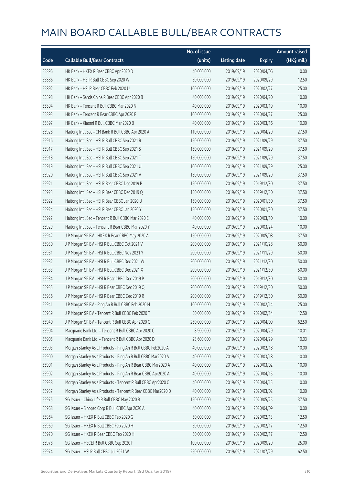|       |                                                              | No. of issue |                     |               | <b>Amount raised</b> |
|-------|--------------------------------------------------------------|--------------|---------------------|---------------|----------------------|
| Code  | <b>Callable Bull/Bear Contracts</b>                          | (units)      | <b>Listing date</b> | <b>Expiry</b> | (HK\$ mil.)          |
| 55896 | HK Bank - HKEX R Bear CBBC Apr 2020 D                        | 40,000,000   | 2019/09/19          | 2020/04/06    | 10.00                |
| 55886 | HK Bank - HSI R Bull CBBC Sep 2020 W                         | 50,000,000   | 2019/09/19          | 2020/09/29    | 12.50                |
| 55892 | HK Bank - HSI R Bear CBBC Feb 2020 U                         | 100,000,000  | 2019/09/19          | 2020/02/27    | 25.00                |
| 55898 | HK Bank - Sands China R Bear CBBC Apr 2020 B                 | 40,000,000   | 2019/09/19          | 2020/04/20    | 10.00                |
| 55894 | HK Bank - Tencent R Bull CBBC Mar 2020 N                     | 40,000,000   | 2019/09/19          | 2020/03/19    | 10.00                |
| 55893 | HK Bank - Tencent R Bear CBBC Apr 2020 F                     | 100,000,000  | 2019/09/19          | 2020/04/27    | 25.00                |
| 55897 | HK Bank - Xiaomi R Bull CBBC Mar 2020 B                      | 40,000,000   | 2019/09/19          | 2020/03/16    | 10.00                |
| 55928 | Haitong Int'l Sec - CM Bank R Bull CBBC Apr 2020 A           | 110,000,000  | 2019/09/19          | 2020/04/29    | 27.50                |
| 55916 | Haitong Int'l Sec - HSI R Bull CBBC Sep 2021 R               | 150,000,000  | 2019/09/19          | 2021/09/29    | 37.50                |
| 55917 | Haitong Int'l Sec - HSI R Bull CBBC Sep 2021 S               | 150,000,000  | 2019/09/19          | 2021/09/29    | 37.50                |
| 55918 | Haitong Int'l Sec - HSI R Bull CBBC Sep 2021 T               | 150,000,000  | 2019/09/19          | 2021/09/29    | 37.50                |
| 55919 | Haitong Int'l Sec - HSI R Bull CBBC Sep 2021 U               | 100,000,000  | 2019/09/19          | 2021/09/29    | 25.00                |
| 55920 | Haitong Int'l Sec - HSI R Bull CBBC Sep 2021 V               | 150,000,000  | 2019/09/19          | 2021/09/29    | 37.50                |
| 55921 | Haitong Int'l Sec - HSI R Bear CBBC Dec 2019 P               | 150,000,000  | 2019/09/19          | 2019/12/30    | 37.50                |
| 55923 | Haitong Int'l Sec - HSI R Bear CBBC Dec 2019 Q               | 150,000,000  | 2019/09/19          | 2019/12/30    | 37.50                |
| 55922 | Haitong Int'l Sec - HSI R Bear CBBC Jan 2020 U               | 150,000,000  | 2019/09/19          | 2020/01/30    | 37.50                |
| 55924 | Haitong Int'l Sec - HSI R Bear CBBC Jan 2020 Y               | 150,000,000  | 2019/09/19          | 2020/01/30    | 37.50                |
| 55927 | Haitong Int'l Sec - Tencent R Bull CBBC Mar 2020 E           | 40,000,000   | 2019/09/19          | 2020/03/10    | 10.00                |
| 55929 | Haitong Int'l Sec - Tencent R Bear CBBC Mar 2020 Y           | 40,000,000   | 2019/09/19          | 2020/03/24    | 10.00                |
| 55942 | J P Morgan SP BV - HKEX R Bear CBBC May 2020 A               | 150,000,000  | 2019/09/19          | 2020/05/08    | 37.50                |
| 55930 | J P Morgan SP BV - HSI R Bull CBBC Oct 2021 V                | 200,000,000  | 2019/09/19          | 2021/10/28    | 50.00                |
| 55931 | J P Morgan SP BV - HSI R Bull CBBC Nov 2021 Y                | 200,000,000  | 2019/09/19          | 2021/11/29    | 50.00                |
| 55932 | J P Morgan SP BV - HSI R Bull CBBC Dec 2021 W                | 200,000,000  | 2019/09/19          | 2021/12/30    | 50.00                |
| 55933 | J P Morgan SP BV - HSI R Bull CBBC Dec 2021 X                | 200,000,000  | 2019/09/19          | 2021/12/30    | 50.00                |
| 55934 | J P Morgan SP BV - HSI R Bear CBBC Dec 2019 P                | 200,000,000  | 2019/09/19          | 2019/12/30    | 50.00                |
| 55935 | J P Morgan SP BV - HSI R Bear CBBC Dec 2019 Q                | 200,000,000  | 2019/09/19          | 2019/12/30    | 50.00                |
| 55936 | J P Morgan SP BV - HSI R Bear CBBC Dec 2019 R                | 200,000,000  | 2019/09/19          | 2019/12/30    | 50.00                |
| 55941 | J P Morgan SP BV - Ping An R Bull CBBC Feb 2020 H            | 100,000,000  | 2019/09/19          | 2020/02/14    | 25.00                |
| 55939 | J P Morgan SP BV - Tencent R Bull CBBC Feb 2020 T            | 50,000,000   | 2019/09/19          | 2020/02/14    | 12.50                |
| 55940 | J P Morgan SP BV - Tencent R Bull CBBC Apr 2020 G            | 250,000,000  | 2019/09/19          | 2020/04/09    | 62.50                |
| 55904 | Macquarie Bank Ltd. - Tencent R Bull CBBC Apr 2020 C         | 8,900,000    | 2019/09/19          | 2020/04/29    | 10.01                |
| 55905 | Macquarie Bank Ltd. - Tencent R Bull CBBC Apr 2020 D         | 23,600,000   | 2019/09/19          | 2020/04/29    | 10.03                |
| 55903 | Morgan Stanley Asia Products - Ping An R Bull CBBC Feb2020 A | 40,000,000   | 2019/09/19          | 2020/02/18    | 10.00                |
| 55900 | Morgan Stanley Asia Products - Ping An R Bull CBBC Mar2020 A | 40,000,000   | 2019/09/19          | 2020/03/18    | 10.00                |
| 55901 | Morgan Stanley Asia Products - Ping An R Bear CBBC Mar2020 A | 40,000,000   | 2019/09/19          | 2020/03/02    | 10.00                |
| 55902 | Morgan Stanley Asia Products - Ping An R Bear CBBC Apr2020 A | 40,000,000   | 2019/09/19          | 2020/04/15    | 10.00                |
| 55938 | Morgan Stanley Asia Products - Tencent R Bull CBBC Apr2020 C | 40,000,000   | 2019/09/19          | 2020/04/15    | 10.00                |
| 55937 | Morgan Stanley Asia Products - Tencent R Bear CBBC Mar2020 D | 40,000,000   | 2019/09/19          | 2020/03/02    | 10.00                |
| 55975 | SG Issuer - China Life R Bull CBBC May 2020 B                | 150,000,000  | 2019/09/19          | 2020/05/25    | 37.50                |
| 55968 | SG Issuer - Sinopec Corp R Bull CBBC Apr 2020 A              | 40,000,000   | 2019/09/19          | 2020/04/09    | 10.00                |
| 55964 | SG Issuer - HKEX R Bull CBBC Feb 2020 G                      | 50,000,000   | 2019/09/19          | 2020/02/13    | 12.50                |
| 55969 | SG Issuer - HKEX R Bull CBBC Feb 2020 H                      | 50,000,000   | 2019/09/19          | 2020/02/17    | 12.50                |
| 55970 | SG Issuer - HKEX R Bear CBBC Feb 2020 H                      | 50,000,000   | 2019/09/19          | 2020/02/17    | 12.50                |
| 55978 | SG Issuer - HSCEI R Bull CBBC Sep 2020 F                     | 100,000,000  | 2019/09/19          | 2020/09/29    | 25.00                |
| 55974 | SG Issuer - HSI R Bull CBBC Jul 2021 W                       | 250,000,000  | 2019/09/19          | 2021/07/29    | 62.50                |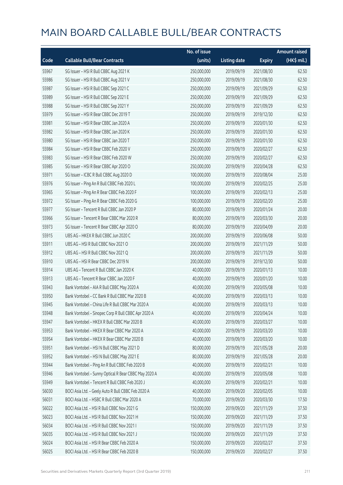|       |                                                      | No. of issue |                     |               | <b>Amount raised</b> |
|-------|------------------------------------------------------|--------------|---------------------|---------------|----------------------|
| Code  | <b>Callable Bull/Bear Contracts</b>                  | (units)      | <b>Listing date</b> | <b>Expiry</b> | (HK\$ mil.)          |
| 55967 | SG Issuer - HSI R Bull CBBC Aug 2021 K               | 250,000,000  | 2019/09/19          | 2021/08/30    | 62.50                |
| 55986 | SG Issuer - HSI R Bull CBBC Aug 2021 V               | 250,000,000  | 2019/09/19          | 2021/08/30    | 62.50                |
| 55987 | SG Issuer - HSI R Bull CBBC Sep 2021 C               | 250,000,000  | 2019/09/19          | 2021/09/29    | 62.50                |
| 55989 | SG Issuer - HSI R Bull CBBC Sep 2021 E               | 250,000,000  | 2019/09/19          | 2021/09/29    | 62.50                |
| 55988 | SG Issuer - HSI R Bull CBBC Sep 2021 Y               | 250,000,000  | 2019/09/19          | 2021/09/29    | 62.50                |
| 55979 | SG Issuer - HSI R Bear CBBC Dec 2019 T               | 250,000,000  | 2019/09/19          | 2019/12/30    | 62.50                |
| 55981 | SG Issuer - HSI R Bear CBBC Jan 2020 A               | 250,000,000  | 2019/09/19          | 2020/01/30    | 62.50                |
| 55982 | SG Issuer - HSI R Bear CBBC Jan 2020 K               | 250,000,000  | 2019/09/19          | 2020/01/30    | 62.50                |
| 55980 | SG Issuer - HSI R Bear CBBC Jan 2020 T               | 250,000,000  | 2019/09/19          | 2020/01/30    | 62.50                |
| 55984 | SG Issuer - HSI R Bear CBBC Feb 2020 V               | 250,000,000  | 2019/09/19          | 2020/02/27    | 62.50                |
| 55983 | SG Issuer - HSI R Bear CBBC Feb 2020 W               | 250,000,000  | 2019/09/19          | 2020/02/27    | 62.50                |
| 55985 | SG Issuer - HSI R Bear CBBC Apr 2020 O               | 250,000,000  | 2019/09/19          | 2020/04/28    | 62.50                |
| 55971 | SG Issuer - ICBC R Bull CBBC Aug 2020 D              | 100,000,000  | 2019/09/19          | 2020/08/04    | 25.00                |
| 55976 | SG Issuer - Ping An R Bull CBBC Feb 2020 L           | 100,000,000  | 2019/09/19          | 2020/02/25    | 25.00                |
| 55965 | SG Issuer - Ping An R Bear CBBC Feb 2020 F           | 100,000,000  | 2019/09/19          | 2020/02/13    | 25.00                |
| 55972 | SG Issuer - Ping An R Bear CBBC Feb 2020 G           | 100,000,000  | 2019/09/19          | 2020/02/20    | 25.00                |
| 55977 | SG Issuer - Tencent R Bull CBBC Jan 2020 P           | 80,000,000   | 2019/09/19          | 2020/01/24    | 20.00                |
| 55966 | SG Issuer - Tencent R Bear CBBC Mar 2020 R           | 80,000,000   | 2019/09/19          | 2020/03/30    | 20.00                |
| 55973 | SG Issuer - Tencent R Bear CBBC Apr 2020 O           | 80,000,000   | 2019/09/19          | 2020/04/09    | 20.00                |
| 55915 | UBS AG - HKEX R Bull CBBC Jun 2020 C                 | 200,000,000  | 2019/09/19          | 2020/06/08    | 50.00                |
| 55911 | UBS AG - HSI R Bull CBBC Nov 2021 O                  | 200,000,000  | 2019/09/19          | 2021/11/29    | 50.00                |
| 55912 | UBS AG - HSI R Bull CBBC Nov 2021 Q                  | 200,000,000  | 2019/09/19          | 2021/11/29    | 50.00                |
| 55910 | UBS AG - HSI R Bear CBBC Dec 2019 N                  | 200,000,000  | 2019/09/19          | 2019/12/30    | 50.00                |
| 55914 | UBS AG - Tencent R Bull CBBC Jan 2020 K              | 40,000,000   | 2019/09/19          | 2020/01/13    | 10.00                |
| 55913 | UBS AG - Tencent R Bear CBBC Jan 2020 F              | 40,000,000   | 2019/09/19          | 2020/01/20    | 10.00                |
| 55943 | Bank Vontobel - AIA R Bull CBBC May 2020 A           | 40,000,000   | 2019/09/19          | 2020/05/08    | 10.00                |
| 55950 | Bank Vontobel - CC Bank R Bull CBBC Mar 2020 B       | 40,000,000   | 2019/09/19          | 2020/03/13    | 10.00                |
| 55945 | Bank Vontobel - China Life R Bull CBBC Mar 2020 A    | 40,000,000   | 2019/09/19          | 2020/03/13    | 10.00                |
| 55948 | Bank Vontobel - Sinopec Corp R Bull CBBC Apr 2020 A  | 40,000,000   | 2019/09/19          | 2020/04/24    | 10.00                |
| 55947 | Bank Vontobel - HKEX R Bull CBBC Mar 2020 B          | 40,000,000   | 2019/09/19          | 2020/03/27    | 10.00                |
| 55953 | Bank Vontobel - HKEX R Bear CBBC Mar 2020 A          | 40,000,000   | 2019/09/19          | 2020/03/20    | 10.00                |
| 55954 | Bank Vontobel - HKEX R Bear CBBC Mar 2020 B          | 40,000,000   | 2019/09/19          | 2020/03/20    | 10.00                |
| 55951 | Bank Vontobel - HSI N Bull CBBC May 2021 D           | 80,000,000   | 2019/09/19          | 2021/05/28    | 20.00                |
| 55952 | Bank Vontobel - HSI N Bull CBBC May 2021 E           | 80,000,000   | 2019/09/19          | 2021/05/28    | 20.00                |
| 55944 | Bank Vontobel - Ping An R Bull CBBC Feb 2020 B       | 40,000,000   | 2019/09/19          | 2020/02/21    | 10.00                |
| 55946 | Bank Vontobel - Sunny Optical R Bear CBBC May 2020 A | 40,000,000   | 2019/09/19          | 2020/05/08    | 10.00                |
| 55949 | Bank Vontobel - Tencent R Bull CBBC Feb 2020 J       | 40,000,000   | 2019/09/19          | 2020/02/21    | 10.00                |
| 56030 | BOCI Asia Ltd. - Geely Auto R Bull CBBC Feb 2020 A   | 40,000,000   | 2019/09/20          | 2020/02/05    | 10.00                |
| 56031 | BOCI Asia Ltd. - HSBC R Bull CBBC Mar 2020 A         | 70,000,000   | 2019/09/20          | 2020/03/30    | 17.50                |
| 56022 | BOCI Asia Ltd. - HSI R Bull CBBC Nov 2021 G          | 150,000,000  | 2019/09/20          | 2021/11/29    | 37.50                |
| 56023 | BOCI Asia Ltd. - HSI R Bull CBBC Nov 2021 H          | 150,000,000  | 2019/09/20          | 2021/11/29    | 37.50                |
| 56034 | BOCI Asia Ltd. - HSI R Bull CBBC Nov 2021 I          | 150,000,000  | 2019/09/20          | 2021/11/29    | 37.50                |
| 56035 | BOCI Asia Ltd. - HSI R Bull CBBC Nov 2021 J          | 150,000,000  | 2019/09/20          | 2021/11/29    | 37.50                |
| 56024 | BOCI Asia Ltd. - HSI R Bear CBBC Feb 2020 A          | 150,000,000  | 2019/09/20          | 2020/02/27    | 37.50                |
| 56025 | BOCI Asia Ltd. - HSI R Bear CBBC Feb 2020 B          | 150,000,000  | 2019/09/20          | 2020/02/27    | 37.50                |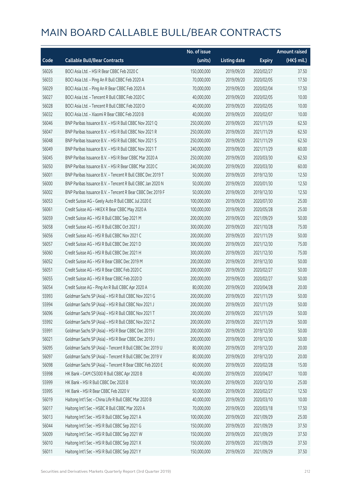|       |                                                            | No. of issue |                     |               | <b>Amount raised</b> |
|-------|------------------------------------------------------------|--------------|---------------------|---------------|----------------------|
| Code  | <b>Callable Bull/Bear Contracts</b>                        | (units)      | <b>Listing date</b> | <b>Expiry</b> | $(HK$$ mil.)         |
| 56026 | BOCI Asia Ltd. - HSI R Bear CBBC Feb 2020 C                | 150,000,000  | 2019/09/20          | 2020/02/27    | 37.50                |
| 56033 | BOCI Asia Ltd. - Ping An R Bull CBBC Feb 2020 A            | 70,000,000   | 2019/09/20          | 2020/02/05    | 17.50                |
| 56029 | BOCI Asia Ltd. - Ping An R Bear CBBC Feb 2020 A            | 70,000,000   | 2019/09/20          | 2020/02/04    | 17.50                |
| 56027 | BOCI Asia Ltd. - Tencent R Bull CBBC Feb 2020 C            | 40,000,000   | 2019/09/20          | 2020/02/05    | 10.00                |
| 56028 | BOCI Asia Ltd. - Tencent R Bull CBBC Feb 2020 D            | 40,000,000   | 2019/09/20          | 2020/02/05    | 10.00                |
| 56032 | BOCI Asia Ltd. - Xiaomi R Bear CBBC Feb 2020 B             | 40,000,000   | 2019/09/20          | 2020/02/07    | 10.00                |
| 56046 | BNP Paribas Issuance B.V. - HSI R Bull CBBC Nov 2021 Q     | 250,000,000  | 2019/09/20          | 2021/11/29    | 62.50                |
| 56047 | BNP Paribas Issuance B.V. - HSI R Bull CBBC Nov 2021 R     | 250,000,000  | 2019/09/20          | 2021/11/29    | 62.50                |
| 56048 | BNP Paribas Issuance B.V. - HSI R Bull CBBC Nov 2021 S     | 250,000,000  | 2019/09/20          | 2021/11/29    | 62.50                |
| 56049 | BNP Paribas Issuance B.V. - HSI R Bull CBBC Nov 2021 T     | 240,000,000  | 2019/09/20          | 2021/11/29    | 60.00                |
| 56045 | BNP Paribas Issuance B.V. - HSI R Bear CBBC Mar 2020 A     | 250,000,000  | 2019/09/20          | 2020/03/30    | 62.50                |
| 56050 | BNP Paribas Issuance B.V. - HSI R Bear CBBC Mar 2020 C     | 240,000,000  | 2019/09/20          | 2020/03/30    | 60.00                |
| 56001 | BNP Paribas Issuance B.V. - Tencent R Bull CBBC Dec 2019 T | 50,000,000   | 2019/09/20          | 2019/12/30    | 12.50                |
| 56000 | BNP Paribas Issuance B.V. - Tencent R Bull CBBC Jan 2020 N | 50,000,000   | 2019/09/20          | 2020/01/30    | 12.50                |
| 56002 | BNP Paribas Issuance B.V. - Tencent R Bear CBBC Dec 2019 F | 50,000,000   | 2019/09/20          | 2019/12/30    | 12.50                |
| 56053 | Credit Suisse AG - Geely Auto R Bull CBBC Jul 2020 E       | 100,000,000  | 2019/09/20          | 2020/07/30    | 25.00                |
| 56061 | Credit Suisse AG - HKEX R Bear CBBC May 2020 A             | 100,000,000  | 2019/09/20          | 2020/05/28    | 25.00                |
| 56059 | Credit Suisse AG - HSI R Bull CBBC Sep 2021 M              | 200,000,000  | 2019/09/20          | 2021/09/29    | 50.00                |
| 56058 | Credit Suisse AG - HSI R Bull CBBC Oct 2021 J              | 300,000,000  | 2019/09/20          | 2021/10/28    | 75.00                |
| 56056 | Credit Suisse AG - HSI R Bull CBBC Nov 2021 C              | 200,000,000  | 2019/09/20          | 2021/11/29    | 50.00                |
| 56057 | Credit Suisse AG - HSI R Bull CBBC Dec 2021 D              | 300,000,000  | 2019/09/20          | 2021/12/30    | 75.00                |
| 56060 | Credit Suisse AG - HSI R Bull CBBC Dec 2021 H              | 300,000,000  | 2019/09/20          | 2021/12/30    | 75.00                |
| 56052 | Credit Suisse AG - HSI R Bear CBBC Dec 2019 M              | 200,000,000  | 2019/09/20          | 2019/12/30    | 50.00                |
| 56051 | Credit Suisse AG - HSI R Bear CBBC Feb 2020 C              | 200,000,000  | 2019/09/20          | 2020/02/27    | 50.00                |
| 56055 | Credit Suisse AG - HSI R Bear CBBC Feb 2020 D              | 200,000,000  | 2019/09/20          | 2020/02/27    | 50.00                |
| 56054 | Credit Suisse AG - Ping An R Bull CBBC Apr 2020 A          | 80,000,000   | 2019/09/20          | 2020/04/28    | 20.00                |
| 55993 | Goldman Sachs SP (Asia) - HSI R Bull CBBC Nov 2021 G       | 200,000,000  | 2019/09/20          | 2021/11/29    | 50.00                |
| 55994 | Goldman Sachs SP (Asia) - HSI R Bull CBBC Nov 2021 J       | 200,000,000  | 2019/09/20          | 2021/11/29    | 50.00                |
| 56096 | Goldman Sachs SP (Asia) - HSI R Bull CBBC Nov 2021 T       | 200,000,000  | 2019/09/20          | 2021/11/29    | 50.00                |
| 55992 | Goldman Sachs SP (Asia) - HSI R Bull CBBC Nov 2021 Z       | 200,000,000  | 2019/09/20          | 2021/11/29    | 50.00                |
| 55991 | Goldman Sachs SP (Asia) - HSI R Bear CBBC Dec 2019 I       | 200,000,000  | 2019/09/20          | 2019/12/30    | 50.00                |
| 56021 | Goldman Sachs SP (Asia) - HSI R Bear CBBC Dec 2019 J       | 200,000,000  | 2019/09/20          | 2019/12/30    | 50.00                |
| 56095 | Goldman Sachs SP (Asia) - Tencent R Bull CBBC Dec 2019 U   | 80,000,000   | 2019/09/20          | 2019/12/20    | 20.00                |
| 56097 | Goldman Sachs SP (Asia) - Tencent R Bull CBBC Dec 2019 V   | 80,000,000   | 2019/09/20          | 2019/12/20    | 20.00                |
| 56098 | Goldman Sachs SP (Asia) - Tencent R Bear CBBC Feb 2020 E   | 60,000,000   | 2019/09/20          | 2020/02/28    | 15.00                |
| 55998 | HK Bank - CAM CSI300 R Bull CBBC Apr 2020 B                | 40,000,000   | 2019/09/20          | 2020/04/27    | 10.00                |
| 55999 | HK Bank - HSI R Bull CBBC Dec 2020 B                       | 100,000,000  | 2019/09/20          | 2020/12/30    | 25.00                |
| 55995 | HK Bank - HSI R Bear CBBC Feb 2020 V                       | 50,000,000   | 2019/09/20          | 2020/02/27    | 12.50                |
| 56019 | Haitong Int'l Sec - China Life R Bull CBBC Mar 2020 B      | 40,000,000   | 2019/09/20          | 2020/03/10    | 10.00                |
| 56017 | Haitong Int'l Sec - HSBC R Bull CBBC Mar 2020 A            | 70,000,000   | 2019/09/20          | 2020/03/18    | 17.50                |
| 56013 | Haitong Int'l Sec - HSI R Bull CBBC Sep 2021 A             | 100,000,000  | 2019/09/20          | 2021/09/29    | 25.00                |
| 56044 | Haitong Int'l Sec - HSI R Bull CBBC Sep 2021 G             | 150,000,000  | 2019/09/20          | 2021/09/29    | 37.50                |
| 56009 | Haitong Int'l Sec - HSI R Bull CBBC Sep 2021 W             | 150,000,000  | 2019/09/20          | 2021/09/29    | 37.50                |
| 56010 | Haitong Int'l Sec - HSI R Bull CBBC Sep 2021 X             | 150,000,000  | 2019/09/20          | 2021/09/29    | 37.50                |
| 56011 | Haitong Int'l Sec - HSI R Bull CBBC Sep 2021 Y             | 150,000,000  | 2019/09/20          | 2021/09/29    | 37.50                |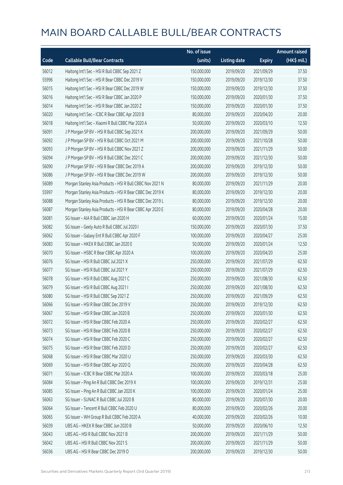|       |                                                           | No. of issue |                     |               | <b>Amount raised</b> |
|-------|-----------------------------------------------------------|--------------|---------------------|---------------|----------------------|
| Code  | <b>Callable Bull/Bear Contracts</b>                       | (units)      | <b>Listing date</b> | <b>Expiry</b> | (HK\$ mil.)          |
| 56012 | Haitong Int'l Sec - HSI R Bull CBBC Sep 2021 Z            | 150,000,000  | 2019/09/20          | 2021/09/29    | 37.50                |
| 55996 | Haitong Int'l Sec - HSI R Bear CBBC Dec 2019 V            | 150,000,000  | 2019/09/20          | 2019/12/30    | 37.50                |
| 56015 | Haitong Int'l Sec - HSI R Bear CBBC Dec 2019 W            | 150,000,000  | 2019/09/20          | 2019/12/30    | 37.50                |
| 56016 | Haitong Int'l Sec - HSI R Bear CBBC Jan 2020 P            | 150,000,000  | 2019/09/20          | 2020/01/30    | 37.50                |
| 56014 | Haitong Int'l Sec - HSI R Bear CBBC Jan 2020 Z            | 150,000,000  | 2019/09/20          | 2020/01/30    | 37.50                |
| 56020 | Haitong Int'l Sec - ICBC R Bear CBBC Apr 2020 B           | 80,000,000   | 2019/09/20          | 2020/04/20    | 20.00                |
| 56018 | Haitong Int'l Sec - Xiaomi R Bull CBBC Mar 2020 A         | 50,000,000   | 2019/09/20          | 2020/03/10    | 12.50                |
| 56091 | J P Morgan SP BV - HSI R Bull CBBC Sep 2021 K             | 200,000,000  | 2019/09/20          | 2021/09/29    | 50.00                |
| 56092 | J P Morgan SP BV - HSI R Bull CBBC Oct 2021 M             | 200,000,000  | 2019/09/20          | 2021/10/28    | 50.00                |
| 56093 | J P Morgan SP BV - HSI R Bull CBBC Nov 2021 Z             | 200,000,000  | 2019/09/20          | 2021/11/29    | 50.00                |
| 56094 | J P Morgan SP BV - HSI R Bull CBBC Dec 2021 C             | 200,000,000  | 2019/09/20          | 2021/12/30    | 50.00                |
| 56090 | J P Morgan SP BV - HSI R Bear CBBC Dec 2019 A             | 200,000,000  | 2019/09/20          | 2019/12/30    | 50.00                |
| 56086 | J P Morgan SP BV - HSI R Bear CBBC Dec 2019 W             | 200,000,000  | 2019/09/20          | 2019/12/30    | 50.00                |
| 56089 | Morgan Stanley Asia Products - HSI R Bull CBBC Nov 2021 N | 80,000,000   | 2019/09/20          | 2021/11/29    | 20.00                |
| 55997 | Morgan Stanley Asia Products - HSI R Bear CBBC Dec 2019 K | 80,000,000   | 2019/09/20          | 2019/12/30    | 20.00                |
| 56088 | Morgan Stanley Asia Products - HSI R Bear CBBC Dec 2019 L | 80,000,000   | 2019/09/20          | 2019/12/30    | 20.00                |
| 56087 | Morgan Stanley Asia Products - HSI R Bear CBBC Apr 2020 E | 80,000,000   | 2019/09/20          | 2020/04/28    | 20.00                |
| 56081 | SG Issuer - AIA R Bull CBBC Jan 2020 H                    | 60,000,000   | 2019/09/20          | 2020/01/24    | 15.00                |
| 56082 | SG Issuer - Geely Auto R Bull CBBC Jul 2020 I             | 150,000,000  | 2019/09/20          | 2020/07/30    | 37.50                |
| 56062 | SG Issuer - Galaxy Ent R Bull CBBC Apr 2020 F             | 100,000,000  | 2019/09/20          | 2020/04/27    | 25.00                |
| 56083 | SG Issuer - HKEX R Bull CBBC Jan 2020 E                   | 50,000,000   | 2019/09/20          | 2020/01/24    | 12.50                |
| 56070 | SG Issuer - HSBC R Bear CBBC Apr 2020 A                   | 100,000,000  | 2019/09/20          | 2020/04/20    | 25.00                |
| 56076 | SG Issuer - HSI R Bull CBBC Jul 2021 X                    | 250,000,000  | 2019/09/20          | 2021/07/29    | 62.50                |
| 56077 | SG Issuer - HSI R Bull CBBC Jul 2021 Y                    | 250,000,000  | 2019/09/20          | 2021/07/29    | 62.50                |
| 56078 | SG Issuer - HSI R Bull CBBC Aug 2021 C                    | 250,000,000  | 2019/09/20          | 2021/08/30    | 62.50                |
| 56079 | SG Issuer - HSI R Bull CBBC Aug 2021 I                    | 250,000,000  | 2019/09/20          | 2021/08/30    | 62.50                |
| 56080 | SG Issuer - HSI R Bull CBBC Sep 2021 Z                    | 250,000,000  | 2019/09/20          | 2021/09/29    | 62.50                |
| 56066 | SG Issuer – HSI R Bear CBBC Dec 2019 V                    | 250,000,000  | 2019/09/20          | 2019/12/30    | 62.50                |
| 56067 | SG Issuer - HSI R Bear CBBC Jan 2020 B                    | 250,000,000  | 2019/09/20          | 2020/01/30    | 62.50                |
| 56072 | SG Issuer - HSI R Bear CBBC Feb 2020 A                    | 250,000,000  | 2019/09/20          | 2020/02/27    | 62.50                |
| 56073 | SG Issuer - HSI R Bear CBBC Feb 2020 B                    | 250,000,000  | 2019/09/20          | 2020/02/27    | 62.50                |
| 56074 | SG Issuer - HSI R Bear CBBC Feb 2020 C                    | 250,000,000  | 2019/09/20          | 2020/02/27    | 62.50                |
| 56075 | SG Issuer - HSI R Bear CBBC Feb 2020 D                    | 250,000,000  | 2019/09/20          | 2020/02/27    | 62.50                |
| 56068 | SG Issuer - HSI R Bear CBBC Mar 2020 U                    | 250,000,000  | 2019/09/20          | 2020/03/30    | 62.50                |
| 56069 | SG Issuer - HSI R Bear CBBC Apr 2020 Q                    | 250,000,000  | 2019/09/20          | 2020/04/28    | 62.50                |
| 56071 | SG Issuer - ICBC R Bear CBBC Mar 2020 A                   | 100,000,000  | 2019/09/20          | 2020/03/18    | 25.00                |
| 56084 | SG Issuer - Ping An R Bull CBBC Dec 2019 X                | 100,000,000  | 2019/09/20          | 2019/12/31    | 25.00                |
| 56085 | SG Issuer - Ping An R Bull CBBC Jan 2020 K                | 100,000,000  | 2019/09/20          | 2020/01/24    | 25.00                |
| 56063 | SG Issuer - SUNAC R Bull CBBC Jul 2020 B                  | 80,000,000   | 2019/09/20          | 2020/07/30    | 20.00                |
| 56064 | SG Issuer - Tencent R Bull CBBC Feb 2020 U                | 80,000,000   | 2019/09/20          | 2020/02/26    | 20.00                |
| 56065 | SG Issuer - WH Group R Bull CBBC Feb 2020 A               | 40,000,000   | 2019/09/20          | 2020/02/26    | 10.00                |
| 56039 | UBS AG - HKEX R Bear CBBC Jun 2020 B                      | 50,000,000   | 2019/09/20          | 2020/06/10    | 12.50                |
| 56043 | UBS AG - HSI R Bull CBBC Nov 2021 B                       | 200,000,000  | 2019/09/20          | 2021/11/29    | 50.00                |
| 56042 | UBS AG - HSI R Bull CBBC Nov 2021 S                       | 200,000,000  | 2019/09/20          | 2021/11/29    | 50.00                |
| 56036 | UBS AG - HSI R Bear CBBC Dec 2019 O                       | 200,000,000  | 2019/09/20          | 2019/12/30    | 50.00                |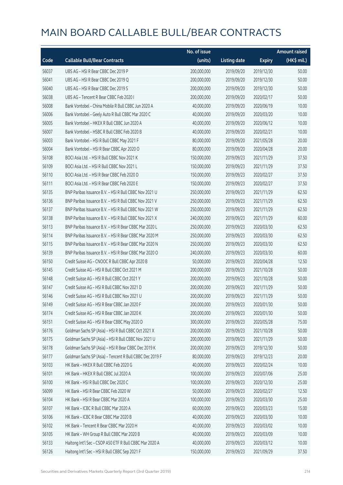|       |                                                          | No. of issue |                     |               | <b>Amount raised</b> |
|-------|----------------------------------------------------------|--------------|---------------------|---------------|----------------------|
| Code  | <b>Callable Bull/Bear Contracts</b>                      | (units)      | <b>Listing date</b> | <b>Expiry</b> | (HK\$ mil.)          |
| 56037 | UBS AG - HSI R Bear CBBC Dec 2019 P                      | 200,000,000  | 2019/09/20          | 2019/12/30    | 50.00                |
| 56041 | UBS AG - HSI R Bear CBBC Dec 2019 Q                      | 200,000,000  | 2019/09/20          | 2019/12/30    | 50.00                |
| 56040 | UBS AG - HSI R Bear CBBC Dec 2019 S                      | 200,000,000  | 2019/09/20          | 2019/12/30    | 50.00                |
| 56038 | UBS AG - Tencent R Bear CBBC Feb 2020 I                  | 200,000,000  | 2019/09/20          | 2020/02/17    | 50.00                |
| 56008 | Bank Vontobel - China Mobile R Bull CBBC Jun 2020 A      | 40,000,000   | 2019/09/20          | 2020/06/19    | 10.00                |
| 56006 | Bank Vontobel - Geely Auto R Bull CBBC Mar 2020 C        | 40,000,000   | 2019/09/20          | 2020/03/20    | 10.00                |
| 56005 | Bank Vontobel - HKEX R Bull CBBC Jun 2020 A              | 40,000,000   | 2019/09/20          | 2020/06/12    | 10.00                |
| 56007 | Bank Vontobel - HSBC R Bull CBBC Feb 2020 B              | 40,000,000   | 2019/09/20          | 2020/02/21    | 10.00                |
| 56003 | Bank Vontobel - HSI R Bull CBBC May 2021 F               | 80,000,000   | 2019/09/20          | 2021/05/28    | 20.00                |
| 56004 | Bank Vontobel - HSI R Bear CBBC Apr 2020 O               | 80,000,000   | 2019/09/20          | 2020/04/28    | 20.00                |
| 56108 | BOCI Asia Ltd. - HSI R Bull CBBC Nov 2021 K              | 150,000,000  | 2019/09/23          | 2021/11/29    | 37.50                |
| 56109 | BOCI Asia Ltd. - HSI R Bull CBBC Nov 2021 L              | 150,000,000  | 2019/09/23          | 2021/11/29    | 37.50                |
| 56110 | BOCI Asia Ltd. - HSI R Bear CBBC Feb 2020 D              | 150,000,000  | 2019/09/23          | 2020/02/27    | 37.50                |
| 56111 | BOCI Asia Ltd. - HSI R Bear CBBC Feb 2020 E              | 150,000,000  | 2019/09/23          | 2020/02/27    | 37.50                |
| 56135 | BNP Paribas Issuance B.V. - HSI R Bull CBBC Nov 2021 U   | 250,000,000  | 2019/09/23          | 2021/11/29    | 62.50                |
| 56136 | BNP Paribas Issuance B.V. - HSI R Bull CBBC Nov 2021 V   | 250,000,000  | 2019/09/23          | 2021/11/29    | 62.50                |
| 56137 | BNP Paribas Issuance B.V. - HSI R Bull CBBC Nov 2021 W   | 250,000,000  | 2019/09/23          | 2021/11/29    | 62.50                |
| 56138 | BNP Paribas Issuance B.V. - HSI R Bull CBBC Nov 2021 X   | 240,000,000  | 2019/09/23          | 2021/11/29    | 60.00                |
| 56113 | BNP Paribas Issuance B.V. - HSI R Bear CBBC Mar 2020 L   | 250,000,000  | 2019/09/23          | 2020/03/30    | 62.50                |
| 56114 | BNP Paribas Issuance B.V. - HSI R Bear CBBC Mar 2020 M   | 250,000,000  | 2019/09/23          | 2020/03/30    | 62.50                |
| 56115 | BNP Paribas Issuance B.V. - HSI R Bear CBBC Mar 2020 N   | 250,000,000  | 2019/09/23          | 2020/03/30    | 62.50                |
| 56139 | BNP Paribas Issuance B.V. - HSI R Bear CBBC Mar 2020 O   | 240,000,000  | 2019/09/23          | 2020/03/30    | 60.00                |
| 56150 | Credit Suisse AG - CNOOC R Bull CBBC Apr 2020 B          | 50,000,000   | 2019/09/23          | 2020/04/28    | 12.50                |
| 56145 | Credit Suisse AG - HSI R Bull CBBC Oct 2021 M            | 200,000,000  | 2019/09/23          | 2021/10/28    | 50.00                |
| 56148 | Credit Suisse AG - HSI R Bull CBBC Oct 2021 Y            | 200,000,000  | 2019/09/23          | 2021/10/28    | 50.00                |
| 56147 | Credit Suisse AG - HSI R Bull CBBC Nov 2021 D            | 200,000,000  | 2019/09/23          | 2021/11/29    | 50.00                |
| 56146 | Credit Suisse AG - HSI R Bull CBBC Nov 2021 U            | 200,000,000  | 2019/09/23          | 2021/11/29    | 50.00                |
| 56149 | Credit Suisse AG - HSI R Bear CBBC Jan 2020 F            | 200,000,000  | 2019/09/23          | 2020/01/30    | 50.00                |
| 56174 | Credit Suisse AG - HSI R Bear CBBC Jan 2020 K            | 200,000,000  | 2019/09/23          | 2020/01/30    | 50.00                |
| 56151 | Credit Suisse AG - HSI R Bear CBBC May 2020 D            | 300,000,000  | 2019/09/23          | 2020/05/28    | 75.00                |
| 56176 | Goldman Sachs SP (Asia) - HSI R Bull CBBC Oct 2021 X     | 200,000,000  | 2019/09/23          | 2021/10/28    | 50.00                |
| 56175 | Goldman Sachs SP (Asia) - HSI R Bull CBBC Nov 2021 U     | 200,000,000  | 2019/09/23          | 2021/11/29    | 50.00                |
| 56178 | Goldman Sachs SP (Asia) - HSI R Bear CBBC Dec 2019 K     | 200,000,000  | 2019/09/23          | 2019/12/30    | 50.00                |
| 56177 | Goldman Sachs SP (Asia) - Tencent R Bull CBBC Dec 2019 F | 80,000,000   | 2019/09/23          | 2019/12/23    | 20.00                |
| 56103 | HK Bank - HKEX R Bull CBBC Feb 2020 G                    | 40,000,000   | 2019/09/23          | 2020/02/24    | 10.00                |
| 56101 | HK Bank - HKEX R Bull CBBC Jul 2020 A                    | 100,000,000  | 2019/09/23          | 2020/07/06    | 25.00                |
| 56100 | HK Bank - HSI R Bull CBBC Dec 2020 C                     | 100,000,000  | 2019/09/23          | 2020/12/30    | 25.00                |
| 56099 | HK Bank - HSI R Bear CBBC Feb 2020 W                     | 50,000,000   | 2019/09/23          | 2020/02/27    | 12.50                |
| 56104 | HK Bank - HSI R Bear CBBC Mar 2020 A                     | 100,000,000  | 2019/09/23          | 2020/03/30    | 25.00                |
| 56107 | HK Bank - ICBC R Bull CBBC Mar 2020 A                    | 60,000,000   | 2019/09/23          | 2020/03/23    | 15.00                |
| 56106 | HK Bank - ICBC R Bear CBBC Mar 2020 B                    | 40,000,000   | 2019/09/23          | 2020/03/30    | 10.00                |
| 56102 | HK Bank - Tencent R Bear CBBC Mar 2020 H                 | 40,000,000   | 2019/09/23          | 2020/03/02    | 10.00                |
| 56105 | HK Bank - WH Group R Bull CBBC Mar 2020 B                | 40,000,000   | 2019/09/23          | 2020/03/09    | 10.00                |
| 56133 | Haitong Int'l Sec - CSOP A50 ETF R Bull CBBC Mar 2020 A  | 40,000,000   | 2019/09/23          | 2020/03/12    | 10.00                |
| 56126 | Haitong Int'l Sec - HSI R Bull CBBC Sep 2021 F           | 150,000,000  | 2019/09/23          | 2021/09/29    | 37.50                |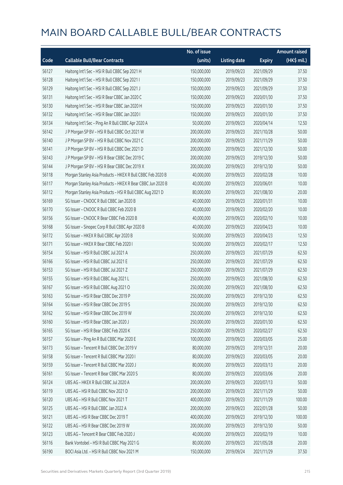|       |                                                            | No. of issue |                     |               | <b>Amount raised</b> |
|-------|------------------------------------------------------------|--------------|---------------------|---------------|----------------------|
| Code  | <b>Callable Bull/Bear Contracts</b>                        | (units)      | <b>Listing date</b> | <b>Expiry</b> | (HK\$ mil.)          |
| 56127 | Haitong Int'l Sec - HSI R Bull CBBC Sep 2021 H             | 150,000,000  | 2019/09/23          | 2021/09/29    | 37.50                |
| 56128 | Haitong Int'l Sec - HSI R Bull CBBC Sep 2021 I             | 150,000,000  | 2019/09/23          | 2021/09/29    | 37.50                |
| 56129 | Haitong Int'l Sec - HSI R Bull CBBC Sep 2021 J             | 150,000,000  | 2019/09/23          | 2021/09/29    | 37.50                |
| 56131 | Haitong Int'l Sec - HSI R Bear CBBC Jan 2020 C             | 150,000,000  | 2019/09/23          | 2020/01/30    | 37.50                |
| 56130 | Haitong Int'l Sec - HSI R Bear CBBC Jan 2020 H             | 150,000,000  | 2019/09/23          | 2020/01/30    | 37.50                |
| 56132 | Haitong Int'l Sec - HSI R Bear CBBC Jan 2020 I             | 150,000,000  | 2019/09/23          | 2020/01/30    | 37.50                |
| 56134 | Haitong Int'l Sec - Ping An R Bull CBBC Apr 2020 A         | 50,000,000   | 2019/09/23          | 2020/04/14    | 12.50                |
| 56142 | J P Morgan SP BV - HSI R Bull CBBC Oct 2021 W              | 200,000,000  | 2019/09/23          | 2021/10/28    | 50.00                |
| 56140 | J P Morgan SP BV - HSI R Bull CBBC Nov 2021 C              | 200,000,000  | 2019/09/23          | 2021/11/29    | 50.00                |
| 56141 | J P Morgan SP BV - HSI R Bull CBBC Dec 2021 D              | 200,000,000  | 2019/09/23          | 2021/12/30    | 50.00                |
| 56143 | J P Morgan SP BV - HSI R Bear CBBC Dec 2019 C              | 200,000,000  | 2019/09/23          | 2019/12/30    | 50.00                |
| 56144 | J P Morgan SP BV - HSI R Bear CBBC Dec 2019 X              | 200,000,000  | 2019/09/23          | 2019/12/30    | 50.00                |
| 56118 | Morgan Stanley Asia Products - HKEX R Bull CBBC Feb 2020 B | 40,000,000   | 2019/09/23          | 2020/02/28    | 10.00                |
| 56117 | Morgan Stanley Asia Products - HKEX R Bear CBBC Jun 2020 B | 40,000,000   | 2019/09/23          | 2020/06/01    | 10.00                |
| 56112 | Morgan Stanley Asia Products - HSI R Bull CBBC Aug 2021 D  | 80,000,000   | 2019/09/23          | 2021/08/30    | 20.00                |
| 56169 | SG Issuer - CNOOC R Bull CBBC Jan 2020 B                   | 40,000,000   | 2019/09/23          | 2020/01/31    | 10.00                |
| 56170 | SG Issuer - CNOOC R Bull CBBC Feb 2020 B                   | 40,000,000   | 2019/09/23          | 2020/02/20    | 10.00                |
| 56156 | SG Issuer - CNOOC R Bear CBBC Feb 2020 B                   | 40,000,000   | 2019/09/23          | 2020/02/10    | 10.00                |
| 56168 | SG Issuer - Sinopec Corp R Bull CBBC Apr 2020 B            | 40,000,000   | 2019/09/23          | 2020/04/23    | 10.00                |
| 56172 | SG Issuer - HKEX R Bull CBBC Apr 2020 B                    | 50,000,000   | 2019/09/23          | 2020/04/23    | 12.50                |
| 56171 | SG Issuer - HKEX R Bear CBBC Feb 2020 I                    | 50,000,000   | 2019/09/23          | 2020/02/17    | 12.50                |
| 56154 | SG Issuer - HSI R Bull CBBC Jul 2021 A                     | 250,000,000  | 2019/09/23          | 2021/07/29    | 62.50                |
| 56166 | SG Issuer - HSI R Bull CBBC Jul 2021 E                     | 250,000,000  | 2019/09/23          | 2021/07/29    | 62.50                |
| 56153 | SG Issuer - HSI R Bull CBBC Jul 2021 Z                     | 250,000,000  | 2019/09/23          | 2021/07/29    | 62.50                |
| 56155 | SG Issuer - HSI R Bull CBBC Aug 2021 L                     | 250,000,000  | 2019/09/23          | 2021/08/30    | 62.50                |
| 56167 | SG Issuer - HSI R Bull CBBC Aug 2021 O                     | 250,000,000  | 2019/09/23          | 2021/08/30    | 62.50                |
| 56163 | SG Issuer - HSI R Bear CBBC Dec 2019 P                     | 250,000,000  | 2019/09/23          | 2019/12/30    | 62.50                |
| 56164 | SG Issuer - HSI R Bear CBBC Dec 2019 S                     | 250,000,000  | 2019/09/23          | 2019/12/30    | 62.50                |
| 56162 | SG Issuer - HSI R Bear CBBC Dec 2019 W                     | 250,000,000  | 2019/09/23          | 2019/12/30    | 62.50                |
| 56160 | SG Issuer - HSI R Bear CBBC Jan 2020 J                     | 250,000,000  | 2019/09/23          | 2020/01/30    | 62.50                |
| 56165 | SG Issuer - HSI R Bear CBBC Feb 2020 K                     | 250,000,000  | 2019/09/23          | 2020/02/27    | 62.50                |
| 56157 | SG Issuer - Ping An R Bull CBBC Mar 2020 E                 | 100,000,000  | 2019/09/23          | 2020/03/05    | 25.00                |
| 56173 | SG Issuer - Tencent R Bull CBBC Dec 2019 V                 | 80,000,000   | 2019/09/23          | 2019/12/31    | 20.00                |
| 56158 | SG Issuer - Tencent R Bull CBBC Mar 2020 I                 | 80,000,000   | 2019/09/23          | 2020/03/05    | 20.00                |
| 56159 | SG Issuer - Tencent R Bull CBBC Mar 2020 J                 | 80,000,000   | 2019/09/23          | 2020/03/13    | 20.00                |
| 56161 | SG Issuer - Tencent R Bear CBBC Mar 2020 S                 | 80,000,000   | 2019/09/23          | 2020/03/06    | 20.00                |
| 56124 | UBS AG - HKEX R Bull CBBC Jul 2020 A                       | 200,000,000  | 2019/09/23          | 2020/07/13    | 50.00                |
| 56119 | UBS AG - HSI R Bull CBBC Nov 2021 D                        | 200,000,000  | 2019/09/23          | 2021/11/29    | 50.00                |
| 56120 | UBS AG - HSI R Bull CBBC Nov 2021 T                        | 400,000,000  | 2019/09/23          | 2021/11/29    | 100.00               |
| 56125 | UBS AG - HSI R Bull CBBC Jan 2022 A                        | 200,000,000  | 2019/09/23          | 2022/01/28    | 50.00                |
| 56121 | UBS AG - HSI R Bear CBBC Dec 2019 T                        | 400,000,000  | 2019/09/23          | 2019/12/30    | 100.00               |
| 56122 | UBS AG - HSI R Bear CBBC Dec 2019 W                        | 200,000,000  | 2019/09/23          | 2019/12/30    | 50.00                |
| 56123 | UBS AG - Tencent R Bear CBBC Feb 2020 J                    | 40,000,000   | 2019/09/23          | 2020/02/19    | 10.00                |
| 56116 | Bank Vontobel - HSI R Bull CBBC May 2021 G                 | 80,000,000   | 2019/09/23          | 2021/05/28    | 20.00                |
| 56190 | BOCI Asia Ltd. - HSI R Bull CBBC Nov 2021 M                | 150,000,000  | 2019/09/24          | 2021/11/29    | 37.50                |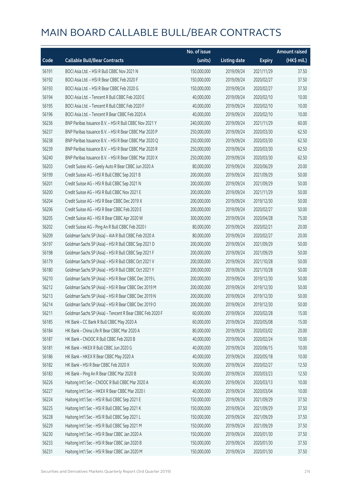|       |                                                          | No. of issue |                     |               | <b>Amount raised</b> |
|-------|----------------------------------------------------------|--------------|---------------------|---------------|----------------------|
| Code  | <b>Callable Bull/Bear Contracts</b>                      | (units)      | <b>Listing date</b> | <b>Expiry</b> | (HK\$ mil.)          |
| 56191 | BOCI Asia Ltd. - HSI R Bull CBBC Nov 2021 N              | 150,000,000  | 2019/09/24          | 2021/11/29    | 37.50                |
| 56192 | BOCI Asia Ltd. - HSI R Bear CBBC Feb 2020 F              | 150,000,000  | 2019/09/24          | 2020/02/27    | 37.50                |
| 56193 | BOCI Asia Ltd. - HSI R Bear CBBC Feb 2020 G              | 150,000,000  | 2019/09/24          | 2020/02/27    | 37.50                |
| 56194 | BOCI Asia Ltd. - Tencent R Bull CBBC Feb 2020 E          | 40,000,000   | 2019/09/24          | 2020/02/10    | 10.00                |
| 56195 | BOCI Asia Ltd. - Tencent R Bull CBBC Feb 2020 F          | 40,000,000   | 2019/09/24          | 2020/02/10    | 10.00                |
| 56196 | BOCI Asia Ltd. - Tencent R Bear CBBC Feb 2020 A          | 40,000,000   | 2019/09/24          | 2020/02/10    | 10.00                |
| 56236 | BNP Paribas Issuance B.V. - HSI R Bull CBBC Nov 2021 Y   | 240,000,000  | 2019/09/24          | 2021/11/29    | 60.00                |
| 56237 | BNP Paribas Issuance B.V. - HSI R Bear CBBC Mar 2020 P   | 250,000,000  | 2019/09/24          | 2020/03/30    | 62.50                |
| 56238 | BNP Paribas Issuance B.V. - HSI R Bear CBBC Mar 2020 Q   | 250,000,000  | 2019/09/24          | 2020/03/30    | 62.50                |
| 56239 | BNP Paribas Issuance B.V. - HSI R Bear CBBC Mar 2020 R   | 250,000,000  | 2019/09/24          | 2020/03/30    | 62.50                |
| 56240 | BNP Paribas Issuance B.V. - HSI R Bear CBBC Mar 2020 X   | 250,000,000  | 2019/09/24          | 2020/03/30    | 62.50                |
| 56203 | Credit Suisse AG - Geely Auto R Bear CBBC Jun 2020 A     | 80,000,000   | 2019/09/24          | 2020/06/29    | 20.00                |
| 56199 | Credit Suisse AG - HSI R Bull CBBC Sep 2021 B            | 200,000,000  | 2019/09/24          | 2021/09/29    | 50.00                |
| 56201 | Credit Suisse AG - HSI R Bull CBBC Sep 2021 N            | 200,000,000  | 2019/09/24          | 2021/09/29    | 50.00                |
| 56200 | Credit Suisse AG - HSI R Bull CBBC Nov 2021 E            | 200,000,000  | 2019/09/24          | 2021/11/29    | 50.00                |
| 56204 | Credit Suisse AG - HSI R Bear CBBC Dec 2019 X            | 200,000,000  | 2019/09/24          | 2019/12/30    | 50.00                |
| 56206 | Credit Suisse AG - HSI R Bear CBBC Feb 2020 E            | 200,000,000  | 2019/09/24          | 2020/02/27    | 50.00                |
| 56205 | Credit Suisse AG - HSI R Bear CBBC Apr 2020 W            | 300,000,000  | 2019/09/24          | 2020/04/28    | 75.00                |
| 56202 | Credit Suisse AG - Ping An R Bull CBBC Feb 2020 I        | 80,000,000   | 2019/09/24          | 2020/02/21    | 20.00                |
| 56209 | Goldman Sachs SP (Asia) - AIA R Bull CBBC Feb 2020 A     | 80,000,000   | 2019/09/24          | 2020/02/27    | 20.00                |
| 56197 | Goldman Sachs SP (Asia) - HSI R Bull CBBC Sep 2021 D     | 200,000,000  | 2019/09/24          | 2021/09/29    | 50.00                |
| 56198 | Goldman Sachs SP (Asia) - HSI R Bull CBBC Sep 2021 F     | 200,000,000  | 2019/09/24          | 2021/09/29    | 50.00                |
| 56179 | Goldman Sachs SP (Asia) - HSI R Bull CBBC Oct 2021 V     | 200,000,000  | 2019/09/24          | 2021/10/28    | 50.00                |
| 56180 | Goldman Sachs SP (Asia) - HSI R Bull CBBC Oct 2021 Y     | 200,000,000  | 2019/09/24          | 2021/10/28    | 50.00                |
| 56210 | Goldman Sachs SP (Asia) - HSI R Bear CBBC Dec 2019 L     | 200,000,000  | 2019/09/24          | 2019/12/30    | 50.00                |
| 56212 | Goldman Sachs SP (Asia) - HSI R Bear CBBC Dec 2019 M     | 200,000,000  | 2019/09/24          | 2019/12/30    | 50.00                |
| 56213 | Goldman Sachs SP (Asia) - HSI R Bear CBBC Dec 2019 N     | 200,000,000  | 2019/09/24          | 2019/12/30    | 50.00                |
| 56214 | Goldman Sachs SP (Asia) - HSI R Bear CBBC Dec 2019 O     | 200,000,000  | 2019/09/24          | 2019/12/30    | 50.00                |
| 56211 | Goldman Sachs SP (Asia) - Tencent R Bear CBBC Feb 2020 F | 60,000,000   | 2019/09/24          | 2020/02/28    | 15.00                |
| 56185 | HK Bank - CC Bank R Bull CBBC May 2020 A                 | 60,000,000   | 2019/09/24          | 2020/05/08    | 15.00                |
| 56184 | HK Bank - China Life R Bear CBBC Mar 2020 A              | 80,000,000   | 2019/09/24          | 2020/03/02    | 20.00                |
| 56187 | HK Bank - CNOOC R Bull CBBC Feb 2020 B                   | 40,000,000   | 2019/09/24          | 2020/02/24    | 10.00                |
| 56181 | HK Bank - HKEX R Bull CBBC Jun 2020 G                    | 40,000,000   | 2019/09/24          | 2020/06/15    | 10.00                |
| 56186 | HK Bank - HKEX R Bear CBBC May 2020 A                    | 40,000,000   | 2019/09/24          | 2020/05/18    | 10.00                |
| 56182 | HK Bank - HSI R Bear CBBC Feb 2020 X                     | 50,000,000   | 2019/09/24          | 2020/02/27    | 12.50                |
| 56183 | HK Bank - Ping An R Bear CBBC Mar 2020 B                 | 50,000,000   | 2019/09/24          | 2020/03/23    | 12.50                |
| 56226 | Haitong Int'l Sec - CNOOC R Bull CBBC Mar 2020 A         | 40,000,000   | 2019/09/24          | 2020/03/13    | 10.00                |
| 56227 | Haitong Int'l Sec - HKEX R Bear CBBC Mar 2020 I          | 40,000,000   | 2019/09/24          | 2020/03/04    | 10.00                |
| 56224 | Haitong Int'l Sec - HSI R Bull CBBC Sep 2021 E           | 150,000,000  | 2019/09/24          | 2021/09/29    | 37.50                |
| 56225 | Haitong Int'l Sec - HSI R Bull CBBC Sep 2021 K           | 150,000,000  | 2019/09/24          | 2021/09/29    | 37.50                |
| 56228 | Haitong Int'l Sec - HSI R Bull CBBC Sep 2021 L           | 150,000,000  | 2019/09/24          | 2021/09/29    | 37.50                |
| 56229 | Haitong Int'l Sec - HSI R Bull CBBC Sep 2021 M           | 150,000,000  | 2019/09/24          | 2021/09/29    | 37.50                |
| 56230 | Haitong Int'l Sec - HSI R Bear CBBC Jan 2020 A           | 150,000,000  | 2019/09/24          | 2020/01/30    | 37.50                |
| 56233 | Haitong Int'l Sec - HSI R Bear CBBC Jan 2020 B           | 150,000,000  | 2019/09/24          | 2020/01/30    | 37.50                |
| 56231 | Haitong Int'l Sec - HSI R Bear CBBC Jan 2020 M           | 150,000,000  | 2019/09/24          | 2020/01/30    | 37.50                |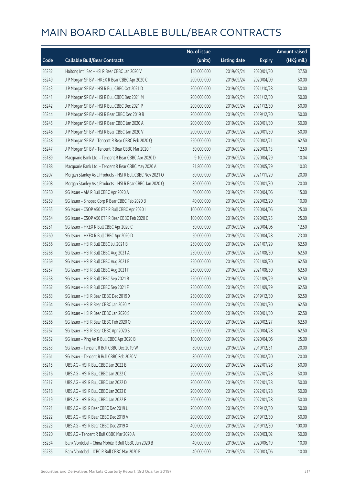|       |                                                           | No. of issue |                     |               | <b>Amount raised</b> |
|-------|-----------------------------------------------------------|--------------|---------------------|---------------|----------------------|
| Code  | <b>Callable Bull/Bear Contracts</b>                       | (units)      | <b>Listing date</b> | <b>Expiry</b> | (HK\$ mil.)          |
| 56232 | Haitong Int'l Sec - HSI R Bear CBBC Jan 2020 V            | 150,000,000  | 2019/09/24          | 2020/01/30    | 37.50                |
| 56249 | J P Morgan SP BV - HKEX R Bear CBBC Apr 2020 C            | 200,000,000  | 2019/09/24          | 2020/04/09    | 50.00                |
| 56243 | J P Morgan SP BV - HSI R Bull CBBC Oct 2021 D             | 200,000,000  | 2019/09/24          | 2021/10/28    | 50.00                |
| 56241 | J P Morgan SP BV - HSI R Bull CBBC Dec 2021 M             | 200,000,000  | 2019/09/24          | 2021/12/30    | 50.00                |
| 56242 | J P Morgan SP BV - HSI R Bull CBBC Dec 2021 P             | 200,000,000  | 2019/09/24          | 2021/12/30    | 50.00                |
| 56244 | J P Morgan SP BV - HSI R Bear CBBC Dec 2019 B             | 200,000,000  | 2019/09/24          | 2019/12/30    | 50.00                |
| 56245 | J P Morgan SP BV - HSI R Bear CBBC Jan 2020 A             | 200,000,000  | 2019/09/24          | 2020/01/30    | 50.00                |
| 56246 | J P Morgan SP BV - HSI R Bear CBBC Jan 2020 V             | 200,000,000  | 2019/09/24          | 2020/01/30    | 50.00                |
| 56248 | J P Morgan SP BV - Tencent R Bear CBBC Feb 2020 Q         | 250,000,000  | 2019/09/24          | 2020/02/21    | 62.50                |
| 56247 | J P Morgan SP BV - Tencent R Bear CBBC Mar 2020 F         | 50,000,000   | 2019/09/24          | 2020/03/13    | 12.50                |
| 56189 | Macquarie Bank Ltd. - Tencent R Bear CBBC Apr 2020 D      | 9,100,000    | 2019/09/24          | 2020/04/29    | 10.04                |
| 56188 | Macquarie Bank Ltd. - Tencent R Bear CBBC May 2020 A      | 21,800,000   | 2019/09/24          | 2020/05/29    | 10.03                |
| 56207 | Morgan Stanley Asia Products - HSI R Bull CBBC Nov 2021 O | 80,000,000   | 2019/09/24          | 2021/11/29    | 20.00                |
| 56208 | Morgan Stanley Asia Products - HSI R Bear CBBC Jan 2020 Q | 80,000,000   | 2019/09/24          | 2020/01/30    | 20.00                |
| 56250 | SG Issuer - AIA R Bull CBBC Apr 2020 A                    | 60,000,000   | 2019/09/24          | 2020/04/06    | 15.00                |
| 56259 | SG Issuer - Sinopec Corp R Bear CBBC Feb 2020 B           | 40,000,000   | 2019/09/24          | 2020/02/20    | 10.00                |
| 56255 | SG Issuer - CSOP A50 ETF R Bull CBBC Apr 2020 I           | 100,000,000  | 2019/09/24          | 2020/04/06    | 25.00                |
| 56254 | SG Issuer - CSOP A50 ETF R Bear CBBC Feb 2020 C           | 100,000,000  | 2019/09/24          | 2020/02/25    | 25.00                |
| 56251 | SG Issuer - HKEX R Bull CBBC Apr 2020 C                   | 50,000,000   | 2019/09/24          | 2020/04/06    | 12.50                |
| 56260 | SG Issuer - HKEX R Bull CBBC Apr 2020 D                   | 50,000,000   | 2019/09/24          | 2020/04/28    | 23.00                |
| 56256 | SG Issuer - HSI R Bull CBBC Jul 2021 B                    | 250,000,000  | 2019/09/24          | 2021/07/29    | 62.50                |
| 56268 | SG Issuer - HSI R Bull CBBC Aug 2021 A                    | 250,000,000  | 2019/09/24          | 2021/08/30    | 62.50                |
| 56269 | SG Issuer - HSI R Bull CBBC Aug 2021 B                    | 250,000,000  | 2019/09/24          | 2021/08/30    | 62.50                |
| 56257 | SG Issuer - HSI R Bull CBBC Aug 2021 P                    | 250,000,000  | 2019/09/24          | 2021/08/30    | 62.50                |
| 56258 | SG Issuer - HSI R Bull CBBC Sep 2021 B                    | 250,000,000  | 2019/09/24          | 2021/09/29    | 62.50                |
| 56262 | SG Issuer - HSI R Bull CBBC Sep 2021 F                    | 250,000,000  | 2019/09/24          | 2021/09/29    | 62.50                |
| 56263 | SG Issuer - HSI R Bear CBBC Dec 2019 X                    | 250,000,000  | 2019/09/24          | 2019/12/30    | 62.50                |
| 56264 | SG Issuer - HSI R Bear CBBC Jan 2020 M                    | 250,000,000  | 2019/09/24          | 2020/01/30    | 62.50                |
| 56265 | SG Issuer - HSI R Bear CBBC Jan 2020 S                    | 250,000,000  | 2019/09/24          | 2020/01/30    | 62.50                |
| 56266 | SG Issuer - HSI R Bear CBBC Feb 2020 Q                    | 250,000,000  | 2019/09/24          | 2020/02/27    | 62.50                |
| 56267 | SG Issuer - HSI R Bear CBBC Apr 2020 S                    | 250,000,000  | 2019/09/24          | 2020/04/28    | 62.50                |
| 56252 | SG Issuer - Ping An R Bull CBBC Apr 2020 B                | 100,000,000  | 2019/09/24          | 2020/04/06    | 25.00                |
| 56253 | SG Issuer - Tencent R Bull CBBC Dec 2019 W                | 80,000,000   | 2019/09/24          | 2019/12/31    | 20.00                |
| 56261 | SG Issuer - Tencent R Bull CBBC Feb 2020 V                | 80,000,000   | 2019/09/24          | 2020/02/20    | 20.00                |
| 56215 | UBS AG - HSI R Bull CBBC Jan 2022 B                       | 200,000,000  | 2019/09/24          | 2022/01/28    | 50.00                |
| 56216 | UBS AG - HSI R Bull CBBC Jan 2022 C                       | 200,000,000  | 2019/09/24          | 2022/01/28    | 50.00                |
| 56217 | UBS AG - HSI R Bull CBBC Jan 2022 D                       | 200,000,000  | 2019/09/24          | 2022/01/28    | 50.00                |
| 56218 | UBS AG - HSI R Bull CBBC Jan 2022 E                       | 200,000,000  | 2019/09/24          | 2022/01/28    | 50.00                |
| 56219 | UBS AG - HSI R Bull CBBC Jan 2022 F                       | 200,000,000  | 2019/09/24          | 2022/01/28    | 50.00                |
| 56221 | UBS AG - HSI R Bear CBBC Dec 2019 U                       | 200,000,000  | 2019/09/24          | 2019/12/30    | 50.00                |
| 56222 | UBS AG - HSI R Bear CBBC Dec 2019 V                       | 200,000,000  | 2019/09/24          | 2019/12/30    | 50.00                |
| 56223 | UBS AG - HSI R Bear CBBC Dec 2019 X                       | 400,000,000  | 2019/09/24          | 2019/12/30    | 100.00               |
| 56220 | UBS AG - Tencent R Bull CBBC Mar 2020 A                   | 200,000,000  | 2019/09/24          | 2020/03/02    | 50.00                |
| 56234 | Bank Vontobel - China Mobile R Bull CBBC Jun 2020 B       | 40,000,000   | 2019/09/24          | 2020/06/19    | 10.00                |
| 56235 | Bank Vontobel - ICBC R Bull CBBC Mar 2020 B               | 40,000,000   | 2019/09/24          | 2020/03/06    | 10.00                |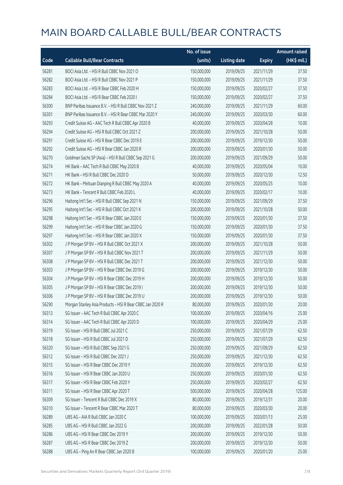|       |                                                           | No. of issue |                     |               | <b>Amount raised</b> |
|-------|-----------------------------------------------------------|--------------|---------------------|---------------|----------------------|
| Code  | <b>Callable Bull/Bear Contracts</b>                       | (units)      | <b>Listing date</b> | <b>Expiry</b> | (HK\$ mil.)          |
| 56281 | BOCI Asia Ltd. - HSI R Bull CBBC Nov 2021 O               | 150,000,000  | 2019/09/25          | 2021/11/29    | 37.50                |
| 56282 | BOCI Asia Ltd. - HSI R Bull CBBC Nov 2021 P               | 150,000,000  | 2019/09/25          | 2021/11/29    | 37.50                |
| 56283 | BOCI Asia Ltd. - HSI R Bear CBBC Feb 2020 H               | 150,000,000  | 2019/09/25          | 2020/02/27    | 37.50                |
| 56284 | BOCI Asia Ltd. - HSI R Bear CBBC Feb 2020 I               | 150,000,000  | 2019/09/25          | 2020/02/27    | 37.50                |
| 56300 | BNP Paribas Issuance B.V. - HSI R Bull CBBC Nov 2021 Z    | 240,000,000  | 2019/09/25          | 2021/11/29    | 60.00                |
| 56301 | BNP Paribas Issuance B.V. - HSI R Bear CBBC Mar 2020 Y    | 240,000,000  | 2019/09/25          | 2020/03/30    | 60.00                |
| 56293 | Credit Suisse AG - AAC Tech R Bull CBBC Apr 2020 B        | 40,000,000   | 2019/09/25          | 2020/04/28    | 10.00                |
| 56294 | Credit Suisse AG - HSI R Bull CBBC Oct 2021 Z             | 200,000,000  | 2019/09/25          | 2021/10/28    | 50.00                |
| 56291 | Credit Suisse AG - HSI R Bear CBBC Dec 2019 E             | 200,000,000  | 2019/09/25          | 2019/12/30    | 50.00                |
| 56292 | Credit Suisse AG - HSI R Bear CBBC Jan 2020 R             | 200,000,000  | 2019/09/25          | 2020/01/30    | 50.00                |
| 56270 | Goldman Sachs SP (Asia) - HSI R Bull CBBC Sep 2021 G      | 200,000,000  | 2019/09/25          | 2021/09/29    | 50.00                |
| 56274 | HK Bank - AAC Tech R Bull CBBC May 2020 B                 | 40,000,000   | 2019/09/25          | 2020/05/04    | 10.00                |
| 56271 | HK Bank - HSI R Bull CBBC Dec 2020 D                      | 50,000,000   | 2019/09/25          | 2020/12/30    | 12.50                |
| 56272 | HK Bank - Meituan Dianping R Bull CBBC May 2020 A         | 40,000,000   | 2019/09/25          | 2020/05/25    | 10.00                |
| 56273 | HK Bank - Tencent R Bull CBBC Feb 2020 L                  | 40,000,000   | 2019/09/25          | 2020/02/17    | 10.00                |
| 56296 | Haitong Int'l Sec - HSI R Bull CBBC Sep 2021 N            | 150,000,000  | 2019/09/25          | 2021/09/29    | 37.50                |
| 56295 | Haitong Int'l Sec - HSI R Bull CBBC Oct 2021 K            | 200,000,000  | 2019/09/25          | 2021/10/28    | 50.00                |
| 56298 | Haitong Int'l Sec - HSI R Bear CBBC Jan 2020 E            | 150,000,000  | 2019/09/25          | 2020/01/30    | 37.50                |
| 56299 | Haitong Int'l Sec - HSI R Bear CBBC Jan 2020 G            | 150,000,000  | 2019/09/25          | 2020/01/30    | 37.50                |
| 56297 | Haitong Int'l Sec - HSI R Bear CBBC Jan 2020 X            | 150,000,000  | 2019/09/25          | 2020/01/30    | 37.50                |
| 56302 | J P Morgan SP BV - HSI R Bull CBBC Oct 2021 X             | 200,000,000  | 2019/09/25          | 2021/10/28    | 50.00                |
| 56307 | J P Morgan SP BV - HSI R Bull CBBC Nov 2021 T             | 200,000,000  | 2019/09/25          | 2021/11/29    | 50.00                |
| 56308 | J P Morgan SP BV - HSI R Bull CBBC Dec 2021 T             | 200,000,000  | 2019/09/25          | 2021/12/30    | 50.00                |
| 56303 | J P Morgan SP BV - HSI R Bear CBBC Dec 2019 G             | 200,000,000  | 2019/09/25          | 2019/12/30    | 50.00                |
| 56304 | J P Morgan SP BV - HSI R Bear CBBC Dec 2019 H             | 200,000,000  | 2019/09/25          | 2019/12/30    | 50.00                |
| 56305 | J P Morgan SP BV - HSI R Bear CBBC Dec 2019 I             | 200,000,000  | 2019/09/25          | 2019/12/30    | 50.00                |
| 56306 | J P Morgan SP BV - HSI R Bear CBBC Dec 2019 U             | 200,000,000  | 2019/09/25          | 2019/12/30    | 50.00                |
| 56290 | Morgan Stanley Asia Products - HSI R Bear CBBC Jan 2020 R | 80,000,000   | 2019/09/25          | 2020/01/30    | 20.00                |
| 56313 | SG Issuer - AAC Tech R Bull CBBC Apr 2020 C               | 100,000,000  | 2019/09/25          | 2020/04/16    | 25.00                |
| 56314 | SG Issuer - AAC Tech R Bull CBBC Apr 2020 D               | 100,000,000  | 2019/09/25          | 2020/04/29    | 25.00                |
| 56319 | SG Issuer - HSI R Bull CBBC Jul 2021 C                    | 250,000,000  | 2019/09/25          | 2021/07/29    | 62.50                |
| 56318 | SG Issuer - HSI R Bull CBBC Jul 2021 D                    | 250,000,000  | 2019/09/25          | 2021/07/29    | 62.50                |
| 56320 | SG Issuer - HSI R Bull CBBC Sep 2021 G                    | 250,000,000  | 2019/09/25          | 2021/09/29    | 62.50                |
| 56312 | SG Issuer - HSI R Bull CBBC Dec 2021 J                    | 250,000,000  | 2019/09/25          | 2021/12/30    | 62.50                |
| 56315 | SG Issuer - HSI R Bear CBBC Dec 2019 Y                    | 250,000,000  | 2019/09/25          | 2019/12/30    | 62.50                |
| 56316 | SG Issuer - HSI R Bear CBBC Jan 2020 U                    | 250,000,000  | 2019/09/25          | 2020/01/30    | 62.50                |
| 56317 | SG Issuer - HSI R Bear CBBC Feb 2020 Y                    | 250,000,000  | 2019/09/25          | 2020/02/27    | 62.50                |
| 56311 | SG Issuer - HSI R Bear CBBC Apr 2020 T                    | 500,000,000  | 2019/09/25          | 2020/04/28    | 125.00               |
| 56309 | SG Issuer - Tencent R Bull CBBC Dec 2019 X                | 80,000,000   | 2019/09/25          | 2019/12/31    | 20.00                |
| 56310 | SG Issuer - Tencent R Bear CBBC Mar 2020 T                | 80,000,000   | 2019/09/25          | 2020/03/30    | 20.00                |
| 56289 | UBS AG - AIA R Bull CBBC Jan 2020 C                       | 100,000,000  | 2019/09/25          | 2020/01/13    | 25.00                |
| 56285 | UBS AG - HSI R Bull CBBC Jan 2022 G                       | 200,000,000  | 2019/09/25          | 2022/01/28    | 50.00                |
| 56286 | UBS AG - HSI R Bear CBBC Dec 2019 Y                       | 200,000,000  | 2019/09/25          | 2019/12/30    | 50.00                |
| 56287 | UBS AG - HSI R Bear CBBC Dec 2019 Z                       | 200,000,000  | 2019/09/25          | 2019/12/30    | 50.00                |
| 56288 | UBS AG - Ping An R Bear CBBC Jan 2020 B                   | 100,000,000  | 2019/09/25          | 2020/01/20    | 25.00                |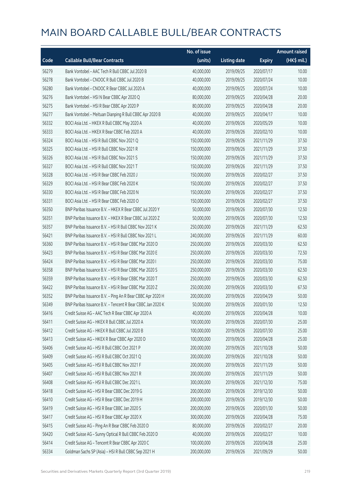|       |                                                            | No. of issue |                     |               | <b>Amount raised</b> |
|-------|------------------------------------------------------------|--------------|---------------------|---------------|----------------------|
| Code  | <b>Callable Bull/Bear Contracts</b>                        | (units)      | <b>Listing date</b> | <b>Expiry</b> | (HK\$ mil.)          |
| 56279 | Bank Vontobel - AAC Tech R Bull CBBC Jul 2020 B            | 40,000,000   | 2019/09/25          | 2020/07/17    | 10.00                |
| 56278 | Bank Vontobel - CNOOC R Bull CBBC Jul 2020 B               | 40,000,000   | 2019/09/25          | 2020/07/24    | 10.00                |
| 56280 | Bank Vontobel - CNOOC R Bear CBBC Jul 2020 A               | 40,000,000   | 2019/09/25          | 2020/07/24    | 10.00                |
| 56276 | Bank Vontobel - HSI N Bear CBBC Apr 2020 Q                 | 80,000,000   | 2019/09/25          | 2020/04/28    | 20.00                |
| 56275 | Bank Vontobel - HSI R Bear CBBC Apr 2020 P                 | 80,000,000   | 2019/09/25          | 2020/04/28    | 20.00                |
| 56277 | Bank Vontobel - Meituan Dianping R Bull CBBC Apr 2020 B    | 40,000,000   | 2019/09/25          | 2020/04/17    | 10.00                |
| 56332 | BOCI Asia Ltd. - HKEX R Bull CBBC May 2020 A               | 40,000,000   | 2019/09/26          | 2020/05/29    | 10.00                |
| 56333 | BOCI Asia Ltd. - HKEX R Bear CBBC Feb 2020 A               | 40,000,000   | 2019/09/26          | 2020/02/10    | 10.00                |
| 56324 | BOCI Asia Ltd. - HSI R Bull CBBC Nov 2021 Q                | 150,000,000  | 2019/09/26          | 2021/11/29    | 37.50                |
| 56325 | BOCI Asia Ltd. - HSI R Bull CBBC Nov 2021 R                | 150,000,000  | 2019/09/26          | 2021/11/29    | 37.50                |
| 56326 | BOCI Asia Ltd. - HSI R Bull CBBC Nov 2021 S                | 150,000,000  | 2019/09/26          | 2021/11/29    | 37.50                |
| 56327 | BOCI Asia Ltd. - HSI R Bull CBBC Nov 2021 T                | 150,000,000  | 2019/09/26          | 2021/11/29    | 37.50                |
| 56328 | BOCI Asia Ltd. - HSI R Bear CBBC Feb 2020 J                | 150,000,000  | 2019/09/26          | 2020/02/27    | 37.50                |
| 56329 | BOCI Asia Ltd. - HSI R Bear CBBC Feb 2020 K                | 150,000,000  | 2019/09/26          | 2020/02/27    | 37.50                |
| 56330 | BOCI Asia Ltd. - HSI R Bear CBBC Feb 2020 N                | 150,000,000  | 2019/09/26          | 2020/02/27    | 37.50                |
| 56331 | BOCI Asia Ltd. - HSI R Bear CBBC Feb 2020 O                | 150,000,000  | 2019/09/26          | 2020/02/27    | 37.50                |
| 56350 | BNP Paribas Issuance B.V. - HKEX R Bear CBBC Jul 2020 Y    | 50,000,000   | 2019/09/26          | 2020/07/30    | 12.50                |
| 56351 | BNP Paribas Issuance B.V. - HKEX R Bear CBBC Jul 2020 Z    | 50,000,000   | 2019/09/26          | 2020/07/30    | 12.50                |
| 56357 | BNP Paribas Issuance B.V. - HSI R Bull CBBC Nov 2021 K     | 250,000,000  | 2019/09/26          | 2021/11/29    | 62.50                |
| 56421 | BNP Paribas Issuance B.V. - HSI R Bull CBBC Nov 2021 L     | 240,000,000  | 2019/09/26          | 2021/11/29    | 60.00                |
| 56360 | BNP Paribas Issuance B.V. - HSI R Bear CBBC Mar 2020 D     | 250,000,000  | 2019/09/26          | 2020/03/30    | 62.50                |
| 56423 | BNP Paribas Issuance B.V. - HSI R Bear CBBC Mar 2020 E     | 250,000,000  | 2019/09/26          | 2020/03/30    | 72.50                |
| 56424 | BNP Paribas Issuance B.V. - HSI R Bear CBBC Mar 2020 I     | 250,000,000  | 2019/09/26          | 2020/03/30    | 75.00                |
| 56358 | BNP Paribas Issuance B.V. - HSI R Bear CBBC Mar 2020 S     | 250,000,000  | 2019/09/26          | 2020/03/30    | 62.50                |
| 56359 | BNP Paribas Issuance B.V. - HSI R Bear CBBC Mar 2020 T     | 250,000,000  | 2019/09/26          | 2020/03/30    | 62.50                |
| 56422 | BNP Paribas Issuance B.V. - HSI R Bear CBBC Mar 2020 Z     | 250,000,000  | 2019/09/26          | 2020/03/30    | 67.50                |
| 56352 | BNP Paribas Issuance B.V. - Ping An R Bear CBBC Apr 2020 H | 200,000,000  | 2019/09/26          | 2020/04/29    | 50.00                |
| 56349 | BNP Paribas Issuance B.V. - Tencent R Bear CBBC Jan 2020 K | 50,000,000   | 2019/09/26          | 2020/01/30    | 12.50                |
| 56416 | Credit Suisse AG - AAC Tech R Bear CBBC Apr 2020 A         | 40,000,000   | 2019/09/26          | 2020/04/28    | 10.00                |
| 56411 | Credit Suisse AG - HKEX R Bull CBBC Jul 2020 A             | 100,000,000  | 2019/09/26          | 2020/07/30    | 25.00                |
| 56412 | Credit Suisse AG - HKEX R Bull CBBC Jul 2020 B             | 100,000,000  | 2019/09/26          | 2020/07/30    | 25.00                |
| 56413 | Credit Suisse AG - HKEX R Bear CBBC Apr 2020 D             | 100,000,000  | 2019/09/26          | 2020/04/28    | 25.00                |
| 56406 | Credit Suisse AG - HSI R Bull CBBC Oct 2021 P              | 200,000,000  | 2019/09/26          | 2021/10/28    | 50.00                |
| 56409 | Credit Suisse AG - HSI R Bull CBBC Oct 2021 Q              | 200,000,000  | 2019/09/26          | 2021/10/28    | 50.00                |
| 56405 | Credit Suisse AG - HSI R Bull CBBC Nov 2021 F              | 200,000,000  | 2019/09/26          | 2021/11/29    | 50.00                |
| 56407 | Credit Suisse AG - HSI R Bull CBBC Nov 2021 R              | 200,000,000  | 2019/09/26          | 2021/11/29    | 50.00                |
| 56408 | Credit Suisse AG - HSI R Bull CBBC Dec 2021 L              | 300,000,000  | 2019/09/26          | 2021/12/30    | 75.00                |
| 56418 | Credit Suisse AG - HSI R Bear CBBC Dec 2019 G              | 200,000,000  | 2019/09/26          | 2019/12/30    | 50.00                |
| 56410 | Credit Suisse AG - HSI R Bear CBBC Dec 2019 H              | 200,000,000  | 2019/09/26          | 2019/12/30    | 50.00                |
| 56419 | Credit Suisse AG - HSI R Bear CBBC Jan 2020 S              | 200,000,000  | 2019/09/26          | 2020/01/30    | 50.00                |
| 56417 | Credit Suisse AG - HSI R Bear CBBC Apr 2020 X              | 300,000,000  | 2019/09/26          | 2020/04/28    | 75.00                |
| 56415 | Credit Suisse AG - Ping An R Bear CBBC Feb 2020 D          | 80,000,000   | 2019/09/26          | 2020/02/27    | 20.00                |
| 56420 | Credit Suisse AG - Sunny Optical R Bull CBBC Feb 2020 D    | 40,000,000   | 2019/09/26          | 2020/02/27    | 10.00                |
| 56414 | Credit Suisse AG - Tencent R Bear CBBC Apr 2020 C          | 100,000,000  | 2019/09/26          | 2020/04/28    | 25.00                |
| 56334 | Goldman Sachs SP (Asia) - HSI R Bull CBBC Sep 2021 H       | 200,000,000  | 2019/09/26          | 2021/09/29    | 50.00                |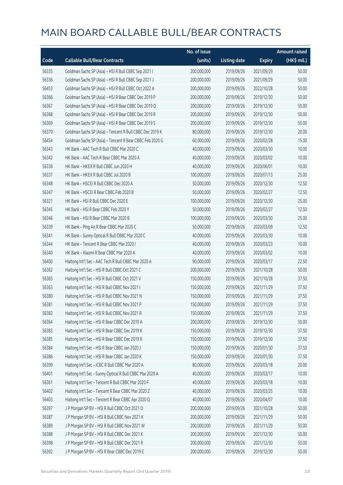|       |                                                          | No. of issue |                     |               | <b>Amount raised</b> |
|-------|----------------------------------------------------------|--------------|---------------------|---------------|----------------------|
| Code  | <b>Callable Bull/Bear Contracts</b>                      | (units)      | <b>Listing date</b> | <b>Expiry</b> | (HK\$ mil.)          |
| 56335 | Goldman Sachs SP (Asia) - HSI R Bull CBBC Sep 2021 I     | 200,000,000  | 2019/09/26          | 2021/09/29    | 50.00                |
| 56336 | Goldman Sachs SP (Asia) - HSI R Bull CBBC Sep 2021 J     | 200,000,000  | 2019/09/26          | 2021/09/29    | 50.00                |
| 56453 | Goldman Sachs SP (Asia) - HSI R Bull CBBC Oct 2022 A     | 200,000,000  | 2019/09/26          | 2022/10/28    | 50.00                |
| 56366 | Goldman Sachs SP (Asia) - HSI R Bear CBBC Dec 2019 P     | 200,000,000  | 2019/09/26          | 2019/12/30    | 50.00                |
| 56367 | Goldman Sachs SP (Asia) - HSI R Bear CBBC Dec 2019 Q     | 200,000,000  | 2019/09/26          | 2019/12/30    | 50.00                |
| 56368 | Goldman Sachs SP (Asia) - HSI R Bear CBBC Dec 2019 R     | 200,000,000  | 2019/09/26          | 2019/12/30    | 50.00                |
| 56369 | Goldman Sachs SP (Asia) - HSI R Bear CBBC Dec 2019 S     | 200,000,000  | 2019/09/26          | 2019/12/30    | 50.00                |
| 56370 | Goldman Sachs SP (Asia) - Tencent R Bull CBBC Dec 2019 K | 80,000,000   | 2019/09/26          | 2019/12/30    | 20.00                |
| 56454 | Goldman Sachs SP (Asia) - Tencent R Bear CBBC Feb 2020 G | 60,000,000   | 2019/09/26          | 2020/02/28    | 15.00                |
| 56343 | HK Bank - AAC Tech R Bull CBBC Mar 2020 C                | 40,000,000   | 2019/09/26          | 2020/03/30    | 10.00                |
| 56342 | HK Bank - AAC Tech R Bear CBBC Mar 2020 A                | 40,000,000   | 2019/09/26          | 2020/03/02    | 10.00                |
| 56338 | HK Bank - HKEX R Bull CBBC Jun 2020 H                    | 40,000,000   | 2019/09/26          | 2020/06/01    | 10.00                |
| 56337 | HK Bank - HKEX R Bull CBBC Jul 2020 B                    | 100,000,000  | 2019/09/26          | 2020/07/13    | 25.00                |
| 56348 | HK Bank - HSCEI R Bull CBBC Dec 2020 A                   | 50,000,000   | 2019/09/26          | 2020/12/30    | 12.50                |
| 56347 | HK Bank - HSCEI R Bear CBBC Feb 2020 B                   | 50,000,000   | 2019/09/26          | 2020/02/27    | 12.50                |
| 56321 | HK Bank - HSI R Bull CBBC Dec 2020 E                     | 100,000,000  | 2019/09/26          | 2020/12/30    | 25.00                |
| 56345 | HK Bank - HSI R Bear CBBC Feb 2020 Y                     | 50,000,000   | 2019/09/26          | 2020/02/27    | 12.50                |
| 56346 | HK Bank - HSI R Bear CBBC Mar 2020 B                     | 100,000,000  | 2019/09/26          | 2020/03/30    | 25.00                |
| 56339 | HK Bank - Ping An R Bear CBBC Mar 2020 C                 | 50,000,000   | 2019/09/26          | 2020/03/09    | 12.50                |
| 56341 | HK Bank - Sunny Optical R Bull CBBC Mar 2020 C           | 40,000,000   | 2019/09/26          | 2020/03/30    | 10.00                |
| 56344 | HK Bank - Tencent R Bear CBBC Mar 2020 I                 | 40,000,000   | 2019/09/26          | 2020/03/23    | 10.00                |
| 56340 | HK Bank - Xiaomi R Bear CBBC Mar 2020 A                  | 40,000,000   | 2019/09/26          | 2020/03/02    | 10.00                |
| 56400 | Haitong Int'l Sec - AAC Tech R Bull CBBC Mar 2020 A      | 90,000,000   | 2019/09/26          | 2020/03/17    | 22.50                |
| 56362 | Haitong Int'l Sec - HSI R Bull CBBC Oct 2021 C           | 200,000,000  | 2019/09/26          | 2021/10/28    | 50.00                |
| 56365 | Haitong Int'l Sec - HSI R Bull CBBC Oct 2021 V           | 150,000,000  | 2019/09/26          | 2021/10/28    | 37.50                |
| 56363 | Haitong Int'l Sec - HSI R Bull CBBC Nov 2021 I           | 150,000,000  | 2019/09/26          | 2021/11/29    | 37.50                |
| 56380 | Haitong Int'l Sec - HSI R Bull CBBC Nov 2021 N           | 150,000,000  | 2019/09/26          | 2021/11/29    | 37.50                |
| 56381 | Haitong Int'l Sec - HSI R Bull CBBC Nov 2021 P           | 150,000,000  | 2019/09/26          | 2021/11/29    | 37.50                |
| 56382 | Haitong Int'l Sec - HSI R Bull CBBC Nov 2021 R           | 150,000,000  | 2019/09/26          | 2021/11/29    | 37.50                |
| 56364 | Haitong Int'l Sec - HSI R Bear CBBC Dec 2019 A           | 200,000,000  | 2019/09/26          | 2019/12/30    | 50.00                |
| 56383 | Haitong Int'l Sec - HSI R Bear CBBC Dec 2019 K           | 150,000,000  | 2019/09/26          | 2019/12/30    | 37.50                |
| 56385 | Haitong Int'l Sec - HSI R Bear CBBC Dec 2019 R           | 150,000,000  | 2019/09/26          | 2019/12/30    | 37.50                |
| 56384 | Haitong Int'l Sec - HSI R Bear CBBC Jan 2020 J           | 150,000,000  | 2019/09/26          | 2020/01/30    | 37.50                |
| 56386 | Haitong Int'l Sec - HSI R Bear CBBC Jan 2020 K           | 150,000,000  | 2019/09/26          | 2020/01/30    | 37.50                |
| 56399 | Haitong Int'l Sec - ICBC R Bull CBBC Mar 2020 A          | 80,000,000   | 2019/09/26          | 2020/03/18    | 20.00                |
| 56401 | Haitong Int'l Sec - Sunny Optical R Bull CBBC Mar 2020 A | 40,000,000   | 2019/09/26          | 2020/03/17    | 10.00                |
| 56361 | Haitong Int'l Sec - Tencent R Bull CBBC Mar 2020 F       | 40,000,000   | 2019/09/26          | 2020/03/18    | 10.00                |
| 56402 | Haitong Int'l Sec - Tencent R Bear CBBC Mar 2020 Z       | 40,000,000   | 2019/09/26          | 2020/03/25    | 10.00                |
| 56403 | Haitong Int'l Sec - Tencent R Bear CBBC Apr 2020 Q       | 40,000,000   | 2019/09/26          | 2020/04/07    | 10.00                |
| 56397 | J P Morgan SP BV - HSI R Bull CBBC Oct 2021 O            | 200,000,000  | 2019/09/26          | 2021/10/28    | 50.00                |
| 56387 | J P Morgan SP BV - HSI R Bull CBBC Nov 2021 K            | 200,000,000  | 2019/09/26          | 2021/11/29    | 50.00                |
| 56389 | J P Morgan SP BV - HSI R Bull CBBC Nov 2021 W            | 200,000,000  | 2019/09/26          | 2021/11/29    | 50.00                |
| 56388 | J P Morgan SP BV - HSI R Bull CBBC Dec 2021 K            | 200,000,000  | 2019/09/26          | 2021/12/30    | 50.00                |
| 56398 | J P Morgan SP BV - HSI R Bull CBBC Dec 2021 R            | 200,000,000  | 2019/09/26          | 2021/12/30    | 50.00                |
| 56392 | J P Morgan SP BV - HSI R Bear CBBC Dec 2019 E            | 200,000,000  | 2019/09/26          | 2019/12/30    | 50.00                |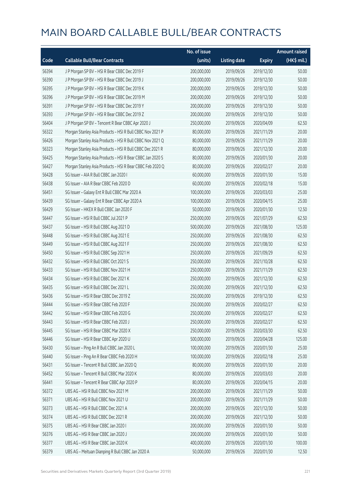|       |                                                           | No. of issue |                     |               | <b>Amount raised</b> |
|-------|-----------------------------------------------------------|--------------|---------------------|---------------|----------------------|
| Code  | <b>Callable Bull/Bear Contracts</b>                       | (units)      | <b>Listing date</b> | <b>Expiry</b> | (HK\$ mil.)          |
| 56394 | J P Morgan SP BV - HSI R Bear CBBC Dec 2019 F             | 200,000,000  | 2019/09/26          | 2019/12/30    | 50.00                |
| 56390 | J P Morgan SP BV - HSI R Bear CBBC Dec 2019 J             | 200,000,000  | 2019/09/26          | 2019/12/30    | 50.00                |
| 56395 | J P Morgan SP BV - HSI R Bear CBBC Dec 2019 K             | 200,000,000  | 2019/09/26          | 2019/12/30    | 50.00                |
| 56396 | J P Morgan SP BV - HSI R Bear CBBC Dec 2019 M             | 200,000,000  | 2019/09/26          | 2019/12/30    | 50.00                |
| 56391 | J P Morgan SP BV - HSI R Bear CBBC Dec 2019 Y             | 200,000,000  | 2019/09/26          | 2019/12/30    | 50.00                |
| 56393 | J P Morgan SP BV - HSI R Bear CBBC Dec 2019 Z             | 200,000,000  | 2019/09/26          | 2019/12/30    | 50.00                |
| 56404 | J P Morgan SP BV - Tencent R Bear CBBC Apr 2020 J         | 250,000,000  | 2019/09/26          | 2020/04/09    | 62.50                |
| 56322 | Morgan Stanley Asia Products - HSI R Bull CBBC Nov 2021 P | 80,000,000   | 2019/09/26          | 2021/11/29    | 20.00                |
| 56426 | Morgan Stanley Asia Products - HSI R Bull CBBC Nov 2021 Q | 80,000,000   | 2019/09/26          | 2021/11/29    | 20.00                |
| 56323 | Morgan Stanley Asia Products - HSI R Bull CBBC Dec 2021 R | 80,000,000   | 2019/09/26          | 2021/12/30    | 20.00                |
| 56425 | Morgan Stanley Asia Products - HSI R Bear CBBC Jan 2020 S | 80,000,000   | 2019/09/26          | 2020/01/30    | 20.00                |
| 56427 | Morgan Stanley Asia Products - HSI R Bear CBBC Feb 2020 Q | 80,000,000   | 2019/09/26          | 2020/02/27    | 20.00                |
| 56428 | SG Issuer - AIA R Bull CBBC Jan 2020 I                    | 60,000,000   | 2019/09/26          | 2020/01/30    | 15.00                |
| 56438 | SG Issuer - AIA R Bear CBBC Feb 2020 D                    | 60,000,000   | 2019/09/26          | 2020/02/18    | 15.00                |
| 56451 | SG Issuer - Galaxy Ent R Bull CBBC Mar 2020 A             | 100,000,000  | 2019/09/26          | 2020/03/03    | 25.00                |
| 56439 | SG Issuer - Galaxy Ent R Bear CBBC Apr 2020 A             | 100,000,000  | 2019/09/26          | 2020/04/15    | 25.00                |
| 56429 | SG Issuer - HKEX R Bull CBBC Jan 2020 F                   | 50,000,000   | 2019/09/26          | 2020/01/30    | 12.50                |
| 56447 | SG Issuer - HSI R Bull CBBC Jul 2021 P                    | 250,000,000  | 2019/09/26          | 2021/07/29    | 62.50                |
| 56437 | SG Issuer - HSI R Bull CBBC Aug 2021 D                    | 500,000,000  | 2019/09/26          | 2021/08/30    | 125.00               |
| 56448 | SG Issuer - HSI R Bull CBBC Aug 2021 E                    | 250,000,000  | 2019/09/26          | 2021/08/30    | 62.50                |
| 56449 | SG Issuer - HSI R Bull CBBC Aug 2021 F                    | 250,000,000  | 2019/09/26          | 2021/08/30    | 62.50                |
| 56450 | SG Issuer - HSI R Bull CBBC Sep 2021 H                    | 250,000,000  | 2019/09/26          | 2021/09/29    | 62.50                |
| 56432 | SG Issuer - HSI R Bull CBBC Oct 2021 S                    | 250,000,000  | 2019/09/26          | 2021/10/28    | 62.50                |
| 56433 | SG Issuer - HSI R Bull CBBC Nov 2021 H                    | 250,000,000  | 2019/09/26          | 2021/11/29    | 62.50                |
| 56434 | SG Issuer - HSI R Bull CBBC Dec 2021 K                    | 250,000,000  | 2019/09/26          | 2021/12/30    | 62.50                |
| 56435 | SG Issuer - HSI R Bull CBBC Dec 2021 L                    | 250,000,000  | 2019/09/26          | 2021/12/30    | 62.50                |
| 56436 | SG Issuer - HSI R Bear CBBC Dec 2019 Z                    | 250,000,000  | 2019/09/26          | 2019/12/30    | 62.50                |
| 56444 | SG Issuer - HSI R Bear CBBC Feb 2020 F                    | 250,000,000  | 2019/09/26          | 2020/02/27    | 62.50                |
| 56442 | SG Issuer - HSI R Bear CBBC Feb 2020 G                    | 250,000,000  | 2019/09/26          | 2020/02/27    | 62.50                |
| 56443 | SG Issuer - HSI R Bear CBBC Feb 2020 J                    | 250,000,000  | 2019/09/26          | 2020/02/27    | 62.50                |
| 56445 | SG Issuer - HSI R Bear CBBC Mar 2020 X                    | 250,000,000  | 2019/09/26          | 2020/03/30    | 62.50                |
| 56446 | SG Issuer - HSI R Bear CBBC Apr 2020 U                    | 500,000,000  | 2019/09/26          | 2020/04/28    | 125.00               |
| 56430 | SG Issuer - Ping An R Bull CBBC Jan 2020 L                | 100,000,000  | 2019/09/26          | 2020/01/30    | 25.00                |
| 56440 | SG Issuer - Ping An R Bear CBBC Feb 2020 H                | 100,000,000  | 2019/09/26          | 2020/02/18    | 25.00                |
| 56431 | SG Issuer - Tencent R Bull CBBC Jan 2020 Q                | 80,000,000   | 2019/09/26          | 2020/01/30    | 20.00                |
| 56452 | SG Issuer - Tencent R Bull CBBC Mar 2020 K                | 80,000,000   | 2019/09/26          | 2020/03/03    | 20.00                |
| 56441 | SG Issuer - Tencent R Bear CBBC Apr 2020 P                | 80,000,000   | 2019/09/26          | 2020/04/15    | 20.00                |
| 56372 | UBS AG - HSI R Bull CBBC Nov 2021 M                       | 200,000,000  | 2019/09/26          | 2021/11/29    | 50.00                |
| 56371 | UBS AG - HSI R Bull CBBC Nov 2021 U                       | 200,000,000  | 2019/09/26          | 2021/11/29    | 50.00                |
| 56373 | UBS AG - HSI R Bull CBBC Dec 2021 A                       | 200,000,000  | 2019/09/26          | 2021/12/30    | 50.00                |
| 56374 | UBS AG - HSI R Bull CBBC Dec 2021 R                       | 200,000,000  | 2019/09/26          | 2021/12/30    | 50.00                |
| 56375 | UBS AG - HSI R Bear CBBC Jan 2020 I                       | 200,000,000  | 2019/09/26          | 2020/01/30    | 50.00                |
| 56376 | UBS AG - HSI R Bear CBBC Jan 2020 J                       | 200,000,000  | 2019/09/26          | 2020/01/30    | 50.00                |
| 56377 | UBS AG - HSI R Bear CBBC Jan 2020 K                       | 400,000,000  | 2019/09/26          | 2020/01/30    | 100.00               |
| 56379 | UBS AG - Meituan Dianping R Bull CBBC Jan 2020 A          | 50,000,000   | 2019/09/26          | 2020/01/30    | 12.50                |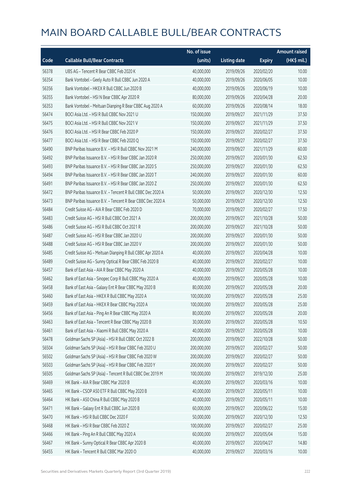|       |                                                            | No. of issue |                     |               | <b>Amount raised</b> |
|-------|------------------------------------------------------------|--------------|---------------------|---------------|----------------------|
| Code  | <b>Callable Bull/Bear Contracts</b>                        | (units)      | <b>Listing date</b> | <b>Expiry</b> | (HK\$ mil.)          |
| 56378 | UBS AG - Tencent R Bear CBBC Feb 2020 K                    | 40,000,000   | 2019/09/26          | 2020/02/20    | 10.00                |
| 56354 | Bank Vontobel - Geely Auto R Bull CBBC Jun 2020 A          | 40,000,000   | 2019/09/26          | 2020/06/05    | 10.00                |
| 56356 | Bank Vontobel - HKEX R Bull CBBC Jun 2020 B                | 40,000,000   | 2019/09/26          | 2020/06/19    | 10.00                |
| 56355 | Bank Vontobel - HSI N Bear CBBC Apr 2020 R                 | 80,000,000   | 2019/09/26          | 2020/04/28    | 20.00                |
| 56353 | Bank Vontobel - Meituan Dianping R Bear CBBC Aug 2020 A    | 60,000,000   | 2019/09/26          | 2020/08/14    | 18.00                |
| 56474 | BOCI Asia Ltd. - HSI R Bull CBBC Nov 2021 U                | 150,000,000  | 2019/09/27          | 2021/11/29    | 37.50                |
| 56475 | BOCI Asia Ltd. - HSI R Bull CBBC Nov 2021 V                | 150,000,000  | 2019/09/27          | 2021/11/29    | 37.50                |
| 56476 | BOCI Asia Ltd. - HSI R Bear CBBC Feb 2020 P                | 150,000,000  | 2019/09/27          | 2020/02/27    | 37.50                |
| 56477 | BOCI Asia Ltd. - HSI R Bear CBBC Feb 2020 Q                | 150,000,000  | 2019/09/27          | 2020/02/27    | 37.50                |
| 56490 | BNP Paribas Issuance B.V. - HSI R Bull CBBC Nov 2021 M     | 240,000,000  | 2019/09/27          | 2021/11/29    | 60.00                |
| 56492 | BNP Paribas Issuance B.V. - HSI R Bear CBBC Jan 2020 R     | 250,000,000  | 2019/09/27          | 2020/01/30    | 62.50                |
| 56493 | BNP Paribas Issuance B.V. - HSI R Bear CBBC Jan 2020 S     | 250,000,000  | 2019/09/27          | 2020/01/30    | 62.50                |
| 56494 | BNP Paribas Issuance B.V. - HSI R Bear CBBC Jan 2020 T     | 240,000,000  | 2019/09/27          | 2020/01/30    | 60.00                |
| 56491 | BNP Paribas Issuance B.V. - HSI R Bear CBBC Jan 2020 Z     | 250,000,000  | 2019/09/27          | 2020/01/30    | 62.50                |
| 56472 | BNP Paribas Issuance B.V. - Tencent R Bull CBBC Dec 2020 A | 50,000,000   | 2019/09/27          | 2020/12/30    | 12.50                |
| 56473 | BNP Paribas Issuance B.V. - Tencent R Bear CBBC Dec 2020 A | 50,000,000   | 2019/09/27          | 2020/12/30    | 12.50                |
| 56484 | Credit Suisse AG - AIA R Bear CBBC Feb 2020 D              | 70,000,000   | 2019/09/27          | 2020/02/27    | 17.50                |
| 56483 | Credit Suisse AG - HSI R Bull CBBC Oct 2021 A              | 200,000,000  | 2019/09/27          | 2021/10/28    | 50.00                |
| 56486 | Credit Suisse AG - HSI R Bull CBBC Oct 2021 R              | 200,000,000  | 2019/09/27          | 2021/10/28    | 50.00                |
| 56487 | Credit Suisse AG - HSI R Bear CBBC Jan 2020 U              | 200,000,000  | 2019/09/27          | 2020/01/30    | 50.00                |
| 56488 | Credit Suisse AG - HSI R Bear CBBC Jan 2020 V              | 200,000,000  | 2019/09/27          | 2020/01/30    | 50.00                |
| 56485 | Credit Suisse AG - Meituan Dianping R Bull CBBC Apr 2020 A | 40,000,000   | 2019/09/27          | 2020/04/28    | 10.00                |
| 56489 | Credit Suisse AG - Sunny Optical R Bear CBBC Feb 2020 B    | 40,000,000   | 2019/09/27          | 2020/02/27    | 10.00                |
| 56457 | Bank of East Asia - AIA R Bear CBBC May 2020 A             | 40,000,000   | 2019/09/27          | 2020/05/28    | 10.00                |
| 56462 | Bank of East Asia - Sinopec Corp R Bull CBBC May 2020 A    | 40,000,000   | 2019/09/27          | 2020/05/28    | 10.00                |
| 56458 | Bank of East Asia - Galaxy Ent R Bear CBBC May 2020 B      | 80,000,000   | 2019/09/27          | 2020/05/28    | 20.00                |
| 56460 | Bank of East Asia - HKEX R Bull CBBC May 2020 A            | 100,000,000  | 2019/09/27          | 2020/05/28    | 25.00                |
| 56459 | Bank of East Asia - HKEX R Bear CBBC May 2020 A            | 100,000,000  | 2019/09/27          | 2020/05/28    | 25.00                |
| 56456 | Bank of East Asia - Ping An R Bear CBBC May 2020 A         | 80,000,000   | 2019/09/27          | 2020/05/28    | 20.00                |
| 56463 | Bank of East Asia - Tencent R Bear CBBC May 2020 B         | 30,000,000   | 2019/09/27          | 2020/05/28    | 10.50                |
| 56461 | Bank of East Asia - Xiaomi R Bull CBBC May 2020 A          | 40,000,000   | 2019/09/27          | 2020/05/28    | 10.00                |
| 56478 | Goldman Sachs SP (Asia) - HSI R Bull CBBC Oct 2022 B       | 200,000,000  | 2019/09/27          | 2022/10/28    | 50.00                |
| 56504 | Goldman Sachs SP (Asia) - HSI R Bear CBBC Feb 2020 U       | 200,000,000  | 2019/09/27          | 2020/02/27    | 50.00                |
| 56502 | Goldman Sachs SP (Asia) - HSI R Bear CBBC Feb 2020 W       | 200,000,000  | 2019/09/27          | 2020/02/27    | 50.00                |
| 56503 | Goldman Sachs SP (Asia) - HSI R Bear CBBC Feb 2020 Y       | 200,000,000  | 2019/09/27          | 2020/02/27    | 50.00                |
| 56505 | Goldman Sachs SP (Asia) - Tencent R Bull CBBC Dec 2019 M   | 100,000,000  | 2019/09/27          | 2019/12/30    | 25.00                |
| 56469 | HK Bank - AIA R Bear CBBC Mar 2020 B                       | 40,000,000   | 2019/09/27          | 2020/03/16    | 10.00                |
| 56465 | HK Bank - CSOP A50 ETF R Bull CBBC May 2020 B              | 40,000,000   | 2019/09/27          | 2020/05/11    | 10.00                |
| 56464 | HK Bank - A50 China R Bull CBBC May 2020 B                 | 40,000,000   | 2019/09/27          | 2020/05/11    | 10.00                |
| 56471 | HK Bank - Galaxy Ent R Bull CBBC Jun 2020 B                | 60,000,000   | 2019/09/27          | 2020/06/22    | 15.00                |
| 56470 | HK Bank - HSI R Bull CBBC Dec 2020 F                       | 50,000,000   | 2019/09/27          | 2020/12/30    | 12.50                |
| 56468 | HK Bank - HSI R Bear CBBC Feb 2020 Z                       | 100,000,000  | 2019/09/27          | 2020/02/27    | 25.00                |
| 56466 | HK Bank - Ping An R Bull CBBC May 2020 A                   | 60,000,000   | 2019/09/27          | 2020/05/04    | 15.00                |
| 56467 | HK Bank - Sunny Optical R Bear CBBC Apr 2020 B             | 40,000,000   | 2019/09/27          | 2020/04/27    | 14.80                |
| 56455 | HK Bank - Tencent R Bull CBBC Mar 2020 O                   | 40,000,000   | 2019/09/27          | 2020/03/16    | 10.00                |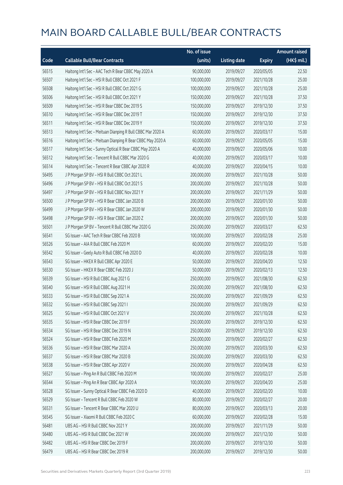|       |                                                             | No. of issue |                     |               | <b>Amount raised</b> |
|-------|-------------------------------------------------------------|--------------|---------------------|---------------|----------------------|
| Code  | <b>Callable Bull/Bear Contracts</b>                         | (units)      | <b>Listing date</b> | <b>Expiry</b> | (HK\$ mil.)          |
| 56515 | Haitong Int'l Sec - AAC Tech R Bear CBBC May 2020 A         | 90,000,000   | 2019/09/27          | 2020/05/05    | 22.50                |
| 56507 | Haitong Int'l Sec - HSI R Bull CBBC Oct 2021 F              | 100,000,000  | 2019/09/27          | 2021/10/28    | 25.00                |
| 56508 | Haitong Int'l Sec - HSI R Bull CBBC Oct 2021 G              | 100,000,000  | 2019/09/27          | 2021/10/28    | 25.00                |
| 56506 | Haitong Int'l Sec - HSI R Bull CBBC Oct 2021 Y              | 150,000,000  | 2019/09/27          | 2021/10/28    | 37.50                |
| 56509 | Haitong Int'l Sec - HSI R Bear CBBC Dec 2019 S              | 150,000,000  | 2019/09/27          | 2019/12/30    | 37.50                |
| 56510 | Haitong Int'l Sec - HSI R Bear CBBC Dec 2019 T              | 150,000,000  | 2019/09/27          | 2019/12/30    | 37.50                |
| 56511 | Haitong Int'l Sec - HSI R Bear CBBC Dec 2019 Y              | 150,000,000  | 2019/09/27          | 2019/12/30    | 37.50                |
| 56513 | Haitong Int'l Sec - Meituan Dianping R Bull CBBC Mar 2020 A | 60,000,000   | 2019/09/27          | 2020/03/17    | 15.00                |
| 56516 | Haitong Int'l Sec - Meituan Dianping R Bear CBBC May 2020 A | 60,000,000   | 2019/09/27          | 2020/05/05    | 15.00                |
| 56517 | Haitong Int'l Sec - Sunny Optical R Bear CBBC May 2020 A    | 40,000,000   | 2019/09/27          | 2020/05/06    | 10.00                |
| 56512 | Haitong Int'l Sec - Tencent R Bull CBBC Mar 2020 G          | 40,000,000   | 2019/09/27          | 2020/03/17    | 10.00                |
| 56514 | Haitong Int'l Sec - Tencent R Bear CBBC Apr 2020 R          | 40,000,000   | 2019/09/27          | 2020/04/15    | 10.00                |
| 56495 | J P Morgan SP BV - HSI R Bull CBBC Oct 2021 L               | 200,000,000  | 2019/09/27          | 2021/10/28    | 50.00                |
| 56496 | JP Morgan SP BV - HSIR Bull CBBC Oct 2021 S                 | 200,000,000  | 2019/09/27          | 2021/10/28    | 50.00                |
| 56497 | J P Morgan SP BV - HSI R Bull CBBC Nov 2021 Y               | 200,000,000  | 2019/09/27          | 2021/11/29    | 50.00                |
| 56500 | J P Morgan SP BV - HSI R Bear CBBC Jan 2020 B               | 200,000,000  | 2019/09/27          | 2020/01/30    | 50.00                |
| 56499 | J P Morgan SP BV - HSI R Bear CBBC Jan 2020 W               | 200,000,000  | 2019/09/27          | 2020/01/30    | 50.00                |
| 56498 | J P Morgan SP BV - HSI R Bear CBBC Jan 2020 Z               | 200,000,000  | 2019/09/27          | 2020/01/30    | 50.00                |
| 56501 | J P Morgan SP BV - Tencent R Bull CBBC Mar 2020 G           | 250,000,000  | 2019/09/27          | 2020/03/27    | 62.50                |
| 56541 | SG Issuer - AAC Tech R Bear CBBC Feb 2020 B                 | 100,000,000  | 2019/09/27          | 2020/02/28    | 25.00                |
| 56526 | SG Issuer - AIA R Bull CBBC Feb 2020 M                      | 60,000,000   | 2019/09/27          | 2020/02/20    | 15.00                |
| 56542 | SG Issuer - Geely Auto R Bull CBBC Feb 2020 D               | 40,000,000   | 2019/09/27          | 2020/02/28    | 10.00                |
| 56543 | SG Issuer - HKEX R Bull CBBC Apr 2020 E                     | 50,000,000   | 2019/09/27          | 2020/04/20    | 12.50                |
| 56530 | SG Issuer - HKEX R Bear CBBC Feb 2020 J                     | 50,000,000   | 2019/09/27          | 2020/02/13    | 12.50                |
| 56539 | SG Issuer - HSI R Bull CBBC Aug 2021 G                      | 250,000,000  | 2019/09/27          | 2021/08/30    | 62.50                |
| 56540 | SG Issuer - HSI R Bull CBBC Aug 2021 H                      | 250,000,000  | 2019/09/27          | 2021/08/30    | 62.50                |
| 56533 | SG Issuer - HSI R Bull CBBC Sep 2021 A                      | 250,000,000  | 2019/09/27          | 2021/09/29    | 62.50                |
| 56532 | SG Issuer - HSI R Bull CBBC Sep 2021 I                      | 250,000,000  | 2019/09/27          | 2021/09/29    | 62.50                |
| 56525 | SG Issuer - HSI R Bull CBBC Oct 2021 V                      | 250,000,000  | 2019/09/27          | 2021/10/28    | 62.50                |
| 56535 | SG Issuer - HSI R Bear CBBC Dec 2019 F                      | 250,000,000  | 2019/09/27          | 2019/12/30    | 62.50                |
| 56534 | SG Issuer - HSI R Bear CBBC Dec 2019 N                      | 250,000,000  | 2019/09/27          | 2019/12/30    | 62.50                |
| 56524 | SG Issuer - HSI R Bear CBBC Feb 2020 M                      | 250,000,000  | 2019/09/27          | 2020/02/27    | 62.50                |
| 56536 | SG Issuer - HSI R Bear CBBC Mar 2020 A                      | 250,000,000  | 2019/09/27          | 2020/03/30    | 62.50                |
| 56537 | SG Issuer - HSI R Bear CBBC Mar 2020 B                      | 250,000,000  | 2019/09/27          | 2020/03/30    | 62.50                |
| 56538 | SG Issuer - HSI R Bear CBBC Apr 2020 V                      | 250,000,000  | 2019/09/27          | 2020/04/28    | 62.50                |
| 56527 | SG Issuer - Ping An R Bull CBBC Feb 2020 M                  | 100,000,000  | 2019/09/27          | 2020/02/27    | 25.00                |
| 56544 | SG Issuer - Ping An R Bear CBBC Apr 2020 A                  | 100,000,000  | 2019/09/27          | 2020/04/20    | 25.00                |
| 56528 | SG Issuer - Sunny Optical R Bear CBBC Feb 2020 D            | 40,000,000   | 2019/09/27          | 2020/02/20    | 10.00                |
| 56529 | SG Issuer - Tencent R Bull CBBC Feb 2020 W                  | 80,000,000   | 2019/09/27          | 2020/02/27    | 20.00                |
| 56531 | SG Issuer - Tencent R Bear CBBC Mar 2020 U                  | 80,000,000   | 2019/09/27          | 2020/03/13    | 20.00                |
| 56545 | SG Issuer - Xiaomi R Bull CBBC Feb 2020 C                   | 60,000,000   | 2019/09/27          | 2020/02/28    | 15.00                |
| 56481 | UBS AG - HSI R Bull CBBC Nov 2021 Y                         | 200,000,000  | 2019/09/27          | 2021/11/29    | 50.00                |
| 56480 | UBS AG - HSI R Bull CBBC Dec 2021 W                         | 200,000,000  | 2019/09/27          | 2021/12/30    | 50.00                |
| 56482 | UBS AG - HSI R Bear CBBC Dec 2019 F                         | 200,000,000  | 2019/09/27          | 2019/12/30    | 50.00                |
| 56479 | UBS AG - HSI R Bear CBBC Dec 2019 R                         | 200,000,000  | 2019/09/27          | 2019/12/30    | 50.00                |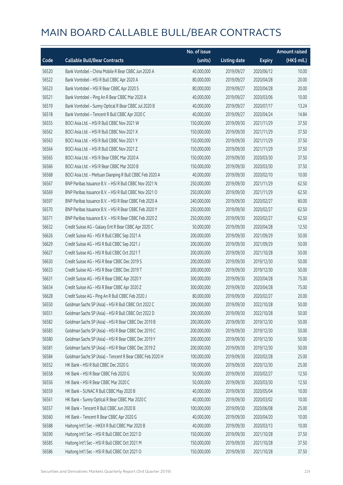|       |                                                          | No. of issue |                     |               | <b>Amount raised</b> |
|-------|----------------------------------------------------------|--------------|---------------------|---------------|----------------------|
| Code  | <b>Callable Bull/Bear Contracts</b>                      | (units)      | <b>Listing date</b> | <b>Expiry</b> | (HK\$ mil.)          |
| 56520 | Bank Vontobel - China Mobile R Bear CBBC Jun 2020 A      | 40,000,000   | 2019/09/27          | 2020/06/12    | 10.00                |
| 56522 | Bank Vontobel - HSI R Bull CBBC Apr 2020 A               | 80,000,000   | 2019/09/27          | 2020/04/28    | 20.00                |
| 56523 | Bank Vontobel - HSI R Bear CBBC Apr 2020 S               | 80,000,000   | 2019/09/27          | 2020/04/28    | 20.00                |
| 56521 | Bank Vontobel - Ping An R Bear CBBC Mar 2020 A           | 40,000,000   | 2019/09/27          | 2020/03/06    | 10.00                |
| 56519 | Bank Vontobel - Sunny Optical R Bear CBBC Jul 2020 B     | 40,000,000   | 2019/09/27          | 2020/07/17    | 13.24                |
| 56518 | Bank Vontobel - Tencent R Bull CBBC Apr 2020 C           | 40,000,000   | 2019/09/27          | 2020/04/24    | 14.84                |
| 56555 | BOCI Asia Ltd. - HSI R Bull CBBC Nov 2021 W              | 150,000,000  | 2019/09/30          | 2021/11/29    | 37.50                |
| 56562 | BOCI Asia Ltd. - HSI R Bull CBBC Nov 2021 X              | 150,000,000  | 2019/09/30          | 2021/11/29    | 37.50                |
| 56563 | BOCI Asia Ltd. - HSI R Bull CBBC Nov 2021 Y              | 150,000,000  | 2019/09/30          | 2021/11/29    | 37.50                |
| 56564 | BOCI Asia Ltd. - HSI R Bull CBBC Nov 2021 Z              | 150,000,000  | 2019/09/30          | 2021/11/29    | 37.50                |
| 56565 | BOCI Asia Ltd. - HSI R Bear CBBC Mar 2020 A              | 150,000,000  | 2019/09/30          | 2020/03/30    | 37.50                |
| 56566 | BOCI Asia Ltd. - HSI R Bear CBBC Mar 2020 B              | 150,000,000  | 2019/09/30          | 2020/03/30    | 37.50                |
| 56568 | BOCI Asia Ltd. - Meituan Dianping R Bull CBBC Feb 2020 A | 40,000,000   | 2019/09/30          | 2020/02/10    | 10.00                |
| 56567 | BNP Paribas Issuance B.V. - HSI R Bull CBBC Nov 2021 N   | 250,000,000  | 2019/09/30          | 2021/11/29    | 62.50                |
| 56569 | BNP Paribas Issuance B.V. - HSI R Bull CBBC Nov 2021 O   | 250,000,000  | 2019/09/30          | 2021/11/29    | 62.50                |
| 56597 | BNP Paribas Issuance B.V. - HSI R Bear CBBC Feb 2020 A   | 240,000,000  | 2019/09/30          | 2020/02/27    | 60.00                |
| 56570 | BNP Paribas Issuance B.V. - HSI R Bear CBBC Feb 2020 Y   | 250,000,000  | 2019/09/30          | 2020/02/27    | 62.50                |
| 56571 | BNP Paribas Issuance B.V. - HSI R Bear CBBC Feb 2020 Z   | 250,000,000  | 2019/09/30          | 2020/02/27    | 62.50                |
| 56632 | Credit Suisse AG - Galaxy Ent R Bear CBBC Apr 2020 C     | 50,000,000   | 2019/09/30          | 2020/04/28    | 12.50                |
| 56626 | Credit Suisse AG - HSI R Bull CBBC Sep 2021 A            | 200,000,000  | 2019/09/30          | 2021/09/29    | 50.00                |
| 56629 | Credit Suisse AG - HSI R Bull CBBC Sep 2021 J            | 200,000,000  | 2019/09/30          | 2021/09/29    | 50.00                |
| 56627 | Credit Suisse AG - HSI R Bull CBBC Oct 2021 T            | 200,000,000  | 2019/09/30          | 2021/10/28    | 50.00                |
| 56630 | Credit Suisse AG - HSI R Bear CBBC Dec 2019 S            | 200,000,000  | 2019/09/30          | 2019/12/30    | 50.00                |
| 56633 | Credit Suisse AG - HSI R Bear CBBC Dec 2019 T            | 200,000,000  | 2019/09/30          | 2019/12/30    | 50.00                |
| 56631 | Credit Suisse AG - HSI R Bear CBBC Apr 2020 Y            | 300,000,000  | 2019/09/30          | 2020/04/28    | 75.00                |
| 56634 | Credit Suisse AG - HSI R Bear CBBC Apr 2020 Z            | 300,000,000  | 2019/09/30          | 2020/04/28    | 75.00                |
| 56628 | Credit Suisse AG - Ping An R Bull CBBC Feb 2020 J        | 80,000,000   | 2019/09/30          | 2020/02/27    | 20.00                |
| 56550 | Goldman Sachs SP (Asia) - HSI R Bull CBBC Oct 2022 C     | 200,000,000  | 2019/09/30          | 2022/10/28    | 50.00                |
| 56551 | Goldman Sachs SP (Asia) - HSI R Bull CBBC Oct 2022 D     | 200,000,000  | 2019/09/30          | 2022/10/28    | 50.00                |
| 56582 | Goldman Sachs SP (Asia) - HSI R Bear CBBC Dec 2019 B     | 200,000,000  | 2019/09/30          | 2019/12/30    | 50.00                |
| 56583 | Goldman Sachs SP (Asia) - HSI R Bear CBBC Dec 2019 C     | 200,000,000  | 2019/09/30          | 2019/12/30    | 50.00                |
| 56580 | Goldman Sachs SP (Asia) - HSI R Bear CBBC Dec 2019 Y     | 200,000,000  | 2019/09/30          | 2019/12/30    | 50.00                |
| 56581 | Goldman Sachs SP (Asia) - HSI R Bear CBBC Dec 2019 Z     | 200,000,000  | 2019/09/30          | 2019/12/30    | 50.00                |
| 56584 | Goldman Sachs SP (Asia) - Tencent R Bear CBBC Feb 2020 H | 100,000,000  | 2019/09/30          | 2020/02/28    | 25.00                |
| 56552 | HK Bank - HSI R Bull CBBC Dec 2020 G                     | 100,000,000  | 2019/09/30          | 2020/12/30    | 25.00                |
| 56558 | HK Bank - HSI R Bear CBBC Feb 2020 G                     | 50,000,000   | 2019/09/30          | 2020/02/27    | 12.50                |
| 56556 | HK Bank - HSI R Bear CBBC Mar 2020 C                     | 50,000,000   | 2019/09/30          | 2020/03/30    | 12.50                |
| 56559 | HK Bank - SUNAC R Bull CBBC May 2020 B                   | 40,000,000   | 2019/09/30          | 2020/05/04    | 10.00                |
| 56561 | HK Bank - Sunny Optical R Bear CBBC Mar 2020 C           | 40,000,000   | 2019/09/30          | 2020/03/02    | 10.00                |
| 56557 | HK Bank - Tencent R Bull CBBC Jun 2020 B                 | 100,000,000  | 2019/09/30          | 2020/06/08    | 25.00                |
| 56560 | HK Bank - Tencent R Bear CBBC Apr 2020 G                 | 40,000,000   | 2019/09/30          | 2020/04/20    | 10.00                |
| 56588 | Haitong Int'l Sec - HKEX R Bull CBBC Mar 2020 B          | 40,000,000   | 2019/09/30          | 2020/03/13    | 10.00                |
| 56590 | Haitong Int'l Sec - HSI R Bull CBBC Oct 2021 D           | 150,000,000  | 2019/09/30          | 2021/10/28    | 37.50                |
| 56585 | Haitong Int'l Sec - HSI R Bull CBBC Oct 2021 M           | 150,000,000  | 2019/09/30          | 2021/10/28    | 37.50                |
| 56586 | Haitong Int'l Sec - HSI R Bull CBBC Oct 2021 O           | 150,000,000  | 2019/09/30          | 2021/10/28    | 37.50                |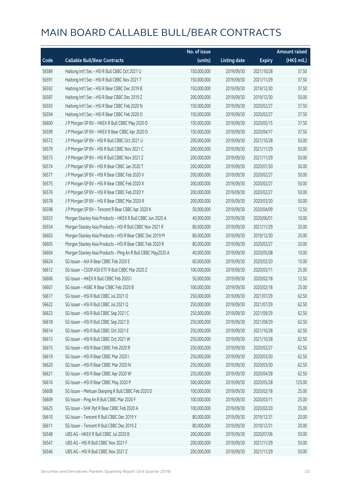|       |                                                              | No. of issue |                     |               | <b>Amount raised</b> |
|-------|--------------------------------------------------------------|--------------|---------------------|---------------|----------------------|
| Code  | <b>Callable Bull/Bear Contracts</b>                          | (units)      | <b>Listing date</b> | <b>Expiry</b> | (HK\$ mil.)          |
| 56589 | Haitong Int'l Sec - HSI R Bull CBBC Oct 2021 U               | 150,000,000  | 2019/09/30          | 2021/10/28    | 37.50                |
| 56591 | Haitong Int'l Sec - HSI R Bull CBBC Nov 2021 T               | 150,000,000  | 2019/09/30          | 2021/11/29    | 37.50                |
| 56592 | Haitong Int'l Sec - HSI R Bear CBBC Dec 2019 B               | 150,000,000  | 2019/09/30          | 2019/12/30    | 37.50                |
| 56587 | Haitong Int'l Sec - HSI R Bear CBBC Dec 2019 Z               | 200,000,000  | 2019/09/30          | 2019/12/30    | 50.00                |
| 56593 | Haitong Int'l Sec - HSI R Bear CBBC Feb 2020 N               | 150,000,000  | 2019/09/30          | 2020/02/27    | 37.50                |
| 56594 | Haitong Int'l Sec - HSI R Bear CBBC Feb 2020 O               | 150,000,000  | 2019/09/30          | 2020/02/27    | 37.50                |
| 56600 | J P Morgan SP BV - HKEX R Bull CBBC May 2020 D               | 150,000,000  | 2019/09/30          | 2020/05/15    | 37.50                |
| 56599 | J P Morgan SP BV - HKEX R Bear CBBC Apr 2020 D               | 150,000,000  | 2019/09/30          | 2020/04/17    | 37.50                |
| 56572 | J P Morgan SP BV - HSI R Bull CBBC Oct 2021 U                | 200,000,000  | 2019/09/30          | 2021/10/28    | 50.00                |
| 56579 | J P Morgan SP BV - HSI R Bull CBBC Nov 2021 C                | 200,000,000  | 2019/09/30          | 2021/11/29    | 50.00                |
| 56573 | J P Morgan SP BV - HSI R Bull CBBC Nov 2021 Z                | 200,000,000  | 2019/09/30          | 2021/11/29    | 50.00                |
| 56574 | J P Morgan SP BV - HSI R Bear CBBC Jan 2020 T                | 200,000,000  | 2019/09/30          | 2020/01/30    | 50.00                |
| 56577 | J P Morgan SP BV - HSI R Bear CBBC Feb 2020 V                | 200,000,000  | 2019/09/30          | 2020/02/27    | 50.00                |
| 56575 | J P Morgan SP BV - HSI R Bear CBBC Feb 2020 X                | 200,000,000  | 2019/09/30          | 2020/02/27    | 50.00                |
| 56576 | J P Morgan SP BV - HSI R Bear CBBC Feb 2020 Y                | 200,000,000  | 2019/09/30          | 2020/02/27    | 50.00                |
| 56578 | J P Morgan SP BV - HSI R Bear CBBC Mar 2020 R                | 200,000,000  | 2019/09/30          | 2020/03/30    | 50.00                |
| 56598 | J P Morgan SP BV - Tencent R Bear CBBC Apr 2020 K            | 50,000,000   | 2019/09/30          | 2020/04/09    | 12.50                |
| 56553 | Morgan Stanley Asia Products - HKEX R Bull CBBC Jun 2020 A   | 40,000,000   | 2019/09/30          | 2020/06/01    | 10.00                |
| 56554 | Morgan Stanley Asia Products - HSI R Bull CBBC Nov 2021 R    | 80,000,000   | 2019/09/30          | 2021/11/29    | 20.00                |
| 56603 | Morgan Stanley Asia Products - HSI R Bear CBBC Dec 2019 M    | 80,000,000   | 2019/09/30          | 2019/12/30    | 20.00                |
| 56605 | Morgan Stanley Asia Products - HSI R Bear CBBC Feb 2020 R    | 80,000,000   | 2019/09/30          | 2020/02/27    | 20.00                |
| 56604 | Morgan Stanley Asia Products - Ping An R Bull CBBC May2020 A | 40,000,000   | 2019/09/30          | 2020/05/08    | 10.00                |
| 56624 | SG Issuer - AIA R Bear CBBC Feb 2020 E                       | 60,000,000   | 2019/09/30          | 2020/02/20    | 15.00                |
| 56612 | SG Issuer - CSOP A50 ETF R Bull CBBC Mar 2020 Z              | 100,000,000  | 2019/09/30          | 2020/03/11    | 25.00                |
| 56606 | SG Issuer - HKEX R Bull CBBC Feb 2020 I                      | 50,000,000   | 2019/09/30          | 2020/02/18    | 12.50                |
| 56607 | SG Issuer - HSBC R Bear CBBC Feb 2020 B                      | 100,000,000  | 2019/09/30          | 2020/02/18    | 25.00                |
| 56617 | SG Issuer - HSI R Bull CBBC Jul 2021 O                       | 250,000,000  | 2019/09/30          | 2021/07/29    | 62.50                |
| 56622 | SG Issuer - HSI R Bull CBBC Jul 2021 Q                       | 250,000,000  | 2019/09/30          | 2021/07/29    | 62.50                |
| 56623 | SG Issuer - HSI R Bull CBBC Sep 2021 C                       | 250,000,000  | 2019/09/30          | 2021/09/29    | 62.50                |
| 56618 | SG Issuer - HSI R Bull CBBC Sep 2021 D                       | 250,000,000  | 2019/09/30          | 2021/09/29    | 62.50                |
| 56614 | SG Issuer - HSI R Bull CBBC Oct 2021 E                       | 250,000,000  | 2019/09/30          | 2021/10/28    | 62.50                |
| 56613 | SG Issuer - HSI R Bull CBBC Oct 2021 W                       | 250,000,000  | 2019/09/30          | 2021/10/28    | 62.50                |
| 56615 | SG Issuer - HSI R Bear CBBC Feb 2020 R                       | 250,000,000  | 2019/09/30          | 2020/02/27    | 62.50                |
| 56619 | SG Issuer - HSI R Bear CBBC Mar 2020 I                       | 250,000,000  | 2019/09/30          | 2020/03/30    | 62.50                |
| 56620 | SG Issuer - HSI R Bear CBBC Mar 2020 N                       | 250,000,000  | 2019/09/30          | 2020/03/30    | 62.50                |
| 56621 | SG Issuer - HSI R Bear CBBC Apr 2020 W                       | 250,000,000  | 2019/09/30          | 2020/04/28    | 62.50                |
| 56616 | SG Issuer - HSI R Bear CBBC May 2020 P                       | 500,000,000  | 2019/09/30          | 2020/05/28    | 125.00               |
| 56608 | SG Issuer - Meituan Dianping R Bull CBBC Feb 2020 D          | 100,000,000  | 2019/09/30          | 2020/02/18    | 25.00                |
| 56609 | SG Issuer - Ping An R Bull CBBC Mar 2020 F                   | 100,000,000  | 2019/09/30          | 2020/03/11    | 25.00                |
| 56625 | SG Issuer - SHK Ppt R Bear CBBC Feb 2020 A                   | 100,000,000  | 2019/09/30          | 2020/02/20    | 25.00                |
| 56610 | SG Issuer - Tencent R Bull CBBC Dec 2019 Y                   | 80,000,000   | 2019/09/30          | 2019/12/31    | 20.00                |
| 56611 | SG Issuer - Tencent R Bull CBBC Dec 2019 Z                   | 80,000,000   | 2019/09/30          | 2019/12/31    | 20.00                |
| 56548 | UBS AG - HKEX R Bull CBBC Jul 2020 B                         | 200,000,000  | 2019/09/30          | 2020/07/06    | 50.00                |
| 56547 | UBS AG - HSI R Bull CBBC Nov 2021 F                          | 200,000,000  | 2019/09/30          | 2021/11/29    | 50.00                |
| 56546 | UBS AG - HSI R Bull CBBC Nov 2021 Z                          | 200,000,000  | 2019/09/30          | 2021/11/29    | 50.00                |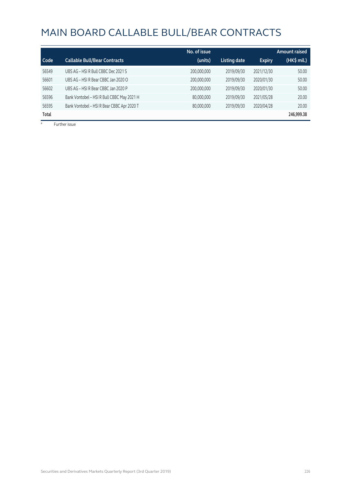|       |                                            | No. of issue |                     |               | <b>Amount raised</b> |
|-------|--------------------------------------------|--------------|---------------------|---------------|----------------------|
| Code  | <b>Callable Bull/Bear Contracts</b>        | (units)      | <b>Listing date</b> | <b>Expiry</b> | (HK\$ mil.)          |
| 56549 | UBS AG - HSI R Bull CBBC Dec 2021 S        | 200,000,000  | 2019/09/30          | 2021/12/30    | 50.00                |
| 56601 | UBS AG - HSI R Bear CBBC Jan 2020 O        | 200,000,000  | 2019/09/30          | 2020/01/30    | 50.00                |
| 56602 | UBS AG - HSI R Bear CBBC Jan 2020 P        | 200,000,000  | 2019/09/30          | 2020/01/30    | 50.00                |
| 56596 | Bank Vontobel - HSI R Bull CBBC May 2021 H | 80,000,000   | 2019/09/30          | 2021/05/28    | 20.00                |
| 56595 | Bank Vontobel - HSI R Bear CBBC Apr 2020 T | 80,000,000   | 2019/09/30          | 2020/04/28    | 20.00                |
| Total |                                            |              |                     |               | 246,999.38           |

# Further issue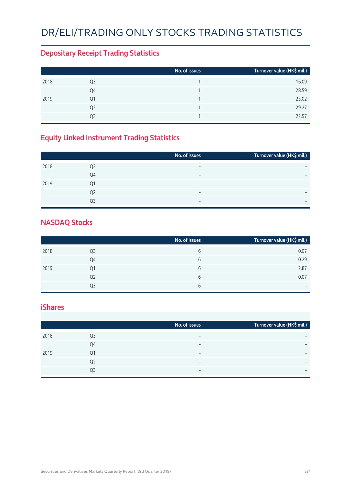# DR/ELI/TRADING ONLY STOCKS TRADING STATISTICS

#### **Depositary Receipt Trading Statistics**

|      |                | No. of issues | Turnover value (HK\$ mil.) |
|------|----------------|---------------|----------------------------|
| 2018 | Q3             |               | 16.09                      |
|      | Q4             |               | 28.59                      |
| 2019 | Q1             |               | 23.02                      |
|      | Q <sub>2</sub> |               | 29.27                      |
|      | Ο3             |               | 22.57                      |

## **Equity Linked Instrument Trading Statistics**

|      |                | No. of issues            | Turnover value (HK\$ mil.) |
|------|----------------|--------------------------|----------------------------|
| 2018 | Q <sub>3</sub> | $\overline{\phantom{0}}$ |                            |
|      | Q4             | $\overline{\phantom{0}}$ | $\overline{\phantom{0}}$   |
| 2019 | Q1             | $\overline{\phantom{0}}$ | $\overline{\phantom{0}}$   |
|      | Q <sub>2</sub> | $\overline{\phantom{0}}$ |                            |
|      | Q3             |                          | $\overline{\phantom{0}}$   |
|      |                |                          |                            |

#### **NASDAQ Stocks**

|      |    | No. of issues | Turnover value (HK\$ mil.) |
|------|----|---------------|----------------------------|
| 2018 | Q3 | 6             | 0.07                       |
|      | Q4 | 6             | 0.29                       |
| 2019 | Q1 | 6             | 2.87                       |
|      | Q2 | 6             | 0.07                       |
|      | Q3 | b             | $\overline{\phantom{0}}$   |

#### **iShares**

|      |    | No. of issues            | Turnover value (HK\$ mil.) |
|------|----|--------------------------|----------------------------|
| 2018 | Q3 |                          | $\overline{\phantom{0}}$   |
|      | Q4 |                          | $\overline{\phantom{0}}$   |
| 2019 | 01 | -                        | $\overline{\phantom{0}}$   |
|      | Q2 | $\overline{\phantom{0}}$ | $\overline{\phantom{0}}$   |
|      | Q3 | -                        | $\overline{\phantom{0}}$   |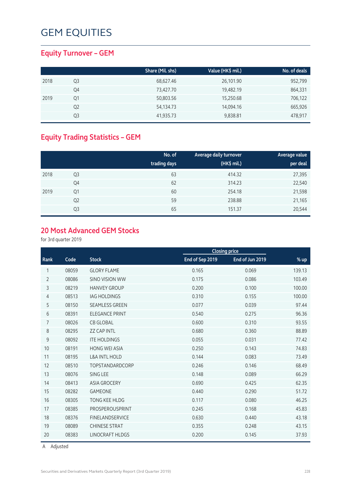#### **Equity Turnover – GEM**

|      |    | Share (Mil. shs) | Value (HK\$ mil.) | No. of deals |
|------|----|------------------|-------------------|--------------|
| 2018 | Q3 | 68,627.46        | 26,101.90         | 952,799      |
|      | Q4 | 73,427.70        | 19,482.19         | 864,331      |
| 2019 | Q1 | 50,803.56        | 15,250.68         | 706,122      |
|      | Q2 | 54,134.73        | 14,094.16         | 665,926      |
|      | Q3 | 41,935.73        | 9,838.81          | 478,917      |

## **Equity Trading Statistics – GEM**

|      |                | No. of<br>trading days | Average daily turnover<br>(HK\$ mil.) | Average value<br>per deal |
|------|----------------|------------------------|---------------------------------------|---------------------------|
| 2018 | Q <sub>3</sub> | 63                     | 414.32                                | 27,395                    |
|      | Q4             | 62                     | 314.23                                | 22,540                    |
| 2019 | Q1             | 60                     | 254.18                                | 21,598                    |
|      | Q <sub>2</sub> | 59                     | 238.88                                | 21,165                    |
|      | Q <sub>3</sub> | 65                     | 151.37                                | 20,544                    |

## **20 Most Advanced GEM Stocks**

for 3rd quarter 2019

|                |       |                          |                 | <b>Closing price</b> |        |
|----------------|-------|--------------------------|-----------------|----------------------|--------|
| Rank           | Code  | <b>Stock</b>             | End of Sep 2019 | End of Jun 2019      | $%$ up |
| 1              | 08059 | <b>GLORY FLAME</b>       | 0.165           | 0.069                | 139.13 |
| $\overline{2}$ | 08086 | <b>SINO VISION WW</b>    | 0.175           | 0.086                | 103.49 |
| 3              | 08219 | <b>HANVEY GROUP</b>      | 0.200           | 0.100                | 100.00 |
| 4              | 08513 | <b>IAG HOLDINGS</b>      | 0.310           | 0.155                | 100.00 |
| 5              | 08150 | <b>SEAMLESS GREEN</b>    | 0.077           | 0.039                | 97.44  |
| 6              | 08391 | <b>ELEGANCE PRINT</b>    | 0.540           | 0.275                | 96.36  |
| 7              | 08026 | <b>CB GLOBAL</b>         | 0.600           | 0.310                | 93.55  |
| 8              | 08295 | <b>ZZ CAP INTL</b>       | 0.680           | 0.360                | 88.89  |
| 9              | 08092 | <b>ITE HOLDINGS</b>      | 0.055           | 0.031                | 77.42  |
| 10             | 08191 | <b>HONG WEI ASIA</b>     | 0.250           | 0.143                | 74.83  |
| 11             | 08195 | <b>L&amp;A INTL HOLD</b> | 0.144           | 0.083                | 73.49  |
| 12             | 08510 | <b>TOPSTANDARDCORP</b>   | 0.246           | 0.146                | 68.49  |
| 13             | 08076 | SING LEE                 | 0.148           | 0.089                | 66.29  |
| 14             | 08413 | <b>ASIA GROCERY</b>      | 0.690           | 0.425                | 62.35  |
| 15             | 08282 | <b>GAMEONE</b>           | 0.440           | 0.290                | 51.72  |
| 16             | 08305 | <b>TONG KEE HLDG</b>     | 0.117           | 0.080                | 46.25  |
| 17             | 08385 | PROSPEROUSPRINT          | 0.245           | 0.168                | 45.83  |
| 18             | 08376 | <b>FINELANDSERVICE</b>   | 0.630           | 0.440                | 43.18  |
| 19             | 08089 | <b>CHINESE STRAT</b>     | 0.355           | 0.248                | 43.15  |
| 20             | 08383 | <b>LINOCRAFT HLDGS</b>   | 0.200           | 0.145                | 37.93  |

A Adjusted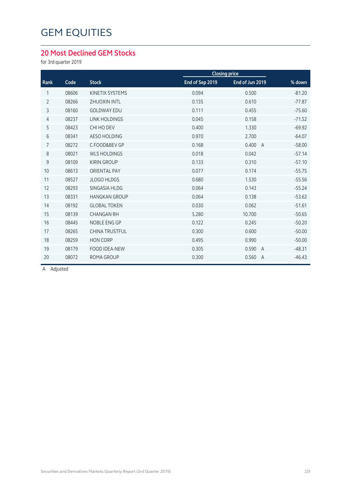#### **20 Most Declined GEM Stocks**

for 3rd quarter 2019

|                |       |                        |                 | <b>Closing price</b> |                            |
|----------------|-------|------------------------|-----------------|----------------------|----------------------------|
| Rank           | Code  | <b>Stock</b>           | End of Sep 2019 | End of Jun 2019      | % down                     |
| 1              | 08606 | <b>KINETIX SYSTEMS</b> | 0.094           | 0.500                | $-81.20$                   |
| $\overline{2}$ | 08266 | <b>ZHUOXIN INTL</b>    | 0.135           | 0.610                | $-77.87$                   |
| 3              | 08160 | <b>GOLDWAY EDU</b>     | 0.111           | 0.455                | $-75.60$                   |
| $\overline{4}$ | 08237 | <b>LINK HOLDINGS</b>   | 0.045           | 0.158                | $-71.52$                   |
| 5              | 08423 | CHI HO DEV             | 0.400           | 1.330                | $-69.92$                   |
| 6              | 08341 | <b>AESO HOLDING</b>    | 0.970           | 2.700                | $-64.07$                   |
| $\overline{7}$ | 08272 | C FOOD&BEV GP          | 0.168           | 0.400                | $-58.00$<br>$\overline{A}$ |
| 8              | 08021 | <b>WLS HOLDINGS</b>    | 0.018           | 0.042                | $-57.14$                   |
| 9              | 08109 | <b>KIRIN GROUP</b>     | 0.133           | 0.310                | $-57.10$                   |
| 10             | 08613 | <b>ORIENTAL PAY</b>    | 0.077           | 0.174                | $-55.75$                   |
| 11             | 08527 | <b>JLOGO HLDGS</b>     | 0.680           | 1.530                | $-55.56$                   |
| 12             | 08293 | SINGASIA HLDG          | 0.064           | 0.143                | $-55.24$                   |
| 13             | 08331 | <b>HANGKAN GROUP</b>   | 0.064           | 0.138                | $-53.62$                   |
| 14             | 08192 | <b>GLOBAL TOKEN</b>    | 0.030           | 0.062                | $-51.61$                   |
| 15             | 08139 | <b>CHANGAN RH</b>      | 5.280           | 10.700               | $-50.65$                   |
| 16             | 08445 | NOBLE ENG GP           | 0.122           | 0.245                | $-50.20$                   |
| 17             | 08265 | <b>CHINA TRUSTFUL</b>  | 0.300           | 0.600                | $-50.00$                   |
| 18             | 08259 | <b>HON CORP</b>        | 0.495           | 0.990                | $-50.00$                   |
| 19             | 08179 | <b>FOOD IDEA-NEW</b>   | 0.305           | 0.590                | $-48.31$<br>$\overline{A}$ |
| 20             | 08072 | ROMA GROUP             | 0.300           | 0.560                | $-46.43$<br>$\overline{A}$ |
|                |       |                        |                 |                      |                            |

A Adjusted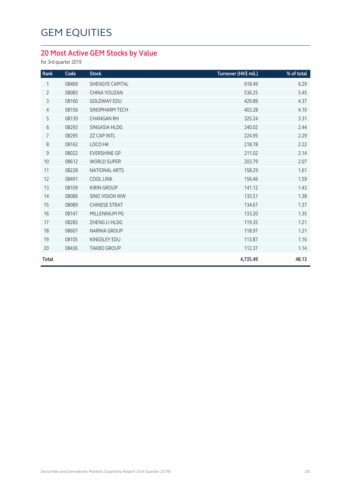## **20 Most Active GEM Stocks by Value**

for 3rd quarter 2019

| Rank           | Code  | <b>Stock</b>           | Turnover (HK\$ mil.) | % of total |
|----------------|-------|------------------------|----------------------|------------|
| 1              | 08469 | <b>SHENGYE CAPITAL</b> | 618.49               | 6.29       |
| $\overline{2}$ | 08083 | CHINA YOUZAN           | 536.25               | 5.45       |
| 3              | 08160 | <b>GOLDWAY EDU</b>     | 429.89               | 4.37       |
| $\overline{4}$ | 08156 | SINOPHARM TECH         | 403.28               | 4.10       |
| 5              | 08139 | <b>CHANGAN RH</b>      | 325.24               | 3.31       |
| 6              | 08293 | SINGASIA HLDG          | 240.02               | 2.44       |
| 7              | 08295 | <b>ZZ CAP INTL</b>     | 224.95               | 2.29       |
| 8              | 08162 | LOCO HK                | 218.78               | 2.22       |
| $\mathsf 9$    | 08022 | <b>EVERSHINE GP</b>    | 211.02               | 2.14       |
| 10             | 08612 | <b>WORLD SUPER</b>     | 203.79               | 2.07       |
| 11             | 08228 | <b>NATIONAL ARTS</b>   | 158.29               | 1.61       |
| 12             | 08491 | <b>COOL LINK</b>       | 156.46               | 1.59       |
| 13             | 08109 | <b>KIRIN GROUP</b>     | 141.12               | 1.43       |
| 14             | 08086 | <b>SINO VISION WW</b>  | 135.51               | 1.38       |
| 15             | 08089 | <b>CHINESE STRAT</b>   | 134.67               | 1.37       |
| 16             | 08147 | MILLENNIUM PG          | 133.20               | 1.35       |
| 17             | 08283 | ZHENG LI HLDG          | 119.35               | 1.21       |
| 18             | 08607 | <b>NARNIA GROUP</b>    | 118.97               | 1.21       |
| 19             | 08105 | <b>KINGSLEY EDU</b>    | 113.87               | 1.16       |
| 20             | 08436 | <b>TAKBO GROUP</b>     | 112.37               | 1.14       |
| Total          |       |                        | 4,735.49             | 48.13      |
|                |       |                        |                      |            |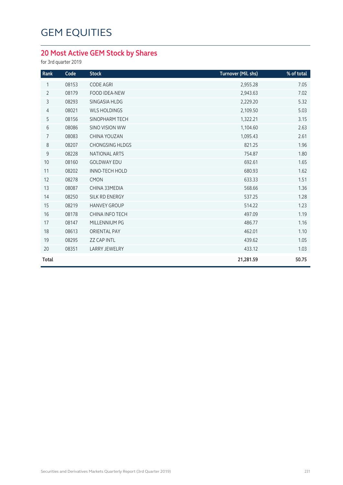## **20 Most Active GEM Stock by Shares**

for 3rd quarter 2019

| Rank           | Code  | <b>Stock</b>           | Turnover (Mil. shs) | % of total |
|----------------|-------|------------------------|---------------------|------------|
| 1              | 08153 | <b>CODE AGRI</b>       | 2,955.28            | 7.05       |
| $\overline{2}$ | 08179 | <b>FOOD IDEA-NEW</b>   | 2,943.63            | 7.02       |
| 3              | 08293 | SINGASIA HLDG          | 2,229.20            | 5.32       |
| $\overline{4}$ | 08021 | <b>WLS HOLDINGS</b>    | 2,109.50            | 5.03       |
| 5              | 08156 | SINOPHARM TECH         | 1,322.21            | 3.15       |
| $6\,$          | 08086 | SINO VISION WW         | 1,104.60            | 2.63       |
| $\overline{7}$ | 08083 | CHINA YOUZAN           | 1,095.43            | 2.61       |
| 8              | 08207 | <b>CHONGSING HLDGS</b> | 821.25              | 1.96       |
| $9\,$          | 08228 | <b>NATIONAL ARTS</b>   | 754.87              | 1.80       |
| 10             | 08160 | <b>GOLDWAY EDU</b>     | 692.61              | 1.65       |
| 11             | 08202 | <b>INNO-TECH HOLD</b>  | 680.93              | 1.62       |
| 12             | 08278 | <b>CMON</b>            | 633.33              | 1.51       |
| 13             | 08087 | CHINA 33MEDIA          | 568.66              | 1.36       |
| 14             | 08250 | SILK RD ENERGY         | 537.25              | 1.28       |
| 15             | 08219 | <b>HANVEY GROUP</b>    | 514.22              | 1.23       |
| 16             | 08178 | CHINA INFO TECH        | 497.09              | 1.19       |
| 17             | 08147 | MILLENNIUM PG          | 486.77              | 1.16       |
| 18             | 08613 | <b>ORIENTAL PAY</b>    | 462.01              | 1.10       |
| 19             | 08295 | <b>ZZ CAP INTL</b>     | 439.62              | 1.05       |
| 20             | 08351 | <b>LARRY JEWELRY</b>   | 433.12              | 1.03       |
| <b>Total</b>   |       |                        | 21,281.59           | 50.75      |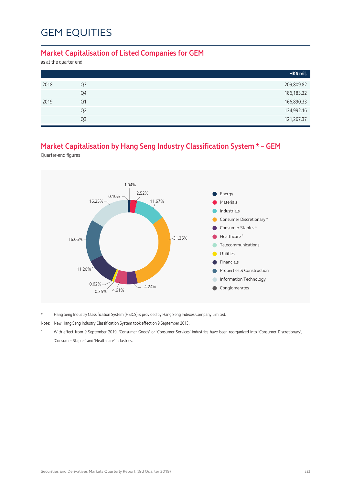#### **Market Capitalisation of Listed Companies for GEM**

as at the quarter end

|      |                | HK\$ mil.    |
|------|----------------|--------------|
| 2018 | Q <sub>3</sub> | 209,809.82   |
|      | Q4             | 186, 183. 32 |
| 2019 | Q1             | 166,890.33   |
|      | Q <sub>2</sub> | 134,992.16   |
|      | Q <sub>3</sub> | 121,267.37   |

### **Market Capitalisation by Hang Seng Industry Classification System \* – GEM**

Quarter-end figures



\* Hang Seng Industry Classification System (HSICS) is provided by Hang Seng Indexes Company Limited.

Note: New Hang Seng Industry Classification System took effect on 9 September 2013.

^ With effect from 9 September 2019, 'Consumer Goods' or 'Consumer Services' industries have been reorganized into 'Consumer Discretionary', 'Consumer Staples' and 'Healthcare' industries.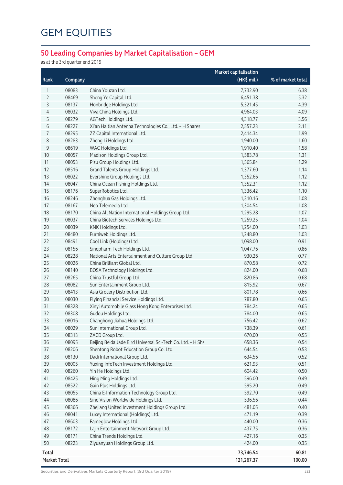## **50 Leading Companies by Market Capitalisation – GEM**

as at the 3rd quarter end 2019

|              |         |                                                             | <b>Market capitalisation</b> |                   |
|--------------|---------|-------------------------------------------------------------|------------------------------|-------------------|
| Rank         | Company |                                                             | (HK\$ mil.)                  | % of market total |
| 1            | 08083   | China Youzan Ltd.                                           | 7,732.90                     | 6.38              |
| 2            | 08469   | Sheng Ye Capital Ltd.                                       | 6,451.38                     | 5.32              |
| 3            | 08137   | Honbridge Holdings Ltd.                                     | 5,321.45                     | 4.39              |
| 4            | 08032   | Viva China Holdings Ltd.                                    | 4,964.03                     | 4.09              |
| 5            | 08279   | AGTech Holdings Ltd.                                        | 4,318.77                     | 3.56              |
| 6            | 08227   | Xi'an Haitian Antenna Technologies Co., Ltd. - H Shares     | 2,557.23                     | 2.11              |
| 7            | 08295   | ZZ Capital International Ltd.                               | 2,414.34                     | 1.99              |
| 8            | 08283   | Zheng Li Holdings Ltd.                                      | 1,940.00                     | 1.60              |
| 9            | 08619   | WAC Holdings Ltd.                                           | 1,910.40                     | 1.58              |
| 10           | 08057   | Madison Holdings Group Ltd.                                 | 1,583.78                     | 1.31              |
| 11           | 08053   | Pizu Group Holdings Ltd.                                    | 1,565.84                     | 1.29              |
| 12           | 08516   | Grand Talents Group Holdings Ltd.                           | 1,377.60                     | 1.14              |
| 13           | 08022   | Evershine Group Holdings Ltd.                               | 1,352.66                     | 1.12              |
| 14           | 08047   | China Ocean Fishing Holdings Ltd.                           | 1,352.31                     | 1.12              |
| 15           | 08176   | SuperRobotics Ltd.                                          | 1,336.42                     | 1.10              |
| 16           | 08246   | Zhonghua Gas Holdings Ltd.                                  | 1,310.16                     | 1.08              |
| 17           | 08167   | Neo Telemedia Ltd.                                          | 1,304.54                     | 1.08              |
| 18           | 08170   | China All Nation International Holdings Group Ltd.          | 1,295.28                     | 1.07              |
| 19           | 08037   | China Biotech Services Holdings Ltd.                        | 1,259.25                     | 1.04              |
| 20           | 08039   | KNK Holdings Ltd.                                           | 1,254.00                     | 1.03              |
| 21           | 08480   | Furniweb Holdings Ltd.                                      | 1,248.80                     | 1.03              |
| 22           | 08491   | Cool Link (Holdings) Ltd.                                   | 1,098.00                     | 0.91              |
| 23           | 08156   | Sinopharm Tech Holdings Ltd.                                | 1,047.76                     | 0.86              |
| 24           | 08228   | National Arts Entertainment and Culture Group Ltd.          | 930.26                       | 0.77              |
| 25           | 08026   | China Brilliant Global Ltd.                                 | 870.58                       | 0.72              |
| 26           | 08140   | BOSA Technology Holdings Ltd.                               | 824.00                       | 0.68              |
| 27           | 08265   | China Trustful Group Ltd.                                   | 820.86                       | 0.68              |
| 28           | 08082   | Sun Entertainment Group Ltd.                                | 815.92                       | 0.67              |
| 29           | 08413   | Asia Grocery Distribution Ltd.                              | 801.78                       | 0.66              |
| 30           | 08030   | Flying Financial Service Holdings Ltd.                      | 787.80                       | 0.65              |
| 31           | 08328   | Xinyi Automobile Glass Hong Kong Enterprises Ltd.           | 784.24                       | 0.65              |
| 32           | 08308   | Gudou Holdings Ltd.                                         | 784.00                       | 0.65              |
| 33           | 08016   | Changhong Jiahua Holdings Ltd.                              | 756.42                       | 0.62              |
| 34           | 08029   | Sun International Group Ltd.                                | 738.39                       | 0.61              |
| 35           | 08313   | ZACD Group Ltd.                                             | 670.00                       | 0.55              |
| 36           | 08095   | Beijing Beida Jade Bird Universal Sci-Tech Co. Ltd. - H Shs | 658.36                       | 0.54              |
| 37           | 08206   | Shentong Robot Education Group Co. Ltd.                     | 644.54                       | 0.53              |
| 38           | 08130   | Dadi International Group Ltd.                               | 634.56                       | 0.52              |
| 39           | 08005   | Yuxing InfoTech Investment Holdings Ltd.                    | 621.93                       | 0.51              |
| 40           | 08260   | Yin He Holdings Ltd.                                        | 604.42                       | 0.50              |
| 41           | 08425   | Hing Ming Holdings Ltd.                                     | 596.00                       | 0.49              |
| 42           | 08522   | Gain Plus Holdings Ltd.                                     | 595.20                       | 0.49              |
| 43           | 08055   | China E-Information Technology Group Ltd.                   | 592.70                       | 0.49              |
| 44           | 08086   | Sino Vision Worldwide Holdings Ltd.                         | 536.56                       | 0.44              |
| 45           | 08366   | Zhejiang United Investment Holdings Group Ltd.              | 481.05                       | 0.40              |
| 46           | 08041   | Luxey International (Holdings) Ltd.                         | 471.19                       | 0.39              |
| 47           | 08603   | Fameglow Holdings Ltd.                                      | 440.00                       | 0.36              |
| 48           | 08172   | Lajin Entertainment Network Group Ltd.                      | 437.75                       | 0.36              |
| 49           | 08171   | China Trends Holdings Ltd.                                  | 427.16                       | 0.35              |
| 50           | 08223   | Ziyuanyuan Holdings Group Ltd.                              | 424.00                       | 0.35              |
| <b>Total</b> |         |                                                             | 73,746.54                    | 60.81             |
| Market Total |         |                                                             | 121,267.37                   | 100.00            |
|              |         |                                                             |                              |                   |

Securities and Derivatives Markets Quarterly Report (3rd Quarter 2019) 233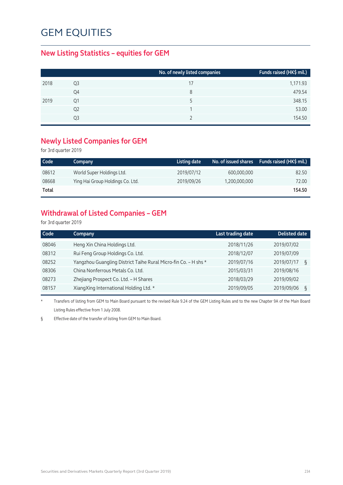#### **New Listing Statistics – equities for GEM**

| Funds raised (HK\$ mil.)<br>No. of newly listed companies |
|-----------------------------------------------------------|
| 1,171.93                                                  |
| 479.54                                                    |
| 348.15                                                    |
| 53.00                                                     |
| 154.50                                                    |
|                                                           |

#### **Newly Listed Companies for GEM**

for 3rd quarter 2019

| Code         | Company                          | Listing date |               | No. of issued shares $\;$ Funds raised (HK\$ mil.) |
|--------------|----------------------------------|--------------|---------------|----------------------------------------------------|
| 08612        | World Super Holdings Ltd.        | 2019/07/12   | 600.000.000   | 82.50                                              |
| 08668        | Ying Hai Group Holdings Co. Ltd. | 2019/09/26   | 1,200,000,000 | 72.00                                              |
| <b>Total</b> |                                  |              |               | 154.50                                             |

## **Withdrawal of Listed Companies – GEM**

for 3rd quarter 2019

| ξ |
|---|
|   |
|   |
| ξ |
|   |

\* Transfers of listing from GEM to Main Board pursuant to the revised Rule 9.24 of the GEM Listing Rules and to the new Chapter 9A of the Main Board Listing Rules effective from 1 July 2008.

§ Effective date of the transfer of listing from GEM to Main Board.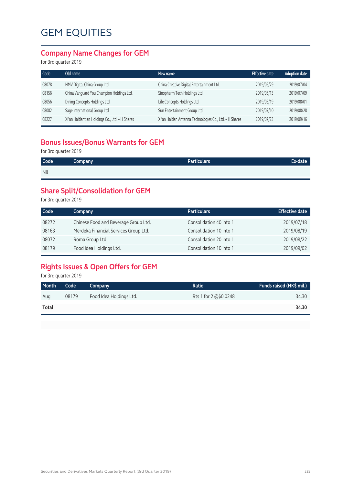#### **Company Name Changes for GEM**

for 3rd quarter 2019

| Old name                                        | New name                                                | <b>Effective date</b> | <b>Adoption date</b> |
|-------------------------------------------------|---------------------------------------------------------|-----------------------|----------------------|
| HMV Digital China Group Ltd.                    | China Creative Digital Entertainment Ltd.               | 2019/05/29            | 2019/07/04           |
| China Vanguard You Champion Holdings Ltd.       | Sinopharm Tech Holdings Ltd.                            | 2019/06/13            | 2019/07/09           |
| Dining Concepts Holdings Ltd.                   | Life Concepts Holdings Ltd.                             | 2019/06/19            | 2019/08/01           |
| Sage International Group Ltd.                   | Sun Entertainment Group Ltd.                            | 2019/07/10            | 2019/08/28           |
| Xi'an Haitiantian Holdings Co., Ltd. - H Shares | Xi'an Haitian Antenna Technologies Co., Ltd. - H Shares | 2019/07/23            | 2019/09/16           |
|                                                 |                                                         |                       |                      |

### **Bonus Issues/Bonus Warrants for GEM**

for 3rd quarter 2019

| Code | <b>Company</b> | <b>Particulars</b> | Ex-date |
|------|----------------|--------------------|---------|
| Nil  |                |                    |         |

## **Share Split/Consolidation for GEM**

for 3rd quarter 2019

| Code  | Company                               | <b>Particulars</b>      | <b>Effective date</b> |
|-------|---------------------------------------|-------------------------|-----------------------|
| 08272 | Chinese Food and Beverage Group Ltd.  | Consolidation 40 into 1 | 2019/07/18            |
| 08163 | Merdeka Financial Services Group Ltd. | Consolidation 10 into 1 | 2019/08/19            |
| 08072 | Roma Group Ltd.                       | Consolidation 20 into 1 | 2019/08/22            |
| 08179 | Food Idea Holdings Ltd.               | Consolidation 10 into 1 | 2019/09/02            |

### **Rights Issues & Open Offers for GEM**

for 3rd quarter 2019

| Month | Code  | Company                 | Ratio                 | Funds raised (HK\$ mil.) |
|-------|-------|-------------------------|-----------------------|--------------------------|
| Aug   | 08179 | Food Idea Holdings Ltd. | Rts 1 for 2 @\$0.0248 | 34.30                    |
| Total |       |                         |                       | 34.30                    |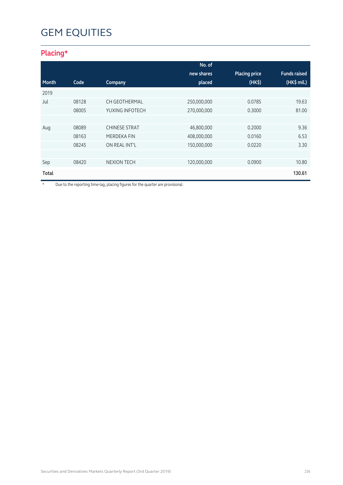## **Placing\***

|              |       |                      | No. of      |                      |                     |
|--------------|-------|----------------------|-------------|----------------------|---------------------|
|              |       |                      | new shares  | <b>Placing price</b> | <b>Funds raised</b> |
| Month        | Code  | Company              | placed      | (HK <sub>5</sub> )   | $(HK\$ mil.)        |
| 2019         |       |                      |             |                      |                     |
| Jul          | 08128 | CH GEOTHERMAL        | 250,000,000 | 0.0785               | 19.63               |
|              | 08005 | YUXING INFOTECH      | 270,000,000 | 0.3000               | 81.00               |
|              |       |                      |             |                      |                     |
| Aug          | 08089 | <b>CHINESE STRAT</b> | 46,800,000  | 0.2000               | 9.36                |
|              | 08163 | MERDEKA FIN          | 408,000,000 | 0.0160               | 6.53                |
|              | 08245 | ON REAL INT'L        | 150,000,000 | 0.0220               | 3.30                |
|              |       |                      |             |                      |                     |
| Sep          | 08420 | <b>NEXION TECH</b>   | 120,000,000 | 0.0900               | 10.80               |
| <b>Total</b> |       |                      |             |                      | 130.61              |

\* Due to the reporting time-lag, placing figures for the quarter are provisional.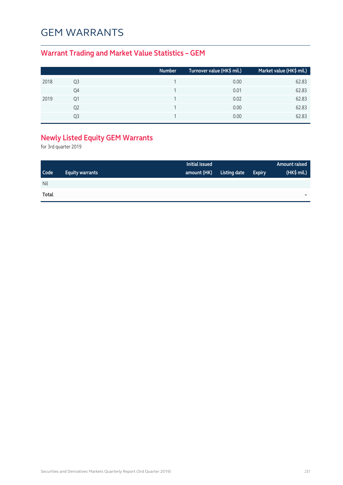## GEM WARRANTS

## **Warrant Trading and Market Value Statistics – GEM**

|      |    | <b>Number</b> | Turnover value (HK\$ mil.) | Market value (HK\$ mil.) |
|------|----|---------------|----------------------------|--------------------------|
| 2018 | Q3 |               | 0.00                       | 62.83                    |
|      | Q4 |               | 0.01                       | 62.83                    |
| 2019 | Q1 |               | 0.02                       | 62.83                    |
|      | Q2 |               | 0.00                       | 62.83                    |
|      | Q3 |               | 0.00                       | 62.83                    |

## **Newly Listed Equity GEM Warrants**

for 3rd quarter 2019

|             |                        | Initial issued |              |               | Amount raised |
|-------------|------------------------|----------------|--------------|---------------|---------------|
| <b>Code</b> | <b>Equity warrants</b> | amount (HK)    | Listing date | <b>Expiry</b> | (HK\$ mil.)   |
| Nil         |                        |                |              |               |               |
| Total       |                        |                |              |               | -             |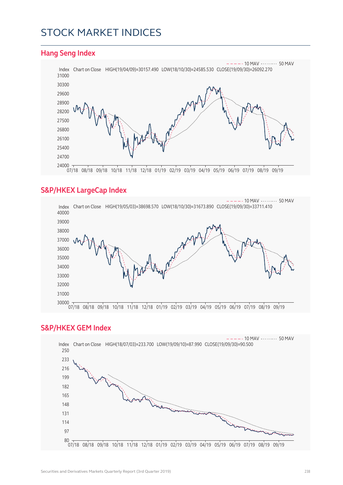## STOCK MARKET INDICES

#### **Hang Seng Index** Index Chart on Close HIGH(19/04/09)=30157.490 LOW(18/10/30)=24585.530 CLOSE(19/09/30)=26092.270  $- - - - - 10$  MAV  $- - - - - - 50$  MAV 07/18 08/18 09/18 10/18 11/18 12/18 01/19 02/19 03/19 04/19 05/19 06/19 07/19 08/19 09/19

#### **S&P/HKEX LargeCap Index**



#### **S&P/HKEX GEM Index**

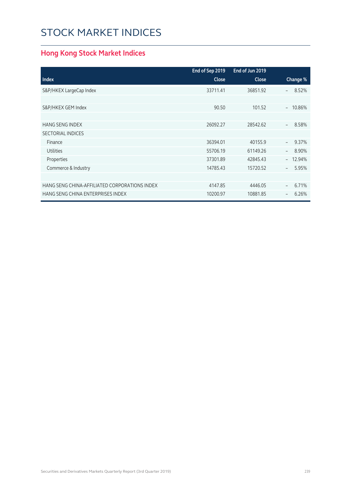# STOCK MARKET INDICES

## **Hong Kong Stock Market Indices**

|                                               | End of Sep 2019 | End of Jun 2019 |                                    |
|-----------------------------------------------|-----------------|-----------------|------------------------------------|
| <b>Index</b>                                  | <b>Close</b>    | <b>Close</b>    | Change %                           |
| S&P/HKEX LargeCap Index                       | 33711.41        | 36851.92        | 8.52%<br>$\overline{\phantom{0}}$  |
|                                               |                 |                 |                                    |
| S&P/HKEX GEM Index                            | 90.50           | 101.52          | 10.86%<br>$\overline{\phantom{0}}$ |
|                                               |                 |                 |                                    |
| <b>HANG SENG INDEX</b>                        | 26092.27        | 28542.62        | 8.58%<br>$\overline{\phantom{0}}$  |
| <b>SECTORIAL INDICES</b>                      |                 |                 |                                    |
| Finance                                       | 36394.01        | 40155.9         | 9.37%                              |
| <b>Utilities</b>                              | 55706.19        | 61149.26        | 8.90%                              |
| Properties                                    | 37301.89        | 42845.43        | 12.94%<br>$\overline{\phantom{0}}$ |
| Commerce & Industry                           | 14785.43        | 15720.52        | 5.95%<br>$\overline{\phantom{a}}$  |
|                                               |                 |                 |                                    |
| HANG SENG CHINA-AFFILIATED CORPORATIONS INDEX | 4147.85         | 4446.05         | 6.71%<br>$\overline{\phantom{a}}$  |
| HANG SENG CHINA ENTERPRISES INDEX             | 10200.97        | 10881.85        | 6.26%<br>$\overline{\phantom{m}}$  |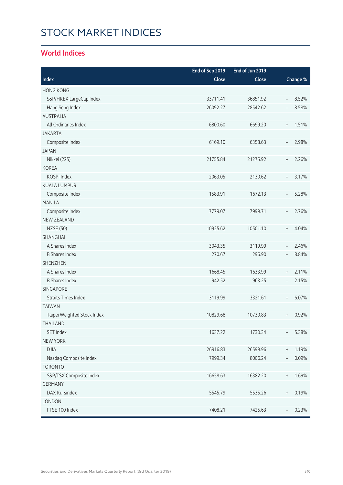# STOCK MARKET INDICES

#### **World Indices**

|                             | End of Sep 2019 | End of Jun 2019 |                                  |          |
|-----------------------------|-----------------|-----------------|----------------------------------|----------|
| Index                       | Close           | Close           |                                  | Change % |
| <b>HONG KONG</b>            |                 |                 |                                  |          |
| S&P/HKEX LargeCap Index     | 33711.41        | 36851.92        | $\overline{\phantom{a}}$         | 8.52%    |
| Hang Seng Index             | 26092.27        | 28542.62        | $\overline{\phantom{a}}$         | 8.58%    |
| <b>AUSTRALIA</b>            |                 |                 |                                  |          |
| All Ordinaries Index        | 6800.60         | 6699.20         | $\, +$                           | 1.51%    |
| <b>JAKARTA</b>              |                 |                 |                                  |          |
| Composite Index             | 6169.10         | 6358.63         | $\overline{\phantom{a}}$         | 2.98%    |
| <b>JAPAN</b>                |                 |                 |                                  |          |
| Nikkei (225)                | 21755.84        | 21275.92        | $\, +$                           | 2.26%    |
| <b>KOREA</b>                |                 |                 |                                  |          |
| KOSPI Index                 | 2063.05         | 2130.62         | $\overline{\phantom{a}}$         | 3.17%    |
| <b>KUALA LUMPUR</b>         |                 |                 |                                  |          |
| Composite Index             | 1583.91         | 1672.13         | $\overline{\phantom{m}}$         | 5.28%    |
| <b>MANILA</b>               |                 |                 |                                  |          |
| Composite Index             | 7779.07         | 7999.71         | $\overline{\phantom{0}}$         | 2.76%    |
| <b>NEW ZEALAND</b>          |                 |                 |                                  |          |
| <b>NZSE (50)</b>            | 10925.62        | 10501.10        | $\begin{array}{c} + \end{array}$ | 4.04%    |
| SHANGHAI                    |                 |                 |                                  |          |
| A Shares Index              | 3043.35         | 3119.99         | $\overline{\phantom{a}}$         | 2.46%    |
| <b>B Shares Index</b>       | 270.67          | 296.90          | $\overline{\phantom{a}}$         | 8.84%    |
| <b>SHENZHEN</b>             |                 |                 |                                  |          |
| A Shares Index              | 1668.45         | 1633.99         | $^{\mathrm{+}}$                  | 2.11%    |
| <b>B</b> Shares Index       | 942.52          | 963.25          | $\qquad \qquad -$                | 2.15%    |
| <b>SINGAPORE</b>            |                 |                 |                                  |          |
| <b>Straits Times Index</b>  | 3119.99         | 3321.61         | $\overline{\phantom{a}}$         | 6.07%    |
| <b>TAIWAN</b>               |                 |                 |                                  |          |
| Taipei Weighted Stock Index | 10829.68        | 10730.83        | $\begin{array}{c} + \end{array}$ | 0.92%    |
| THAILAND                    |                 |                 |                                  |          |
| SET Index                   | 1637.22         | 1730.34         |                                  | 5.38%    |
| <b>NEW YORK</b>             |                 |                 |                                  |          |
| <b>DJIA</b>                 | 26916.83        | 26599.96        | $\, +$                           | 1.19%    |
| Nasdaq Composite Index      | 7999.34         | 8006.24         |                                  | 0.09%    |
| <b>TORONTO</b>              |                 |                 |                                  |          |
| S&P/TSX Composite Index     | 16658.63        | 16382.20        | $\begin{array}{c} + \end{array}$ | 1.69%    |
| <b>GERMANY</b>              |                 |                 |                                  |          |
| DAX Kursindex               | 5545.79         | 5535.26         | $^+$                             | 0.19%    |
| LONDON                      |                 |                 |                                  |          |
| FTSE 100 Index              | 7408.21         | 7425.63         |                                  | 0.23%    |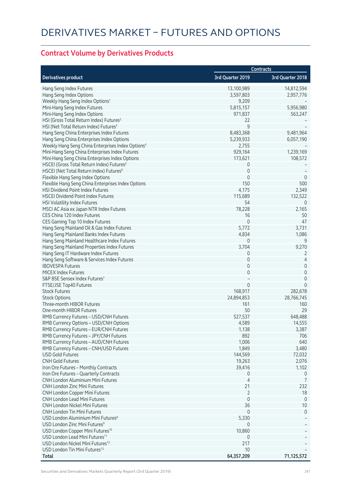## **Contract Volume by Derivatives Products**

|                                                               | <b>Contracts</b>      |                               |  |
|---------------------------------------------------------------|-----------------------|-------------------------------|--|
| <b>Derivatives product</b>                                    | 3rd Quarter 2019      | 3rd Quarter 2018              |  |
| Hang Seng Index Futures                                       | 13,100,989            | 14,812,594                    |  |
| Hang Seng Index Options                                       | 3,597,803             | 2,957,776                     |  |
| Weekly Hang Seng Index Options <sup>1</sup>                   | 9,209                 |                               |  |
| Mini-Hang Seng Index Futures                                  | 5,815,157             | 5,956,980                     |  |
| Mini-Hang Seng Index Options                                  | 971,837               | 563,247                       |  |
| HSI (Gross Total Return Index) Futures <sup>2</sup>           | 22                    |                               |  |
| HSI (Net Total Return Index) Futures <sup>3</sup>             | 9                     |                               |  |
| Hang Seng China Enterprises Index Futures                     | 8,483,368             | 9,481,964                     |  |
| Hang Seng China Enterprises Index Options                     | 5,239,933             | 6,057,190                     |  |
| Weekly Hang Seng China Enterprises Index Options <sup>4</sup> | 2,755                 |                               |  |
| Mini-Hang Seng China Enterprises Index Futures                | 929,164               | 1,239,169                     |  |
| Mini-Hang Seng China Enterprises Index Options                | 173,621               | 108,572                       |  |
| HSCEI (Gross Total Return Index) Futures <sup>5</sup>         | 0                     |                               |  |
| HSCEI (Net Total Return Index) Futures <sup>6</sup>           | $\mathbf 0$           |                               |  |
| Flexible Hang Seng Index Options                              | $\mathbf 0$           | $\overline{0}$                |  |
| Flexible Hang Seng China Enterprises Index Options            | 150                   | 500                           |  |
| <b>HSI Dividend Point Index Futures</b>                       | 4,175                 | 2,349                         |  |
| <b>HSCEI Dividend Point Index Futures</b>                     | 115,689               | 132,522                       |  |
| <b>HSI Volatility Index Futures</b>                           | 54                    | 0                             |  |
| MSCI AC Asia ex Japan NTR Index Futures                       | 78,228                | 2,165                         |  |
| CES China 120 Index Futures                                   | 16                    | 50                            |  |
| CES Gaming Top 10 Index Futures                               | $\mathbf 0$           | 47                            |  |
| Hang Seng Mainland Oil & Gas Index Futures                    | 5,772                 | 3,731                         |  |
| Hang Seng Mainland Banks Index Futures                        | 4,834                 | 1,086                         |  |
| Hang Seng Mainland Healthcare Index Futures                   | $\mathbf{0}$          | 9                             |  |
| Hang Seng Mainland Properties Index Futures                   | 3,704                 | 9,270                         |  |
| Hang Seng IT Hardware Index Futures                           | 0                     | 2                             |  |
| Hang Seng Software & Services Index Futures                   | $\mathbf 0$           | 4                             |  |
| <b>IBOVESPA Futures</b>                                       | $\mathbf 0$           | 0                             |  |
| <b>MICEX Index Futures</b>                                    | $\mathbf 0$           | $\mathbf 0$                   |  |
| S&P BSE Sensex Index Futures7                                 | $\Omega$              | $\mathbf 0$<br>$\overline{0}$ |  |
| FTSE/JSE Top40 Futures<br><b>Stock Futures</b>                |                       |                               |  |
|                                                               | 168,917<br>24,894,853 | 282,678                       |  |
| <b>Stock Options</b><br>Three-month HIBOR Futures             | 161                   | 28,766,745<br>160             |  |
| One-month HIBOR Futures                                       | 50                    | 29                            |  |
| RMB Currency Futures - USD/CNH Futures                        | 527,537               | 648,488                       |  |
| RMB Currency Options - USD/CNH Options                        | 4,589                 | 14,555                        |  |
| RMB Currency Futures - EUR/CNH Futures                        | 1,138                 | 3,387                         |  |
| RMB Currency Futures - JPY/CNH Futures                        | 892                   | 706                           |  |
| RMB Currency Futures - AUD/CNH Futures                        | 1,006                 | 640                           |  |
| RMB Currency Futures - CNH/USD Futures                        | 1,849                 | 3,480                         |  |
| <b>USD Gold Futures</b>                                       | 144,569               | 72,032                        |  |
| <b>CNH Gold Futures</b>                                       | 19,263                | 2,076                         |  |
| Iron Ore Futures - Monthly Contracts                          | 39,416                | 1,102                         |  |
| Iron Ore Futures - Quarterly Contracts                        | 0                     | $\overline{0}$                |  |
| <b>CNH London Aluminium Mini Futures</b>                      | 4                     | 7                             |  |
| <b>CNH London Zinc Mini Futures</b>                           | 21                    | 232                           |  |
| CNH London Copper Mini Futures                                | $\overline{2}$        | 18                            |  |
| <b>CNH London Lead Mini Futures</b>                           | $\mathbf 0$           | $\mathbf 0$                   |  |
| <b>CNH London Nickel Mini Futures</b>                         | 36                    | 10                            |  |
| <b>CNH London Tin Mini Futures</b>                            | $\mathbf{0}$          | $\mathbf{0}$                  |  |
| USD London Aluminium Mini Futures <sup>8</sup>                | 5,330                 |                               |  |
| USD London Zinc Mini Futures <sup>9</sup>                     | 0                     |                               |  |
| USD London Copper Mini Futures <sup>10</sup>                  | 10,860                |                               |  |
| USD London Lead Mini Futures <sup>11</sup>                    | 0                     |                               |  |
| USD London Nickel Mini Futures <sup>12</sup>                  | 217                   |                               |  |
| USD London Tin Mini Futures <sup>13</sup>                     | 10                    |                               |  |
| Total                                                         | 64,357,209            | 71,125,572                    |  |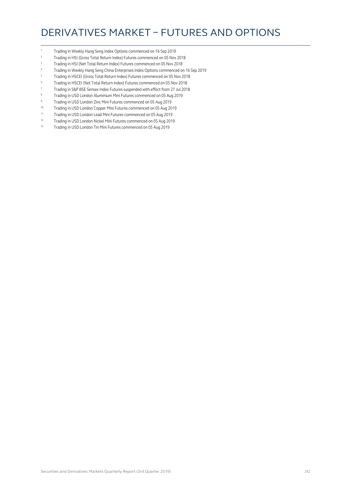## DERIVATIVES MARKET – FUTURES AND OPTIONS

- 1 Trading in Weekly Hang Seng Index Options commenced on 16 Sep 2019
- <sup>2</sup> Trading in HSI (Gross Total Return Index) Futures commenced on 05 Nov 2018<br><sup>3</sup> Trading in HSI (Not Total Deturn Index) Futures commenced on 05 Nov 2019
- <sup>3</sup> Trading in HSI (Net Total Return Index) Futures commenced on 05 Nov 2018
- <sup>4</sup> Trading in Weekly Hang Seng China Enterprises Index Options commenced on 16 Sep 2019
- <sup>5</sup> Trading in HSCEI (Gross Total Return Index) Futures commenced on 05 Nov 2018
- <sup>6</sup> Trading in HSCEI (Net Total Return Index) Futures commenced on 05 Nov 2018
- <sup>7</sup> Trading in S&P BSE Sensex Index Futures suspended with effect from 27 Jul 2018
- <sup>8</sup> Trading in USD London Aluminium Mini Futures commenced on 05 Aug 2019
- 9 Trading in USD London Zinc Mini Futures commenced on 05 Aug 2019
- <sup>10</sup> Trading in USD London Copper Mini Futures commenced on 05 Aug 2019
- <sup>11</sup> Trading in USD London Lead Mini Futures commenced on 05 Aug 2019
- <sup>12</sup> Trading in USD London Nickel Mini Futures commenced on 05 Aug 2019
- 13 Trading in USD London Tin Mini Futures commenced on 05 Aug 2019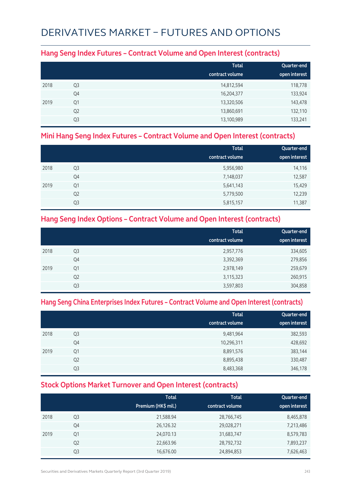## DERIVATIVES MARKET – FUTURES AND OPTIONS

#### **Hang Seng Index Futures – Contract Volume and Open Interest (contracts)**

|      |                | <b>Total</b><br>contract volume | Quarter-end<br>open interest |
|------|----------------|---------------------------------|------------------------------|
| 2018 | Q <sub>3</sub> | 14,812,594                      | 118,778                      |
|      | Q4             | 16,204,377                      | 133,924                      |
| 2019 | Q1             | 13,320,506                      | 143,478                      |
|      | Q <sub>2</sub> | 13,860,691                      | 132,110                      |
|      | Q3             | 13,100,989                      | 133,241                      |

#### **Mini Hang Seng Index Futures – Contract Volume and Open Interest (contracts)**

|      |                | <b>Total</b><br>contract volume | Quarter-end<br>open interest |
|------|----------------|---------------------------------|------------------------------|
|      |                |                                 |                              |
| 2018 | Q3             | 5,956,980                       | 14,116                       |
|      | Q4             | 7,148,037                       | 12,587                       |
| 2019 | Q1             | 5,641,143                       | 15,429                       |
|      | Q <sub>2</sub> | 5,779,500                       | 12,239                       |
|      | Q3             | 5,815,157                       | 11,387                       |

#### **Hang Seng Index Options – Contract Volume and Open Interest (contracts)**

|      |                | <b>Total</b><br>contract volume | Quarter-end<br>open interest |
|------|----------------|---------------------------------|------------------------------|
| 2018 | Q <sub>3</sub> | 2,957,776                       | 334,605                      |
|      | Q4             | 3,392,369                       | 279,856                      |
| 2019 | Q1             | 2,978,149                       | 259,679                      |
|      | Q <sub>2</sub> | 3,115,323                       | 260,915                      |
|      | Q <sub>3</sub> | 3,597,803                       | 304,858                      |

#### **Hang Seng China Enterprises Index Futures – Contract Volume and Open Interest (contracts)**

|      |                | <b>Total</b><br>contract volume | Quarter-end<br>open interest |
|------|----------------|---------------------------------|------------------------------|
| 2018 | Q <sub>3</sub> | 9,481,964                       | 382,593                      |
|      | Q4             | 10,296,311                      | 428,692                      |
| 2019 | Q1             | 8,891,576                       | 383,144                      |
|      | Q <sub>2</sub> | 8,895,438                       | 330,487                      |
|      | Q <sub>3</sub> | 8,483,368                       | 346,178                      |

#### **Stock Options Market Turnover and Open Interest (contracts)**

|      |                | <b>Total</b><br>Premium (HK\$ mil.) | <b>Total</b><br>contract volume | Quarter-end<br>open interest |
|------|----------------|-------------------------------------|---------------------------------|------------------------------|
| 2018 | Q3             | 21,588.94                           | 28,766,745                      | 8,465,878                    |
|      | Q4             | 26,126.32                           | 29,028,271                      | 7,213,486                    |
| 2019 | Q1             | 24,070.13                           | 31,683,747                      | 8,579,783                    |
|      | Q <sub>2</sub> | 22,663.96                           | 28,792,732                      | 7,893,237                    |
|      | Q <sub>3</sub> | 16,676.00                           | 24,894,853                      | 7,626,463                    |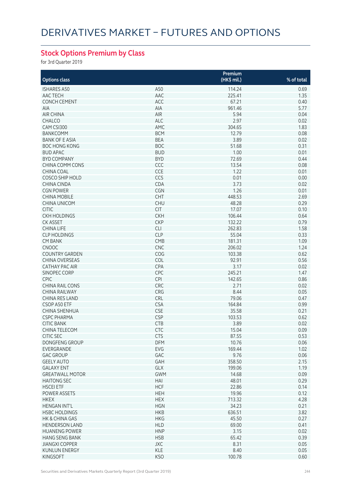## **Stock Options Premium by Class**

for 3rd Quarter 2019

| <b>Options class</b>   |            | Premium<br>(HK\$ mil.) | % of total |
|------------------------|------------|------------------------|------------|
|                        |            |                        |            |
| <b>ISHARES A50</b>     | A50        | 114.24                 | 0.69       |
| AAC TECH               | AAC        | 225.41                 | 1.35       |
| <b>CONCH CEMENT</b>    | ACC        | 67.21                  | 0.40       |
| AIA                    | AIA        | 961.46                 | 5.77       |
| <b>AIR CHINA</b>       | AIR        | 5.94                   | 0.04       |
| <b>CHALCO</b>          | ALC        | 2.97                   | 0.02       |
| CAM CSI300             | AMC        | 304.65                 | 1.83       |
| <b>BANKCOMM</b>        | <b>BCM</b> | 12.79                  | 0.08       |
| <b>BANK OF E ASIA</b>  | <b>BEA</b> | 3.89                   | 0.02       |
| <b>BOC HONG KONG</b>   | <b>BOC</b> | 51.68                  | 0.31       |
| <b>BUD APAC</b>        | <b>BUD</b> | 1.00                   | 0.01       |
| <b>BYD COMPANY</b>     | <b>BYD</b> | 72.69                  | 0.44       |
| <b>CHINA COMM CONS</b> | CCC        | 13.54                  | 0.08       |
| CHINA COAL             | <b>CCE</b> | 1.22                   | 0.01       |
| COSCO SHIP HOLD        | CCS        | 0.01                   | 0.00       |
| <b>CHINA CINDA</b>     | CDA        | 3.73                   | 0.02       |
| <b>CGN POWER</b>       | <b>CGN</b> | 1.26                   | 0.01       |
| <b>CHINA MOBILE</b>    | <b>CHT</b> | 448.53                 | 2.69       |
| <b>CHINA UNICOM</b>    | <b>CHU</b> | 48.28                  | 0.29       |
| <b>CITIC</b>           | <b>CIT</b> | 17.07                  | 0.10       |
| <b>CKH HOLDINGS</b>    | <b>CKH</b> | 106.44                 | 0.64       |
|                        | <b>CKP</b> | 132.22                 |            |
| <b>CK ASSET</b>        |            |                        | 0.79       |
| <b>CHINA LIFE</b>      | <b>CLI</b> | 262.83                 | 1.58       |
| <b>CLP HOLDINGS</b>    | <b>CLP</b> | 55.04                  | 0.33       |
| <b>CM BANK</b>         | CMB        | 181.31                 | 1.09       |
| <b>CNOOC</b>           | <b>CNC</b> | 206.02                 | 1.24       |
| <b>COUNTRY GARDEN</b>  | COG        | 103.38                 | 0.62       |
| <b>CHINA OVERSEAS</b>  | COL        | 92.91                  | 0.56       |
| <b>CATHAY PAC AIR</b>  | CPA        | 3.17                   | 0.02       |
| SINOPEC CORP           | CPC        | 245.21                 | 1.47       |
| <b>CPIC</b>            | CPI        | 142.65                 | 0.86       |
| <b>CHINA RAIL CONS</b> | <b>CRC</b> | 2.71                   | 0.02       |
| <b>CHINA RAILWAY</b>   | CRG        | 8.44                   | 0.05       |
| CHINA RES LAND         | CRL        | 79.06                  | 0.47       |
| CSOP A50 ETF           | <b>CSA</b> | 164.84                 | 0.99       |
| <b>CHINA SHENHUA</b>   | <b>CSE</b> | 35.58                  | 0.21       |
| <b>CSPC PHARMA</b>     | <b>CSP</b> | 103.53                 | 0.62       |
| <b>CITIC BANK</b>      | <b>CTB</b> | 3.89                   | 0.02       |
| CHINA TELECOM          | CTC        | 15.04                  | 0.09       |
| <b>CITIC SEC</b>       | <b>CTS</b> | 87.55                  | 0.53       |
| DONGFENG GROUP         | <b>DFM</b> | 10.76                  | 0.06       |
| EVERGRANDE             | EVG        | 169.44                 | 1.02       |
| <b>GAC GROUP</b>       | GAC        | 9.76                   | 0.06       |
| <b>GEELY AUTO</b>      | GAH        | 358.50                 | 2.15       |
| <b>GALAXY ENT</b>      | GLX        | 199.06                 | 1.19       |
| <b>GREATWALL MOTOR</b> | <b>GWM</b> | 14.68                  | 0.09       |
| <b>HAITONG SEC</b>     | HAI        | 48.01                  | 0.29       |
|                        |            |                        |            |
| <b>HSCEI ETF</b>       | <b>HCF</b> | 22.86                  | 0.14       |
| POWER ASSETS           | <b>HEH</b> | 19.96                  | 0.12       |
| <b>HKEX</b>            | <b>HEX</b> | 713.32                 | 4.28       |
| <b>HENGAN INT'L</b>    | <b>HGN</b> | 34.23                  | 0.21       |
| <b>HSBC HOLDINGS</b>   | <b>HKB</b> | 636.51                 | 3.82       |
| HK & CHINA GAS         | <b>HKG</b> | 45.50                  | 0.27       |
| <b>HENDERSON LAND</b>  | <b>HLD</b> | 69.00                  | 0.41       |
| <b>HUANENG POWER</b>   | <b>HNP</b> | 3.15                   | 0.02       |
| <b>HANG SENG BANK</b>  | <b>HSB</b> | 65.42                  | 0.39       |
| <b>JIANGXI COPPER</b>  | <b>JXC</b> | 8.31                   | 0.05       |
| <b>KUNLUN ENERGY</b>   | KLE        | 8.40                   | 0.05       |
| KINGSOFT               | <b>KSO</b> | 100.78                 | 0.60       |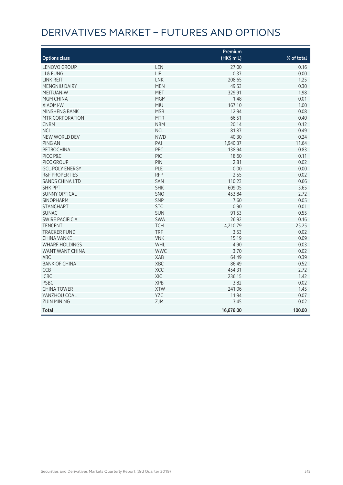# DERIVATIVES MARKET – FUTURES AND OPTIONS

|                           |            | Premium     |            |
|---------------------------|------------|-------------|------------|
| <b>Options class</b>      |            | (HK\$ mil.) | % of total |
| LENOVO GROUP              | LEN        | 27.00       | 0.16       |
| LI & FUNG                 | LIF        | 0.37        | 0.00       |
| <b>LINK REIT</b>          | <b>LNK</b> | 208.65      | 1.25       |
| MENGNIU DAIRY             | <b>MEN</b> | 49.53       | 0.30       |
| <b>MEITUAN-W</b>          | MET        | 329.91      | 1.98       |
| <b>MGM CHINA</b>          | <b>MGM</b> | 1.48        | 0.01       |
| <b>XIAOMI-W</b>           | <b>MIU</b> | 167.10      | 1.00       |
| <b>MINSHENG BANK</b>      | <b>MSB</b> | 12.94       | 0.08       |
| MTR CORPORATION           | <b>MTR</b> | 66.51       | 0.40       |
| <b>CNBM</b>               | <b>NBM</b> | 20.14       | 0.12       |
| <b>NCI</b>                | <b>NCL</b> | 81.87       | 0.49       |
| NEW WORLD DEV             | <b>NWD</b> | 40.30       | 0.24       |
| PING AN                   | PAI        | 1,940.37    | 11.64      |
| <b>PETROCHINA</b>         | PEC        | 138.94      | 0.83       |
| PICC P&C                  | PIC        | 18.60       | 0.11       |
| PICC GROUP                | PIN        | 2.81        | 0.02       |
| <b>GCL-POLY ENERGY</b>    | PLE        | 0.00        | 0.00       |
| <b>R&amp;F PROPERTIES</b> | <b>RFP</b> | 2.55        | 0.02       |
| <b>SANDS CHINA LTD</b>    | SAN        | 110.23      | 0.66       |
| <b>SHK PPT</b>            | <b>SHK</b> | 609.05      | 3.65       |
| <b>SUNNY OPTICAL</b>      | SNO        | 453.84      | 2.72       |
| <b>SINOPHARM</b>          | SNP        | 7.60        | 0.05       |
| <b>STANCHART</b>          | <b>STC</b> | 0.90        | 0.01       |
| <b>SUNAC</b>              | <b>SUN</b> | 91.53       | 0.55       |
| <b>SWIRE PACIFIC A</b>    | SWA        | 26.92       | 0.16       |
| <b>TENCENT</b>            | <b>TCH</b> | 4,210.79    | 25.25      |
| <b>TRACKER FUND</b>       | <b>TRF</b> | 3.53        | 0.02       |
| <b>CHINA VANKE</b>        | <b>VNK</b> | 15.19       | 0.09       |
| <b>WHARF HOLDINGS</b>     | WHL        | 4.90        | 0.03       |
| WANT WANT CHINA           | <b>WWC</b> | 3.70        | 0.02       |
| <b>ABC</b>                | <b>XAB</b> | 64.49       | 0.39       |
| <b>BANK OF CHINA</b>      | XBC        | 86.49       | 0.52       |
| CCB                       | XCC        | 454.31      | 2.72       |
| <b>ICBC</b>               | XIC        | 236.15      | 1.42       |
| <b>PSBC</b>               | <b>XPB</b> | 3.82        | 0.02       |
| <b>CHINA TOWER</b>        | <b>XTW</b> | 241.06      | 1.45       |
| YANZHOU COAL              | YZC        | 11.94       | 0.07       |
| <b>ZIJIN MINING</b>       | ZJM        | 3.45        | 0.02       |
| <b>Total</b>              |            | 16,676.00   | 100.00     |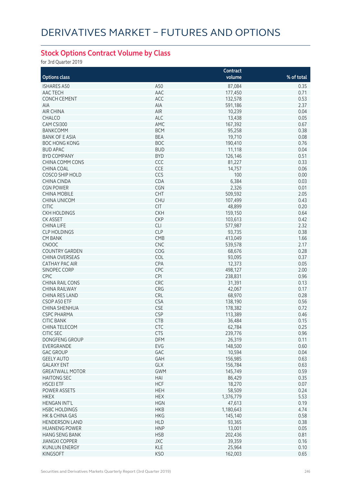## **Stock Options Contract Volume by Class**

for 3rd Quarter 2019

|                        |            | Contract  |            |
|------------------------|------------|-----------|------------|
| <b>Options class</b>   |            | volume    | % of total |
| <b>ISHARES A50</b>     | A50        | 87,084    | 0.35       |
|                        |            |           |            |
| AAC TECH               | AAC        | 177,450   | 0.71       |
| <b>CONCH CEMENT</b>    | ACC        | 132,578   | 0.53       |
| AIA                    | AIA        | 591,186   | 2.37       |
| <b>AIR CHINA</b>       | AIR        | 10,239    | 0.04       |
| <b>CHALCO</b>          | <b>ALC</b> | 13,438    | 0.05       |
| CAM CSI300             | AMC        | 167,392   | 0.67       |
| <b>BANKCOMM</b>        | <b>BCM</b> | 95,258    | 0.38       |
| <b>BANK OF E ASIA</b>  | <b>BEA</b> | 19,710    | 0.08       |
| <b>BOC HONG KONG</b>   | <b>BOC</b> | 190,410   | 0.76       |
| <b>BUD APAC</b>        | <b>BUD</b> | 11,118    | 0.04       |
| <b>BYD COMPANY</b>     | <b>BYD</b> | 126,146   | 0.51       |
| CHINA COMM CONS        | CCC        | 81,227    | 0.33       |
| CHINA COAL             | <b>CCE</b> | 14,757    | 0.06       |
| COSCO SHIP HOLD        | CCS        | 100       | 0.00       |
|                        | CDA        | 6,384     | 0.03       |
| <b>CHINA CINDA</b>     |            |           |            |
| <b>CGN POWER</b>       | CGN        | 2,326     | 0.01       |
| <b>CHINA MOBILE</b>    | <b>CHT</b> | 509,592   | 2.05       |
| <b>CHINA UNICOM</b>    | <b>CHU</b> | 107,499   | 0.43       |
| <b>CITIC</b>           | <b>CIT</b> | 48,899    | 0.20       |
| <b>CKH HOLDINGS</b>    | <b>CKH</b> | 159,150   | 0.64       |
| <b>CK ASSET</b>        | <b>CKP</b> | 103,613   | 0.42       |
| <b>CHINA LIFE</b>      | <b>CLI</b> | 577,987   | 2.32       |
| <b>CLP HOLDINGS</b>    | <b>CLP</b> | 93,735    | 0.38       |
| <b>CM BANK</b>         | CMB        | 413,049   | 1.66       |
| <b>CNOOC</b>           | <b>CNC</b> | 539,578   | 2.17       |
| <b>COUNTRY GARDEN</b>  | COG        | 68,676    | 0.28       |
| CHINA OVERSEAS         | COL        | 93,095    | 0.37       |
| <b>CATHAY PAC AIR</b>  | CPA        | 12,373    | 0.05       |
|                        | CPC        | 498,127   | 2.00       |
| SINOPEC CORP           |            |           |            |
| <b>CPIC</b>            | <b>CPI</b> | 238,831   | 0.96       |
| <b>CHINA RAIL CONS</b> | CRC        | 31,391    | 0.13       |
| <b>CHINA RAILWAY</b>   | CRG        | 42,067    | 0.17       |
| CHINA RES LAND         | CRL        | 68,970    | 0.28       |
| CSOP A50 ETF           | <b>CSA</b> | 138,190   | 0.56       |
| <b>CHINA SHENHUA</b>   | <b>CSE</b> | 178,382   | 0.72       |
| <b>CSPC PHARMA</b>     | <b>CSP</b> | 113,389   | 0.46       |
| <b>CITIC BANK</b>      | <b>CTB</b> | 36,484    | 0.15       |
| CHINA TELECOM          | CTC        | 62,784    | 0.25       |
| <b>CITIC SEC</b>       | <b>CTS</b> | 239,776   | 0.96       |
| DONGFENG GROUP         | <b>DFM</b> | 26,319    | 0.11       |
| EVERGRANDE             | EVG        | 148,500   | 0.60       |
| <b>GAC GROUP</b>       | GAC        | 10,594    | 0.04       |
| <b>GEELY AUTO</b>      | GAH        | 156,985   | 0.63       |
| <b>GALAXY ENT</b>      | GLX        | 156,784   | 0.63       |
|                        |            |           |            |
| <b>GREATWALL MOTOR</b> | <b>GWM</b> | 145,749   | 0.59       |
| <b>HAITONG SEC</b>     | HAI        | 86,429    | 0.35       |
| <b>HSCEI ETF</b>       | <b>HCF</b> | 18,270    | 0.07       |
| POWER ASSETS           | <b>HEH</b> | 58,509    | 0.24       |
| <b>HKEX</b>            | <b>HEX</b> | 1,376,779 | 5.53       |
| <b>HENGAN INT'L</b>    | <b>HGN</b> | 47,613    | 0.19       |
| <b>HSBC HOLDINGS</b>   | <b>HKB</b> | 1,180,643 | 4.74       |
| HK & CHINA GAS         | <b>HKG</b> | 145,140   | 0.58       |
| <b>HENDERSON LAND</b>  | <b>HLD</b> | 93,365    | 0.38       |
| <b>HUANENG POWER</b>   | <b>HNP</b> | 13,001    | 0.05       |
| <b>HANG SENG BANK</b>  | <b>HSB</b> | 202,436   | 0.81       |
| <b>JIANGXI COPPER</b>  | <b>JXC</b> | 39,359    | 0.16       |
| <b>KUNLUN ENERGY</b>   | KLE        | 25,964    | 0.10       |
| <b>KINGSOFT</b>        | <b>KSO</b> | 162,003   | 0.65       |
|                        |            |           |            |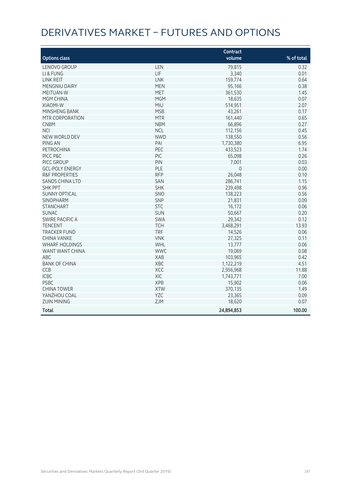# DERIVATIVES MARKET – FUTURES AND OPTIONS

|                           |            | Contract    |            |
|---------------------------|------------|-------------|------------|
| <b>Options class</b>      |            | volume      | % of total |
| LENOVO GROUP              | LEN        | 79,815      | 0.32       |
| LI & FUNG                 | LIF        | 3,340       | 0.01       |
| LINK REIT                 | <b>LNK</b> | 159,774     | 0.64       |
| MENGNIU DAIRY             | <b>MEN</b> | 95,166      | 0.38       |
| MEITUAN-W                 | <b>MET</b> | 361,530     | 1.45       |
| <b>MGM CHINA</b>          | <b>MGM</b> | 18,635      | 0.07       |
| <b>XIAOMI-W</b>           | MIU        | 514,951     | 2.07       |
| MINSHENG BANK             | <b>MSB</b> | 43,261      | 0.17       |
| MTR CORPORATION           | <b>MTR</b> | 161,440     | 0.65       |
| <b>CNBM</b>               | <b>NBM</b> | 66,896      | 0.27       |
| <b>NCI</b>                | <b>NCL</b> | 112,156     | 0.45       |
| NEW WORLD DEV             | <b>NWD</b> | 138,550     | 0.56       |
| PING AN                   | PAI        | 1,730,380   | 6.95       |
| <b>PETROCHINA</b>         | PEC        | 433,523     | 1.74       |
| PICC P&C                  | PIC        | 65,098      | 0.26       |
| PICC GROUP                | PIN        | 7,001       | 0.03       |
| <b>GCL-POLY ENERGY</b>    | PLE        | $\mathbf 0$ | 0.00       |
| <b>R&amp;F PROPERTIES</b> | <b>RFP</b> | 26,048      | 0.10       |
| <b>SANDS CHINA LTD</b>    | SAN        | 286,741     | 1.15       |
| <b>SHK PPT</b>            | <b>SHK</b> | 239,498     | 0.96       |
| <b>SUNNY OPTICAL</b>      | SNO        | 138,223     | 0.56       |
| <b>SINOPHARM</b>          | SNP        | 21,831      | 0.09       |
| <b>STANCHART</b>          | <b>STC</b> | 16,172      | 0.06       |
| <b>SUNAC</b>              | SUN        | 50,667      | 0.20       |
| SWIRE PACIFIC A           | SWA        | 29,342      | 0.12       |
| <b>TENCENT</b>            | <b>TCH</b> | 3,468,291   | 13.93      |
| <b>TRACKER FUND</b>       | <b>TRF</b> | 14,526      | 0.06       |
| <b>CHINA VANKE</b>        | <b>VNK</b> | 27,325      | 0.11       |
| <b>WHARF HOLDINGS</b>     | WHL        | 13,777      | 0.06       |
| WANT WANT CHINA           | <b>WWC</b> | 19,069      | 0.08       |
| ABC                       | <b>XAB</b> | 103,965     | 0.42       |
| <b>BANK OF CHINA</b>      | XBC        | 1,122,219   | 4.51       |
| CCB                       | XCC        | 2,956,968   | 11.88      |
| <b>ICBC</b>               | XIC        | 1,743,771   | 7.00       |
| <b>PSBC</b>               | <b>XPB</b> | 15,902      | 0.06       |
| <b>CHINA TOWER</b>        | <b>XTW</b> | 370,135     | 1.49       |
| YANZHOU COAL              | YZC        | 23,365      | 0.09       |
| <b>ZIJIN MINING</b>       | ZJM        | 18,620      | 0.07       |
| <b>Total</b>              |            | 24,894,853  | 100.00     |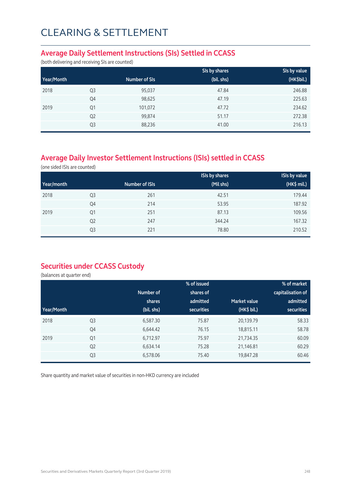## CLEARING & SETTLEMENT

#### **Average Daily Settlement Instructions (SIs) Settled in CCASS**

(both delivering and receiving SIs are counted)

|            |                |               | SIs by shares | SIs by value |
|------------|----------------|---------------|---------------|--------------|
| Year/Month |                | Number of SIs | (bil. shs)    | (HK\$bil.)   |
| 2018       | Q <sub>3</sub> | 95,037        | 47.84         | 246.88       |
|            | Q4             | 98,625        | 47.19         | 225.63       |
| 2019       | Q <sub>1</sub> | 101,072       | 47.72         | 234.62       |
|            | Q <sub>2</sub> | 99,874        | 51.17         | 272.38       |
|            | Q3             | 88,236        | 41.00         | 216.13       |

## **Average Daily Investor Settlement Instructions (ISIs) settled in CCASS**

(one sided ISIs are counted)

|            |                |                | <b>ISIs by shares</b> | <b>ISIs by value</b> |
|------------|----------------|----------------|-----------------------|----------------------|
| Year/month |                | Number of ISIs | (Mil shs)             | (HK\$ mil.)          |
| 2018       | Q <sub>3</sub> | 261            | 42.51                 | 179.44               |
|            | Q4             | 214            | 53.95                 | 187.92               |
| 2019       | Q <sub>1</sub> | 251            | 87.13                 | 109.56               |
|            | Q <sub>2</sub> | 247            | 344.24                | 167.32               |
|            | Q <sub>3</sub> | 221            | 78.80                 | 210.52               |

### **Securities under CCASS Custody**

(balances at quarter end)

|            |                |            | % of issued       |                     | % of market       |  |
|------------|----------------|------------|-------------------|---------------------|-------------------|--|
|            |                | Number of  | shares of         |                     | capitalisation of |  |
|            |                | shares     | admitted          | <b>Market value</b> | admitted          |  |
| Year/Month |                | (bil. shs) | <b>securities</b> | (HK\$ bil.)         | <b>securities</b> |  |
| 2018       | Q <sub>3</sub> | 6,587.30   | 75.87             | 20,139.79           | 58.33             |  |
|            | Q4             | 6,644.42   | 76.15             | 18,815.11           | 58.78             |  |
| 2019       | Q1             | 6,712.97   | 75.97             | 21,734.35           | 60.09             |  |
|            | Q <sub>2</sub> | 6,634.14   | 75.28             | 21,146.81           | 60.29             |  |
|            | Q <sub>3</sub> | 6,578.06   | 75.40             | 19,847.28           | 60.46             |  |

Share quantity and market value of securities in non-HKD currency are included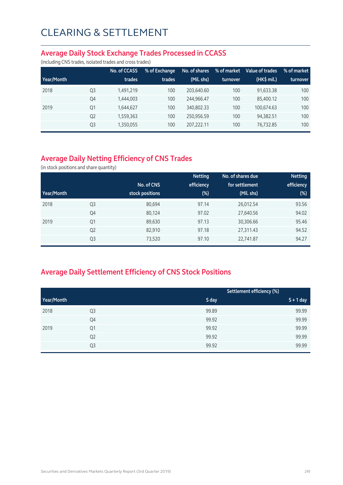#### **Average Daily Stock Exchange Trades Processed in CCASS**

(including CNS trades, isolated trades and cross trades)

|            |                | No. of CCASS | % of Exchange | No. of shares | % of market | Value of trades | % of market |
|------------|----------------|--------------|---------------|---------------|-------------|-----------------|-------------|
| Year/Month |                | trades       | trades        | (Mil. shs)    | turnover    | (HK\$ mil.)     | turnover    |
| 2018       | Q <sub>3</sub> | 1,491,219    | 100           | 203.640.60    | 100         | 91.633.38       | 100         |
|            | Q4             | 1,444,003    | 100           | 244.966.47    | 100         | 85,400.12       | 100         |
| 2019       | Q1             | 1,644,627    | 100           | 340,802.33    | 100         | 100.674.63      | 100         |
|            | Q <sub>2</sub> | 1,559,363    | 100           | 250.956.59    | 100         | 94,382.51       | 100         |
|            | Q <sub>3</sub> | 1,350,055    | 100           | 207.222.11    | 100         | 76,732.85       | 100         |

## **Average Daily Netting Efficiency of CNS Trades**

(in stock positions and share quantity)

|            |                |                 | <b>Netting</b> | No. of shares due | <b>Netting</b> |
|------------|----------------|-----------------|----------------|-------------------|----------------|
|            |                | No. of CNS      | efficiency     | for settlement    | efficiency     |
| Year/Month |                | stock positions | $(\%)$         | (Mil. shs)        | $(\%)$         |
| 2018       | Q <sub>3</sub> | 80,694          | 97.14          | 26,012.54         | 93.56          |
|            | Q4             | 80,124          | 97.02          | 27,640.56         | 94.02          |
| 2019       | Q <sub>1</sub> | 89,630          | 97.13          | 30,306.66         | 95.46          |
|            | Q <sub>2</sub> | 82,910          | 97.18          | 27,311.43         | 94.52          |
|            | Q <sub>3</sub> | 73,520          | 97.10          | 22,741.87         | 94.27          |

## **Average Daily Settlement Efficiency of CNS Stock Positions**

|            |                |       | Settlement efficiency (%) |  |  |
|------------|----------------|-------|---------------------------|--|--|
| Year/Month |                | S day | $S + 1$ day               |  |  |
| 2018       | Q <sub>3</sub> | 99.89 | 99.99                     |  |  |
|            | Q4             | 99.92 | 99.99                     |  |  |
| 2019       | Q1             | 99.92 | 99.99                     |  |  |
|            | Q <sub>2</sub> | 99.92 | 99.99                     |  |  |
|            | Q3             | 99.92 | 99.99                     |  |  |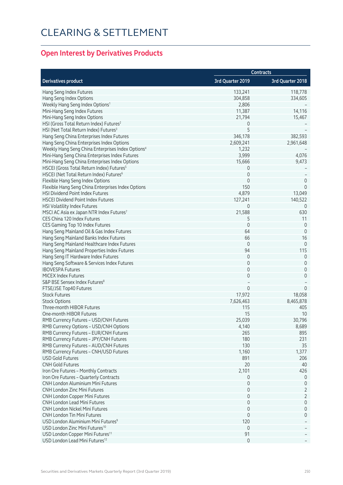# CLEARING & SETTLEMENT

## **Open Interest by Derivatives Products**

|                                                                                    |                     | <b>Contracts</b>    |
|------------------------------------------------------------------------------------|---------------------|---------------------|
| <b>Derivatives product</b>                                                         | 3rd Quarter 2019    | 3rd Quarter 2018    |
| Hang Seng Index Futures                                                            | 133,241             | 118,778             |
| Hang Seng Index Options                                                            | 304,858             | 334,605             |
| Weekly Hang Seng Index Options <sup>1</sup>                                        | 2,806               |                     |
| Mini-Hang Seng Index Futures                                                       | 11,387              | 14,116              |
| Mini-Hang Seng Index Options                                                       | 21,794              | 15,467              |
| HSI (Gross Total Return Index) Futures <sup>2</sup>                                | 0                   |                     |
| HSI (Net Total Return Index) Futures <sup>3</sup>                                  | 5                   |                     |
| Hang Seng China Enterprises Index Futures                                          | 346,178             | 382,593             |
| Hang Seng China Enterprises Index Options                                          | 2,609,241           | 2,961,648           |
| Weekly Hang Seng China Enterprises Index Options <sup>4</sup>                      | 1,232               |                     |
| Mini-Hang Seng China Enterprises Index Futures                                     | 3,999               | 4,076               |
| Mini-Hang Seng China Enterprises Index Options                                     | 15,666              | 9,473               |
| HSCEI (Gross Total Return Index) Futures <sup>5</sup>                              | 0                   |                     |
| HSCEI (Net Total Return Index) Futures <sup>6</sup>                                | $\mathbf 0$         |                     |
|                                                                                    | $\mathbf 0$         |                     |
| Flexible Hang Seng Index Options                                                   |                     | 0                   |
| Flexible Hang Seng China Enterprises Index Options                                 | 150                 | $\mathbf 0$         |
| <b>HSI Dividend Point Index Futures</b>                                            | 4,879               | 13,049              |
| <b>HSCEI Dividend Point Index Futures</b>                                          | 127,241             | 140,522             |
| HSI Volatility Index Futures                                                       | 0                   | 0                   |
| MSCI AC Asia ex Japan NTR Index Futures7                                           | 21,588              | 630                 |
| CES China 120 Index Futures                                                        | 5                   | 11                  |
| CES Gaming Top 10 Index Futures                                                    | $\mathbf 0$         | $\mathbf 0$         |
| Hang Seng Mainland Oil & Gas Index Futures                                         | 64                  | $\mathbf 0$         |
| Hang Seng Mainland Banks Index Futures                                             | 66                  | 16                  |
| Hang Seng Mainland Healthcare Index Futures                                        | $\mathbf 0$         | $\mathbf{0}$        |
| Hang Seng Mainland Properties Index Futures                                        | 94                  | 115                 |
| Hang Seng IT Hardware Index Futures                                                | 0                   | 0                   |
| Hang Seng Software & Services Index Futures                                        | $\mathbf 0$         | 0                   |
| <b>IBOVESPA Futures</b>                                                            | 0                   | 0                   |
| MICEX Index Futures                                                                | $\mathbf 0$         | $\mathbf 0$         |
| S&P BSE Sensex Index Futures <sup>8</sup>                                          |                     |                     |
| FTSE/JSE Top40 Futures                                                             | $\Omega$            | $\Omega$            |
| <b>Stock Futures</b>                                                               | 17,972              | 18,058              |
| <b>Stock Options</b>                                                               | 7,626,463           | 8,465,878           |
| Three-month HIBOR Futures                                                          | 115                 | 405                 |
| One-month HIBOR Futures                                                            | 15                  | 10                  |
| RMB Currency Futures - USD/CNH Futures                                             | 25,039              | 30,796              |
| RMB Currency Options - USD/CNH Options                                             | 4,140               | 8,689               |
| RMB Currency Futures - EUR/CNH Futures                                             | 265                 | 895                 |
| RMB Currency Futures - JPY/CNH Futures                                             | 180                 | 231                 |
| RMB Currency Futures - AUD/CNH Futures                                             | 130                 | 35                  |
| RMB Currency Futures - CNH/USD Futures                                             | 1,160               | 1,377               |
| <b>USD Gold Futures</b>                                                            | 891                 | 206                 |
| <b>CNH Gold Futures</b>                                                            | 20                  | 40                  |
| Iron Ore Futures - Monthly Contracts                                               | 2,101               | 426                 |
|                                                                                    | $\mathbf{0}$        | $\Omega$            |
| Iron Ore Futures - Quarterly Contracts<br><b>CNH London Aluminium Mini Futures</b> |                     |                     |
|                                                                                    | 0                   | 0                   |
| <b>CNH London Zinc Mini Futures</b>                                                | 0                   | 2                   |
| CNH London Copper Mini Futures                                                     | $\mathbf 0$         | 2                   |
| <b>CNH London Lead Mini Futures</b>                                                | $\mathbf 0$         | 0                   |
| <b>CNH London Nickel Mini Futures</b>                                              | $\mathbf{0}$        | $\mathsf{O}\xspace$ |
| <b>CNH London Tin Mini Futures</b>                                                 | $\mathbf{0}$        | 0                   |
| USD London Aluminium Mini Futures <sup>9</sup>                                     | 120                 |                     |
| USD London Zinc Mini Futures <sup>10</sup>                                         | $\mathbf 0$         |                     |
| USD London Copper Mini Futures <sup>11</sup>                                       | 91                  |                     |
| USD London Lead Mini Futures <sup>12</sup>                                         | $\mathsf{O}\xspace$ |                     |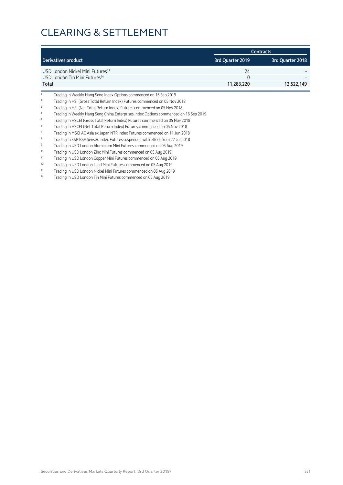## CLEARING & SETTLEMENT

|                                              | <b>Contracts</b> |                  |  |
|----------------------------------------------|------------------|------------------|--|
| Derivatives product                          | 3rd Quarter 2019 | 3rd Quarter 2018 |  |
| USD London Nickel Mini Futures <sup>13</sup> | 24               |                  |  |
| USD London Tin Mini Futures <sup>14</sup>    |                  |                  |  |
| Total                                        | 11,283,220       | 12,522,149       |  |

1 Trading in Weekly Hang Seng Index Options commenced on 16 Sep 2019

<sup>2</sup> Trading in HSI (Gross Total Return Index) Futures commenced on 05 Nov 2018

<sup>3</sup> Trading in HSI (Net Total Return Index) Futures commenced on 05 Nov 2018

<sup>4</sup> Trading in Weekly Hang Seng China Enterprises Index Options commenced on 16 Sep 2019

<sup>5</sup> Trading in HSCEI (Gross Total Return Index) Futures commenced on 05 Nov 2018

<sup>6</sup> Trading in HSCEI (Net Total Return Index) Futures commenced on 05 Nov 2018

<sup>7</sup> Trading in MSCI AC Asia ex Japan NTR Index Futures commenced on 11 Jun 2018

<sup>8</sup> Trading in S&P BSE Sensex Index Futures suspended with effect from 27 Jul 2018

<sup>9</sup> Trading in USD London Aluminium Mini Futures commenced on 05 Aug 2019

10 Trading in USD London Zinc Mini Futures commenced on 05 Aug 2019

<sup>11</sup> Trading in USD London Copper Mini Futures commenced on 05 Aug 2019<br><sup>12</sup> Trading in USD London Lead Mini Futures commenced on 05 Aug 2019

<sup>12</sup> Trading in USD London Lead Mini Futures commenced on 05 Aug 2019<br><sup>13</sup> Trading in USD London Nickel Mini Futures commenced on 05 Aug 2011

<sup>13</sup> Trading in USD London Nickel Mini Futures commenced on 05 Aug 2019

<sup>14</sup> Trading in USD London Tin Mini Futures commenced on 05 Aug 2019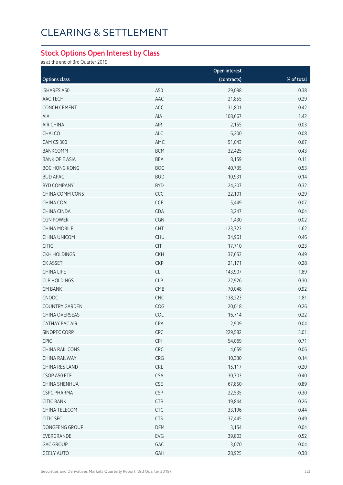# CLEARING & SETTLEMENT

#### **Stock Options Open Interest by Class**

as at the end of 3rd Quarter 2019

|                       |            | Open interest |            |
|-----------------------|------------|---------------|------------|
| <b>Options class</b>  |            | (contracts)   | % of total |
| <b>ISHARES A50</b>    | A50        | 29,098        | 0.38       |
| AAC TECH              | AAC        | 21,855        | 0.29       |
| <b>CONCH CEMENT</b>   | ACC        | 31,801        | 0.42       |
| AIA                   | AIA        | 108,667       | 1.42       |
| AIR CHINA             | AIR        | 2,155         | 0.03       |
| CHALCO                | ALC        | 6,200         | 0.08       |
| CAM CSI300            | AMC        | 51,043        | 0.67       |
| <b>BANKCOMM</b>       | <b>BCM</b> | 32,425        | 0.43       |
| <b>BANK OF E ASIA</b> | <b>BEA</b> | 8,159         | 0.11       |
| <b>BOC HONG KONG</b>  | <b>BOC</b> | 40,735        | 0.53       |
| <b>BUD APAC</b>       | <b>BUD</b> | 10,931        | 0.14       |
| <b>BYD COMPANY</b>    | <b>BYD</b> | 24,207        | 0.32       |
| CHINA COMM CONS       | CCC        | 22,101        | 0.29       |
| CHINA COAL            | CCE        | 5,449         | 0.07       |
| <b>CHINA CINDA</b>    | CDA        | 3,247         | 0.04       |
| <b>CGN POWER</b>      | CGN        | 1,430         | 0.02       |
| <b>CHINA MOBILE</b>   | CHT        | 123,723       | 1.62       |
| <b>CHINA UNICOM</b>   | <b>CHU</b> | 34,961        | 0.46       |
| <b>CITIC</b>          | CIT        | 17,710        | 0.23       |
| <b>CKH HOLDINGS</b>   | <b>CKH</b> | 37,653        | 0.49       |
| CK ASSET              | <b>CKP</b> | 21,171        | 0.28       |
| <b>CHINA LIFE</b>     | CLI        | 143,907       | 1.89       |
| <b>CLP HOLDINGS</b>   | <b>CLP</b> | 22,926        | 0.30       |
| <b>CM BANK</b>        | CMB        | 70,048        | 0.92       |
| CNOOC                 | CNC        | 138,223       | 1.81       |
| <b>COUNTRY GARDEN</b> | COG        | 20,018        | 0.26       |
| CHINA OVERSEAS        | COL        | 16,714        | 0.22       |
| CATHAY PAC AIR        | CPA        | 2,909         | 0.04       |
| SINOPEC CORP          | CPC        | 229,582       | 3.01       |
| CPIC                  | CPI        | 54,069        | 0.71       |
| CHINA RAIL CONS       | CRC        | 4,659         | 0.06       |
| CHINA RAILWAY         | CRG        | 10,330        | 0.14       |
| CHINA RES LAND        | CRL        | 15,117        | 0.20       |
| CSOP A50 ETF          | <b>CSA</b> | 30,703        | 0.40       |
| <b>CHINA SHENHUA</b>  | <b>CSE</b> | 67,850        | 0.89       |
| <b>CSPC PHARMA</b>    | <b>CSP</b> | 22,535        | 0.30       |
| <b>CITIC BANK</b>     | <b>CTB</b> | 19,844        | 0.26       |
| CHINA TELECOM         | CTC        | 33,196        | 0.44       |
| CITIC SEC             | <b>CTS</b> | 37,445        | 0.49       |
| DONGFENG GROUP        | <b>DFM</b> | 3,154         | 0.04       |
| EVERGRANDE            | EVG        | 39,803        | 0.52       |
| <b>GAC GROUP</b>      | GAC        | 3,070         | 0.04       |
| <b>GEELY AUTO</b>     | GAH        | 28,925        | 0.38       |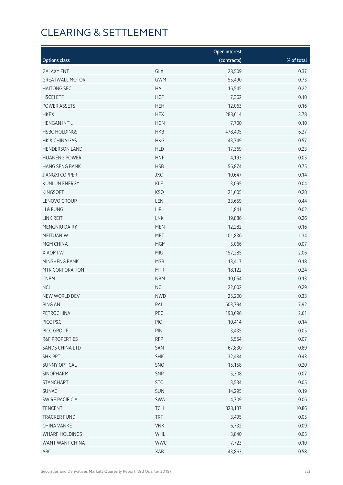# CLEARING & SETTLEMENT

|                        |             | <b>Open interest</b> |            |
|------------------------|-------------|----------------------|------------|
| <b>Options class</b>   |             | (contracts)          | % of total |
| <b>GALAXY ENT</b>      | GLX         | 28,509               | 0.37       |
| <b>GREATWALL MOTOR</b> | <b>GWM</b>  | 55,490               | 0.73       |
| <b>HAITONG SEC</b>     | HAI         | 16,545               | 0.22       |
| <b>HSCEI ETF</b>       | <b>HCF</b>  | 7,362                | 0.10       |
| POWER ASSETS           | <b>HEH</b>  | 12,063               | 0.16       |
| <b>HKEX</b>            | <b>HEX</b>  | 288,614              | 3.78       |
| <b>HENGAN INT'L</b>    | <b>HGN</b>  | 7,700                | 0.10       |
| <b>HSBC HOLDINGS</b>   | <b>HKB</b>  | 478,405              | 6.27       |
| HK & CHINA GAS         | <b>HKG</b>  | 43,749               | 0.57       |
| <b>HENDERSON LAND</b>  | <b>HLD</b>  | 17,369               | 0.23       |
| <b>HUANENG POWER</b>   | <b>HNP</b>  | 4,193                | 0.05       |
| <b>HANG SENG BANK</b>  | <b>HSB</b>  | 56,874               | 0.75       |
| <b>JIANGXI COPPER</b>  | JXC         | 10,647               | 0.14       |
| <b>KUNLUN ENERGY</b>   | <b>KLE</b>  | 3,095                | 0.04       |
| KINGSOFT               | <b>KSO</b>  | 21,605               | 0.28       |
| LENOVO GROUP           | LEN         | 33,659               | 0.44       |
| LI & FUNG              | ${\sf LIF}$ | 1,841                | 0.02       |
| LINK REIT              | <b>LNK</b>  | 19,886               | 0.26       |
| MENGNIU DAIRY          | <b>MEN</b>  | 12,282               | 0.16       |
| MEITUAN-W              | <b>MET</b>  | 101,836              | 1.34       |
| MGM CHINA              | <b>MGM</b>  | 5,066                | 0.07       |
| XIAOMI-W               | <b>MIU</b>  | 157,285              | 2.06       |
| MINSHENG BANK          | <b>MSB</b>  | 13,417               | 0.18       |
| MTR CORPORATION        | <b>MTR</b>  | 18,122               | 0.24       |
| <b>CNBM</b>            | <b>NBM</b>  | 10,054               | 0.13       |
| <b>NCI</b>             | NCL         | 22,002               | 0.29       |
| NEW WORLD DEV          | <b>NWD</b>  | 25,200               | 0.33       |
| PING AN                | PAI         | 603,794              | 7.92       |
| PETROCHINA             | PEC         | 198,696              | 2.61       |
| PICC P&C               | PIC         | 10,414               | 0.14       |
| PICC GROUP             | PIN         | 3,435                | 0.05       |
| R&F PROPERTIES         | <b>RFP</b>  | 5,554                | 0.07       |
| SANDS CHINA LTD        | SAN         | 67,830               | 0.89       |
| <b>SHK PPT</b>         | <b>SHK</b>  | 32,484               | 0.43       |
| <b>SUNNY OPTICAL</b>   | SNO         | 15,158               | 0.20       |
| SINOPHARM              | SNP         | 5,308                | 0.07       |
| <b>STANCHART</b>       | <b>STC</b>  | 3,534                | 0.05       |
| <b>SUNAC</b>           | SUN         | 14,295               | 0.19       |
| SWIRE PACIFIC A        | SWA         | 4,709                | 0.06       |
| TENCENT                | <b>TCH</b>  | 828,137              | 10.86      |
| <b>TRACKER FUND</b>    | <b>TRF</b>  | 3,495                | 0.05       |
| CHINA VANKE            | <b>VNK</b>  | 6,732                | 0.09       |
| <b>WHARF HOLDINGS</b>  | WHL         | 3,840                | 0.05       |
| WANT WANT CHINA        | <b>WWC</b>  | 7,723                | 0.10       |
| ABC                    | XAB         | 43,863               | 0.58       |
|                        |             |                      |            |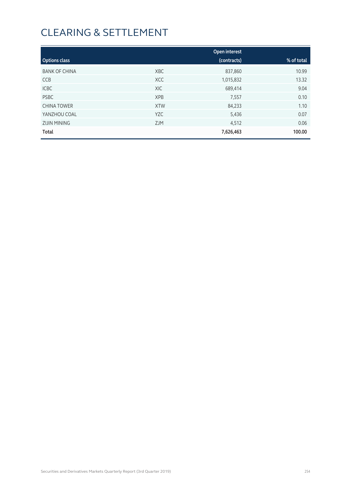# CLEARING & SETTLEMENT

|                      |            | Open interest |            |
|----------------------|------------|---------------|------------|
| <b>Options class</b> |            | (contracts)   | % of total |
| <b>BANK OF CHINA</b> | <b>XBC</b> | 837,860       | 10.99      |
| <b>CCB</b>           | <b>XCC</b> | 1,015,832     | 13.32      |
| <b>ICBC</b>          | XIC        | 689,414       | 9.04       |
| <b>PSBC</b>          | <b>XPB</b> | 7,557         | 0.10       |
| <b>CHINA TOWER</b>   | <b>XTW</b> | 84,233        | 1.10       |
| YANZHOU COAL         | <b>YZC</b> | 5,436         | 0.07       |
| <b>ZIJIN MINING</b>  | <b>ZJM</b> | 4,512         | 0.06       |
| Total                |            | 7,626,463     | 100.00     |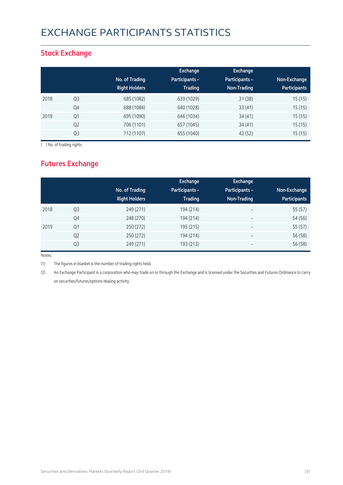## EXCHANGE PARTICIPANTS STATISTICS

### **Stock Exchange**

|      |                |                      | Exchange              | <b>Exchange</b> |                     |
|------|----------------|----------------------|-----------------------|-----------------|---------------------|
|      |                | No. of Trading       | <b>Participants -</b> | Participants -  | Non-Exchange        |
|      |                | <b>Right Holders</b> | <b>Trading</b>        | Non-Trading     | <b>Participants</b> |
| 2018 | Q3             | 685 (1082)           | 639 (1029)            | 31(38)          | 15(15)              |
|      | Q4             | 688 (1084)           | 640 (1028)            | 33(41)          | 15(15)              |
| 2019 | Q <sub>1</sub> | 695 (1090)           | 646 (1034)            | 34(41)          | 15(15)              |
|      | Q <sub>2</sub> | 706 (1101)           | 657 (1045)            | 34(41)          | 15(15)              |
|      | Q <sub>3</sub> | 712 (1107)           | 655 (1040)            | 42 (52)         | 15(15)              |

( ) No. of trading rights

### **Futures Exchange**

|      |                | No. of Trading<br><b>Right Holders</b> | Exchange<br><b>Participants -</b><br><b>Trading</b> | Exchange<br>Participants -<br>Non-Trading | Non-Exchange<br><b>Participants</b> |
|------|----------------|----------------------------------------|-----------------------------------------------------|-------------------------------------------|-------------------------------------|
| 2018 | Q <sub>3</sub> | 249 (271)                              | 194 (214)                                           | $\overline{\phantom{a}}$                  | 55 (57)                             |
|      | Q4             | 248 (270)                              | 194 (214)                                           | $\overline{\phantom{a}}$                  | 54 (56)                             |
| 2019 | Q <sub>1</sub> | 250 (272)                              | 195 (215)                                           | $\overline{\phantom{m}}$                  | 55 (57)                             |
|      | Q <sub>2</sub> | 250 (272)                              | 194 (214)                                           | $\overline{\phantom{m}}$                  | 56 (58)                             |
|      | Q <sub>3</sub> | 249 (271)                              | 193 (213)                                           | $\overline{\phantom{m}}$                  | 56 (58)                             |

Notes:

(1) The figures in blanket is the number of trading rights held.

(2) An Exchange Participant is a corporation who may trade on or through the Exchange and is licensed under the Securities and Futures Ordinance to carry on securities/futures/options dealing activity.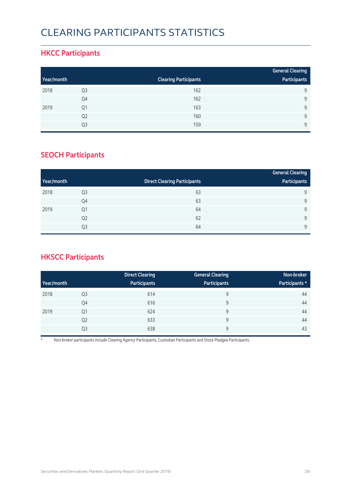### CLEARING PARTICIPANTS STATISTICS

### **HKCC Participants**

|            |                |                              | <b>General Clearing</b> |
|------------|----------------|------------------------------|-------------------------|
| Year/month |                | <b>Clearing Participants</b> | Participants            |
| 2018       | Q3             | 162                          | 9                       |
|            | Q4             | 162                          | Q                       |
| 2019       | Q1             | 163                          | Q                       |
|            | Q <sub>2</sub> | 160                          | Q                       |
|            | Q3             | 159                          | $\mathsf{Q}$            |

### **SEOCH Participants**

|            |                |                                     | <b>General Clearing</b> |
|------------|----------------|-------------------------------------|-------------------------|
| Year/month |                | <b>Direct Clearing Participants</b> | Participants            |
| 2018       | Q <sub>3</sub> | 63                                  | 9                       |
|            | Q4             | 63                                  | 9                       |
| 2019       | Q <sub>1</sub> | 64                                  | 9                       |
|            | Q <sub>2</sub> | 62                                  | 9                       |
|            | Q <sub>3</sub> | 64                                  | 9                       |

### **HKSCC Participants**

|            |                | <b>Direct Clearing</b> | <b>General Clearing</b> | Non-broker     |
|------------|----------------|------------------------|-------------------------|----------------|
| Year/month |                | Participants           | <b>Participants</b>     | Participants * |
| 2018       | Q <sub>3</sub> | 614                    | 9                       | 44             |
|            | Q4             | 616                    | 9                       | 44             |
| 2019       | Q1             | 624                    | 9                       | 44             |
|            | Q <sub>2</sub> | 633                    | 9                       | 44             |
|            | Q3             | 638                    | 9                       | 43             |

\* Non-broker participants include Clearing Agency Participants, Custodian Participants and Stock Pledgee Participants.